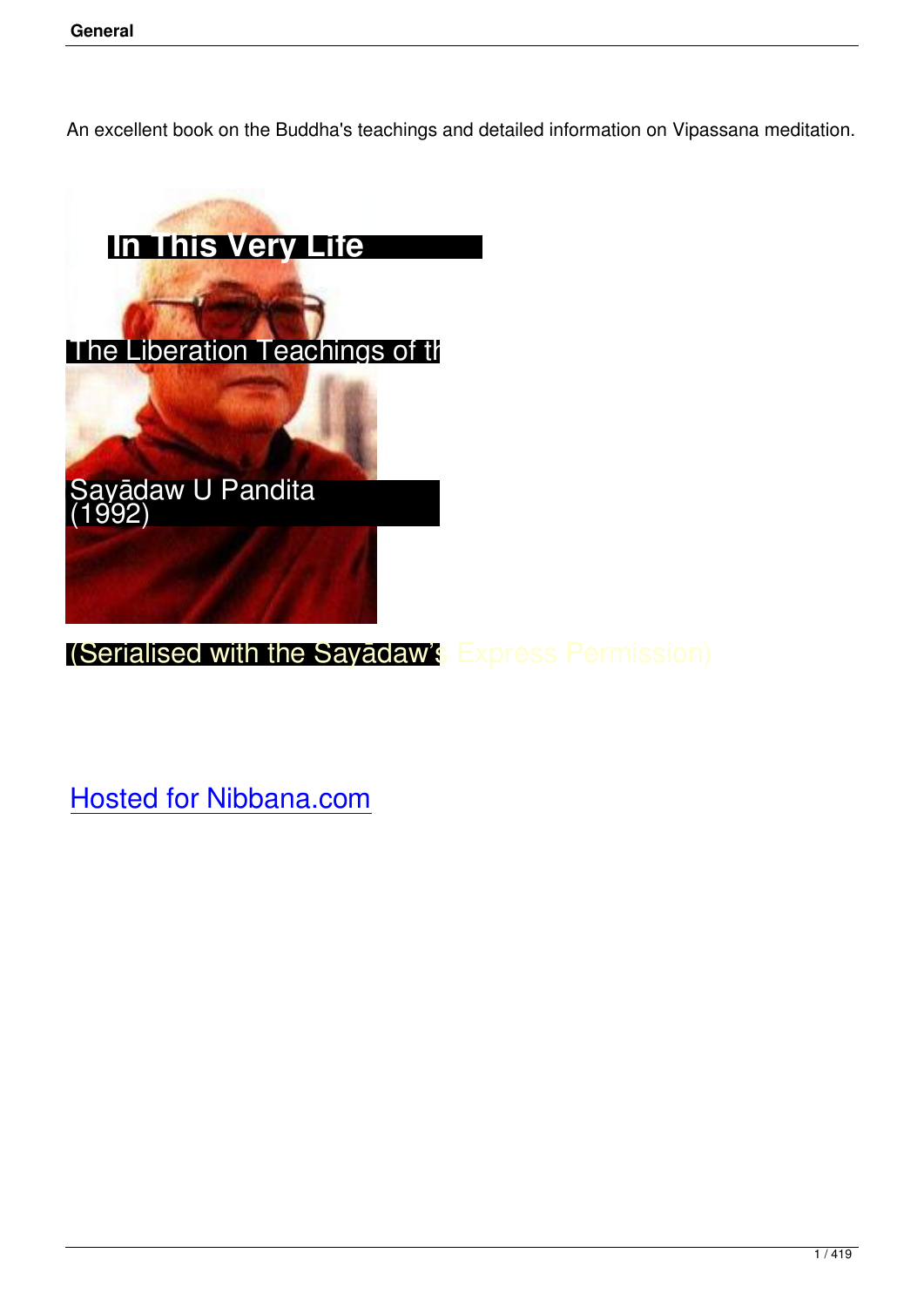An excellent book on the Buddha's teachings and detailed information on Vipassana meditation.



(Serialised with the Sayādaw's Express Permission)

Hosted for Nibbana.com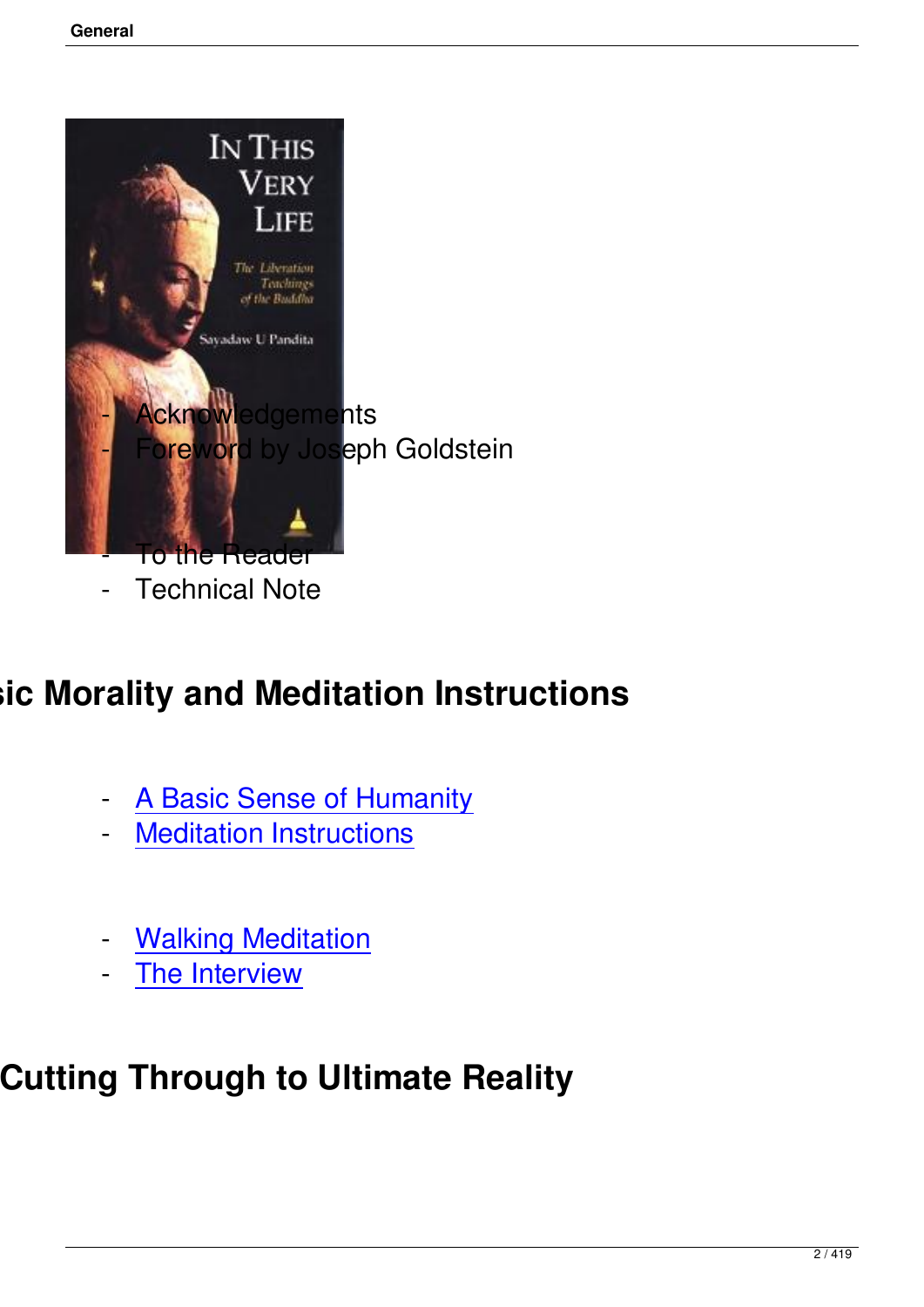

## **1. Bagic Morality and Meditation Instructions**

- A Basic Sense of Humanity
- **Meditation Instructions**
- **Walking Meditation**
- The Interview

# **2. Cutting [Through to](#Interview) Ultimate Reality**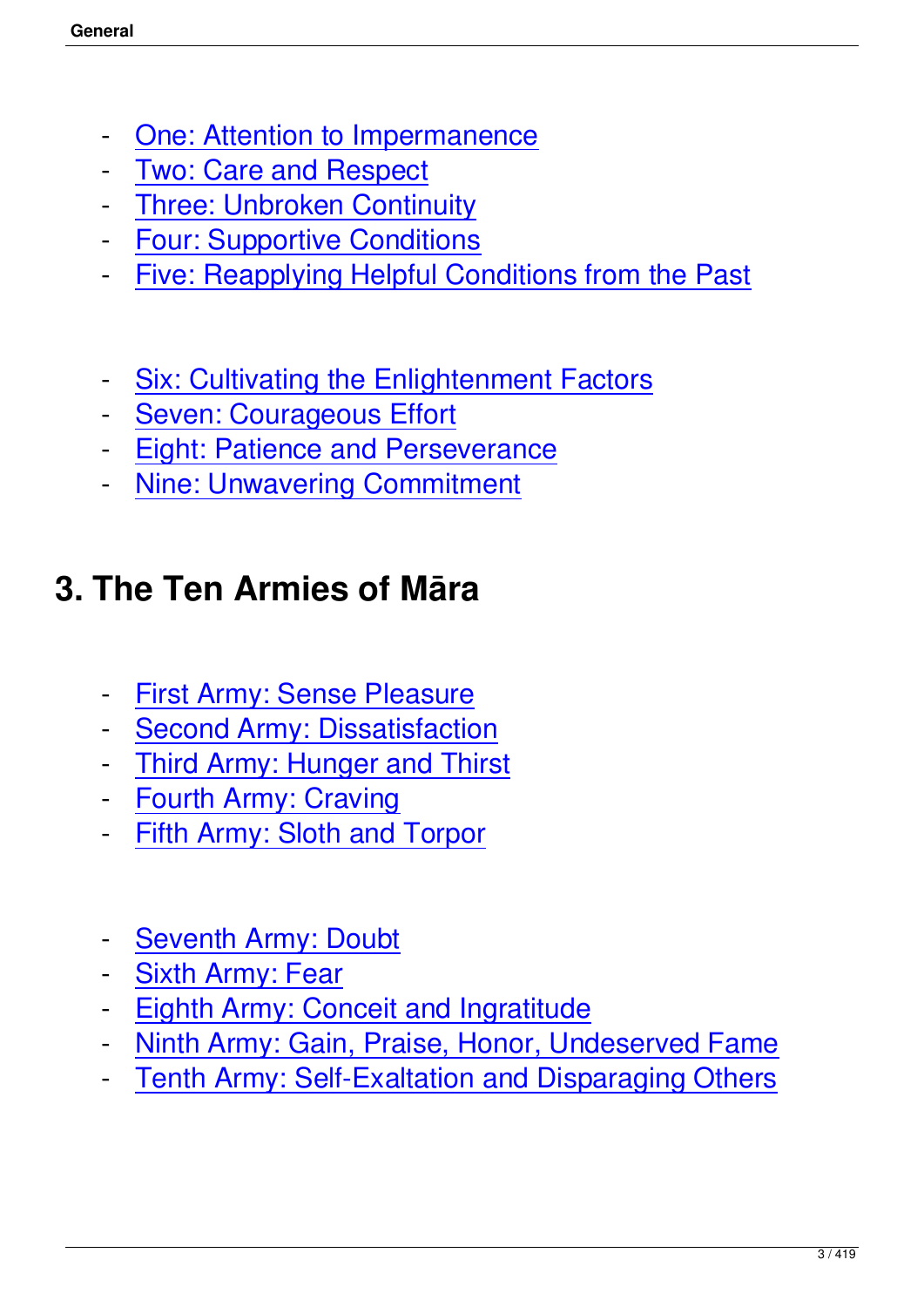- One: Attention to Impermanence
- Two: Care and Respect
- [Three: Unbroken Continuity](#Impermanence)
- [Four: Supportive Condit](#Respect)ions
- [Five: Reapplying Helpful Co](#Continuity)nditions from the Past
- Six: Cultivating the Enlightenment Factors
- Seven: Courageous Effort
- [Eight: Patience and Perseverance](#Cultivating)
- [Nine: Unwavering Commit](#Effort)ment

## **3. Th[e Ten Armies of Māra](#Commitment)**

- First Army: Sense Pleasure
- Second Army: Dissatisfaction
- [Third Army: Hunger and Thi](#Sensuality)rst
- [Fourth Army: Craving](#Dissatisfaction)
- [Fifth Army: Sloth and Torpor](#Hunger)
- Seventh Army: Doubt
- Sixth Army: Fear
- [Eighth Army: Conceit](#Doubt) and Ingratitude
- [Ninth Army: Gain](#Fear), Praise, Honor, Undeserved Fame
- [Tenth Army: Self-Exaltation and Disp](#Conceit)araging Others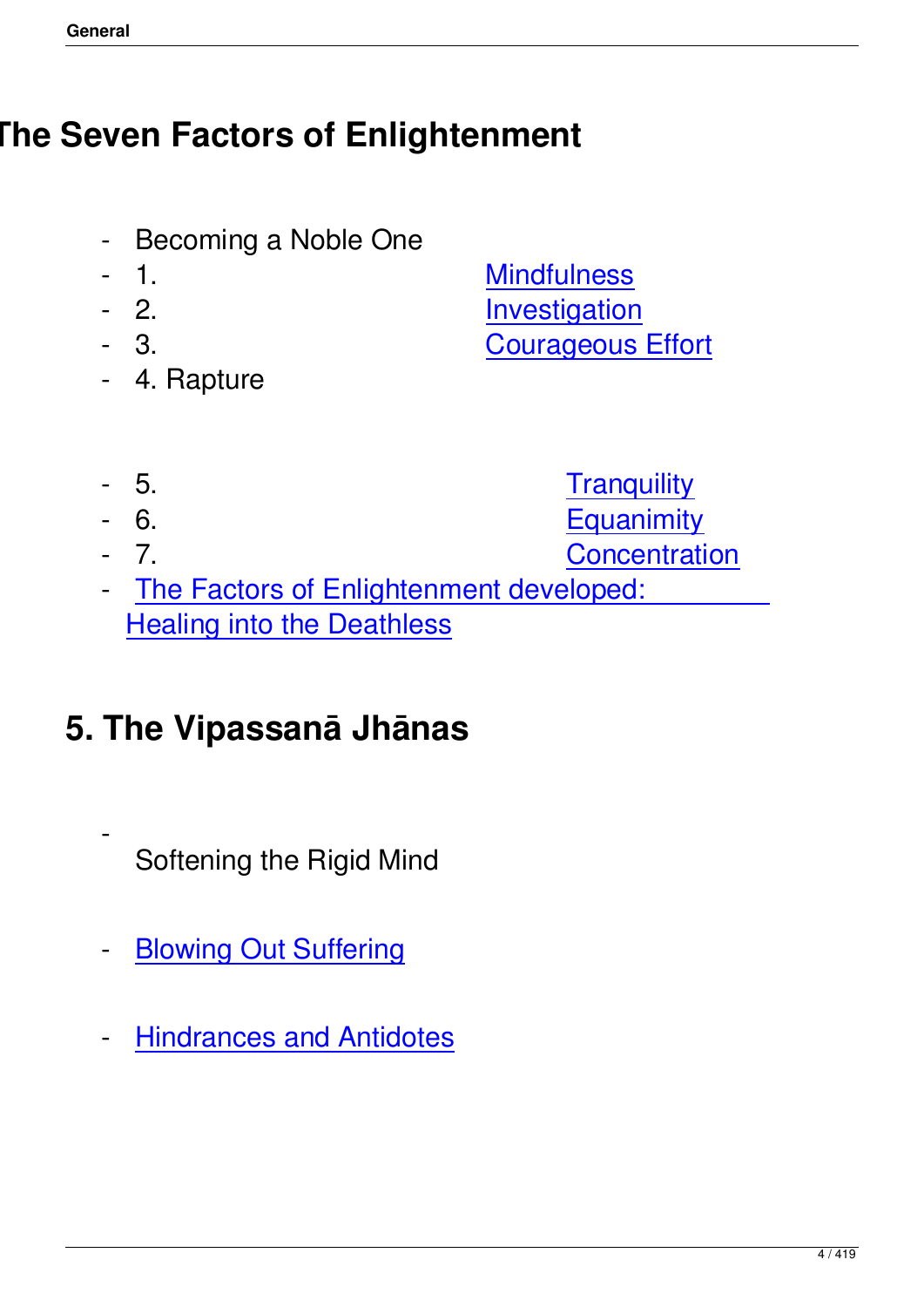## **4. The Seven Factors of Enlightenment**

- Becoming a Noble One
- 
- 
- 
- 4. Rapture

 - 1. Mindfulness - 2. Investigation - 3. [Courageous](#Mindfulness) Effort

- 
- 
- 

- 5. Tranquility - 6. Equanimity

 - 7. [Concentrat](#Tranquillity)ion - The Factors of Enlightenment developed: **Healing into the Deathless** 

## **5. T[he Vipassanā Jhānas](#Healing)**

 $\sim$ Softening the Rigid Mind

- Blowing Out Suffering
- [Hindrances and Antido](#Blowing)tes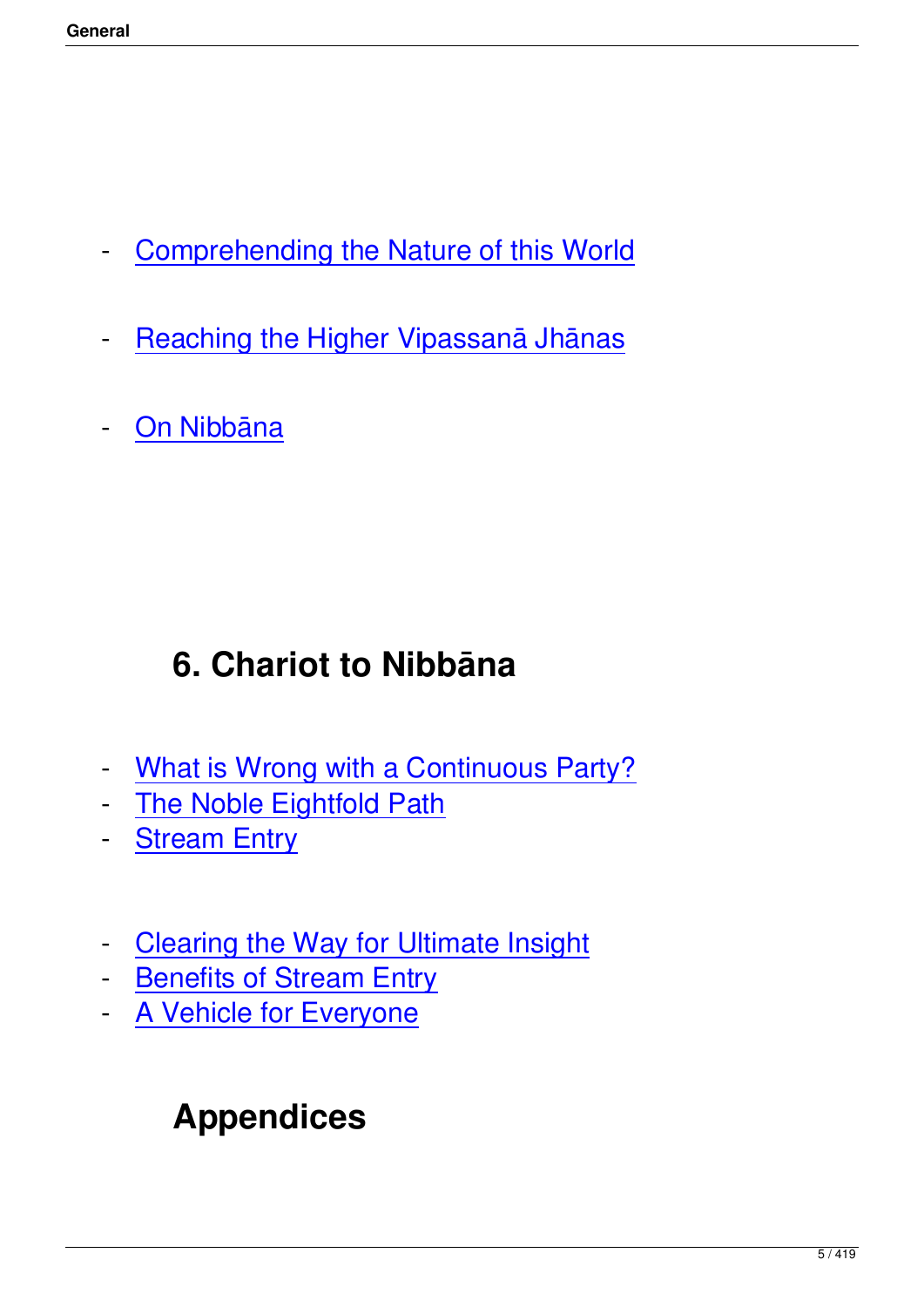- Comprehending the Nature of this World
- [Reaching the Higher Vipassanā Jhānas](#Comprehending)
- [On Nibbāna](#Higher)

## **6. Chariot to Nibbāna**

- What is Wrong with a Continuous Party?
- The Noble Eightfold Path
- [Stream Entry](#Party)
- Clearing the Way for Ultimate Insight
- Benefits of Stream Entry
- [A Vehicle for Everyone](#Clearing)

### **[Appendices](#Vehicle)**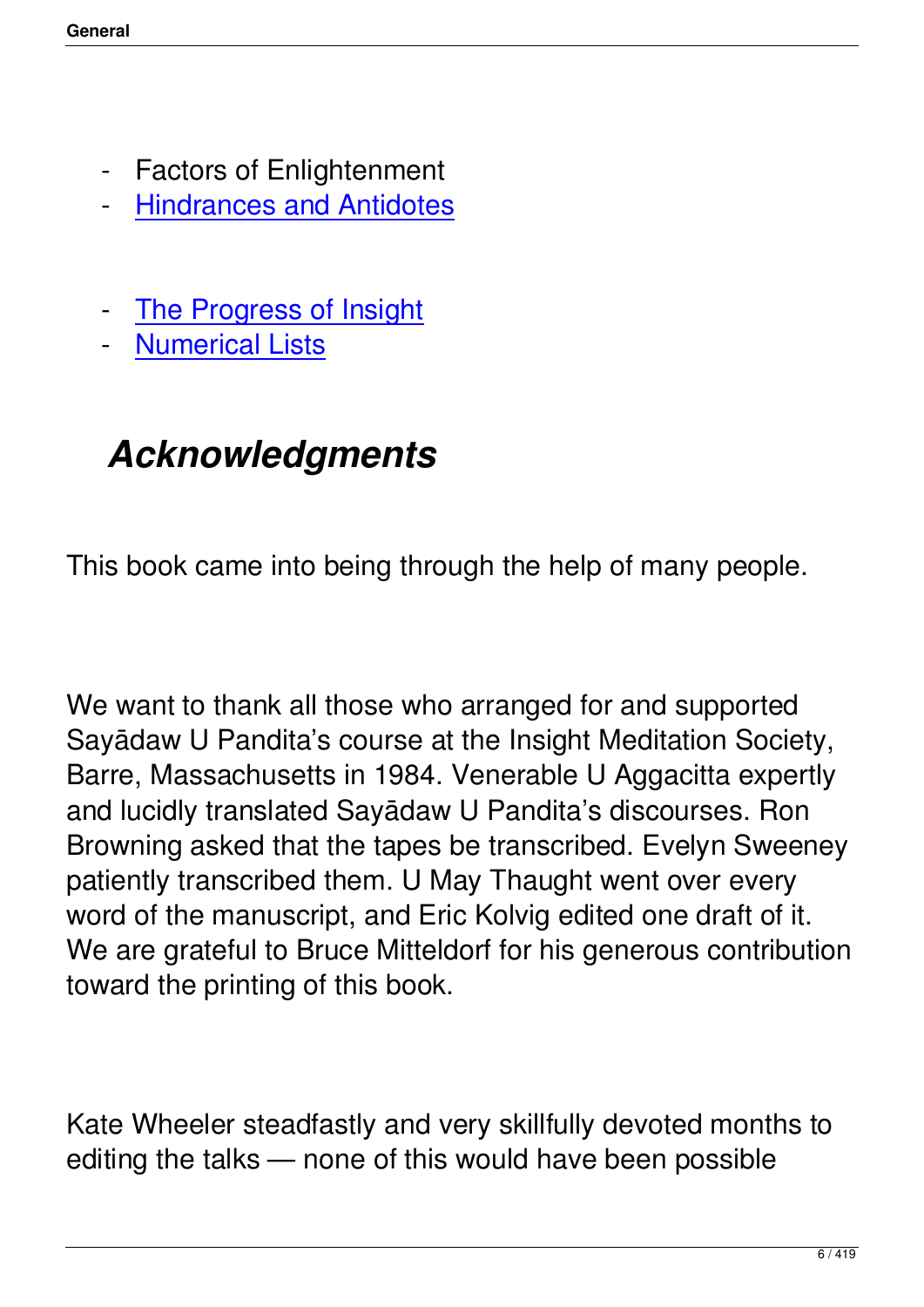- Factors of Enlightenment
- Hindrances and Antidotes
- The Progress of Insight
- **Numerical Lists**

# *Acknowledgments*

This book came into being through the help of many people.

We want to thank all those who arranged for and supported Sayādaw U Pandita's course at the Insight Meditation Society, Barre, Massachusetts in 1984. Venerable U Aggacitta expertly and lucidly translated Sayādaw U Pandita's discourses. Ron Browning asked that the tapes be transcribed. Evelyn Sweeney patiently transcribed them. U May Thaught went over every word of the manuscript, and Eric Kolvig edited one draft of it. We are grateful to Bruce Mitteldorf for his generous contribution toward the printing of this book.

Kate Wheeler steadfastly and very skillfully devoted months to editing the talks — none of this would have been possible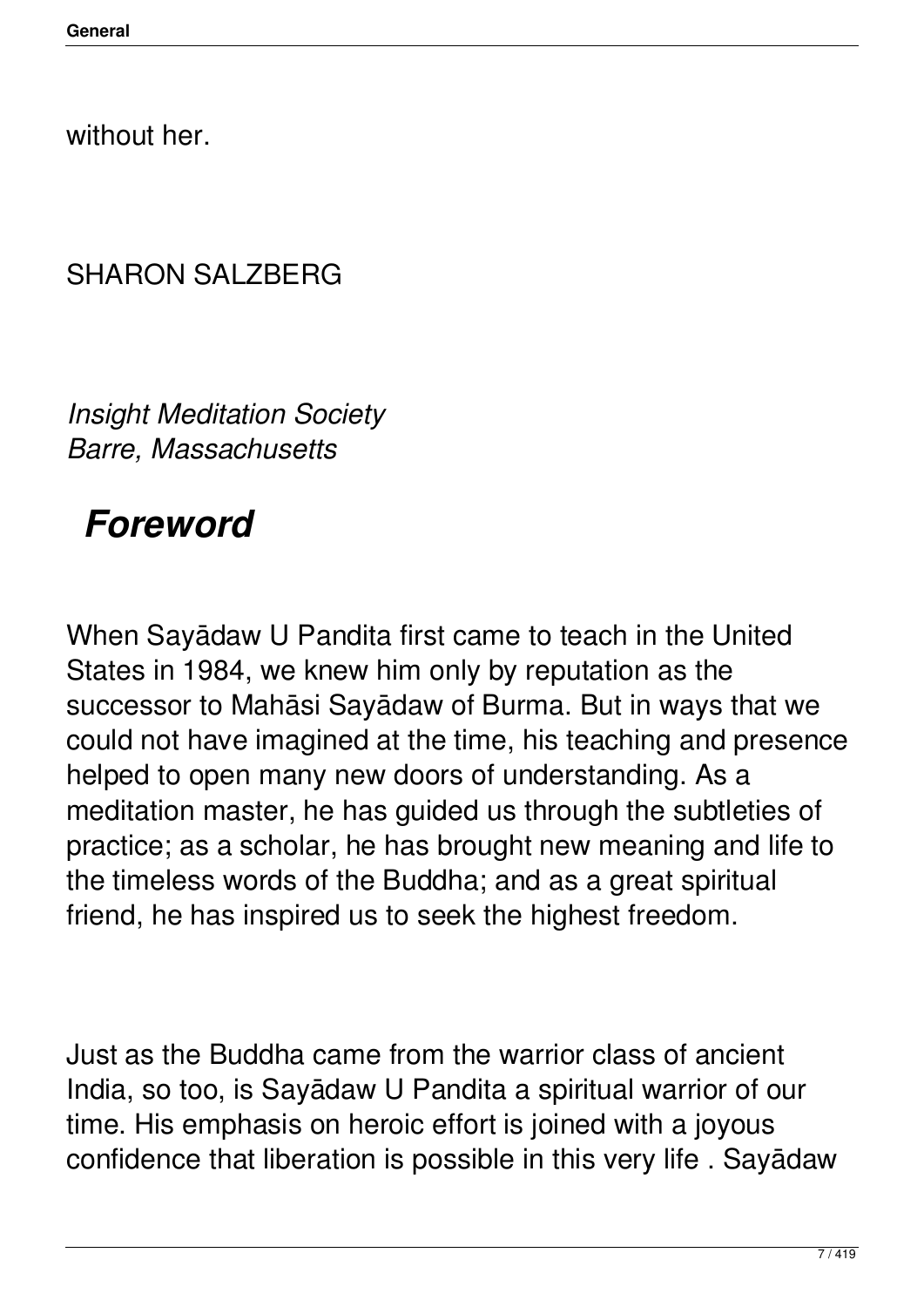without her.

SHARON SALZBERG

*Insight Meditation Society Barre, Massachusetts*

## *Foreword*

When Sayādaw U Pandita first came to teach in the United States in 1984, we knew him only by reputation as the successor to Mahāsi Sayādaw of Burma. But in ways that we could not have imagined at the time, his teaching and presence helped to open many new doors of understanding. As a meditation master, he has guided us through the subtleties of practice; as a scholar, he has brought new meaning and life to the timeless words of the Buddha; and as a great spiritual friend, he has inspired us to seek the highest freedom.

Just as the Buddha came from the warrior class of ancient India, so too, is Sayādaw U Pandita a spiritual warrior of our time. His emphasis on heroic effort is joined with a joyous confidence that liberation is possible in this very life . Sayādaw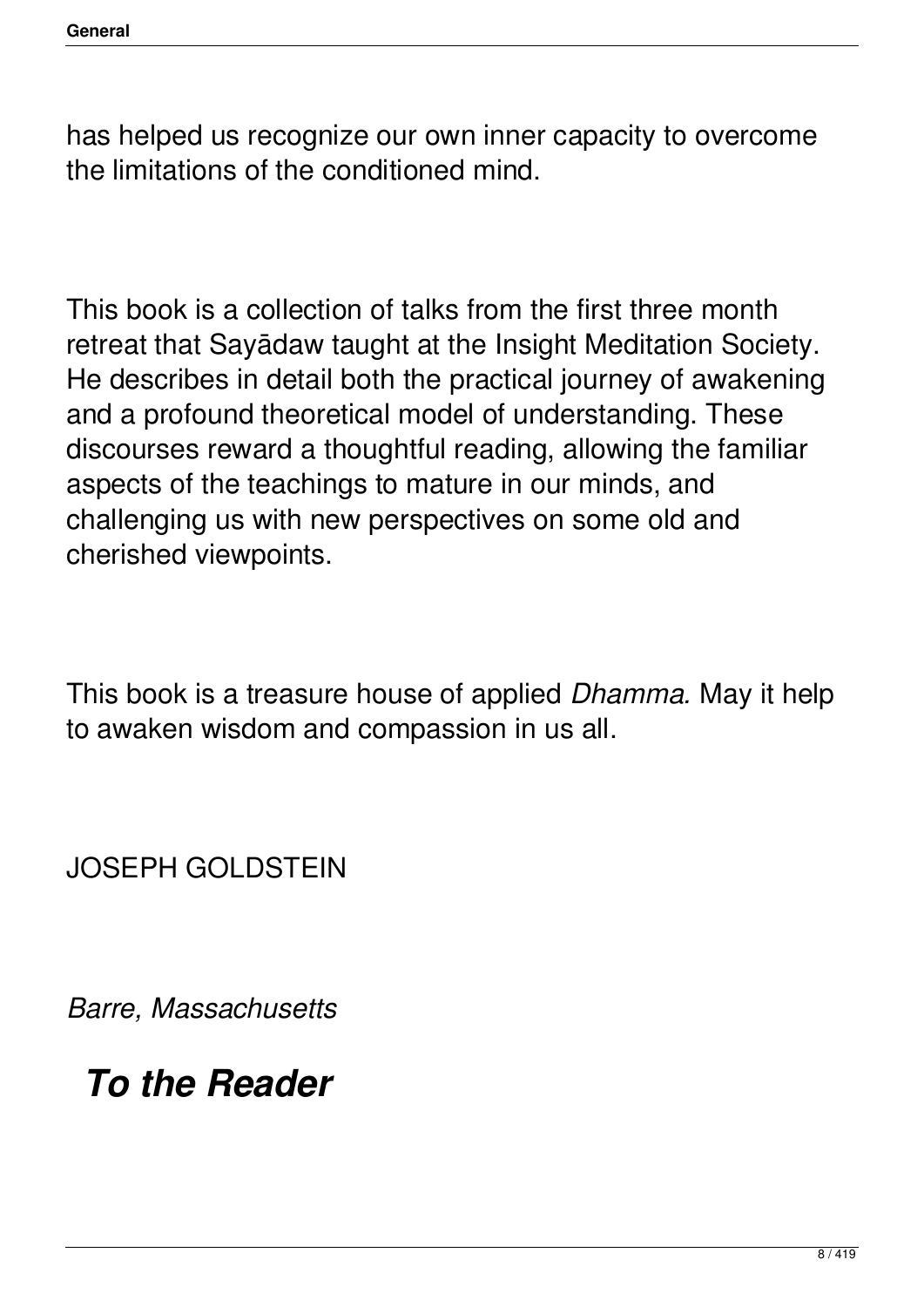has helped us recognize our own inner capacity to overcome the limitations of the conditioned mind.

This book is a collection of talks from the first three month retreat that Sayādaw taught at the Insight Meditation Society. He describes in detail both the practical journey of awakening and a profound theoretical model of understanding. These discourses reward a thoughtful reading, allowing the familiar aspects of the teachings to mature in our minds, and challenging us with new perspectives on some old and cherished viewpoints.

This book is a treasure house of applied *Dhamma.* May it help to awaken wisdom and compassion in us all.

JOSEPH GOLDSTEIN

*Barre, Massachusetts*

## *To the Reader*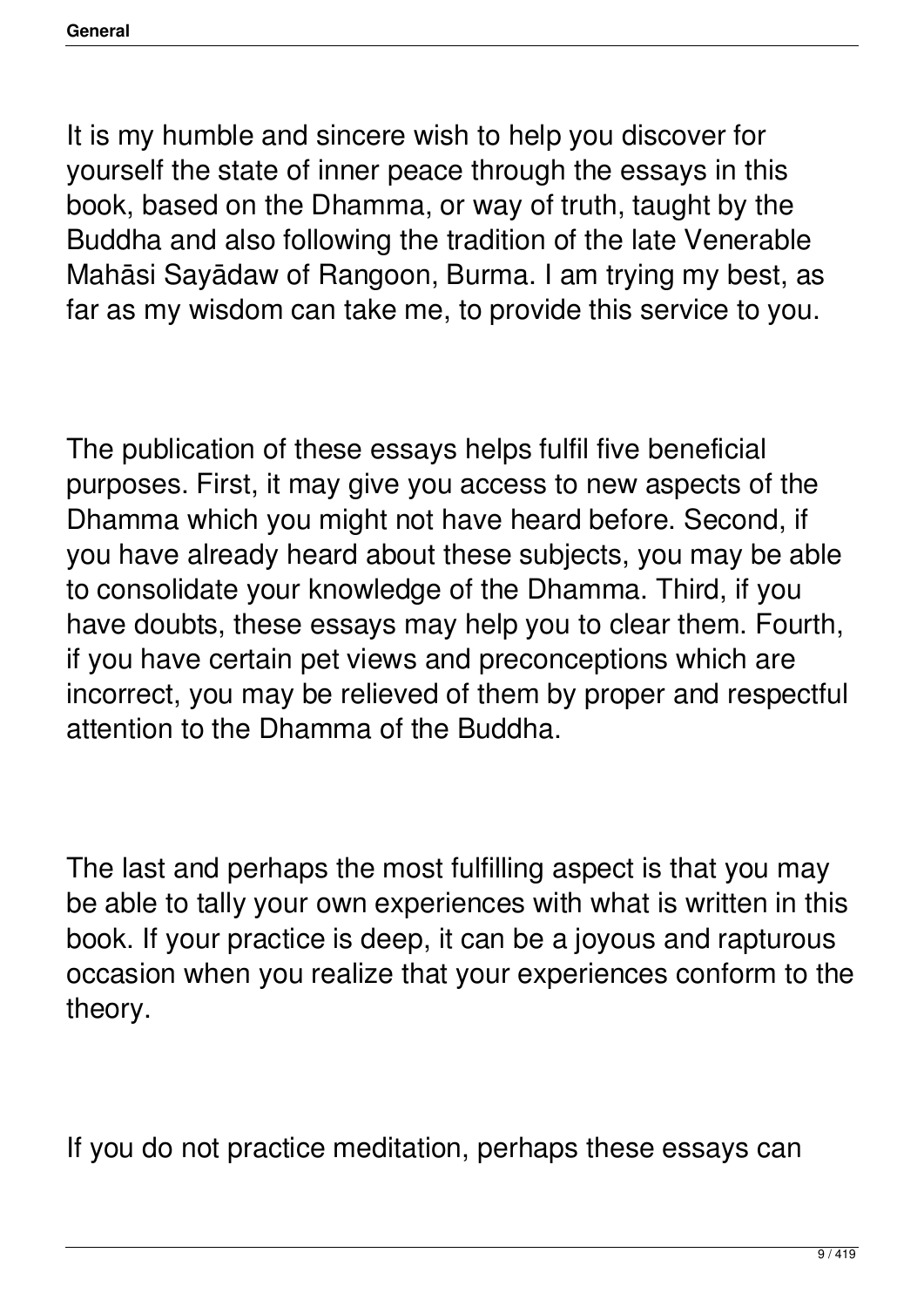It is my humble and sincere wish to help you discover for yourself the state of inner peace through the essays in this book, based on the Dhamma, or way of truth, taught by the Buddha and also following the tradition of the late Venerable Mahāsi Sayādaw of Rangoon, Burma. I am trying my best, as far as my wisdom can take me, to provide this service to you.

The publication of these essays helps fulfil five beneficial purposes. First, it may give you access to new aspects of the Dhamma which you might not have heard before. Second, if you have already heard about these subjects, you may be able to consolidate your knowledge of the Dhamma. Third, if you have doubts, these essays may help you to clear them. Fourth, if you have certain pet views and preconceptions which are incorrect, you may be relieved of them by proper and respectful attention to the Dhamma of the Buddha.

The last and perhaps the most fulfilling aspect is that you may be able to tally your own experiences with what is written in this book. If your practice is deep, it can be a joyous and rapturous occasion when you realize that your experiences conform to the theory.

If you do not practice meditation, perhaps these essays can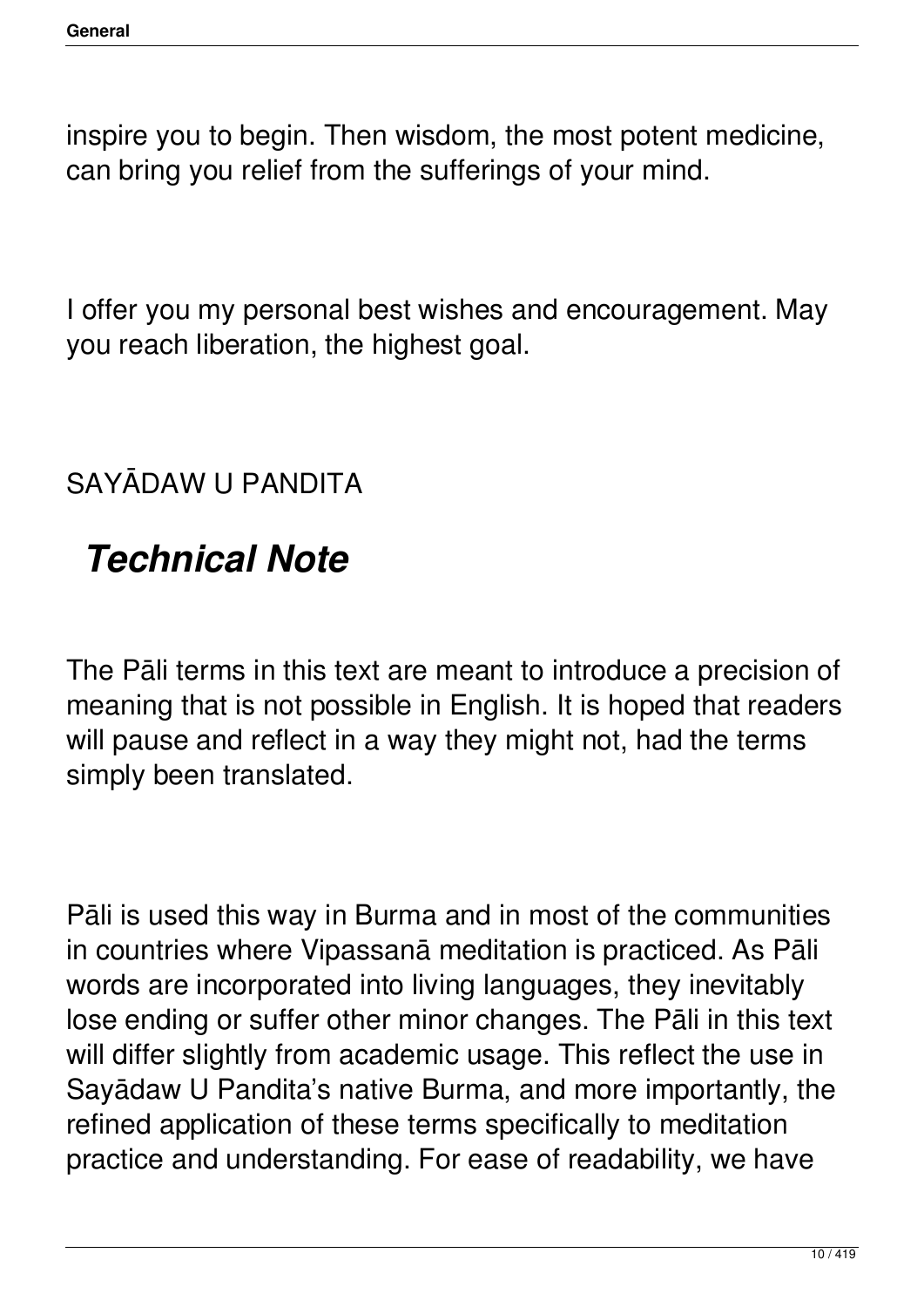inspire you to begin. Then wisdom, the most potent medicine, can bring you relief from the sufferings of your mind.

I offer you my personal best wishes and encouragement. May you reach liberation, the highest goal.

#### SAYĀDAW U PANDITA

# *Technical Note*

The Pāli terms in this text are meant to introduce a precision of meaning that is not possible in English. It is hoped that readers will pause and reflect in a way they might not, had the terms simply been translated.

Pāli is used this way in Burma and in most of the communities in countries where Vipassanā meditation is practiced. As Pāli words are incorporated into living languages, they inevitably lose ending or suffer other minor changes. The Pāli in this text will differ slightly from academic usage. This reflect the use in Sayādaw U Pandita's native Burma, and more importantly, the refined application of these terms specifically to meditation practice and understanding. For ease of readability, we have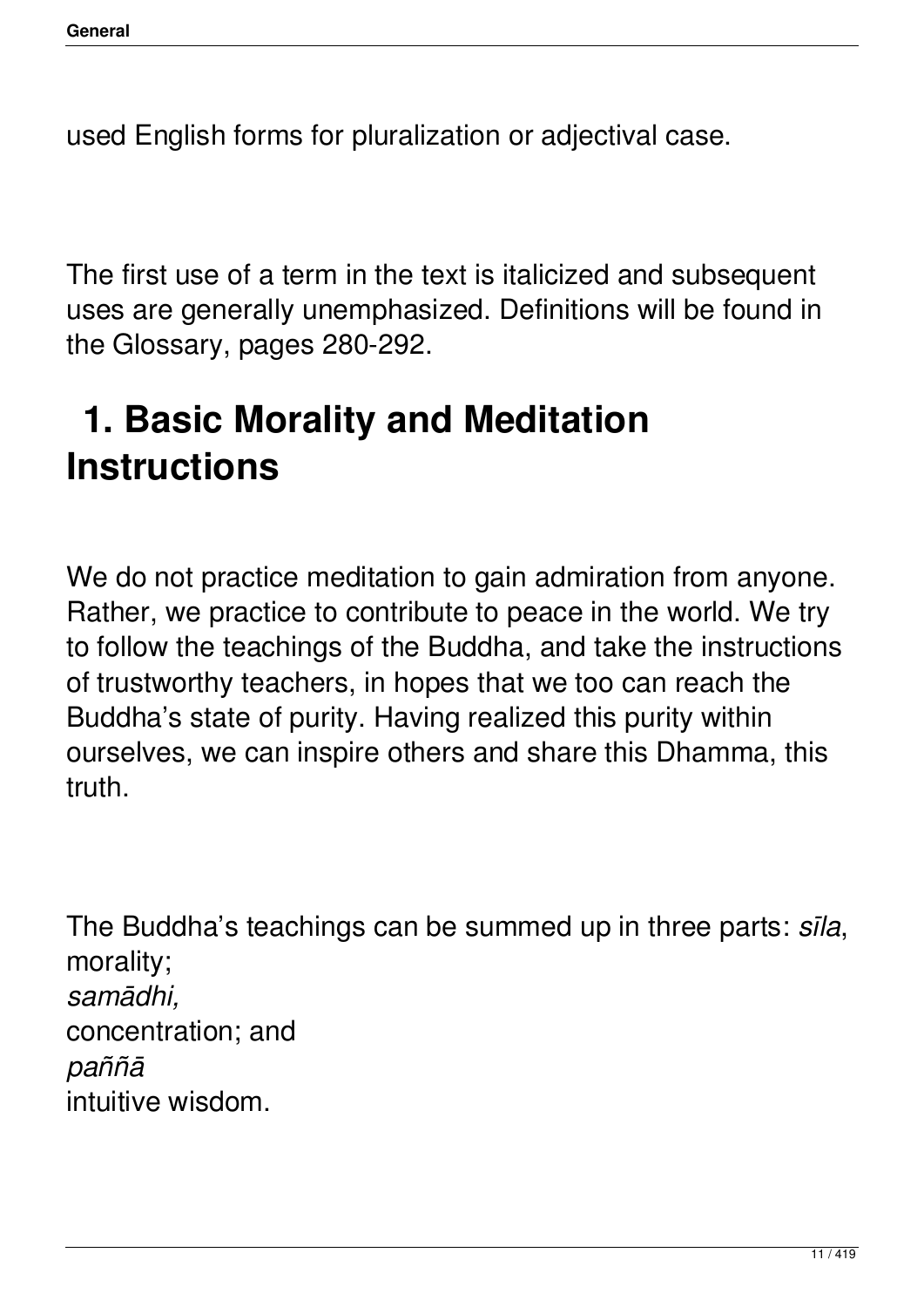used English forms for pluralization or adjectival case.

The first use of a term in the text is italicized and subsequent uses are generally unemphasized. Definitions will be found in the Glossary, pages 280-292.

# **1. Basic Morality and Meditation Instructions**

We do not practice meditation to gain admiration from anyone. Rather, we practice to contribute to peace in the world. We try to follow the teachings of the Buddha, and take the instructions of trustworthy teachers, in hopes that we too can reach the Buddha's state of purity. Having realized this purity within ourselves, we can inspire others and share this Dhamma, this truth.

The Buddha's teachings can be summed up in three parts: *sīla*, morality; *samādhi,*  concentration; and *paññā*  intuitive wisdom.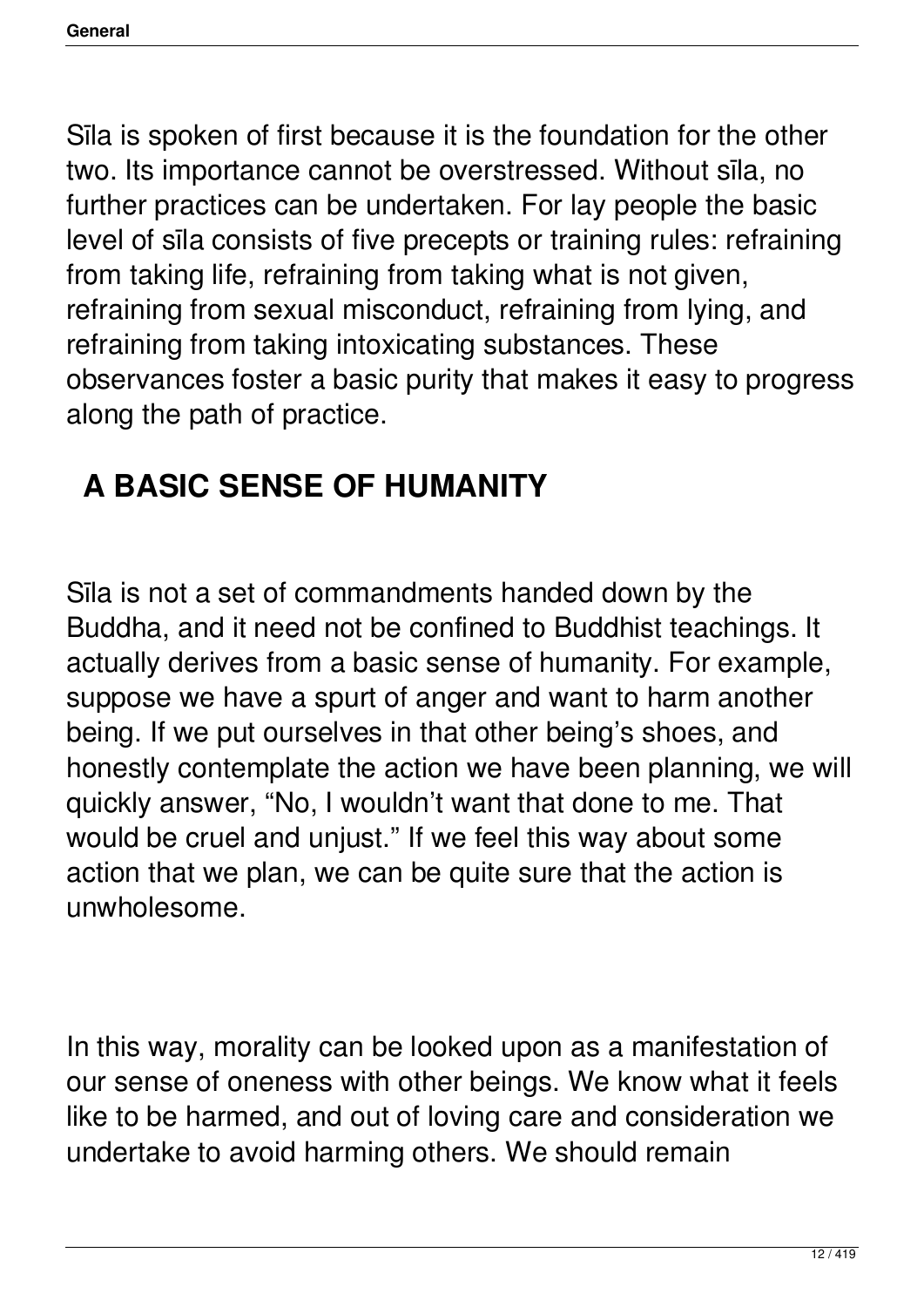Sīla is spoken of first because it is the foundation for the other two. Its importance cannot be overstressed. Without sīla, no further practices can be undertaken. For lay people the basic level of sīla consists of five precepts or training rules: refraining from taking life, refraining from taking what is not given, refraining from sexual misconduct, refraining from lying, and refraining from taking intoxicating substances. These observances foster a basic purity that makes it easy to progress along the path of practice.

### **A BASIC SENSE OF HUMANITY**

Sīla is not a set of commandments handed down by the Buddha, and it need not be confined to Buddhist teachings. It actually derives from a basic sense of humanity. For example, suppose we have a spurt of anger and want to harm another being. If we put ourselves in that other being's shoes, and honestly contemplate the action we have been planning, we will quickly answer, "No, I wouldn't want that done to me. That would be cruel and unjust." If we feel this way about some action that we plan, we can be quite sure that the action is unwholesome.

In this way, morality can be looked upon as a manifestation of our sense of oneness with other beings. We know what it feels like to be harmed, and out of loving care and consideration we undertake to avoid harming others. We should remain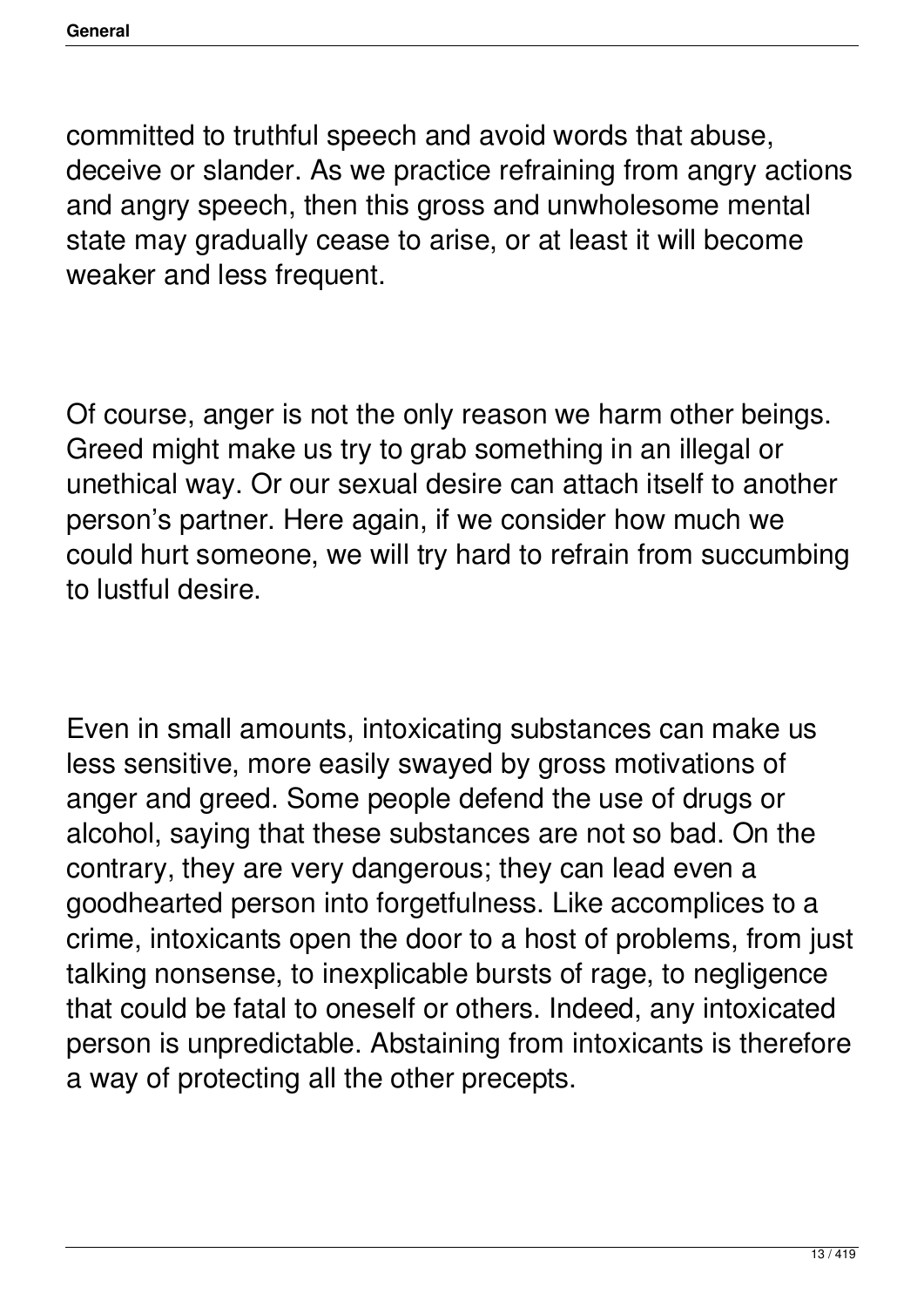committed to truthful speech and avoid words that abuse, deceive or slander. As we practice refraining from angry actions and angry speech, then this gross and unwholesome mental state may gradually cease to arise, or at least it will become weaker and less frequent.

Of course, anger is not the only reason we harm other beings. Greed might make us try to grab something in an illegal or unethical way. Or our sexual desire can attach itself to another person's partner. Here again, if we consider how much we could hurt someone, we will try hard to refrain from succumbing to lustful desire.

Even in small amounts, intoxicating substances can make us less sensitive, more easily swayed by gross motivations of anger and greed. Some people defend the use of drugs or alcohol, saying that these substances are not so bad. On the contrary, they are very dangerous; they can lead even a goodhearted person into forgetfulness. Like accomplices to a crime, intoxicants open the door to a host of problems, from just talking nonsense, to inexplicable bursts of rage, to negligence that could be fatal to oneself or others. Indeed, any intoxicated person is unpredictable. Abstaining from intoxicants is therefore a way of protecting all the other precepts.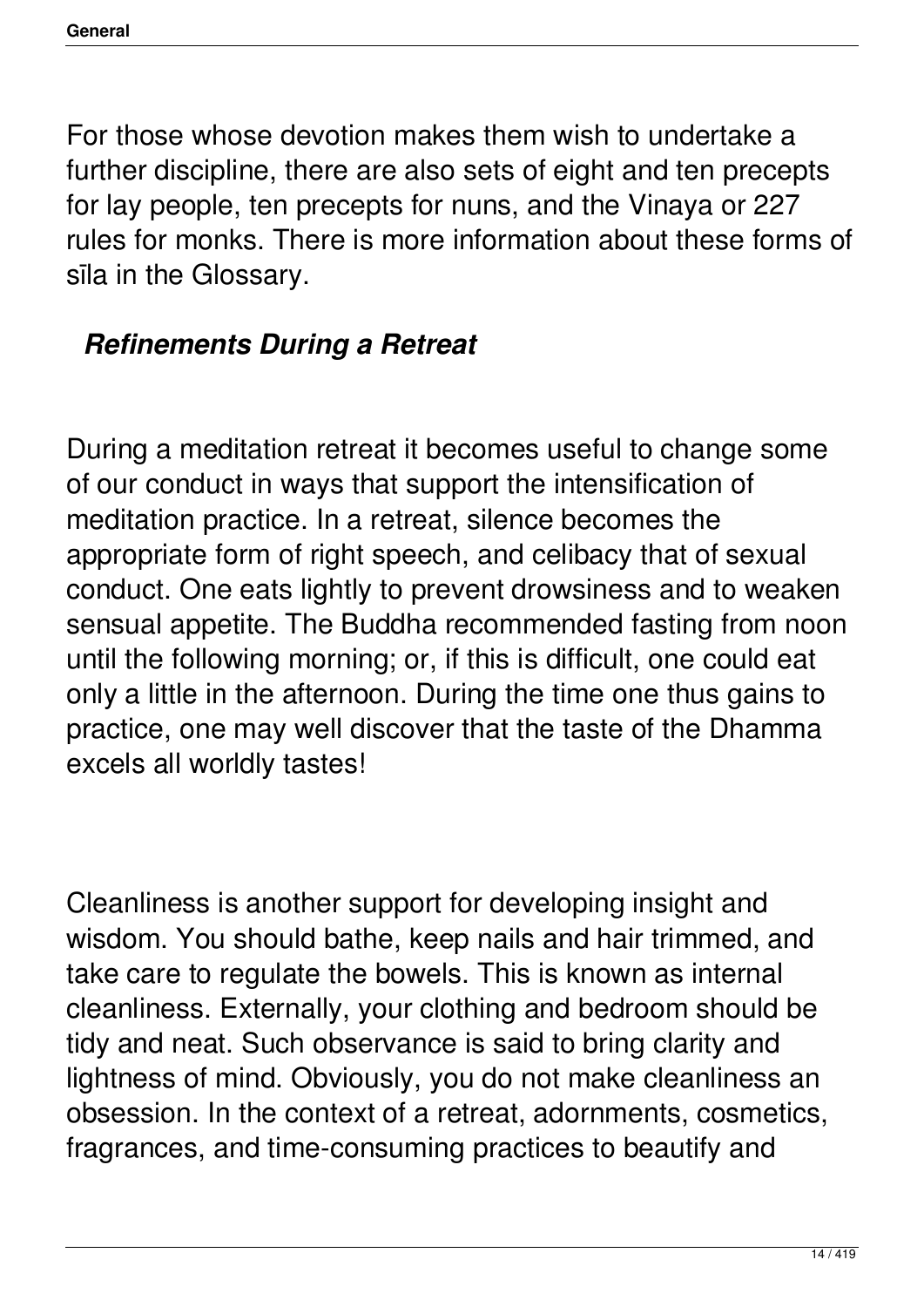For those whose devotion makes them wish to undertake a further discipline, there are also sets of eight and ten precepts for lay people, ten precepts for nuns, and the Vinaya or 227 rules for monks. There is more information about these forms of sīla in the Glossary.

#### *Refinements During a Retreat*

During a meditation retreat it becomes useful to change some of our conduct in ways that support the intensification of meditation practice. In a retreat, silence becomes the appropriate form of right speech, and celibacy that of sexual conduct. One eats lightly to prevent drowsiness and to weaken sensual appetite. The Buddha recommended fasting from noon until the following morning; or, if this is difficult, one could eat only a little in the afternoon. During the time one thus gains to practice, one may well discover that the taste of the Dhamma excels all worldly tastes!

Cleanliness is another support for developing insight and wisdom. You should bathe, keep nails and hair trimmed, and take care to regulate the bowels. This is known as internal cleanliness. Externally, your clothing and bedroom should be tidy and neat. Such observance is said to bring clarity and lightness of mind. Obviously, you do not make cleanliness an obsession. In the context of a retreat, adornments, cosmetics, fragrances, and time-consuming practices to beautify and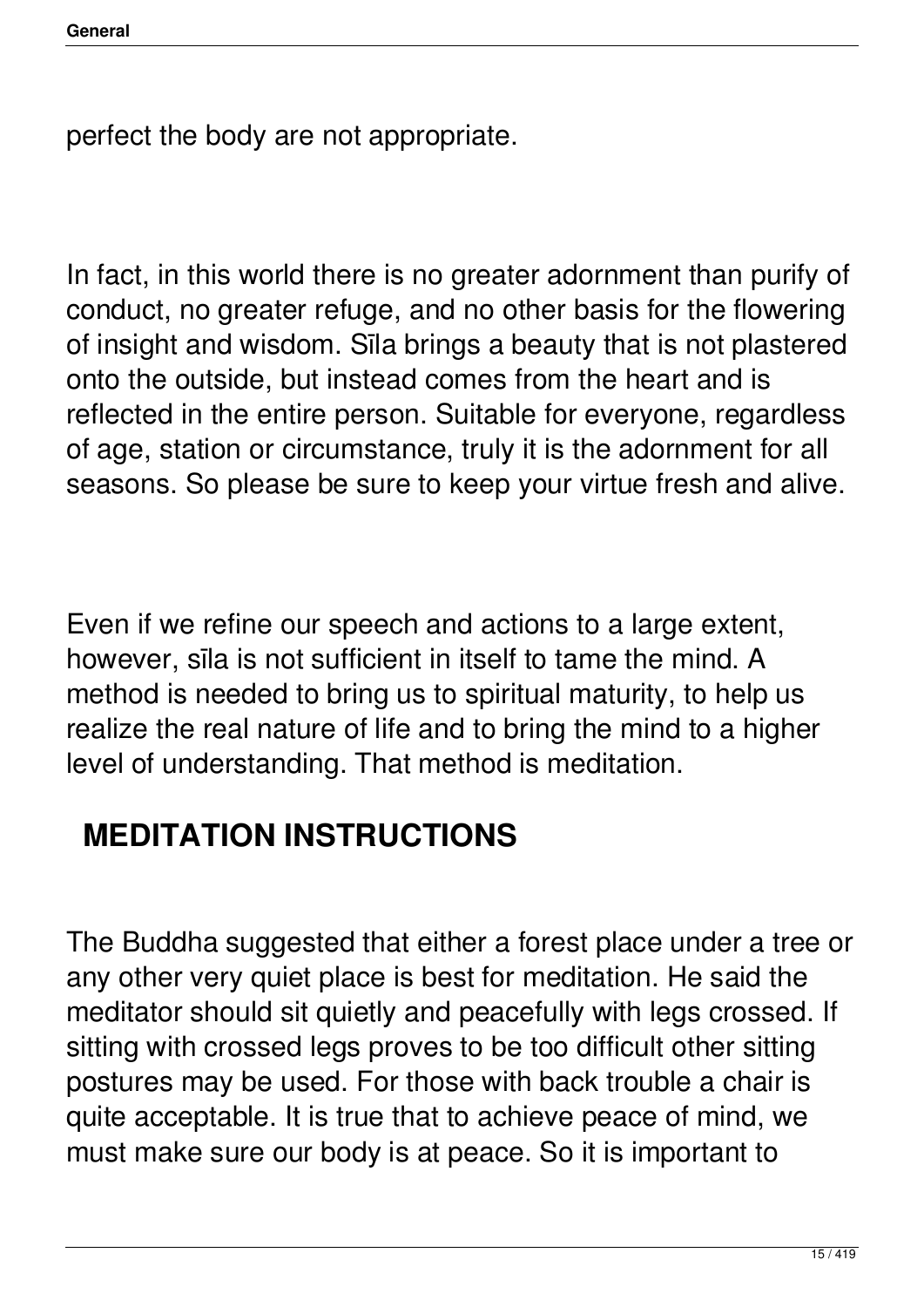perfect the body are not appropriate.

In fact, in this world there is no greater adornment than purify of conduct, no greater refuge, and no other basis for the flowering of insight and wisdom. Sīla brings a beauty that is not plastered onto the outside, but instead comes from the heart and is reflected in the entire person. Suitable for everyone, regardless of age, station or circumstance, truly it is the adornment for all seasons. So please be sure to keep your virtue fresh and alive.

Even if we refine our speech and actions to a large extent, however, sīla is not sufficient in itself to tame the mind. A method is needed to bring us to spiritual maturity, to help us realize the real nature of life and to bring the mind to a higher level of understanding. That method is meditation.

#### **MEDITATION INSTRUCTIONS**

The Buddha suggested that either a forest place under a tree or any other very quiet place is best for meditation. He said the meditator should sit quietly and peacefully with legs crossed. If sitting with crossed legs proves to be too difficult other sitting postures may be used. For those with back trouble a chair is quite acceptable. It is true that to achieve peace of mind, we must make sure our body is at peace. So it is important to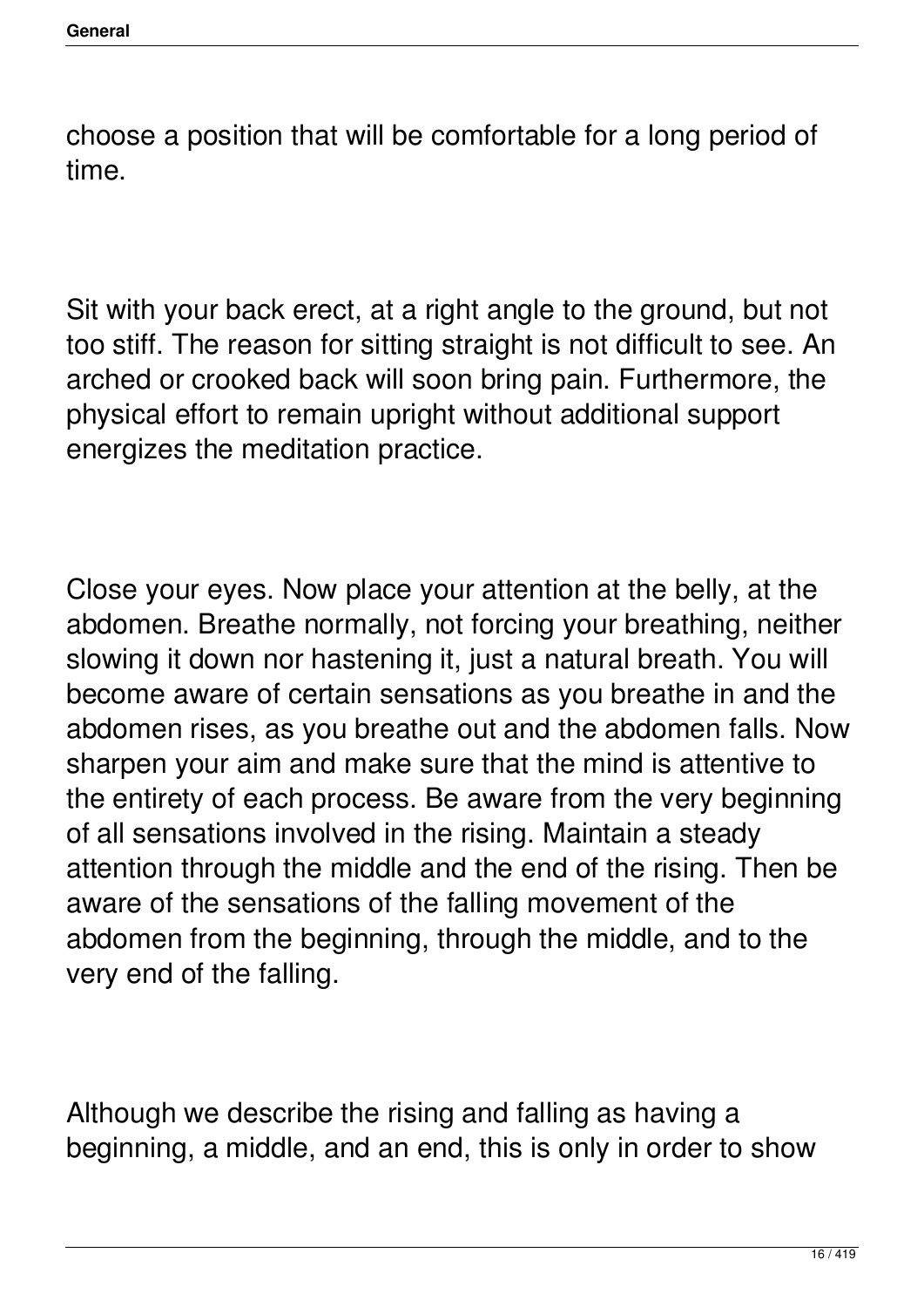choose a position that will be comfortable for a long period of time.

Sit with your back erect, at a right angle to the ground, but not too stiff. The reason for sitting straight is not difficult to see. An arched or crooked back will soon bring pain. Furthermore, the physical effort to remain upright without additional support energizes the meditation practice.

Close your eyes. Now place your attention at the belly, at the abdomen. Breathe normally, not forcing your breathing, neither slowing it down nor hastening it, just a natural breath. You will become aware of certain sensations as you breathe in and the abdomen rises, as you breathe out and the abdomen falls. Now sharpen your aim and make sure that the mind is attentive to the entirety of each process. Be aware from the very beginning of all sensations involved in the rising. Maintain a steady attention through the middle and the end of the rising. Then be aware of the sensations of the falling movement of the abdomen from the beginning, through the middle, and to the very end of the falling.

Although we describe the rising and falling as having a beginning, a middle, and an end, this is only in order to show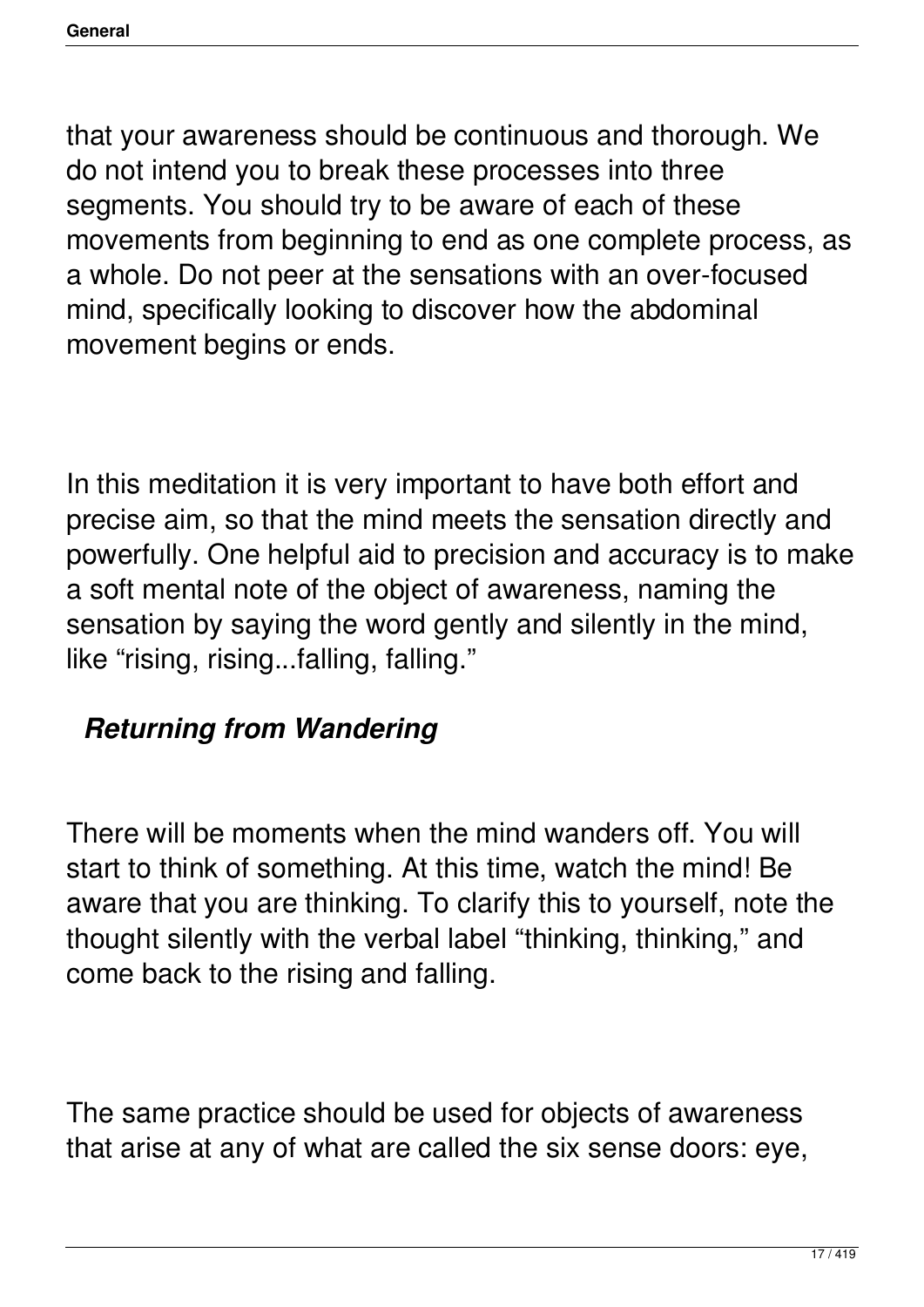that your awareness should be continuous and thorough. We do not intend you to break these processes into three segments. You should try to be aware of each of these movements from beginning to end as one complete process, as a whole. Do not peer at the sensations with an over-focused mind, specifically looking to discover how the abdominal movement begins or ends.

In this meditation it is very important to have both effort and precise aim, so that the mind meets the sensation directly and powerfully. One helpful aid to precision and accuracy is to make a soft mental note of the object of awareness, naming the sensation by saying the word gently and silently in the mind, like "rising, rising...falling, falling."

#### *Returning from Wandering*

There will be moments when the mind wanders off. You will start to think of something. At this time, watch the mind! Be aware that you are thinking. To clarify this to yourself, note the thought silently with the verbal label "thinking, thinking," and come back to the rising and falling.

The same practice should be used for objects of awareness that arise at any of what are called the six sense doors: eye,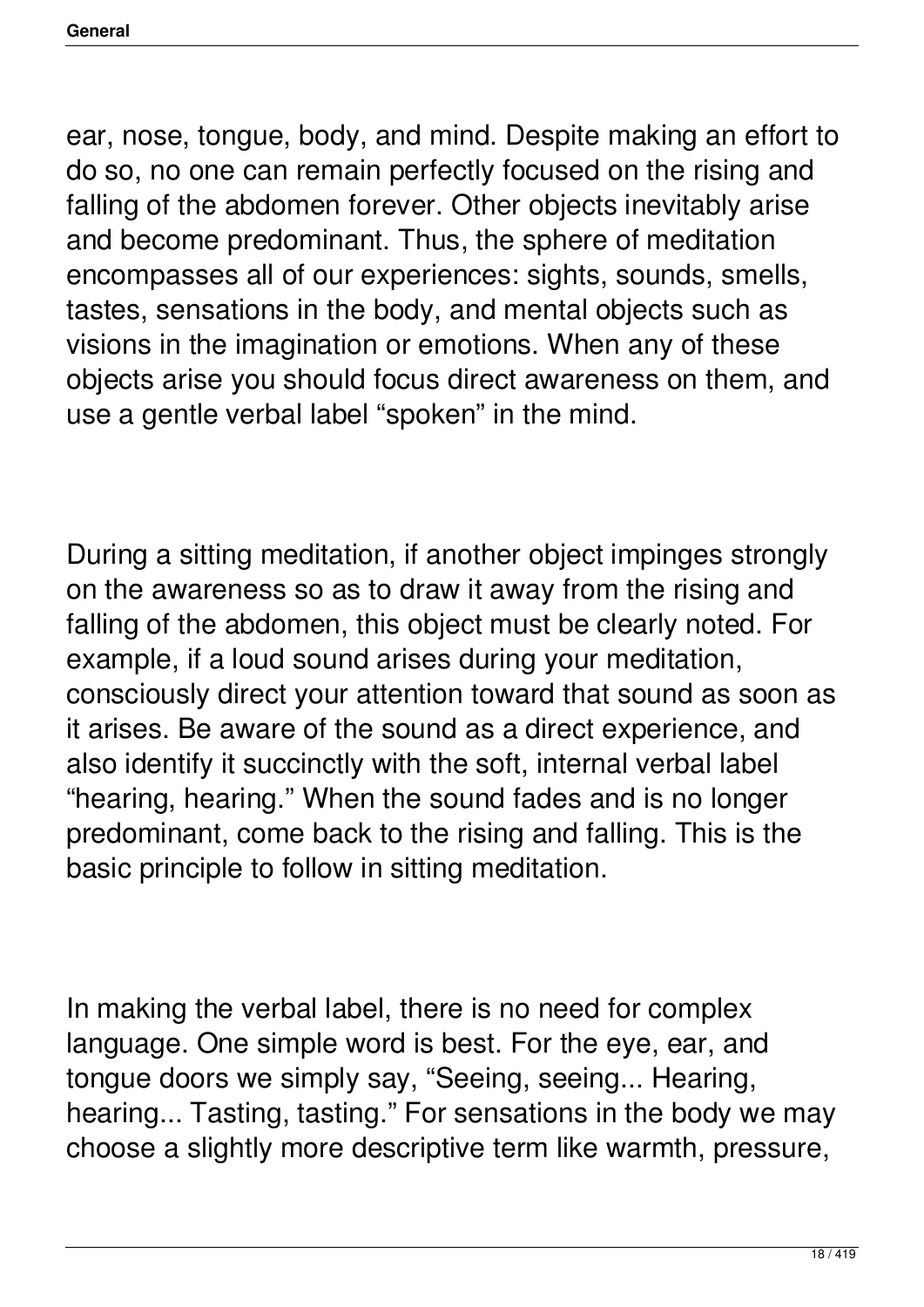ear, nose, tongue, body, and mind. Despite making an effort to do so, no one can remain perfectly focused on the rising and falling of the abdomen forever. Other objects inevitably arise and become predominant. Thus, the sphere of meditation encompasses all of our experiences: sights, sounds, smells, tastes, sensations in the body, and mental objects such as visions in the imagination or emotions. When any of these objects arise you should focus direct awareness on them, and use a gentle verbal label "spoken" in the mind.

During a sitting meditation, if another object impinges strongly on the awareness so as to draw it away from the rising and falling of the abdomen, this object must be clearly noted. For example, if a loud sound arises during your meditation, consciously direct your attention toward that sound as soon as it arises. Be aware of the sound as a direct experience, and also identify it succinctly with the soft, internal verbal label "hearing, hearing." When the sound fades and is no longer predominant, come back to the rising and falling. This is the basic principle to follow in sitting meditation.

In making the verbal label, there is no need for complex language. One simple word is best. For the eye, ear, and tongue doors we simply say, "Seeing, seeing... Hearing, hearing... Tasting, tasting." For sensations in the body we may choose a slightly more descriptive term like warmth, pressure,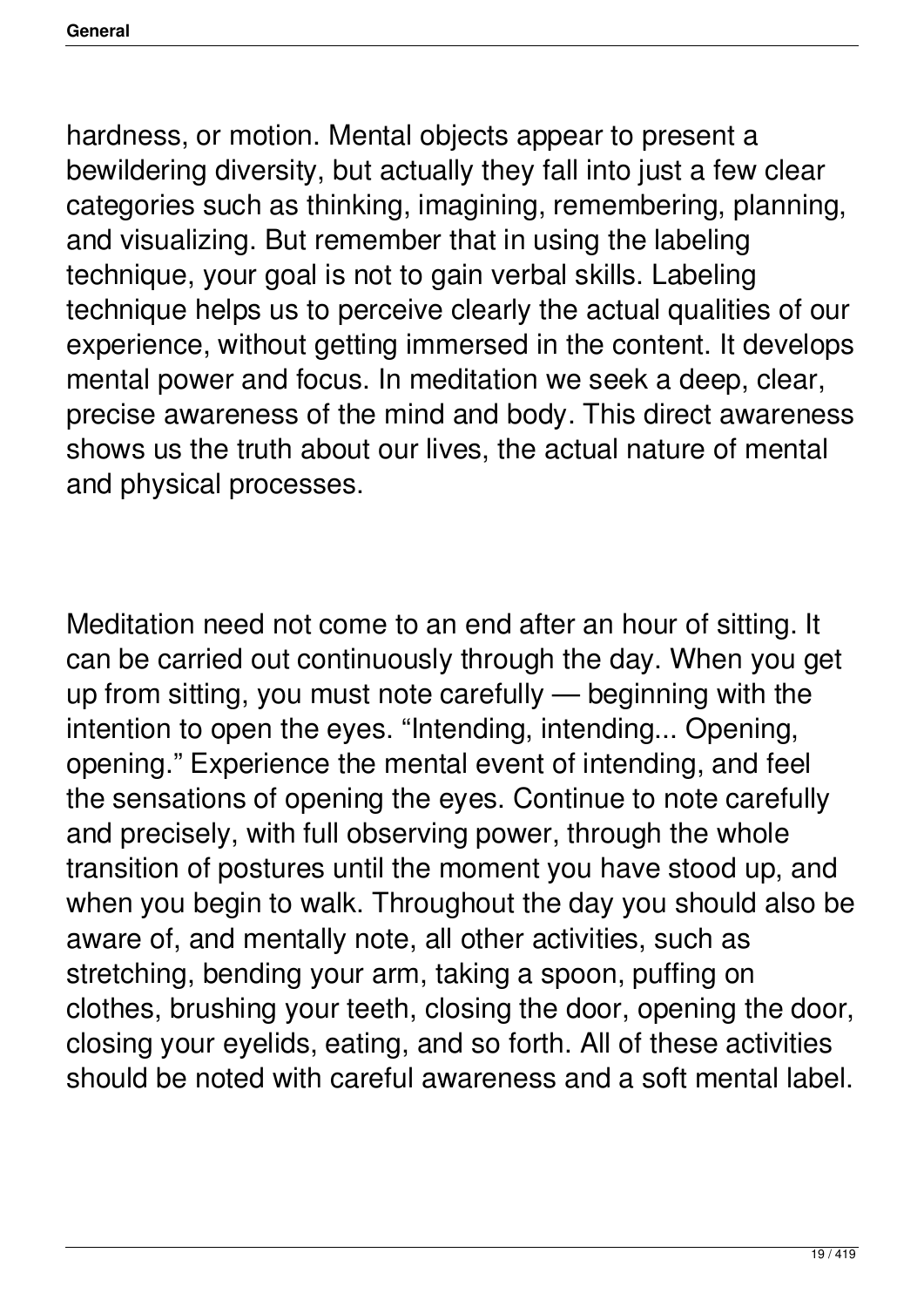hardness, or motion. Mental objects appear to present a bewildering diversity, but actually they fall into just a few clear categories such as thinking, imagining, remembering, planning, and visualizing. But remember that in using the labeling technique, your goal is not to gain verbal skills. Labeling technique helps us to perceive clearly the actual qualities of our experience, without getting immersed in the content. It develops mental power and focus. In meditation we seek a deep, clear, precise awareness of the mind and body. This direct awareness shows us the truth about our lives, the actual nature of mental and physical processes.

Meditation need not come to an end after an hour of sitting. It can be carried out continuously through the day. When you get up from sitting, you must note carefully — beginning with the intention to open the eyes. "Intending, intending... Opening, opening." Experience the mental event of intending, and feel the sensations of opening the eyes. Continue to note carefully and precisely, with full observing power, through the whole transition of postures until the moment you have stood up, and when you begin to walk. Throughout the day you should also be aware of, and mentally note, all other activities, such as stretching, bending your arm, taking a spoon, puffing on clothes, brushing your teeth, closing the door, opening the door, closing your eyelids, eating, and so forth. All of these activities should be noted with careful awareness and a soft mental label.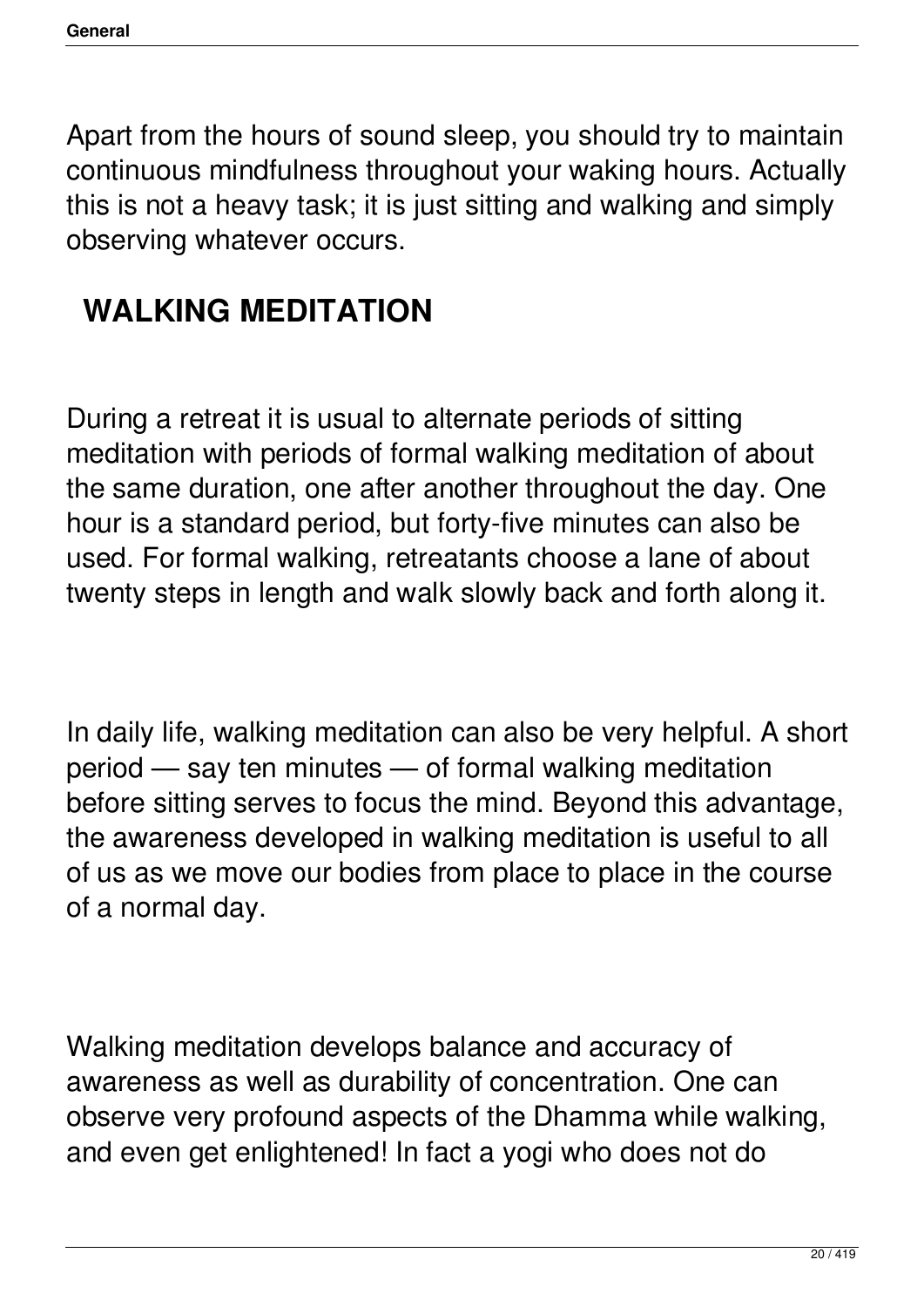Apart from the hours of sound sleep, you should try to maintain continuous mindfulness throughout your waking hours. Actually this is not a heavy task; it is just sitting and walking and simply observing whatever occurs.

### **WALKING MEDITATION**

During a retreat it is usual to alternate periods of sitting meditation with periods of formal walking meditation of about the same duration, one after another throughout the day. One hour is a standard period, but forty-five minutes can also be used. For formal walking, retreatants choose a lane of about twenty steps in length and walk slowly back and forth along it.

In daily life, walking meditation can also be very helpful. A short period — say ten minutes — of formal walking meditation before sitting serves to focus the mind. Beyond this advantage, the awareness developed in walking meditation is useful to all of us as we move our bodies from place to place in the course of a normal day.

Walking meditation develops balance and accuracy of awareness as well as durability of concentration. One can observe very profound aspects of the Dhamma while walking, and even get enlightened! In fact a yogi who does not do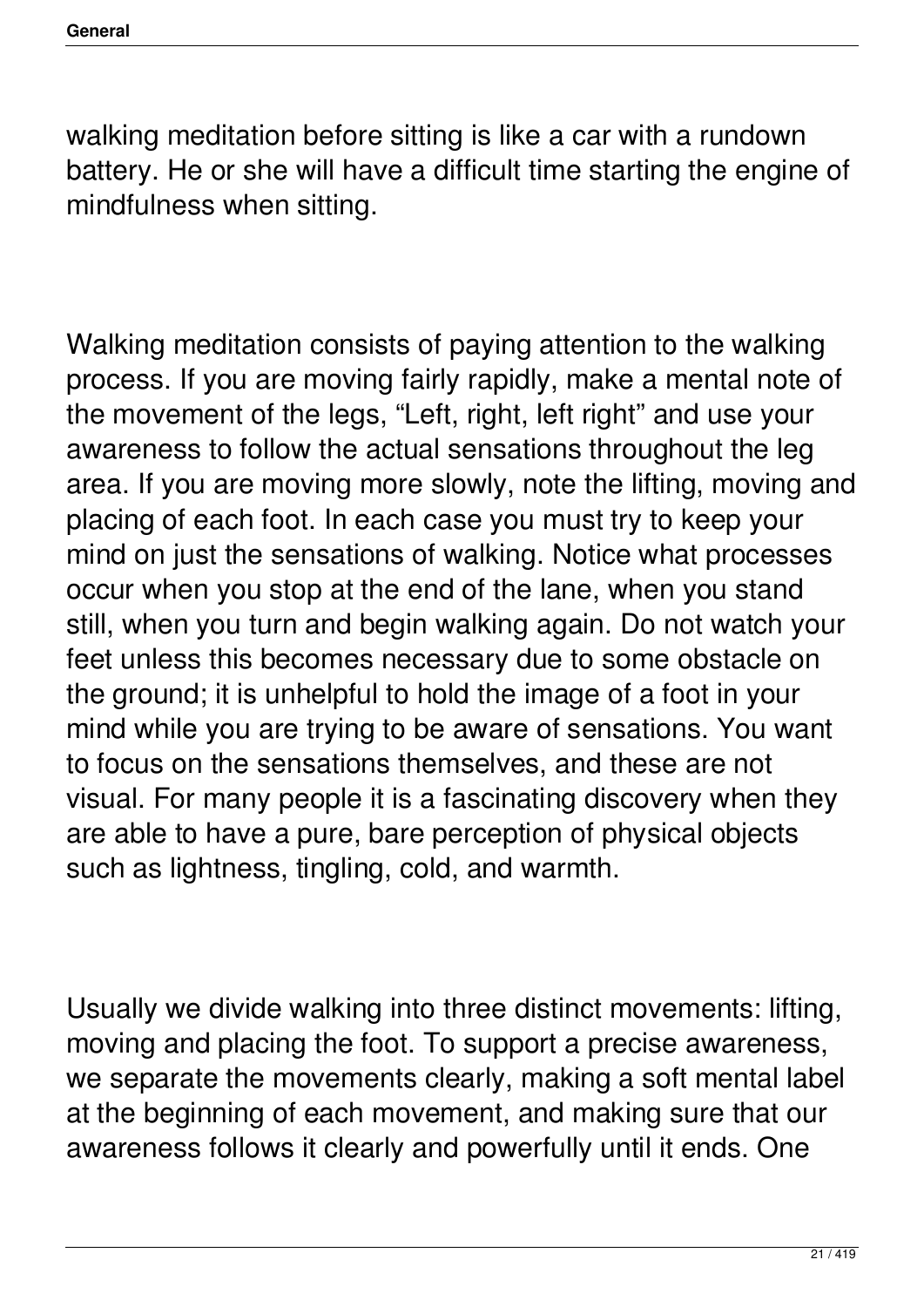walking meditation before sitting is like a car with a rundown battery. He or she will have a difficult time starting the engine of mindfulness when sitting.

Walking meditation consists of paying attention to the walking process. If you are moving fairly rapidly, make a mental note of the movement of the legs, "Left, right, left right" and use your awareness to follow the actual sensations throughout the leg area. If you are moving more slowly, note the lifting, moving and placing of each foot. In each case you must try to keep your mind on just the sensations of walking. Notice what processes occur when you stop at the end of the lane, when you stand still, when you turn and begin walking again. Do not watch your feet unless this becomes necessary due to some obstacle on the ground; it is unhelpful to hold the image of a foot in your mind while you are trying to be aware of sensations. You want to focus on the sensations themselves, and these are not visual. For many people it is a fascinating discovery when they are able to have a pure, bare perception of physical objects such as lightness, tingling, cold, and warmth.

Usually we divide walking into three distinct movements: lifting, moving and placing the foot. To support a precise awareness, we separate the movements clearly, making a soft mental label at the beginning of each movement, and making sure that our awareness follows it clearly and powerfully until it ends. One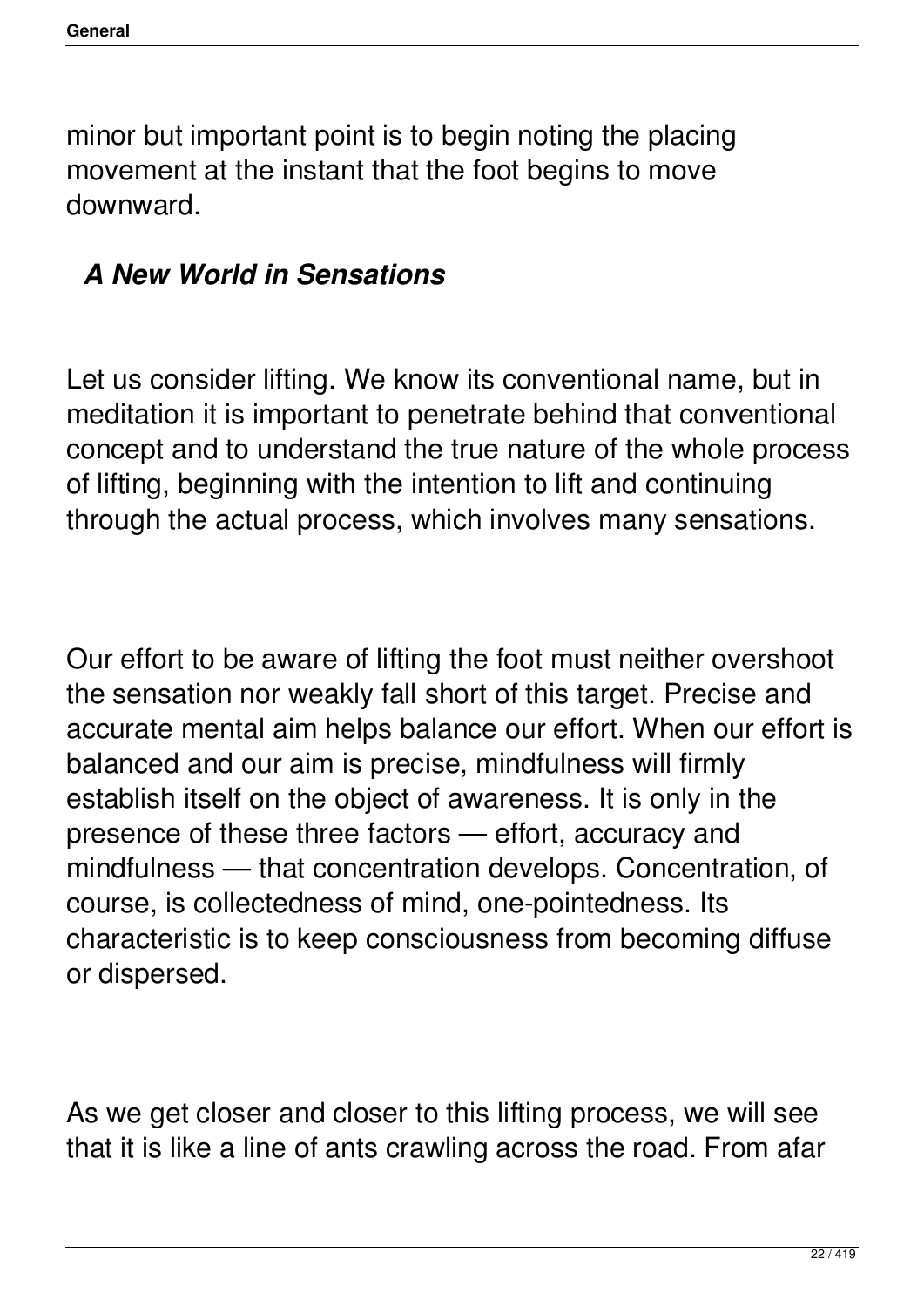minor but important point is to begin noting the placing movement at the instant that the foot begins to move downward.

#### *A New World in Sensations*

Let us consider lifting. We know its conventional name, but in meditation it is important to penetrate behind that conventional concept and to understand the true nature of the whole process of lifting, beginning with the intention to lift and continuing through the actual process, which involves many sensations.

Our effort to be aware of lifting the foot must neither overshoot the sensation nor weakly fall short of this target. Precise and accurate mental aim helps balance our effort. When our effort is balanced and our aim is precise, mindfulness will firmly establish itself on the object of awareness. It is only in the presence of these three factors — effort, accuracy and mindfulness — that concentration develops. Concentration, of course, is collectedness of mind, one-pointedness. Its characteristic is to keep consciousness from becoming diffuse or dispersed.

As we get closer and closer to this lifting process, we will see that it is like a line of ants crawling across the road. From afar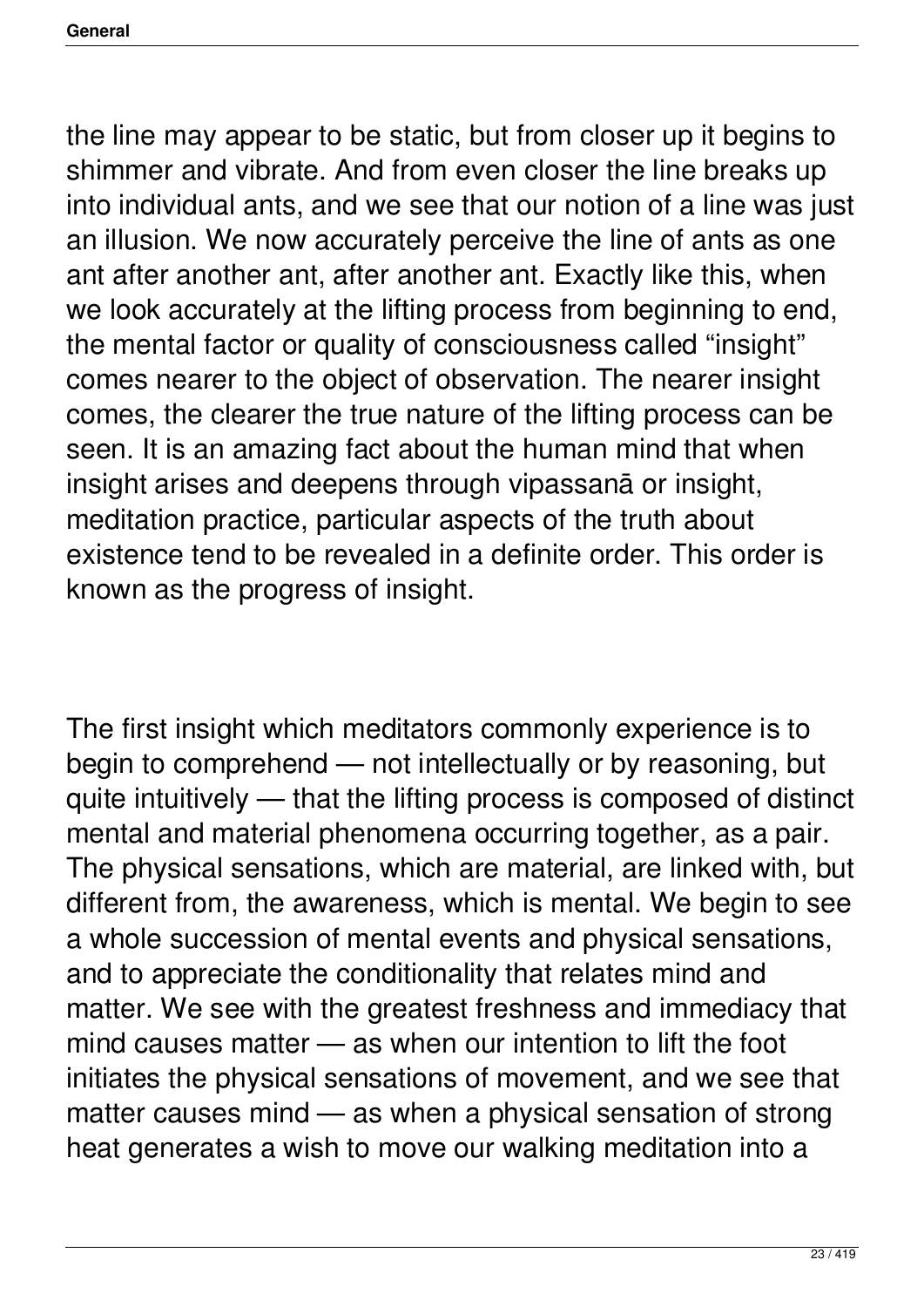the line may appear to be static, but from closer up it begins to shimmer and vibrate. And from even closer the line breaks up into individual ants, and we see that our notion of a line was just an illusion. We now accurately perceive the line of ants as one ant after another ant, after another ant. Exactly like this, when we look accurately at the lifting process from beginning to end, the mental factor or quality of consciousness called "insight" comes nearer to the object of observation. The nearer insight comes, the clearer the true nature of the lifting process can be seen. It is an amazing fact about the human mind that when insight arises and deepens through vipassanā or insight, meditation practice, particular aspects of the truth about existence tend to be revealed in a definite order. This order is known as the progress of insight.

The first insight which meditators commonly experience is to begin to comprehend — not intellectually or by reasoning, but quite intuitively — that the lifting process is composed of distinct mental and material phenomena occurring together, as a pair. The physical sensations, which are material, are linked with, but different from, the awareness, which is mental. We begin to see a whole succession of mental events and physical sensations, and to appreciate the conditionality that relates mind and matter. We see with the greatest freshness and immediacy that mind causes matter — as when our intention to lift the foot initiates the physical sensations of movement, and we see that matter causes mind — as when a physical sensation of strong heat generates a wish to move our walking meditation into a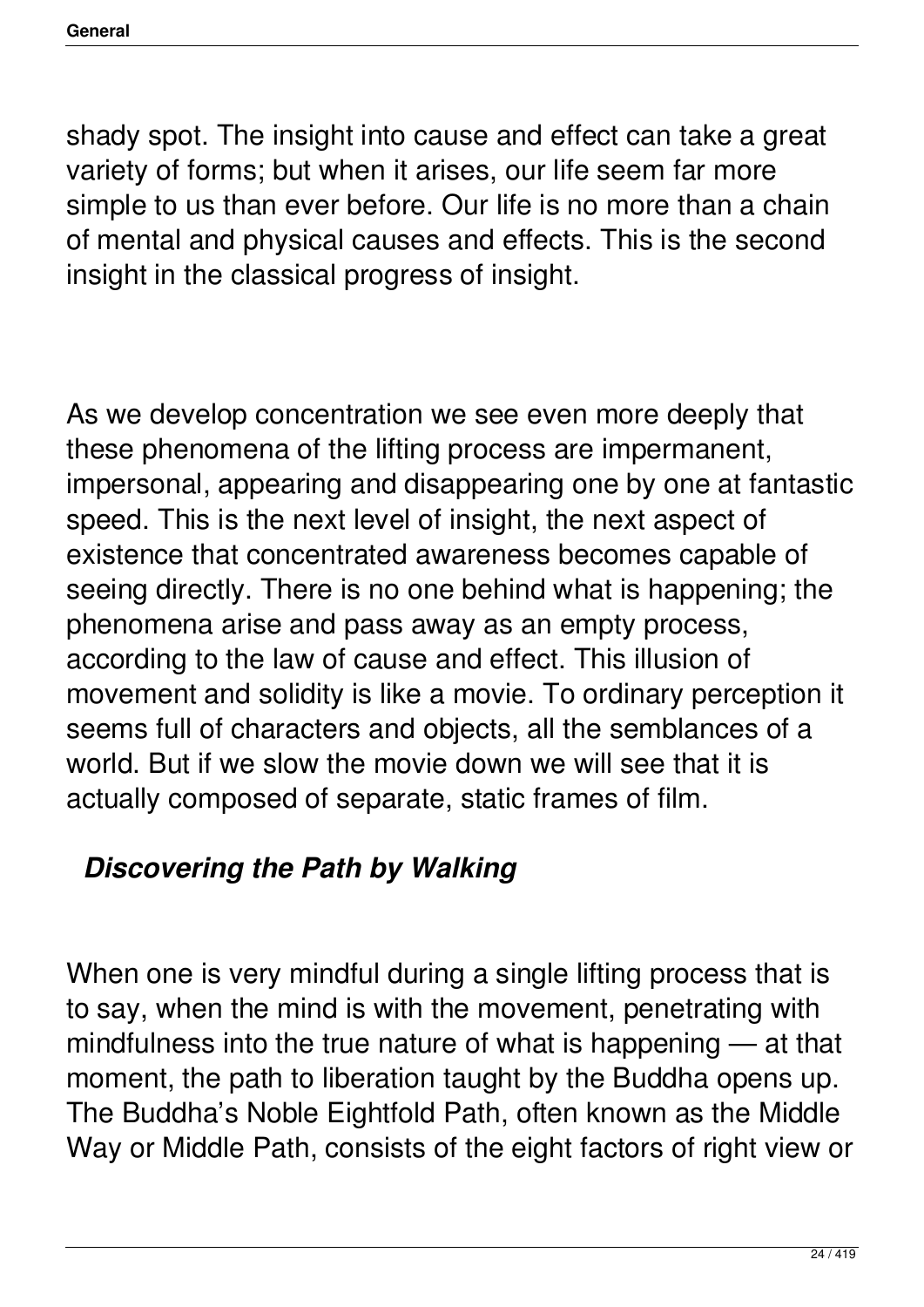shady spot. The insight into cause and effect can take a great variety of forms; but when it arises, our life seem far more simple to us than ever before. Our life is no more than a chain of mental and physical causes and effects. This is the second insight in the classical progress of insight.

As we develop concentration we see even more deeply that these phenomena of the lifting process are impermanent, impersonal, appearing and disappearing one by one at fantastic speed. This is the next level of insight, the next aspect of existence that concentrated awareness becomes capable of seeing directly. There is no one behind what is happening; the phenomena arise and pass away as an empty process, according to the law of cause and effect. This illusion of movement and solidity is like a movie. To ordinary perception it seems full of characters and objects, all the semblances of a world. But if we slow the movie down we will see that it is actually composed of separate, static frames of film.

#### *Discovering the Path by Walking*

When one is very mindful during a single lifting process that is to say, when the mind is with the movement, penetrating with mindfulness into the true nature of what is happening — at that moment, the path to liberation taught by the Buddha opens up. The Buddha's Noble Eightfold Path, often known as the Middle Way or Middle Path, consists of the eight factors of right view or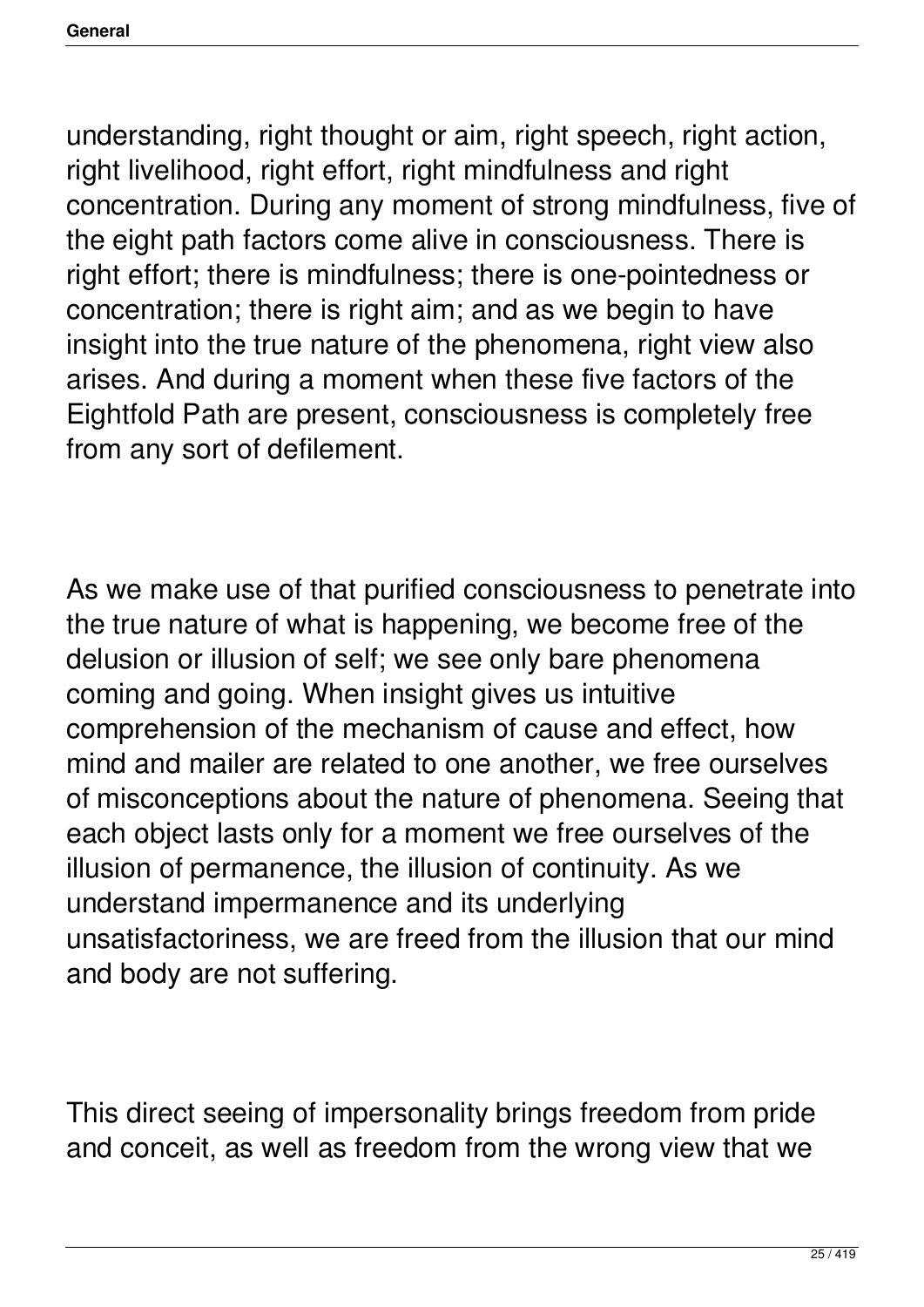understanding, right thought or aim, right speech, right action, right livelihood, right effort, right mindfulness and right concentration. During any moment of strong mindfulness, five of the eight path factors come alive in consciousness. There is right effort; there is mindfulness; there is one-pointedness or concentration; there is right aim; and as we begin to have insight into the true nature of the phenomena, right view also arises. And during a moment when these five factors of the Eightfold Path are present, consciousness is completely free from any sort of defilement.

As we make use of that purified consciousness to penetrate into the true nature of what is happening, we become free of the delusion or illusion of self; we see only bare phenomena coming and going. When insight gives us intuitive comprehension of the mechanism of cause and effect, how mind and mailer are related to one another, we free ourselves of misconceptions about the nature of phenomena. Seeing that each object lasts only for a moment we free ourselves of the illusion of permanence, the illusion of continuity. As we understand impermanence and its underlying unsatisfactoriness, we are freed from the illusion that our mind and body are not suffering.

This direct seeing of impersonality brings freedom from pride and conceit, as well as freedom from the wrong view that we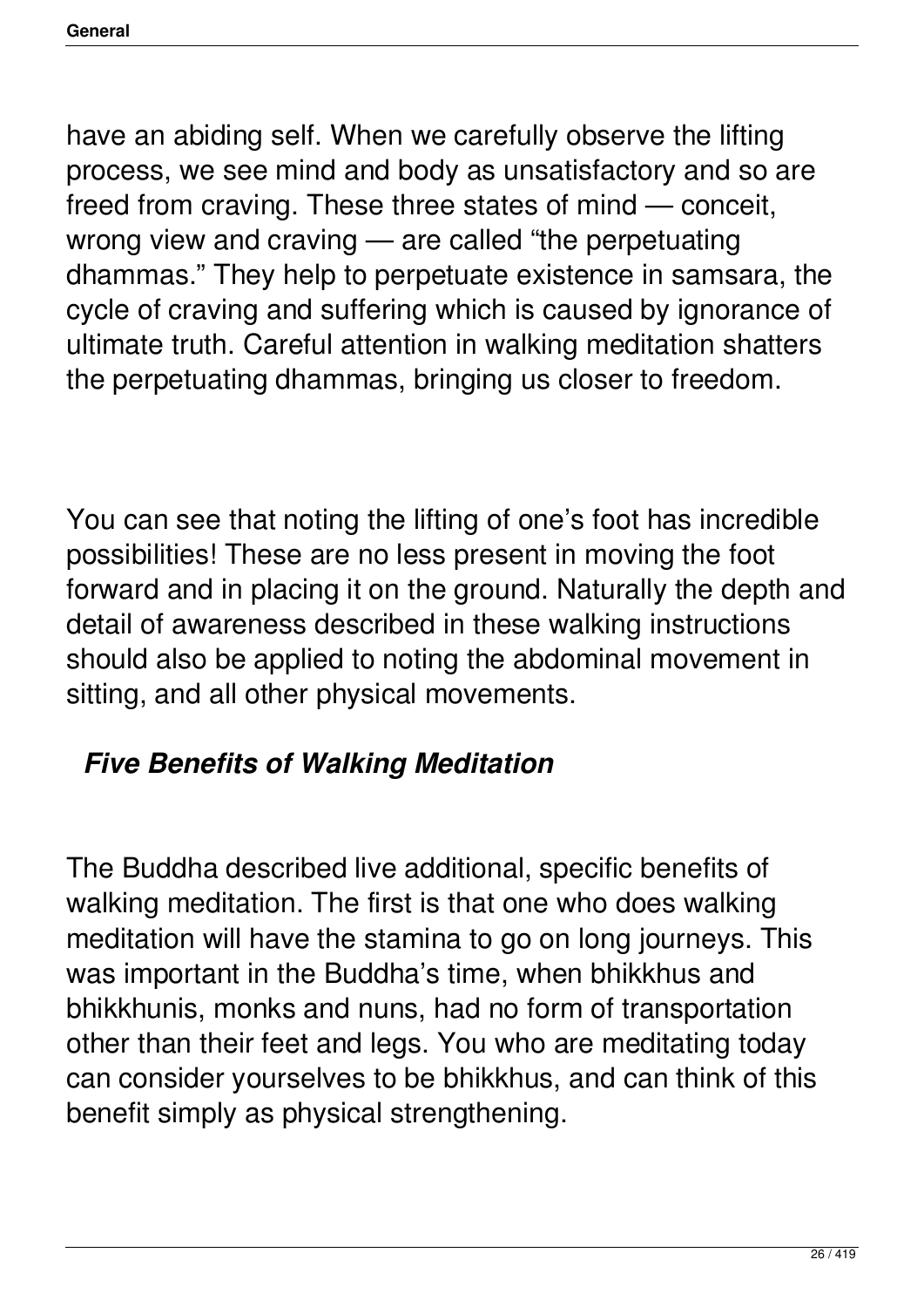have an abiding self. When we carefully observe the lifting process, we see mind and body as unsatisfactory and so are freed from craving. These three states of mind — conceit, wrong view and craving — are called "the perpetuating dhammas." They help to perpetuate existence in samsara, the cycle of craving and suffering which is caused by ignorance of ultimate truth. Careful attention in walking meditation shatters the perpetuating dhammas, bringing us closer to freedom.

You can see that noting the lifting of one's foot has incredible possibilities! These are no less present in moving the foot forward and in placing it on the ground. Naturally the depth and detail of awareness described in these walking instructions should also be applied to noting the abdominal movement in sitting, and all other physical movements.

#### *Five Benefits of Walking Meditation*

The Buddha described live additional, specific benefits of walking meditation. The first is that one who does walking meditation will have the stamina to go on long journeys. This was important in the Buddha's time, when bhikkhus and bhikkhunis, monks and nuns, had no form of transportation other than their feet and legs. You who are meditating today can consider yourselves to be bhikkhus, and can think of this benefit simply as physical strengthening.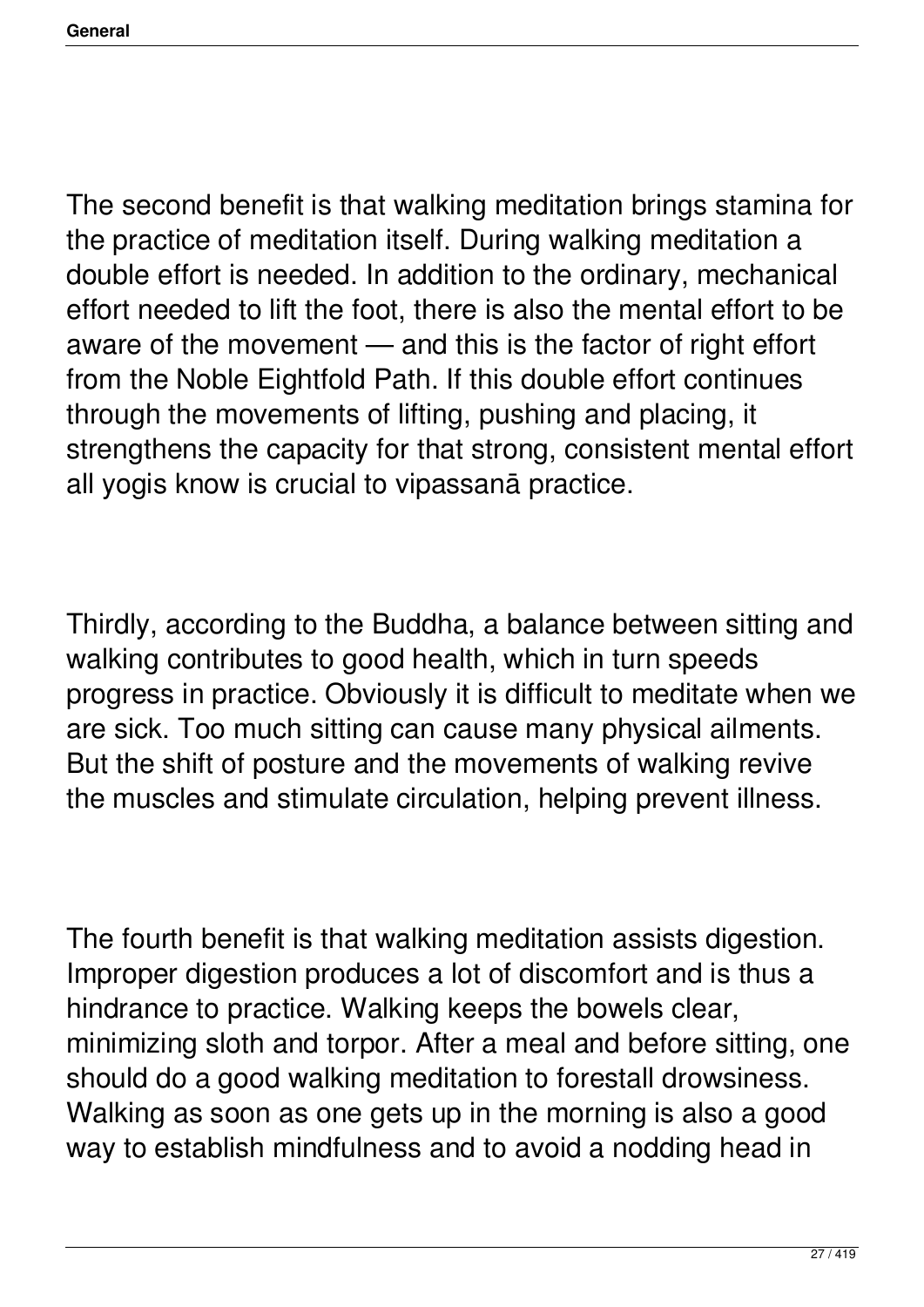The second benefit is that walking meditation brings stamina for the practice of meditation itself. During walking meditation a double effort is needed. In addition to the ordinary, mechanical effort needed to lift the foot, there is also the mental effort to be aware of the movement — and this is the factor of right effort from the Noble Eightfold Path. If this double effort continues through the movements of lifting, pushing and placing, it strengthens the capacity for that strong, consistent mental effort all yogis know is crucial to vipassanā practice.

Thirdly, according to the Buddha, a balance between sitting and walking contributes to good health, which in turn speeds progress in practice. Obviously it is difficult to meditate when we are sick. Too much sitting can cause many physical ailments. But the shift of posture and the movements of walking revive the muscles and stimulate circulation, helping prevent illness.

The fourth benefit is that walking meditation assists digestion. Improper digestion produces a lot of discomfort and is thus a hindrance to practice. Walking keeps the bowels clear, minimizing sloth and torpor. After a meal and before sitting, one should do a good walking meditation to forestall drowsiness. Walking as soon as one gets up in the morning is also a good way to establish mindfulness and to avoid a nodding head in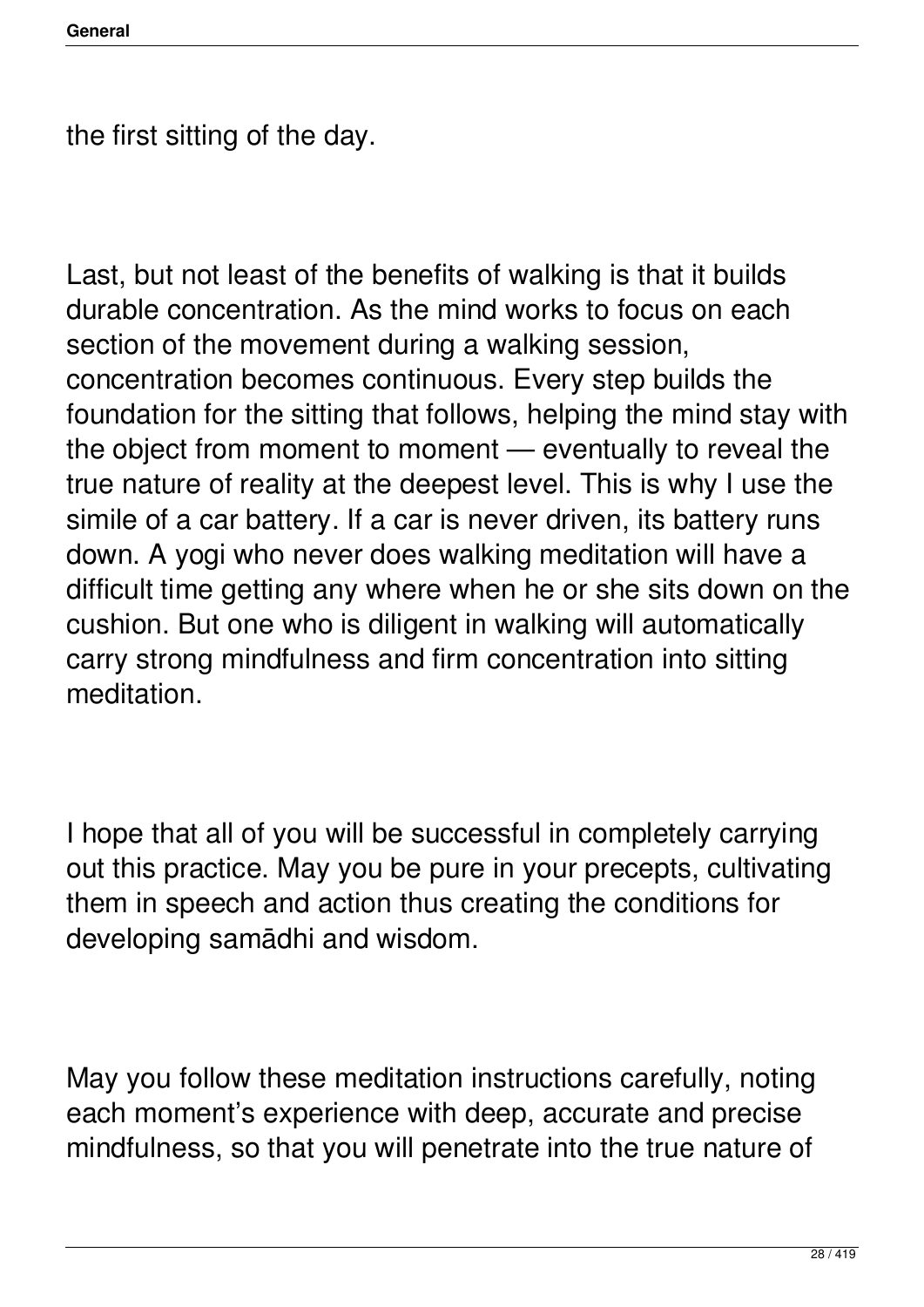the first sitting of the day.

Last, but not least of the benefits of walking is that it builds durable concentration. As the mind works to focus on each section of the movement during a walking session, concentration becomes continuous. Every step builds the foundation for the sitting that follows, helping the mind stay with the object from moment to moment — eventually to reveal the true nature of reality at the deepest level. This is why I use the simile of a car battery. If a car is never driven, its battery runs down. A yogi who never does walking meditation will have a difficult time getting any where when he or she sits down on the cushion. But one who is diligent in walking will automatically carry strong mindfulness and firm concentration into sitting meditation.

I hope that all of you will be successful in completely carrying out this practice. May you be pure in your precepts, cultivating them in speech and action thus creating the conditions for developing samādhi and wisdom.

May you follow these meditation instructions carefully, noting each moment's experience with deep, accurate and precise mindfulness, so that you will penetrate into the true nature of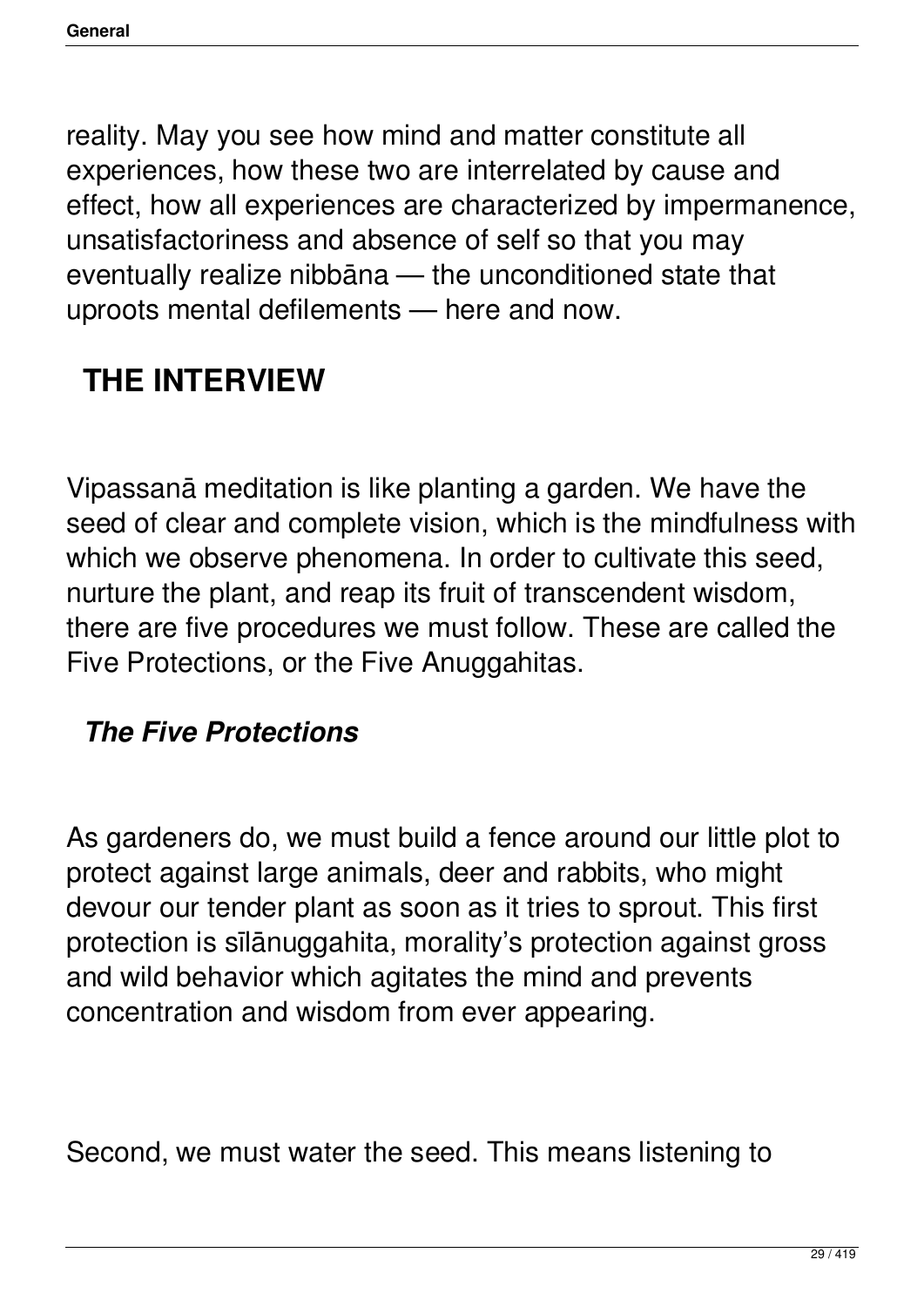reality. May you see how mind and matter constitute all experiences, how these two are interrelated by cause and effect, how all experiences are characterized by impermanence, unsatisfactoriness and absence of self so that you may eventually realize nibbāna — the unconditioned state that uproots mental defilements — here and now.

### **THE INTERVIEW**

Vipassanā meditation is like planting a garden. We have the seed of clear and complete vision, which is the mindfulness with which we observe phenomena. In order to cultivate this seed, nurture the plant, and reap its fruit of transcendent wisdom, there are five procedures we must follow. These are called the Five Protections, or the Five Anuggahitas.

#### *The Five Protections*

As gardeners do, we must build a fence around our little plot to protect against large animals, deer and rabbits, who might devour our tender plant as soon as it tries to sprout. This first protection is sīlānuggahita, morality's protection against gross and wild behavior which agitates the mind and prevents concentration and wisdom from ever appearing.

Second, we must water the seed. This means listening to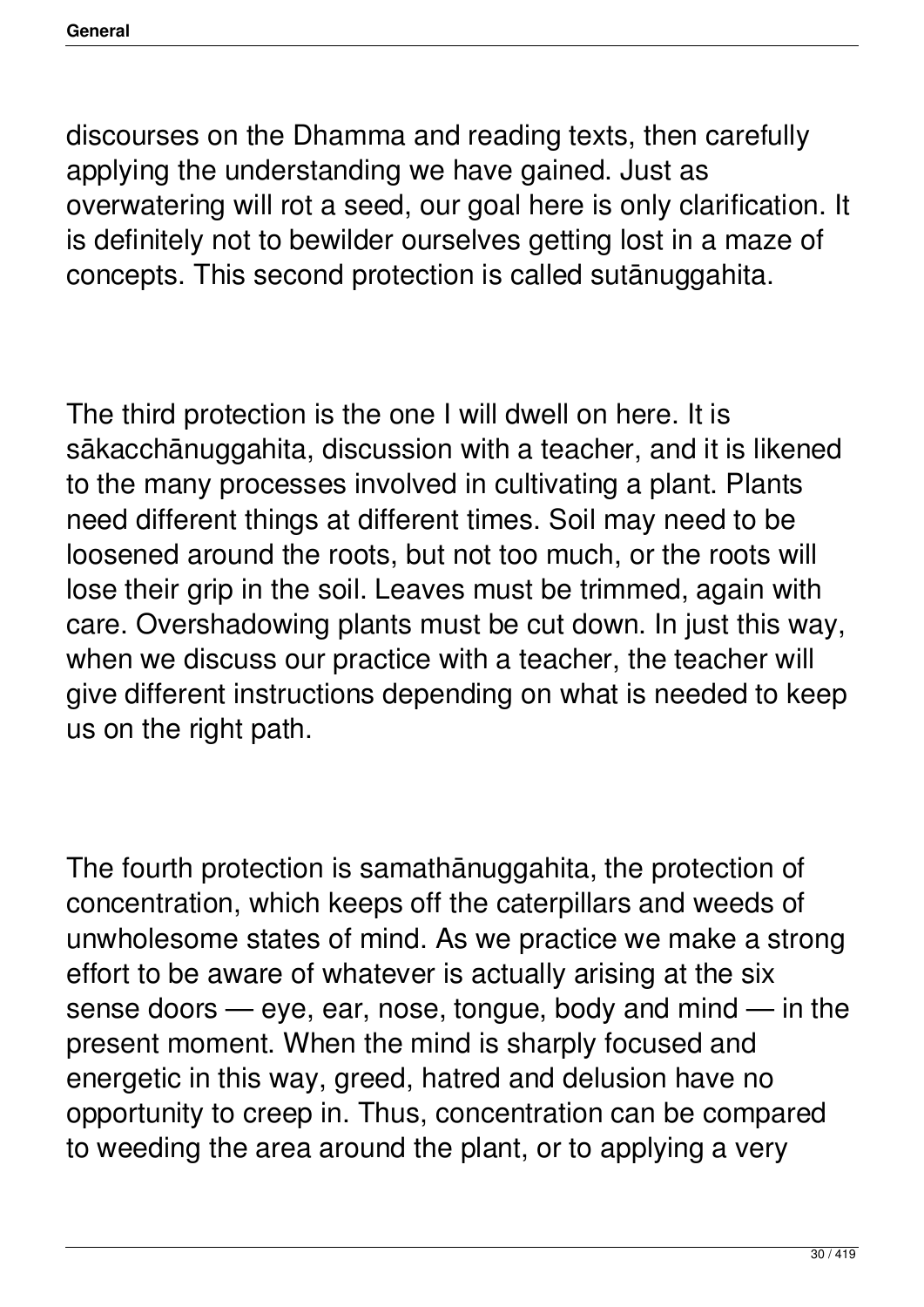discourses on the Dhamma and reading texts, then carefully applying the understanding we have gained. Just as overwatering will rot a seed, our goal here is only clarification. It is definitely not to bewilder ourselves getting lost in a maze of concepts. This second protection is called sutānuggahita.

The third protection is the one I will dwell on here. It is sākacchānuggahita, discussion with a teacher, and it is likened to the many processes involved in cultivating a plant. Plants need different things at different times. Soil may need to be loosened around the roots, but not too much, or the roots will lose their grip in the soil. Leaves must be trimmed, again with care. Overshadowing plants must be cut down. In just this way, when we discuss our practice with a teacher, the teacher will give different instructions depending on what is needed to keep us on the right path.

The fourth protection is samathānuggahita, the protection of concentration, which keeps off the caterpillars and weeds of unwholesome states of mind. As we practice we make a strong effort to be aware of whatever is actually arising at the six sense doors — eye, ear, nose, tongue, body and mind — in the present moment. When the mind is sharply focused and energetic in this way, greed, hatred and delusion have no opportunity to creep in. Thus, concentration can be compared to weeding the area around the plant, or to applying a very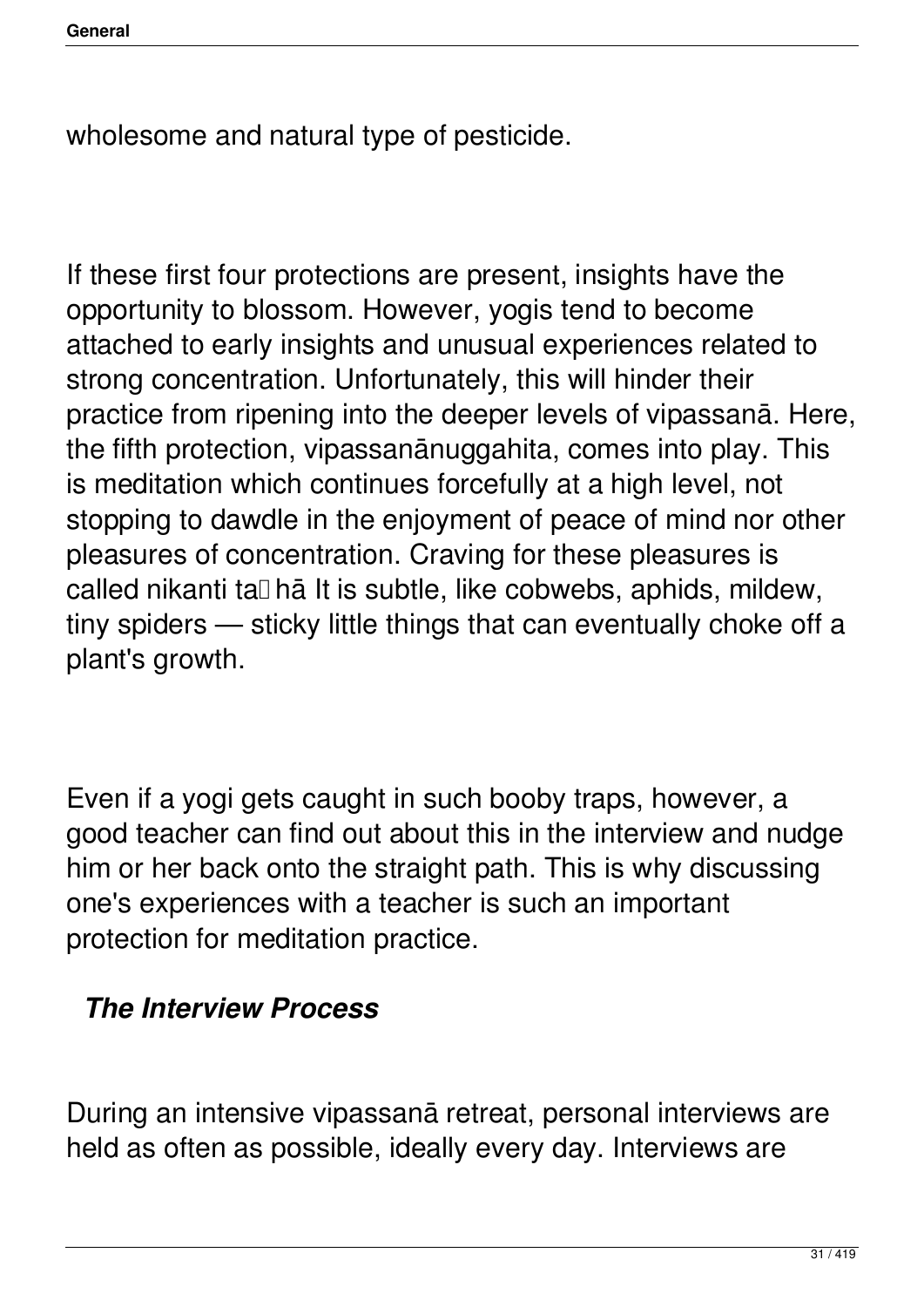wholesome and natural type of pesticide.

If these first four protections are present, insights have the opportunity to blossom. However, yogis tend to become attached to early insights and unusual experiences related to strong concentration. Unfortunately, this will hinder their practice from ripening into the deeper levels of vipassanā. Here, the fifth protection, vipassanānuggahita, comes into play. This is meditation which continues forcefully at a high level, not stopping to dawdle in the enjoyment of peace of mind nor other pleasures of concentration. Craving for these pleasures is called nikanti ta[] hā It is subtle, like cobwebs, aphids, mildew, tiny spiders — sticky little things that can eventually choke off a plant's growth.

Even if a yogi gets caught in such booby traps, however, a good teacher can find out about this in the interview and nudge him or her back onto the straight path. This is why discussing one's experiences with a teacher is such an important protection for meditation practice.

#### *The Interview Process*

During an intensive vipassanā retreat, personal interviews are held as often as possible, ideally every day. Interviews are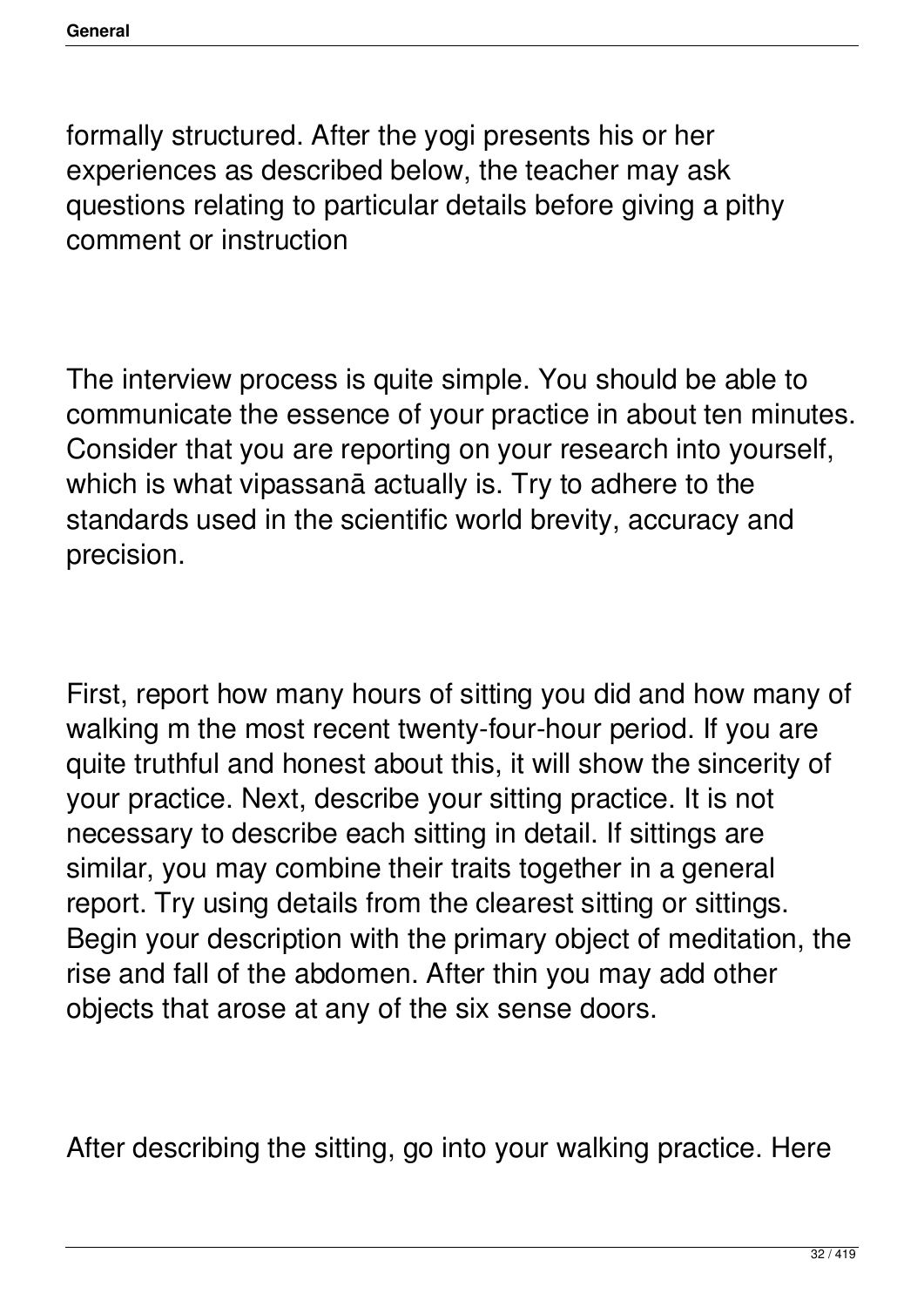formally structured. After the yogi presents his or her experiences as described below, the teacher may ask questions relating to particular details before giving a pithy comment or instruction

The interview process is quite simple. You should be able to communicate the essence of your practice in about ten minutes. Consider that you are reporting on your research into yourself, which is what vipassanā actually is. Try to adhere to the standards used in the scientific world brevity, accuracy and precision.

First, report how many hours of sitting you did and how many of walking m the most recent twenty-four-hour period. If you are quite truthful and honest about this, it will show the sincerity of your practice. Next, describe your sitting practice. It is not necessary to describe each sitting in detail. If sittings are similar, you may combine their traits together in a general report. Try using details from the clearest sitting or sittings. Begin your description with the primary object of meditation, the rise and fall of the abdomen. After thin you may add other objects that arose at any of the six sense doors.

After describing the sitting, go into your walking practice. Here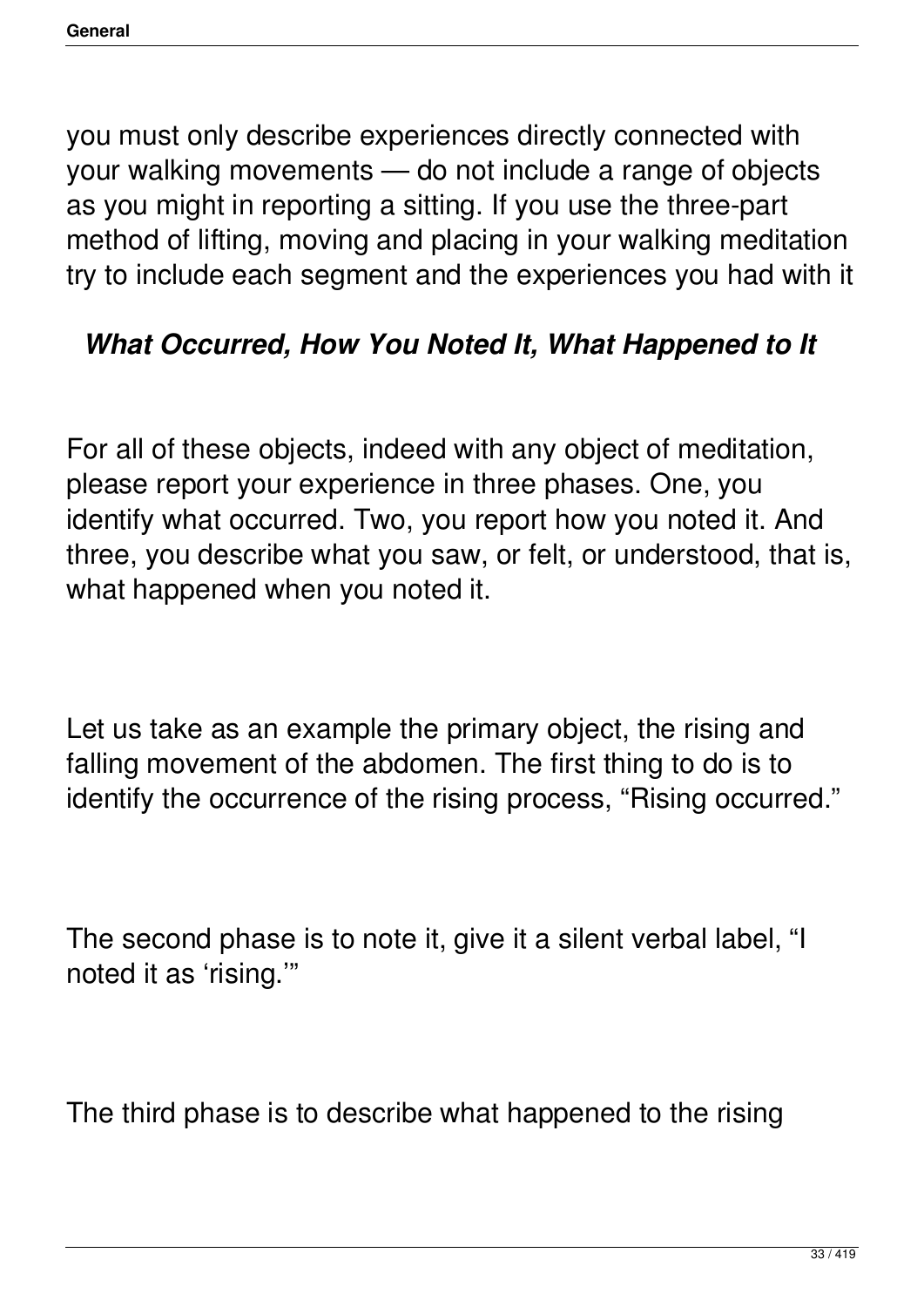you must only describe experiences directly connected with your walking movements — do not include a range of objects as you might in reporting a sitting. If you use the three-part method of lifting, moving and placing in your walking meditation try to include each segment and the experiences you had with it

#### *What Occurred, How You Noted It, What Happened to It*

For all of these objects, indeed with any object of meditation, please report your experience in three phases. One, you identify what occurred. Two, you report how you noted it. And three, you describe what you saw, or felt, or understood, that is, what happened when you noted it.

Let us take as an example the primary object, the rising and falling movement of the abdomen. The first thing to do is to identify the occurrence of the rising process, "Rising occurred."

The second phase is to note it, give it a silent verbal label, "I noted it as 'rising.'"

The third phase is to describe what happened to the rising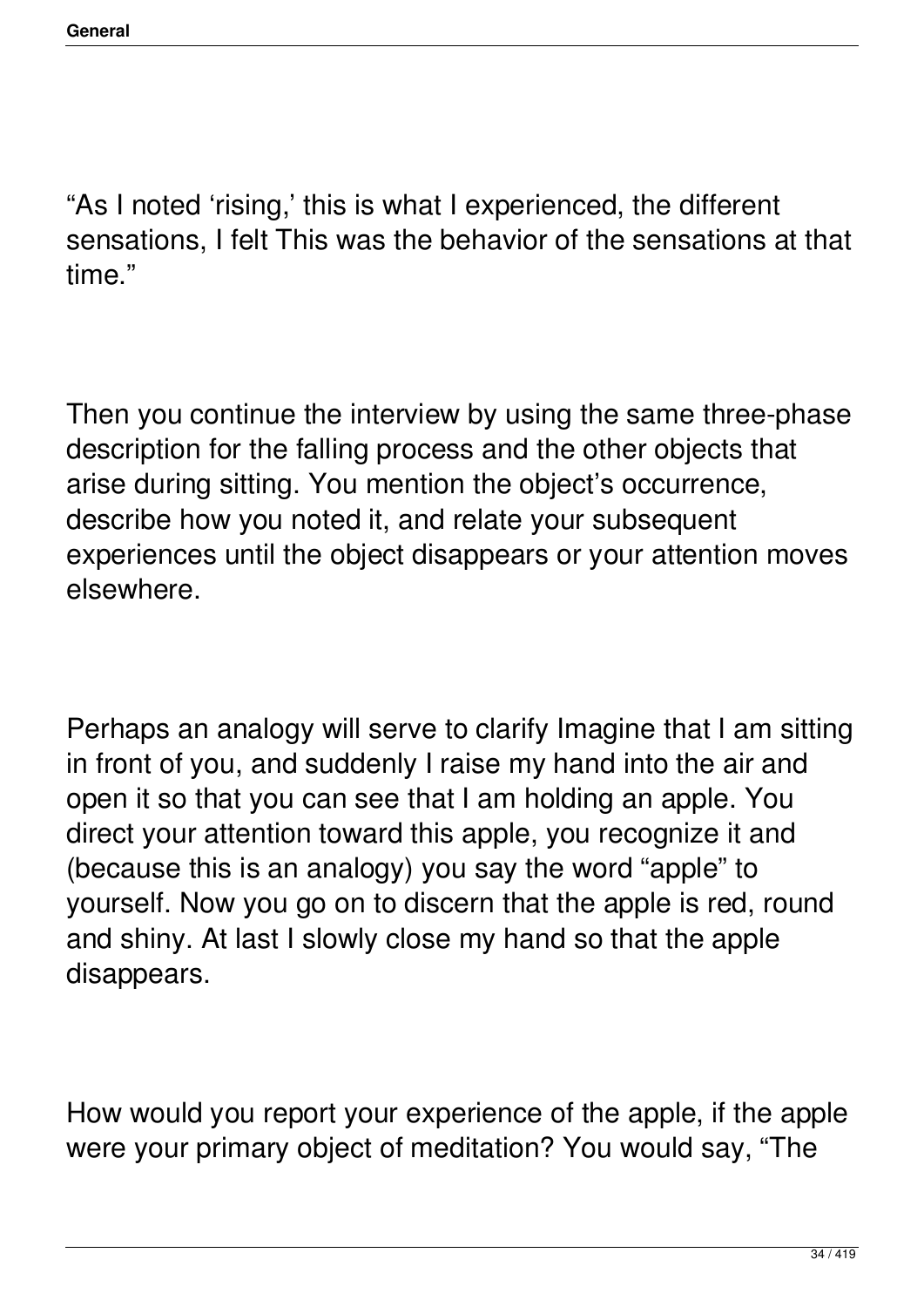"As I noted 'rising,' this is what I experienced, the different sensations, I felt This was the behavior of the sensations at that time."

Then you continue the interview by using the same three-phase description for the falling process and the other objects that arise during sitting. You mention the object's occurrence, describe how you noted it, and relate your subsequent experiences until the object disappears or your attention moves elsewhere.

Perhaps an analogy will serve to clarify Imagine that I am sitting in front of you, and suddenly I raise my hand into the air and open it so that you can see that I am holding an apple. You direct your attention toward this apple, you recognize it and (because this is an analogy) you say the word "apple" to yourself. Now you go on to discern that the apple is red, round and shiny. At last I slowly close my hand so that the apple disappears.

How would you report your experience of the apple, if the apple were your primary object of meditation? You would say, "The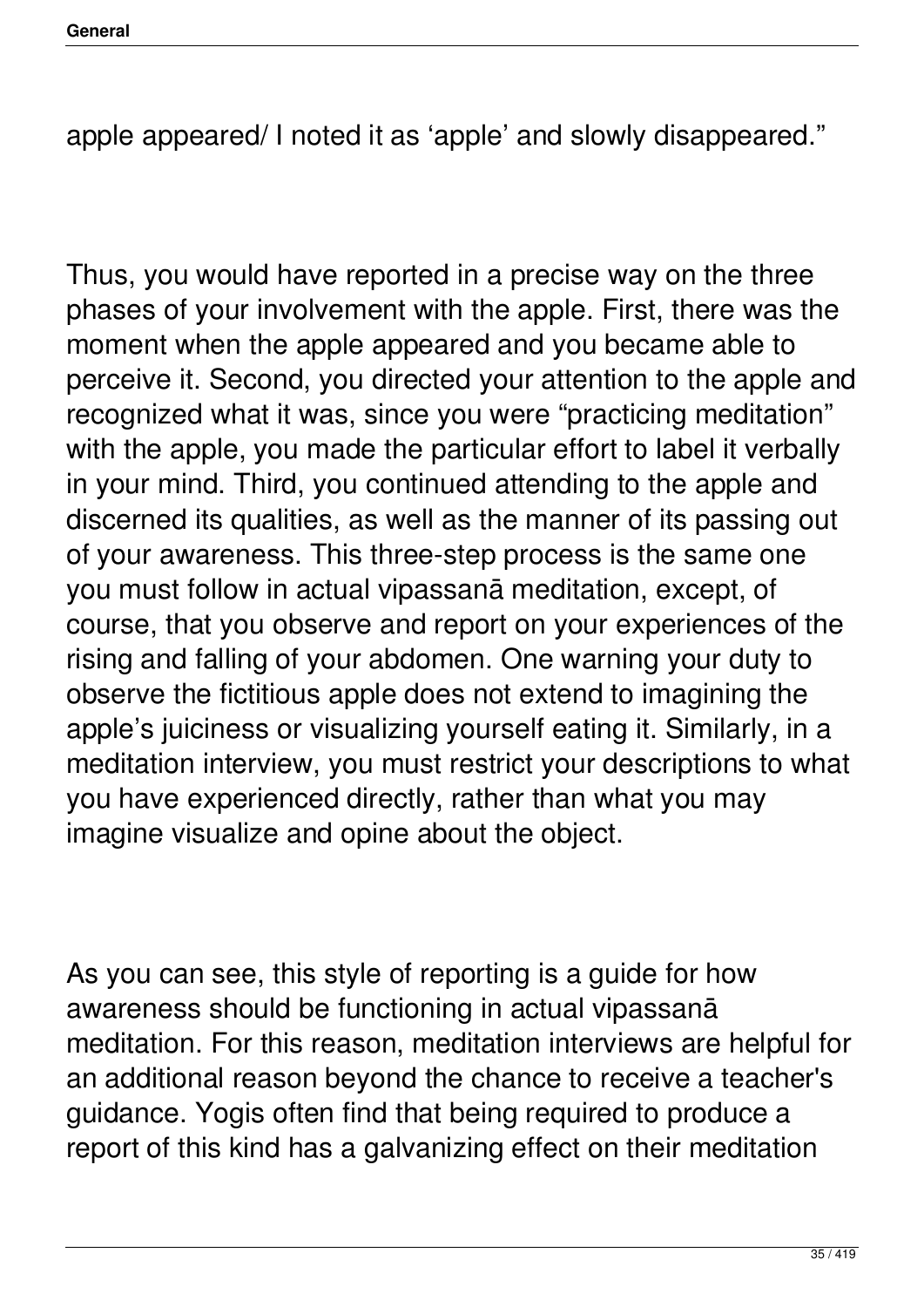apple appeared/ I noted it as 'apple' and slowly disappeared."

Thus, you would have reported in a precise way on the three phases of your involvement with the apple. First, there was the moment when the apple appeared and you became able to perceive it. Second, you directed your attention to the apple and recognized what it was, since you were "practicing meditation" with the apple, you made the particular effort to label it verbally in your mind. Third, you continued attending to the apple and discerned its qualities, as well as the manner of its passing out of your awareness. This three-step process is the same one you must follow in actual vipassanā meditation, except, of course, that you observe and report on your experiences of the rising and falling of your abdomen. One warning your duty to observe the fictitious apple does not extend to imagining the apple's juiciness or visualizing yourself eating it. Similarly, in a meditation interview, you must restrict your descriptions to what you have experienced directly, rather than what you may imagine visualize and opine about the object.

As you can see, this style of reporting is a guide for how awareness should be functioning in actual vipassanā meditation. For this reason, meditation interviews are helpful for an additional reason beyond the chance to receive a teacher's guidance. Yogis often find that being required to produce a report of this kind has a galvanizing effect on their meditation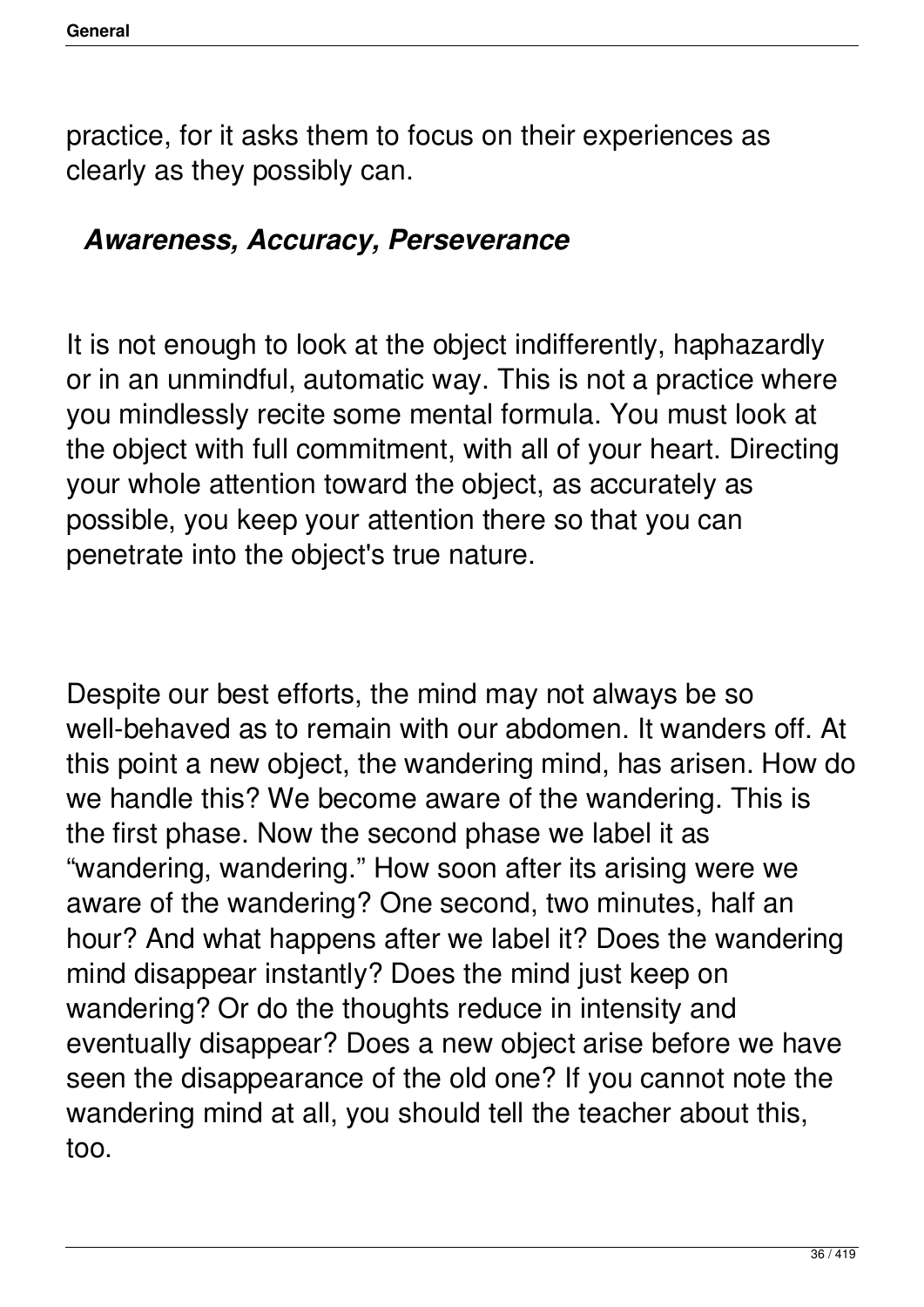practice, for it asks them to focus on their experiences as clearly as they possibly can.

#### *Awareness, Accuracy, Perseverance*

It is not enough to look at the object indifferently, haphazardly or in an unmindful, automatic way. This is not a practice where you mindlessly recite some mental formula. You must look at the object with full commitment, with all of your heart. Directing your whole attention toward the object, as accurately as possible, you keep your attention there so that you can penetrate into the object's true nature.

Despite our best efforts, the mind may not always be so well-behaved as to remain with our abdomen. It wanders off. At this point a new object, the wandering mind, has arisen. How do we handle this? We become aware of the wandering. This is the first phase. Now the second phase we label it as "wandering, wandering." How soon after its arising were we aware of the wandering? One second, two minutes, half an hour? And what happens after we label it? Does the wandering mind disappear instantly? Does the mind just keep on wandering? Or do the thoughts reduce in intensity and eventually disappear? Does a new object arise before we have seen the disappearance of the old one? If you cannot note the wandering mind at all, you should tell the teacher about this, too.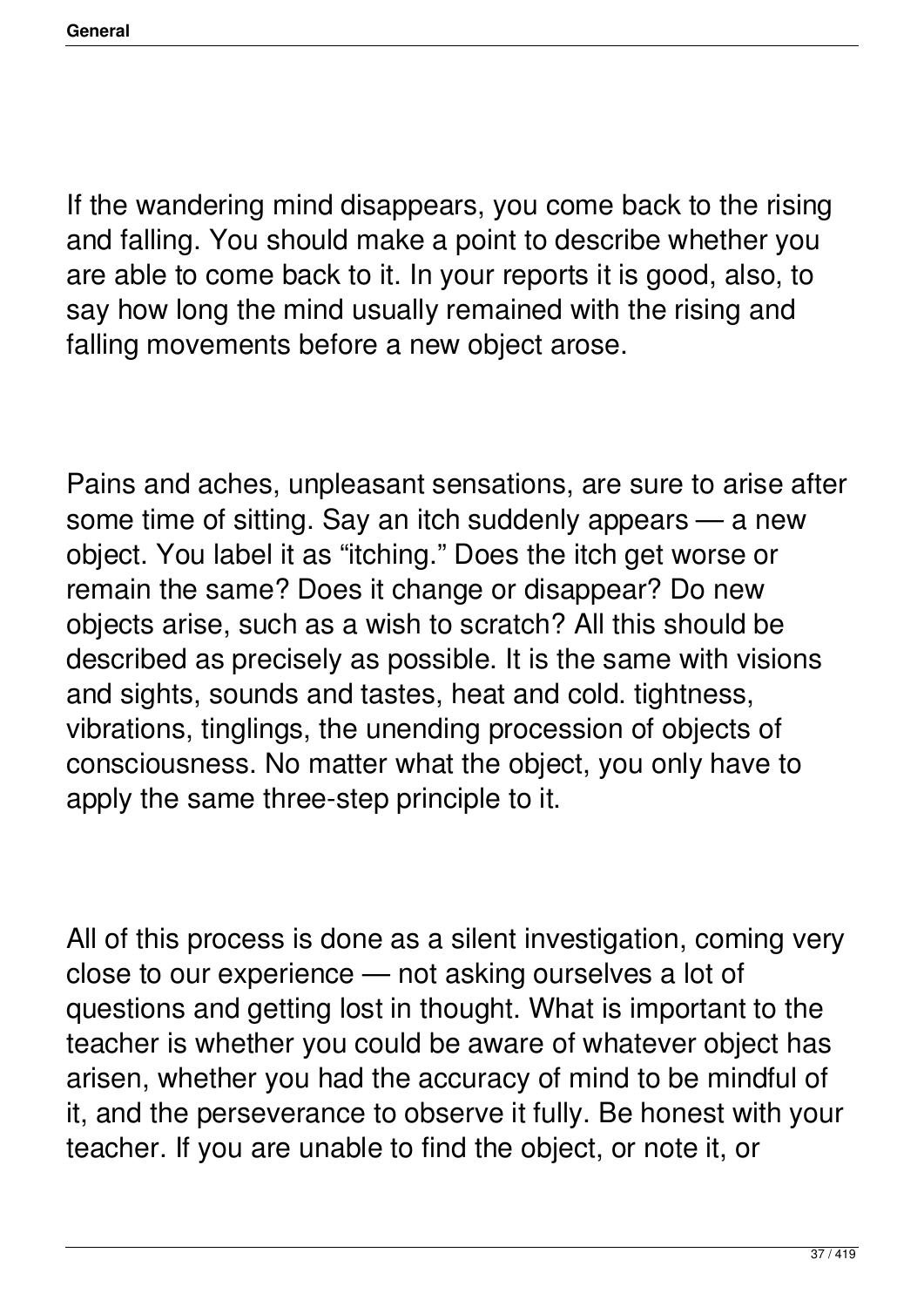If the wandering mind disappears, you come back to the rising and falling. You should make a point to describe whether you are able to come back to it. In your reports it is good, also, to say how long the mind usually remained with the rising and falling movements before a new object arose.

Pains and aches, unpleasant sensations, are sure to arise after some time of sitting. Say an itch suddenly appears — a new object. You label it as "itching." Does the itch get worse or remain the same? Does it change or disappear? Do new objects arise, such as a wish to scratch? All this should be described as precisely as possible. It is the same with visions and sights, sounds and tastes, heat and cold. tightness, vibrations, tinglings, the unending procession of objects of consciousness. No matter what the object, you only have to apply the same three-step principle to it.

All of this process is done as a silent investigation, coming very close to our experience — not asking ourselves a lot of questions and getting lost in thought. What is important to the teacher is whether you could be aware of whatever object has arisen, whether you had the accuracy of mind to be mindful of it, and the perseverance to observe it fully. Be honest with your teacher. If you are unable to find the object, or note it, or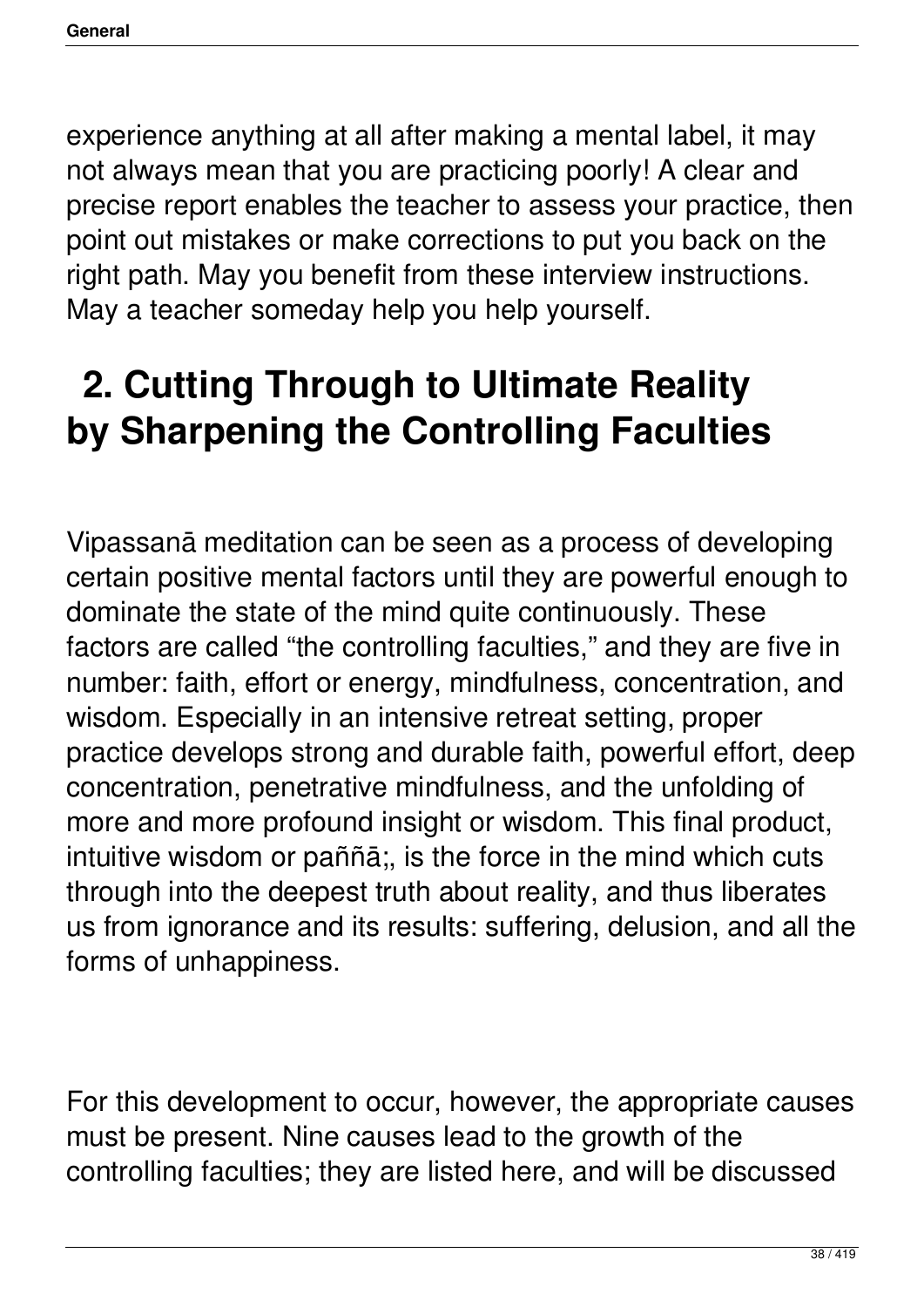experience anything at all after making a mental label, it may not always mean that you are practicing poorly! A clear and precise report enables the teacher to assess your practice, then point out mistakes or make corrections to put you back on the right path. May you benefit from these interview instructions. May a teacher someday help you help yourself.

# **2. Cutting Through to Ultimate Reality by Sharpening the Controlling Faculties**

Vipassanā meditation can be seen as a process of developing certain positive mental factors until they are powerful enough to dominate the state of the mind quite continuously. These factors are called "the controlling faculties," and they are five in number: faith, effort or energy, mindfulness, concentration, and wisdom. Especially in an intensive retreat setting, proper practice develops strong and durable faith, powerful effort, deep concentration, penetrative mindfulness, and the unfolding of more and more profound insight or wisdom. This final product, intuitive wisdom or paññā;, is the force in the mind which cuts through into the deepest truth about reality, and thus liberates us from ignorance and its results: suffering, delusion, and all the forms of unhappiness.

For this development to occur, however, the appropriate causes must be present. Nine causes lead to the growth of the controlling faculties; they are listed here, and will be discussed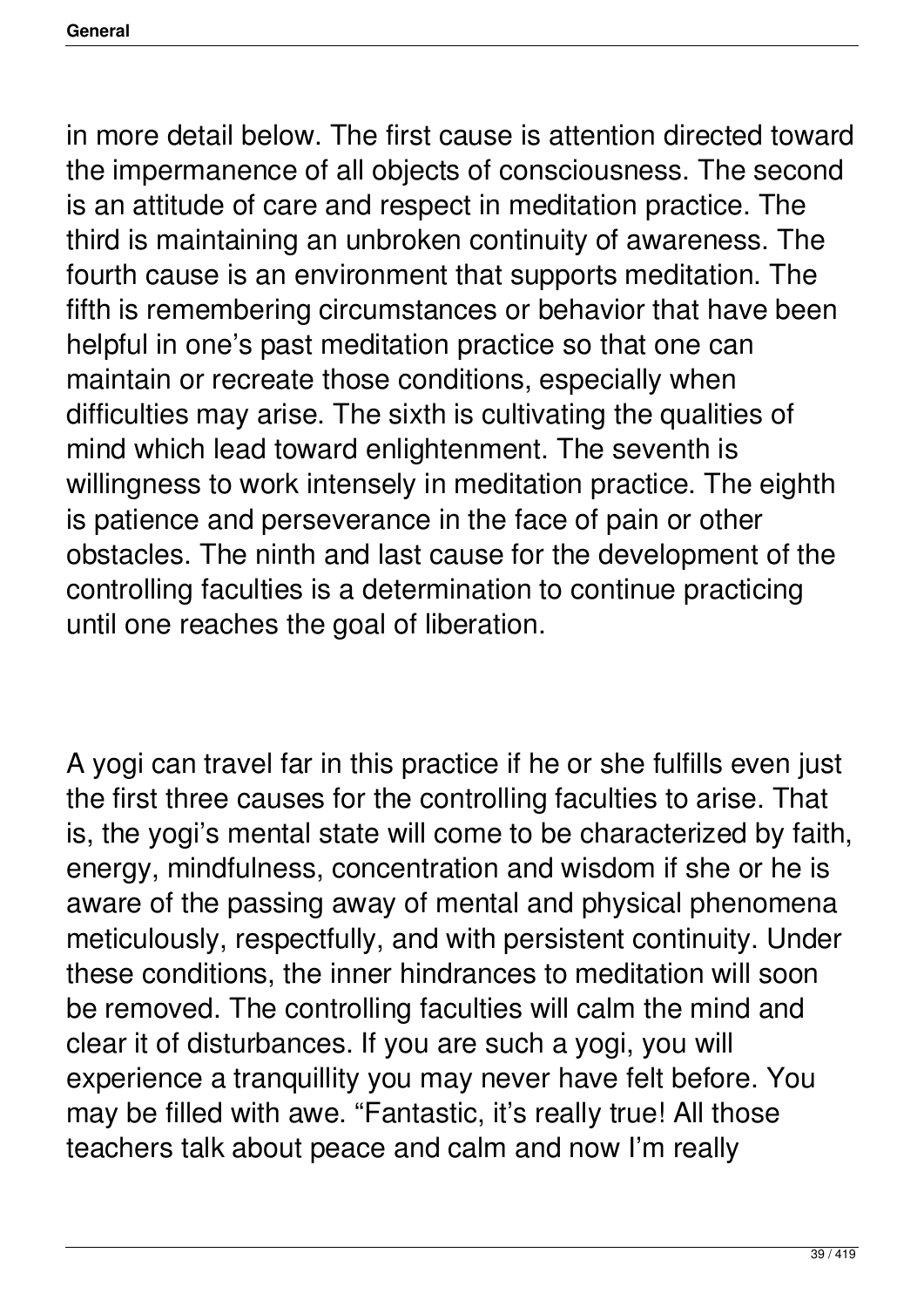in more detail below. The first cause is attention directed toward the impermanence of all objects of consciousness. The second is an attitude of care and respect in meditation practice. The third is maintaining an unbroken continuity of awareness. The fourth cause is an environment that supports meditation. The fifth is remembering circumstances or behavior that have been helpful in one's past meditation practice so that one can maintain or recreate those conditions, especially when difficulties may arise. The sixth is cultivating the qualities of mind which lead toward enlightenment. The seventh is willingness to work intensely in meditation practice. The eighth is patience and perseverance in the face of pain or other obstacles. The ninth and last cause for the development of the controlling faculties is a determination to continue practicing until one reaches the goal of liberation.

A yogi can travel far in this practice if he or she fulfills even just the first three causes for the controlling faculties to arise. That is, the yogi's mental state will come to be characterized by faith, energy, mindfulness, concentration and wisdom if she or he is aware of the passing away of mental and physical phenomena meticulously, respectfully, and with persistent continuity. Under these conditions, the inner hindrances to meditation will soon be removed. The controlling faculties will calm the mind and clear it of disturbances. If you are such a yogi, you will experience a tranquillity you may never have felt before. You may be filled with awe. "Fantastic, it's really true! All those teachers talk about peace and calm and now I'm really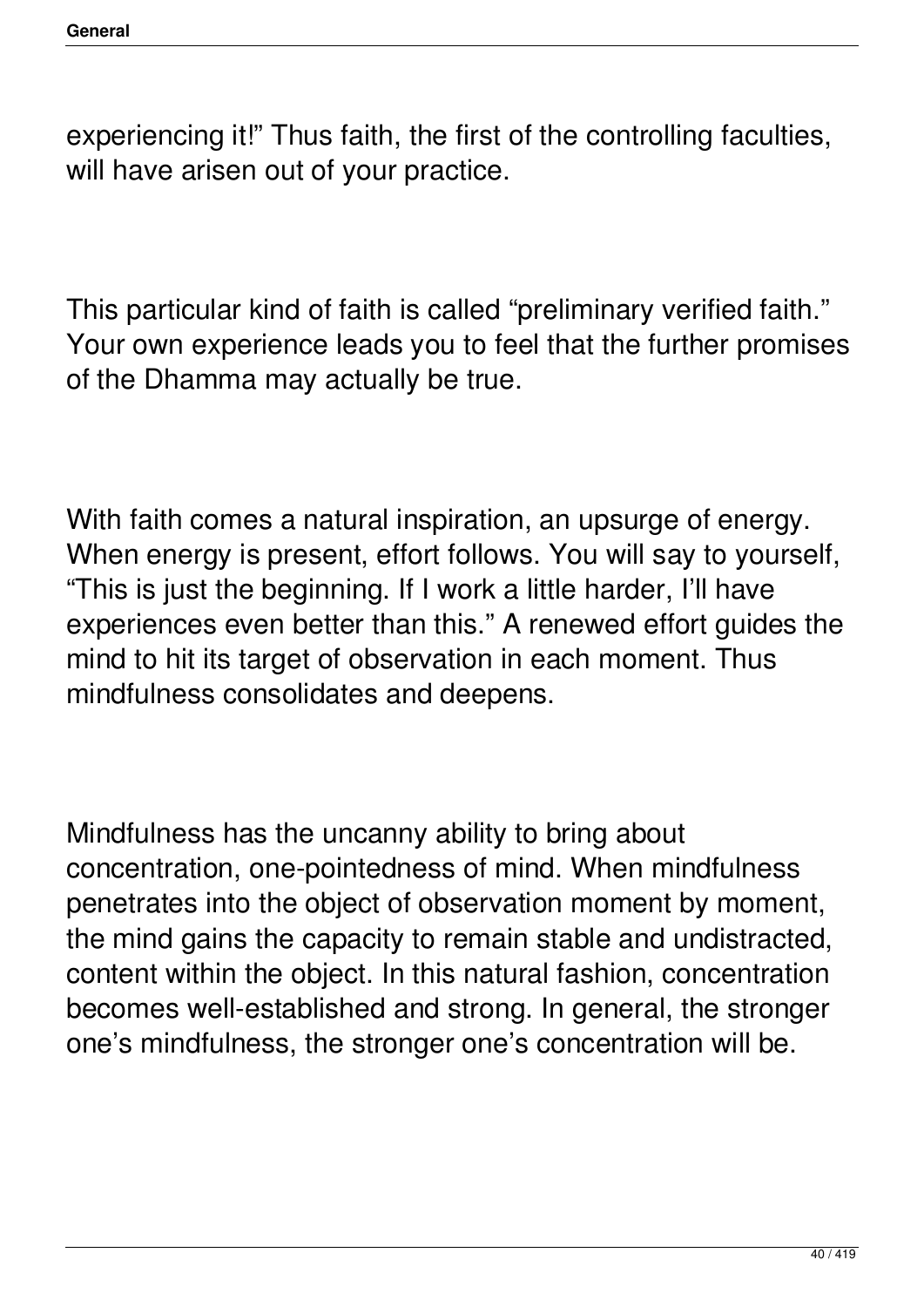experiencing it!" Thus faith, the first of the controlling faculties, will have arisen out of your practice.

This particular kind of faith is called "preliminary verified faith." Your own experience leads you to feel that the further promises of the Dhamma may actually be true.

With faith comes a natural inspiration, an upsurge of energy. When energy is present, effort follows. You will say to yourself, "This is just the beginning. If I work a little harder, I'll have experiences even better than this." A renewed effort guides the mind to hit its target of observation in each moment. Thus mindfulness consolidates and deepens.

Mindfulness has the uncanny ability to bring about concentration, one-pointedness of mind. When mindfulness penetrates into the object of observation moment by moment, the mind gains the capacity to remain stable and undistracted, content within the object. In this natural fashion, concentration becomes well-established and strong. In general, the stronger one's mindfulness, the stronger one's concentration will be.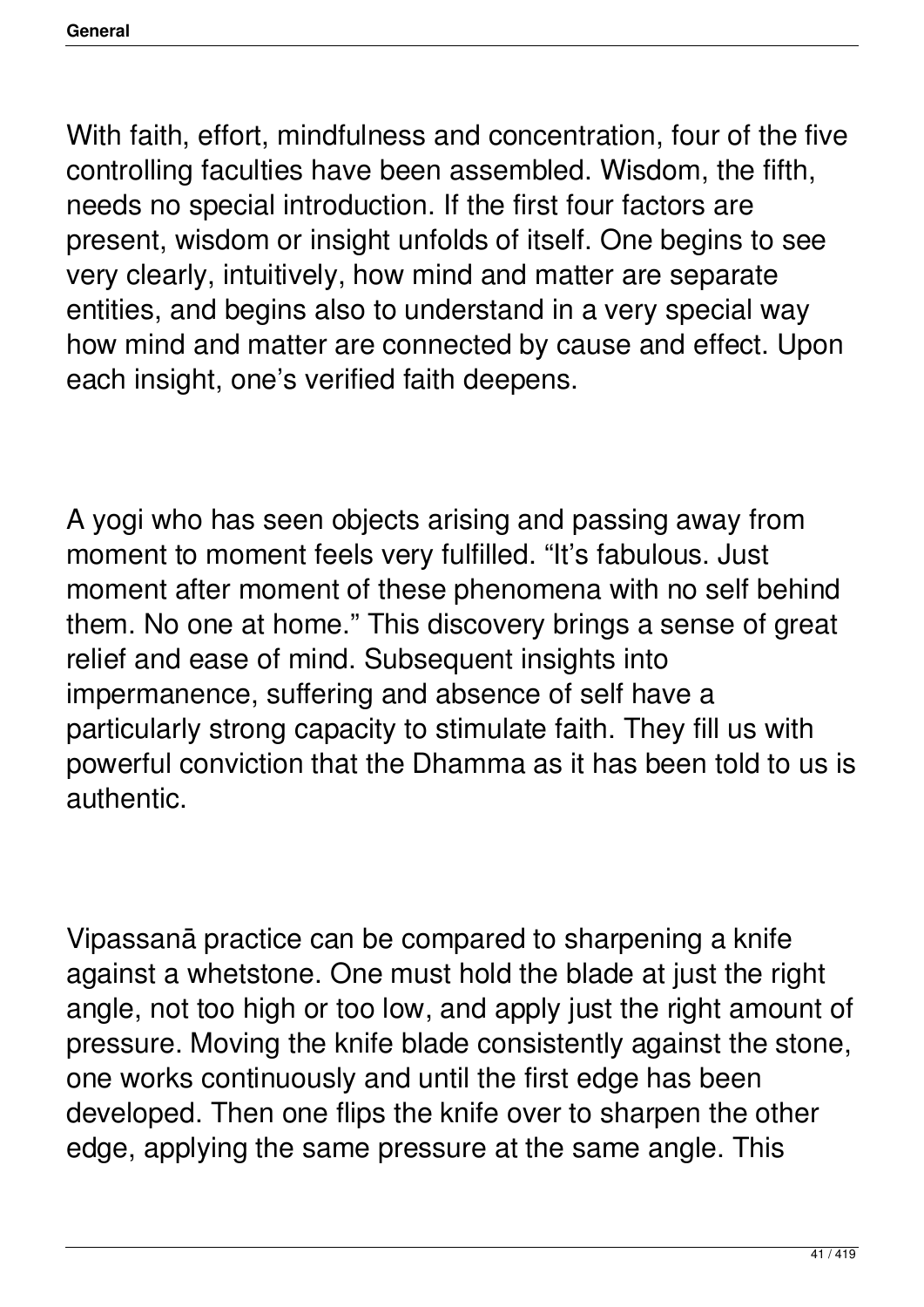With faith, effort, mindfulness and concentration, four of the five controlling faculties have been assembled. Wisdom, the fifth, needs no special introduction. If the first four factors are present, wisdom or insight unfolds of itself. One begins to see very clearly, intuitively, how mind and matter are separate entities, and begins also to understand in a very special way how mind and matter are connected by cause and effect. Upon each insight, one's verified faith deepens.

A yogi who has seen objects arising and passing away from moment to moment feels very fulfilled. "It's fabulous. Just moment after moment of these phenomena with no self behind them. No one at home." This discovery brings a sense of great relief and ease of mind. Subsequent insights into impermanence, suffering and absence of self have a particularly strong capacity to stimulate faith. They fill us with powerful conviction that the Dhamma as it has been told to us is authentic.

Vipassanā practice can be compared to sharpening a knife against a whetstone. One must hold the blade at just the right angle, not too high or too low, and apply just the right amount of pressure. Moving the knife blade consistently against the stone, one works continuously and until the first edge has been developed. Then one flips the knife over to sharpen the other edge, applying the same pressure at the same angle. This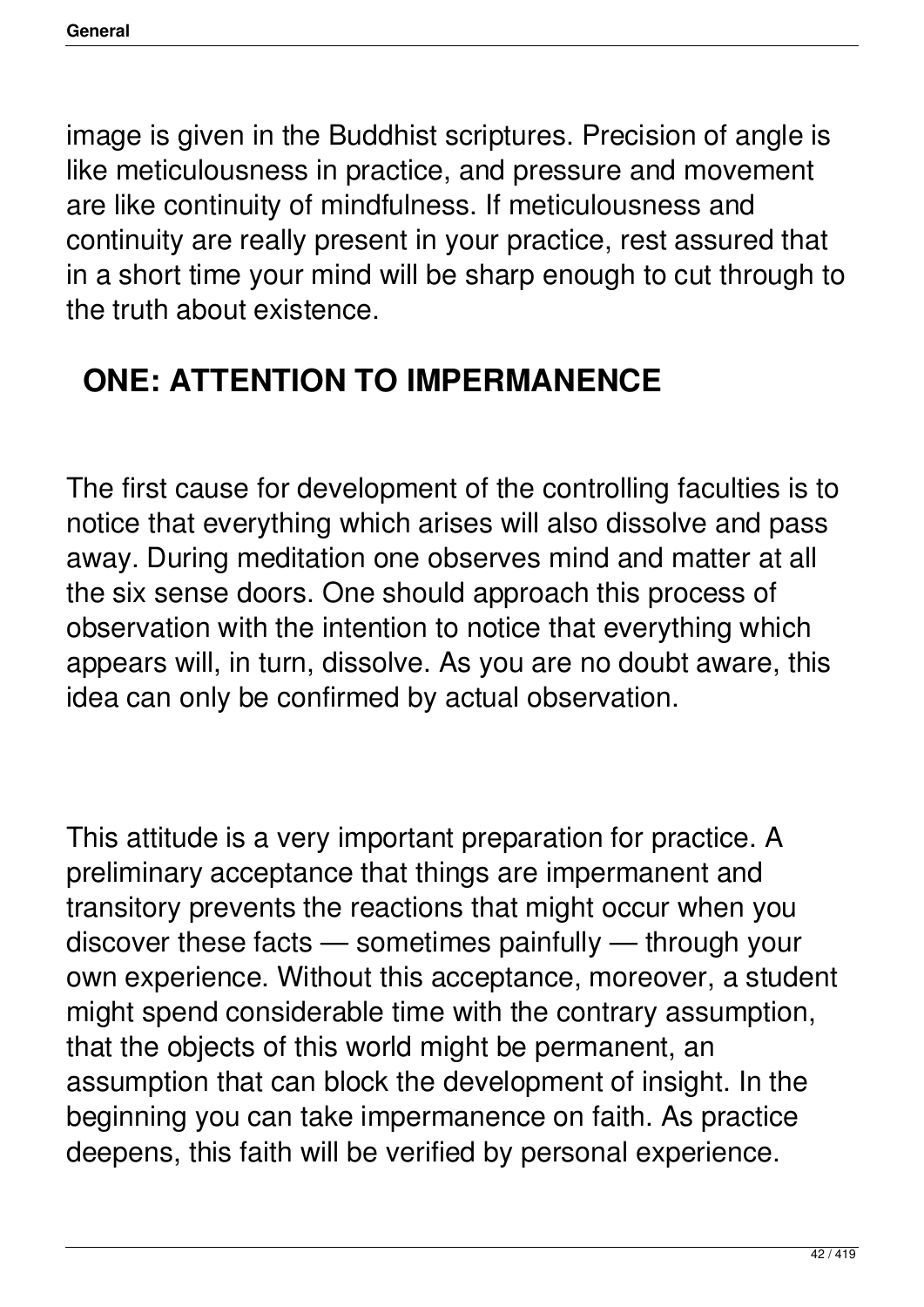image is given in the Buddhist scriptures. Precision of angle is like meticulousness in practice, and pressure and movement are like continuity of mindfulness. If meticulousness and continuity are really present in your practice, rest assured that in a short time your mind will be sharp enough to cut through to the truth about existence.

### **ONE: ATTENTION TO IMPERMANENCE**

The first cause for development of the controlling faculties is to notice that everything which arises will also dissolve and pass away. During meditation one observes mind and matter at all the six sense doors. One should approach this process of observation with the intention to notice that everything which appears will, in turn, dissolve. As you are no doubt aware, this idea can only be confirmed by actual observation.

This attitude is a very important preparation for practice. A preliminary acceptance that things are impermanent and transitory prevents the reactions that might occur when you discover these facts — sometimes painfully — through your own experience. Without this acceptance, moreover, a student might spend considerable time with the contrary assumption, that the objects of this world might be permanent, an assumption that can block the development of insight. In the beginning you can take impermanence on faith. As practice deepens, this faith will be verified by personal experience.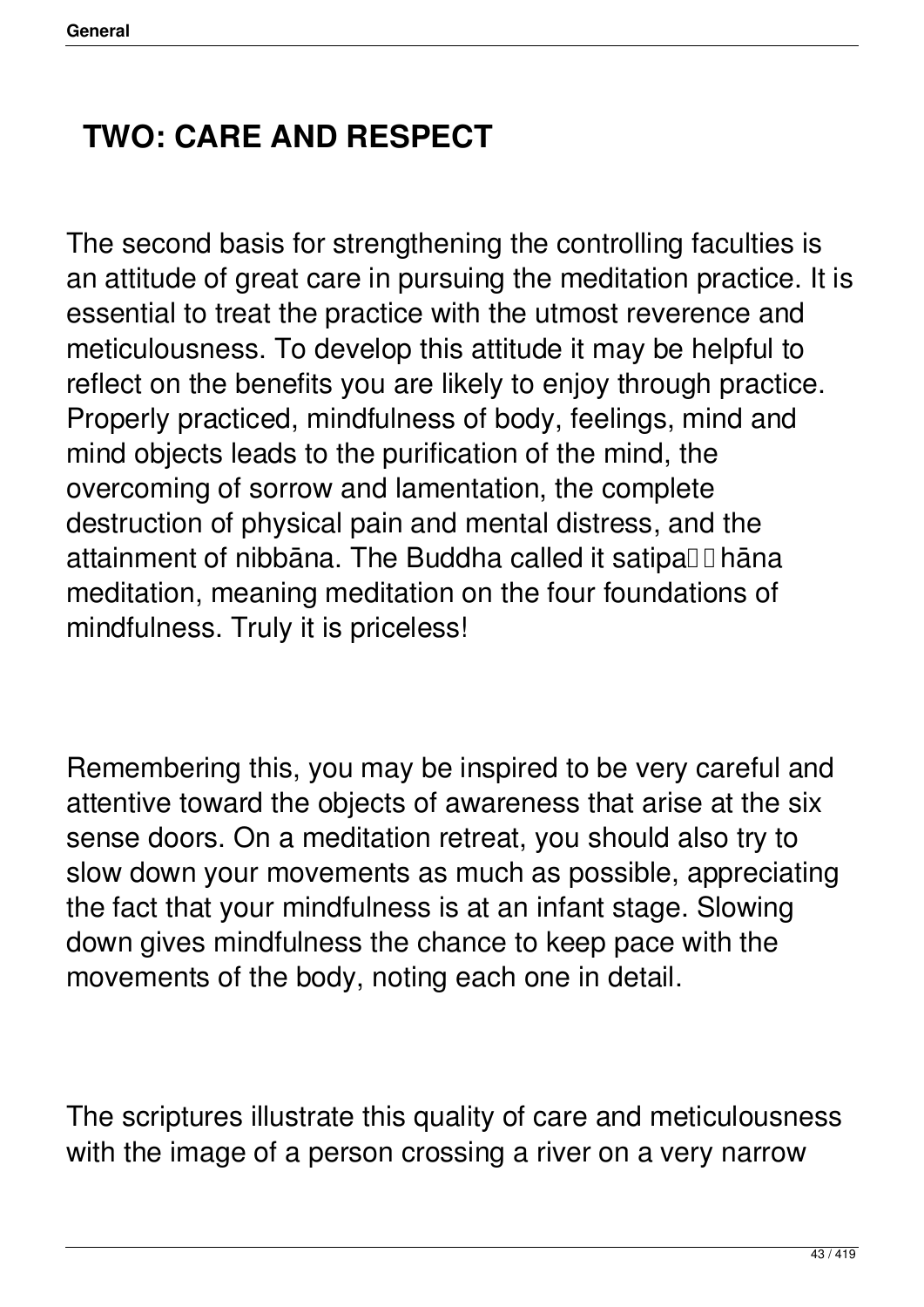## **TWO: CARE AND RESPECT**

The second basis for strengthening the controlling faculties is an attitude of great care in pursuing the meditation practice. It is essential to treat the practice with the utmost reverence and meticulousness. To develop this attitude it may be helpful to reflect on the benefits you are likely to enjoy through practice. Properly practiced, mindfulness of body, feelings, mind and mind objects leads to the purification of the mind, the overcoming of sorrow and lamentation, the complete destruction of physical pain and mental distress, and the attainment of nibbāna. The Buddha called it satipallhāna meditation, meaning meditation on the four foundations of mindfulness. Truly it is priceless!

Remembering this, you may be inspired to be very careful and attentive toward the objects of awareness that arise at the six sense doors. On a meditation retreat, you should also try to slow down your movements as much as possible, appreciating the fact that your mindfulness is at an infant stage. Slowing down gives mindfulness the chance to keep pace with the movements of the body, noting each one in detail.

The scriptures illustrate this quality of care and meticulousness with the image of a person crossing a river on a very narrow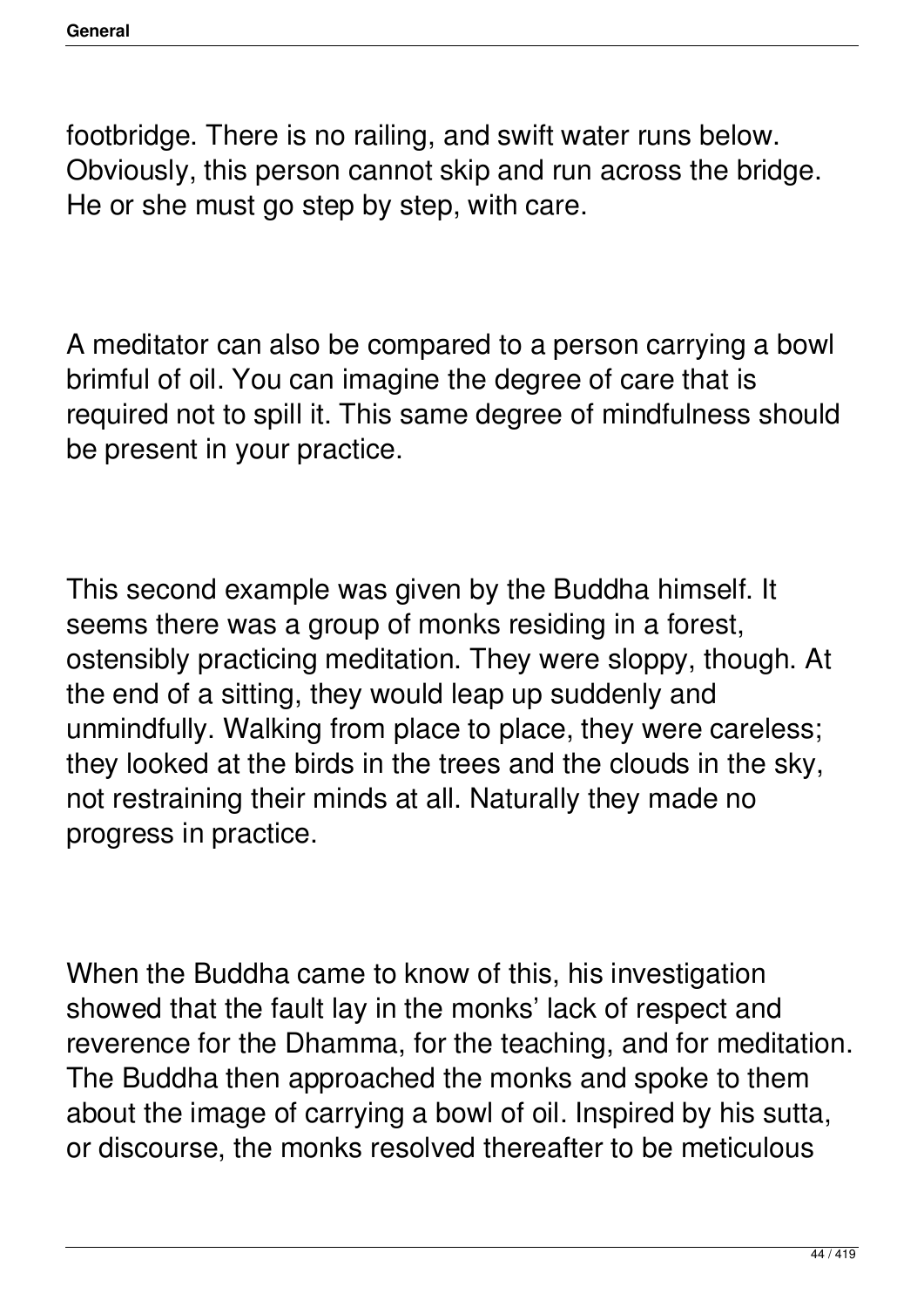footbridge. There is no railing, and swift water runs below. Obviously, this person cannot skip and run across the bridge. He or she must go step by step, with care.

A meditator can also be compared to a person carrying a bowl brimful of oil. You can imagine the degree of care that is required not to spill it. This same degree of mindfulness should be present in your practice.

This second example was given by the Buddha himself. It seems there was a group of monks residing in a forest, ostensibly practicing meditation. They were sloppy, though. At the end of a sitting, they would leap up suddenly and unmindfully. Walking from place to place, they were careless; they looked at the birds in the trees and the clouds in the sky, not restraining their minds at all. Naturally they made no progress in practice.

When the Buddha came to know of this, his investigation showed that the fault lay in the monks' lack of respect and reverence for the Dhamma, for the teaching, and for meditation. The Buddha then approached the monks and spoke to them about the image of carrying a bowl of oil. Inspired by his sutta, or discourse, the monks resolved thereafter to be meticulous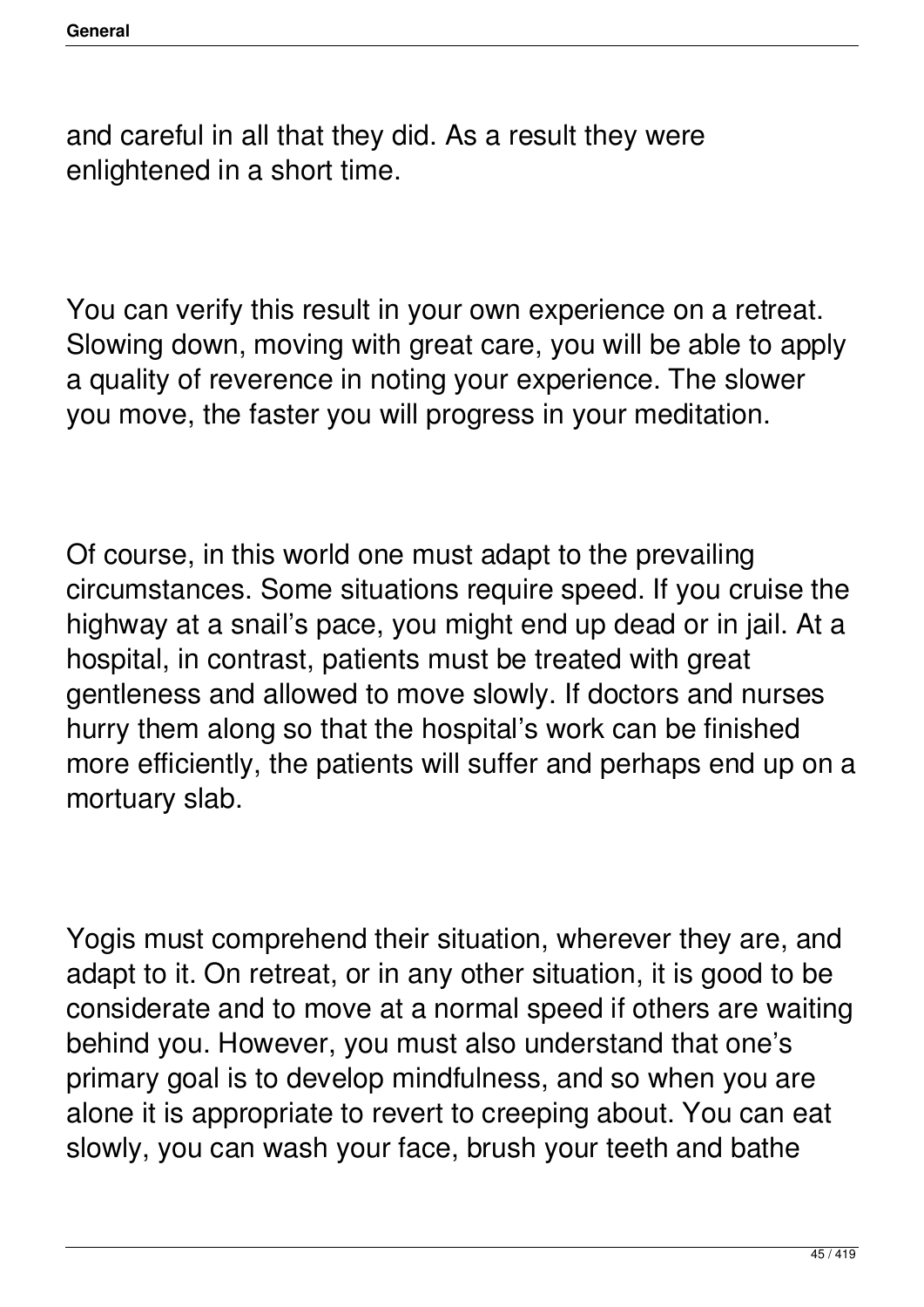and careful in all that they did. As a result they were enlightened in a short time.

You can verify this result in your own experience on a retreat. Slowing down, moving with great care, you will be able to apply a quality of reverence in noting your experience. The slower you move, the faster you will progress in your meditation.

Of course, in this world one must adapt to the prevailing circumstances. Some situations require speed. If you cruise the highway at a snail's pace, you might end up dead or in jail. At a hospital, in contrast, patients must be treated with great gentleness and allowed to move slowly. If doctors and nurses hurry them along so that the hospital's work can be finished more efficiently, the patients will suffer and perhaps end up on a mortuary slab.

Yogis must comprehend their situation, wherever they are, and adapt to it. On retreat, or in any other situation, it is good to be considerate and to move at a normal speed if others are waiting behind you. However, you must also understand that one's primary goal is to develop mindfulness, and so when you are alone it is appropriate to revert to creeping about. You can eat slowly, you can wash your face, brush your teeth and bathe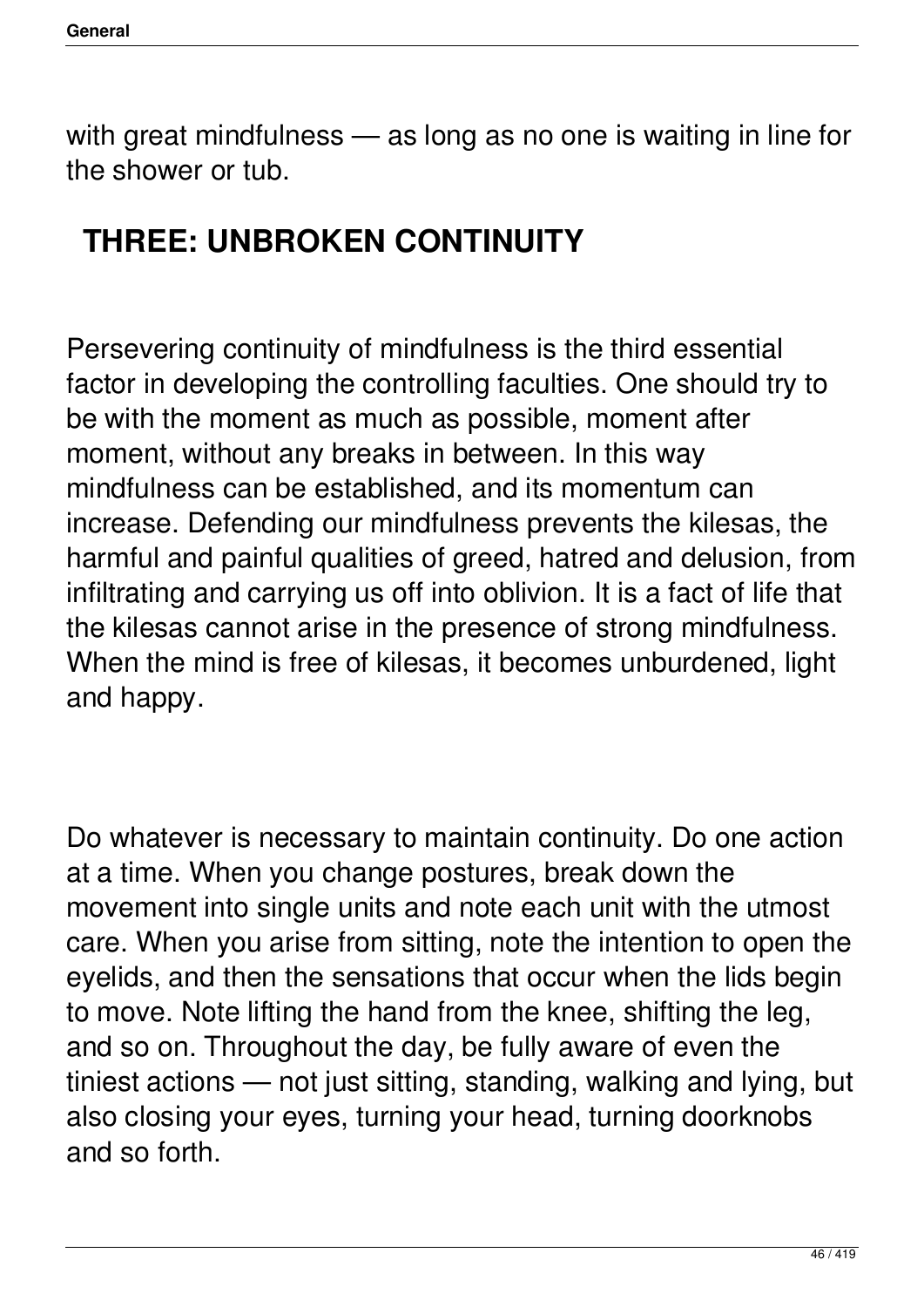with great mindfulness — as long as no one is waiting in line for the shower or tub.

### **THREE: UNBROKEN CONTINUITY**

Persevering continuity of mindfulness is the third essential factor in developing the controlling faculties. One should try to be with the moment as much as possible, moment after moment, without any breaks in between. In this way mindfulness can be established, and its momentum can increase. Defending our mindfulness prevents the kilesas, the harmful and painful qualities of greed, hatred and delusion, from infiltrating and carrying us off into oblivion. It is a fact of life that the kilesas cannot arise in the presence of strong mindfulness. When the mind is free of kilesas, it becomes unburdened, light and happy.

Do whatever is necessary to maintain continuity. Do one action at a time. When you change postures, break down the movement into single units and note each unit with the utmost care. When you arise from sitting, note the intention to open the eyelids, and then the sensations that occur when the lids begin to move. Note lifting the hand from the knee, shifting the leg, and so on. Throughout the day, be fully aware of even the tiniest actions — not just sitting, standing, walking and lying, but also closing your eyes, turning your head, turning doorknobs and so forth.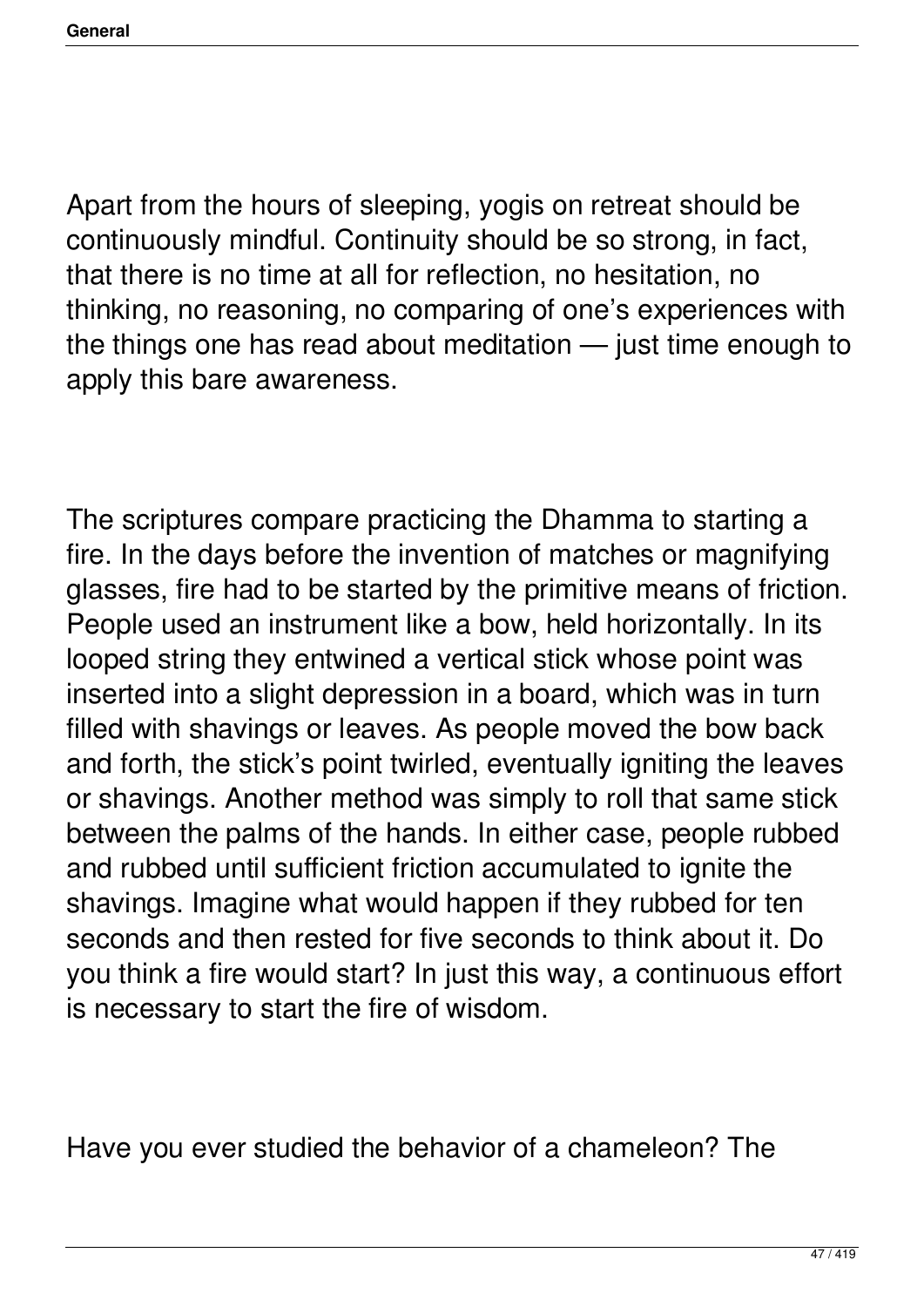Apart from the hours of sleeping, yogis on retreat should be continuously mindful. Continuity should be so strong, in fact, that there is no time at all for reflection, no hesitation, no thinking, no reasoning, no comparing of one's experiences with the things one has read about meditation — just time enough to apply this bare awareness.

The scriptures compare practicing the Dhamma to starting a fire. In the days before the invention of matches or magnifying glasses, fire had to be started by the primitive means of friction. People used an instrument like a bow, held horizontally. In its looped string they entwined a vertical stick whose point was inserted into a slight depression in a board, which was in turn filled with shavings or leaves. As people moved the bow back and forth, the stick's point twirled, eventually igniting the leaves or shavings. Another method was simply to roll that same stick between the palms of the hands. In either case, people rubbed and rubbed until sufficient friction accumulated to ignite the shavings. Imagine what would happen if they rubbed for ten seconds and then rested for five seconds to think about it. Do you think a fire would start? In just this way, a continuous effort is necessary to start the fire of wisdom.

Have you ever studied the behavior of a chameleon? The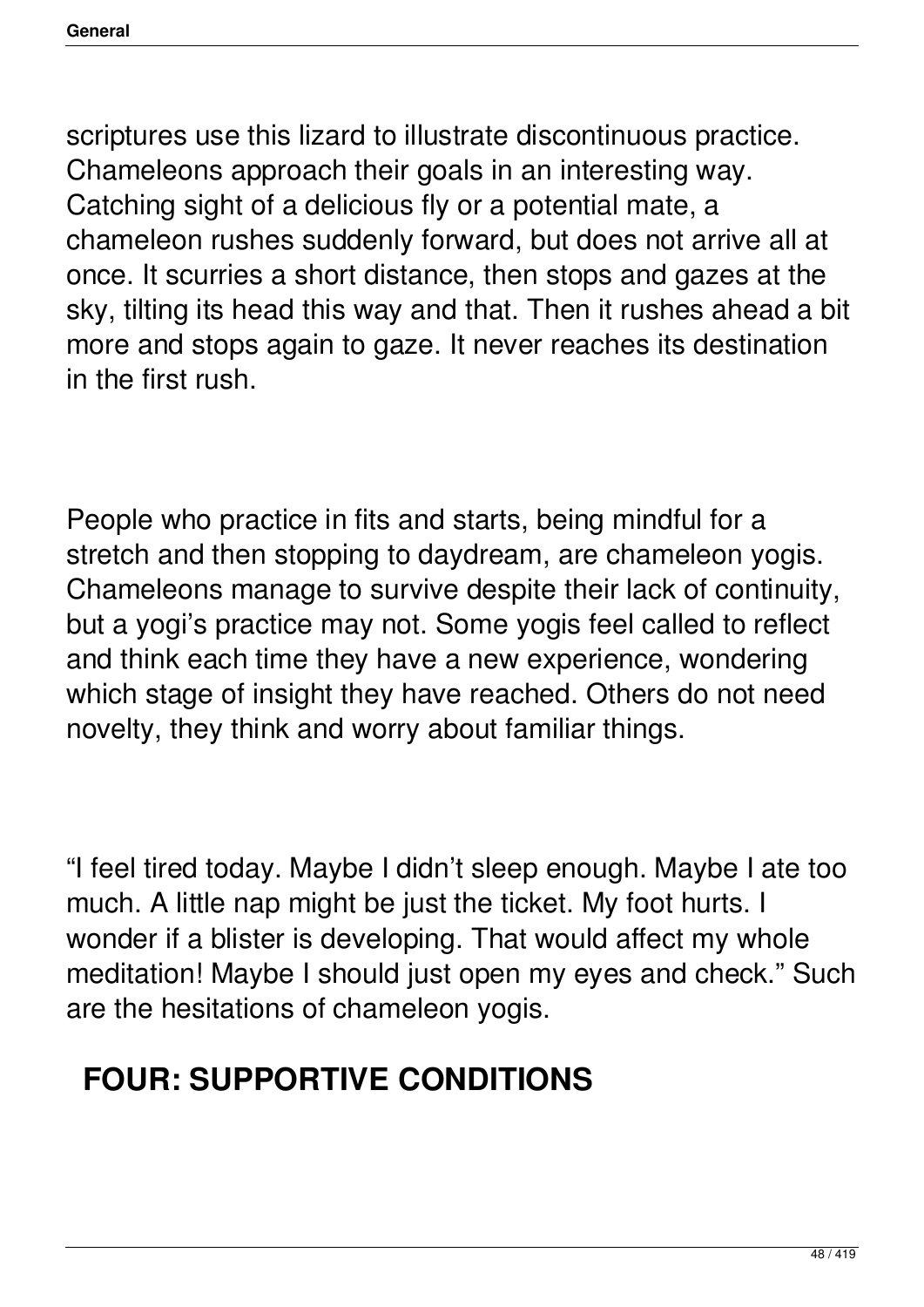scriptures use this lizard to illustrate discontinuous practice. Chameleons approach their goals in an interesting way. Catching sight of a delicious fly or a potential mate, a chameleon rushes suddenly forward, but does not arrive all at once. It scurries a short distance, then stops and gazes at the sky, tilting its head this way and that. Then it rushes ahead a bit more and stops again to gaze. It never reaches its destination in the first rush.

People who practice in fits and starts, being mindful for a stretch and then stopping to daydream, are chameleon yogis. Chameleons manage to survive despite their lack of continuity, but a yogi's practice may not. Some yogis feel called to reflect and think each time they have a new experience, wondering which stage of insight they have reached. Others do not need novelty, they think and worry about familiar things.

"I feel tired today. Maybe I didn't sleep enough. Maybe I ate too much. A little nap might be just the ticket. My foot hurts. I wonder if a blister is developing. That would affect my whole meditation! Maybe I should just open my eyes and check." Such are the hesitations of chameleon yogis.

# **FOUR: SUPPORTIVE CONDITIONS**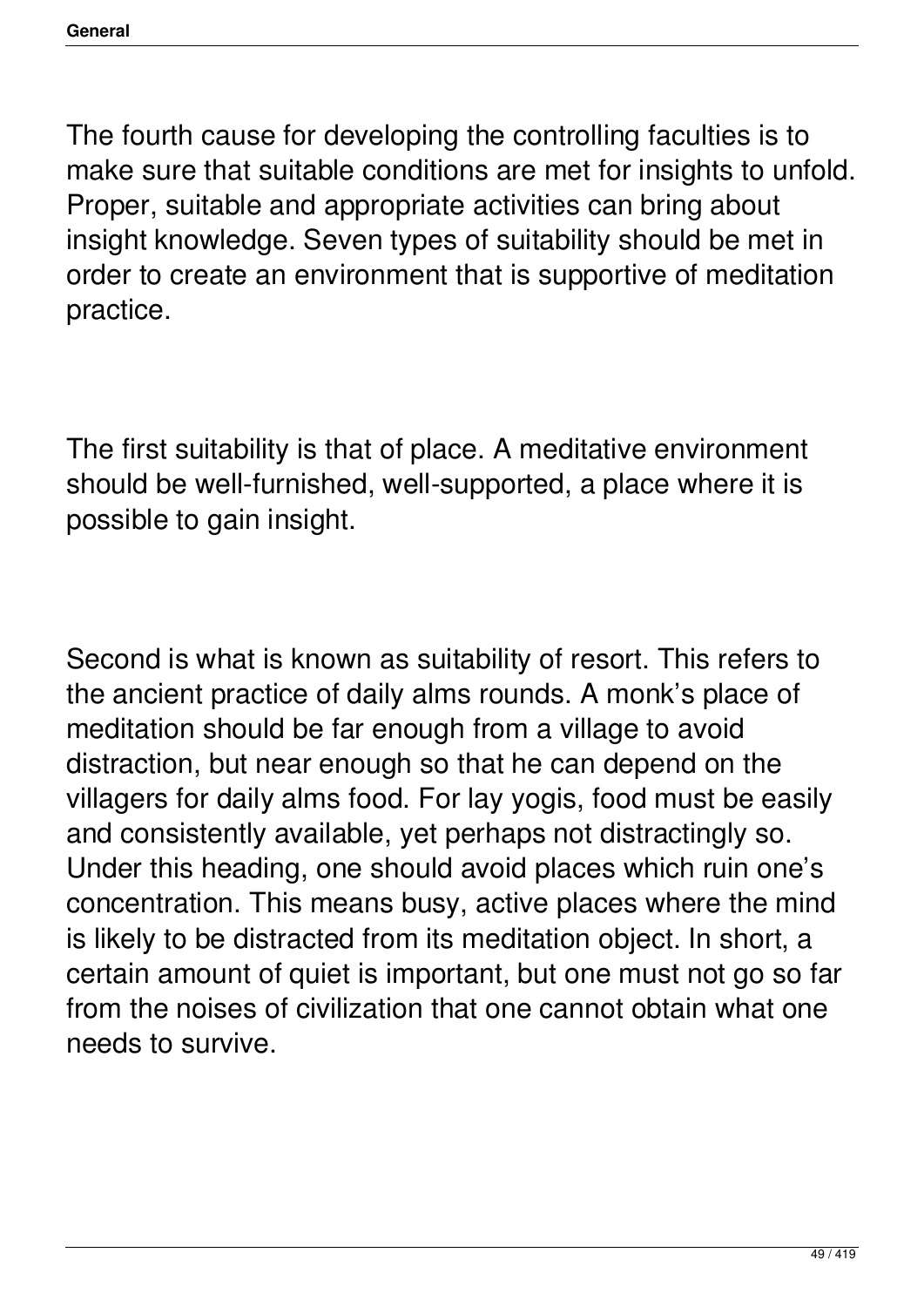The fourth cause for developing the controlling faculties is to make sure that suitable conditions are met for insights to unfold. Proper, suitable and appropriate activities can bring about insight knowledge. Seven types of suitability should be met in order to create an environment that is supportive of meditation practice.

The first suitability is that of place. A meditative environment should be well-furnished, well-supported, a place where it is possible to gain insight.

Second is what is known as suitability of resort. This refers to the ancient practice of daily alms rounds. A monk's place of meditation should be far enough from a village to avoid distraction, but near enough so that he can depend on the villagers for daily alms food. For lay yogis, food must be easily and consistently available, yet perhaps not distractingly so. Under this heading, one should avoid places which ruin one's concentration. This means busy, active places where the mind is likely to be distracted from its meditation object. In short, a certain amount of quiet is important, but one must not go so far from the noises of civilization that one cannot obtain what one needs to survive.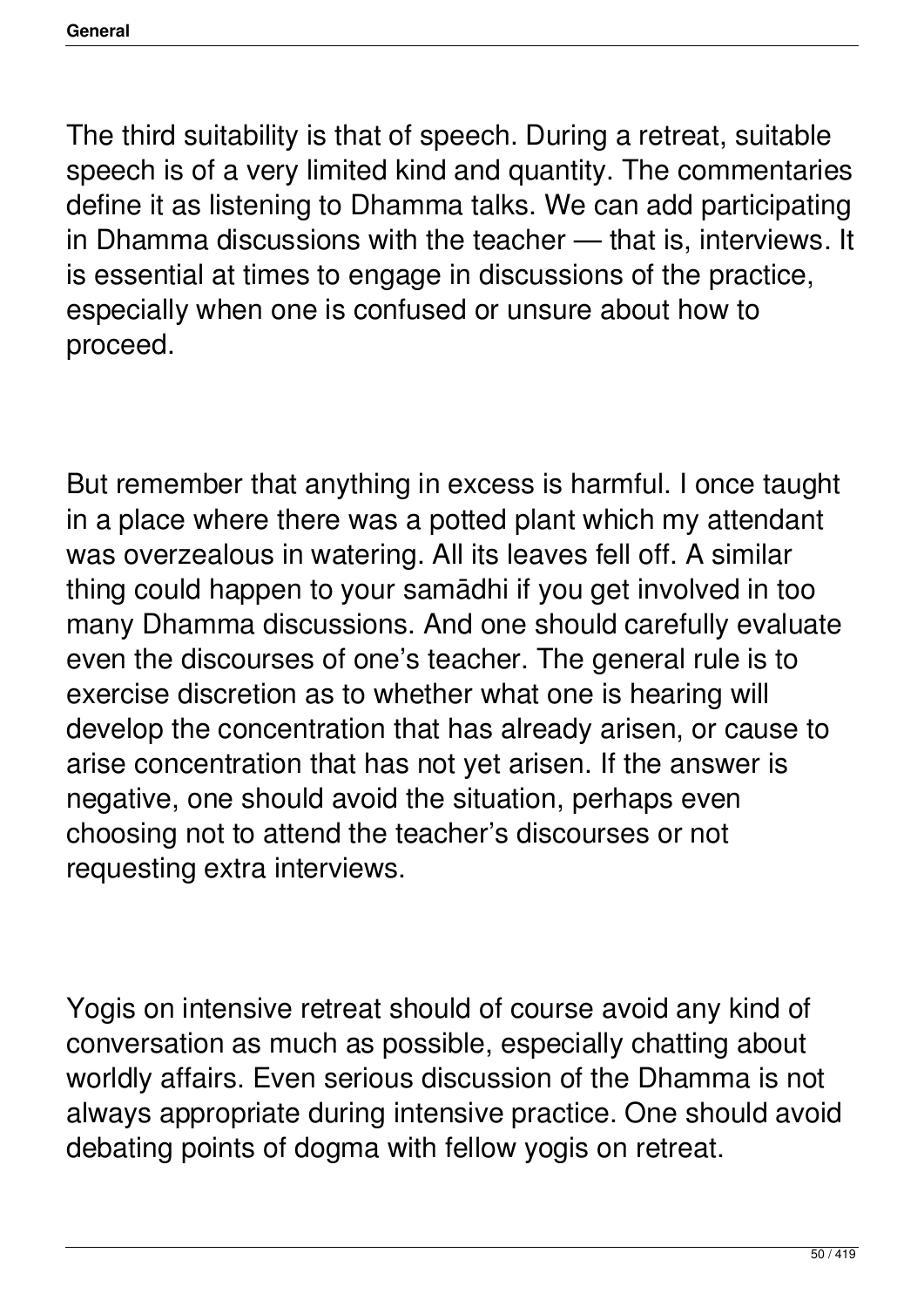The third suitability is that of speech. During a retreat, suitable speech is of a very limited kind and quantity. The commentaries define it as listening to Dhamma talks. We can add participating in Dhamma discussions with the teacher — that is, interviews. It is essential at times to engage in discussions of the practice, especially when one is confused or unsure about how to proceed.

But remember that anything in excess is harmful. I once taught in a place where there was a potted plant which my attendant was overzealous in watering. All its leaves fell off. A similar thing could happen to your samādhi if you get involved in too many Dhamma discussions. And one should carefully evaluate even the discourses of one's teacher. The general rule is to exercise discretion as to whether what one is hearing will develop the concentration that has already arisen, or cause to arise concentration that has not yet arisen. If the answer is negative, one should avoid the situation, perhaps even choosing not to attend the teacher's discourses or not requesting extra interviews.

Yogis on intensive retreat should of course avoid any kind of conversation as much as possible, especially chatting about worldly affairs. Even serious discussion of the Dhamma is not always appropriate during intensive practice. One should avoid debating points of dogma with fellow yogis on retreat.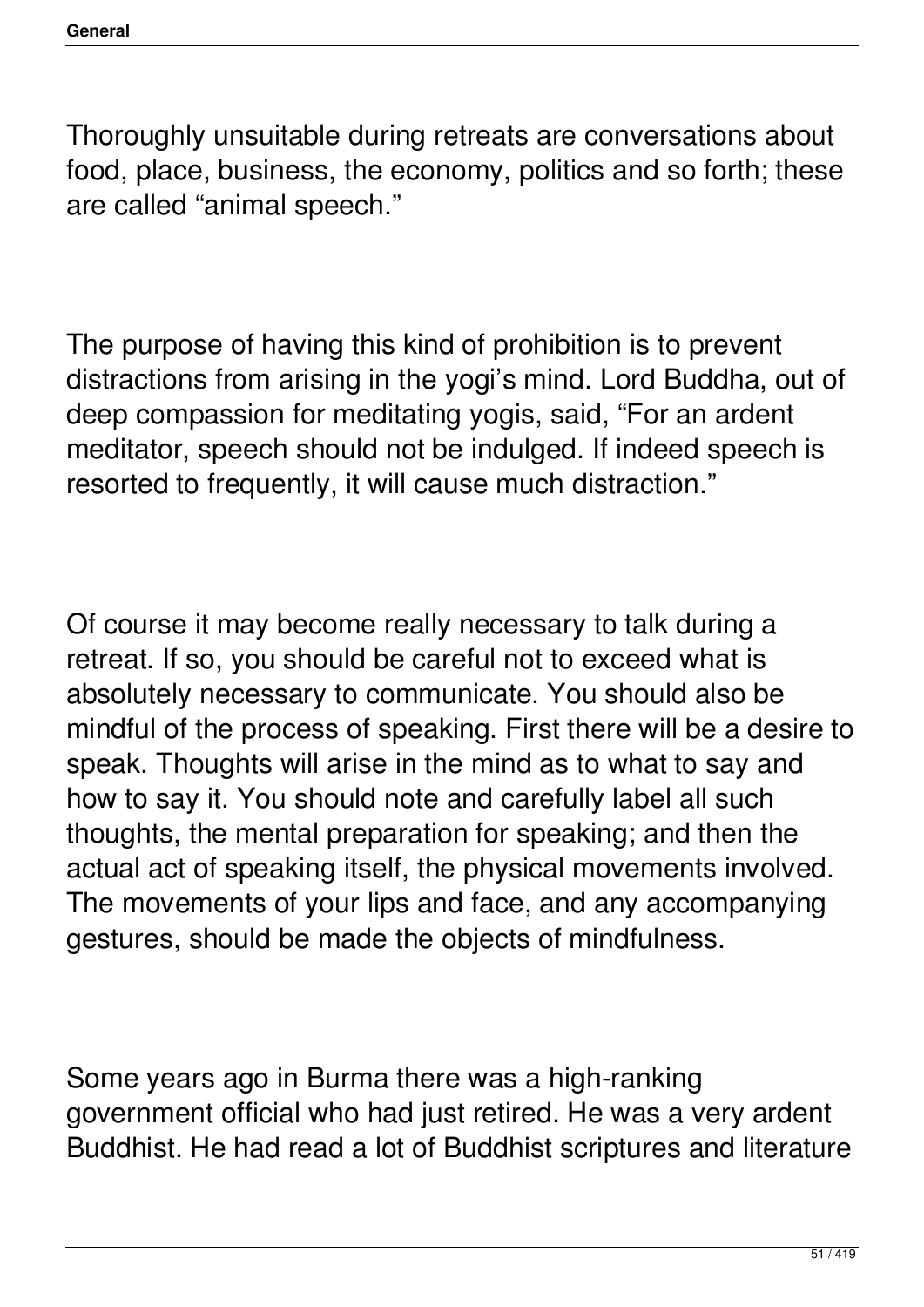Thoroughly unsuitable during retreats are conversations about food, place, business, the economy, politics and so forth; these are called "animal speech."

The purpose of having this kind of prohibition is to prevent distractions from arising in the yogi's mind. Lord Buddha, out of deep compassion for meditating yogis, said, "For an ardent meditator, speech should not be indulged. If indeed speech is resorted to frequently, it will cause much distraction."

Of course it may become really necessary to talk during a retreat. If so, you should be careful not to exceed what is absolutely necessary to communicate. You should also be mindful of the process of speaking. First there will be a desire to speak. Thoughts will arise in the mind as to what to say and how to say it. You should note and carefully label all such thoughts, the mental preparation for speaking; and then the actual act of speaking itself, the physical movements involved. The movements of your lips and face, and any accompanying gestures, should be made the objects of mindfulness.

Some years ago in Burma there was a high-ranking government official who had just retired. He was a very ardent Buddhist. He had read a lot of Buddhist scriptures and literature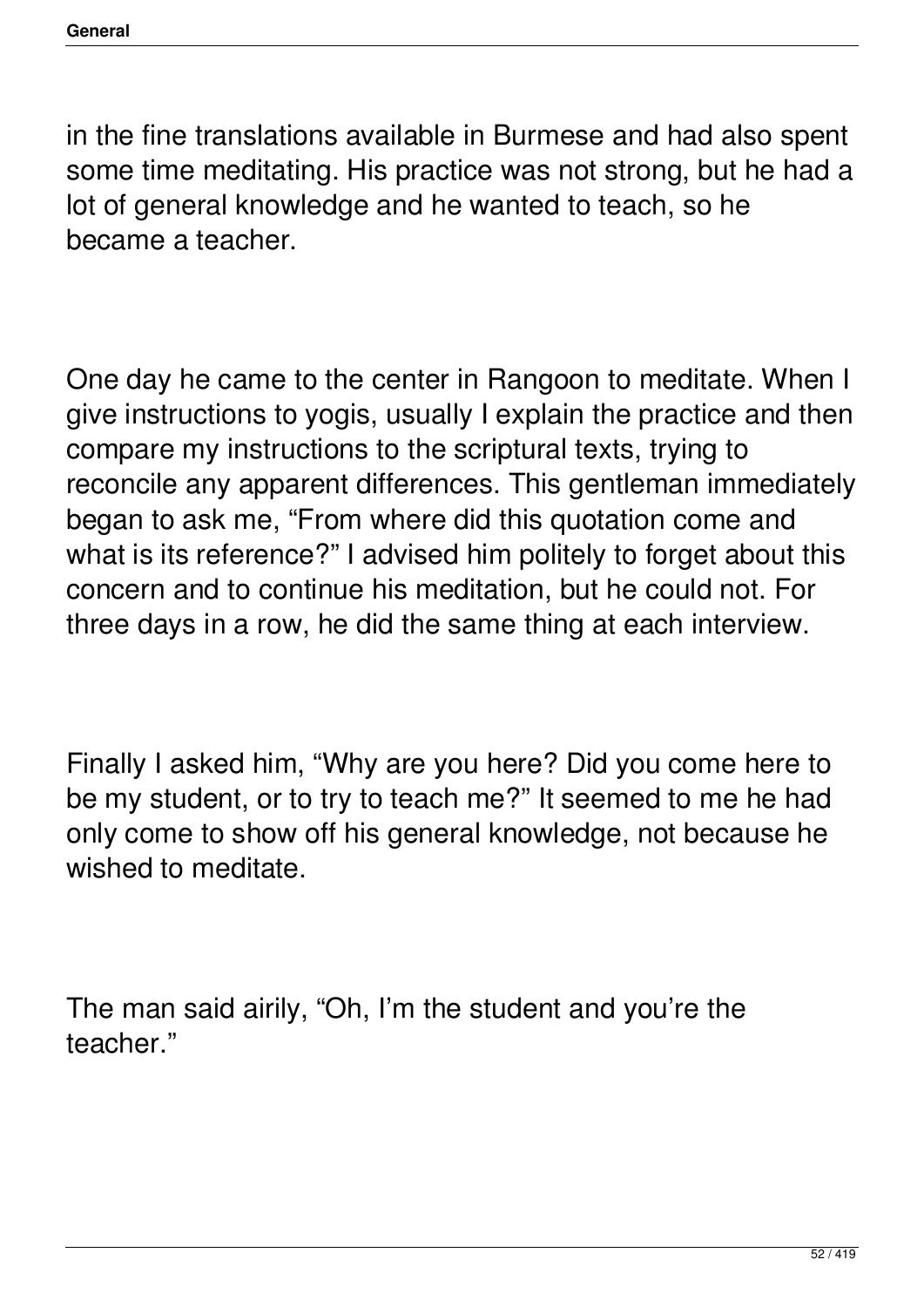in the fine translations available in Burmese and had also spent some time meditating. His practice was not strong, but he had a lot of general knowledge and he wanted to teach, so he became a teacher.

One day he came to the center in Rangoon to meditate. When I give instructions to yogis, usually I explain the practice and then compare my instructions to the scriptural texts, trying to reconcile any apparent differences. This gentleman immediately began to ask me, "From where did this quotation come and what is its reference?" I advised him politely to forget about this concern and to continue his meditation, but he could not. For three days in a row, he did the same thing at each interview.

Finally I asked him, "Why are you here? Did you come here to be my student, or to try to teach me?" It seemed to me he had only come to show off his general knowledge, not because he wished to meditate.

The man said airily, "Oh, I'm the student and you're the teacher."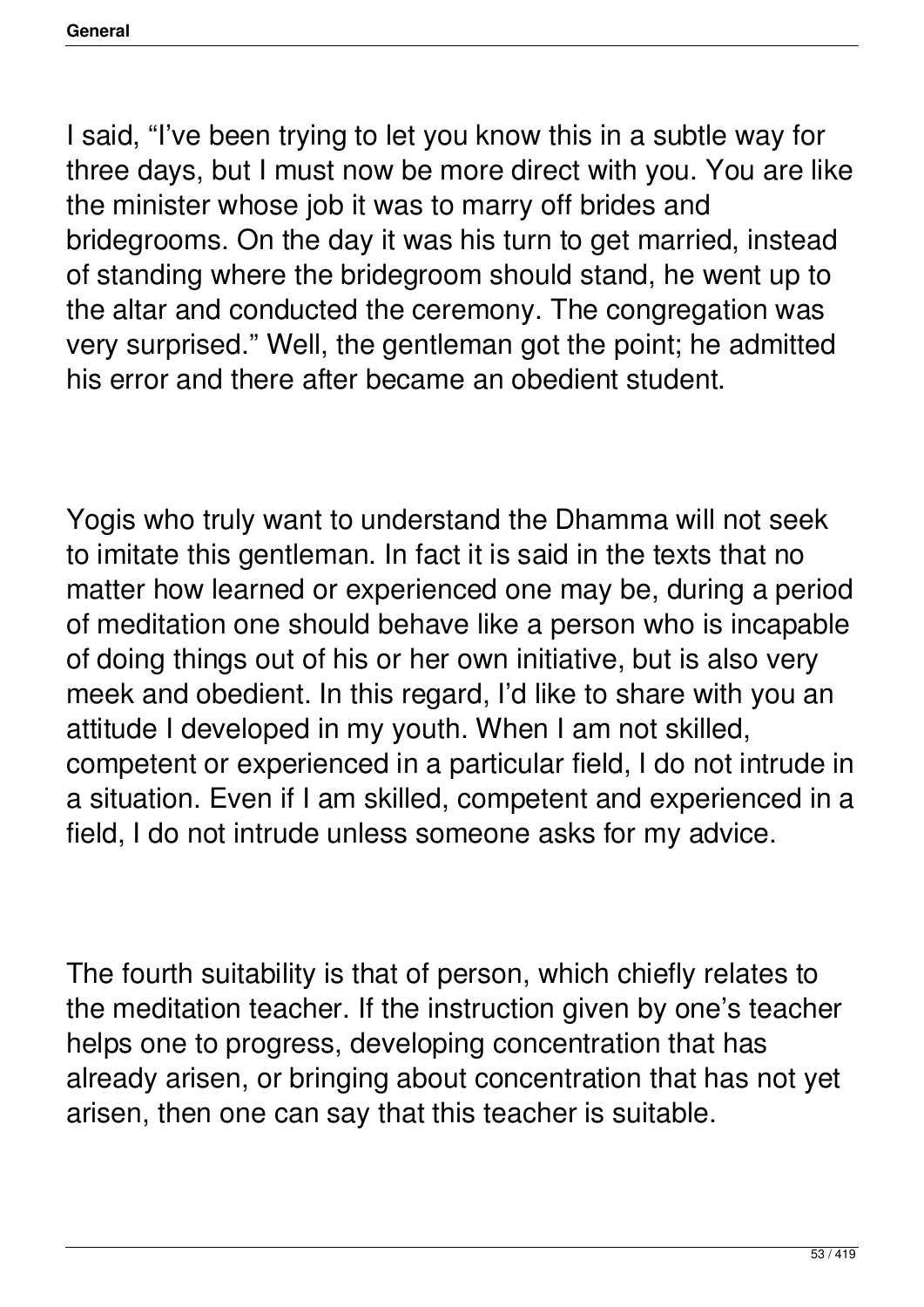I said, "I've been trying to let you know this in a subtle way for three days, but I must now be more direct with you. You are like the minister whose job it was to marry off brides and bridegrooms. On the day it was his turn to get married, instead of standing where the bridegroom should stand, he went up to the altar and conducted the ceremony. The congregation was very surprised." Well, the gentleman got the point; he admitted his error and there after became an obedient student.

Yogis who truly want to understand the Dhamma will not seek to imitate this gentleman. In fact it is said in the texts that no matter how learned or experienced one may be, during a period of meditation one should behave like a person who is incapable of doing things out of his or her own initiative, but is also very meek and obedient. In this regard, I'd like to share with you an attitude I developed in my youth. When I am not skilled, competent or experienced in a particular field, I do not intrude in a situation. Even if I am skilled, competent and experienced in a field, I do not intrude unless someone asks for my advice.

The fourth suitability is that of person, which chiefly relates to the meditation teacher. If the instruction given by one's teacher helps one to progress, developing concentration that has already arisen, or bringing about concentration that has not yet arisen, then one can say that this teacher is suitable.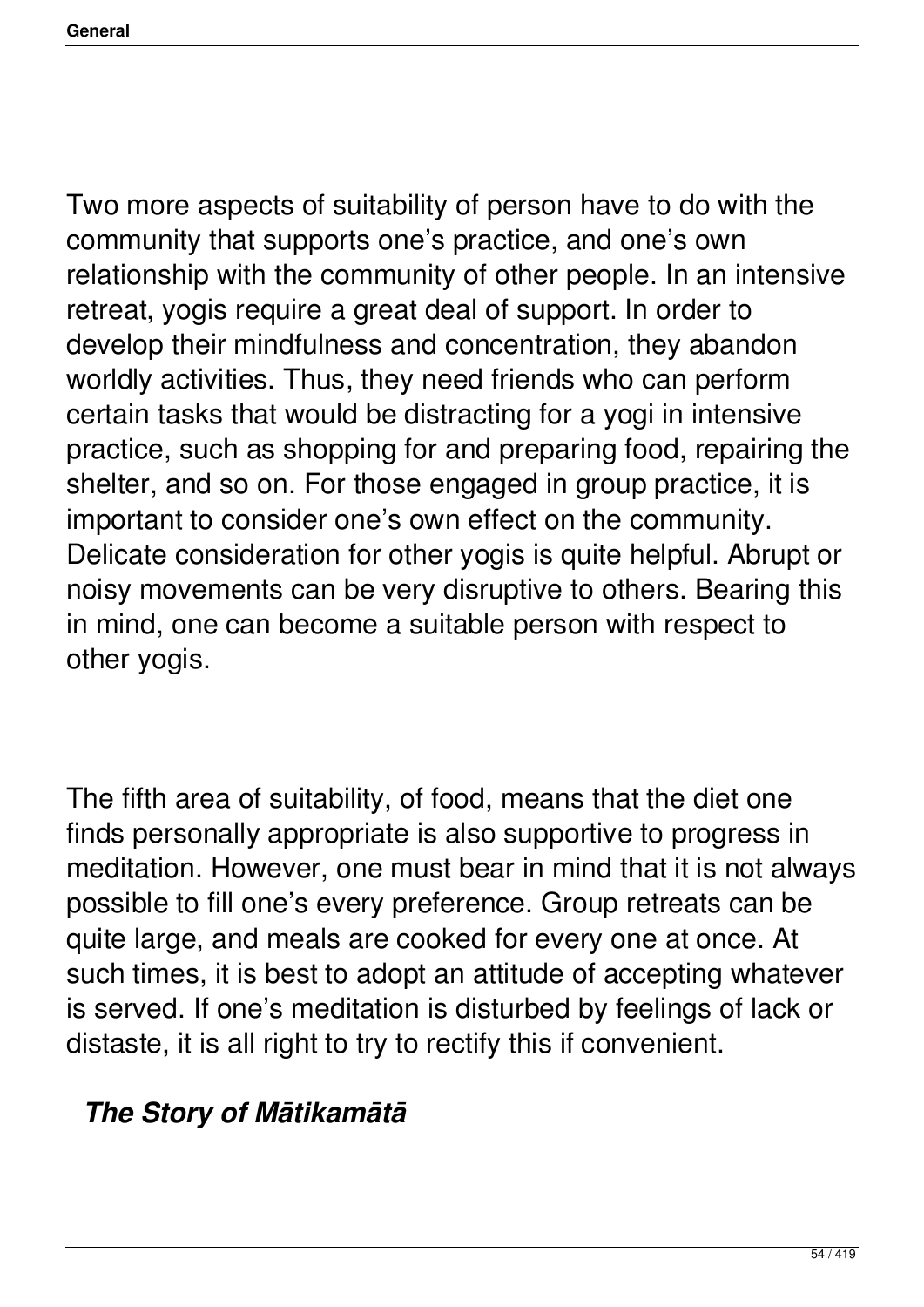Two more aspects of suitability of person have to do with the community that supports one's practice, and one's own relationship with the community of other people. In an intensive retreat, yogis require a great deal of support. In order to develop their mindfulness and concentration, they abandon worldly activities. Thus, they need friends who can perform certain tasks that would be distracting for a yogi in intensive practice, such as shopping for and preparing food, repairing the shelter, and so on. For those engaged in group practice, it is important to consider one's own effect on the community. Delicate consideration for other yogis is quite helpful. Abrupt or noisy movements can be very disruptive to others. Bearing this in mind, one can become a suitable person with respect to other yogis.

The fifth area of suitability, of food, means that the diet one finds personally appropriate is also supportive to progress in meditation. However, one must bear in mind that it is not always possible to fill one's every preference. Group retreats can be quite large, and meals are cooked for every one at once. At such times, it is best to adopt an attitude of accepting whatever is served. If one's meditation is disturbed by feelings of lack or distaste, it is all right to try to rectify this if convenient.

#### *The Story of Mātikamātā*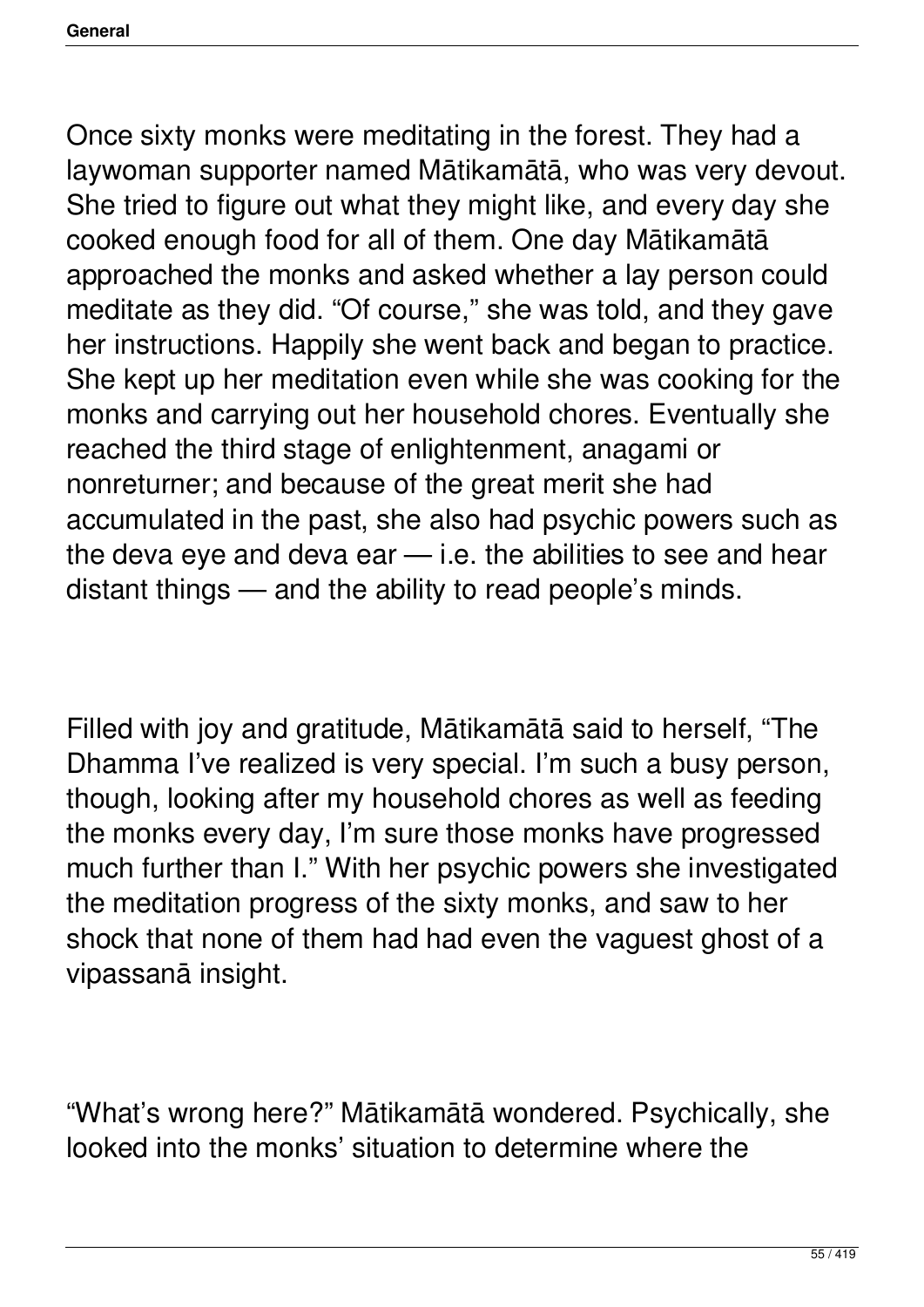Once sixty monks were meditating in the forest. They had a laywoman supporter named Mātikamātā, who was very devout. She tried to figure out what they might like, and every day she cooked enough food for all of them. One day Mātikamātā approached the monks and asked whether a lay person could meditate as they did. "Of course," she was told, and they gave her instructions. Happily she went back and began to practice. She kept up her meditation even while she was cooking for the monks and carrying out her household chores. Eventually she reached the third stage of enlightenment, anagami or nonreturner; and because of the great merit she had accumulated in the past, she also had psychic powers such as the deva eye and deva ear — i.e. the abilities to see and hear distant things — and the ability to read people's minds.

Filled with joy and gratitude, Mātikamātā said to herself, "The Dhamma I've realized is very special. I'm such a busy person, though, looking after my household chores as well as feeding the monks every day, I'm sure those monks have progressed much further than I." With her psychic powers she investigated the meditation progress of the sixty monks, and saw to her shock that none of them had had even the vaguest ghost of a vipassanā insight.

"What's wrong here?" Mātikamātā wondered. Psychically, she looked into the monks' situation to determine where the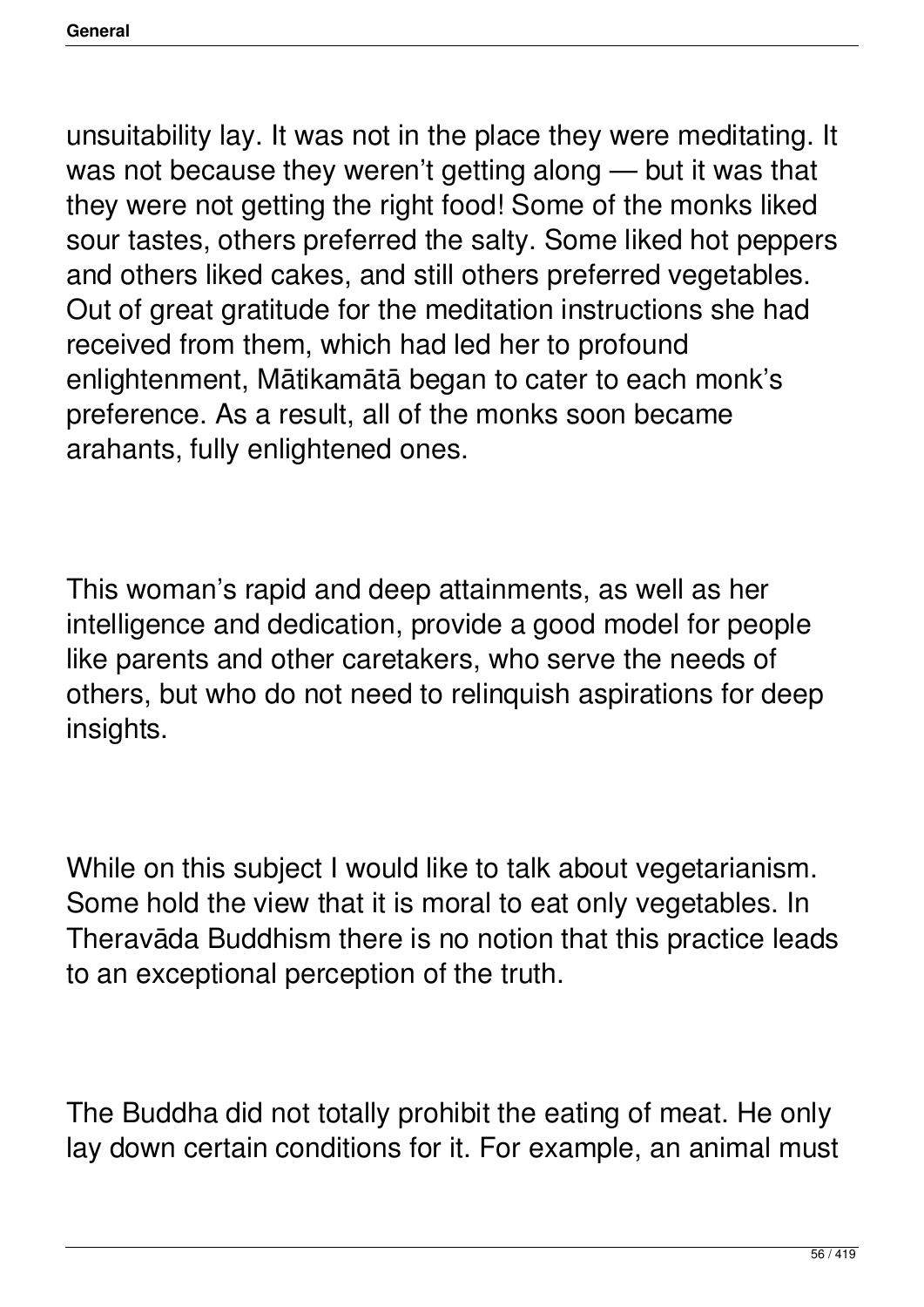unsuitability lay. It was not in the place they were meditating. It was not because they weren't getting along — but it was that they were not getting the right food! Some of the monks liked sour tastes, others preferred the salty. Some liked hot peppers and others liked cakes, and still others preferred vegetables. Out of great gratitude for the meditation instructions she had received from them, which had led her to profound enlightenment, Mātikamātā began to cater to each monk's preference. As a result, all of the monks soon became arahants, fully enlightened ones.

This woman's rapid and deep attainments, as well as her intelligence and dedication, provide a good model for people like parents and other caretakers, who serve the needs of others, but who do not need to relinquish aspirations for deep insights.

While on this subject I would like to talk about vegetarianism. Some hold the view that it is moral to eat only vegetables. In Theravāda Buddhism there is no notion that this practice leads to an exceptional perception of the truth.

The Buddha did not totally prohibit the eating of meat. He only lay down certain conditions for it. For example, an animal must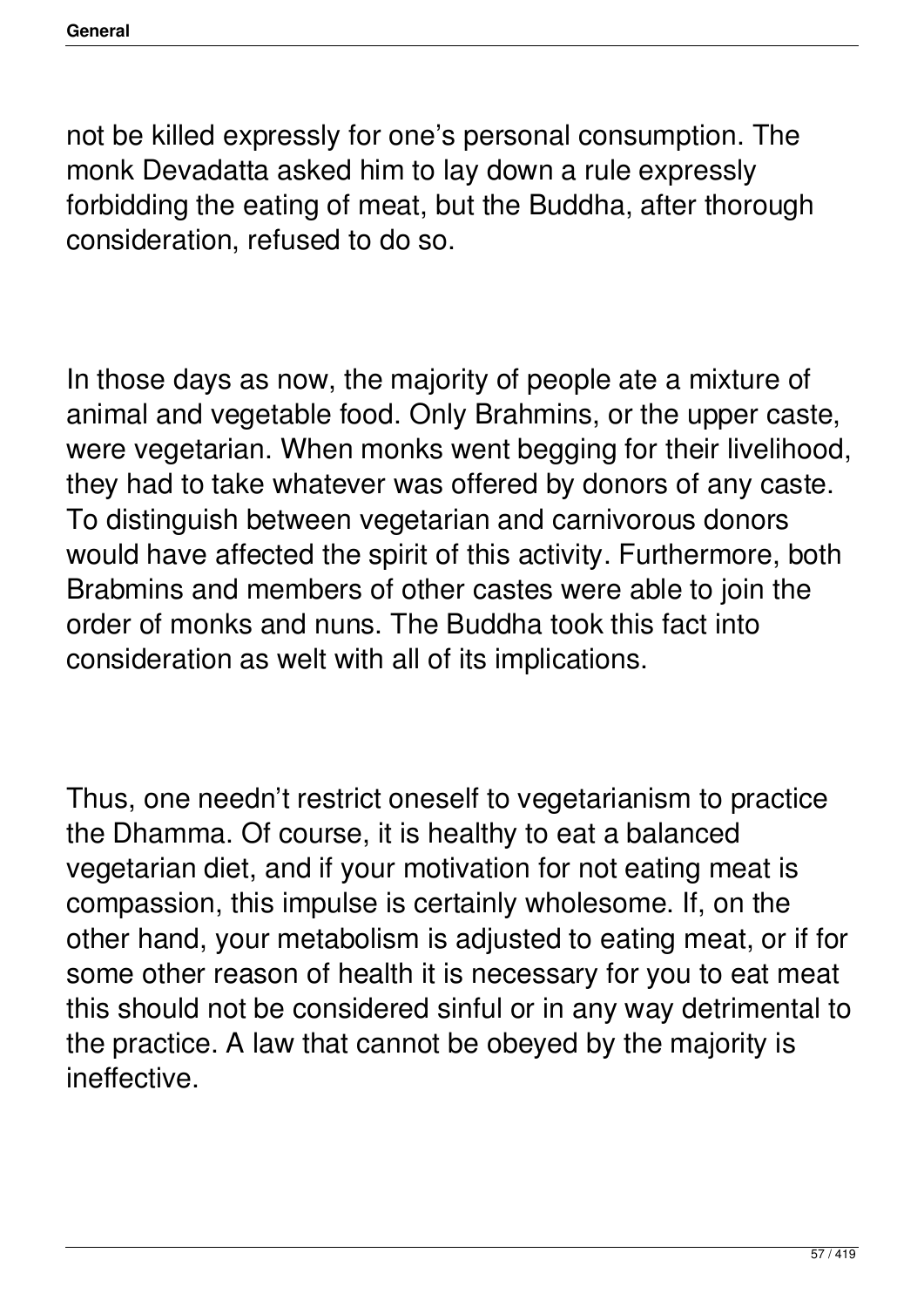not be killed expressly for one's personal consumption. The monk Devadatta asked him to lay down a rule expressly forbidding the eating of meat, but the Buddha, after thorough consideration, refused to do so.

In those days as now, the majority of people ate a mixture of animal and vegetable food. Only Brahmins, or the upper caste, were vegetarian. When monks went begging for their livelihood, they had to take whatever was offered by donors of any caste. To distinguish between vegetarian and carnivorous donors would have affected the spirit of this activity. Furthermore, both Brabmins and members of other castes were able to join the order of monks and nuns. The Buddha took this fact into consideration as welt with all of its implications.

Thus, one needn't restrict oneself to vegetarianism to practice the Dhamma. Of course, it is healthy to eat a balanced vegetarian diet, and if your motivation for not eating meat is compassion, this impulse is certainly wholesome. If, on the other hand, your metabolism is adjusted to eating meat, or if for some other reason of health it is necessary for you to eat meat this should not be considered sinful or in any way detrimental to the practice. A law that cannot be obeyed by the majority is ineffective.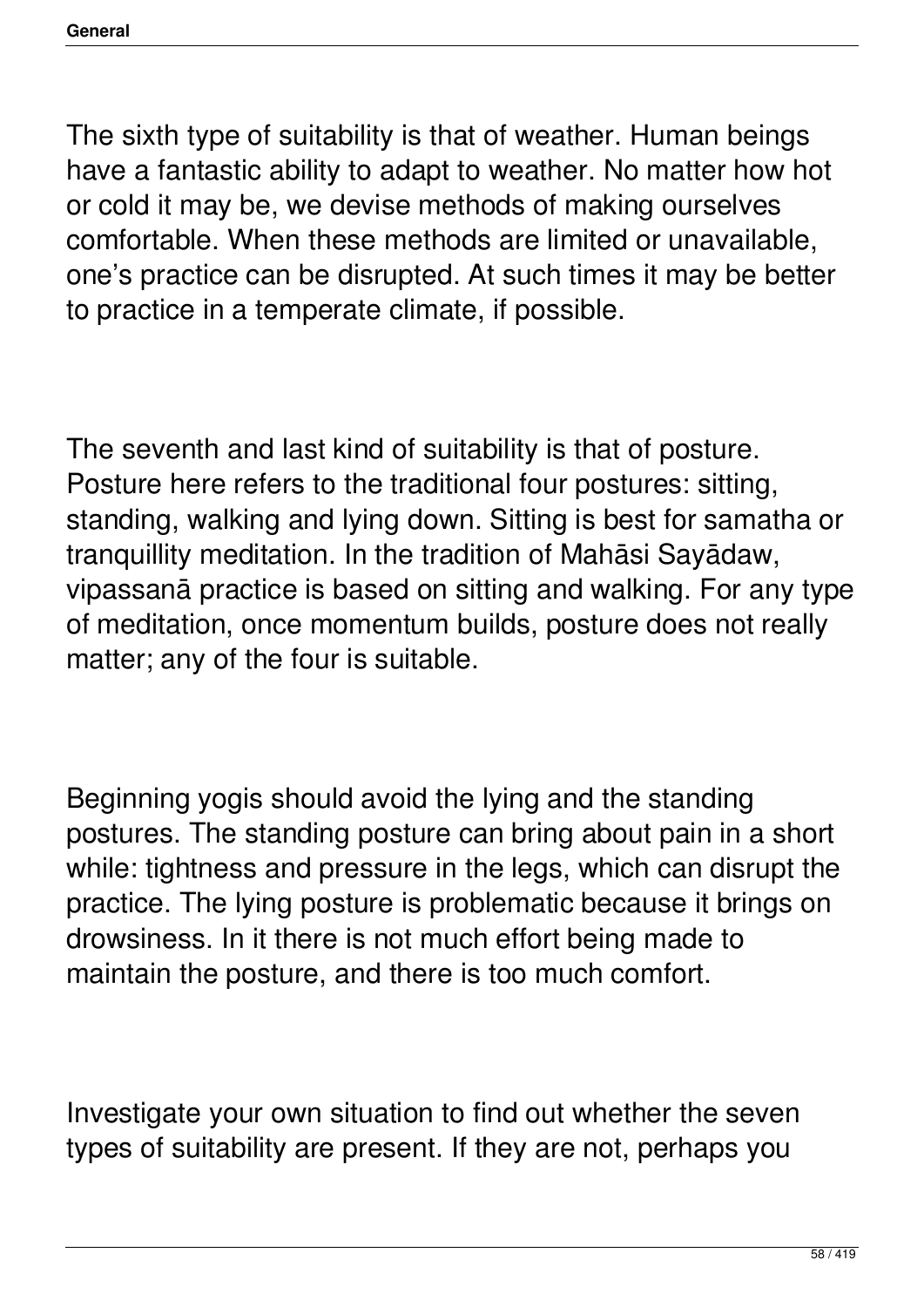The sixth type of suitability is that of weather. Human beings have a fantastic ability to adapt to weather. No matter how hot or cold it may be, we devise methods of making ourselves comfortable. When these methods are limited or unavailable, one's practice can be disrupted. At such times it may be better to practice in a temperate climate, if possible.

The seventh and last kind of suitability is that of posture. Posture here refers to the traditional four postures: sitting, standing, walking and lying down. Sitting is best for samatha or tranquillity meditation. In the tradition of Mahāsi Sayādaw, vipassanā practice is based on sitting and walking. For any type of meditation, once momentum builds, posture does not really matter; any of the four is suitable.

Beginning yogis should avoid the lying and the standing postures. The standing posture can bring about pain in a short while: tightness and pressure in the legs, which can disrupt the practice. The lying posture is problematic because it brings on drowsiness. In it there is not much effort being made to maintain the posture, and there is too much comfort.

Investigate your own situation to find out whether the seven types of suitability are present. If they are not, perhaps you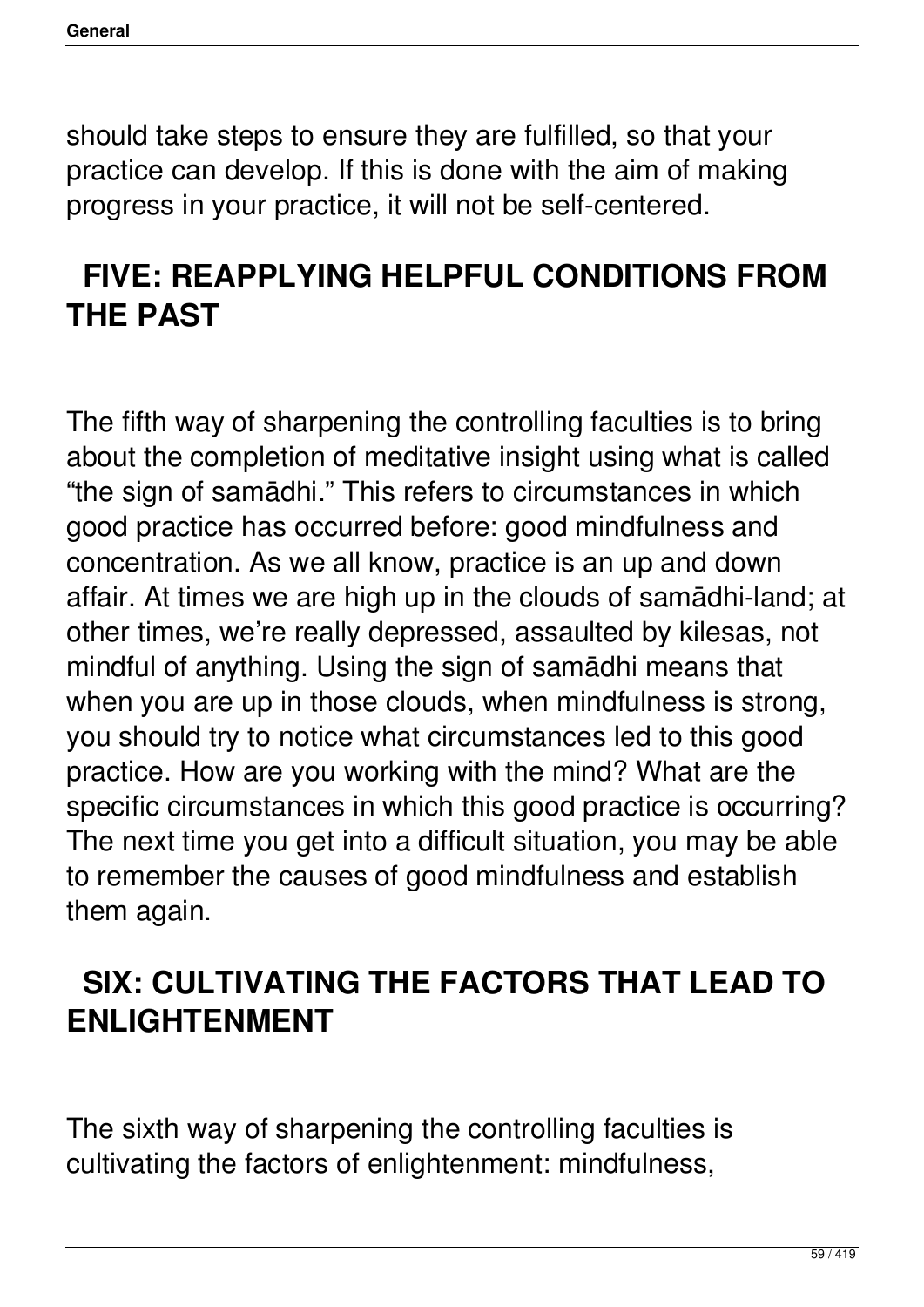should take steps to ensure they are fulfilled, so that your practice can develop. If this is done with the aim of making progress in your practice, it will not be self-centered.

### **FIVE: REAPPLYING HELPFUL CONDITIONS FROM THE PAST**

The fifth way of sharpening the controlling faculties is to bring about the completion of meditative insight using what is called "the sign of samādhi." This refers to circumstances in which good practice has occurred before: good mindfulness and concentration. As we all know, practice is an up and down affair. At times we are high up in the clouds of samādhi-land; at other times, we're really depressed, assaulted by kilesas, not mindful of anything. Using the sign of samādhi means that when you are up in those clouds, when mindfulness is strong, you should try to notice what circumstances led to this good practice. How are you working with the mind? What are the specific circumstances in which this good practice is occurring? The next time you get into a difficult situation, you may be able to remember the causes of good mindfulness and establish them again.

### **SIX: CULTIVATING THE FACTORS THAT LEAD TO ENLIGHTENMENT**

The sixth way of sharpening the controlling faculties is cultivating the factors of enlightenment: mindfulness,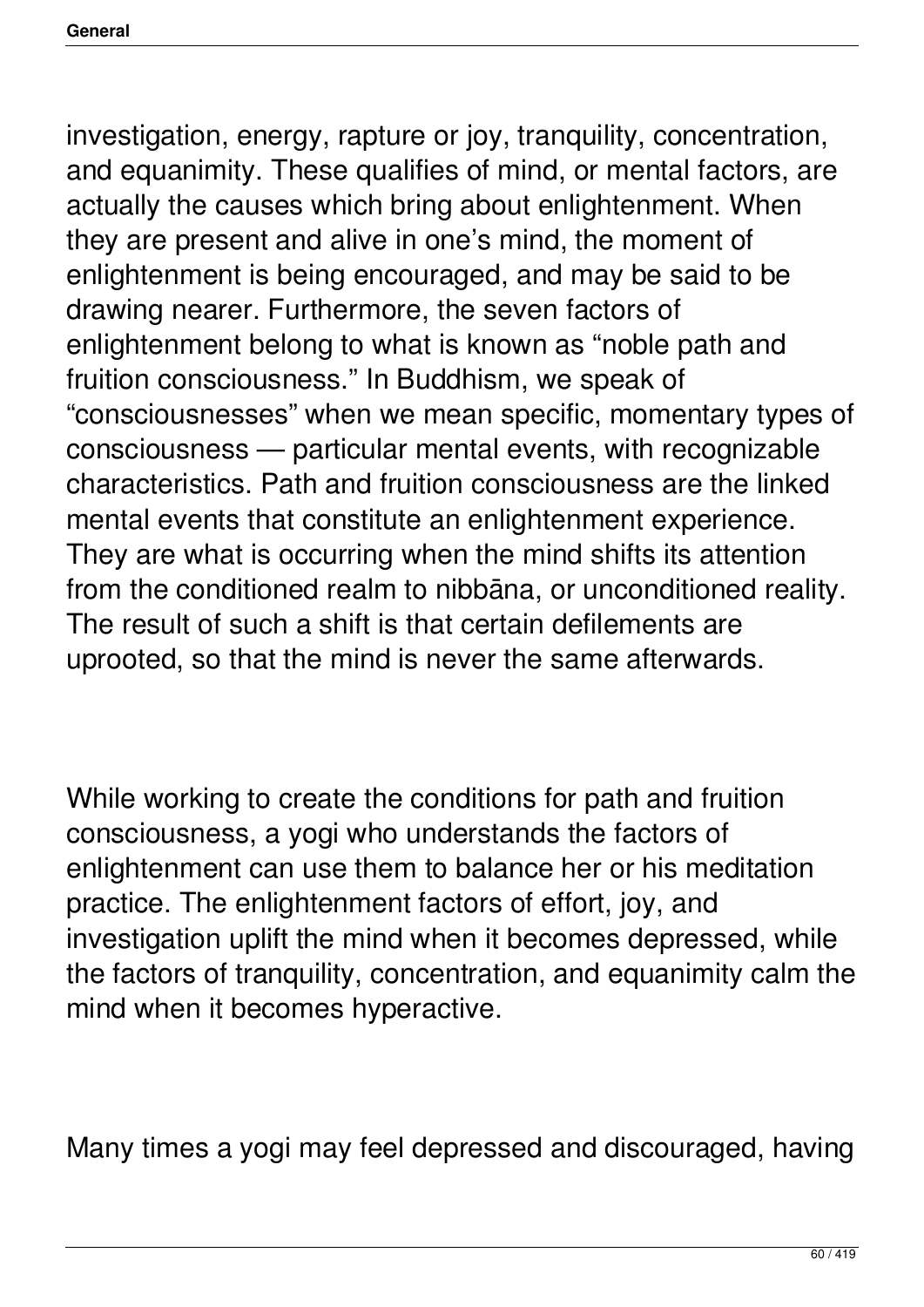investigation, energy, rapture or joy, tranquility, concentration, and equanimity. These qualifies of mind, or mental factors, are actually the causes which bring about enlightenment. When they are present and alive in one's mind, the moment of enlightenment is being encouraged, and may be said to be drawing nearer. Furthermore, the seven factors of enlightenment belong to what is known as "noble path and fruition consciousness." In Buddhism, we speak of "consciousnesses" when we mean specific, momentary types of consciousness — particular mental events, with recognizable characteristics. Path and fruition consciousness are the linked mental events that constitute an enlightenment experience. They are what is occurring when the mind shifts its attention from the conditioned realm to nibbāna, or unconditioned reality. The result of such a shift is that certain defilements are uprooted, so that the mind is never the same afterwards.

While working to create the conditions for path and fruition consciousness, a yogi who understands the factors of enlightenment can use them to balance her or his meditation practice. The enlightenment factors of effort, joy, and investigation uplift the mind when it becomes depressed, while the factors of tranquility, concentration, and equanimity calm the mind when it becomes hyperactive.

Many times a yogi may feel depressed and discouraged, having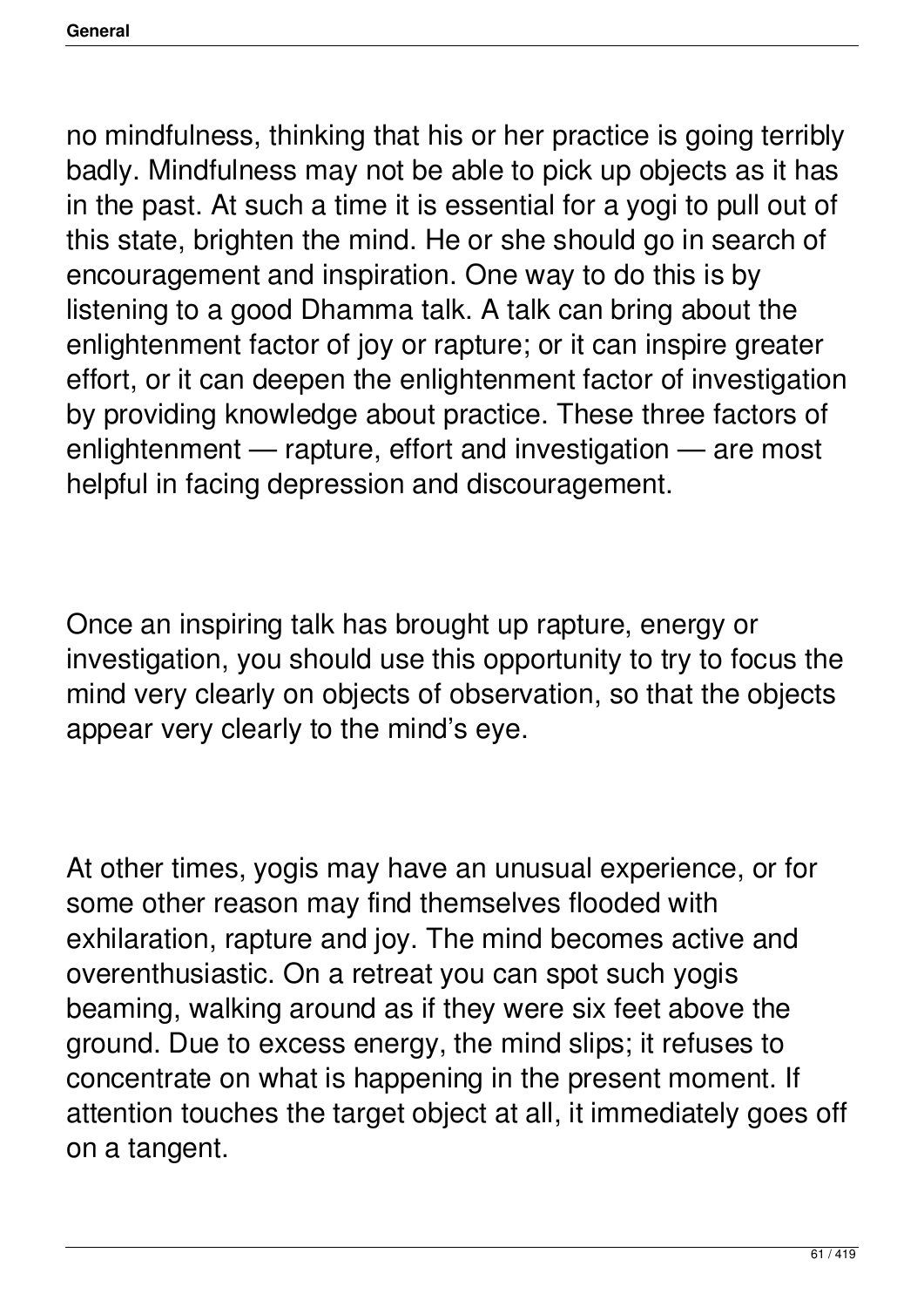no mindfulness, thinking that his or her practice is going terribly badly. Mindfulness may not be able to pick up objects as it has in the past. At such a time it is essential for a yogi to pull out of this state, brighten the mind. He or she should go in search of encouragement and inspiration. One way to do this is by listening to a good Dhamma talk. A talk can bring about the enlightenment factor of joy or rapture; or it can inspire greater effort, or it can deepen the enlightenment factor of investigation by providing knowledge about practice. These three factors of enlightenment — rapture, effort and investigation — are most helpful in facing depression and discouragement.

Once an inspiring talk has brought up rapture, energy or investigation, you should use this opportunity to try to focus the mind very clearly on objects of observation, so that the objects appear very clearly to the mind's eye.

At other times, yogis may have an unusual experience, or for some other reason may find themselves flooded with exhilaration, rapture and joy. The mind becomes active and overenthusiastic. On a retreat you can spot such yogis beaming, walking around as if they were six feet above the ground. Due to excess energy, the mind slips; it refuses to concentrate on what is happening in the present moment. If attention touches the target object at all, it immediately goes off on a tangent.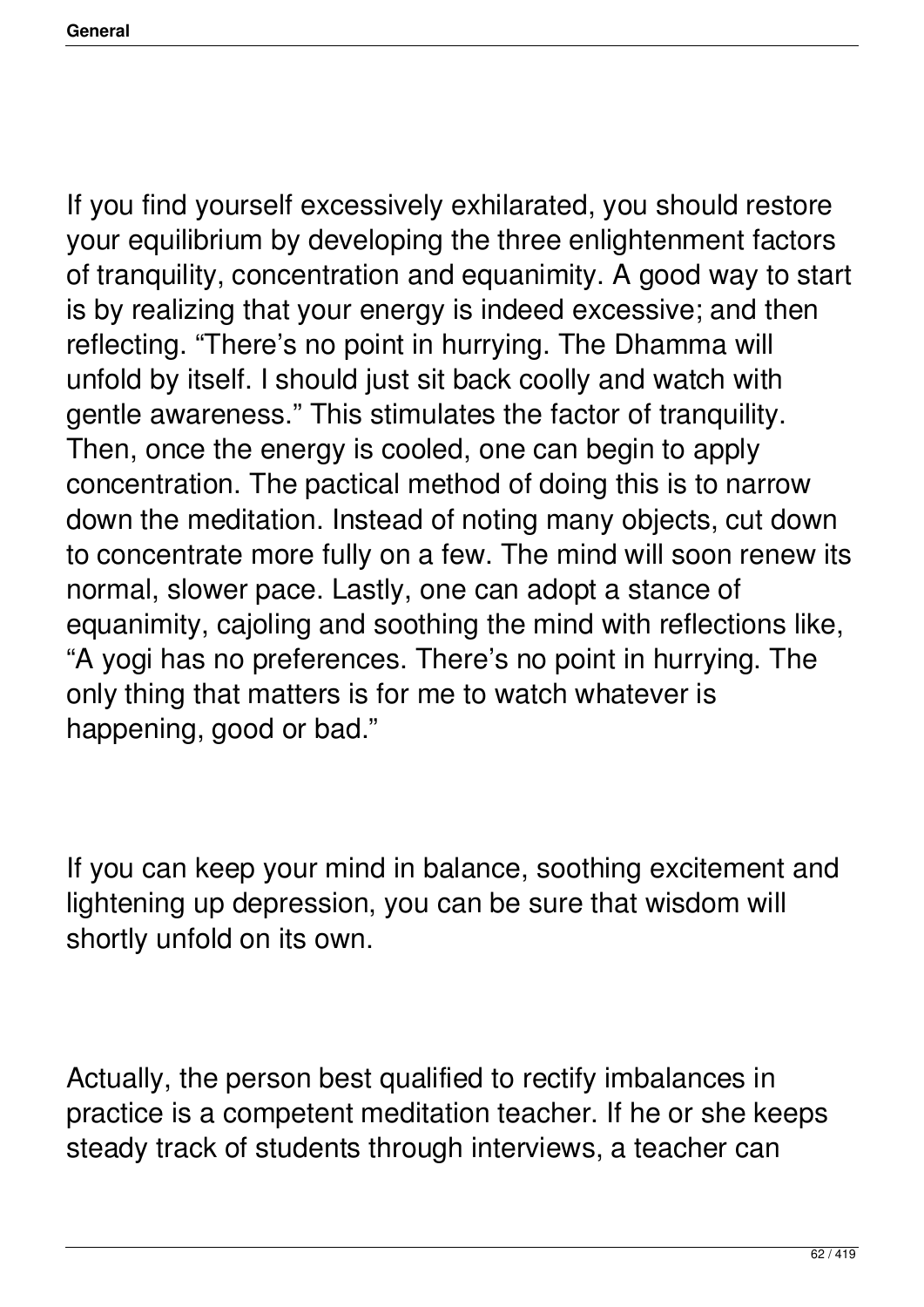If you find yourself excessively exhilarated, you should restore your equilibrium by developing the three enlightenment factors of tranquility, concentration and equanimity. A good way to start is by realizing that your energy is indeed excessive; and then reflecting. "There's no point in hurrying. The Dhamma will unfold by itself. I should just sit back coolly and watch with gentle awareness." This stimulates the factor of tranquility. Then, once the energy is cooled, one can begin to apply concentration. The pactical method of doing this is to narrow down the meditation. Instead of noting many objects, cut down to concentrate more fully on a few. The mind will soon renew its normal, slower pace. Lastly, one can adopt a stance of equanimity, cajoling and soothing the mind with reflections like, "A yogi has no preferences. There's no point in hurrying. The only thing that matters is for me to watch whatever is happening, good or bad."

If you can keep your mind in balance, soothing excitement and lightening up depression, you can be sure that wisdom will shortly unfold on its own.

Actually, the person best qualified to rectify imbalances in practice is a competent meditation teacher. If he or she keeps steady track of students through interviews, a teacher can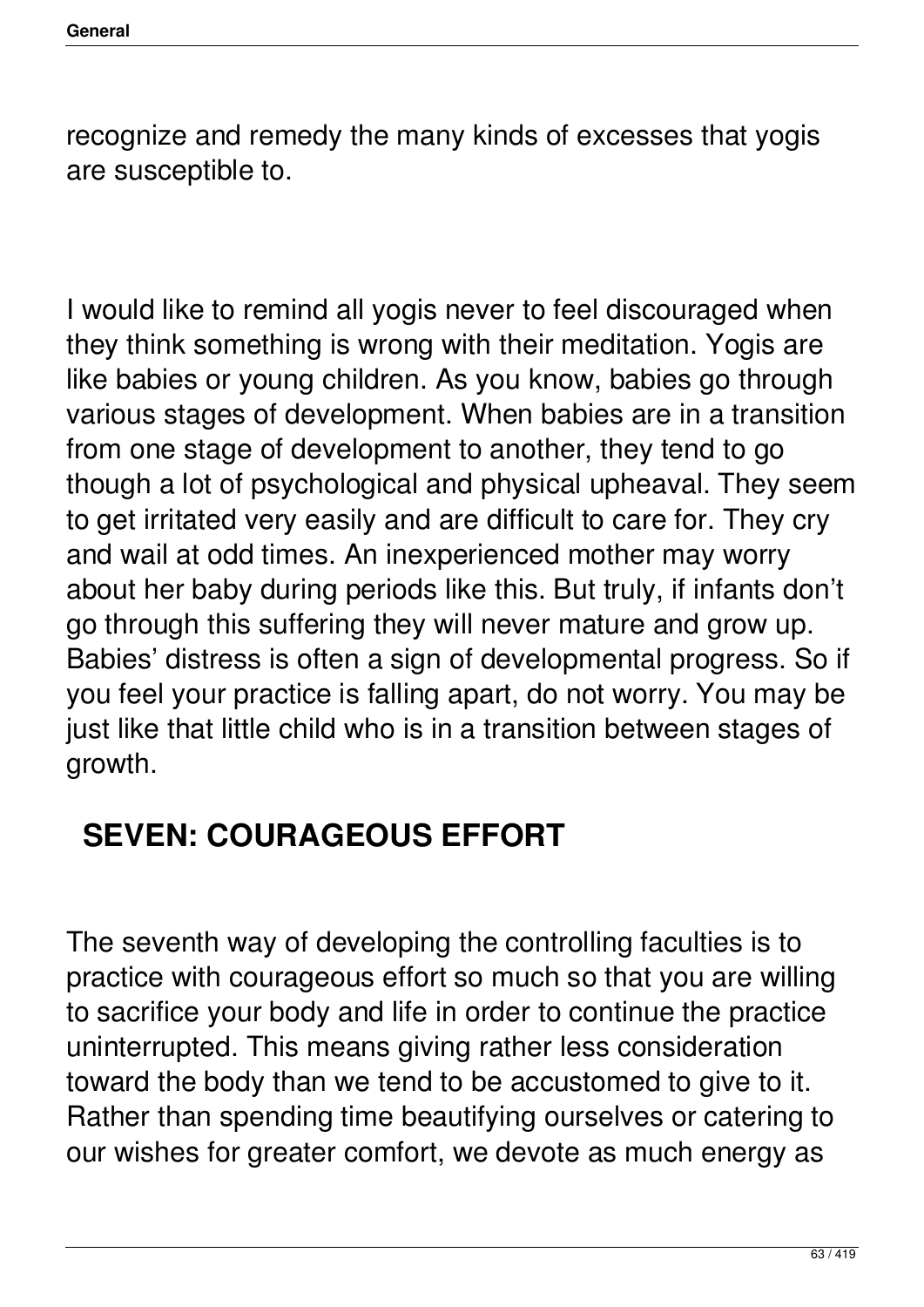recognize and remedy the many kinds of excesses that yogis are susceptible to.

I would like to remind all yogis never to feel discouraged when they think something is wrong with their meditation. Yogis are like babies or young children. As you know, babies go through various stages of development. When babies are in a transition from one stage of development to another, they tend to go though a lot of psychological and physical upheaval. They seem to get irritated very easily and are difficult to care for. They cry and wail at odd times. An inexperienced mother may worry about her baby during periods like this. But truly, if infants don't go through this suffering they will never mature and grow up. Babies' distress is often a sign of developmental progress. So if you feel your practice is falling apart, do not worry. You may be just like that little child who is in a transition between stages of growth.

#### **SEVEN: COURAGEOUS EFFORT**

The seventh way of developing the controlling faculties is to practice with courageous effort so much so that you are willing to sacrifice your body and life in order to continue the practice uninterrupted. This means giving rather less consideration toward the body than we tend to be accustomed to give to it. Rather than spending time beautifying ourselves or catering to our wishes for greater comfort, we devote as much energy as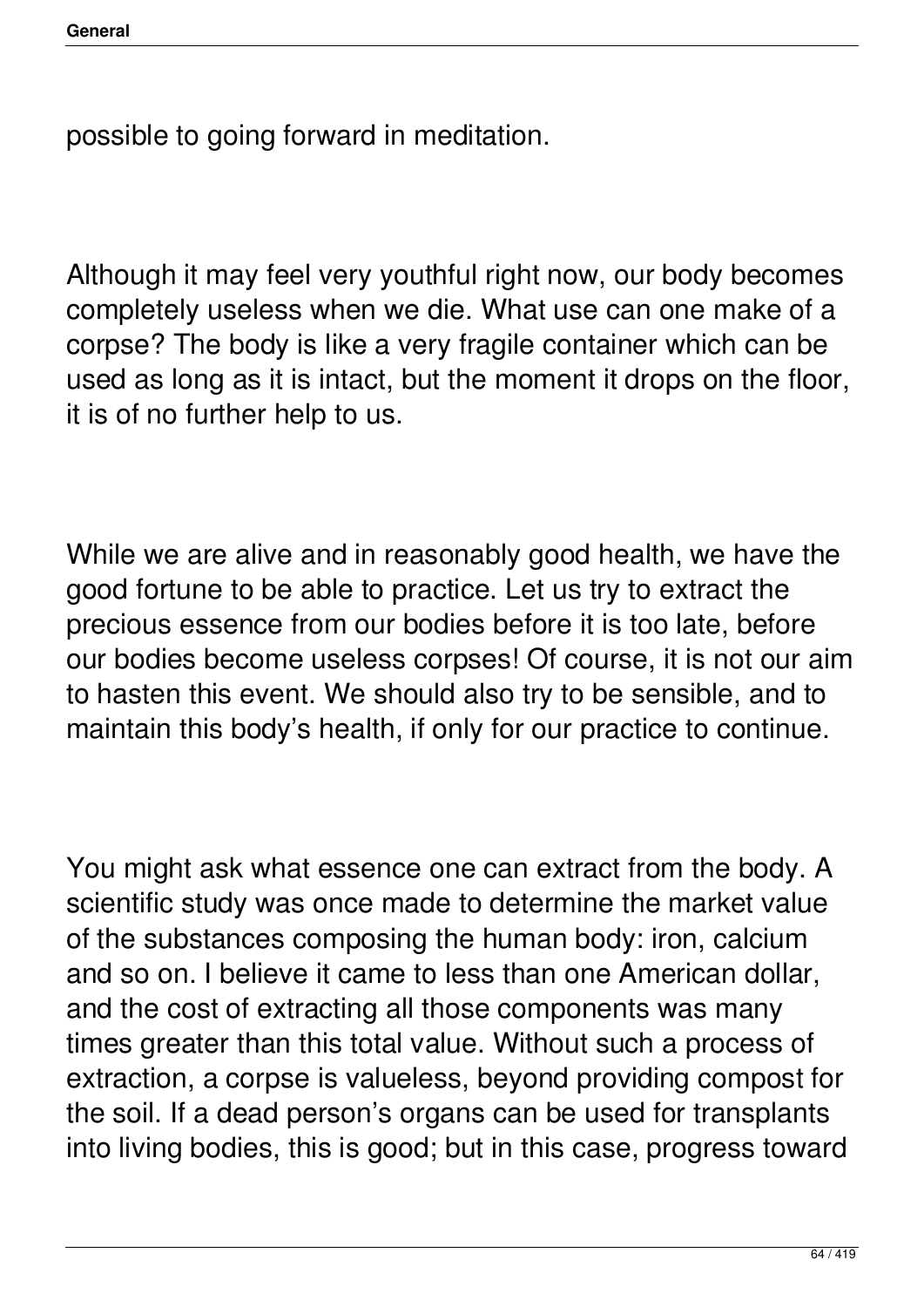possible to going forward in meditation.

Although it may feel very youthful right now, our body becomes completely useless when we die. What use can one make of a corpse? The body is like a very fragile container which can be used as long as it is intact, but the moment it drops on the floor, it is of no further help to us.

While we are alive and in reasonably good health, we have the good fortune to be able to practice. Let us try to extract the precious essence from our bodies before it is too late, before our bodies become useless corpses! Of course, it is not our aim to hasten this event. We should also try to be sensible, and to maintain this body's health, if only for our practice to continue.

You might ask what essence one can extract from the body. A scientific study was once made to determine the market value of the substances composing the human body: iron, calcium and so on. I believe it came to less than one American dollar, and the cost of extracting all those components was many times greater than this total value. Without such a process of extraction, a corpse is valueless, beyond providing compost for the soil. If a dead person's organs can be used for transplants into living bodies, this is good; but in this case, progress toward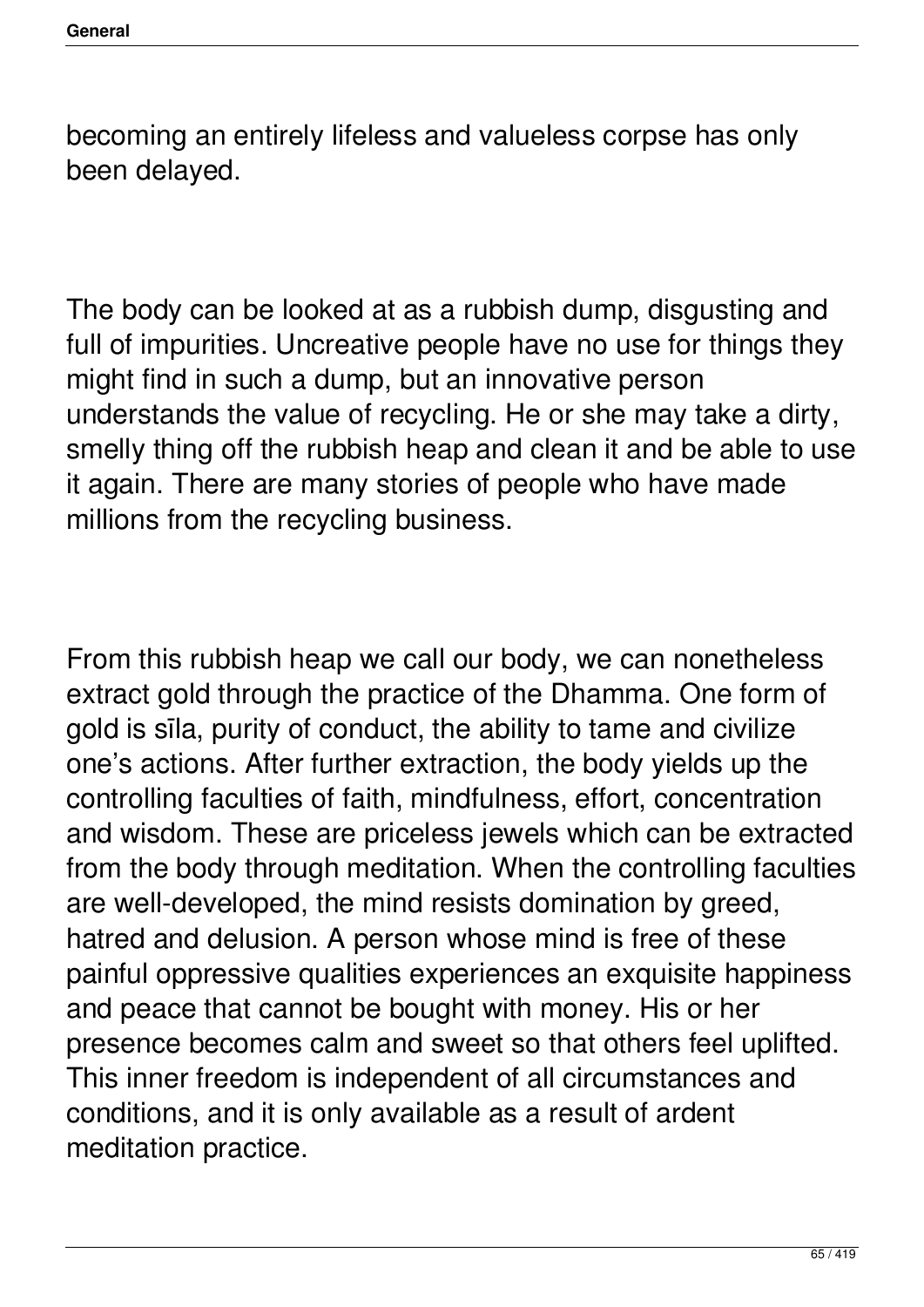becoming an entirely lifeless and valueless corpse has only been delayed.

The body can be looked at as a rubbish dump, disgusting and full of impurities. Uncreative people have no use for things they might find in such a dump, but an innovative person understands the value of recycling. He or she may take a dirty, smelly thing off the rubbish heap and clean it and be able to use it again. There are many stories of people who have made millions from the recycling business.

From this rubbish heap we call our body, we can nonetheless extract gold through the practice of the Dhamma. One form of gold is sīla, purity of conduct, the ability to tame and civilize one's actions. After further extraction, the body yields up the controlling faculties of faith, mindfulness, effort, concentration and wisdom. These are priceless jewels which can be extracted from the body through meditation. When the controlling faculties are well-developed, the mind resists domination by greed, hatred and delusion. A person whose mind is free of these painful oppressive qualities experiences an exquisite happiness and peace that cannot be bought with money. His or her presence becomes calm and sweet so that others feel uplifted. This inner freedom is independent of all circumstances and conditions, and it is only available as a result of ardent meditation practice.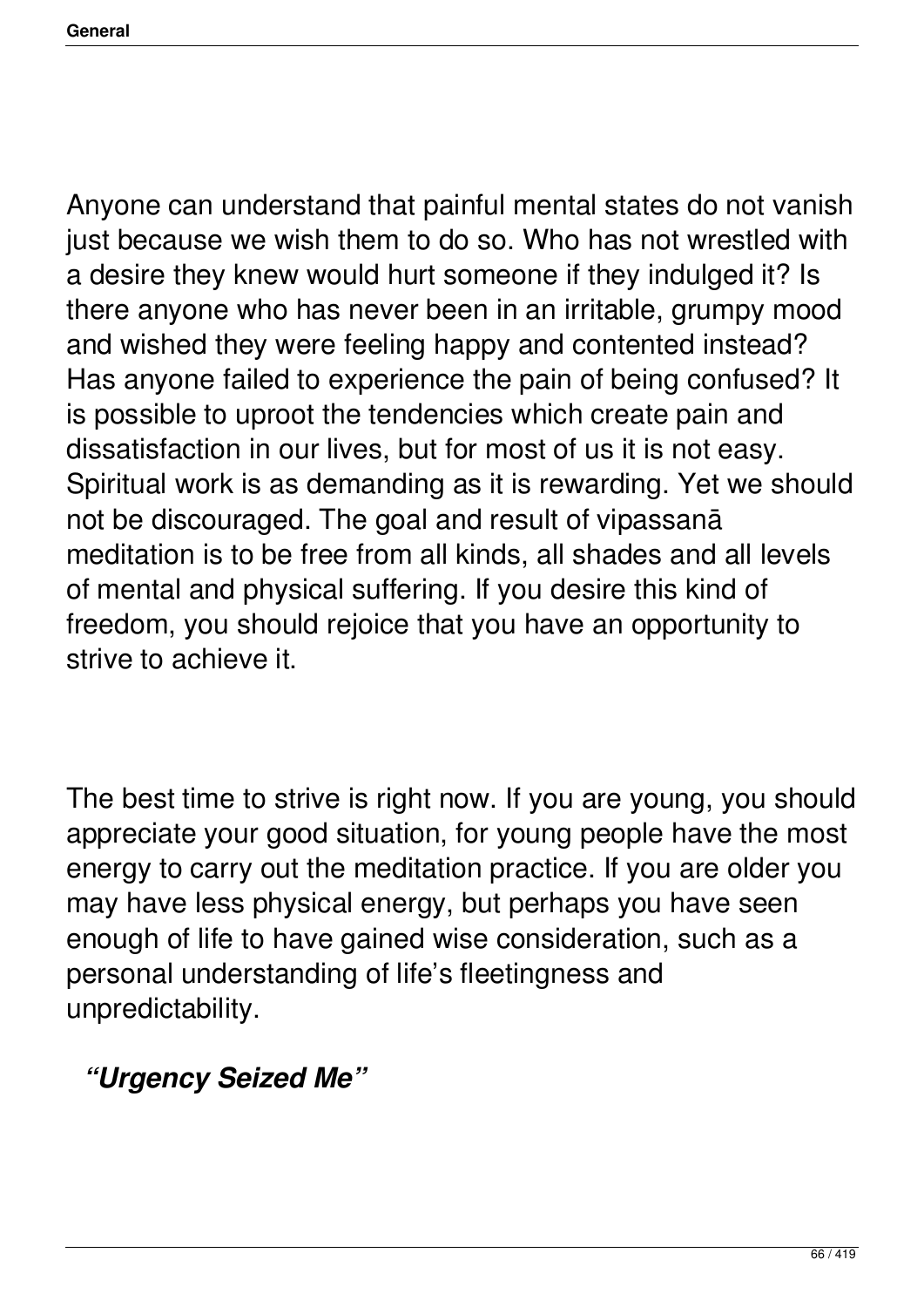Anyone can understand that painful mental states do not vanish just because we wish them to do so. Who has not wrestled with a desire they knew would hurt someone if they indulged it? Is there anyone who has never been in an irritable, grumpy mood and wished they were feeling happy and contented instead? Has anyone failed to experience the pain of being confused? It is possible to uproot the tendencies which create pain and dissatisfaction in our lives, but for most of us it is not easy. Spiritual work is as demanding as it is rewarding. Yet we should not be discouraged. The goal and result of vipassanā meditation is to be free from all kinds, all shades and all levels of mental and physical suffering. If you desire this kind of freedom, you should rejoice that you have an opportunity to strive to achieve it.

The best time to strive is right now. If you are young, you should appreciate your good situation, for young people have the most energy to carry out the meditation practice. If you are older you may have less physical energy, but perhaps you have seen enough of life to have gained wise consideration, such as a personal understanding of life's fleetingness and unpredictability.

#### *"Urgency Seized Me"*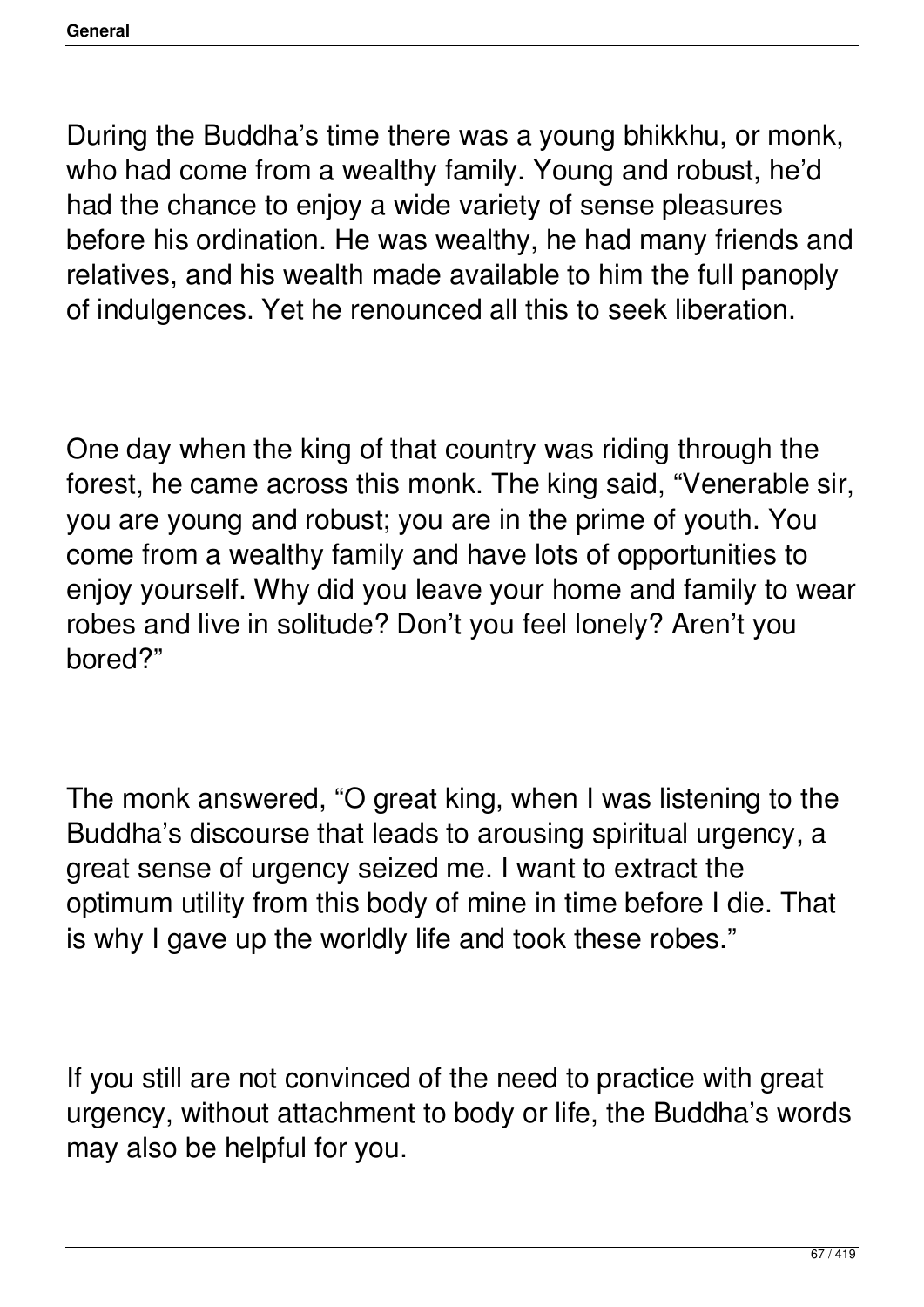During the Buddha's time there was a young bhikkhu, or monk, who had come from a wealthy family. Young and robust, he'd had the chance to enjoy a wide variety of sense pleasures before his ordination. He was wealthy, he had many friends and relatives, and his wealth made available to him the full panoply of indulgences. Yet he renounced all this to seek liberation.

One day when the king of that country was riding through the forest, he came across this monk. The king said, "Venerable sir, you are young and robust; you are in the prime of youth. You come from a wealthy family and have lots of opportunities to enjoy yourself. Why did you leave your home and family to wear robes and live in solitude? Don't you feel lonely? Aren't you bored?"

The monk answered, "O great king, when I was listening to the Buddha's discourse that leads to arousing spiritual urgency, a great sense of urgency seized me. I want to extract the optimum utility from this body of mine in time before I die. That is why I gave up the worldly life and took these robes."

If you still are not convinced of the need to practice with great urgency, without attachment to body or life, the Buddha's words may also be helpful for you.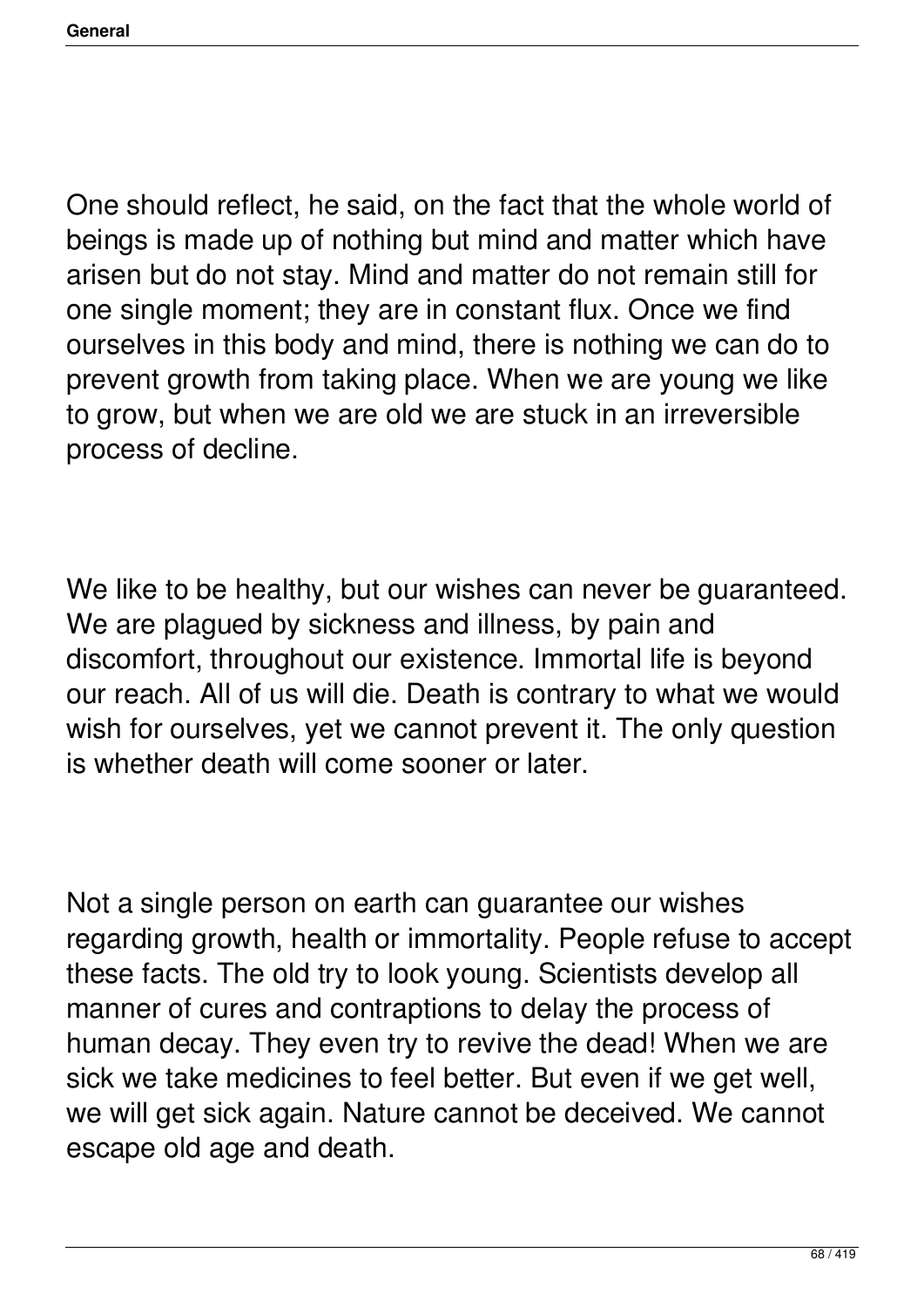One should reflect, he said, on the fact that the whole world of beings is made up of nothing but mind and matter which have arisen but do not stay. Mind and matter do not remain still for one single moment; they are in constant flux. Once we find ourselves in this body and mind, there is nothing we can do to prevent growth from taking place. When we are young we like to grow, but when we are old we are stuck in an irreversible process of decline.

We like to be healthy, but our wishes can never be guaranteed. We are plagued by sickness and illness, by pain and discomfort, throughout our existence. Immortal life is beyond our reach. All of us will die. Death is contrary to what we would wish for ourselves, yet we cannot prevent it. The only question is whether death will come sooner or later.

Not a single person on earth can guarantee our wishes regarding growth, health or immortality. People refuse to accept these facts. The old try to look young. Scientists develop all manner of cures and contraptions to delay the process of human decay. They even try to revive the dead! When we are sick we take medicines to feel better. But even if we get well, we will get sick again. Nature cannot be deceived. We cannot escape old age and death.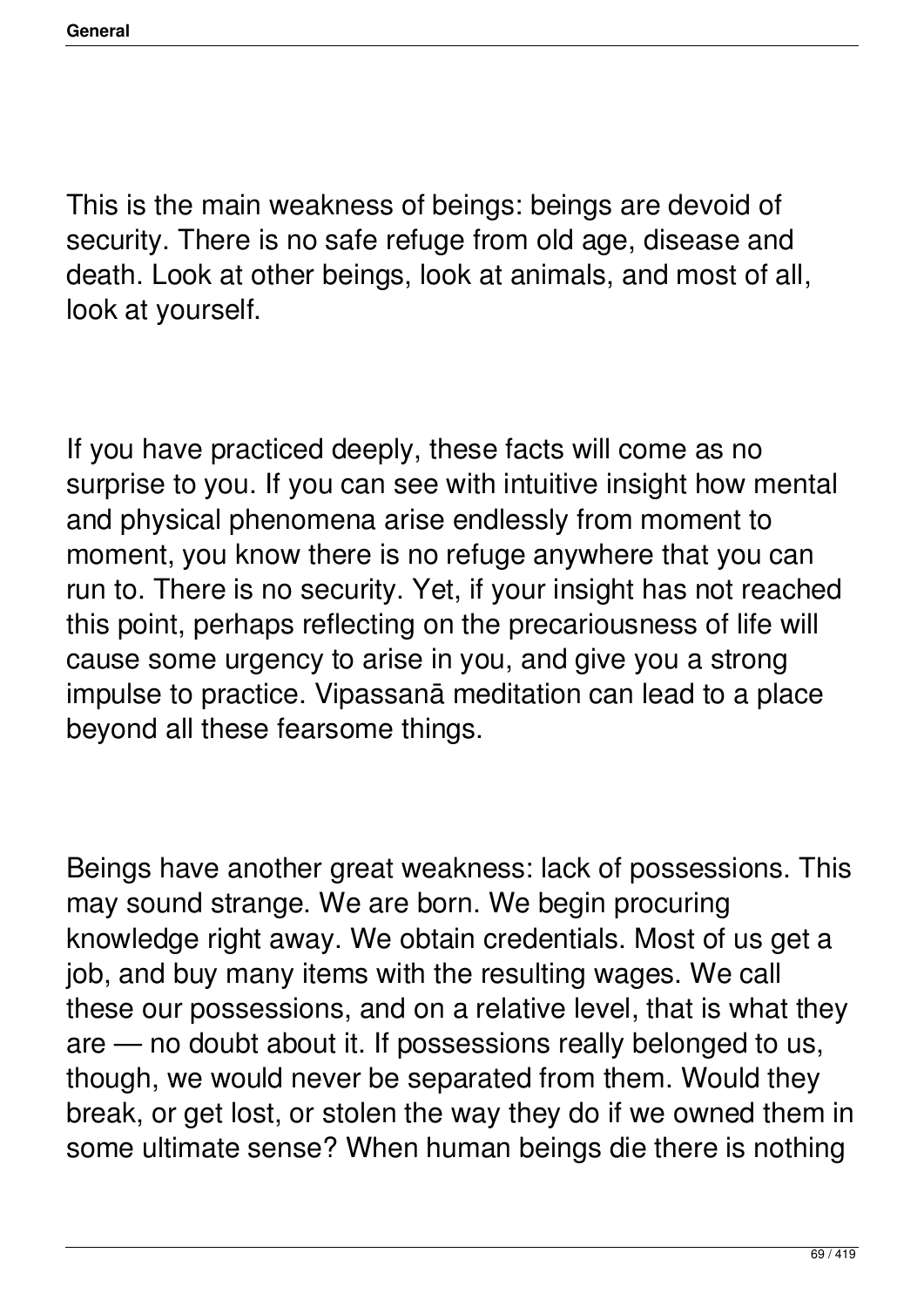This is the main weakness of beings: beings are devoid of security. There is no safe refuge from old age, disease and death. Look at other beings, look at animals, and most of all, look at yourself.

If you have practiced deeply, these facts will come as no surprise to you. If you can see with intuitive insight how mental and physical phenomena arise endlessly from moment to moment, you know there is no refuge anywhere that you can run to. There is no security. Yet, if your insight has not reached this point, perhaps reflecting on the precariousness of life will cause some urgency to arise in you, and give you a strong impulse to practice. Vipassanā meditation can lead to a place beyond all these fearsome things.

Beings have another great weakness: lack of possessions. This may sound strange. We are born. We begin procuring knowledge right away. We obtain credentials. Most of us get a job, and buy many items with the resulting wages. We call these our possessions, and on a relative level, that is what they are — no doubt about it. If possessions really belonged to us, though, we would never be separated from them. Would they break, or get lost, or stolen the way they do if we owned them in some ultimate sense? When human beings die there is nothing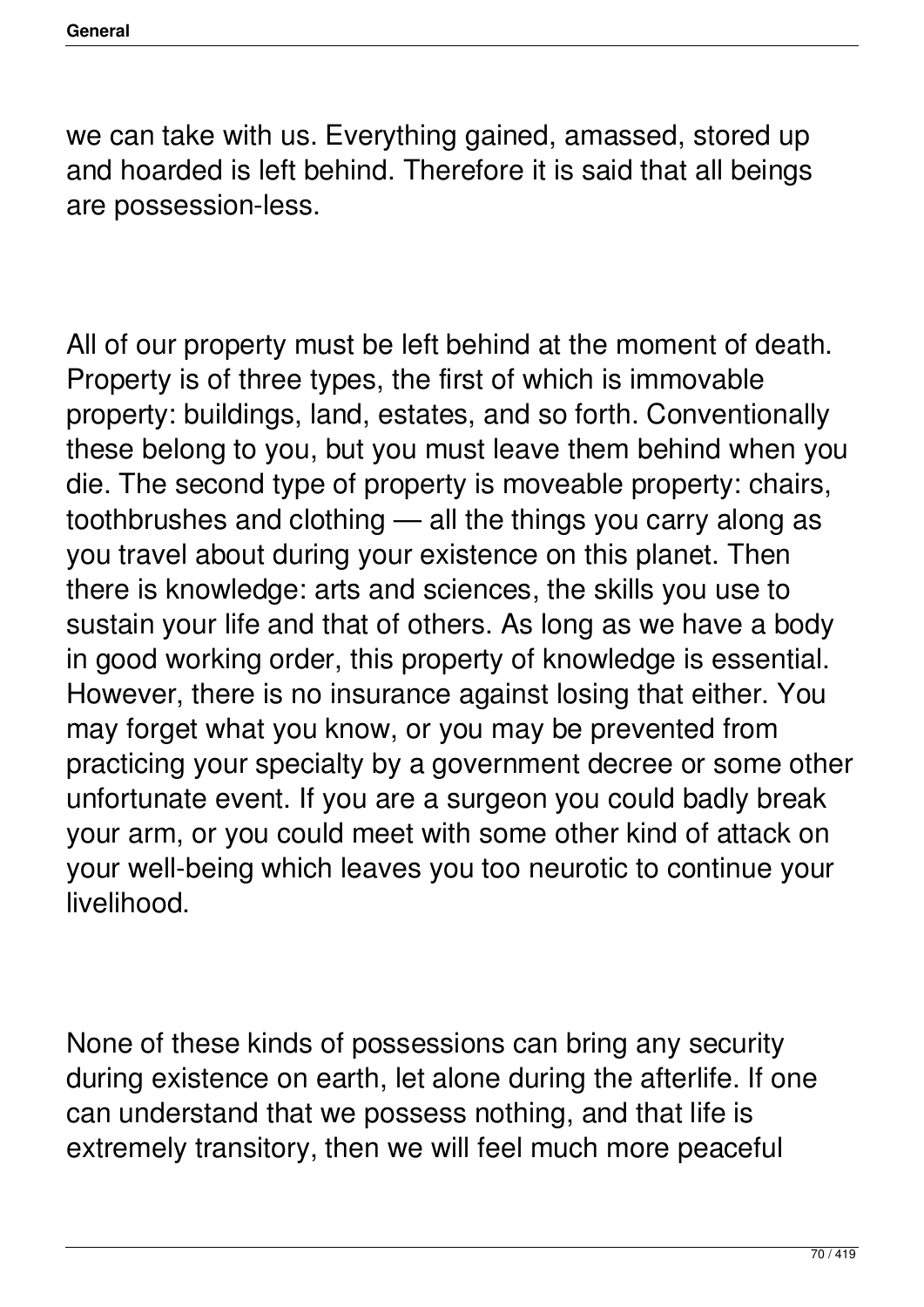we can take with us. Everything gained, amassed, stored up and hoarded is left behind. Therefore it is said that all beings are possession-less.

All of our property must be left behind at the moment of death. Property is of three types, the first of which is immovable property: buildings, land, estates, and so forth. Conventionally these belong to you, but you must leave them behind when you die. The second type of property is moveable property: chairs, toothbrushes and clothing — all the things you carry along as you travel about during your existence on this planet. Then there is knowledge: arts and sciences, the skills you use to sustain your life and that of others. As long as we have a body in good working order, this property of knowledge is essential. However, there is no insurance against losing that either. You may forget what you know, or you may be prevented from practicing your specialty by a government decree or some other unfortunate event. If you are a surgeon you could badly break your arm, or you could meet with some other kind of attack on your well-being which leaves you too neurotic to continue your livelihood.

None of these kinds of possessions can bring any security during existence on earth, let alone during the afterlife. If one can understand that we possess nothing, and that life is extremely transitory, then we will feel much more peaceful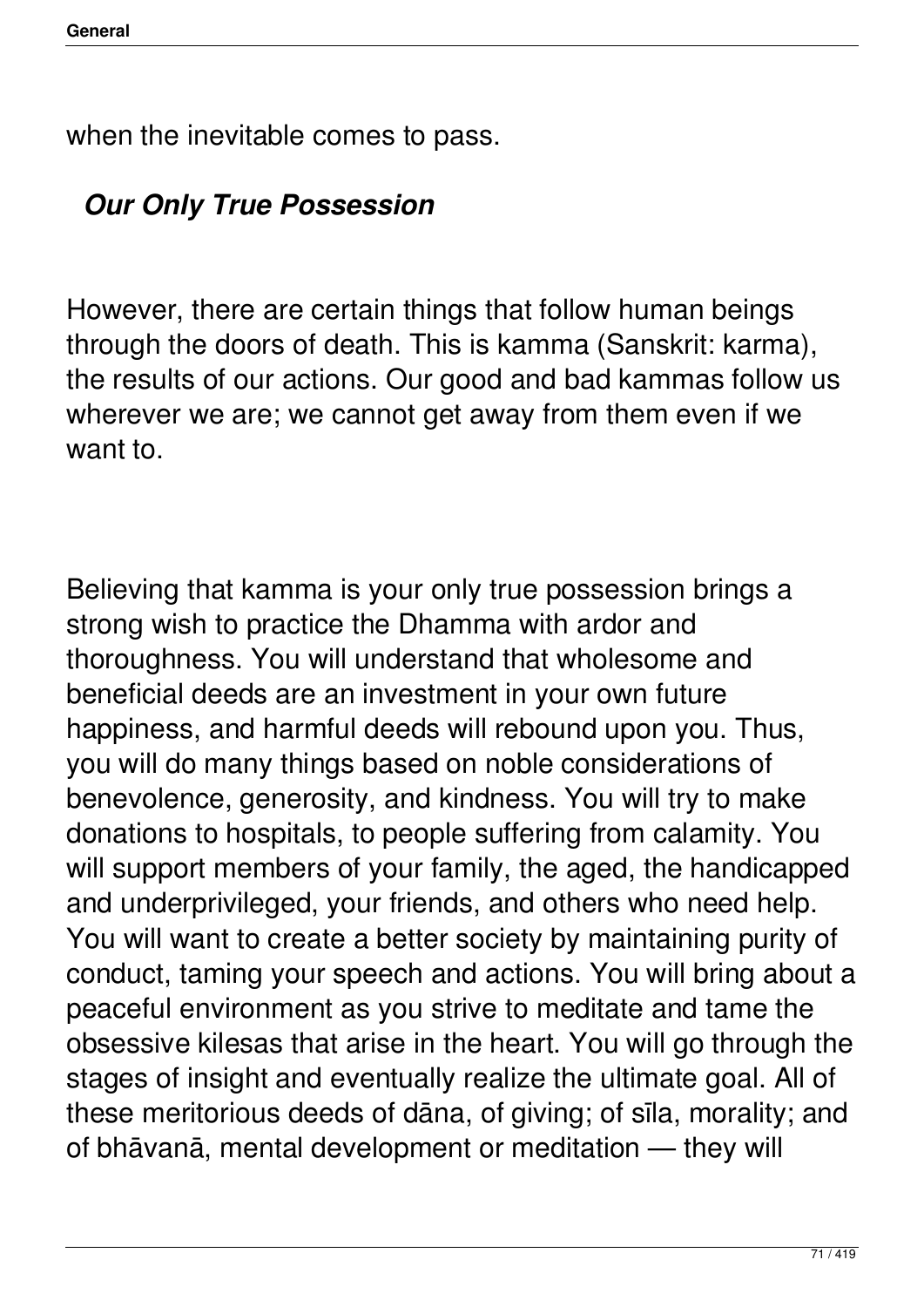when the inevitable comes to pass.

#### *Our Only True Possession*

However, there are certain things that follow human beings through the doors of death. This is kamma (Sanskrit: karma), the results of our actions. Our good and bad kammas follow us wherever we are; we cannot get away from them even if we want to.

Believing that kamma is your only true possession brings a strong wish to practice the Dhamma with ardor and thoroughness. You will understand that wholesome and beneficial deeds are an investment in your own future happiness, and harmful deeds will rebound upon you. Thus, you will do many things based on noble considerations of benevolence, generosity, and kindness. You will try to make donations to hospitals, to people suffering from calamity. You will support members of your family, the aged, the handicapped and underprivileged, your friends, and others who need help. You will want to create a better society by maintaining purity of conduct, taming your speech and actions. You will bring about a peaceful environment as you strive to meditate and tame the obsessive kilesas that arise in the heart. You will go through the stages of insight and eventually realize the ultimate goal. All of these meritorious deeds of dāna, of giving; of sīla, morality; and of bhāvanā, mental development or meditation — they will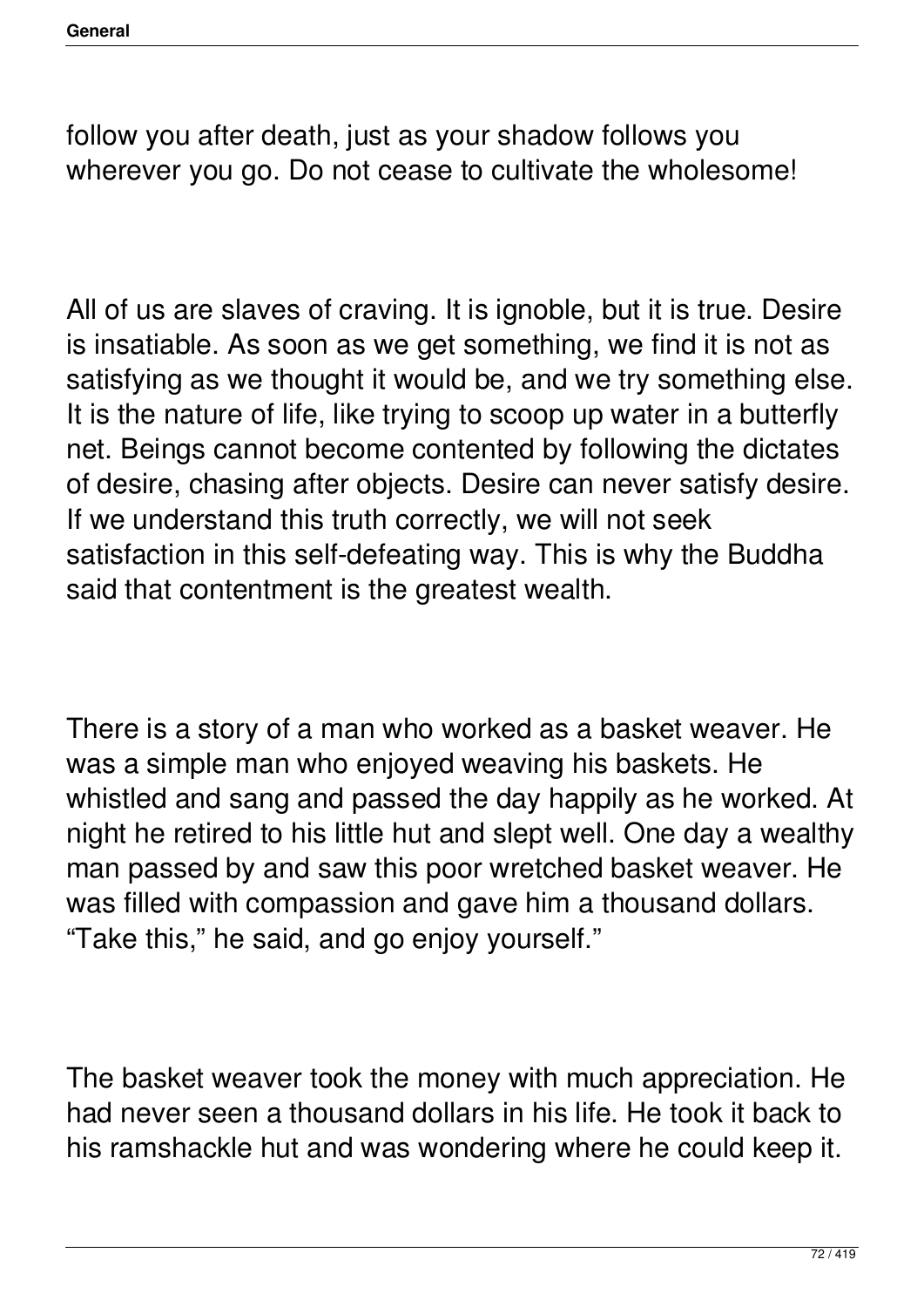follow you after death, just as your shadow follows you wherever you go. Do not cease to cultivate the wholesome!

All of us are slaves of craving. It is ignoble, but it is true. Desire is insatiable. As soon as we get something, we find it is not as satisfying as we thought it would be, and we try something else. It is the nature of life, like trying to scoop up water in a butterfly net. Beings cannot become contented by following the dictates of desire, chasing after objects. Desire can never satisfy desire. If we understand this truth correctly, we will not seek satisfaction in this self-defeating way. This is why the Buddha said that contentment is the greatest wealth.

There is a story of a man who worked as a basket weaver. He was a simple man who enjoyed weaving his baskets. He whistled and sang and passed the day happily as he worked. At night he retired to his little hut and slept well. One day a wealthy man passed by and saw this poor wretched basket weaver. He was filled with compassion and gave him a thousand dollars. "Take this," he said, and go enjoy yourself."

The basket weaver took the money with much appreciation. He had never seen a thousand dollars in his life. He took it back to his ramshackle hut and was wondering where he could keep it.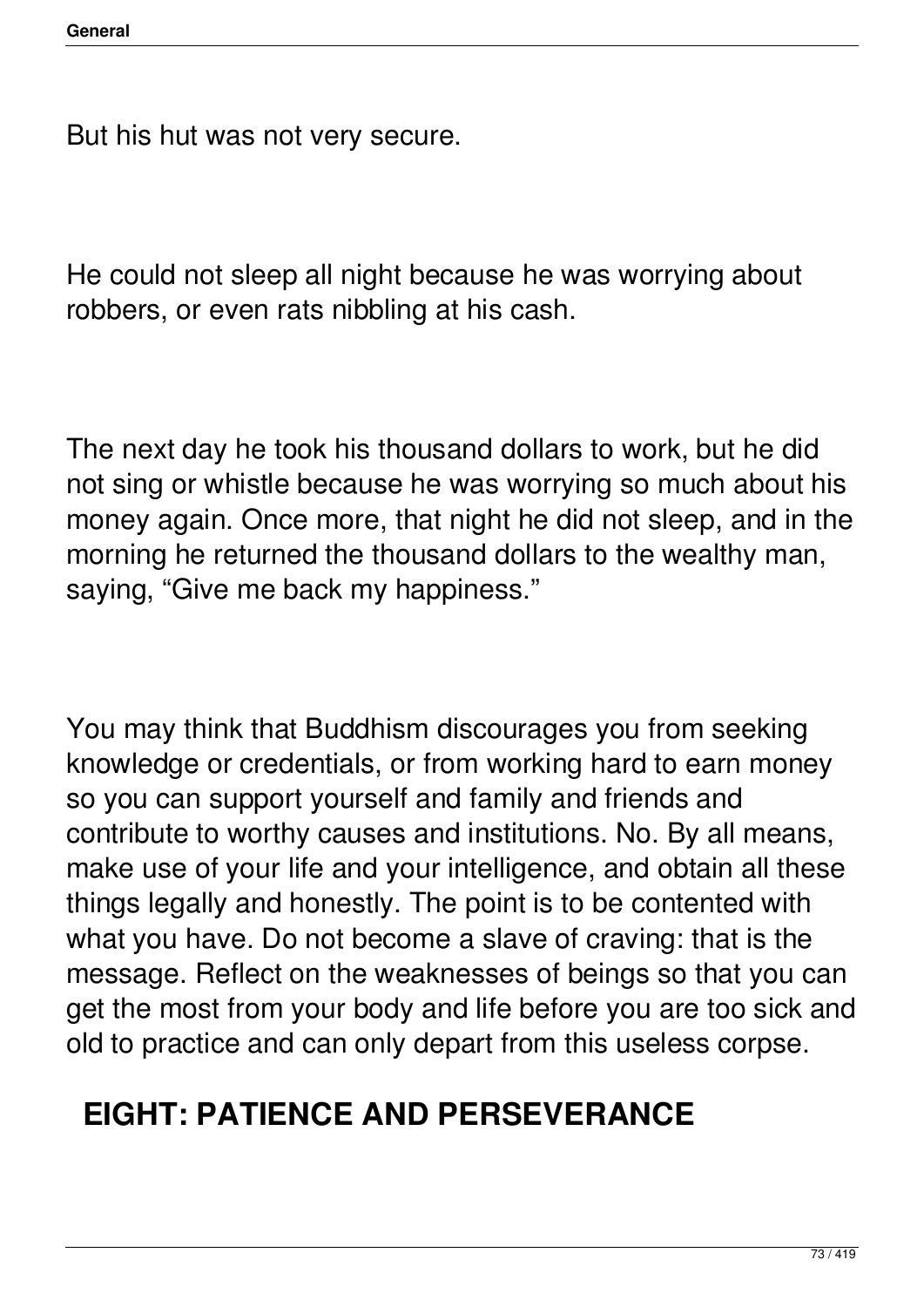But his hut was not very secure.

He could not sleep all night because he was worrying about robbers, or even rats nibbling at his cash.

The next day he took his thousand dollars to work, but he did not sing or whistle because he was worrying so much about his money again. Once more, that night he did not sleep, and in the morning he returned the thousand dollars to the wealthy man, saying, "Give me back my happiness."

You may think that Buddhism discourages you from seeking knowledge or credentials, or from working hard to earn money so you can support yourself and family and friends and contribute to worthy causes and institutions. No. By all means, make use of your life and your intelligence, and obtain all these things legally and honestly. The point is to be contented with what you have. Do not become a slave of craving: that is the message. Reflect on the weaknesses of beings so that you can get the most from your body and life before you are too sick and old to practice and can only depart from this useless corpse.

# **EIGHT: PATIENCE AND PERSEVERANCE**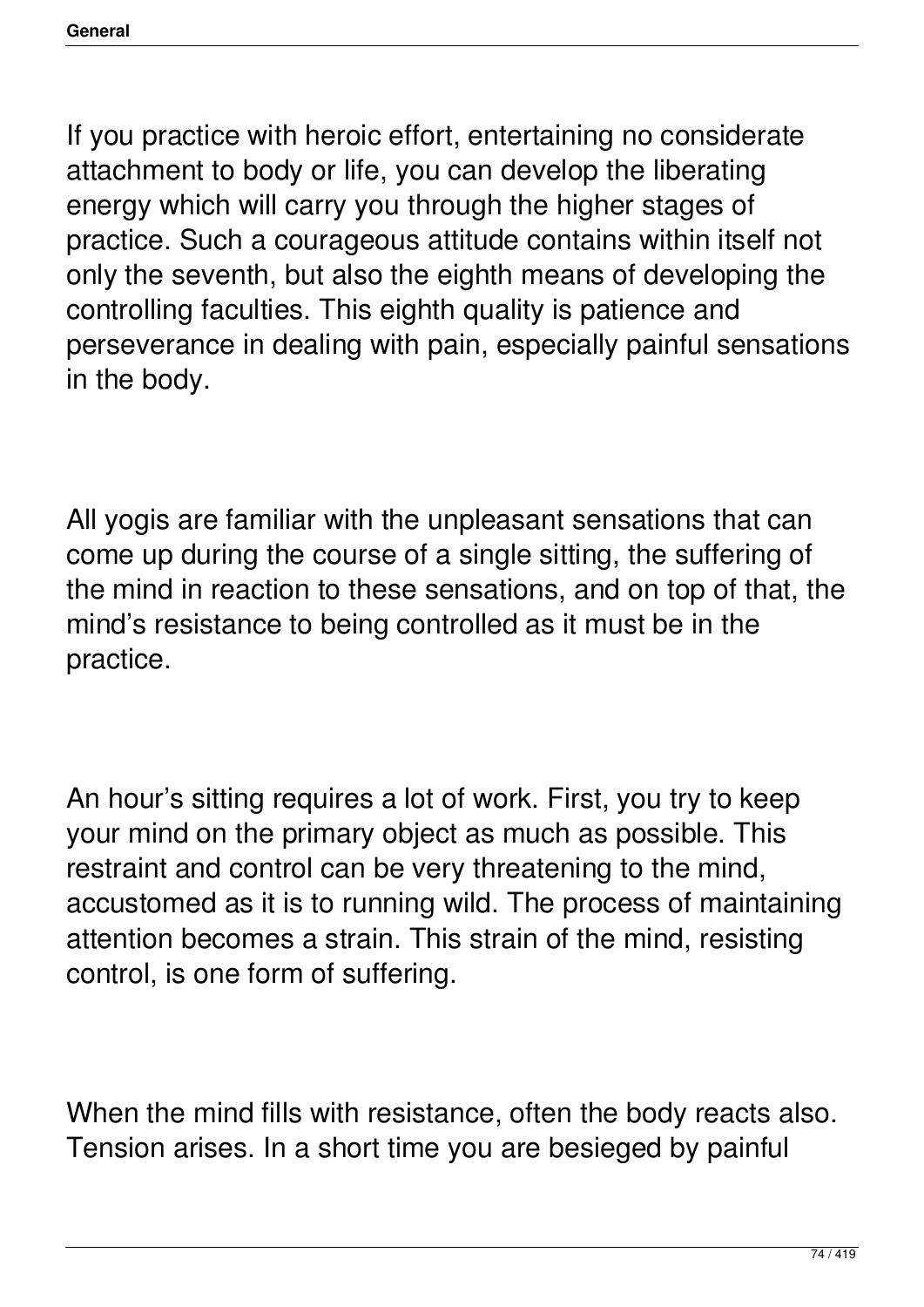If you practice with heroic effort, entertaining no considerate attachment to body or life, you can develop the liberating energy which will carry you through the higher stages of practice. Such a courageous attitude contains within itself not only the seventh, but also the eighth means of developing the controlling faculties. This eighth quality is patience and perseverance in dealing with pain, especially painful sensations in the body.

All yogis are familiar with the unpleasant sensations that can come up during the course of a single sitting, the suffering of the mind in reaction to these sensations, and on top of that, the mind's resistance to being controlled as it must be in the practice.

An hour's sitting requires a lot of work. First, you try to keep your mind on the primary object as much as possible. This restraint and control can be very threatening to the mind, accustomed as it is to running wild. The process of maintaining attention becomes a strain. This strain of the mind, resisting control, is one form of suffering.

When the mind fills with resistance, often the body reacts also. Tension arises. In a short time you are besieged by painful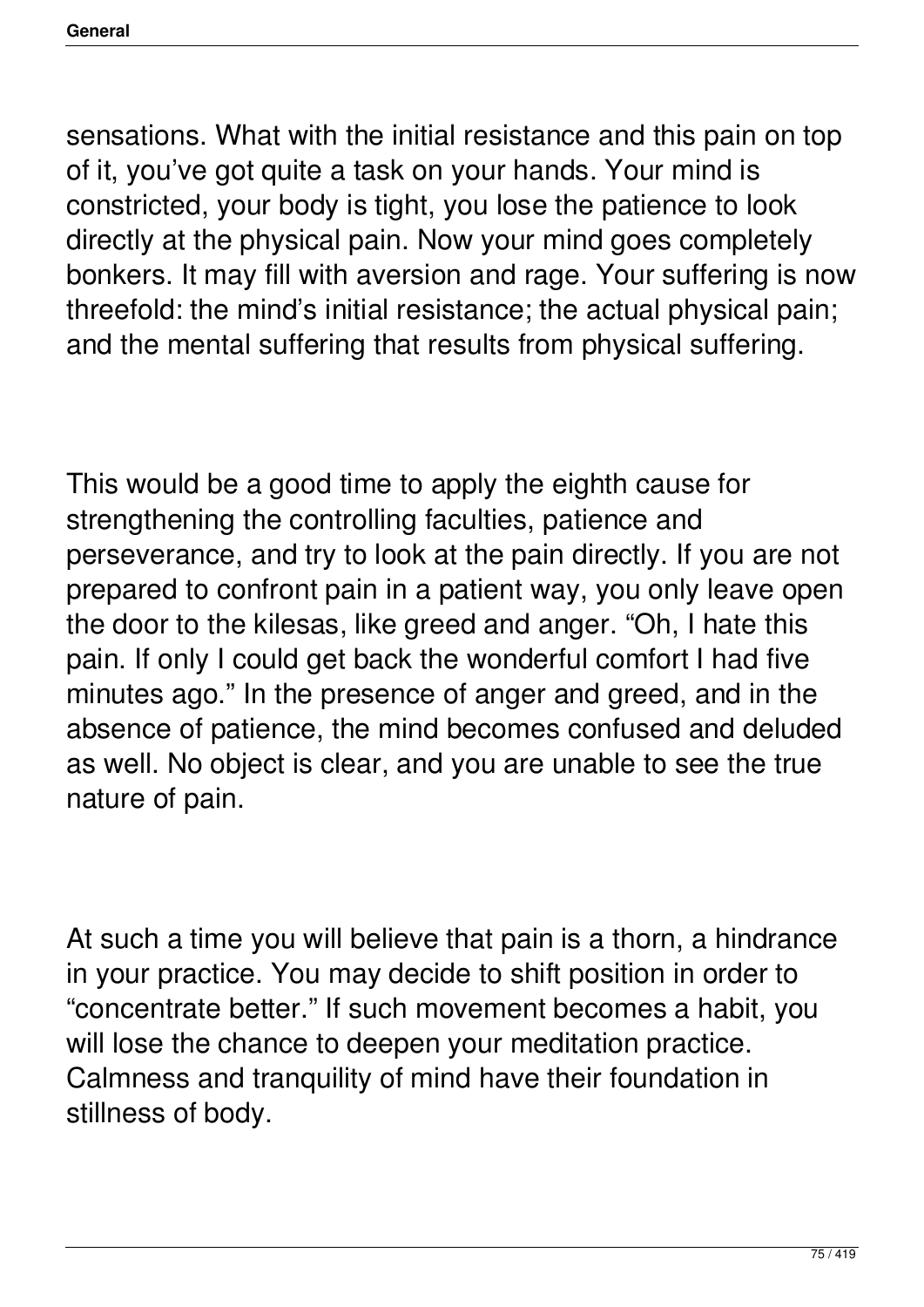sensations. What with the initial resistance and this pain on top of it, you've got quite a task on your hands. Your mind is constricted, your body is tight, you lose the patience to look directly at the physical pain. Now your mind goes completely bonkers. It may fill with aversion and rage. Your suffering is now threefold: the mind's initial resistance; the actual physical pain; and the mental suffering that results from physical suffering.

This would be a good time to apply the eighth cause for strengthening the controlling faculties, patience and perseverance, and try to look at the pain directly. If you are not prepared to confront pain in a patient way, you only leave open the door to the kilesas, like greed and anger. "Oh, I hate this pain. If only I could get back the wonderful comfort I had five minutes ago." In the presence of anger and greed, and in the absence of patience, the mind becomes confused and deluded as well. No object is clear, and you are unable to see the true nature of pain.

At such a time you will believe that pain is a thorn, a hindrance in your practice. You may decide to shift position in order to "concentrate better." If such movement becomes a habit, you will lose the chance to deepen your meditation practice. Calmness and tranquility of mind have their foundation in stillness of body.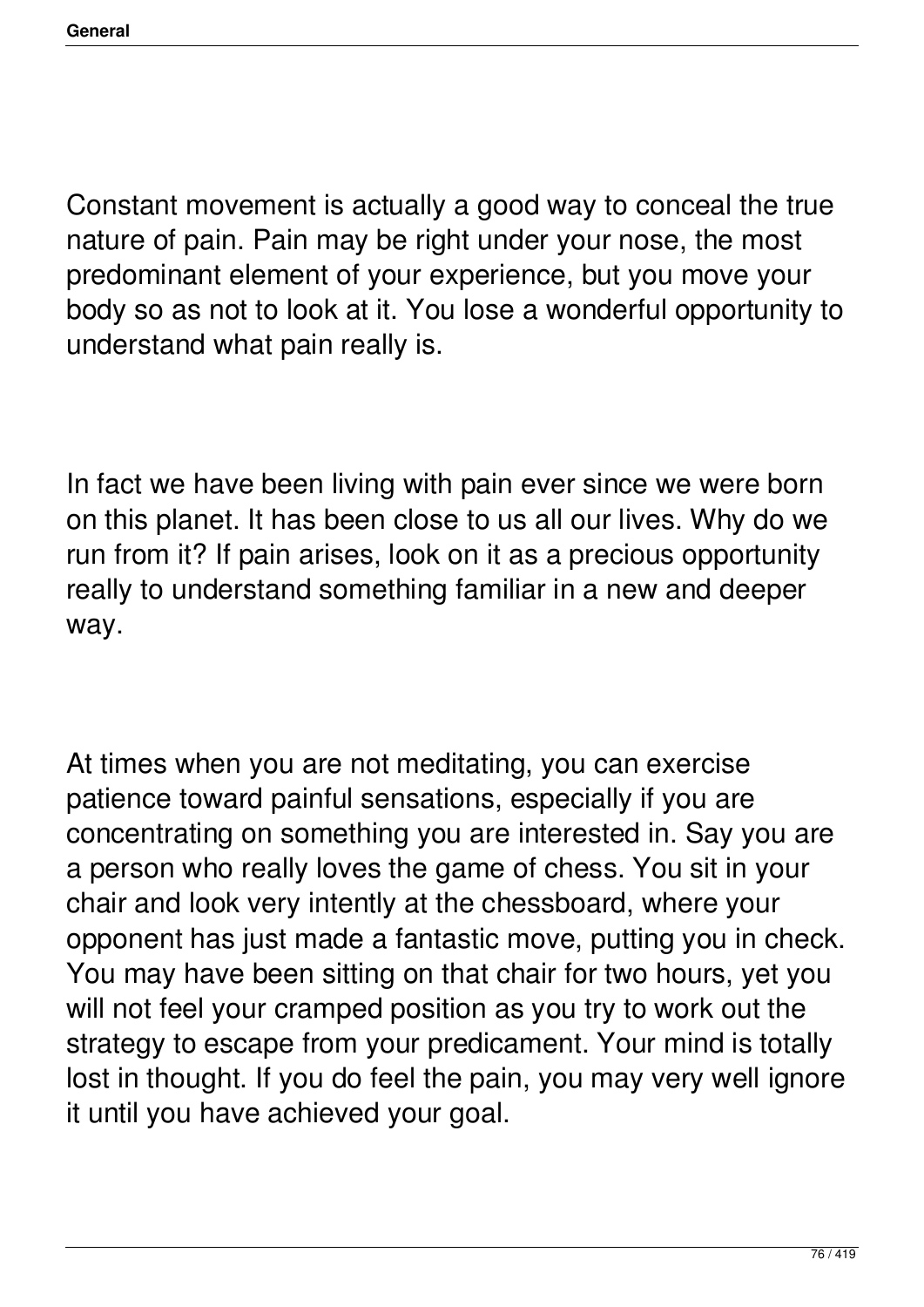Constant movement is actually a good way to conceal the true nature of pain. Pain may be right under your nose, the most predominant element of your experience, but you move your body so as not to look at it. You lose a wonderful opportunity to understand what pain really is.

In fact we have been living with pain ever since we were born on this planet. It has been close to us all our lives. Why do we run from it? If pain arises, look on it as a precious opportunity really to understand something familiar in a new and deeper way.

At times when you are not meditating, you can exercise patience toward painful sensations, especially if you are concentrating on something you are interested in. Say you are a person who really loves the game of chess. You sit in your chair and look very intently at the chessboard, where your opponent has just made a fantastic move, putting you in check. You may have been sitting on that chair for two hours, yet you will not feel your cramped position as you try to work out the strategy to escape from your predicament. Your mind is totally lost in thought. If you do feel the pain, you may very well ignore it until you have achieved your goal.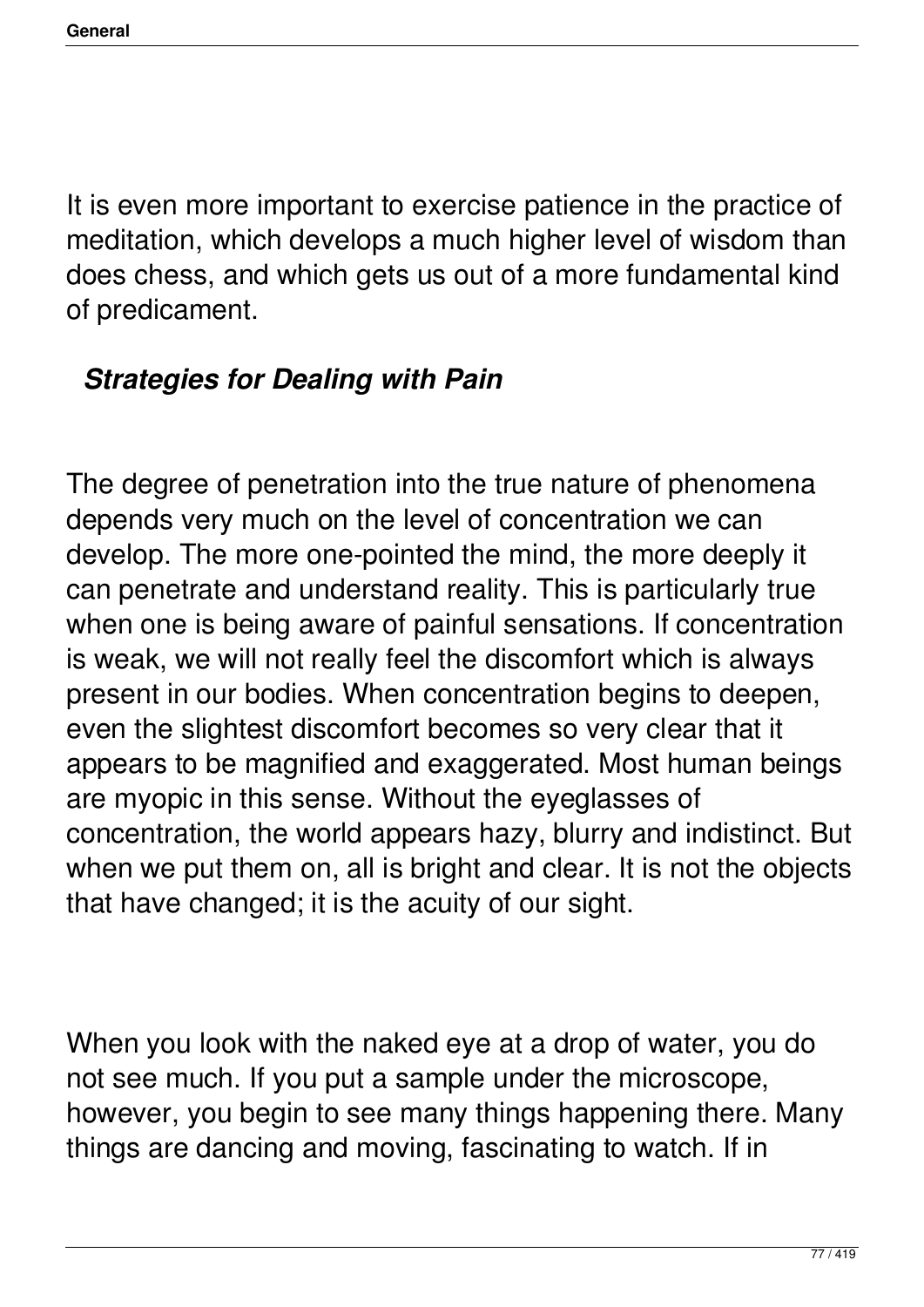It is even more important to exercise patience in the practice of meditation, which develops a much higher level of wisdom than does chess, and which gets us out of a more fundamental kind of predicament.

### *Strategies for Dealing with Pain*

The degree of penetration into the true nature of phenomena depends very much on the level of concentration we can develop. The more one-pointed the mind, the more deeply it can penetrate and understand reality. This is particularly true when one is being aware of painful sensations. If concentration is weak, we will not really feel the discomfort which is always present in our bodies. When concentration begins to deepen, even the slightest discomfort becomes so very clear that it appears to be magnified and exaggerated. Most human beings are myopic in this sense. Without the eyeglasses of concentration, the world appears hazy, blurry and indistinct. But when we put them on, all is bright and clear. It is not the objects that have changed; it is the acuity of our sight.

When you look with the naked eye at a drop of water, you do not see much. If you put a sample under the microscope, however, you begin to see many things happening there. Many things are dancing and moving, fascinating to watch. If in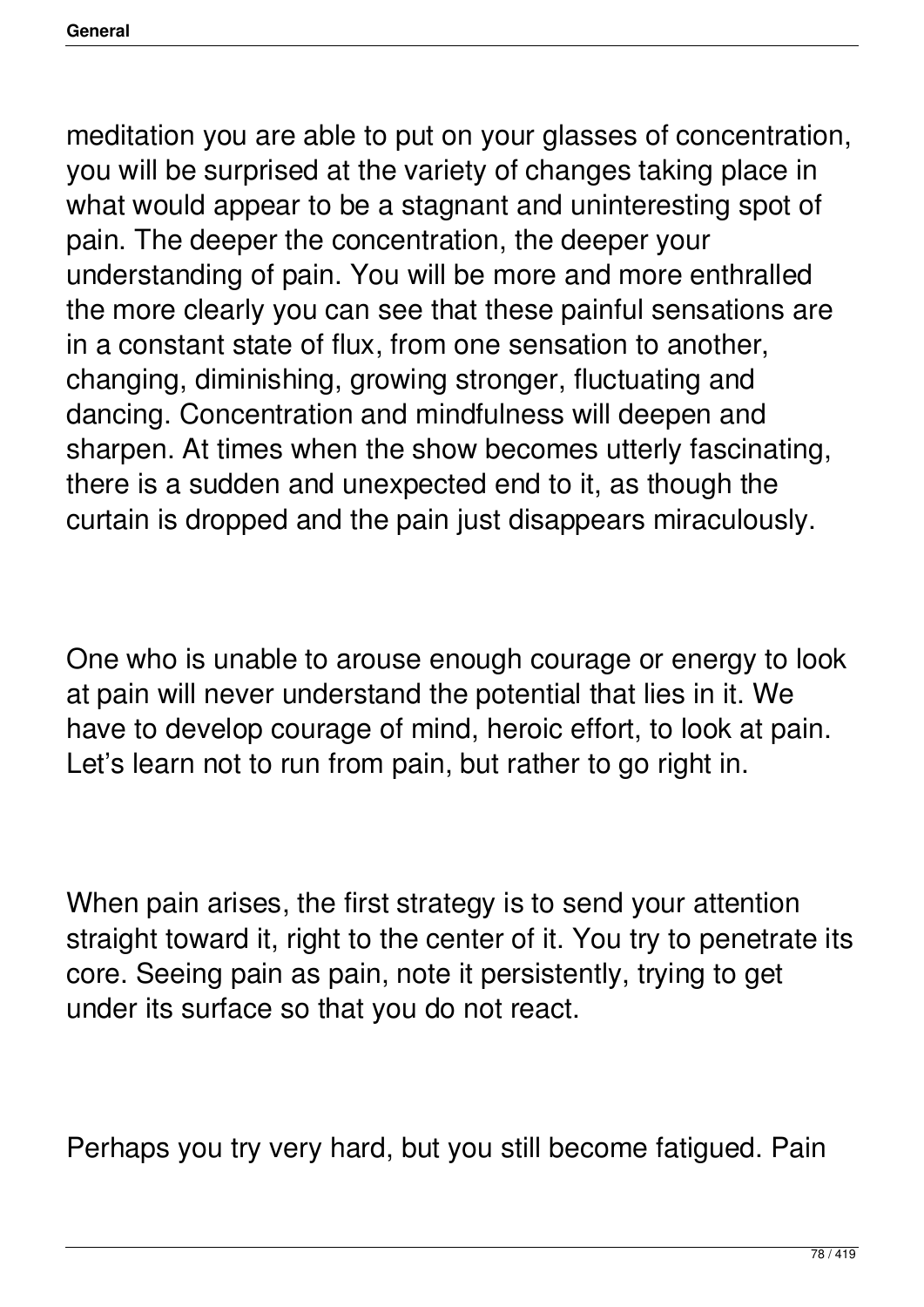meditation you are able to put on your glasses of concentration, you will be surprised at the variety of changes taking place in what would appear to be a stagnant and uninteresting spot of pain. The deeper the concentration, the deeper your understanding of pain. You will be more and more enthralled the more clearly you can see that these painful sensations are in a constant state of flux, from one sensation to another, changing, diminishing, growing stronger, fluctuating and dancing. Concentration and mindfulness will deepen and sharpen. At times when the show becomes utterly fascinating, there is a sudden and unexpected end to it, as though the curtain is dropped and the pain just disappears miraculously.

One who is unable to arouse enough courage or energy to look at pain will never understand the potential that lies in it. We have to develop courage of mind, heroic effort, to look at pain. Let's learn not to run from pain, but rather to go right in.

When pain arises, the first strategy is to send your attention straight toward it, right to the center of it. You try to penetrate its core. Seeing pain as pain, note it persistently, trying to get under its surface so that you do not react.

Perhaps you try very hard, but you still become fatigued. Pain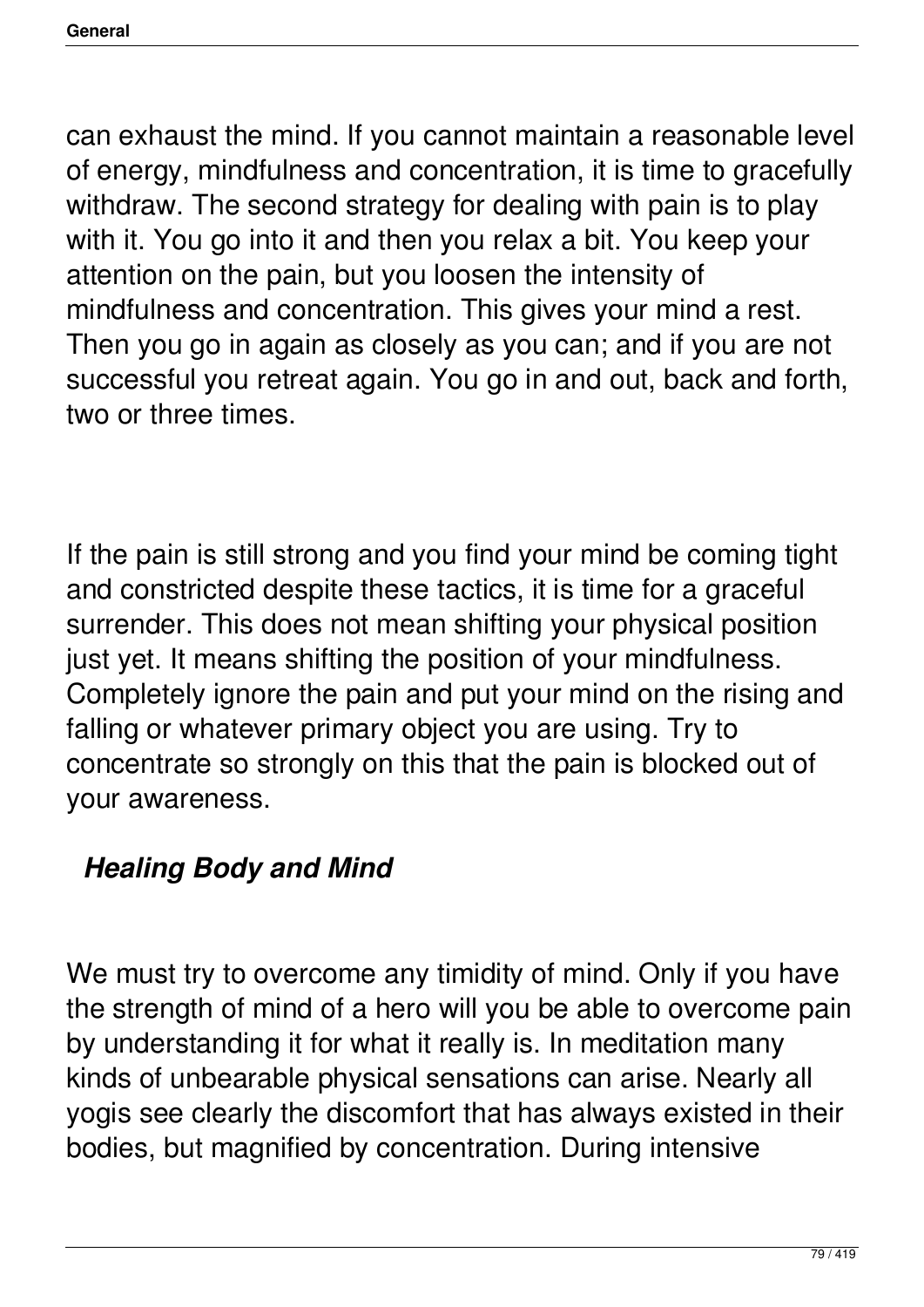can exhaust the mind. If you cannot maintain a reasonable level of energy, mindfulness and concentration, it is time to gracefully withdraw. The second strategy for dealing with pain is to play with it. You go into it and then you relax a bit. You keep your attention on the pain, but you loosen the intensity of mindfulness and concentration. This gives your mind a rest. Then you go in again as closely as you can; and if you are not successful you retreat again. You go in and out, back and forth, two or three times.

If the pain is still strong and you find your mind be coming tight and constricted despite these tactics, it is time for a graceful surrender. This does not mean shifting your physical position just yet. It means shifting the position of your mindfulness. Completely ignore the pain and put your mind on the rising and falling or whatever primary object you are using. Try to concentrate so strongly on this that the pain is blocked out of your awareness.

### *Healing Body and Mind*

We must try to overcome any timidity of mind. Only if you have the strength of mind of a hero will you be able to overcome pain by understanding it for what it really is. In meditation many kinds of unbearable physical sensations can arise. Nearly all yogis see clearly the discomfort that has always existed in their bodies, but magnified by concentration. During intensive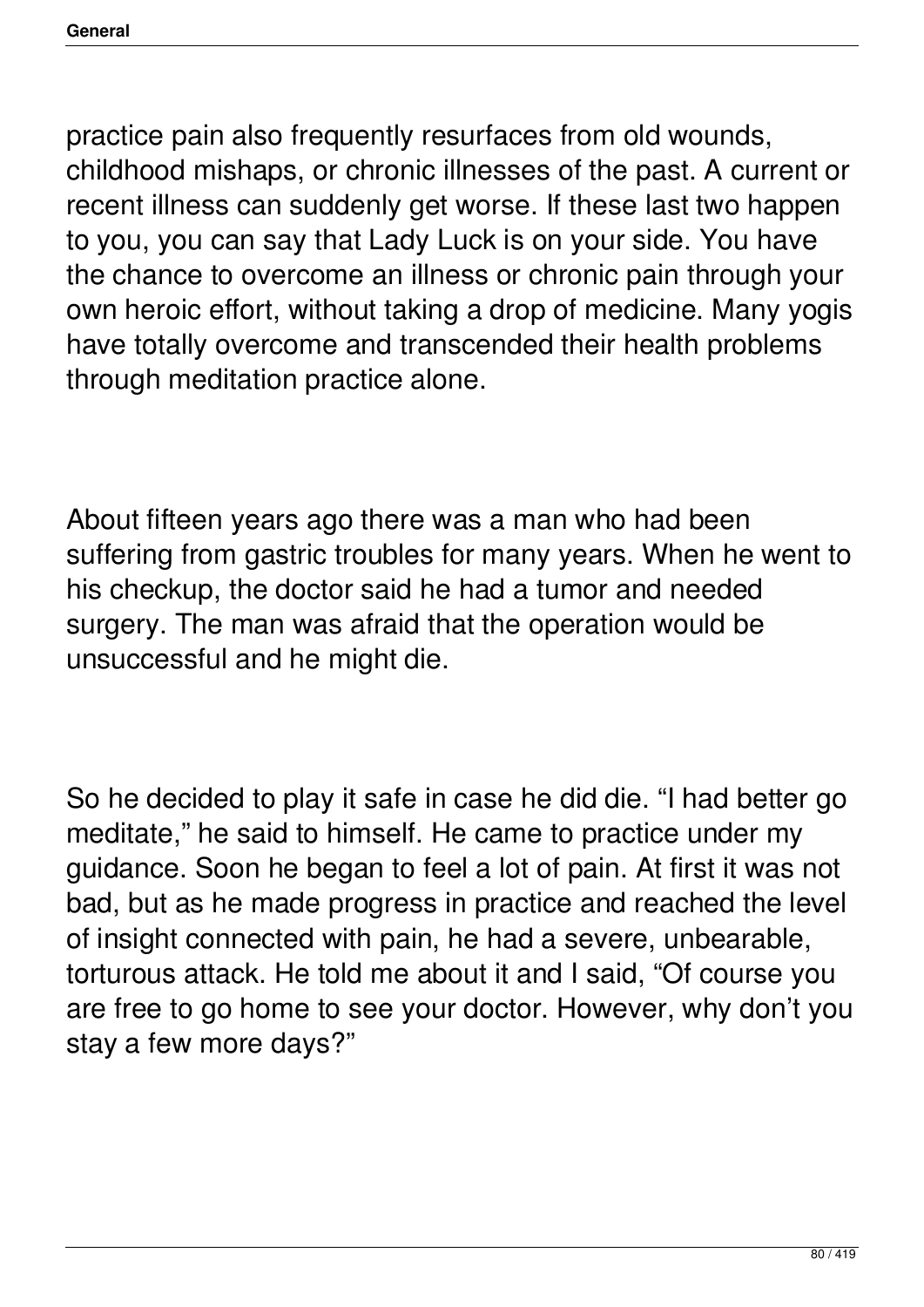practice pain also frequently resurfaces from old wounds, childhood mishaps, or chronic illnesses of the past. A current or recent illness can suddenly get worse. If these last two happen to you, you can say that Lady Luck is on your side. You have the chance to overcome an illness or chronic pain through your own heroic effort, without taking a drop of medicine. Many yogis have totally overcome and transcended their health problems through meditation practice alone.

About fifteen years ago there was a man who had been suffering from gastric troubles for many years. When he went to his checkup, the doctor said he had a tumor and needed surgery. The man was afraid that the operation would be unsuccessful and he might die.

So he decided to play it safe in case he did die. "I had better go meditate," he said to himself. He came to practice under my guidance. Soon he began to feel a lot of pain. At first it was not bad, but as he made progress in practice and reached the level of insight connected with pain, he had a severe, unbearable, torturous attack. He told me about it and I said, "Of course you are free to go home to see your doctor. However, why don't you stay a few more days?"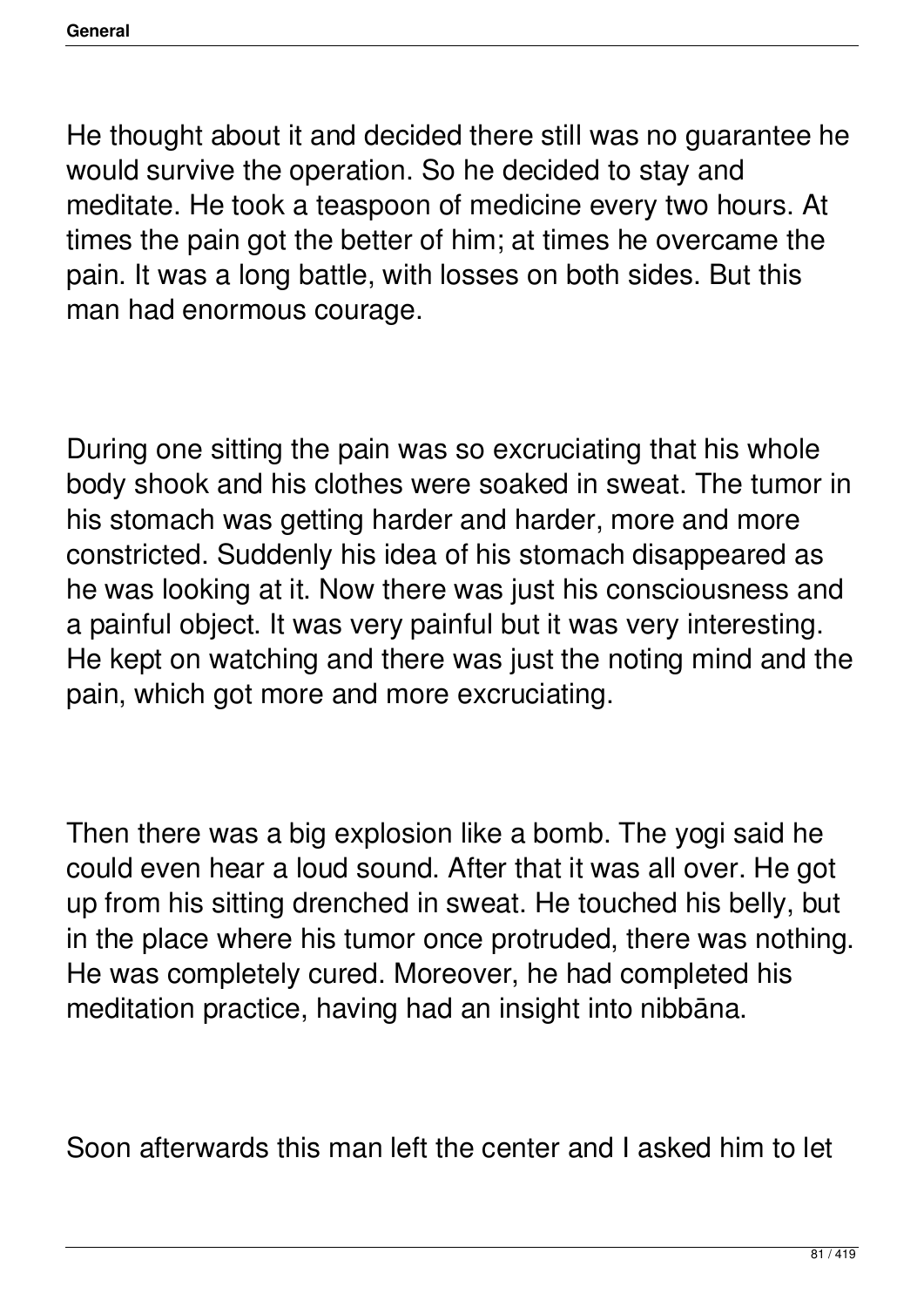He thought about it and decided there still was no guarantee he would survive the operation. So he decided to stay and meditate. He took a teaspoon of medicine every two hours. At times the pain got the better of him; at times he overcame the pain. It was a long battle, with losses on both sides. But this man had enormous courage.

During one sitting the pain was so excruciating that his whole body shook and his clothes were soaked in sweat. The tumor in his stomach was getting harder and harder, more and more constricted. Suddenly his idea of his stomach disappeared as he was looking at it. Now there was just his consciousness and a painful object. It was very painful but it was very interesting. He kept on watching and there was just the noting mind and the pain, which got more and more excruciating.

Then there was a big explosion like a bomb. The yogi said he could even hear a loud sound. After that it was all over. He got up from his sitting drenched in sweat. He touched his belly, but in the place where his tumor once protruded, there was nothing. He was completely cured. Moreover, he had completed his meditation practice, having had an insight into nibbāna.

Soon afterwards this man left the center and I asked him to let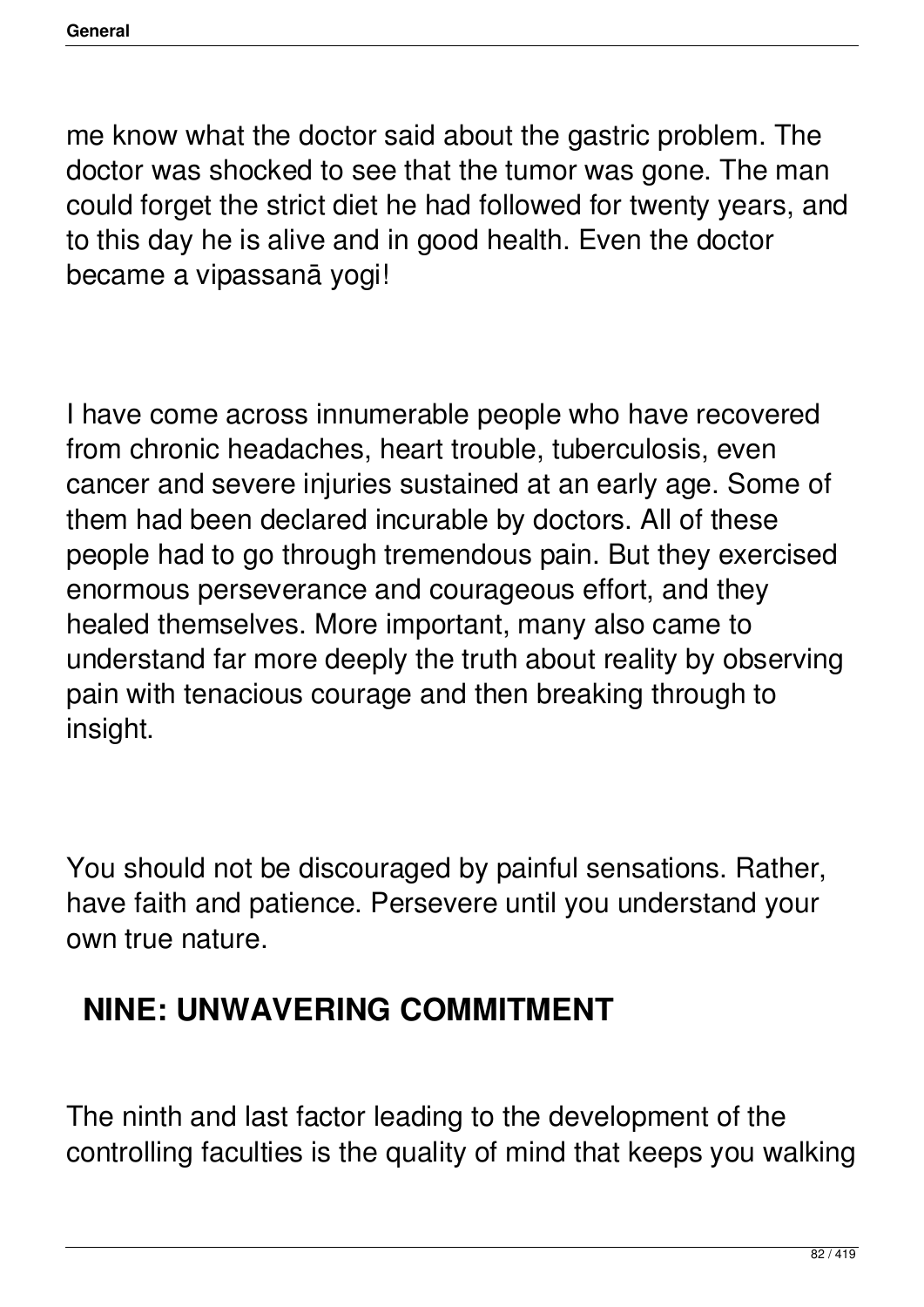me know what the doctor said about the gastric problem. The doctor was shocked to see that the tumor was gone. The man could forget the strict diet he had followed for twenty years, and to this day he is alive and in good health. Even the doctor became a vipassanā yogi!

I have come across innumerable people who have recovered from chronic headaches, heart trouble, tuberculosis, even cancer and severe injuries sustained at an early age. Some of them had been declared incurable by doctors. All of these people had to go through tremendous pain. But they exercised enormous perseverance and courageous effort, and they healed themselves. More important, many also came to understand far more deeply the truth about reality by observing pain with tenacious courage and then breaking through to insight.

You should not be discouraged by painful sensations. Rather, have faith and patience. Persevere until you understand your own true nature.

# **NINE: UNWAVERING COMMITMENT**

The ninth and last factor leading to the development of the controlling faculties is the quality of mind that keeps you walking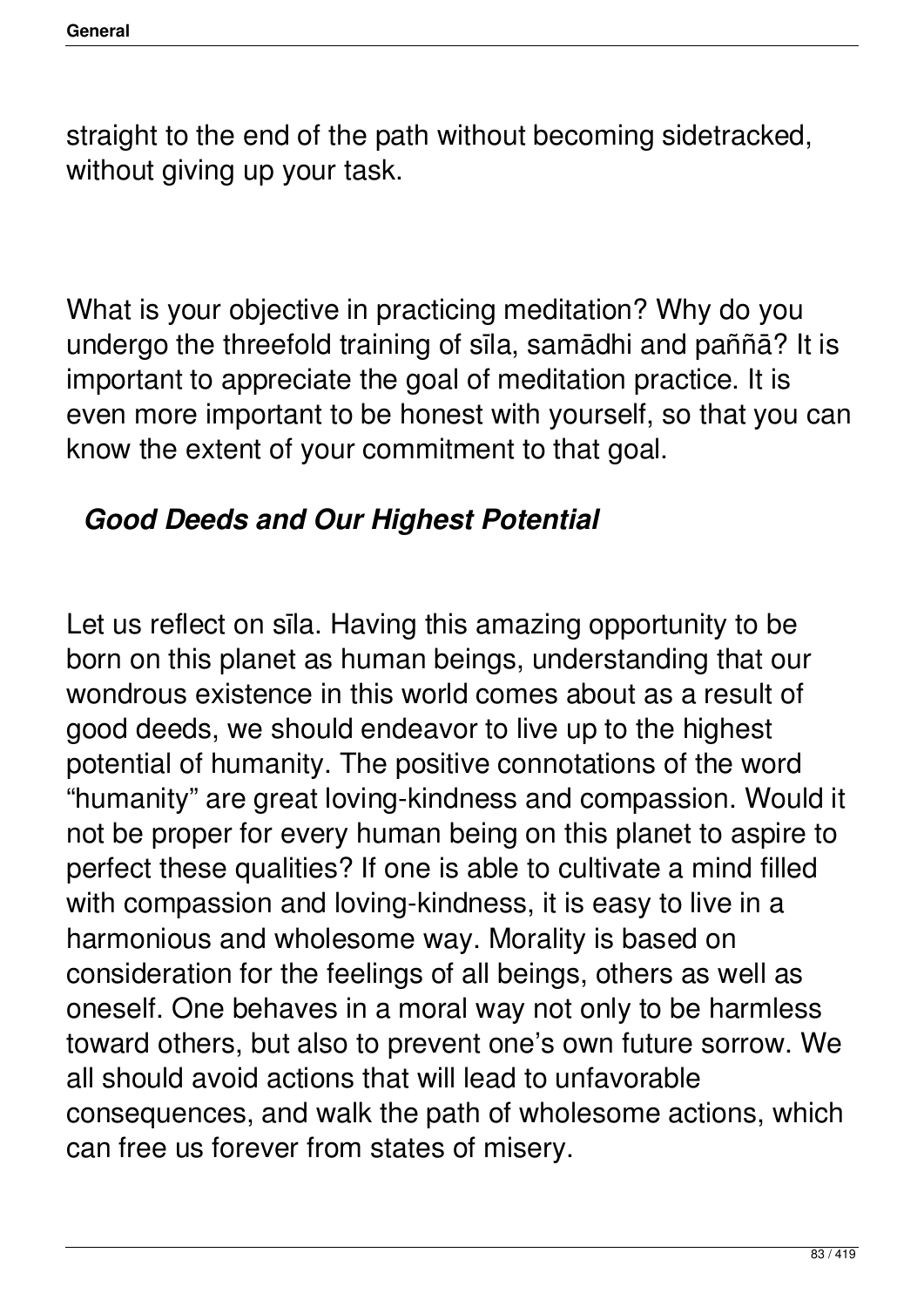straight to the end of the path without becoming sidetracked, without giving up your task.

What is your objective in practicing meditation? Why do you undergo the threefold training of sīla, samādhi and paññā? It is important to appreciate the goal of meditation practice. It is even more important to be honest with yourself, so that you can know the extent of your commitment to that goal.

### *Good Deeds and Our Highest Potential*

Let us reflect on sīla. Having this amazing opportunity to be born on this planet as human beings, understanding that our wondrous existence in this world comes about as a result of good deeds, we should endeavor to live up to the highest potential of humanity. The positive connotations of the word "humanity" are great loving-kindness and compassion. Would it not be proper for every human being on this planet to aspire to perfect these qualities? If one is able to cultivate a mind filled with compassion and loving-kindness, it is easy to live in a harmonious and wholesome way. Morality is based on consideration for the feelings of all beings, others as well as oneself. One behaves in a moral way not only to be harmless toward others, but also to prevent one's own future sorrow. We all should avoid actions that will lead to unfavorable consequences, and walk the path of wholesome actions, which can free us forever from states of misery.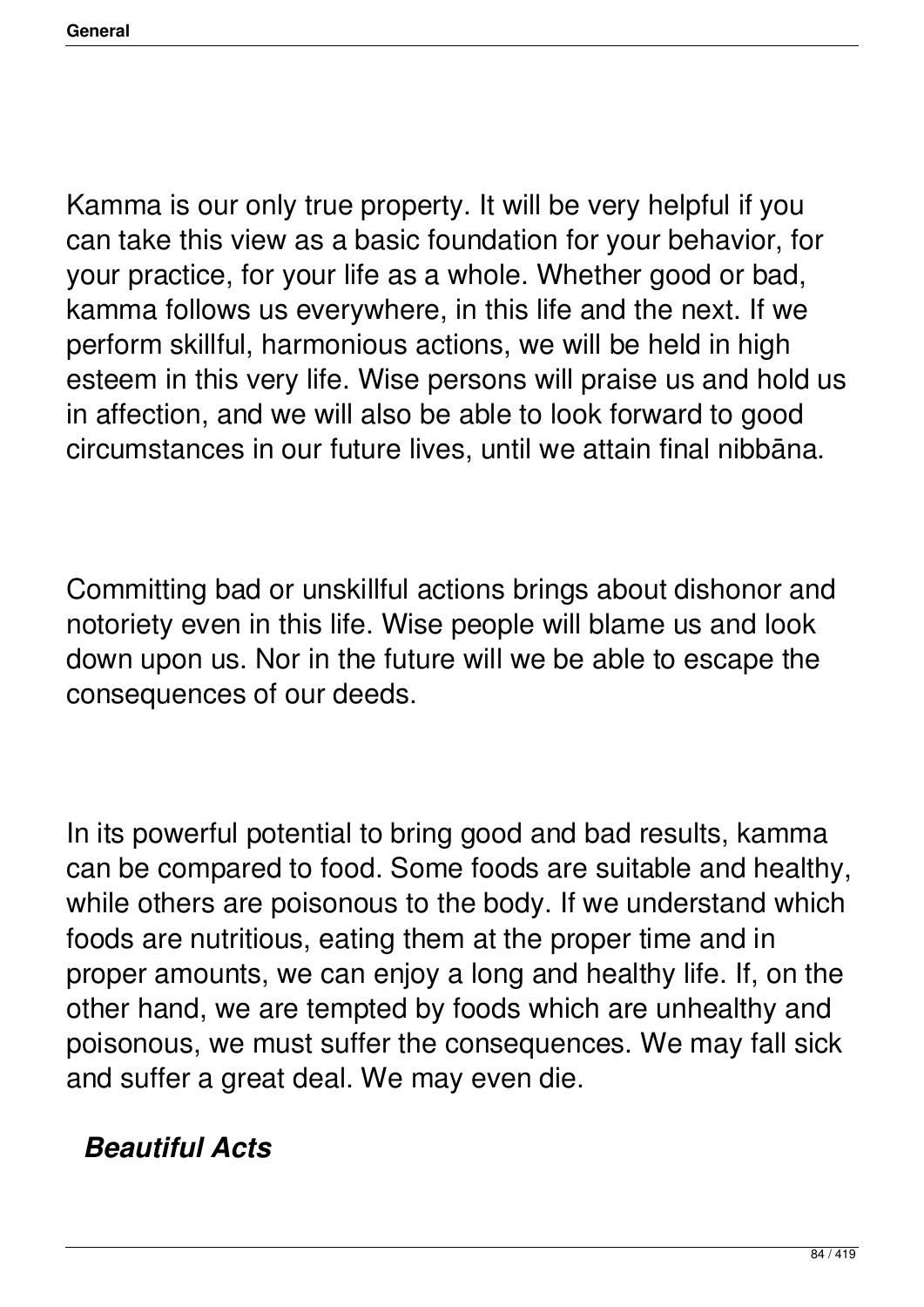Kamma is our only true property. It will be very helpful if you can take this view as a basic foundation for your behavior, for your practice, for your life as a whole. Whether good or bad, kamma follows us everywhere, in this life and the next. If we perform skillful, harmonious actions, we will be held in high esteem in this very life. Wise persons will praise us and hold us in affection, and we will also be able to look forward to good circumstances in our future lives, until we attain final nibbāna.

Committing bad or unskillful actions brings about dishonor and notoriety even in this life. Wise people will blame us and look down upon us. Nor in the future will we be able to escape the consequences of our deeds.

In its powerful potential to bring good and bad results, kamma can be compared to food. Some foods are suitable and healthy, while others are poisonous to the body. If we understand which foods are nutritious, eating them at the proper time and in proper amounts, we can enjoy a long and healthy life. If, on the other hand, we are tempted by foods which are unhealthy and poisonous, we must suffer the consequences. We may fall sick and suffer a great deal. We may even die.

#### *Beautiful Acts*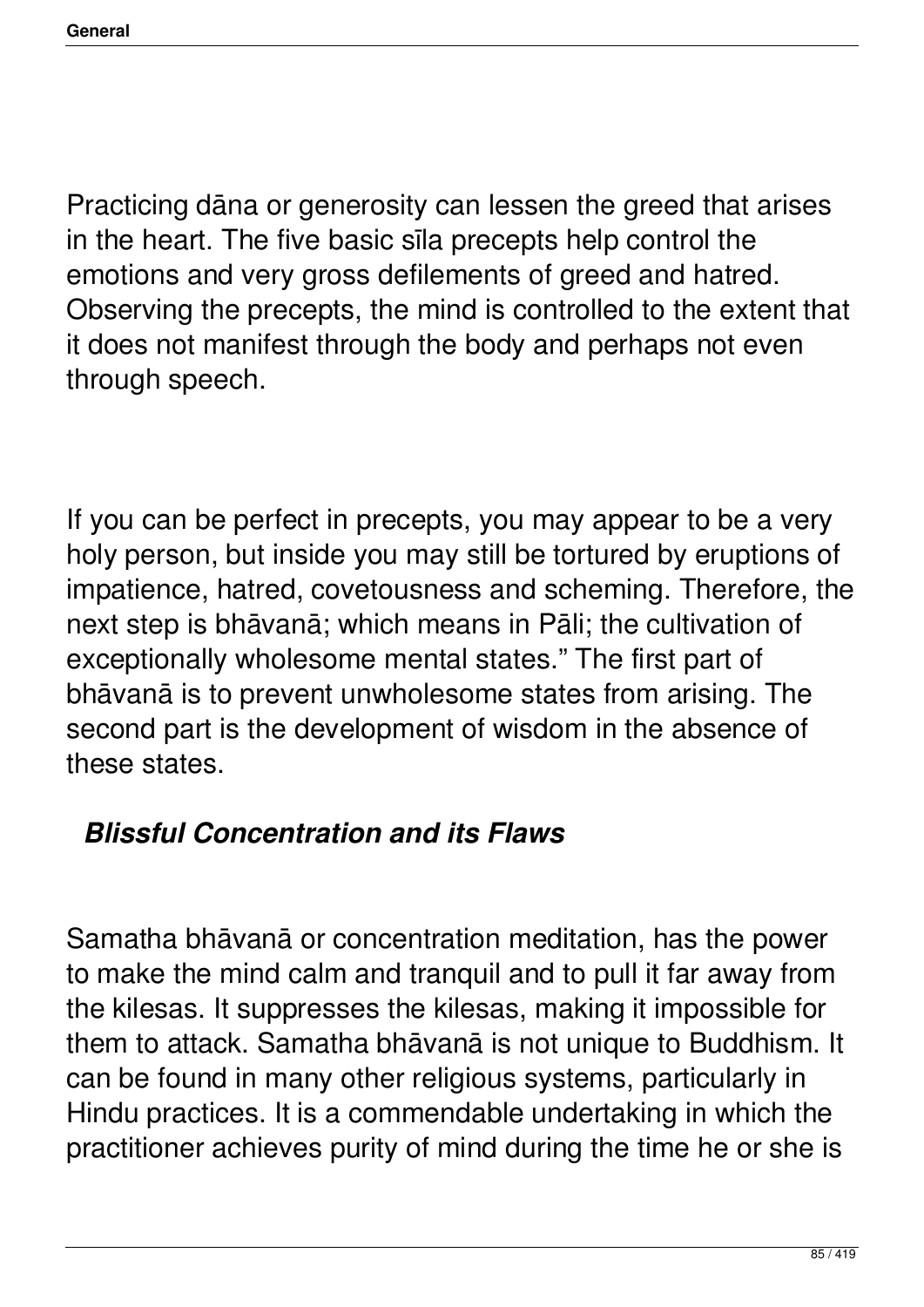Practicing dāna or generosity can lessen the greed that arises in the heart. The five basic sīla precepts help control the emotions and very gross defilements of greed and hatred. Observing the precepts, the mind is controlled to the extent that it does not manifest through the body and perhaps not even through speech.

If you can be perfect in precepts, you may appear to be a very holy person, but inside you may still be tortured by eruptions of impatience, hatred, covetousness and scheming. Therefore, the next step is bhāvanā; which means in Pāli; the cultivation of exceptionally wholesome mental states." The first part of bhāvanā is to prevent unwholesome states from arising. The second part is the development of wisdom in the absence of these states.

### *Blissful Concentration and its Flaws*

Samatha bhāvanā or concentration meditation, has the power to make the mind calm and tranquil and to pull it far away from the kilesas. It suppresses the kilesas, making it impossible for them to attack. Samatha bhāvanā is not unique to Buddhism. It can be found in many other religious systems, particularly in Hindu practices. It is a commendable undertaking in which the practitioner achieves purity of mind during the time he or she is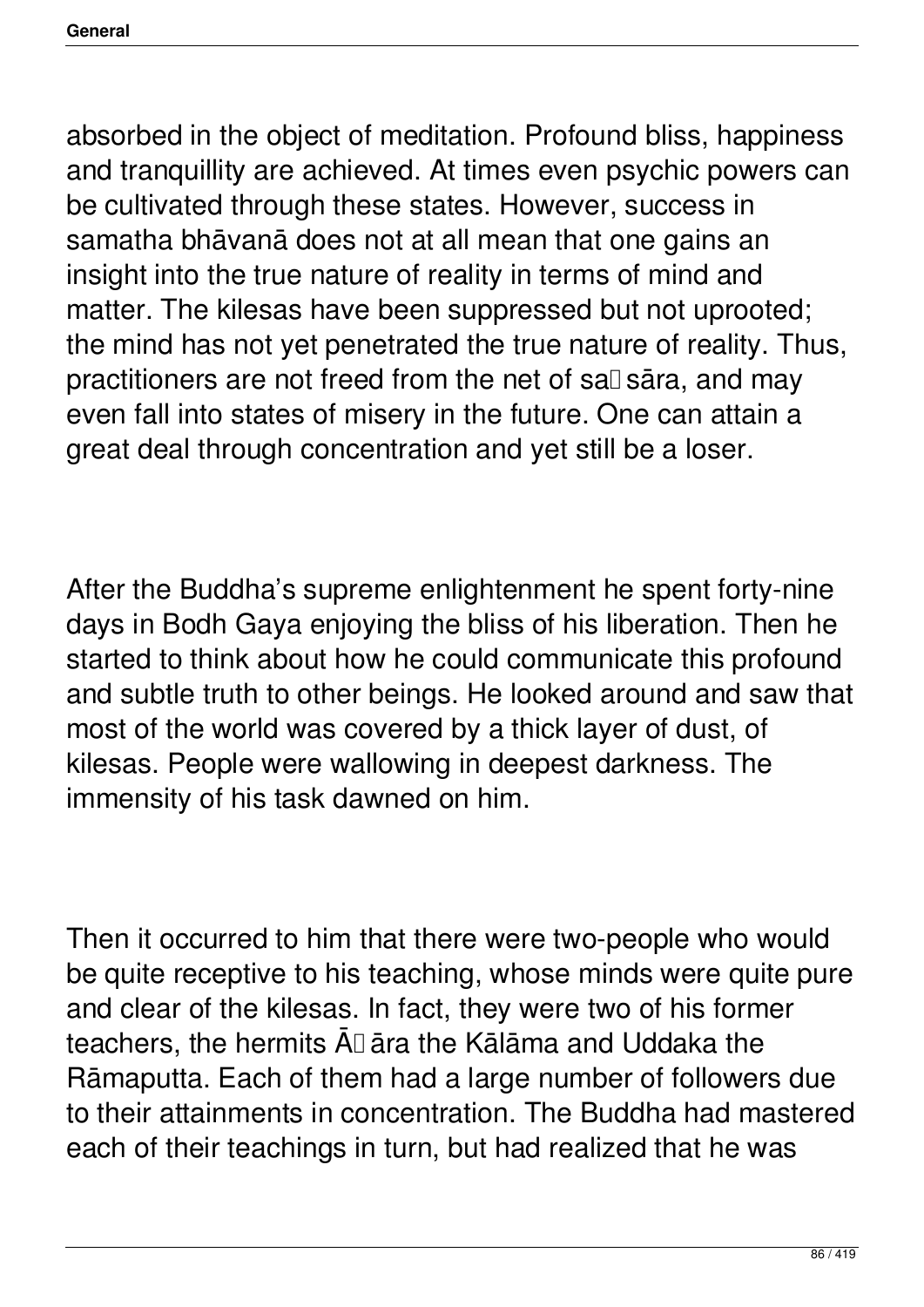absorbed in the object of meditation. Profound bliss, happiness and tranquillity are achieved. At times even psychic powers can be cultivated through these states. However, success in samatha bhāvanā does not at all mean that one gains an insight into the true nature of reality in terms of mind and matter. The kilesas have been suppressed but not uprooted; the mind has not yet penetrated the true nature of reality. Thus, practitioners are not freed from the net of sa $\square$  sāra, and may even fall into states of misery in the future. One can attain a great deal through concentration and yet still be a loser.

After the Buddha's supreme enlightenment he spent forty-nine days in Bodh Gaya enjoying the bliss of his liberation. Then he started to think about how he could communicate this profound and subtle truth to other beings. He looked around and saw that most of the world was covered by a thick layer of dust, of kilesas. People were wallowing in deepest darkness. The immensity of his task dawned on him.

Then it occurred to him that there were two-people who would be quite receptive to his teaching, whose minds were quite pure and clear of the kilesas. In fact, they were two of his former teachers, the hermits  $\bar{A}$  ara the Kalama and Uddaka the Rāmaputta. Each of them had a large number of followers due to their attainments in concentration. The Buddha had mastered each of their teachings in turn, but had realized that he was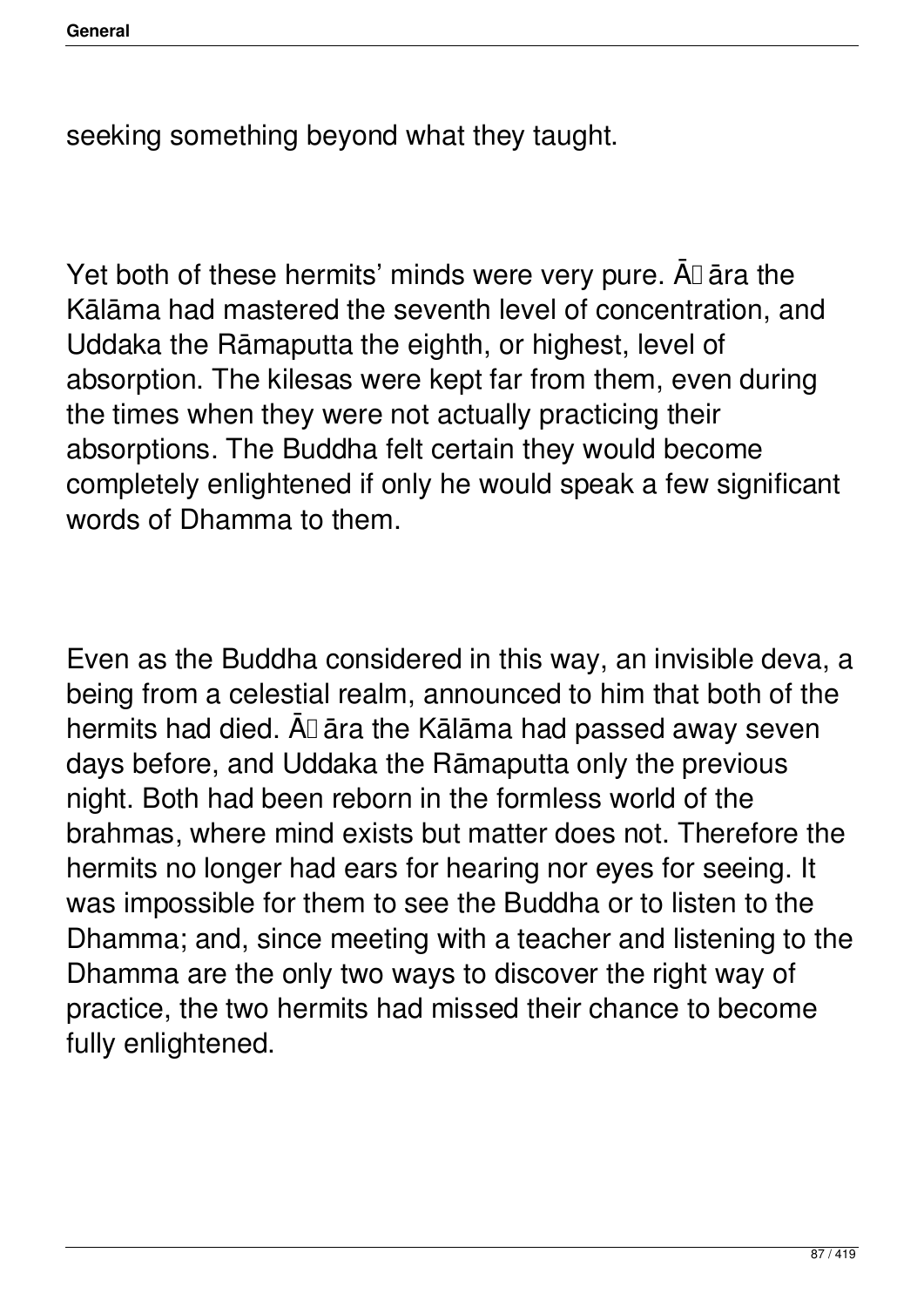seeking something beyond what they taught.

Yet both of these hermits' minds were very pure.  $\bar{A}$  ara the Kālāma had mastered the seventh level of concentration, and Uddaka the Rāmaputta the eighth, or highest, level of absorption. The kilesas were kept far from them, even during the times when they were not actually practicing their absorptions. The Buddha felt certain they would become completely enlightened if only he would speak a few significant words of Dhamma to them.

Even as the Buddha considered in this way, an invisible deva, a being from a celestial realm, announced to him that both of the hermits had died.  $\bar{A}$  ara the Kalama had passed away seven days before, and Uddaka the Rāmaputta only the previous night. Both had been reborn in the formless world of the brahmas, where mind exists but matter does not. Therefore the hermits no longer had ears for hearing nor eyes for seeing. It was impossible for them to see the Buddha or to listen to the Dhamma; and, since meeting with a teacher and listening to the Dhamma are the only two ways to discover the right way of practice, the two hermits had missed their chance to become fully enlightened.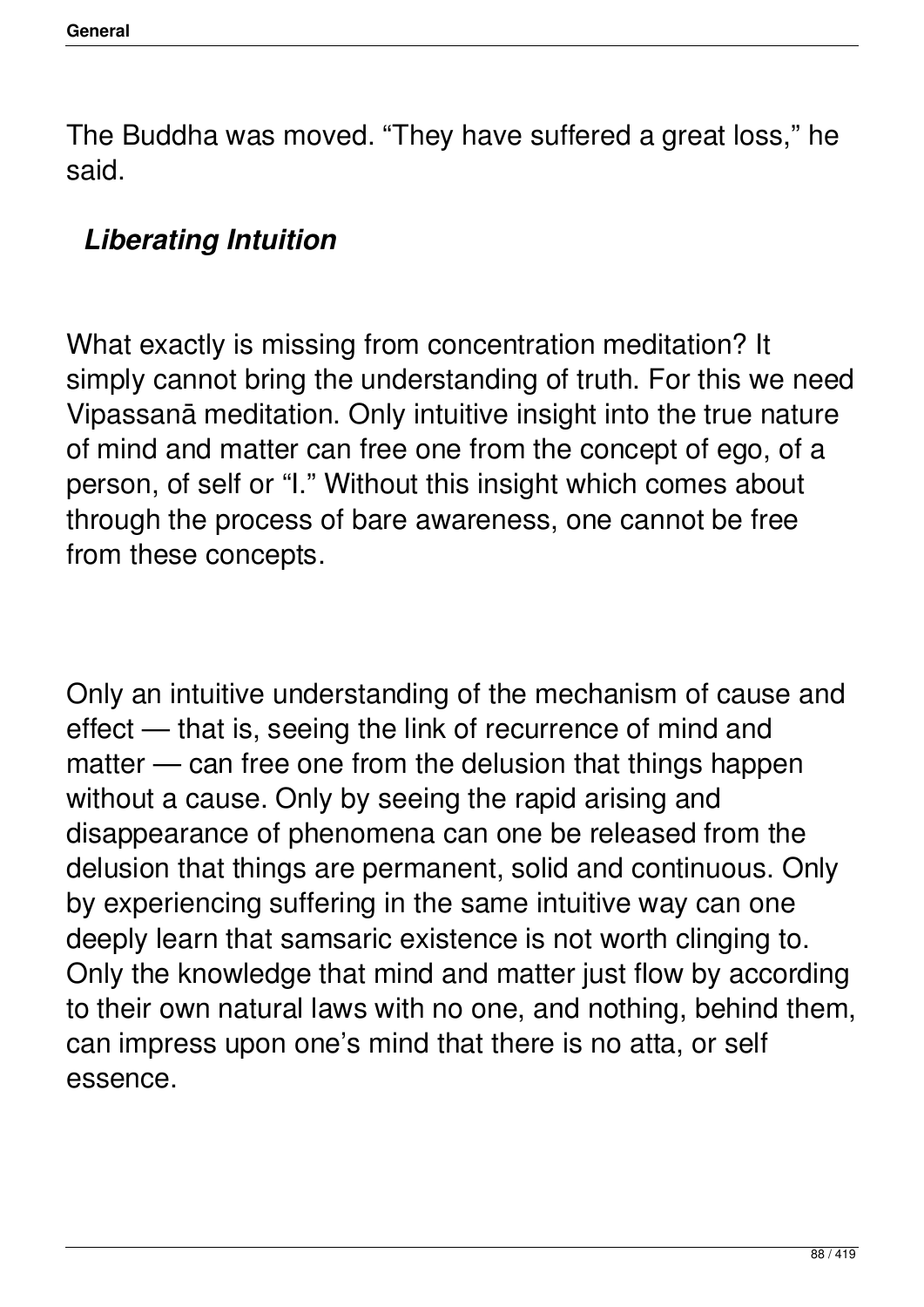The Buddha was moved. "They have suffered a great loss," he said.

### *Liberating Intuition*

What exactly is missing from concentration meditation? It simply cannot bring the understanding of truth. For this we need Vipassanā meditation. Only intuitive insight into the true nature of mind and matter can free one from the concept of ego, of a person, of self or "I." Without this insight which comes about through the process of bare awareness, one cannot be free from these concepts.

Only an intuitive understanding of the mechanism of cause and effect — that is, seeing the link of recurrence of mind and matter — can free one from the delusion that things happen without a cause. Only by seeing the rapid arising and disappearance of phenomena can one be released from the delusion that things are permanent, solid and continuous. Only by experiencing suffering in the same intuitive way can one deeply learn that samsaric existence is not worth clinging to. Only the knowledge that mind and matter just flow by according to their own natural laws with no one, and nothing, behind them, can impress upon one's mind that there is no atta, or self essence.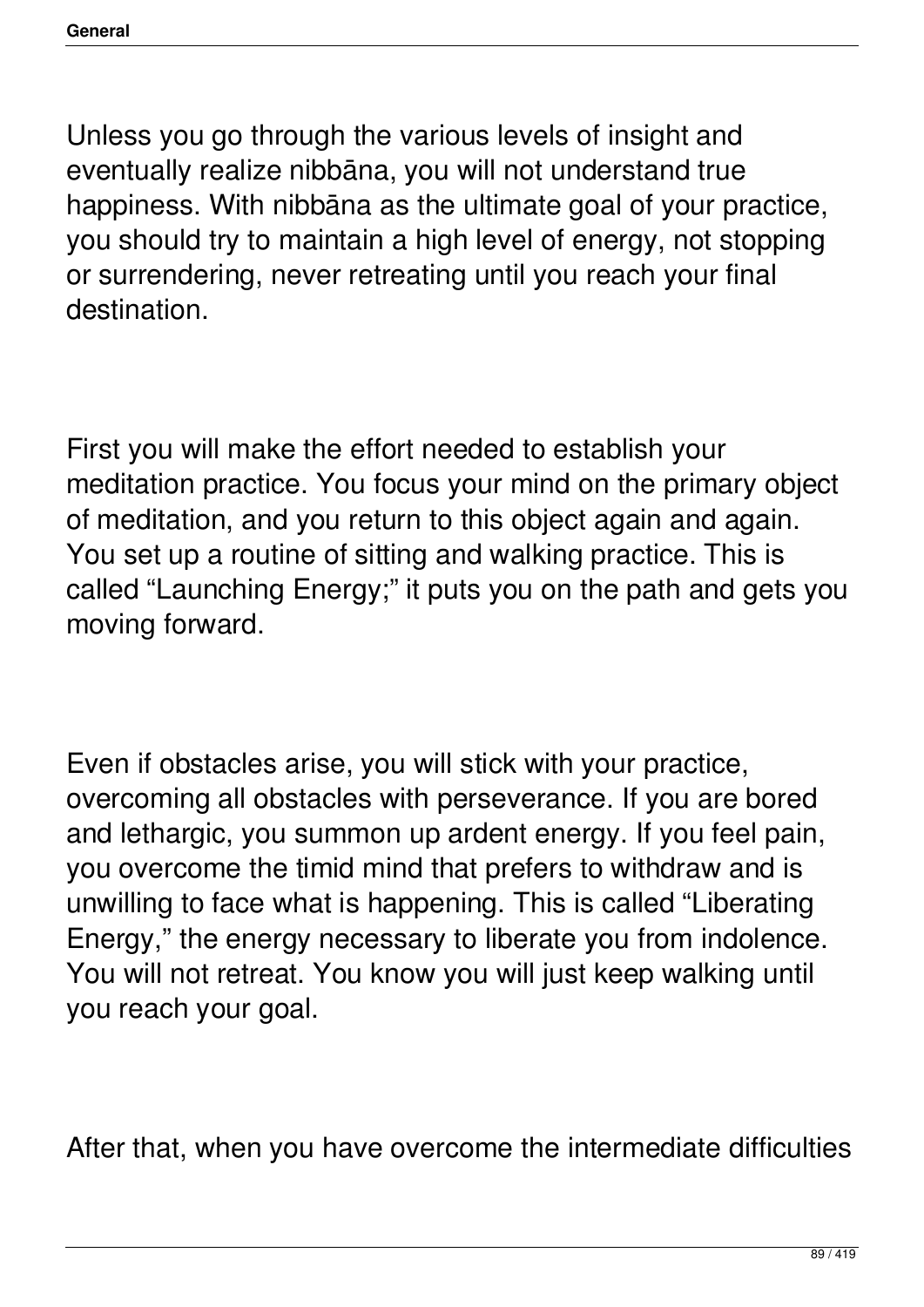Unless you go through the various levels of insight and eventually realize nibbāna, you will not understand true happiness. With nibbāna as the ultimate goal of your practice, you should try to maintain a high level of energy, not stopping or surrendering, never retreating until you reach your final destination.

First you will make the effort needed to establish your meditation practice. You focus your mind on the primary object of meditation, and you return to this object again and again. You set up a routine of sitting and walking practice. This is called "Launching Energy;" it puts you on the path and gets you moving forward.

Even if obstacles arise, you will stick with your practice, overcoming all obstacles with perseverance. If you are bored and lethargic, you summon up ardent energy. If you feel pain, you overcome the timid mind that prefers to withdraw and is unwilling to face what is happening. This is called "Liberating Energy," the energy necessary to liberate you from indolence. You will not retreat. You know you will just keep walking until you reach your goal.

After that, when you have overcome the intermediate difficulties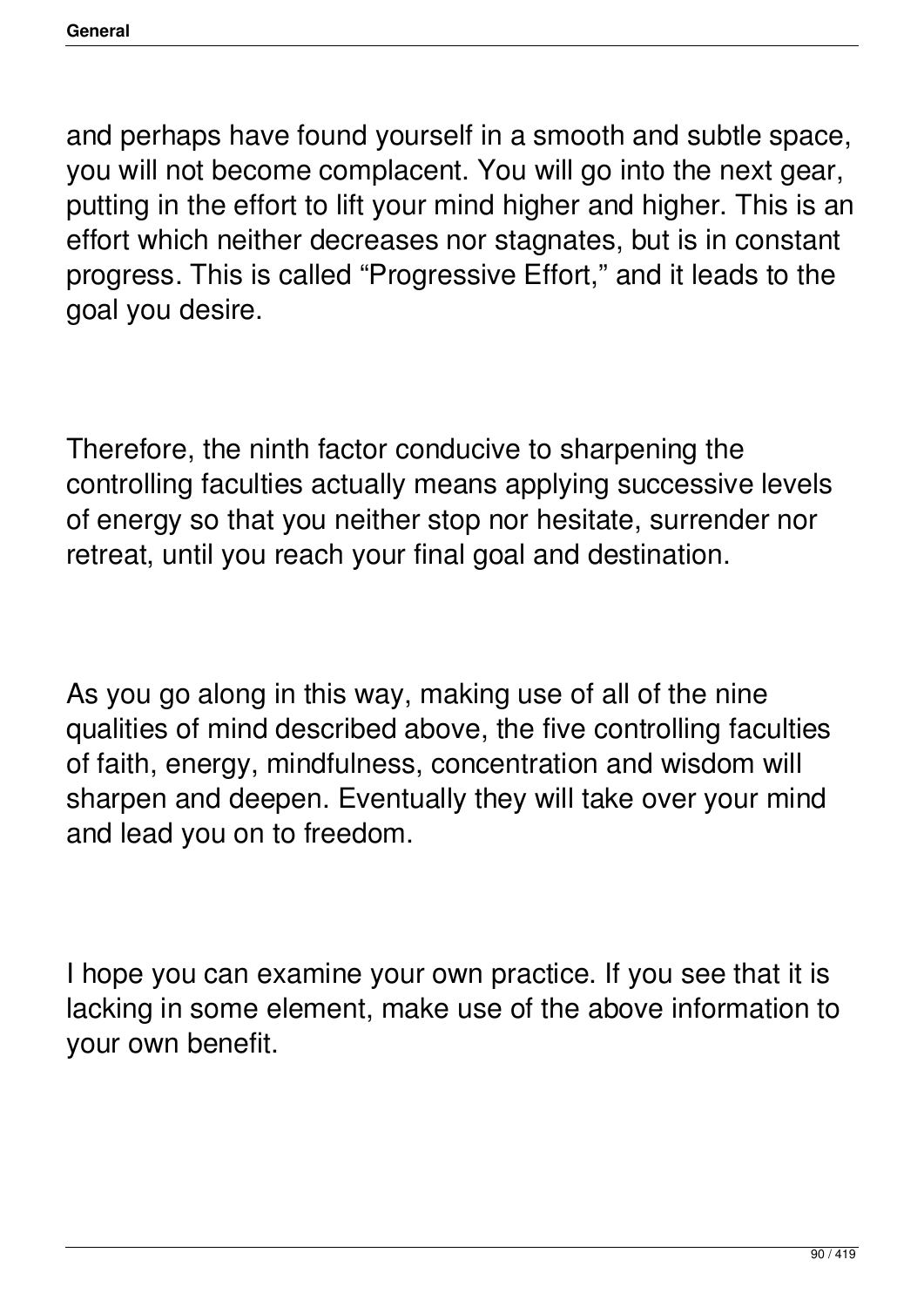and perhaps have found yourself in a smooth and subtle space, you will not become complacent. You will go into the next gear, putting in the effort to lift your mind higher and higher. This is an effort which neither decreases nor stagnates, but is in constant progress. This is called "Progressive Effort," and it leads to the goal you desire.

Therefore, the ninth factor conducive to sharpening the controlling faculties actually means applying successive levels of energy so that you neither stop nor hesitate, surrender nor retreat, until you reach your final goal and destination.

As you go along in this way, making use of all of the nine qualities of mind described above, the five controlling faculties of faith, energy, mindfulness, concentration and wisdom will sharpen and deepen. Eventually they will take over your mind and lead you on to freedom.

I hope you can examine your own practice. If you see that it is lacking in some element, make use of the above information to your own benefit.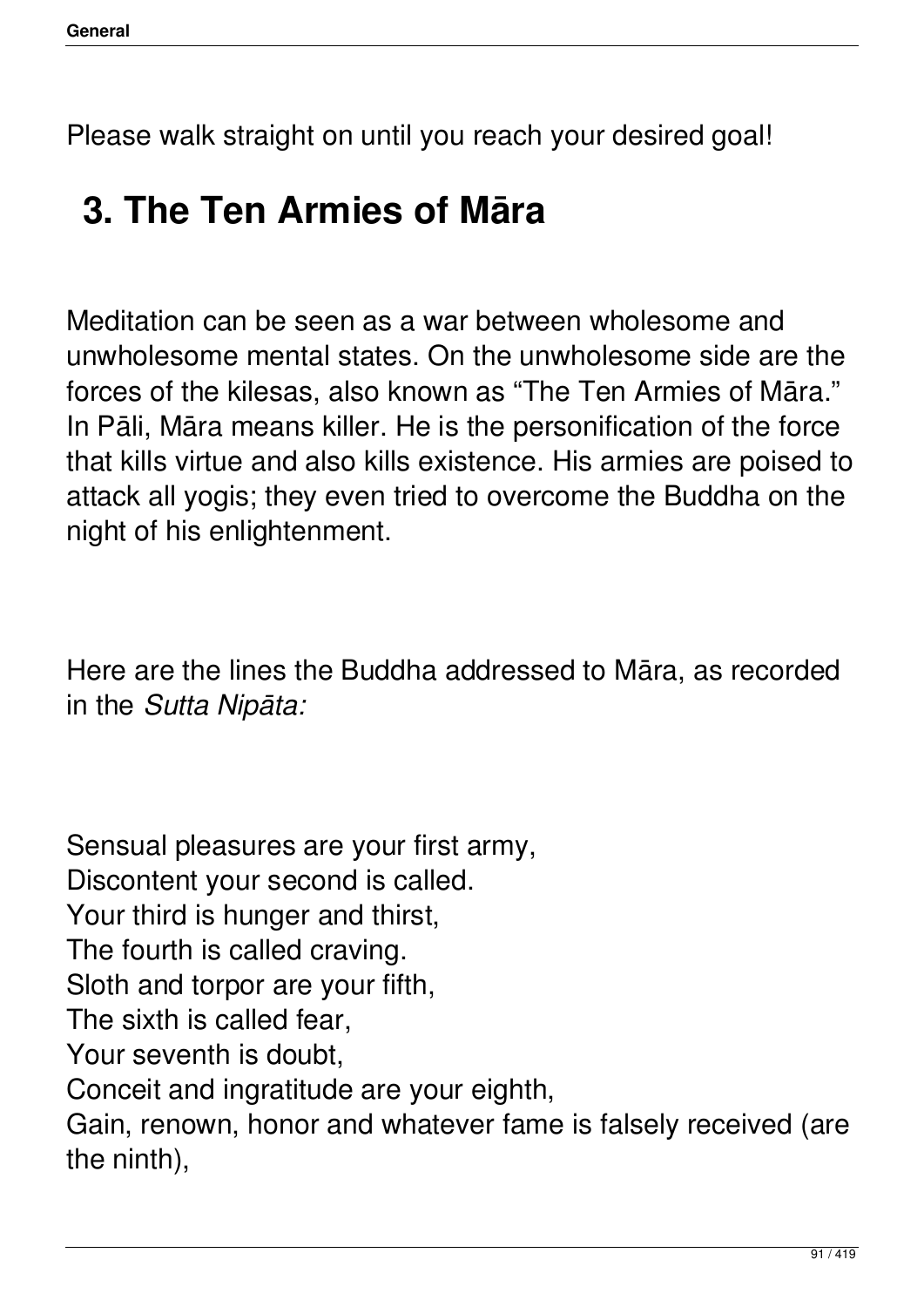Please walk straight on until you reach your desired goal!

# **3. The Ten Armies of Māra**

Meditation can be seen as a war between wholesome and unwholesome mental states. On the unwholesome side are the forces of the kilesas, also known as "The Ten Armies of Māra." In Pāli, Māra means killer. He is the personification of the force that kills virtue and also kills existence. His armies are poised to attack all yogis; they even tried to overcome the Buddha on the night of his enlightenment.

Here are the lines the Buddha addressed to Māra, as recorded in the *Sutta Nipāta:*

Sensual pleasures are your first army, Discontent your second is called. Your third is hunger and thirst, The fourth is called craving. Sloth and torpor are your fifth, The sixth is called fear, Your seventh is doubt, Conceit and ingratitude are your eighth, Gain, renown, honor and whatever fame is falsely received (are the ninth),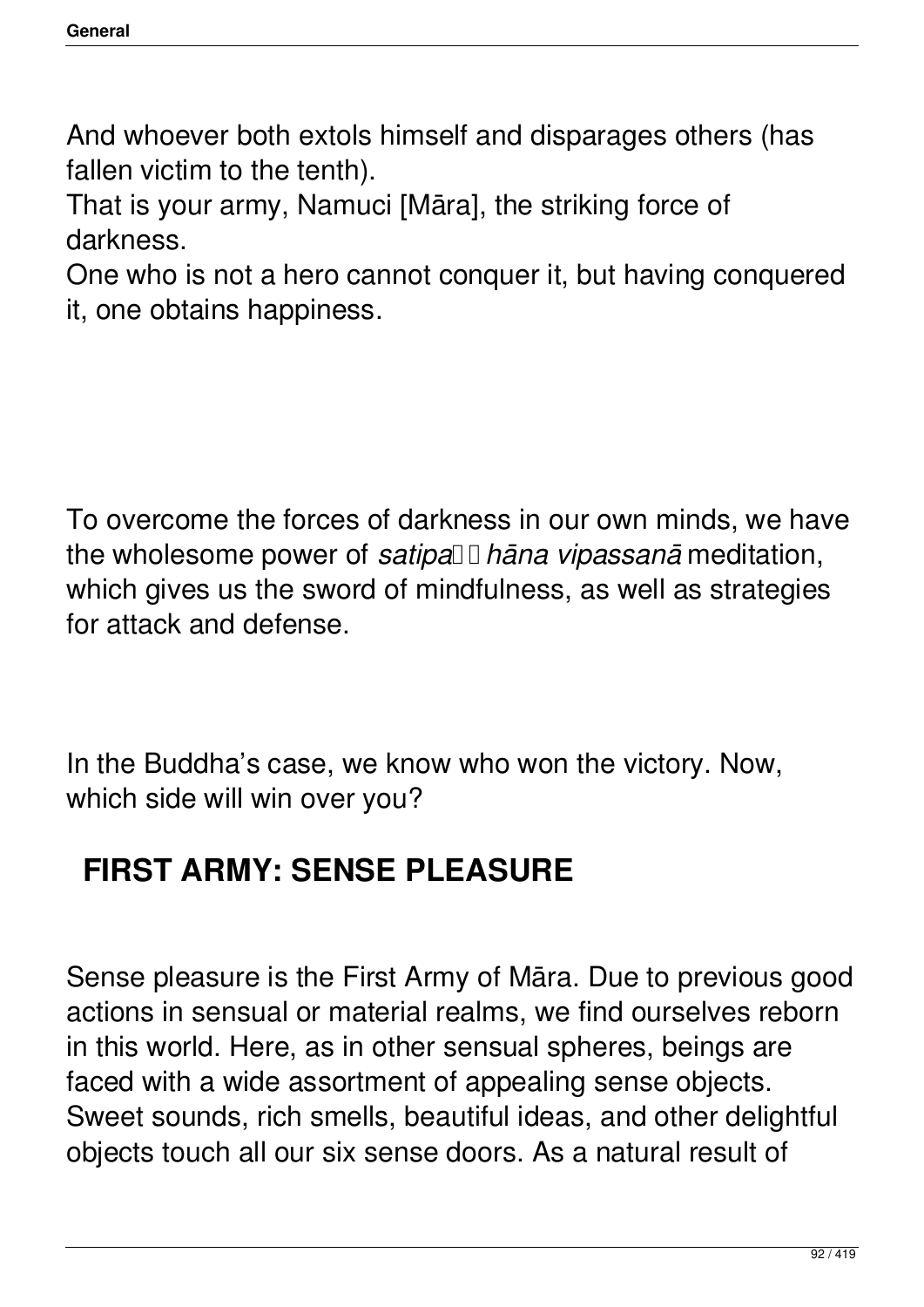And whoever both extols himself and disparages others (has fallen victim to the tenth).

That is your army, Namuci [Māra], the striking force of darkness.

One who is not a hero cannot conquer it, but having conquered it, one obtains happiness.

To overcome the forces of darkness in our own minds, we have the wholesome power of *satipa*  $\Box$  hana vipassana meditation, which gives us the sword of mindfulness, as well as strategies for attack and defense.

In the Buddha's case, we know who won the victory. Now, which side will win over you?

# **FIRST ARMY: SENSE PLEASURE**

Sense pleasure is the First Army of Māra. Due to previous good actions in sensual or material realms, we find ourselves reborn in this world. Here, as in other sensual spheres, beings are faced with a wide assortment of appealing sense objects. Sweet sounds, rich smells, beautiful ideas, and other delightful objects touch all our six sense doors. As a natural result of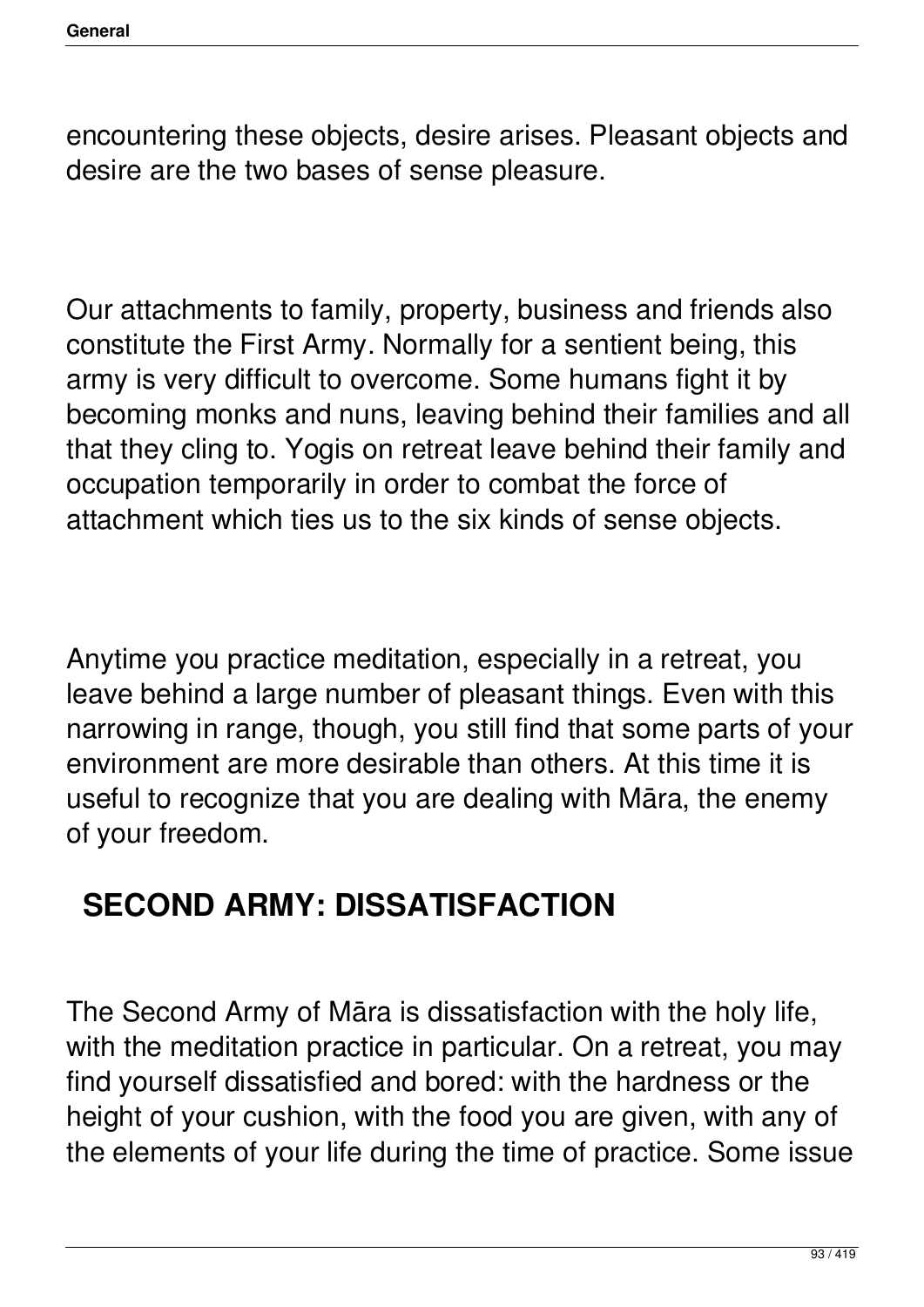encountering these objects, desire arises. Pleasant objects and desire are the two bases of sense pleasure.

Our attachments to family, property, business and friends also constitute the First Army. Normally for a sentient being, this army is very difficult to overcome. Some humans fight it by becoming monks and nuns, leaving behind their families and all that they cling to. Yogis on retreat leave behind their family and occupation temporarily in order to combat the force of attachment which ties us to the six kinds of sense objects.

Anytime you practice meditation, especially in a retreat, you leave behind a large number of pleasant things. Even with this narrowing in range, though, you still find that some parts of your environment are more desirable than others. At this time it is useful to recognize that you are dealing with Māra, the enemy of your freedom.

# **SECOND ARMY: DISSATISFACTION**

The Second Army of Māra is dissatisfaction with the holy life, with the meditation practice in particular. On a retreat, you may find yourself dissatisfied and bored: with the hardness or the height of your cushion, with the food you are given, with any of the elements of your life during the time of practice. Some issue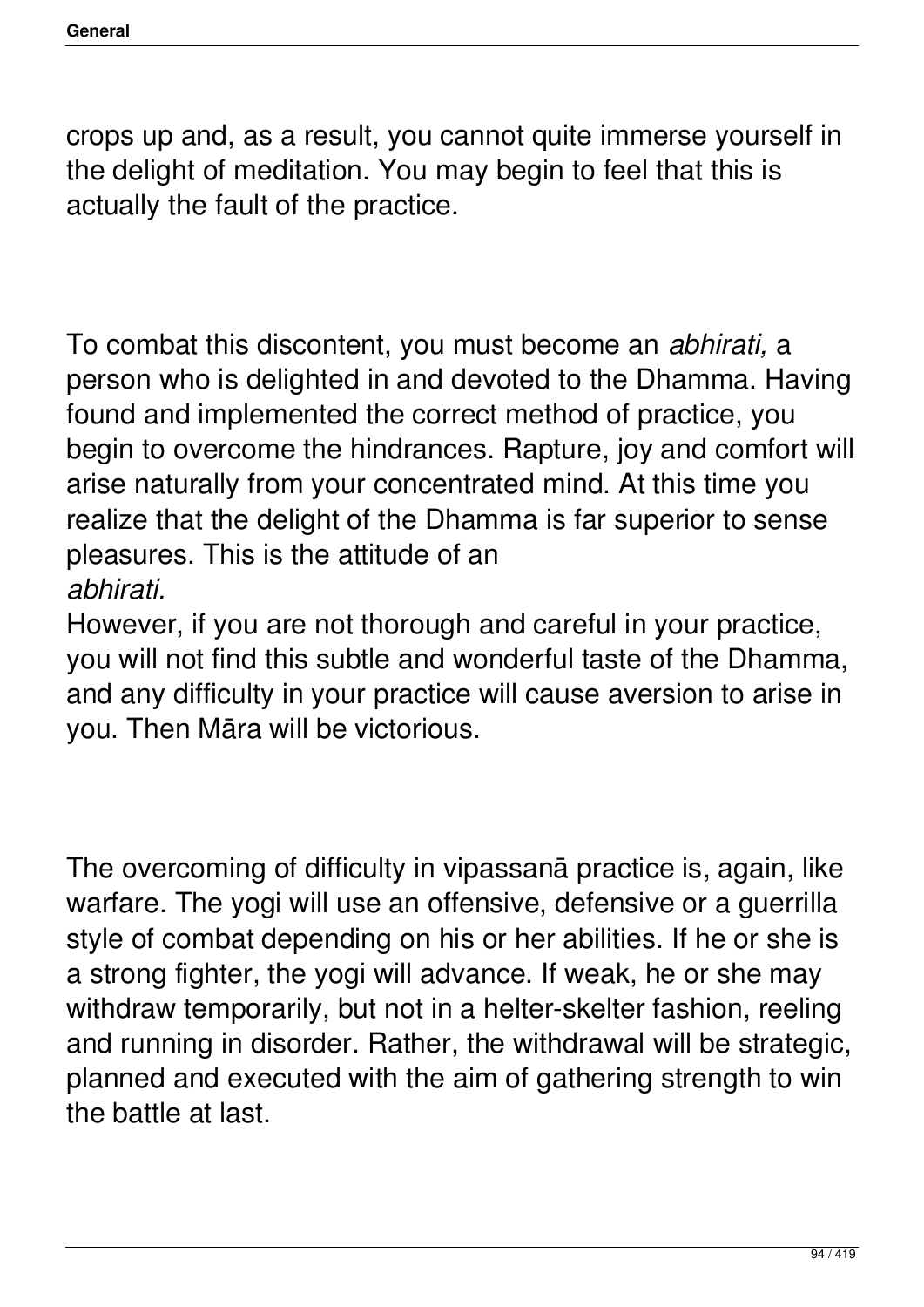crops up and, as a result, you cannot quite immerse yourself in the delight of meditation. You may begin to feel that this is actually the fault of the practice.

To combat this discontent, you must become an *abhirati,* a person who is delighted in and devoted to the Dhamma. Having found and implemented the correct method of practice, you begin to overcome the hindrances. Rapture, joy and comfort will arise naturally from your concentrated mind. At this time you realize that the delight of the Dhamma is far superior to sense pleasures. This is the attitude of an *abhirati.*

However, if you are not thorough and careful in your practice, you will not find this subtle and wonderful taste of the Dhamma, and any difficulty in your practice will cause aversion to arise in you. Then Māra will be victorious.

The overcoming of difficulty in vipassanā practice is, again, like warfare. The yogi will use an offensive, defensive or a guerrilla style of combat depending on his or her abilities. If he or she is a strong fighter, the yogi will advance. If weak, he or she may withdraw temporarily, but not in a helter-skelter fashion, reeling and running in disorder. Rather, the withdrawal will be strategic, planned and executed with the aim of gathering strength to win the battle at last.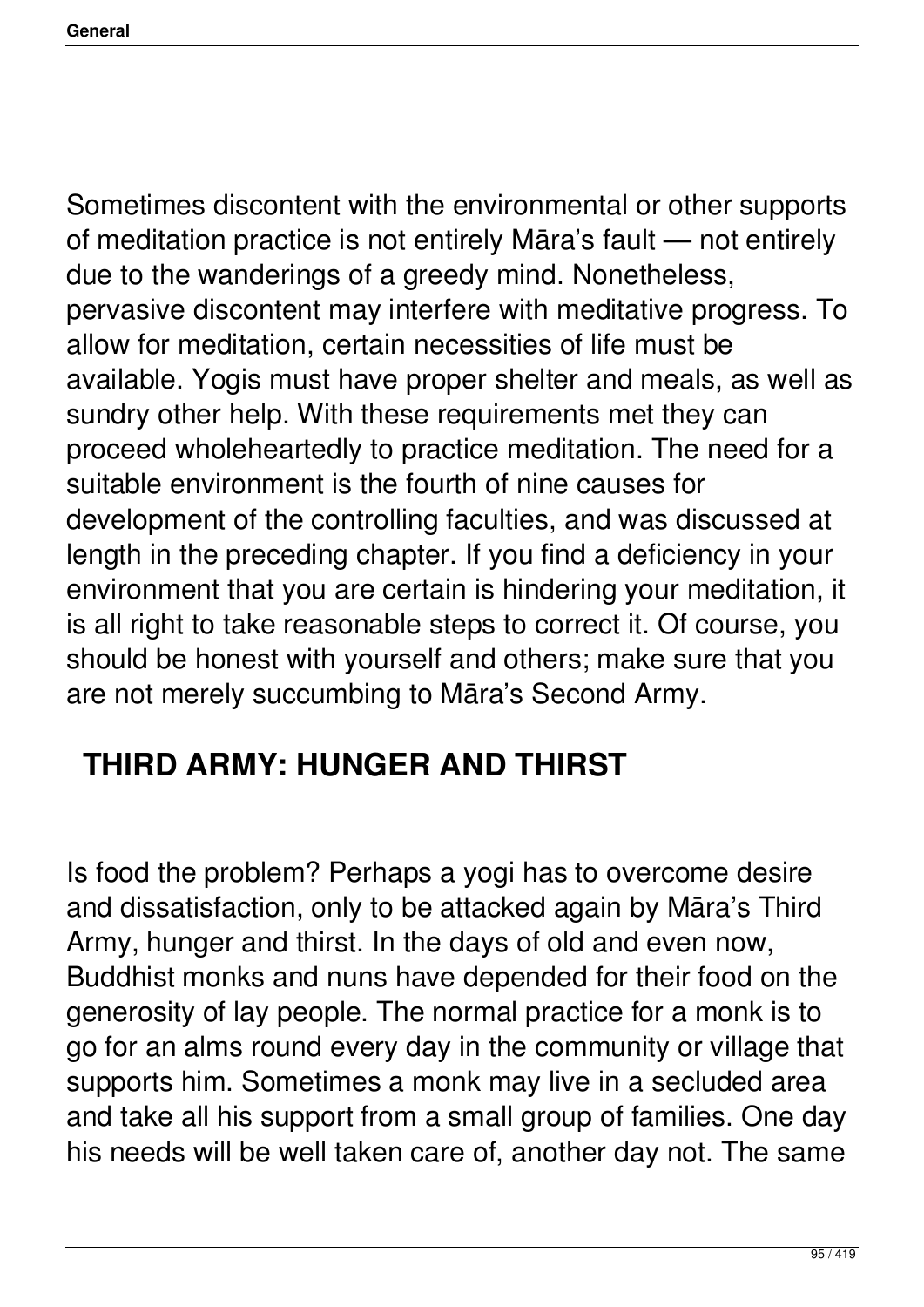Sometimes discontent with the environmental or other supports of meditation practice is not entirely Māra's fault — not entirely due to the wanderings of a greedy mind. Nonetheless, pervasive discontent may interfere with meditative progress. To allow for meditation, certain necessities of life must be available. Yogis must have proper shelter and meals, as well as sundry other help. With these requirements met they can proceed wholeheartedly to practice meditation. The need for a suitable environment is the fourth of nine causes for development of the controlling faculties, and was discussed at length in the preceding chapter. If you find a deficiency in your environment that you are certain is hindering your meditation, it is all right to take reasonable steps to correct it. Of course, you should be honest with yourself and others; make sure that you are not merely succumbing to Māra's Second Army.

# **THIRD ARMY: HUNGER AND THIRST**

Is food the problem? Perhaps a yogi has to overcome desire and dissatisfaction, only to be attacked again by Māra's Third Army, hunger and thirst. In the days of old and even now, Buddhist monks and nuns have depended for their food on the generosity of lay people. The normal practice for a monk is to go for an alms round every day in the community or village that supports him. Sometimes a monk may live in a secluded area and take all his support from a small group of families. One day his needs will be well taken care of, another day not. The same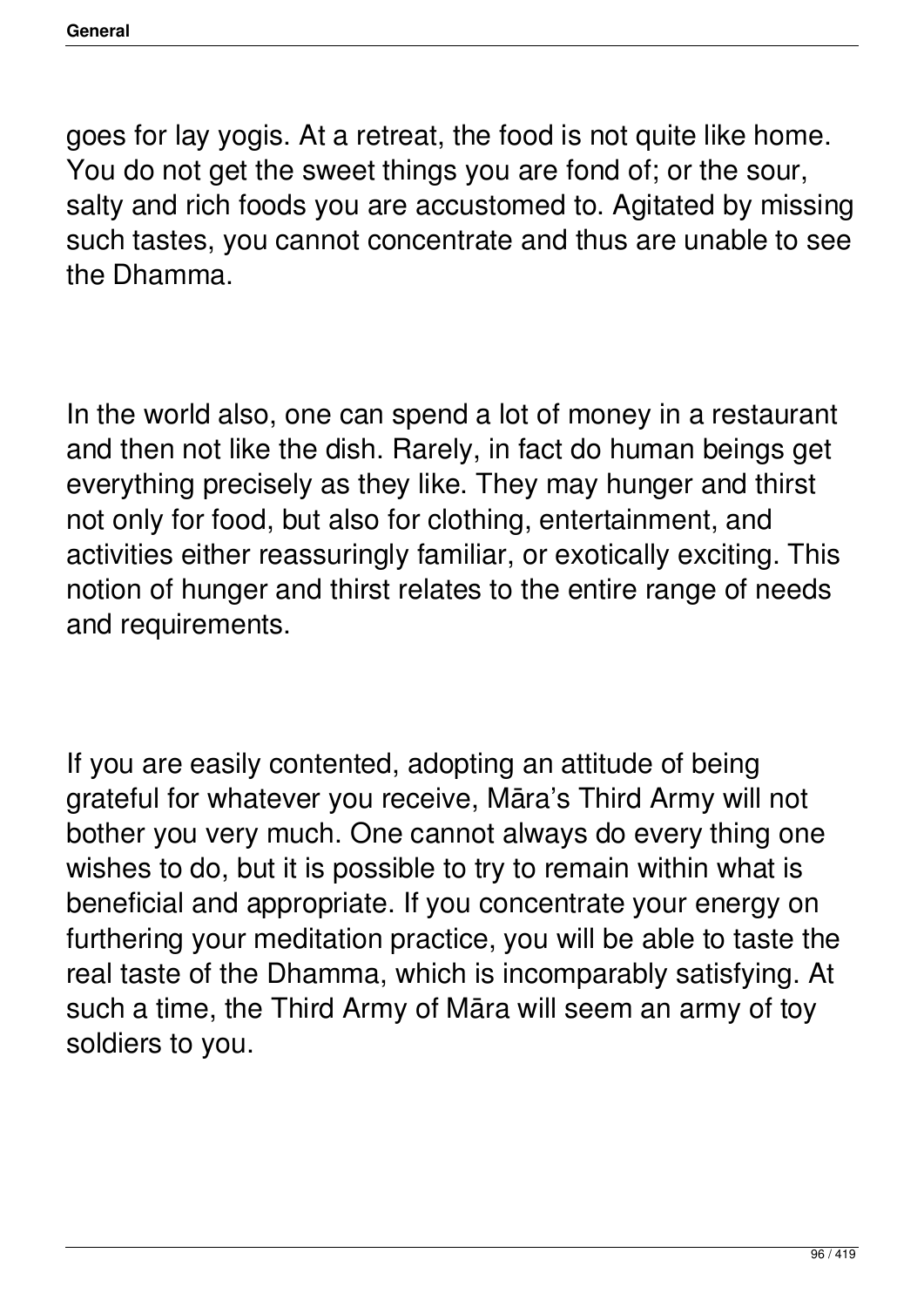goes for lay yogis. At a retreat, the food is not quite like home. You do not get the sweet things you are fond of; or the sour, salty and rich foods you are accustomed to. Agitated by missing such tastes, you cannot concentrate and thus are unable to see the Dhamma.

In the world also, one can spend a lot of money in a restaurant and then not like the dish. Rarely, in fact do human beings get everything precisely as they like. They may hunger and thirst not only for food, but also for clothing, entertainment, and activities either reassuringly familiar, or exotically exciting. This notion of hunger and thirst relates to the entire range of needs and requirements.

If you are easily contented, adopting an attitude of being grateful for whatever you receive, Māra's Third Army will not bother you very much. One cannot always do every thing one wishes to do, but it is possible to try to remain within what is beneficial and appropriate. If you concentrate your energy on furthering your meditation practice, you will be able to taste the real taste of the Dhamma, which is incomparably satisfying. At such a time, the Third Army of Māra will seem an army of toy soldiers to you.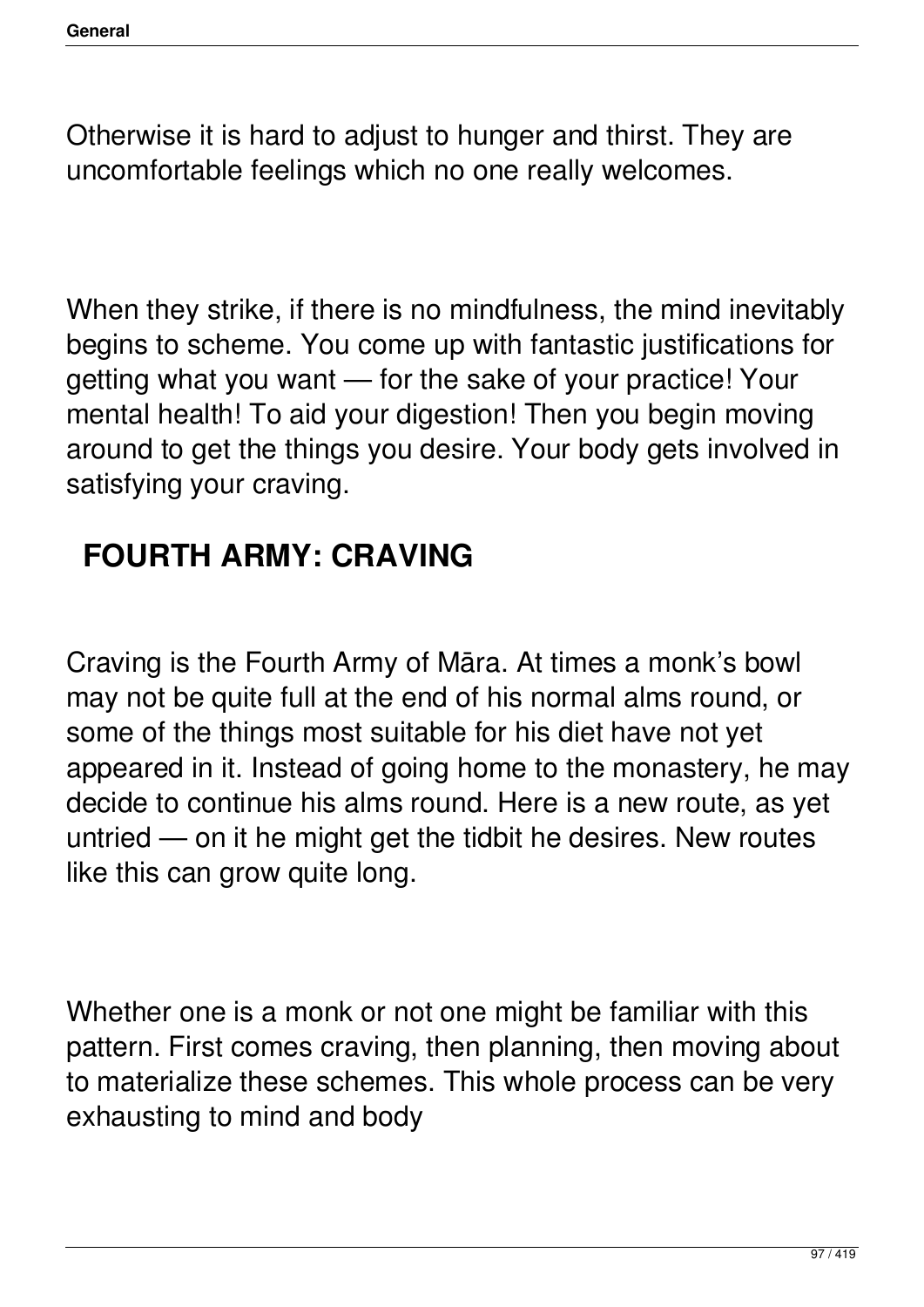Otherwise it is hard to adjust to hunger and thirst. They are uncomfortable feelings which no one really welcomes.

When they strike, if there is no mindfulness, the mind inevitably begins to scheme. You come up with fantastic justifications for getting what you want — for the sake of your practice! Your mental health! To aid your digestion! Then you begin moving around to get the things you desire. Your body gets involved in satisfying your craving.

# **FOURTH ARMY: CRAVING**

Craving is the Fourth Army of Māra. At times a monk's bowl may not be quite full at the end of his normal alms round, or some of the things most suitable for his diet have not yet appeared in it. Instead of going home to the monastery, he may decide to continue his alms round. Here is a new route, as yet untried — on it he might get the tidbit he desires. New routes like this can grow quite long.

Whether one is a monk or not one might be familiar with this pattern. First comes craving, then planning, then moving about to materialize these schemes. This whole process can be very exhausting to mind and body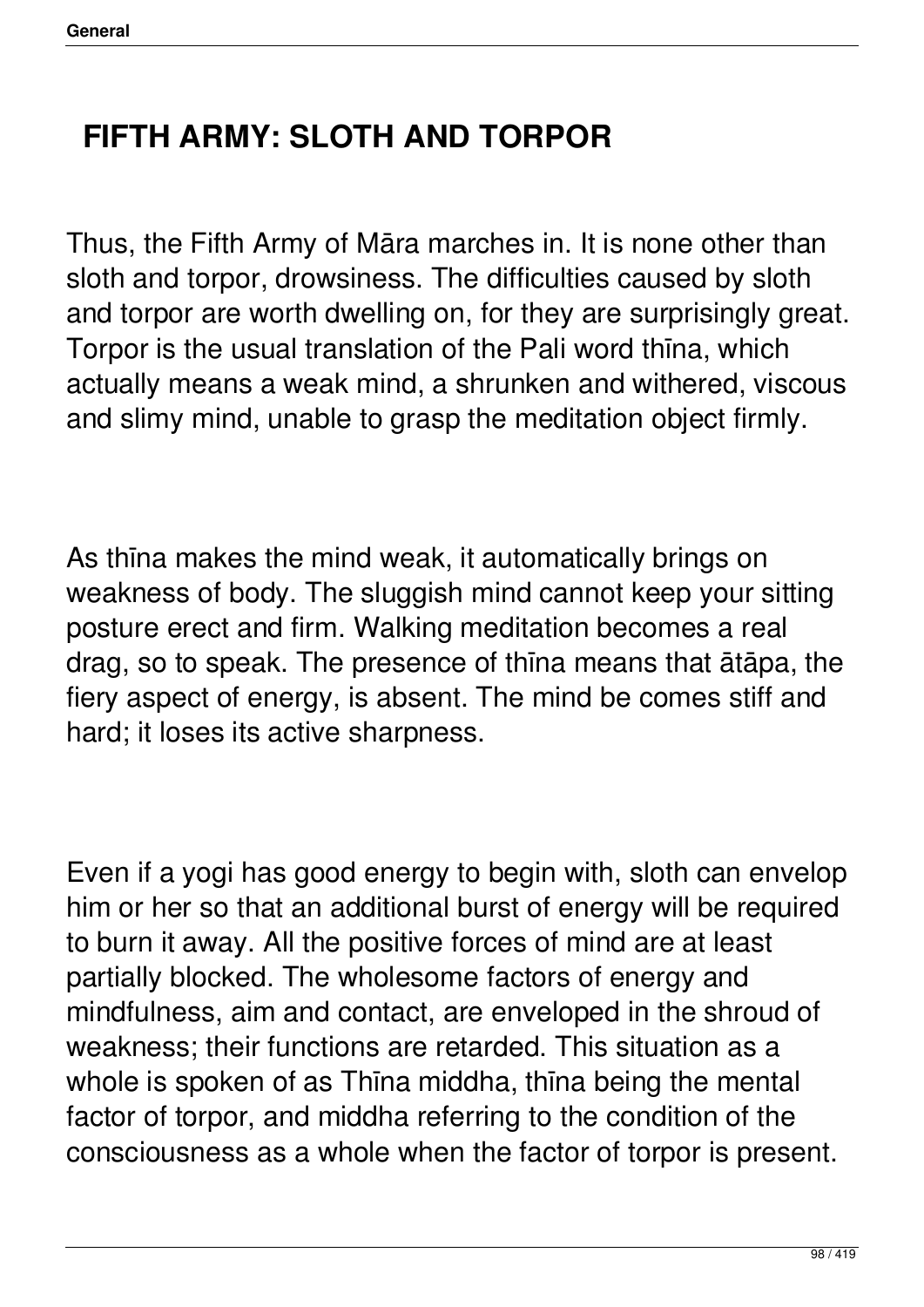# **FIFTH ARMY: SLOTH AND TORPOR**

Thus, the Fifth Army of Māra marches in. It is none other than sloth and torpor, drowsiness. The difficulties caused by sloth and torpor are worth dwelling on, for they are surprisingly great. Torpor is the usual translation of the Pali word thīna, which actually means a weak mind, a shrunken and withered, viscous and slimy mind, unable to grasp the meditation object firmly.

As thīna makes the mind weak, it automatically brings on weakness of body. The sluggish mind cannot keep your sitting posture erect and firm. Walking meditation becomes a real drag, so to speak. The presence of thīna means that ātāpa, the fiery aspect of energy, is absent. The mind be comes stiff and hard; it loses its active sharpness.

Even if a yogi has good energy to begin with, sloth can envelop him or her so that an additional burst of energy will be required to burn it away. All the positive forces of mind are at least partially blocked. The wholesome factors of energy and mindfulness, aim and contact, are enveloped in the shroud of weakness; their functions are retarded. This situation as a whole is spoken of as Thīna middha, thīna being the mental factor of torpor, and middha referring to the condition of the consciousness as a whole when the factor of torpor is present.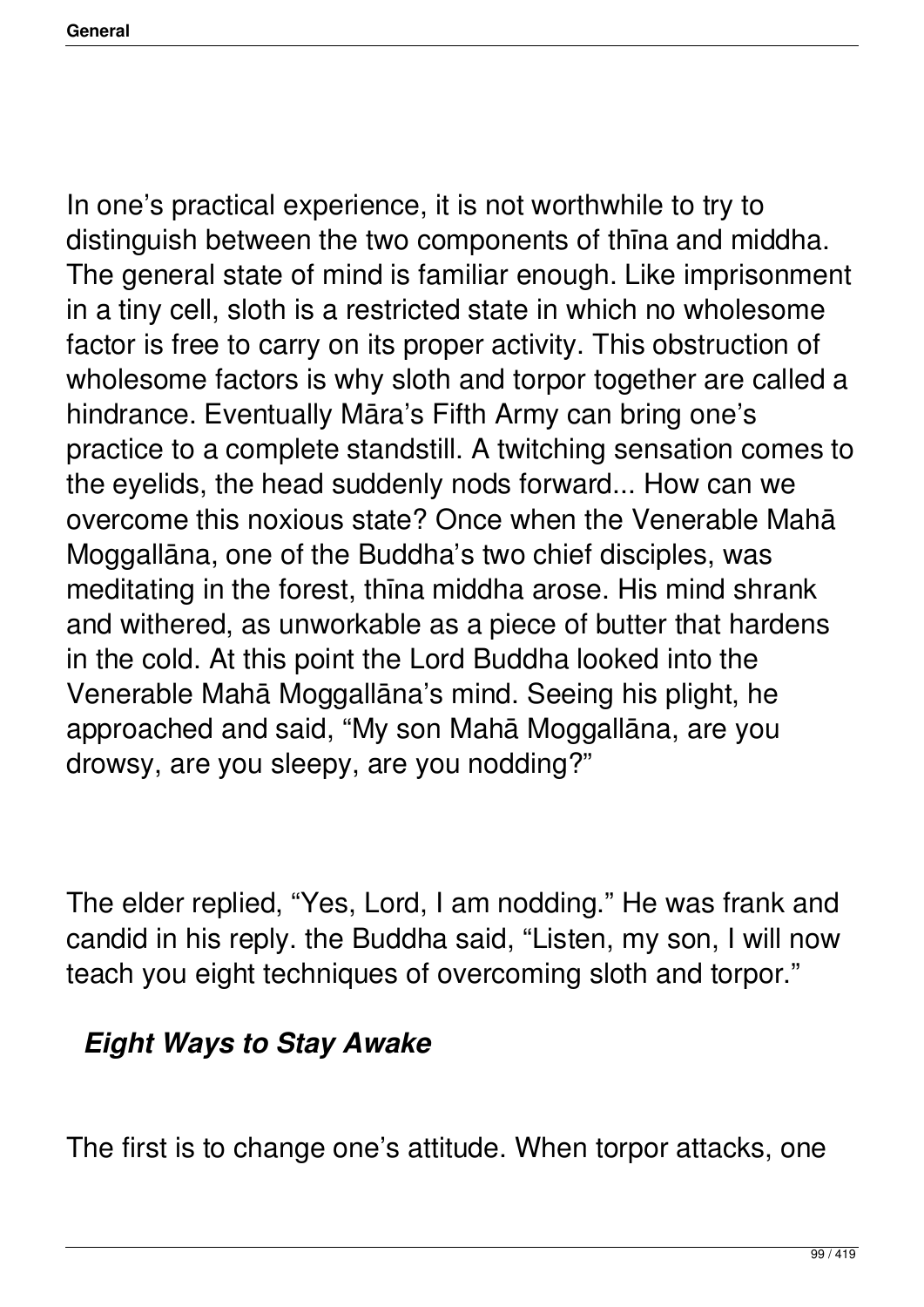In one's practical experience, it is not worthwhile to try to distinguish between the two components of thīna and middha. The general state of mind is familiar enough. Like imprisonment in a tiny cell, sloth is a restricted state in which no wholesome factor is free to carry on its proper activity. This obstruction of wholesome factors is why sloth and torpor together are called a hindrance. Eventually Māra's Fifth Army can bring one's practice to a complete standstill. A twitching sensation comes to the eyelids, the head suddenly nods forward... How can we overcome this noxious state? Once when the Venerable Mahā Moggallāna, one of the Buddha's two chief disciples, was meditating in the forest, thīna middha arose. His mind shrank and withered, as unworkable as a piece of butter that hardens in the cold. At this point the Lord Buddha looked into the Venerable Mahā Moggallāna's mind. Seeing his plight, he approached and said, "My son Mahā Moggallāna, are you drowsy, are you sleepy, are you nodding?"

The elder replied, "Yes, Lord, I am nodding." He was frank and candid in his reply. the Buddha said, "Listen, my son, I will now teach you eight techniques of overcoming sloth and torpor."

#### *Eight Ways to Stay Awake*

The first is to change one's attitude. When torpor attacks, one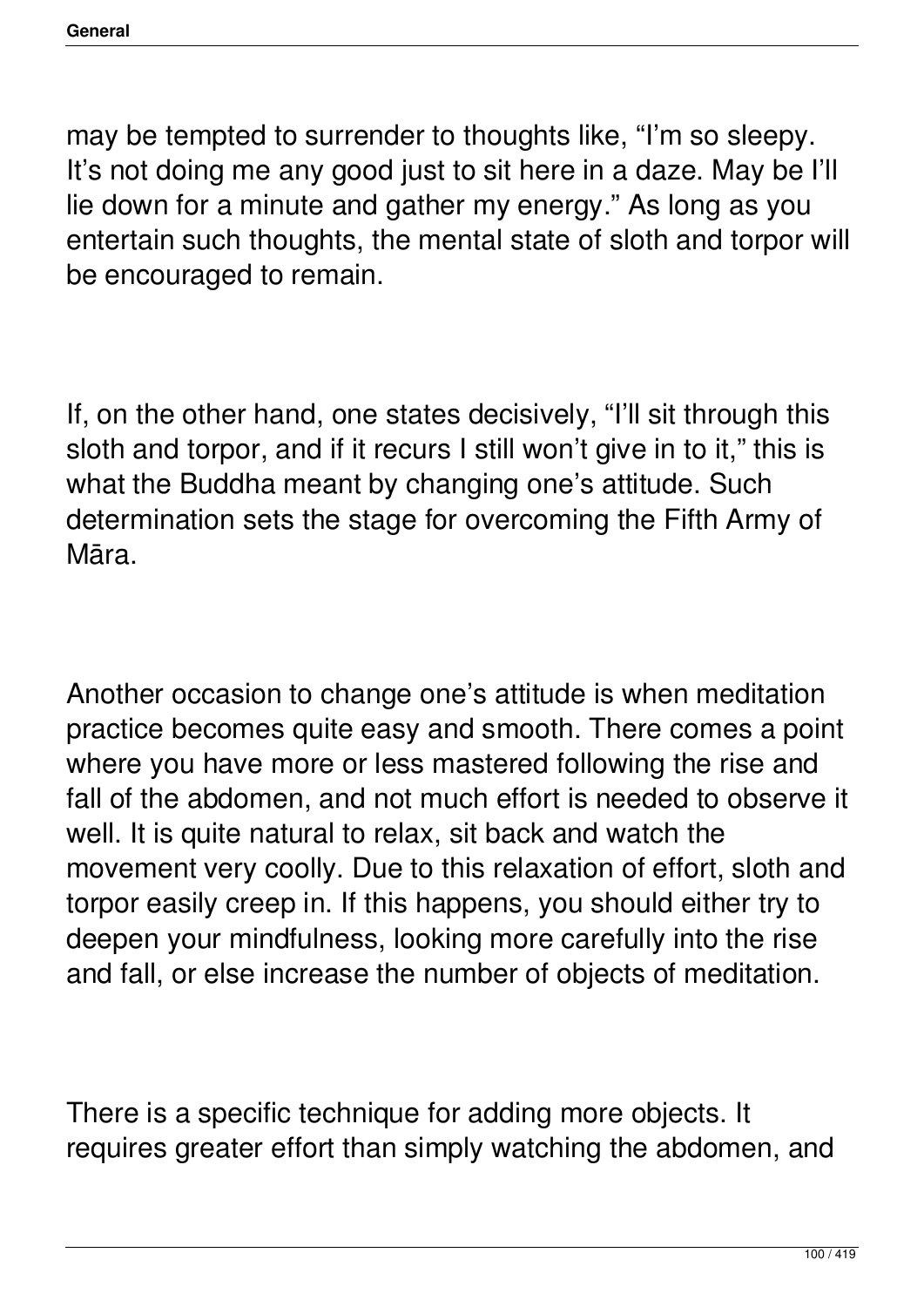may be tempted to surrender to thoughts like, "I'm so sleepy. It's not doing me any good just to sit here in a daze. May be I'll lie down for a minute and gather my energy." As long as you entertain such thoughts, the mental state of sloth and torpor will be encouraged to remain.

If, on the other hand, one states decisively, "I'll sit through this sloth and torpor, and if it recurs I still won't give in to it," this is what the Buddha meant by changing one's attitude. Such determination sets the stage for overcoming the Fifth Army of Māra.

Another occasion to change one's attitude is when meditation practice becomes quite easy and smooth. There comes a point where you have more or less mastered following the rise and fall of the abdomen, and not much effort is needed to observe it well. It is quite natural to relax, sit back and watch the movement very coolly. Due to this relaxation of effort, sloth and torpor easily creep in. If this happens, you should either try to deepen your mindfulness, looking more carefully into the rise and fall, or else increase the number of objects of meditation.

There is a specific technique for adding more objects. It requires greater effort than simply watching the abdomen, and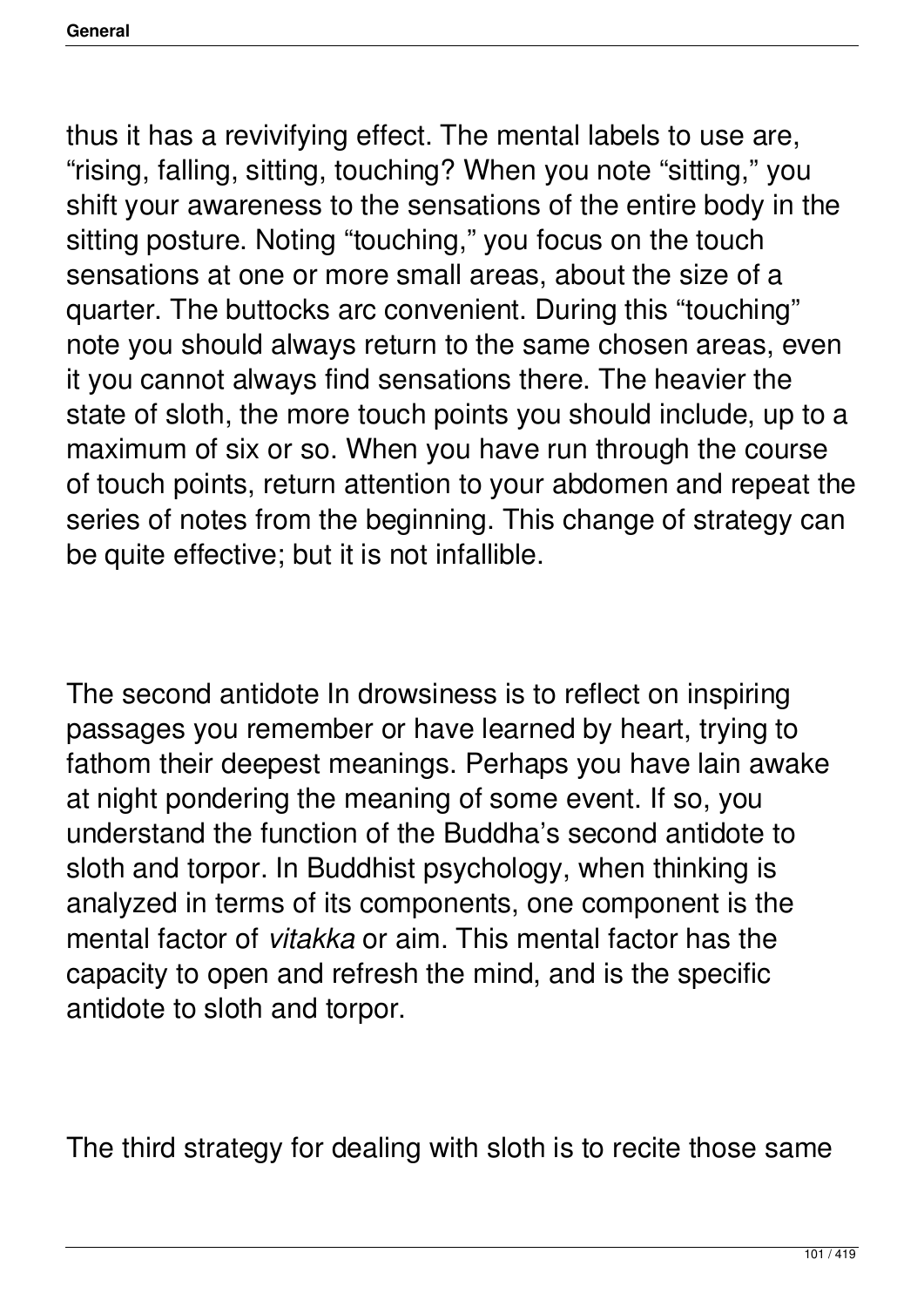thus it has a revivifying effect. The mental labels to use are, "rising, falling, sitting, touching? When you note "sitting," you shift your awareness to the sensations of the entire body in the sitting posture. Noting "touching," you focus on the touch sensations at one or more small areas, about the size of a quarter. The buttocks arc convenient. During this "touching" note you should always return to the same chosen areas, even it you cannot always find sensations there. The heavier the state of sloth, the more touch points you should include, up to a maximum of six or so. When you have run through the course of touch points, return attention to your abdomen and repeat the series of notes from the beginning. This change of strategy can be quite effective; but it is not infallible.

The second antidote In drowsiness is to reflect on inspiring passages you remember or have learned by heart, trying to fathom their deepest meanings. Perhaps you have lain awake at night pondering the meaning of some event. If so, you understand the function of the Buddha's second antidote to sloth and torpor. In Buddhist psychology, when thinking is analyzed in terms of its components, one component is the mental factor of *vitakka* or aim. This mental factor has the capacity to open and refresh the mind, and is the specific antidote to sloth and torpor.

The third strategy for dealing with sloth is to recite those same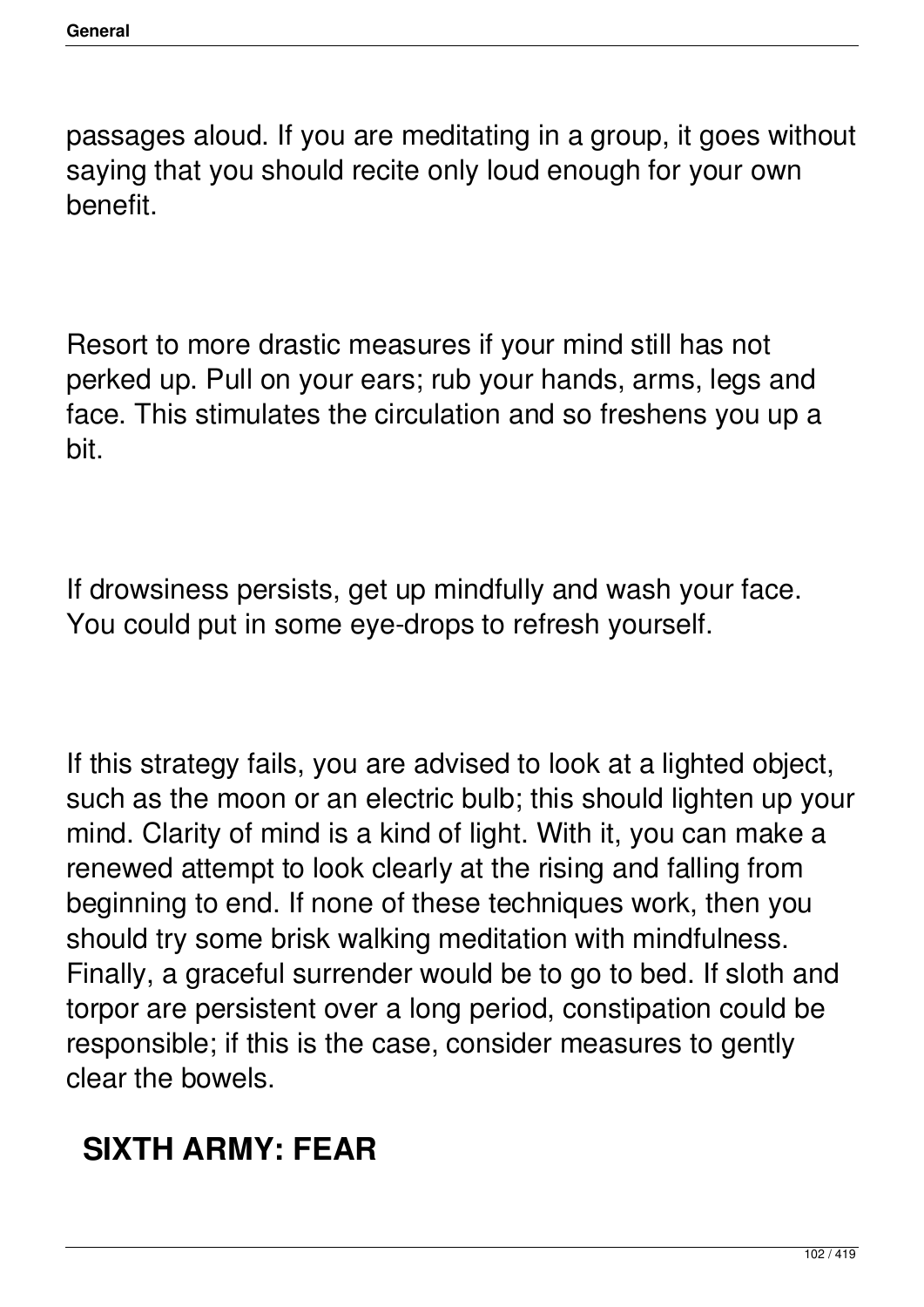passages aloud. If you are meditating in a group, it goes without saying that you should recite only loud enough for your own benefit.

Resort to more drastic measures if your mind still has not perked up. Pull on your ears; rub your hands, arms, legs and face. This stimulates the circulation and so freshens you up a bit.

If drowsiness persists, get up mindfully and wash your face. You could put in some eye-drops to refresh yourself.

If this strategy fails, you are advised to look at a lighted object, such as the moon or an electric bulb; this should lighten up your mind. Clarity of mind is a kind of light. With it, you can make a renewed attempt to look clearly at the rising and falling from beginning to end. If none of these techniques work, then you should try some brisk walking meditation with mindfulness. Finally, a graceful surrender would be to go to bed. If sloth and torpor are persistent over a long period, constipation could be responsible; if this is the case, consider measures to gently clear the bowels.

# **SIXTH ARMY: FEAR**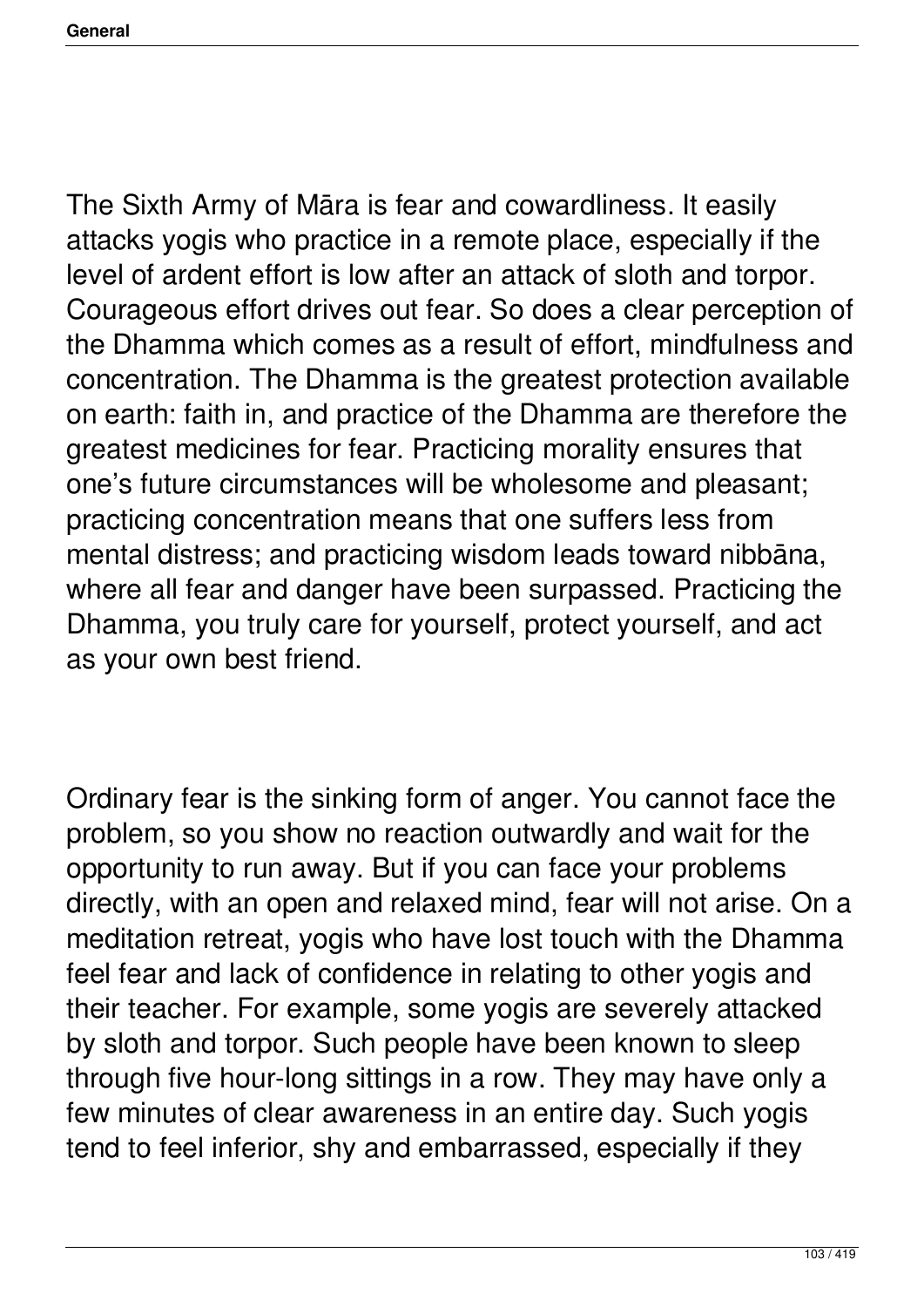The Sixth Army of Māra is fear and cowardliness. It easily attacks yogis who practice in a remote place, especially if the level of ardent effort is low after an attack of sloth and torpor. Courageous effort drives out fear. So does a clear perception of the Dhamma which comes as a result of effort, mindfulness and concentration. The Dhamma is the greatest protection available on earth: faith in, and practice of the Dhamma are therefore the greatest medicines for fear. Practicing morality ensures that one's future circumstances will be wholesome and pleasant; practicing concentration means that one suffers less from mental distress; and practicing wisdom leads toward nibbāna, where all fear and danger have been surpassed. Practicing the Dhamma, you truly care for yourself, protect yourself, and act as your own best friend.

Ordinary fear is the sinking form of anger. You cannot face the problem, so you show no reaction outwardly and wait for the opportunity to run away. But if you can face your problems directly, with an open and relaxed mind, fear will not arise. On a meditation retreat, yogis who have lost touch with the Dhamma feel fear and lack of confidence in relating to other yogis and their teacher. For example, some yogis are severely attacked by sloth and torpor. Such people have been known to sleep through five hour-long sittings in a row. They may have only a few minutes of clear awareness in an entire day. Such yogis tend to feel inferior, shy and embarrassed, especially if they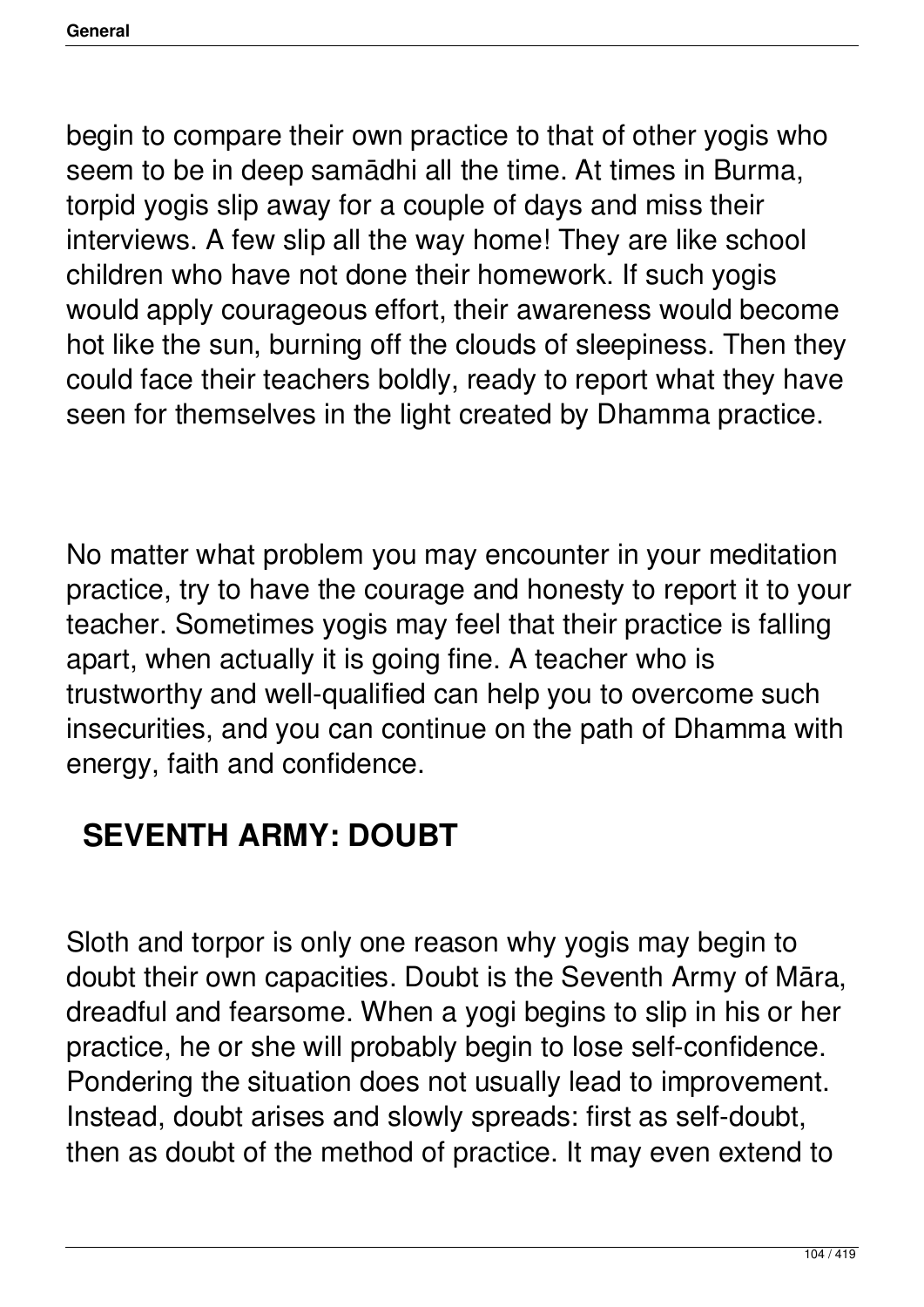begin to compare their own practice to that of other yogis who seem to be in deep samādhi all the time. At times in Burma, torpid yogis slip away for a couple of days and miss their interviews. A few slip all the way home! They are like school children who have not done their homework. If such yogis would apply courageous effort, their awareness would become hot like the sun, burning off the clouds of sleepiness. Then they could face their teachers boldly, ready to report what they have seen for themselves in the light created by Dhamma practice.

No matter what problem you may encounter in your meditation practice, try to have the courage and honesty to report it to your teacher. Sometimes yogis may feel that their practice is falling apart, when actually it is going fine. A teacher who is trustworthy and well-qualified can help you to overcome such insecurities, and you can continue on the path of Dhamma with energy, faith and confidence.

# **SEVENTH ARMY: DOUBT**

Sloth and torpor is only one reason why yogis may begin to doubt their own capacities. Doubt is the Seventh Army of Māra, dreadful and fearsome. When a yogi begins to slip in his or her practice, he or she will probably begin to lose self-confidence. Pondering the situation does not usually lead to improvement. Instead, doubt arises and slowly spreads: first as self-doubt, then as doubt of the method of practice. It may even extend to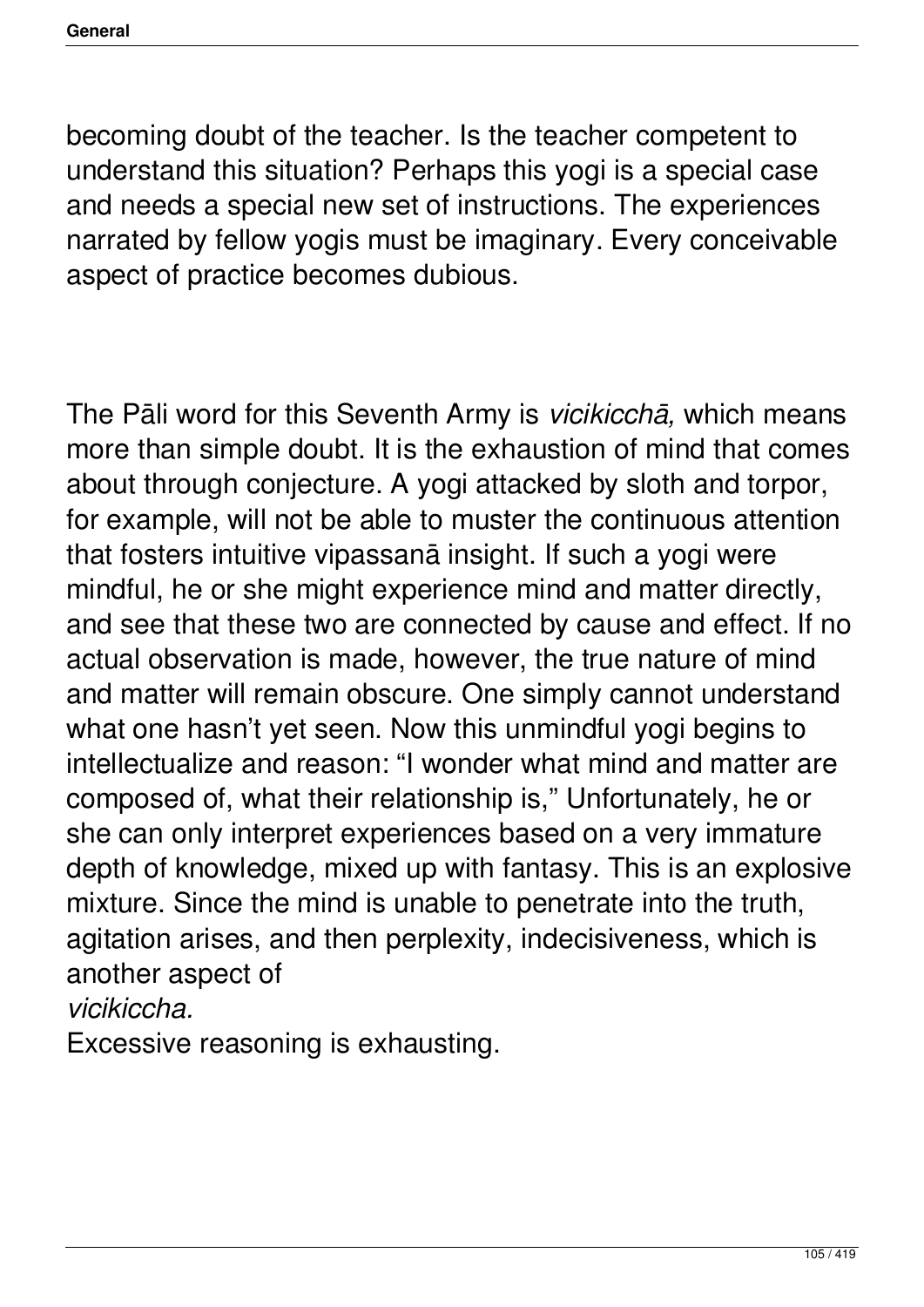becoming doubt of the teacher. Is the teacher competent to understand this situation? Perhaps this yogi is a special case and needs a special new set of instructions. The experiences narrated by fellow yogis must be imaginary. Every conceivable aspect of practice becomes dubious.

The Pāli word for this Seventh Army is *vicikicchā,* which means more than simple doubt. It is the exhaustion of mind that comes about through conjecture. A yogi attacked by sloth and torpor, for example, will not be able to muster the continuous attention that fosters intuitive vipassanā insight. If such a yogi were mindful, he or she might experience mind and matter directly, and see that these two are connected by cause and effect. If no actual observation is made, however, the true nature of mind and matter will remain obscure. One simply cannot understand what one hasn't yet seen. Now this unmindful yogi begins to intellectualize and reason: "I wonder what mind and matter are composed of, what their relationship is," Unfortunately, he or she can only interpret experiences based on a very immature depth of knowledge, mixed up with fantasy. This is an explosive mixture. Since the mind is unable to penetrate into the truth, agitation arises, and then perplexity, indecisiveness, which is another aspect of

*vicikiccha.*

Excessive reasoning is exhausting.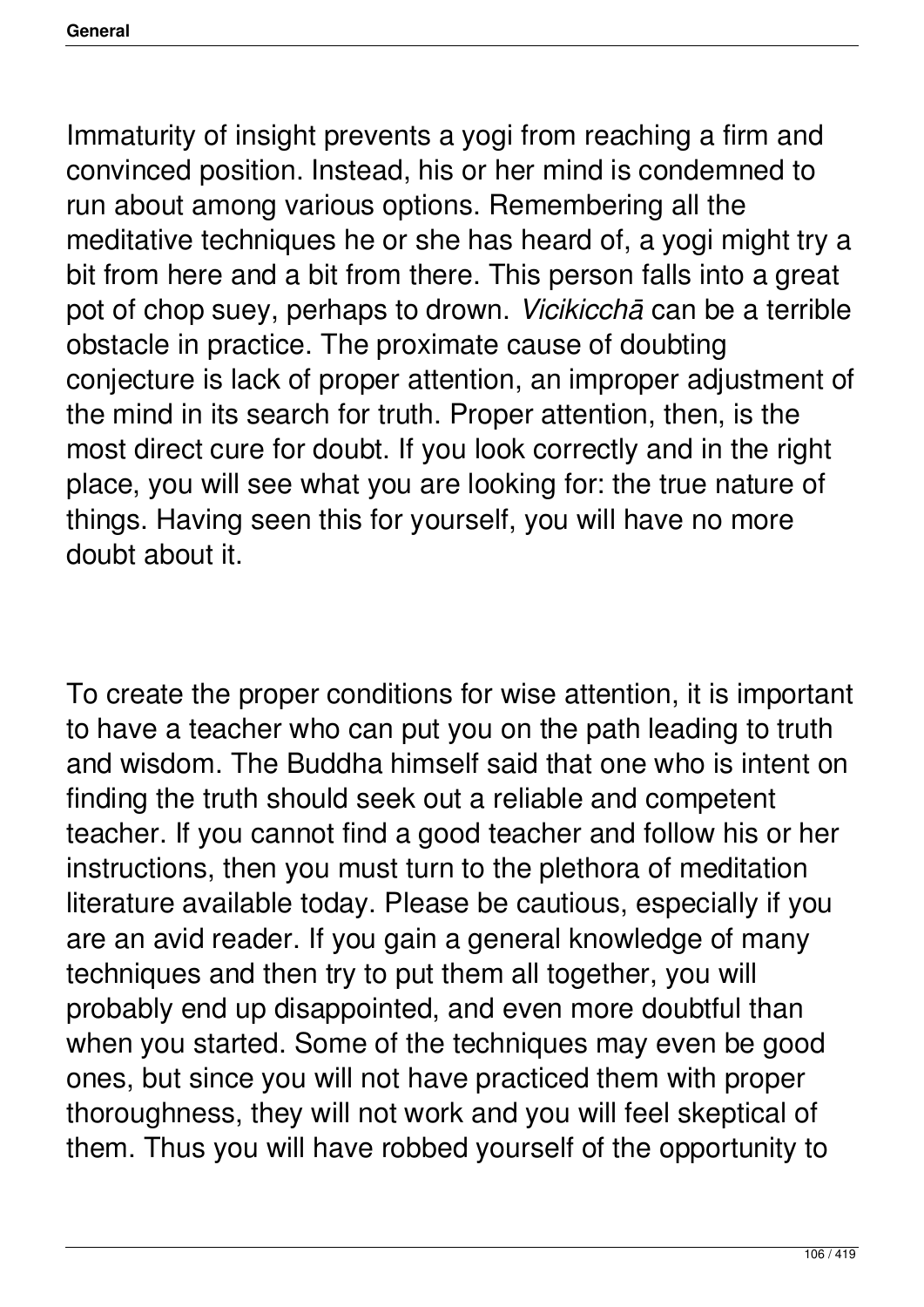Immaturity of insight prevents a yogi from reaching a firm and convinced position. Instead, his or her mind is condemned to run about among various options. Remembering all the meditative techniques he or she has heard of, a yogi might try a bit from here and a bit from there. This person falls into a great pot of chop suey, perhaps to drown. *Vicikicchā* can be a terrible obstacle in practice. The proximate cause of doubting conjecture is lack of proper attention, an improper adjustment of the mind in its search for truth. Proper attention, then, is the most direct cure for doubt. If you look correctly and in the right place, you will see what you are looking for: the true nature of things. Having seen this for yourself, you will have no more doubt about it.

To create the proper conditions for wise attention, it is important to have a teacher who can put you on the path leading to truth and wisdom. The Buddha himself said that one who is intent on finding the truth should seek out a reliable and competent teacher. If you cannot find a good teacher and follow his or her instructions, then you must turn to the plethora of meditation literature available today. Please be cautious, especially if you are an avid reader. If you gain a general knowledge of many techniques and then try to put them all together, you will probably end up disappointed, and even more doubtful than when you started. Some of the techniques may even be good ones, but since you will not have practiced them with proper thoroughness, they will not work and you will feel skeptical of them. Thus you will have robbed yourself of the opportunity to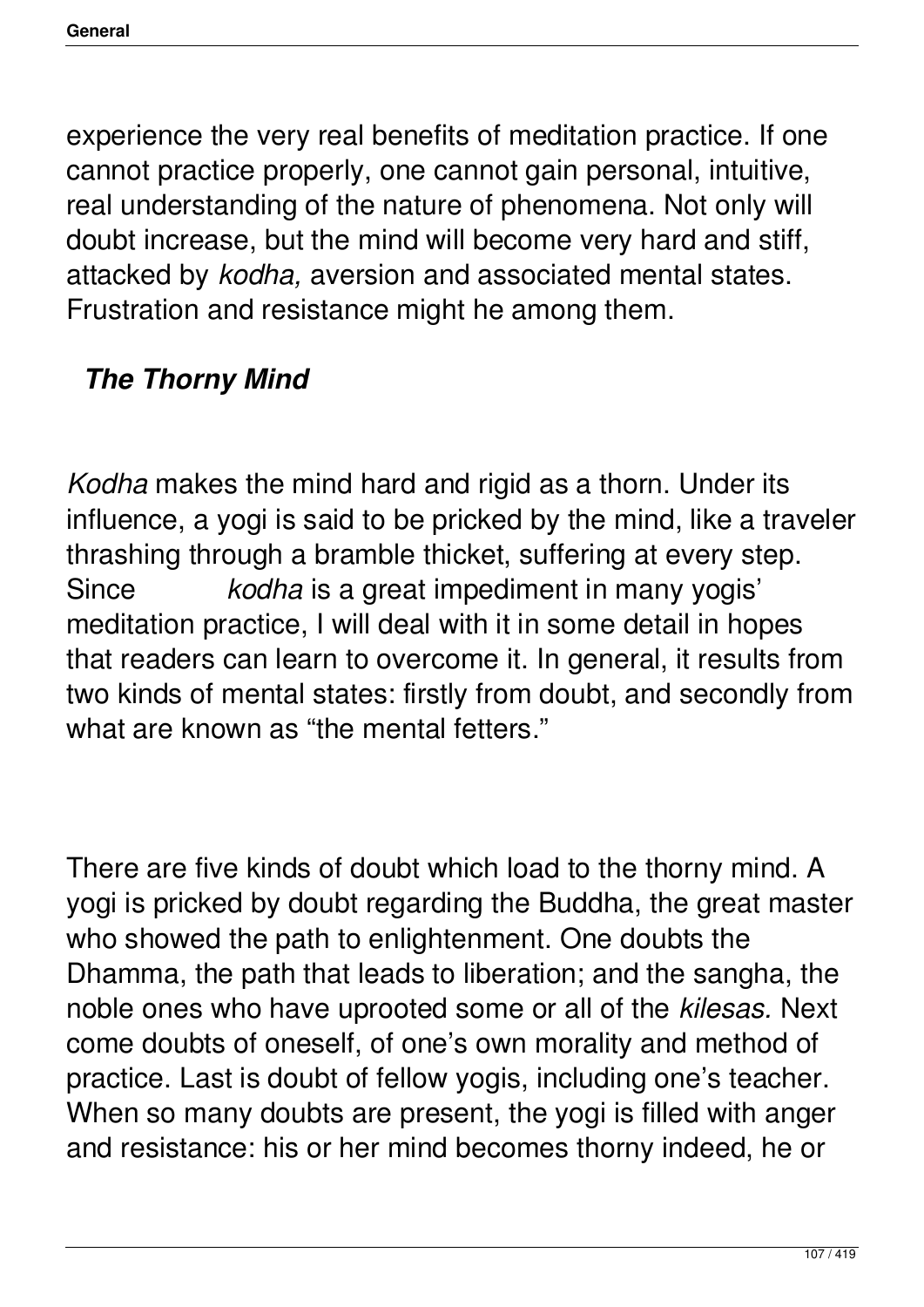experience the very real benefits of meditation practice. If one cannot practice properly, one cannot gain personal, intuitive, real understanding of the nature of phenomena. Not only will doubt increase, but the mind will become very hard and stiff, attacked by *kodha,* aversion and associated mental states. Frustration and resistance might he among them.

### *The Thorny Mind*

*Kodha* makes the mind hard and rigid as a thorn. Under its influence, a yogi is said to be pricked by the mind, like a traveler thrashing through a bramble thicket, suffering at every step. Since *kodha* is a great impediment in many yogis' meditation practice, I will deal with it in some detail in hopes that readers can learn to overcome it. In general, it results from two kinds of mental states: firstly from doubt, and secondly from what are known as "the mental fetters."

There are five kinds of doubt which load to the thorny mind. A yogi is pricked by doubt regarding the Buddha, the great master who showed the path to enlightenment. One doubts the Dhamma, the path that leads to liberation; and the sangha, the noble ones who have uprooted some or all of the *kilesas.* Next come doubts of oneself, of one's own morality and method of practice. Last is doubt of fellow yogis, including one's teacher. When so many doubts are present, the yogi is filled with anger and resistance: his or her mind becomes thorny indeed, he or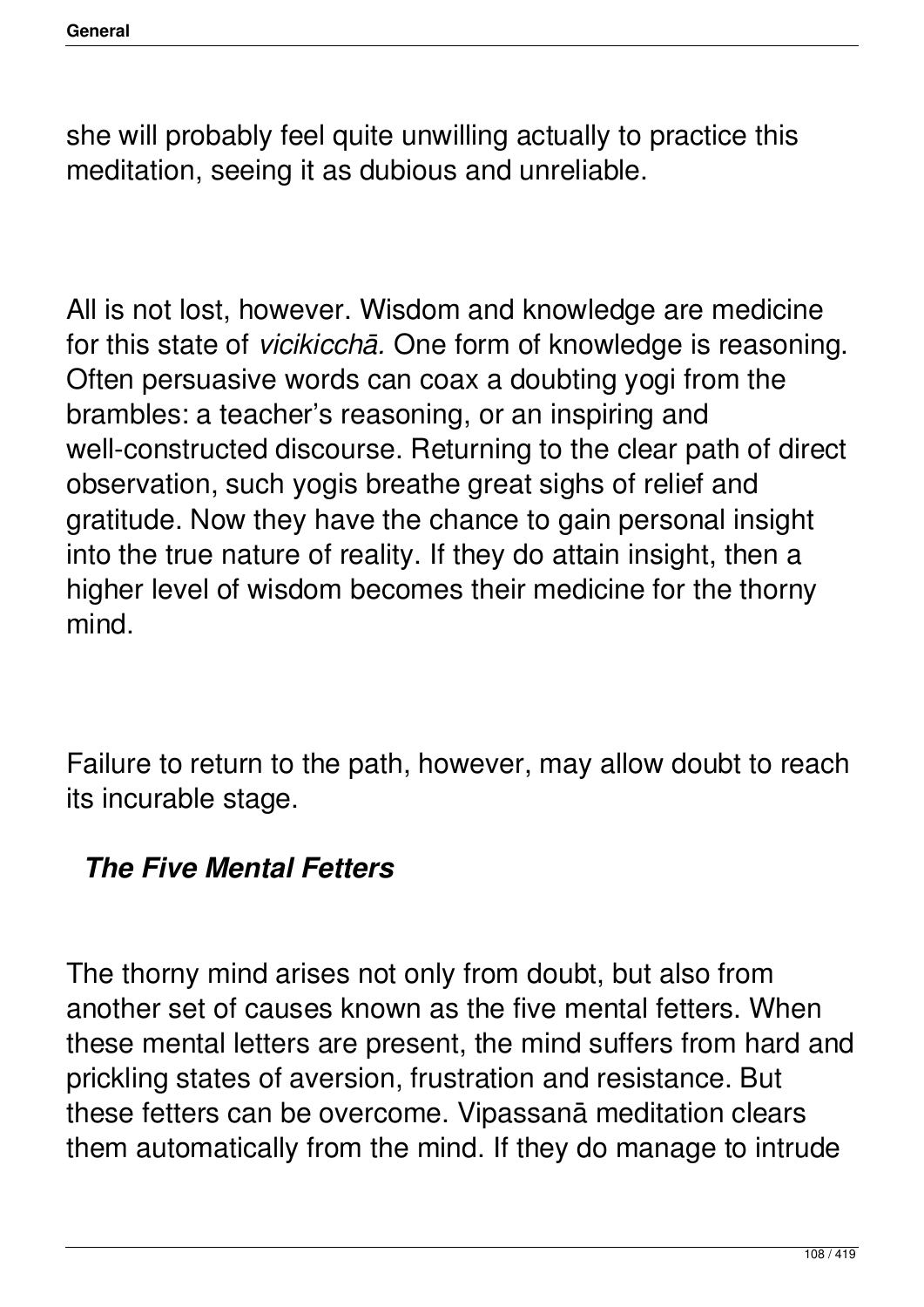she will probably feel quite unwilling actually to practice this meditation, seeing it as dubious and unreliable.

All is not lost, however. Wisdom and knowledge are medicine for this state of *vicikicchā.* One form of knowledge is reasoning. Often persuasive words can coax a doubting yogi from the brambles: a teacher's reasoning, or an inspiring and well-constructed discourse. Returning to the clear path of direct observation, such yogis breathe great sighs of relief and gratitude. Now they have the chance to gain personal insight into the true nature of reality. If they do attain insight, then a higher level of wisdom becomes their medicine for the thorny mind.

Failure to return to the path, however, may allow doubt to reach its incurable stage.

### *The Five Mental Fetters*

The thorny mind arises not only from doubt, but also from another set of causes known as the five mental fetters. When these mental letters are present, the mind suffers from hard and prickling states of aversion, frustration and resistance. But these fetters can be overcome. Vipassanā meditation clears them automatically from the mind. If they do manage to intrude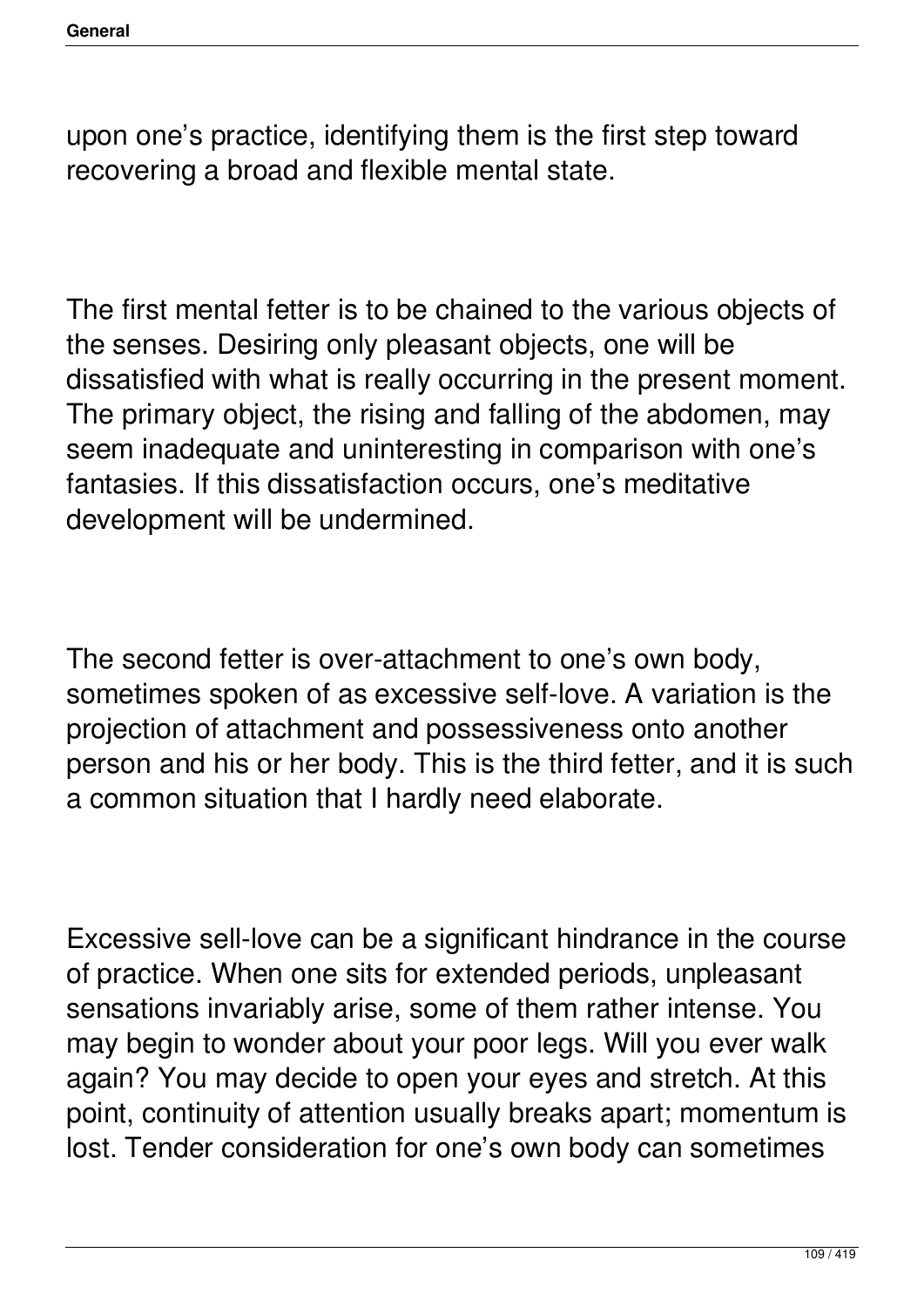upon one's practice, identifying them is the first step toward recovering a broad and flexible mental state.

The first mental fetter is to be chained to the various objects of the senses. Desiring only pleasant objects, one will be dissatisfied with what is really occurring in the present moment. The primary object, the rising and falling of the abdomen, may seem inadequate and uninteresting in comparison with one's fantasies. If this dissatisfaction occurs, one's meditative development will be undermined.

The second fetter is over-attachment to one's own body, sometimes spoken of as excessive self-love. A variation is the projection of attachment and possessiveness onto another person and his or her body. This is the third fetter, and it is such a common situation that I hardly need elaborate.

Excessive sell-love can be a significant hindrance in the course of practice. When one sits for extended periods, unpleasant sensations invariably arise, some of them rather intense. You may begin to wonder about your poor legs. Will you ever walk again? You may decide to open your eyes and stretch. At this point, continuity of attention usually breaks apart; momentum is lost. Tender consideration for one's own body can sometimes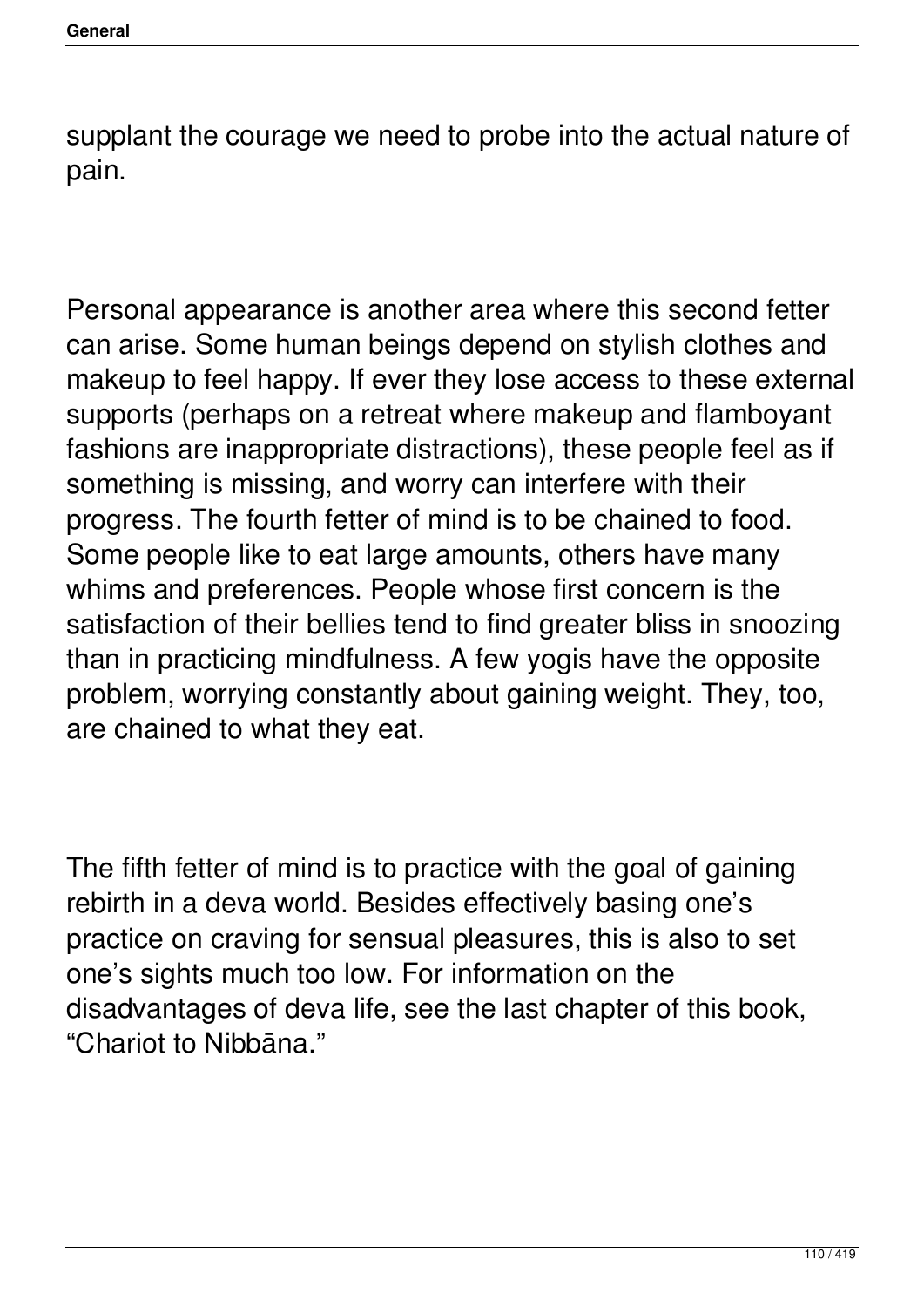supplant the courage we need to probe into the actual nature of pain.

Personal appearance is another area where this second fetter can arise. Some human beings depend on stylish clothes and makeup to feel happy. If ever they lose access to these external supports (perhaps on a retreat where makeup and flamboyant fashions are inappropriate distractions), these people feel as if something is missing, and worry can interfere with their progress. The fourth fetter of mind is to be chained to food. Some people like to eat large amounts, others have many whims and preferences. People whose first concern is the satisfaction of their bellies tend to find greater bliss in snoozing than in practicing mindfulness. A few yogis have the opposite problem, worrying constantly about gaining weight. They, too, are chained to what they eat.

The fifth fetter of mind is to practice with the goal of gaining rebirth in a deva world. Besides effectively basing one's practice on craving for sensual pleasures, this is also to set one's sights much too low. For information on the disadvantages of deva life, see the last chapter of this book, "Chariot to Nibbāna."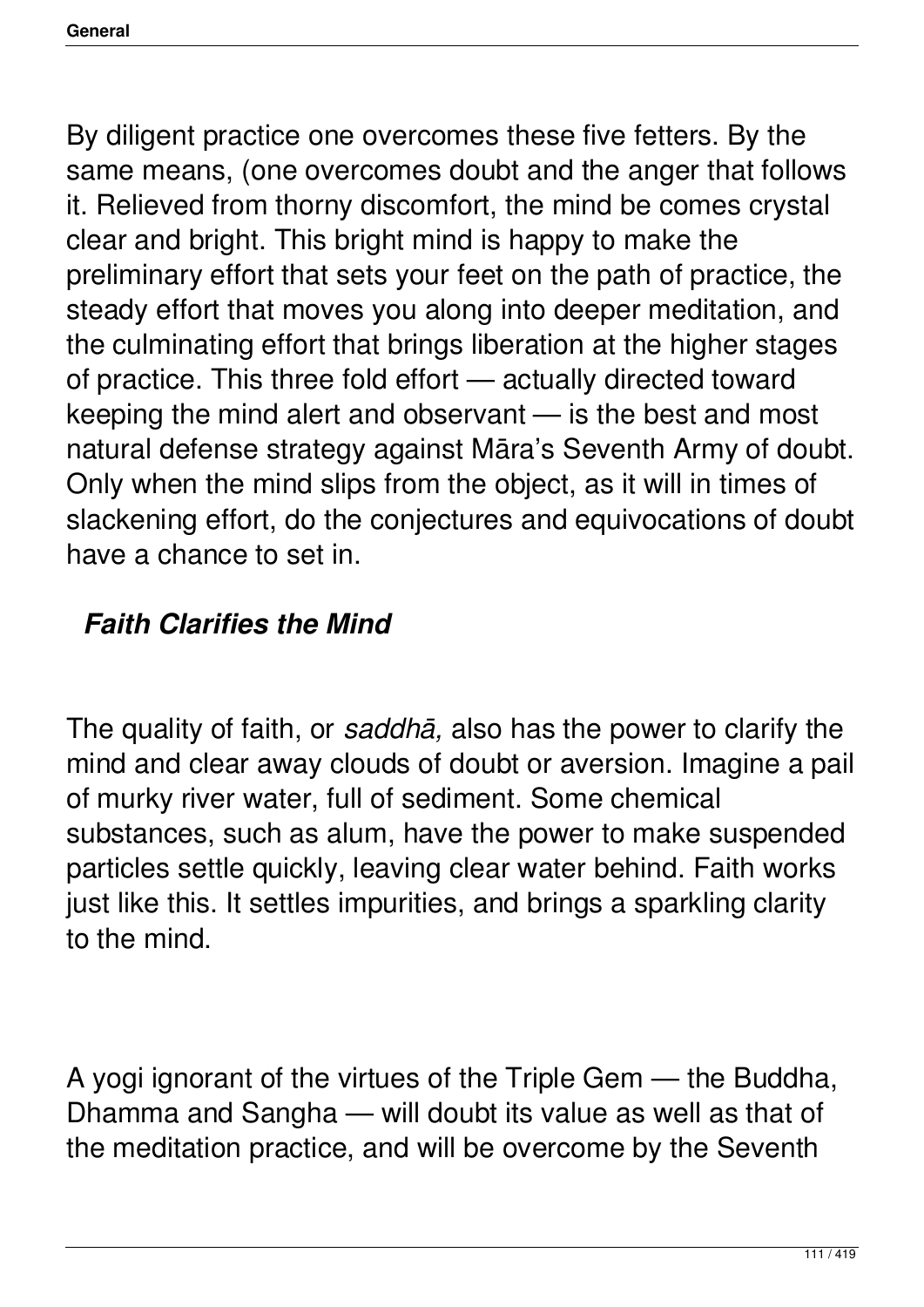By diligent practice one overcomes these five fetters. By the same means, (one overcomes doubt and the anger that follows it. Relieved from thorny discomfort, the mind be comes crystal clear and bright. This bright mind is happy to make the preliminary effort that sets your feet on the path of practice, the steady effort that moves you along into deeper meditation, and the culminating effort that brings liberation at the higher stages of practice. This three fold effort — actually directed toward keeping the mind alert and observant — is the best and most natural defense strategy against Māra's Seventh Army of doubt. Only when the mind slips from the object, as it will in times of slackening effort, do the conjectures and equivocations of doubt have a chance to set in.

### *Faith Clarifies the Mind*

The quality of faith, or *saddhā,* also has the power to clarify the mind and clear away clouds of doubt or aversion. Imagine a pail of murky river water, full of sediment. Some chemical substances, such as alum, have the power to make suspended particles settle quickly, leaving clear water behind. Faith works just like this. It settles impurities, and brings a sparkling clarity to the mind.

A yogi ignorant of the virtues of the Triple Gem — the Buddha, Dhamma and Sangha — will doubt its value as well as that of the meditation practice, and will be overcome by the Seventh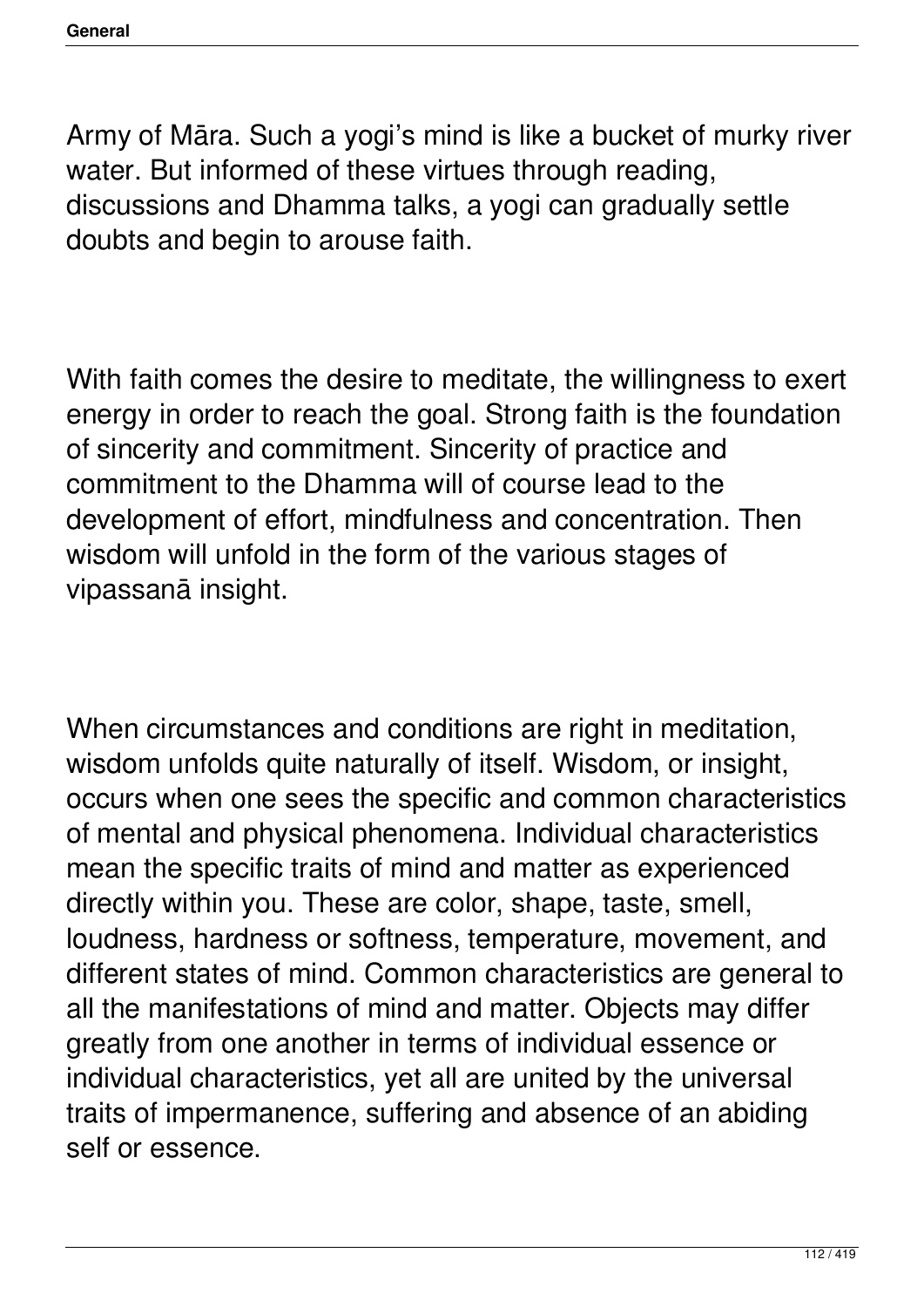Army of Māra. Such a yogi's mind is like a bucket of murky river water. But informed of these virtues through reading, discussions and Dhamma talks, a yogi can gradually settle doubts and begin to arouse faith.

With faith comes the desire to meditate, the willingness to exert energy in order to reach the goal. Strong faith is the foundation of sincerity and commitment. Sincerity of practice and commitment to the Dhamma will of course lead to the development of effort, mindfulness and concentration. Then wisdom will unfold in the form of the various stages of vipassanā insight.

When circumstances and conditions are right in meditation, wisdom unfolds quite naturally of itself. Wisdom, or insight, occurs when one sees the specific and common characteristics of mental and physical phenomena. Individual characteristics mean the specific traits of mind and matter as experienced directly within you. These are color, shape, taste, smell, loudness, hardness or softness, temperature, movement, and different states of mind. Common characteristics are general to all the manifestations of mind and matter. Objects may differ greatly from one another in terms of individual essence or individual characteristics, yet all are united by the universal traits of impermanence, suffering and absence of an abiding self or essence.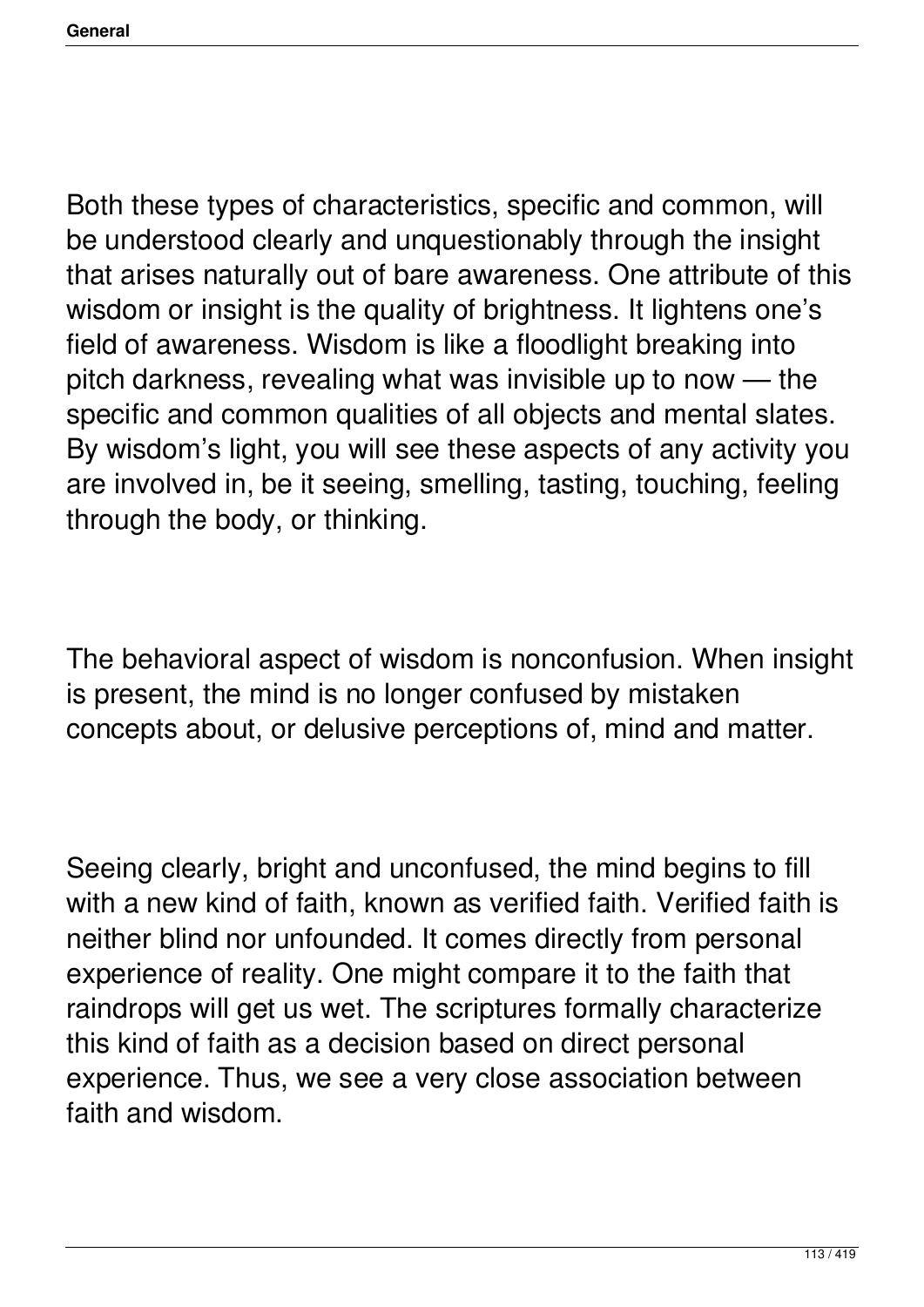Both these types of characteristics, specific and common, will be understood clearly and unquestionably through the insight that arises naturally out of bare awareness. One attribute of this wisdom or insight is the quality of brightness. It lightens one's field of awareness. Wisdom is like a floodlight breaking into pitch darkness, revealing what was invisible up to now — the specific and common qualities of all objects and mental slates. By wisdom's light, you will see these aspects of any activity you are involved in, be it seeing, smelling, tasting, touching, feeling through the body, or thinking.

The behavioral aspect of wisdom is nonconfusion. When insight is present, the mind is no longer confused by mistaken concepts about, or delusive perceptions of, mind and matter.

Seeing clearly, bright and unconfused, the mind begins to fill with a new kind of faith, known as verified faith. Verified faith is neither blind nor unfounded. It comes directly from personal experience of reality. One might compare it to the faith that raindrops will get us wet. The scriptures formally characterize this kind of faith as a decision based on direct personal experience. Thus, we see a very close association between faith and wisdom.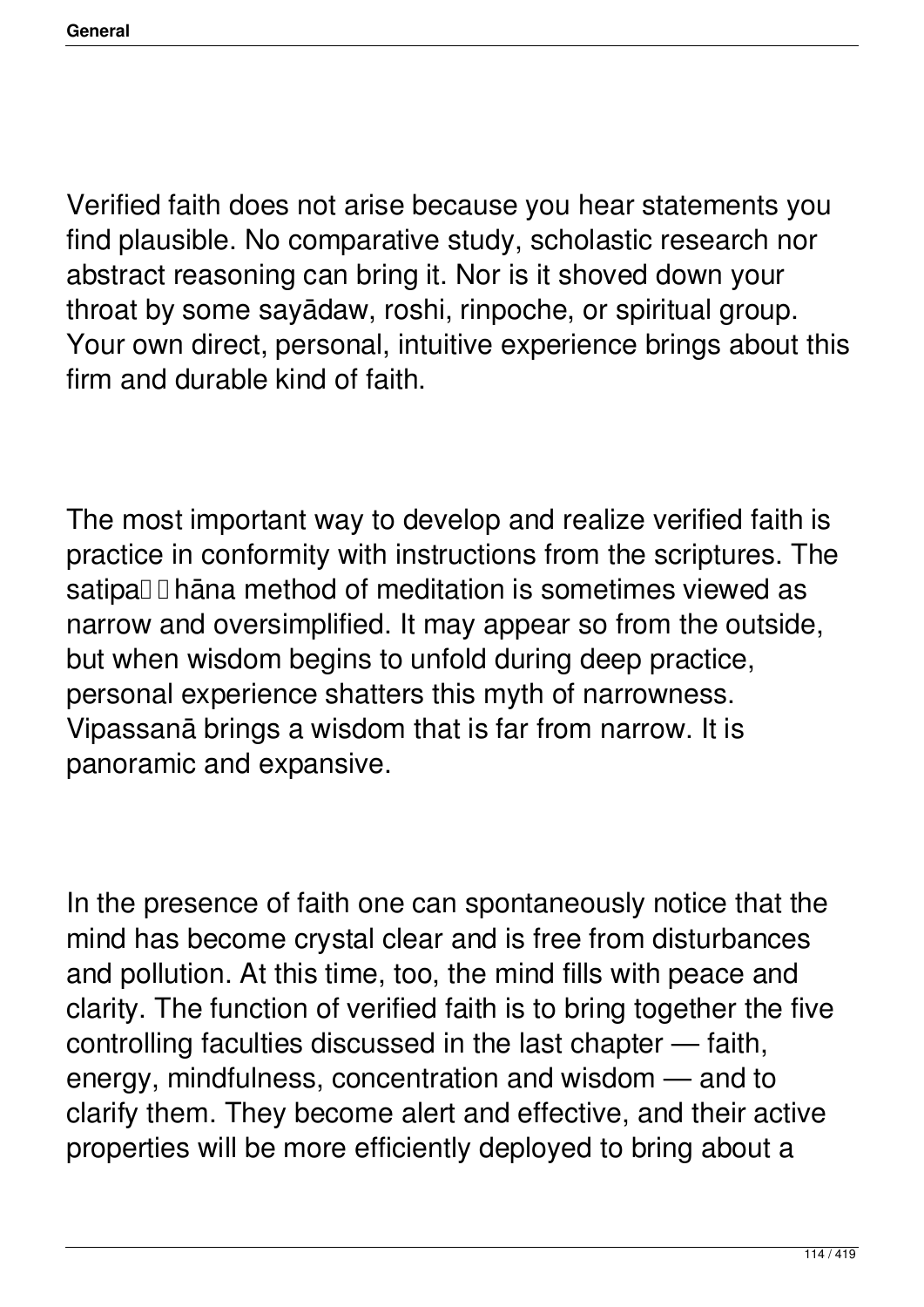Verified faith does not arise because you hear statements you find plausible. No comparative study, scholastic research nor abstract reasoning can bring it. Nor is it shoved down your throat by some sayādaw, roshi, rinpoche, or spiritual group. Your own direct, personal, intuitive experience brings about this firm and durable kind of faith.

The most important way to develop and realize verified faith is practice in conformity with instructions from the scriptures. The satipall hāna method of meditation is sometimes viewed as narrow and oversimplified. It may appear so from the outside, but when wisdom begins to unfold during deep practice, personal experience shatters this myth of narrowness. Vipassanā brings a wisdom that is far from narrow. It is panoramic and expansive.

In the presence of faith one can spontaneously notice that the mind has become crystal clear and is free from disturbances and pollution. At this time, too, the mind fills with peace and clarity. The function of verified faith is to bring together the five controlling faculties discussed in the last chapter — faith, energy, mindfulness, concentration and wisdom — and to clarify them. They become alert and effective, and their active properties will be more efficiently deployed to bring about a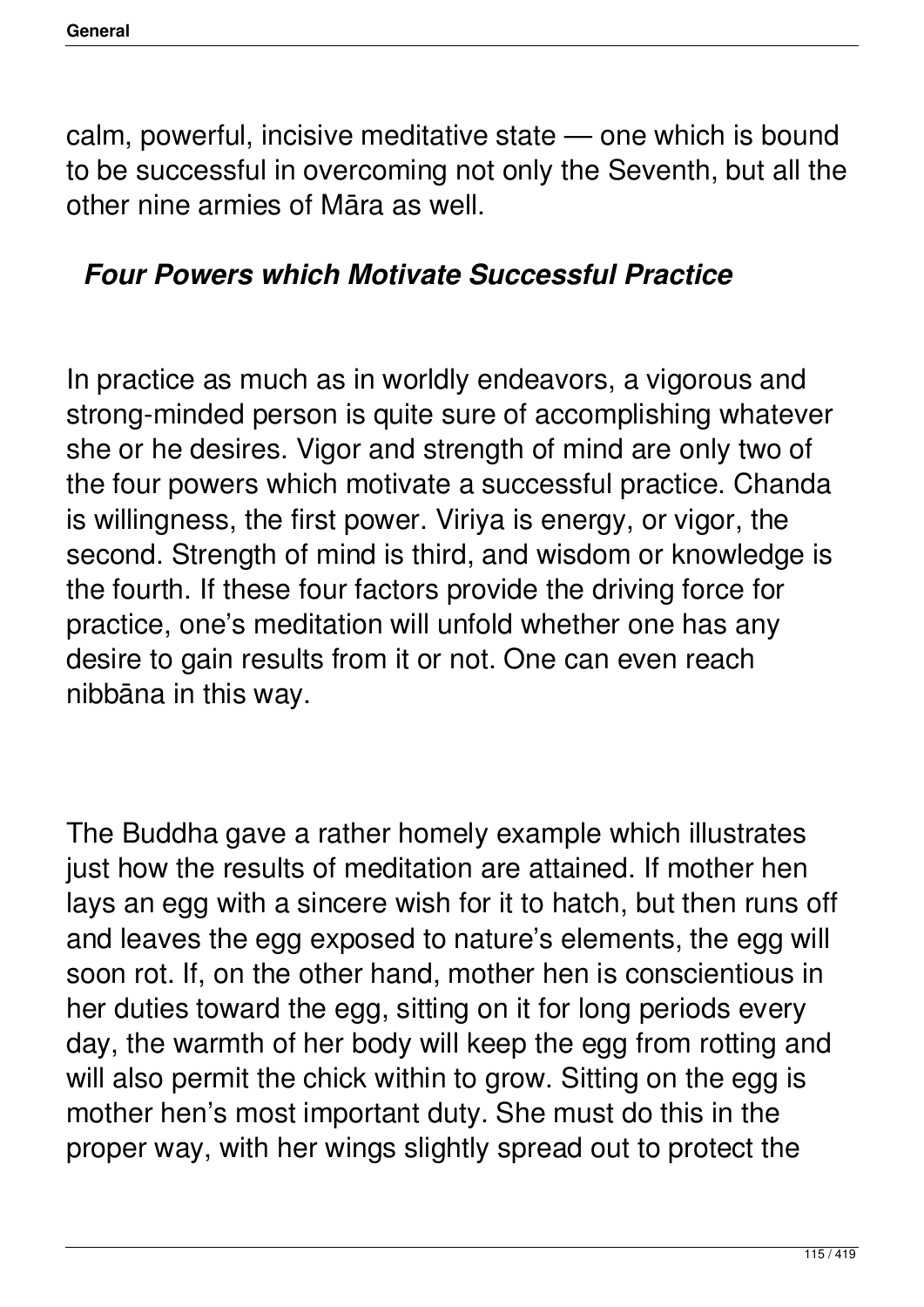calm, powerful, incisive meditative state — one which is bound to be successful in overcoming not only the Seventh, but all the other nine armies of Māra as well.

#### *Four Powers which Motivate Successful Practice*

In practice as much as in worldly endeavors, a vigorous and strong-minded person is quite sure of accomplishing whatever she or he desires. Vigor and strength of mind are only two of the four powers which motivate a successful practice. Chanda is willingness, the first power. Viriya is energy, or vigor, the second. Strength of mind is third, and wisdom or knowledge is the fourth. If these four factors provide the driving force for practice, one's meditation will unfold whether one has any desire to gain results from it or not. One can even reach nibbāna in this way.

The Buddha gave a rather homely example which illustrates just how the results of meditation are attained. If mother hen lays an egg with a sincere wish for it to hatch, but then runs off and leaves the egg exposed to nature's elements, the egg will soon rot. If, on the other hand, mother hen is conscientious in her duties toward the egg, sitting on it for long periods every day, the warmth of her body will keep the egg from rotting and will also permit the chick within to grow. Sitting on the egg is mother hen's most important duty. She must do this in the proper way, with her wings slightly spread out to protect the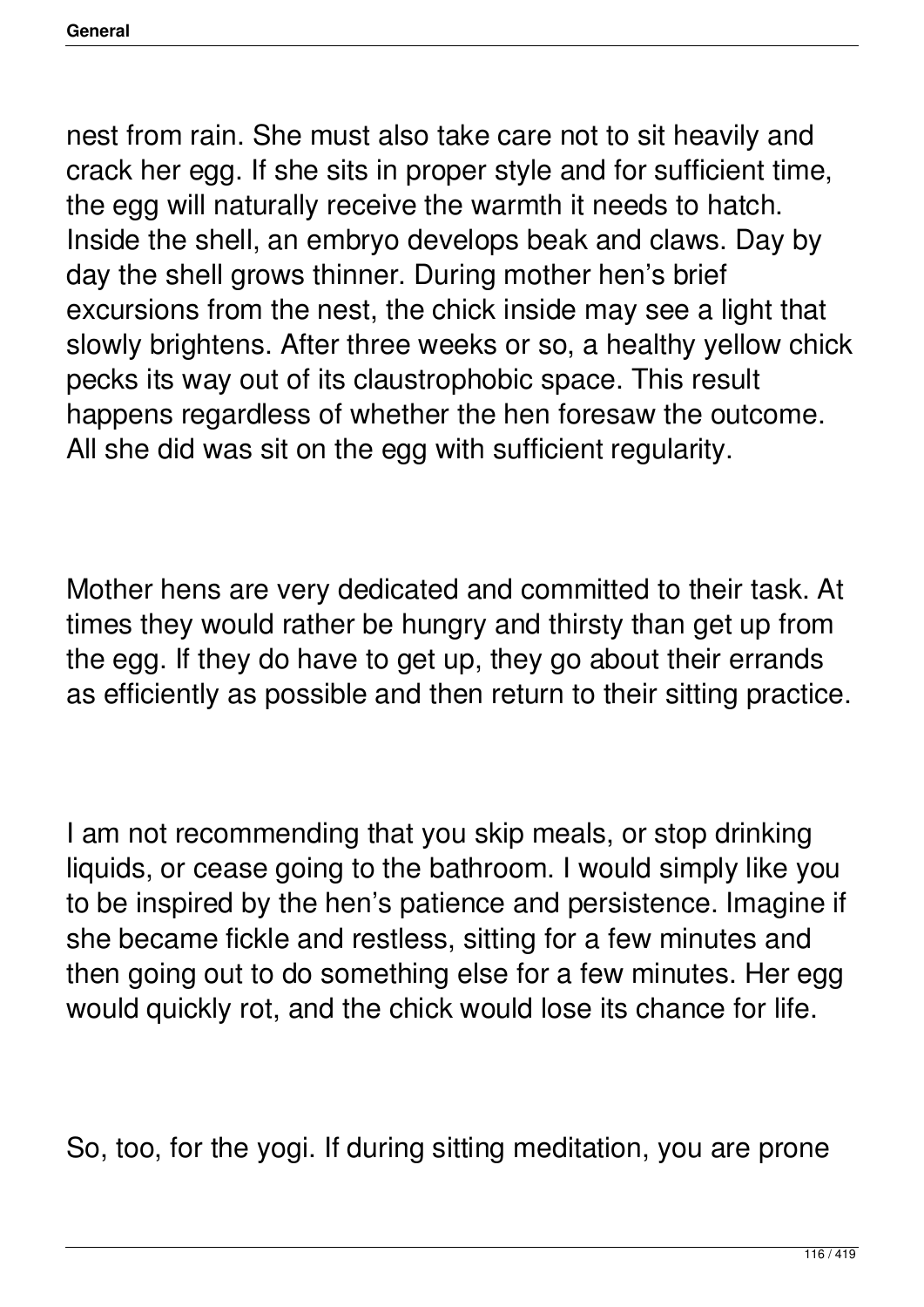nest from rain. She must also take care not to sit heavily and crack her egg. If she sits in proper style and for sufficient time, the egg will naturally receive the warmth it needs to hatch. Inside the shell, an embryo develops beak and claws. Day by day the shell grows thinner. During mother hen's brief excursions from the nest, the chick inside may see a light that slowly brightens. After three weeks or so, a healthy yellow chick pecks its way out of its claustrophobic space. This result happens regardless of whether the hen foresaw the outcome. All she did was sit on the egg with sufficient regularity.

Mother hens are very dedicated and committed to their task. At times they would rather be hungry and thirsty than get up from the egg. If they do have to get up, they go about their errands as efficiently as possible and then return to their sitting practice.

I am not recommending that you skip meals, or stop drinking liquids, or cease going to the bathroom. I would simply like you to be inspired by the hen's patience and persistence. Imagine if she became fickle and restless, sitting for a few minutes and then going out to do something else for a few minutes. Her egg would quickly rot, and the chick would lose its chance for life.

So, too, for the yogi. If during sitting meditation, you are prone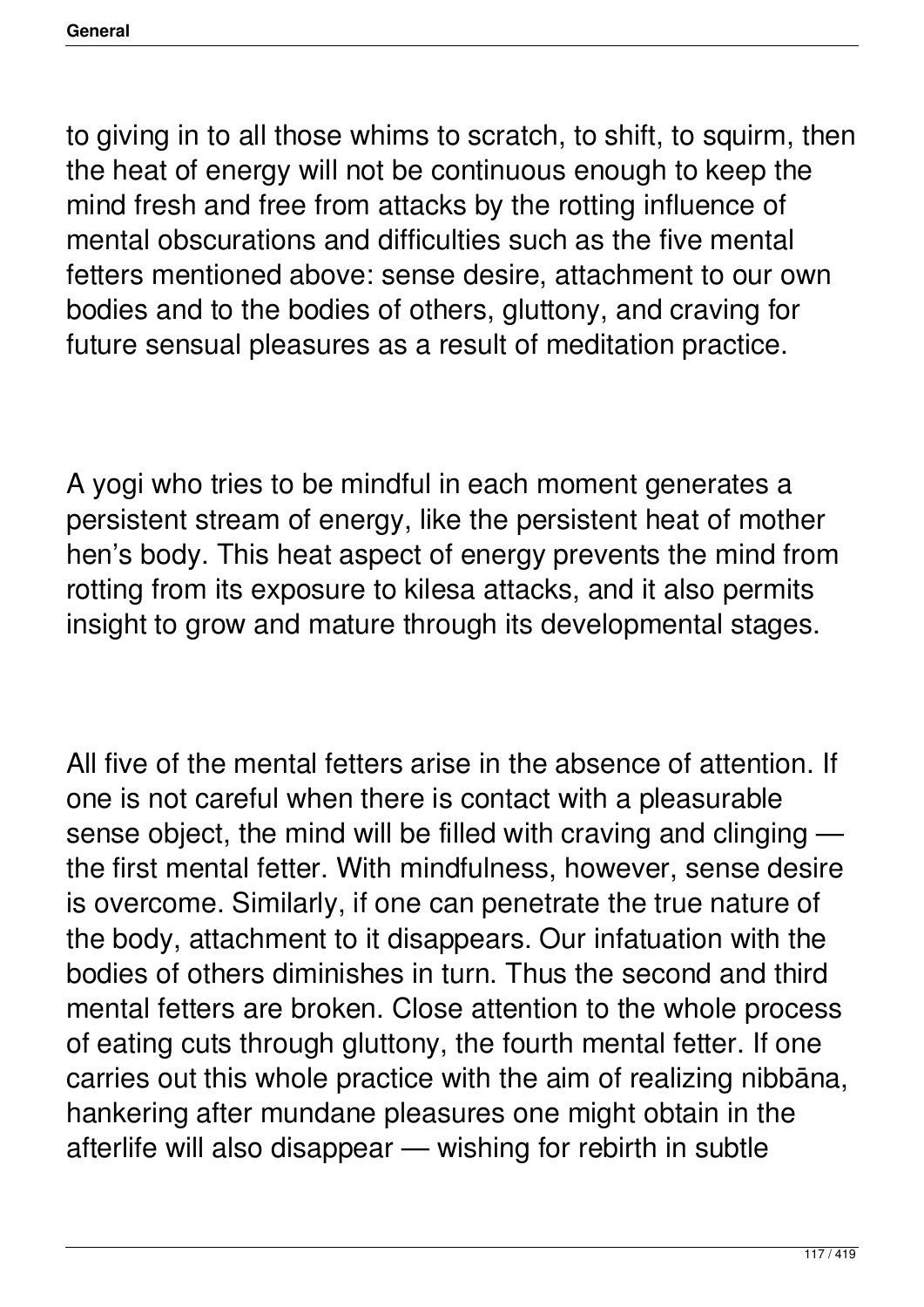to giving in to all those whims to scratch, to shift, to squirm, then the heat of energy will not be continuous enough to keep the mind fresh and free from attacks by the rotting influence of mental obscurations and difficulties such as the five mental fetters mentioned above: sense desire, attachment to our own bodies and to the bodies of others, gluttony, and craving for future sensual pleasures as a result of meditation practice.

A yogi who tries to be mindful in each moment generates a persistent stream of energy, like the persistent heat of mother hen's body. This heat aspect of energy prevents the mind from rotting from its exposure to kilesa attacks, and it also permits insight to grow and mature through its developmental stages.

All five of the mental fetters arise in the absence of attention. If one is not careful when there is contact with a pleasurable sense object, the mind will be filled with craving and clinging the first mental fetter. With mindfulness, however, sense desire is overcome. Similarly, if one can penetrate the true nature of the body, attachment to it disappears. Our infatuation with the bodies of others diminishes in turn. Thus the second and third mental fetters are broken. Close attention to the whole process of eating cuts through gluttony, the fourth mental fetter. If one carries out this whole practice with the aim of realizing nibbāna, hankering after mundane pleasures one might obtain in the afterlife will also disappear — wishing for rebirth in subtle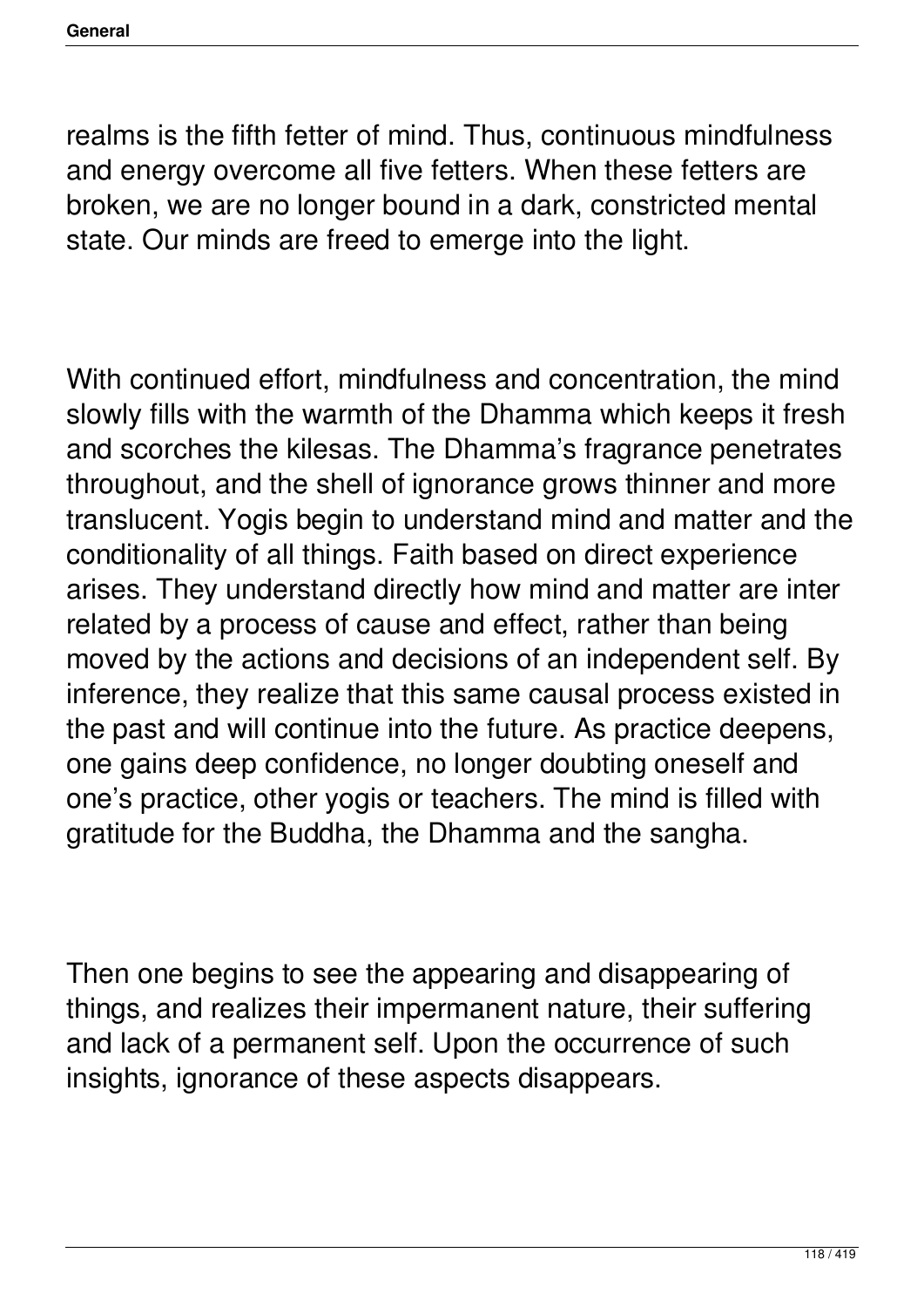realms is the fifth fetter of mind. Thus, continuous mindfulness and energy overcome all five fetters. When these fetters are broken, we are no longer bound in a dark, constricted mental state. Our minds are freed to emerge into the light.

With continued effort, mindfulness and concentration, the mind slowly fills with the warmth of the Dhamma which keeps it fresh and scorches the kilesas. The Dhamma's fragrance penetrates throughout, and the shell of ignorance grows thinner and more translucent. Yogis begin to understand mind and matter and the conditionality of all things. Faith based on direct experience arises. They understand directly how mind and matter are inter related by a process of cause and effect, rather than being moved by the actions and decisions of an independent self. By inference, they realize that this same causal process existed in the past and will continue into the future. As practice deepens, one gains deep confidence, no longer doubting oneself and one's practice, other yogis or teachers. The mind is filled with gratitude for the Buddha, the Dhamma and the sangha.

Then one begins to see the appearing and disappearing of things, and realizes their impermanent nature, their suffering and lack of a permanent self. Upon the occurrence of such insights, ignorance of these aspects disappears.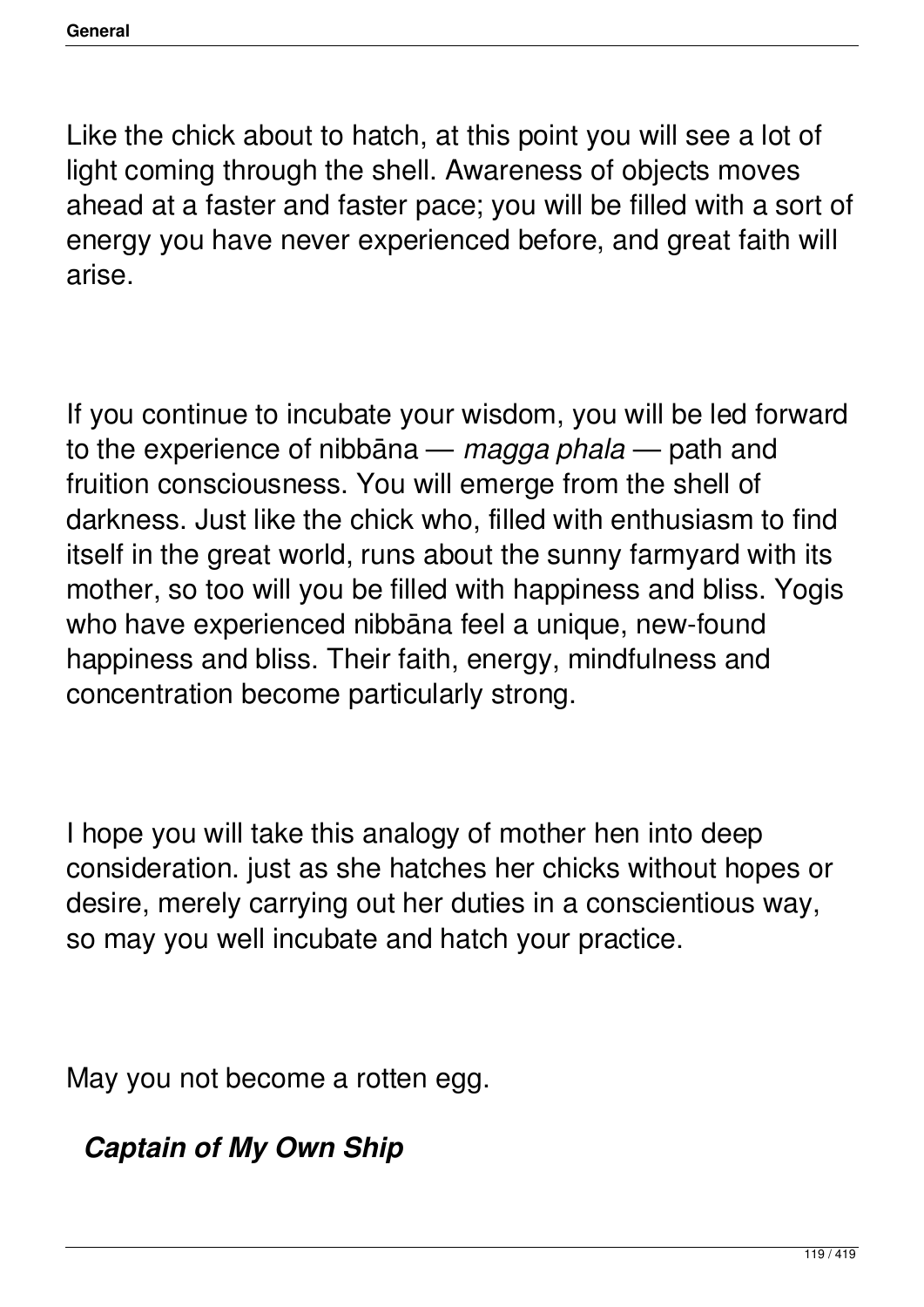Like the chick about to hatch, at this point you will see a lot of light coming through the shell. Awareness of objects moves ahead at a faster and faster pace; you will be filled with a sort of energy you have never experienced before, and great faith will arise.

If you continue to incubate your wisdom, you will be led forward to the experience of nibbāna — *magga phala* — path and fruition consciousness. You will emerge from the shell of darkness. Just like the chick who, filled with enthusiasm to find itself in the great world, runs about the sunny farmyard with its mother, so too will you be filled with happiness and bliss. Yogis who have experienced nibbāna feel a unique, new-found happiness and bliss. Their faith, energy, mindfulness and concentration become particularly strong.

I hope you will take this analogy of mother hen into deep consideration. just as she hatches her chicks without hopes or desire, merely carrying out her duties in a conscientious way, so may you well incubate and hatch your practice.

May you not become a rotten egg.

### *Captain of My Own Ship*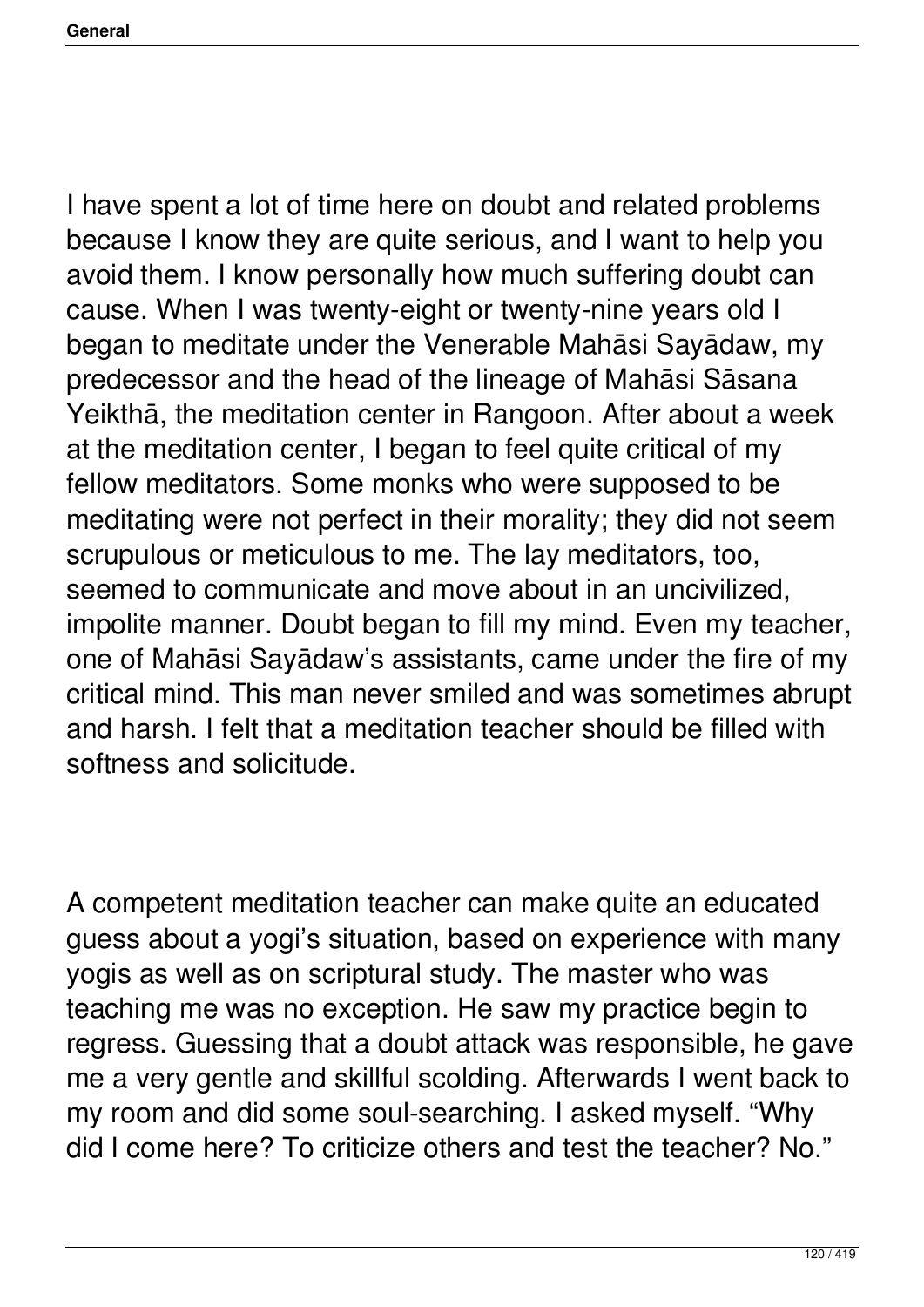I have spent a lot of time here on doubt and related problems because I know they are quite serious, and I want to help you avoid them. I know personally how much suffering doubt can cause. When I was twenty-eight or twenty-nine years old I began to meditate under the Venerable Mahāsi Sayādaw, my predecessor and the head of the lineage of Mahāsi Sāsana Yeikthā, the meditation center in Rangoon. After about a week at the meditation center, I began to feel quite critical of my fellow meditators. Some monks who were supposed to be meditating were not perfect in their morality; they did not seem scrupulous or meticulous to me. The lay meditators, too, seemed to communicate and move about in an uncivilized, impolite manner. Doubt began to fill my mind. Even my teacher, one of Mahāsi Sayādaw's assistants, came under the fire of my critical mind. This man never smiled and was sometimes abrupt and harsh. I felt that a meditation teacher should be filled with softness and solicitude.

A competent meditation teacher can make quite an educated guess about a yogi's situation, based on experience with many yogis as well as on scriptural study. The master who was teaching me was no exception. He saw my practice begin to regress. Guessing that a doubt attack was responsible, he gave me a very gentle and skillful scolding. Afterwards I went back to my room and did some soul-searching. I asked myself. "Why did I come here? To criticize others and test the teacher? No."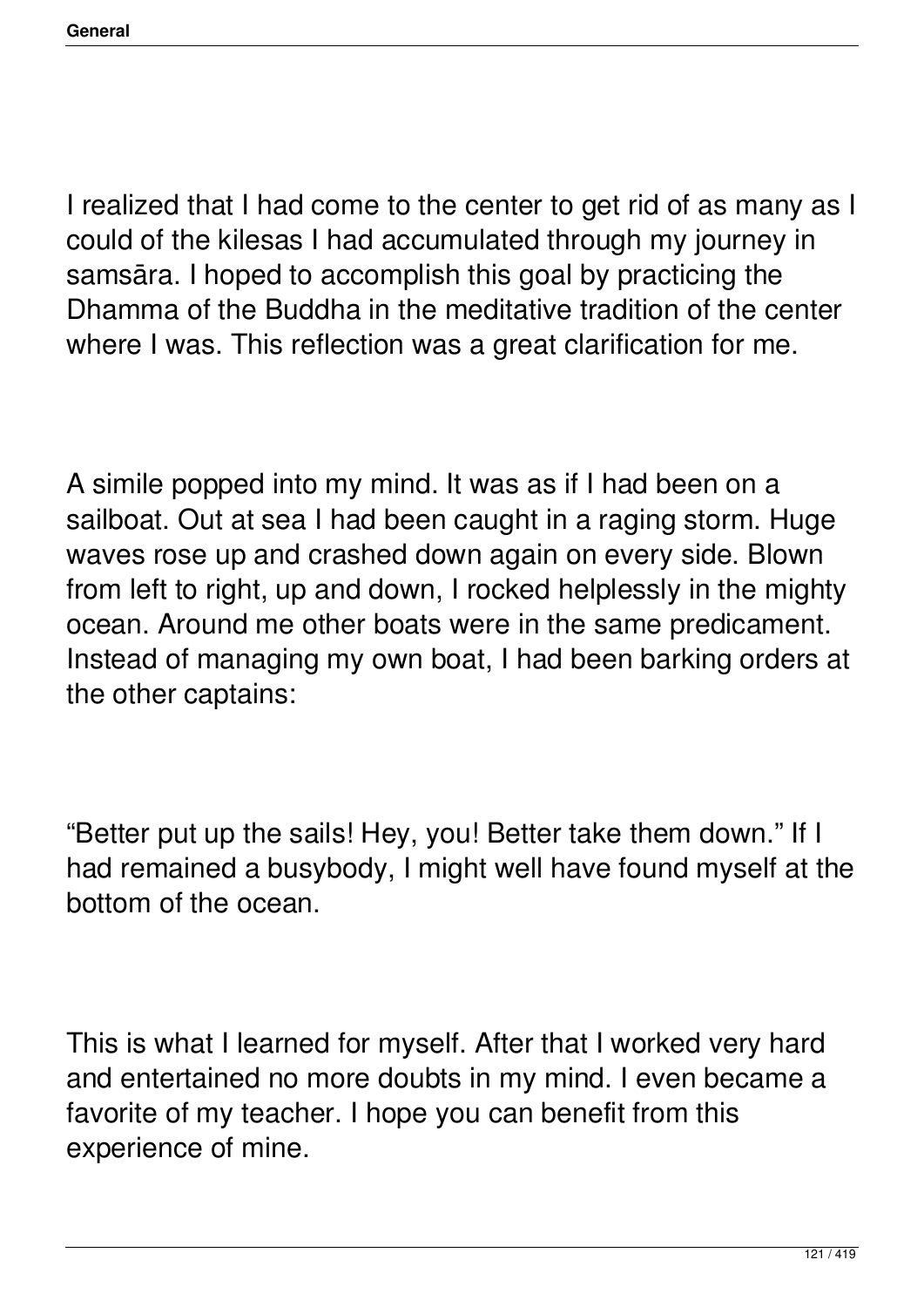I realized that I had come to the center to get rid of as many as I could of the kilesas I had accumulated through my journey in samsāra. I hoped to accomplish this goal by practicing the Dhamma of the Buddha in the meditative tradition of the center where I was. This reflection was a great clarification for me.

A simile popped into my mind. It was as if I had been on a sailboat. Out at sea I had been caught in a raging storm. Huge waves rose up and crashed down again on every side. Blown from left to right, up and down, I rocked helplessly in the mighty ocean. Around me other boats were in the same predicament. Instead of managing my own boat, I had been barking orders at the other captains:

"Better put up the sails! Hey, you! Better take them down." If I had remained a busybody, I might well have found myself at the bottom of the ocean.

This is what I learned for myself. After that I worked very hard and entertained no more doubts in my mind. I even became a favorite of my teacher. I hope you can benefit from this experience of mine.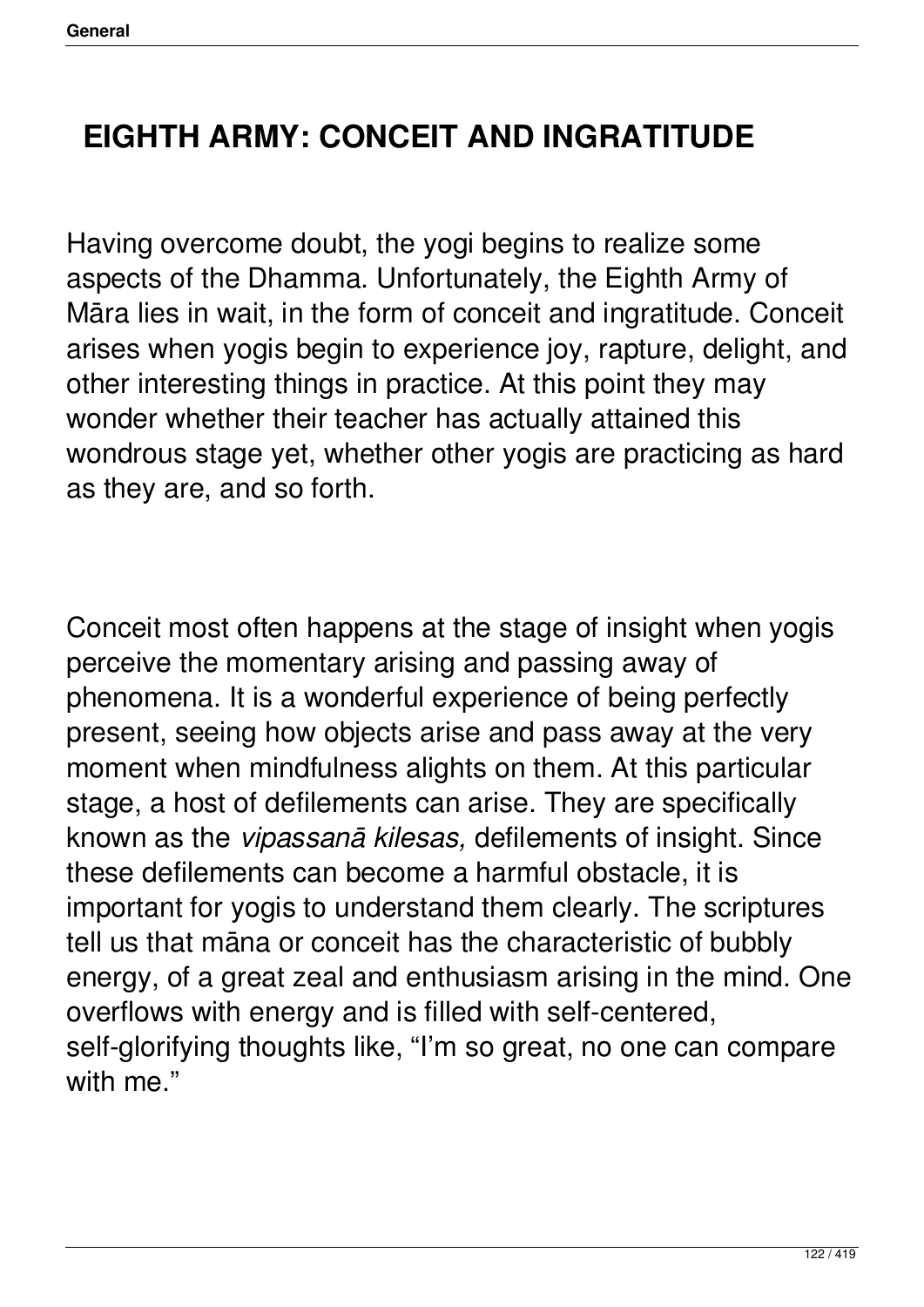# **EIGHTH ARMY: CONCEIT AND INGRATITUDE**

Having overcome doubt, the yogi begins to realize some aspects of the Dhamma. Unfortunately, the Eighth Army of Māra lies in wait, in the form of conceit and ingratitude. Conceit arises when yogis begin to experience joy, rapture, delight, and other interesting things in practice. At this point they may wonder whether their teacher has actually attained this wondrous stage yet, whether other yogis are practicing as hard as they are, and so forth.

Conceit most often happens at the stage of insight when yogis perceive the momentary arising and passing away of phenomena. It is a wonderful experience of being perfectly present, seeing how objects arise and pass away at the very moment when mindfulness alights on them. At this particular stage, a host of defilements can arise. They are specifically known as the *vipassanā kilesas,* defilements of insight. Since these defilements can become a harmful obstacle, it is important for yogis to understand them clearly. The scriptures tell us that māna or conceit has the characteristic of bubbly energy, of a great zeal and enthusiasm arising in the mind. One overflows with energy and is filled with self-centered, self-glorifying thoughts like, "I'm so great, no one can compare with me."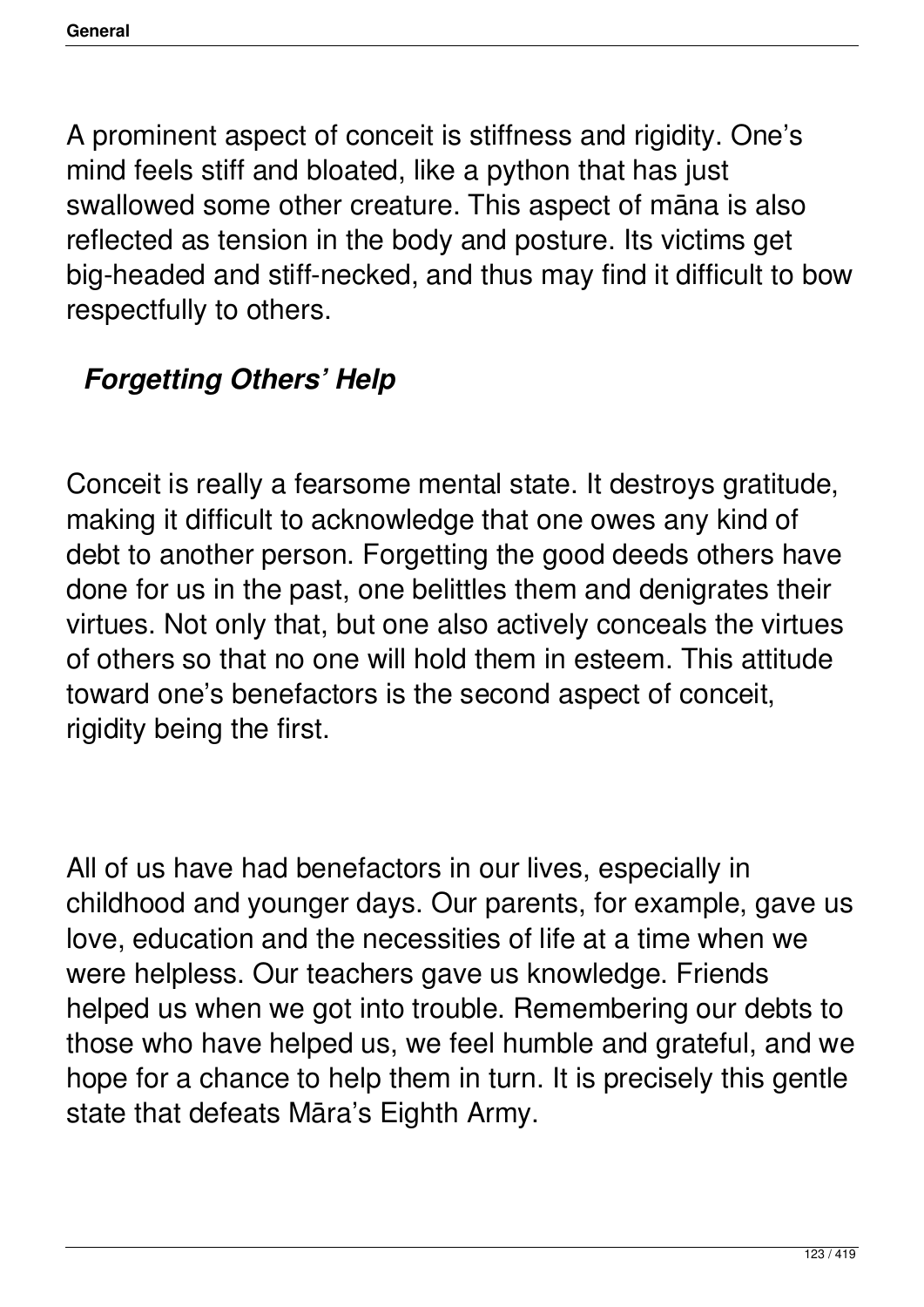A prominent aspect of conceit is stiffness and rigidity. One's mind feels stiff and bloated, like a python that has just swallowed some other creature. This aspect of māna is also reflected as tension in the body and posture. Its victims get big-headed and stiff-necked, and thus may find it difficult to bow respectfully to others.

### *Forgetting Others' Help*

Conceit is really a fearsome mental state. It destroys gratitude, making it difficult to acknowledge that one owes any kind of debt to another person. Forgetting the good deeds others have done for us in the past, one belittles them and denigrates their virtues. Not only that, but one also actively conceals the virtues of others so that no one will hold them in esteem. This attitude toward one's benefactors is the second aspect of conceit, rigidity being the first.

All of us have had benefactors in our lives, especially in childhood and younger days. Our parents, for example, gave us love, education and the necessities of life at a time when we were helpless. Our teachers gave us knowledge. Friends helped us when we got into trouble. Remembering our debts to those who have helped us, we feel humble and grateful, and we hope for a chance to help them in turn. It is precisely this gentle state that defeats Māra's Eighth Army.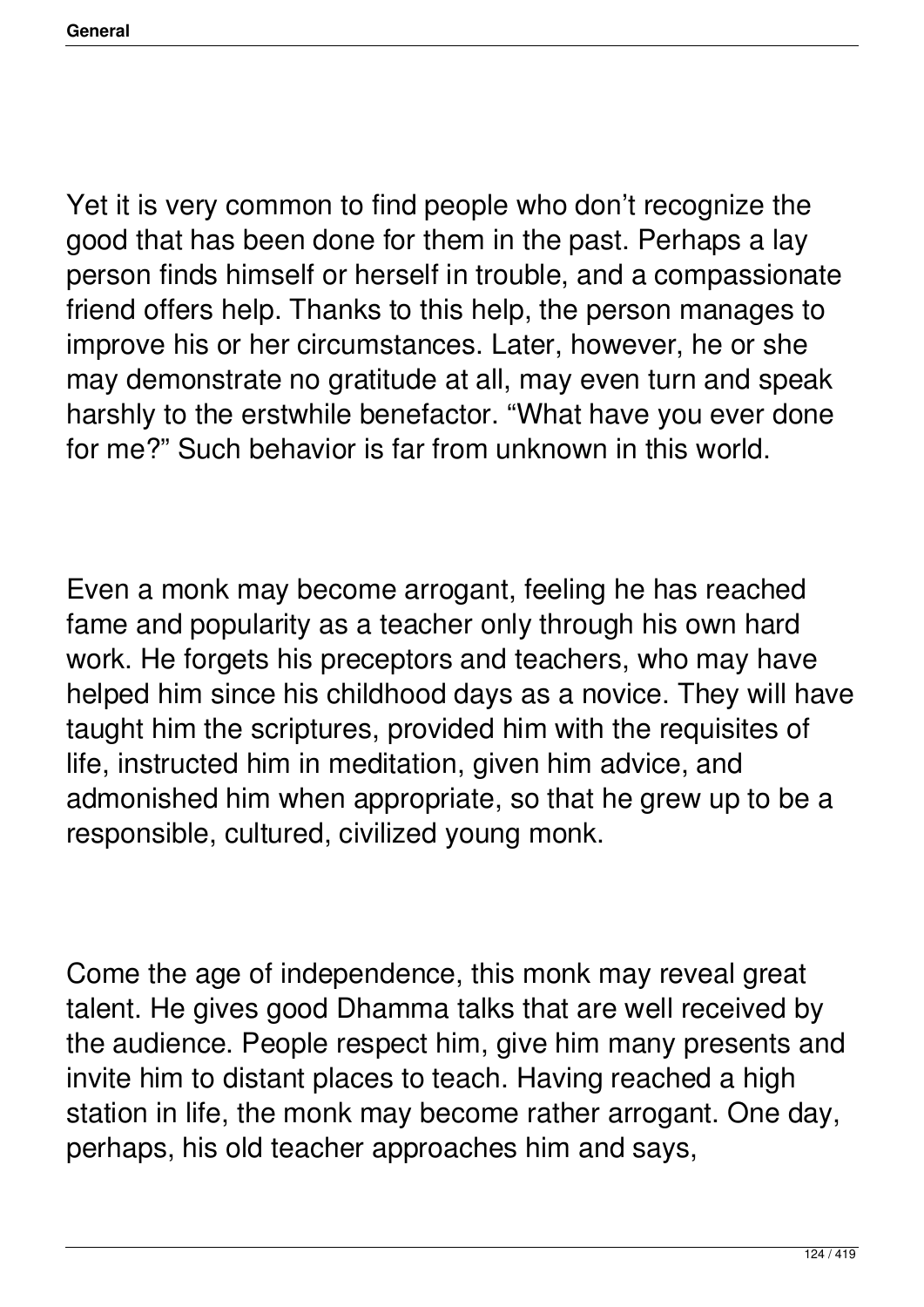Yet it is very common to find people who don't recognize the good that has been done for them in the past. Perhaps a lay person finds himself or herself in trouble, and a compassionate friend offers help. Thanks to this help, the person manages to improve his or her circumstances. Later, however, he or she may demonstrate no gratitude at all, may even turn and speak harshly to the erstwhile benefactor. "What have you ever done for me?" Such behavior is far from unknown in this world.

Even a monk may become arrogant, feeling he has reached fame and popularity as a teacher only through his own hard work. He forgets his preceptors and teachers, who may have helped him since his childhood days as a novice. They will have taught him the scriptures, provided him with the requisites of life, instructed him in meditation, given him advice, and admonished him when appropriate, so that he grew up to be a responsible, cultured, civilized young monk.

Come the age of independence, this monk may reveal great talent. He gives good Dhamma talks that are well received by the audience. People respect him, give him many presents and invite him to distant places to teach. Having reached a high station in life, the monk may become rather arrogant. One day, perhaps, his old teacher approaches him and says,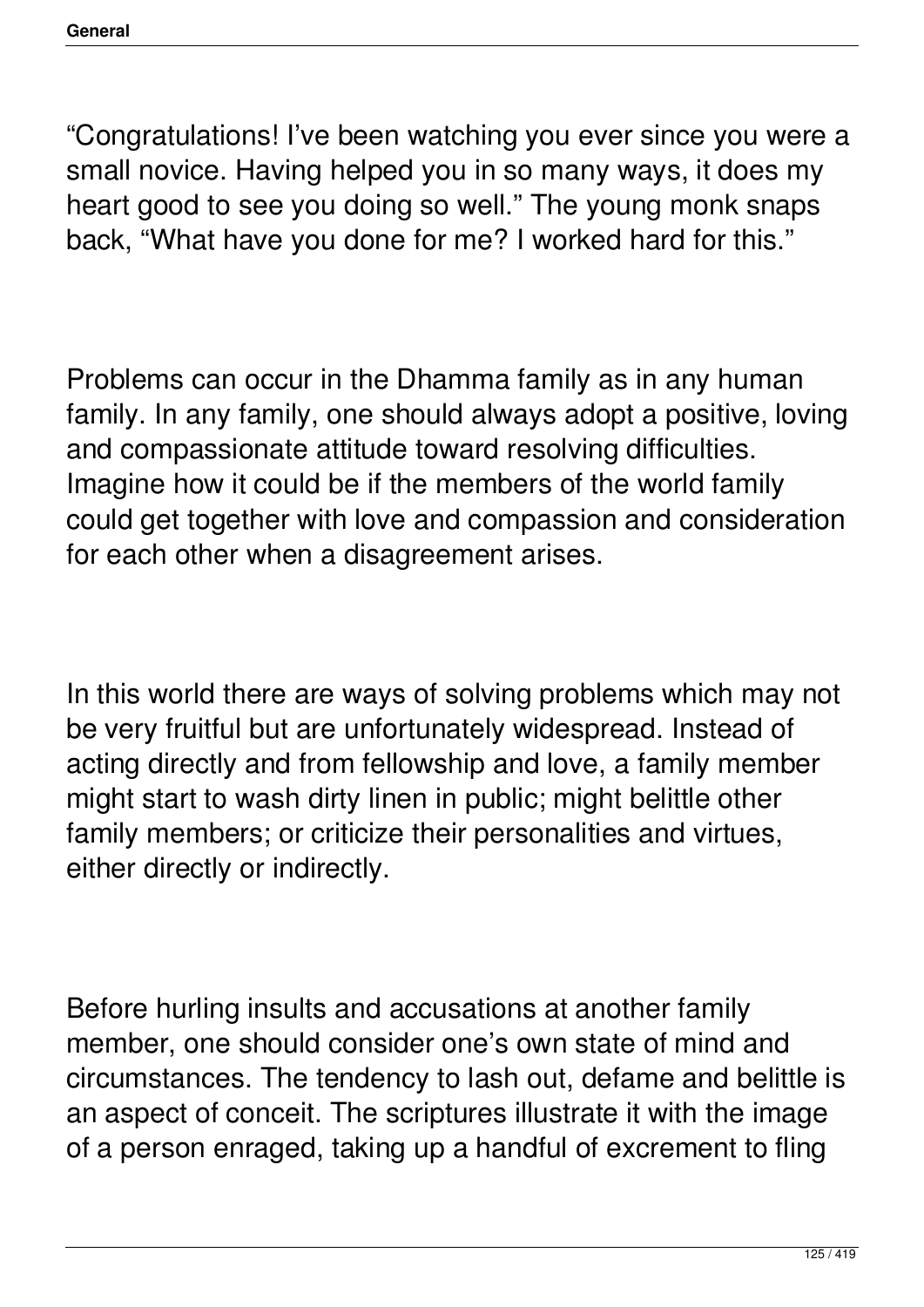"Congratulations! I've been watching you ever since you were a small novice. Having helped you in so many ways, it does my heart good to see you doing so well." The young monk snaps back, "What have you done for me? I worked hard for this."

Problems can occur in the Dhamma family as in any human family. In any family, one should always adopt a positive, loving and compassionate attitude toward resolving difficulties. Imagine how it could be if the members of the world family could get together with love and compassion and consideration for each other when a disagreement arises.

In this world there are ways of solving problems which may not be very fruitful but are unfortunately widespread. Instead of acting directly and from fellowship and love, a family member might start to wash dirty linen in public; might belittle other family members; or criticize their personalities and virtues, either directly or indirectly.

Before hurling insults and accusations at another family member, one should consider one's own state of mind and circumstances. The tendency to lash out, defame and belittle is an aspect of conceit. The scriptures illustrate it with the image of a person enraged, taking up a handful of excrement to fling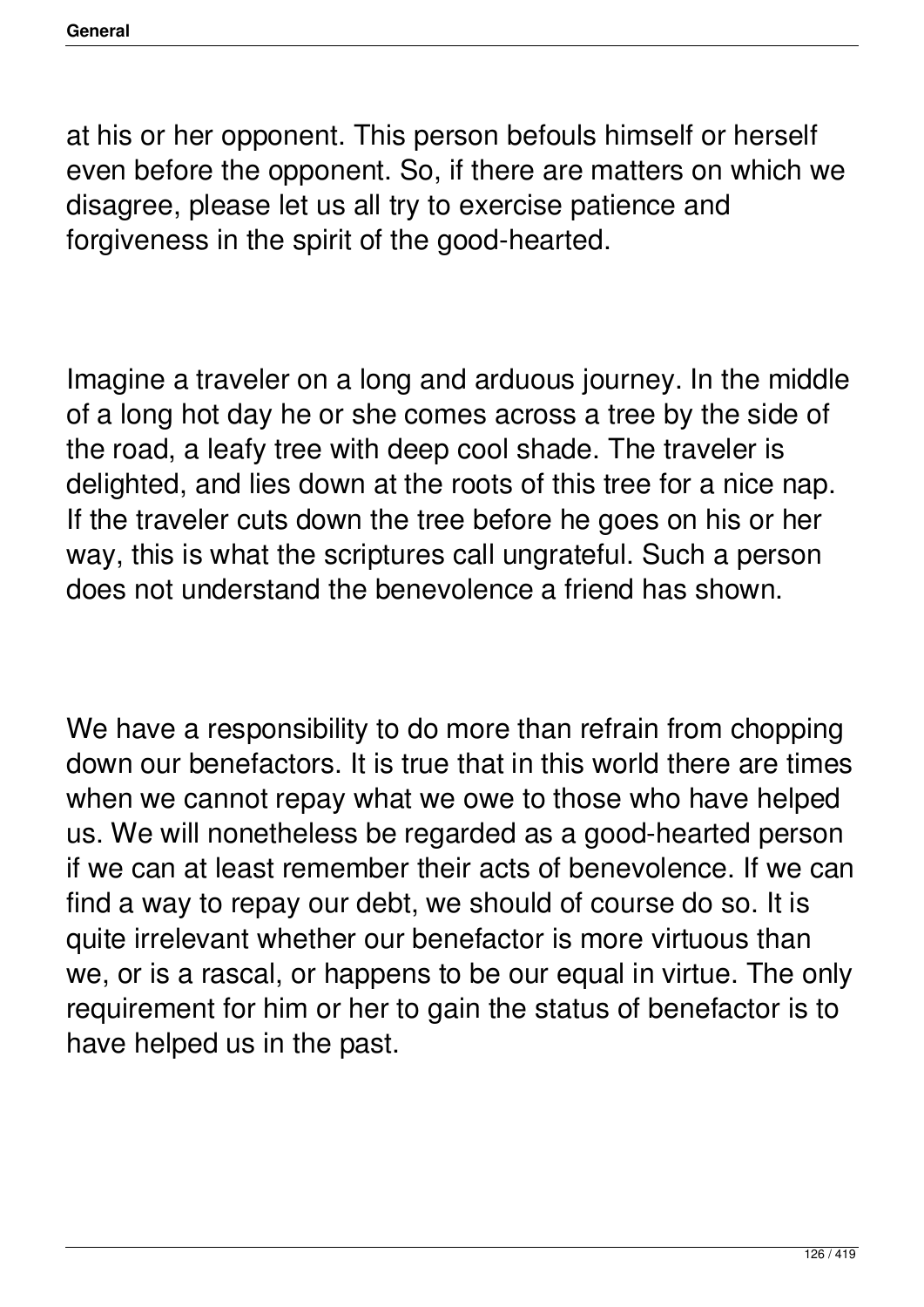at his or her opponent. This person befouls himself or herself even before the opponent. So, if there are matters on which we disagree, please let us all try to exercise patience and forgiveness in the spirit of the good-hearted.

Imagine a traveler on a long and arduous journey. In the middle of a long hot day he or she comes across a tree by the side of the road, a leafy tree with deep cool shade. The traveler is delighted, and lies down at the roots of this tree for a nice nap. If the traveler cuts down the tree before he goes on his or her way, this is what the scriptures call ungrateful. Such a person does not understand the benevolence a friend has shown.

We have a responsibility to do more than refrain from chopping down our benefactors. It is true that in this world there are times when we cannot repay what we owe to those who have helped us. We will nonetheless be regarded as a good-hearted person if we can at least remember their acts of benevolence. If we can find a way to repay our debt, we should of course do so. It is quite irrelevant whether our benefactor is more virtuous than we, or is a rascal, or happens to be our equal in virtue. The only requirement for him or her to gain the status of benefactor is to have helped us in the past.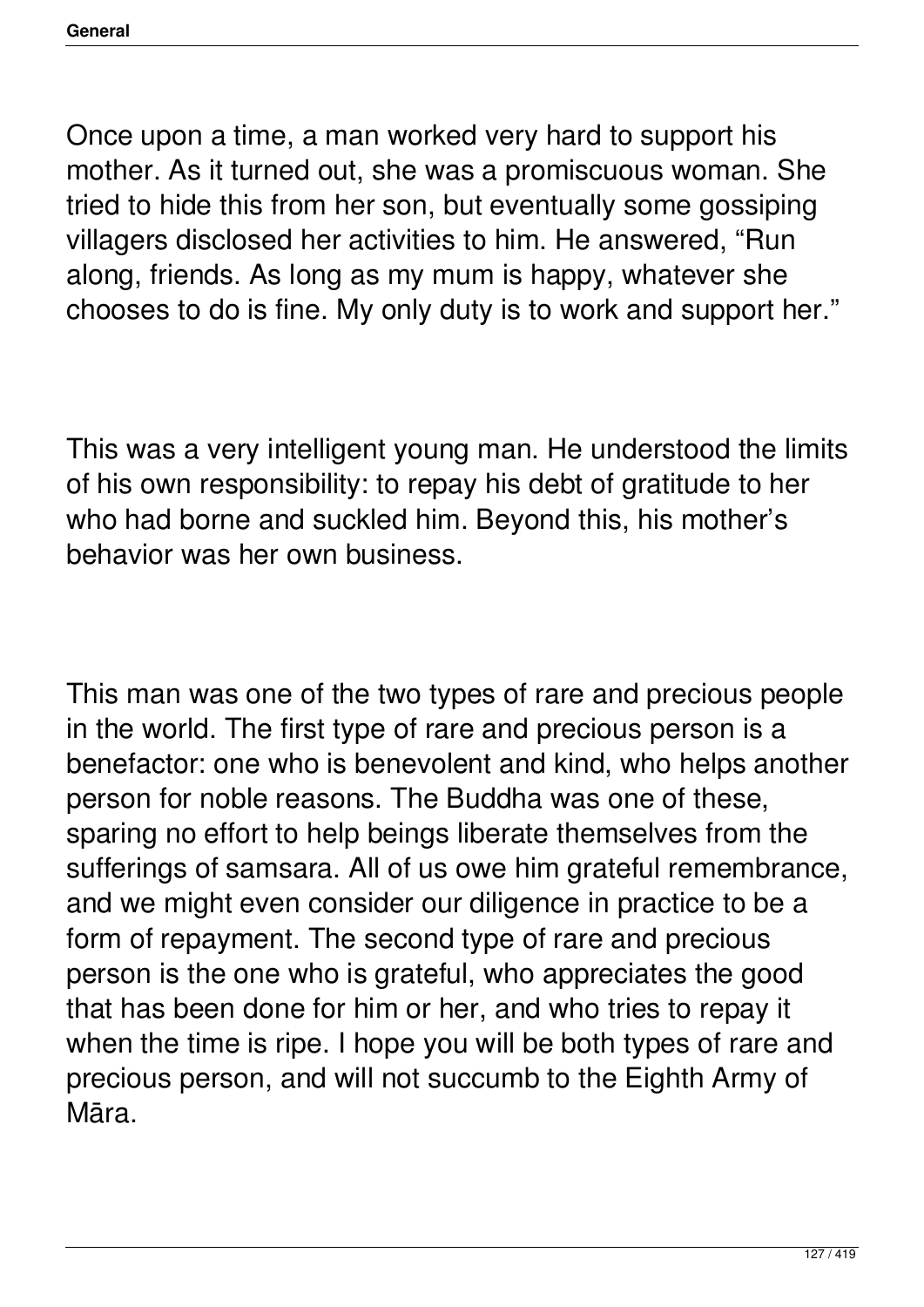Once upon a time, a man worked very hard to support his mother. As it turned out, she was a promiscuous woman. She tried to hide this from her son, but eventually some gossiping villagers disclosed her activities to him. He answered, "Run along, friends. As long as my mum is happy, whatever she chooses to do is fine. My only duty is to work and support her."

This was a very intelligent young man. He understood the limits of his own responsibility: to repay his debt of gratitude to her who had borne and suckled him. Beyond this, his mother's behavior was her own business.

This man was one of the two types of rare and precious people in the world. The first type of rare and precious person is a benefactor: one who is benevolent and kind, who helps another person for noble reasons. The Buddha was one of these, sparing no effort to help beings liberate themselves from the sufferings of samsara. All of us owe him grateful remembrance, and we might even consider our diligence in practice to be a form of repayment. The second type of rare and precious person is the one who is grateful, who appreciates the good that has been done for him or her, and who tries to repay it when the time is ripe. I hope you will be both types of rare and precious person, and will not succumb to the Eighth Army of Māra.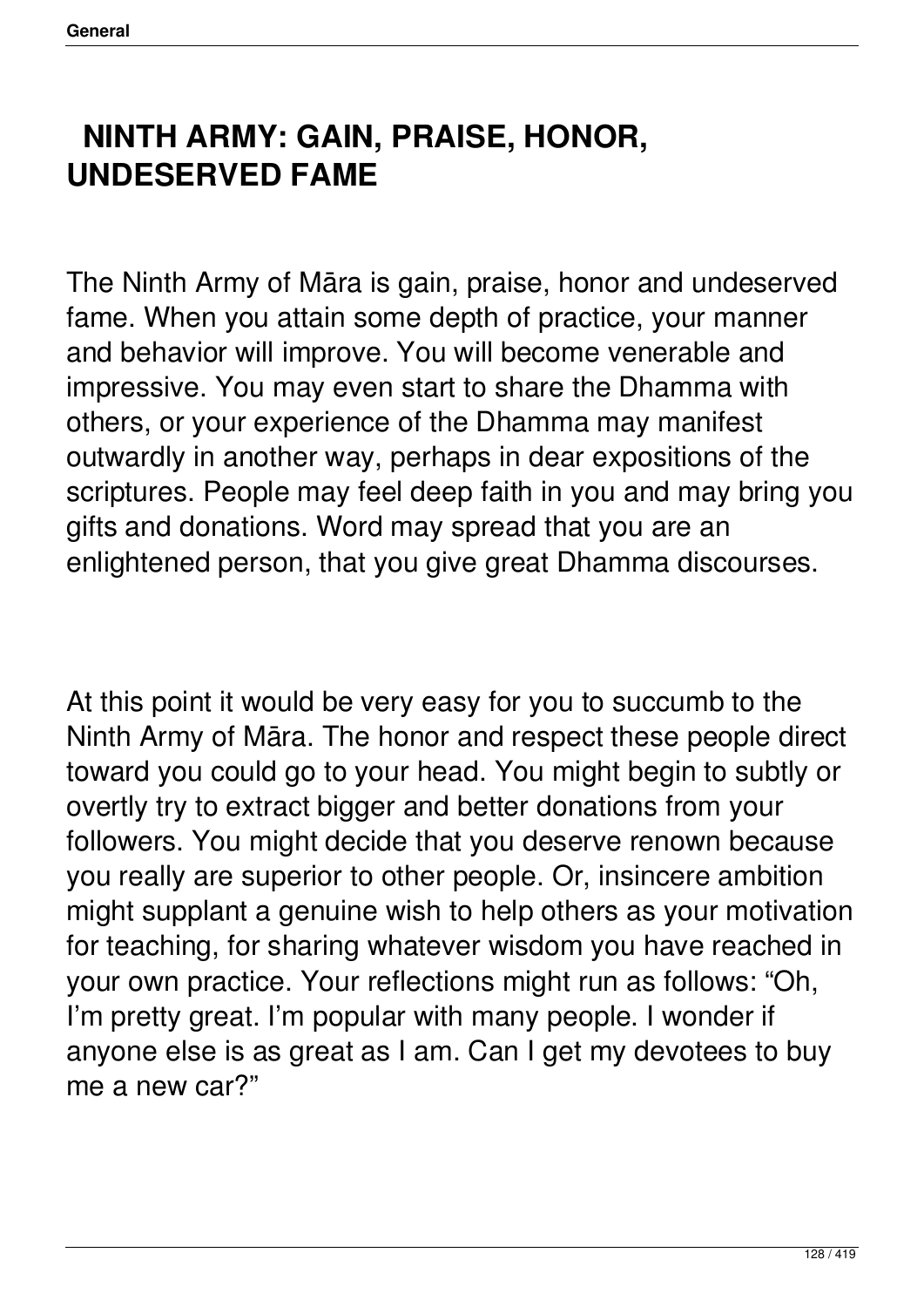# **NINTH ARMY: GAIN, PRAISE, HONOR, UNDESERVED FAME**

The Ninth Army of Māra is gain, praise, honor and undeserved fame. When you attain some depth of practice, your manner and behavior will improve. You will become venerable and impressive. You may even start to share the Dhamma with others, or your experience of the Dhamma may manifest outwardly in another way, perhaps in dear expositions of the scriptures. People may feel deep faith in you and may bring you gifts and donations. Word may spread that you are an enlightened person, that you give great Dhamma discourses.

At this point it would be very easy for you to succumb to the Ninth Army of Māra. The honor and respect these people direct toward you could go to your head. You might begin to subtly or overtly try to extract bigger and better donations from your followers. You might decide that you deserve renown because you really are superior to other people. Or, insincere ambition might supplant a genuine wish to help others as your motivation for teaching, for sharing whatever wisdom you have reached in your own practice. Your reflections might run as follows: "Oh, I'm pretty great. I'm popular with many people. I wonder if anyone else is as great as I am. Can I get my devotees to buy me a new car?"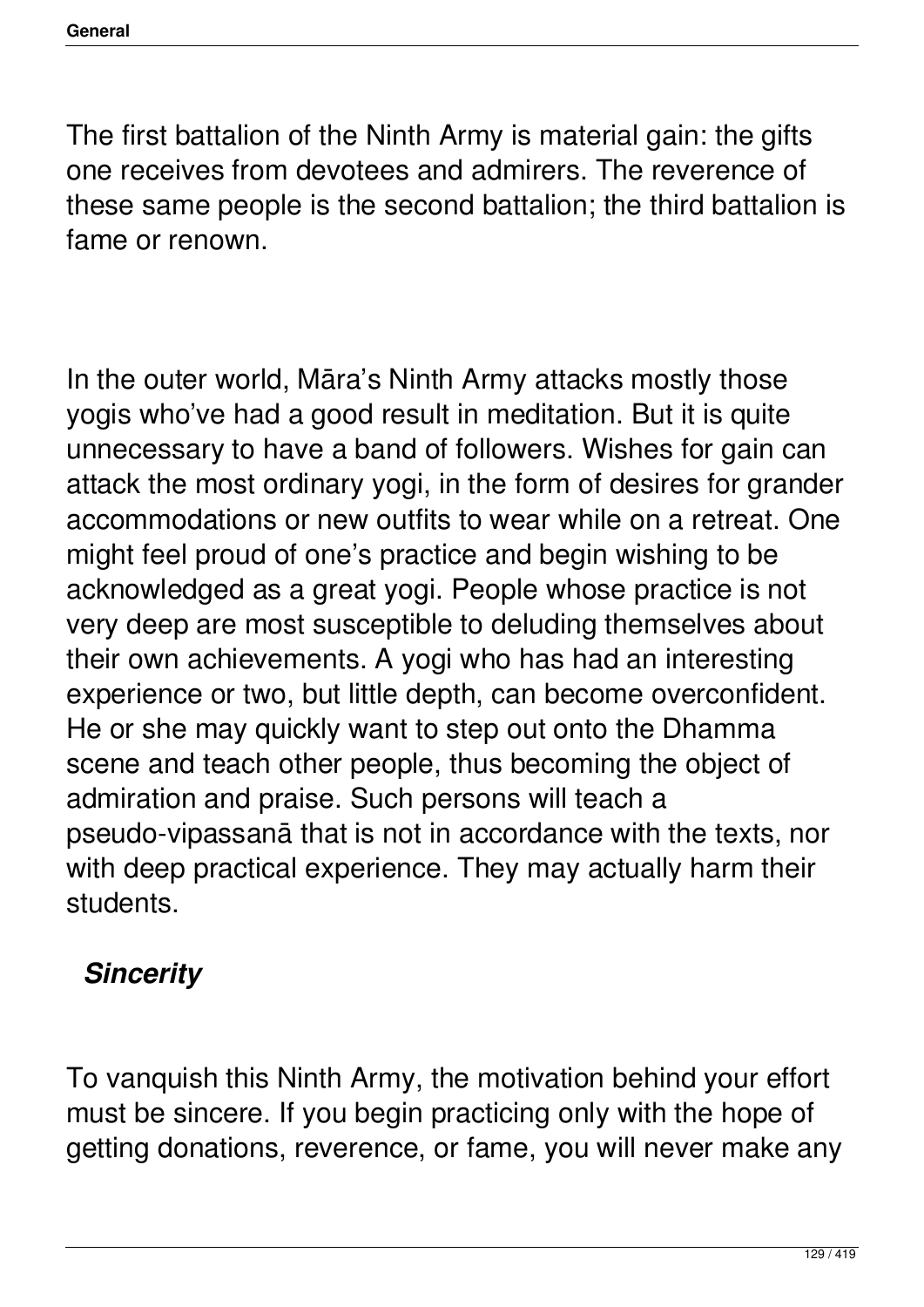The first battalion of the Ninth Army is material gain: the gifts one receives from devotees and admirers. The reverence of these same people is the second battalion; the third battalion is fame or renown.

In the outer world, Māra's Ninth Army attacks mostly those yogis who've had a good result in meditation. But it is quite unnecessary to have a band of followers. Wishes for gain can attack the most ordinary yogi, in the form of desires for grander accommodations or new outfits to wear while on a retreat. One might feel proud of one's practice and begin wishing to be acknowledged as a great yogi. People whose practice is not very deep are most susceptible to deluding themselves about their own achievements. A yogi who has had an interesting experience or two, but little depth, can become overconfident. He or she may quickly want to step out onto the Dhamma scene and teach other people, thus becoming the object of admiration and praise. Such persons will teach a pseudo-vipassanā that is not in accordance with the texts, nor with deep practical experience. They may actually harm their students.

#### *Sincerity*

To vanquish this Ninth Army, the motivation behind your effort must be sincere. If you begin practicing only with the hope of getting donations, reverence, or fame, you will never make any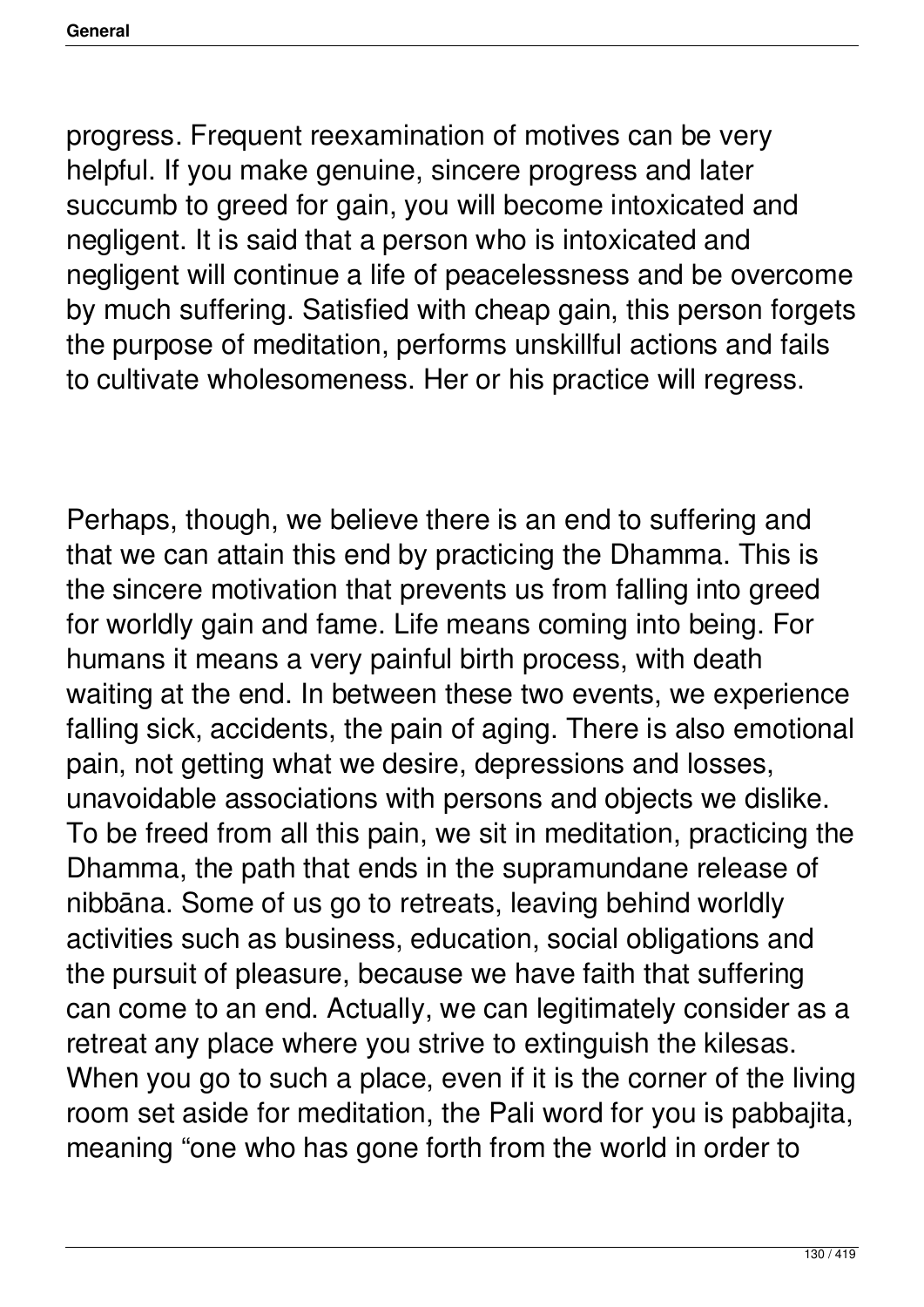progress. Frequent reexamination of motives can be very helpful. If you make genuine, sincere progress and later succumb to greed for gain, you will become intoxicated and negligent. It is said that a person who is intoxicated and negligent will continue a life of peacelessness and be overcome by much suffering. Satisfied with cheap gain, this person forgets the purpose of meditation, performs unskillful actions and fails to cultivate wholesomeness. Her or his practice will regress.

Perhaps, though, we believe there is an end to suffering and that we can attain this end by practicing the Dhamma. This is the sincere motivation that prevents us from falling into greed for worldly gain and fame. Life means coming into being. For humans it means a very painful birth process, with death waiting at the end. In between these two events, we experience falling sick, accidents, the pain of aging. There is also emotional pain, not getting what we desire, depressions and losses, unavoidable associations with persons and objects we dislike. To be freed from all this pain, we sit in meditation, practicing the Dhamma, the path that ends in the supramundane release of nibbāna. Some of us go to retreats, leaving behind worldly activities such as business, education, social obligations and the pursuit of pleasure, because we have faith that suffering can come to an end. Actually, we can legitimately consider as a retreat any place where you strive to extinguish the kilesas. When you go to such a place, even if it is the corner of the living room set aside for meditation, the Pali word for you is pabbajita, meaning "one who has gone forth from the world in order to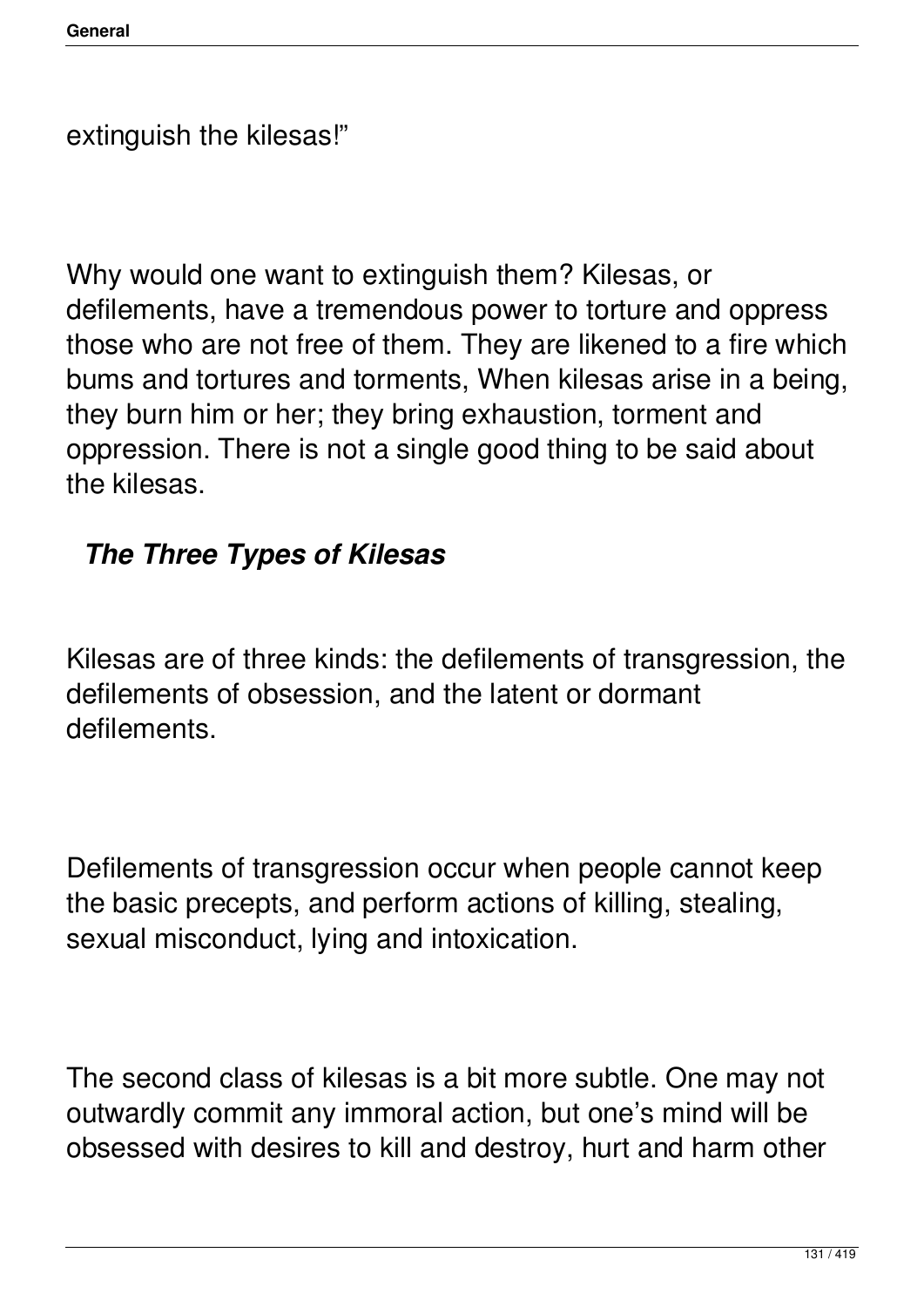extinguish the kilesas!"

Why would one want to extinguish them? Kilesas, or defilements, have a tremendous power to torture and oppress those who are not free of them. They are likened to a fire which bums and tortures and torments, When kilesas arise in a being, they burn him or her; they bring exhaustion, torment and oppression. There is not a single good thing to be said about the kilesas.

#### *The Three Types of Kilesas*

Kilesas are of three kinds: the defilements of transgression, the defilements of obsession, and the latent or dormant defilements.

Defilements of transgression occur when people cannot keep the basic precepts, and perform actions of killing, stealing, sexual misconduct, lying and intoxication.

The second class of kilesas is a bit more subtle. One may not outwardly commit any immoral action, but one's mind will be obsessed with desires to kill and destroy, hurt and harm other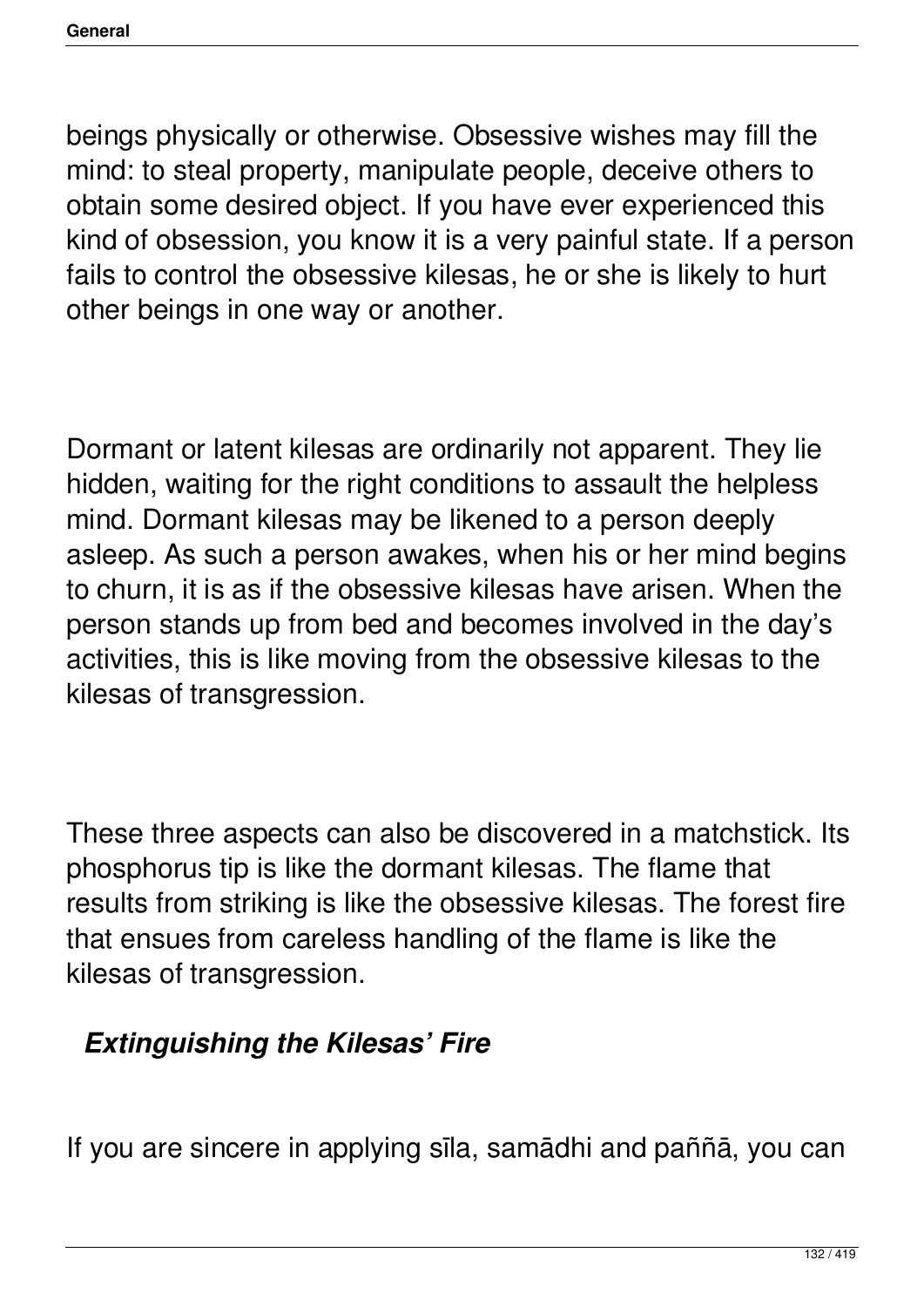beings physically or otherwise. Obsessive wishes may fill the mind: to steal property, manipulate people, deceive others to obtain some desired object. If you have ever experienced this kind of obsession, you know it is a very painful state. If a person fails to control the obsessive kilesas, he or she is likely to hurt other beings in one way or another.

Dormant or latent kilesas are ordinarily not apparent. They lie hidden, waiting for the right conditions to assault the helpless mind. Dormant kilesas may be likened to a person deeply asleep. As such a person awakes, when his or her mind begins to churn, it is as if the obsessive kilesas have arisen. When the person stands up from bed and becomes involved in the day's activities, this is like moving from the obsessive kilesas to the kilesas of transgression.

These three aspects can also be discovered in a matchstick. Its phosphorus tip is like the dormant kilesas. The flame that results from striking is like the obsessive kilesas. The forest fire that ensues from careless handling of the flame is like the kilesas of transgression.

#### *Extinguishing the Kilesas' Fire*

If you are sincere in applying sīla, samādhi and paññā, you can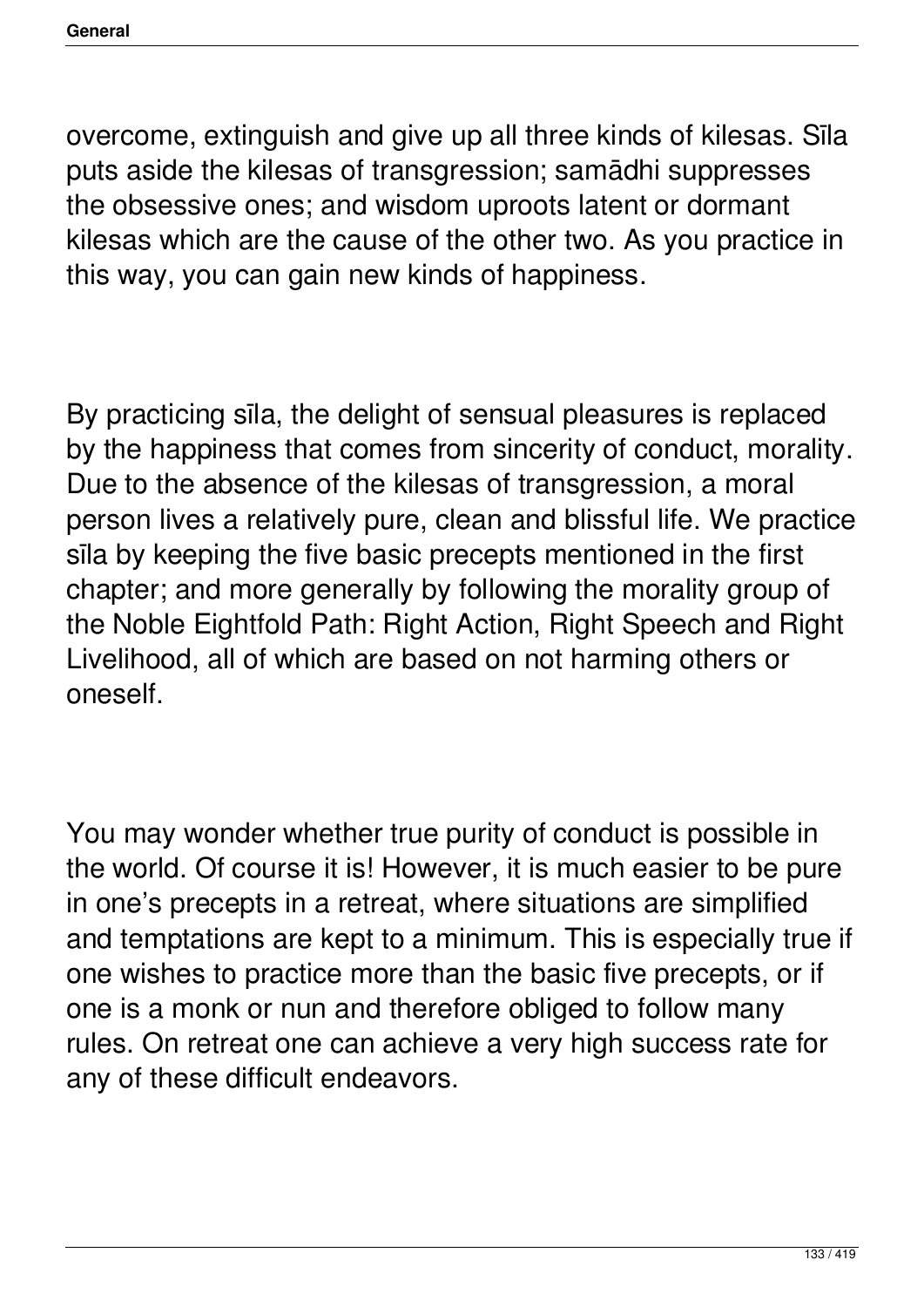overcome, extinguish and give up all three kinds of kilesas. Sīla puts aside the kilesas of transgression; samādhi suppresses the obsessive ones; and wisdom uproots latent or dormant kilesas which are the cause of the other two. As you practice in this way, you can gain new kinds of happiness.

By practicing sīla, the delight of sensual pleasures is replaced by the happiness that comes from sincerity of conduct, morality. Due to the absence of the kilesas of transgression, a moral person lives a relatively pure, clean and blissful life. We practice sīla by keeping the five basic precepts mentioned in the first chapter; and more generally by following the morality group of the Noble Eightfold Path: Right Action, Right Speech and Right Livelihood, all of which are based on not harming others or oneself.

You may wonder whether true purity of conduct is possible in the world. Of course it is! However, it is much easier to be pure in one's precepts in a retreat, where situations are simplified and temptations are kept to a minimum. This is especially true if one wishes to practice more than the basic five precepts, or if one is a monk or nun and therefore obliged to follow many rules. On retreat one can achieve a very high success rate for any of these difficult endeavors.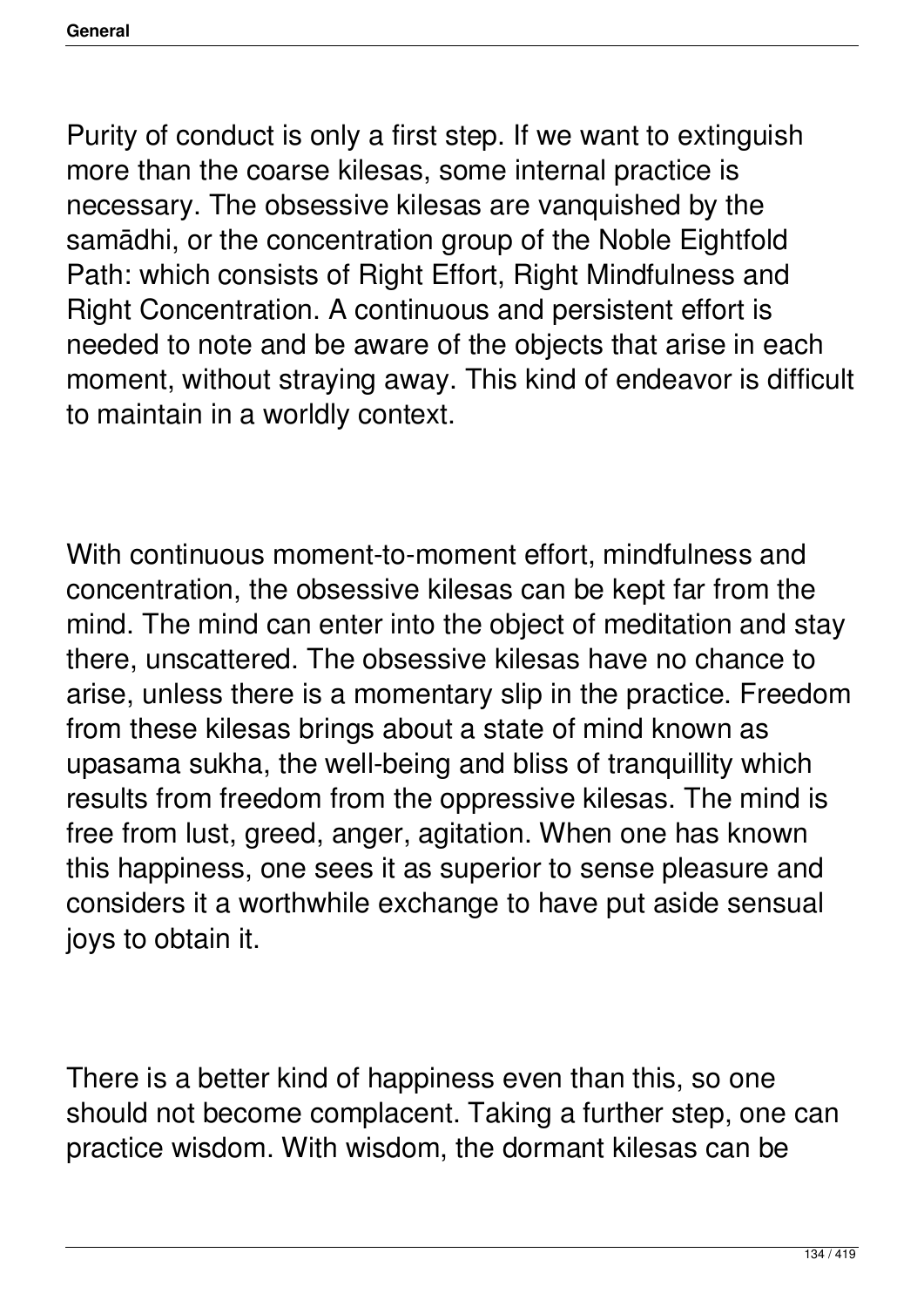Purity of conduct is only a first step. If we want to extinguish more than the coarse kilesas, some internal practice is necessary. The obsessive kilesas are vanquished by the samādhi, or the concentration group of the Noble Eightfold Path: which consists of Right Effort, Right Mindfulness and Right Concentration. A continuous and persistent effort is needed to note and be aware of the objects that arise in each moment, without straying away. This kind of endeavor is difficult to maintain in a worldly context.

With continuous moment-to-moment effort, mindfulness and concentration, the obsessive kilesas can be kept far from the mind. The mind can enter into the object of meditation and stay there, unscattered. The obsessive kilesas have no chance to arise, unless there is a momentary slip in the practice. Freedom from these kilesas brings about a state of mind known as upasama sukha, the well-being and bliss of tranquillity which results from freedom from the oppressive kilesas. The mind is free from lust, greed, anger, agitation. When one has known this happiness, one sees it as superior to sense pleasure and considers it a worthwhile exchange to have put aside sensual joys to obtain it.

There is a better kind of happiness even than this, so one should not become complacent. Taking a further step, one can practice wisdom. With wisdom, the dormant kilesas can be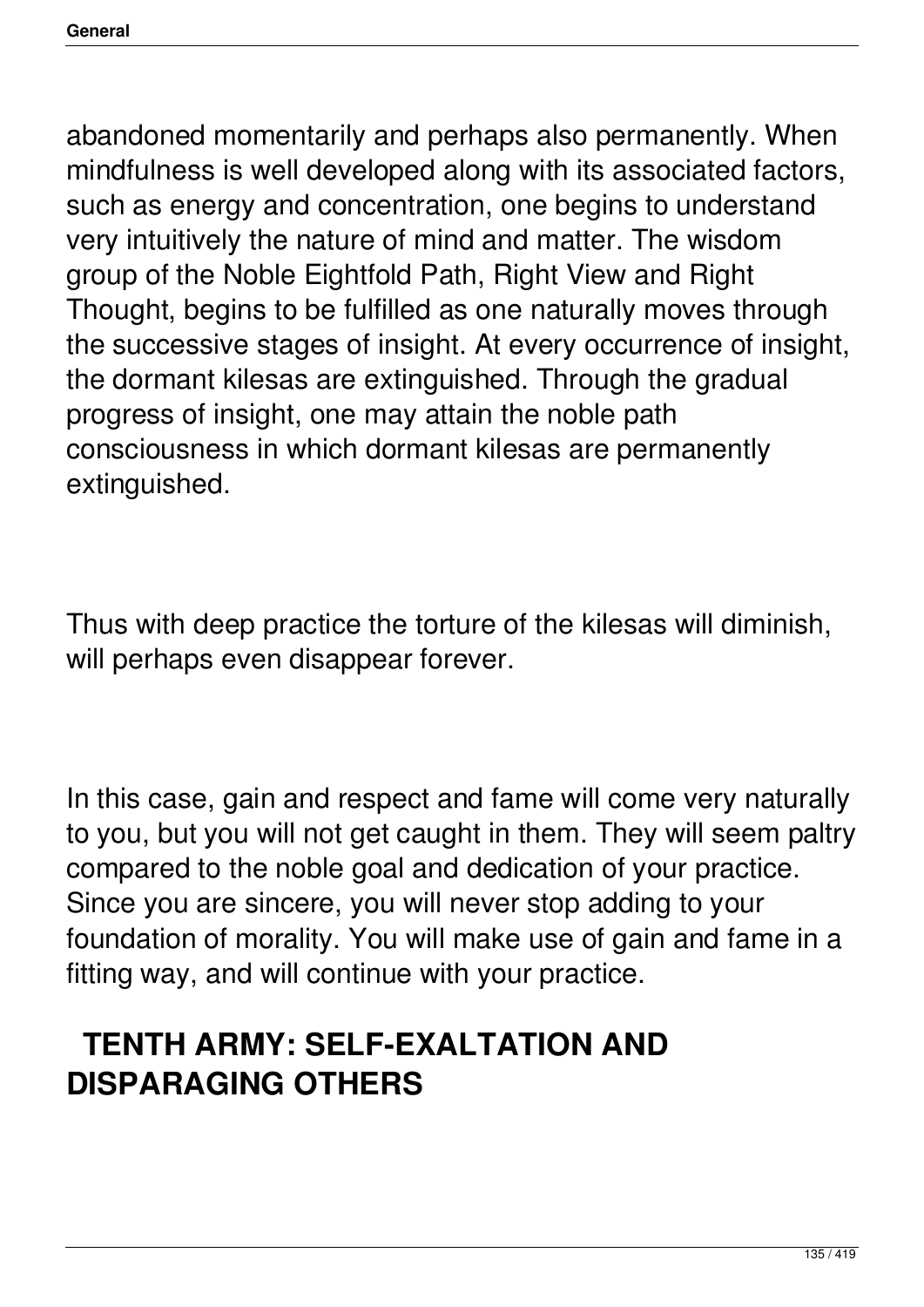abandoned momentarily and perhaps also permanently. When mindfulness is well developed along with its associated factors, such as energy and concentration, one begins to understand very intuitively the nature of mind and matter. The wisdom group of the Noble Eightfold Path, Right View and Right Thought, begins to be fulfilled as one naturally moves through the successive stages of insight. At every occurrence of insight, the dormant kilesas are extinguished. Through the gradual progress of insight, one may attain the noble path consciousness in which dormant kilesas are permanently extinguished.

Thus with deep practice the torture of the kilesas will diminish, will perhaps even disappear forever.

In this case, gain and respect and fame will come very naturally to you, but you will not get caught in them. They will seem paltry compared to the noble goal and dedication of your practice. Since you are sincere, you will never stop adding to your foundation of morality. You will make use of gain and fame in a fitting way, and will continue with your practice.

# **TENTH ARMY: SELF-EXALTATION AND DISPARAGING OTHERS**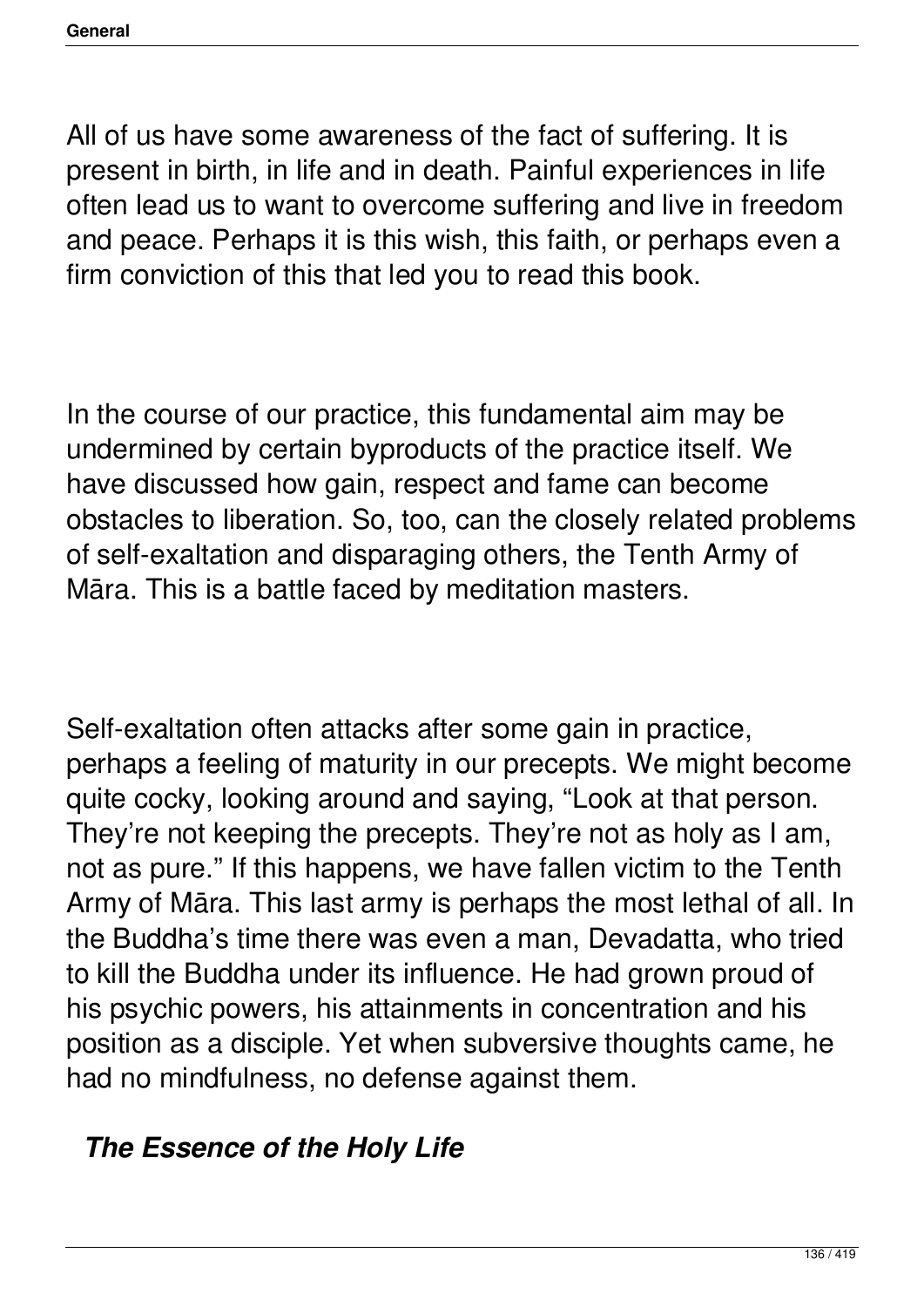All of us have some awareness of the fact of suffering. It is present in birth, in life and in death. Painful experiences in life often lead us to want to overcome suffering and live in freedom and peace. Perhaps it is this wish, this faith, or perhaps even a firm conviction of this that led you to read this book.

In the course of our practice, this fundamental aim may be undermined by certain byproducts of the practice itself. We have discussed how gain, respect and fame can become obstacles to liberation. So, too, can the closely related problems of self-exaltation and disparaging others, the Tenth Army of Māra. This is a battle faced by meditation masters.

Self-exaltation often attacks after some gain in practice, perhaps a feeling of maturity in our precepts. We might become quite cocky, looking around and saying, "Look at that person. They're not keeping the precepts. They're not as holy as I am, not as pure." If this happens, we have fallen victim to the Tenth Army of Māra. This last army is perhaps the most lethal of all. In the Buddha's time there was even a man, Devadatta, who tried to kill the Buddha under its influence. He had grown proud of his psychic powers, his attainments in concentration and his position as a disciple. Yet when subversive thoughts came, he had no mindfulness, no defense against them.

#### *The Essence of the Holy Life*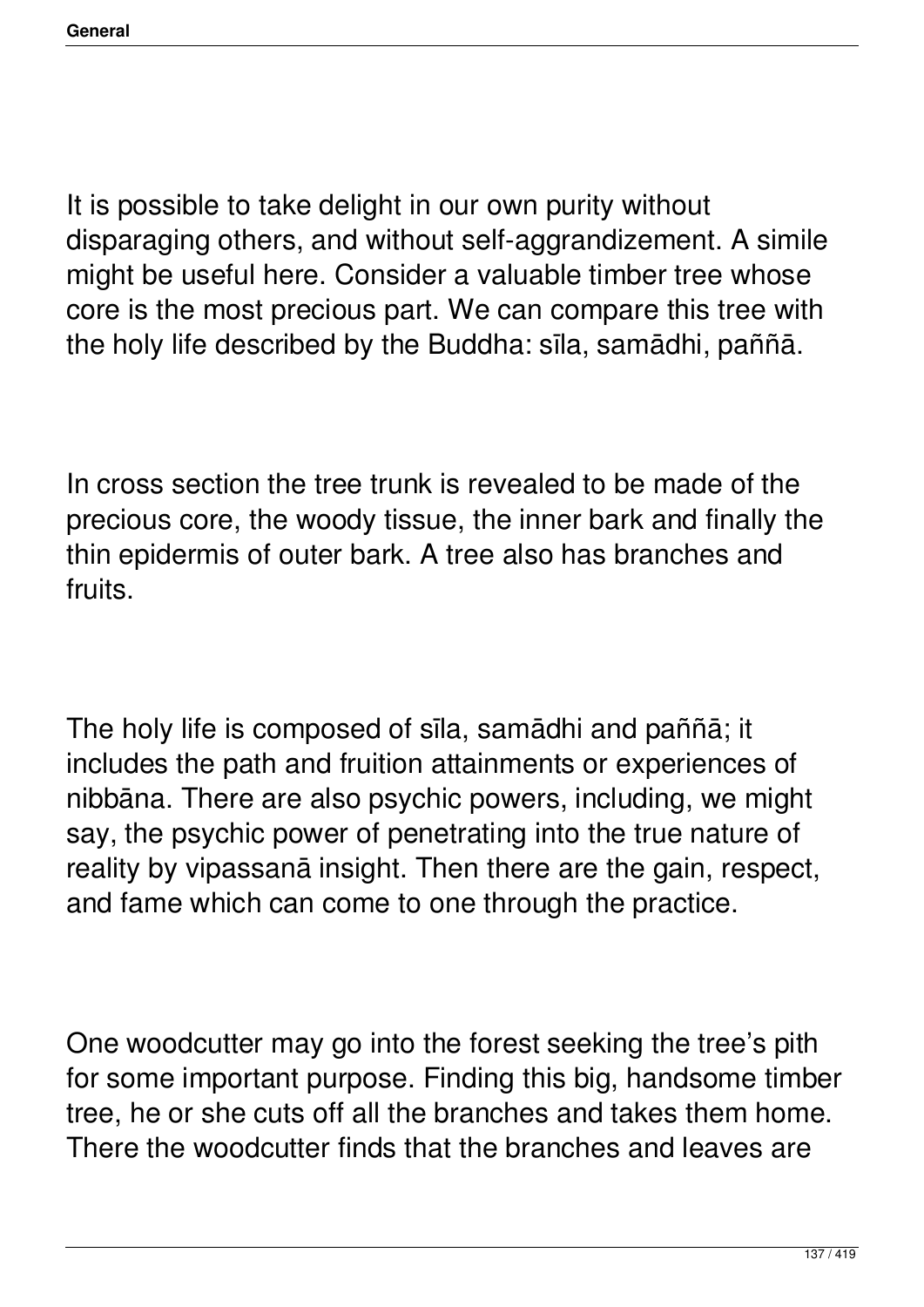It is possible to take delight in our own purity without disparaging others, and without self-aggrandizement. A simile might be useful here. Consider a valuable timber tree whose core is the most precious part. We can compare this tree with the holy life described by the Buddha: sīla, samādhi, paññā.

In cross section the tree trunk is revealed to be made of the precious core, the woody tissue, the inner bark and finally the thin epidermis of outer bark. A tree also has branches and fruits.

The holy life is composed of sīla, samādhi and paññā; it includes the path and fruition attainments or experiences of nibbāna. There are also psychic powers, including, we might say, the psychic power of penetrating into the true nature of reality by vipassanā insight. Then there are the gain, respect, and fame which can come to one through the practice.

One woodcutter may go into the forest seeking the tree's pith for some important purpose. Finding this big, handsome timber tree, he or she cuts off all the branches and takes them home. There the woodcutter finds that the branches and leaves are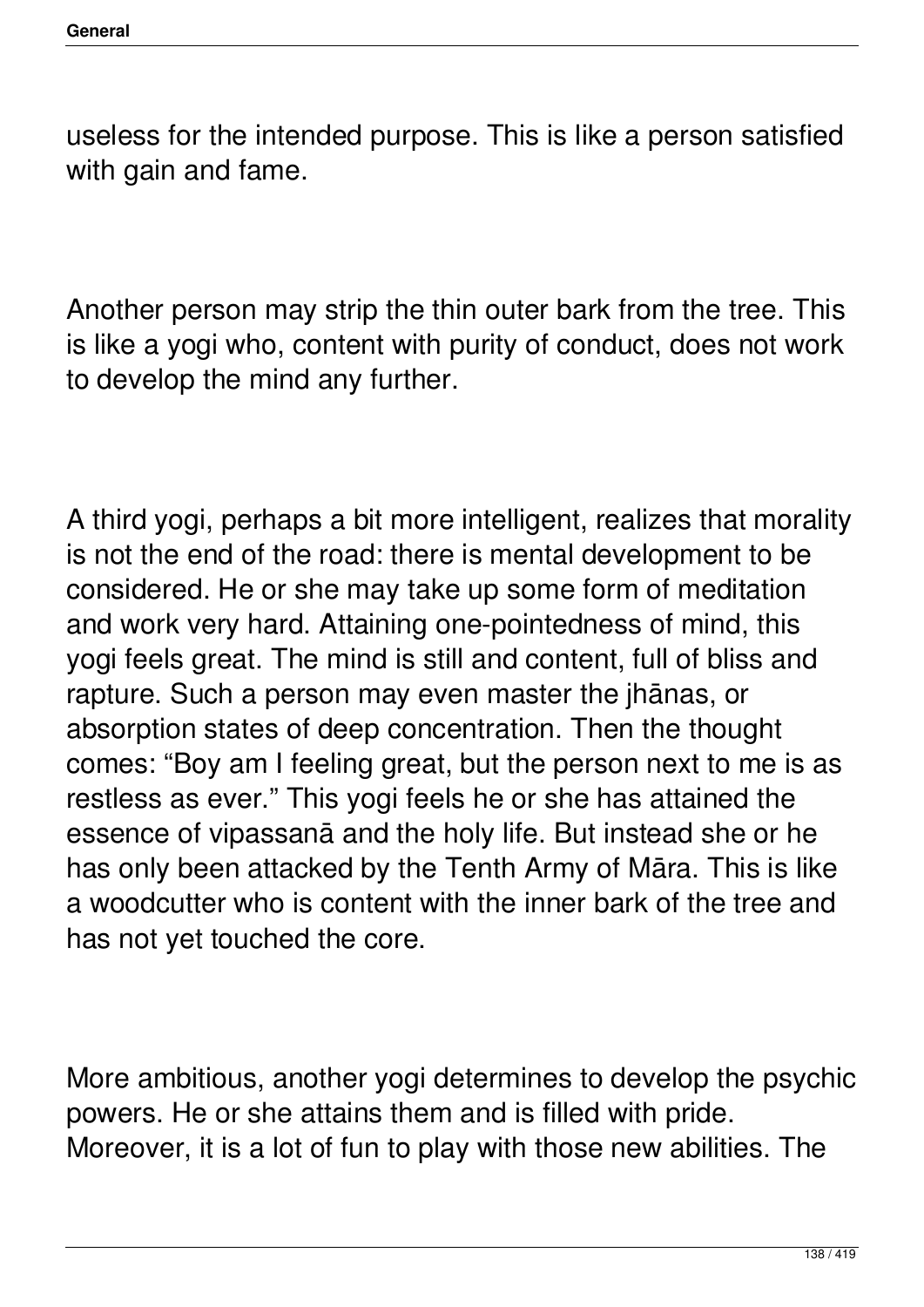useless for the intended purpose. This is like a person satisfied with gain and fame.

Another person may strip the thin outer bark from the tree. This is like a yogi who, content with purity of conduct, does not work to develop the mind any further.

A third yogi, perhaps a bit more intelligent, realizes that morality is not the end of the road: there is mental development to be considered. He or she may take up some form of meditation and work very hard. Attaining one-pointedness of mind, this yogi feels great. The mind is still and content, full of bliss and rapture. Such a person may even master the jhānas, or absorption states of deep concentration. Then the thought comes: "Boy am I feeling great, but the person next to me is as restless as ever." This yogi feels he or she has attained the essence of vipassanā and the holy life. But instead she or he has only been attacked by the Tenth Army of Māra. This is like a woodcutter who is content with the inner bark of the tree and has not yet touched the core.

More ambitious, another yogi determines to develop the psychic powers. He or she attains them and is filled with pride. Moreover, it is a lot of fun to play with those new abilities. The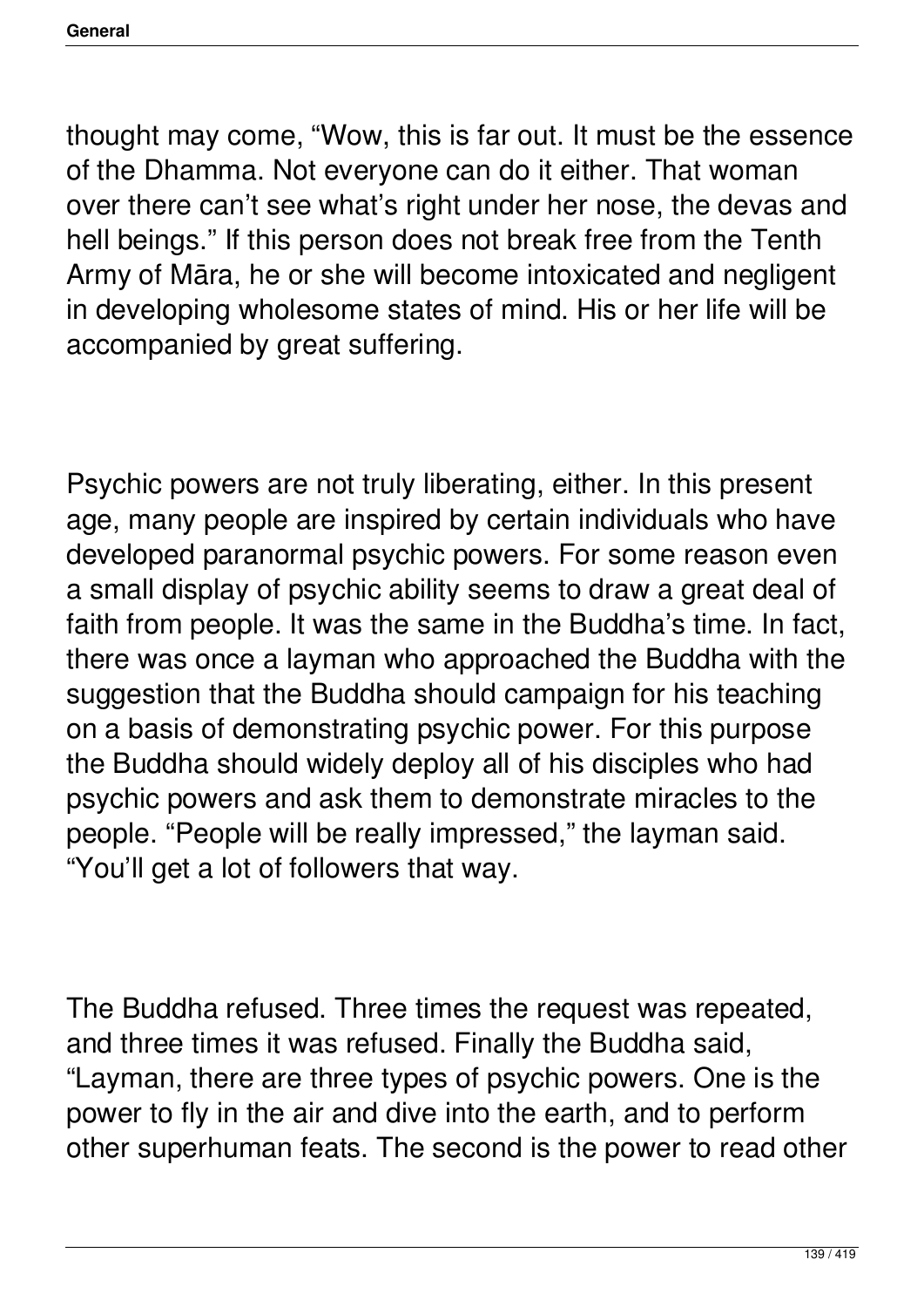thought may come, "Wow, this is far out. It must be the essence of the Dhamma. Not everyone can do it either. That woman over there can't see what's right under her nose, the devas and hell beings." If this person does not break free from the Tenth Army of Māra, he or she will become intoxicated and negligent in developing wholesome states of mind. His or her life will be accompanied by great suffering.

Psychic powers are not truly liberating, either. In this present age, many people are inspired by certain individuals who have developed paranormal psychic powers. For some reason even a small display of psychic ability seems to draw a great deal of faith from people. It was the same in the Buddha's time. In fact, there was once a layman who approached the Buddha with the suggestion that the Buddha should campaign for his teaching on a basis of demonstrating psychic power. For this purpose the Buddha should widely deploy all of his disciples who had psychic powers and ask them to demonstrate miracles to the people. "People will be really impressed," the layman said. "You'll get a lot of followers that way.

The Buddha refused. Three times the request was repeated, and three times it was refused. Finally the Buddha said, "Layman, there are three types of psychic powers. One is the power to fly in the air and dive into the earth, and to perform other superhuman feats. The second is the power to read other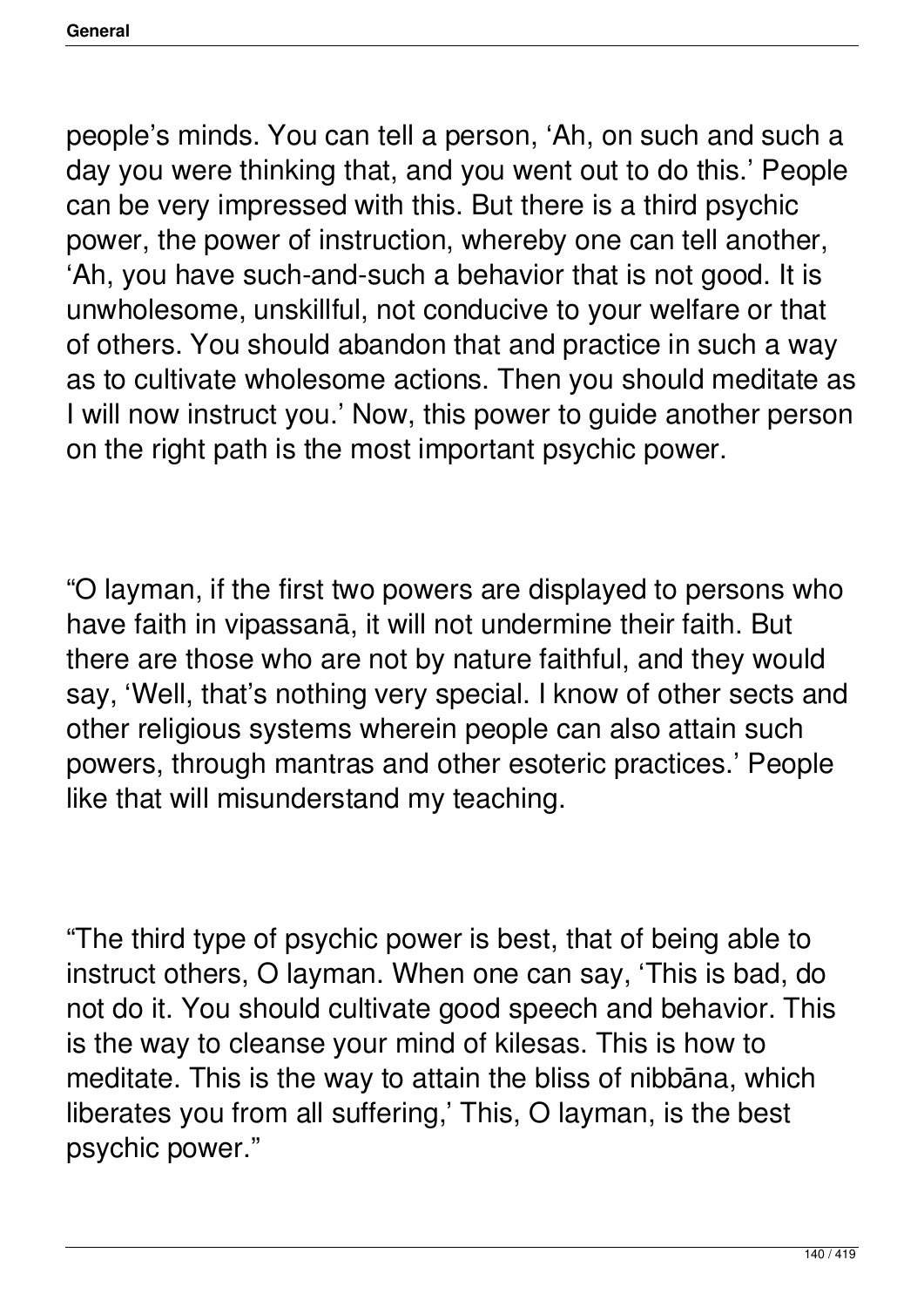people's minds. You can tell a person, 'Ah, on such and such a day you were thinking that, and you went out to do this.' People can be very impressed with this. But there is a third psychic power, the power of instruction, whereby one can tell another, 'Ah, you have such-and-such a behavior that is not good. It is unwholesome, unskillful, not conducive to your welfare or that of others. You should abandon that and practice in such a way as to cultivate wholesome actions. Then you should meditate as I will now instruct you.' Now, this power to guide another person on the right path is the most important psychic power.

"O layman, if the first two powers are displayed to persons who have faith in vipassanā, it will not undermine their faith. But there are those who are not by nature faithful, and they would say, 'Well, that's nothing very special. I know of other sects and other religious systems wherein people can also attain such powers, through mantras and other esoteric practices.' People like that will misunderstand my teaching.

"The third type of psychic power is best, that of being able to instruct others, O layman. When one can say, 'This is bad, do not do it. You should cultivate good speech and behavior. This is the way to cleanse your mind of kilesas. This is how to meditate. This is the way to attain the bliss of nibbāna, which liberates you from all suffering,' This, O layman, is the best psychic power."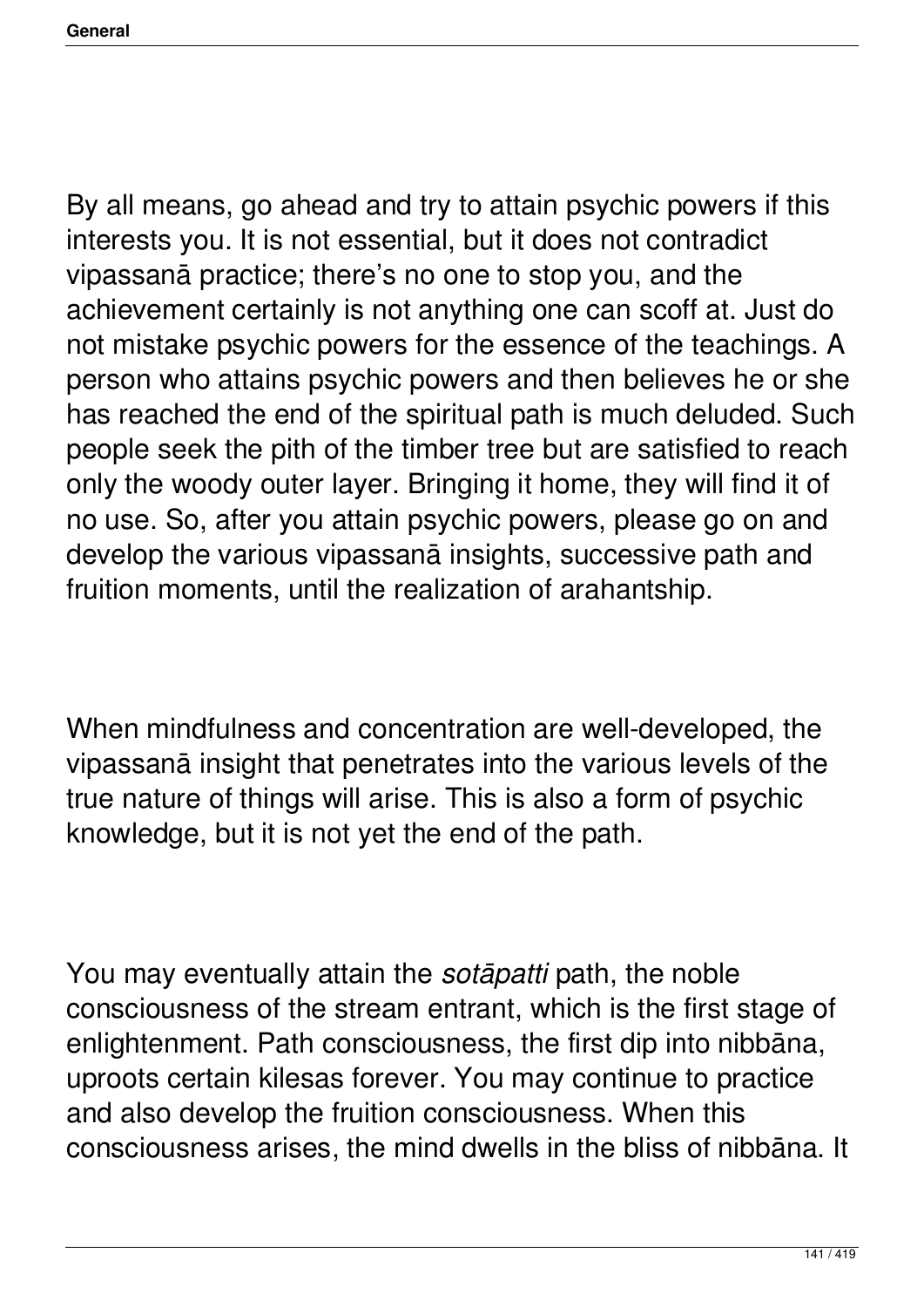By all means, go ahead and try to attain psychic powers if this interests you. It is not essential, but it does not contradict vipassanā practice; there's no one to stop you, and the achievement certainly is not anything one can scoff at. Just do not mistake psychic powers for the essence of the teachings. A person who attains psychic powers and then believes he or she has reached the end of the spiritual path is much deluded. Such people seek the pith of the timber tree but are satisfied to reach only the woody outer layer. Bringing it home, they will find it of no use. So, after you attain psychic powers, please go on and develop the various vipassanā insights, successive path and fruition moments, until the realization of arahantship.

When mindfulness and concentration are well-developed, the vipassanā insight that penetrates into the various levels of the true nature of things will arise. This is also a form of psychic knowledge, but it is not yet the end of the path.

You may eventually attain the *sotāpatti* path, the noble consciousness of the stream entrant, which is the first stage of enlightenment. Path consciousness, the first dip into nibbāna, uproots certain kilesas forever. You may continue to practice and also develop the fruition consciousness. When this consciousness arises, the mind dwells in the bliss of nibbāna. It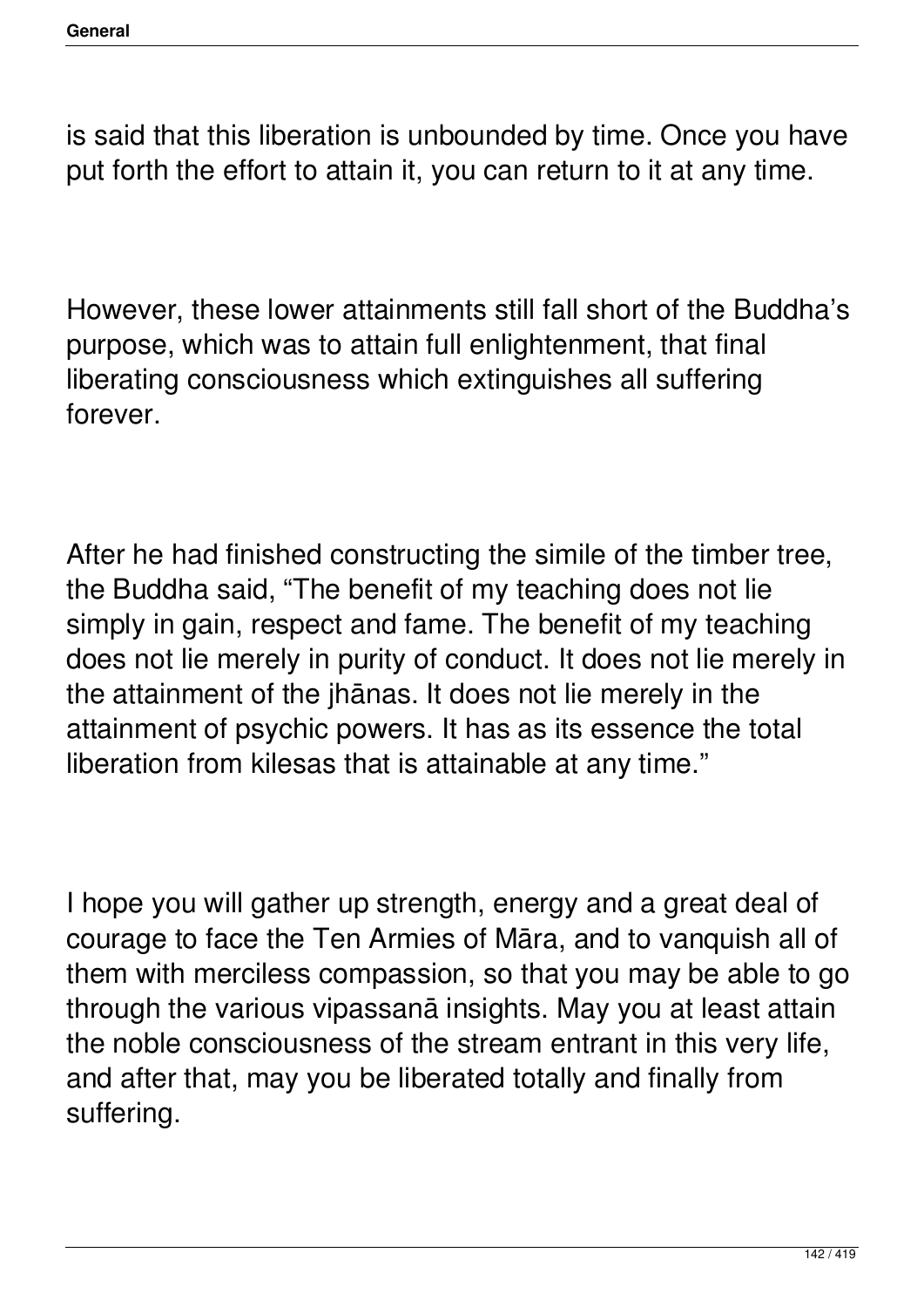is said that this liberation is unbounded by time. Once you have put forth the effort to attain it, you can return to it at any time.

However, these lower attainments still fall short of the Buddha's purpose, which was to attain full enlightenment, that final liberating consciousness which extinguishes all suffering forever.

After he had finished constructing the simile of the timber tree, the Buddha said, "The benefit of my teaching does not lie simply in gain, respect and fame. The benefit of my teaching does not lie merely in purity of conduct. It does not lie merely in the attainment of the jhānas. It does not lie merely in the attainment of psychic powers. It has as its essence the total liberation from kilesas that is attainable at any time."

I hope you will gather up strength, energy and a great deal of courage to face the Ten Armies of Māra, and to vanquish all of them with merciless compassion, so that you may be able to go through the various vipassanā insights. May you at least attain the noble consciousness of the stream entrant in this very life, and after that, may you be liberated totally and finally from suffering.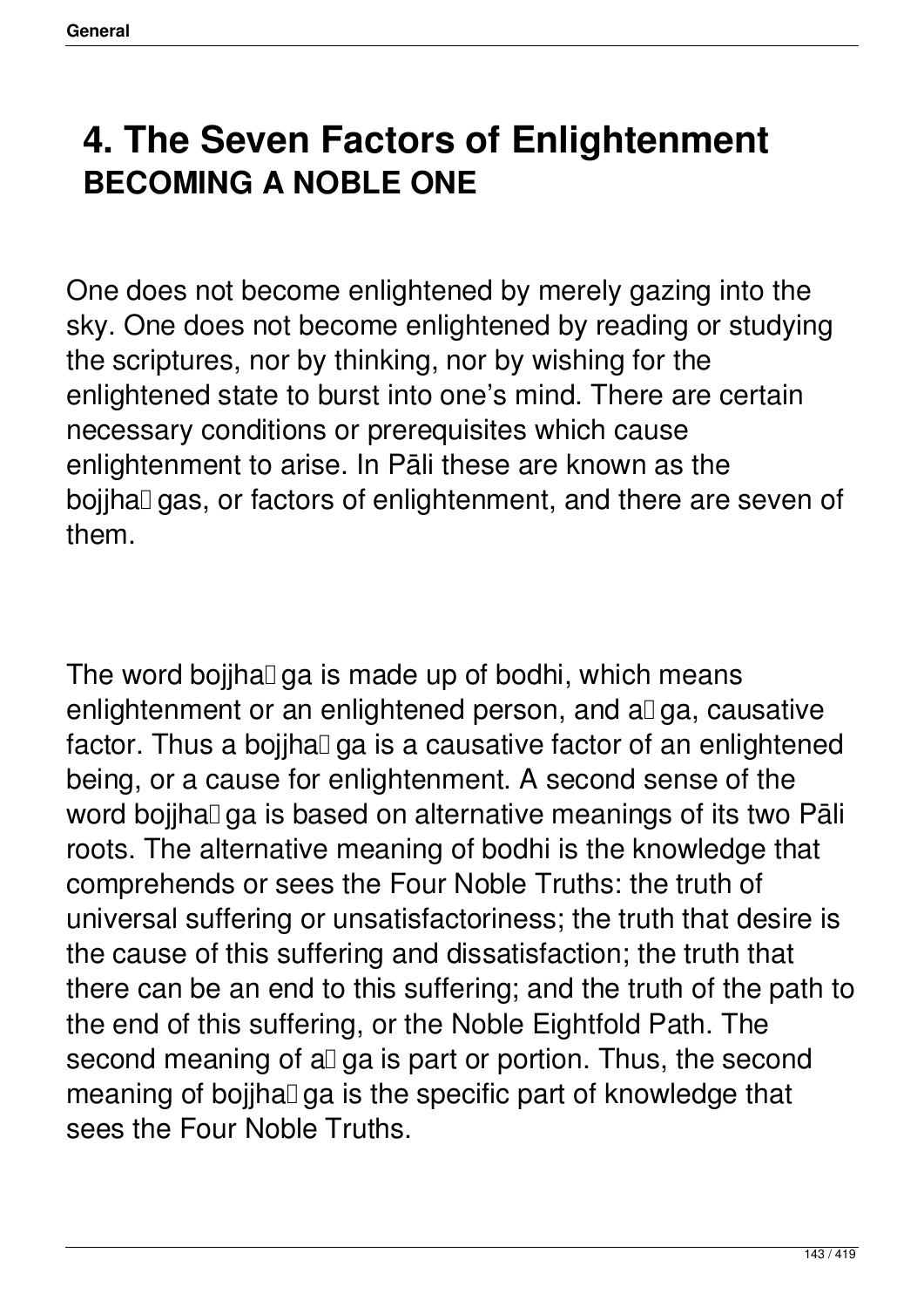# **4. The Seven Factors of Enlightenment BECOMING A NOBLE ONE**

One does not become enlightened by merely gazing into the sky. One does not become enlightened by reading or studying the scriptures, nor by thinking, nor by wishing for the enlightened state to burst into one's mind. There are certain necessary conditions or prerequisites which cause enlightenment to arise. In Pāli these are known as the bojihal gas, or factors of enlightenment, and there are seven of them.

The word bojjha $\Box$  ga is made up of bodhi, which means enlightenment or an enlightened person, and  $a\Box g a$ , causative factor. Thus a bojjhal ga is a causative factor of an enlightened being, or a cause for enlightenment. A second sense of the word bojjhal ga is based on alternative meanings of its two Pāli roots. The alternative meaning of bodhi is the knowledge that comprehends or sees the Four Noble Truths: the truth of universal suffering or unsatisfactoriness; the truth that desire is the cause of this suffering and dissatisfaction; the truth that there can be an end to this suffering; and the truth of the path to the end of this suffering, or the Noble Eightfold Path. The second meaning of a $\Box$ ga is part or portion. Thus, the second meaning of bojjha $\Box$  ga is the specific part of knowledge that sees the Four Noble Truths.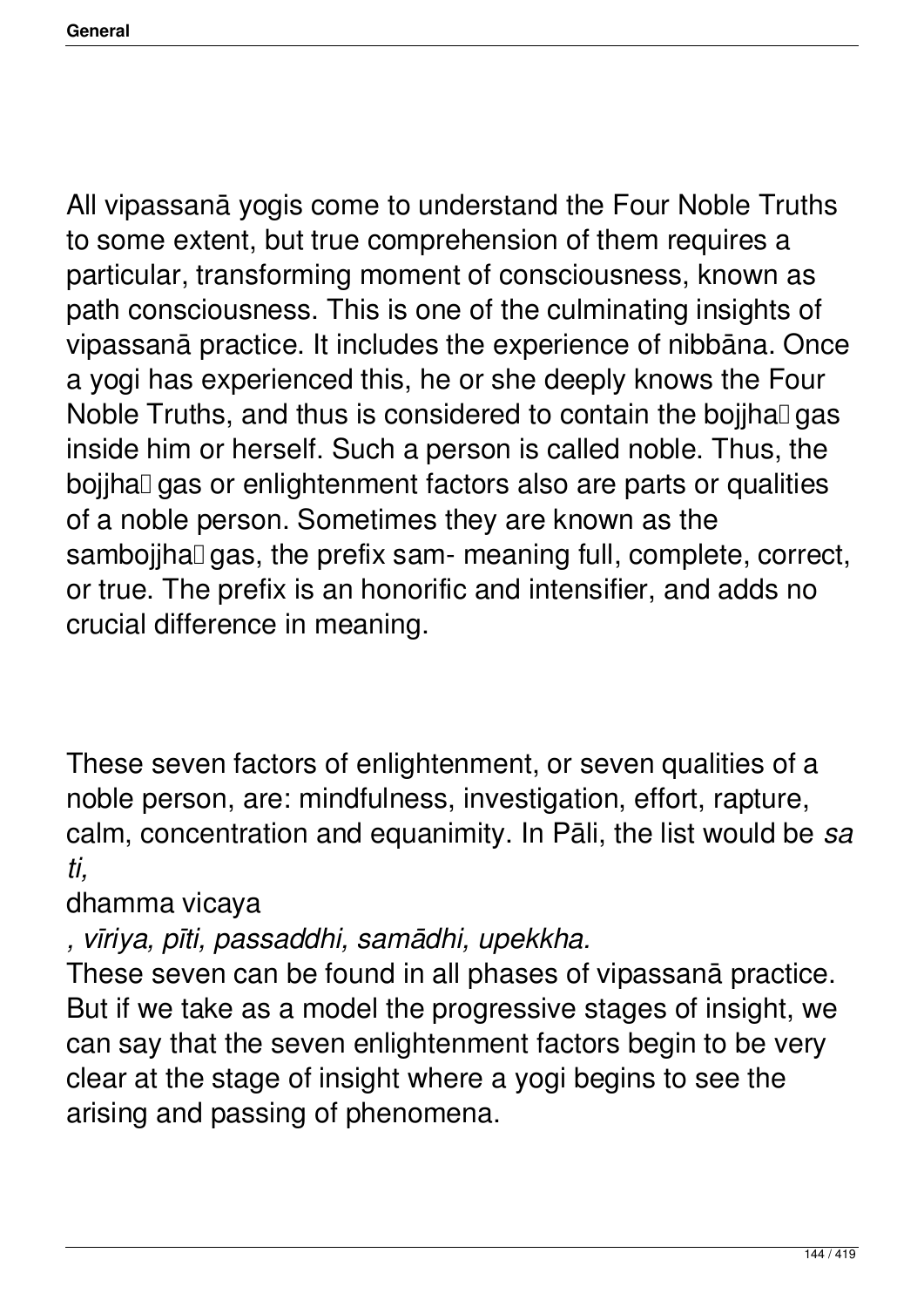All vipassanā yogis come to understand the Four Noble Truths to some extent, but true comprehension of them requires a particular, transforming moment of consciousness, known as path consciousness. This is one of the culminating insights of vipassanā practice. It includes the experience of nibbāna. Once a yogi has experienced this, he or she deeply knows the Four Noble Truths, and thus is considered to contain the bojjha $\square$  gas inside him or herself. Such a person is called noble. Thus, the bojihal gas or enlightenment factors also are parts or qualities of a noble person. Sometimes they are known as the sambojihal gas, the prefix sam- meaning full, complete, correct, or true. The prefix is an honorific and intensifier, and adds no crucial difference in meaning.

These seven factors of enlightenment, or seven qualities of a noble person, are: mindfulness, investigation, effort, rapture, calm, concentration and equanimity. In Pāli, the list would be *sa ti,* 

dhamma vicaya

*, vīriya, pīti, passaddhi, samādhi, upekkha.* 

These seven can be found in all phases of vipassanā practice. But if we take as a model the progressive stages of insight, we can say that the seven enlightenment factors begin to be very clear at the stage of insight where a yogi begins to see the arising and passing of phenomena.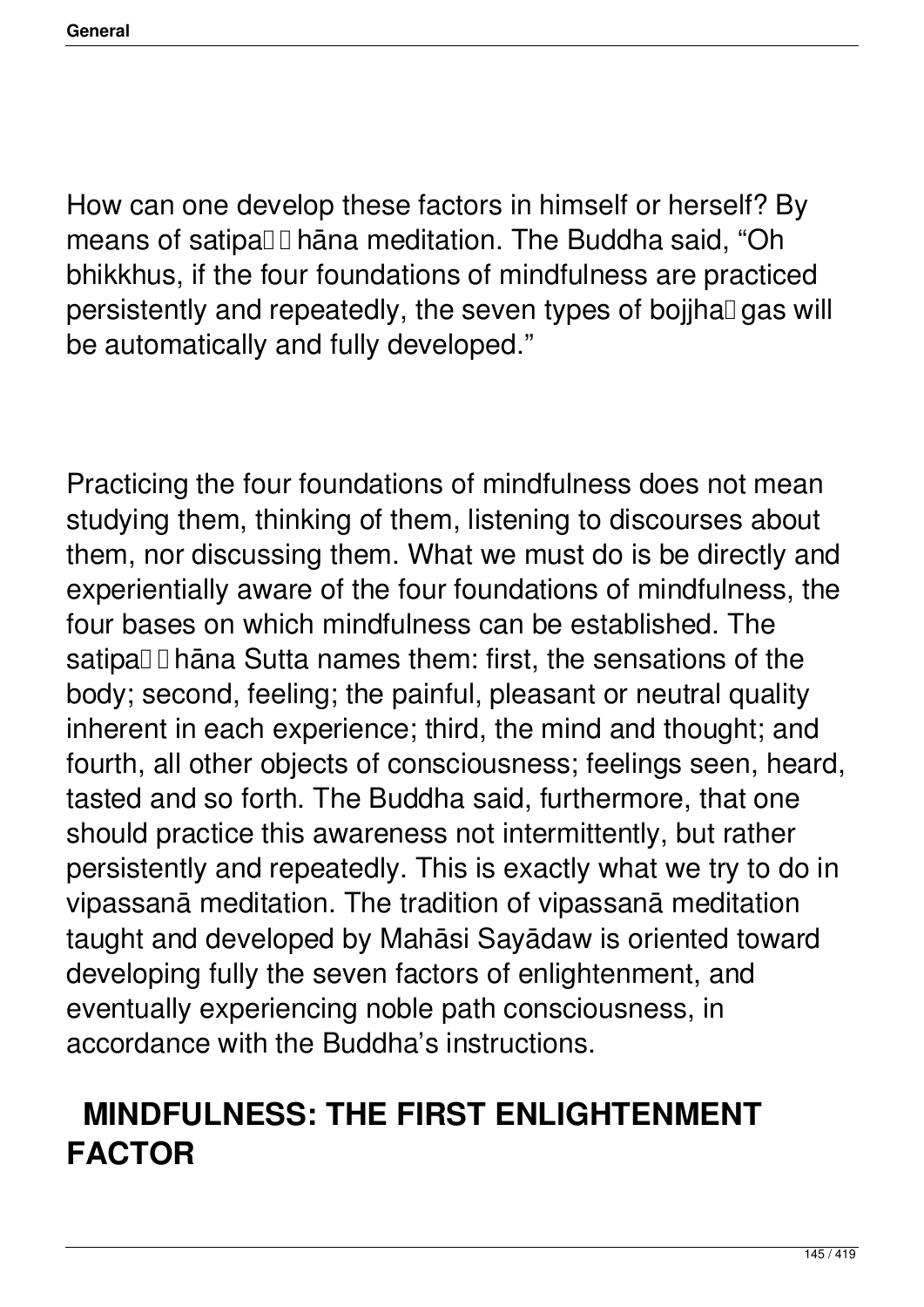How can one develop these factors in himself or herself? By means of satipall hāna meditation. The Buddha said, "Oh bhikkhus, if the four foundations of mindfulness are practiced persistently and repeatedly, the seven types of bojjhal gas will be automatically and fully developed."

Practicing the four foundations of mindfulness does not mean studying them, thinking of them, listening to discourses about them, nor discussing them. What we must do is be directly and experientially aware of the four foundations of mindfulness, the four bases on which mindfulness can be established. The satipall hāna Sutta names them: first, the sensations of the body; second, feeling; the painful, pleasant or neutral quality inherent in each experience; third, the mind and thought; and fourth, all other objects of consciousness; feelings seen, heard, tasted and so forth. The Buddha said, furthermore, that one should practice this awareness not intermittently, but rather persistently and repeatedly. This is exactly what we try to do in vipassanā meditation. The tradition of vipassanā meditation taught and developed by Mahāsi Sayādaw is oriented toward developing fully the seven factors of enlightenment, and eventually experiencing noble path consciousness, in accordance with the Buddha's instructions.

# **MINDFULNESS: THE FIRST ENLIGHTENMENT FACTOR**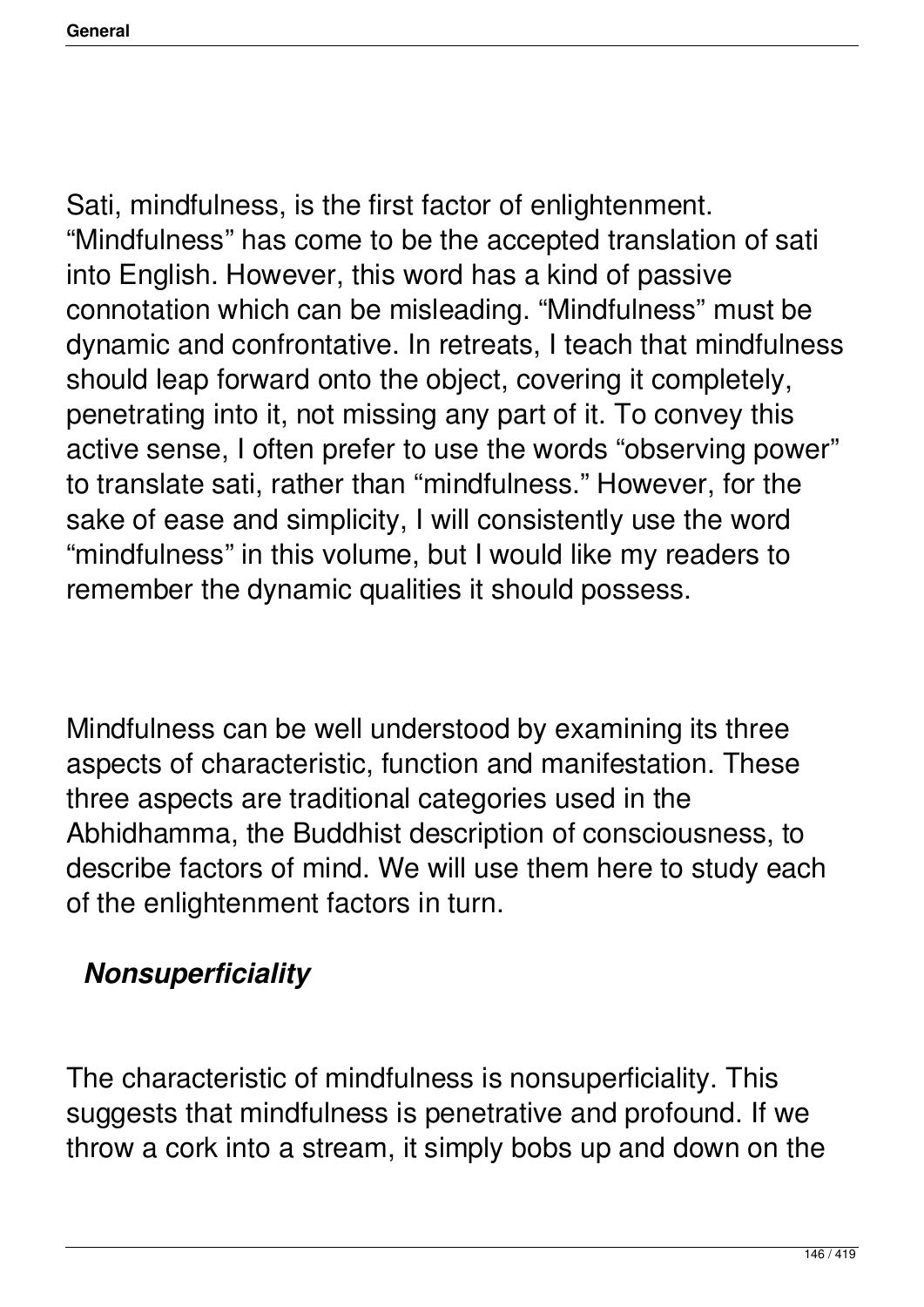Sati, mindfulness, is the first factor of enlightenment. "Mindfulness" has come to be the accepted translation of sati into English. However, this word has a kind of passive connotation which can be misleading. "Mindfulness" must be dynamic and confrontative. In retreats, I teach that mindfulness should leap forward onto the object, covering it completely, penetrating into it, not missing any part of it. To convey this active sense, I often prefer to use the words "observing power" to translate sati, rather than "mindfulness." However, for the sake of ease and simplicity, I will consistently use the word "mindfulness" in this volume, but I would like my readers to remember the dynamic qualities it should possess.

Mindfulness can be well understood by examining its three aspects of characteristic, function and manifestation. These three aspects are traditional categories used in the Abhidhamma, the Buddhist description of consciousness, to describe factors of mind. We will use them here to study each of the enlightenment factors in turn.

#### *Nonsuperficiality*

The characteristic of mindfulness is nonsuperficiality. This suggests that mindfulness is penetrative and profound. If we throw a cork into a stream, it simply bobs up and down on the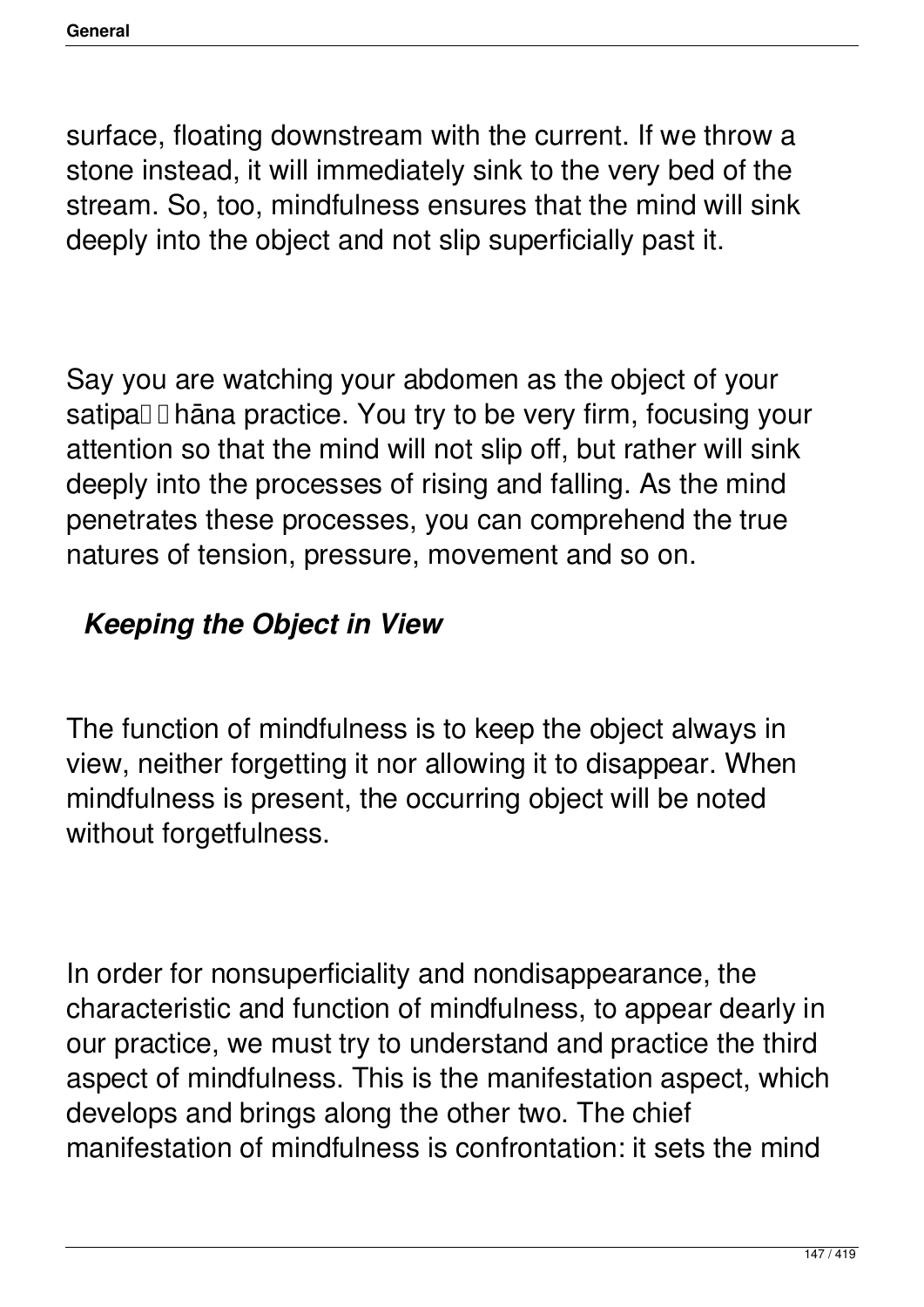surface, floating downstream with the current. If we throw a stone instead, it will immediately sink to the very bed of the stream. So, too, mindfulness ensures that the mind will sink deeply into the object and not slip superficially past it.

Say you are watching your abdomen as the object of your satipall hāna practice. You try to be very firm, focusing your attention so that the mind will not slip off, but rather will sink deeply into the processes of rising and falling. As the mind penetrates these processes, you can comprehend the true natures of tension, pressure, movement and so on.

## *Keeping the Object in View*

The function of mindfulness is to keep the object always in view, neither forgetting it nor allowing it to disappear. When mindfulness is present, the occurring object will be noted without forgetfulness.

In order for nonsuperficiality and nondisappearance, the characteristic and function of mindfulness, to appear dearly in our practice, we must try to understand and practice the third aspect of mindfulness. This is the manifestation aspect, which develops and brings along the other two. The chief manifestation of mindfulness is confrontation: it sets the mind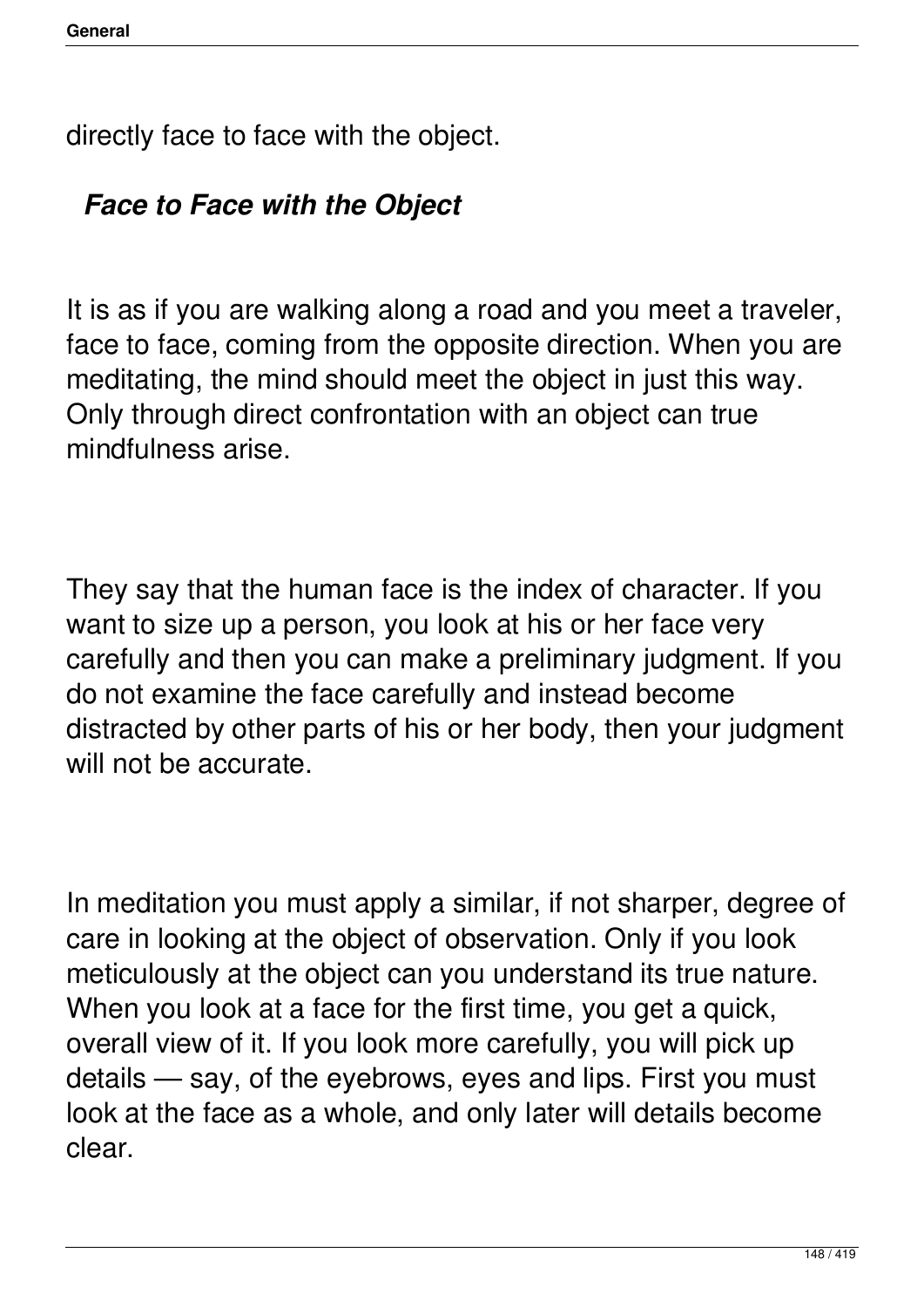directly face to face with the object.

## *Face to Face with the Object*

It is as if you are walking along a road and you meet a traveler, face to face, coming from the opposite direction. When you are meditating, the mind should meet the object in just this way. Only through direct confrontation with an object can true mindfulness arise.

They say that the human face is the index of character. If you want to size up a person, you look at his or her face very carefully and then you can make a preliminary judgment. If you do not examine the face carefully and instead become distracted by other parts of his or her body, then your judgment will not be accurate.

In meditation you must apply a similar, if not sharper, degree of care in looking at the object of observation. Only if you look meticulously at the object can you understand its true nature. When you look at a face for the first time, you get a quick, overall view of it. If you look more carefully, you will pick up details — say, of the eyebrows, eyes and lips. First you must look at the face as a whole, and only later will details become clear.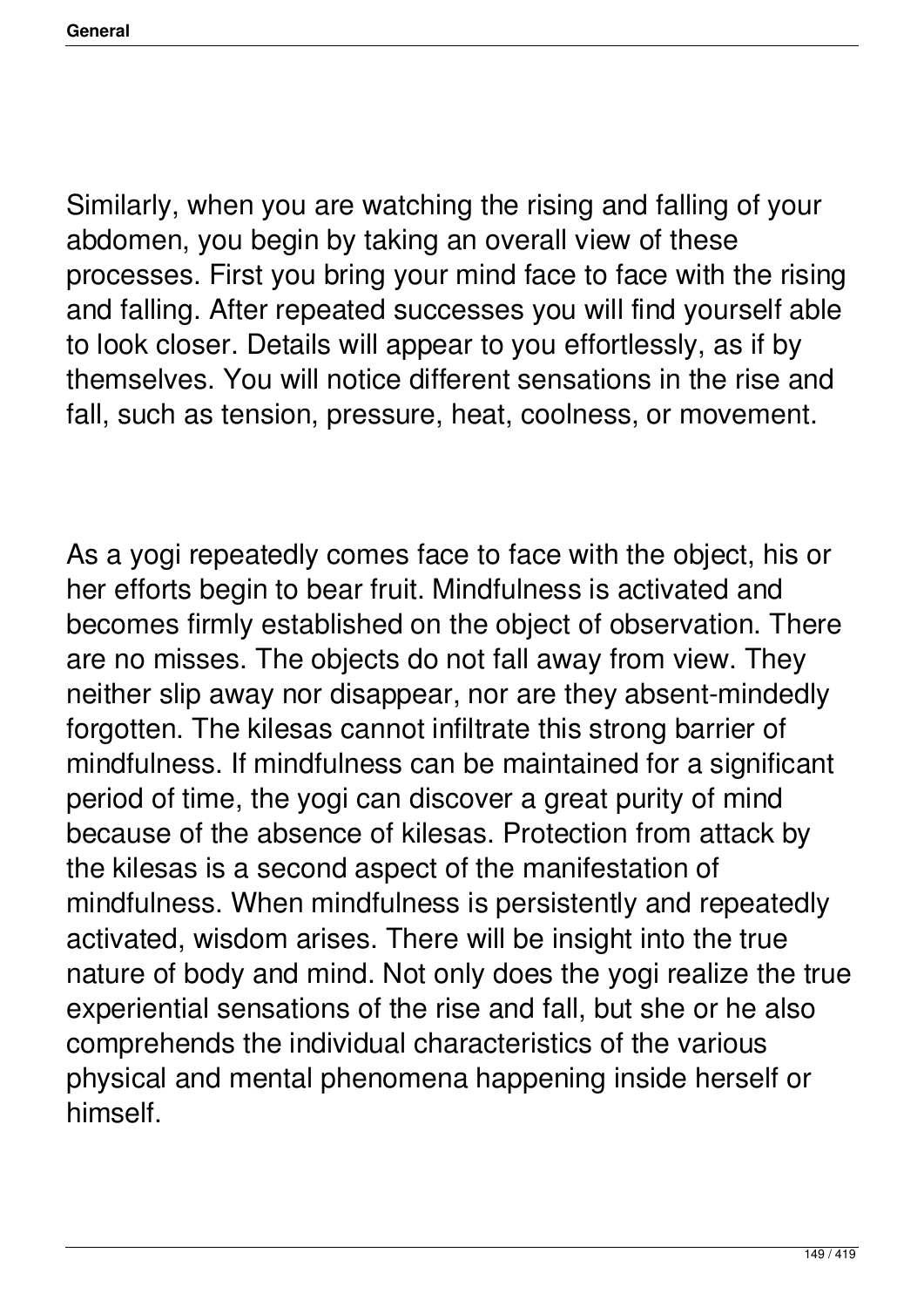Similarly, when you are watching the rising and falling of your abdomen, you begin by taking an overall view of these processes. First you bring your mind face to face with the rising and falling. After repeated successes you will find yourself able to look closer. Details will appear to you effortlessly, as if by themselves. You will notice different sensations in the rise and fall, such as tension, pressure, heat, coolness, or movement.

As a yogi repeatedly comes face to face with the object, his or her efforts begin to bear fruit. Mindfulness is activated and becomes firmly established on the object of observation. There are no misses. The objects do not fall away from view. They neither slip away nor disappear, nor are they absent-mindedly forgotten. The kilesas cannot infiltrate this strong barrier of mindfulness. If mindfulness can be maintained for a significant period of time, the yogi can discover a great purity of mind because of the absence of kilesas. Protection from attack by the kilesas is a second aspect of the manifestation of mindfulness. When mindfulness is persistently and repeatedly activated, wisdom arises. There will be insight into the true nature of body and mind. Not only does the yogi realize the true experiential sensations of the rise and fall, but she or he also comprehends the individual characteristics of the various physical and mental phenomena happening inside herself or himself.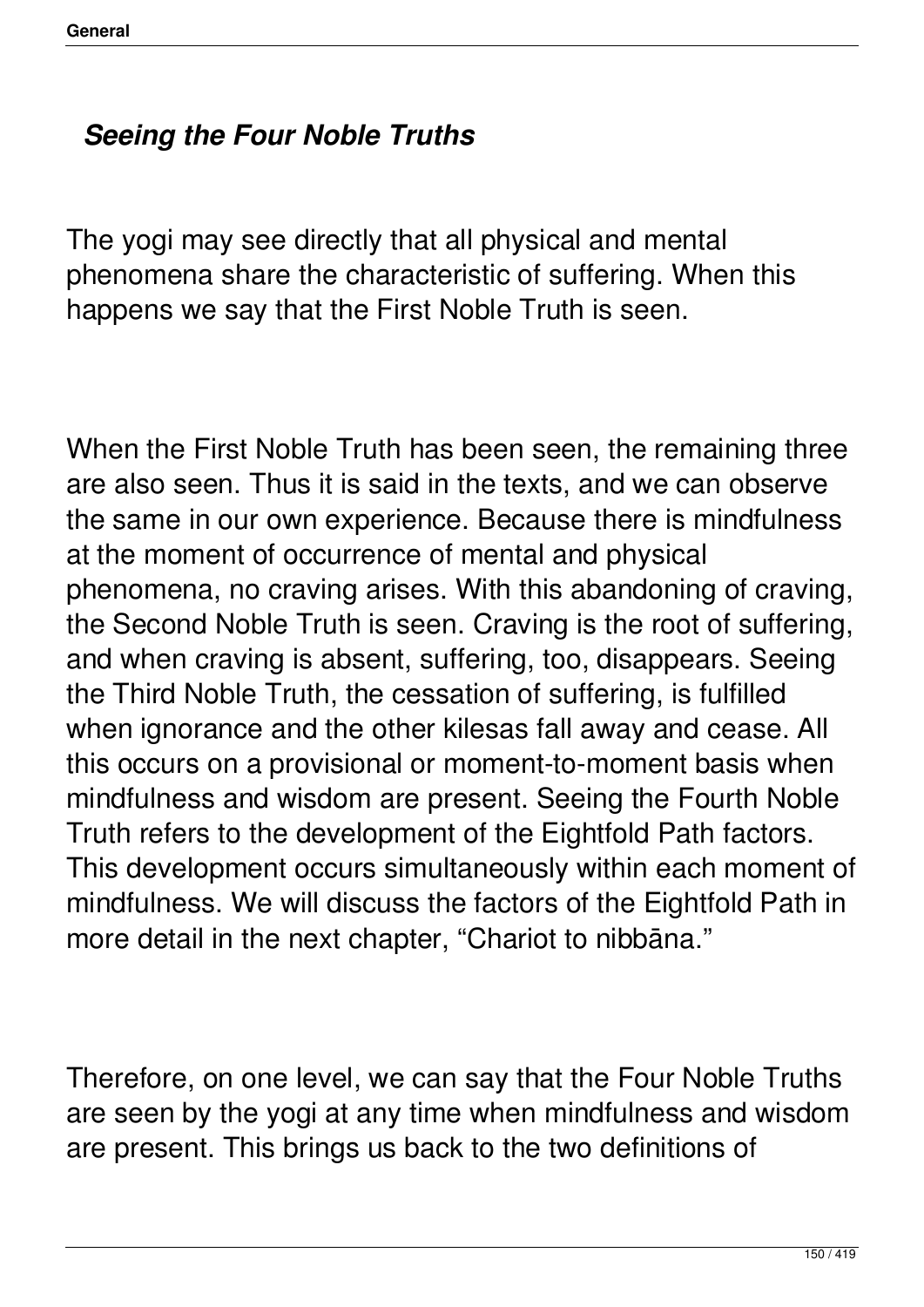#### *Seeing the Four Noble Truths*

The yogi may see directly that all physical and mental phenomena share the characteristic of suffering. When this happens we say that the First Noble Truth is seen.

When the First Noble Truth has been seen, the remaining three are also seen. Thus it is said in the texts, and we can observe the same in our own experience. Because there is mindfulness at the moment of occurrence of mental and physical phenomena, no craving arises. With this abandoning of craving, the Second Noble Truth is seen. Craving is the root of suffering, and when craving is absent, suffering, too, disappears. Seeing the Third Noble Truth, the cessation of suffering, is fulfilled when ignorance and the other kilesas fall away and cease. All this occurs on a provisional or moment-to-moment basis when mindfulness and wisdom are present. Seeing the Fourth Noble Truth refers to the development of the Eightfold Path factors. This development occurs simultaneously within each moment of mindfulness. We will discuss the factors of the Eightfold Path in more detail in the next chapter, "Chariot to nibbāna."

Therefore, on one level, we can say that the Four Noble Truths are seen by the yogi at any time when mindfulness and wisdom are present. This brings us back to the two definitions of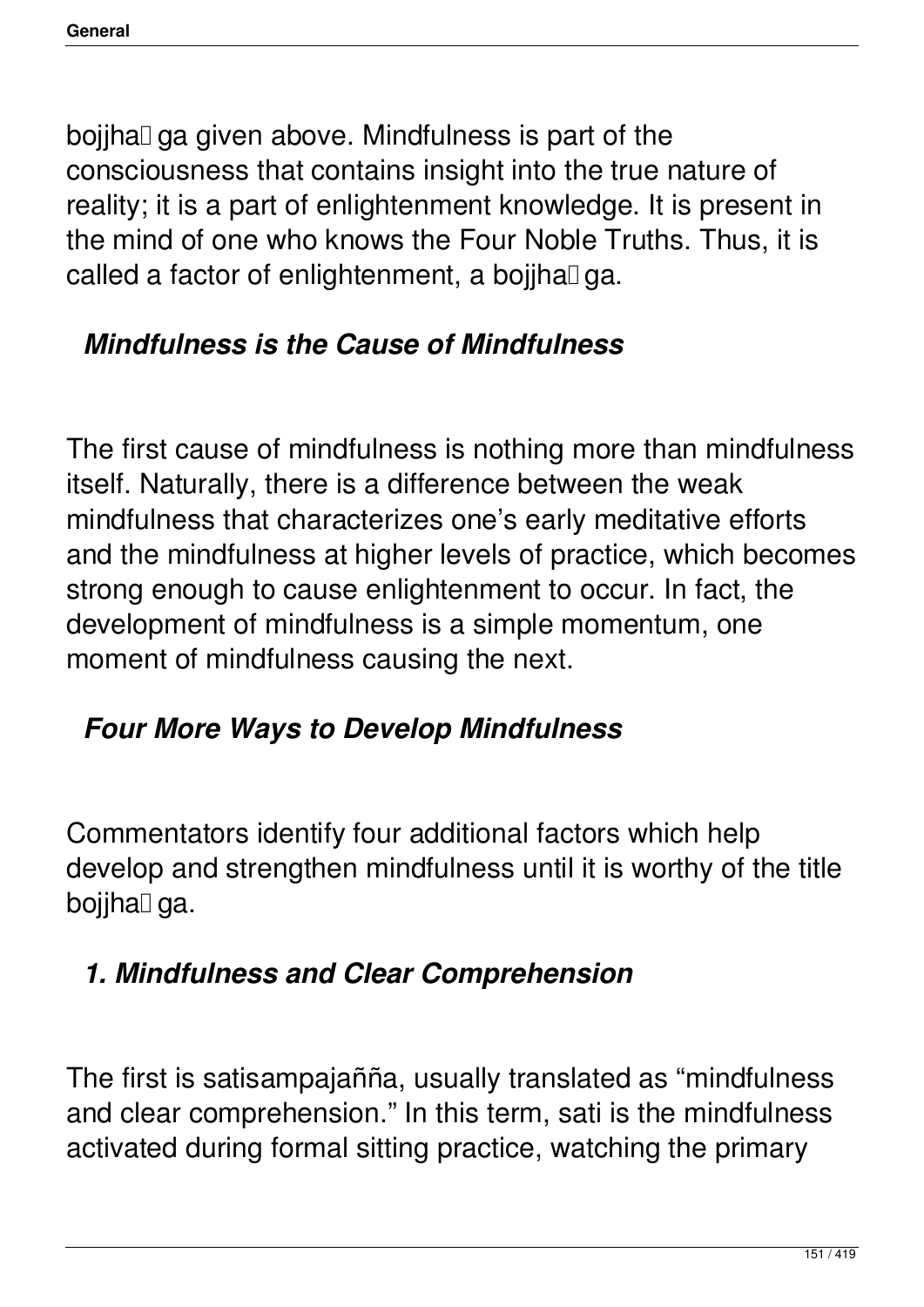bojiha $\Box$  ga given above. Mindfulness is part of the consciousness that contains insight into the true nature of reality; it is a part of enlightenment knowledge. It is present in the mind of one who knows the Four Noble Truths. Thus, it is called a factor of enlightenment, a bojjha $\square$ ga.

## *Mindfulness is the Cause of Mindfulness*

The first cause of mindfulness is nothing more than mindfulness itself. Naturally, there is a difference between the weak mindfulness that characterizes one's early meditative efforts and the mindfulness at higher levels of practice, which becomes strong enough to cause enlightenment to occur. In fact, the development of mindfulness is a simple momentum, one moment of mindfulness causing the next.

## *Four More Ways to Develop Mindfulness*

Commentators identify four additional factors which help develop and strengthen mindfulness until it is worthy of the title bojjhal ga.

# *1. Mindfulness and Clear Comprehension*

The first is satisampajañña, usually translated as "mindfulness and clear comprehension." In this term, sati is the mindfulness activated during formal sitting practice, watching the primary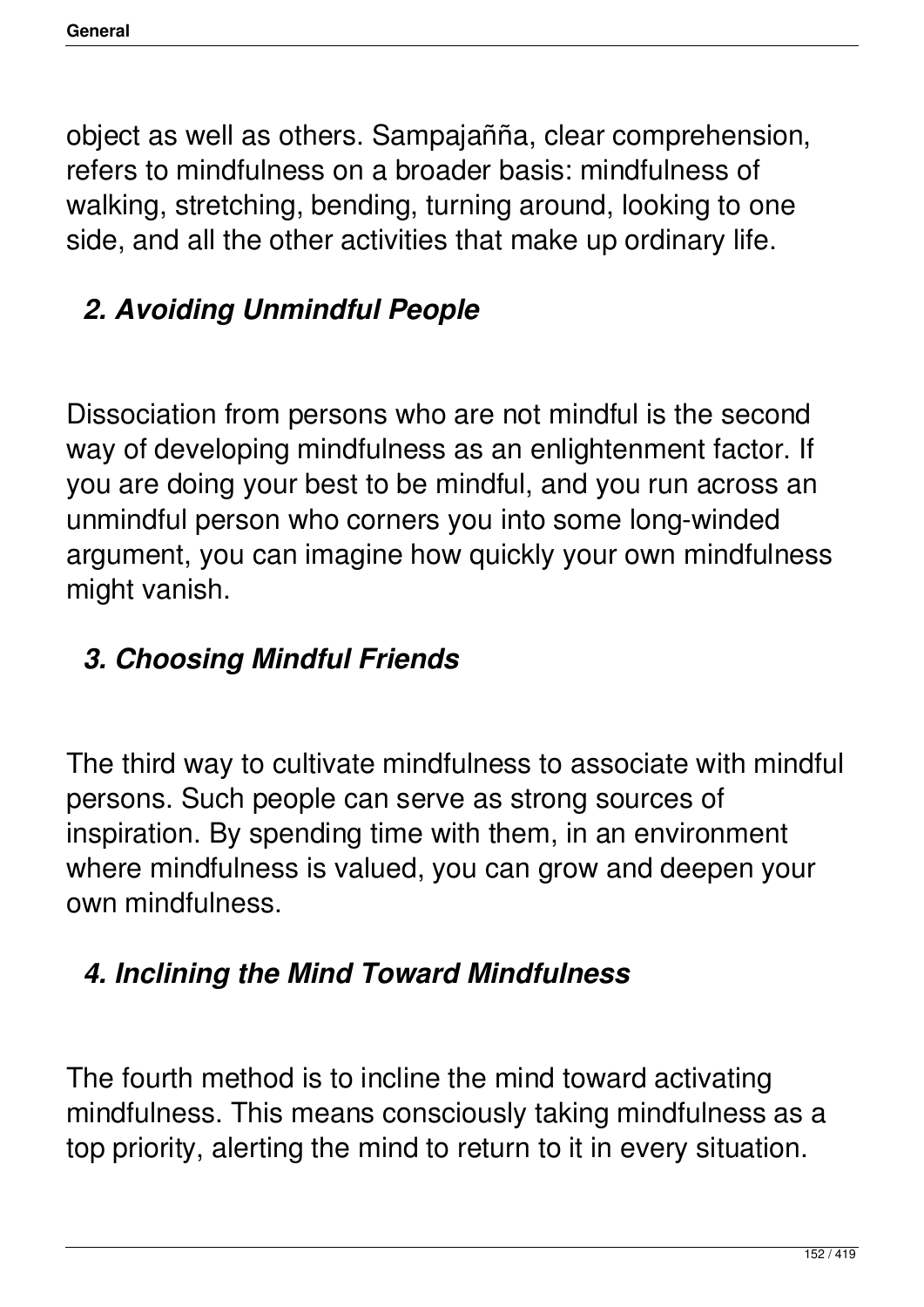object as well as others. Sampajañña, clear comprehension, refers to mindfulness on a broader basis: mindfulness of walking, stretching, bending, turning around, looking to one side, and all the other activities that make up ordinary life.

## *2. Avoiding Unmindful People*

Dissociation from persons who are not mindful is the second way of developing mindfulness as an enlightenment factor. If you are doing your best to be mindful, and you run across an unmindful person who corners you into some long-winded argument, you can imagine how quickly your own mindfulness might vanish.

## *3. Choosing Mindful Friends*

The third way to cultivate mindfulness to associate with mindful persons. Such people can serve as strong sources of inspiration. By spending time with them, in an environment where mindfulness is valued, you can grow and deepen your own mindfulness.

# *4. Inclining the Mind Toward Mindfulness*

The fourth method is to incline the mind toward activating mindfulness. This means consciously taking mindfulness as a top priority, alerting the mind to return to it in every situation.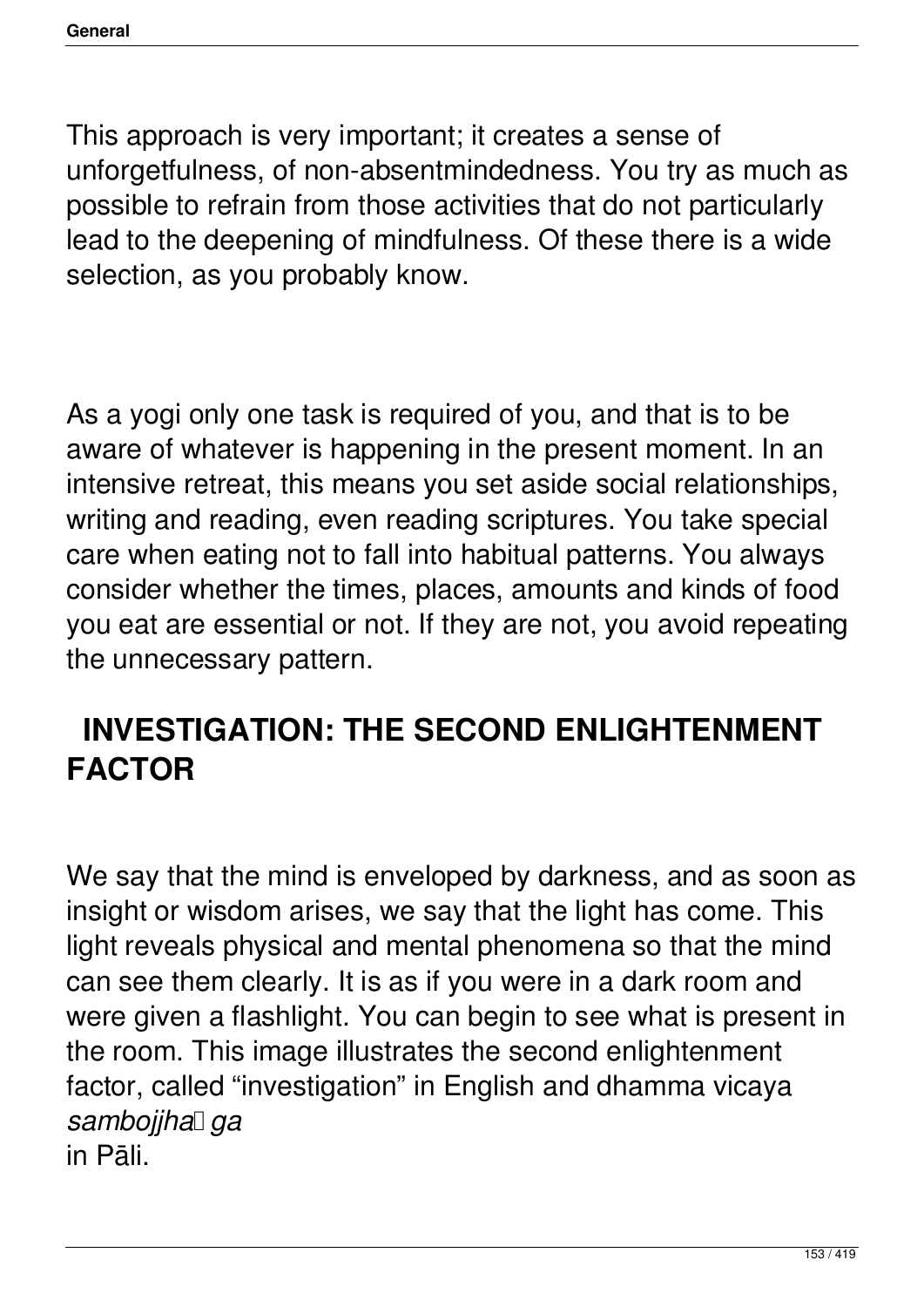This approach is very important; it creates a sense of unforgetfulness, of non-absentmindedness. You try as much as possible to refrain from those activities that do not particularly lead to the deepening of mindfulness. Of these there is a wide selection, as you probably know.

As a yogi only one task is required of you, and that is to be aware of whatever is happening in the present moment. In an intensive retreat, this means you set aside social relationships, writing and reading, even reading scriptures. You take special care when eating not to fall into habitual patterns. You always consider whether the times, places, amounts and kinds of food you eat are essential or not. If they are not, you avoid repeating the unnecessary pattern.

# **INVESTIGATION: THE SECOND ENLIGHTENMENT FACTOR**

We say that the mind is enveloped by darkness, and as soon as insight or wisdom arises, we say that the light has come. This light reveals physical and mental phenomena so that the mind can see them clearly. It is as if you were in a dark room and were given a flashlight. You can begin to see what is present in the room. This image illustrates the second enlightenment factor, called "investigation" in English and dhamma vicaya sambojjha**l** ga in Pāli.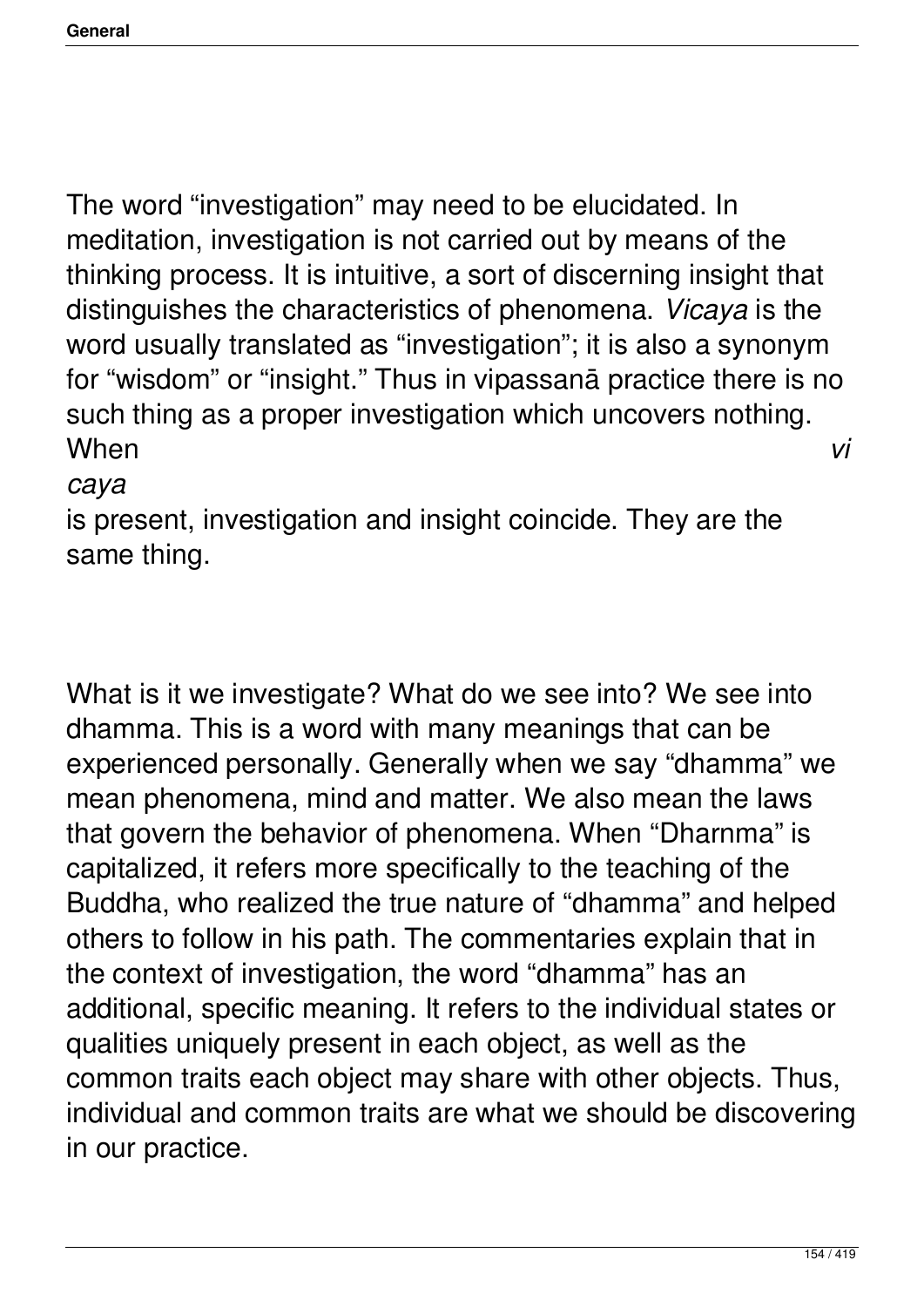The word "investigation" may need to be elucidated. In meditation, investigation is not carried out by means of the thinking process. It is intuitive, a sort of discerning insight that distinguishes the characteristics of phenomena. *Vicaya* is the word usually translated as "investigation"; it is also a synonym for "wisdom" or "insight." Thus in vipassanā practice there is no such thing as a proper investigation which uncovers nothing. When *vi*

#### *caya*

is present, investigation and insight coincide. They are the same thing.

What is it we investigate? What do we see into? We see into dhamma. This is a word with many meanings that can be experienced personally. Generally when we say "dhamma" we mean phenomena, mind and matter. We also mean the laws that govern the behavior of phenomena. When "Dharnma" is capitalized, it refers more specifically to the teaching of the Buddha, who realized the true nature of "dhamma" and helped others to follow in his path. The commentaries explain that in the context of investigation, the word "dhamma" has an additional, specific meaning. It refers to the individual states or qualities uniquely present in each object, as well as the common traits each object may share with other objects. Thus, individual and common traits are what we should be discovering in our practice.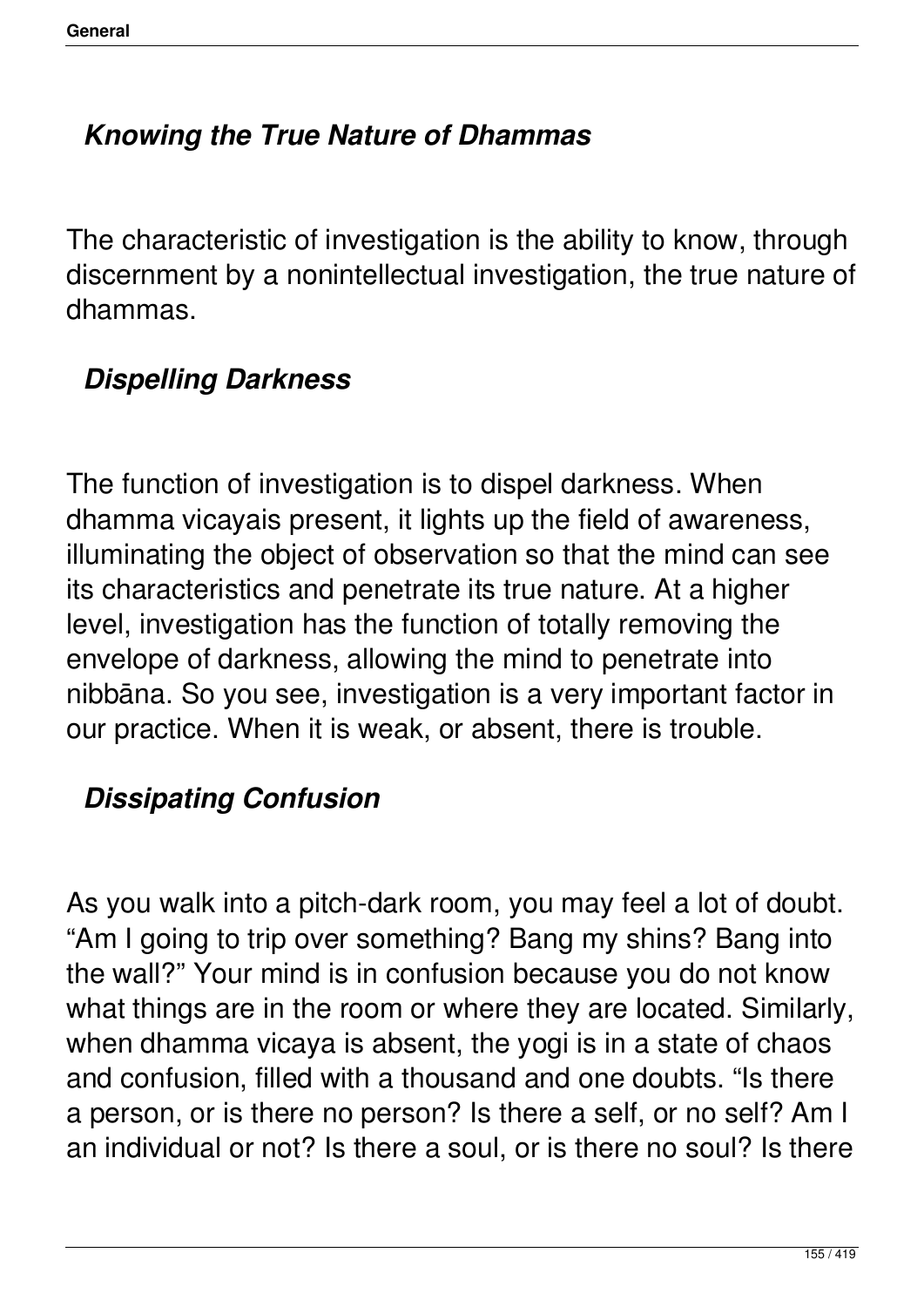## *Knowing the True Nature of Dhammas*

The characteristic of investigation is the ability to know, through discernment by a nonintellectual investigation, the true nature of dhammas.

## *Dispelling Darkness*

The function of investigation is to dispel darkness. When dhamma vicayais present, it lights up the field of awareness, illuminating the object of observation so that the mind can see its characteristics and penetrate its true nature. At a higher level, investigation has the function of totally removing the envelope of darkness, allowing the mind to penetrate into nibbāna. So you see, investigation is a very important factor in our practice. When it is weak, or absent, there is trouble.

#### *Dissipating Confusion*

As you walk into a pitch-dark room, you may feel a lot of doubt. "Am I going to trip over something? Bang my shins? Bang into the wall?" Your mind is in confusion because you do not know what things are in the room or where they are located. Similarly, when dhamma vicaya is absent, the yogi is in a state of chaos and confusion, filled with a thousand and one doubts. "Is there a person, or is there no person? Is there a self, or no self? Am I an individual or not? Is there a soul, or is there no soul? Is there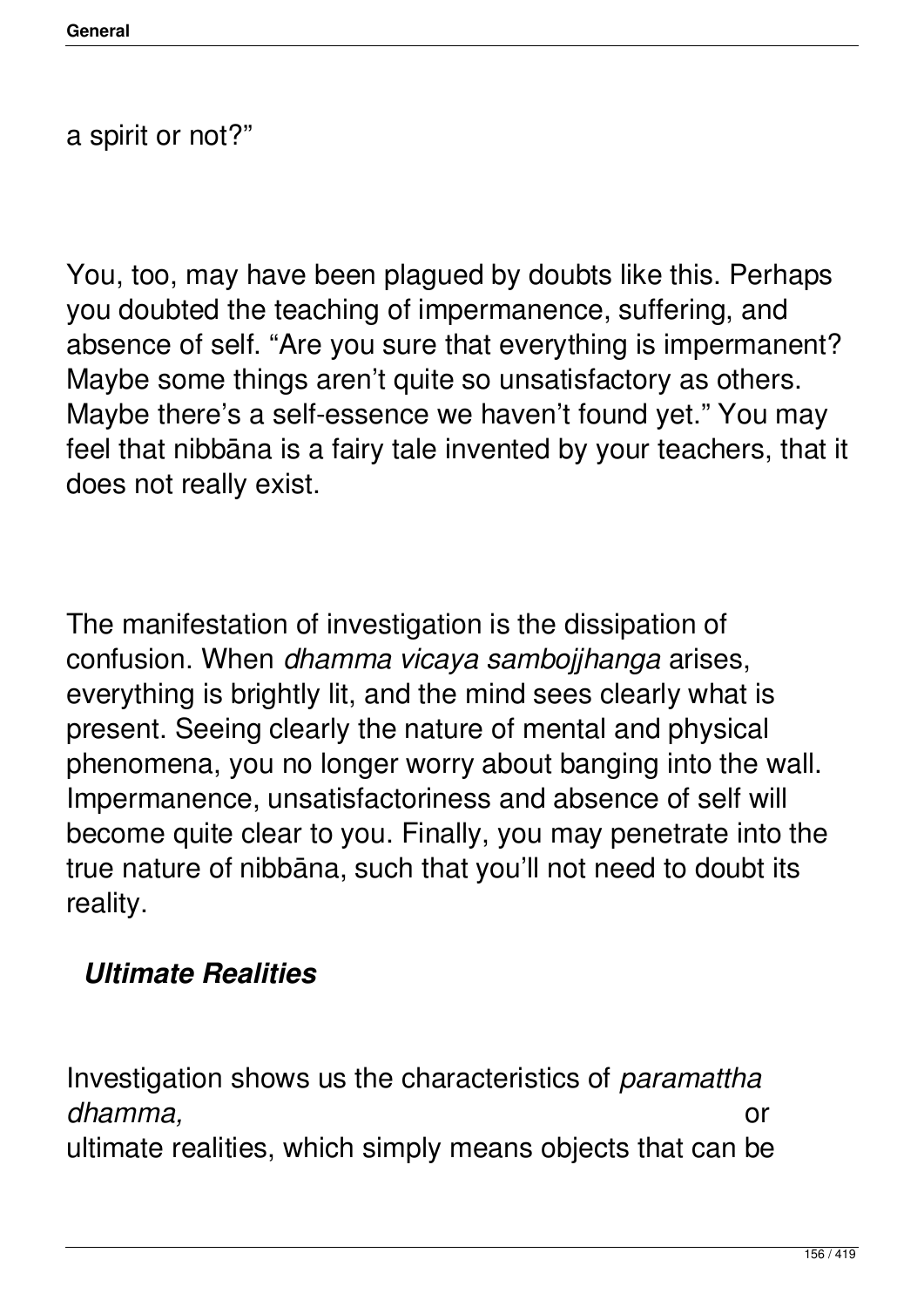a spirit or not?"

You, too, may have been plagued by doubts like this. Perhaps you doubted the teaching of impermanence, suffering, and absence of self. "Are you sure that everything is impermanent? Maybe some things aren't quite so unsatisfactory as others. Maybe there's a self-essence we haven't found yet." You may feel that nibbāna is a fairy tale invented by your teachers, that it does not really exist.

The manifestation of investigation is the dissipation of confusion. When *dhamma vicaya sambojjhanga* arises, everything is brightly lit, and the mind sees clearly what is present. Seeing clearly the nature of mental and physical phenomena, you no longer worry about banging into the wall. Impermanence, unsatisfactoriness and absence of self will become quite clear to you. Finally, you may penetrate into the true nature of nibbāna, such that you'll not need to doubt its reality.

## *Ultimate Realities*

Investigation shows us the characteristics of *paramattha dhamma,* or ultimate realities, which simply means objects that can be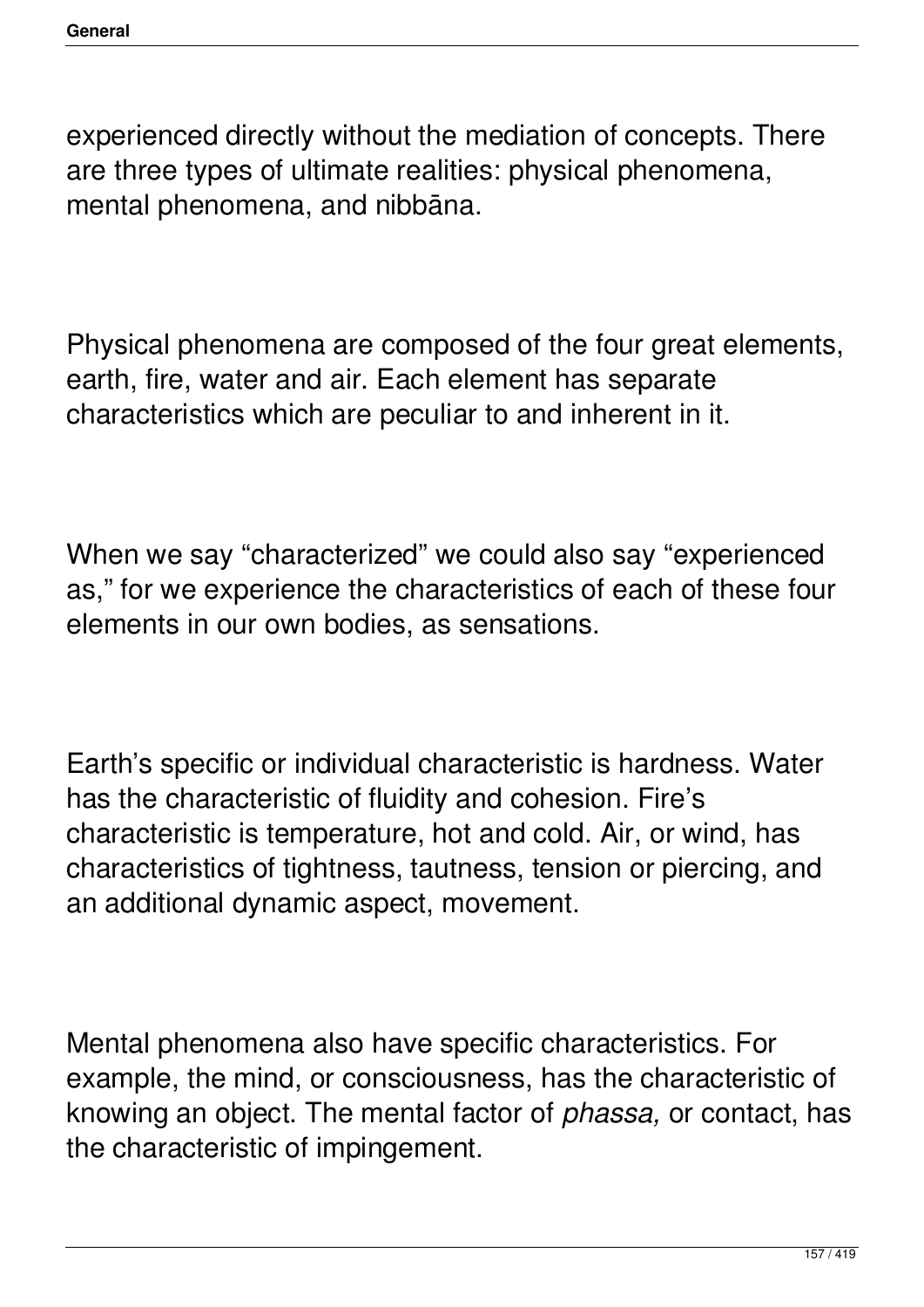experienced directly without the mediation of concepts. There are three types of ultimate realities: physical phenomena, mental phenomena, and nibbāna.

Physical phenomena are composed of the four great elements, earth, fire, water and air. Each element has separate characteristics which are peculiar to and inherent in it.

When we say "characterized" we could also say "experienced as," for we experience the characteristics of each of these four elements in our own bodies, as sensations.

Earth's specific or individual characteristic is hardness. Water has the characteristic of fluidity and cohesion. Fire's characteristic is temperature, hot and cold. Air, or wind, has characteristics of tightness, tautness, tension or piercing, and an additional dynamic aspect, movement.

Mental phenomena also have specific characteristics. For example, the mind, or consciousness, has the characteristic of knowing an object. The mental factor of *phassa,* or contact, has the characteristic of impingement.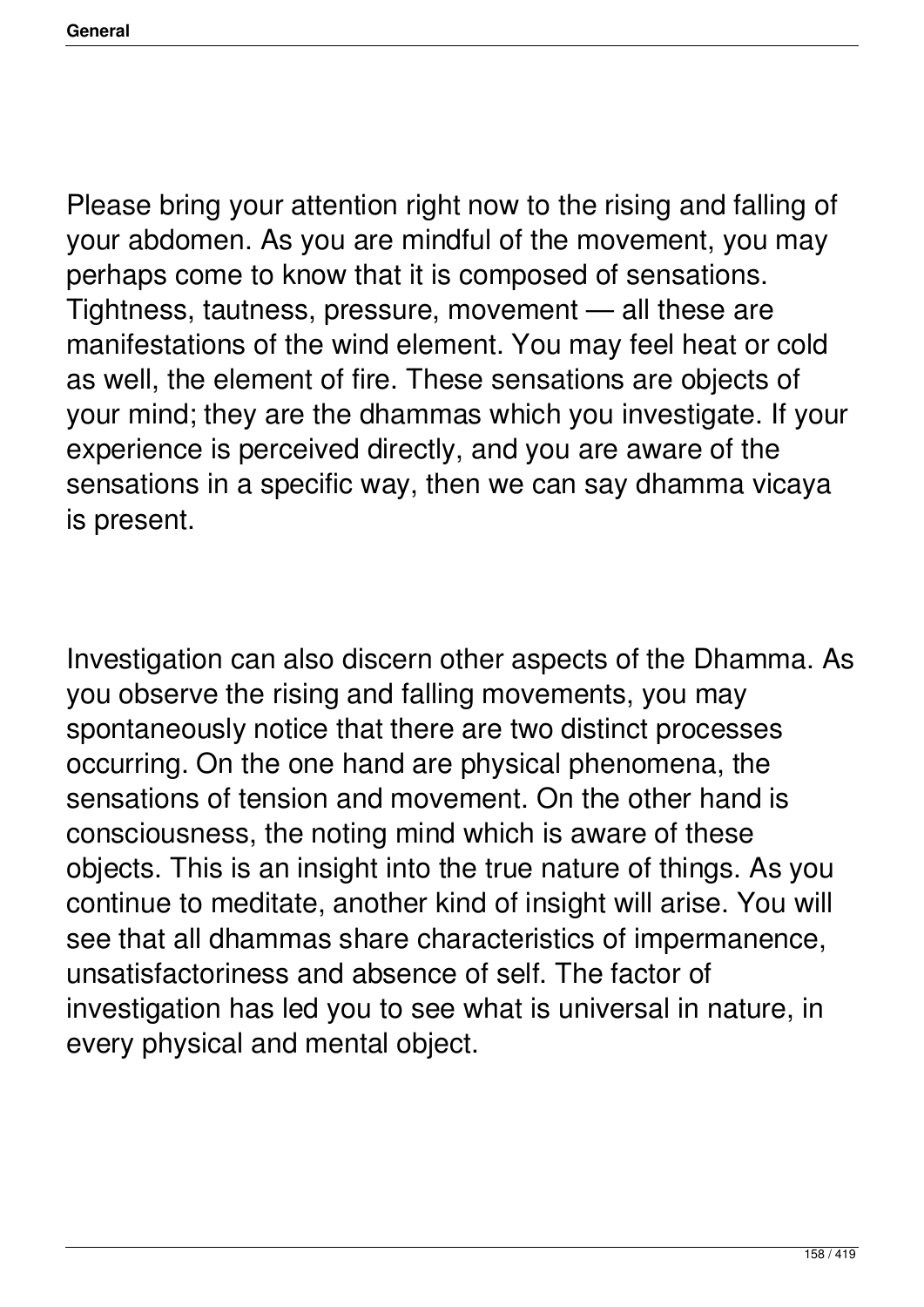Please bring your attention right now to the rising and falling of your abdomen. As you are mindful of the movement, you may perhaps come to know that it is composed of sensations. Tightness, tautness, pressure, movement — all these are manifestations of the wind element. You may feel heat or cold as well, the element of fire. These sensations are objects of your mind; they are the dhammas which you investigate. If your experience is perceived directly, and you are aware of the sensations in a specific way, then we can say dhamma vicaya is present.

Investigation can also discern other aspects of the Dhamma. As you observe the rising and falling movements, you may spontaneously notice that there are two distinct processes occurring. On the one hand are physical phenomena, the sensations of tension and movement. On the other hand is consciousness, the noting mind which is aware of these objects. This is an insight into the true nature of things. As you continue to meditate, another kind of insight will arise. You will see that all dhammas share characteristics of impermanence, unsatisfactoriness and absence of self. The factor of investigation has led you to see what is universal in nature, in every physical and mental object.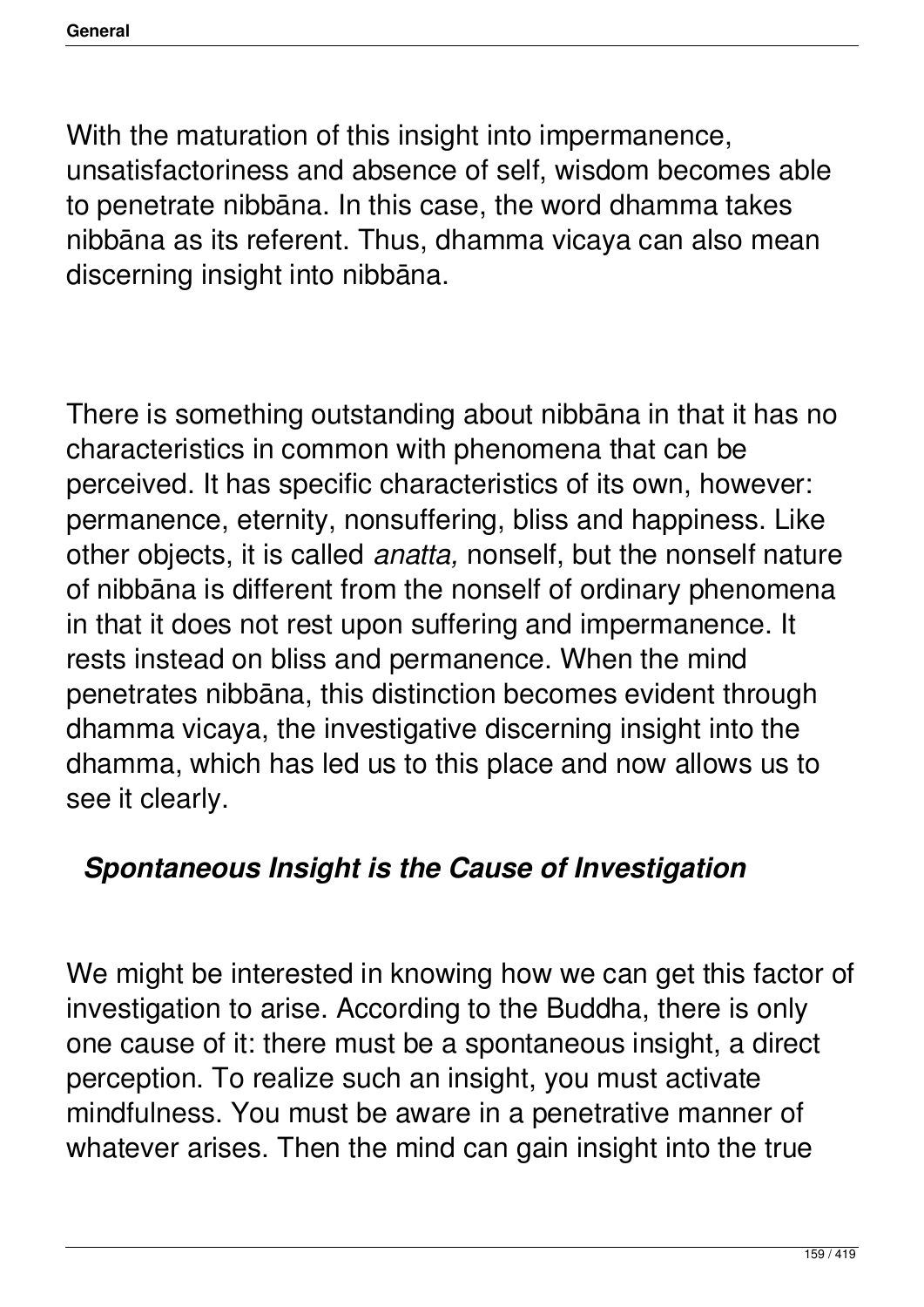With the maturation of this insight into impermanence, unsatisfactoriness and absence of self, wisdom becomes able to penetrate nibbāna. In this case, the word dhamma takes nibbāna as its referent. Thus, dhamma vicaya can also mean discerning insight into nibbāna.

There is something outstanding about nibbāna in that it has no characteristics in common with phenomena that can be perceived. It has specific characteristics of its own, however: permanence, eternity, nonsuffering, bliss and happiness. Like other objects, it is called *anatta,* nonself, but the nonself nature of nibbāna is different from the nonself of ordinary phenomena in that it does not rest upon suffering and impermanence. It rests instead on bliss and permanence. When the mind penetrates nibbāna, this distinction becomes evident through dhamma vicaya, the investigative discerning insight into the dhamma, which has led us to this place and now allows us to see it clearly.

## *Spontaneous Insight is the Cause of Investigation*

We might be interested in knowing how we can get this factor of investigation to arise. According to the Buddha, there is only one cause of it: there must be a spontaneous insight, a direct perception. To realize such an insight, you must activate mindfulness. You must be aware in a penetrative manner of whatever arises. Then the mind can gain insight into the true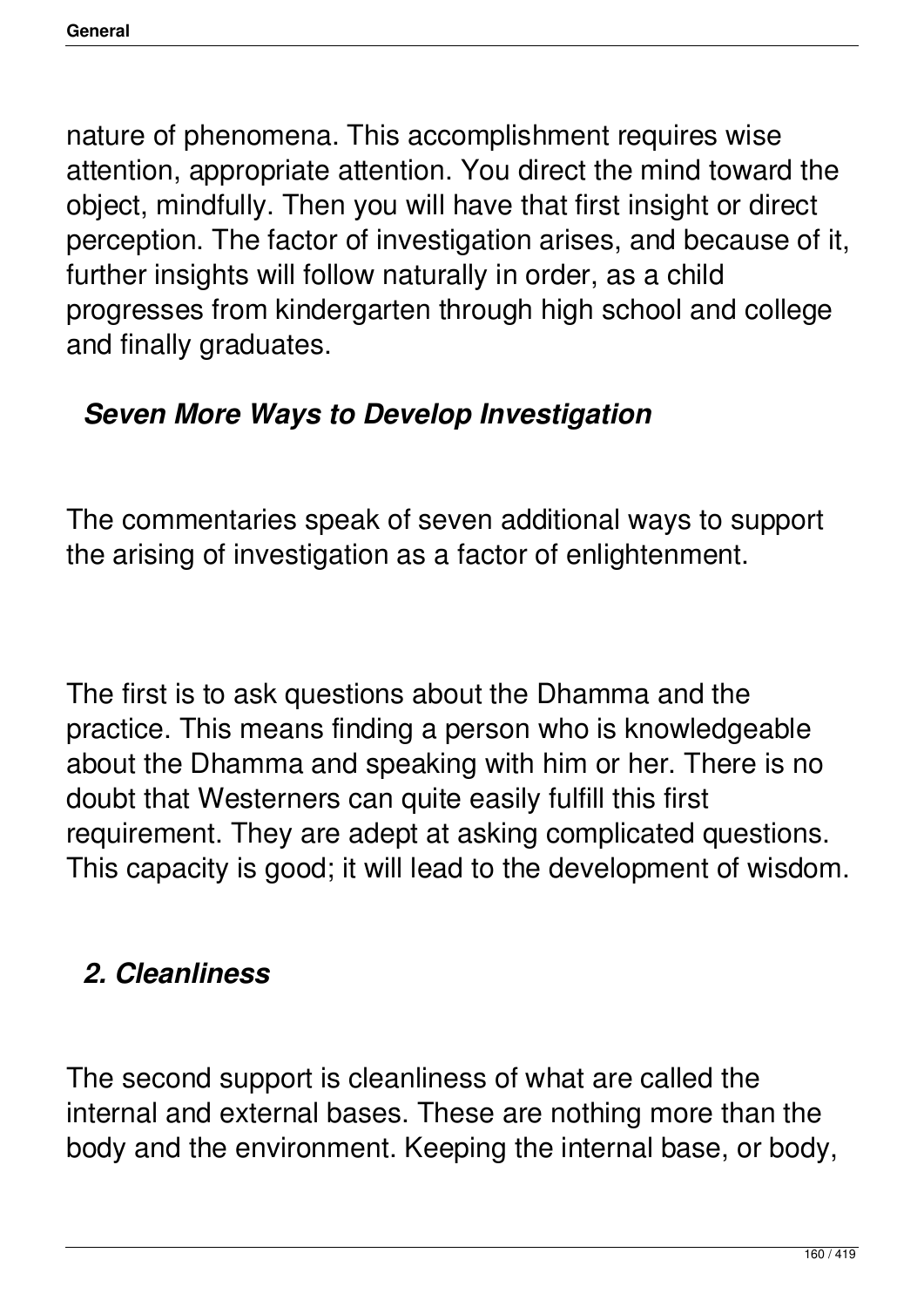nature of phenomena. This accomplishment requires wise attention, appropriate attention. You direct the mind toward the object, mindfully. Then you will have that first insight or direct perception. The factor of investigation arises, and because of it, further insights will follow naturally in order, as a child progresses from kindergarten through high school and college and finally graduates.

## *Seven More Ways to Develop Investigation*

The commentaries speak of seven additional ways to support the arising of investigation as a factor of enlightenment.

The first is to ask questions about the Dhamma and the practice. This means finding a person who is knowledgeable about the Dhamma and speaking with him or her. There is no doubt that Westerners can quite easily fulfill this first requirement. They are adept at asking complicated questions. This capacity is good; it will lead to the development of wisdom.

# *2. Cleanliness*

The second support is cleanliness of what are called the internal and external bases. These are nothing more than the body and the environment. Keeping the internal base, or body,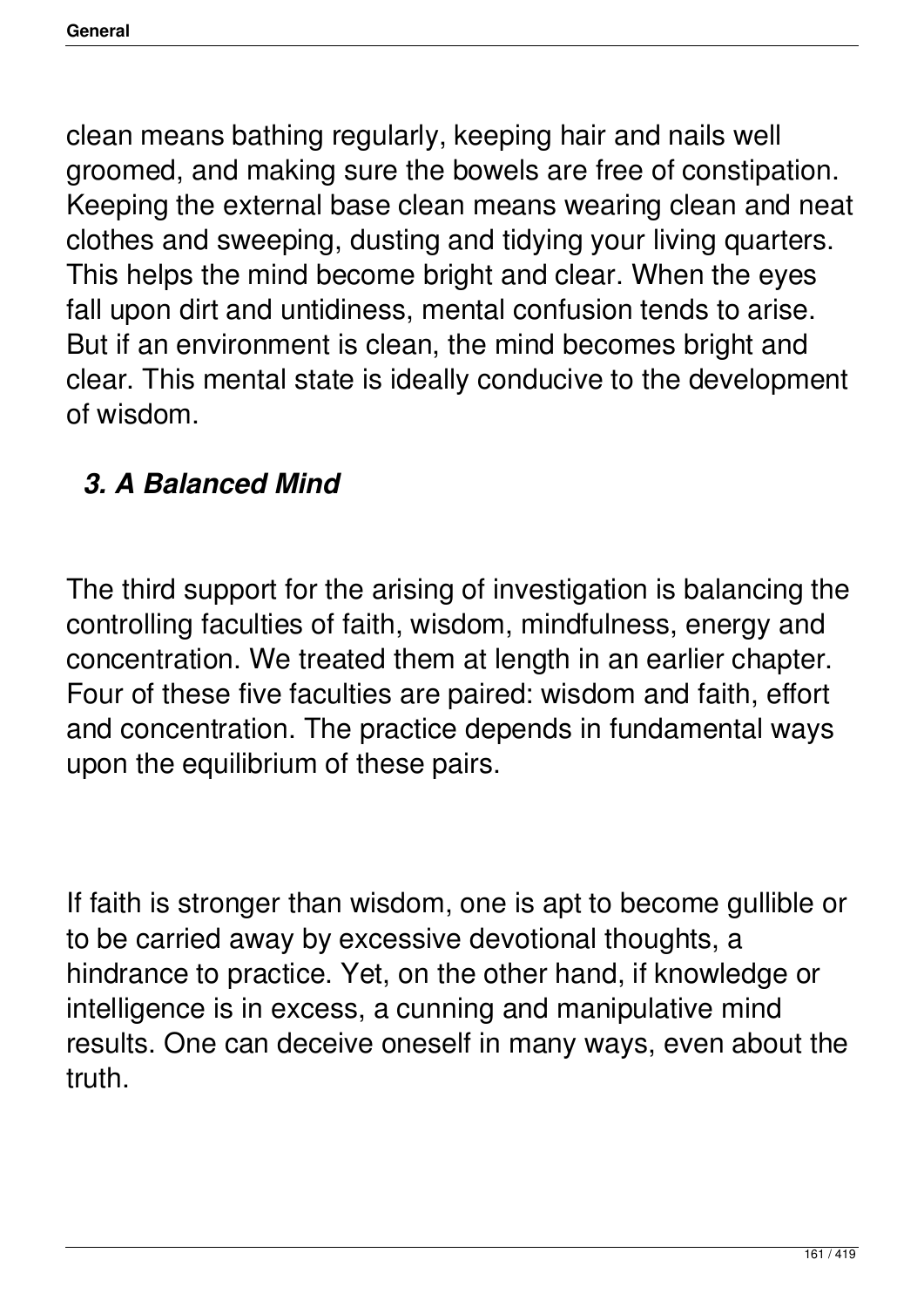clean means bathing regularly, keeping hair and nails well groomed, and making sure the bowels are free of constipation. Keeping the external base clean means wearing clean and neat clothes and sweeping, dusting and tidying your living quarters. This helps the mind become bright and clear. When the eyes fall upon dirt and untidiness, mental confusion tends to arise. But if an environment is clean, the mind becomes bright and clear. This mental state is ideally conducive to the development of wisdom.

# *3. A Balanced Mind*

The third support for the arising of investigation is balancing the controlling faculties of faith, wisdom, mindfulness, energy and concentration. We treated them at length in an earlier chapter. Four of these five faculties are paired: wisdom and faith, effort and concentration. The practice depends in fundamental ways upon the equilibrium of these pairs.

If faith is stronger than wisdom, one is apt to become gullible or to be carried away by excessive devotional thoughts, a hindrance to practice. Yet, on the other hand, if knowledge or intelligence is in excess, a cunning and manipulative mind results. One can deceive oneself in many ways, even about the truth.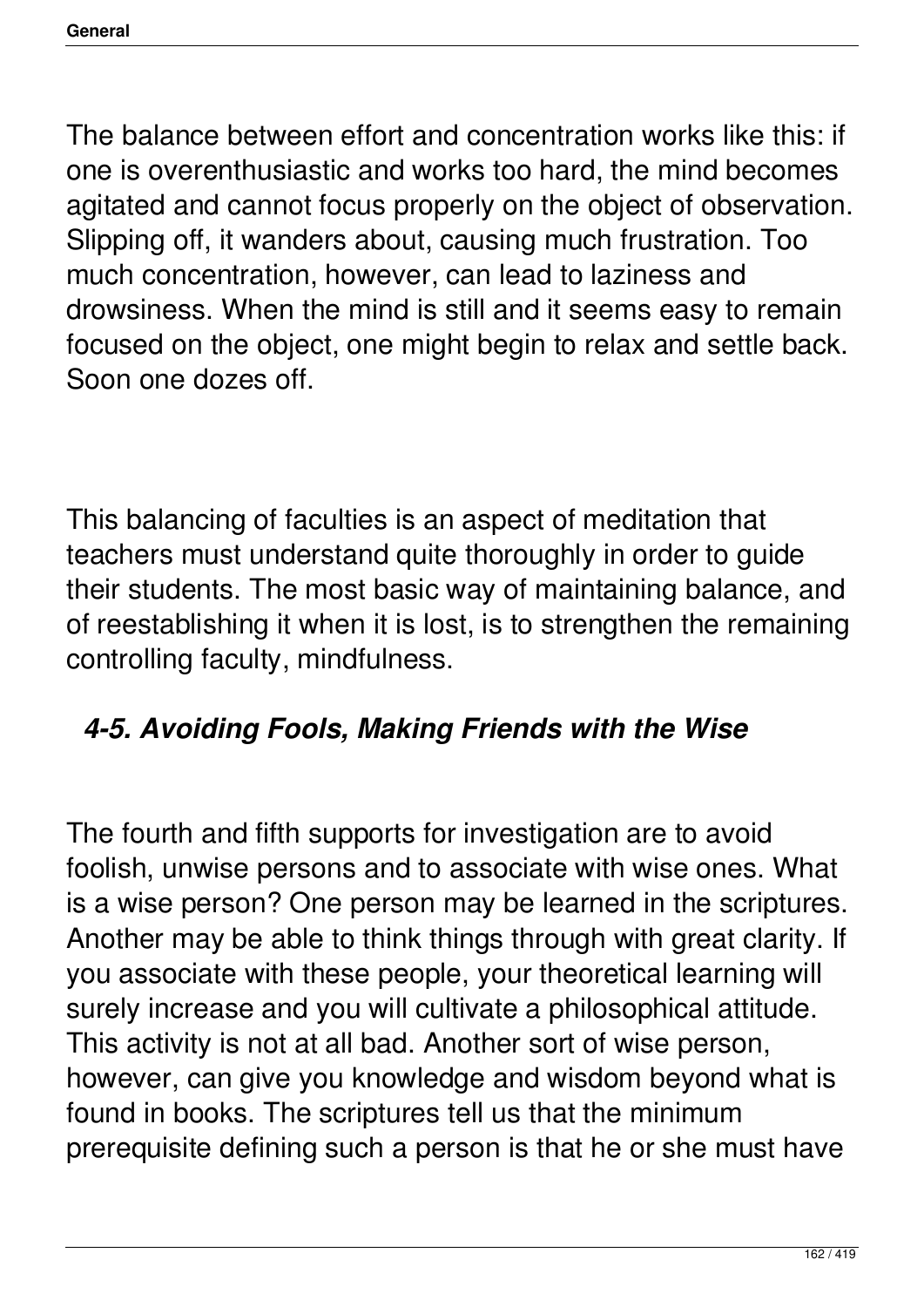The balance between effort and concentration works like this: if one is overenthusiastic and works too hard, the mind becomes agitated and cannot focus properly on the object of observation. Slipping off, it wanders about, causing much frustration. Too much concentration, however, can lead to laziness and drowsiness. When the mind is still and it seems easy to remain focused on the object, one might begin to relax and settle back. Soon one dozes off.

This balancing of faculties is an aspect of meditation that teachers must understand quite thoroughly in order to guide their students. The most basic way of maintaining balance, and of reestablishing it when it is lost, is to strengthen the remaining controlling faculty, mindfulness.

## *4-5. Avoiding Fools, Making Friends with the Wise*

The fourth and fifth supports for investigation are to avoid foolish, unwise persons and to associate with wise ones. What is a wise person? One person may be learned in the scriptures. Another may be able to think things through with great clarity. If you associate with these people, your theoretical learning will surely increase and you will cultivate a philosophical attitude. This activity is not at all bad. Another sort of wise person, however, can give you knowledge and wisdom beyond what is found in books. The scriptures tell us that the minimum prerequisite defining such a person is that he or she must have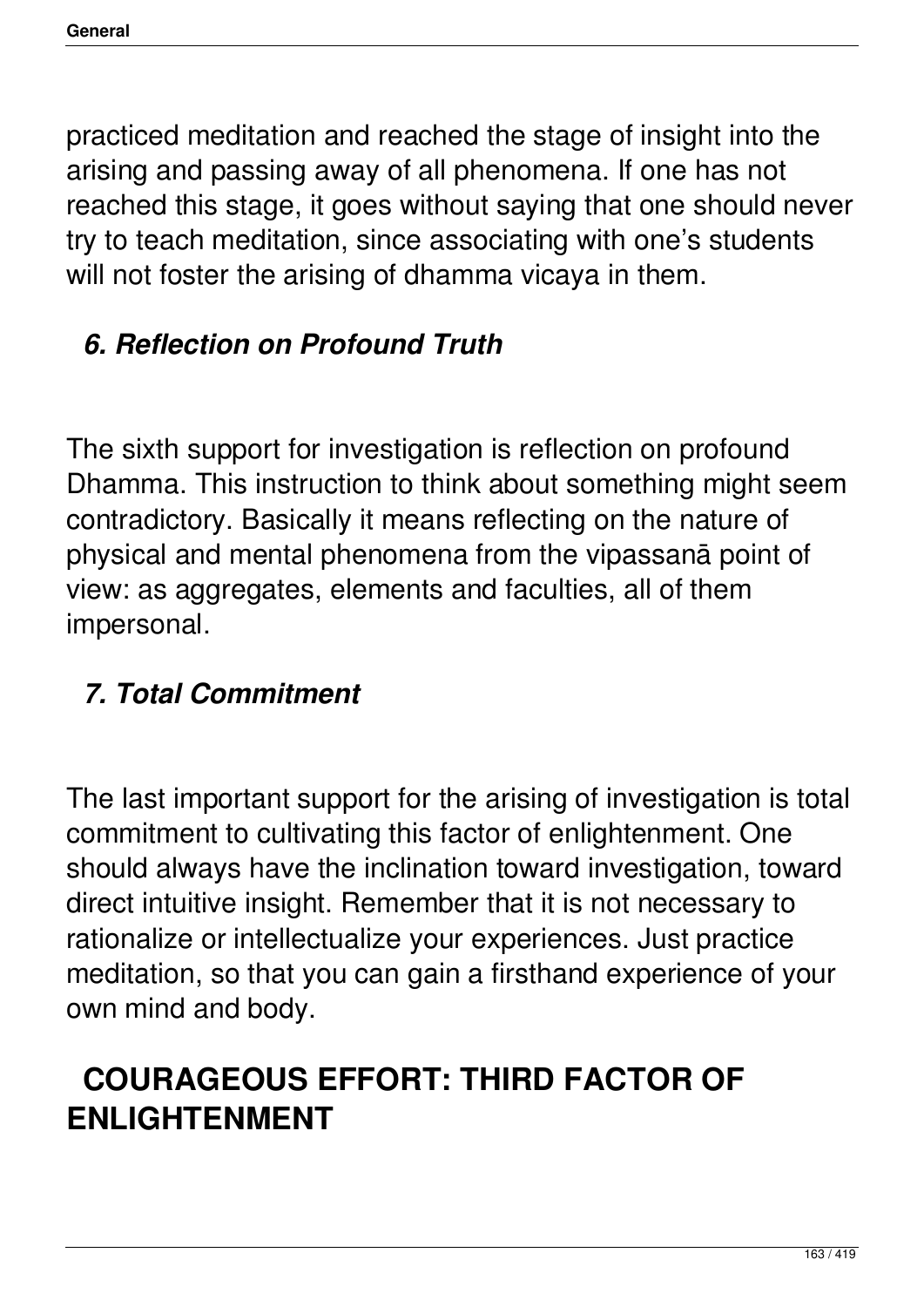practiced meditation and reached the stage of insight into the arising and passing away of all phenomena. If one has not reached this stage, it goes without saying that one should never try to teach meditation, since associating with one's students will not foster the arising of dhamma vicaya in them.

## *6. Reflection on Profound Truth*

The sixth support for investigation is reflection on profound Dhamma. This instruction to think about something might seem contradictory. Basically it means reflecting on the nature of physical and mental phenomena from the vipassanā point of view: as aggregates, elements and faculties, all of them impersonal.

## *7. Total Commitment*

The last important support for the arising of investigation is total commitment to cultivating this factor of enlightenment. One should always have the inclination toward investigation, toward direct intuitive insight. Remember that it is not necessary to rationalize or intellectualize your experiences. Just practice meditation, so that you can gain a firsthand experience of your own mind and body.

# **COURAGEOUS EFFORT: THIRD FACTOR OF ENLIGHTENMENT**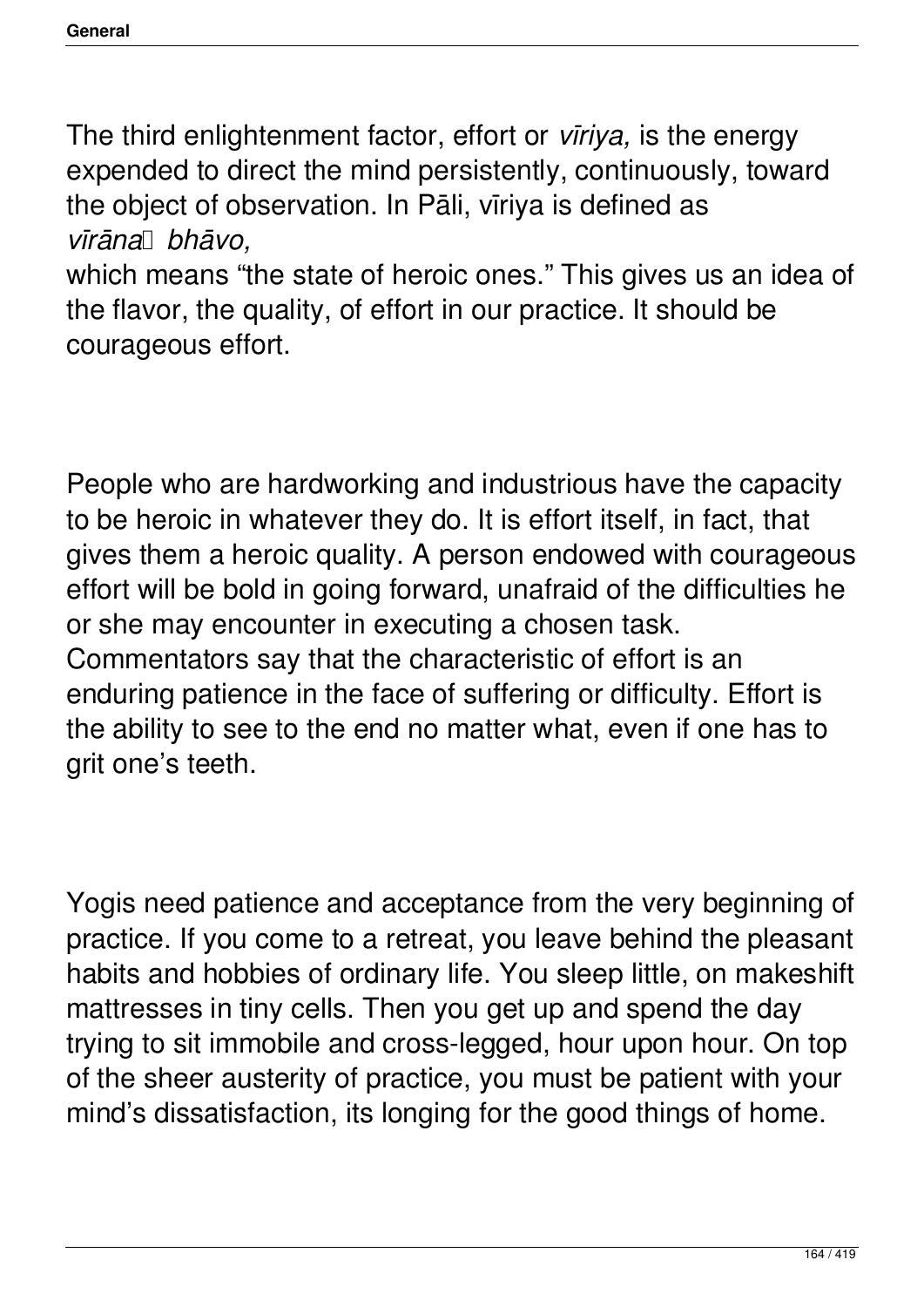The third enlightenment factor, effort or *vīriya,* is the energy expended to direct the mind persistently, continuously, toward the object of observation. In Pāli, vīriya is defined as *vīrānaṃ bhāvo,*

which means "the state of heroic ones." This gives us an idea of the flavor, the quality, of effort in our practice. It should be courageous effort.

People who are hardworking and industrious have the capacity to be heroic in whatever they do. It is effort itself, in fact, that gives them a heroic quality. A person endowed with courageous effort will be bold in going forward, unafraid of the difficulties he or she may encounter in executing a chosen task. Commentators say that the characteristic of effort is an enduring patience in the face of suffering or difficulty. Effort is the ability to see to the end no matter what, even if one has to grit one's teeth.

Yogis need patience and acceptance from the very beginning of practice. If you come to a retreat, you leave behind the pleasant habits and hobbies of ordinary life. You sleep little, on makeshift mattresses in tiny cells. Then you get up and spend the day trying to sit immobile and cross-legged, hour upon hour. On top of the sheer austerity of practice, you must be patient with your mind's dissatisfaction, its longing for the good things of home.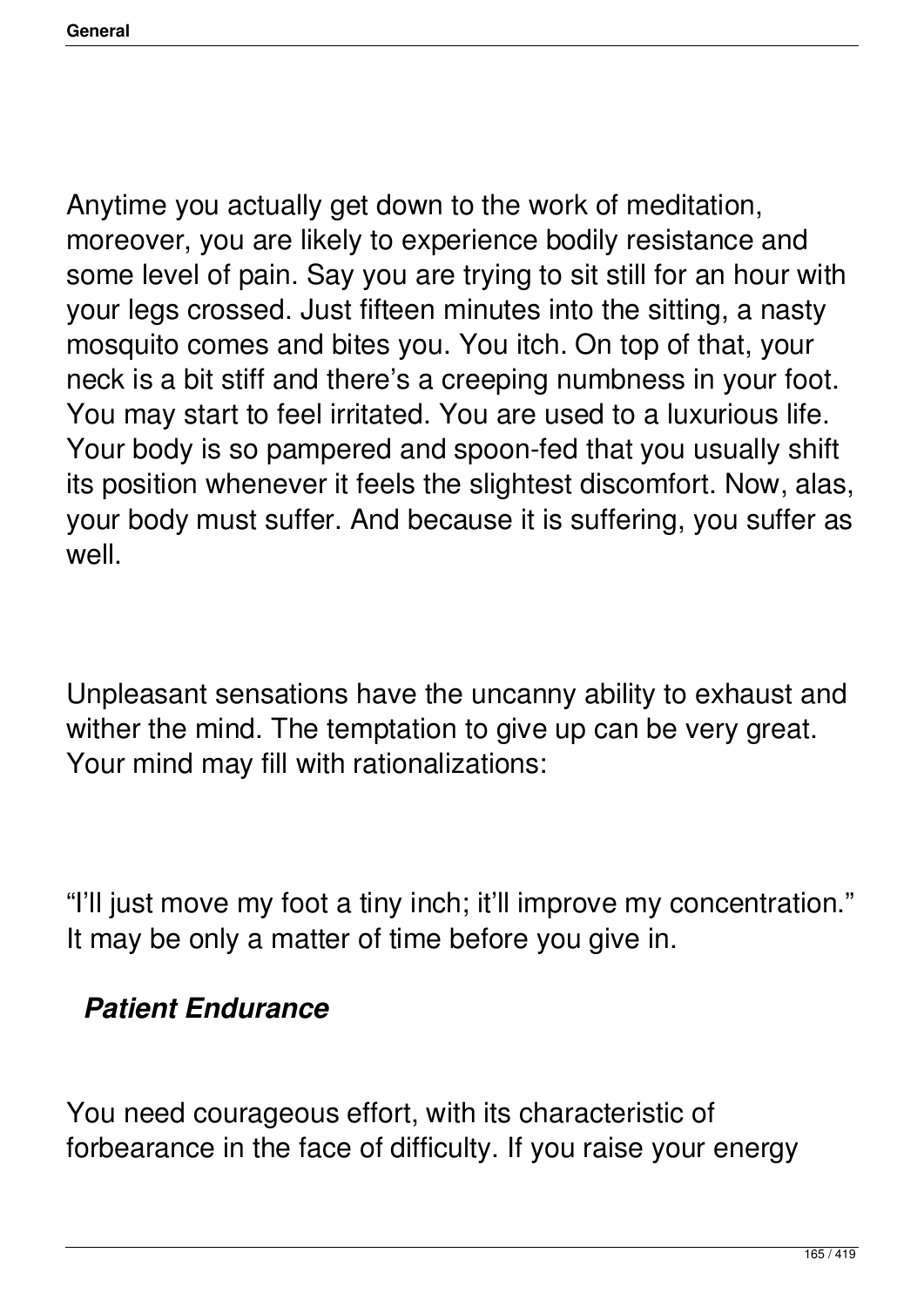Anytime you actually get down to the work of meditation, moreover, you are likely to experience bodily resistance and some level of pain. Say you are trying to sit still for an hour with your legs crossed. Just fifteen minutes into the sitting, a nasty mosquito comes and bites you. You itch. On top of that, your neck is a bit stiff and there's a creeping numbness in your foot. You may start to feel irritated. You are used to a luxurious life. Your body is so pampered and spoon-fed that you usually shift its position whenever it feels the slightest discomfort. Now, alas, your body must suffer. And because it is suffering, you suffer as well

Unpleasant sensations have the uncanny ability to exhaust and wither the mind. The temptation to give up can be very great. Your mind may fill with rationalizations:

"I'll just move my foot a tiny inch; it'll improve my concentration." It may be only a matter of time before you give in.

#### *Patient Endurance*

You need courageous effort, with its characteristic of forbearance in the face of difficulty. If you raise your energy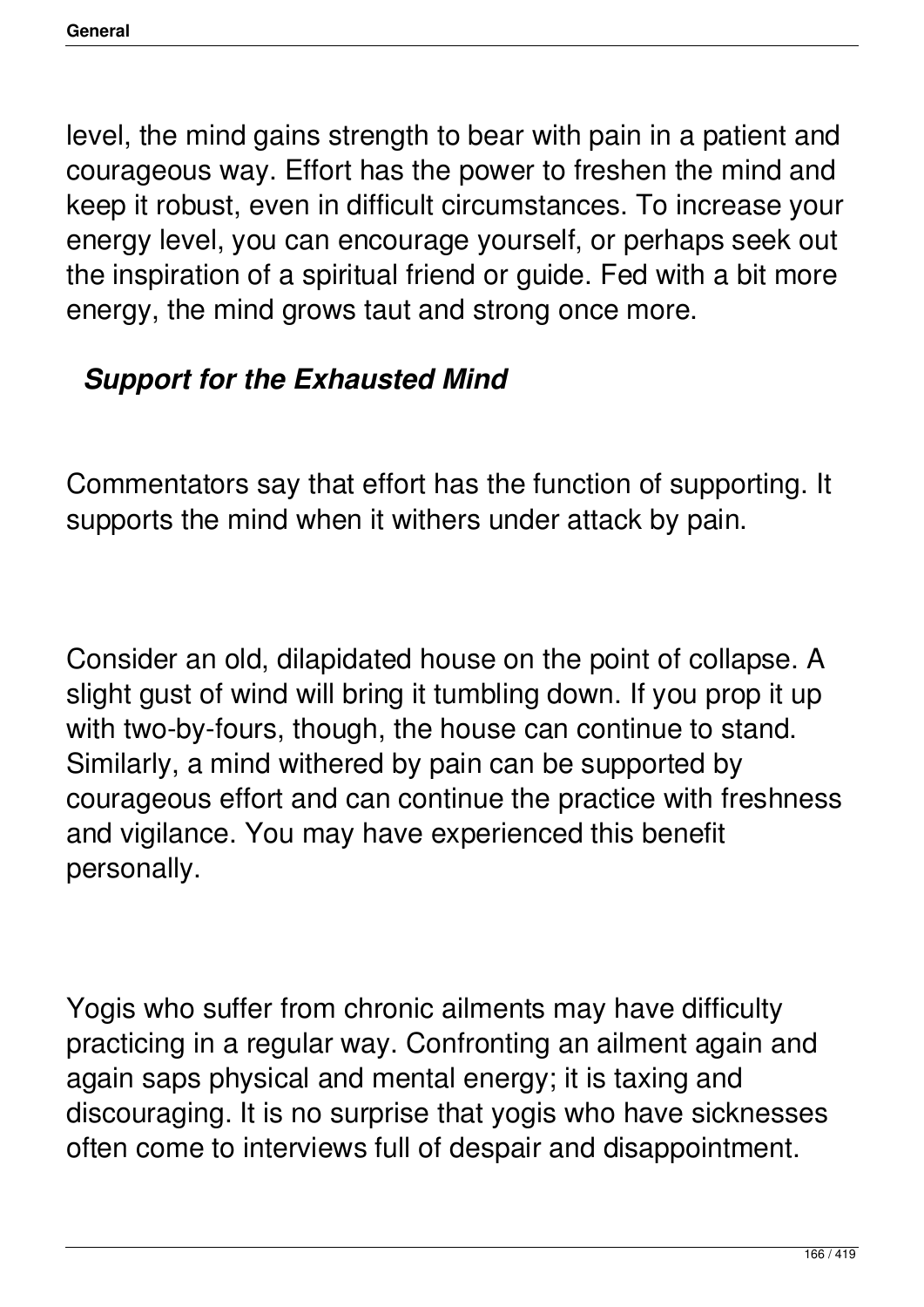level, the mind gains strength to bear with pain in a patient and courageous way. Effort has the power to freshen the mind and keep it robust, even in difficult circumstances. To increase your energy level, you can encourage yourself, or perhaps seek out the inspiration of a spiritual friend or guide. Fed with a bit more energy, the mind grows taut and strong once more.

## *Support for the Exhausted Mind*

Commentators say that effort has the function of supporting. It supports the mind when it withers under attack by pain.

Consider an old, dilapidated house on the point of collapse. A slight gust of wind will bring it tumbling down. If you prop it up with two-by-fours, though, the house can continue to stand. Similarly, a mind withered by pain can be supported by courageous effort and can continue the practice with freshness and vigilance. You may have experienced this benefit personally.

Yogis who suffer from chronic ailments may have difficulty practicing in a regular way. Confronting an ailment again and again saps physical and mental energy; it is taxing and discouraging. It is no surprise that yogis who have sicknesses often come to interviews full of despair and disappointment.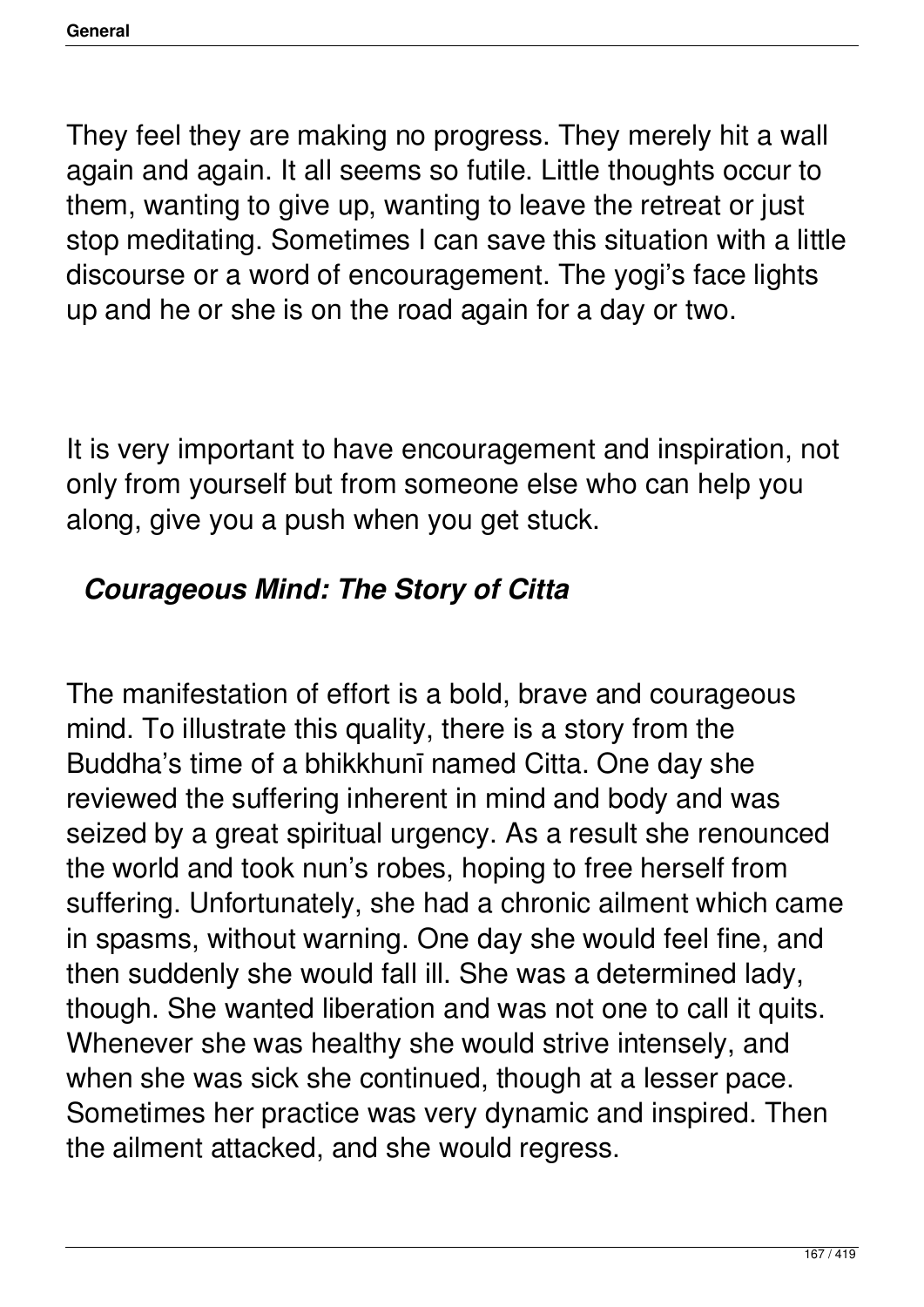They feel they are making no progress. They merely hit a wall again and again. It all seems so futile. Little thoughts occur to them, wanting to give up, wanting to leave the retreat or just stop meditating. Sometimes I can save this situation with a little discourse or a word of encouragement. The yogi's face lights up and he or she is on the road again for a day or two.

It is very important to have encouragement and inspiration, not only from yourself but from someone else who can help you along, give you a push when you get stuck.

## *Courageous Mind: The Story of Citta*

The manifestation of effort is a bold, brave and courageous mind. To illustrate this quality, there is a story from the Buddha's time of a bhikkhunī named Citta. One day she reviewed the suffering inherent in mind and body and was seized by a great spiritual urgency. As a result she renounced the world and took nun's robes, hoping to free herself from suffering. Unfortunately, she had a chronic ailment which came in spasms, without warning. One day she would feel fine, and then suddenly she would fall ill. She was a determined lady, though. She wanted liberation and was not one to call it quits. Whenever she was healthy she would strive intensely, and when she was sick she continued, though at a lesser pace. Sometimes her practice was very dynamic and inspired. Then the ailment attacked, and she would regress.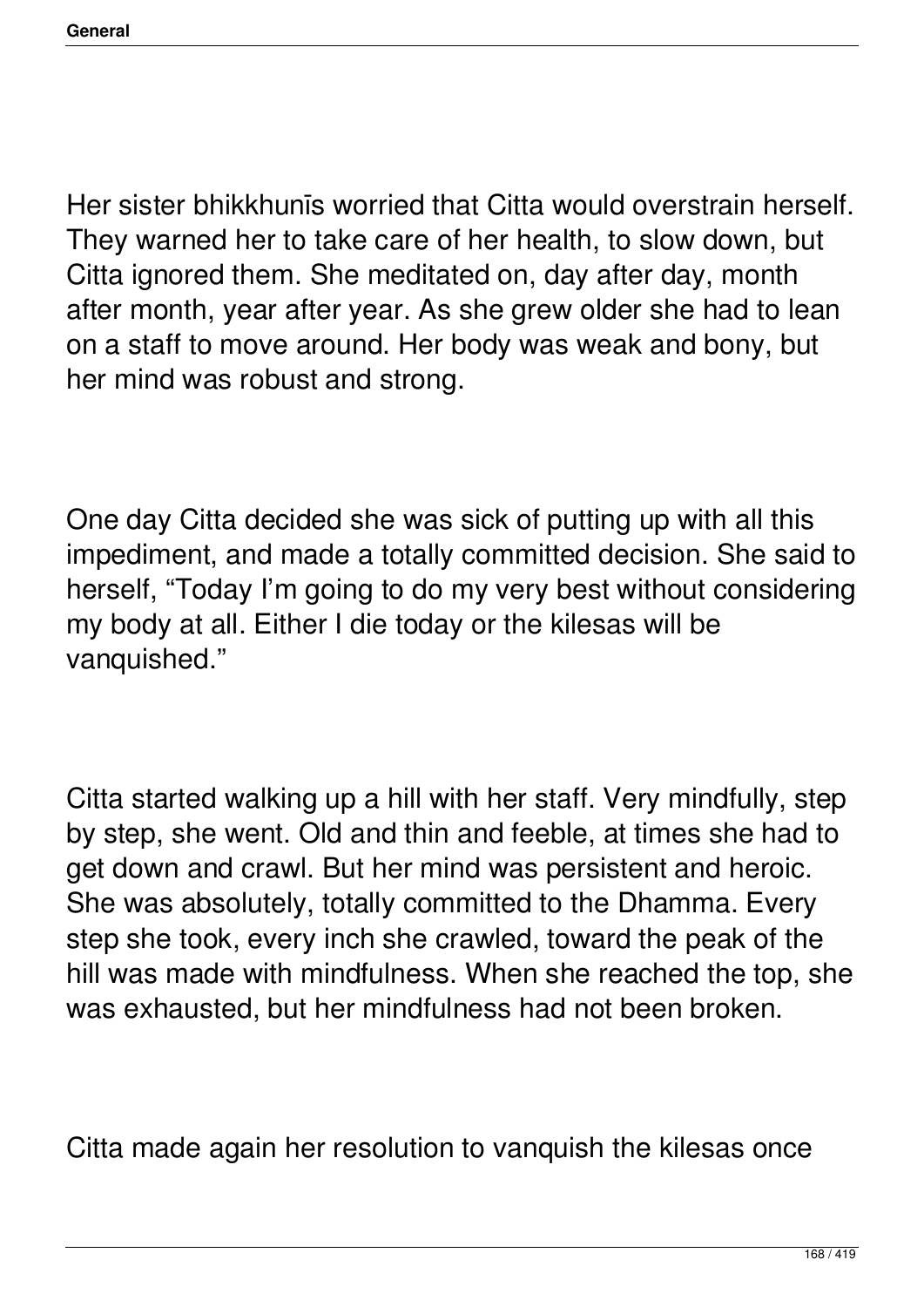Her sister bhikkhunīs worried that Citta would overstrain herself. They warned her to take care of her health, to slow down, but Citta ignored them. She meditated on, day after day, month after month, year after year. As she grew older she had to lean on a staff to move around. Her body was weak and bony, but her mind was robust and strong.

One day Citta decided she was sick of putting up with all this impediment, and made a totally committed decision. She said to herself, "Today I'm going to do my very best without considering my body at all. Either I die today or the kilesas will be vanquished."

Citta started walking up a hill with her staff. Very mindfully, step by step, she went. Old and thin and feeble, at times she had to get down and crawl. But her mind was persistent and heroic. She was absolutely, totally committed to the Dhamma. Every step she took, every inch she crawled, toward the peak of the hill was made with mindfulness. When she reached the top, she was exhausted, but her mindfulness had not been broken.

Citta made again her resolution to vanquish the kilesas once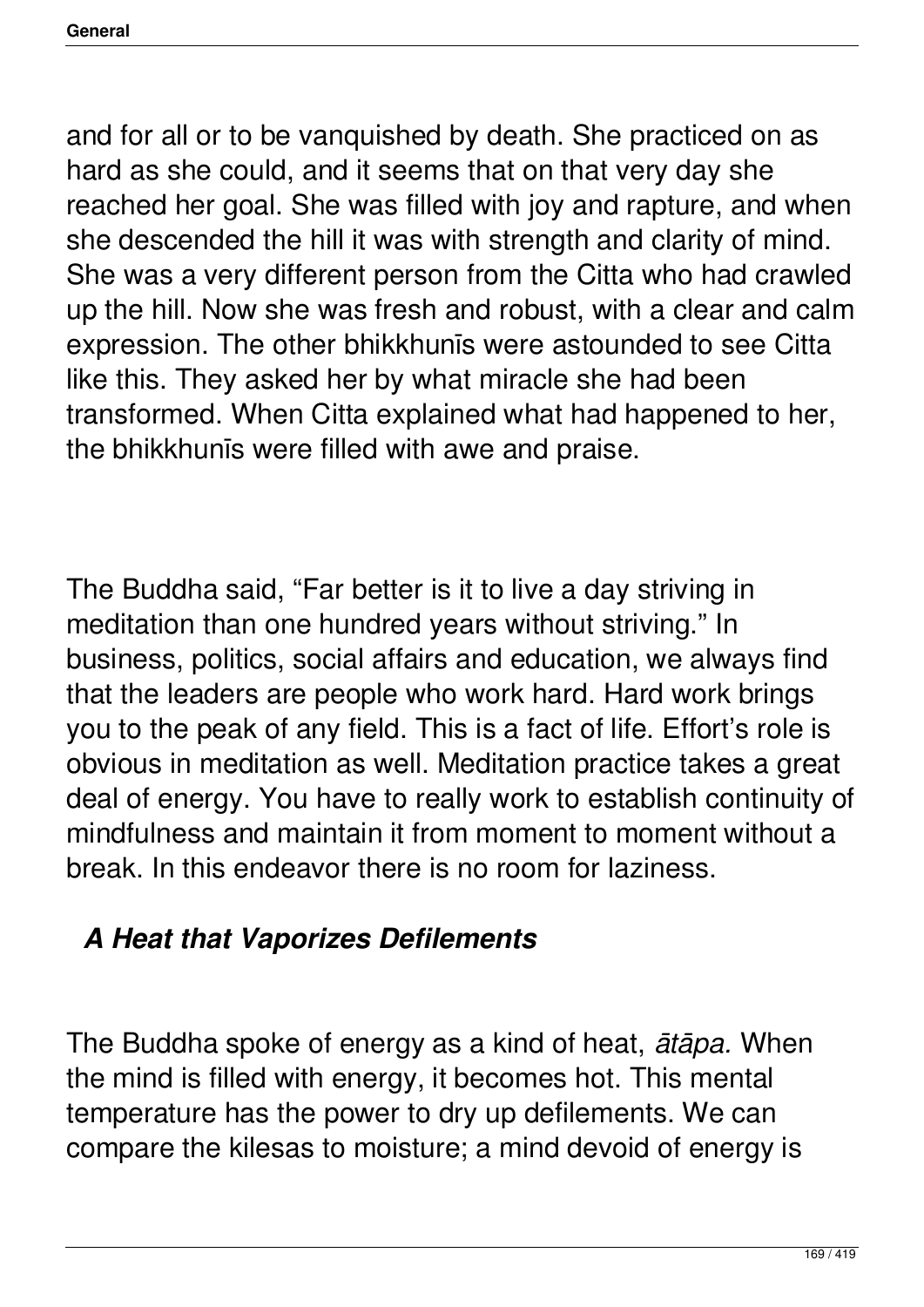and for all or to be vanquished by death. She practiced on as hard as she could, and it seems that on that very day she reached her goal. She was filled with joy and rapture, and when she descended the hill it was with strength and clarity of mind. She was a very different person from the Citta who had crawled up the hill. Now she was fresh and robust, with a clear and calm expression. The other bhikkhunīs were astounded to see Citta like this. They asked her by what miracle she had been transformed. When Citta explained what had happened to her, the bhikkhunīs were filled with awe and praise.

The Buddha said, "Far better is it to live a day striving in meditation than one hundred years without striving." In business, politics, social affairs and education, we always find that the leaders are people who work hard. Hard work brings you to the peak of any field. This is a fact of life. Effort's role is obvious in meditation as well. Meditation practice takes a great deal of energy. You have to really work to establish continuity of mindfulness and maintain it from moment to moment without a break. In this endeavor there is no room for laziness.

## *A Heat that Vaporizes Defilements*

The Buddha spoke of energy as a kind of heat, *ātāpa.* When the mind is filled with energy, it becomes hot. This mental temperature has the power to dry up defilements. We can compare the kilesas to moisture; a mind devoid of energy is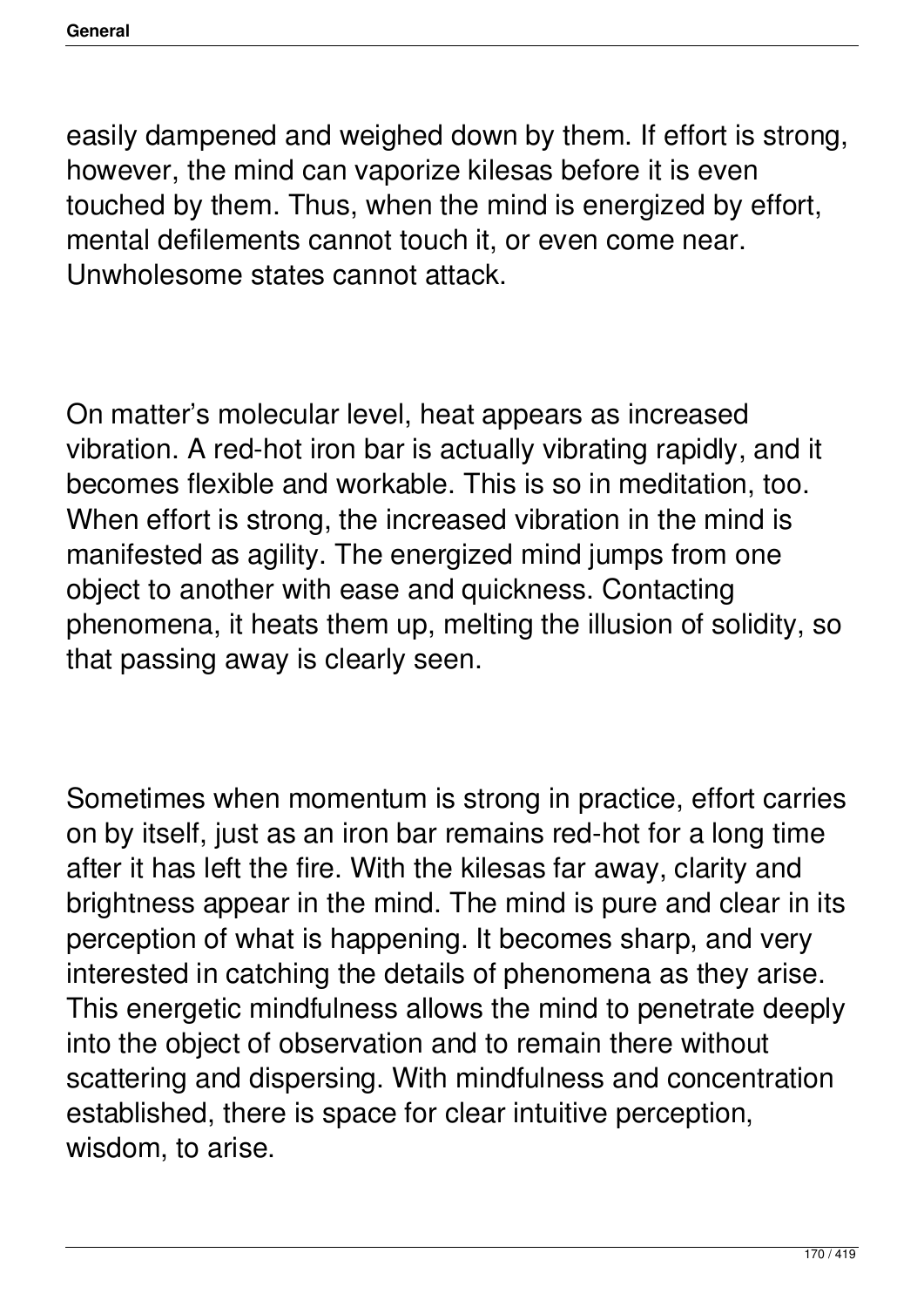easily dampened and weighed down by them. If effort is strong, however, the mind can vaporize kilesas before it is even touched by them. Thus, when the mind is energized by effort, mental defilements cannot touch it, or even come near. Unwholesome states cannot attack.

On matter's molecular level, heat appears as increased vibration. A red-hot iron bar is actually vibrating rapidly, and it becomes flexible and workable. This is so in meditation, too. When effort is strong, the increased vibration in the mind is manifested as agility. The energized mind jumps from one object to another with ease and quickness. Contacting phenomena, it heats them up, melting the illusion of solidity, so that passing away is clearly seen.

Sometimes when momentum is strong in practice, effort carries on by itself, just as an iron bar remains red-hot for a long time after it has left the fire. With the kilesas far away, clarity and brightness appear in the mind. The mind is pure and clear in its perception of what is happening. It becomes sharp, and very interested in catching the details of phenomena as they arise. This energetic mindfulness allows the mind to penetrate deeply into the object of observation and to remain there without scattering and dispersing. With mindfulness and concentration established, there is space for clear intuitive perception, wisdom, to arise.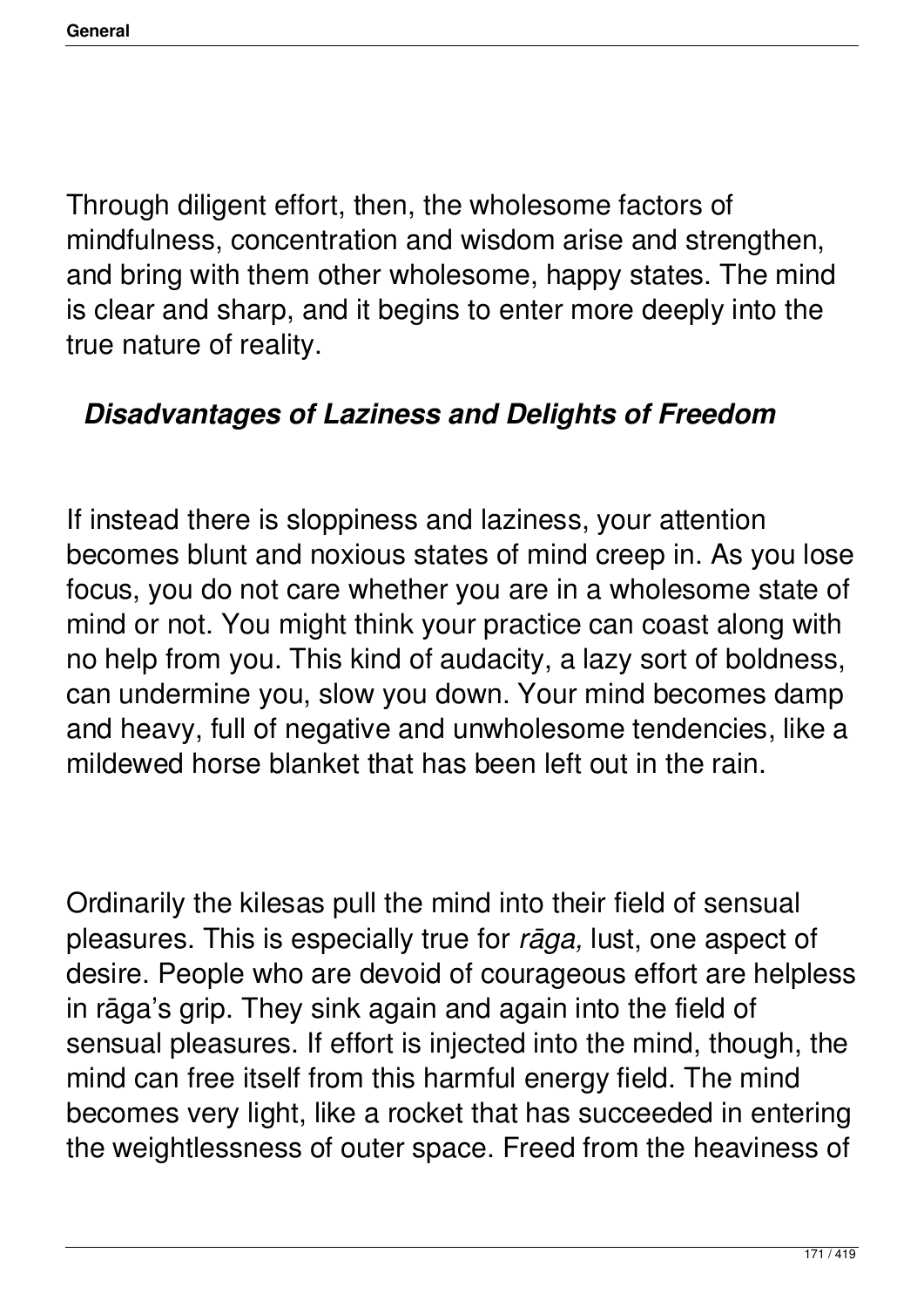Through diligent effort, then, the wholesome factors of mindfulness, concentration and wisdom arise and strengthen, and bring with them other wholesome, happy states. The mind is clear and sharp, and it begins to enter more deeply into the true nature of reality.

## *Disadvantages of Laziness and Delights of Freedom*

If instead there is sloppiness and laziness, your attention becomes blunt and noxious states of mind creep in. As you lose focus, you do not care whether you are in a wholesome state of mind or not. You might think your practice can coast along with no help from you. This kind of audacity, a lazy sort of boldness, can undermine you, slow you down. Your mind becomes damp and heavy, full of negative and unwholesome tendencies, like a mildewed horse blanket that has been left out in the rain.

Ordinarily the kilesas pull the mind into their field of sensual pleasures. This is especially true for *rāga,* lust, one aspect of desire. People who are devoid of courageous effort are helpless in rāga's grip. They sink again and again into the field of sensual pleasures. If effort is injected into the mind, though, the mind can free itself from this harmful energy field. The mind becomes very light, like a rocket that has succeeded in entering the weightlessness of outer space. Freed from the heaviness of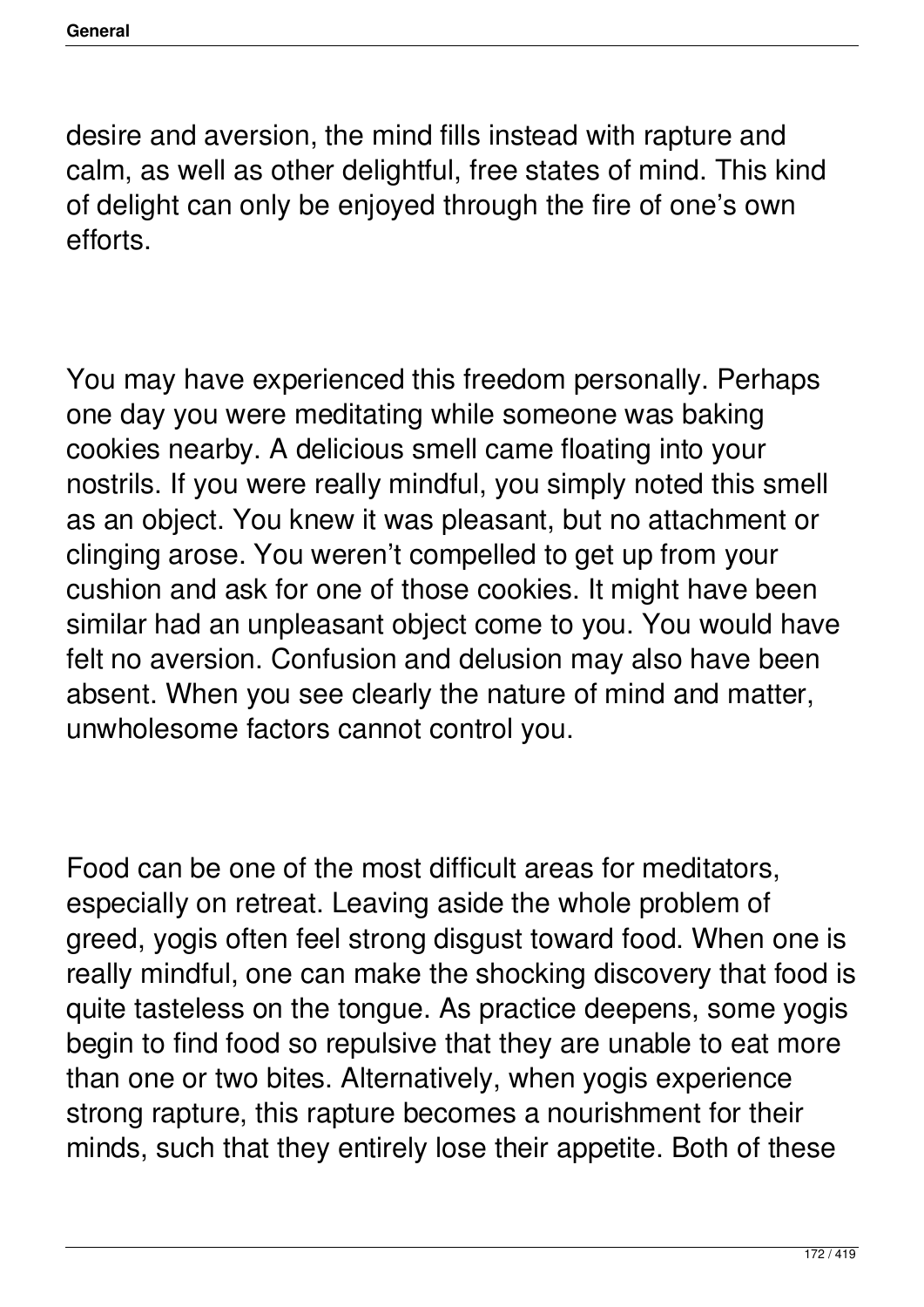desire and aversion, the mind fills instead with rapture and calm, as well as other delightful, free states of mind. This kind of delight can only be enjoyed through the fire of one's own efforts.

You may have experienced this freedom personally. Perhaps one day you were meditating while someone was baking cookies nearby. A delicious smell came floating into your nostrils. If you were really mindful, you simply noted this smell as an object. You knew it was pleasant, but no attachment or clinging arose. You weren't compelled to get up from your cushion and ask for one of those cookies. It might have been similar had an unpleasant object come to you. You would have felt no aversion. Confusion and delusion may also have been absent. When you see clearly the nature of mind and matter, unwholesome factors cannot control you.

Food can be one of the most difficult areas for meditators, especially on retreat. Leaving aside the whole problem of greed, yogis often feel strong disgust toward food. When one is really mindful, one can make the shocking discovery that food is quite tasteless on the tongue. As practice deepens, some yogis begin to find food so repulsive that they are unable to eat more than one or two bites. Alternatively, when yogis experience strong rapture, this rapture becomes a nourishment for their minds, such that they entirely lose their appetite. Both of these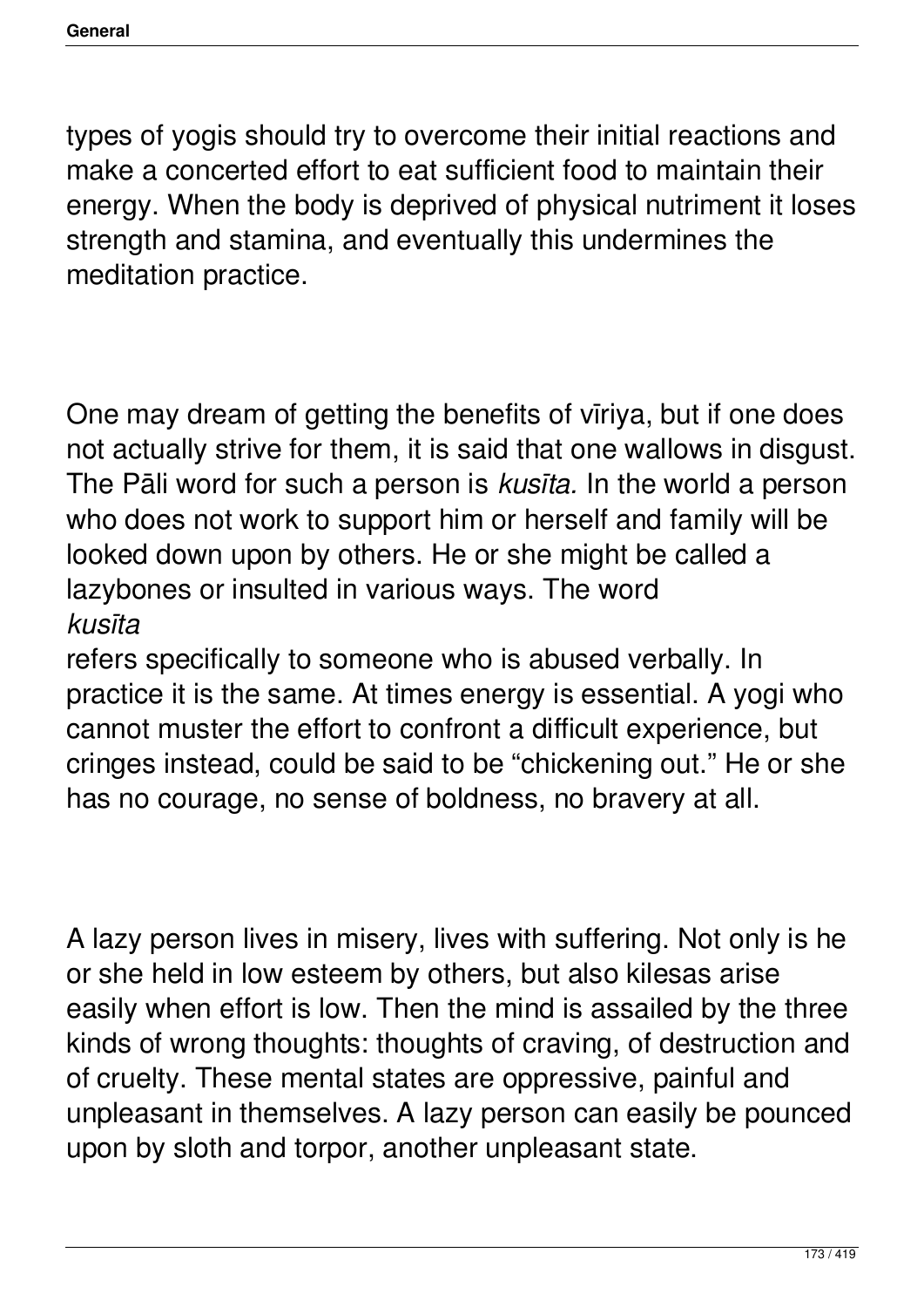types of yogis should try to overcome their initial reactions and make a concerted effort to eat sufficient food to maintain their energy. When the body is deprived of physical nutriment it loses strength and stamina, and eventually this undermines the meditation practice.

One may dream of getting the benefits of vīriya, but if one does not actually strive for them, it is said that one wallows in disgust. The Pāli word for such a person is *kusīta.* In the world a person who does not work to support him or herself and family will be looked down upon by others. He or she might be called a lazybones or insulted in various ways. The word *kusīta*

refers specifically to someone who is abused verbally. In practice it is the same. At times energy is essential. A yogi who cannot muster the effort to confront a difficult experience, but cringes instead, could be said to be "chickening out." He or she has no courage, no sense of boldness, no bravery at all.

A lazy person lives in misery, lives with suffering. Not only is he or she held in low esteem by others, but also kilesas arise easily when effort is low. Then the mind is assailed by the three kinds of wrong thoughts: thoughts of craving, of destruction and of cruelty. These mental states are oppressive, painful and unpleasant in themselves. A lazy person can easily be pounced upon by sloth and torpor, another unpleasant state.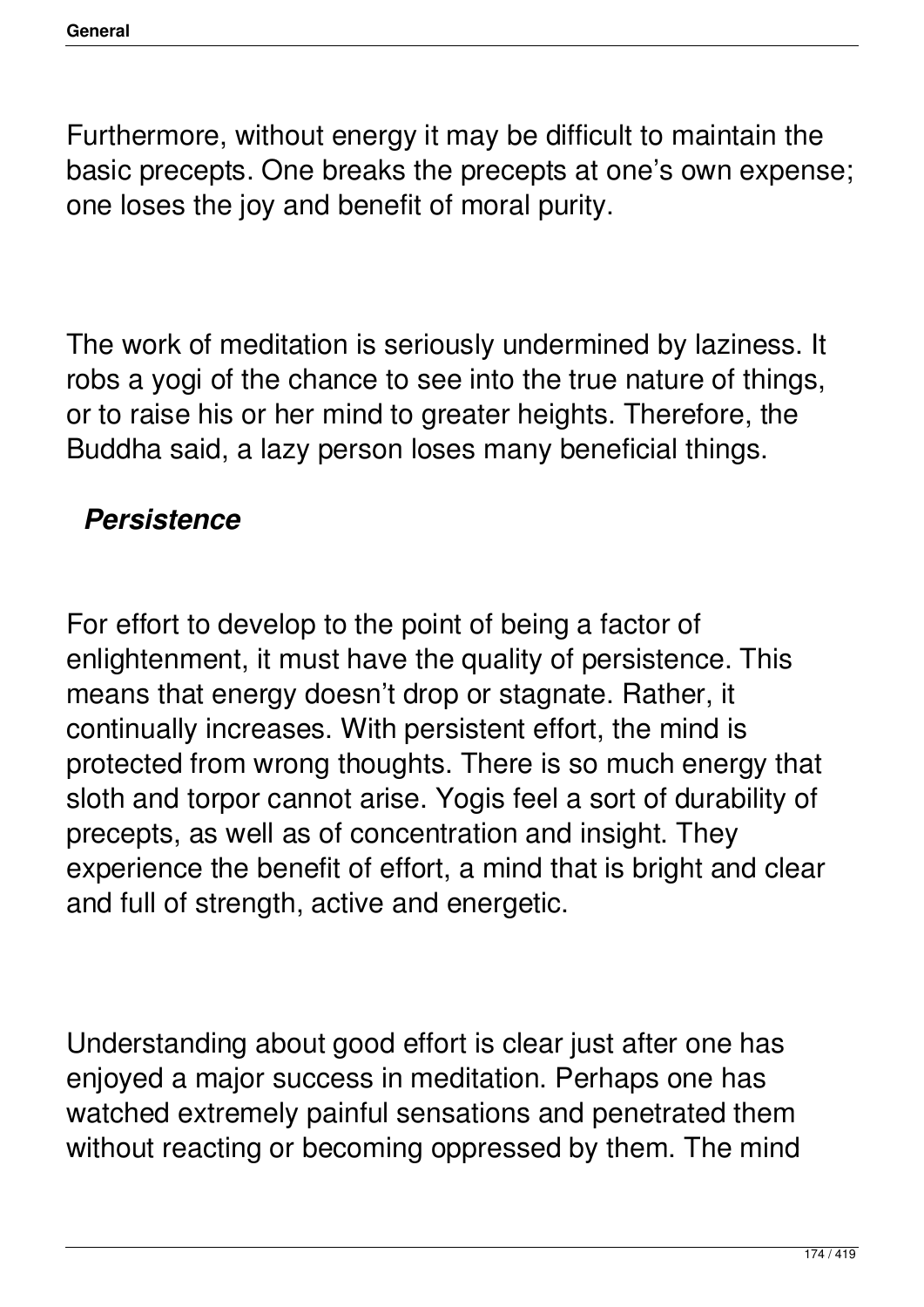Furthermore, without energy it may be difficult to maintain the basic precepts. One breaks the precepts at one's own expense; one loses the joy and benefit of moral purity.

The work of meditation is seriously undermined by laziness. It robs a yogi of the chance to see into the true nature of things, or to raise his or her mind to greater heights. Therefore, the Buddha said, a lazy person loses many beneficial things.

#### *Persistence*

For effort to develop to the point of being a factor of enlightenment, it must have the quality of persistence. This means that energy doesn't drop or stagnate. Rather, it continually increases. With persistent effort, the mind is protected from wrong thoughts. There is so much energy that sloth and torpor cannot arise. Yogis feel a sort of durability of precepts, as well as of concentration and insight. They experience the benefit of effort, a mind that is bright and clear and full of strength, active and energetic.

Understanding about good effort is clear just after one has enjoyed a major success in meditation. Perhaps one has watched extremely painful sensations and penetrated them without reacting or becoming oppressed by them. The mind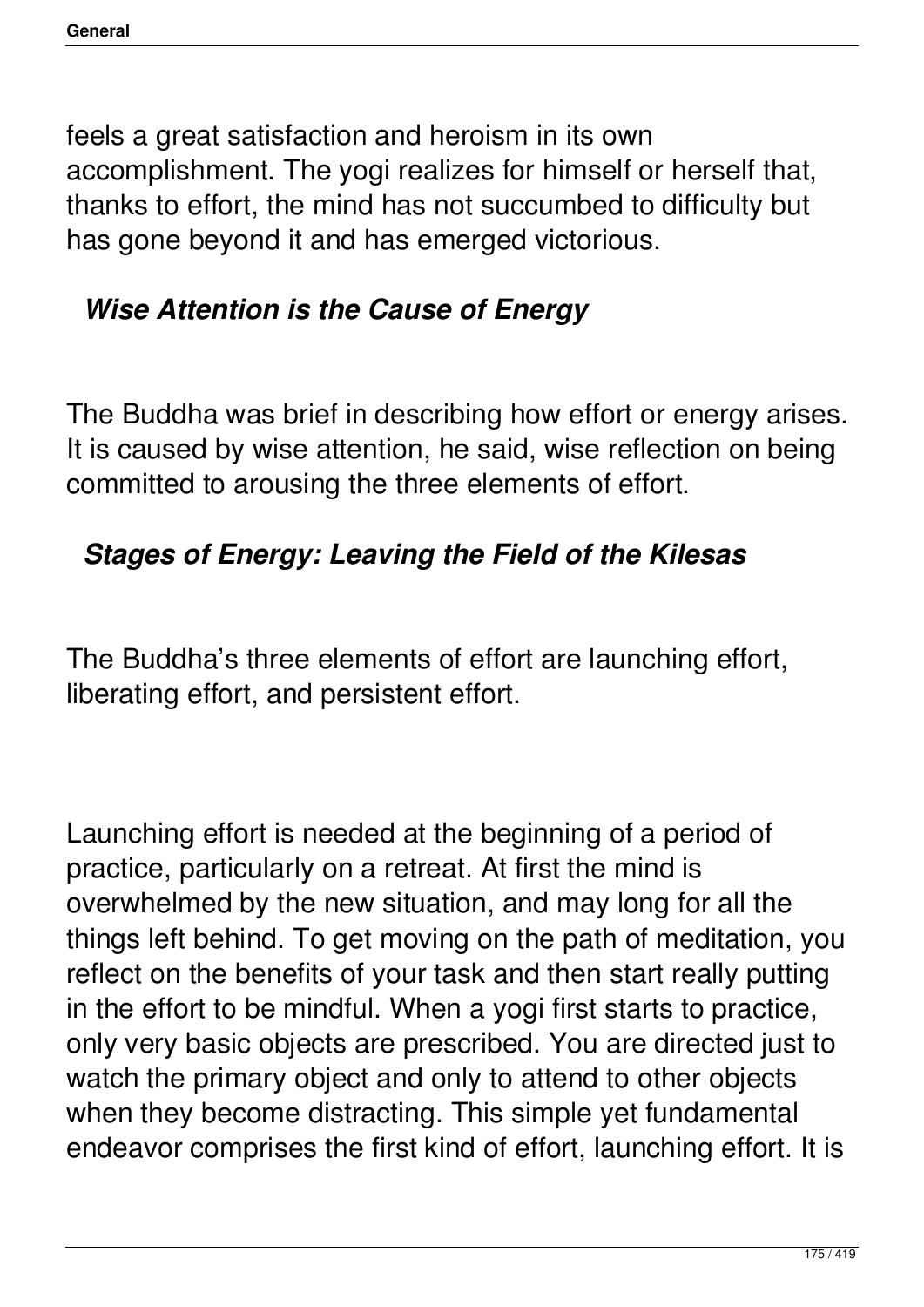feels a great satisfaction and heroism in its own accomplishment. The yogi realizes for himself or herself that, thanks to effort, the mind has not succumbed to difficulty but has gone beyond it and has emerged victorious.

## *Wise Attention is the Cause of Energy*

The Buddha was brief in describing how effort or energy arises. It is caused by wise attention, he said, wise reflection on being committed to arousing the three elements of effort.

## *Stages of Energy: Leaving the Field of the Kilesas*

The Buddha's three elements of effort are launching effort, liberating effort, and persistent effort.

Launching effort is needed at the beginning of a period of practice, particularly on a retreat. At first the mind is overwhelmed by the new situation, and may long for all the things left behind. To get moving on the path of meditation, you reflect on the benefits of your task and then start really putting in the effort to be mindful. When a yogi first starts to practice, only very basic objects are prescribed. You are directed just to watch the primary object and only to attend to other objects when they become distracting. This simple yet fundamental endeavor comprises the first kind of effort, launching effort. It is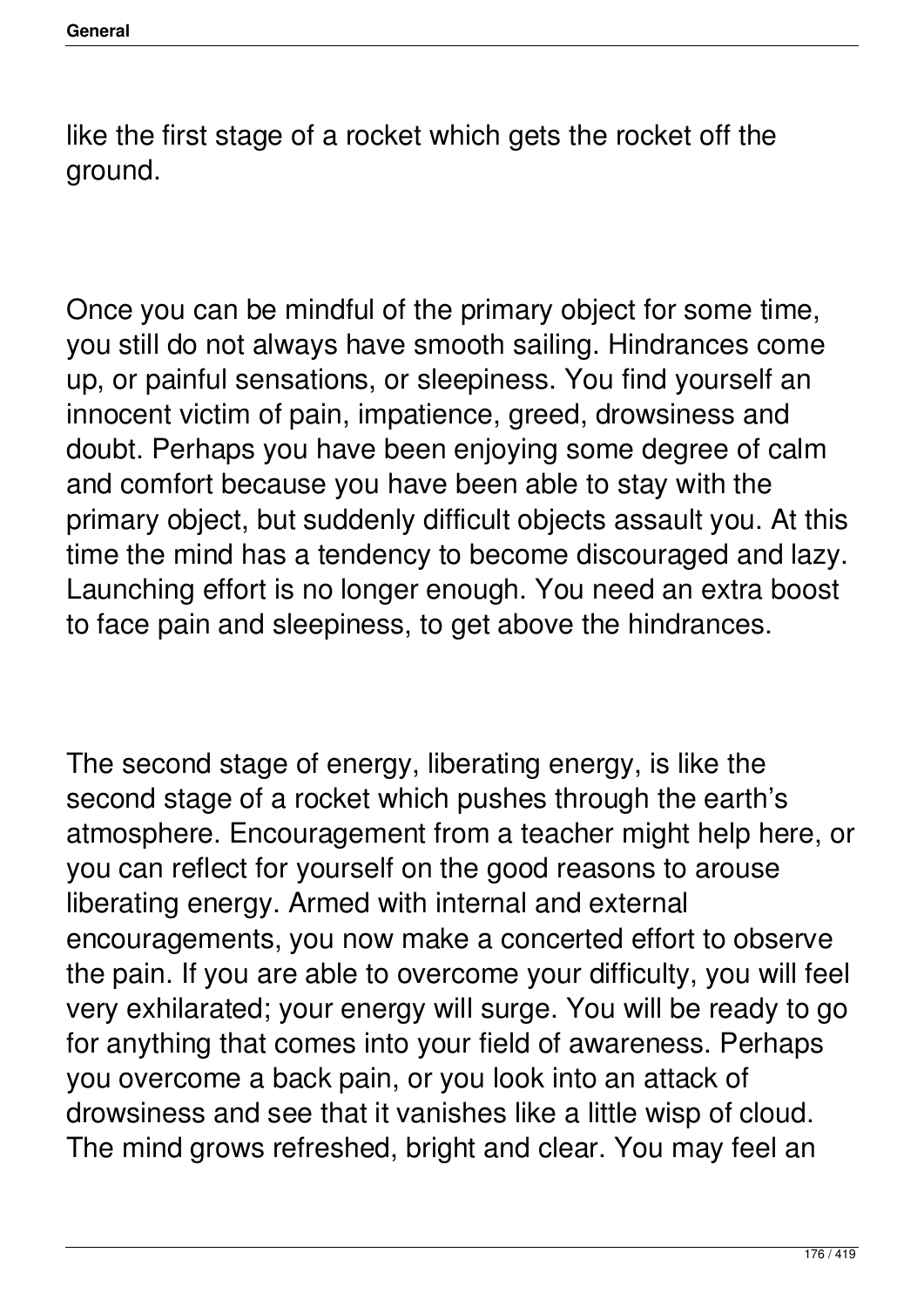like the first stage of a rocket which gets the rocket off the ground.

Once you can be mindful of the primary object for some time, you still do not always have smooth sailing. Hindrances come up, or painful sensations, or sleepiness. You find yourself an innocent victim of pain, impatience, greed, drowsiness and doubt. Perhaps you have been enjoying some degree of calm and comfort because you have been able to stay with the primary object, but suddenly difficult objects assault you. At this time the mind has a tendency to become discouraged and lazy. Launching effort is no longer enough. You need an extra boost to face pain and sleepiness, to get above the hindrances.

The second stage of energy, liberating energy, is like the second stage of a rocket which pushes through the earth's atmosphere. Encouragement from a teacher might help here, or you can reflect for yourself on the good reasons to arouse liberating energy. Armed with internal and external encouragements, you now make a concerted effort to observe the pain. If you are able to overcome your difficulty, you will feel very exhilarated; your energy will surge. You will be ready to go for anything that comes into your field of awareness. Perhaps you overcome a back pain, or you look into an attack of drowsiness and see that it vanishes like a little wisp of cloud. The mind grows refreshed, bright and clear. You may feel an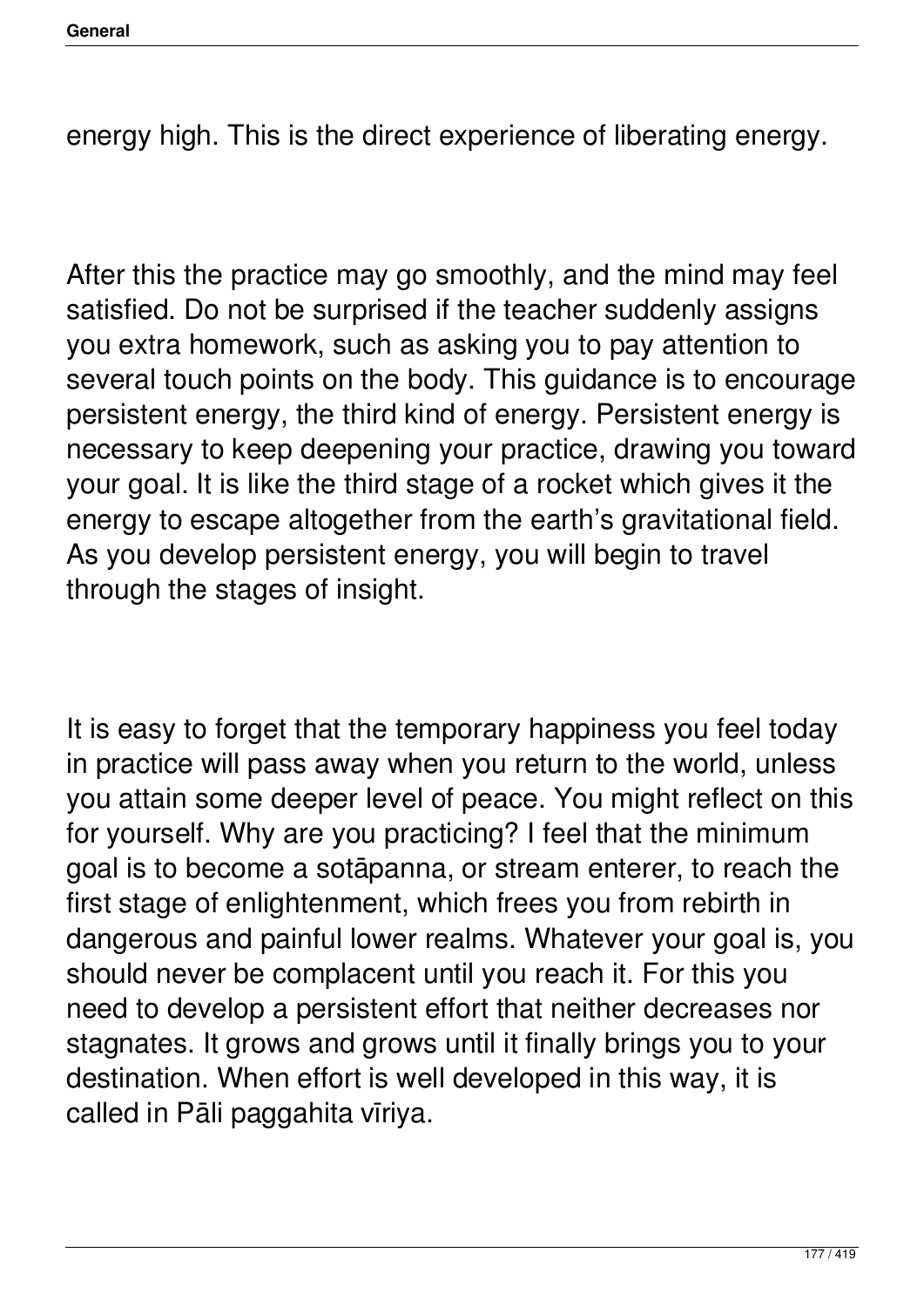energy high. This is the direct experience of liberating energy.

After this the practice may go smoothly, and the mind may feel satisfied. Do not be surprised if the teacher suddenly assigns you extra homework, such as asking you to pay attention to several touch points on the body. This guidance is to encourage persistent energy, the third kind of energy. Persistent energy is necessary to keep deepening your practice, drawing you toward your goal. It is like the third stage of a rocket which gives it the energy to escape altogether from the earth's gravitational field. As you develop persistent energy, you will begin to travel through the stages of insight.

It is easy to forget that the temporary happiness you feel today in practice will pass away when you return to the world, unless you attain some deeper level of peace. You might reflect on this for yourself. Why are you practicing? I feel that the minimum goal is to become a sotāpanna, or stream enterer, to reach the first stage of enlightenment, which frees you from rebirth in dangerous and painful lower realms. Whatever your goal is, you should never be complacent until you reach it. For this you need to develop a persistent effort that neither decreases nor stagnates. It grows and grows until it finally brings you to your destination. When effort is well developed in this way, it is called in Pāli paggahita vīriya.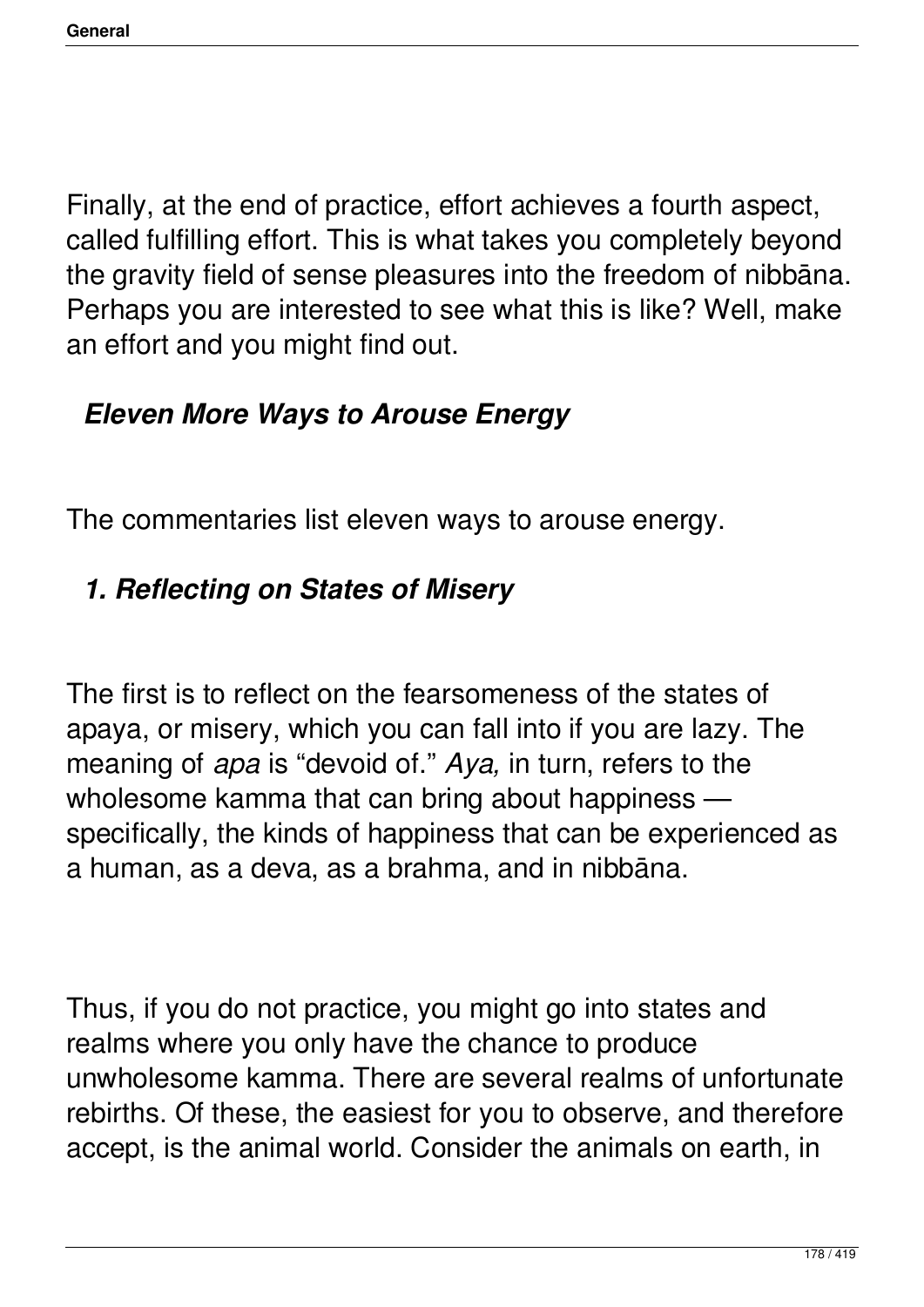Finally, at the end of practice, effort achieves a fourth aspect, called fulfilling effort. This is what takes you completely beyond the gravity field of sense pleasures into the freedom of nibbāna. Perhaps you are interested to see what this is like? Well, make an effort and you might find out.

## *Eleven More Ways to Arouse Energy*

The commentaries list eleven ways to arouse energy.

## *1. Reflecting on States of Misery*

The first is to reflect on the fearsomeness of the states of apaya, or misery, which you can fall into if you are lazy. The meaning of *apa* is "devoid of." *Aya,* in turn, refers to the wholesome kamma that can bring about happiness specifically, the kinds of happiness that can be experienced as a human, as a deva, as a brahma, and in nibbāna.

Thus, if you do not practice, you might go into states and realms where you only have the chance to produce unwholesome kamma. There are several realms of unfortunate rebirths. Of these, the easiest for you to observe, and therefore accept, is the animal world. Consider the animals on earth, in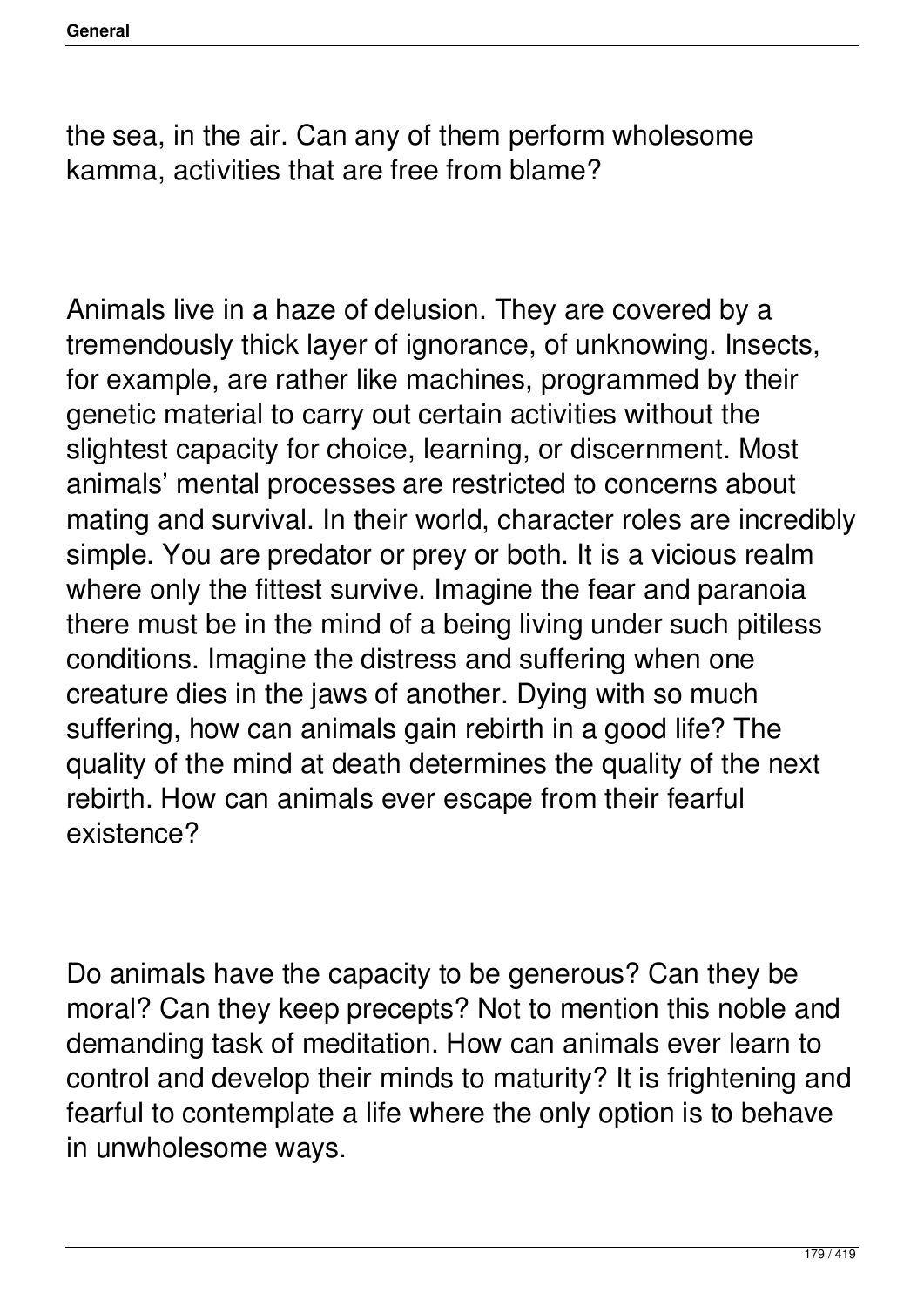the sea, in the air. Can any of them perform wholesome kamma, activities that are free from blame?

Animals live in a haze of delusion. They are covered by a tremendously thick layer of ignorance, of unknowing. Insects, for example, are rather like machines, programmed by their genetic material to carry out certain activities without the slightest capacity for choice, learning, or discernment. Most animals' mental processes are restricted to concerns about mating and survival. In their world, character roles are incredibly simple. You are predator or prey or both. It is a vicious realm where only the fittest survive. Imagine the fear and paranoia there must be in the mind of a being living under such pitiless conditions. Imagine the distress and suffering when one creature dies in the jaws of another. Dying with so much suffering, how can animals gain rebirth in a good life? The quality of the mind at death determines the quality of the next rebirth. How can animals ever escape from their fearful existence?

Do animals have the capacity to be generous? Can they be moral? Can they keep precepts? Not to mention this noble and demanding task of meditation. How can animals ever learn to control and develop their minds to maturity? It is frightening and fearful to contemplate a life where the only option is to behave in unwholesome ways.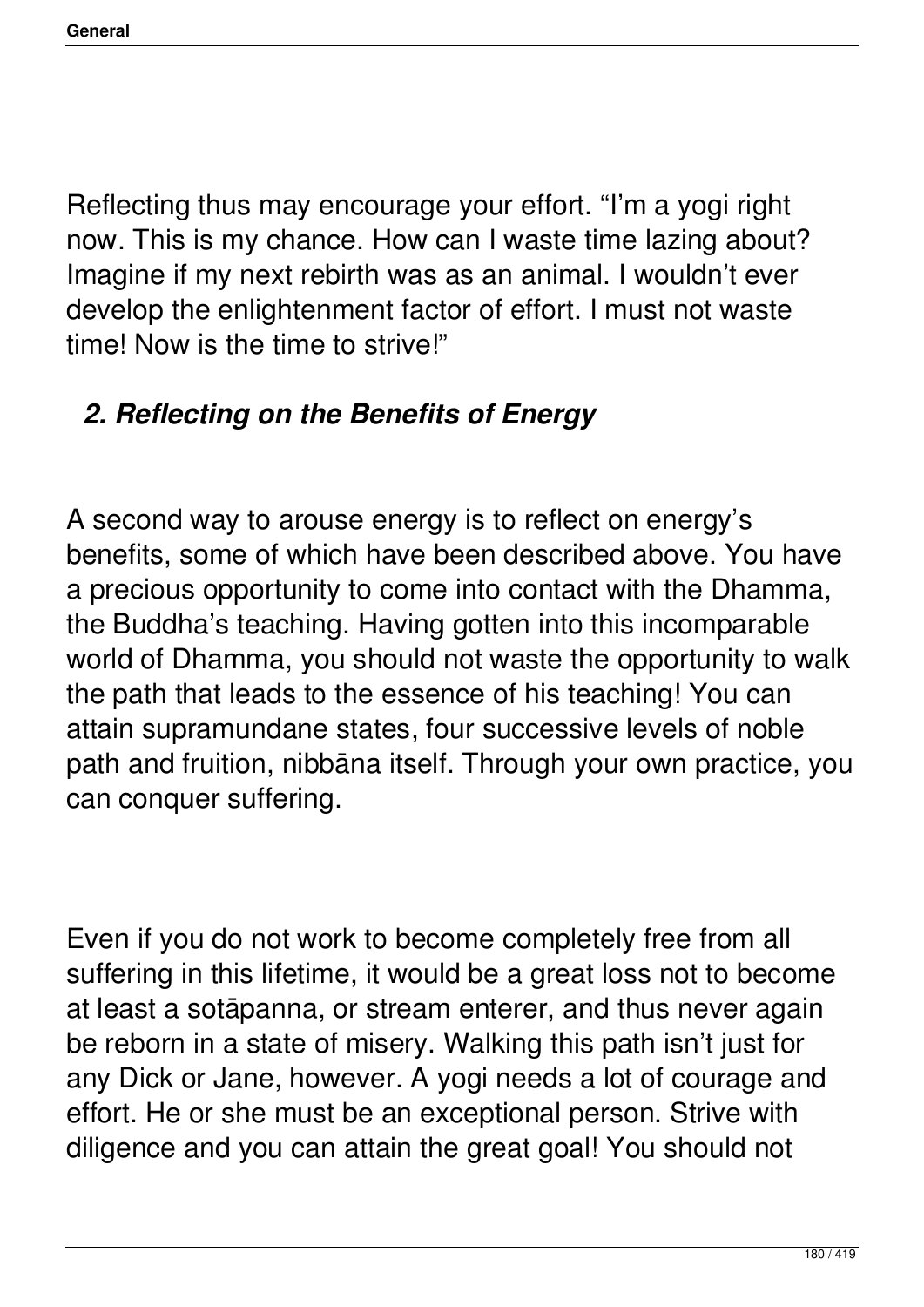Reflecting thus may encourage your effort. "I'm a yogi right now. This is my chance. How can I waste time lazing about? Imagine if my next rebirth was as an animal. I wouldn't ever develop the enlightenment factor of effort. I must not waste time! Now is the time to strive!"

## *2. Reflecting on the Benefits of Energy*

A second way to arouse energy is to reflect on energy's benefits, some of which have been described above. You have a precious opportunity to come into contact with the Dhamma, the Buddha's teaching. Having gotten into this incomparable world of Dhamma, you should not waste the opportunity to walk the path that leads to the essence of his teaching! You can attain supramundane states, four successive levels of noble path and fruition, nibbāna itself. Through your own practice, you can conquer suffering.

Even if you do not work to become completely free from all suffering in this lifetime, it would be a great loss not to become at least a sotāpanna, or stream enterer, and thus never again be reborn in a state of misery. Walking this path isn't just for any Dick or Jane, however. A yogi needs a lot of courage and effort. He or she must be an exceptional person. Strive with diligence and you can attain the great goal! You should not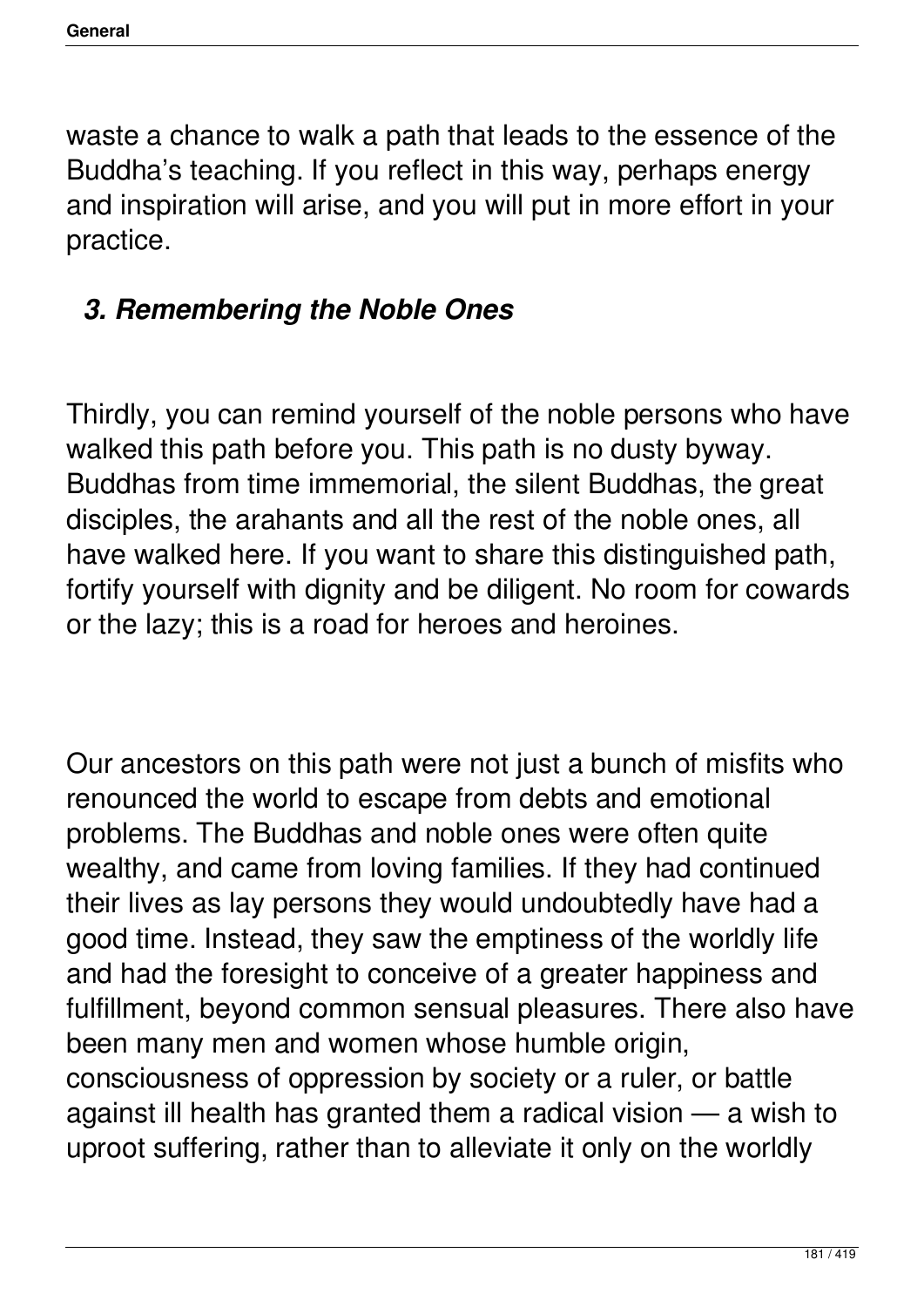waste a chance to walk a path that leads to the essence of the Buddha's teaching. If you reflect in this way, perhaps energy and inspiration will arise, and you will put in more effort in your practice.

## *3. Remembering the Noble Ones*

Thirdly, you can remind yourself of the noble persons who have walked this path before you. This path is no dusty byway. Buddhas from time immemorial, the silent Buddhas, the great disciples, the arahants and all the rest of the noble ones, all have walked here. If you want to share this distinguished path, fortify yourself with dignity and be diligent. No room for cowards or the lazy; this is a road for heroes and heroines.

Our ancestors on this path were not just a bunch of misfits who renounced the world to escape from debts and emotional problems. The Buddhas and noble ones were often quite wealthy, and came from loving families. If they had continued their lives as lay persons they would undoubtedly have had a good time. Instead, they saw the emptiness of the worldly life and had the foresight to conceive of a greater happiness and fulfillment, beyond common sensual pleasures. There also have been many men and women whose humble origin, consciousness of oppression by society or a ruler, or battle against ill health has granted them a radical vision — a wish to uproot suffering, rather than to alleviate it only on the worldly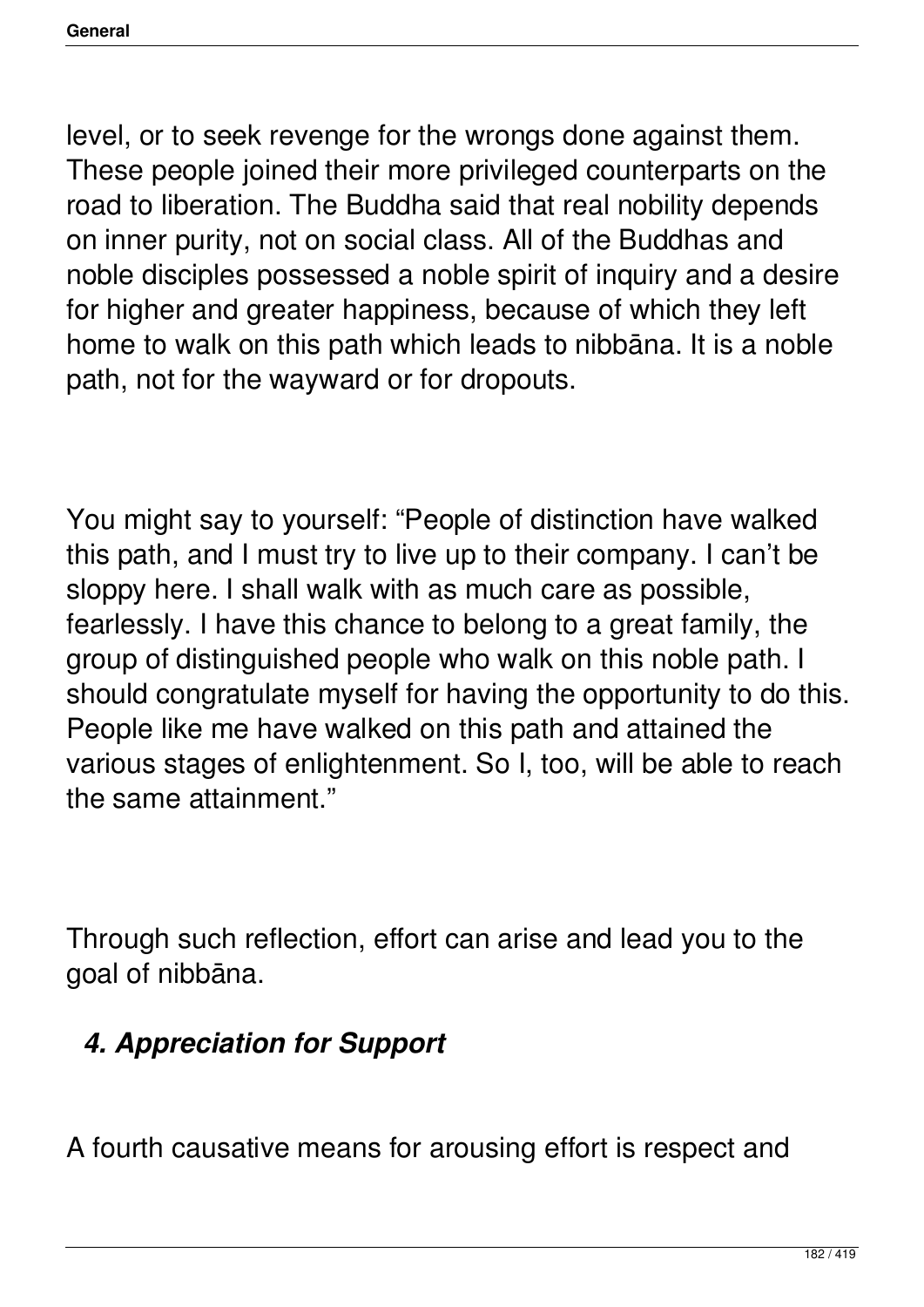level, or to seek revenge for the wrongs done against them. These people joined their more privileged counterparts on the road to liberation. The Buddha said that real nobility depends on inner purity, not on social class. All of the Buddhas and noble disciples possessed a noble spirit of inquiry and a desire for higher and greater happiness, because of which they left home to walk on this path which leads to nibbāna. It is a noble path, not for the wayward or for dropouts.

You might say to yourself: "People of distinction have walked this path, and I must try to live up to their company. I can't be sloppy here. I shall walk with as much care as possible, fearlessly. I have this chance to belong to a great family, the group of distinguished people who walk on this noble path. I should congratulate myself for having the opportunity to do this. People like me have walked on this path and attained the various stages of enlightenment. So I, too, will be able to reach the same attainment."

Through such reflection, effort can arise and lead you to the goal of nibbāna.

## *4. Appreciation for Support*

A fourth causative means for arousing effort is respect and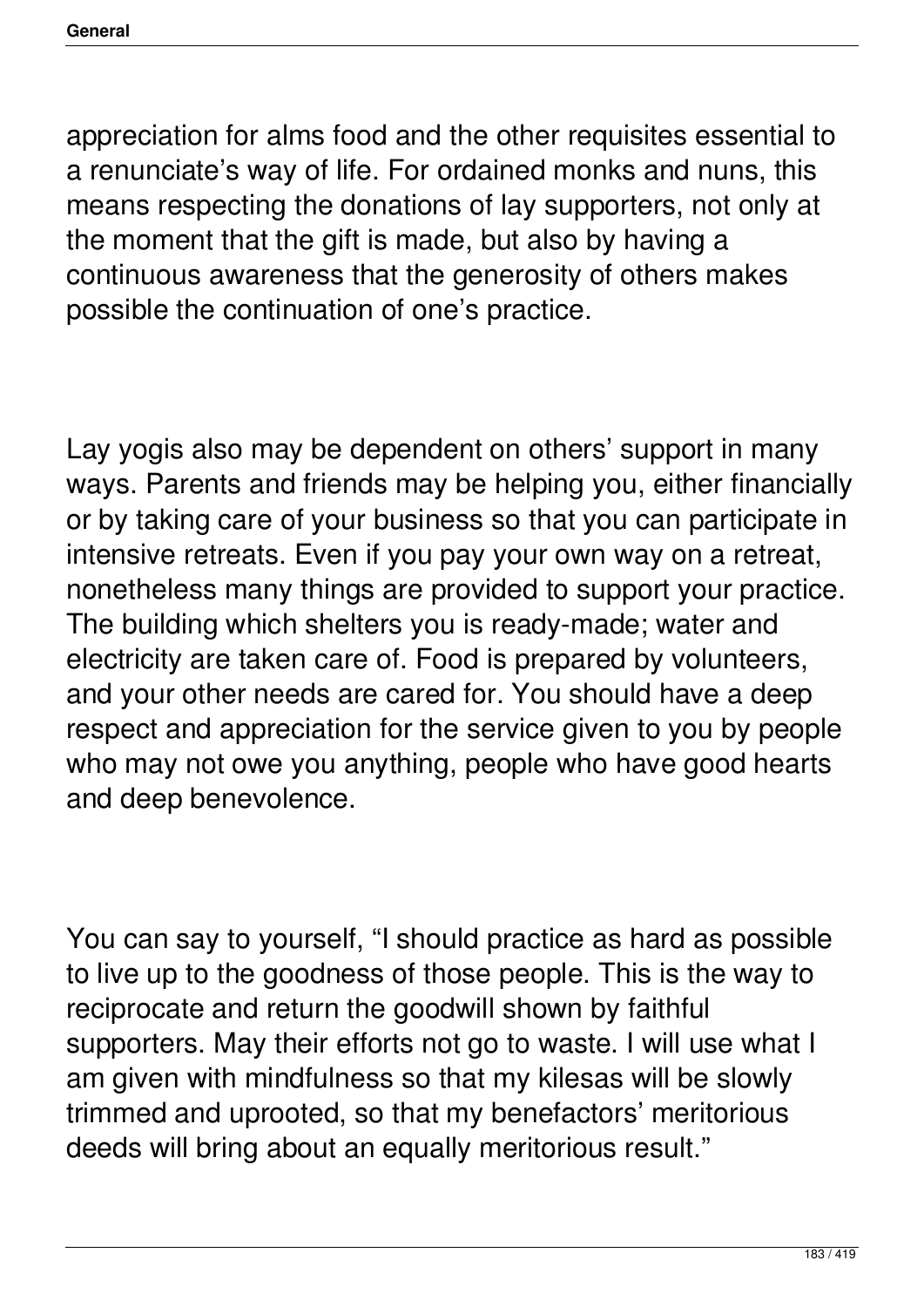appreciation for alms food and the other requisites essential to a renunciate's way of life. For ordained monks and nuns, this means respecting the donations of lay supporters, not only at the moment that the gift is made, but also by having a continuous awareness that the generosity of others makes possible the continuation of one's practice.

Lay yogis also may be dependent on others' support in many ways. Parents and friends may be helping you, either financially or by taking care of your business so that you can participate in intensive retreats. Even if you pay your own way on a retreat, nonetheless many things are provided to support your practice. The building which shelters you is ready-made; water and electricity are taken care of. Food is prepared by volunteers, and your other needs are cared for. You should have a deep respect and appreciation for the service given to you by people who may not owe you anything, people who have good hearts and deep benevolence.

You can say to yourself, "I should practice as hard as possible to live up to the goodness of those people. This is the way to reciprocate and return the goodwill shown by faithful supporters. May their efforts not go to waste. I will use what I am given with mindfulness so that my kilesas will be slowly trimmed and uprooted, so that my benefactors' meritorious deeds will bring about an equally meritorious result."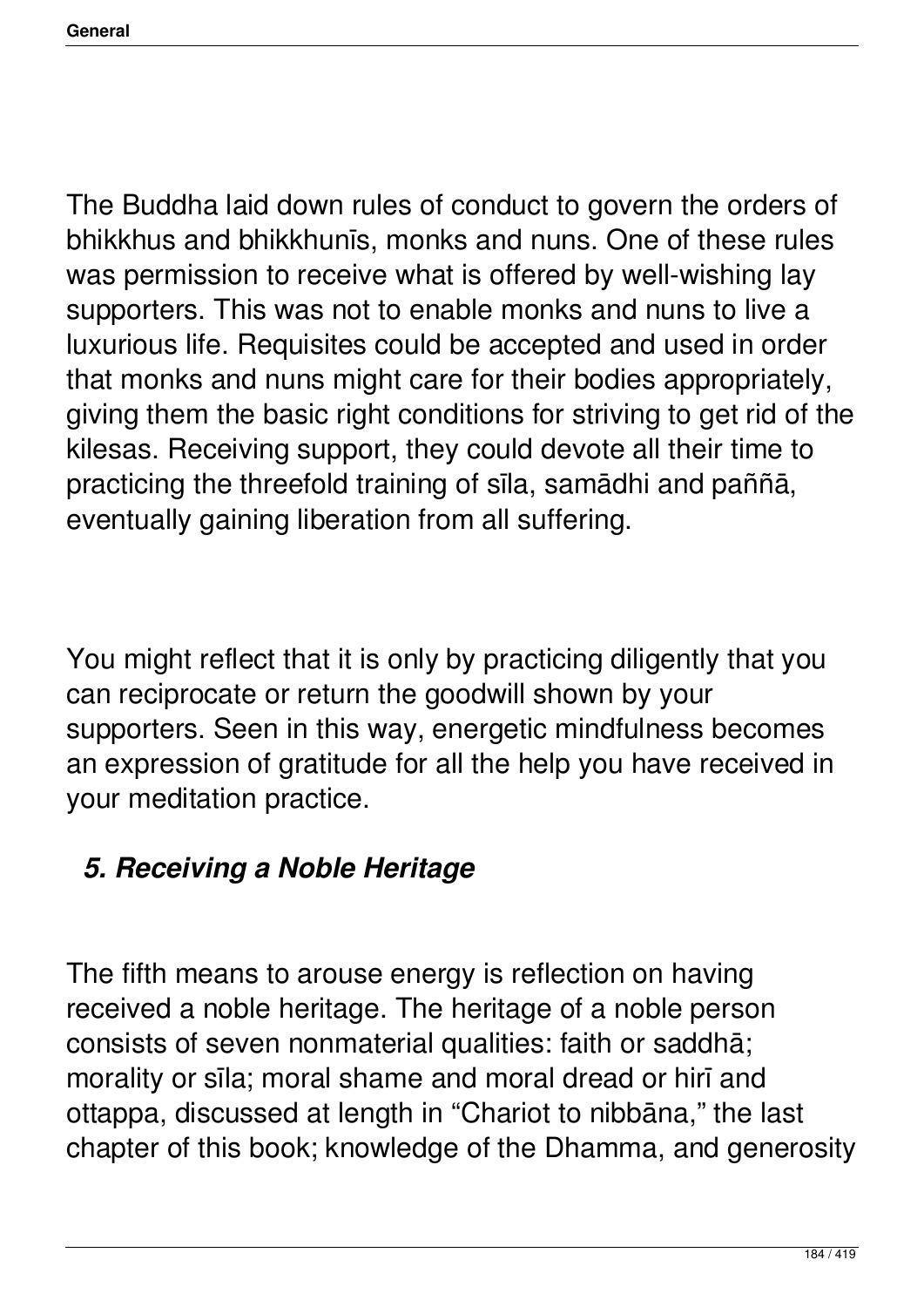The Buddha laid down rules of conduct to govern the orders of bhikkhus and bhikkhunīs, monks and nuns. One of these rules was permission to receive what is offered by well-wishing lay supporters. This was not to enable monks and nuns to live a luxurious life. Requisites could be accepted and used in order that monks and nuns might care for their bodies appropriately, giving them the basic right conditions for striving to get rid of the kilesas. Receiving support, they could devote all their time to practicing the threefold training of sīla, samādhi and paññā, eventually gaining liberation from all suffering.

You might reflect that it is only by practicing diligently that you can reciprocate or return the goodwill shown by your supporters. Seen in this way, energetic mindfulness becomes an expression of gratitude for all the help you have received in your meditation practice.

# *5. Receiving a Noble Heritage*

The fifth means to arouse energy is reflection on having received a noble heritage. The heritage of a noble person consists of seven nonmaterial qualities: faith or saddhā; morality or sīla; moral shame and moral dread or hirī and ottappa, discussed at length in "Chariot to nibbāna," the last chapter of this book; knowledge of the Dhamma, and generosity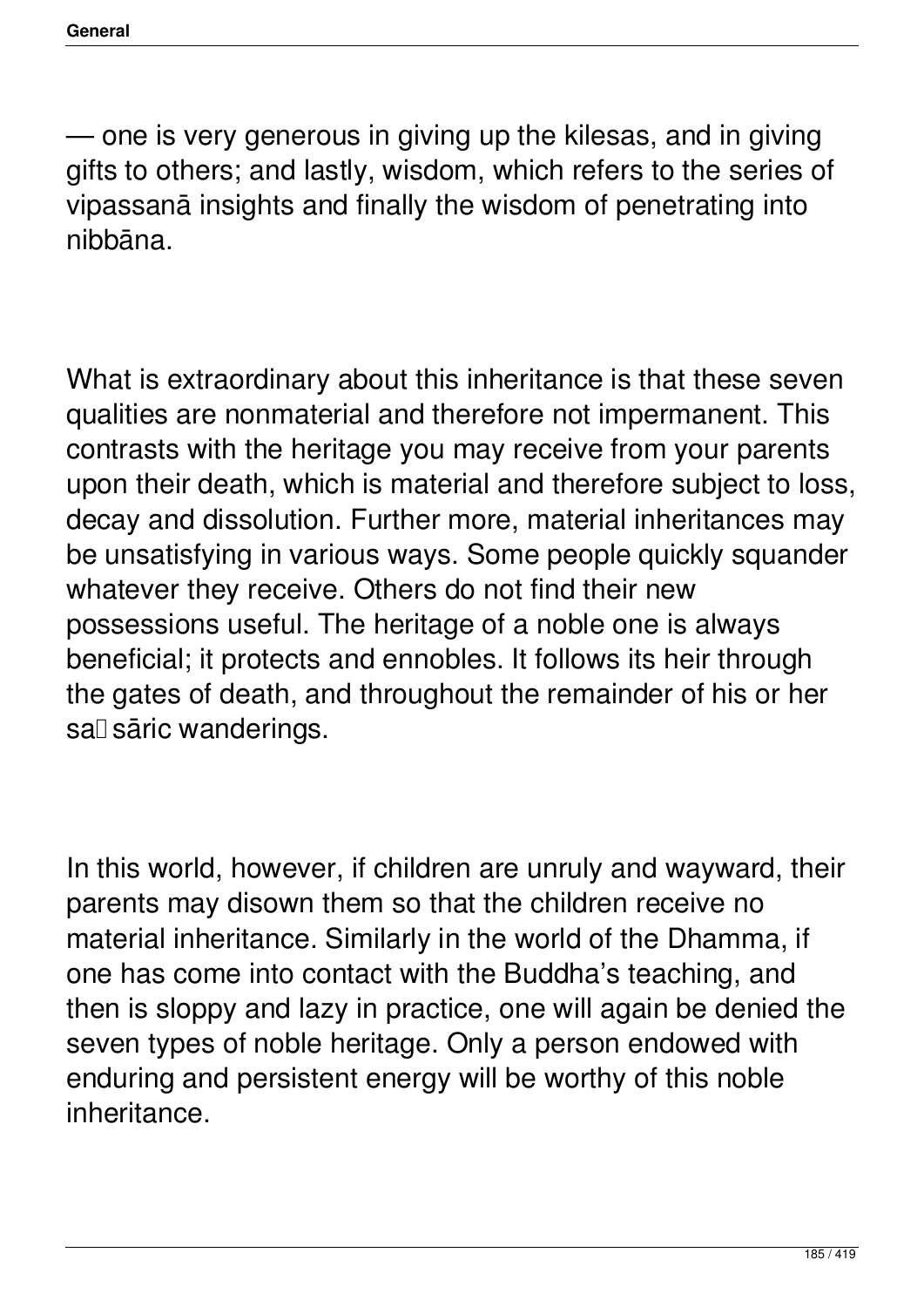— one is very generous in giving up the kilesas, and in giving gifts to others; and lastly, wisdom, which refers to the series of vipassanā insights and finally the wisdom of penetrating into nibbāna.

What is extraordinary about this inheritance is that these seven qualities are nonmaterial and therefore not impermanent. This contrasts with the heritage you may receive from your parents upon their death, which is material and therefore subject to loss, decay and dissolution. Further more, material inheritances may be unsatisfying in various ways. Some people quickly squander whatever they receive. Others do not find their new possessions useful. The heritage of a noble one is always beneficial; it protects and ennobles. It follows its heir through the gates of death, and throughout the remainder of his or her sal sāric wanderings.

In this world, however, if children are unruly and wayward, their parents may disown them so that the children receive no material inheritance. Similarly in the world of the Dhamma, if one has come into contact with the Buddha's teaching, and then is sloppy and lazy in practice, one will again be denied the seven types of noble heritage. Only a person endowed with enduring and persistent energy will be worthy of this noble inheritance.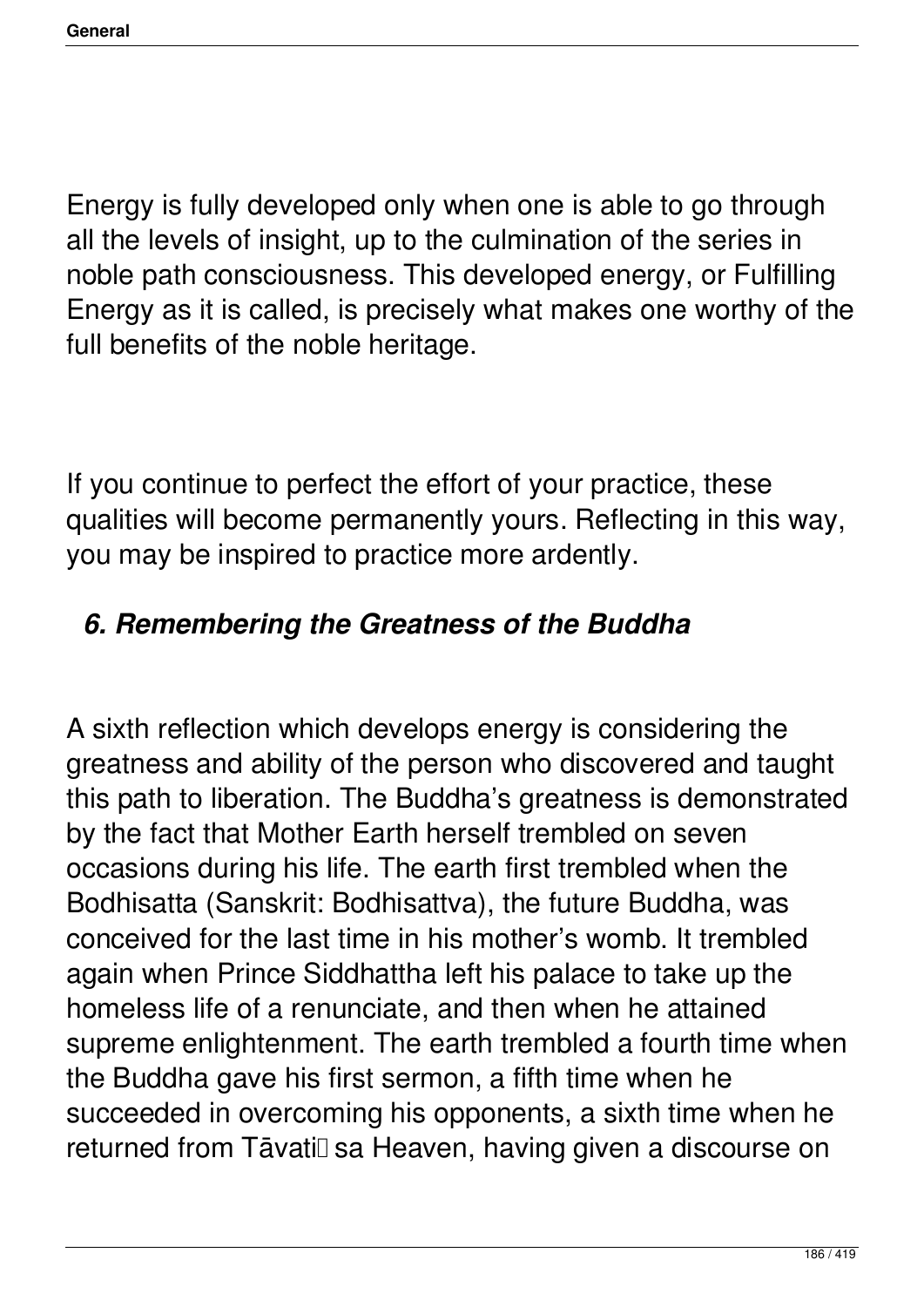Energy is fully developed only when one is able to go through all the levels of insight, up to the culmination of the series in noble path consciousness. This developed energy, or Fulfilling Energy as it is called, is precisely what makes one worthy of the full benefits of the noble heritage.

If you continue to perfect the effort of your practice, these qualities will become permanently yours. Reflecting in this way, you may be inspired to practice more ardently.

#### *6. Remembering the Greatness of the Buddha*

A sixth reflection which develops energy is considering the greatness and ability of the person who discovered and taught this path to liberation. The Buddha's greatness is demonstrated by the fact that Mother Earth herself trembled on seven occasions during his life. The earth first trembled when the Bodhisatta (Sanskrit: Bodhisattva), the future Buddha, was conceived for the last time in his mother's womb. It trembled again when Prince Siddhattha left his palace to take up the homeless life of a renunciate, and then when he attained supreme enlightenment. The earth trembled a fourth time when the Buddha gave his first sermon, a fifth time when he succeeded in overcoming his opponents, a sixth time when he returned from Tāvatill sa Heaven, having given a discourse on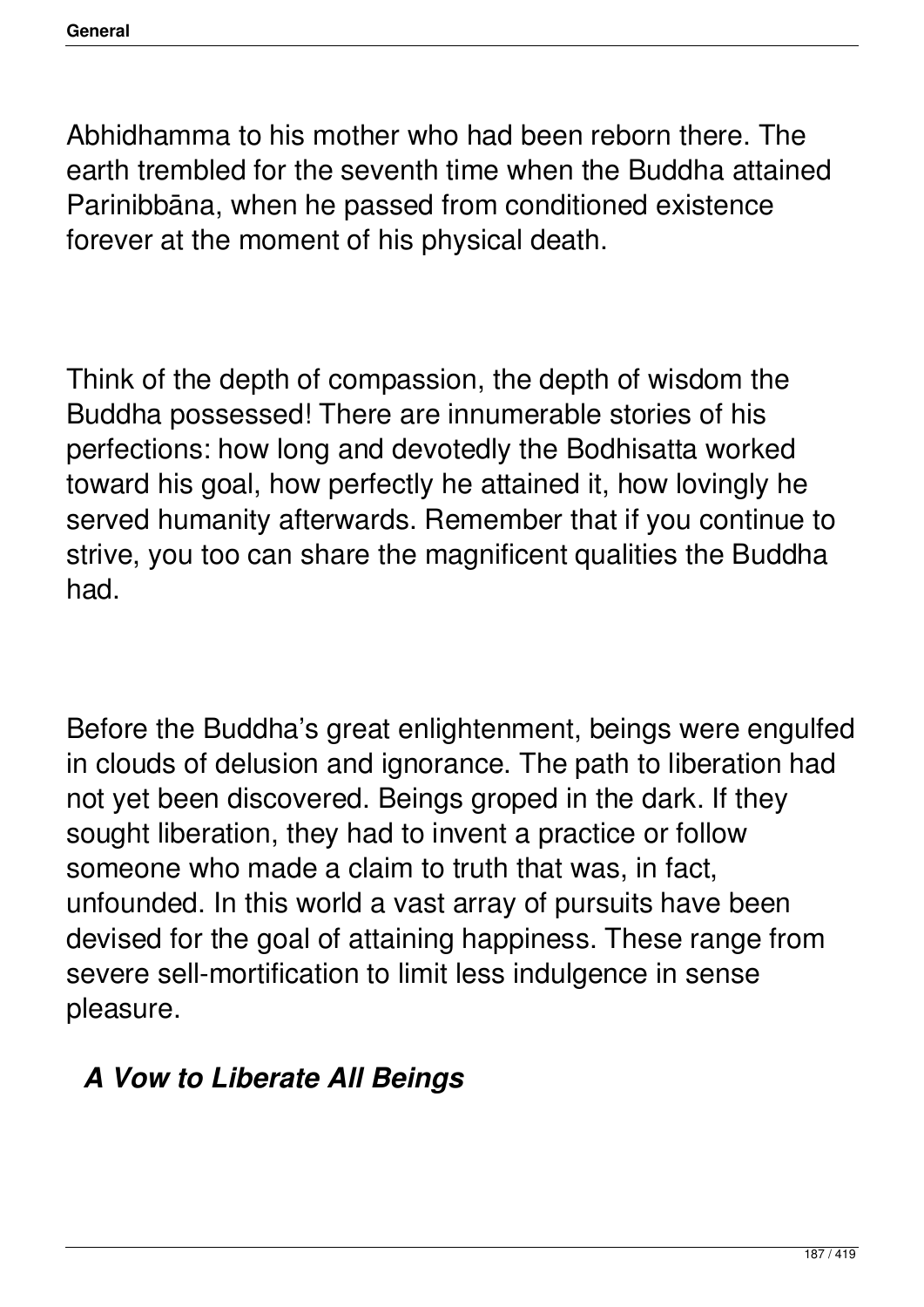Abhidhamma to his mother who had been reborn there. The earth trembled for the seventh time when the Buddha attained Parinibbāna, when he passed from conditioned existence forever at the moment of his physical death.

Think of the depth of compassion, the depth of wisdom the Buddha possessed! There are innumerable stories of his perfections: how long and devotedly the Bodhisatta worked toward his goal, how perfectly he attained it, how lovingly he served humanity afterwards. Remember that if you continue to strive, you too can share the magnificent qualities the Buddha had.

Before the Buddha's great enlightenment, beings were engulfed in clouds of delusion and ignorance. The path to liberation had not yet been discovered. Beings groped in the dark. If they sought liberation, they had to invent a practice or follow someone who made a claim to truth that was, in fact, unfounded. In this world a vast array of pursuits have been devised for the goal of attaining happiness. These range from severe sell-mortification to limit less indulgence in sense pleasure.

# *A Vow to Liberate All Beings*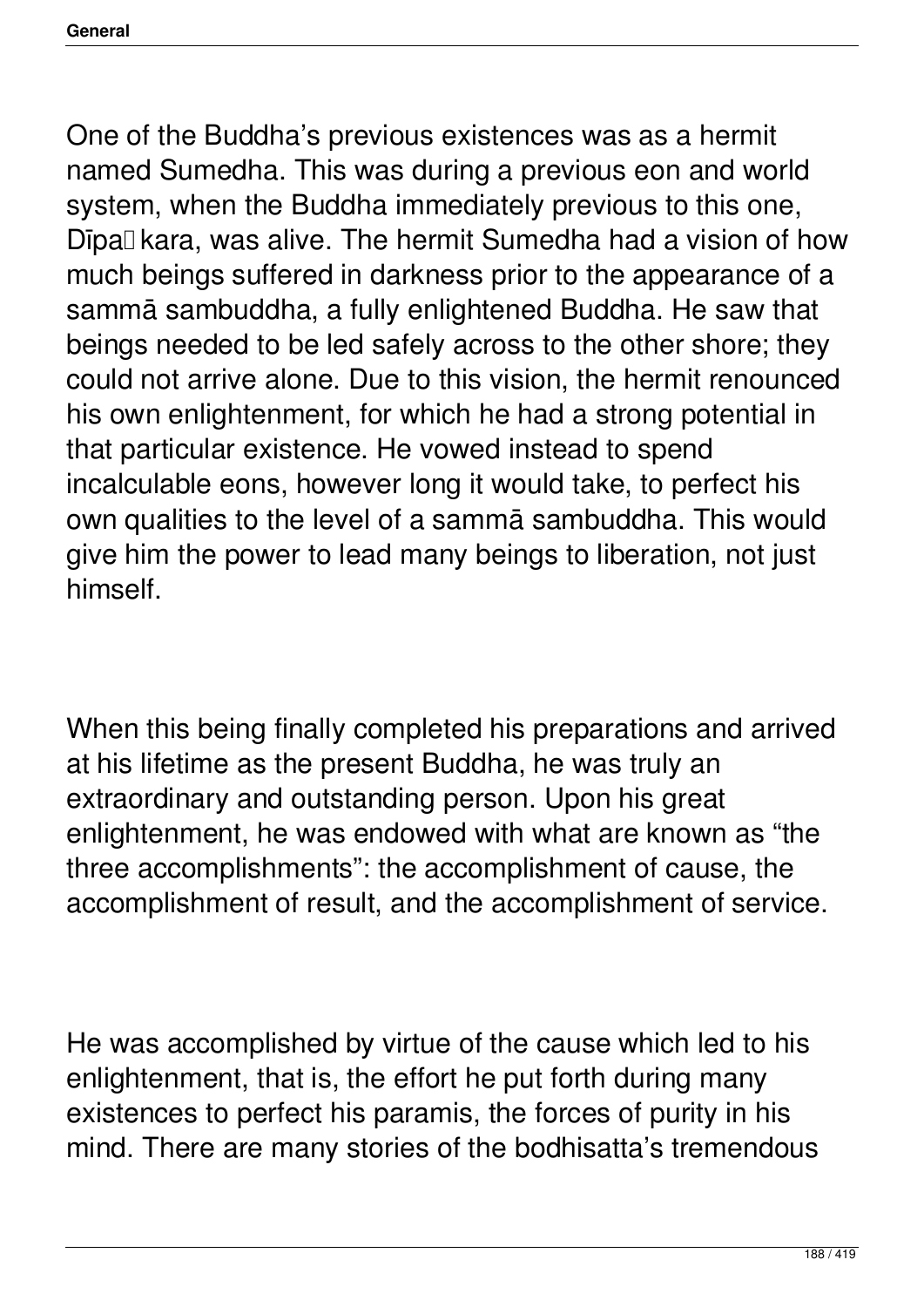One of the Buddha's previous existences was as a hermit named Sumedha. This was during a previous eon and world system, when the Buddha immediately previous to this one, Dīpal kara, was alive. The hermit Sumedha had a vision of how much beings suffered in darkness prior to the appearance of a sammā sambuddha, a fully enlightened Buddha. He saw that beings needed to be led safely across to the other shore; they could not arrive alone. Due to this vision, the hermit renounced his own enlightenment, for which he had a strong potential in that particular existence. He vowed instead to spend incalculable eons, however long it would take, to perfect his own qualities to the level of a sammā sambuddha. This would give him the power to lead many beings to liberation, not just himself.

When this being finally completed his preparations and arrived at his lifetime as the present Buddha, he was truly an extraordinary and outstanding person. Upon his great enlightenment, he was endowed with what are known as "the three accomplishments": the accomplishment of cause, the accomplishment of result, and the accomplishment of service.

He was accomplished by virtue of the cause which led to his enlightenment, that is, the effort he put forth during many existences to perfect his paramis, the forces of purity in his mind. There are many stories of the bodhisatta's tremendous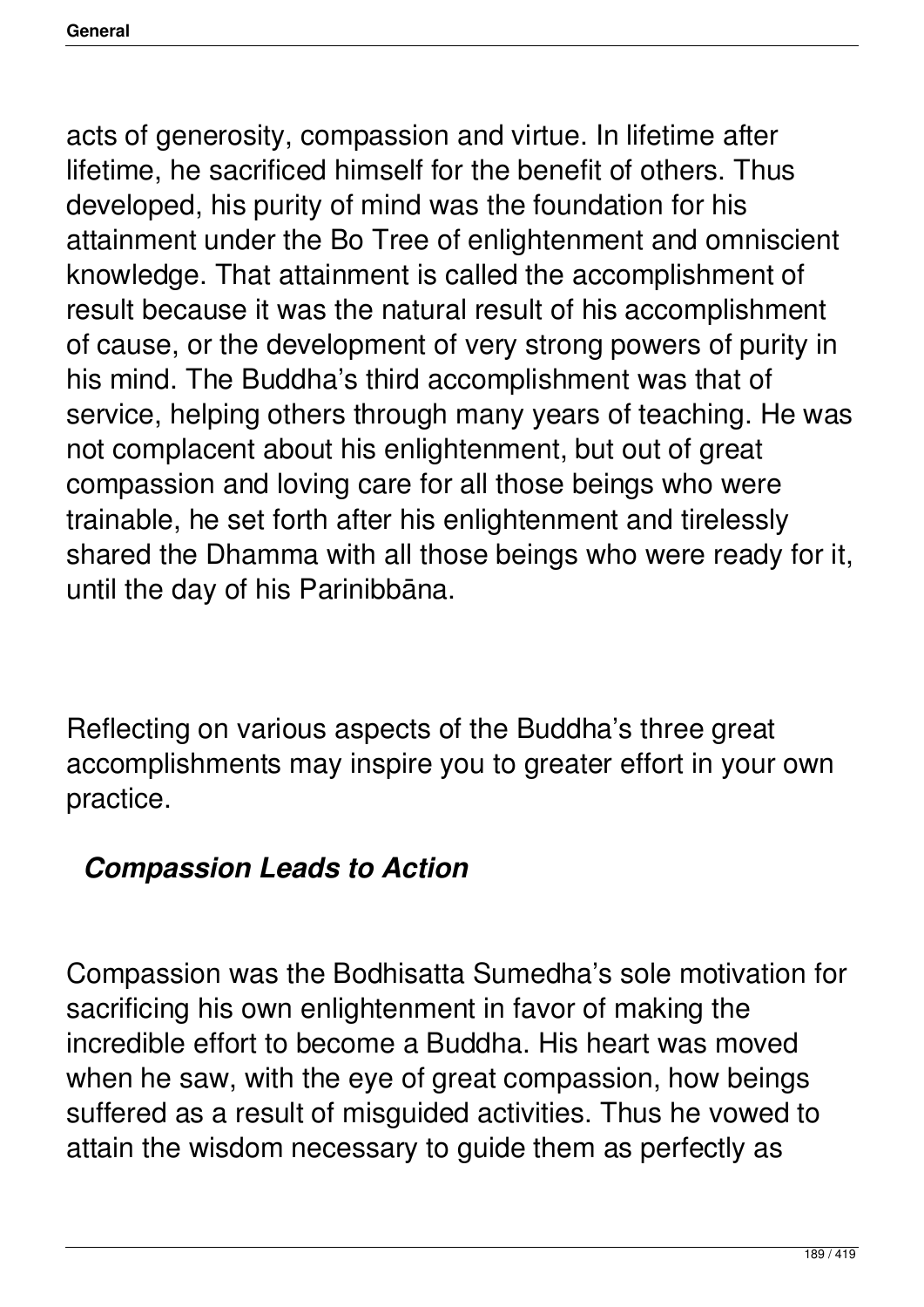acts of generosity, compassion and virtue. In lifetime after lifetime, he sacrificed himself for the benefit of others. Thus developed, his purity of mind was the foundation for his attainment under the Bo Tree of enlightenment and omniscient knowledge. That attainment is called the accomplishment of result because it was the natural result of his accomplishment of cause, or the development of very strong powers of purity in his mind. The Buddha's third accomplishment was that of service, helping others through many years of teaching. He was not complacent about his enlightenment, but out of great compassion and loving care for all those beings who were trainable, he set forth after his enlightenment and tirelessly shared the Dhamma with all those beings who were ready for it, until the day of his Parinibbāna.

Reflecting on various aspects of the Buddha's three great accomplishments may inspire you to greater effort in your own practice.

# *Compassion Leads to Action*

Compassion was the Bodhisatta Sumedha's sole motivation for sacrificing his own enlightenment in favor of making the incredible effort to become a Buddha. His heart was moved when he saw, with the eye of great compassion, how beings suffered as a result of misguided activities. Thus he vowed to attain the wisdom necessary to guide them as perfectly as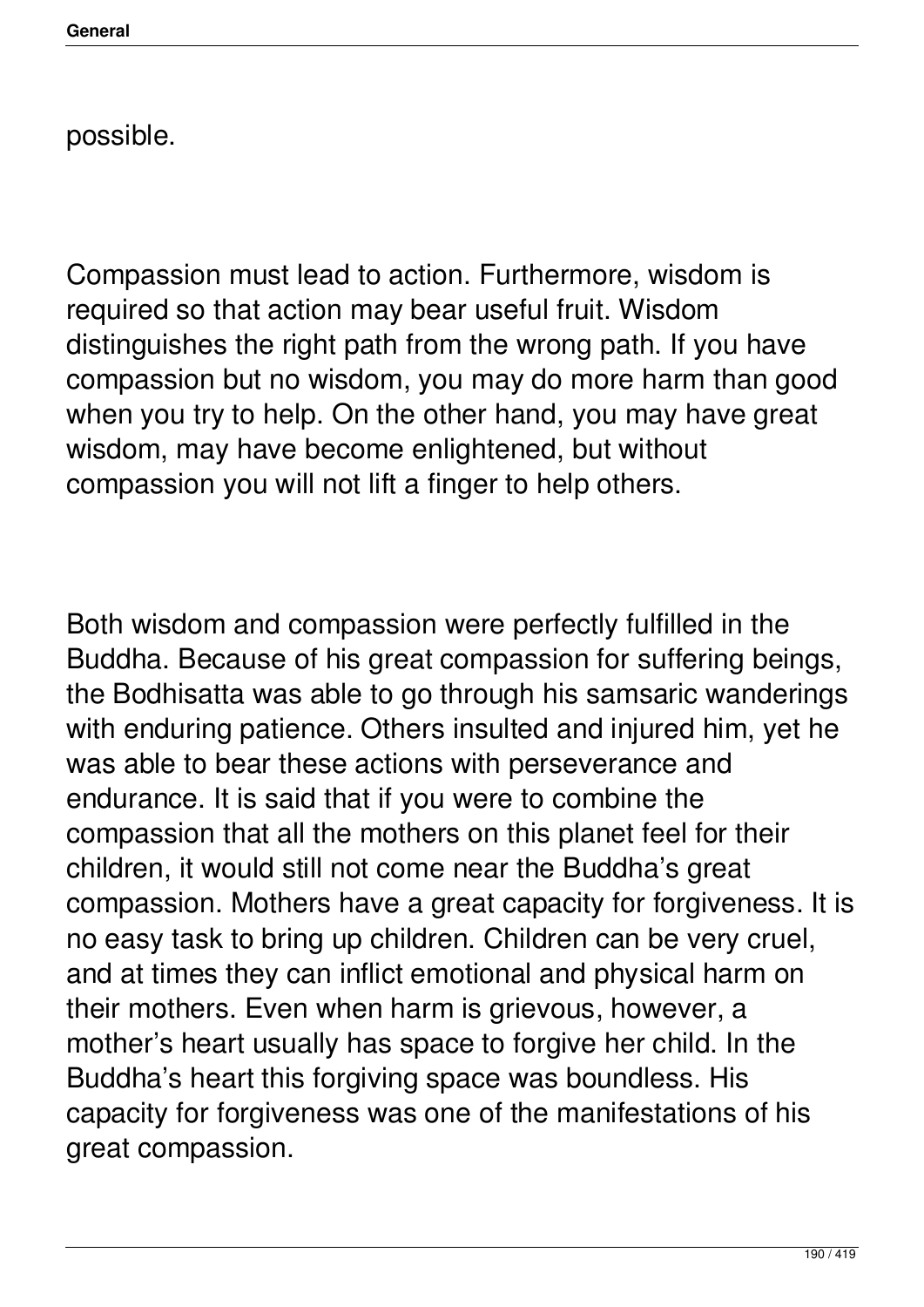possible.

Compassion must lead to action. Furthermore, wisdom is required so that action may bear useful fruit. Wisdom distinguishes the right path from the wrong path. If you have compassion but no wisdom, you may do more harm than good when you try to help. On the other hand, you may have great wisdom, may have become enlightened, but without compassion you will not lift a finger to help others.

Both wisdom and compassion were perfectly fulfilled in the Buddha. Because of his great compassion for suffering beings, the Bodhisatta was able to go through his samsaric wanderings with enduring patience. Others insulted and injured him, yet he was able to bear these actions with perseverance and endurance. It is said that if you were to combine the compassion that all the mothers on this planet feel for their children, it would still not come near the Buddha's great compassion. Mothers have a great capacity for forgiveness. It is no easy task to bring up children. Children can be very cruel, and at times they can inflict emotional and physical harm on their mothers. Even when harm is grievous, however, a mother's heart usually has space to forgive her child. In the Buddha's heart this forgiving space was boundless. His capacity for forgiveness was one of the manifestations of his great compassion.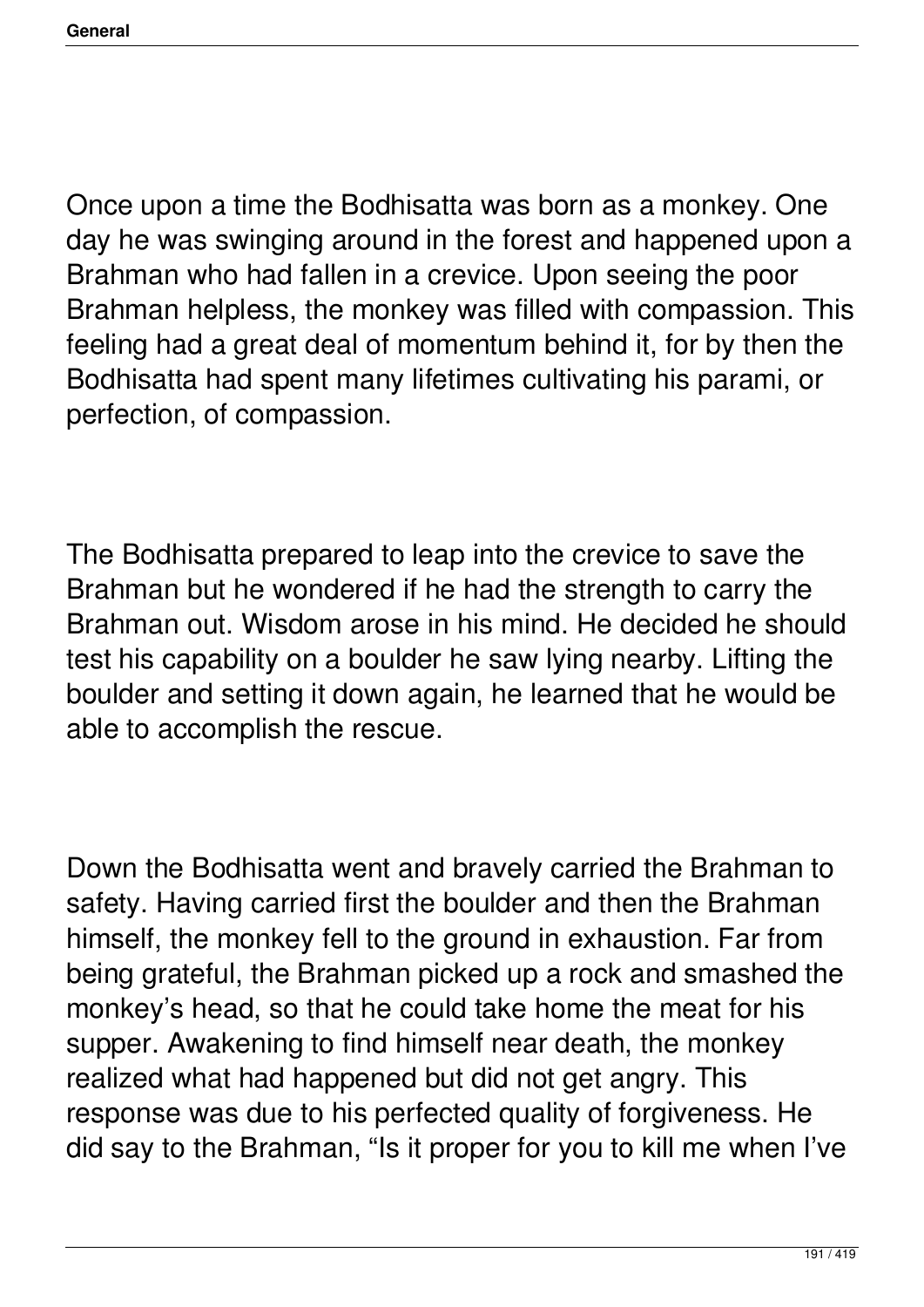Once upon a time the Bodhisatta was born as a monkey. One day he was swinging around in the forest and happened upon a Brahman who had fallen in a crevice. Upon seeing the poor Brahman helpless, the monkey was filled with compassion. This feeling had a great deal of momentum behind it, for by then the Bodhisatta had spent many lifetimes cultivating his parami, or perfection, of compassion.

The Bodhisatta prepared to leap into the crevice to save the Brahman but he wondered if he had the strength to carry the Brahman out. Wisdom arose in his mind. He decided he should test his capability on a boulder he saw lying nearby. Lifting the boulder and setting it down again, he learned that he would be able to accomplish the rescue.

Down the Bodhisatta went and bravely carried the Brahman to safety. Having carried first the boulder and then the Brahman himself, the monkey fell to the ground in exhaustion. Far from being grateful, the Brahman picked up a rock and smashed the monkey's head, so that he could take home the meat for his supper. Awakening to find himself near death, the monkey realized what had happened but did not get angry. This response was due to his perfected quality of forgiveness. He did say to the Brahman, "Is it proper for you to kill me when I've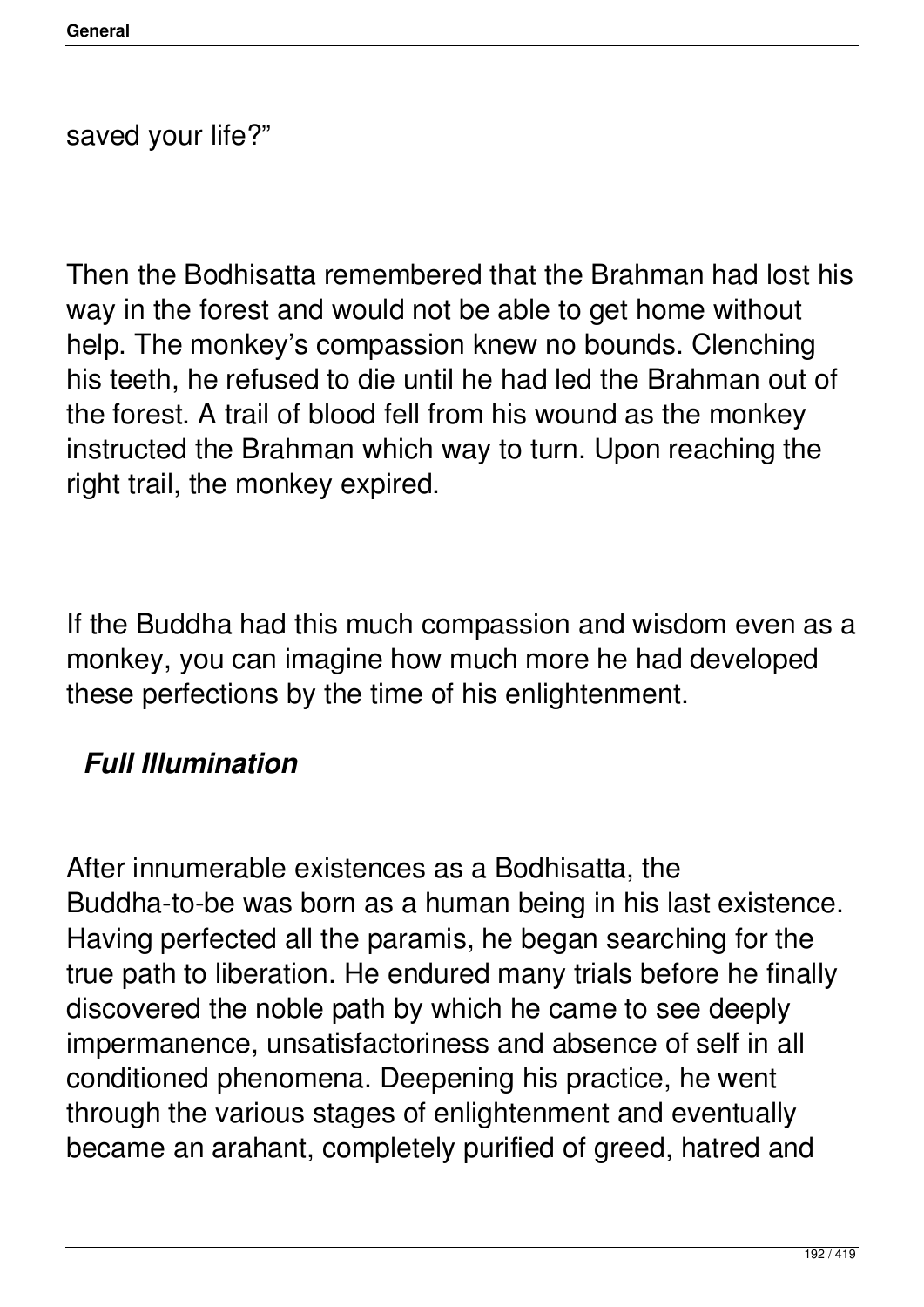saved your life?"

Then the Bodhisatta remembered that the Brahman had lost his way in the forest and would not be able to get home without help. The monkey's compassion knew no bounds. Clenching his teeth, he refused to die until he had led the Brahman out of the forest. A trail of blood fell from his wound as the monkey instructed the Brahman which way to turn. Upon reaching the right trail, the monkey expired.

If the Buddha had this much compassion and wisdom even as a monkey, you can imagine how much more he had developed these perfections by the time of his enlightenment.

## *Full Illumination*

After innumerable existences as a Bodhisatta, the Buddha-to-be was born as a human being in his last existence. Having perfected all the paramis, he began searching for the true path to liberation. He endured many trials before he finally discovered the noble path by which he came to see deeply impermanence, unsatisfactoriness and absence of self in all conditioned phenomena. Deepening his practice, he went through the various stages of enlightenment and eventually became an arahant, completely purified of greed, hatred and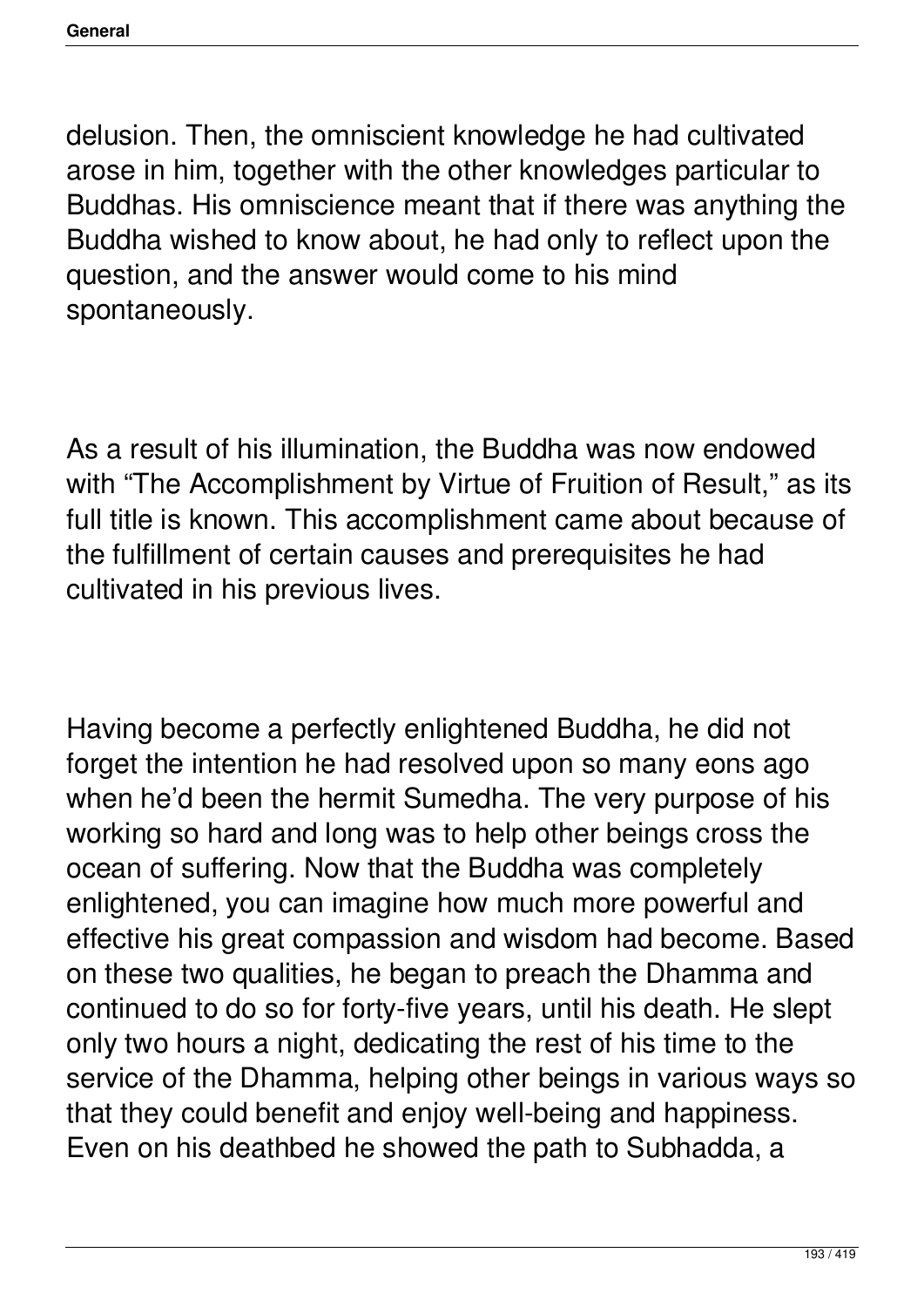delusion. Then, the omniscient knowledge he had cultivated arose in him, together with the other knowledges particular to Buddhas. His omniscience meant that if there was anything the Buddha wished to know about, he had only to reflect upon the question, and the answer would come to his mind spontaneously.

As a result of his illumination, the Buddha was now endowed with "The Accomplishment by Virtue of Fruition of Result," as its full title is known. This accomplishment came about because of the fulfillment of certain causes and prerequisites he had cultivated in his previous lives.

Having become a perfectly enlightened Buddha, he did not forget the intention he had resolved upon so many eons ago when he'd been the hermit Sumedha. The very purpose of his working so hard and long was to help other beings cross the ocean of suffering. Now that the Buddha was completely enlightened, you can imagine how much more powerful and effective his great compassion and wisdom had become. Based on these two qualities, he began to preach the Dhamma and continued to do so for forty-five years, until his death. He slept only two hours a night, dedicating the rest of his time to the service of the Dhamma, helping other beings in various ways so that they could benefit and enjoy well-being and happiness. Even on his deathbed he showed the path to Subhadda, a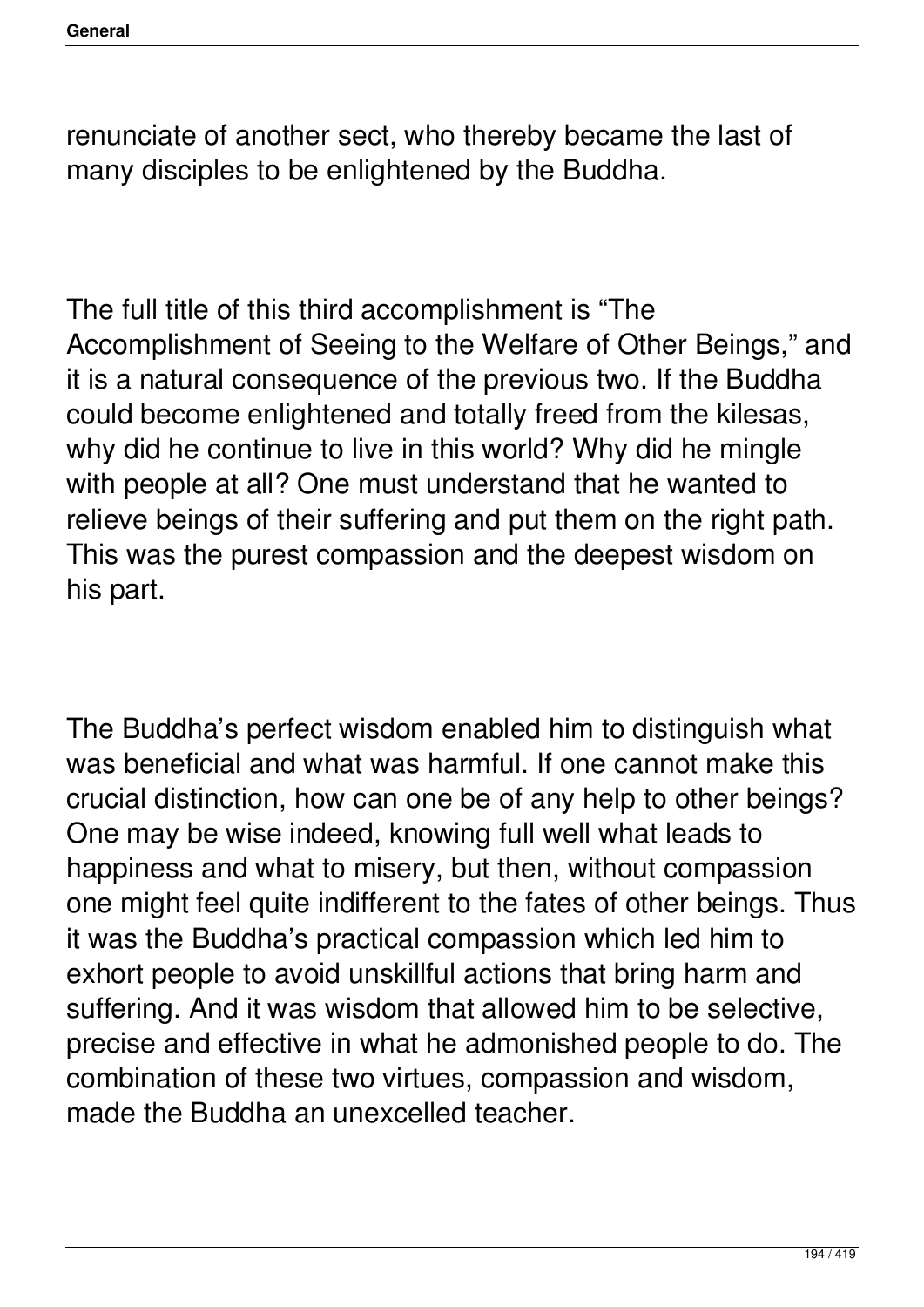renunciate of another sect, who thereby became the last of many disciples to be enlightened by the Buddha.

The full title of this third accomplishment is "The Accomplishment of Seeing to the Welfare of Other Beings," and it is a natural consequence of the previous two. If the Buddha could become enlightened and totally freed from the kilesas, why did he continue to live in this world? Why did he mingle with people at all? One must understand that he wanted to relieve beings of their suffering and put them on the right path. This was the purest compassion and the deepest wisdom on his part.

The Buddha's perfect wisdom enabled him to distinguish what was beneficial and what was harmful. If one cannot make this crucial distinction, how can one be of any help to other beings? One may be wise indeed, knowing full well what leads to happiness and what to misery, but then, without compassion one might feel quite indifferent to the fates of other beings. Thus it was the Buddha's practical compassion which led him to exhort people to avoid unskillful actions that bring harm and suffering. And it was wisdom that allowed him to be selective, precise and effective in what he admonished people to do. The combination of these two virtues, compassion and wisdom, made the Buddha an unexcelled teacher.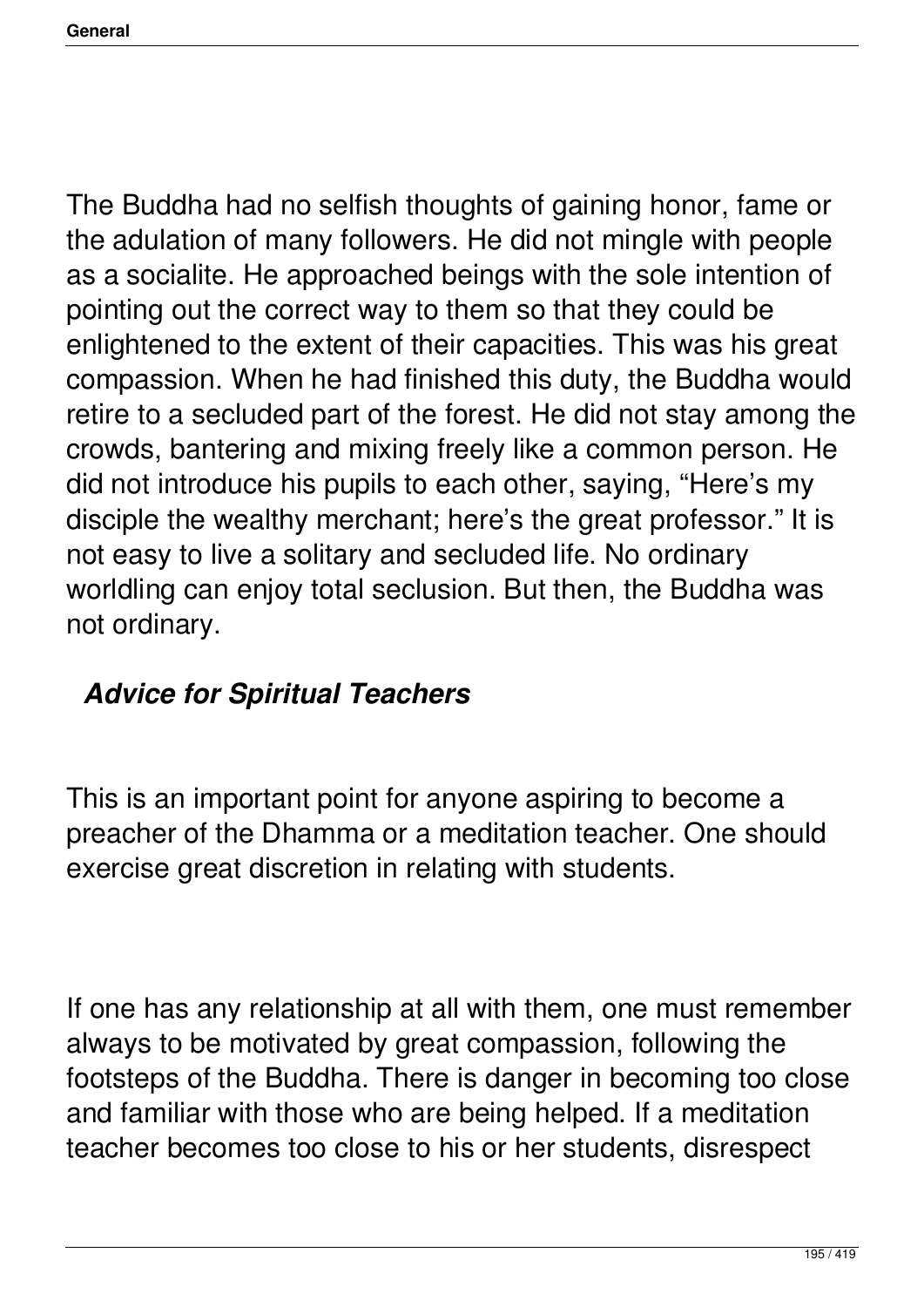The Buddha had no selfish thoughts of gaining honor, fame or the adulation of many followers. He did not mingle with people as a socialite. He approached beings with the sole intention of pointing out the correct way to them so that they could be enlightened to the extent of their capacities. This was his great compassion. When he had finished this duty, the Buddha would retire to a secluded part of the forest. He did not stay among the crowds, bantering and mixing freely like a common person. He did not introduce his pupils to each other, saying, "Here's my disciple the wealthy merchant; here's the great professor." It is not easy to live a solitary and secluded life. No ordinary worldling can enjoy total seclusion. But then, the Buddha was not ordinary.

#### *Advice for Spiritual Teachers*

This is an important point for anyone aspiring to become a preacher of the Dhamma or a meditation teacher. One should exercise great discretion in relating with students.

If one has any relationship at all with them, one must remember always to be motivated by great compassion, following the footsteps of the Buddha. There is danger in becoming too close and familiar with those who are being helped. If a meditation teacher becomes too close to his or her students, disrespect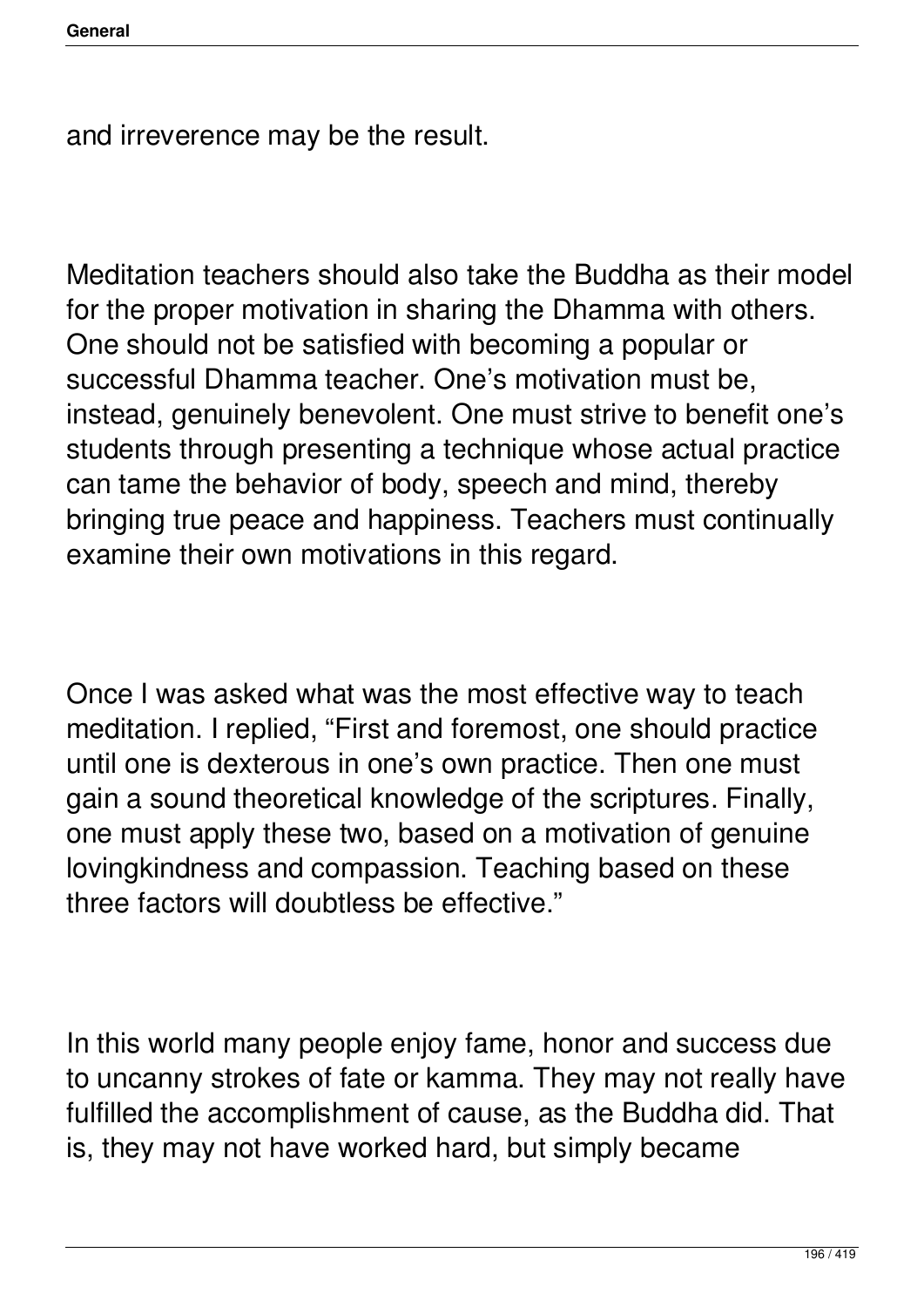and irreverence may be the result.

Meditation teachers should also take the Buddha as their model for the proper motivation in sharing the Dhamma with others. One should not be satisfied with becoming a popular or successful Dhamma teacher. One's motivation must be, instead, genuinely benevolent. One must strive to benefit one's students through presenting a technique whose actual practice can tame the behavior of body, speech and mind, thereby bringing true peace and happiness. Teachers must continually examine their own motivations in this regard.

Once I was asked what was the most effective way to teach meditation. I replied, "First and foremost, one should practice until one is dexterous in one's own practice. Then one must gain a sound theoretical knowledge of the scriptures. Finally, one must apply these two, based on a motivation of genuine lovingkindness and compassion. Teaching based on these three factors will doubtless be effective."

In this world many people enjoy fame, honor and success due to uncanny strokes of fate or kamma. They may not really have fulfilled the accomplishment of cause, as the Buddha did. That is, they may not have worked hard, but simply became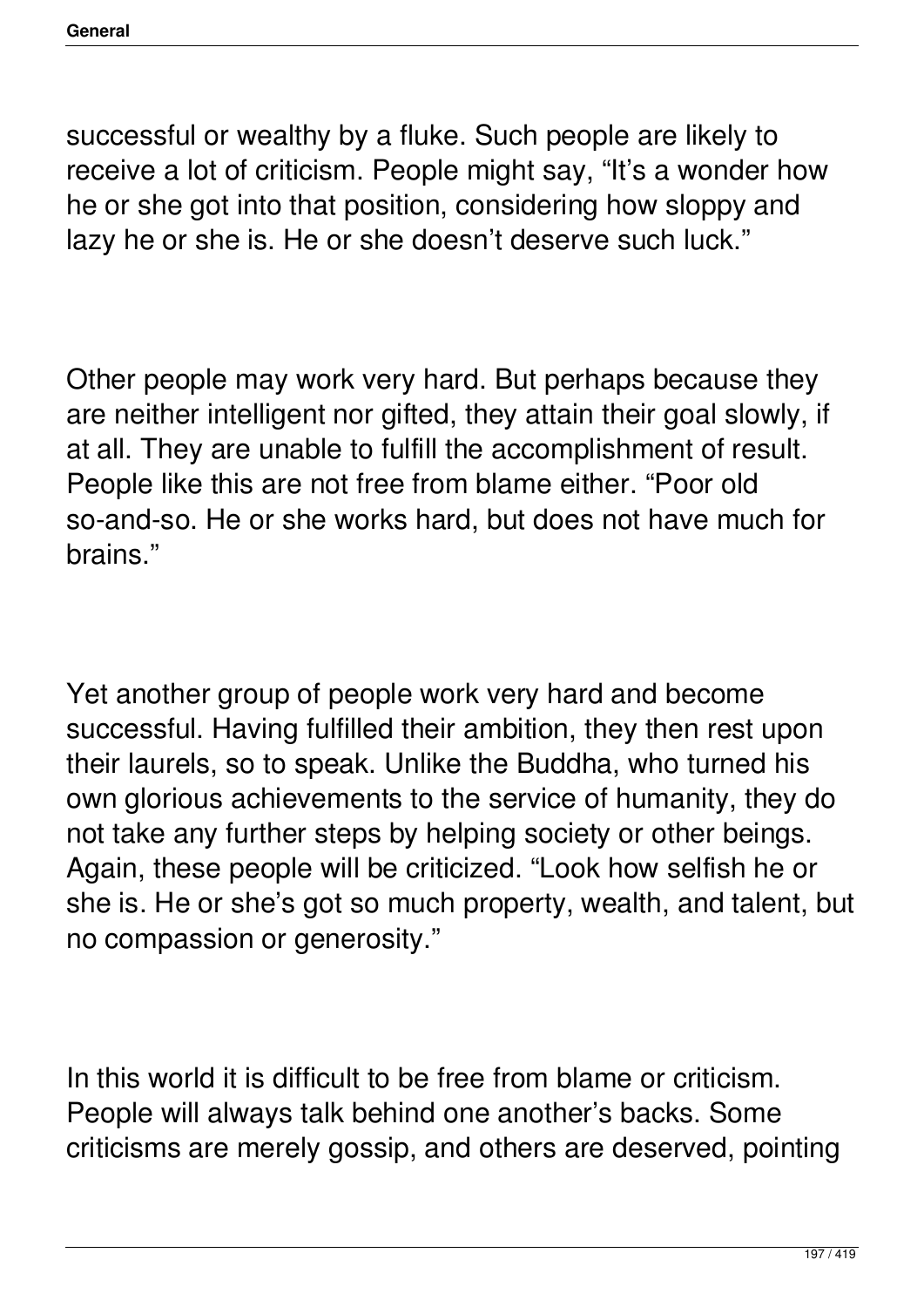successful or wealthy by a fluke. Such people are likely to receive a lot of criticism. People might say, "It's a wonder how he or she got into that position, considering how sloppy and lazy he or she is. He or she doesn't deserve such luck."

Other people may work very hard. But perhaps because they are neither intelligent nor gifted, they attain their goal slowly, if at all. They are unable to fulfill the accomplishment of result. People like this are not free from blame either. "Poor old so-and-so. He or she works hard, but does not have much for brains."

Yet another group of people work very hard and become successful. Having fulfilled their ambition, they then rest upon their laurels, so to speak. Unlike the Buddha, who turned his own glorious achievements to the service of humanity, they do not take any further steps by helping society or other beings. Again, these people will be criticized. "Look how selfish he or she is. He or she's got so much property, wealth, and talent, but no compassion or generosity."

In this world it is difficult to be free from blame or criticism. People will always talk behind one another's backs. Some criticisms are merely gossip, and others are deserved, pointing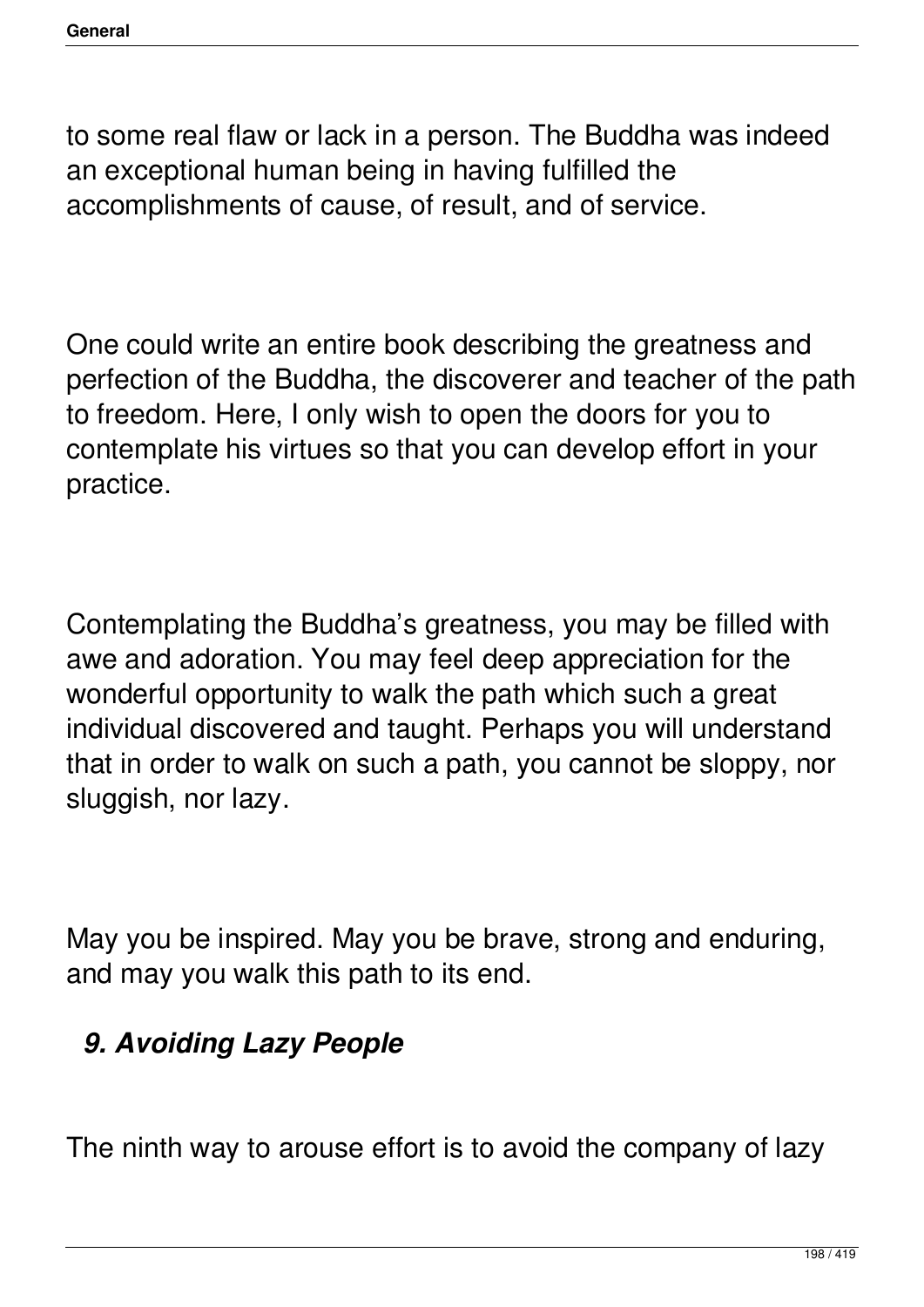to some real flaw or lack in a person. The Buddha was indeed an exceptional human being in having fulfilled the accomplishments of cause, of result, and of service.

One could write an entire book describing the greatness and perfection of the Buddha, the discoverer and teacher of the path to freedom. Here, I only wish to open the doors for you to contemplate his virtues so that you can develop effort in your practice.

Contemplating the Buddha's greatness, you may be filled with awe and adoration. You may feel deep appreciation for the wonderful opportunity to walk the path which such a great individual discovered and taught. Perhaps you will understand that in order to walk on such a path, you cannot be sloppy, nor sluggish, nor lazy.

May you be inspired. May you be brave, strong and enduring, and may you walk this path to its end.

# *9. Avoiding Lazy People*

The ninth way to arouse effort is to avoid the company of lazy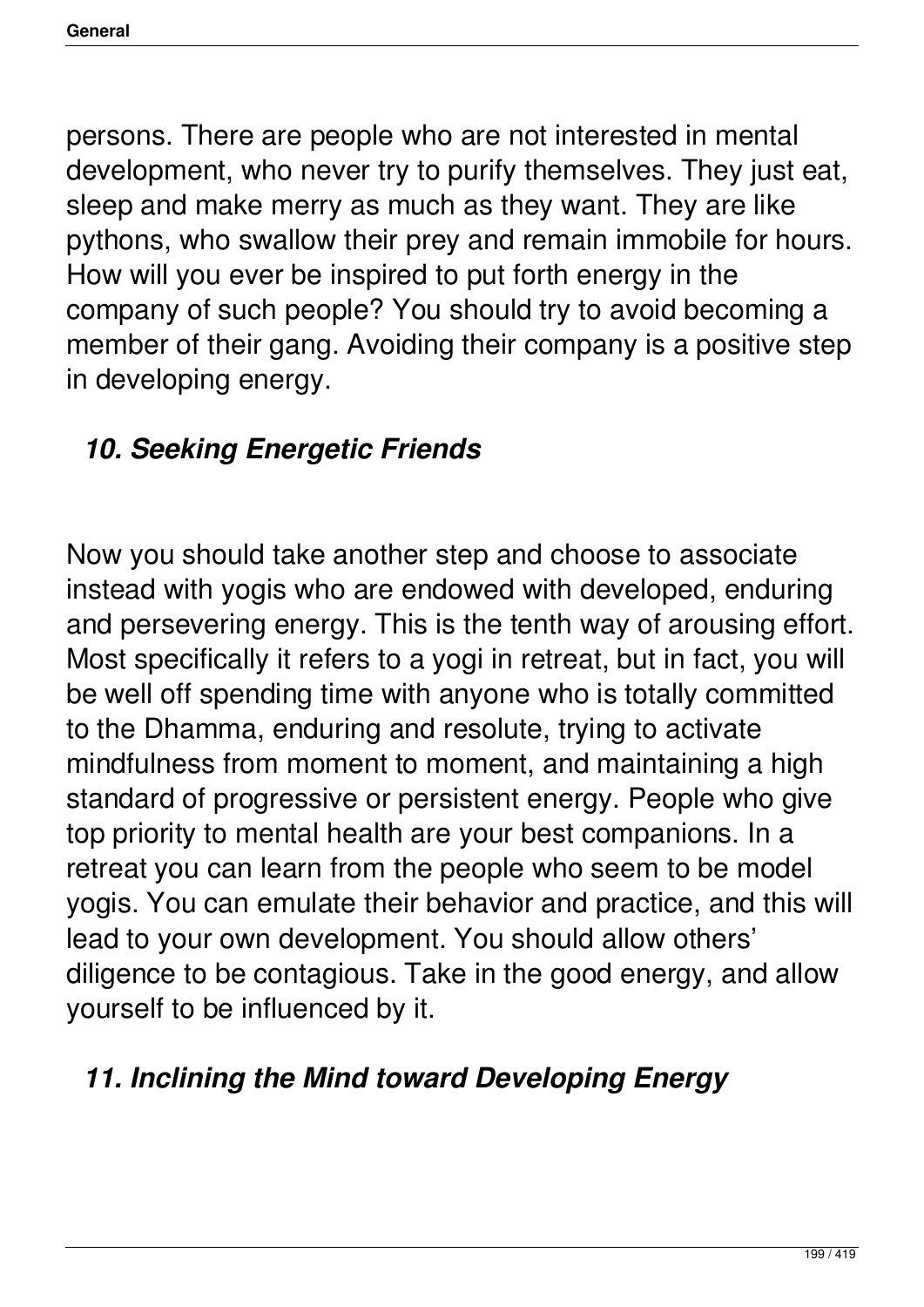persons. There are people who are not interested in mental development, who never try to purify themselves. They just eat, sleep and make merry as much as they want. They are like pythons, who swallow their prey and remain immobile for hours. How will you ever be inspired to put forth energy in the company of such people? You should try to avoid becoming a member of their gang. Avoiding their company is a positive step in developing energy.

### *10. Seeking Energetic Friends*

Now you should take another step and choose to associate instead with yogis who are endowed with developed, enduring and persevering energy. This is the tenth way of arousing effort. Most specifically it refers to a yogi in retreat, but in fact, you will be well off spending time with anyone who is totally committed to the Dhamma, enduring and resolute, trying to activate mindfulness from moment to moment, and maintaining a high standard of progressive or persistent energy. People who give top priority to mental health are your best companions. In a retreat you can learn from the people who seem to be model yogis. You can emulate their behavior and practice, and this will lead to your own development. You should allow others' diligence to be contagious. Take in the good energy, and allow yourself to be influenced by it.

## *11. Inclining the Mind toward Developing Energy*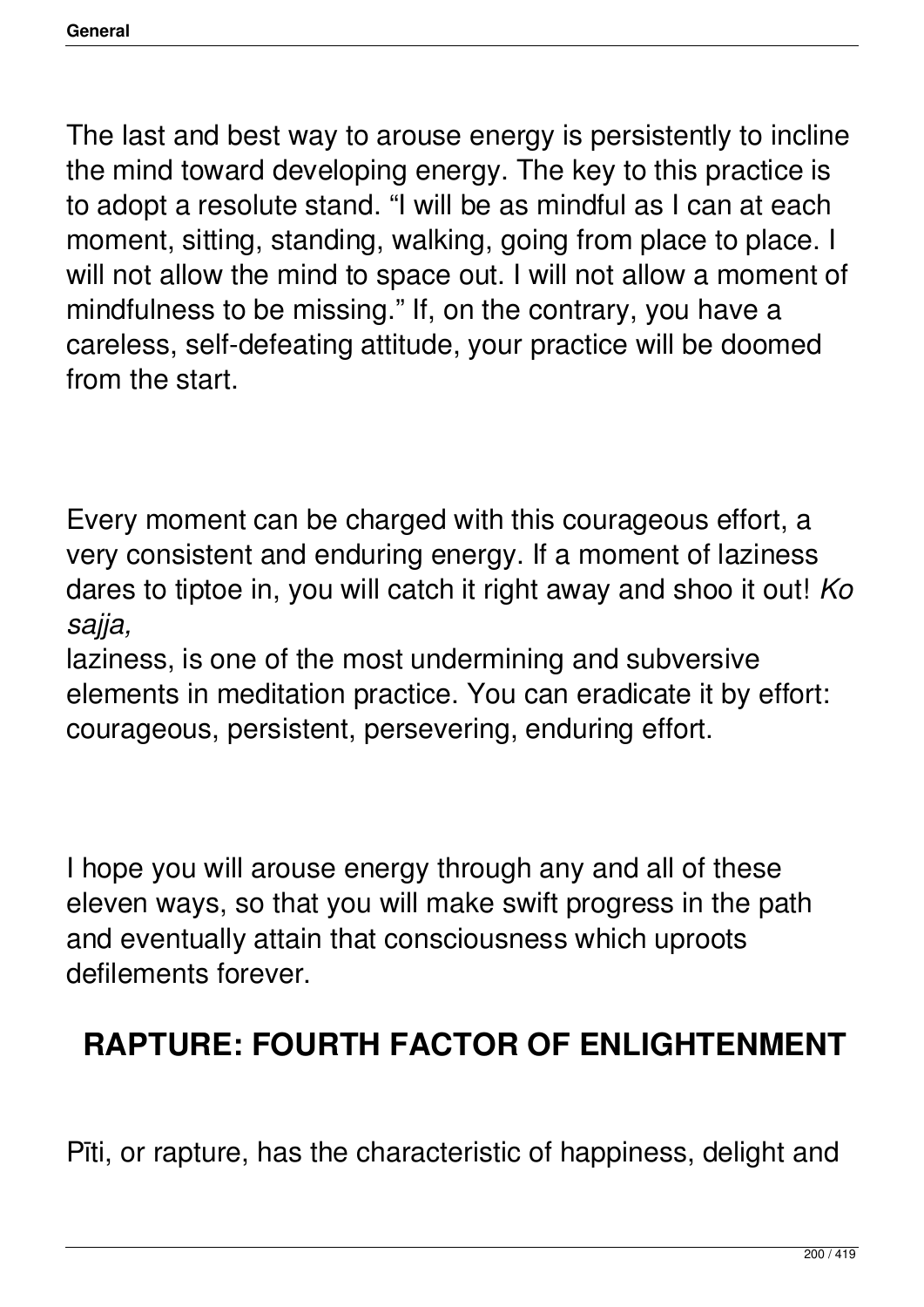The last and best way to arouse energy is persistently to incline the mind toward developing energy. The key to this practice is to adopt a resolute stand. "I will be as mindful as I can at each moment, sitting, standing, walking, going from place to place. I will not allow the mind to space out. I will not allow a moment of mindfulness to be missing." If, on the contrary, you have a careless, self-defeating attitude, your practice will be doomed from the start.

Every moment can be charged with this courageous effort, a very consistent and enduring energy. If a moment of laziness dares to tiptoe in, you will catch it right away and shoo it out! *Ko sajja,*

laziness, is one of the most undermining and subversive elements in meditation practice. You can eradicate it by effort: courageous, persistent, persevering, enduring effort.

I hope you will arouse energy through any and all of these eleven ways, so that you will make swift progress in the path and eventually attain that consciousness which uproots defilements forever.

# **RAPTURE: FOURTH FACTOR OF ENLIGHTENMENT**

Pīti, or rapture, has the characteristic of happiness, delight and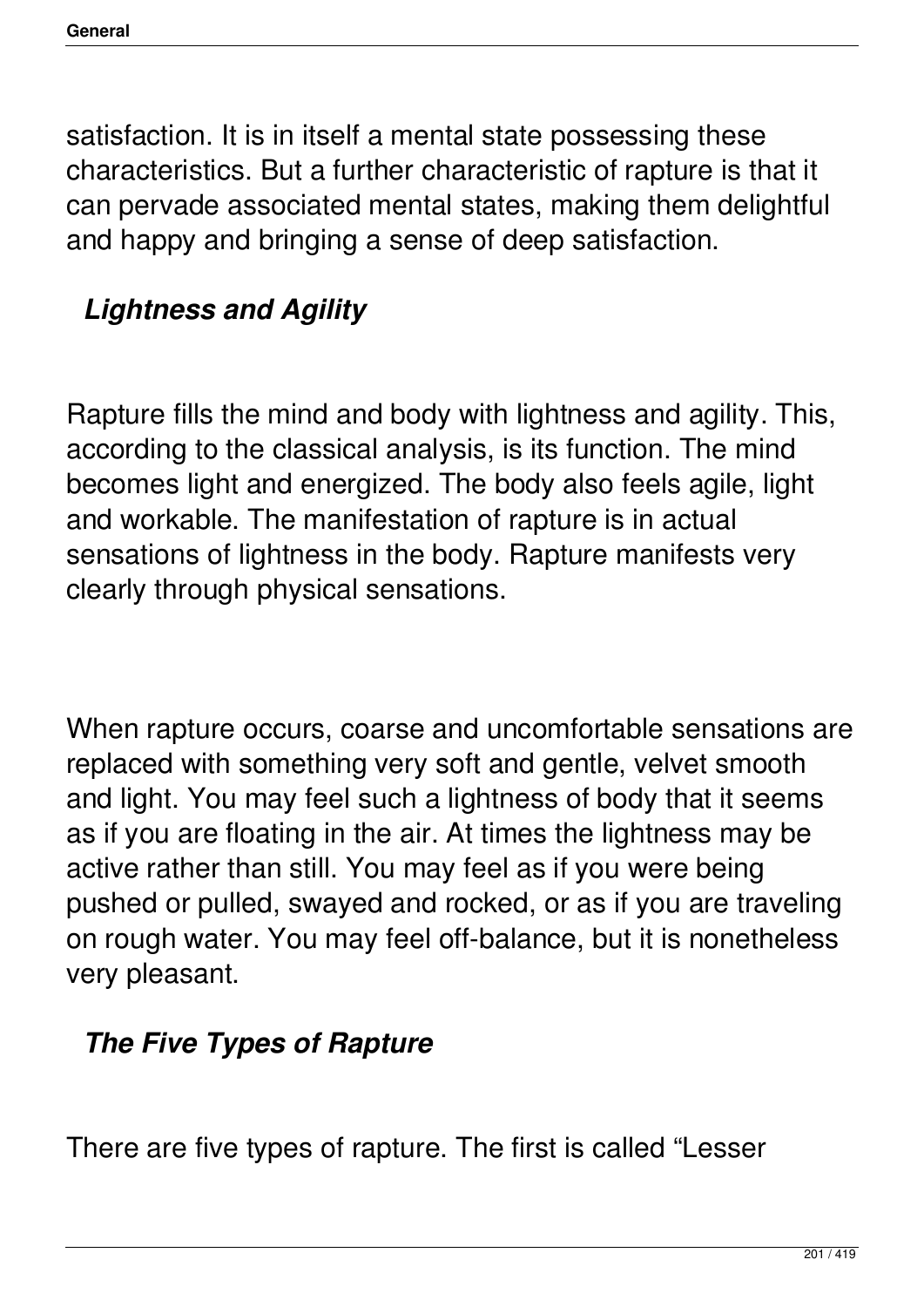satisfaction. It is in itself a mental state possessing these characteristics. But a further characteristic of rapture is that it can pervade associated mental states, making them delightful and happy and bringing a sense of deep satisfaction.

# *Lightness and Agility*

Rapture fills the mind and body with lightness and agility. This, according to the classical analysis, is its function. The mind becomes light and energized. The body also feels agile, light and workable. The manifestation of rapture is in actual sensations of lightness in the body. Rapture manifests very clearly through physical sensations.

When rapture occurs, coarse and uncomfortable sensations are replaced with something very soft and gentle, velvet smooth and light. You may feel such a lightness of body that it seems as if you are floating in the air. At times the lightness may be active rather than still. You may feel as if you were being pushed or pulled, swayed and rocked, or as if you are traveling on rough water. You may feel off-balance, but it is nonetheless very pleasant.

# *The Five Types of Rapture*

There are five types of rapture. The first is called "Lesser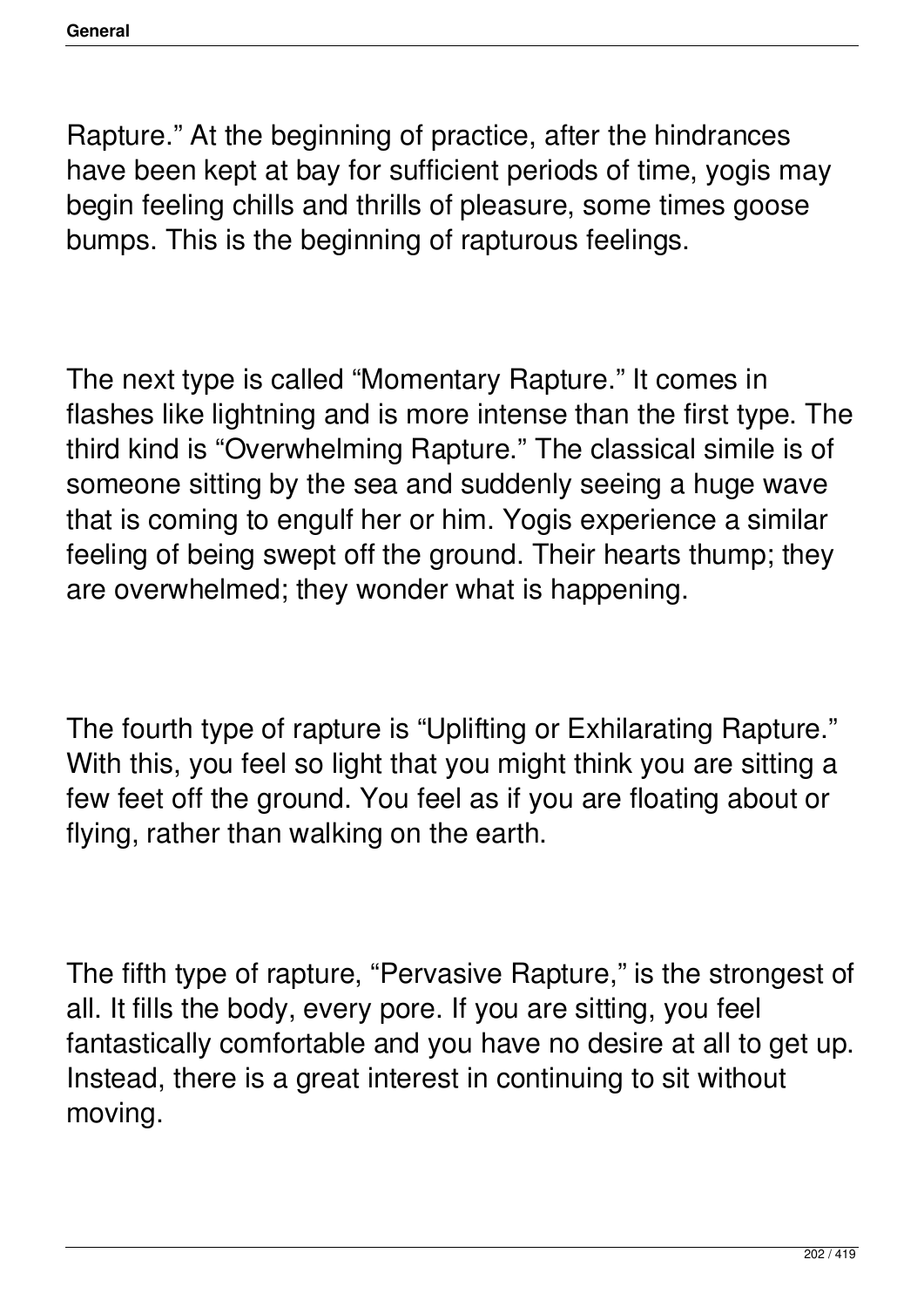Rapture." At the beginning of practice, after the hindrances have been kept at bay for sufficient periods of time, yogis may begin feeling chills and thrills of pleasure, some times goose bumps. This is the beginning of rapturous feelings.

The next type is called "Momentary Rapture." It comes in flashes like lightning and is more intense than the first type. The third kind is "Overwhelming Rapture." The classical simile is of someone sitting by the sea and suddenly seeing a huge wave that is coming to engulf her or him. Yogis experience a similar feeling of being swept off the ground. Their hearts thump; they are overwhelmed; they wonder what is happening.

The fourth type of rapture is "Uplifting or Exhilarating Rapture." With this, you feel so light that you might think you are sitting a few feet off the ground. You feel as if you are floating about or flying, rather than walking on the earth.

The fifth type of rapture, "Pervasive Rapture," is the strongest of all. It fills the body, every pore. If you are sitting, you feel fantastically comfortable and you have no desire at all to get up. Instead, there is a great interest in continuing to sit without moving.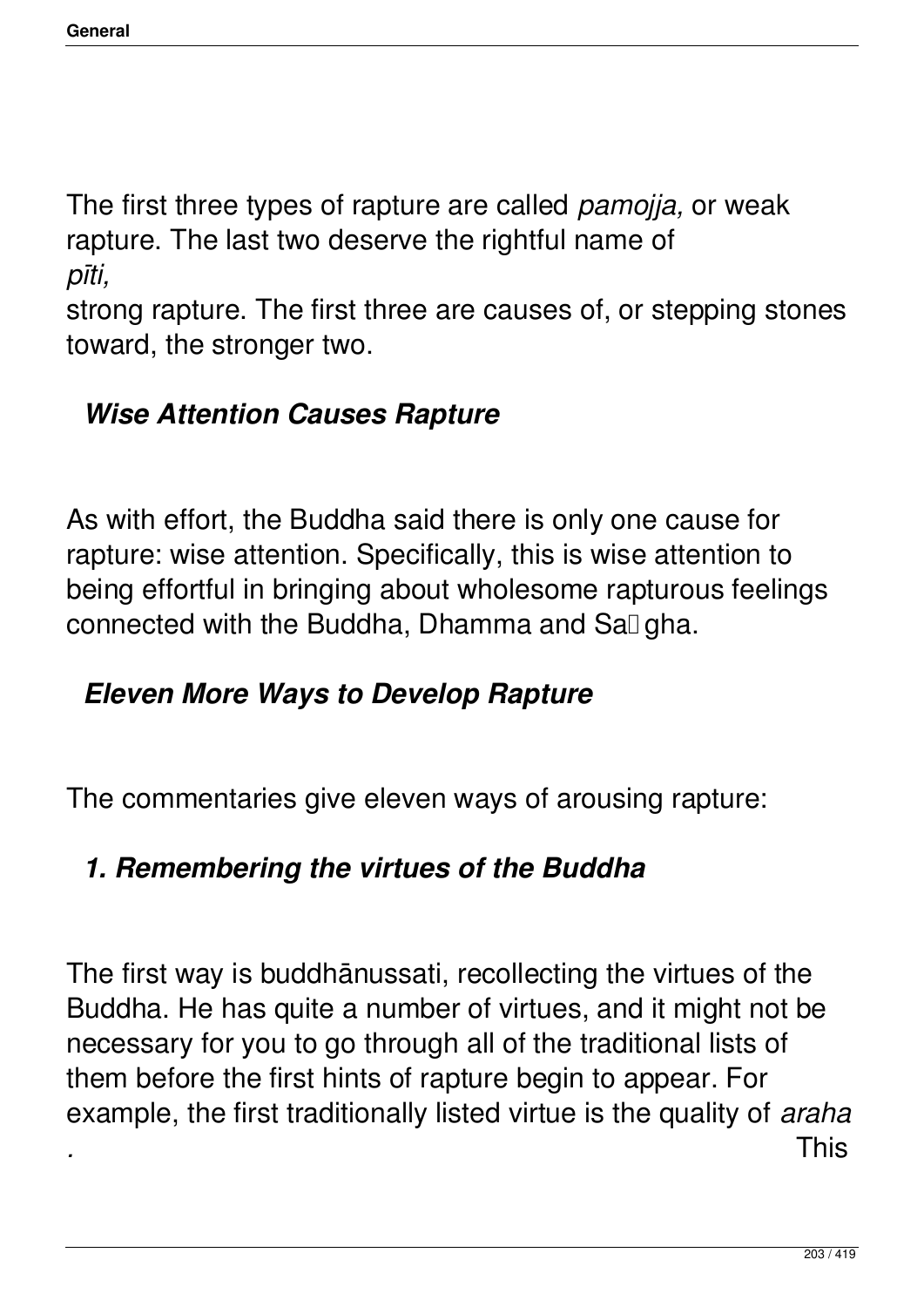The first three types of rapture are called *pamojja,* or weak rapture. The last two deserve the rightful name of *pīti,*

strong rapture. The first three are causes of, or stepping stones toward, the stronger two.

## *Wise Attention Causes Rapture*

As with effort, the Buddha said there is only one cause for rapture: wise attention. Specifically, this is wise attention to being effortful in bringing about wholesome rapturous feelings connected with the Buddha, Dhamma and Sa<sub>[gha.</sub>

#### *Eleven More Ways to Develop Rapture*

The commentaries give eleven ways of arousing rapture:

## *1. Remembering the virtues of the Buddha*

The first way is buddhānussati, recollecting the virtues of the Buddha. He has quite a number of virtues, and it might not be necessary for you to go through all of the traditional lists of them before the first hints of rapture begin to appear. For example, the first traditionally listed virtue is the quality of *araha .* This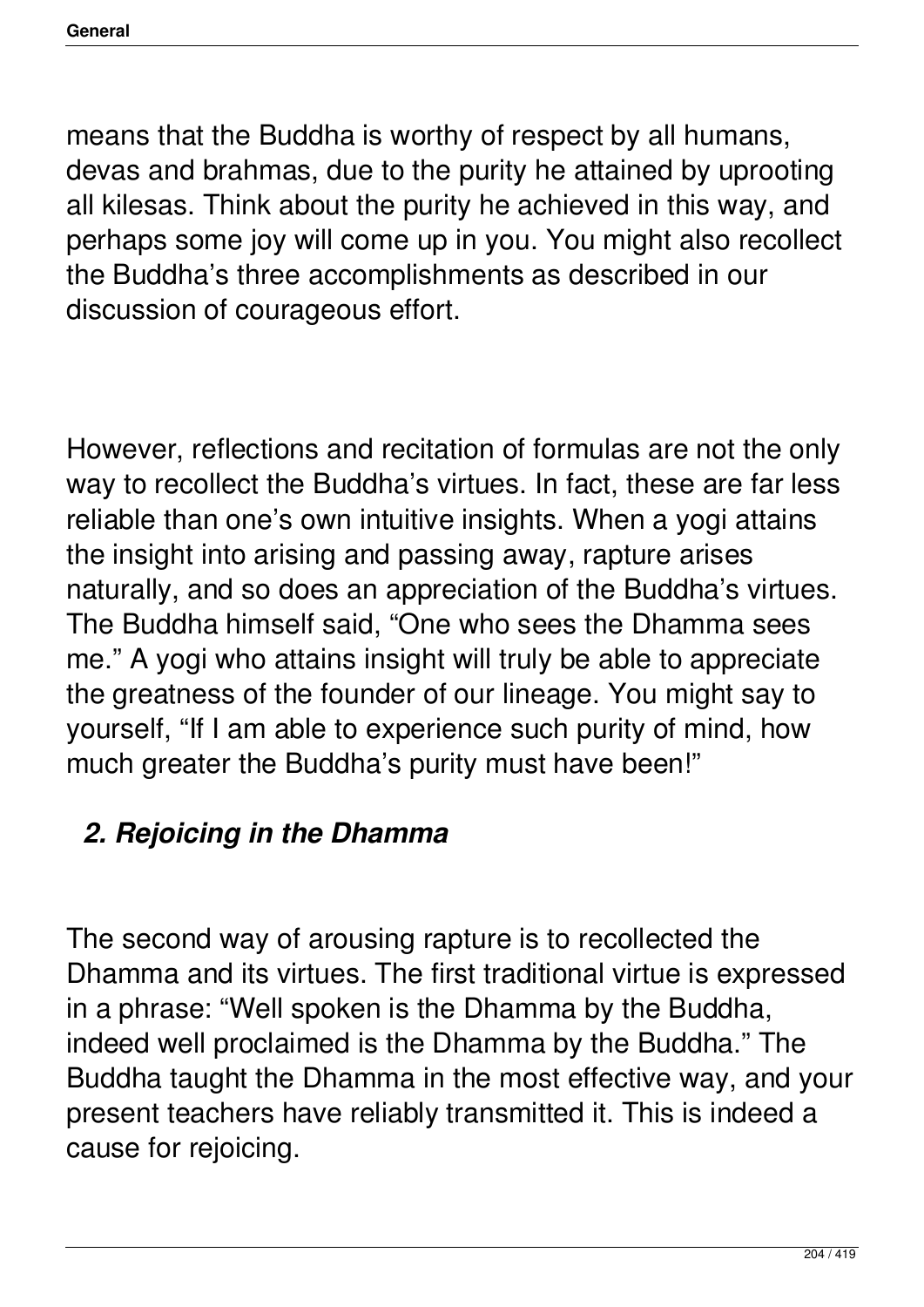means that the Buddha is worthy of respect by all humans, devas and brahmas, due to the purity he attained by uprooting all kilesas. Think about the purity he achieved in this way, and perhaps some joy will come up in you. You might also recollect the Buddha's three accomplishments as described in our discussion of courageous effort.

However, reflections and recitation of formulas are not the only way to recollect the Buddha's virtues. In fact, these are far less reliable than one's own intuitive insights. When a yogi attains the insight into arising and passing away, rapture arises naturally, and so does an appreciation of the Buddha's virtues. The Buddha himself said, "One who sees the Dhamma sees me." A yogi who attains insight will truly be able to appreciate the greatness of the founder of our lineage. You might say to yourself, "If I am able to experience such purity of mind, how much greater the Buddha's purity must have been!"

# *2. Rejoicing in the Dhamma*

The second way of arousing rapture is to recollected the Dhamma and its virtues. The first traditional virtue is expressed in a phrase: "Well spoken is the Dhamma by the Buddha, indeed well proclaimed is the Dhamma by the Buddha." The Buddha taught the Dhamma in the most effective way, and your present teachers have reliably transmitted it. This is indeed a cause for rejoicing.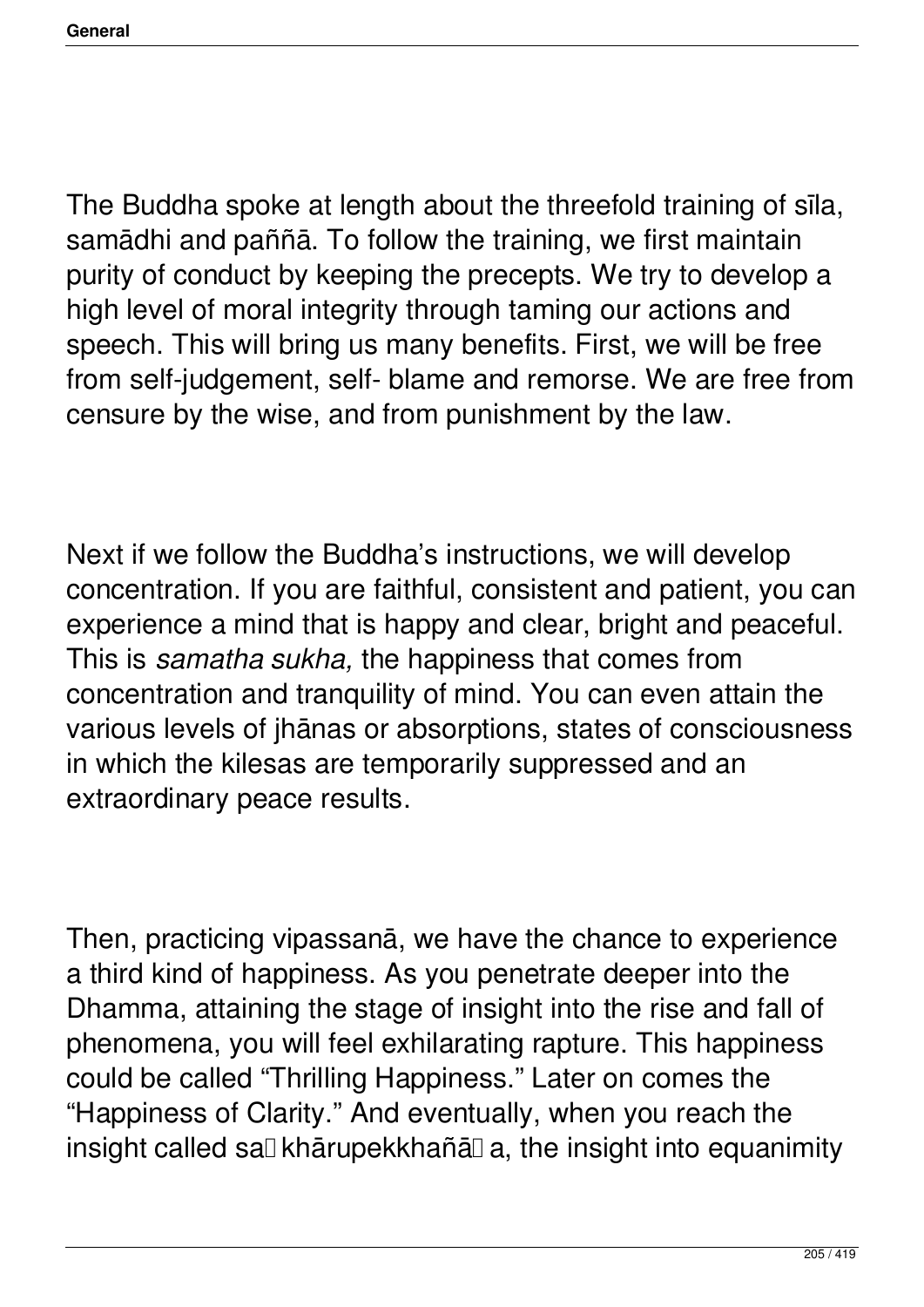The Buddha spoke at length about the threefold training of sīla, samādhi and paññā. To follow the training, we first maintain purity of conduct by keeping the precepts. We try to develop a high level of moral integrity through taming our actions and speech. This will bring us many benefits. First, we will be free from self-judgement, self- blame and remorse. We are free from censure by the wise, and from punishment by the law.

Next if we follow the Buddha's instructions, we will develop concentration. If you are faithful, consistent and patient, you can experience a mind that is happy and clear, bright and peaceful. This is *samatha sukha,* the happiness that comes from concentration and tranquility of mind. You can even attain the various levels of jhānas or absorptions, states of consciousness in which the kilesas are temporarily suppressed and an extraordinary peace results.

Then, practicing vipassanā, we have the chance to experience a third kind of happiness. As you penetrate deeper into the Dhamma, attaining the stage of insight into the rise and fall of phenomena, you will feel exhilarating rapture. This happiness could be called "Thrilling Happiness." Later on comes the "Happiness of Clarity." And eventually, when you reach the insight called sa<sup>n</sup>khārupekkhañāna, the insight into equanimity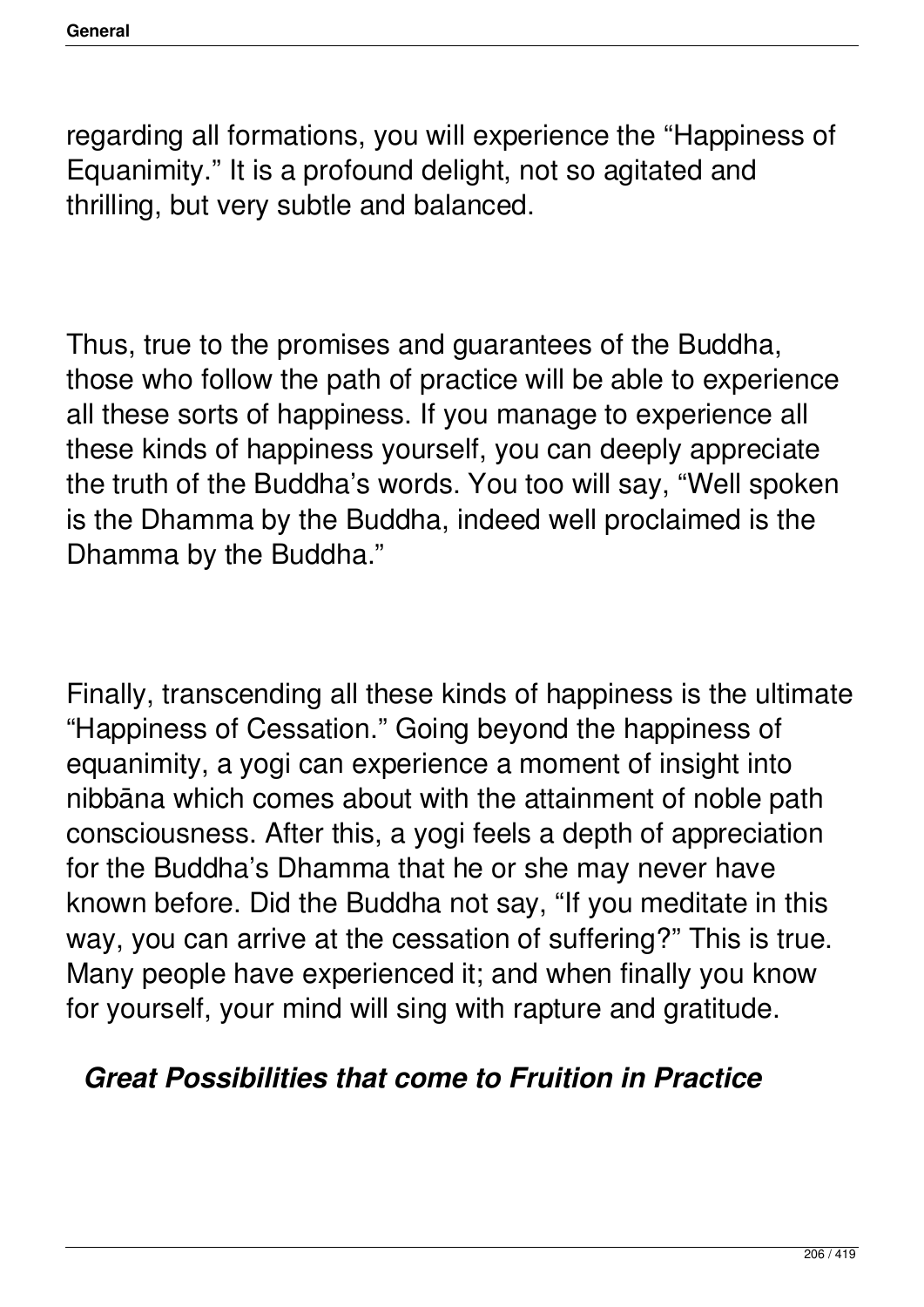regarding all formations, you will experience the "Happiness of Equanimity." It is a profound delight, not so agitated and thrilling, but very subtle and balanced.

Thus, true to the promises and guarantees of the Buddha, those who follow the path of practice will be able to experience all these sorts of happiness. If you manage to experience all these kinds of happiness yourself, you can deeply appreciate the truth of the Buddha's words. You too will say, "Well spoken is the Dhamma by the Buddha, indeed well proclaimed is the Dhamma by the Buddha."

Finally, transcending all these kinds of happiness is the ultimate "Happiness of Cessation." Going beyond the happiness of equanimity, a yogi can experience a moment of insight into nibbāna which comes about with the attainment of noble path consciousness. After this, a yogi feels a depth of appreciation for the Buddha's Dhamma that he or she may never have known before. Did the Buddha not say, "If you meditate in this way, you can arrive at the cessation of suffering?" This is true. Many people have experienced it; and when finally you know for yourself, your mind will sing with rapture and gratitude.

#### *Great Possibilities that come to Fruition in Practice*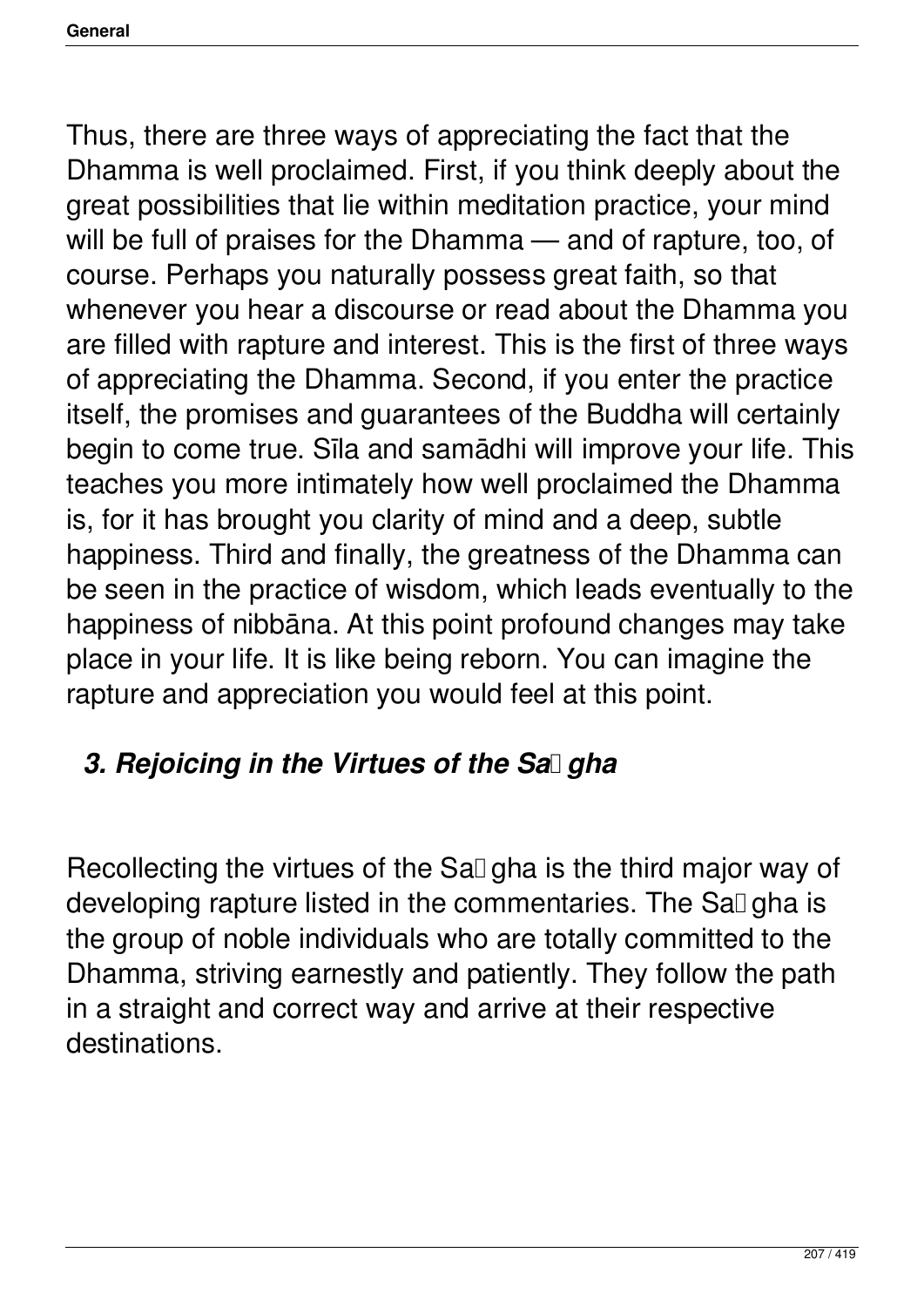Thus, there are three ways of appreciating the fact that the Dhamma is well proclaimed. First, if you think deeply about the great possibilities that lie within meditation practice, your mind will be full of praises for the Dhamma — and of rapture, too, of course. Perhaps you naturally possess great faith, so that whenever you hear a discourse or read about the Dhamma you are filled with rapture and interest. This is the first of three ways of appreciating the Dhamma. Second, if you enter the practice itself, the promises and guarantees of the Buddha will certainly begin to come true. Sīla and samādhi will improve your life. This teaches you more intimately how well proclaimed the Dhamma is, for it has brought you clarity of mind and a deep, subtle happiness. Third and finally, the greatness of the Dhamma can be seen in the practice of wisdom, which leads eventually to the happiness of nibbāna. At this point profound changes may take place in your life. It is like being reborn. You can imagine the rapture and appreciation you would feel at this point.

# 3. Rejoicing in the Virtues of the Sall gha

Recollecting the virtues of the Sall gha is the third major way of developing rapture listed in the commentaries. The Sa $\square$ gha is the group of noble individuals who are totally committed to the Dhamma, striving earnestly and patiently. They follow the path in a straight and correct way and arrive at their respective destinations.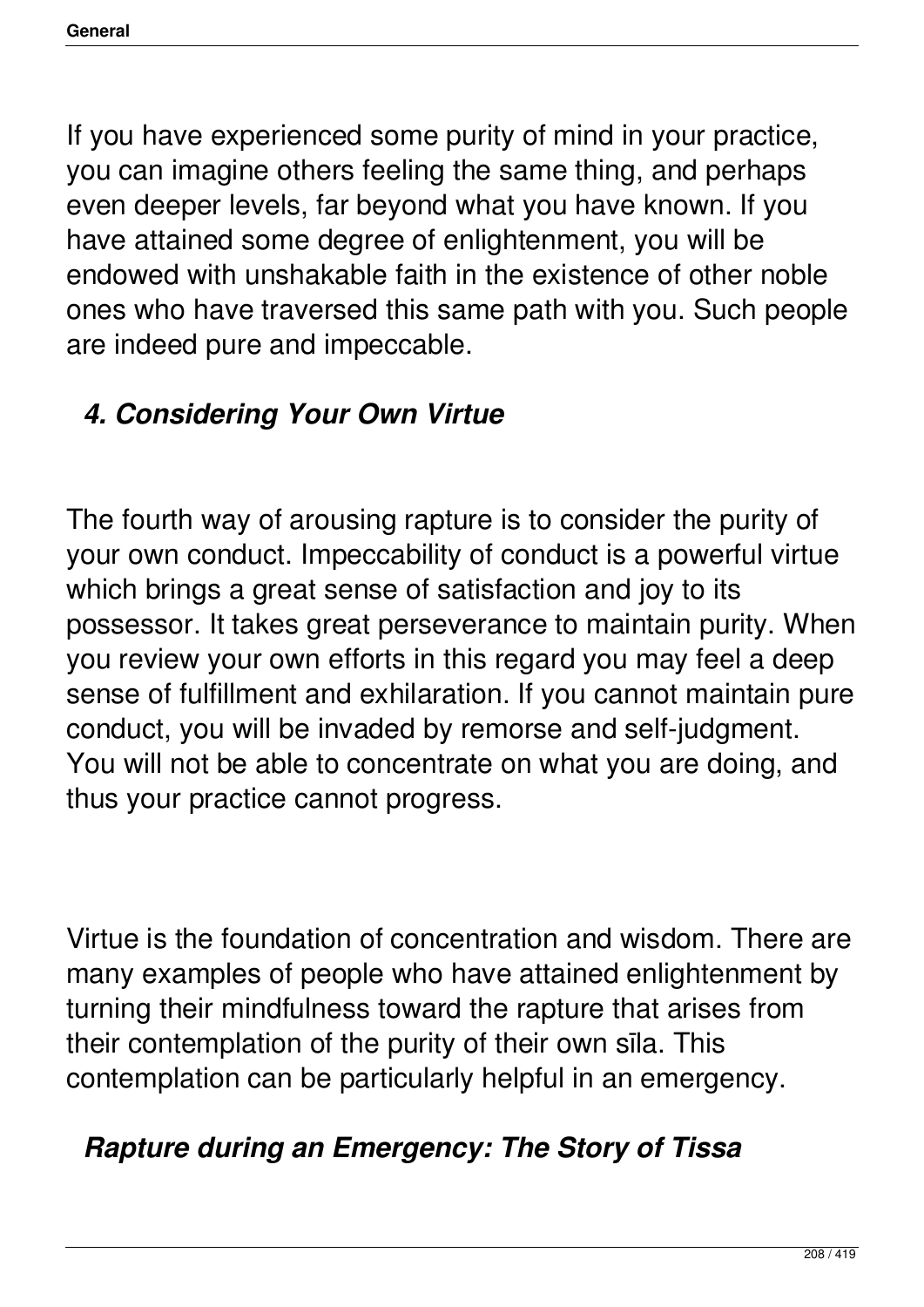If you have experienced some purity of mind in your practice, you can imagine others feeling the same thing, and perhaps even deeper levels, far beyond what you have known. If you have attained some degree of enlightenment, you will be endowed with unshakable faith in the existence of other noble ones who have traversed this same path with you. Such people are indeed pure and impeccable.

# *4. Considering Your Own Virtue*

The fourth way of arousing rapture is to consider the purity of your own conduct. Impeccability of conduct is a powerful virtue which brings a great sense of satisfaction and joy to its possessor. It takes great perseverance to maintain purity. When you review your own efforts in this regard you may feel a deep sense of fulfillment and exhilaration. If you cannot maintain pure conduct, you will be invaded by remorse and self-judgment. You will not be able to concentrate on what you are doing, and thus your practice cannot progress.

Virtue is the foundation of concentration and wisdom. There are many examples of people who have attained enlightenment by turning their mindfulness toward the rapture that arises from their contemplation of the purity of their own sīla. This contemplation can be particularly helpful in an emergency.

## *Rapture during an Emergency: The Story of Tissa*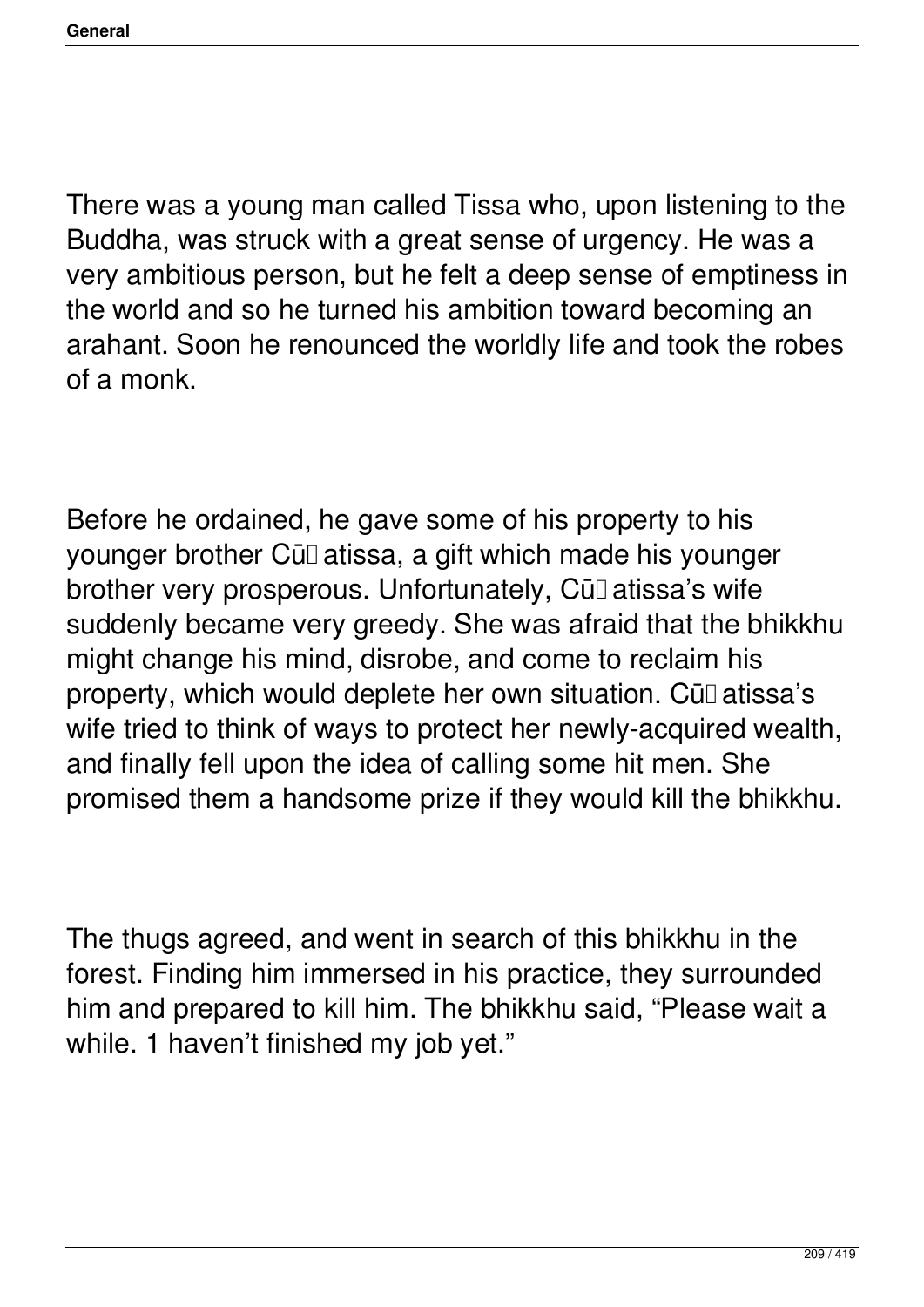There was a young man called Tissa who, upon listening to the Buddha, was struck with a great sense of urgency. He was a very ambitious person, but he felt a deep sense of emptiness in the world and so he turned his ambition toward becoming an arahant. Soon he renounced the worldly life and took the robes of a monk.

Before he ordained, he gave some of his property to his younger brother Cūlatissa, a gift which made his younger brother very prosperous. Unfortunately, Cūl atissa's wife suddenly became very greedy. She was afraid that the bhikkhu might change his mind, disrobe, and come to reclaim his property, which would deplete her own situation. Cūl atissa's wife tried to think of ways to protect her newly-acquired wealth, and finally fell upon the idea of calling some hit men. She promised them a handsome prize if they would kill the bhikkhu.

The thugs agreed, and went in search of this bhikkhu in the forest. Finding him immersed in his practice, they surrounded him and prepared to kill him. The bhikkhu said, "Please wait a while. 1 haven't finished my job yet."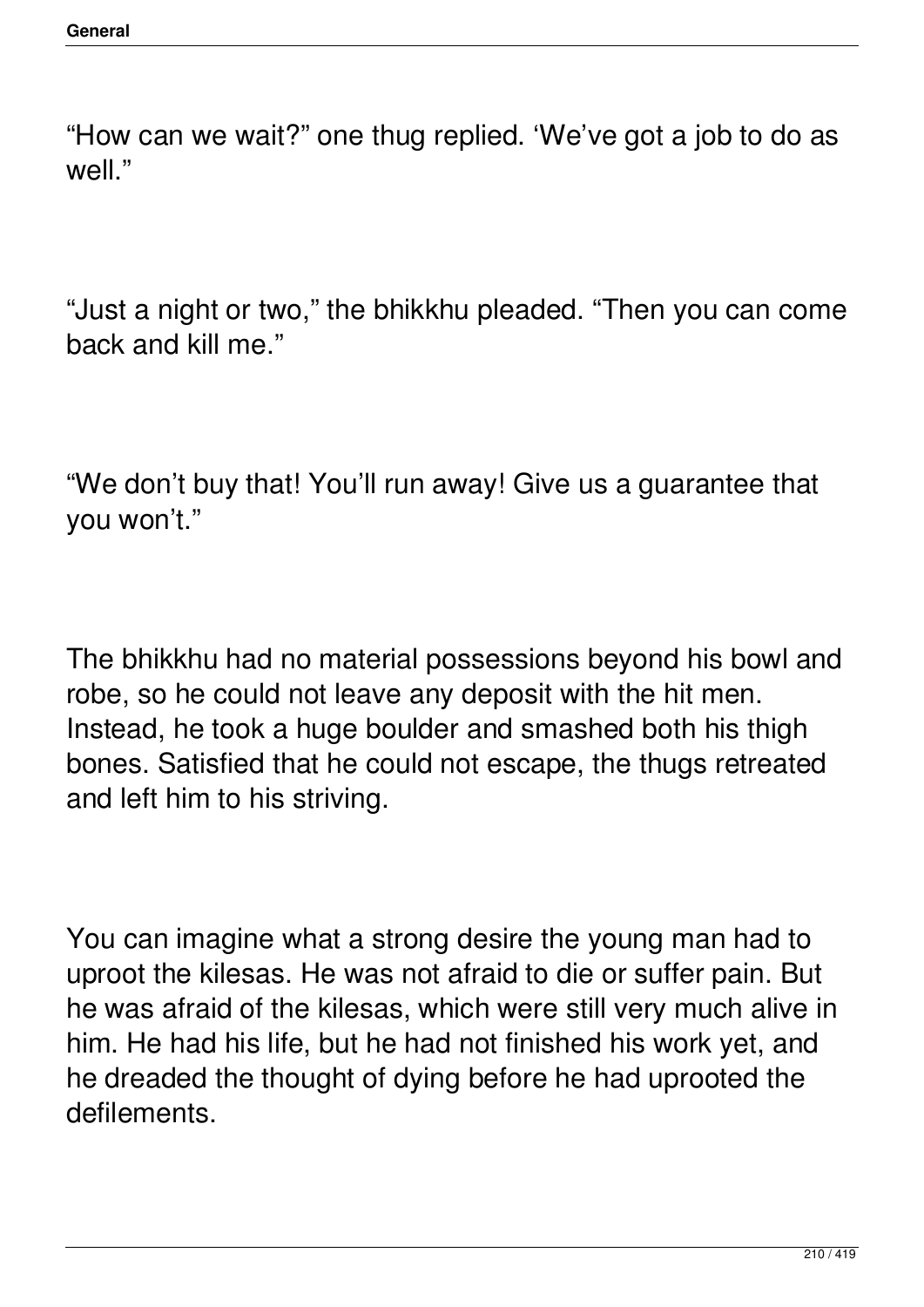"How can we wait?" one thug replied. 'We've got a job to do as well<sup>"</sup>

"Just a night or two," the bhikkhu pleaded. "Then you can come back and kill me."

"We don't buy that! You'll run away! Give us a guarantee that you won't."

The bhikkhu had no material possessions beyond his bowl and robe, so he could not leave any deposit with the hit men. Instead, he took a huge boulder and smashed both his thigh bones. Satisfied that he could not escape, the thugs retreated and left him to his striving.

You can imagine what a strong desire the young man had to uproot the kilesas. He was not afraid to die or suffer pain. But he was afraid of the kilesas, which were still very much alive in him. He had his life, but he had not finished his work yet, and he dreaded the thought of dying before he had uprooted the defilements.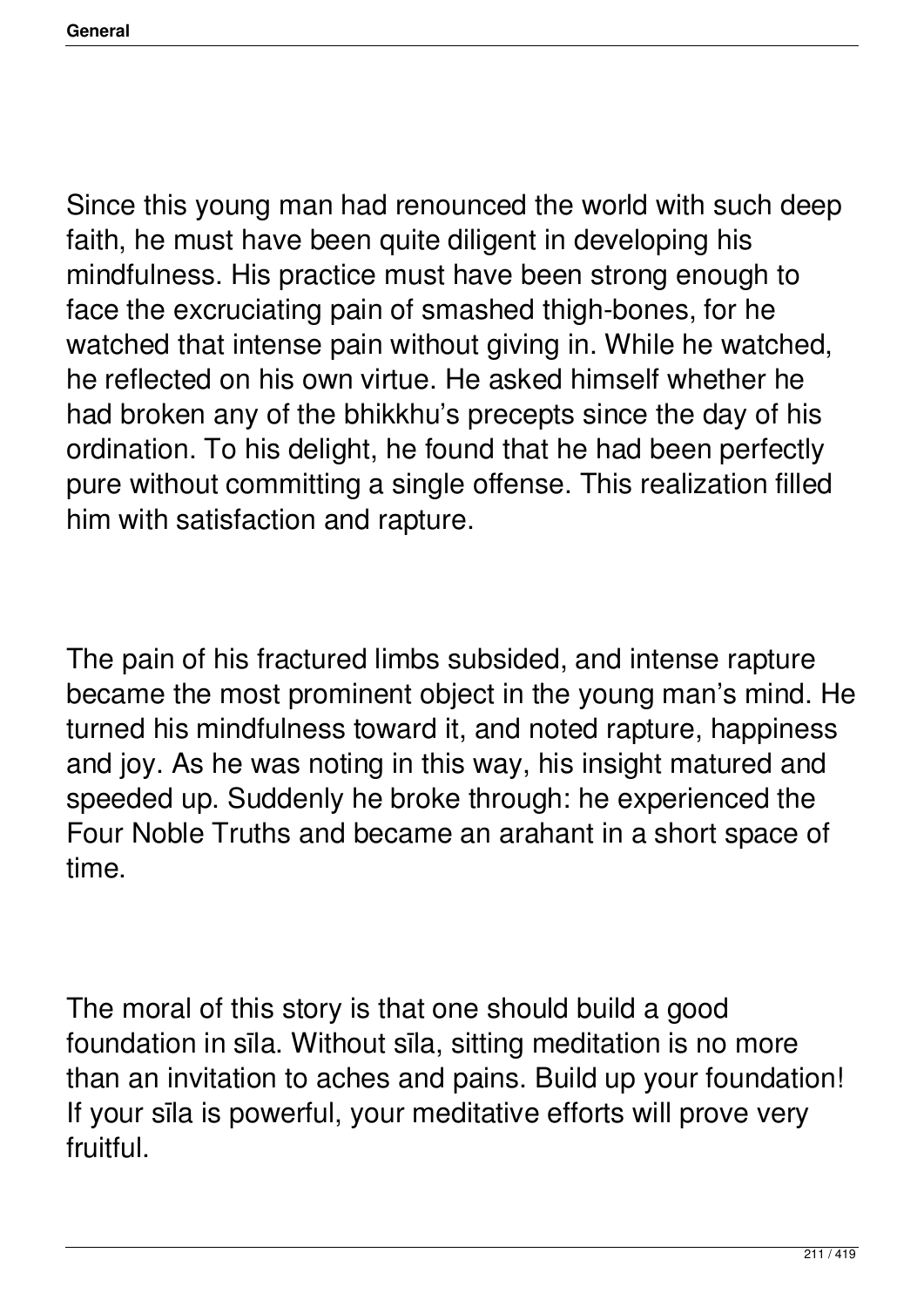Since this young man had renounced the world with such deep faith, he must have been quite diligent in developing his mindfulness. His practice must have been strong enough to face the excruciating pain of smashed thigh-bones, for he watched that intense pain without giving in. While he watched, he reflected on his own virtue. He asked himself whether he had broken any of the bhikkhu's precepts since the day of his ordination. To his delight, he found that he had been perfectly pure without committing a single offense. This realization filled him with satisfaction and rapture.

The pain of his fractured limbs subsided, and intense rapture became the most prominent object in the young man's mind. He turned his mindfulness toward it, and noted rapture, happiness and joy. As he was noting in this way, his insight matured and speeded up. Suddenly he broke through: he experienced the Four Noble Truths and became an arahant in a short space of time.

The moral of this story is that one should build a good foundation in sīla. Without sīla, sitting meditation is no more than an invitation to aches and pains. Build up your foundation! If your sīla is powerful, your meditative efforts will prove very fruitful.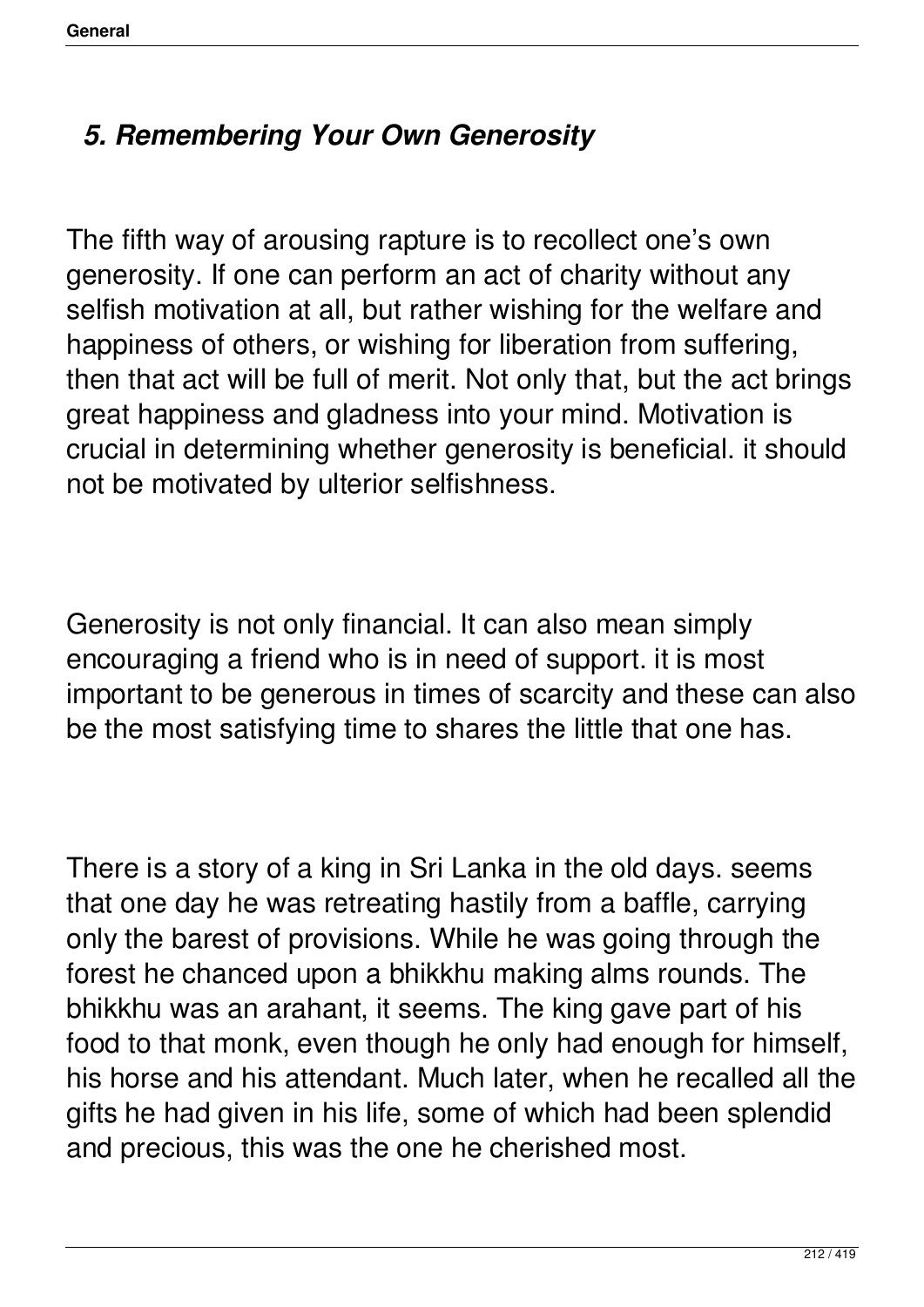# *5. Remembering Your Own Generosity*

The fifth way of arousing rapture is to recollect one's own generosity. If one can perform an act of charity without any selfish motivation at all, but rather wishing for the welfare and happiness of others, or wishing for liberation from suffering, then that act will be full of merit. Not only that, but the act brings great happiness and gladness into your mind. Motivation is crucial in determining whether generosity is beneficial. it should not be motivated by ulterior selfishness.

Generosity is not only financial. It can also mean simply encouraging a friend who is in need of support. it is most important to be generous in times of scarcity and these can also be the most satisfying time to shares the little that one has.

There is a story of a king in Sri Lanka in the old days. seems that one day he was retreating hastily from a baffle, carrying only the barest of provisions. While he was going through the forest he chanced upon a bhikkhu making alms rounds. The bhikkhu was an arahant, it seems. The king gave part of his food to that monk, even though he only had enough for himself, his horse and his attendant. Much later, when he recalled all the gifts he had given in his life, some of which had been splendid and precious, this was the one he cherished most.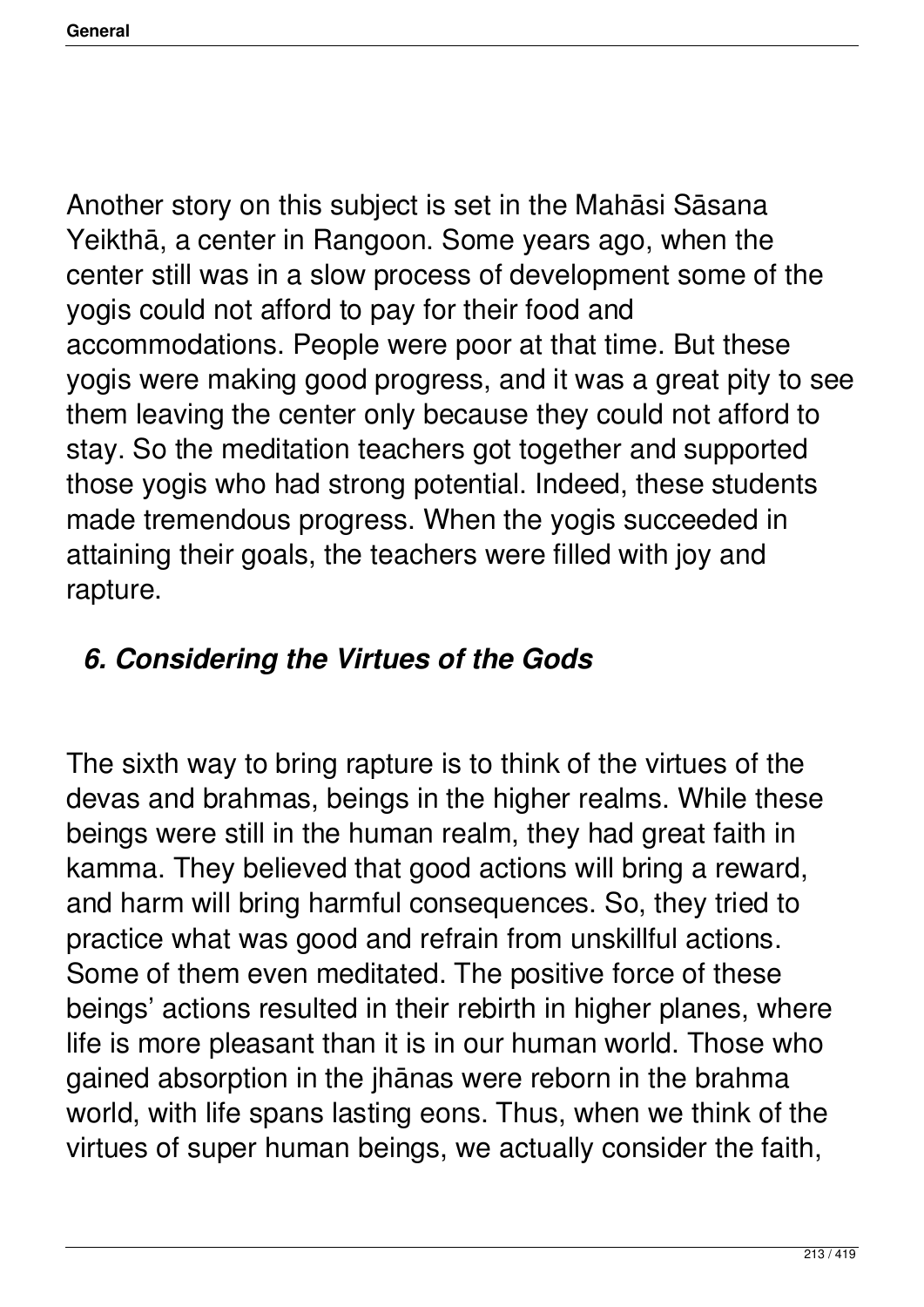Another story on this subject is set in the Mahāsi Sāsana Yeikthā, a center in Rangoon. Some years ago, when the center still was in a slow process of development some of the yogis could not afford to pay for their food and accommodations. People were poor at that time. But these yogis were making good progress, and it was a great pity to see them leaving the center only because they could not afford to stay. So the meditation teachers got together and supported those yogis who had strong potential. Indeed, these students made tremendous progress. When the yogis succeeded in attaining their goals, the teachers were filled with joy and rapture.

## *6. Considering the Virtues of the Gods*

The sixth way to bring rapture is to think of the virtues of the devas and brahmas, beings in the higher realms. While these beings were still in the human realm, they had great faith in kamma. They believed that good actions will bring a reward, and harm will bring harmful consequences. So, they tried to practice what was good and refrain from unskillful actions. Some of them even meditated. The positive force of these beings' actions resulted in their rebirth in higher planes, where life is more pleasant than it is in our human world. Those who gained absorption in the jhānas were reborn in the brahma world, with life spans lasting eons. Thus, when we think of the virtues of super human beings, we actually consider the faith,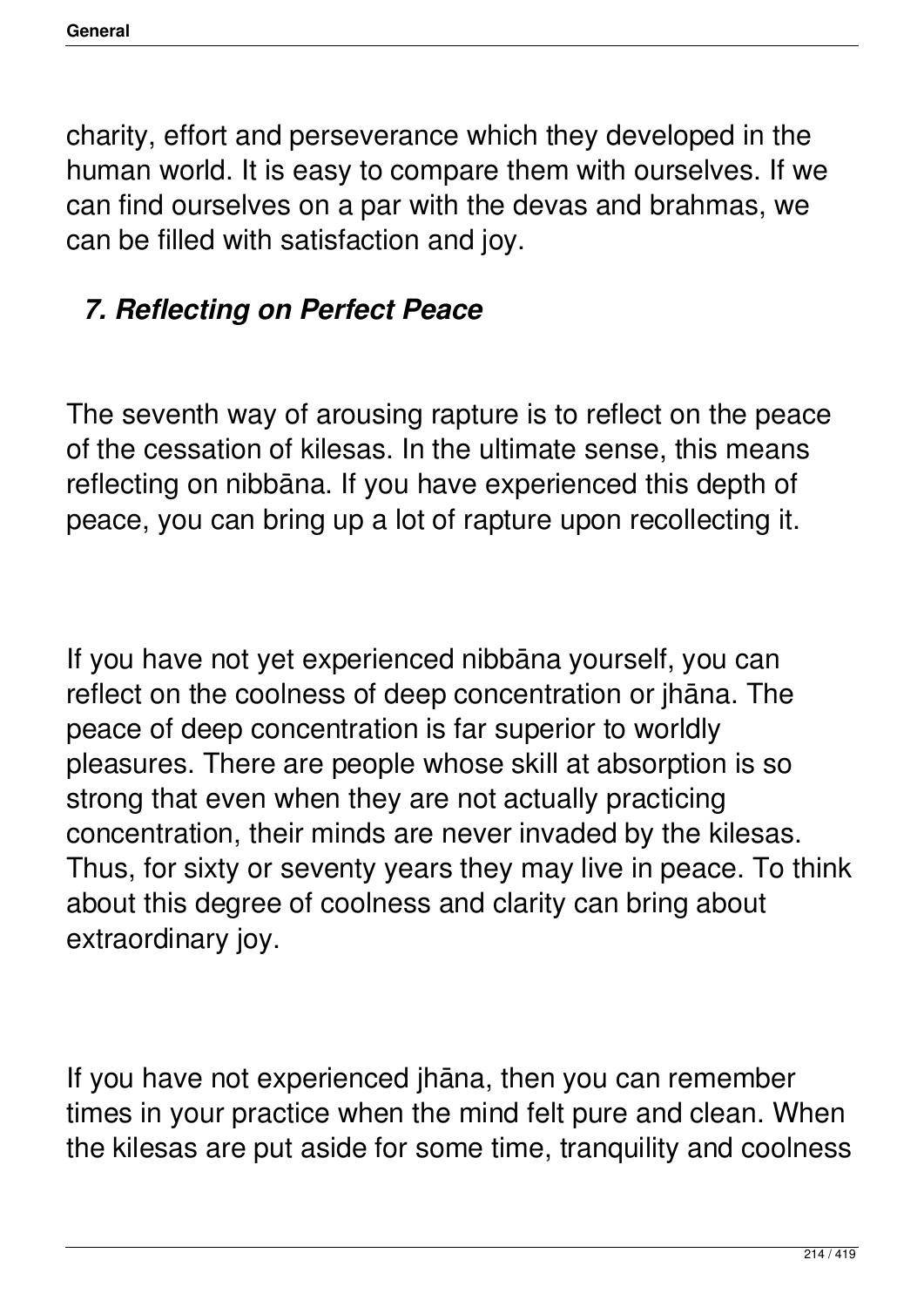charity, effort and perseverance which they developed in the human world. It is easy to compare them with ourselves. If we can find ourselves on a par with the devas and brahmas, we can be filled with satisfaction and joy.

## *7. Reflecting on Perfect Peace*

The seventh way of arousing rapture is to reflect on the peace of the cessation of kilesas. In the ultimate sense, this means reflecting on nibbāna. If you have experienced this depth of peace, you can bring up a lot of rapture upon recollecting it.

If you have not yet experienced nibbāna yourself, you can reflect on the coolness of deep concentration or jhāna. The peace of deep concentration is far superior to worldly pleasures. There are people whose skill at absorption is so strong that even when they are not actually practicing concentration, their minds are never invaded by the kilesas. Thus, for sixty or seventy years they may live in peace. To think about this degree of coolness and clarity can bring about extraordinary joy.

If you have not experienced jhāna, then you can remember times in your practice when the mind felt pure and clean. When the kilesas are put aside for some time, tranquility and coolness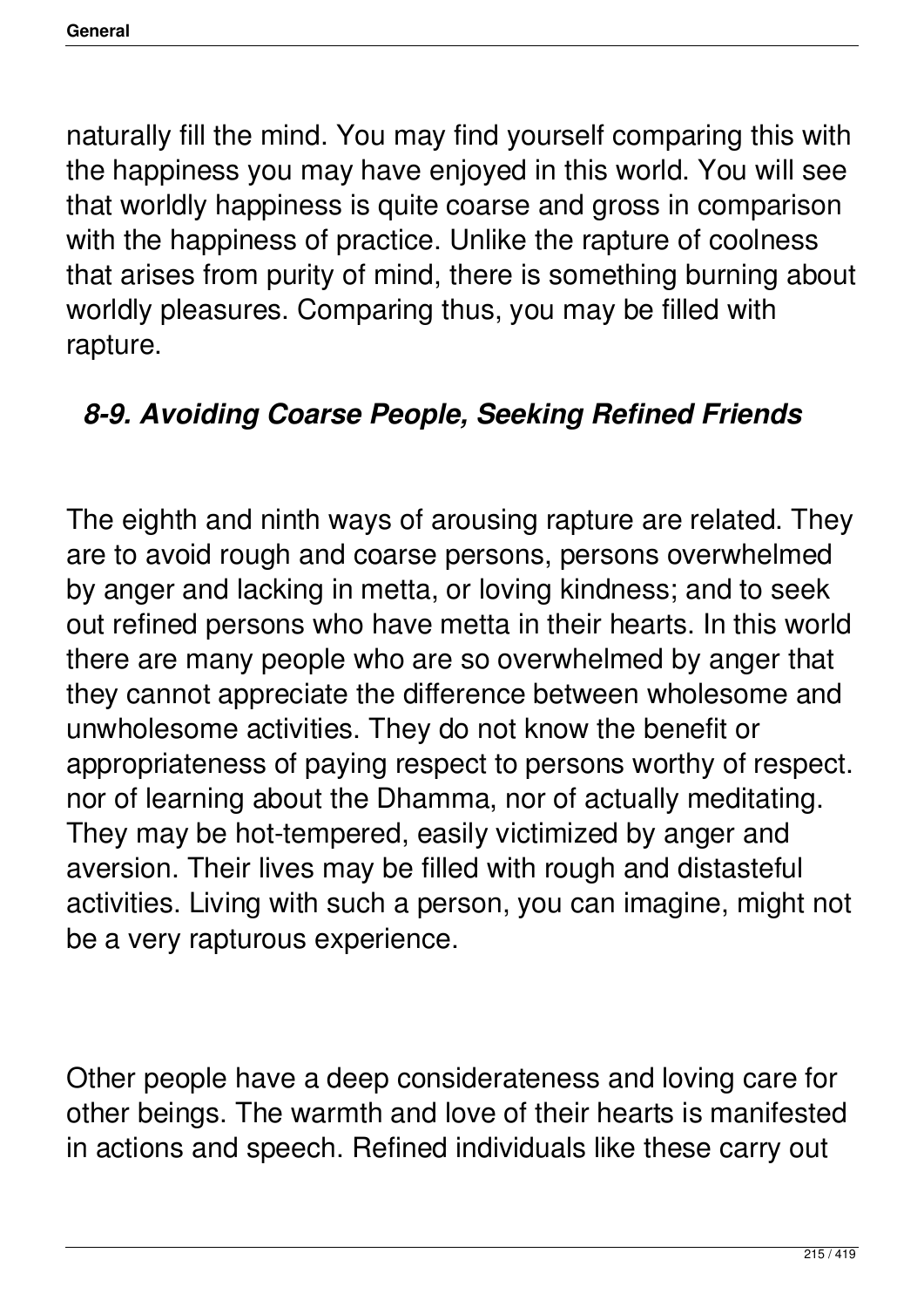naturally fill the mind. You may find yourself comparing this with the happiness you may have enjoyed in this world. You will see that worldly happiness is quite coarse and gross in comparison with the happiness of practice. Unlike the rapture of coolness that arises from purity of mind, there is something burning about worldly pleasures. Comparing thus, you may be filled with rapture.

# *8-9. Avoiding Coarse People, Seeking Refined Friends*

The eighth and ninth ways of arousing rapture are related. They are to avoid rough and coarse persons, persons overwhelmed by anger and lacking in metta, or loving kindness; and to seek out refined persons who have metta in their hearts. In this world there are many people who are so overwhelmed by anger that they cannot appreciate the difference between wholesome and unwholesome activities. They do not know the benefit or appropriateness of paying respect to persons worthy of respect. nor of learning about the Dhamma, nor of actually meditating. They may be hot-tempered, easily victimized by anger and aversion. Their lives may be filled with rough and distasteful activities. Living with such a person, you can imagine, might not be a very rapturous experience.

Other people have a deep considerateness and loving care for other beings. The warmth and love of their hearts is manifested in actions and speech. Refined individuals like these carry out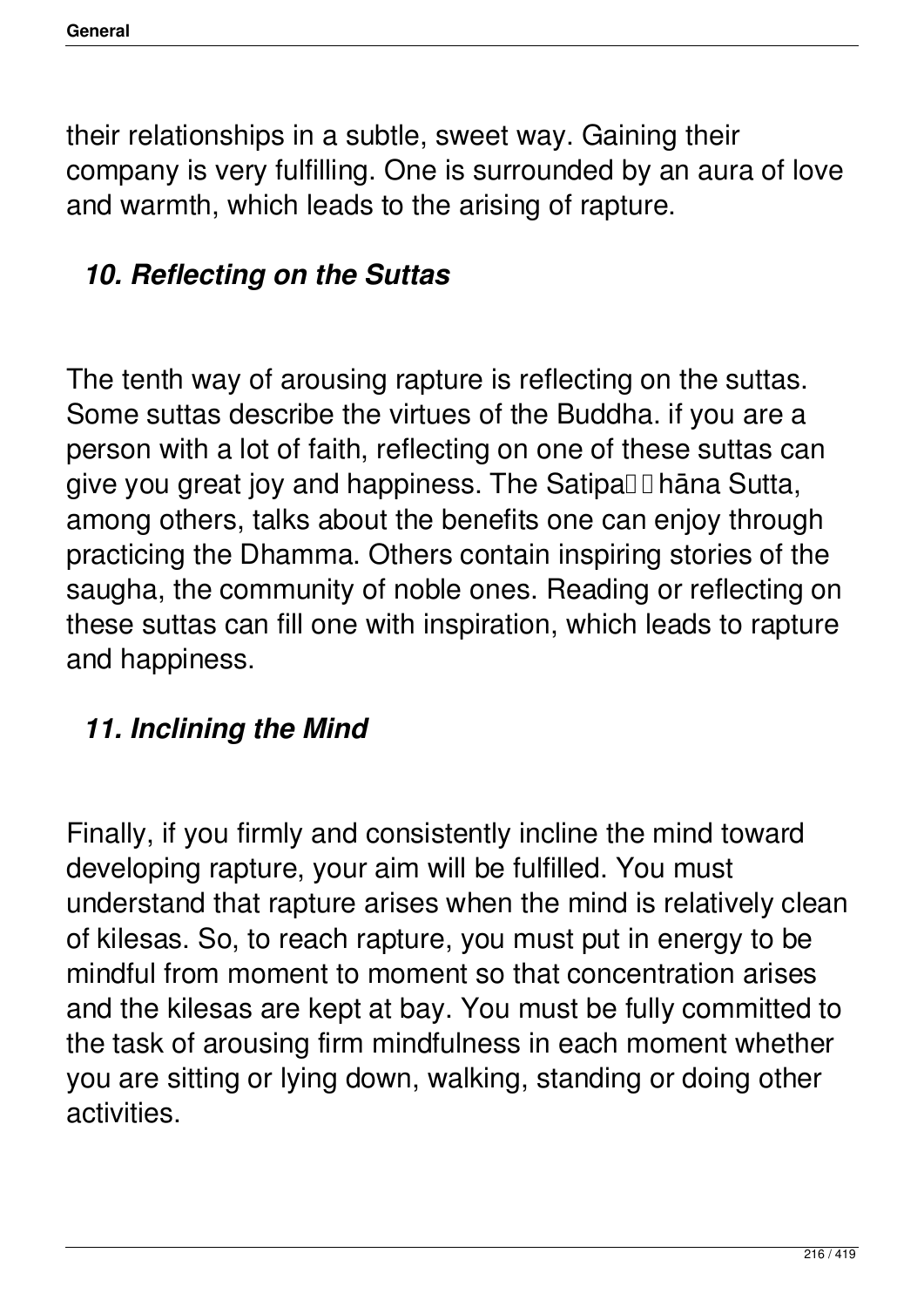their relationships in a subtle, sweet way. Gaining their company is very fulfilling. One is surrounded by an aura of love and warmth, which leads to the arising of rapture.

### *10. Reflecting on the Suttas*

The tenth way of arousing rapture is reflecting on the suttas. Some suttas describe the virtues of the Buddha. if you are a person with a lot of faith, reflecting on one of these suttas can give you great joy and happiness. The Satipa $\Box$  hāna Sutta, among others, talks about the benefits one can enjoy through practicing the Dhamma. Others contain inspiring stories of the saugha, the community of noble ones. Reading or reflecting on these suttas can fill one with inspiration, which leads to rapture and happiness.

#### *11. Inclining the Mind*

Finally, if you firmly and consistently incline the mind toward developing rapture, your aim will be fulfilled. You must understand that rapture arises when the mind is relatively clean of kilesas. So, to reach rapture, you must put in energy to be mindful from moment to moment so that concentration arises and the kilesas are kept at bay. You must be fully committed to the task of arousing firm mindfulness in each moment whether you are sitting or lying down, walking, standing or doing other activities.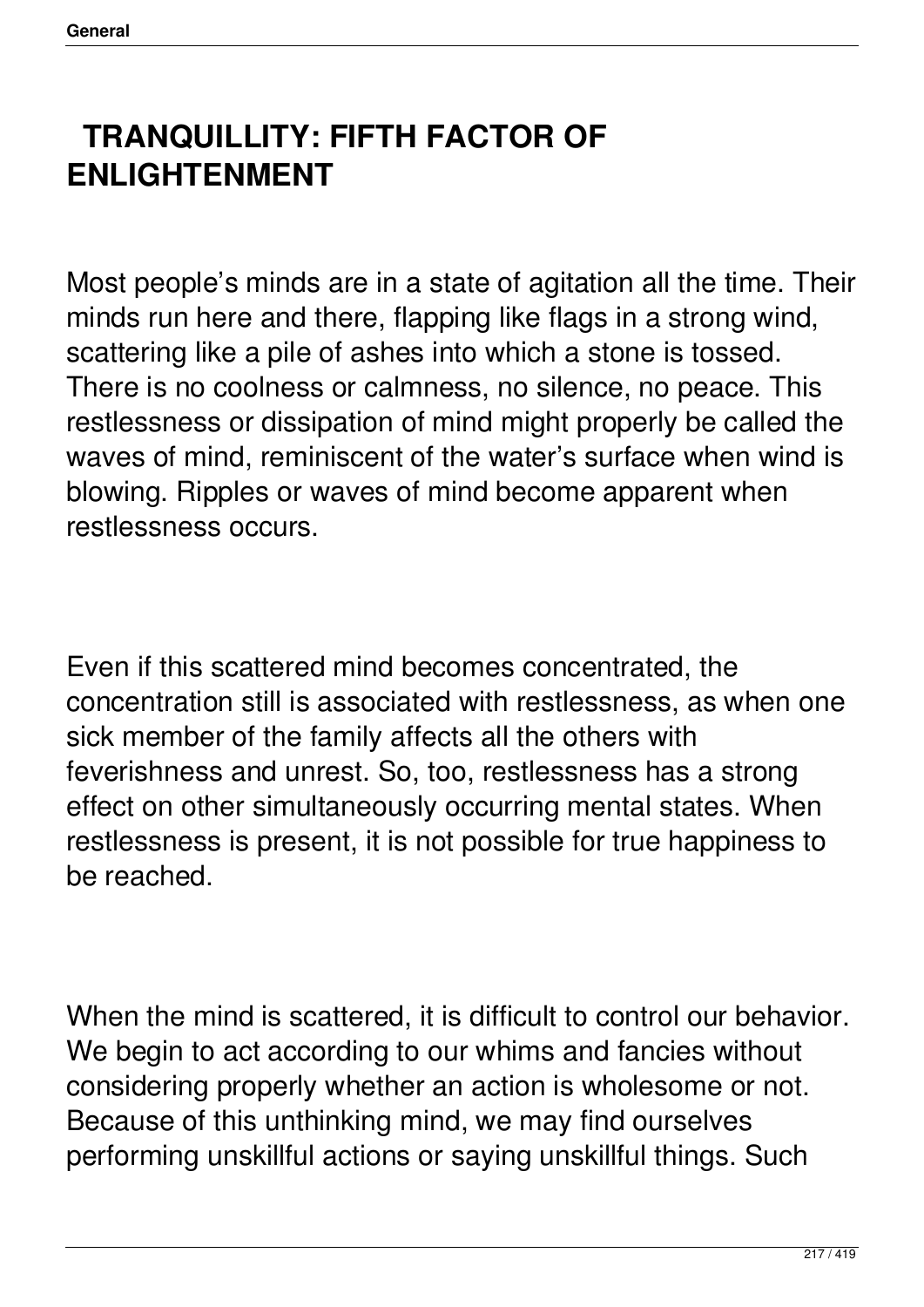# **TRANQUILLITY: FIFTH FACTOR OF ENLIGHTENMENT**

Most people's minds are in a state of agitation all the time. Their minds run here and there, flapping like flags in a strong wind, scattering like a pile of ashes into which a stone is tossed. There is no coolness or calmness, no silence, no peace. This restlessness or dissipation of mind might properly be called the waves of mind, reminiscent of the water's surface when wind is blowing. Ripples or waves of mind become apparent when restlessness occurs.

Even if this scattered mind becomes concentrated, the concentration still is associated with restlessness, as when one sick member of the family affects all the others with feverishness and unrest. So, too, restlessness has a strong effect on other simultaneously occurring mental states. When restlessness is present, it is not possible for true happiness to be reached.

When the mind is scattered, it is difficult to control our behavior. We begin to act according to our whims and fancies without considering properly whether an action is wholesome or not. Because of this unthinking mind, we may find ourselves performing unskillful actions or saying unskillful things. Such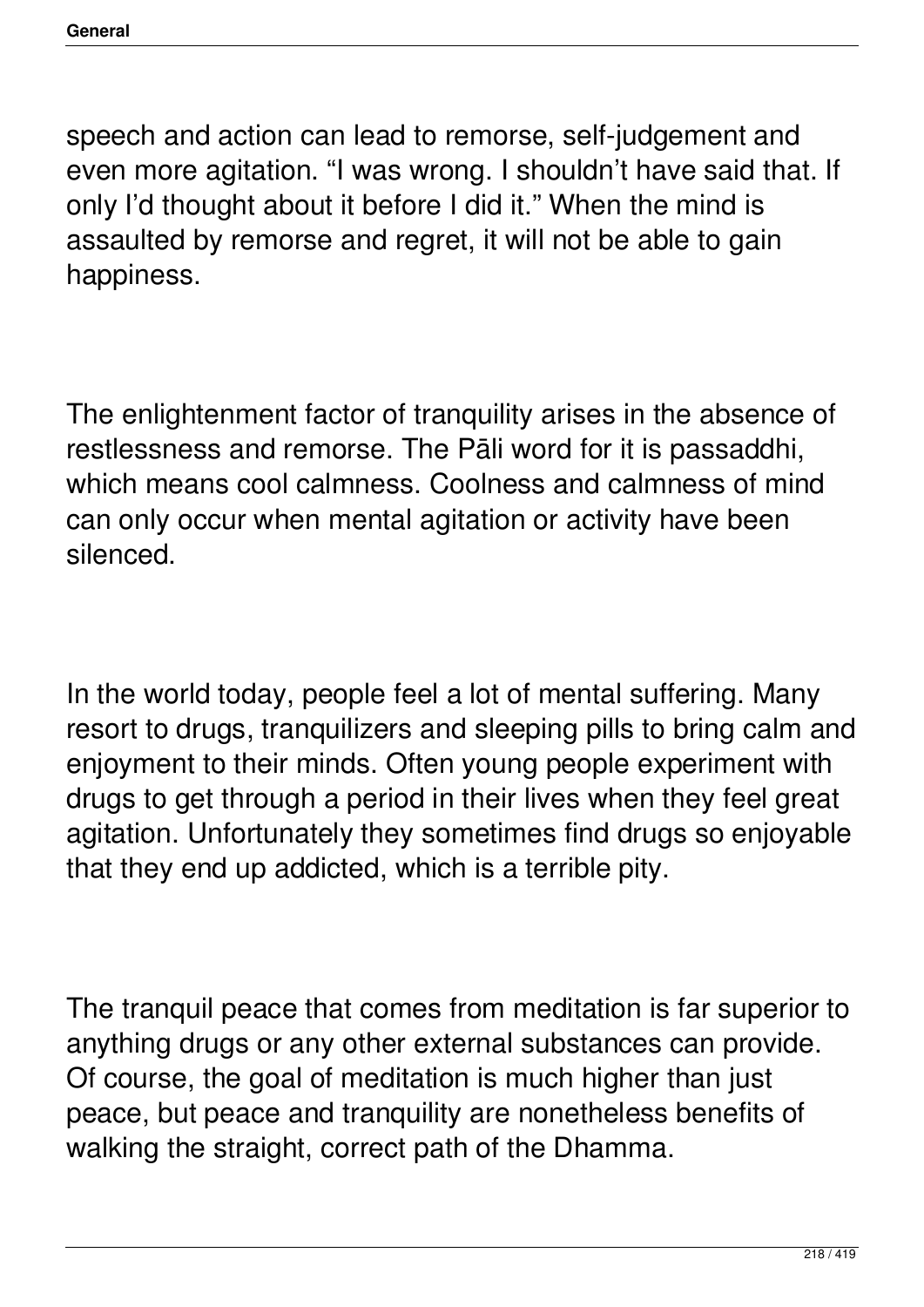speech and action can lead to remorse, self-judgement and even more agitation. "I was wrong. I shouldn't have said that. If only I'd thought about it before I did it." When the mind is assaulted by remorse and regret, it will not be able to gain happiness.

The enlightenment factor of tranquility arises in the absence of restlessness and remorse. The Pāli word for it is passaddhi, which means cool calmness. Coolness and calmness of mind can only occur when mental agitation or activity have been silenced.

In the world today, people feel a lot of mental suffering. Many resort to drugs, tranquilizers and sleeping pills to bring calm and enjoyment to their minds. Often young people experiment with drugs to get through a period in their lives when they feel great agitation. Unfortunately they sometimes find drugs so enjoyable that they end up addicted, which is a terrible pity.

The tranquil peace that comes from meditation is far superior to anything drugs or any other external substances can provide. Of course, the goal of meditation is much higher than just peace, but peace and tranquility are nonetheless benefits of walking the straight, correct path of the Dhamma.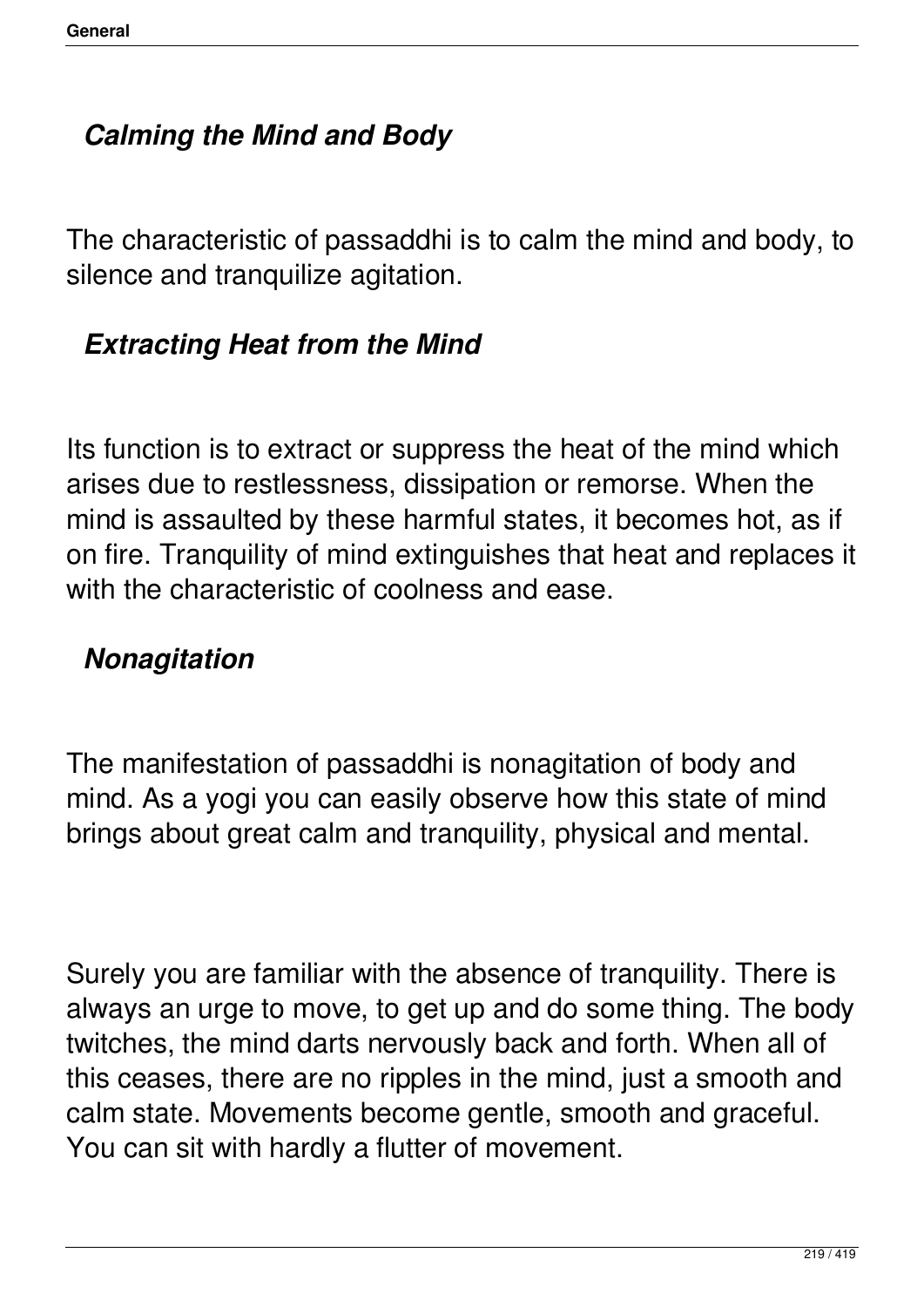# *Calming the Mind and Body*

The characteristic of passaddhi is to calm the mind and body, to silence and tranquilize agitation.

#### *Extracting Heat from the Mind*

Its function is to extract or suppress the heat of the mind which arises due to restlessness, dissipation or remorse. When the mind is assaulted by these harmful states, it becomes hot, as if on fire. Tranquility of mind extinguishes that heat and replaces it with the characteristic of coolness and ease.

#### *Nonagitation*

The manifestation of passaddhi is nonagitation of body and mind. As a yogi you can easily observe how this state of mind brings about great calm and tranquility, physical and mental.

Surely you are familiar with the absence of tranquility. There is always an urge to move, to get up and do some thing. The body twitches, the mind darts nervously back and forth. When all of this ceases, there are no ripples in the mind, just a smooth and calm state. Movements become gentle, smooth and graceful. You can sit with hardly a flutter of movement.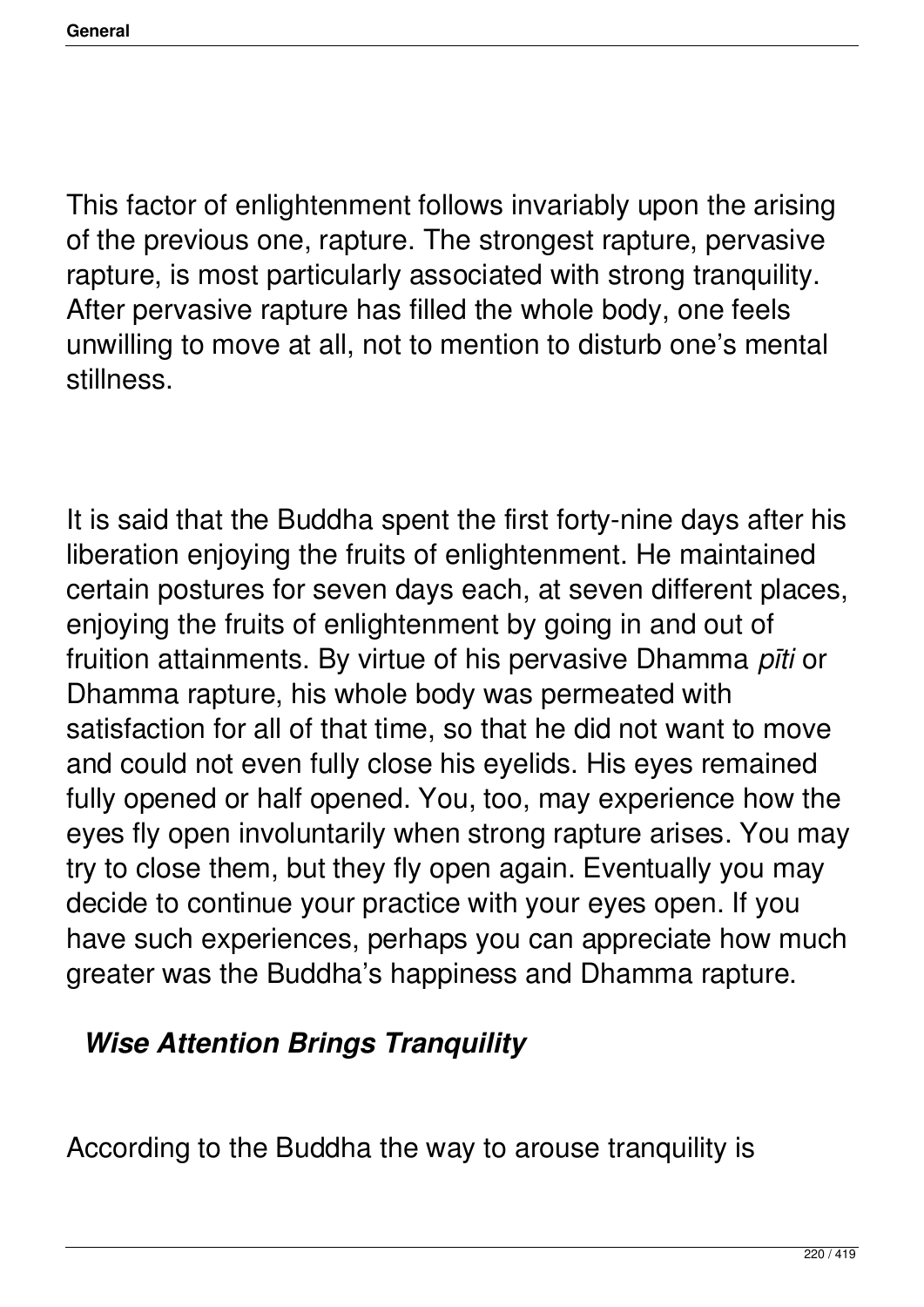This factor of enlightenment follows invariably upon the arising of the previous one, rapture. The strongest rapture, pervasive rapture, is most particularly associated with strong tranquility. After pervasive rapture has filled the whole body, one feels unwilling to move at all, not to mention to disturb one's mental stillness.

It is said that the Buddha spent the first forty-nine days after his liberation enjoying the fruits of enlightenment. He maintained certain postures for seven days each, at seven different places, enjoying the fruits of enlightenment by going in and out of fruition attainments. By virtue of his pervasive Dhamma *pīti* or Dhamma rapture, his whole body was permeated with satisfaction for all of that time, so that he did not want to move and could not even fully close his eyelids. His eyes remained fully opened or half opened. You, too, may experience how the eyes fly open involuntarily when strong rapture arises. You may try to close them, but they fly open again. Eventually you may decide to continue your practice with your eyes open. If you have such experiences, perhaps you can appreciate how much greater was the Buddha's happiness and Dhamma rapture.

# *Wise Attention Brings Tranquility*

According to the Buddha the way to arouse tranquility is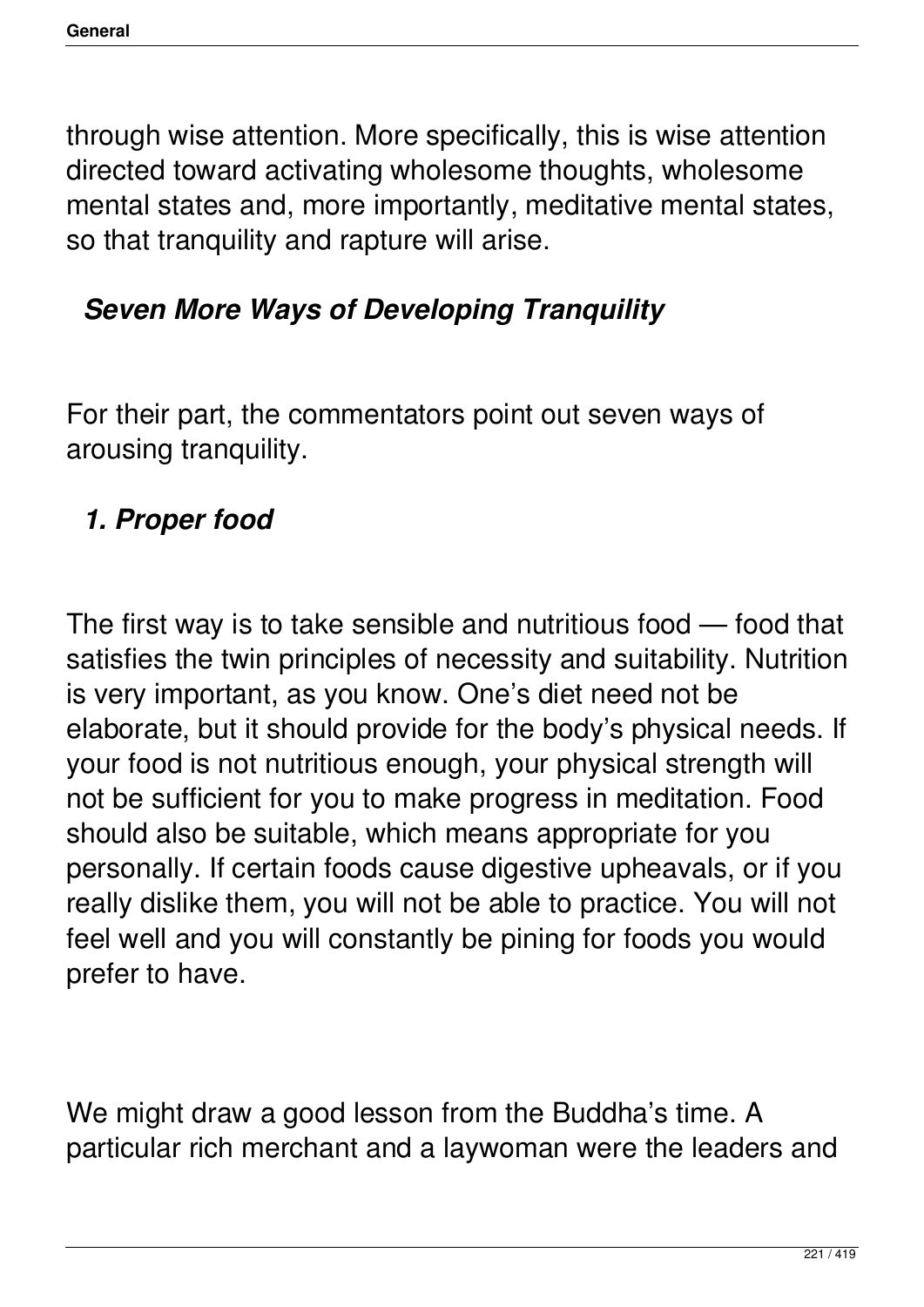through wise attention. More specifically, this is wise attention directed toward activating wholesome thoughts, wholesome mental states and, more importantly, meditative mental states, so that tranquility and rapture will arise.

# *Seven More Ways of Developing Tranquility*

For their part, the commentators point out seven ways of arousing tranquility.

#### *1. Proper food*

The first way is to take sensible and nutritious food — food that satisfies the twin principles of necessity and suitability. Nutrition is very important, as you know. One's diet need not be elaborate, but it should provide for the body's physical needs. If your food is not nutritious enough, your physical strength will not be sufficient for you to make progress in meditation. Food should also be suitable, which means appropriate for you personally. If certain foods cause digestive upheavals, or if you really dislike them, you will not be able to practice. You will not feel well and you will constantly be pining for foods you would prefer to have.

We might draw a good lesson from the Buddha's time. A particular rich merchant and a laywoman were the leaders and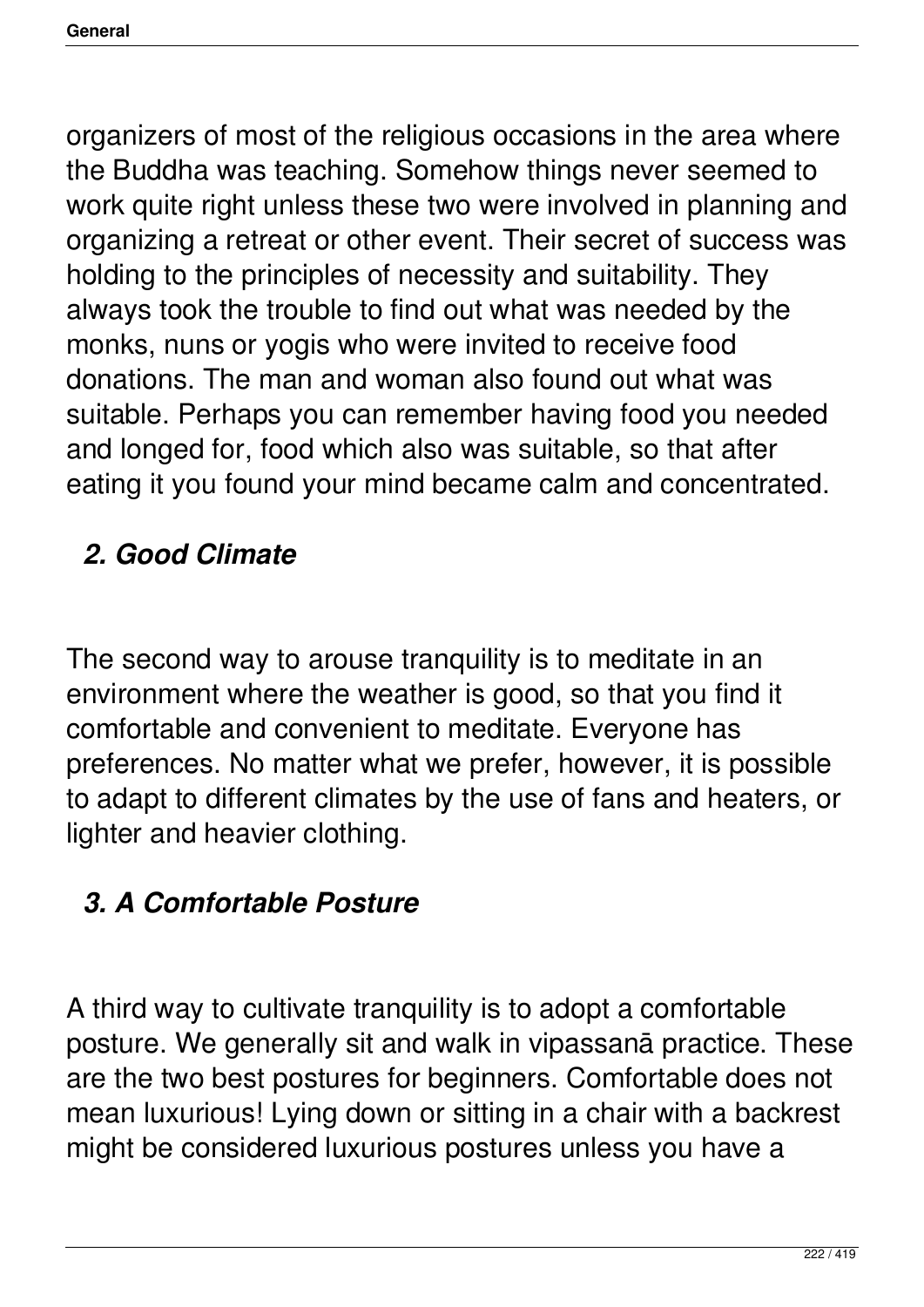organizers of most of the religious occasions in the area where the Buddha was teaching. Somehow things never seemed to work quite right unless these two were involved in planning and organizing a retreat or other event. Their secret of success was holding to the principles of necessity and suitability. They always took the trouble to find out what was needed by the monks, nuns or yogis who were invited to receive food donations. The man and woman also found out what was suitable. Perhaps you can remember having food you needed and longed for, food which also was suitable, so that after eating it you found your mind became calm and concentrated.

# *2. Good Climate*

The second way to arouse tranquility is to meditate in an environment where the weather is good, so that you find it comfortable and convenient to meditate. Everyone has preferences. No matter what we prefer, however, it is possible to adapt to different climates by the use of fans and heaters, or lighter and heavier clothing.

# *3. A Comfortable Posture*

A third way to cultivate tranquility is to adopt a comfortable posture. We generally sit and walk in vipassanā practice. These are the two best postures for beginners. Comfortable does not mean luxurious! Lying down or sitting in a chair with a backrest might be considered luxurious postures unless you have a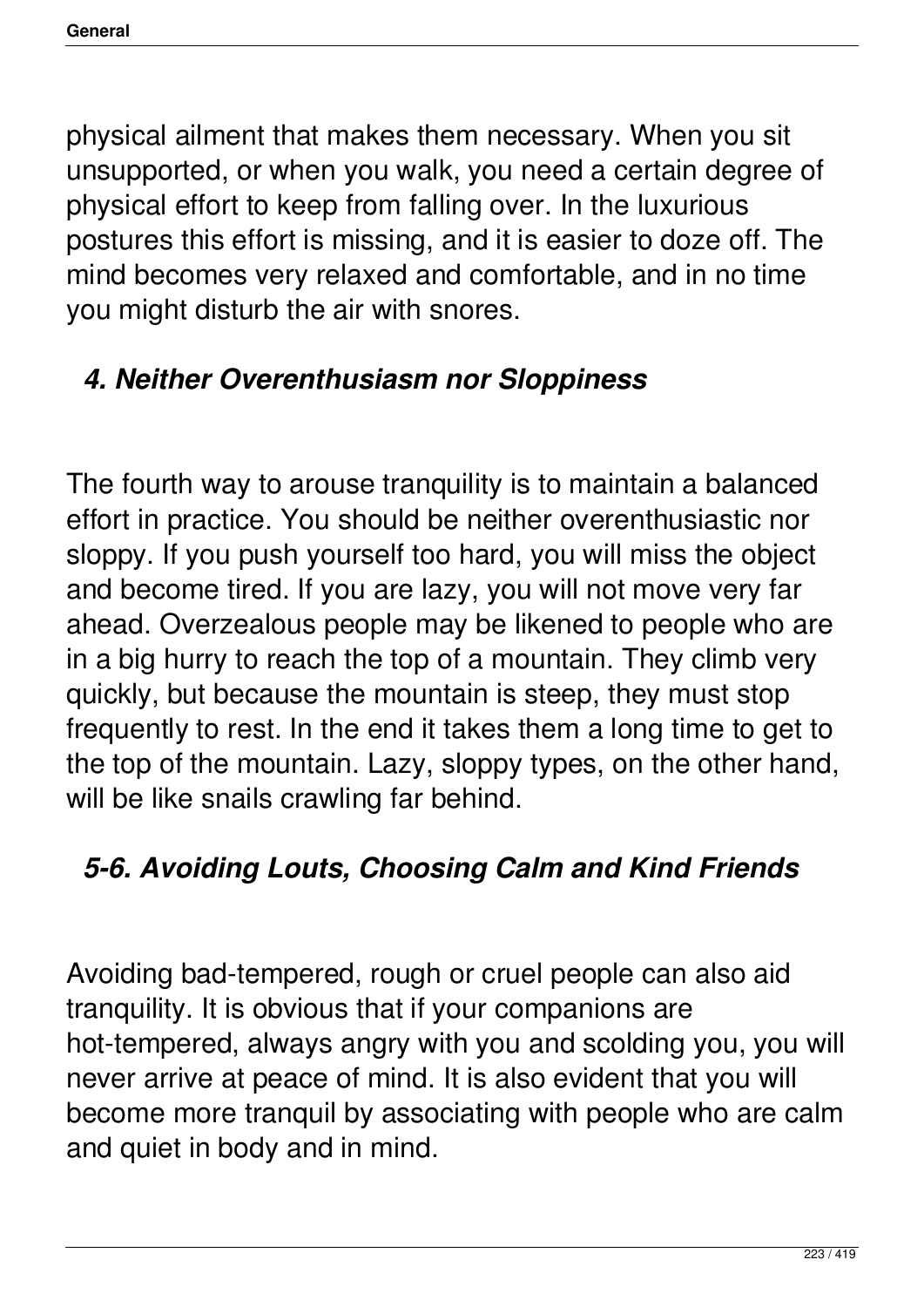physical ailment that makes them necessary. When you sit unsupported, or when you walk, you need a certain degree of physical effort to keep from falling over. In the luxurious postures this effort is missing, and it is easier to doze off. The mind becomes very relaxed and comfortable, and in no time you might disturb the air with snores.

# *4. Neither Overenthusiasm nor Sloppiness*

The fourth way to arouse tranquility is to maintain a balanced effort in practice. You should be neither overenthusiastic nor sloppy. If you push yourself too hard, you will miss the object and become tired. If you are lazy, you will not move very far ahead. Overzealous people may be likened to people who are in a big hurry to reach the top of a mountain. They climb very quickly, but because the mountain is steep, they must stop frequently to rest. In the end it takes them a long time to get to the top of the mountain. Lazy, sloppy types, on the other hand, will be like snails crawling far behind.

# *5-6. Avoiding Louts, Choosing Calm and Kind Friends*

Avoiding bad-tempered, rough or cruel people can also aid tranquility. It is obvious that if your companions are hot-tempered, always angry with you and scolding you, you will never arrive at peace of mind. It is also evident that you will become more tranquil by associating with people who are calm and quiet in body and in mind.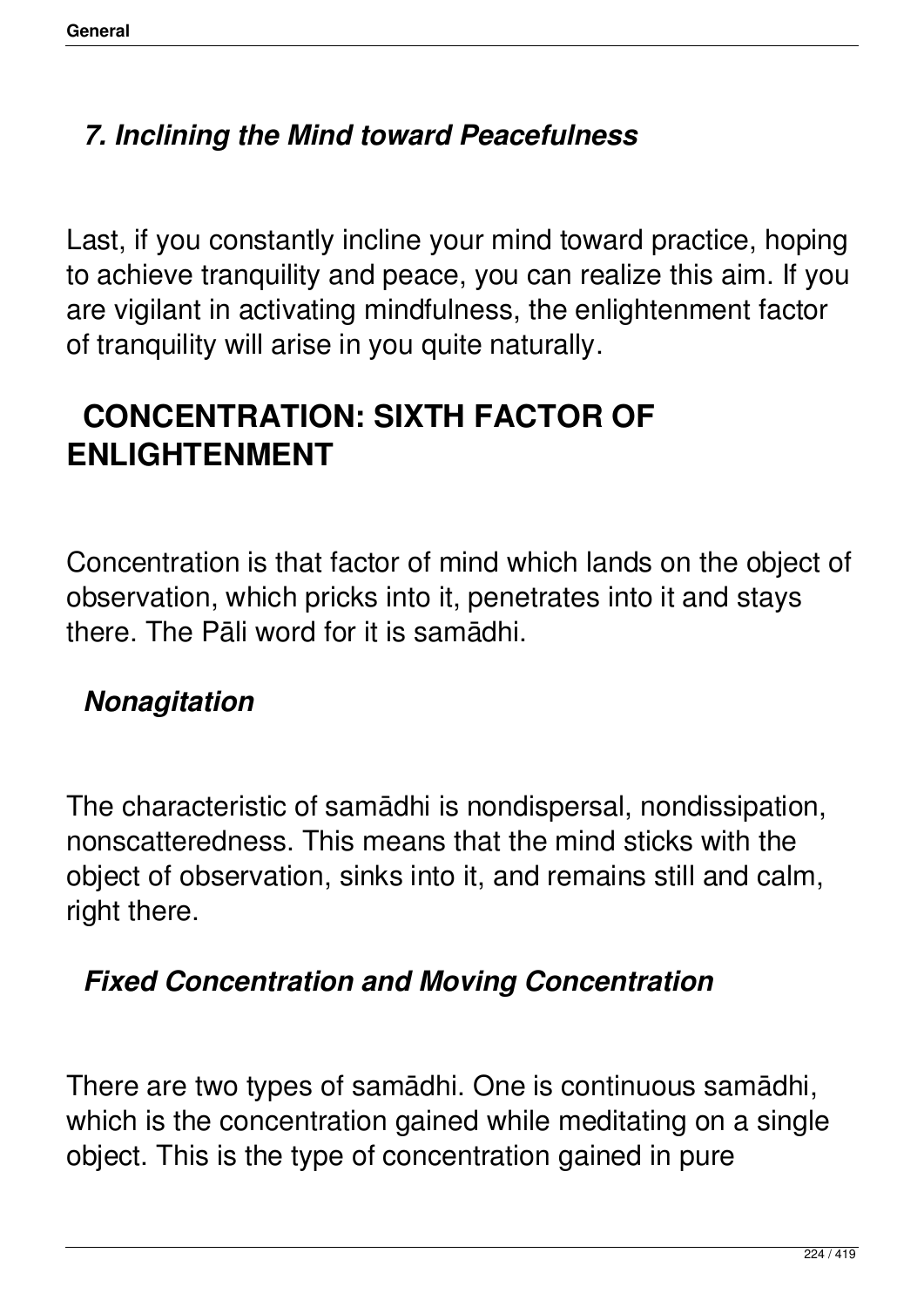#### *7. Inclining the Mind toward Peacefulness*

Last, if you constantly incline your mind toward practice, hoping to achieve tranquility and peace, you can realize this aim. If you are vigilant in activating mindfulness, the enlightenment factor of tranquility will arise in you quite naturally.

# **CONCENTRATION: SIXTH FACTOR OF ENLIGHTENMENT**

Concentration is that factor of mind which lands on the object of observation, which pricks into it, penetrates into it and stays there. The Pāli word for it is samādhi.

# *Nonagitation*

The characteristic of samādhi is nondispersal, nondissipation, nonscatteredness. This means that the mind sticks with the object of observation, sinks into it, and remains still and calm, right there.

#### *Fixed Concentration and Moving Concentration*

There are two types of samādhi. One is continuous samādhi, which is the concentration gained while meditating on a single object. This is the type of concentration gained in pure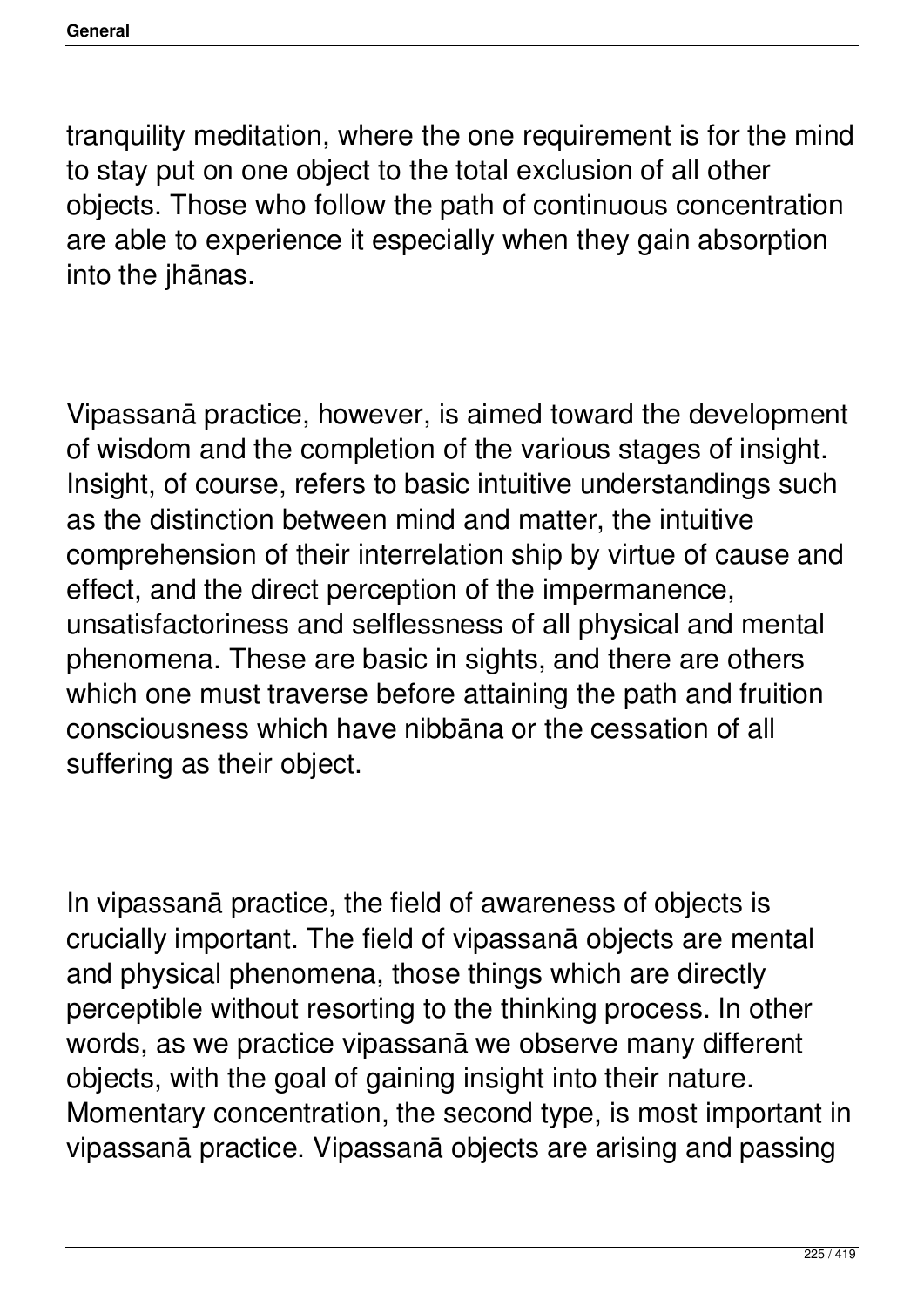tranquility meditation, where the one requirement is for the mind to stay put on one object to the total exclusion of all other objects. Those who follow the path of continuous concentration are able to experience it especially when they gain absorption into the jhānas.

Vipassanā practice, however, is aimed toward the development of wisdom and the completion of the various stages of insight. Insight, of course, refers to basic intuitive understandings such as the distinction between mind and matter, the intuitive comprehension of their interrelation ship by virtue of cause and effect, and the direct perception of the impermanence, unsatisfactoriness and selflessness of all physical and mental phenomena. These are basic in sights, and there are others which one must traverse before attaining the path and fruition consciousness which have nibbāna or the cessation of all suffering as their object.

In vipassanā practice, the field of awareness of objects is crucially important. The field of vipassanā objects are mental and physical phenomena, those things which are directly perceptible without resorting to the thinking process. In other words, as we practice vipassanā we observe many different objects, with the goal of gaining insight into their nature. Momentary concentration, the second type, is most important in vipassanā practice. Vipassanā objects are arising and passing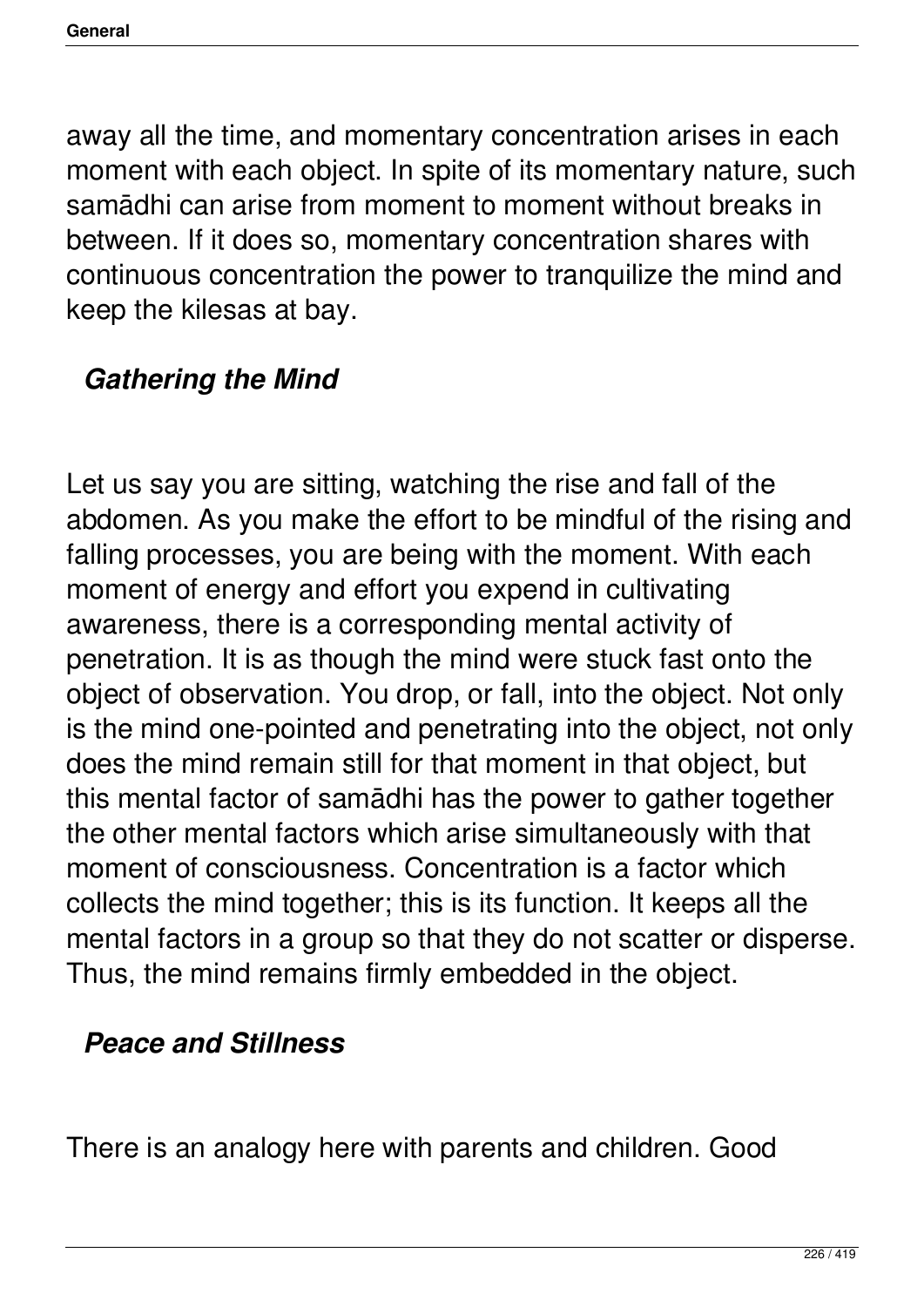away all the time, and momentary concentration arises in each moment with each object. In spite of its momentary nature, such samādhi can arise from moment to moment without breaks in between. If it does so, momentary concentration shares with continuous concentration the power to tranquilize the mind and keep the kilesas at bay.

#### *Gathering the Mind*

Let us say you are sitting, watching the rise and fall of the abdomen. As you make the effort to be mindful of the rising and falling processes, you are being with the moment. With each moment of energy and effort you expend in cultivating awareness, there is a corresponding mental activity of penetration. It is as though the mind were stuck fast onto the object of observation. You drop, or fall, into the object. Not only is the mind one-pointed and penetrating into the object, not only does the mind remain still for that moment in that object, but this mental factor of samādhi has the power to gather together the other mental factors which arise simultaneously with that moment of consciousness. Concentration is a factor which collects the mind together; this is its function. It keeps all the mental factors in a group so that they do not scatter or disperse. Thus, the mind remains firmly embedded in the object.

#### *Peace and Stillness*

There is an analogy here with parents and children. Good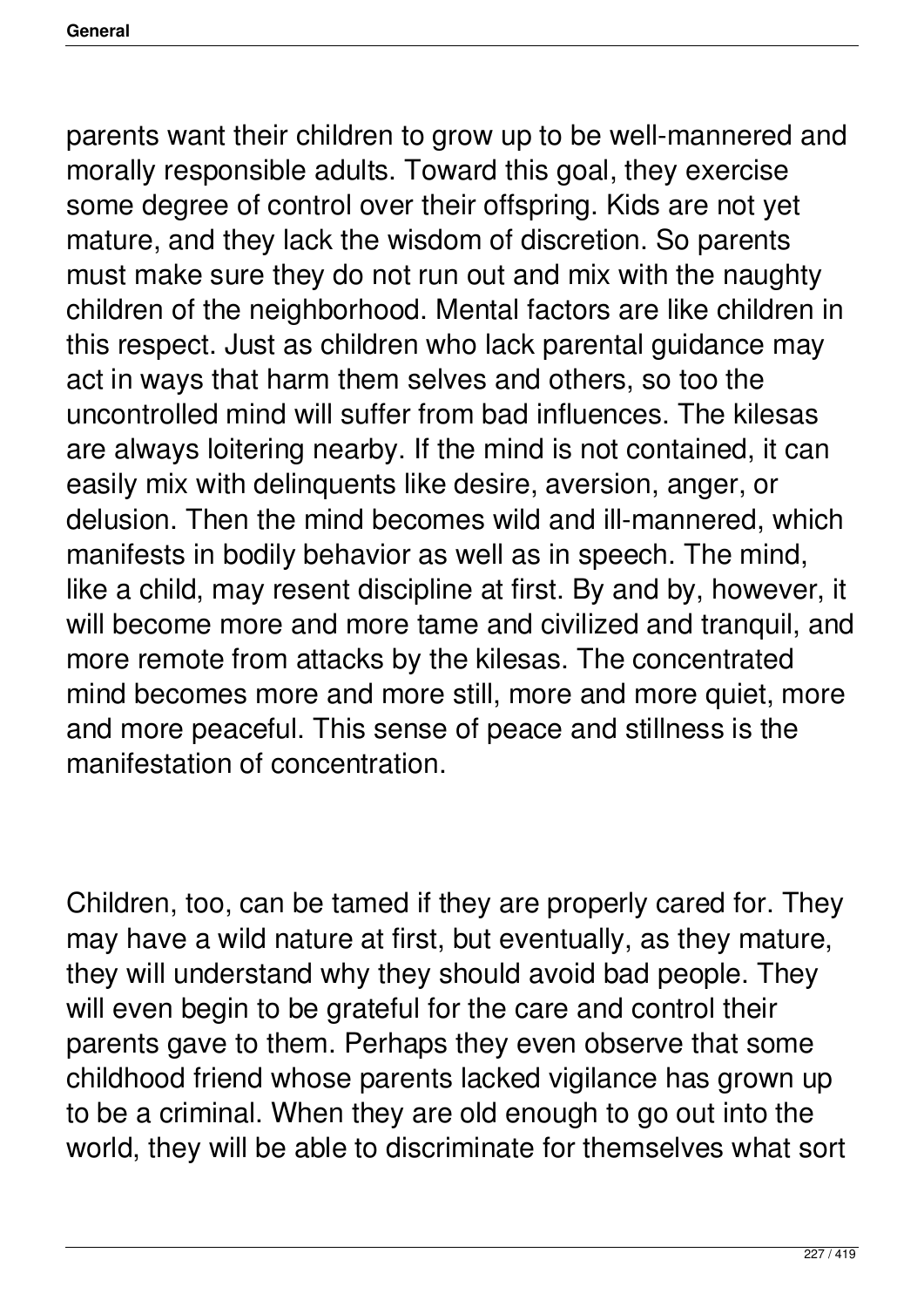parents want their children to grow up to be well-mannered and morally responsible adults. Toward this goal, they exercise some degree of control over their offspring. Kids are not yet mature, and they lack the wisdom of discretion. So parents must make sure they do not run out and mix with the naughty children of the neighborhood. Mental factors are like children in this respect. Just as children who lack parental guidance may act in ways that harm them selves and others, so too the uncontrolled mind will suffer from bad influences. The kilesas are always loitering nearby. If the mind is not contained, it can easily mix with delinquents like desire, aversion, anger, or delusion. Then the mind becomes wild and ill-mannered, which manifests in bodily behavior as well as in speech. The mind, like a child, may resent discipline at first. By and by, however, it will become more and more tame and civilized and tranquil, and more remote from attacks by the kilesas. The concentrated mind becomes more and more still, more and more quiet, more and more peaceful. This sense of peace and stillness is the manifestation of concentration.

Children, too, can be tamed if they are properly cared for. They may have a wild nature at first, but eventually, as they mature, they will understand why they should avoid bad people. They will even begin to be grateful for the care and control their parents gave to them. Perhaps they even observe that some childhood friend whose parents lacked vigilance has grown up to be a criminal. When they are old enough to go out into the world, they will be able to discriminate for themselves what sort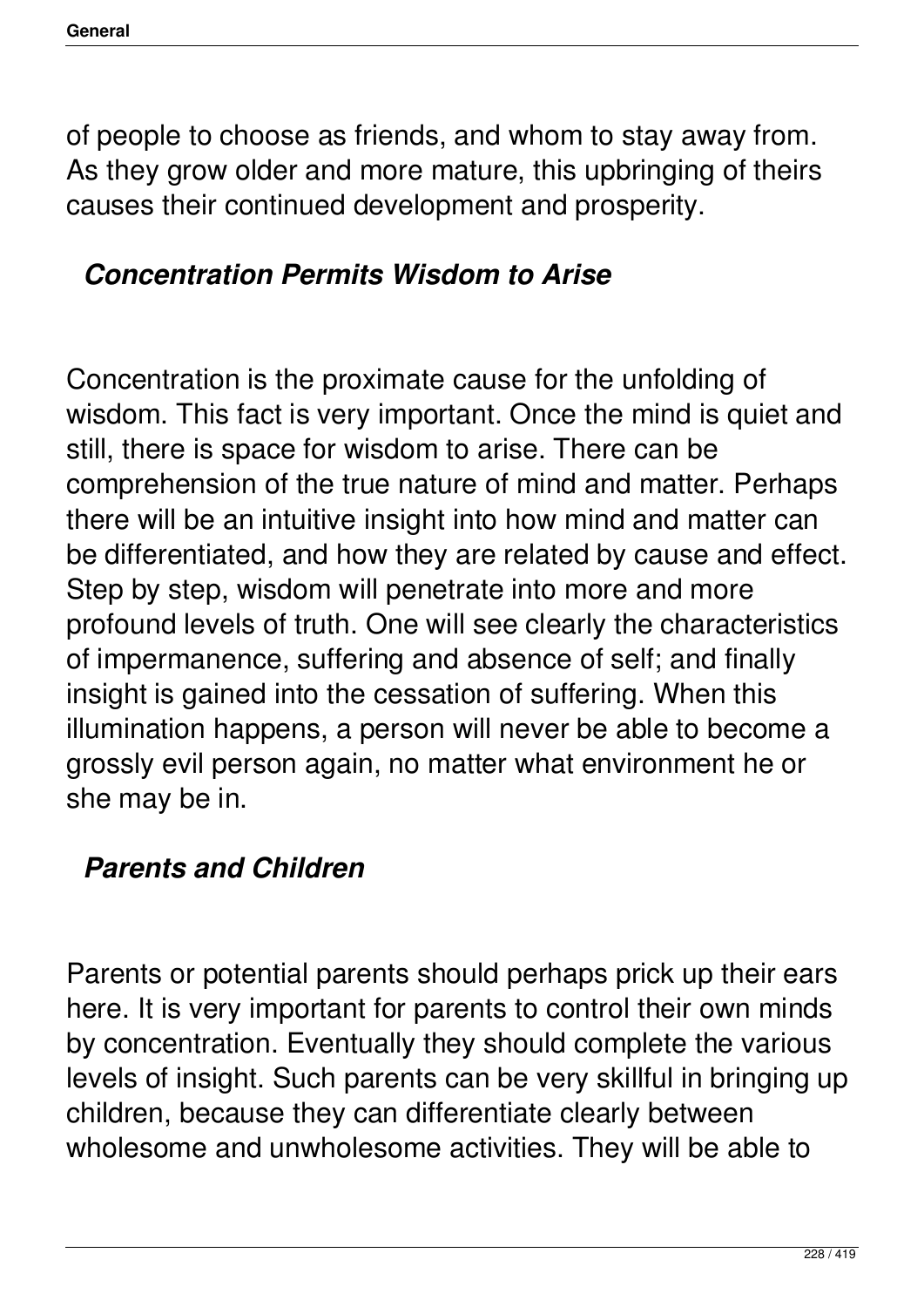of people to choose as friends, and whom to stay away from. As they grow older and more mature, this upbringing of theirs causes their continued development and prosperity.

#### *Concentration Permits Wisdom to Arise*

Concentration is the proximate cause for the unfolding of wisdom. This fact is very important. Once the mind is quiet and still, there is space for wisdom to arise. There can be comprehension of the true nature of mind and matter. Perhaps there will be an intuitive insight into how mind and matter can be differentiated, and how they are related by cause and effect. Step by step, wisdom will penetrate into more and more profound levels of truth. One will see clearly the characteristics of impermanence, suffering and absence of self; and finally insight is gained into the cessation of suffering. When this illumination happens, a person will never be able to become a grossly evil person again, no matter what environment he or she may be in.

# *Parents and Children*

Parents or potential parents should perhaps prick up their ears here. It is very important for parents to control their own minds by concentration. Eventually they should complete the various levels of insight. Such parents can be very skillful in bringing up children, because they can differentiate clearly between wholesome and unwholesome activities. They will be able to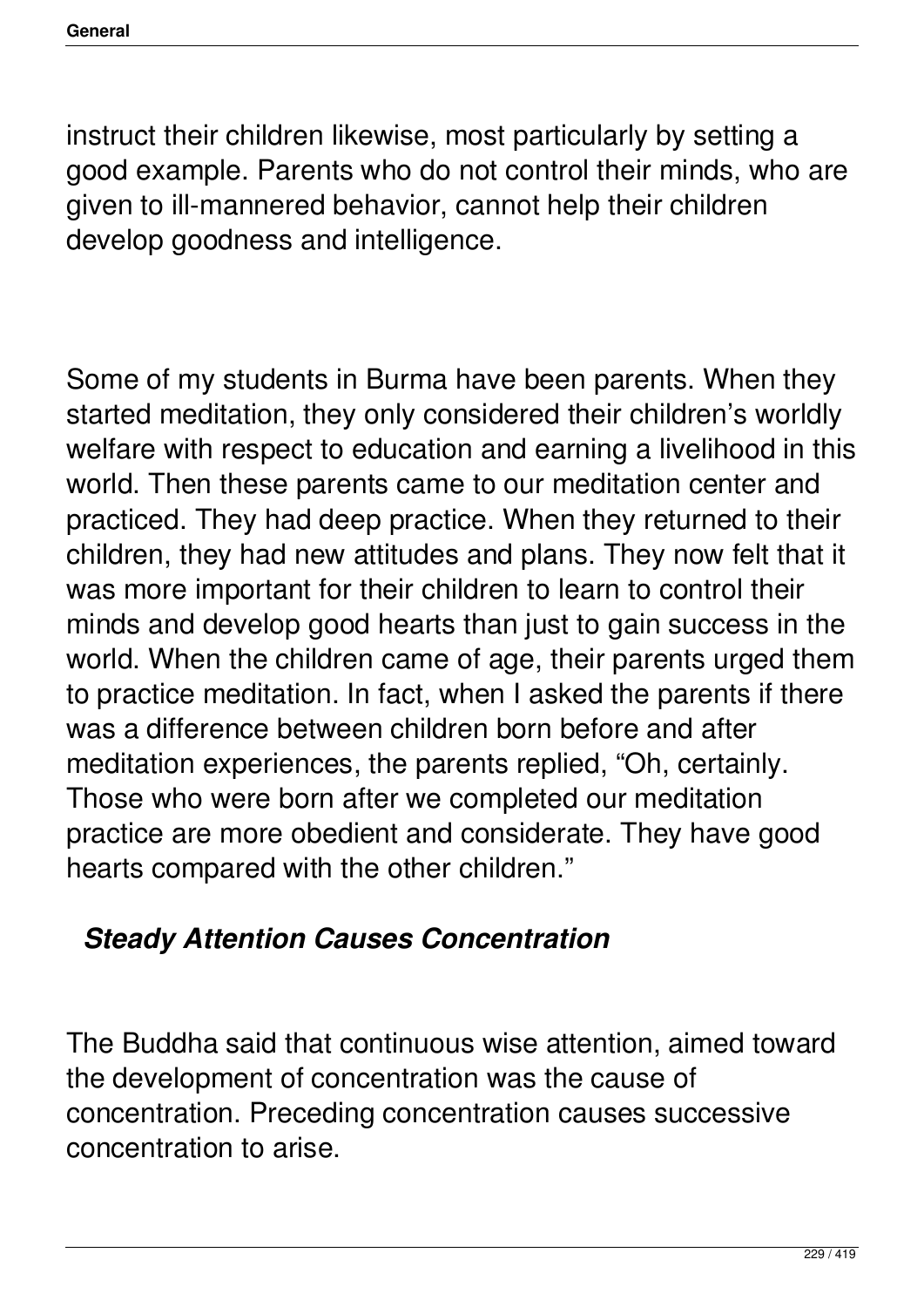instruct their children likewise, most particularly by setting a good example. Parents who do not control their minds, who are given to ill-mannered behavior, cannot help their children develop goodness and intelligence.

Some of my students in Burma have been parents. When they started meditation, they only considered their children's worldly welfare with respect to education and earning a livelihood in this world. Then these parents came to our meditation center and practiced. They had deep practice. When they returned to their children, they had new attitudes and plans. They now felt that it was more important for their children to learn to control their minds and develop good hearts than just to gain success in the world. When the children came of age, their parents urged them to practice meditation. In fact, when I asked the parents if there was a difference between children born before and after meditation experiences, the parents replied, "Oh, certainly. Those who were born after we completed our meditation practice are more obedient and considerate. They have good hearts compared with the other children."

# *Steady Attention Causes Concentration*

The Buddha said that continuous wise attention, aimed toward the development of concentration was the cause of concentration. Preceding concentration causes successive concentration to arise.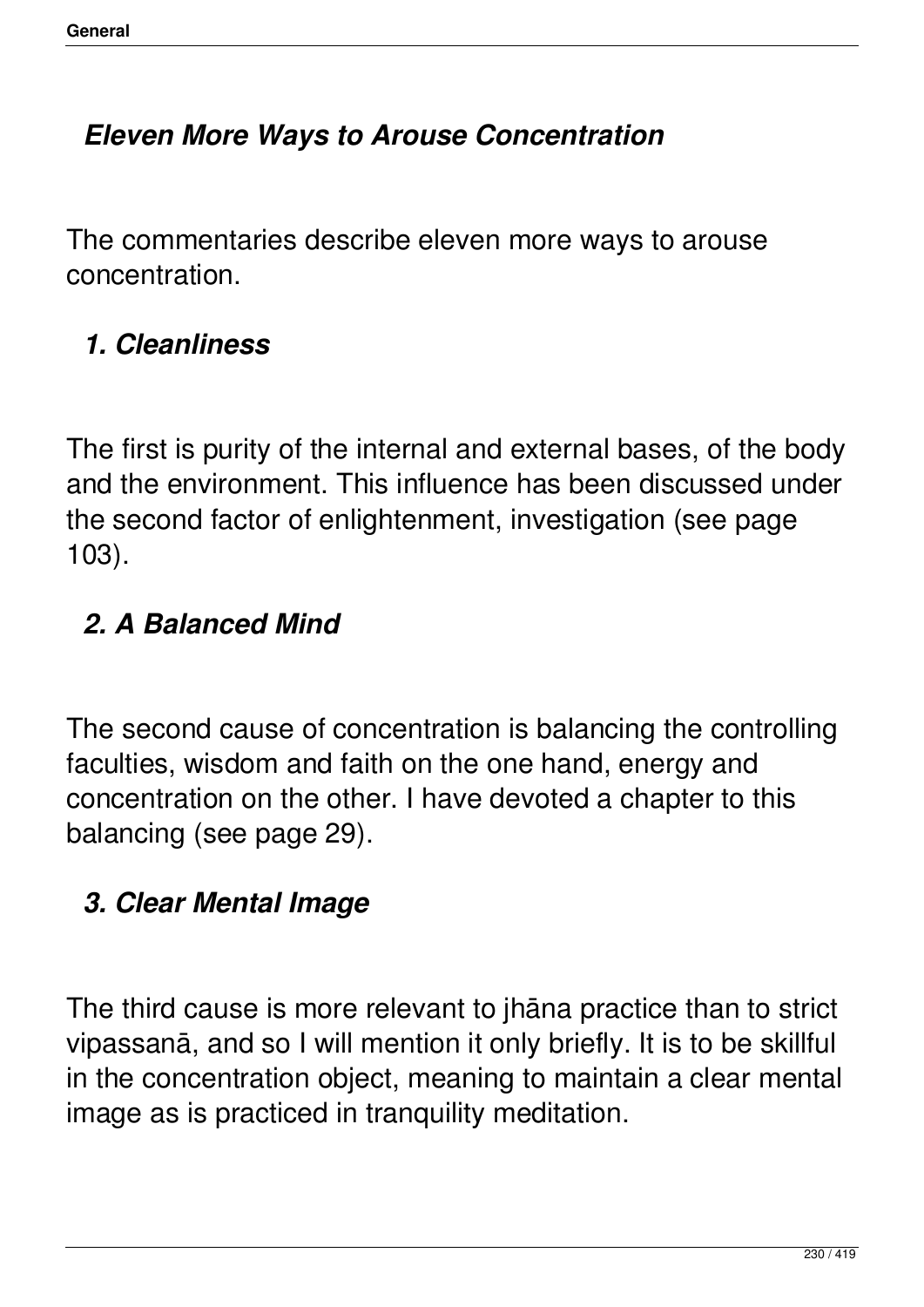#### *Eleven More Ways to Arouse Concentration*

The commentaries describe eleven more ways to arouse concentration.

# *1. Cleanliness*

The first is purity of the internal and external bases, of the body and the environment. This influence has been discussed under the second factor of enlightenment, investigation (see page 103).

#### *2. A Balanced Mind*

The second cause of concentration is balancing the controlling faculties, wisdom and faith on the one hand, energy and concentration on the other. I have devoted a chapter to this balancing (see page 29).

# *3. Clear Mental Image*

The third cause is more relevant to jhāna practice than to strict vipassanā, and so I will mention it only briefly. It is to be skillful in the concentration object, meaning to maintain a clear mental image as is practiced in tranquility meditation.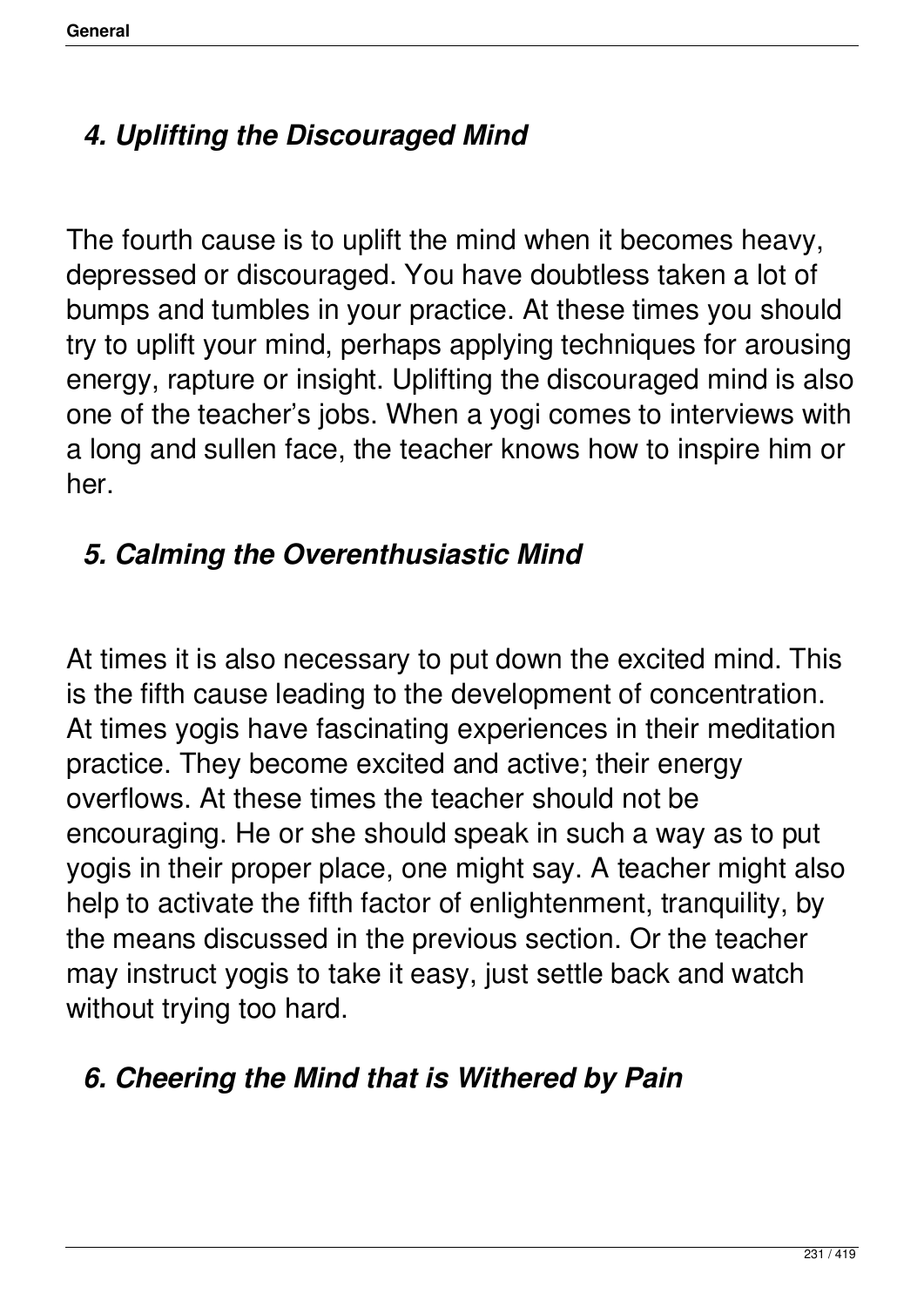# *4. Uplifting the Discouraged Mind*

The fourth cause is to uplift the mind when it becomes heavy, depressed or discouraged. You have doubtless taken a lot of bumps and tumbles in your practice. At these times you should try to uplift your mind, perhaps applying techniques for arousing energy, rapture or insight. Uplifting the discouraged mind is also one of the teacher's jobs. When a yogi comes to interviews with a long and sullen face, the teacher knows how to inspire him or her.

# *5. Calming the Overenthusiastic Mind*

At times it is also necessary to put down the excited mind. This is the fifth cause leading to the development of concentration. At times yogis have fascinating experiences in their meditation practice. They become excited and active; their energy overflows. At these times the teacher should not be encouraging. He or she should speak in such a way as to put yogis in their proper place, one might say. A teacher might also help to activate the fifth factor of enlightenment, tranquility, by the means discussed in the previous section. Or the teacher may instruct yogis to take it easy, just settle back and watch without trying too hard.

# *6. Cheering the Mind that is Withered by Pain*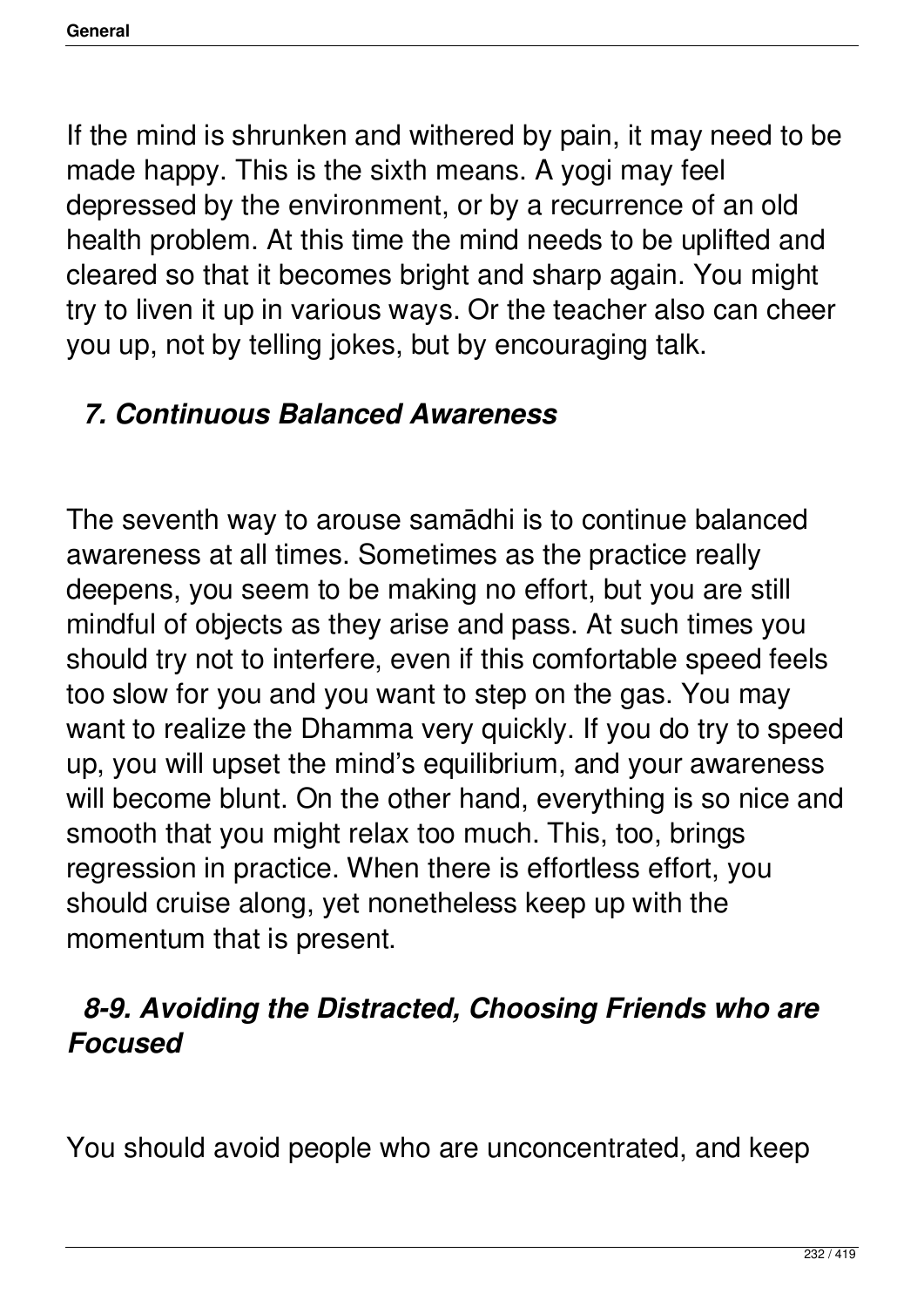If the mind is shrunken and withered by pain, it may need to be made happy. This is the sixth means. A yogi may feel depressed by the environment, or by a recurrence of an old health problem. At this time the mind needs to be uplifted and cleared so that it becomes bright and sharp again. You might try to liven it up in various ways. Or the teacher also can cheer you up, not by telling jokes, but by encouraging talk.

# *7. Continuous Balanced Awareness*

The seventh way to arouse samādhi is to continue balanced awareness at all times. Sometimes as the practice really deepens, you seem to be making no effort, but you are still mindful of objects as they arise and pass. At such times you should try not to interfere, even if this comfortable speed feels too slow for you and you want to step on the gas. You may want to realize the Dhamma very quickly. If you do try to speed up, you will upset the mind's equilibrium, and your awareness will become blunt. On the other hand, everything is so nice and smooth that you might relax too much. This, too, brings regression in practice. When there is effortless effort, you should cruise along, yet nonetheless keep up with the momentum that is present.

# *8-9. Avoiding the Distracted, Choosing Friends who are Focused*

You should avoid people who are unconcentrated, and keep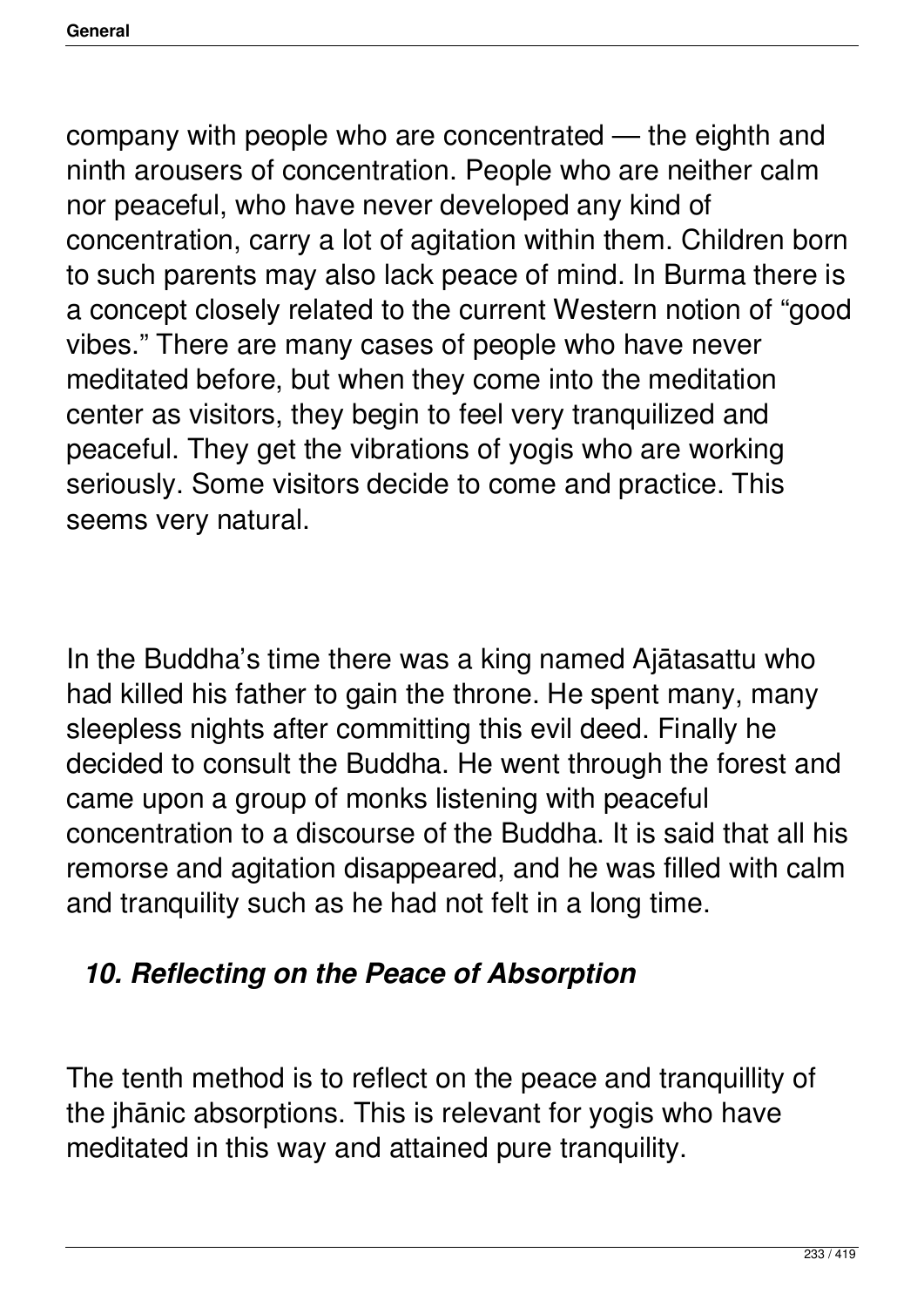company with people who are concentrated — the eighth and ninth arousers of concentration. People who are neither calm nor peaceful, who have never developed any kind of concentration, carry a lot of agitation within them. Children born to such parents may also lack peace of mind. In Burma there is a concept closely related to the current Western notion of "good vibes." There are many cases of people who have never meditated before, but when they come into the meditation center as visitors, they begin to feel very tranquilized and peaceful. They get the vibrations of yogis who are working seriously. Some visitors decide to come and practice. This seems very natural.

In the Buddha's time there was a king named Ajātasattu who had killed his father to gain the throne. He spent many, many sleepless nights after committing this evil deed. Finally he decided to consult the Buddha. He went through the forest and came upon a group of monks listening with peaceful concentration to a discourse of the Buddha. It is said that all his remorse and agitation disappeared, and he was filled with calm and tranquility such as he had not felt in a long time.

# *10. Reflecting on the Peace of Absorption*

The tenth method is to reflect on the peace and tranquillity of the jhānic absorptions. This is relevant for yogis who have meditated in this way and attained pure tranquility.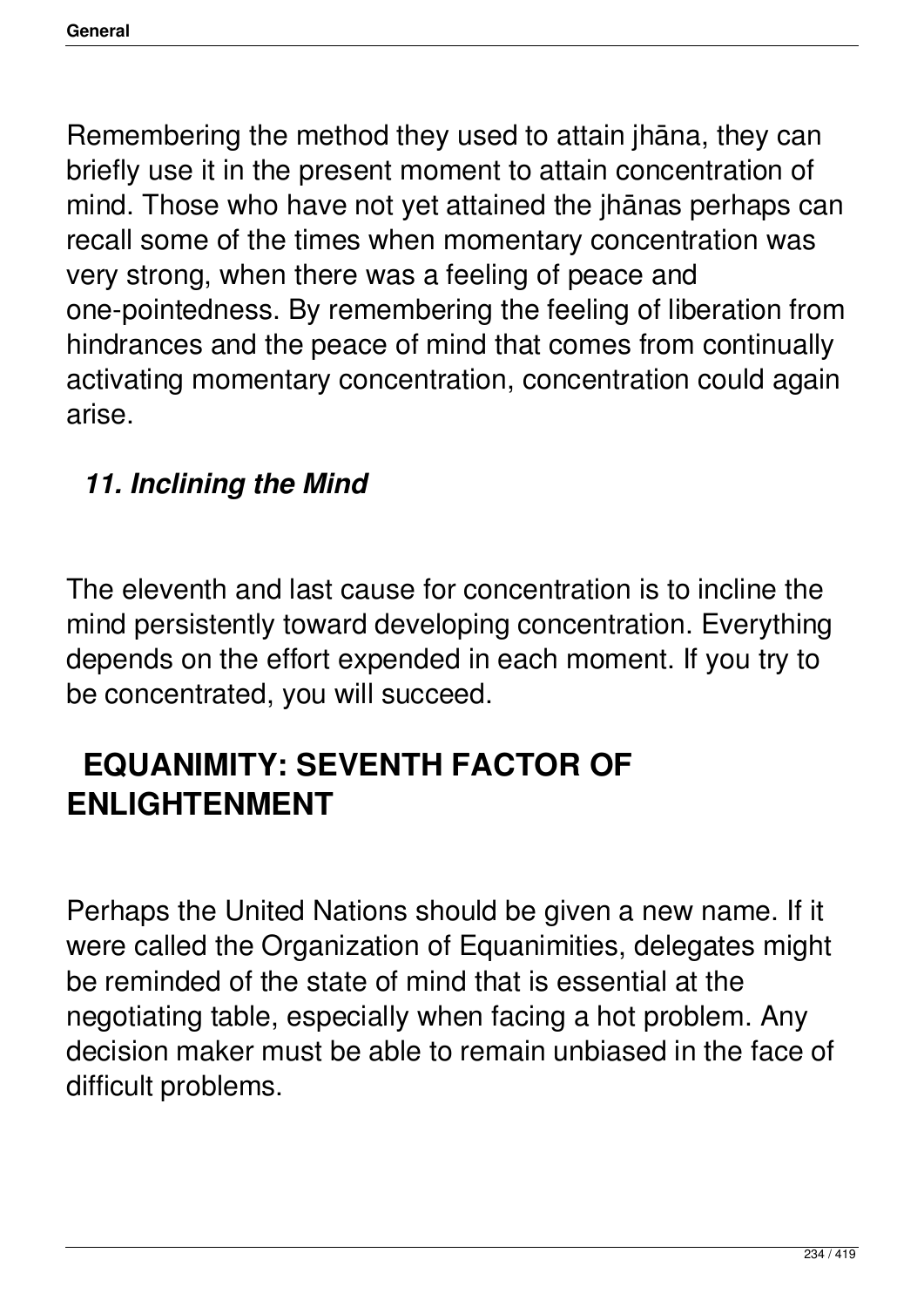Remembering the method they used to attain jhāna, they can briefly use it in the present moment to attain concentration of mind. Those who have not yet attained the jhānas perhaps can recall some of the times when momentary concentration was very strong, when there was a feeling of peace and one-pointedness. By remembering the feeling of liberation from hindrances and the peace of mind that comes from continually activating momentary concentration, concentration could again arise.

# *11. Inclining the Mind*

The eleventh and last cause for concentration is to incline the mind persistently toward developing concentration. Everything depends on the effort expended in each moment. If you try to be concentrated, you will succeed.

# **EQUANIMITY: SEVENTH FACTOR OF ENLIGHTENMENT**

Perhaps the United Nations should be given a new name. If it were called the Organization of Equanimities, delegates might be reminded of the state of mind that is essential at the negotiating table, especially when facing a hot problem. Any decision maker must be able to remain unbiased in the face of difficult problems.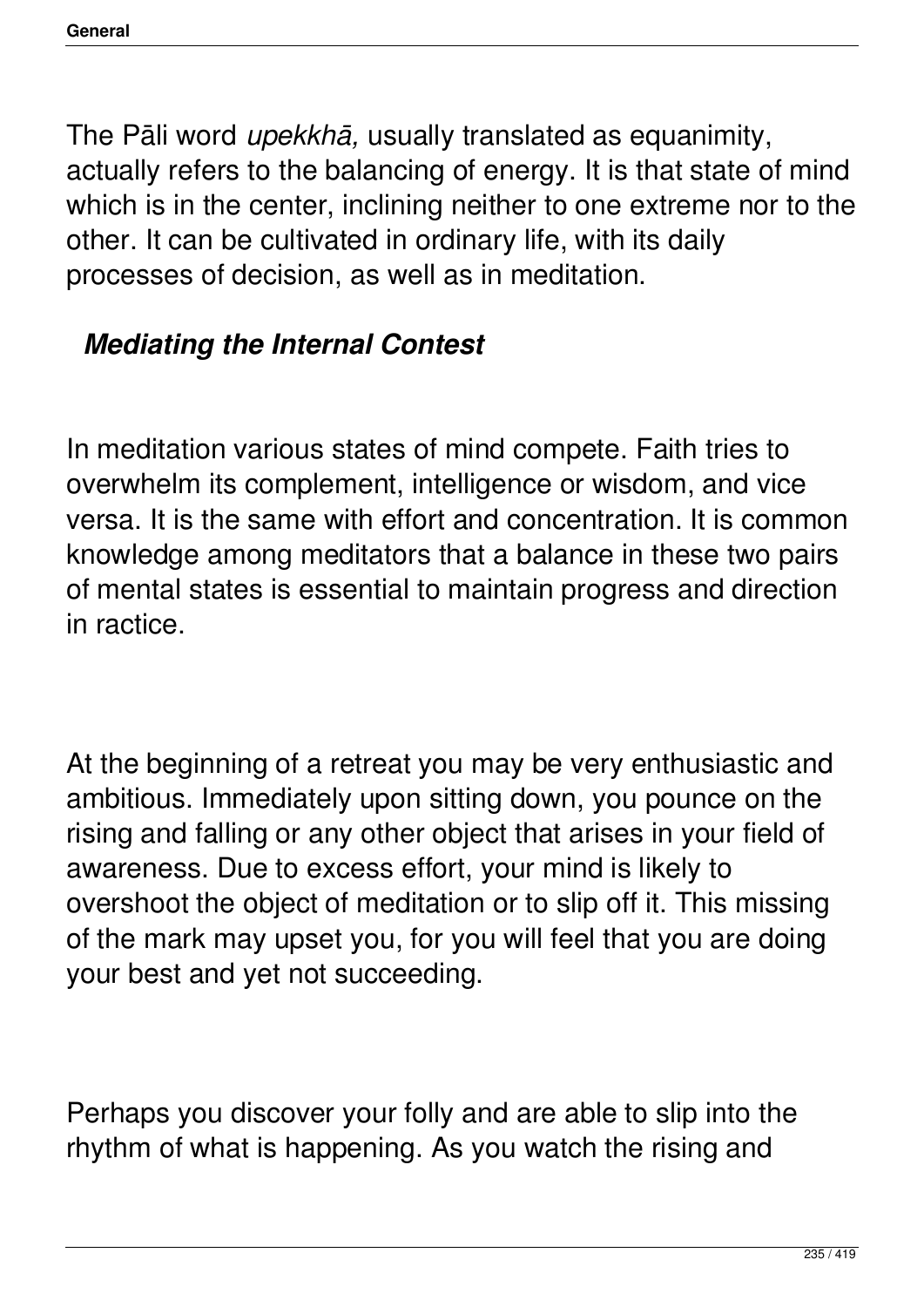The Pāli word *upekkhā,* usually translated as equanimity, actually refers to the balancing of energy. It is that state of mind which is in the center, inclining neither to one extreme nor to the other. It can be cultivated in ordinary life, with its daily processes of decision, as well as in meditation.

# *Mediating the Internal Contest*

In meditation various states of mind compete. Faith tries to overwhelm its complement, intelligence or wisdom, and vice versa. It is the same with effort and concentration. It is common knowledge among meditators that a balance in these two pairs of mental states is essential to maintain progress and direction in ractice.

At the beginning of a retreat you may be very enthusiastic and ambitious. Immediately upon sitting down, you pounce on the rising and falling or any other object that arises in your field of awareness. Due to excess effort, your mind is likely to overshoot the object of meditation or to slip off it. This missing of the mark may upset you, for you will feel that you are doing your best and yet not succeeding.

Perhaps you discover your folly and are able to slip into the rhythm of what is happening. As you watch the rising and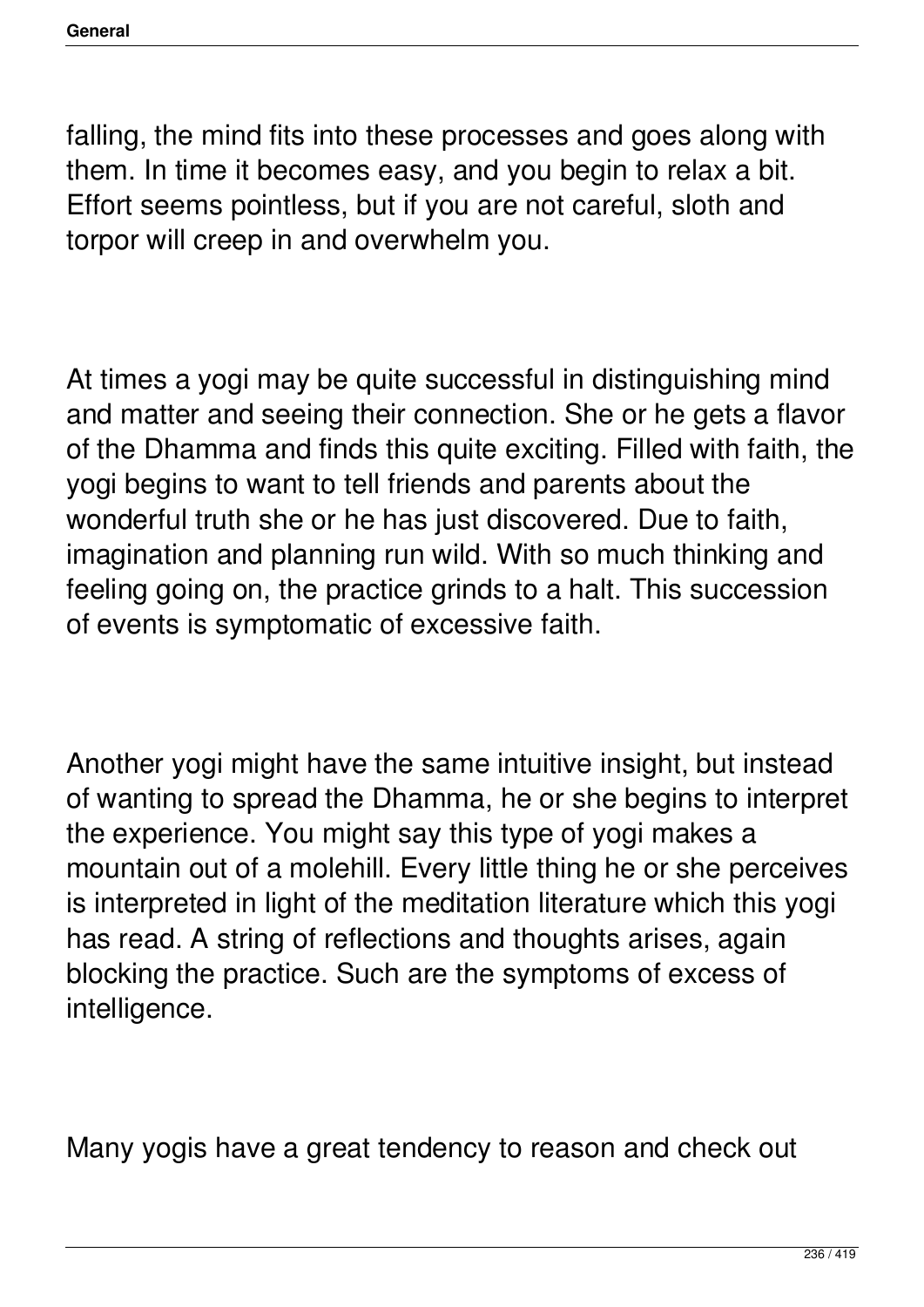falling, the mind fits into these processes and goes along with them. In time it becomes easy, and you begin to relax a bit. Effort seems pointless, but if you are not careful, sloth and torpor will creep in and overwhelm you.

At times a yogi may be quite successful in distinguishing mind and matter and seeing their connection. She or he gets a flavor of the Dhamma and finds this quite exciting. Filled with faith, the yogi begins to want to tell friends and parents about the wonderful truth she or he has just discovered. Due to faith, imagination and planning run wild. With so much thinking and feeling going on, the practice grinds to a halt. This succession of events is symptomatic of excessive faith.

Another yogi might have the same intuitive insight, but instead of wanting to spread the Dhamma, he or she begins to interpret the experience. You might say this type of yogi makes a mountain out of a molehill. Every little thing he or she perceives is interpreted in light of the meditation literature which this yogi has read. A string of reflections and thoughts arises, again blocking the practice. Such are the symptoms of excess of intelligence.

Many yogis have a great tendency to reason and check out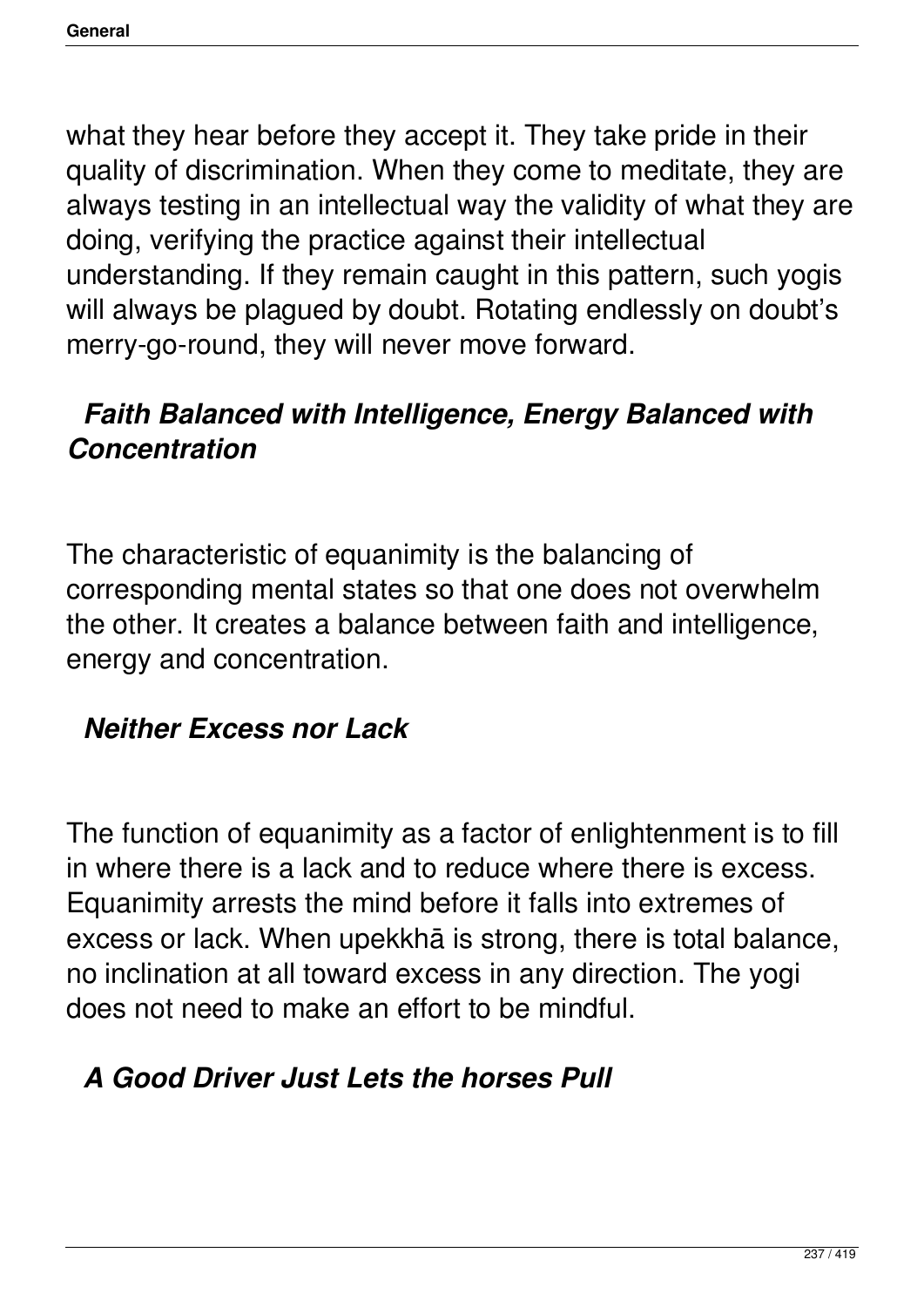what they hear before they accept it. They take pride in their quality of discrimination. When they come to meditate, they are always testing in an intellectual way the validity of what they are doing, verifying the practice against their intellectual understanding. If they remain caught in this pattern, such yogis will always be plagued by doubt. Rotating endlessly on doubt's merry-go-round, they will never move forward.

# *Faith Balanced with Intelligence, Energy Balanced with Concentration*

The characteristic of equanimity is the balancing of corresponding mental states so that one does not overwhelm the other. It creates a balance between faith and intelligence, energy and concentration.

# *Neither Excess nor Lack*

The function of equanimity as a factor of enlightenment is to fill in where there is a lack and to reduce where there is excess. Equanimity arrests the mind before it falls into extremes of excess or lack. When upekkhā is strong, there is total balance, no inclination at all toward excess in any direction. The yogi does not need to make an effort to be mindful.

# *A Good Driver Just Lets the horses Pull*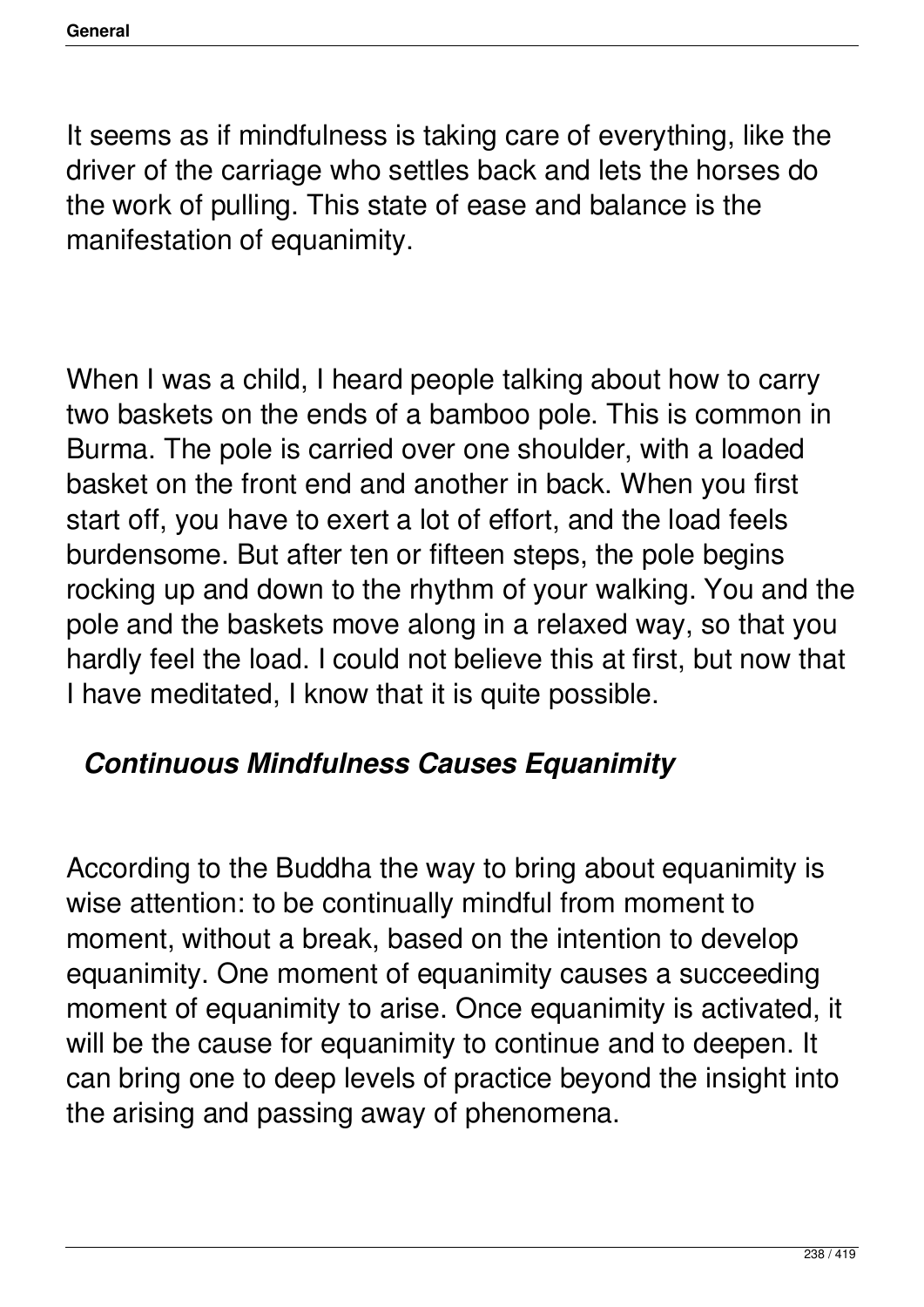It seems as if mindfulness is taking care of everything, like the driver of the carriage who settles back and lets the horses do the work of pulling. This state of ease and balance is the manifestation of equanimity.

When I was a child, I heard people talking about how to carry two baskets on the ends of a bamboo pole. This is common in Burma. The pole is carried over one shoulder, with a loaded basket on the front end and another in back. When you first start off, you have to exert a lot of effort, and the load feels burdensome. But after ten or fifteen steps, the pole begins rocking up and down to the rhythm of your walking. You and the pole and the baskets move along in a relaxed way, so that you hardly feel the load. I could not believe this at first, but now that I have meditated, I know that it is quite possible.

# *Continuous Mindfulness Causes Equanimity*

According to the Buddha the way to bring about equanimity is wise attention: to be continually mindful from moment to moment, without a break, based on the intention to develop equanimity. One moment of equanimity causes a succeeding moment of equanimity to arise. Once equanimity is activated, it will be the cause for equanimity to continue and to deepen. It can bring one to deep levels of practice beyond the insight into the arising and passing away of phenomena.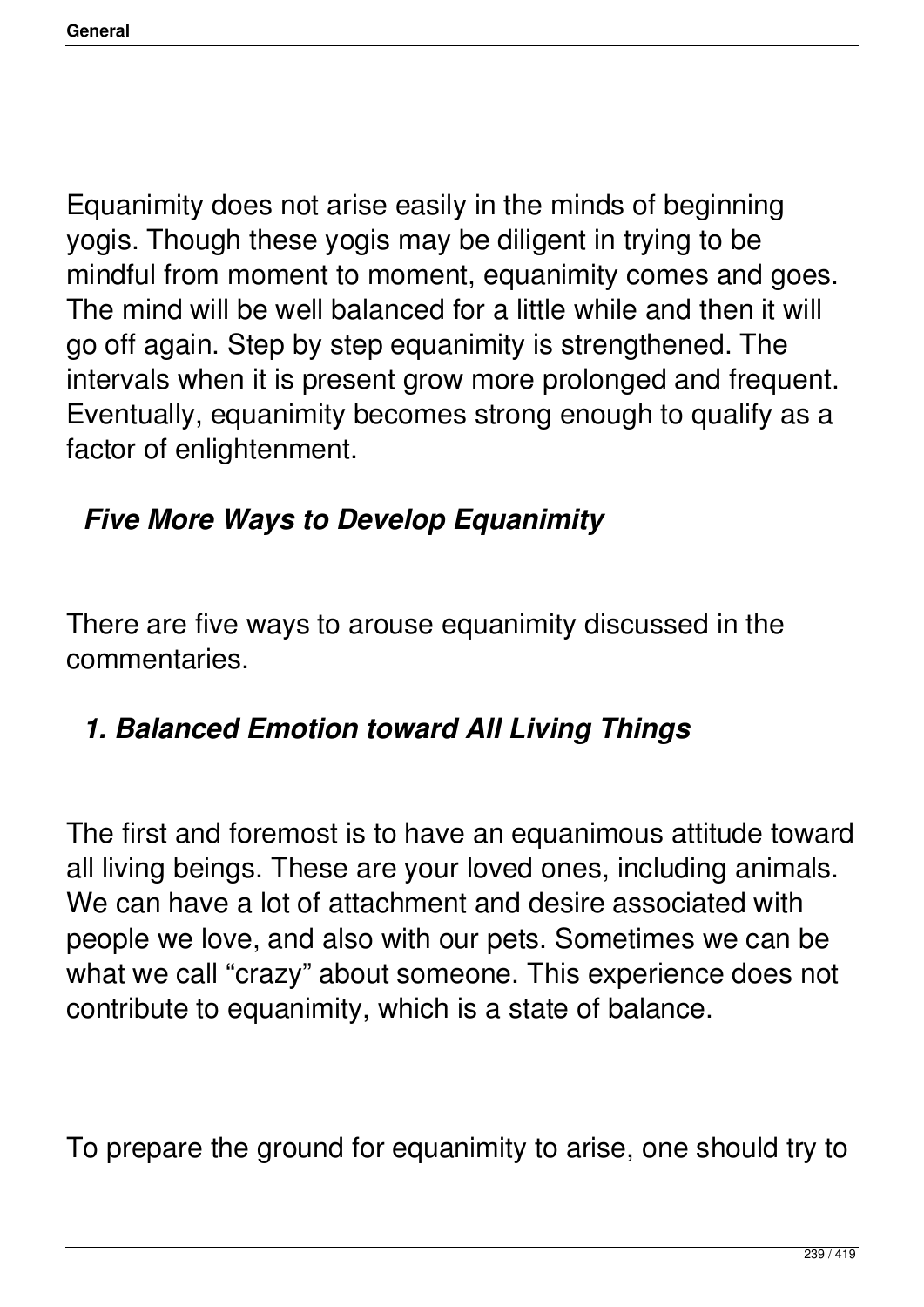Equanimity does not arise easily in the minds of beginning yogis. Though these yogis may be diligent in trying to be mindful from moment to moment, equanimity comes and goes. The mind will be well balanced for a little while and then it will go off again. Step by step equanimity is strengthened. The intervals when it is present grow more prolonged and frequent. Eventually, equanimity becomes strong enough to qualify as a factor of enlightenment.

# *Five More Ways to Develop Equanimity*

There are five ways to arouse equanimity discussed in the commentaries.

# *1. Balanced Emotion toward All Living Things*

The first and foremost is to have an equanimous attitude toward all living beings. These are your loved ones, including animals. We can have a lot of attachment and desire associated with people we love, and also with our pets. Sometimes we can be what we call "crazy" about someone. This experience does not contribute to equanimity, which is a state of balance.

To prepare the ground for equanimity to arise, one should try to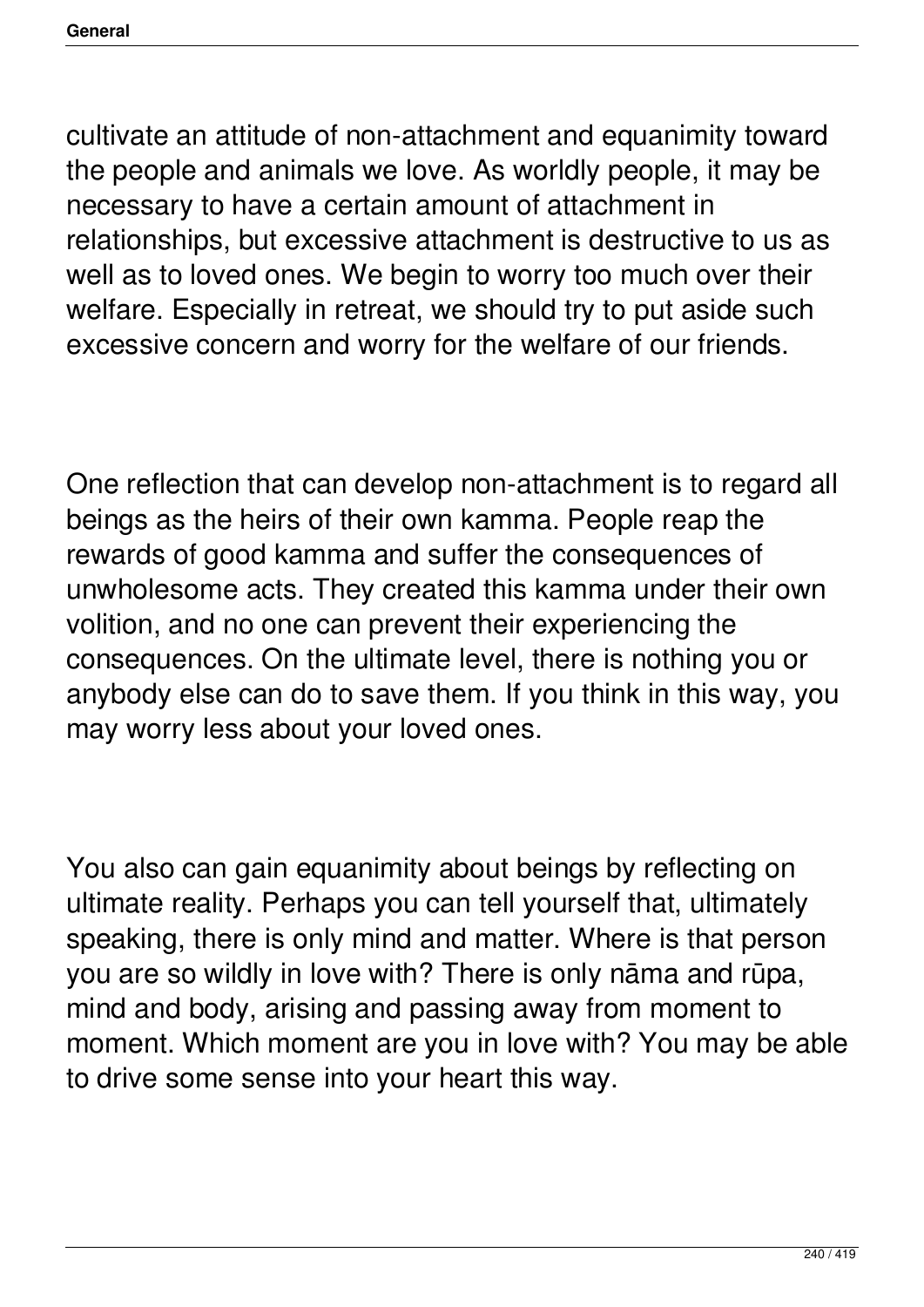cultivate an attitude of non-attachment and equanimity toward the people and animals we love. As worldly people, it may be necessary to have a certain amount of attachment in relationships, but excessive attachment is destructive to us as well as to loved ones. We begin to worry too much over their welfare. Especially in retreat, we should try to put aside such excessive concern and worry for the welfare of our friends.

One reflection that can develop non-attachment is to regard all beings as the heirs of their own kamma. People reap the rewards of good kamma and suffer the consequences of unwholesome acts. They created this kamma under their own volition, and no one can prevent their experiencing the consequences. On the ultimate level, there is nothing you or anybody else can do to save them. If you think in this way, you may worry less about your loved ones.

You also can gain equanimity about beings by reflecting on ultimate reality. Perhaps you can tell yourself that, ultimately speaking, there is only mind and matter. Where is that person you are so wildly in love with? There is only nāma and rūpa, mind and body, arising and passing away from moment to moment. Which moment are you in love with? You may be able to drive some sense into your heart this way.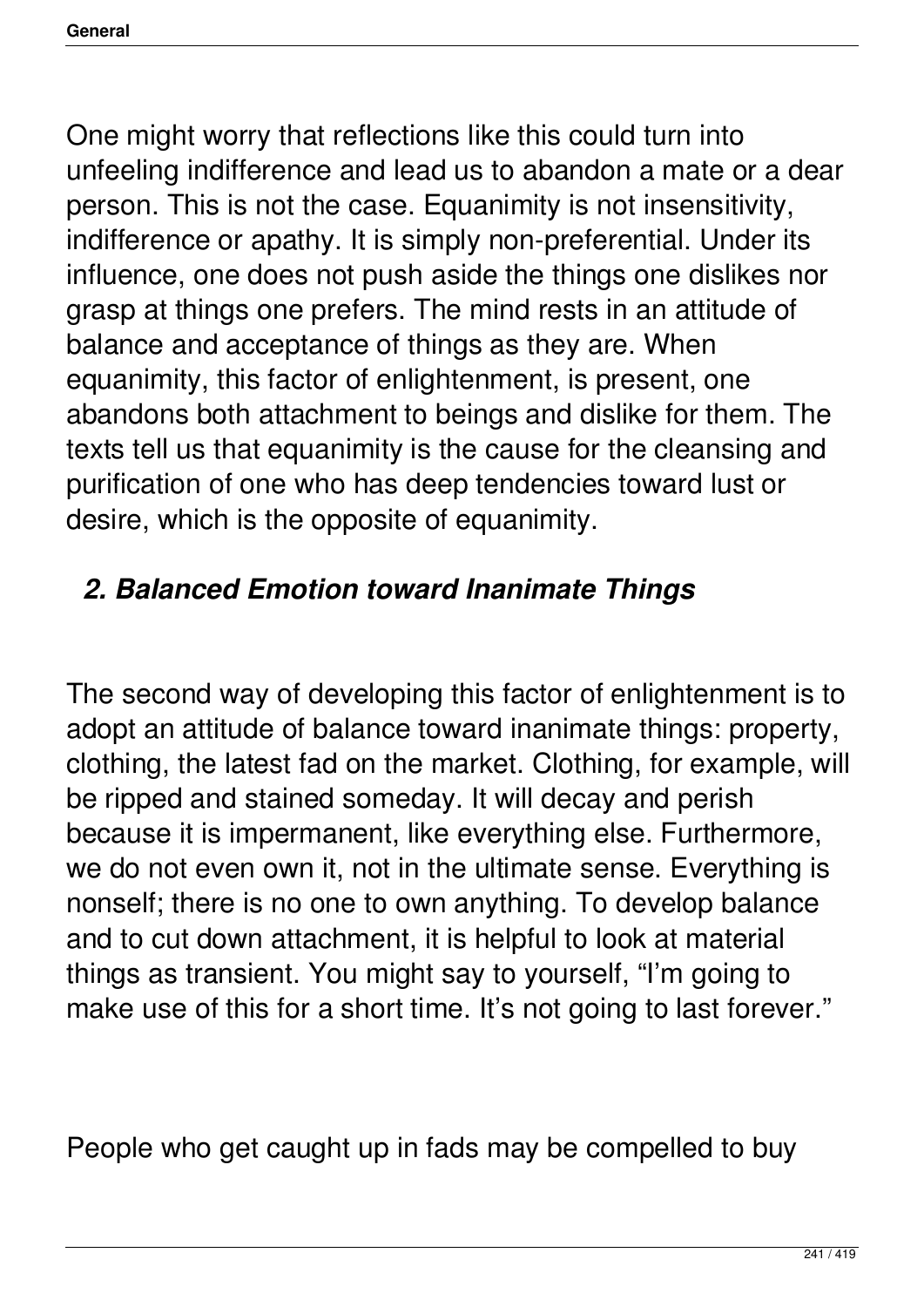One might worry that reflections like this could turn into unfeeling indifference and lead us to abandon a mate or a dear person. This is not the case. Equanimity is not insensitivity, indifference or apathy. It is simply non-preferential. Under its influence, one does not push aside the things one dislikes nor grasp at things one prefers. The mind rests in an attitude of balance and acceptance of things as they are. When equanimity, this factor of enlightenment, is present, one abandons both attachment to beings and dislike for them. The texts tell us that equanimity is the cause for the cleansing and purification of one who has deep tendencies toward lust or desire, which is the opposite of equanimity.

# *2. Balanced Emotion toward Inanimate Things*

The second way of developing this factor of enlightenment is to adopt an attitude of balance toward inanimate things: property, clothing, the latest fad on the market. Clothing, for example, will be ripped and stained someday. It will decay and perish because it is impermanent, like everything else. Furthermore, we do not even own it, not in the ultimate sense. Everything is nonself; there is no one to own anything. To develop balance and to cut down attachment, it is helpful to look at material things as transient. You might say to yourself, "I'm going to make use of this for a short time. It's not going to last forever."

People who get caught up in fads may be compelled to buy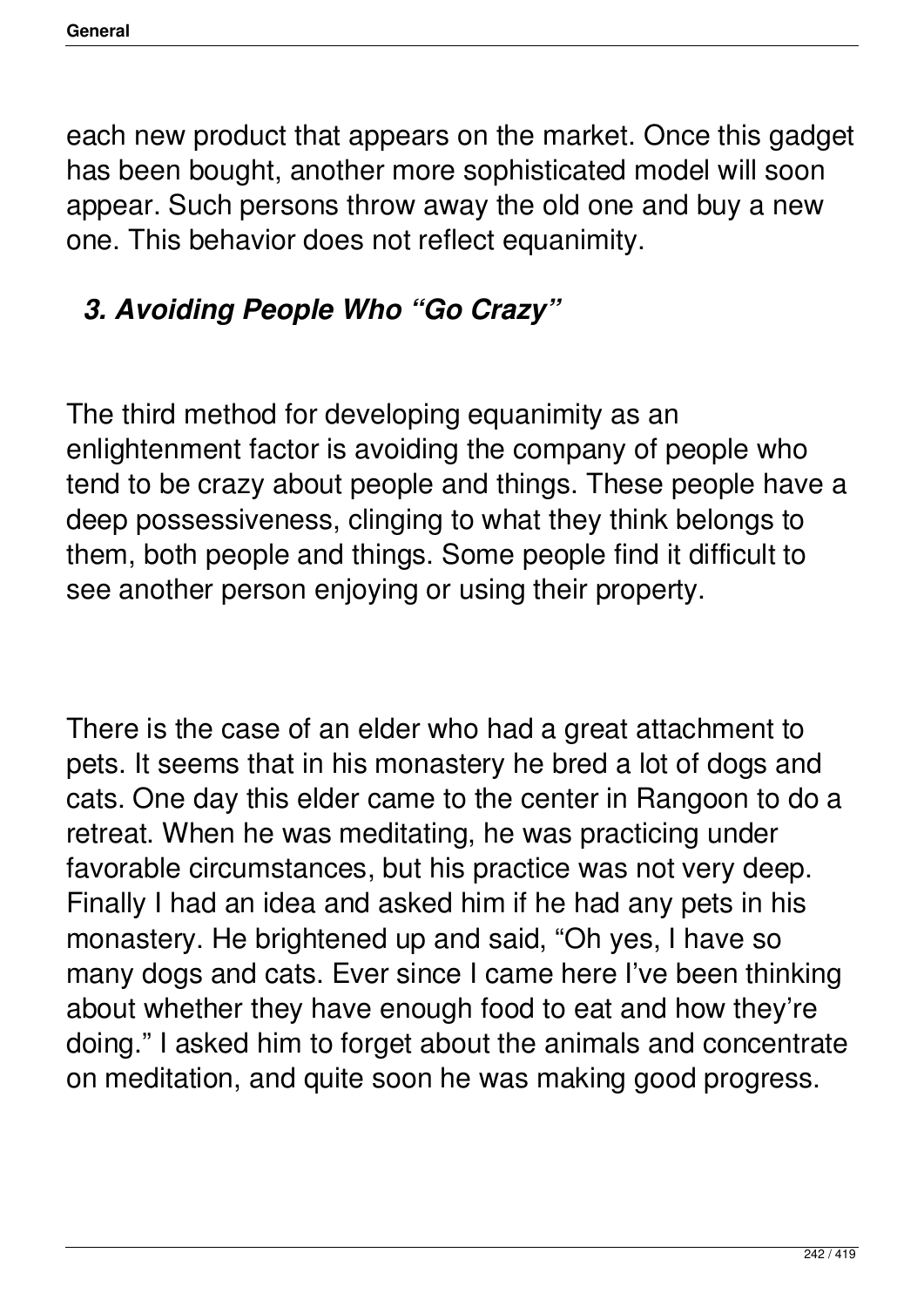each new product that appears on the market. Once this gadget has been bought, another more sophisticated model will soon appear. Such persons throw away the old one and buy a new one. This behavior does not reflect equanimity.

# *3. Avoiding People Who "Go Crazy"*

The third method for developing equanimity as an enlightenment factor is avoiding the company of people who tend to be crazy about people and things. These people have a deep possessiveness, clinging to what they think belongs to them, both people and things. Some people find it difficult to see another person enjoying or using their property.

There is the case of an elder who had a great attachment to pets. It seems that in his monastery he bred a lot of dogs and cats. One day this elder came to the center in Rangoon to do a retreat. When he was meditating, he was practicing under favorable circumstances, but his practice was not very deep. Finally I had an idea and asked him if he had any pets in his monastery. He brightened up and said, "Oh yes, I have so many dogs and cats. Ever since I came here I've been thinking about whether they have enough food to eat and how they're doing." I asked him to forget about the animals and concentrate on meditation, and quite soon he was making good progress.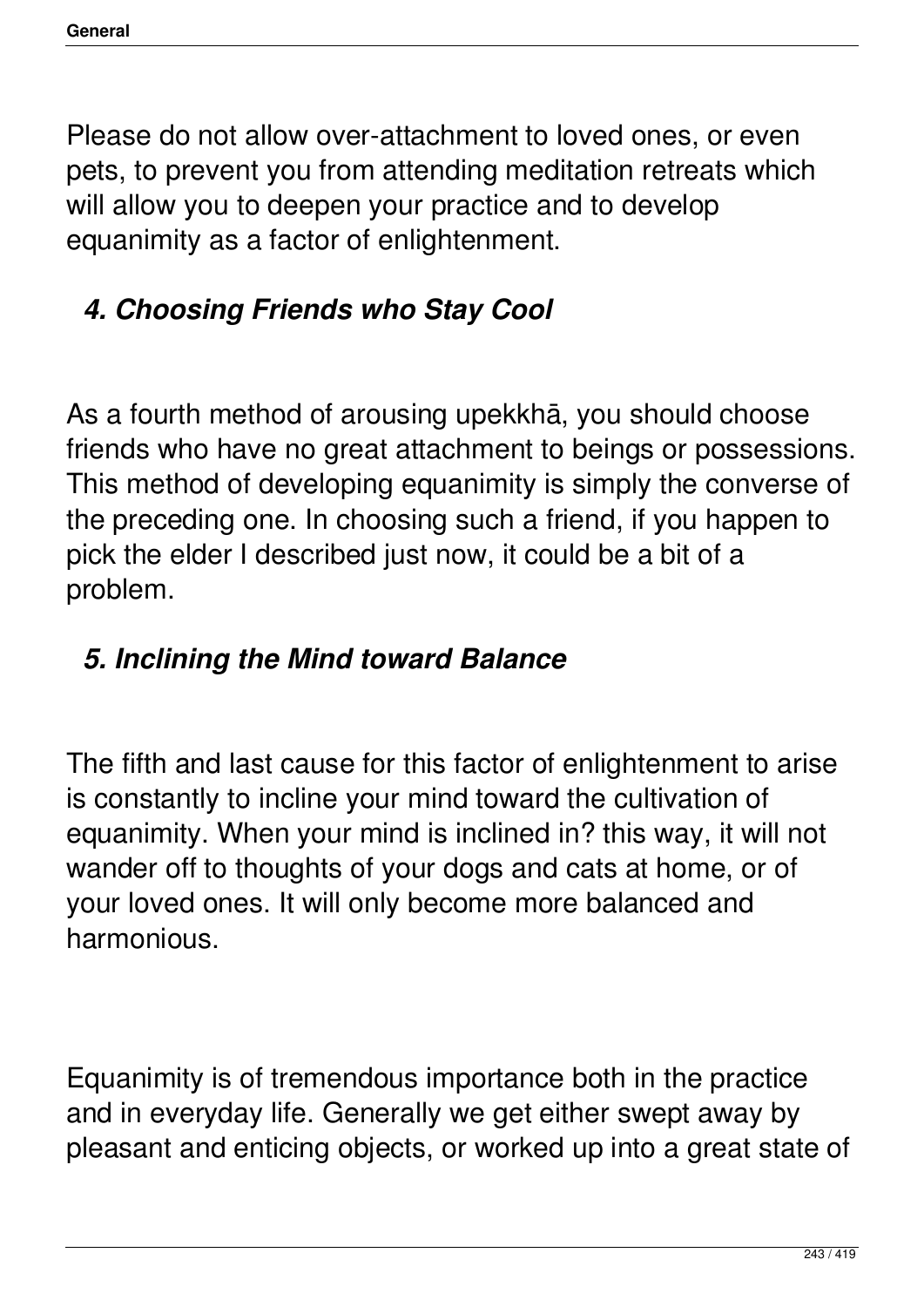Please do not allow over-attachment to loved ones, or even pets, to prevent you from attending meditation retreats which will allow you to deepen your practice and to develop equanimity as a factor of enlightenment.

# *4. Choosing Friends who Stay Cool*

As a fourth method of arousing upekkhā, you should choose friends who have no great attachment to beings or possessions. This method of developing equanimity is simply the converse of the preceding one. In choosing such a friend, if you happen to pick the elder I described just now, it could be a bit of a problem.

# *5. Inclining the Mind toward Balance*

The fifth and last cause for this factor of enlightenment to arise is constantly to incline your mind toward the cultivation of equanimity. When your mind is inclined in? this way, it will not wander off to thoughts of your dogs and cats at home, or of your loved ones. It will only become more balanced and harmonious.

Equanimity is of tremendous importance both in the practice and in everyday life. Generally we get either swept away by pleasant and enticing objects, or worked up into a great state of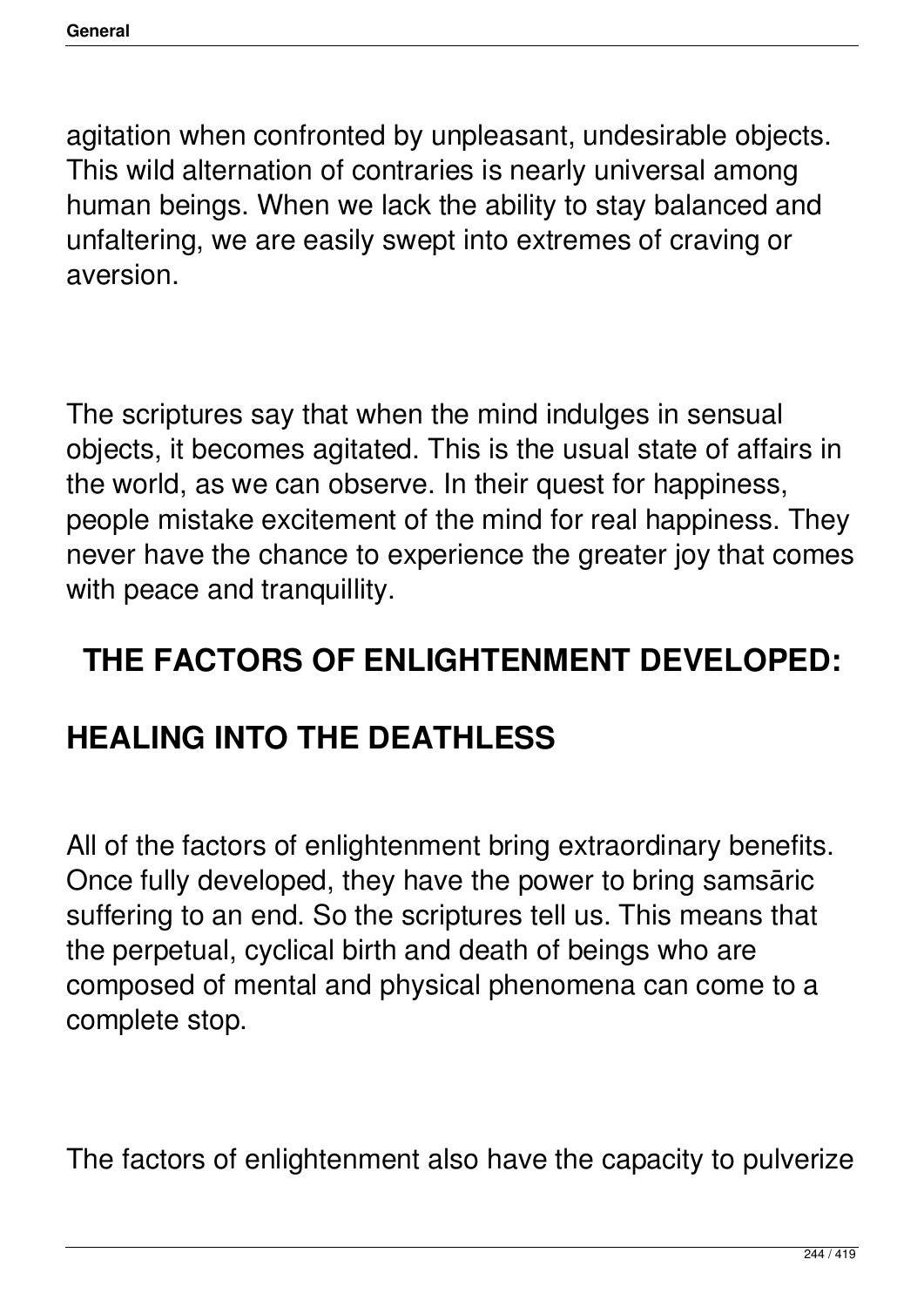agitation when confronted by unpleasant, undesirable objects. This wild alternation of contraries is nearly universal among human beings. When we lack the ability to stay balanced and unfaltering, we are easily swept into extremes of craving or aversion.

The scriptures say that when the mind indulges in sensual objects, it becomes agitated. This is the usual state of affairs in the world, as we can observe. In their quest for happiness, people mistake excitement of the mind for real happiness. They never have the chance to experience the greater joy that comes with peace and tranquillity.

# **THE FACTORS OF ENLIGHTENMENT DEVELOPED:**

# **HEALING INTO THE DEATHLESS**

All of the factors of enlightenment bring extraordinary benefits. Once fully developed, they have the power to bring samsāric suffering to an end. So the scriptures tell us. This means that the perpetual, cyclical birth and death of beings who are composed of mental and physical phenomena can come to a complete stop.

The factors of enlightenment also have the capacity to pulverize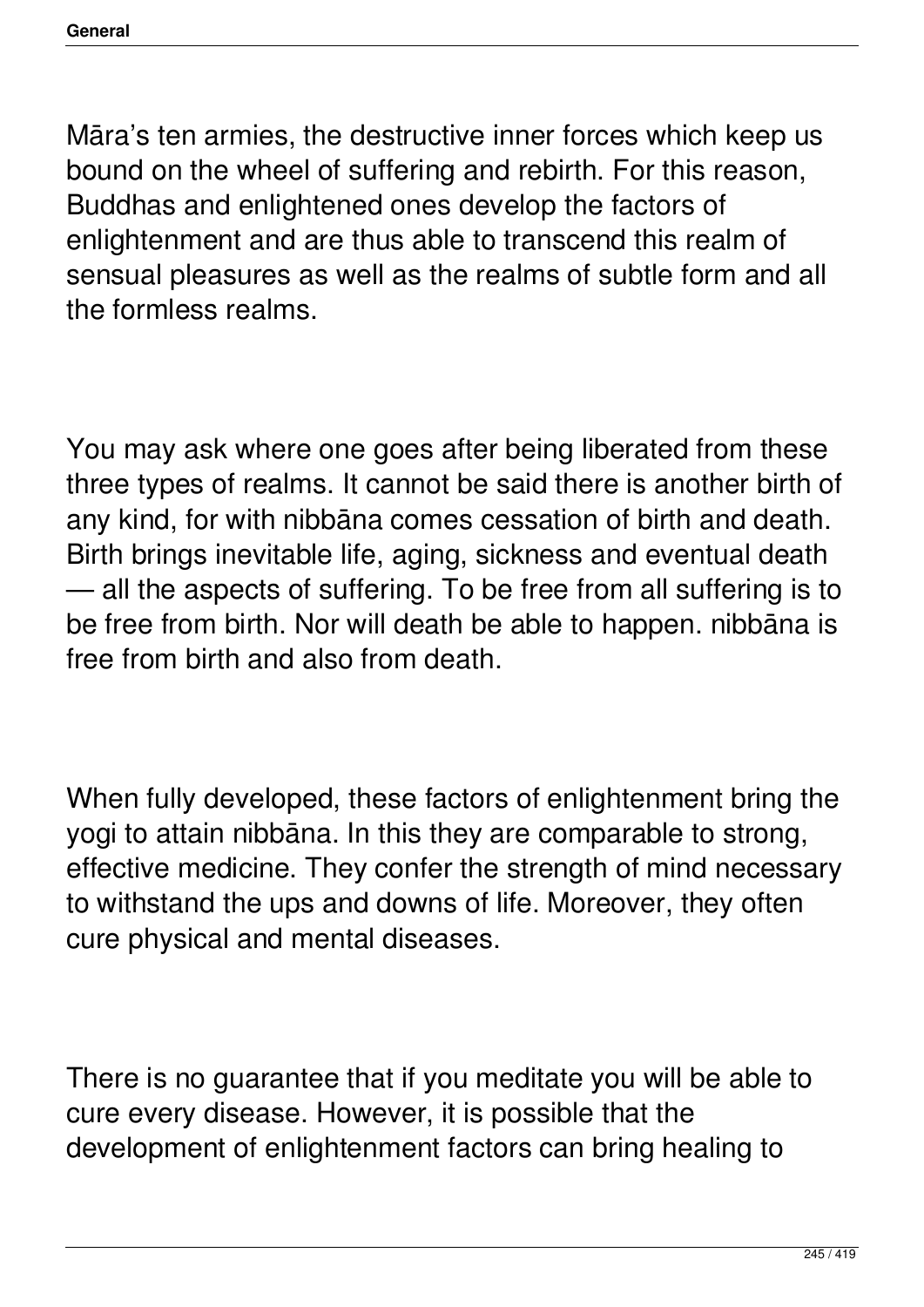Māra's ten armies, the destructive inner forces which keep us bound on the wheel of suffering and rebirth. For this reason, Buddhas and enlightened ones develop the factors of enlightenment and are thus able to transcend this realm of sensual pleasures as well as the realms of subtle form and all the formless realms.

You may ask where one goes after being liberated from these three types of realms. It cannot be said there is another birth of any kind, for with nibbāna comes cessation of birth and death. Birth brings inevitable life, aging, sickness and eventual death — all the aspects of suffering. To be free from all suffering is to be free from birth. Nor will death be able to happen. nibbāna is free from birth and also from death.

When fully developed, these factors of enlightenment bring the yogi to attain nibbāna. In this they are comparable to strong, effective medicine. They confer the strength of mind necessary to withstand the ups and downs of life. Moreover, they often cure physical and mental diseases.

There is no guarantee that if you meditate you will be able to cure every disease. However, it is possible that the development of enlightenment factors can bring healing to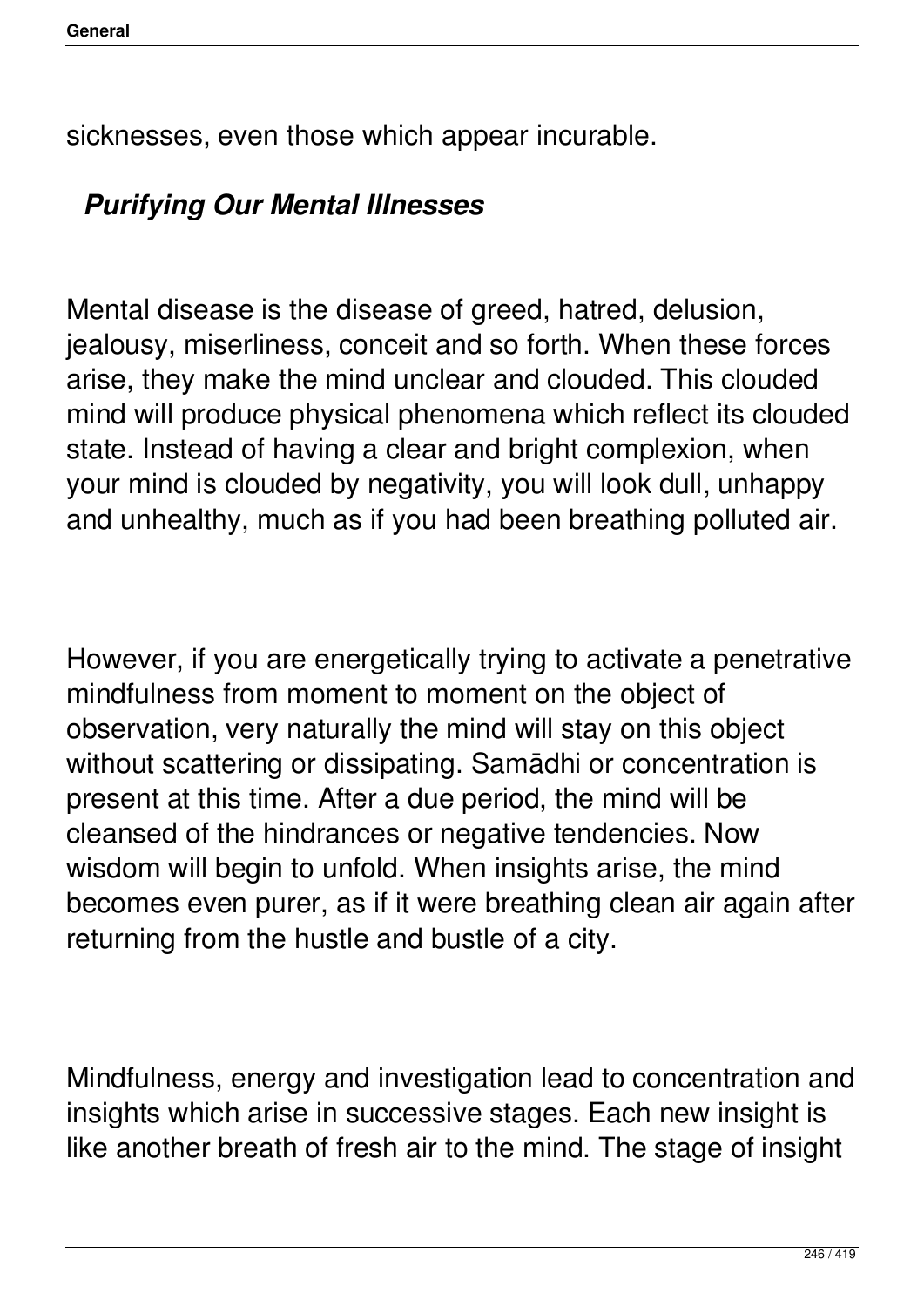sicknesses, even those which appear incurable.

# *Purifying Our Mental Illnesses*

Mental disease is the disease of greed, hatred, delusion, jealousy, miserliness, conceit and so forth. When these forces arise, they make the mind unclear and clouded. This clouded mind will produce physical phenomena which reflect its clouded state. Instead of having a clear and bright complexion, when your mind is clouded by negativity, you will look dull, unhappy and unhealthy, much as if you had been breathing polluted air.

However, if you are energetically trying to activate a penetrative mindfulness from moment to moment on the object of observation, very naturally the mind will stay on this object without scattering or dissipating. Samādhi or concentration is present at this time. After a due period, the mind will be cleansed of the hindrances or negative tendencies. Now wisdom will begin to unfold. When insights arise, the mind becomes even purer, as if it were breathing clean air again after returning from the hustle and bustle of a city.

Mindfulness, energy and investigation lead to concentration and insights which arise in successive stages. Each new insight is like another breath of fresh air to the mind. The stage of insight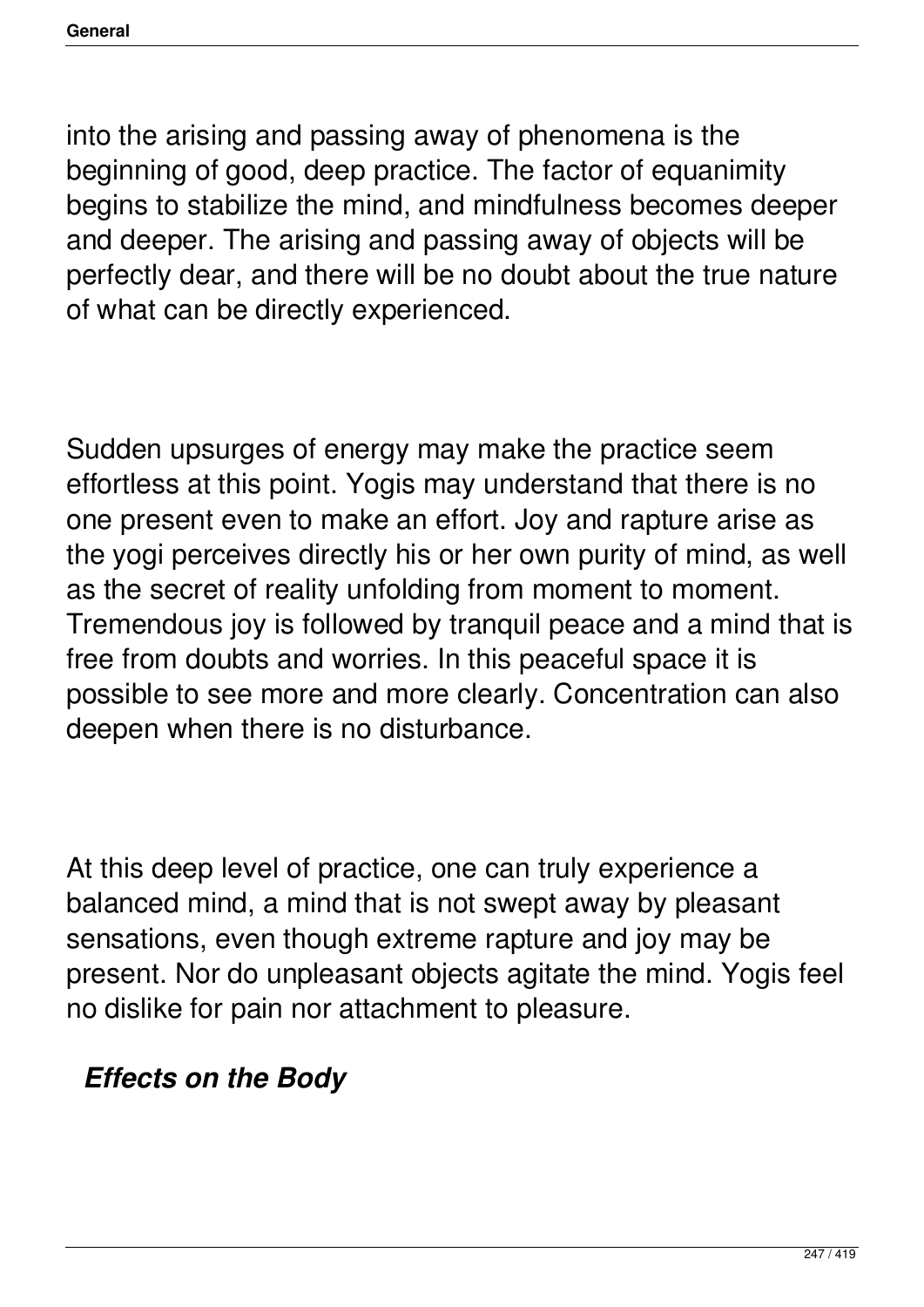into the arising and passing away of phenomena is the beginning of good, deep practice. The factor of equanimity begins to stabilize the mind, and mindfulness becomes deeper and deeper. The arising and passing away of objects will be perfectly dear, and there will be no doubt about the true nature of what can be directly experienced.

Sudden upsurges of energy may make the practice seem effortless at this point. Yogis may understand that there is no one present even to make an effort. Joy and rapture arise as the yogi perceives directly his or her own purity of mind, as well as the secret of reality unfolding from moment to moment. Tremendous joy is followed by tranquil peace and a mind that is free from doubts and worries. In this peaceful space it is possible to see more and more clearly. Concentration can also deepen when there is no disturbance.

At this deep level of practice, one can truly experience a balanced mind, a mind that is not swept away by pleasant sensations, even though extreme rapture and joy may be present. Nor do unpleasant objects agitate the mind. Yogis feel no dislike for pain nor attachment to pleasure.

# *Effects on the Body*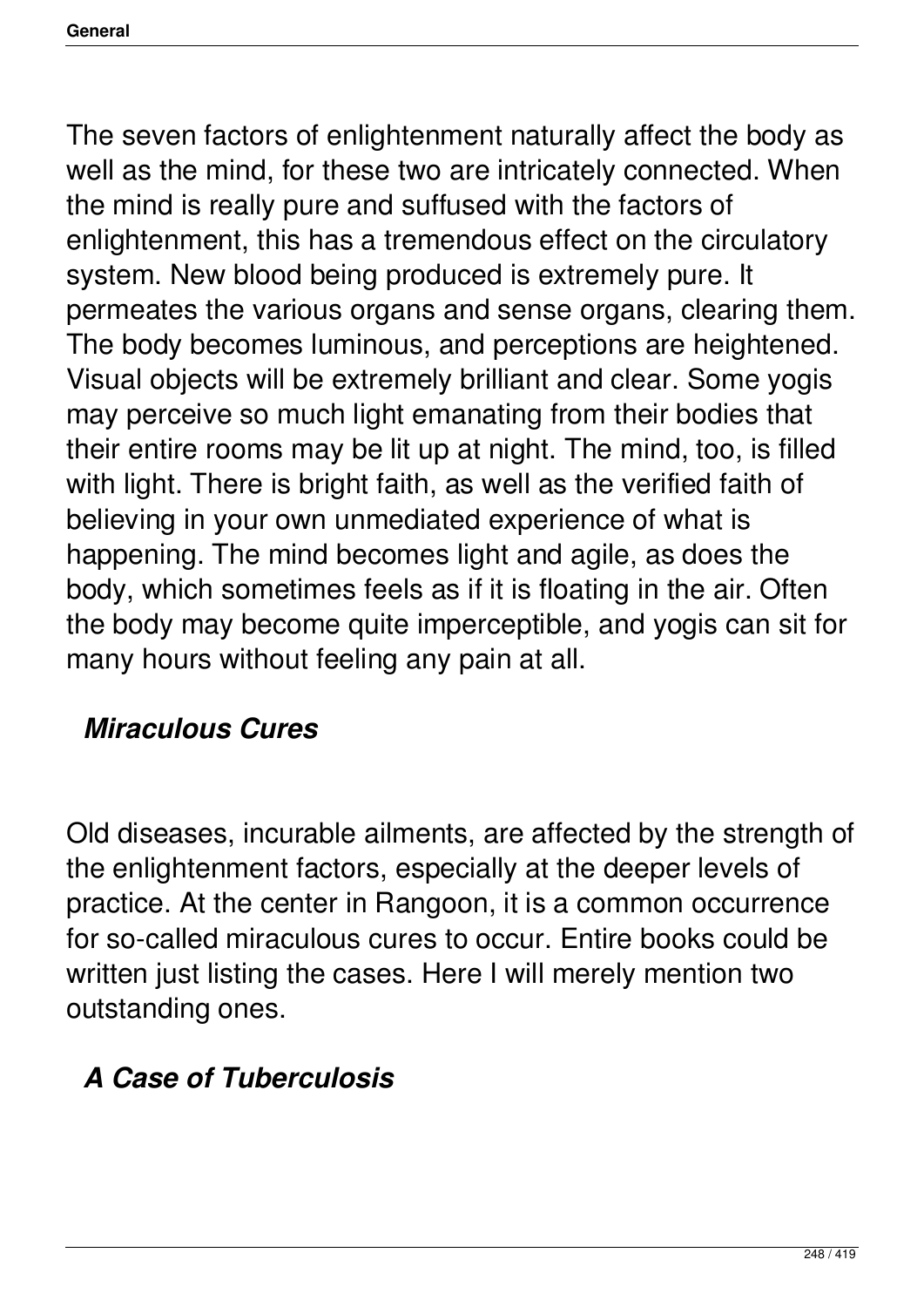The seven factors of enlightenment naturally affect the body as well as the mind, for these two are intricately connected. When the mind is really pure and suffused with the factors of enlightenment, this has a tremendous effect on the circulatory system. New blood being produced is extremely pure. It permeates the various organs and sense organs, clearing them. The body becomes luminous, and perceptions are heightened. Visual objects will be extremely brilliant and clear. Some yogis may perceive so much light emanating from their bodies that their entire rooms may be lit up at night. The mind, too, is filled with light. There is bright faith, as well as the verified faith of believing in your own unmediated experience of what is happening. The mind becomes light and agile, as does the body, which sometimes feels as if it is floating in the air. Often the body may become quite imperceptible, and yogis can sit for many hours without feeling any pain at all.

# *Miraculous Cures*

Old diseases, incurable ailments, are affected by the strength of the enlightenment factors, especially at the deeper levels of practice. At the center in Rangoon, it is a common occurrence for so-called miraculous cures to occur. Entire books could be written just listing the cases. Here I will merely mention two outstanding ones.

# *A Case of Tuberculosis*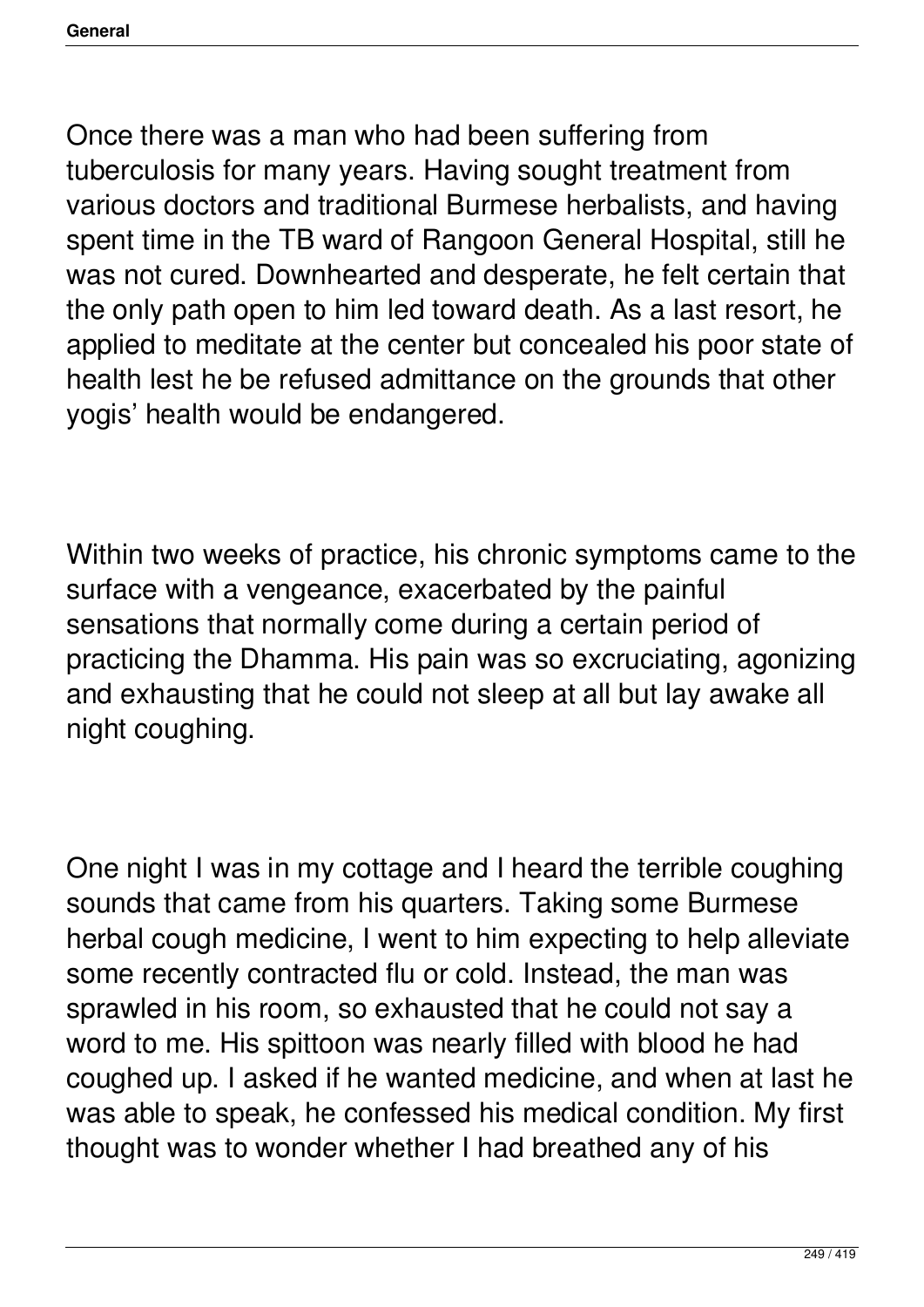Once there was a man who had been suffering from tuberculosis for many years. Having sought treatment from various doctors and traditional Burmese herbalists, and having spent time in the TB ward of Rangoon General Hospital, still he was not cured. Downhearted and desperate, he felt certain that the only path open to him led toward death. As a last resort, he applied to meditate at the center but concealed his poor state of health lest he be refused admittance on the grounds that other yogis' health would be endangered.

Within two weeks of practice, his chronic symptoms came to the surface with a vengeance, exacerbated by the painful sensations that normally come during a certain period of practicing the Dhamma. His pain was so excruciating, agonizing and exhausting that he could not sleep at all but lay awake all night coughing.

One night I was in my cottage and I heard the terrible coughing sounds that came from his quarters. Taking some Burmese herbal cough medicine, I went to him expecting to help alleviate some recently contracted flu or cold. Instead, the man was sprawled in his room, so exhausted that he could not say a word to me. His spittoon was nearly filled with blood he had coughed up. I asked if he wanted medicine, and when at last he was able to speak, he confessed his medical condition. My first thought was to wonder whether I had breathed any of his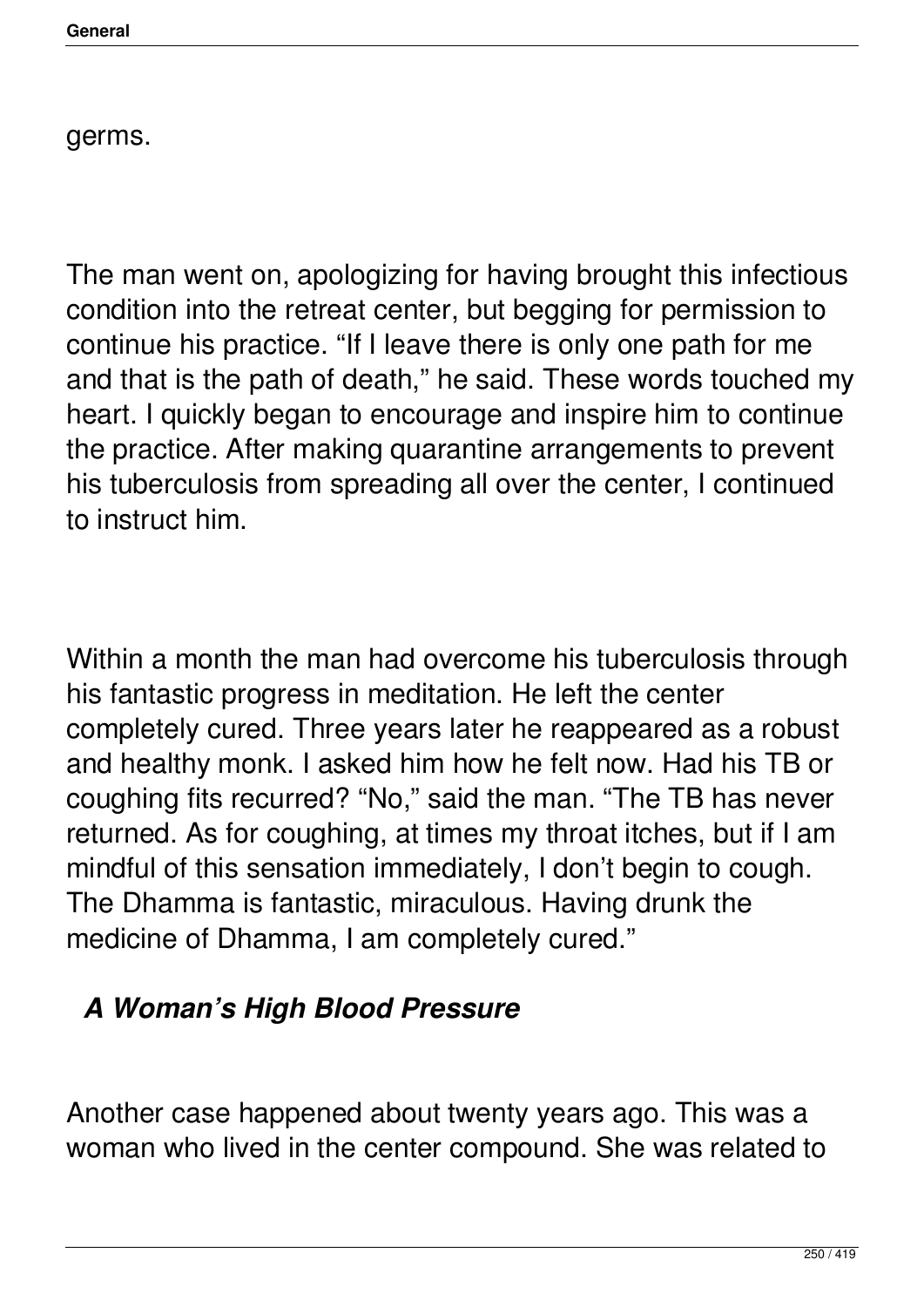germs.

The man went on, apologizing for having brought this infectious condition into the retreat center, but begging for permission to continue his practice. "If I leave there is only one path for me and that is the path of death," he said. These words touched my heart. I quickly began to encourage and inspire him to continue the practice. After making quarantine arrangements to prevent his tuberculosis from spreading all over the center, I continued to instruct him.

Within a month the man had overcome his tuberculosis through his fantastic progress in meditation. He left the center completely cured. Three years later he reappeared as a robust and healthy monk. I asked him how he felt now. Had his TB or coughing fits recurred? "No," said the man. "The TB has never returned. As for coughing, at times my throat itches, but if I am mindful of this sensation immediately, I don't begin to cough. The Dhamma is fantastic, miraculous. Having drunk the medicine of Dhamma, I am completely cured."

# *A Woman's High Blood Pressure*

Another case happened about twenty years ago. This was a woman who lived in the center compound. She was related to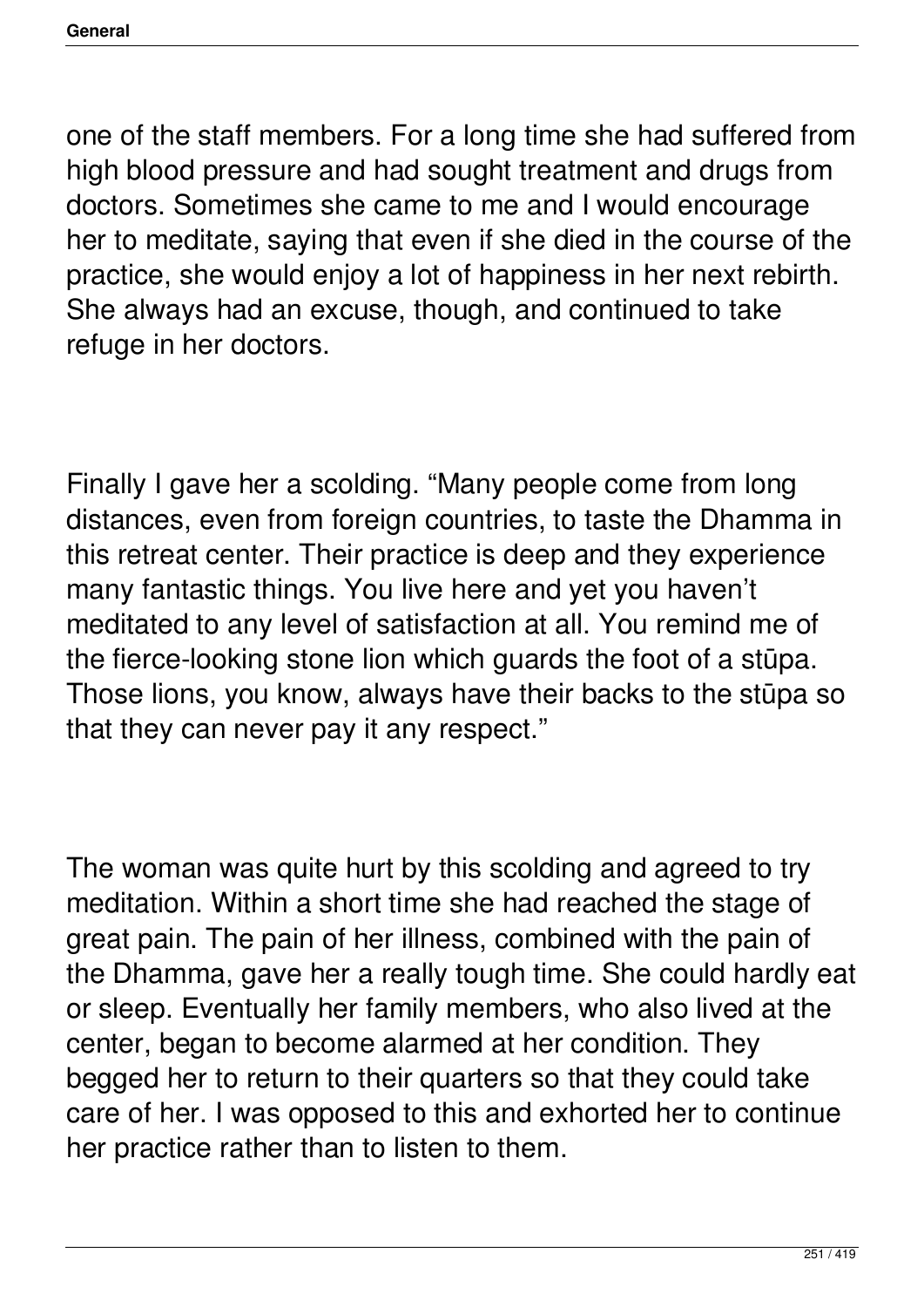one of the staff members. For a long time she had suffered from high blood pressure and had sought treatment and drugs from doctors. Sometimes she came to me and I would encourage her to meditate, saying that even if she died in the course of the practice, she would enjoy a lot of happiness in her next rebirth. She always had an excuse, though, and continued to take refuge in her doctors.

Finally I gave her a scolding. "Many people come from long distances, even from foreign countries, to taste the Dhamma in this retreat center. Their practice is deep and they experience many fantastic things. You live here and yet you haven't meditated to any level of satisfaction at all. You remind me of the fierce-looking stone lion which guards the foot of a stūpa. Those lions, you know, always have their backs to the stūpa so that they can never pay it any respect."

The woman was quite hurt by this scolding and agreed to try meditation. Within a short time she had reached the stage of great pain. The pain of her illness, combined with the pain of the Dhamma, gave her a really tough time. She could hardly eat or sleep. Eventually her family members, who also lived at the center, began to become alarmed at her condition. They begged her to return to their quarters so that they could take care of her. I was opposed to this and exhorted her to continue her practice rather than to listen to them.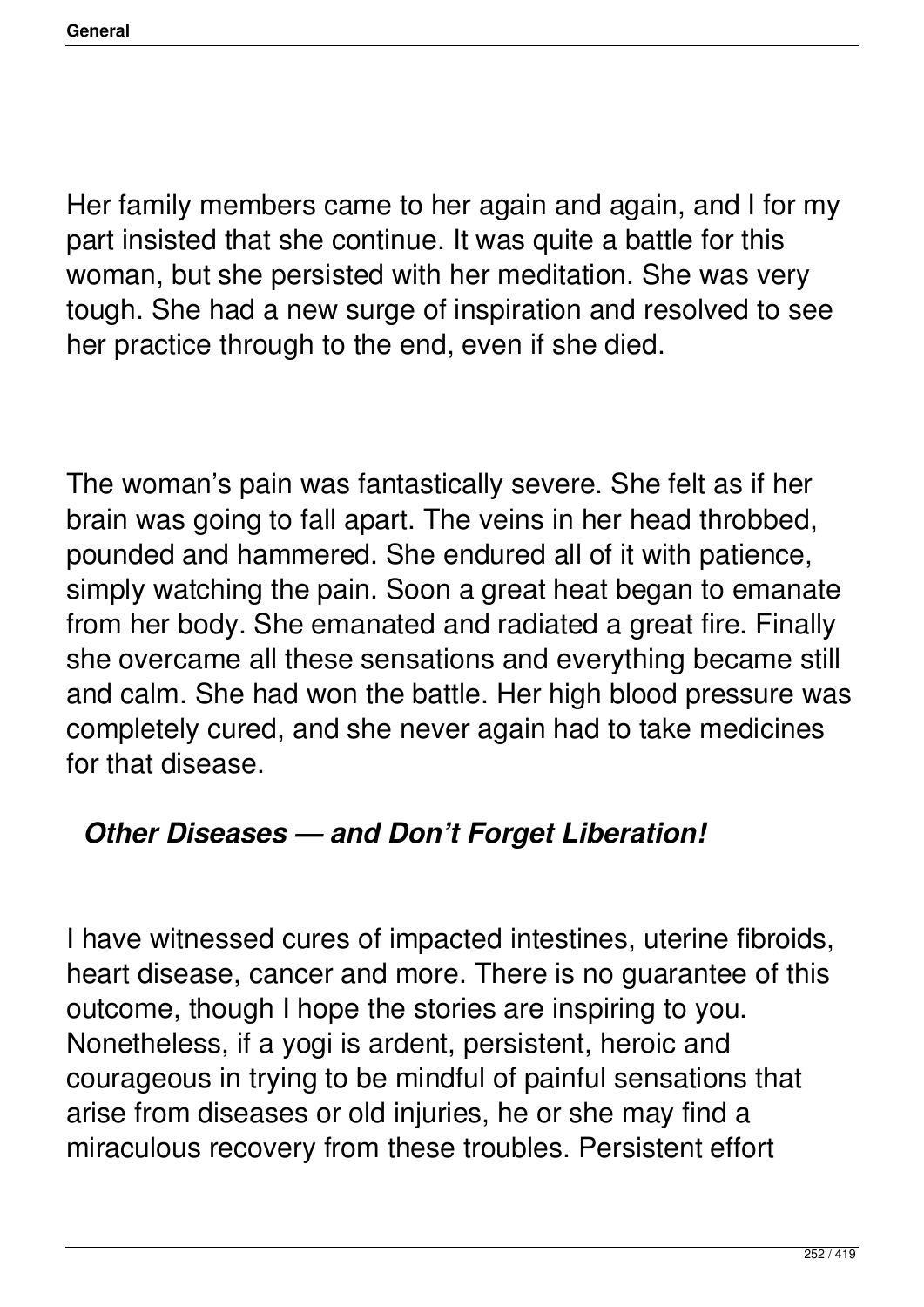Her family members came to her again and again, and I for my part insisted that she continue. It was quite a battle for this woman, but she persisted with her meditation. She was very tough. She had a new surge of inspiration and resolved to see her practice through to the end, even if she died.

The woman's pain was fantastically severe. She felt as if her brain was going to fall apart. The veins in her head throbbed, pounded and hammered. She endured all of it with patience, simply watching the pain. Soon a great heat began to emanate from her body. She emanated and radiated a great fire. Finally she overcame all these sensations and everything became still and calm. She had won the battle. Her high blood pressure was completely cured, and she never again had to take medicines for that disease.

#### *Other Diseases — and Don't Forget Liberation!*

I have witnessed cures of impacted intestines, uterine fibroids, heart disease, cancer and more. There is no guarantee of this outcome, though I hope the stories are inspiring to you. Nonetheless, if a yogi is ardent, persistent, heroic and courageous in trying to be mindful of painful sensations that arise from diseases or old injuries, he or she may find a miraculous recovery from these troubles. Persistent effort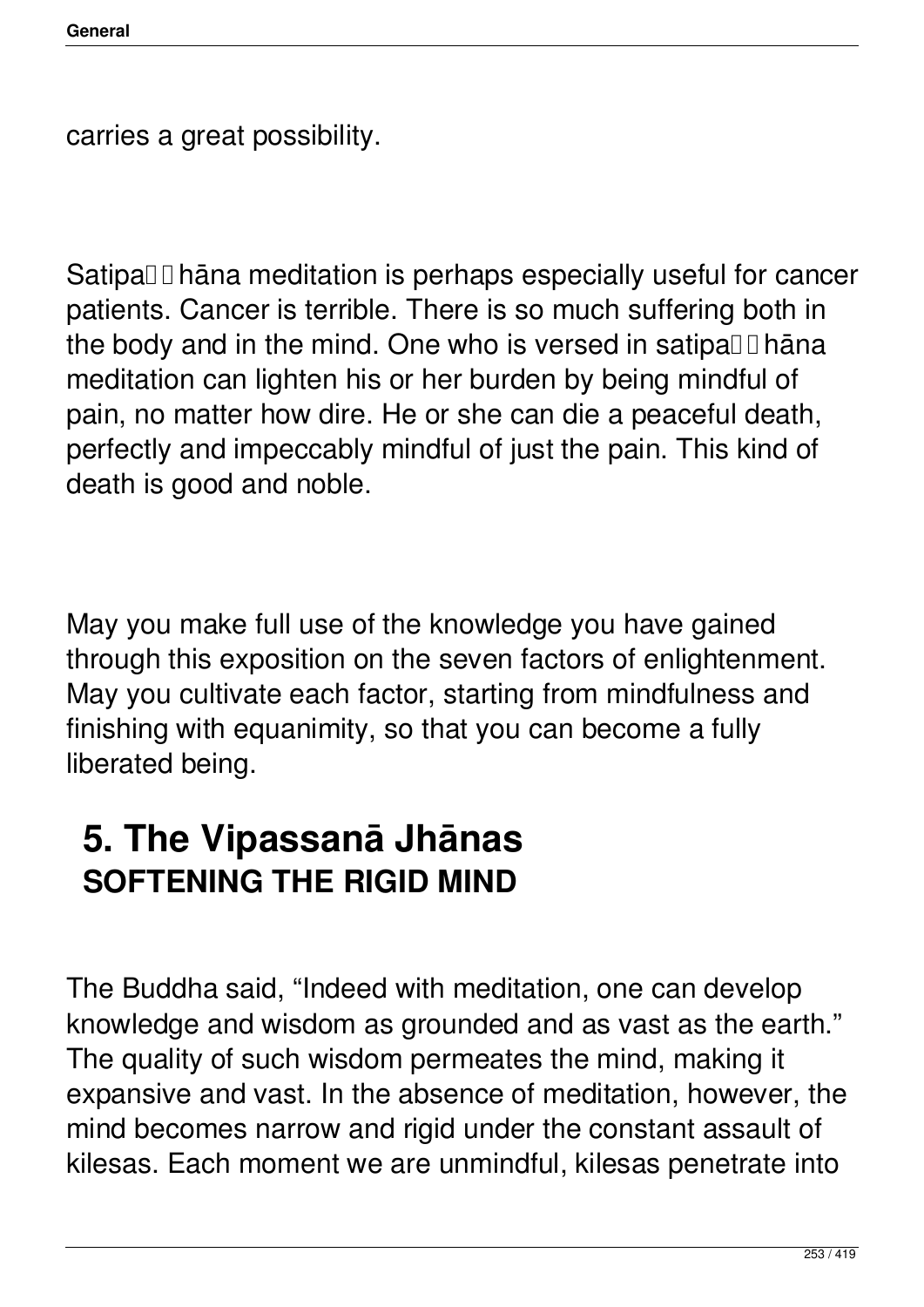carries a great possibility.

Satipall hāna meditation is perhaps especially useful for cancer patients. Cancer is terrible. There is so much suffering both in the body and in the mind. One who is versed in satipa $\Box$  hāna meditation can lighten his or her burden by being mindful of pain, no matter how dire. He or she can die a peaceful death, perfectly and impeccably mindful of just the pain. This kind of death is good and noble.

May you make full use of the knowledge you have gained through this exposition on the seven factors of enlightenment. May you cultivate each factor, starting from mindfulness and finishing with equanimity, so that you can become a fully liberated being.

# **5. The Vipassanā Jhānas SOFTENING THE RIGID MIND**

The Buddha said, "Indeed with meditation, one can develop knowledge and wisdom as grounded and as vast as the earth." The quality of such wisdom permeates the mind, making it expansive and vast. In the absence of meditation, however, the mind becomes narrow and rigid under the constant assault of kilesas. Each moment we are unmindful, kilesas penetrate into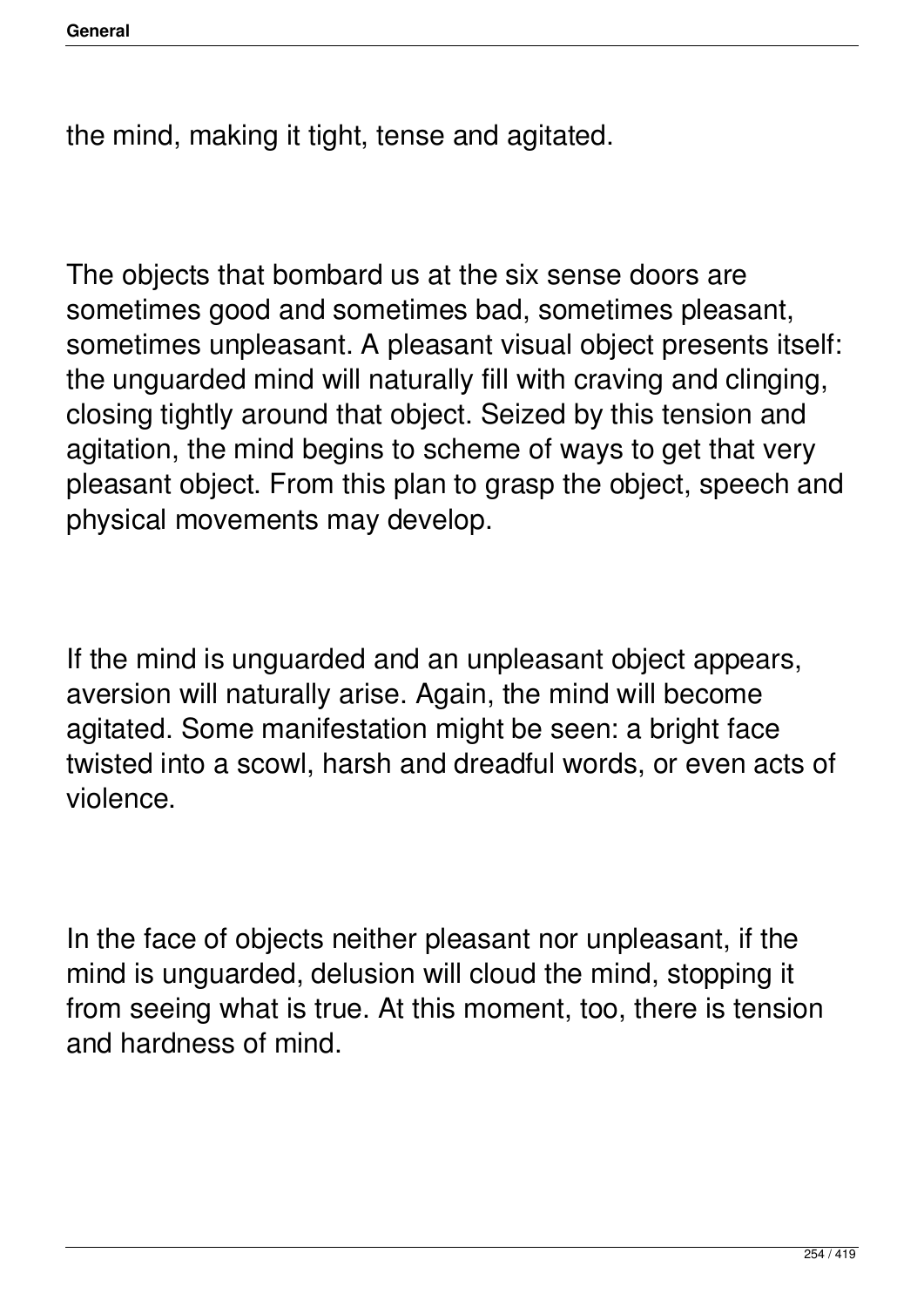the mind, making it tight, tense and agitated.

The objects that bombard us at the six sense doors are sometimes good and sometimes bad, sometimes pleasant, sometimes unpleasant. A pleasant visual object presents itself: the unguarded mind will naturally fill with craving and clinging, closing tightly around that object. Seized by this tension and agitation, the mind begins to scheme of ways to get that very pleasant object. From this plan to grasp the object, speech and physical movements may develop.

If the mind is unguarded and an unpleasant object appears, aversion will naturally arise. Again, the mind will become agitated. Some manifestation might be seen: a bright face twisted into a scowl, harsh and dreadful words, or even acts of violence.

In the face of objects neither pleasant nor unpleasant, if the mind is unguarded, delusion will cloud the mind, stopping it from seeing what is true. At this moment, too, there is tension and hardness of mind.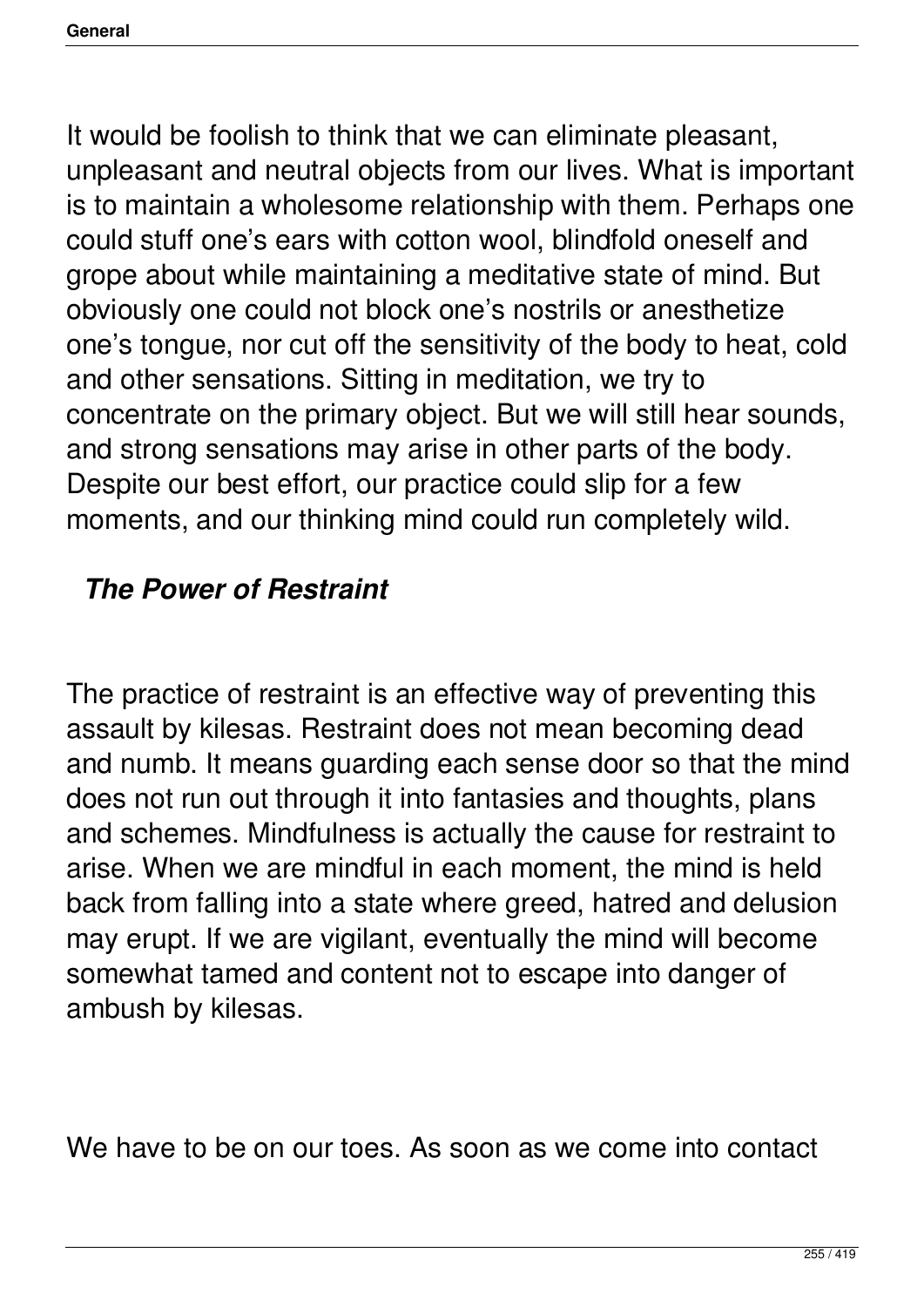It would be foolish to think that we can eliminate pleasant, unpleasant and neutral objects from our lives. What is important is to maintain a wholesome relationship with them. Perhaps one could stuff one's ears with cotton wool, blindfold oneself and grope about while maintaining a meditative state of mind. But obviously one could not block one's nostrils or anesthetize one's tongue, nor cut off the sensitivity of the body to heat, cold and other sensations. Sitting in meditation, we try to concentrate on the primary object. But we will still hear sounds, and strong sensations may arise in other parts of the body. Despite our best effort, our practice could slip for a few moments, and our thinking mind could run completely wild.

## *The Power of Restraint*

The practice of restraint is an effective way of preventing this assault by kilesas. Restraint does not mean becoming dead and numb. It means guarding each sense door so that the mind does not run out through it into fantasies and thoughts, plans and schemes. Mindfulness is actually the cause for restraint to arise. When we are mindful in each moment, the mind is held back from falling into a state where greed, hatred and delusion may erupt. If we are vigilant, eventually the mind will become somewhat tamed and content not to escape into danger of ambush by kilesas.

We have to be on our toes. As soon as we come into contact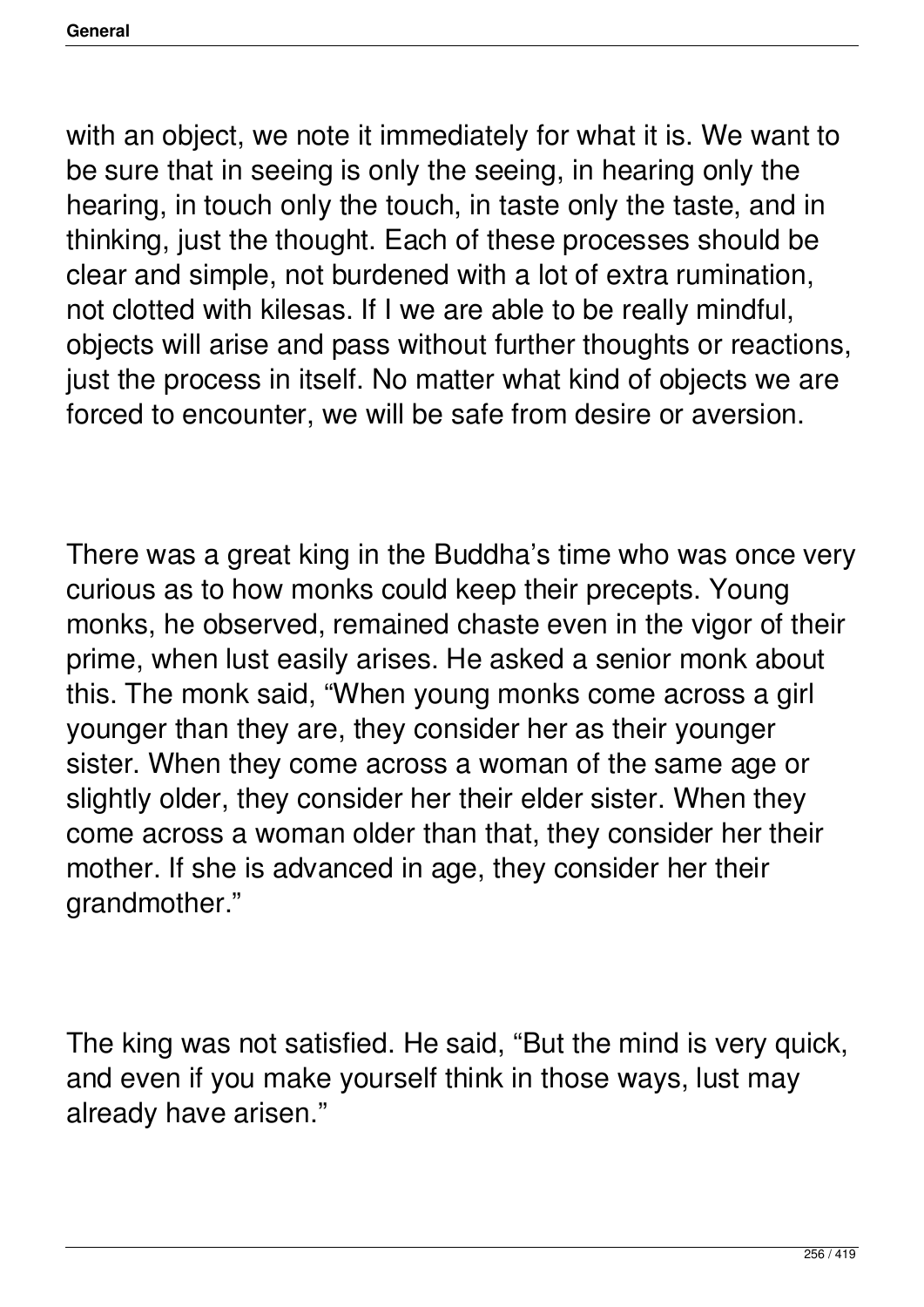with an object, we note it immediately for what it is. We want to be sure that in seeing is only the seeing, in hearing only the hearing, in touch only the touch, in taste only the taste, and in thinking, just the thought. Each of these processes should be clear and simple, not burdened with a lot of extra rumination, not clotted with kilesas. If I we are able to be really mindful, objects will arise and pass without further thoughts or reactions, just the process in itself. No matter what kind of objects we are forced to encounter, we will be safe from desire or aversion.

There was a great king in the Buddha's time who was once very curious as to how monks could keep their precepts. Young monks, he observed, remained chaste even in the vigor of their prime, when lust easily arises. He asked a senior monk about this. The monk said, "When young monks come across a girl younger than they are, they consider her as their younger sister. When they come across a woman of the same age or slightly older, they consider her their elder sister. When they come across a woman older than that, they consider her their mother. If she is advanced in age, they consider her their grandmother."

The king was not satisfied. He said, "But the mind is very quick, and even if you make yourself think in those ways, lust may already have arisen."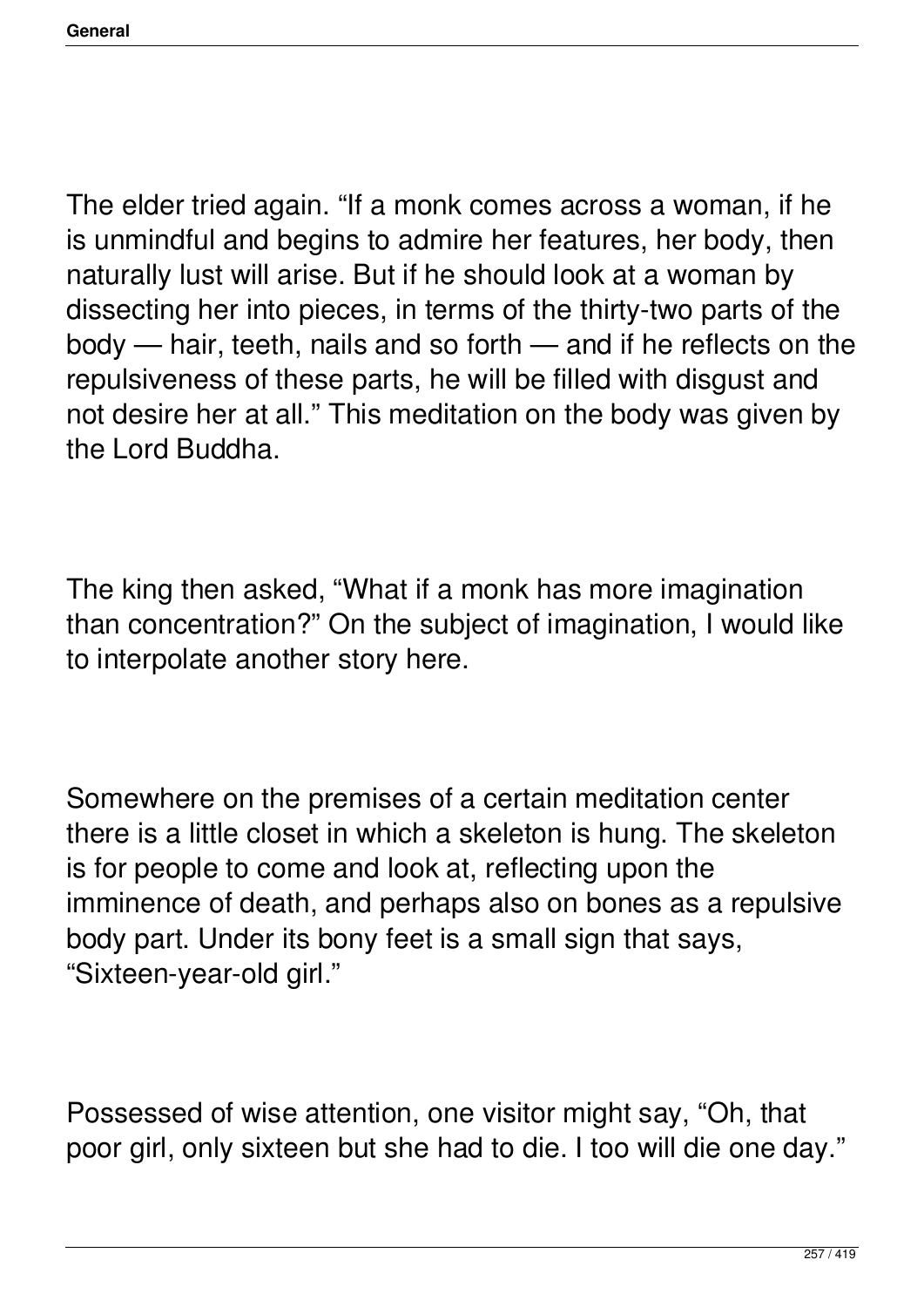The elder tried again. "If a monk comes across a woman, if he is unmindful and begins to admire her features, her body, then naturally lust will arise. But if he should look at a woman by dissecting her into pieces, in terms of the thirty-two parts of the body — hair, teeth, nails and so forth — and if he reflects on the repulsiveness of these parts, he will be filled with disgust and not desire her at all." This meditation on the body was given by the Lord Buddha.

The king then asked, "What if a monk has more imagination than concentration?" On the subject of imagination, I would like to interpolate another story here.

Somewhere on the premises of a certain meditation center there is a little closet in which a skeleton is hung. The skeleton is for people to come and look at, reflecting upon the imminence of death, and perhaps also on bones as a repulsive body part. Under its bony feet is a small sign that says, "Sixteen-year-old girl."

Possessed of wise attention, one visitor might say, "Oh, that poor girl, only sixteen but she had to die. I too will die one day."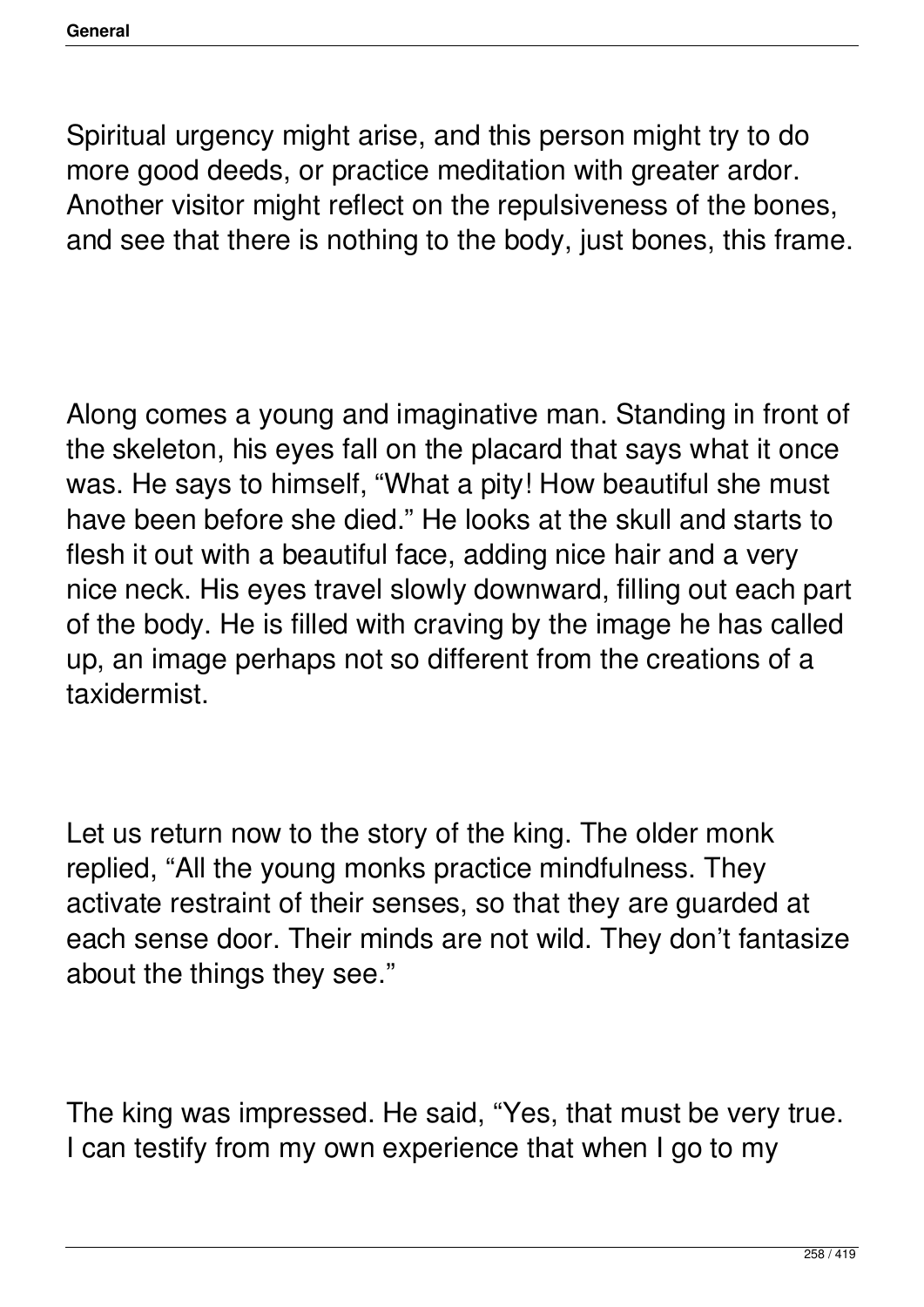Spiritual urgency might arise, and this person might try to do more good deeds, or practice meditation with greater ardor. Another visitor might reflect on the repulsiveness of the bones, and see that there is nothing to the body, just bones, this frame.

Along comes a young and imaginative man. Standing in front of the skeleton, his eyes fall on the placard that says what it once was. He says to himself, "What a pity! How beautiful she must have been before she died." He looks at the skull and starts to flesh it out with a beautiful face, adding nice hair and a very nice neck. His eyes travel slowly downward, filling out each part of the body. He is filled with craving by the image he has called up, an image perhaps not so different from the creations of a taxidermist.

Let us return now to the story of the king. The older monk replied, "All the young monks practice mindfulness. They activate restraint of their senses, so that they are guarded at each sense door. Their minds are not wild. They don't fantasize about the things they see."

The king was impressed. He said, "Yes, that must be very true. I can testify from my own experience that when I go to my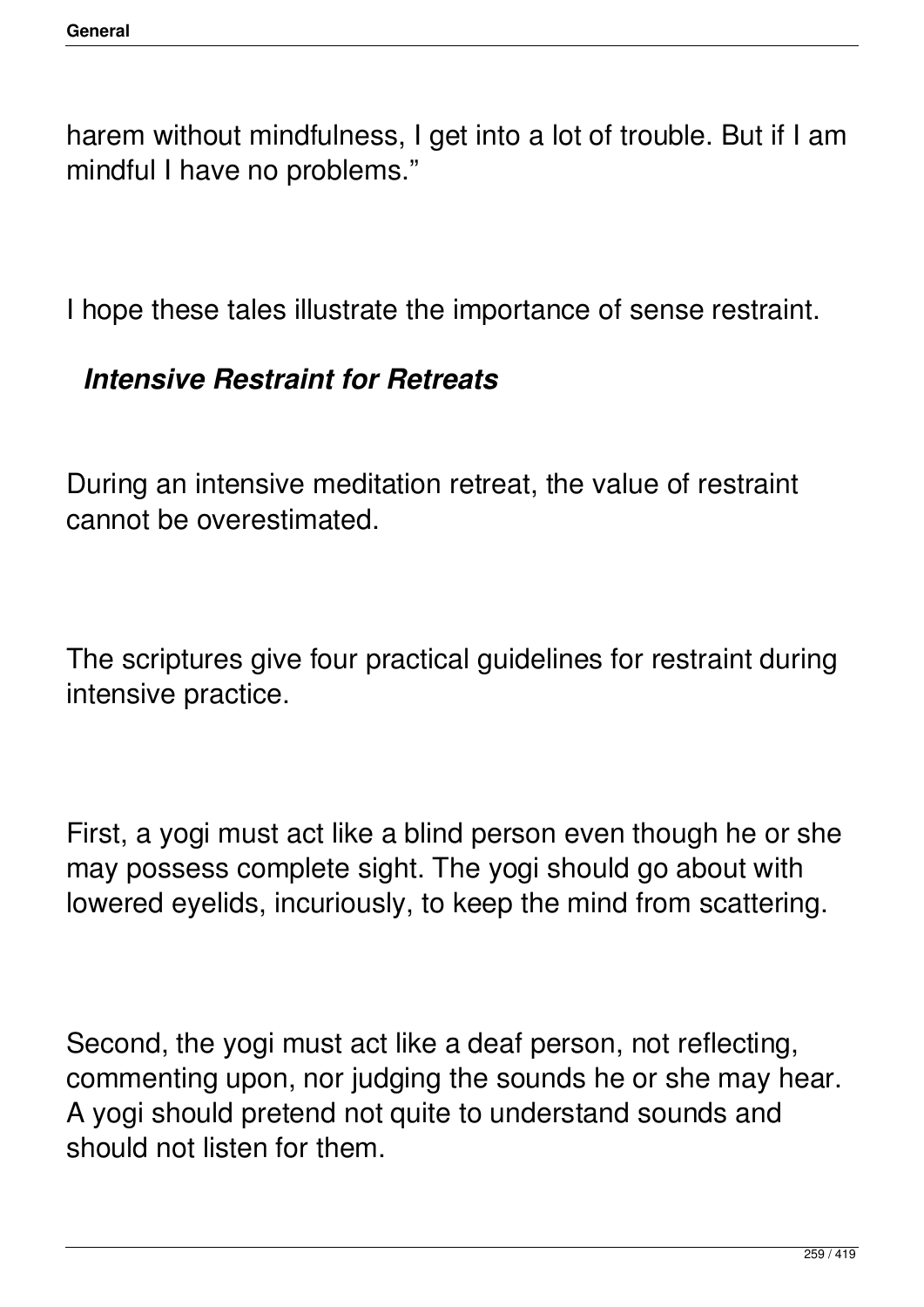harem without mindfulness, I get into a lot of trouble. But if I am mindful I have no problems."

I hope these tales illustrate the importance of sense restraint.

#### *Intensive Restraint for Retreats*

During an intensive meditation retreat, the value of restraint cannot be overestimated.

The scriptures give four practical guidelines for restraint during intensive practice.

First, a yogi must act like a blind person even though he or she may possess complete sight. The yogi should go about with lowered eyelids, incuriously, to keep the mind from scattering.

Second, the yogi must act like a deaf person, not reflecting, commenting upon, nor judging the sounds he or she may hear. A yogi should pretend not quite to understand sounds and should not listen for them.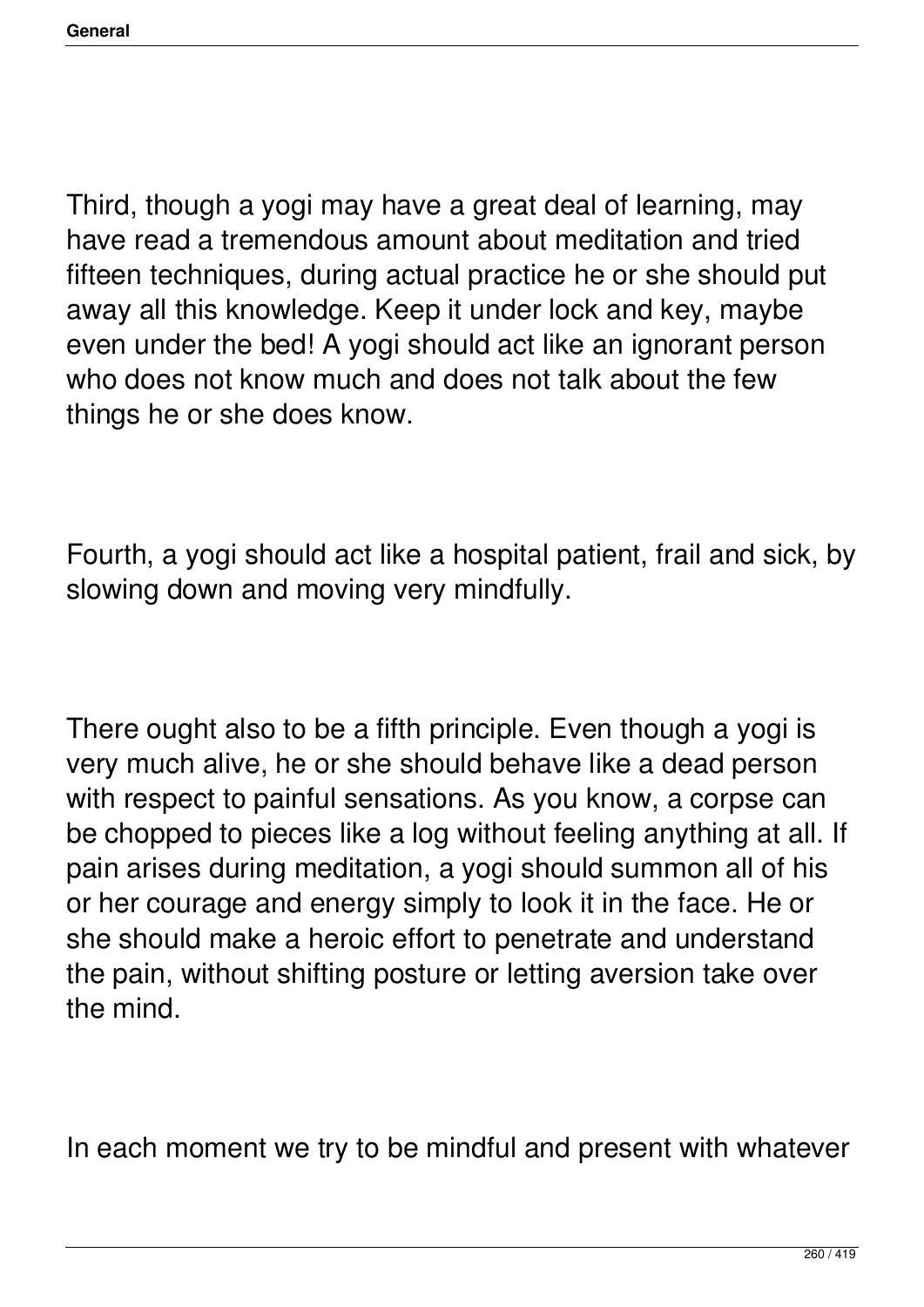Third, though a yogi may have a great deal of learning, may have read a tremendous amount about meditation and tried fifteen techniques, during actual practice he or she should put away all this knowledge. Keep it under lock and key, maybe even under the bed! A yogi should act like an ignorant person who does not know much and does not talk about the few things he or she does know.

Fourth, a yogi should act like a hospital patient, frail and sick, by slowing down and moving very mindfully.

There ought also to be a fifth principle. Even though a yogi is very much alive, he or she should behave like a dead person with respect to painful sensations. As you know, a corpse can be chopped to pieces like a log without feeling anything at all. If pain arises during meditation, a yogi should summon all of his or her courage and energy simply to look it in the face. He or she should make a heroic effort to penetrate and understand the pain, without shifting posture or letting aversion take over the mind.

In each moment we try to be mindful and present with whatever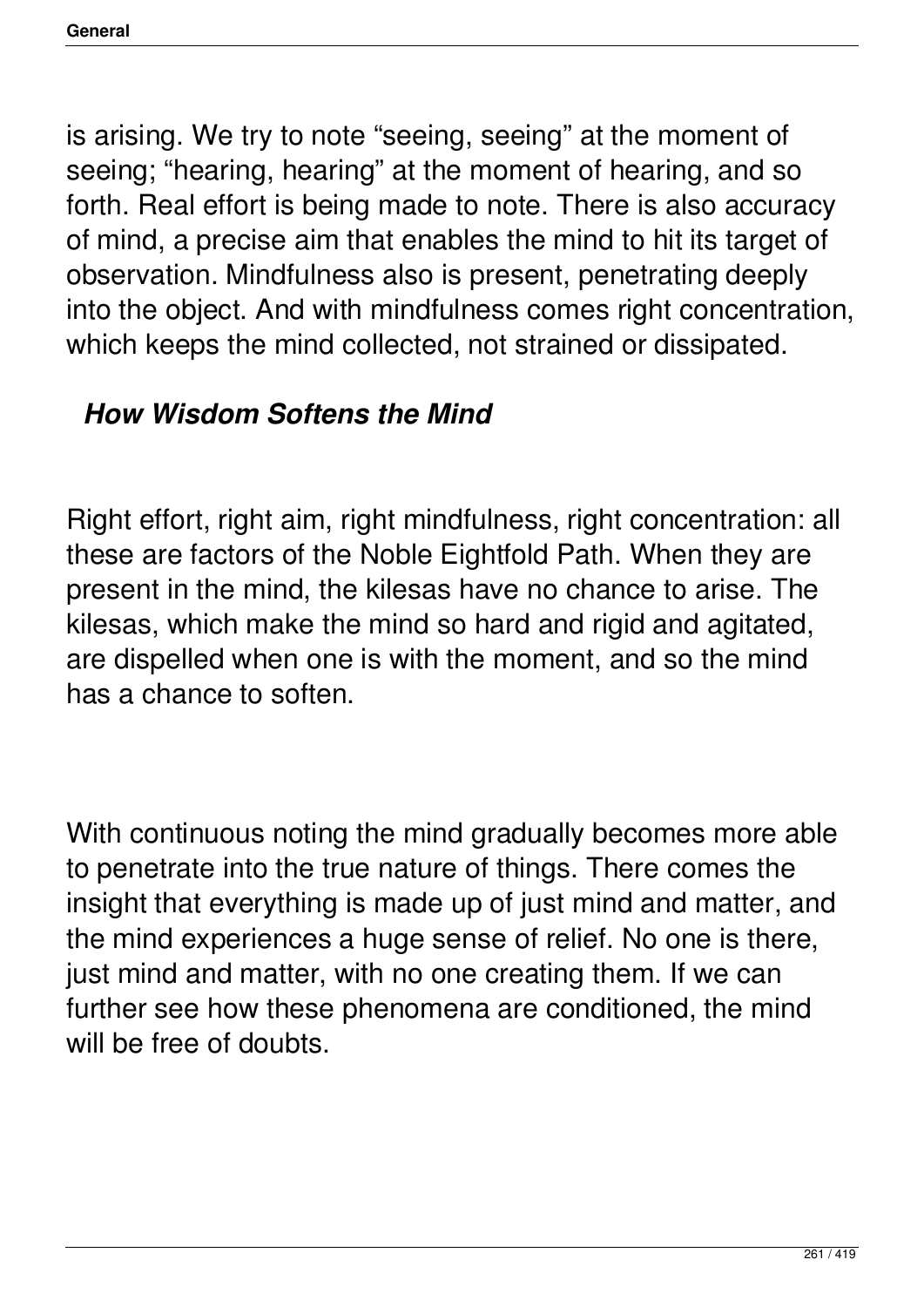is arising. We try to note "seeing, seeing" at the moment of seeing; "hearing, hearing" at the moment of hearing, and so forth. Real effort is being made to note. There is also accuracy of mind, a precise aim that enables the mind to hit its target of observation. Mindfulness also is present, penetrating deeply into the object. And with mindfulness comes right concentration, which keeps the mind collected, not strained or dissipated.

## *How Wisdom Softens the Mind*

Right effort, right aim, right mindfulness, right concentration: all these are factors of the Noble Eightfold Path. When they are present in the mind, the kilesas have no chance to arise. The kilesas, which make the mind so hard and rigid and agitated, are dispelled when one is with the moment, and so the mind has a chance to soften.

With continuous noting the mind gradually becomes more able to penetrate into the true nature of things. There comes the insight that everything is made up of just mind and matter, and the mind experiences a huge sense of relief. No one is there, just mind and matter, with no one creating them. If we can further see how these phenomena are conditioned, the mind will be free of doubts.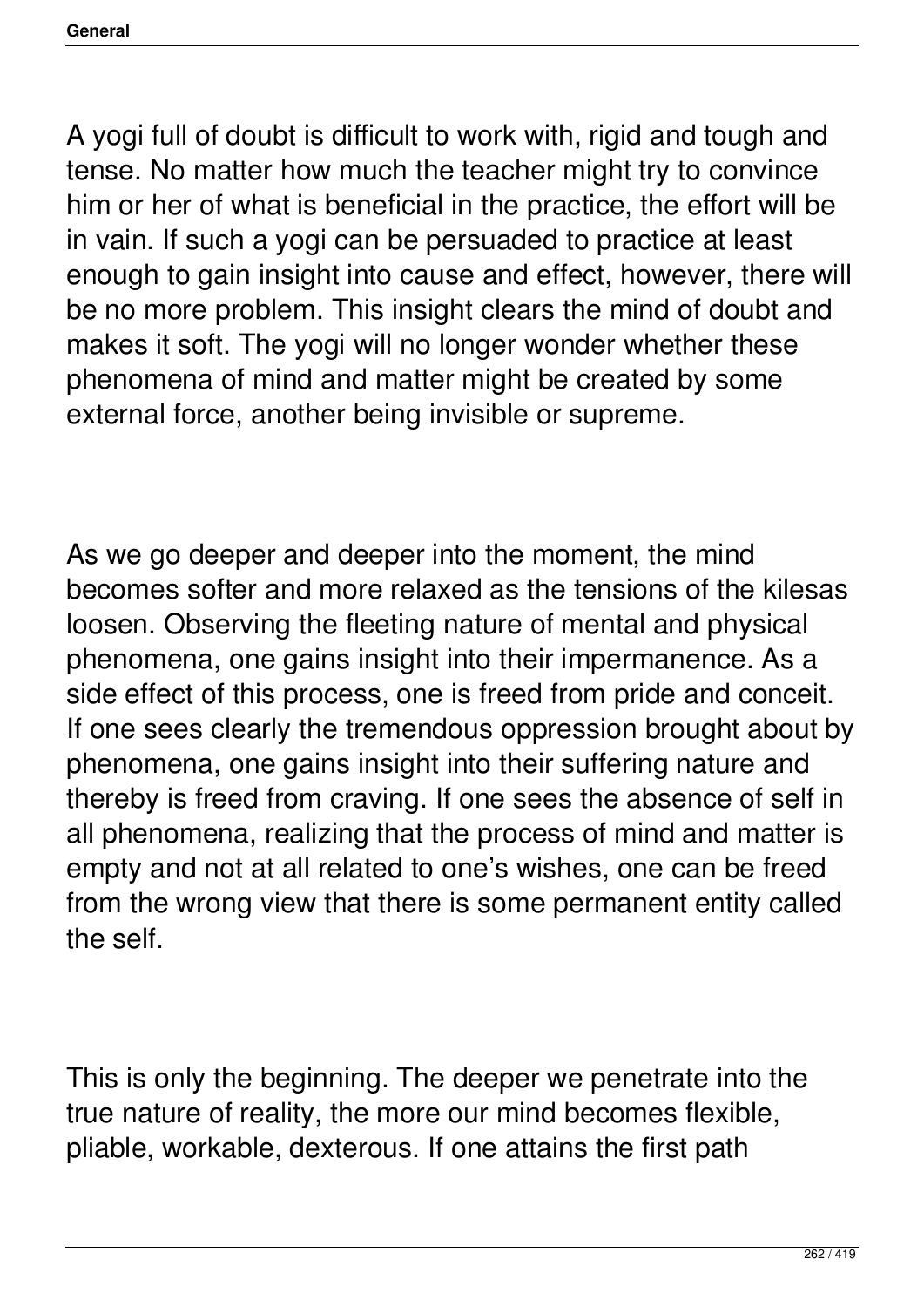A yogi full of doubt is difficult to work with, rigid and tough and tense. No matter how much the teacher might try to convince him or her of what is beneficial in the practice, the effort will be in vain. If such a yogi can be persuaded to practice at least enough to gain insight into cause and effect, however, there will be no more problem. This insight clears the mind of doubt and makes it soft. The yogi will no longer wonder whether these phenomena of mind and matter might be created by some external force, another being invisible or supreme.

As we go deeper and deeper into the moment, the mind becomes softer and more relaxed as the tensions of the kilesas loosen. Observing the fleeting nature of mental and physical phenomena, one gains insight into their impermanence. As a side effect of this process, one is freed from pride and conceit. If one sees clearly the tremendous oppression brought about by phenomena, one gains insight into their suffering nature and thereby is freed from craving. If one sees the absence of self in all phenomena, realizing that the process of mind and matter is empty and not at all related to one's wishes, one can be freed from the wrong view that there is some permanent entity called the self.

This is only the beginning. The deeper we penetrate into the true nature of reality, the more our mind becomes flexible, pliable, workable, dexterous. If one attains the first path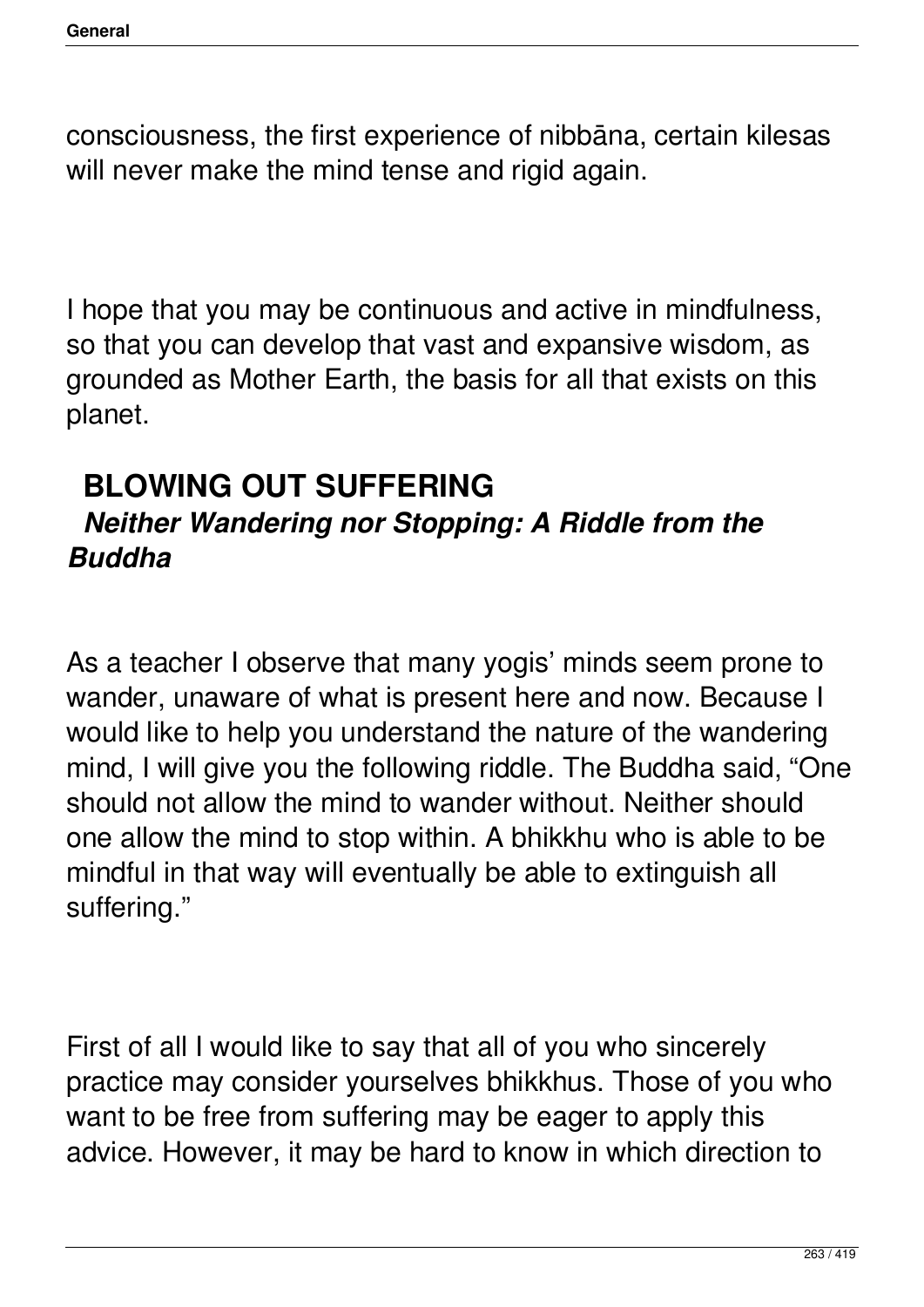consciousness, the first experience of nibbāna, certain kilesas will never make the mind tense and rigid again.

I hope that you may be continuous and active in mindfulness, so that you can develop that vast and expansive wisdom, as grounded as Mother Earth, the basis for all that exists on this planet.

## **BLOWING OUT SUFFERING**

## *Neither Wandering nor Stopping: A Riddle from the Buddha*

As a teacher I observe that many yogis' minds seem prone to wander, unaware of what is present here and now. Because I would like to help you understand the nature of the wandering mind, I will give you the following riddle. The Buddha said, "One should not allow the mind to wander without. Neither should one allow the mind to stop within. A bhikkhu who is able to be mindful in that way will eventually be able to extinguish all suffering."

First of all I would like to say that all of you who sincerely practice may consider yourselves bhikkhus. Those of you who want to be free from suffering may be eager to apply this advice. However, it may be hard to know in which direction to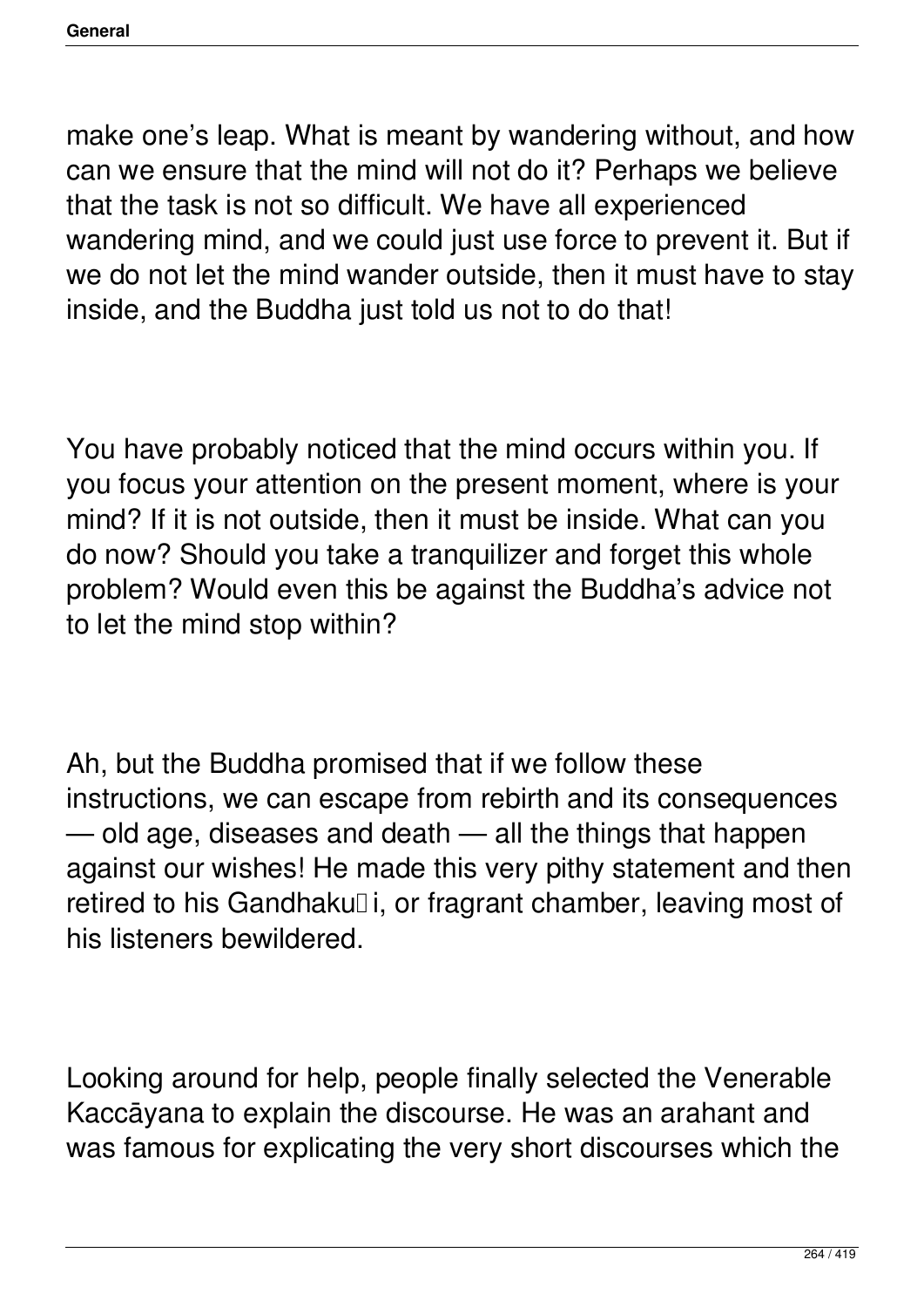make one's leap. What is meant by wandering without, and how can we ensure that the mind will not do it? Perhaps we believe that the task is not so difficult. We have all experienced wandering mind, and we could just use force to prevent it. But if we do not let the mind wander outside, then it must have to stay inside, and the Buddha just told us not to do that!

You have probably noticed that the mind occurs within you. If you focus your attention on the present moment, where is your mind? If it is not outside, then it must be inside. What can you do now? Should you take a tranquilizer and forget this whole problem? Would even this be against the Buddha's advice not to let the mind stop within?

Ah, but the Buddha promised that if we follow these instructions, we can escape from rebirth and its consequences — old age, diseases and death — all the things that happen against our wishes! He made this very pithy statement and then retired to his Gandhakull i, or fragrant chamber, leaving most of his listeners bewildered.

Looking around for help, people finally selected the Venerable Kaccāyana to explain the discourse. He was an arahant and was famous for explicating the very short discourses which the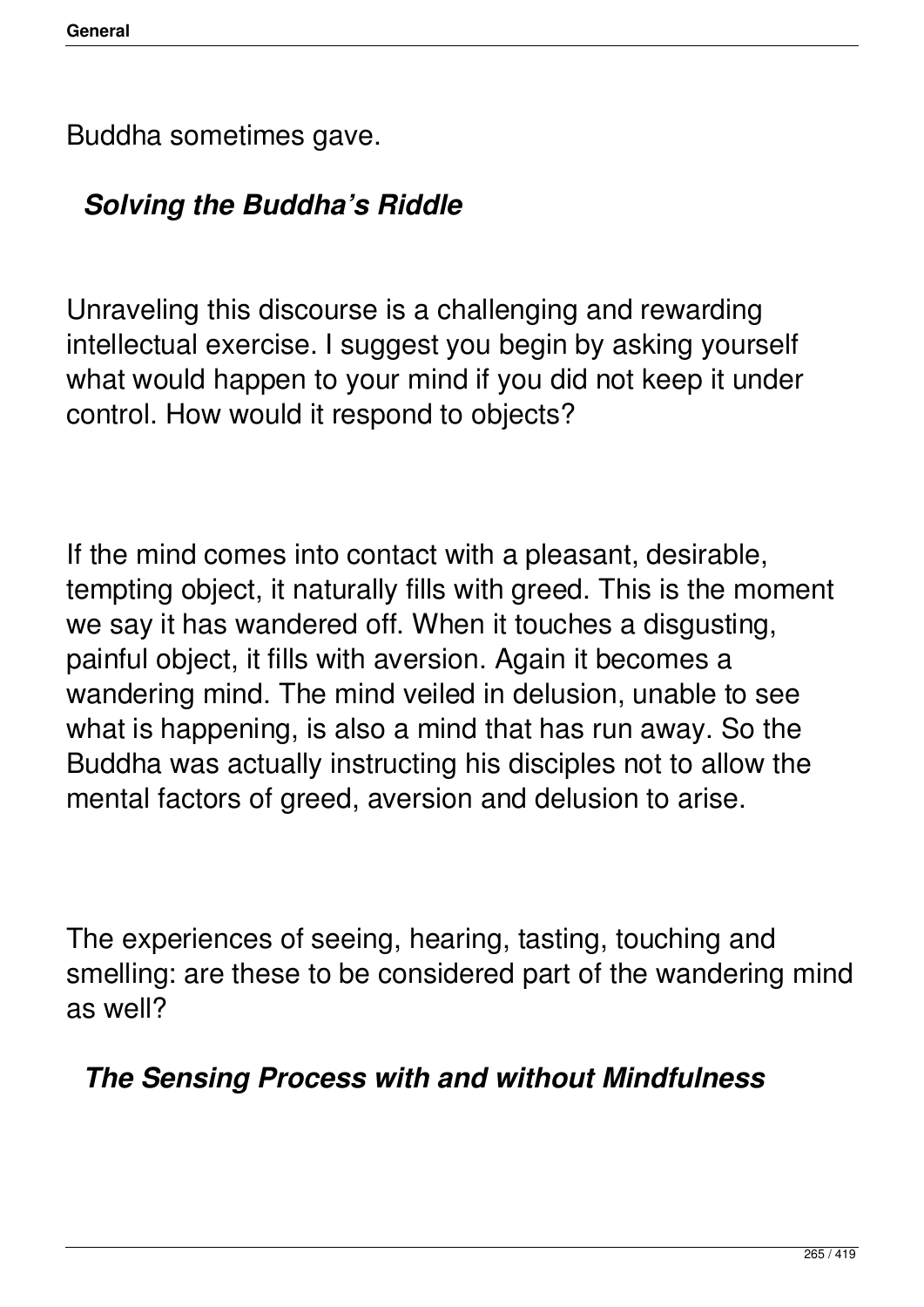Buddha sometimes gave.

## *Solving the Buddha's Riddle*

Unraveling this discourse is a challenging and rewarding intellectual exercise. I suggest you begin by asking yourself what would happen to your mind if you did not keep it under control. How would it respond to objects?

If the mind comes into contact with a pleasant, desirable, tempting object, it naturally fills with greed. This is the moment we say it has wandered off. When it touches a disgusting, painful object, it fills with aversion. Again it becomes a wandering mind. The mind veiled in delusion, unable to see what is happening, is also a mind that has run away. So the Buddha was actually instructing his disciples not to allow the mental factors of greed, aversion and delusion to arise.

The experiences of seeing, hearing, tasting, touching and smelling: are these to be considered part of the wandering mind as well?

#### *The Sensing Process with and without Mindfulness*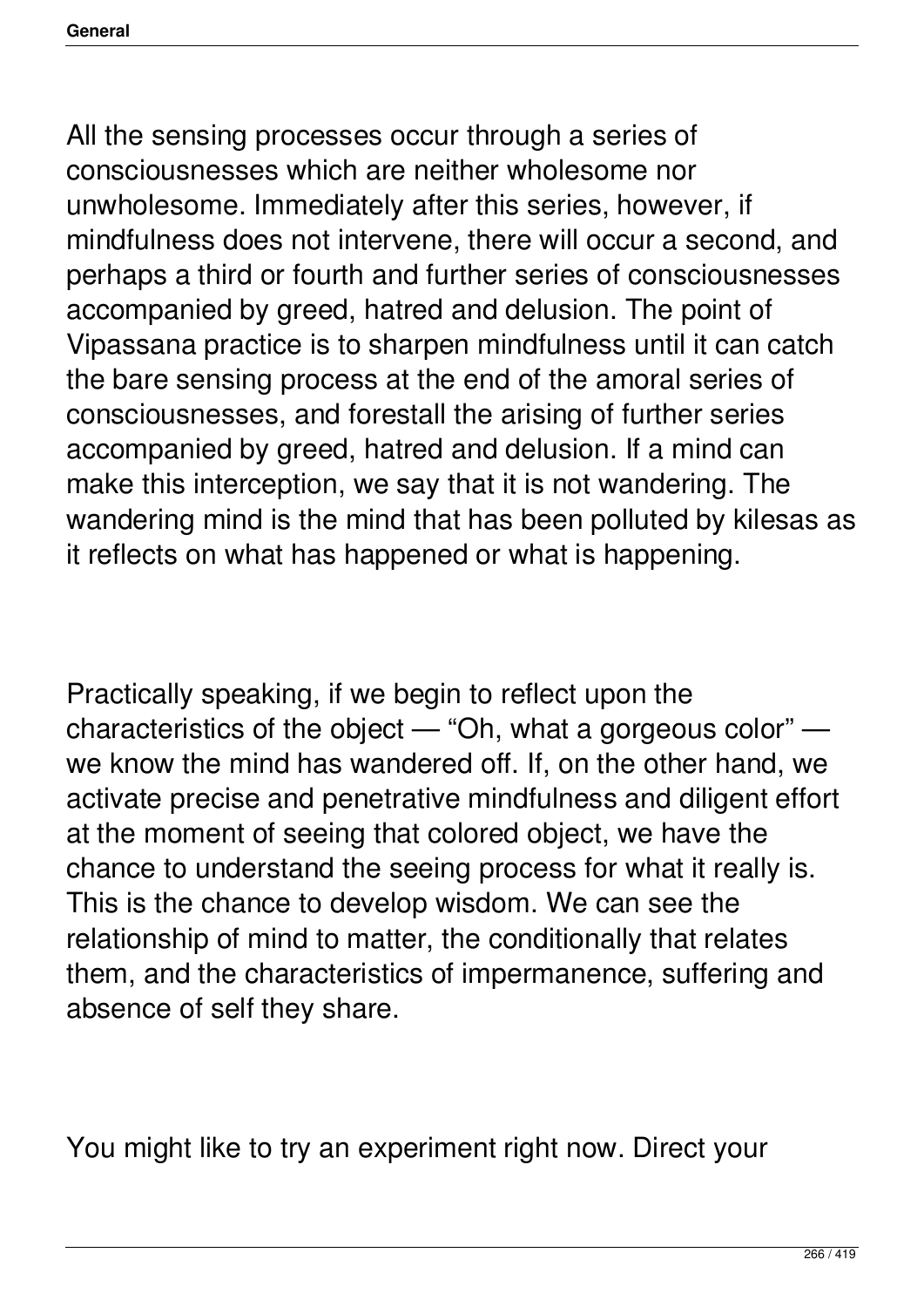All the sensing processes occur through a series of consciousnesses which are neither wholesome nor unwholesome. Immediately after this series, however, if mindfulness does not intervene, there will occur a second, and perhaps a third or fourth and further series of consciousnesses accompanied by greed, hatred and delusion. The point of Vipassana practice is to sharpen mindfulness until it can catch the bare sensing process at the end of the amoral series of consciousnesses, and forestall the arising of further series accompanied by greed, hatred and delusion. If a mind can make this interception, we say that it is not wandering. The wandering mind is the mind that has been polluted by kilesas as it reflects on what has happened or what is happening.

Practically speaking, if we begin to reflect upon the characteristics of the object — "Oh, what a gorgeous color" we know the mind has wandered off. If, on the other hand, we activate precise and penetrative mindfulness and diligent effort at the moment of seeing that colored object, we have the chance to understand the seeing process for what it really is. This is the chance to develop wisdom. We can see the relationship of mind to matter, the conditionally that relates them, and the characteristics of impermanence, suffering and absence of self they share.

You might like to try an experiment right now. Direct your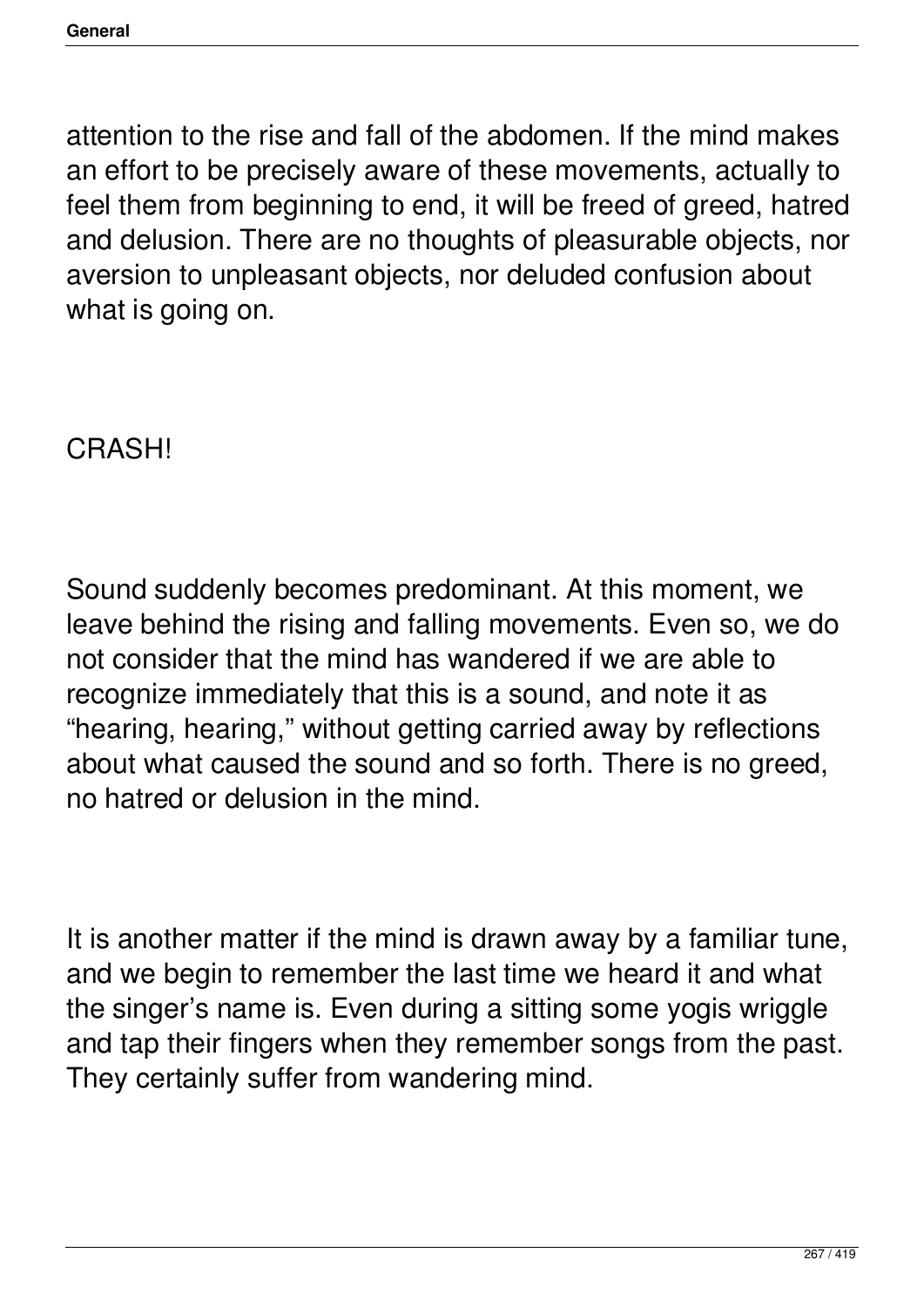attention to the rise and fall of the abdomen. If the mind makes an effort to be precisely aware of these movements, actually to feel them from beginning to end, it will be freed of greed, hatred and delusion. There are no thoughts of pleasurable objects, nor aversion to unpleasant objects, nor deluded confusion about what is going on.

#### CRASH!

Sound suddenly becomes predominant. At this moment, we leave behind the rising and falling movements. Even so, we do not consider that the mind has wandered if we are able to recognize immediately that this is a sound, and note it as "hearing, hearing," without getting carried away by reflections about what caused the sound and so forth. There is no greed, no hatred or delusion in the mind.

It is another matter if the mind is drawn away by a familiar tune, and we begin to remember the last time we heard it and what the singer's name is. Even during a sitting some yogis wriggle and tap their fingers when they remember songs from the past. They certainly suffer from wandering mind.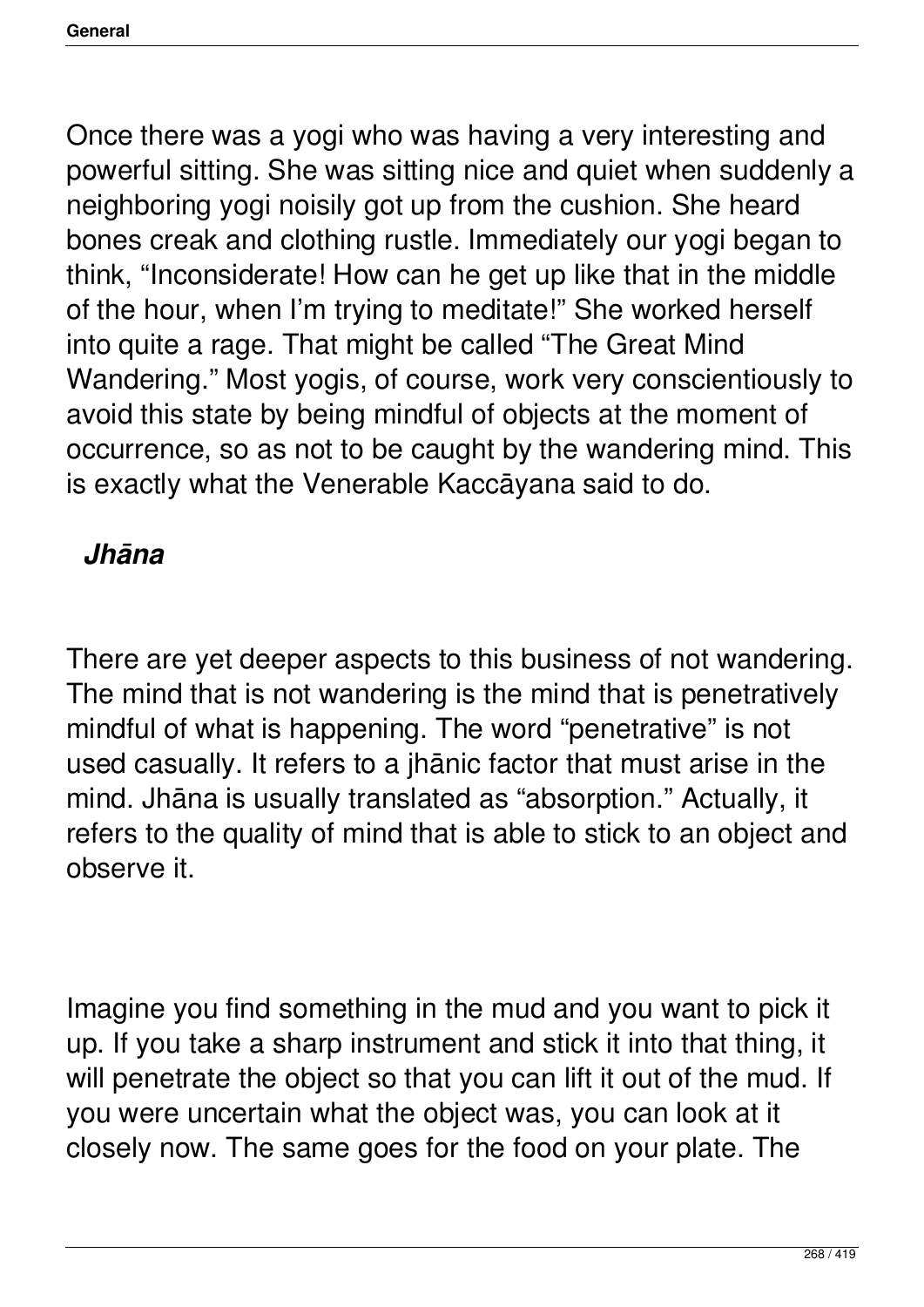Once there was a yogi who was having a very interesting and powerful sitting. She was sitting nice and quiet when suddenly a neighboring yogi noisily got up from the cushion. She heard bones creak and clothing rustle. Immediately our yogi began to think, "Inconsiderate! How can he get up like that in the middle of the hour, when I'm trying to meditate!" She worked herself into quite a rage. That might be called "The Great Mind Wandering." Most yogis, of course, work very conscientiously to avoid this state by being mindful of objects at the moment of occurrence, so as not to be caught by the wandering mind. This is exactly what the Venerable Kaccāyana said to do.

## *Jhāna*

There are yet deeper aspects to this business of not wandering. The mind that is not wandering is the mind that is penetratively mindful of what is happening. The word "penetrative" is not used casually. It refers to a jhānic factor that must arise in the mind. Jhāna is usually translated as "absorption." Actually, it refers to the quality of mind that is able to stick to an object and observe it.

Imagine you find something in the mud and you want to pick it up. If you take a sharp instrument and stick it into that thing, it will penetrate the object so that you can lift it out of the mud. If you were uncertain what the object was, you can look at it closely now. The same goes for the food on your plate. The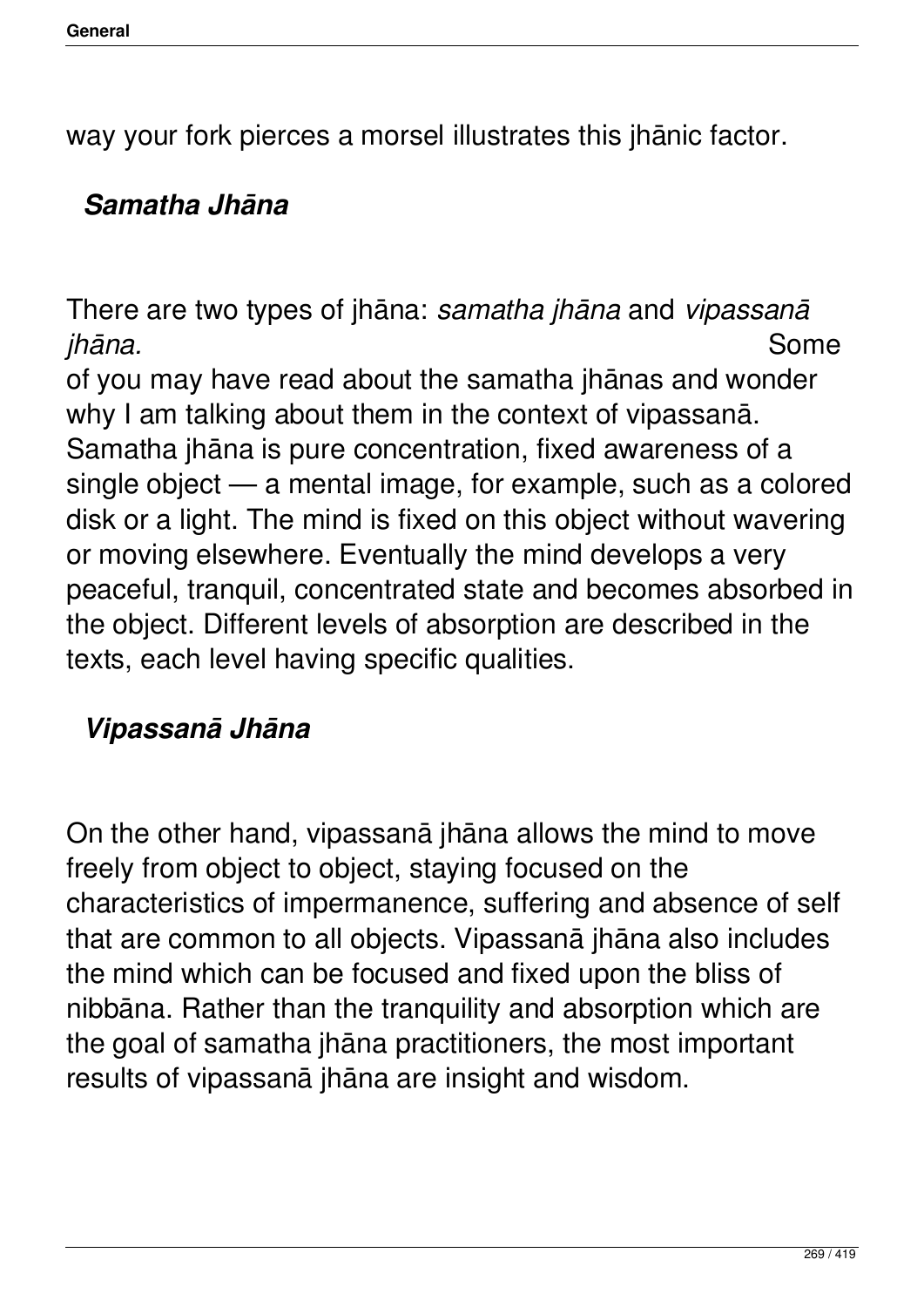way your fork pierces a morsel illustrates this jhānic factor.

## *Samatha Jhāna*

There are two types of jhāna: *samatha jhāna* and *vipassanā jhāna.* Some

of you may have read about the samatha jhānas and wonder why I am talking about them in the context of vipassanā. Samatha jhāna is pure concentration, fixed awareness of a single object — a mental image, for example, such as a colored disk or a light. The mind is fixed on this object without wavering or moving elsewhere. Eventually the mind develops a very peaceful, tranquil, concentrated state and becomes absorbed in the object. Different levels of absorption are described in the texts, each level having specific qualities.

#### *Vipassanā Jhāna*

On the other hand, vipassanā jhāna allows the mind to move freely from object to object, staying focused on the characteristics of impermanence, suffering and absence of self that are common to all objects. Vipassanā jhāna also includes the mind which can be focused and fixed upon the bliss of nibbāna. Rather than the tranquility and absorption which are the goal of samatha jhāna practitioners, the most important results of vipassanā jhāna are insight and wisdom.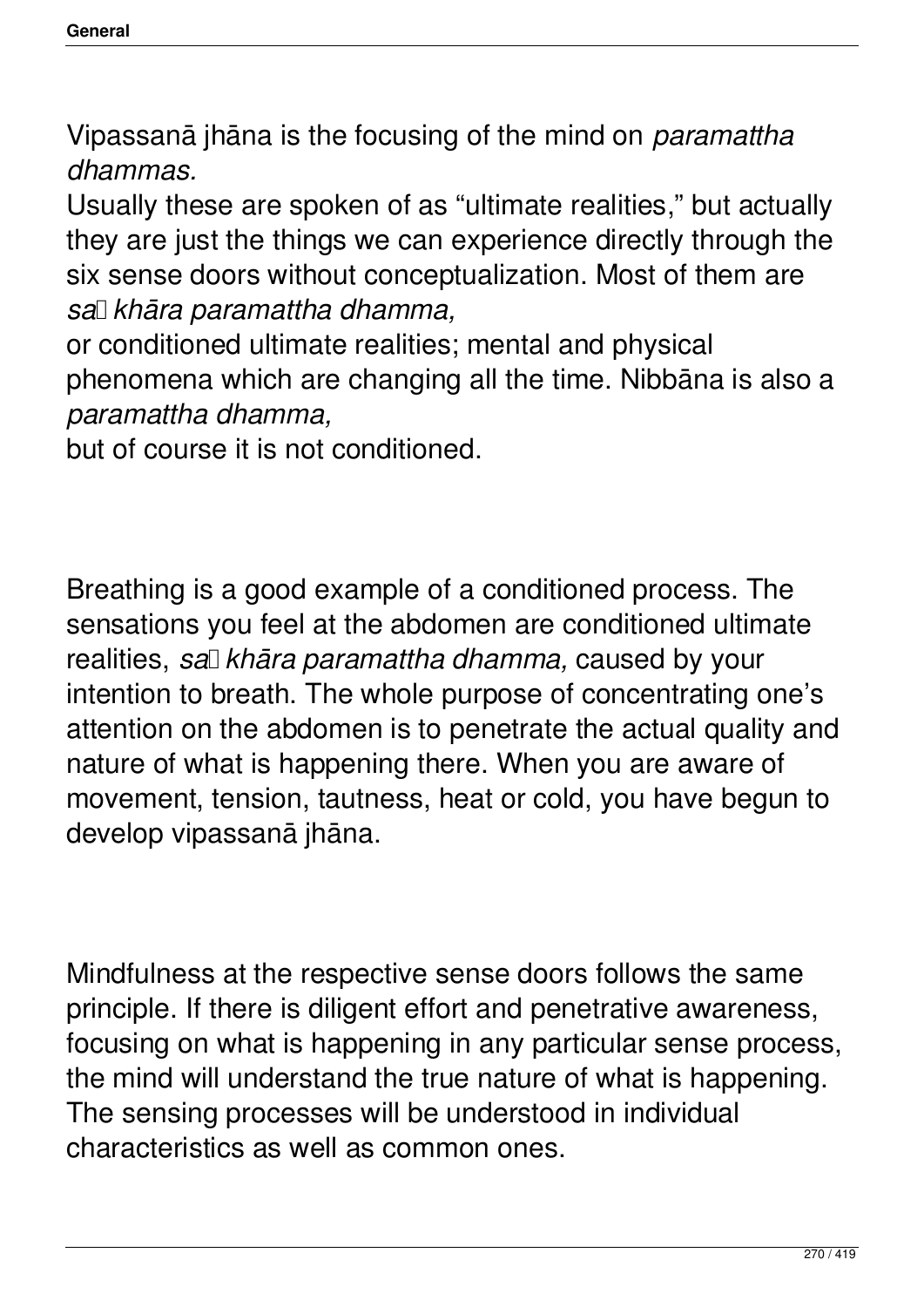Vipassanā jhāna is the focusing of the mind on *paramattha dhammas.*

Usually these are spoken of as "ultimate realities," but actually they are just the things we can experience directly through the six sense doors without conceptualization. Most of them are *saṅkhāra paramattha dhamma,*

or conditioned ultimate realities; mental and physical phenomena which are changing all the time. Nibbāna is also a *paramattha dhamma,* 

but of course it is not conditioned.

Breathing is a good example of a conditioned process. The sensations you feel at the abdomen are conditioned ultimate realities, sa khāra paramattha dhamma, caused by your intention to breath. The whole purpose of concentrating one's attention on the abdomen is to penetrate the actual quality and nature of what is happening there. When you are aware of movement, tension, tautness, heat or cold, you have begun to develop vipassanā jhāna.

Mindfulness at the respective sense doors follows the same principle. If there is diligent effort and penetrative awareness, focusing on what is happening in any particular sense process, the mind will understand the true nature of what is happening. The sensing processes will be understood in individual characteristics as well as common ones.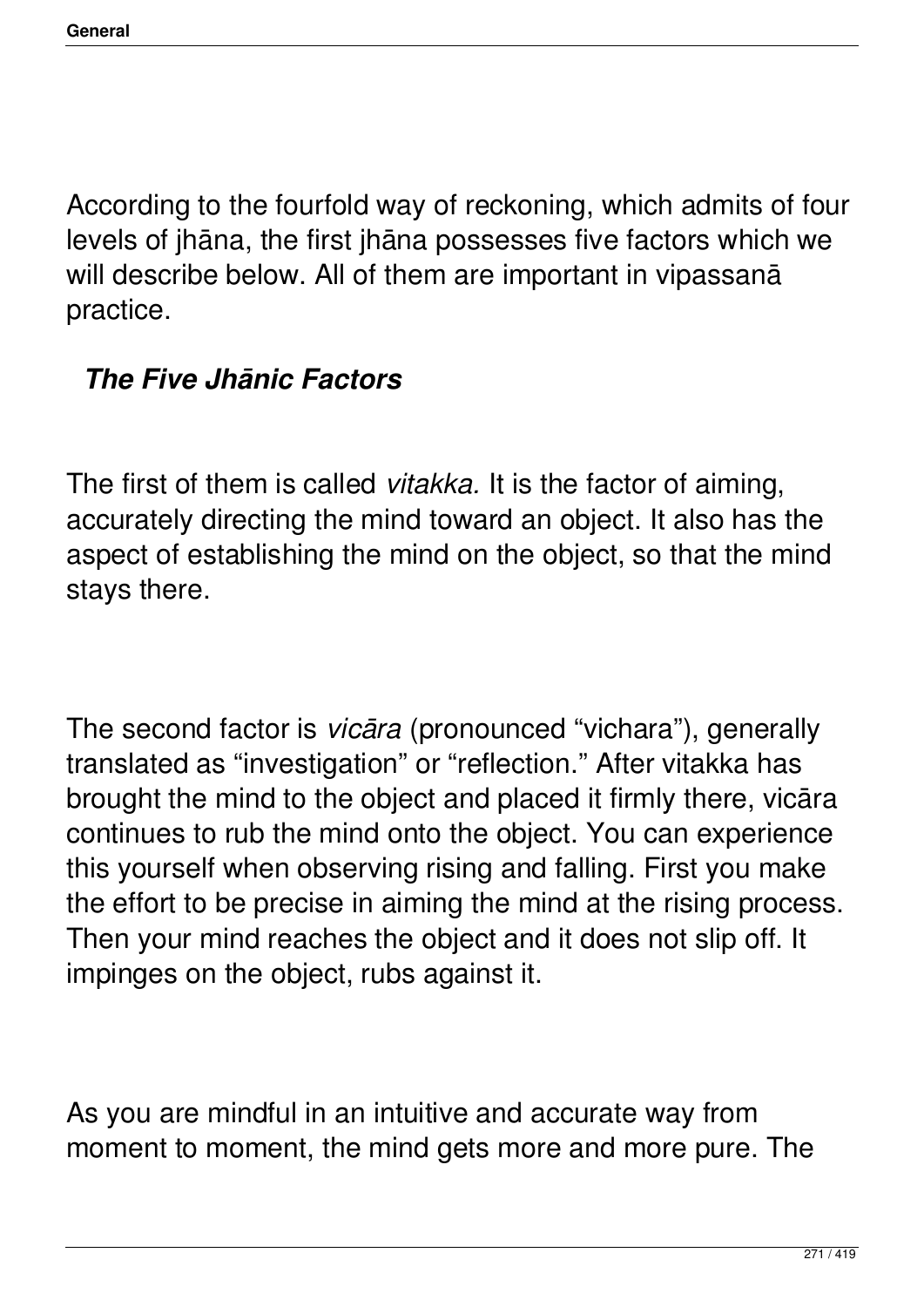According to the fourfold way of reckoning, which admits of four levels of jhāna, the first jhāna possesses five factors which we will describe below. All of them are important in vipassanā practice.

#### *The Five Jhānic Factors*

The first of them is called *vitakka.* It is the factor of aiming, accurately directing the mind toward an object. It also has the aspect of establishing the mind on the object, so that the mind stays there.

The second factor is *vicāra* (pronounced "vichara"), generally translated as "investigation" or "reflection." After vitakka has brought the mind to the object and placed it firmly there, vicāra continues to rub the mind onto the object. You can experience this yourself when observing rising and falling. First you make the effort to be precise in aiming the mind at the rising process. Then your mind reaches the object and it does not slip off. It impinges on the object, rubs against it.

As you are mindful in an intuitive and accurate way from moment to moment, the mind gets more and more pure. The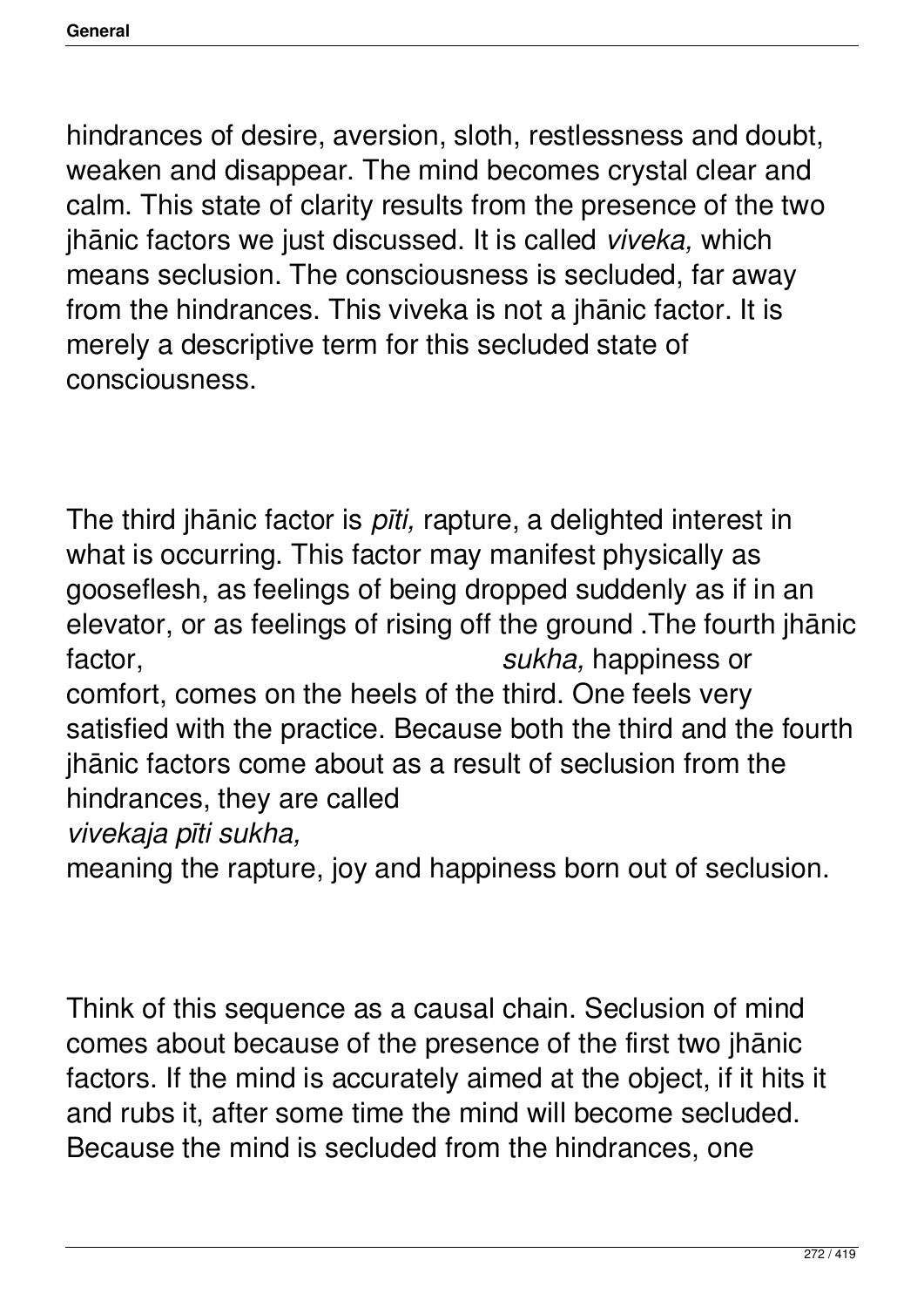hindrances of desire, aversion, sloth, restlessness and doubt, weaken and disappear. The mind becomes crystal clear and calm. This state of clarity results from the presence of the two jhānic factors we just discussed. It is called *viveka,* which means seclusion. The consciousness is secluded, far away from the hindrances. This viveka is not a jhānic factor. It is merely a descriptive term for this secluded state of consciousness.

The third jhānic factor is *pīti,* rapture, a delighted interest in what is occurring. This factor may manifest physically as gooseflesh, as feelings of being dropped suddenly as if in an elevator, or as feelings of rising off the ground .The fourth jhānic factor, *sukha,* happiness or comfort, comes on the heels of the third. One feels very satisfied with the practice. Because both the third and the fourth jhānic factors come about as a result of seclusion from the hindrances, they are called *vivekaja pīti sukha,*

meaning the rapture, joy and happiness born out of seclusion.

Think of this sequence as a causal chain. Seclusion of mind comes about because of the presence of the first two jhānic factors. If the mind is accurately aimed at the object, if it hits it and rubs it, after some time the mind will become secluded. Because the mind is secluded from the hindrances, one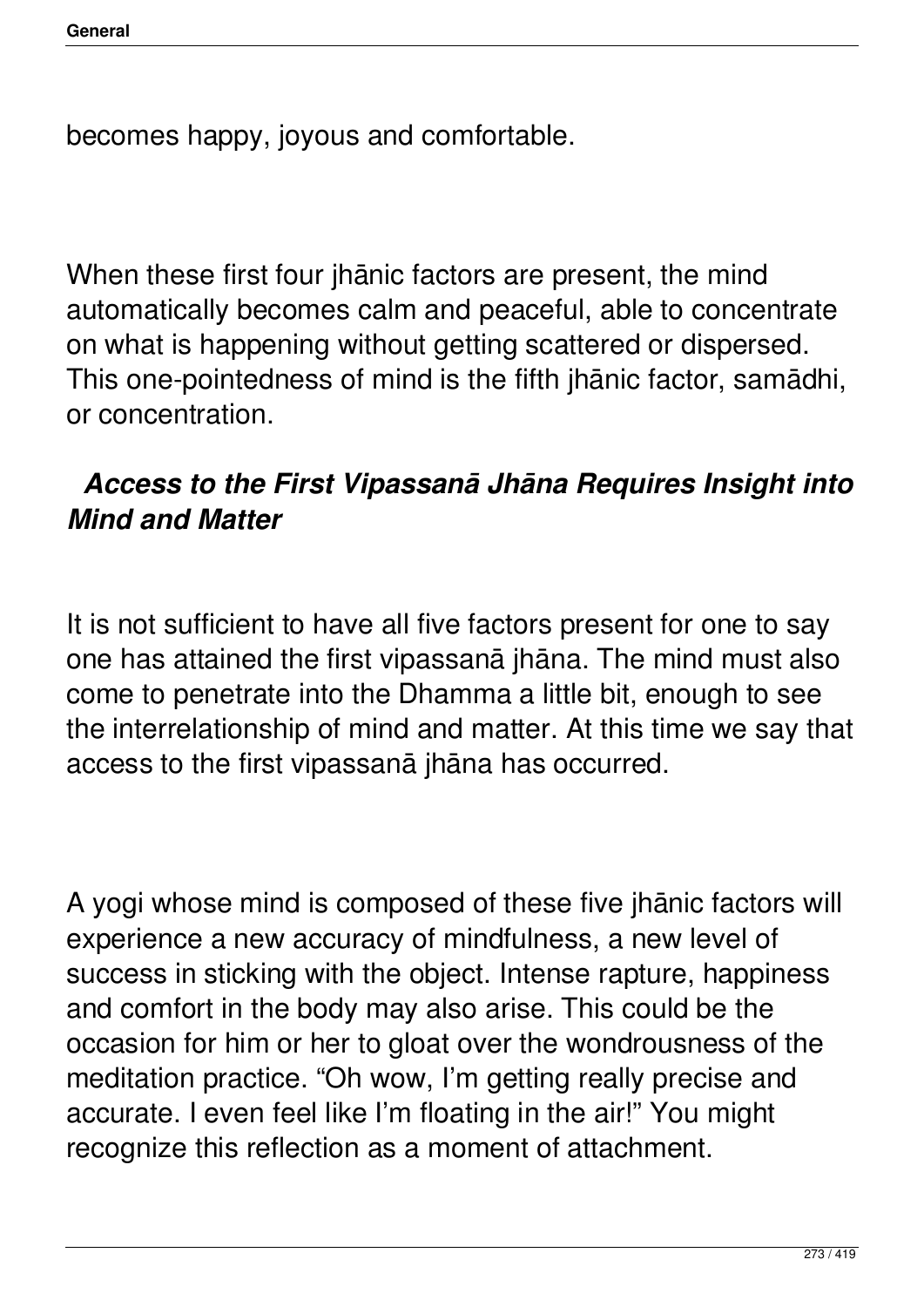becomes happy, joyous and comfortable.

When these first four jhānic factors are present, the mind automatically becomes calm and peaceful, able to concentrate on what is happening without getting scattered or dispersed. This one-pointedness of mind is the fifth jhānic factor, samādhi, or concentration.

## *Access to the First Vipassanā Jhāna Requires Insight into Mind and Matter*

It is not sufficient to have all five factors present for one to say one has attained the first vipassanā jhāna. The mind must also come to penetrate into the Dhamma a little bit, enough to see the interrelationship of mind and matter. At this time we say that access to the first vipassanā jhāna has occurred.

A yogi whose mind is composed of these five jhānic factors will experience a new accuracy of mindfulness, a new level of success in sticking with the object. Intense rapture, happiness and comfort in the body may also arise. This could be the occasion for him or her to gloat over the wondrousness of the meditation practice. "Oh wow, I'm getting really precise and accurate. I even feel like I'm floating in the air!" You might recognize this reflection as a moment of attachment.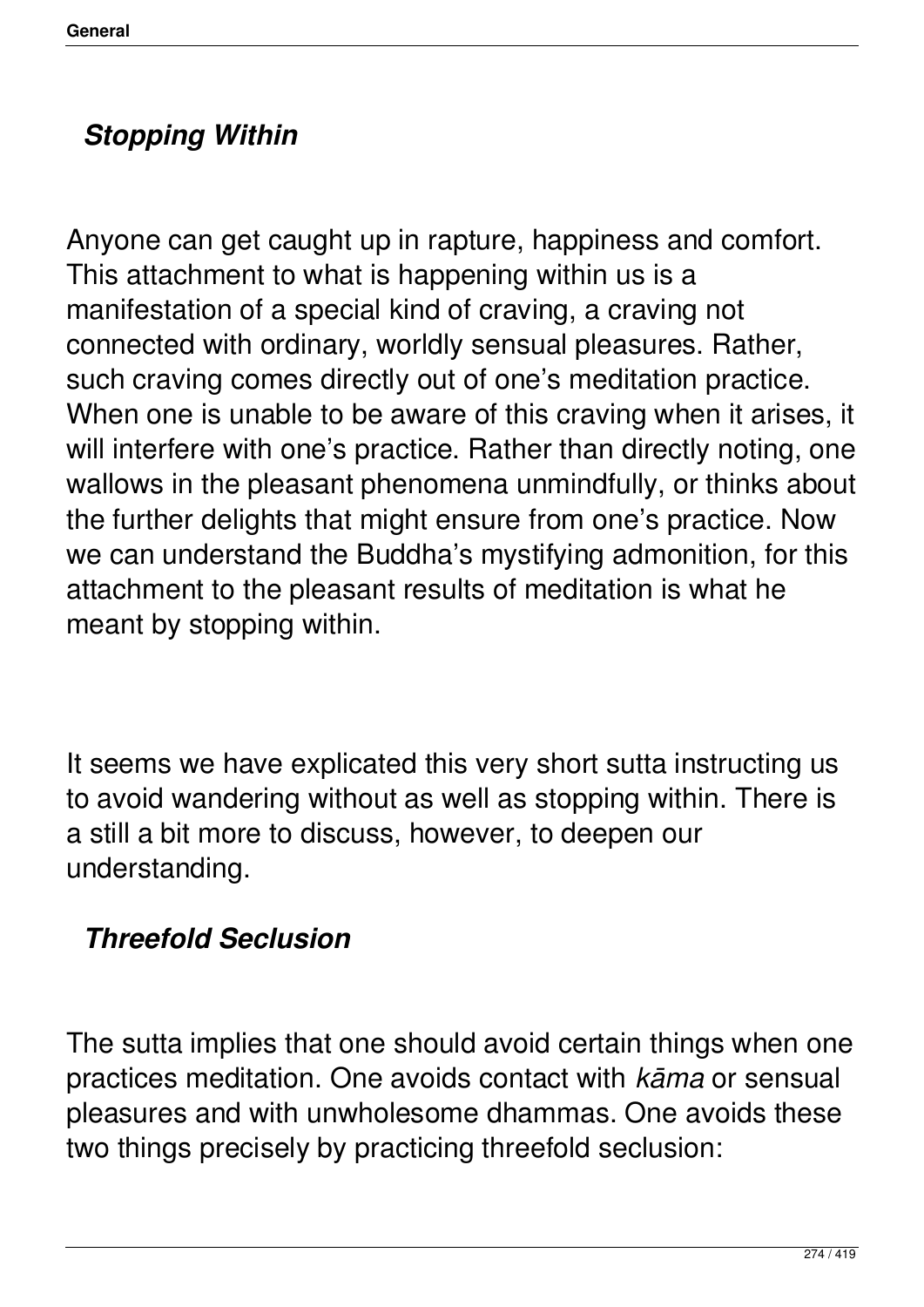## *Stopping Within*

Anyone can get caught up in rapture, happiness and comfort. This attachment to what is happening within us is a manifestation of a special kind of craving, a craving not connected with ordinary, worldly sensual pleasures. Rather, such craving comes directly out of one's meditation practice. When one is unable to be aware of this craving when it arises, it will interfere with one's practice. Rather than directly noting, one wallows in the pleasant phenomena unmindfully, or thinks about the further delights that might ensure from one's practice. Now we can understand the Buddha's mystifying admonition, for this attachment to the pleasant results of meditation is what he meant by stopping within.

It seems we have explicated this very short sutta instructing us to avoid wandering without as well as stopping within. There is a still a bit more to discuss, however, to deepen our understanding.

## *Threefold Seclusion*

The sutta implies that one should avoid certain things when one practices meditation. One avoids contact with *kāma* or sensual pleasures and with unwholesome dhammas. One avoids these two things precisely by practicing threefold seclusion: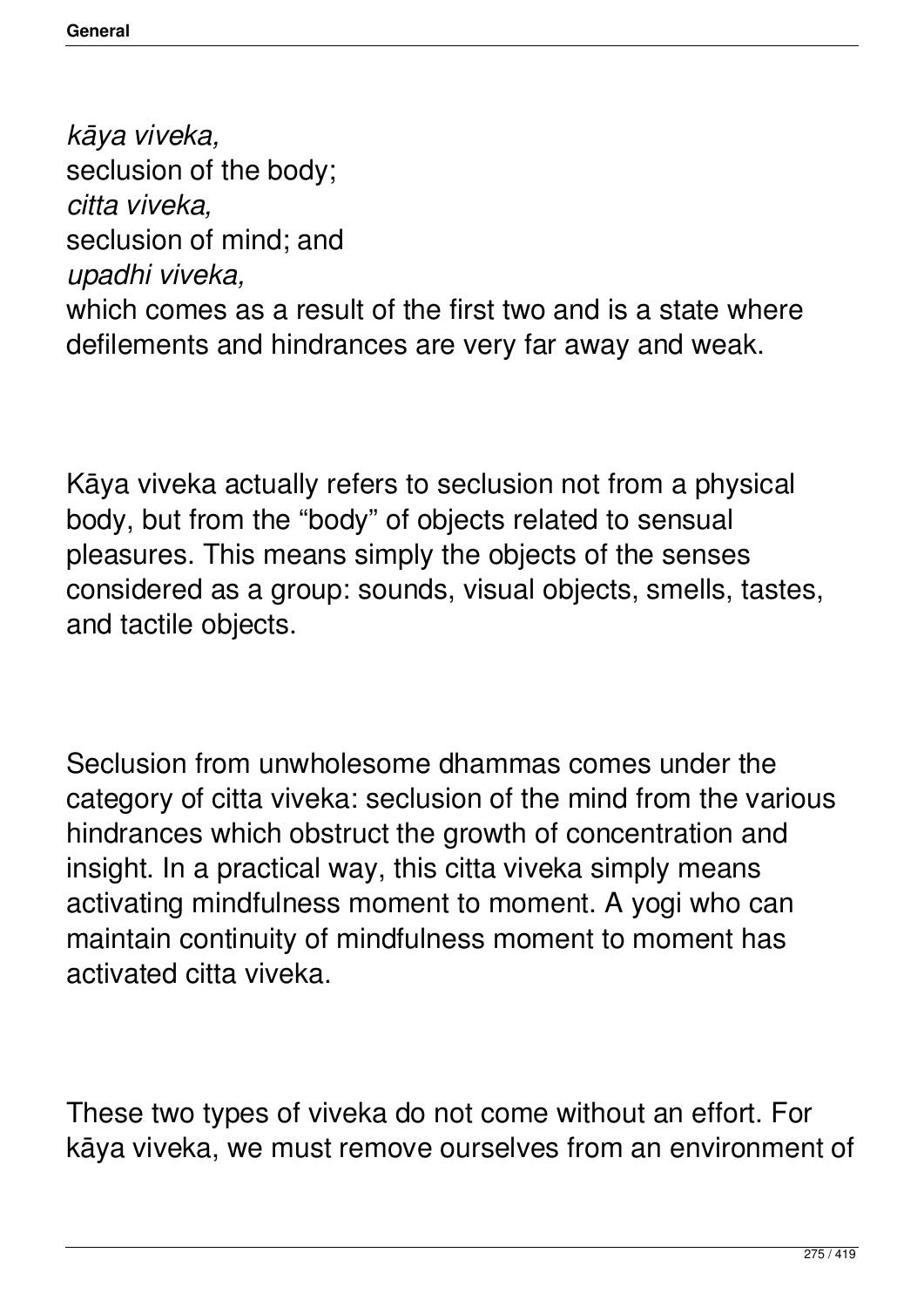*kāya viveka,* seclusion of the body; *citta viveka,* seclusion of mind; and *upadhi viveka,* which comes as a result of the first two and is a state where defilements and hindrances are very far away and weak.

Kāya viveka actually refers to seclusion not from a physical body, but from the "body" of objects related to sensual pleasures. This means simply the objects of the senses considered as a group: sounds, visual objects, smells, tastes, and tactile objects.

Seclusion from unwholesome dhammas comes under the category of citta viveka: seclusion of the mind from the various hindrances which obstruct the growth of concentration and insight. In a practical way, this citta viveka simply means activating mindfulness moment to moment. A yogi who can maintain continuity of mindfulness moment to moment has activated citta viveka.

These two types of viveka do not come without an effort. For kāya viveka, we must remove ourselves from an environment of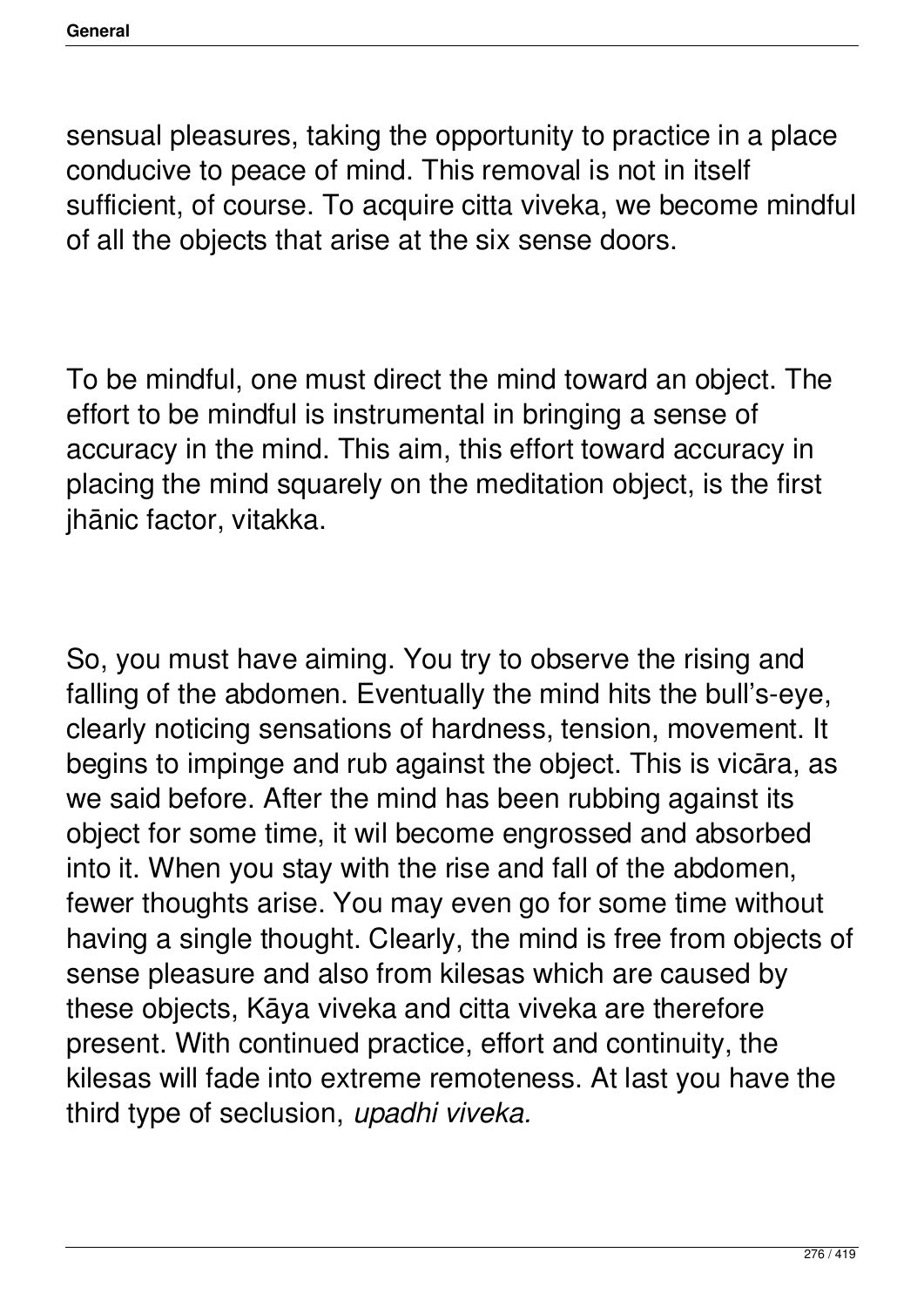sensual pleasures, taking the opportunity to practice in a place conducive to peace of mind. This removal is not in itself sufficient, of course. To acquire citta viveka, we become mindful of all the objects that arise at the six sense doors.

To be mindful, one must direct the mind toward an object. The effort to be mindful is instrumental in bringing a sense of accuracy in the mind. This aim, this effort toward accuracy in placing the mind squarely on the meditation object, is the first jhānic factor, vitakka.

So, you must have aiming. You try to observe the rising and falling of the abdomen. Eventually the mind hits the bull's-eye, clearly noticing sensations of hardness, tension, movement. It begins to impinge and rub against the object. This is vicāra, as we said before. After the mind has been rubbing against its object for some time, it wil become engrossed and absorbed into it. When you stay with the rise and fall of the abdomen, fewer thoughts arise. You may even go for some time without having a single thought. Clearly, the mind is free from objects of sense pleasure and also from kilesas which are caused by these objects, Kāya viveka and citta viveka are therefore present. With continued practice, effort and continuity, the kilesas will fade into extreme remoteness. At last you have the third type of seclusion, *upadhi viveka.*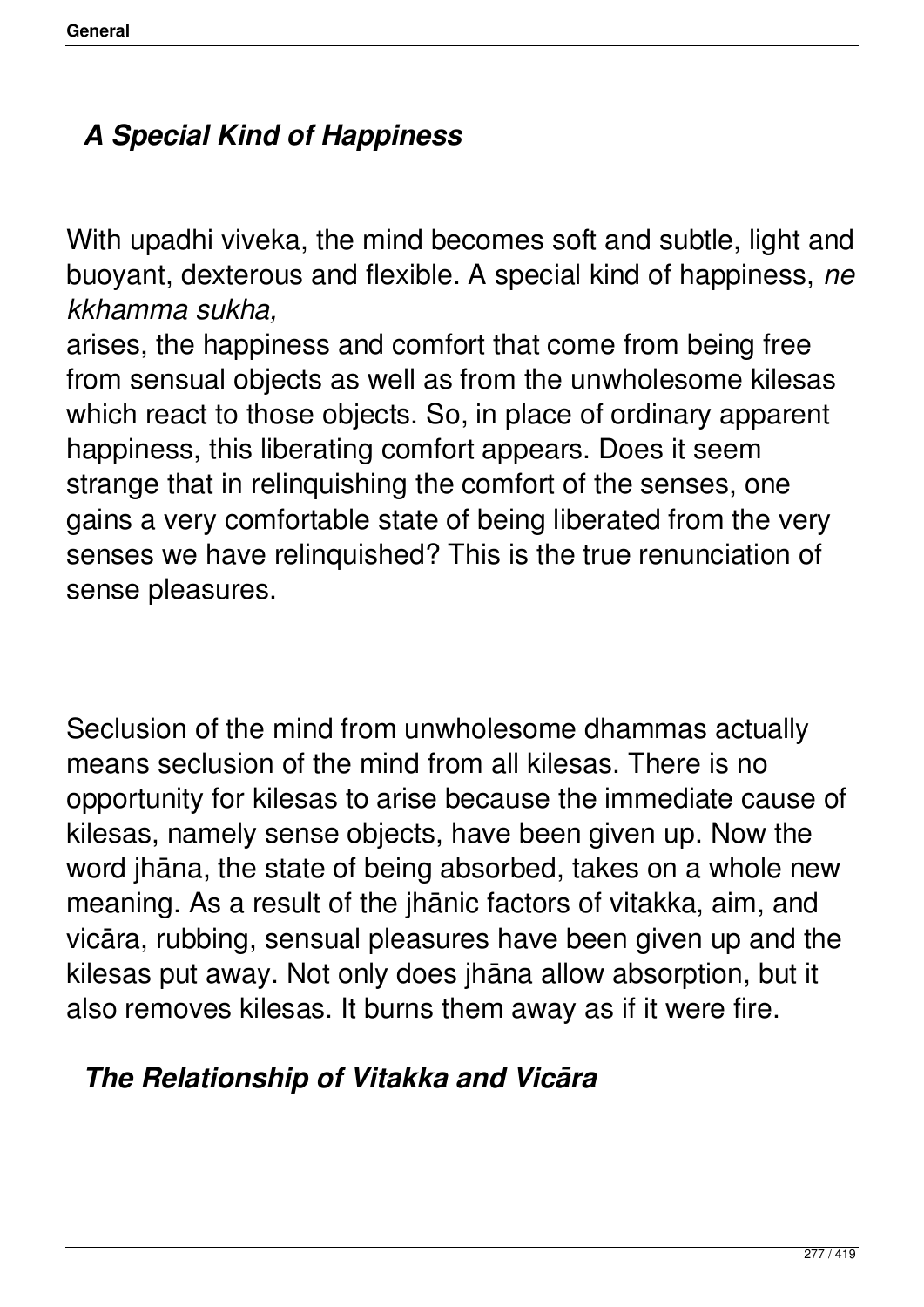## *A Special Kind of Happiness*

With upadhi viveka, the mind becomes soft and subtle, light and buoyant, dexterous and flexible. A special kind of happiness, *ne kkhamma sukha,*

arises, the happiness and comfort that come from being free from sensual objects as well as from the unwholesome kilesas which react to those objects. So, in place of ordinary apparent happiness, this liberating comfort appears. Does it seem strange that in relinquishing the comfort of the senses, one gains a very comfortable state of being liberated from the very senses we have relinquished? This is the true renunciation of sense pleasures.

Seclusion of the mind from unwholesome dhammas actually means seclusion of the mind from all kilesas. There is no opportunity for kilesas to arise because the immediate cause of kilesas, namely sense objects, have been given up. Now the word jhāna, the state of being absorbed, takes on a whole new meaning. As a result of the jhānic factors of vitakka, aim, and vicāra, rubbing, sensual pleasures have been given up and the kilesas put away. Not only does jhāna allow absorption, but it also removes kilesas. It burns them away as if it were fire.

## *The Relationship of Vitakka and Vicāra*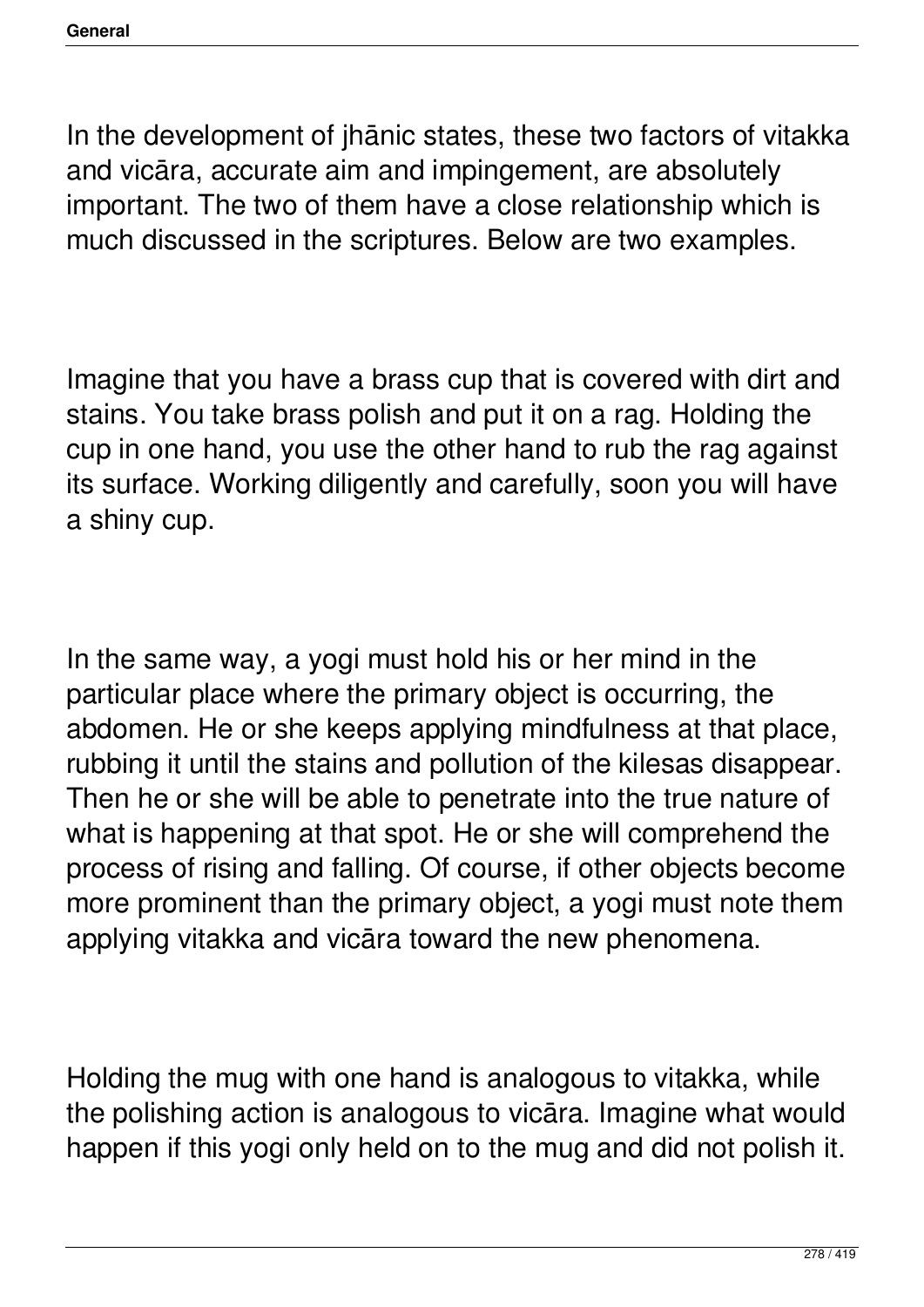In the development of jhānic states, these two factors of vitakka and vicāra, accurate aim and impingement, are absolutely important. The two of them have a close relationship which is much discussed in the scriptures. Below are two examples.

Imagine that you have a brass cup that is covered with dirt and stains. You take brass polish and put it on a rag. Holding the cup in one hand, you use the other hand to rub the rag against its surface. Working diligently and carefully, soon you will have a shiny cup.

In the same way, a yogi must hold his or her mind in the particular place where the primary object is occurring, the abdomen. He or she keeps applying mindfulness at that place, rubbing it until the stains and pollution of the kilesas disappear. Then he or she will be able to penetrate into the true nature of what is happening at that spot. He or she will comprehend the process of rising and falling. Of course, if other objects become more prominent than the primary object, a yogi must note them applying vitakka and vicāra toward the new phenomena.

Holding the mug with one hand is analogous to vitakka, while the polishing action is analogous to vicāra. Imagine what would happen if this yogi only held on to the mug and did not polish it.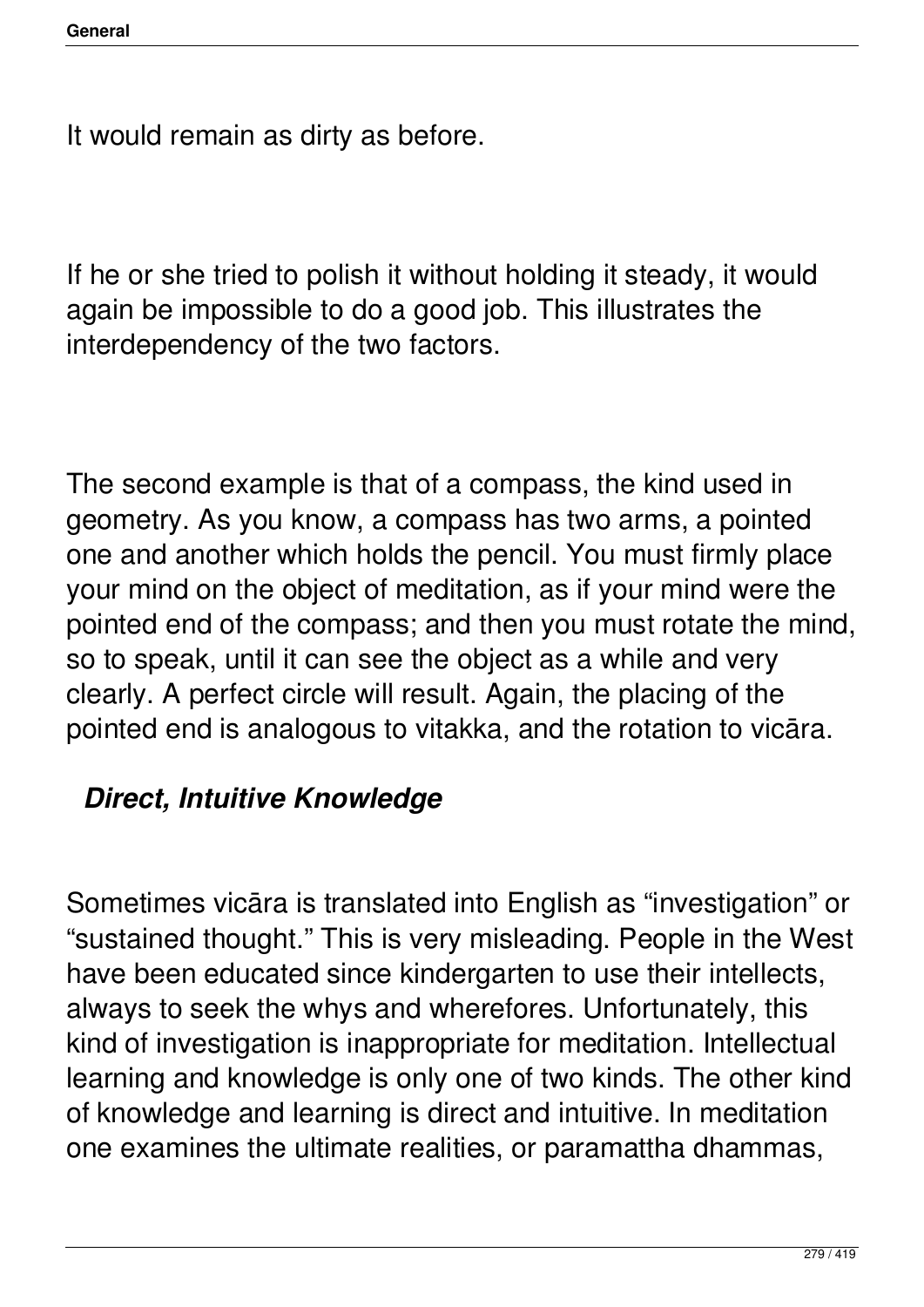It would remain as dirty as before.

If he or she tried to polish it without holding it steady, it would again be impossible to do a good job. This illustrates the interdependency of the two factors.

The second example is that of a compass, the kind used in geometry. As you know, a compass has two arms, a pointed one and another which holds the pencil. You must firmly place your mind on the object of meditation, as if your mind were the pointed end of the compass; and then you must rotate the mind, so to speak, until it can see the object as a while and very clearly. A perfect circle will result. Again, the placing of the pointed end is analogous to vitakka, and the rotation to vicāra.

## *Direct, Intuitive Knowledge*

Sometimes vicāra is translated into English as "investigation" or "sustained thought." This is very misleading. People in the West have been educated since kindergarten to use their intellects, always to seek the whys and wherefores. Unfortunately, this kind of investigation is inappropriate for meditation. Intellectual learning and knowledge is only one of two kinds. The other kind of knowledge and learning is direct and intuitive. In meditation one examines the ultimate realities, or paramattha dhammas,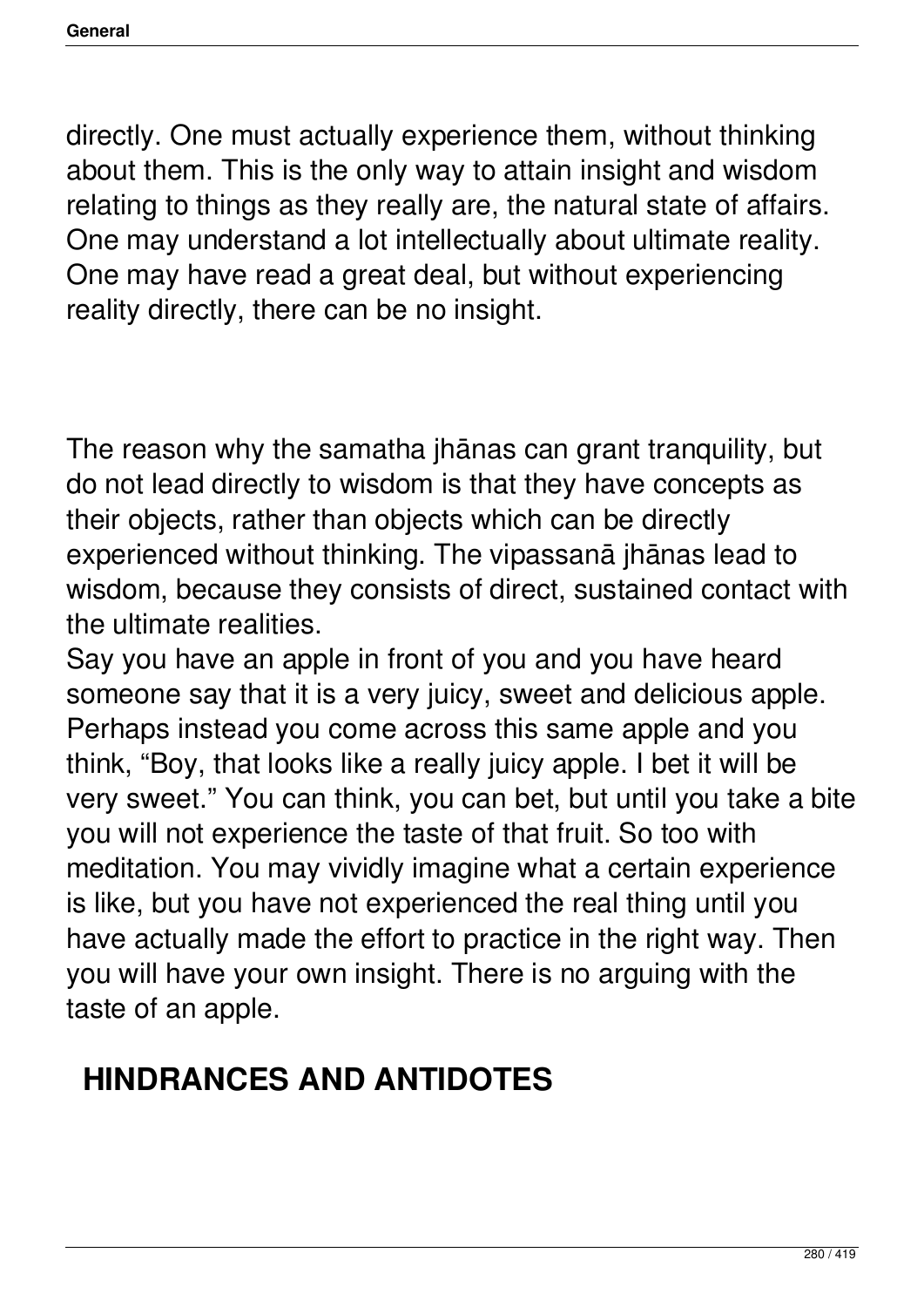directly. One must actually experience them, without thinking about them. This is the only way to attain insight and wisdom relating to things as they really are, the natural state of affairs. One may understand a lot intellectually about ultimate reality. One may have read a great deal, but without experiencing reality directly, there can be no insight.

The reason why the samatha jhānas can grant tranquility, but do not lead directly to wisdom is that they have concepts as their objects, rather than objects which can be directly experienced without thinking. The vipassanā jhānas lead to wisdom, because they consists of direct, sustained contact with the ultimate realities.

Say you have an apple in front of you and you have heard someone say that it is a very juicy, sweet and delicious apple. Perhaps instead you come across this same apple and you think, "Boy, that looks like a really juicy apple. I bet it will be very sweet." You can think, you can bet, but until you take a bite you will not experience the taste of that fruit. So too with meditation. You may vividly imagine what a certain experience is like, but you have not experienced the real thing until you have actually made the effort to practice in the right way. Then you will have your own insight. There is no arguing with the taste of an apple.

## **HINDRANCES AND ANTIDOTES**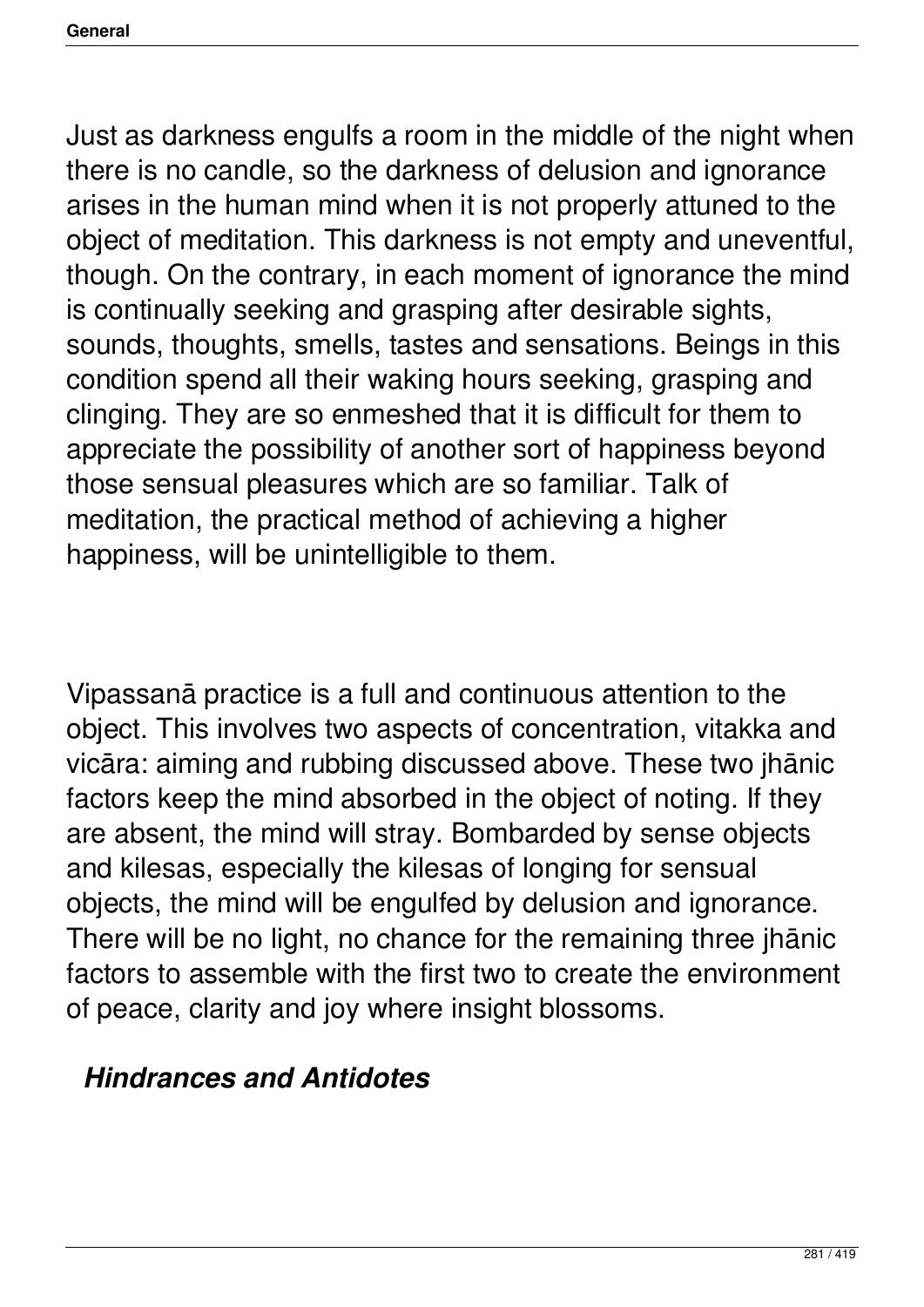Just as darkness engulfs a room in the middle of the night when there is no candle, so the darkness of delusion and ignorance arises in the human mind when it is not properly attuned to the object of meditation. This darkness is not empty and uneventful, though. On the contrary, in each moment of ignorance the mind is continually seeking and grasping after desirable sights, sounds, thoughts, smells, tastes and sensations. Beings in this condition spend all their waking hours seeking, grasping and clinging. They are so enmeshed that it is difficult for them to appreciate the possibility of another sort of happiness beyond those sensual pleasures which are so familiar. Talk of meditation, the practical method of achieving a higher happiness, will be unintelligible to them.

Vipassanā practice is a full and continuous attention to the object. This involves two aspects of concentration, vitakka and vicāra: aiming and rubbing discussed above. These two jhānic factors keep the mind absorbed in the object of noting. If they are absent, the mind will stray. Bombarded by sense objects and kilesas, especially the kilesas of longing for sensual objects, the mind will be engulfed by delusion and ignorance. There will be no light, no chance for the remaining three jhānic factors to assemble with the first two to create the environment of peace, clarity and joy where insight blossoms.

#### *Hindrances and Antidotes*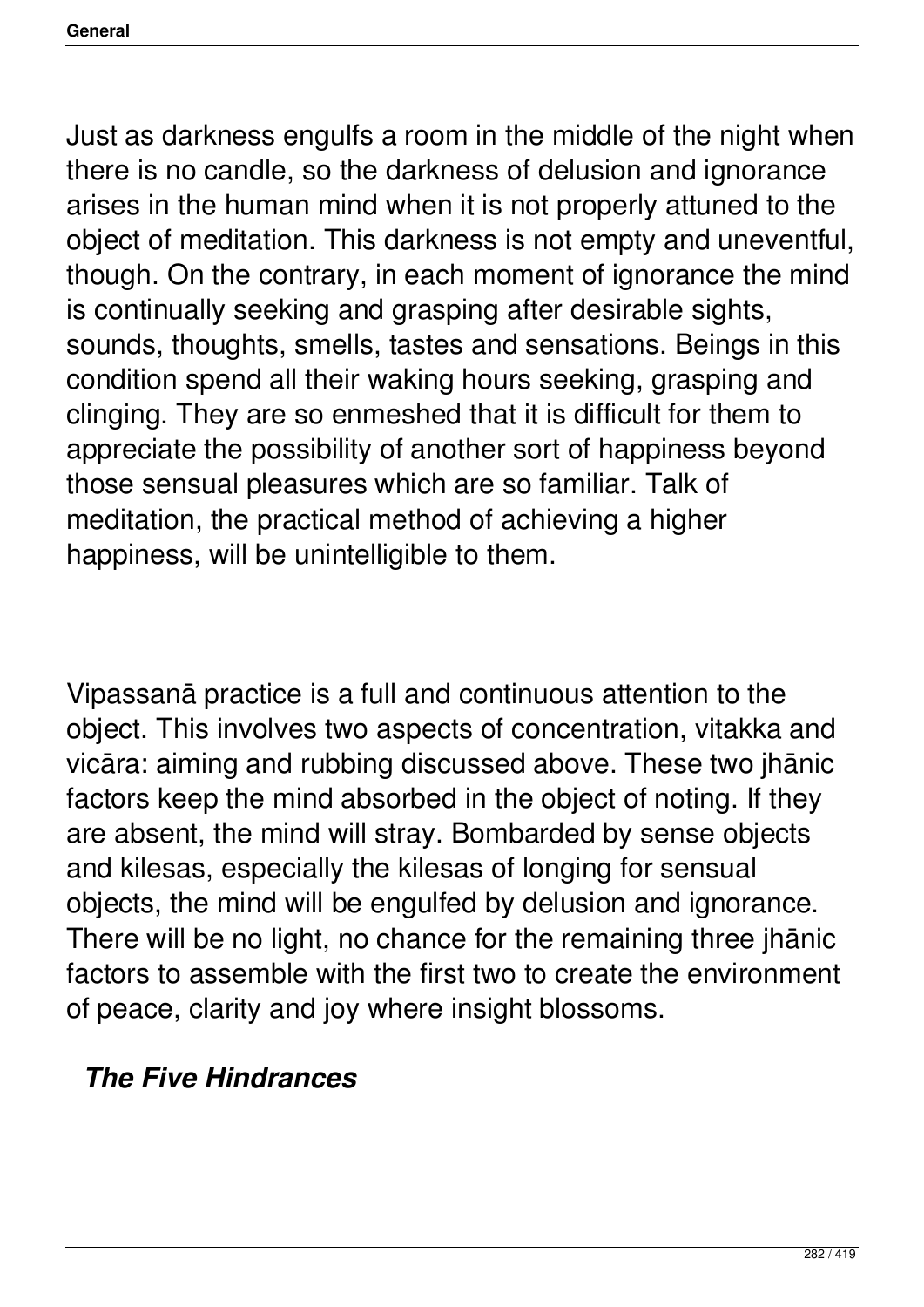Just as darkness engulfs a room in the middle of the night when there is no candle, so the darkness of delusion and ignorance arises in the human mind when it is not properly attuned to the object of meditation. This darkness is not empty and uneventful, though. On the contrary, in each moment of ignorance the mind is continually seeking and grasping after desirable sights, sounds, thoughts, smells, tastes and sensations. Beings in this condition spend all their waking hours seeking, grasping and clinging. They are so enmeshed that it is difficult for them to appreciate the possibility of another sort of happiness beyond those sensual pleasures which are so familiar. Talk of meditation, the practical method of achieving a higher happiness, will be unintelligible to them.

Vipassanā practice is a full and continuous attention to the object. This involves two aspects of concentration, vitakka and vicāra: aiming and rubbing discussed above. These two jhānic factors keep the mind absorbed in the object of noting. If they are absent, the mind will stray. Bombarded by sense objects and kilesas, especially the kilesas of longing for sensual objects, the mind will be engulfed by delusion and ignorance. There will be no light, no chance for the remaining three jhānic factors to assemble with the first two to create the environment of peace, clarity and joy where insight blossoms.

## *The Five Hindrances*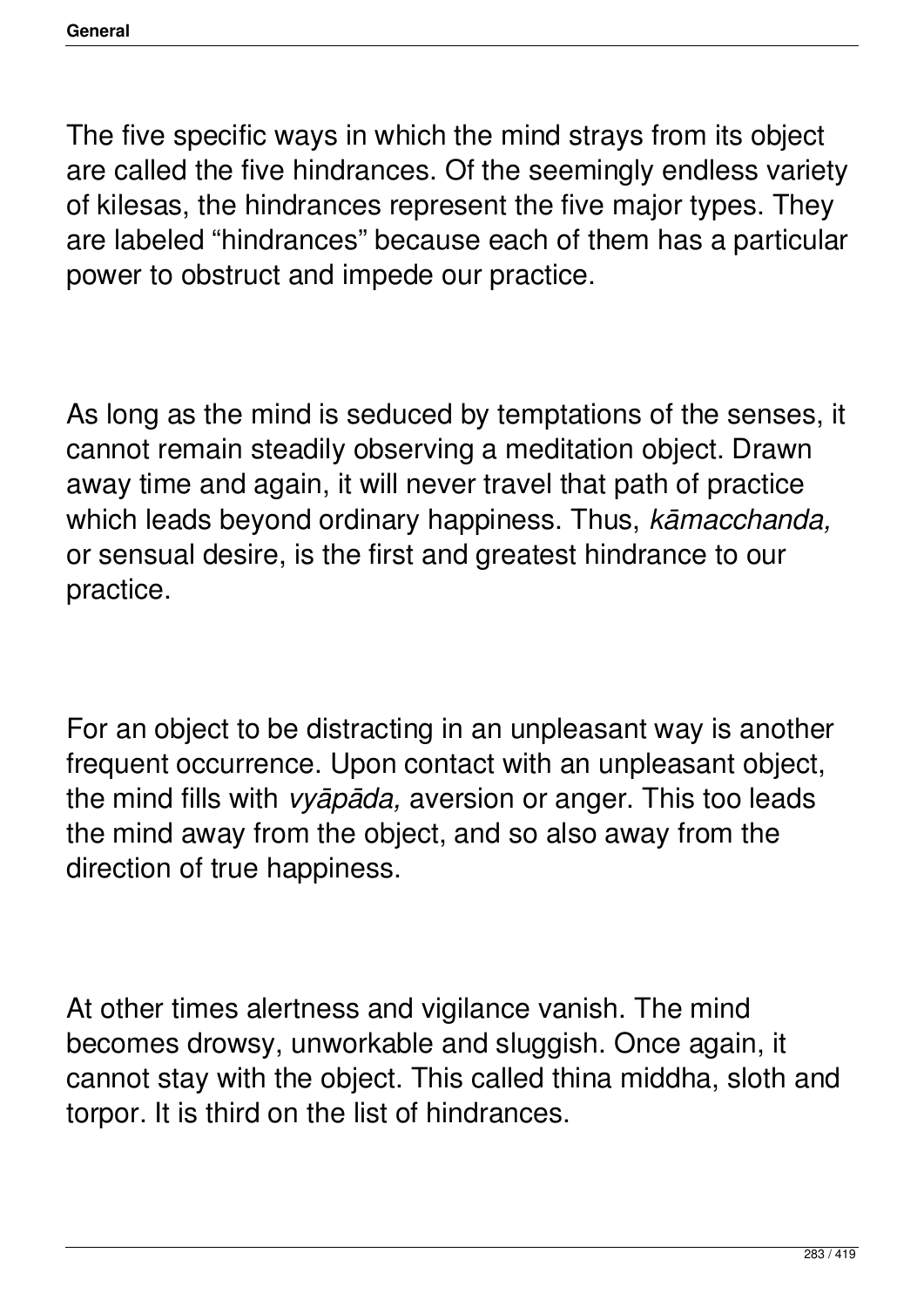The five specific ways in which the mind strays from its object are called the five hindrances. Of the seemingly endless variety of kilesas, the hindrances represent the five major types. They are labeled "hindrances" because each of them has a particular power to obstruct and impede our practice.

As long as the mind is seduced by temptations of the senses, it cannot remain steadily observing a meditation object. Drawn away time and again, it will never travel that path of practice which leads beyond ordinary happiness. Thus, *kāmacchanda,* or sensual desire, is the first and greatest hindrance to our practice.

For an object to be distracting in an unpleasant way is another frequent occurrence. Upon contact with an unpleasant object, the mind fills with *vyāpāda,* aversion or anger. This too leads the mind away from the object, and so also away from the direction of true happiness.

At other times alertness and vigilance vanish. The mind becomes drowsy, unworkable and sluggish. Once again, it cannot stay with the object. This called thina middha, sloth and torpor. It is third on the list of hindrances.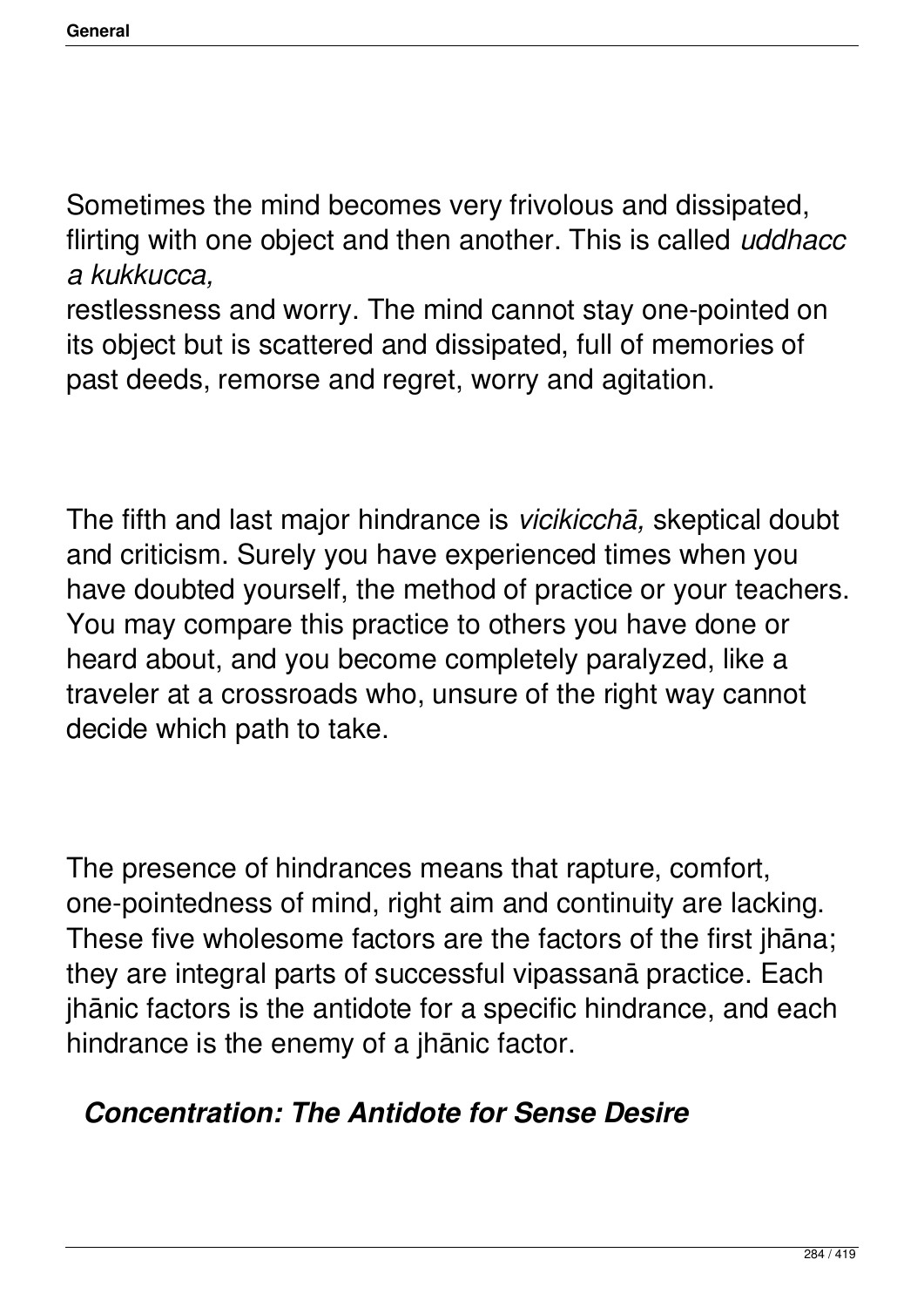Sometimes the mind becomes very frivolous and dissipated, flirting with one object and then another. This is called *uddhacc a kukkucca,*

restlessness and worry. The mind cannot stay one-pointed on its object but is scattered and dissipated, full of memories of past deeds, remorse and regret, worry and agitation.

The fifth and last major hindrance is *vicikicchā,* skeptical doubt and criticism. Surely you have experienced times when you have doubted yourself, the method of practice or your teachers. You may compare this practice to others you have done or heard about, and you become completely paralyzed, like a traveler at a crossroads who, unsure of the right way cannot decide which path to take.

The presence of hindrances means that rapture, comfort, one-pointedness of mind, right aim and continuity are lacking. These five wholesome factors are the factors of the first jhāna; they are integral parts of successful vipassanā practice. Each jhānic factors is the antidote for a specific hindrance, and each hindrance is the enemy of a jhānic factor.

#### *Concentration: The Antidote for Sense Desire*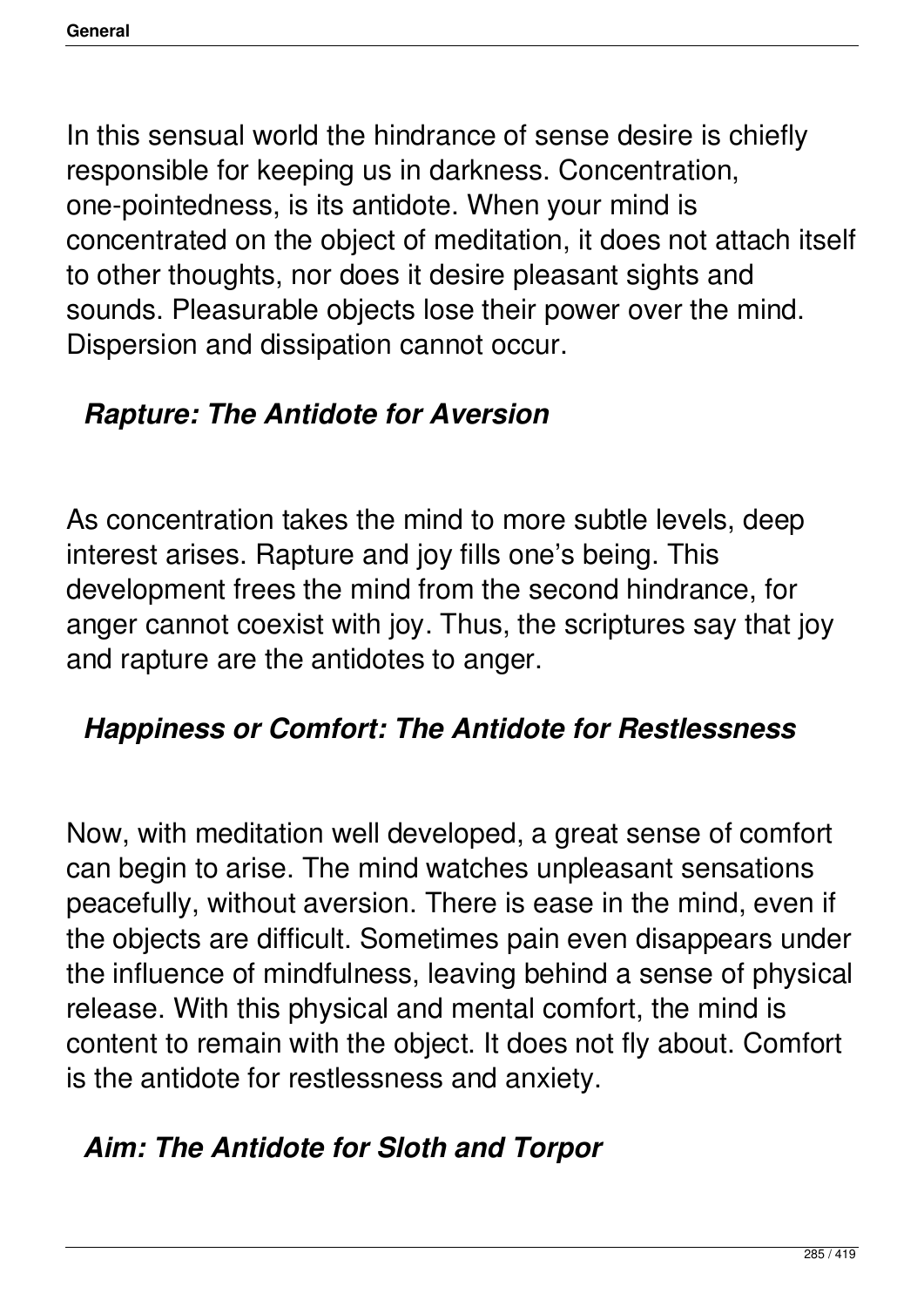In this sensual world the hindrance of sense desire is chiefly responsible for keeping us in darkness. Concentration, one-pointedness, is its antidote. When your mind is concentrated on the object of meditation, it does not attach itself to other thoughts, nor does it desire pleasant sights and sounds. Pleasurable objects lose their power over the mind. Dispersion and dissipation cannot occur.

## *Rapture: The Antidote for Aversion*

As concentration takes the mind to more subtle levels, deep interest arises. Rapture and joy fills one's being. This development frees the mind from the second hindrance, for anger cannot coexist with joy. Thus, the scriptures say that joy and rapture are the antidotes to anger.

## *Happiness or Comfort: The Antidote for Restlessness*

Now, with meditation well developed, a great sense of comfort can begin to arise. The mind watches unpleasant sensations peacefully, without aversion. There is ease in the mind, even if the objects are difficult. Sometimes pain even disappears under the influence of mindfulness, leaving behind a sense of physical release. With this physical and mental comfort, the mind is content to remain with the object. It does not fly about. Comfort is the antidote for restlessness and anxiety.

## *Aim: The Antidote for Sloth and Torpor*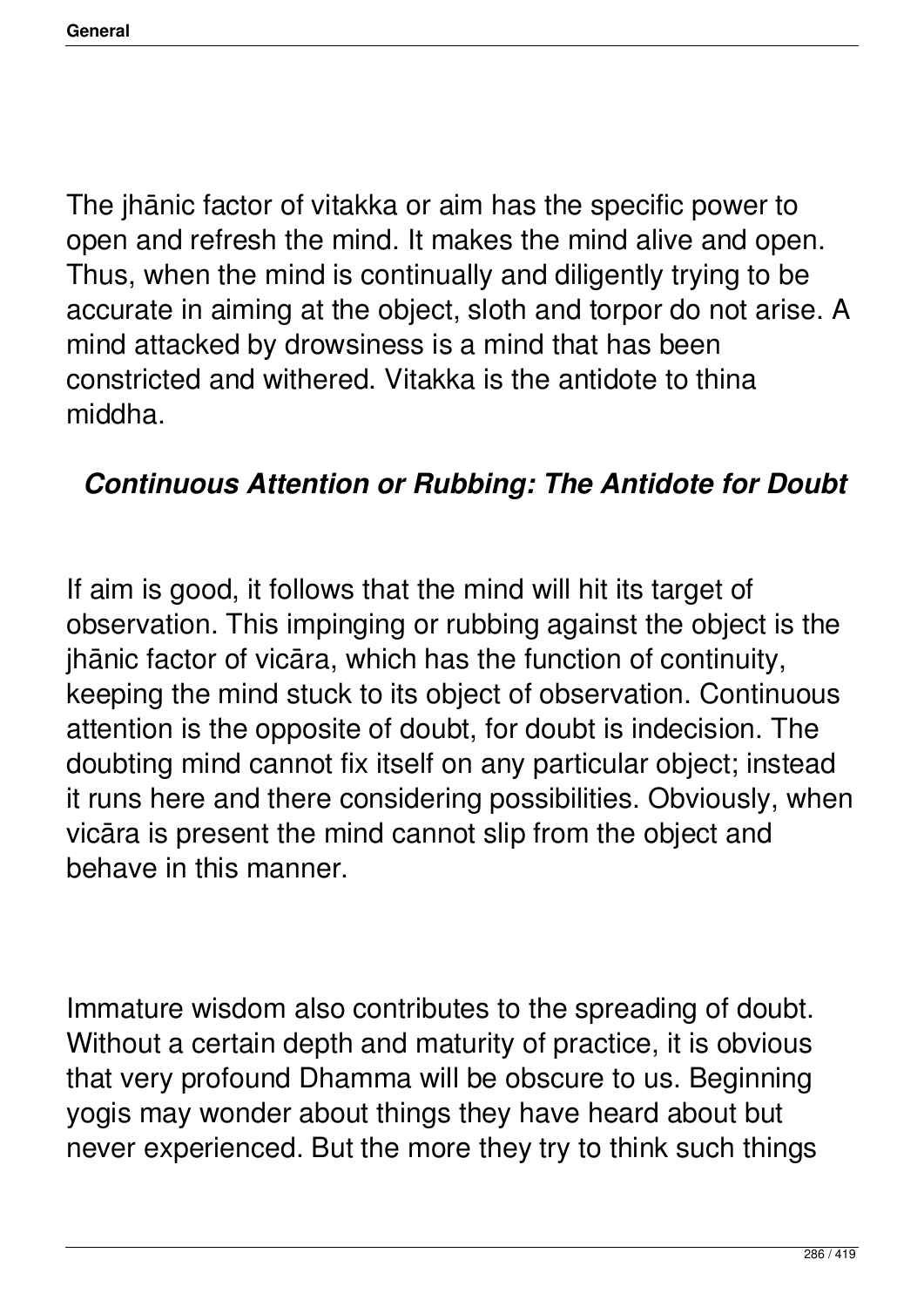The jhānic factor of vitakka or aim has the specific power to open and refresh the mind. It makes the mind alive and open. Thus, when the mind is continually and diligently trying to be accurate in aiming at the object, sloth and torpor do not arise. A mind attacked by drowsiness is a mind that has been constricted and withered. Vitakka is the antidote to thina middha.

#### *Continuous Attention or Rubbing: The Antidote for Doubt*

If aim is good, it follows that the mind will hit its target of observation. This impinging or rubbing against the object is the jhānic factor of vicāra, which has the function of continuity, keeping the mind stuck to its object of observation. Continuous attention is the opposite of doubt, for doubt is indecision. The doubting mind cannot fix itself on any particular object; instead it runs here and there considering possibilities. Obviously, when vicāra is present the mind cannot slip from the object and behave in this manner.

Immature wisdom also contributes to the spreading of doubt. Without a certain depth and maturity of practice, it is obvious that very profound Dhamma will be obscure to us. Beginning yogis may wonder about things they have heard about but never experienced. But the more they try to think such things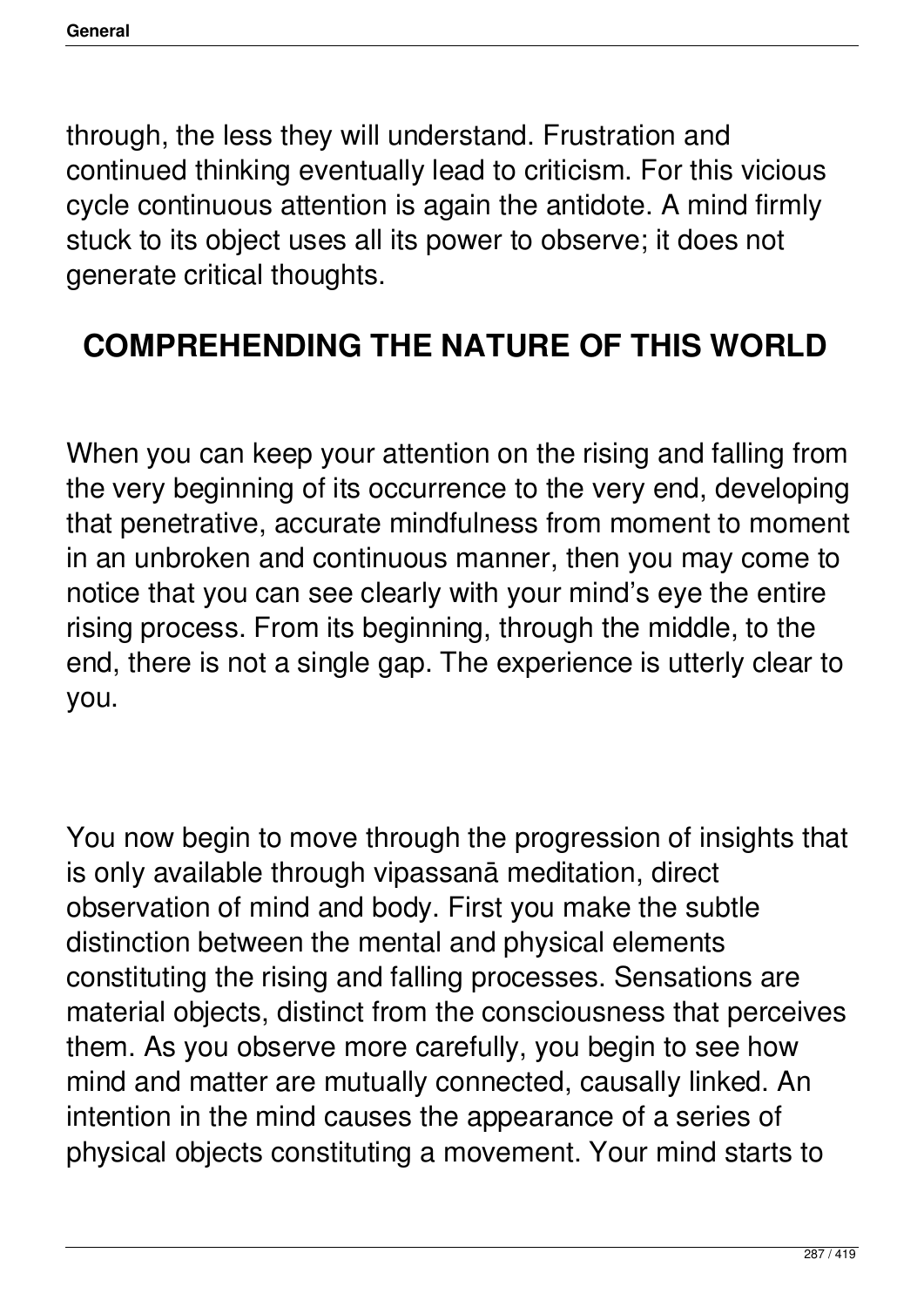through, the less they will understand. Frustration and continued thinking eventually lead to criticism. For this vicious cycle continuous attention is again the antidote. A mind firmly stuck to its object uses all its power to observe; it does not generate critical thoughts.

## **COMPREHENDING THE NATURE OF THIS WORLD**

When you can keep your attention on the rising and falling from the very beginning of its occurrence to the very end, developing that penetrative, accurate mindfulness from moment to moment in an unbroken and continuous manner, then you may come to notice that you can see clearly with your mind's eye the entire rising process. From its beginning, through the middle, to the end, there is not a single gap. The experience is utterly clear to you.

You now begin to move through the progression of insights that is only available through vipassanā meditation, direct observation of mind and body. First you make the subtle distinction between the mental and physical elements constituting the rising and falling processes. Sensations are material objects, distinct from the consciousness that perceives them. As you observe more carefully, you begin to see how mind and matter are mutually connected, causally linked. An intention in the mind causes the appearance of a series of physical objects constituting a movement. Your mind starts to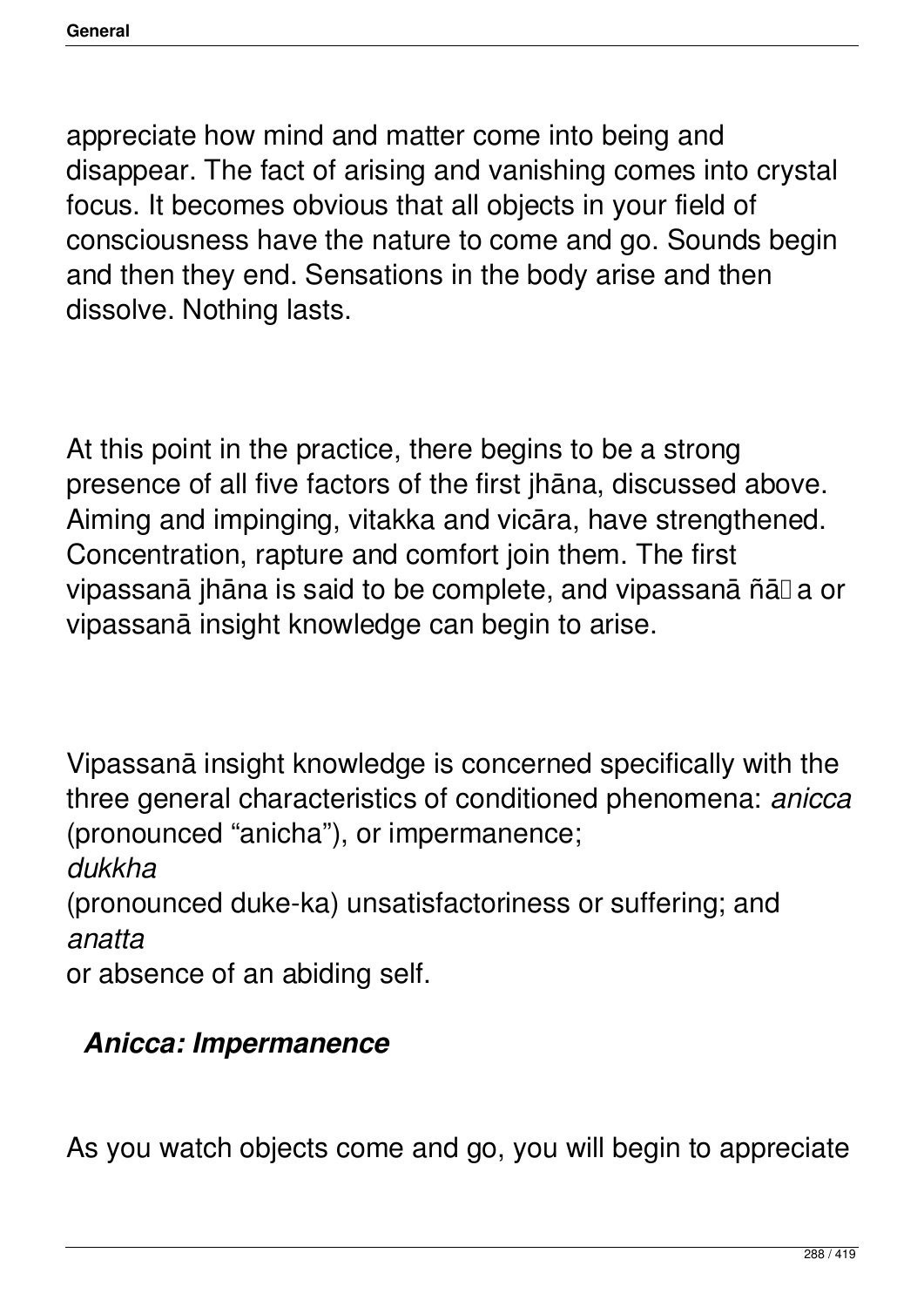appreciate how mind and matter come into being and disappear. The fact of arising and vanishing comes into crystal focus. It becomes obvious that all objects in your field of consciousness have the nature to come and go. Sounds begin and then they end. Sensations in the body arise and then dissolve. Nothing lasts.

At this point in the practice, there begins to be a strong presence of all five factors of the first jhāna, discussed above. Aiming and impinging, vitakka and vicāra, have strengthened. Concentration, rapture and comfort join them. The first vipassanā jhāna is said to be complete, and vipassanā ñāla or vipassanā insight knowledge can begin to arise.

Vipassanā insight knowledge is concerned specifically with the three general characteristics of conditioned phenomena: *anicca* (pronounced "anicha"), or impermanence;

*dukkha*

(pronounced duke-ka) unsatisfactoriness or suffering; and *anatta*

or absence of an abiding self.

#### *Anicca: Impermanence*

As you watch objects come and go, you will begin to appreciate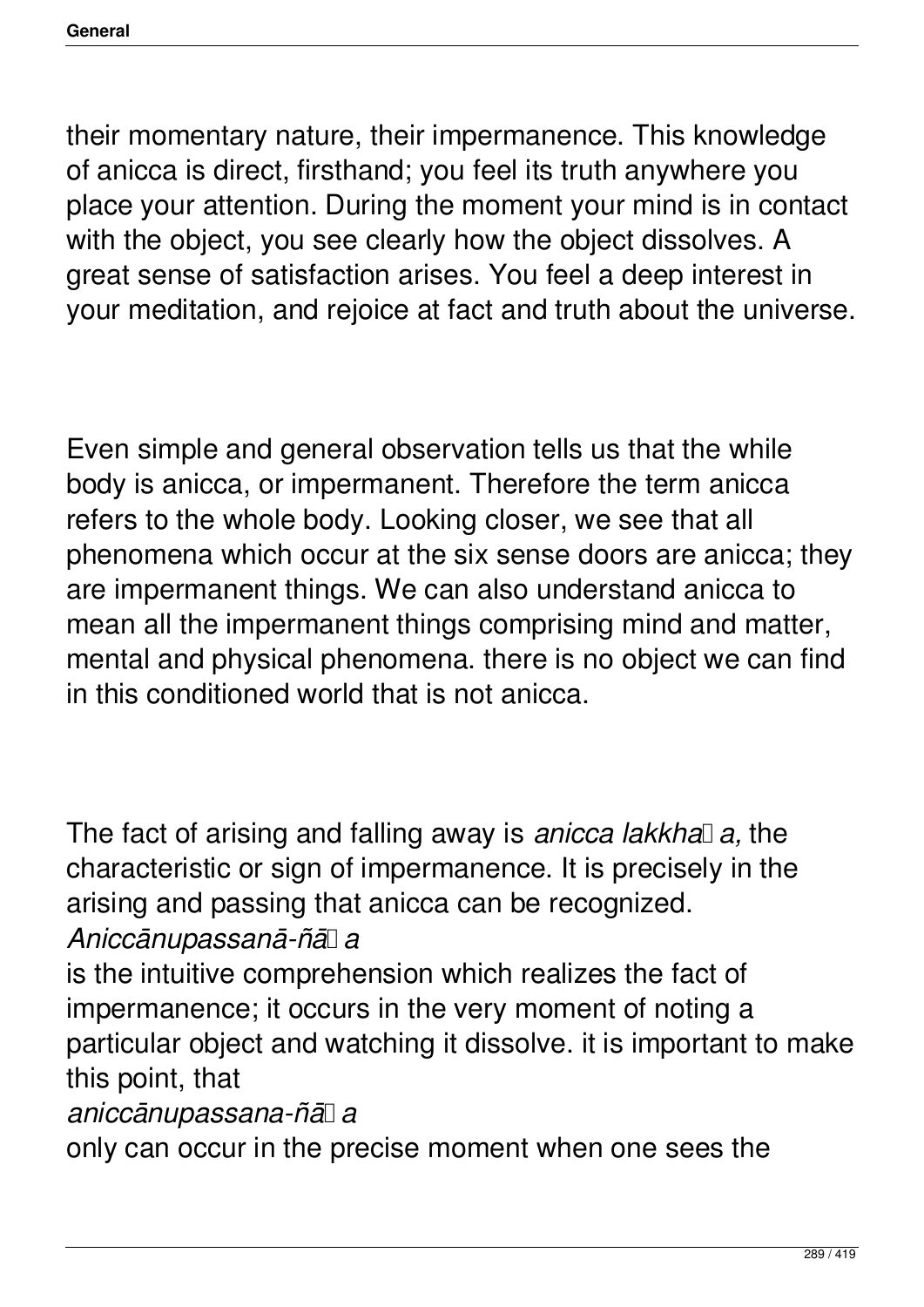their momentary nature, their impermanence. This knowledge of anicca is direct, firsthand; you feel its truth anywhere you place your attention. During the moment your mind is in contact with the object, you see clearly how the object dissolves. A great sense of satisfaction arises. You feel a deep interest in your meditation, and rejoice at fact and truth about the universe.

Even simple and general observation tells us that the while body is anicca, or impermanent. Therefore the term anicca refers to the whole body. Looking closer, we see that all phenomena which occur at the six sense doors are anicca; they are impermanent things. We can also understand anicca to mean all the impermanent things comprising mind and matter, mental and physical phenomena. there is no object we can find in this conditioned world that is not anicca.

The fact of arising and falling away is *anicca lakkha* a, the characteristic or sign of impermanence. It is precisely in the arising and passing that anicca can be recognized.

*Aniccānupassanā-ñāṇa*

is the intuitive comprehension which realizes the fact of impermanence; it occurs in the very moment of noting a particular object and watching it dissolve. it is important to make this point, that

*aniccānupassana-ñāṇa*

only can occur in the precise moment when one sees the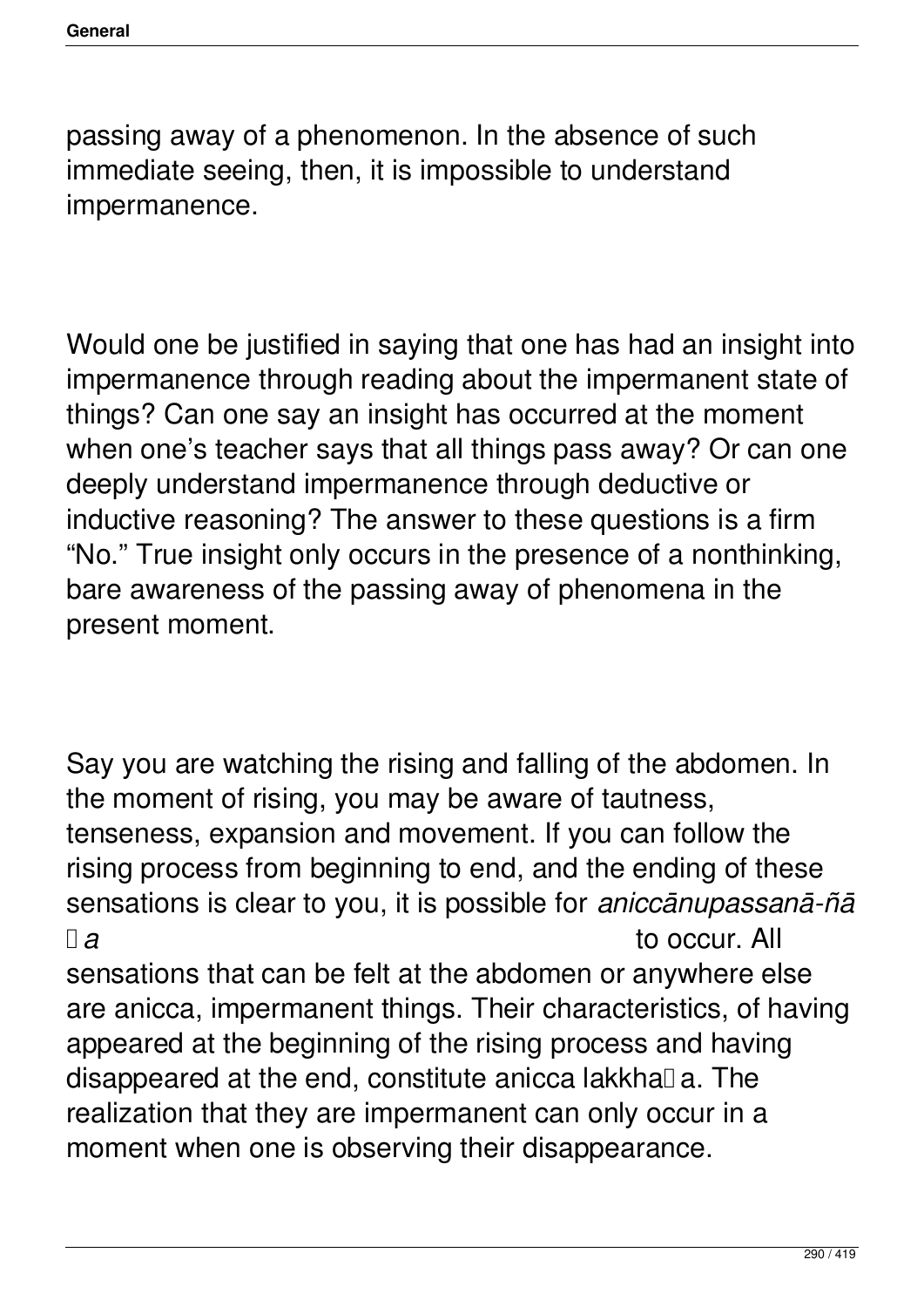passing away of a phenomenon. In the absence of such immediate seeing, then, it is impossible to understand impermanence.

Would one be justified in saying that one has had an insight into impermanence through reading about the impermanent state of things? Can one say an insight has occurred at the moment when one's teacher says that all things pass away? Or can one deeply understand impermanence through deductive or inductive reasoning? The answer to these questions is a firm "No." True insight only occurs in the presence of a nonthinking, bare awareness of the passing away of phenomena in the present moment.

Say you are watching the rising and falling of the abdomen. In the moment of rising, you may be aware of tautness, tenseness, expansion and movement. If you can follow the rising process from beginning to end, and the ending of these sensations is clear to you, it is possible for *aniccānupassanā-ñā ṇa* to occur. All sensations that can be felt at the abdomen or anywhere else are anicca, impermanent things. Their characteristics, of having appeared at the beginning of the rising process and having disappeared at the end, constitute anicca lakkhana. The realization that they are impermanent can only occur in a moment when one is observing their disappearance.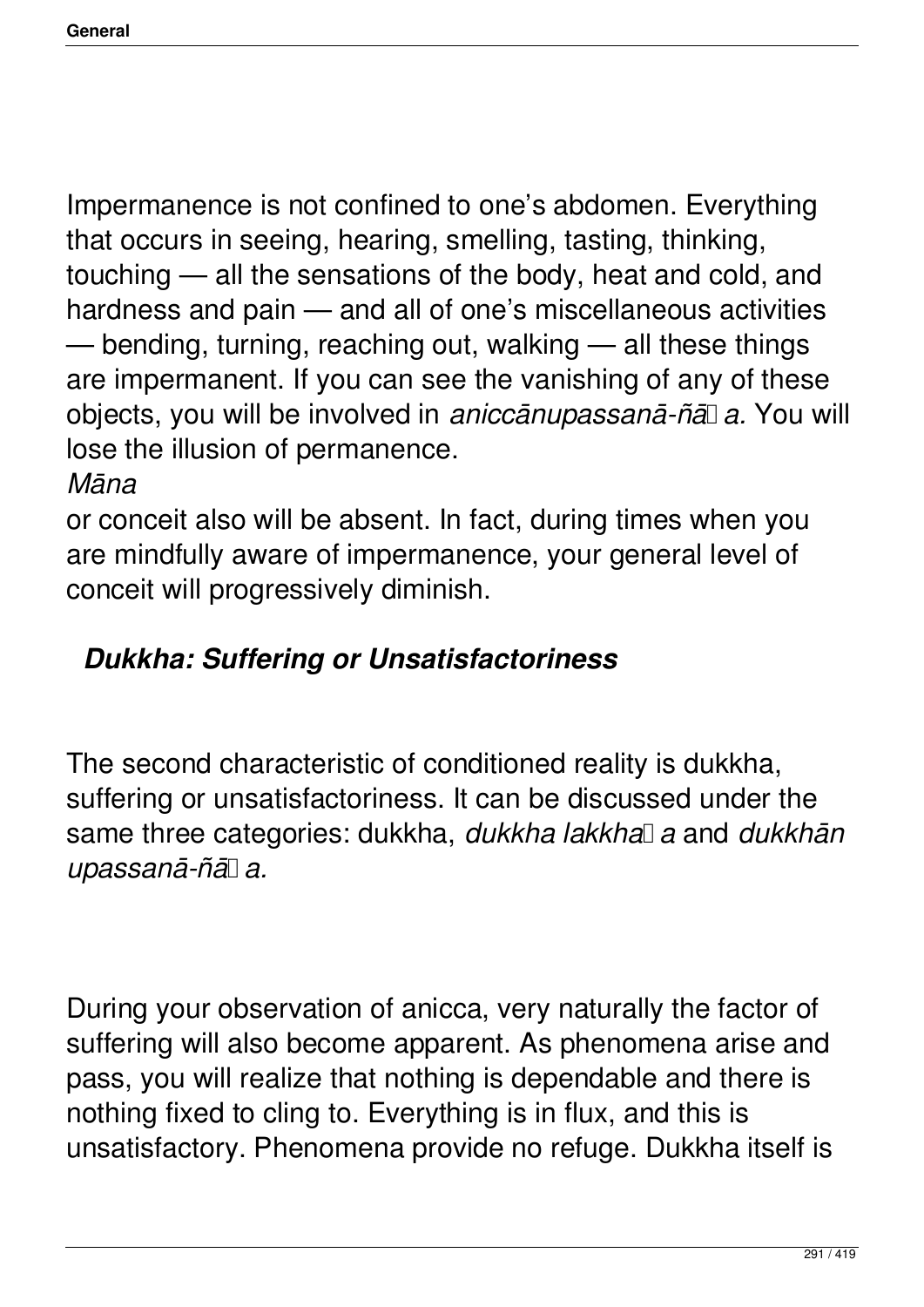Impermanence is not confined to one's abdomen. Everything that occurs in seeing, hearing, smelling, tasting, thinking, touching — all the sensations of the body, heat and cold, and hardness and pain — and all of one's miscellaneous activities — bending, turning, reaching out, walking — all these things are impermanent. If you can see the vanishing of any of these objects, you will be involved in *aniccānupassanā-ñāṇa.* You will lose the illusion of permanence.

#### *Māna*

or conceit also will be absent. In fact, during times when you are mindfully aware of impermanence, your general level of conceit will progressively diminish.

### *Dukkha: Suffering or Unsatisfactoriness*

The second characteristic of conditioned reality is dukkha, suffering or unsatisfactoriness. It can be discussed under the same three categories: dukkha, *dukkha lakkhaṇa* and *dukkhān upassanā-ñāṇa.*

During your observation of anicca, very naturally the factor of suffering will also become apparent. As phenomena arise and pass, you will realize that nothing is dependable and there is nothing fixed to cling to. Everything is in flux, and this is unsatisfactory. Phenomena provide no refuge. Dukkha itself is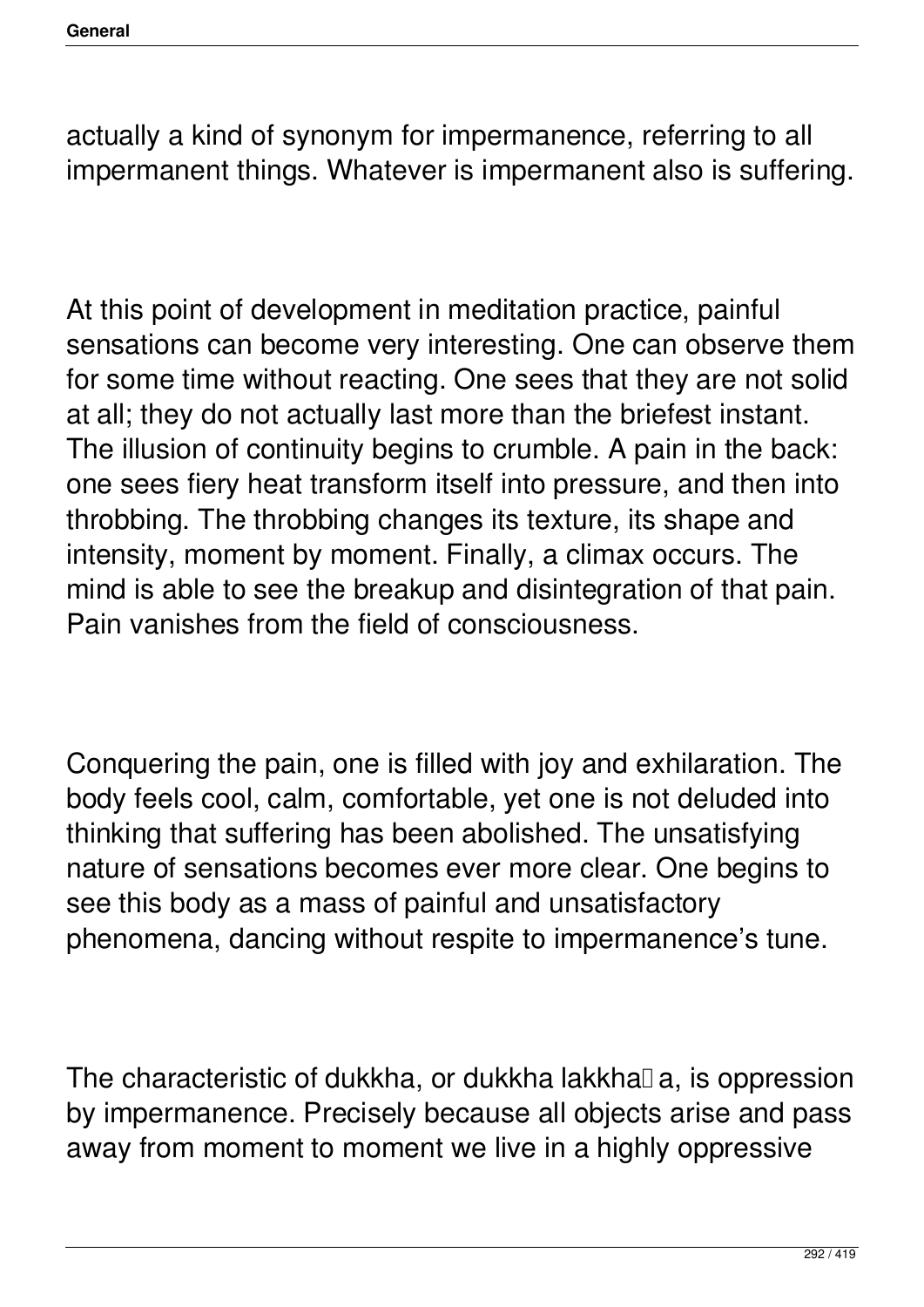actually a kind of synonym for impermanence, referring to all impermanent things. Whatever is impermanent also is suffering.

At this point of development in meditation practice, painful sensations can become very interesting. One can observe them for some time without reacting. One sees that they are not solid at all; they do not actually last more than the briefest instant. The illusion of continuity begins to crumble. A pain in the back: one sees fiery heat transform itself into pressure, and then into throbbing. The throbbing changes its texture, its shape and intensity, moment by moment. Finally, a climax occurs. The mind is able to see the breakup and disintegration of that pain. Pain vanishes from the field of consciousness.

Conquering the pain, one is filled with joy and exhilaration. The body feels cool, calm, comfortable, yet one is not deluded into thinking that suffering has been abolished. The unsatisfying nature of sensations becomes ever more clear. One begins to see this body as a mass of painful and unsatisfactory phenomena, dancing without respite to impermanence's tune.

The characteristic of dukkha, or dukkha lakkha $\Box$  a, is oppression by impermanence. Precisely because all objects arise and pass away from moment to moment we live in a highly oppressive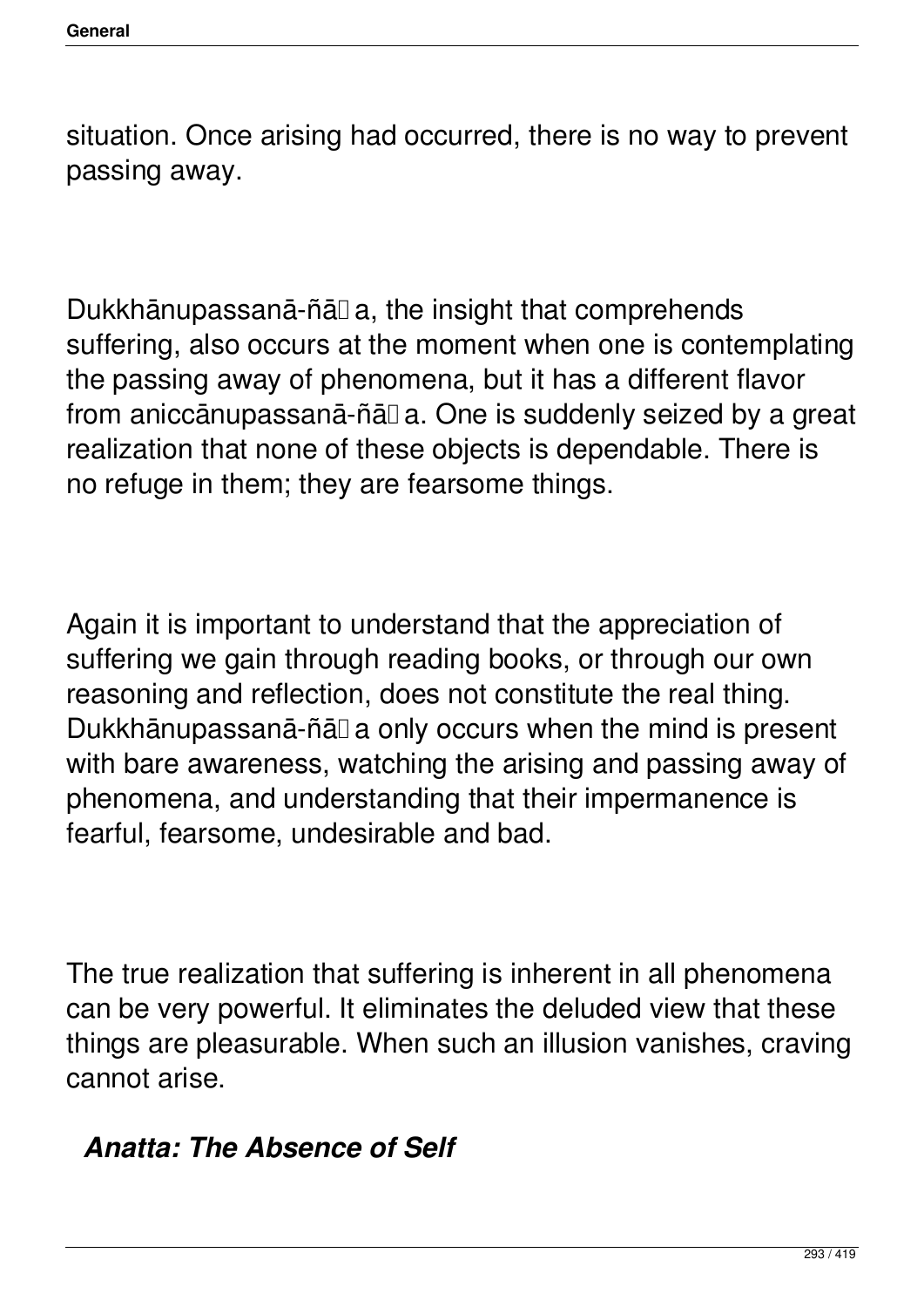situation. Once arising had occurred, there is no way to prevent passing away.

Dukkhānupassanā-ñāla, the insight that comprehends suffering, also occurs at the moment when one is contemplating the passing away of phenomena, but it has a different flavor from aniccānupassanā-ñāla. One is suddenly seized by a great realization that none of these objects is dependable. There is no refuge in them; they are fearsome things.

Again it is important to understand that the appreciation of suffering we gain through reading books, or through our own reasoning and reflection, does not constitute the real thing. Dukkhānupassanā-ñāla only occurs when the mind is present with bare awareness, watching the arising and passing away of phenomena, and understanding that their impermanence is fearful, fearsome, undesirable and bad.

The true realization that suffering is inherent in all phenomena can be very powerful. It eliminates the deluded view that these things are pleasurable. When such an illusion vanishes, craving cannot arise.

#### *Anatta: The Absence of Self*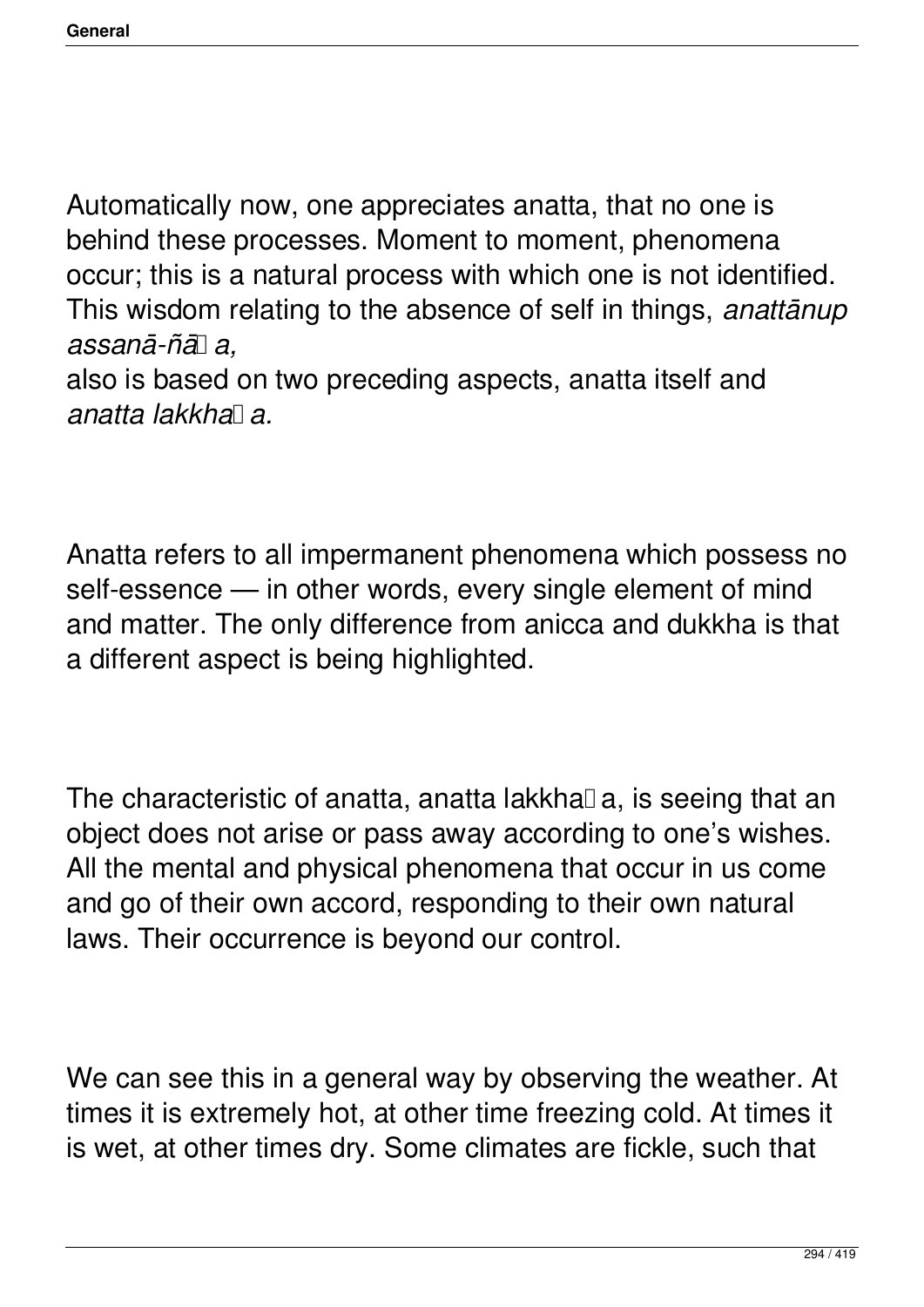Automatically now, one appreciates anatta, that no one is behind these processes. Moment to moment, phenomena occur; this is a natural process with which one is not identified. This wisdom relating to the absence of self in things, *anattānup assanā-ñāṇa,* also is based on two preceding aspects, anatta itself and *anatta lakkhaṇa.*

Anatta refers to all impermanent phenomena which possess no self-essence — in other words, every single element of mind and matter. The only difference from anicca and dukkha is that a different aspect is being highlighted.

The characteristic of anatta, anatta lakkha $\Box$  a, is seeing that an object does not arise or pass away according to one's wishes. All the mental and physical phenomena that occur in us come and go of their own accord, responding to their own natural laws. Their occurrence is beyond our control.

We can see this in a general way by observing the weather. At times it is extremely hot, at other time freezing cold. At times it is wet, at other times dry. Some climates are fickle, such that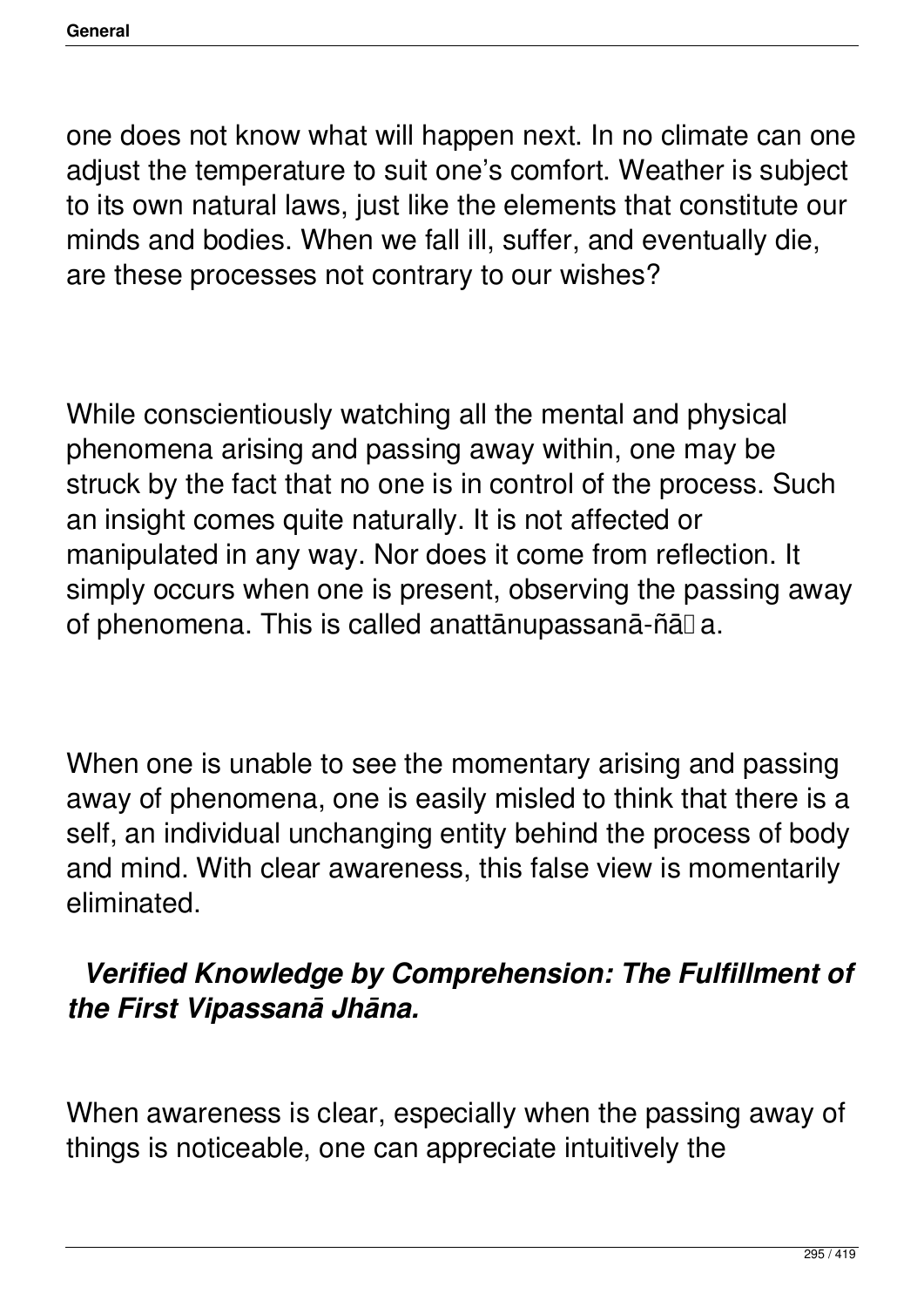one does not know what will happen next. In no climate can one adjust the temperature to suit one's comfort. Weather is subject to its own natural laws, just like the elements that constitute our minds and bodies. When we fall ill, suffer, and eventually die, are these processes not contrary to our wishes?

While conscientiously watching all the mental and physical phenomena arising and passing away within, one may be struck by the fact that no one is in control of the process. Such an insight comes quite naturally. It is not affected or manipulated in any way. Nor does it come from reflection. It simply occurs when one is present, observing the passing away of phenomena. This is called anattānupassanā-ñāla.

When one is unable to see the momentary arising and passing away of phenomena, one is easily misled to think that there is a self, an individual unchanging entity behind the process of body and mind. With clear awareness, this false view is momentarily eliminated.

### *Verified Knowledge by Comprehension: The Fulfillment of the First Vipassanā Jhāna.*

When awareness is clear, especially when the passing away of things is noticeable, one can appreciate intuitively the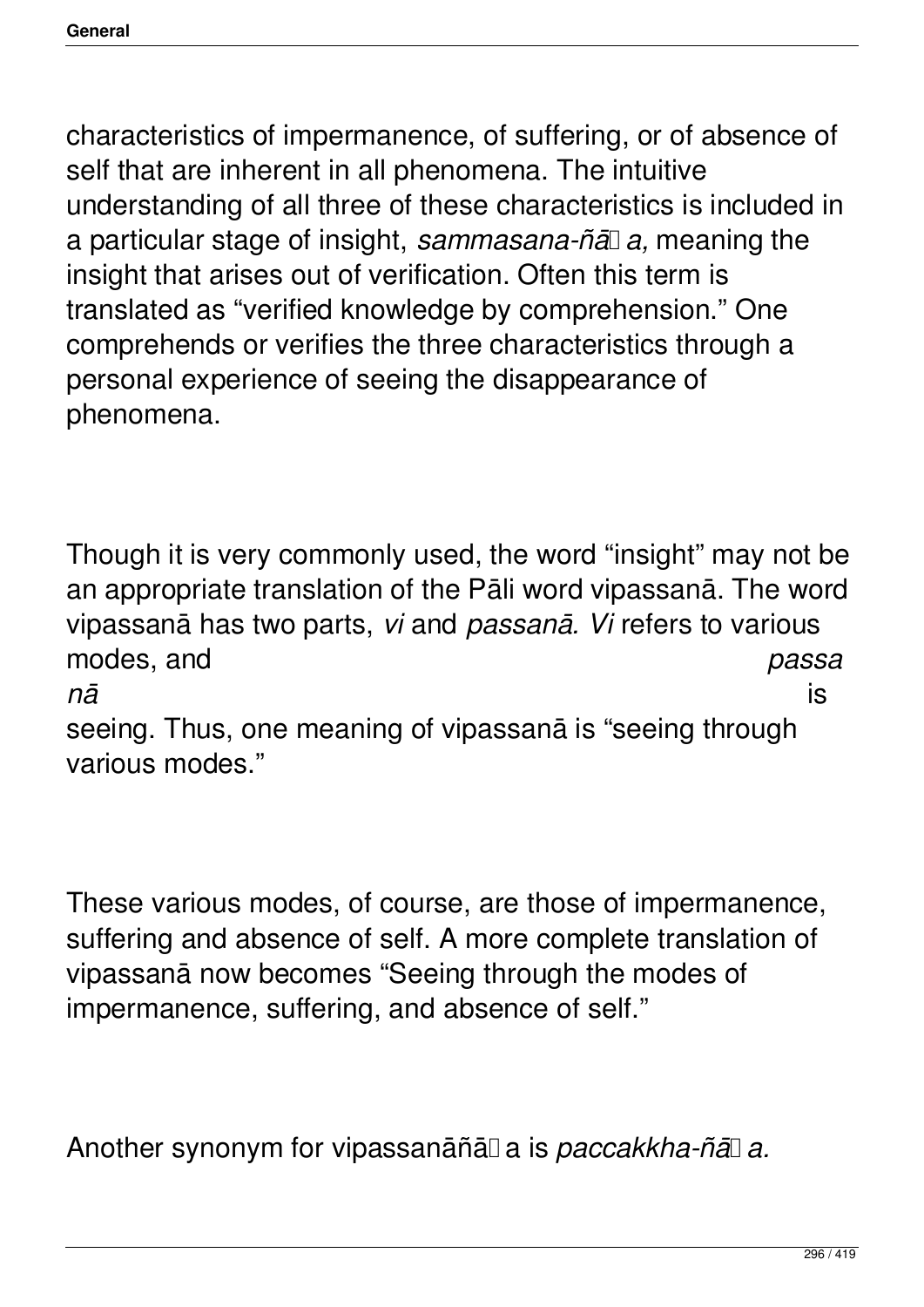characteristics of impermanence, of suffering, or of absence of self that are inherent in all phenomena. The intuitive understanding of all three of these characteristics is included in a particular stage of insight, *sammasana-ñā* a, meaning the insight that arises out of verification. Often this term is translated as "verified knowledge by comprehension." One comprehends or verifies the three characteristics through a personal experience of seeing the disappearance of phenomena.

Though it is very commonly used, the word "insight" may not be an appropriate translation of the Pāli word vipassanā. The word vipassanā has two parts, *vi* and *passanā. Vi* refers to various modes, and *passa nā* is a set of the contract of the contract of the contract of the contract of the contract of the contract of the contract of the contract of the contract of the contract of the contract of the contract of the contract seeing. Thus, one meaning of vipassanā is "seeing through various modes."

These various modes, of course, are those of impermanence, suffering and absence of self. A more complete translation of vipassanā now becomes "Seeing through the modes of impermanence, suffering, and absence of self."

Another synonym for vipassanāñā<sup>n</sup> a is *paccakkha-ñā*n a.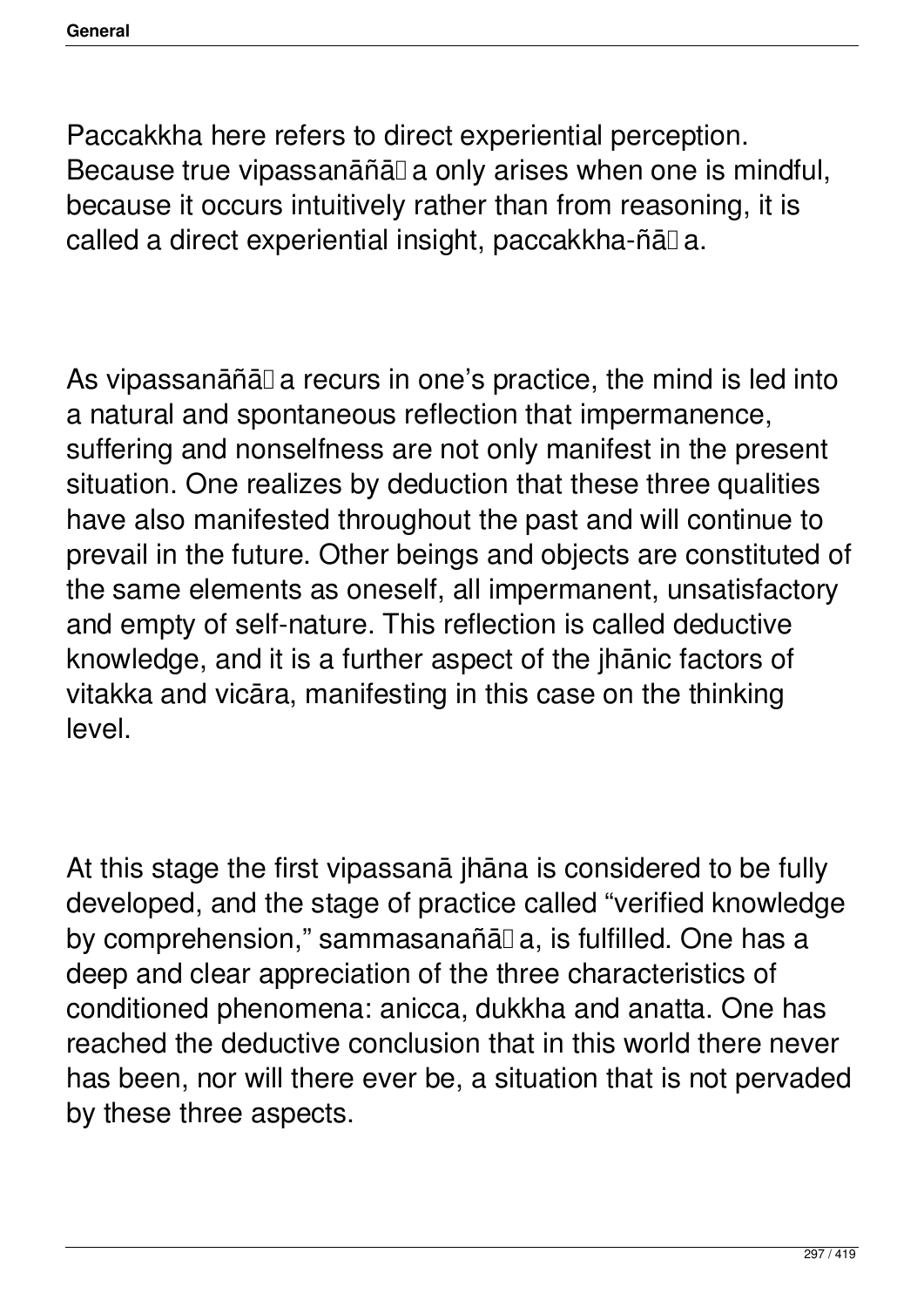Paccakkha here refers to direct experiential perception. Because true vipassanāñāla only arises when one is mindful, because it occurs intuitively rather than from reasoning, it is called a direct experiential insight, paccakkha-ñāla.

As vipassanāñāla recurs in one's practice, the mind is led into a natural and spontaneous reflection that impermanence, suffering and nonselfness are not only manifest in the present situation. One realizes by deduction that these three qualities have also manifested throughout the past and will continue to prevail in the future. Other beings and objects are constituted of the same elements as oneself, all impermanent, unsatisfactory and empty of self-nature. This reflection is called deductive knowledge, and it is a further aspect of the jhānic factors of vitakka and vicāra, manifesting in this case on the thinking level.

At this stage the first vipassanā jhāna is considered to be fully developed, and the stage of practice called "verified knowledge by comprehension," sammasanañāla, is fulfilled. One has a deep and clear appreciation of the three characteristics of conditioned phenomena: anicca, dukkha and anatta. One has reached the deductive conclusion that in this world there never has been, nor will there ever be, a situation that is not pervaded by these three aspects.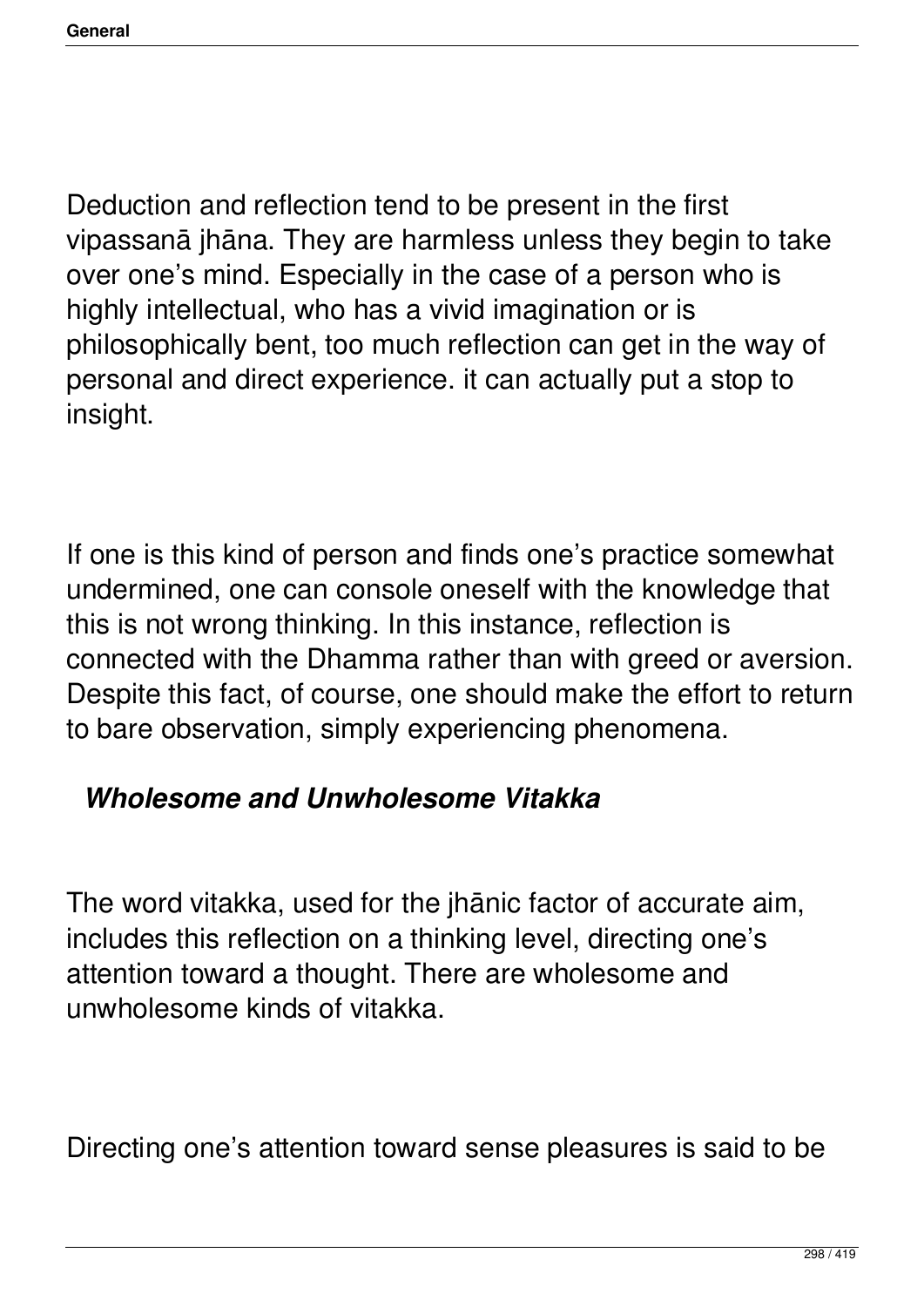Deduction and reflection tend to be present in the first vipassanā jhāna. They are harmless unless they begin to take over one's mind. Especially in the case of a person who is highly intellectual, who has a vivid imagination or is philosophically bent, too much reflection can get in the way of personal and direct experience. it can actually put a stop to insight.

If one is this kind of person and finds one's practice somewhat undermined, one can console oneself with the knowledge that this is not wrong thinking. In this instance, reflection is connected with the Dhamma rather than with greed or aversion. Despite this fact, of course, one should make the effort to return to bare observation, simply experiencing phenomena.

#### *Wholesome and Unwholesome Vitakka*

The word vitakka, used for the jhānic factor of accurate aim, includes this reflection on a thinking level, directing one's attention toward a thought. There are wholesome and unwholesome kinds of vitakka.

Directing one's attention toward sense pleasures is said to be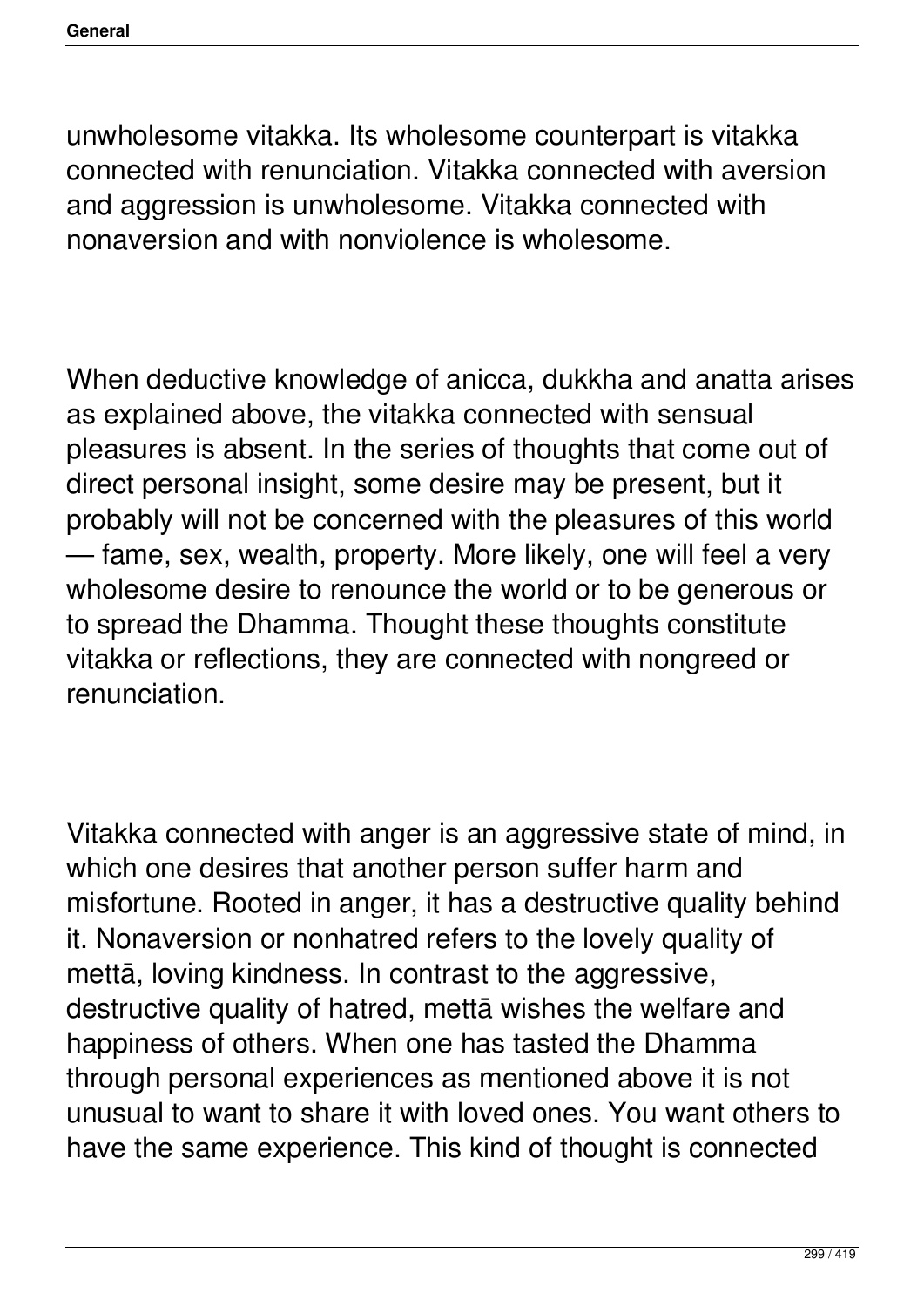unwholesome vitakka. Its wholesome counterpart is vitakka connected with renunciation. Vitakka connected with aversion and aggression is unwholesome. Vitakka connected with nonaversion and with nonviolence is wholesome.

When deductive knowledge of anicca, dukkha and anatta arises as explained above, the vitakka connected with sensual pleasures is absent. In the series of thoughts that come out of direct personal insight, some desire may be present, but it probably will not be concerned with the pleasures of this world — fame, sex, wealth, property. More likely, one will feel a very wholesome desire to renounce the world or to be generous or to spread the Dhamma. Thought these thoughts constitute vitakka or reflections, they are connected with nongreed or renunciation.

Vitakka connected with anger is an aggressive state of mind, in which one desires that another person suffer harm and misfortune. Rooted in anger, it has a destructive quality behind it. Nonaversion or nonhatred refers to the lovely quality of mettā, loving kindness. In contrast to the aggressive, destructive quality of hatred, mettā wishes the welfare and happiness of others. When one has tasted the Dhamma through personal experiences as mentioned above it is not unusual to want to share it with loved ones. You want others to have the same experience. This kind of thought is connected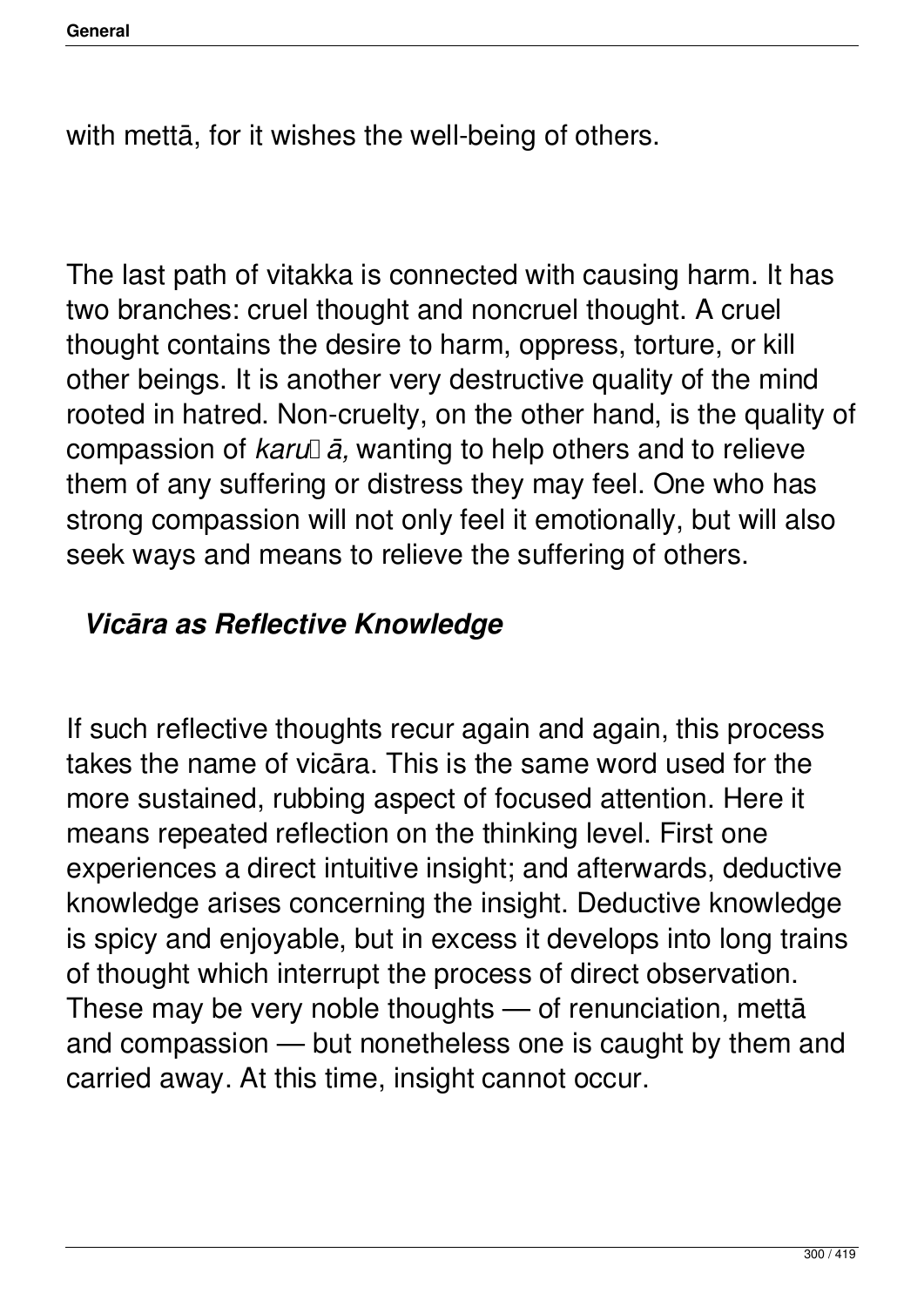with mettā, for it wishes the well-being of others.

The last path of vitakka is connected with causing harm. It has two branches: cruel thought and noncruel thought. A cruel thought contains the desire to harm, oppress, torture, or kill other beings. It is another very destructive quality of the mind rooted in hatred. Non-cruelty, on the other hand, is the quality of compassion of *karu*<sup> $\bar{a}$ </sup>, wanting to help others and to relieve them of any suffering or distress they may feel. One who has strong compassion will not only feel it emotionally, but will also seek ways and means to relieve the suffering of others.

### *Vicāra as Reflective Knowledge*

If such reflective thoughts recur again and again, this process takes the name of vicāra. This is the same word used for the more sustained, rubbing aspect of focused attention. Here it means repeated reflection on the thinking level. First one experiences a direct intuitive insight; and afterwards, deductive knowledge arises concerning the insight. Deductive knowledge is spicy and enjoyable, but in excess it develops into long trains of thought which interrupt the process of direct observation. These may be very noble thoughts — of renunciation, mettā and compassion — but nonetheless one is caught by them and carried away. At this time, insight cannot occur.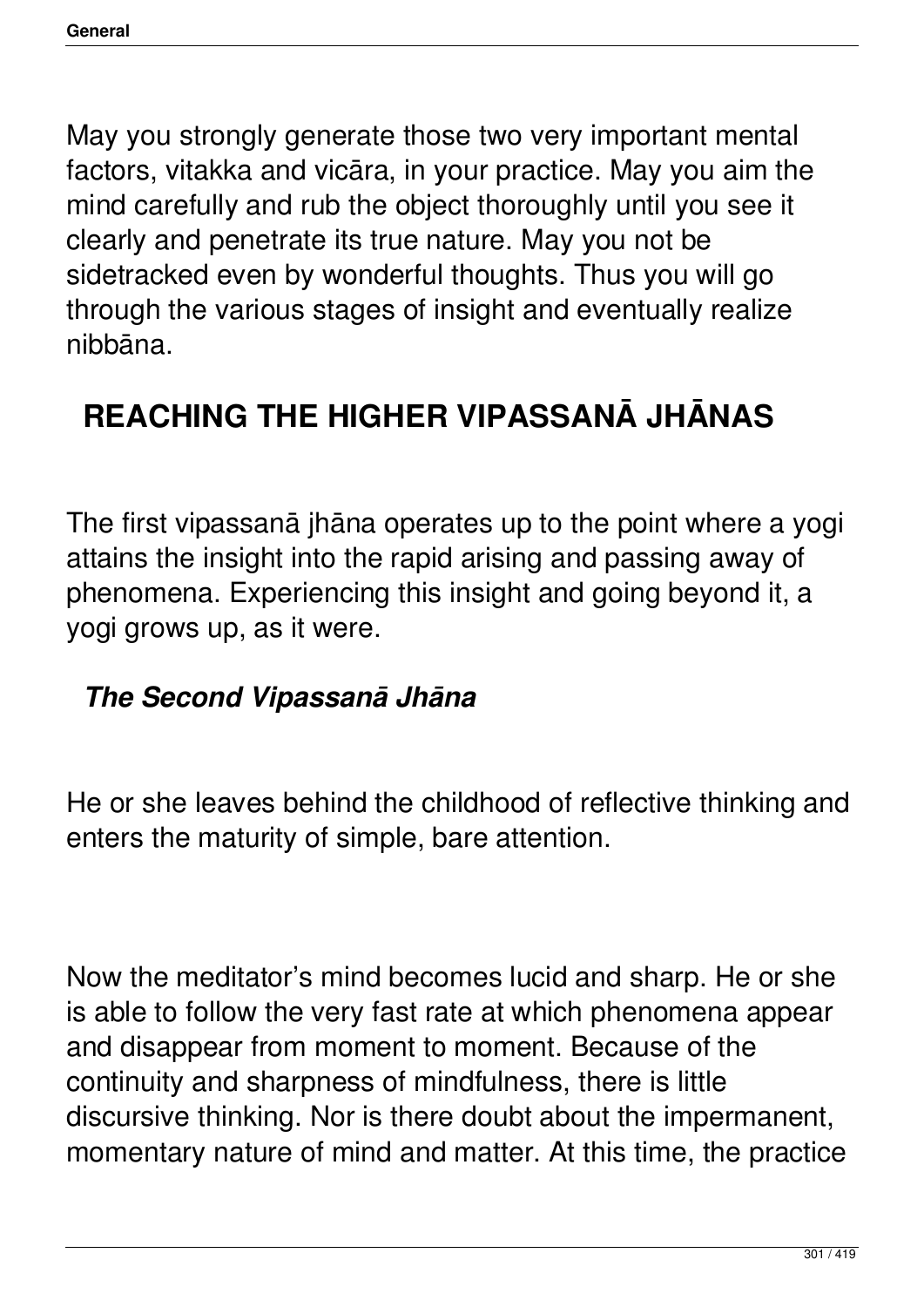May you strongly generate those two very important mental factors, vitakka and vicāra, in your practice. May you aim the mind carefully and rub the object thoroughly until you see it clearly and penetrate its true nature. May you not be sidetracked even by wonderful thoughts. Thus you will go through the various stages of insight and eventually realize nibbāna.

## **REACHING THE HIGHER VIPASSANĀ JHĀNAS**

The first vipassanā jhāna operates up to the point where a yogi attains the insight into the rapid arising and passing away of phenomena. Experiencing this insight and going beyond it, a yogi grows up, as it were.

### *The Second Vipassanā Jhāna*

He or she leaves behind the childhood of reflective thinking and enters the maturity of simple, bare attention.

Now the meditator's mind becomes lucid and sharp. He or she is able to follow the very fast rate at which phenomena appear and disappear from moment to moment. Because of the continuity and sharpness of mindfulness, there is little discursive thinking. Nor is there doubt about the impermanent, momentary nature of mind and matter. At this time, the practice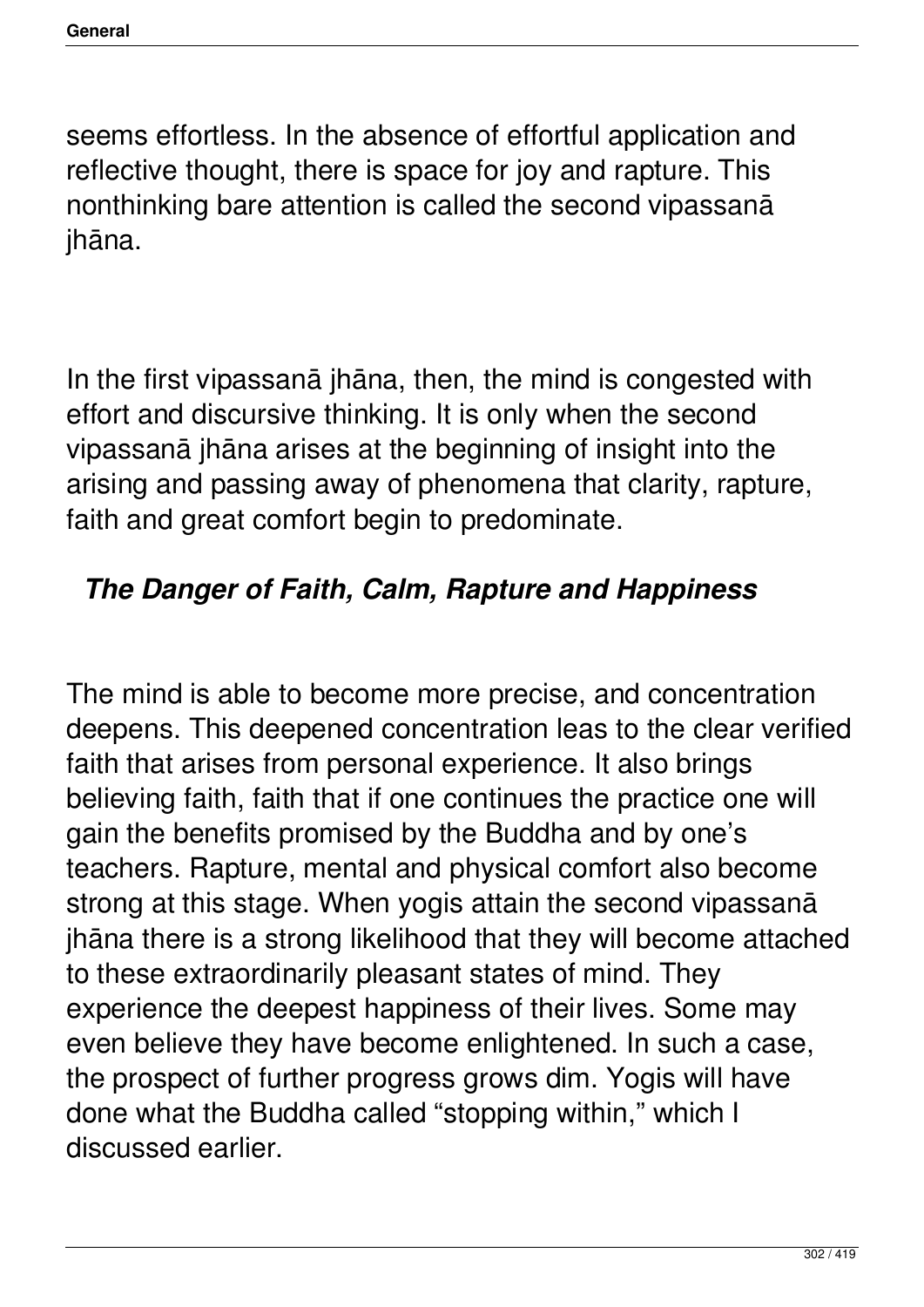seems effortless. In the absence of effortful application and reflective thought, there is space for joy and rapture. This nonthinking bare attention is called the second vipassanā jhāna.

In the first vipassanā jhāna, then, the mind is congested with effort and discursive thinking. It is only when the second vipassanā jhāna arises at the beginning of insight into the arising and passing away of phenomena that clarity, rapture, faith and great comfort begin to predominate.

### *The Danger of Faith, Calm, Rapture and Happiness*

The mind is able to become more precise, and concentration deepens. This deepened concentration leas to the clear verified faith that arises from personal experience. It also brings believing faith, faith that if one continues the practice one will gain the benefits promised by the Buddha and by one's teachers. Rapture, mental and physical comfort also become strong at this stage. When yogis attain the second vipassanā jhāna there is a strong likelihood that they will become attached to these extraordinarily pleasant states of mind. They experience the deepest happiness of their lives. Some may even believe they have become enlightened. In such a case, the prospect of further progress grows dim. Yogis will have done what the Buddha called "stopping within," which I discussed earlier.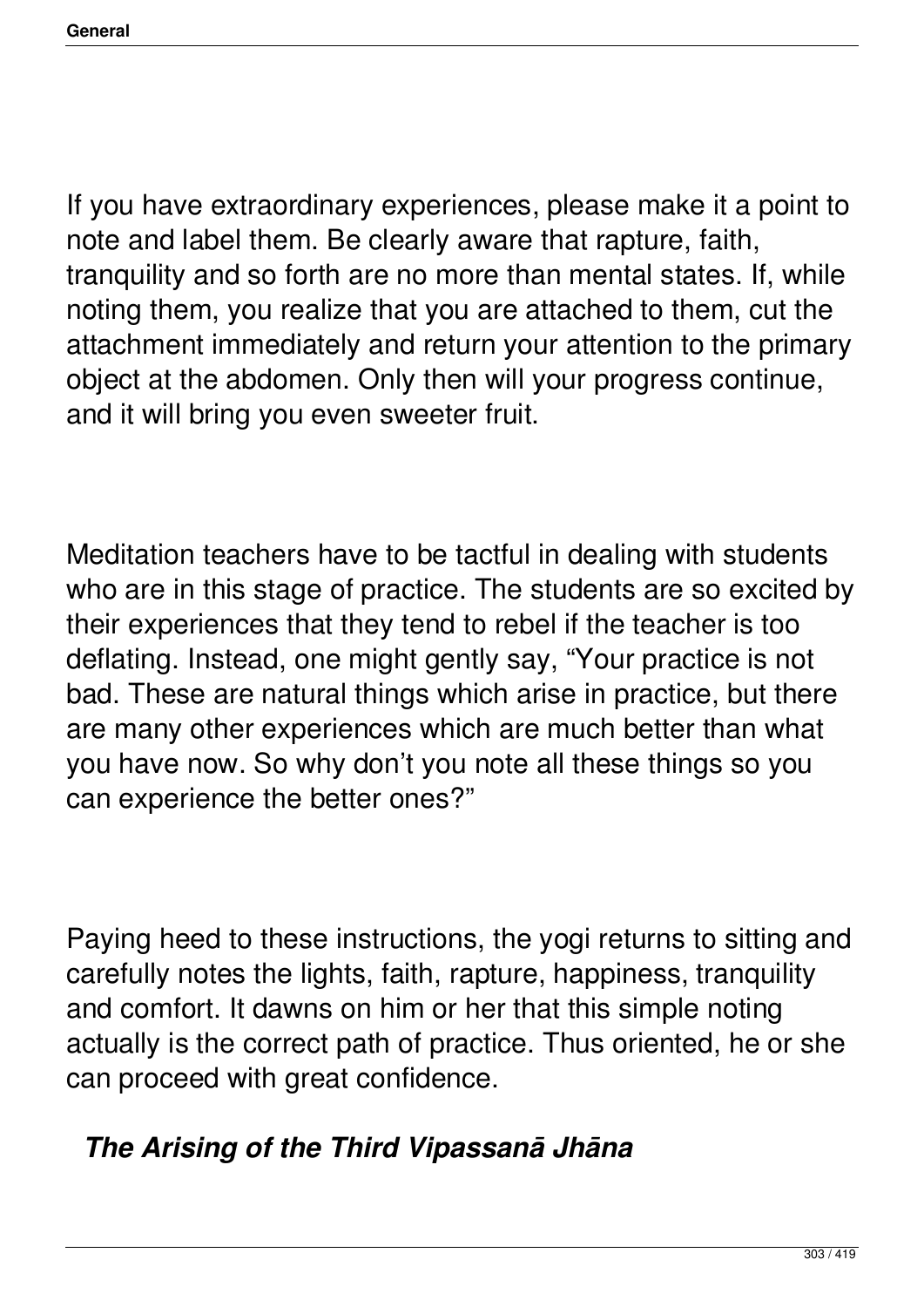If you have extraordinary experiences, please make it a point to note and label them. Be clearly aware that rapture, faith, tranquility and so forth are no more than mental states. If, while noting them, you realize that you are attached to them, cut the attachment immediately and return your attention to the primary object at the abdomen. Only then will your progress continue, and it will bring you even sweeter fruit.

Meditation teachers have to be tactful in dealing with students who are in this stage of practice. The students are so excited by their experiences that they tend to rebel if the teacher is too deflating. Instead, one might gently say, "Your practice is not bad. These are natural things which arise in practice, but there are many other experiences which are much better than what you have now. So why don't you note all these things so you can experience the better ones?"

Paying heed to these instructions, the yogi returns to sitting and carefully notes the lights, faith, rapture, happiness, tranquility and comfort. It dawns on him or her that this simple noting actually is the correct path of practice. Thus oriented, he or she can proceed with great confidence.

#### *The Arising of the Third Vipassanā Jhāna*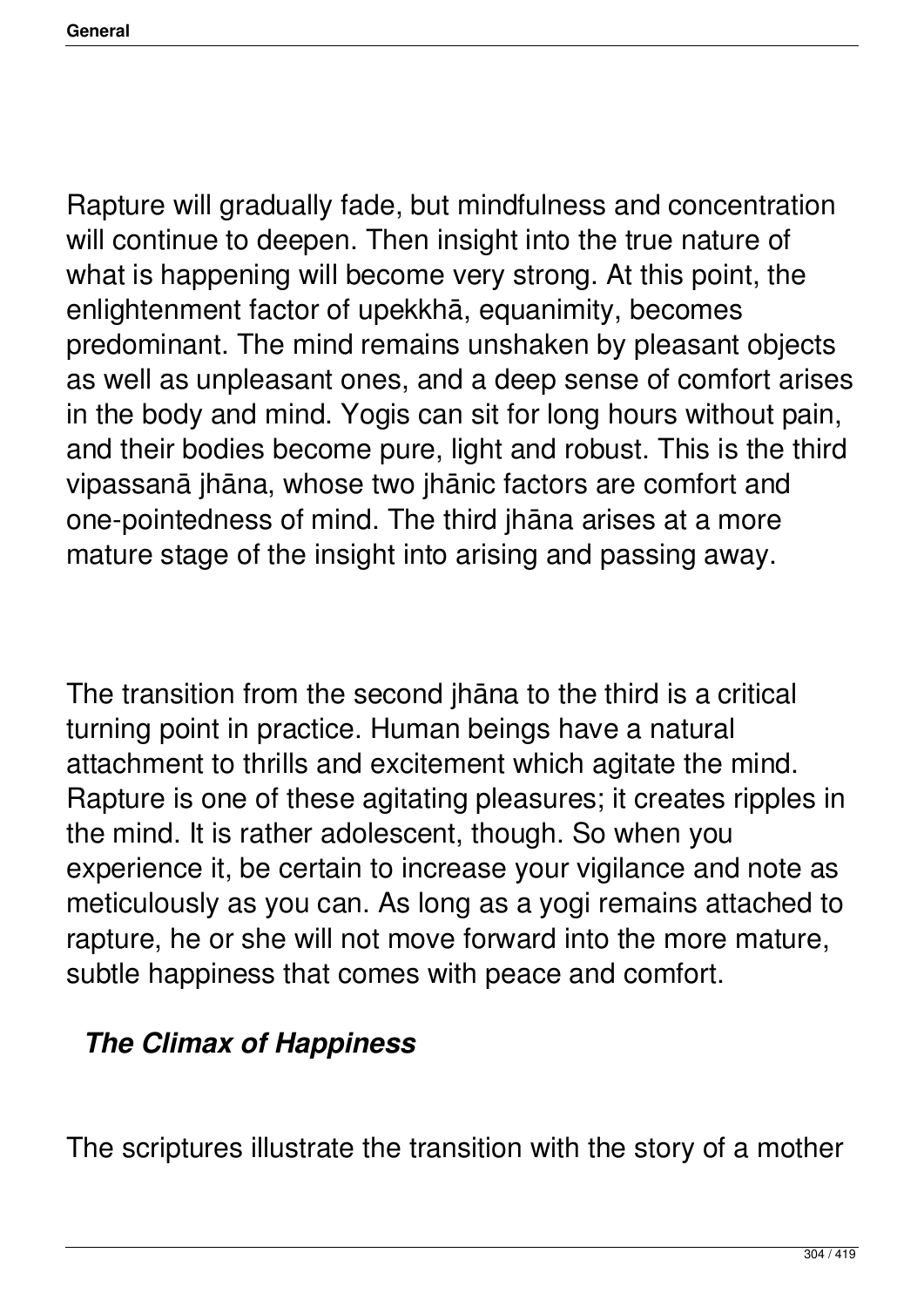Rapture will gradually fade, but mindfulness and concentration will continue to deepen. Then insight into the true nature of what is happening will become very strong. At this point, the enlightenment factor of upekkhā, equanimity, becomes predominant. The mind remains unshaken by pleasant objects as well as unpleasant ones, and a deep sense of comfort arises in the body and mind. Yogis can sit for long hours without pain, and their bodies become pure, light and robust. This is the third vipassanā jhāna, whose two jhānic factors are comfort and one-pointedness of mind. The third jhāna arises at a more mature stage of the insight into arising and passing away.

The transition from the second jhāna to the third is a critical turning point in practice. Human beings have a natural attachment to thrills and excitement which agitate the mind. Rapture is one of these agitating pleasures; it creates ripples in the mind. It is rather adolescent, though. So when you experience it, be certain to increase your vigilance and note as meticulously as you can. As long as a yogi remains attached to rapture, he or she will not move forward into the more mature, subtle happiness that comes with peace and comfort.

### *The Climax of Happiness*

The scriptures illustrate the transition with the story of a mother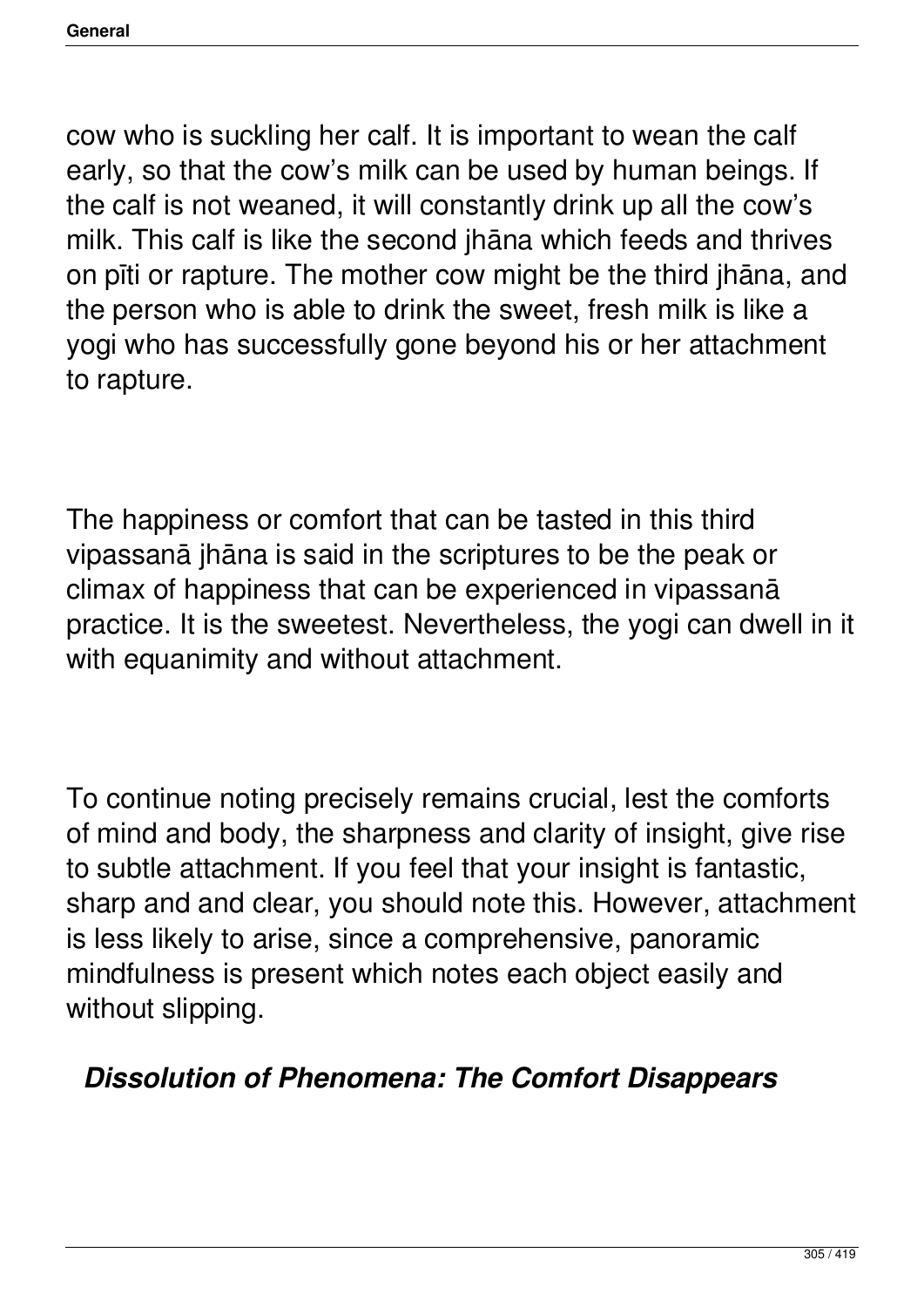cow who is suckling her calf. It is important to wean the calf early, so that the cow's milk can be used by human beings. If the calf is not weaned, it will constantly drink up all the cow's milk. This calf is like the second jhāna which feeds and thrives on pīti or rapture. The mother cow might be the third jhāna, and the person who is able to drink the sweet, fresh milk is like a yogi who has successfully gone beyond his or her attachment to rapture.

The happiness or comfort that can be tasted in this third vipassanā jhāna is said in the scriptures to be the peak or climax of happiness that can be experienced in vipassanā practice. It is the sweetest. Nevertheless, the yogi can dwell in it with equanimity and without attachment.

To continue noting precisely remains crucial, lest the comforts of mind and body, the sharpness and clarity of insight, give rise to subtle attachment. If you feel that your insight is fantastic, sharp and and clear, you should note this. However, attachment is less likely to arise, since a comprehensive, panoramic mindfulness is present which notes each object easily and without slipping.

#### *Dissolution of Phenomena: The Comfort Disappears*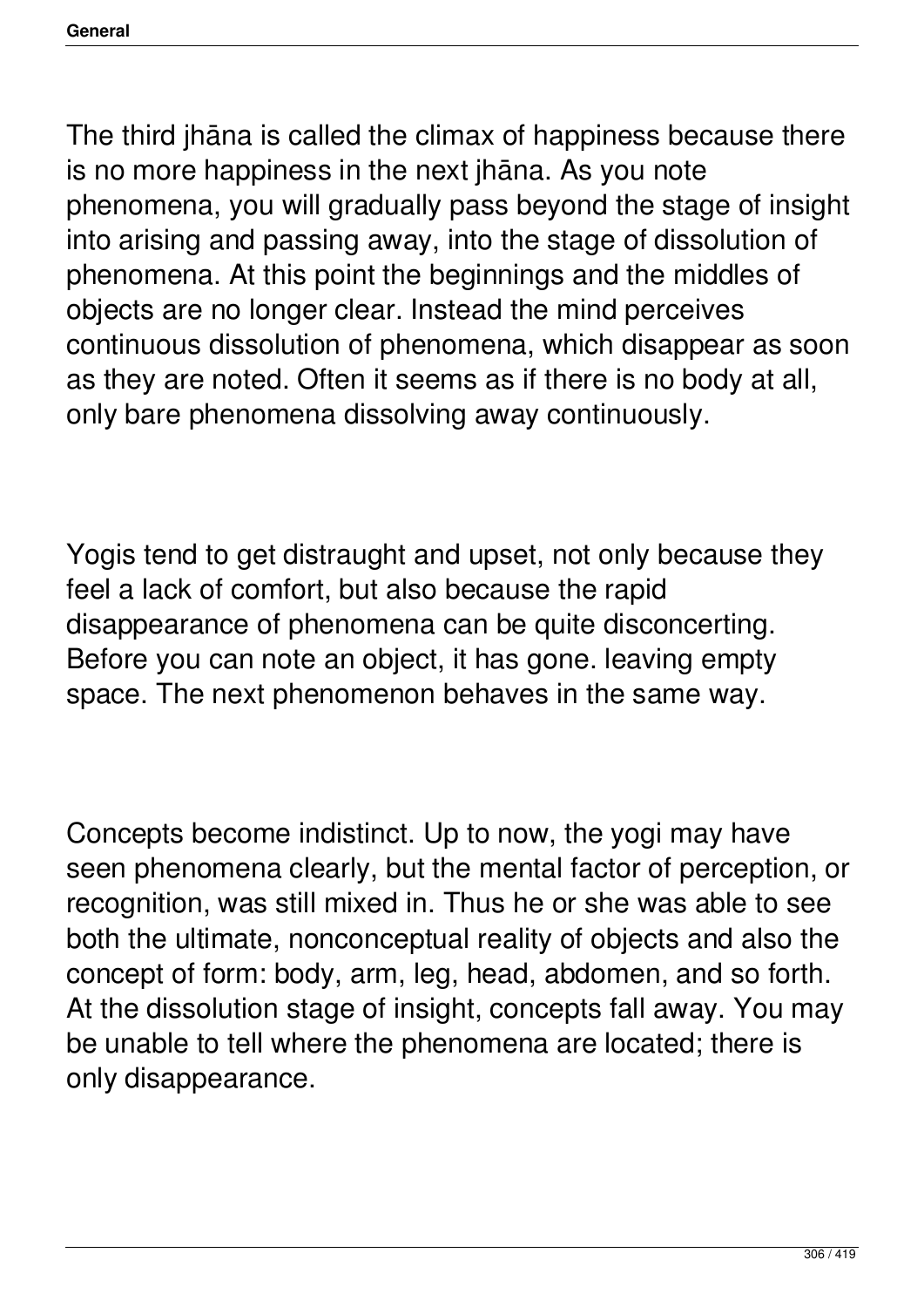The third jhāna is called the climax of happiness because there is no more happiness in the next jhāna. As you note phenomena, you will gradually pass beyond the stage of insight into arising and passing away, into the stage of dissolution of phenomena. At this point the beginnings and the middles of objects are no longer clear. Instead the mind perceives continuous dissolution of phenomena, which disappear as soon as they are noted. Often it seems as if there is no body at all, only bare phenomena dissolving away continuously.

Yogis tend to get distraught and upset, not only because they feel a lack of comfort, but also because the rapid disappearance of phenomena can be quite disconcerting. Before you can note an object, it has gone. leaving empty space. The next phenomenon behaves in the same way.

Concepts become indistinct. Up to now, the yogi may have seen phenomena clearly, but the mental factor of perception, or recognition, was still mixed in. Thus he or she was able to see both the ultimate, nonconceptual reality of objects and also the concept of form: body, arm, leg, head, abdomen, and so forth. At the dissolution stage of insight, concepts fall away. You may be unable to tell where the phenomena are located; there is only disappearance.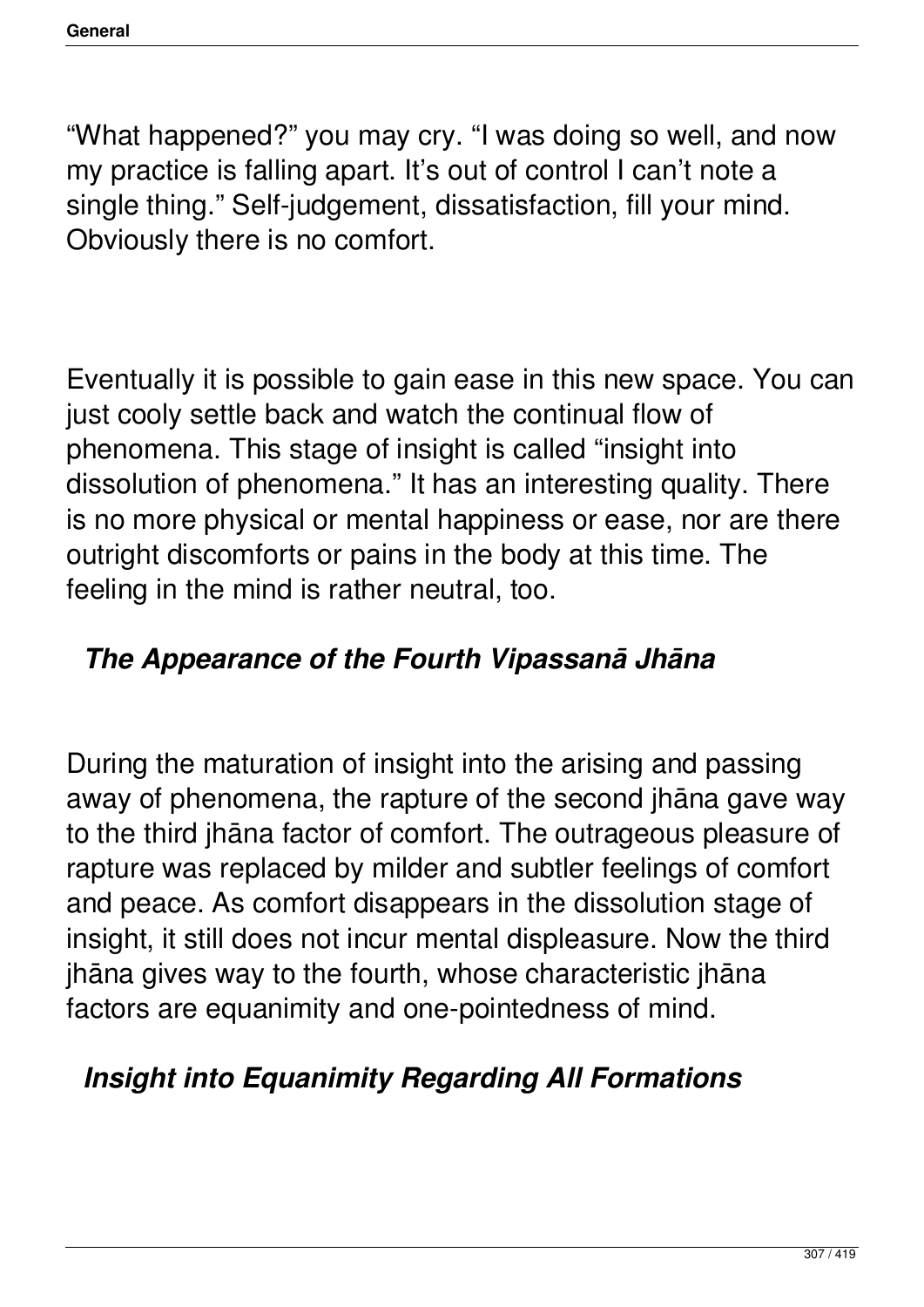"What happened?" you may cry. "I was doing so well, and now my practice is falling apart. It's out of control I can't note a single thing." Self-judgement, dissatisfaction, fill your mind. Obviously there is no comfort.

Eventually it is possible to gain ease in this new space. You can just cooly settle back and watch the continual flow of phenomena. This stage of insight is called "insight into dissolution of phenomena." It has an interesting quality. There is no more physical or mental happiness or ease, nor are there outright discomforts or pains in the body at this time. The feeling in the mind is rather neutral, too.

### *The Appearance of the Fourth Vipassanā Jhāna*

During the maturation of insight into the arising and passing away of phenomena, the rapture of the second jhāna gave way to the third jhāna factor of comfort. The outrageous pleasure of rapture was replaced by milder and subtler feelings of comfort and peace. As comfort disappears in the dissolution stage of insight, it still does not incur mental displeasure. Now the third jhāna gives way to the fourth, whose characteristic jhāna factors are equanimity and one-pointedness of mind.

### *Insight into Equanimity Regarding All Formations*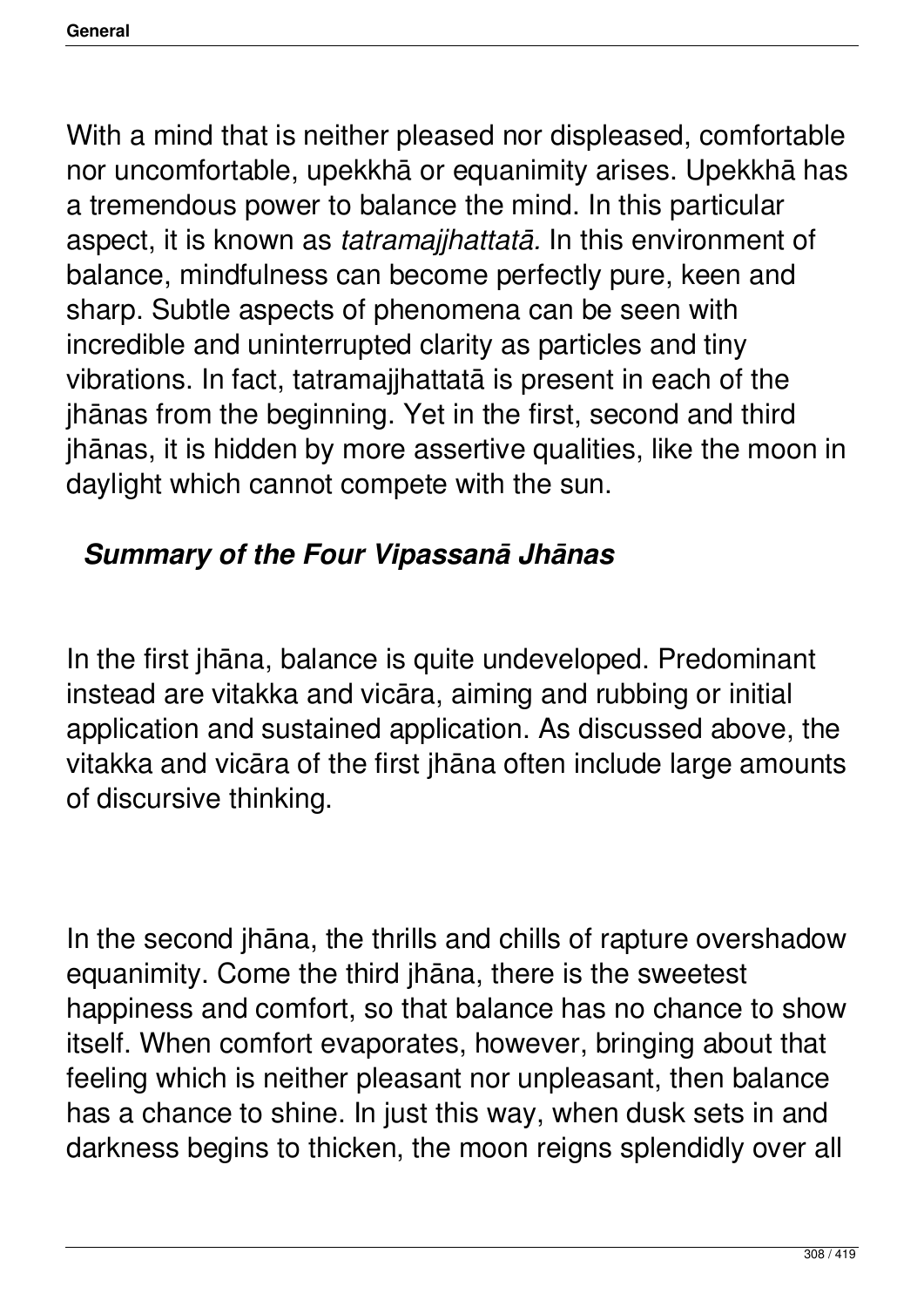With a mind that is neither pleased nor displeased, comfortable nor uncomfortable, upekkhā or equanimity arises. Upekkhā has a tremendous power to balance the mind. In this particular aspect, it is known as *tatramajjhattatā.* In this environment of balance, mindfulness can become perfectly pure, keen and sharp. Subtle aspects of phenomena can be seen with incredible and uninterrupted clarity as particles and tiny vibrations. In fact, tatramajjhattatā is present in each of the jhānas from the beginning. Yet in the first, second and third jhānas, it is hidden by more assertive qualities, like the moon in daylight which cannot compete with the sun.

### *Summary of the Four Vipassanā Jhānas*

In the first jhāna, balance is quite undeveloped. Predominant instead are vitakka and vicāra, aiming and rubbing or initial application and sustained application. As discussed above, the vitakka and vicāra of the first jhāna often include large amounts of discursive thinking.

In the second jhāna, the thrills and chills of rapture overshadow equanimity. Come the third jhāna, there is the sweetest happiness and comfort, so that balance has no chance to show itself. When comfort evaporates, however, bringing about that feeling which is neither pleasant nor unpleasant, then balance has a chance to shine. In just this way, when dusk sets in and darkness begins to thicken, the moon reigns splendidly over all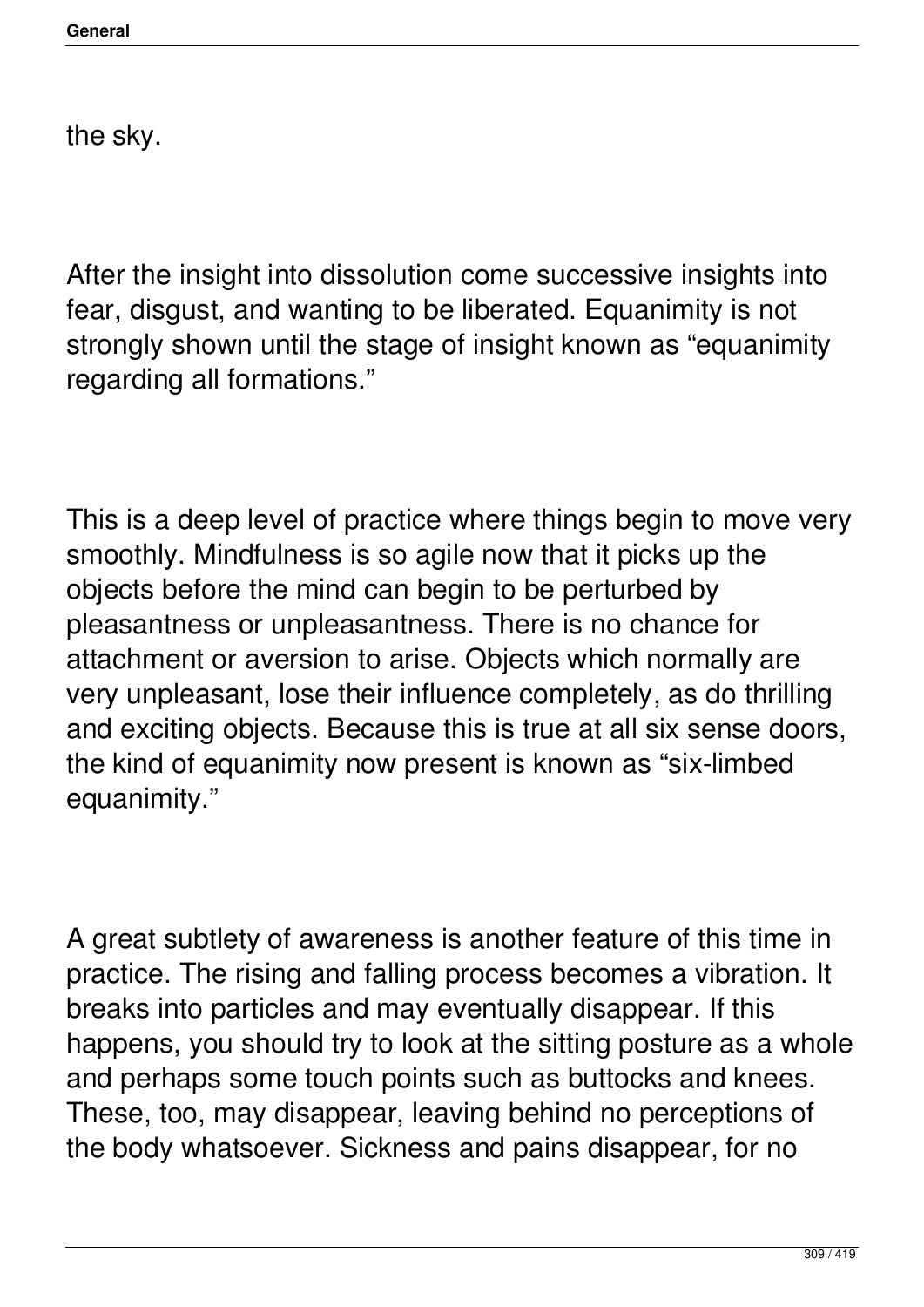the sky.

After the insight into dissolution come successive insights into fear, disgust, and wanting to be liberated. Equanimity is not strongly shown until the stage of insight known as "equanimity regarding all formations."

This is a deep level of practice where things begin to move very smoothly. Mindfulness is so agile now that it picks up the objects before the mind can begin to be perturbed by pleasantness or unpleasantness. There is no chance for attachment or aversion to arise. Objects which normally are very unpleasant, lose their influence completely, as do thrilling and exciting objects. Because this is true at all six sense doors, the kind of equanimity now present is known as "six-limbed equanimity."

A great subtlety of awareness is another feature of this time in practice. The rising and falling process becomes a vibration. It breaks into particles and may eventually disappear. If this happens, you should try to look at the sitting posture as a whole and perhaps some touch points such as buttocks and knees. These, too, may disappear, leaving behind no perceptions of the body whatsoever. Sickness and pains disappear, for no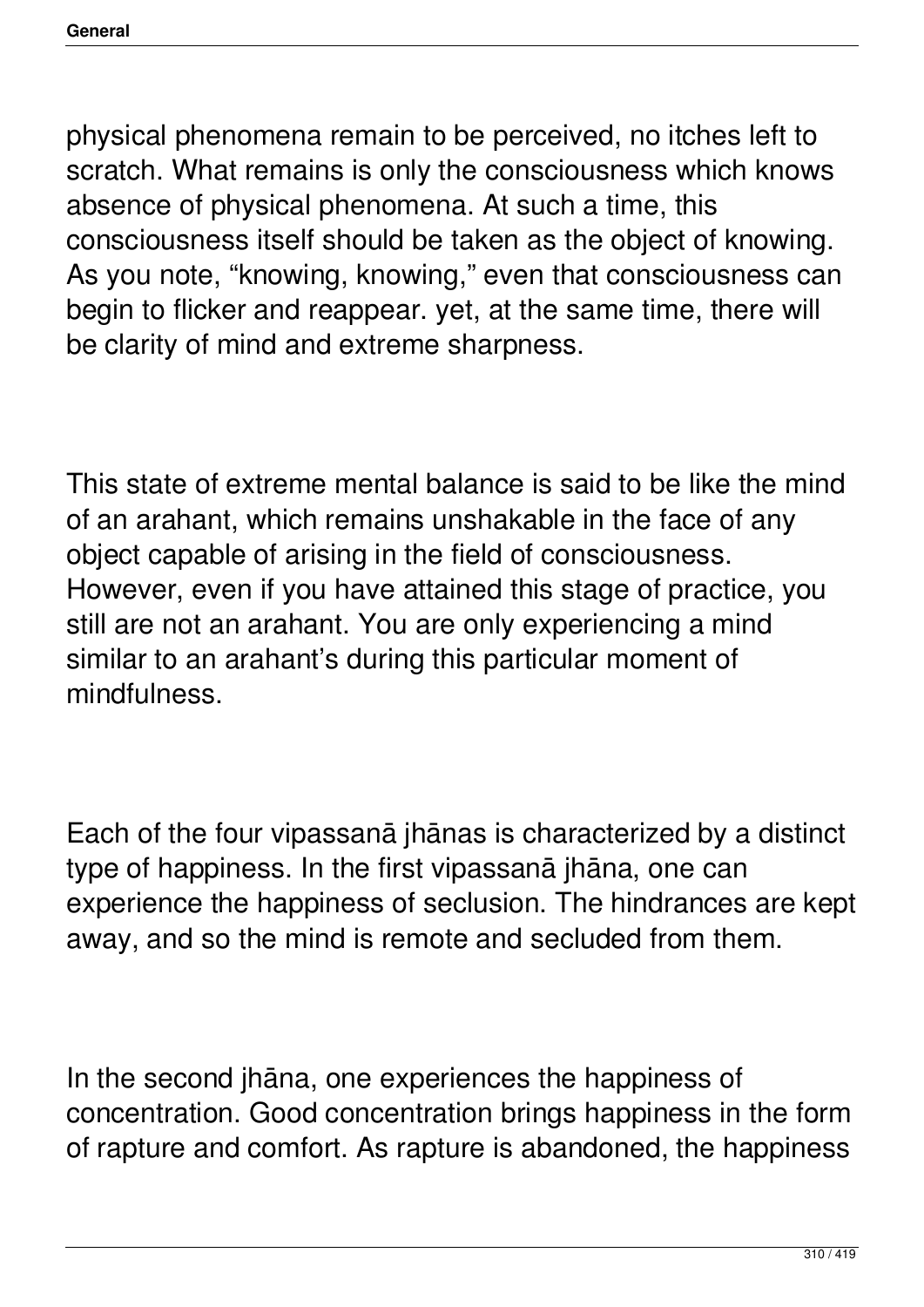physical phenomena remain to be perceived, no itches left to scratch. What remains is only the consciousness which knows absence of physical phenomena. At such a time, this consciousness itself should be taken as the object of knowing. As you note, "knowing, knowing," even that consciousness can begin to flicker and reappear. yet, at the same time, there will be clarity of mind and extreme sharpness.

This state of extreme mental balance is said to be like the mind of an arahant, which remains unshakable in the face of any object capable of arising in the field of consciousness. However, even if you have attained this stage of practice, you still are not an arahant. You are only experiencing a mind similar to an arahant's during this particular moment of mindfulness.

Each of the four vipassanā jhānas is characterized by a distinct type of happiness. In the first vipassanā jhāna, one can experience the happiness of seclusion. The hindrances are kept away, and so the mind is remote and secluded from them.

In the second jhāna, one experiences the happiness of concentration. Good concentration brings happiness in the form of rapture and comfort. As rapture is abandoned, the happiness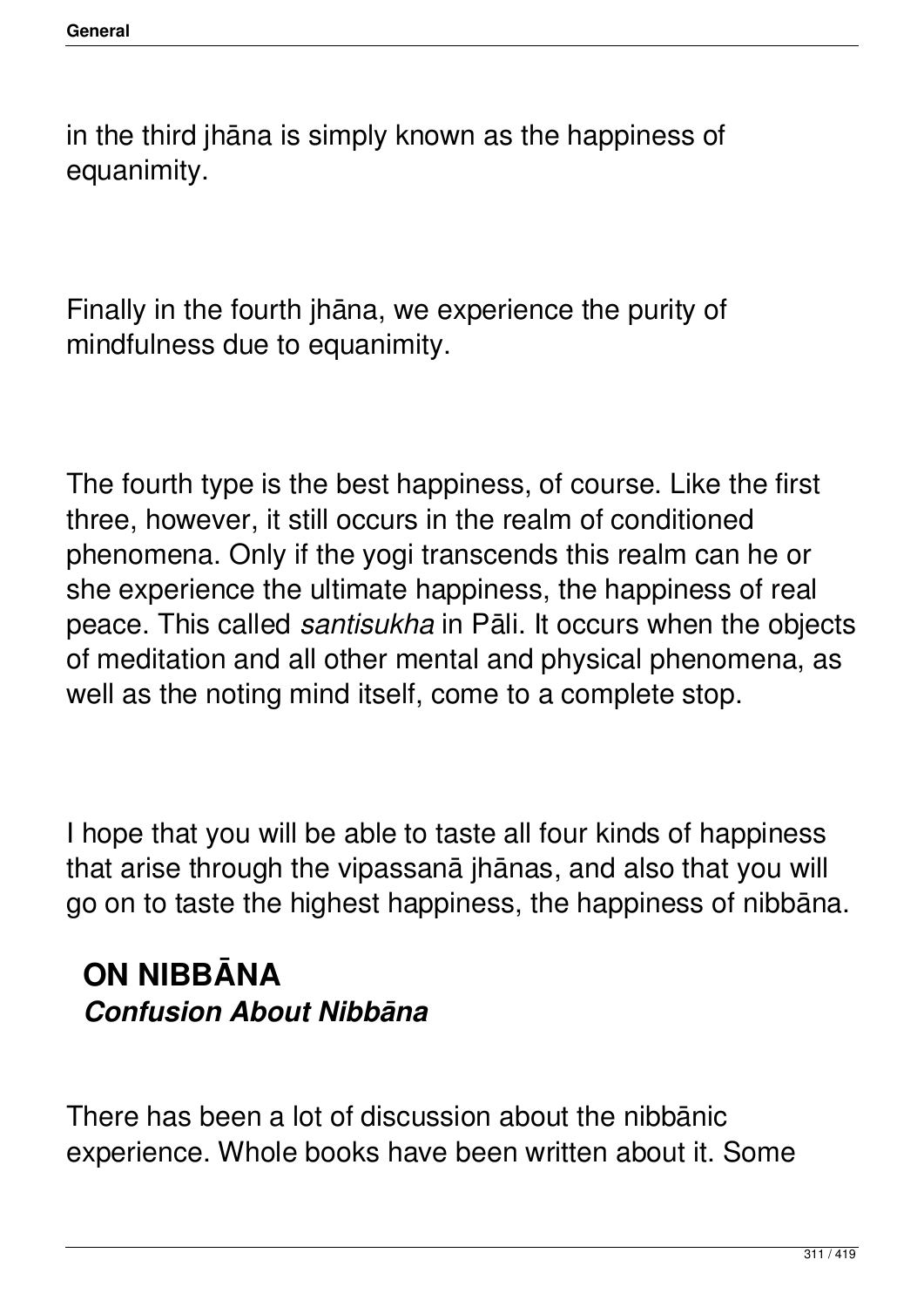in the third jhāna is simply known as the happiness of equanimity.

Finally in the fourth jhāna, we experience the purity of mindfulness due to equanimity.

The fourth type is the best happiness, of course. Like the first three, however, it still occurs in the realm of conditioned phenomena. Only if the yogi transcends this realm can he or she experience the ultimate happiness, the happiness of real peace. This called *santisukha* in Pāli. It occurs when the objects of meditation and all other mental and physical phenomena, as well as the noting mind itself, come to a complete stop.

I hope that you will be able to taste all four kinds of happiness that arise through the vipassanā jhānas, and also that you will go on to taste the highest happiness, the happiness of nibbāna.

### **ON NIBBĀNA** *Confusion About Nibbāna*

There has been a lot of discussion about the nibbānic experience. Whole books have been written about it. Some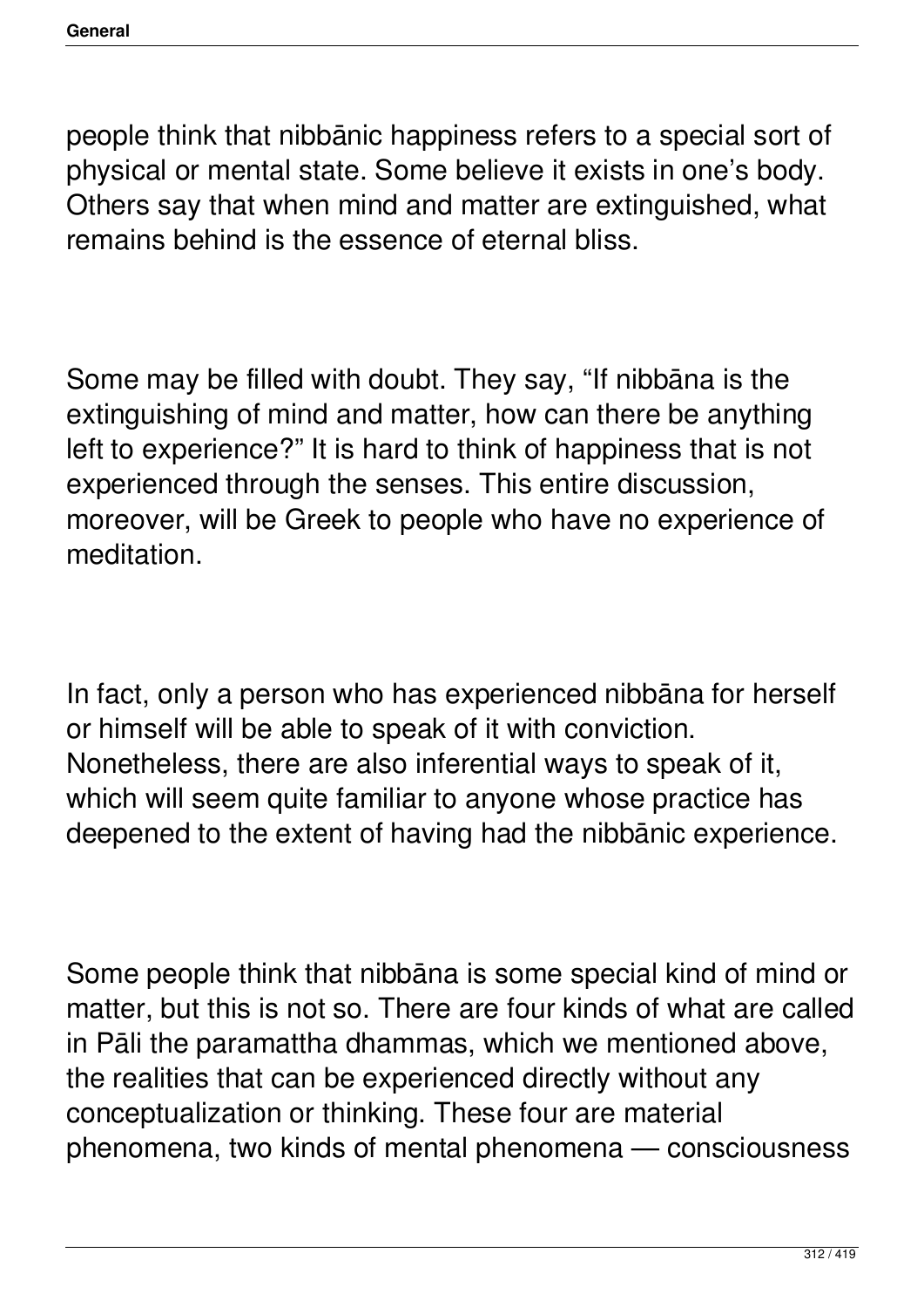people think that nibbānic happiness refers to a special sort of physical or mental state. Some believe it exists in one's body. Others say that when mind and matter are extinguished, what remains behind is the essence of eternal bliss.

Some may be filled with doubt. They say, "If nibbāna is the extinguishing of mind and matter, how can there be anything left to experience?" It is hard to think of happiness that is not experienced through the senses. This entire discussion, moreover, will be Greek to people who have no experience of meditation.

In fact, only a person who has experienced nibbāna for herself or himself will be able to speak of it with conviction. Nonetheless, there are also inferential ways to speak of it, which will seem quite familiar to anyone whose practice has deepened to the extent of having had the nibbānic experience.

Some people think that nibbāna is some special kind of mind or matter, but this is not so. There are four kinds of what are called in Pāli the paramattha dhammas, which we mentioned above, the realities that can be experienced directly without any conceptualization or thinking. These four are material phenomena, two kinds of mental phenomena — consciousness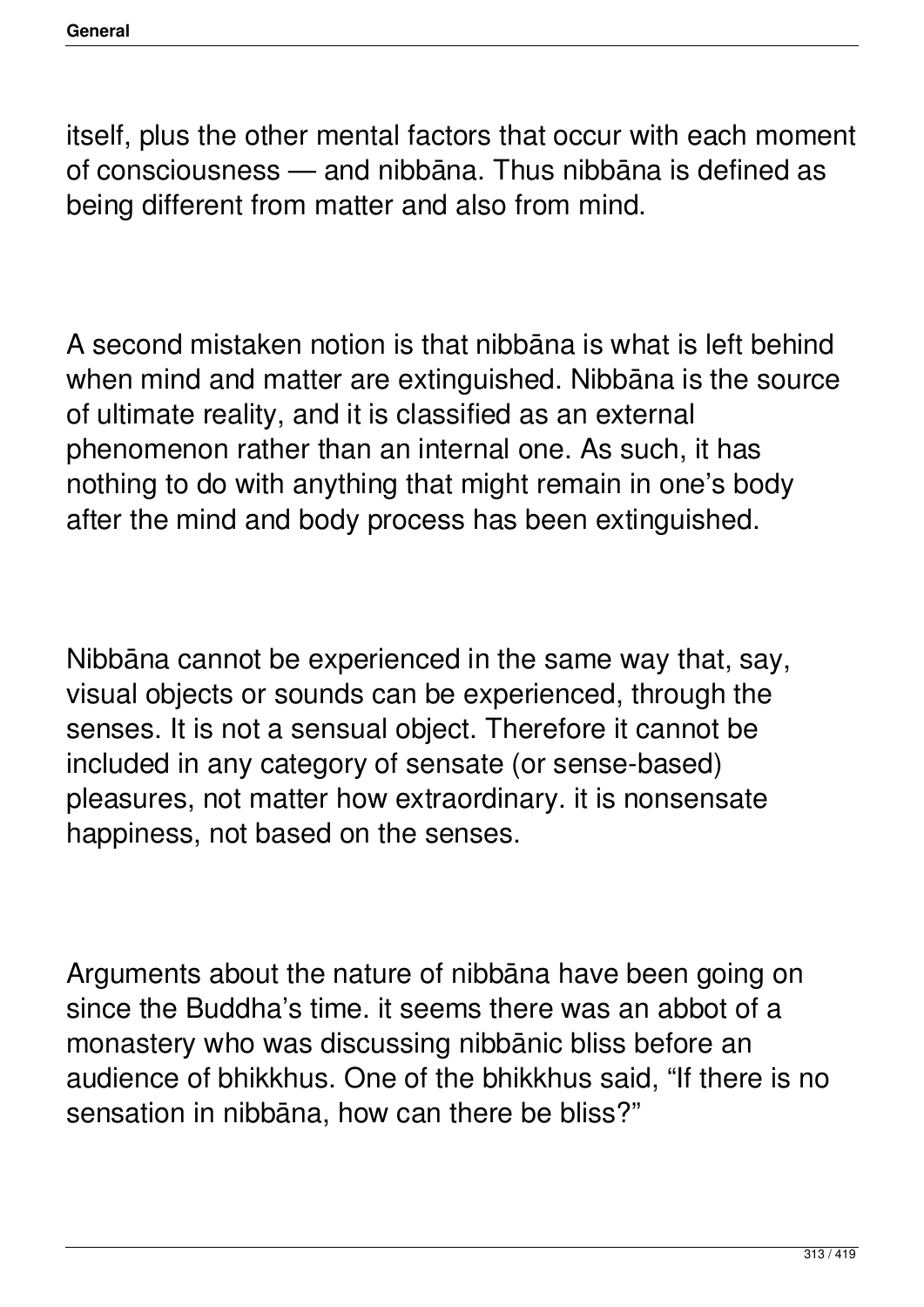itself, plus the other mental factors that occur with each moment of consciousness — and nibbāna. Thus nibbāna is defined as being different from matter and also from mind.

A second mistaken notion is that nibbāna is what is left behind when mind and matter are extinguished. Nibbāna is the source of ultimate reality, and it is classified as an external phenomenon rather than an internal one. As such, it has nothing to do with anything that might remain in one's body after the mind and body process has been extinguished.

Nibbāna cannot be experienced in the same way that, say, visual objects or sounds can be experienced, through the senses. It is not a sensual object. Therefore it cannot be included in any category of sensate (or sense-based) pleasures, not matter how extraordinary. it is nonsensate happiness, not based on the senses.

Arguments about the nature of nibbāna have been going on since the Buddha's time. it seems there was an abbot of a monastery who was discussing nibbānic bliss before an audience of bhikkhus. One of the bhikkhus said, "If there is no sensation in nibbāna, how can there be bliss?"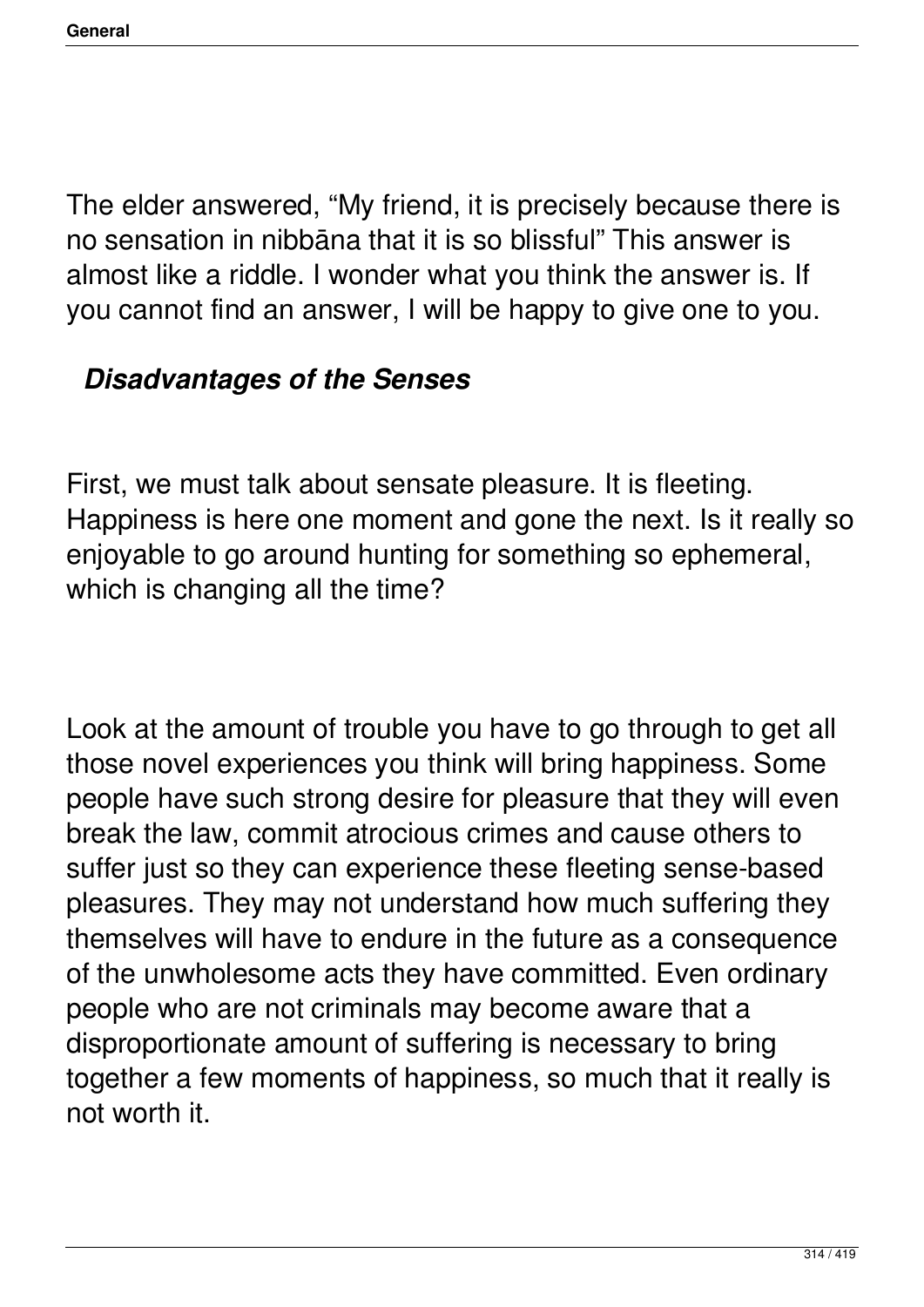The elder answered, "My friend, it is precisely because there is no sensation in nibbāna that it is so blissful" This answer is almost like a riddle. I wonder what you think the answer is. If you cannot find an answer, I will be happy to give one to you.

#### *Disadvantages of the Senses*

First, we must talk about sensate pleasure. It is fleeting. Happiness is here one moment and gone the next. Is it really so enjoyable to go around hunting for something so ephemeral, which is changing all the time?

Look at the amount of trouble you have to go through to get all those novel experiences you think will bring happiness. Some people have such strong desire for pleasure that they will even break the law, commit atrocious crimes and cause others to suffer just so they can experience these fleeting sense-based pleasures. They may not understand how much suffering they themselves will have to endure in the future as a consequence of the unwholesome acts they have committed. Even ordinary people who are not criminals may become aware that a disproportionate amount of suffering is necessary to bring together a few moments of happiness, so much that it really is not worth it.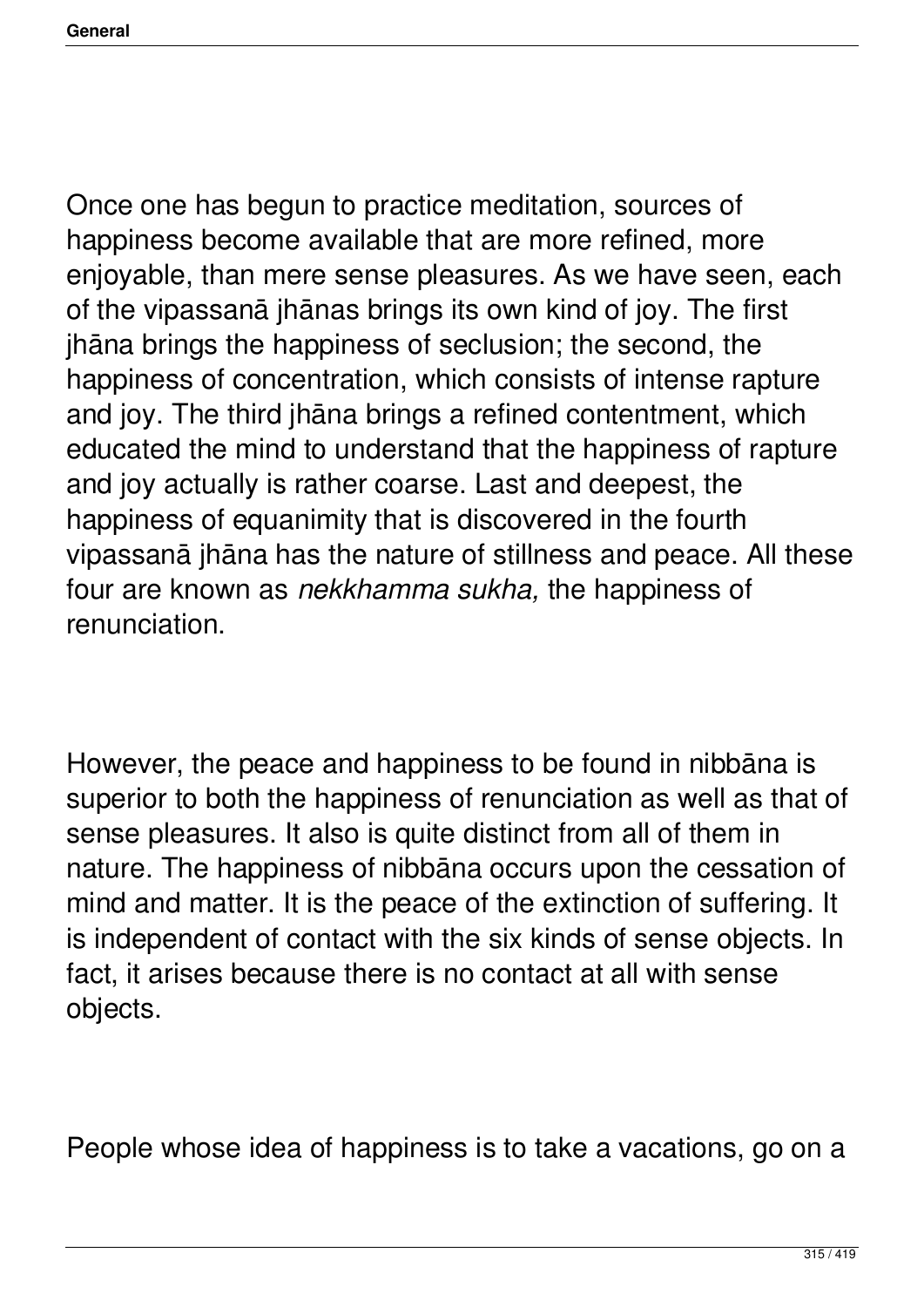Once one has begun to practice meditation, sources of happiness become available that are more refined, more enjoyable, than mere sense pleasures. As we have seen, each of the vipassanā jhānas brings its own kind of joy. The first jhāna brings the happiness of seclusion; the second, the happiness of concentration, which consists of intense rapture and joy. The third jhāna brings a refined contentment, which educated the mind to understand that the happiness of rapture and joy actually is rather coarse. Last and deepest, the happiness of equanimity that is discovered in the fourth vipassanā jhāna has the nature of stillness and peace. All these four are known as *nekkhamma sukha,* the happiness of renunciation.

However, the peace and happiness to be found in nibbāna is superior to both the happiness of renunciation as well as that of sense pleasures. It also is quite distinct from all of them in nature. The happiness of nibbāna occurs upon the cessation of mind and matter. It is the peace of the extinction of suffering. It is independent of contact with the six kinds of sense objects. In fact, it arises because there is no contact at all with sense objects.

People whose idea of happiness is to take a vacations, go on a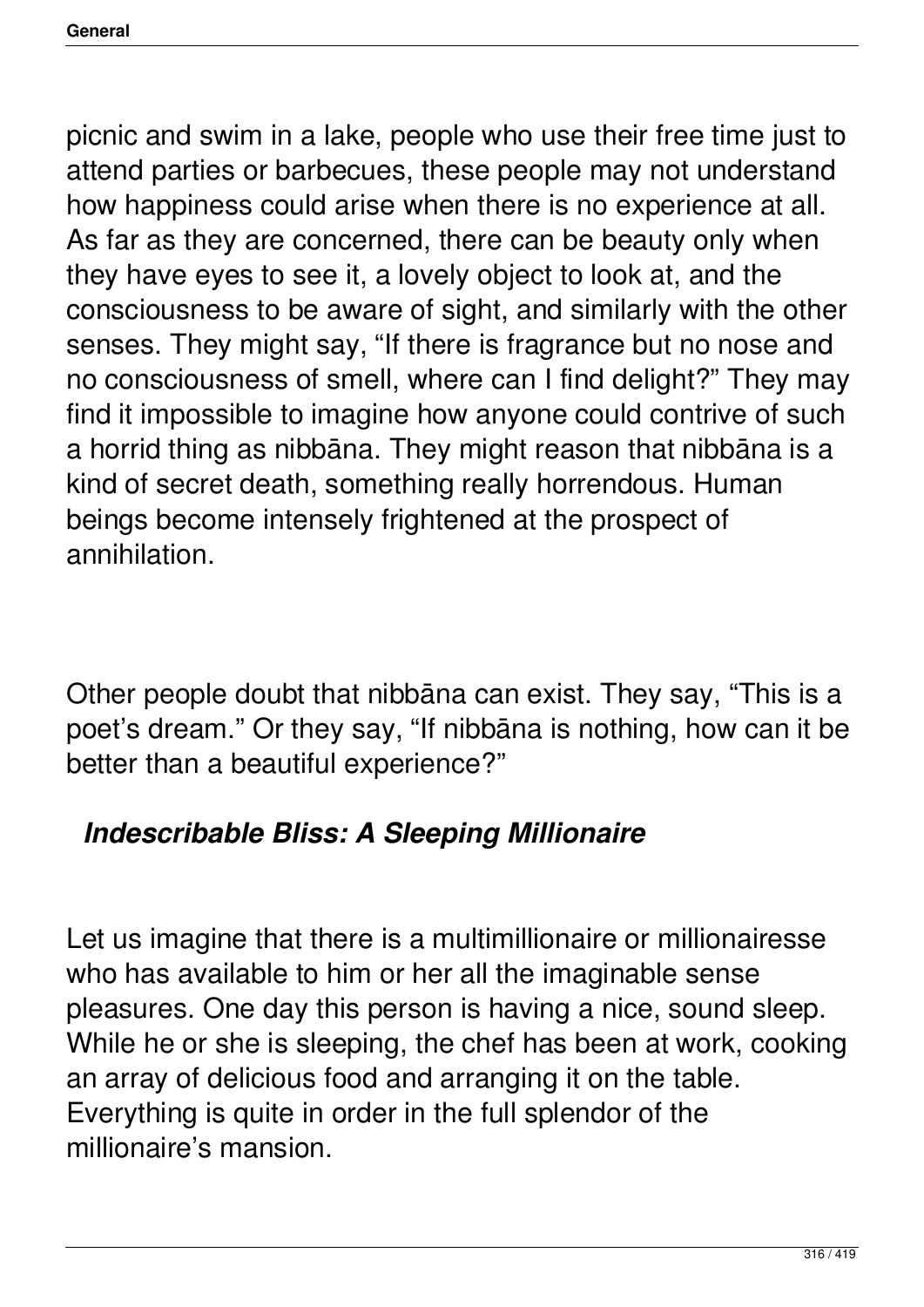picnic and swim in a lake, people who use their free time just to attend parties or barbecues, these people may not understand how happiness could arise when there is no experience at all. As far as they are concerned, there can be beauty only when they have eyes to see it, a lovely object to look at, and the consciousness to be aware of sight, and similarly with the other senses. They might say, "If there is fragrance but no nose and no consciousness of smell, where can I find delight?" They may find it impossible to imagine how anyone could contrive of such a horrid thing as nibbāna. They might reason that nibbāna is a kind of secret death, something really horrendous. Human beings become intensely frightened at the prospect of annihilation.

Other people doubt that nibbāna can exist. They say, "This is a poet's dream." Or they say, "If nibbāna is nothing, how can it be better than a beautiful experience?"

### *Indescribable Bliss: A Sleeping Millionaire*

Let us imagine that there is a multimillionaire or millionairesse who has available to him or her all the imaginable sense pleasures. One day this person is having a nice, sound sleep. While he or she is sleeping, the chef has been at work, cooking an array of delicious food and arranging it on the table. Everything is quite in order in the full splendor of the millionaire's mansion.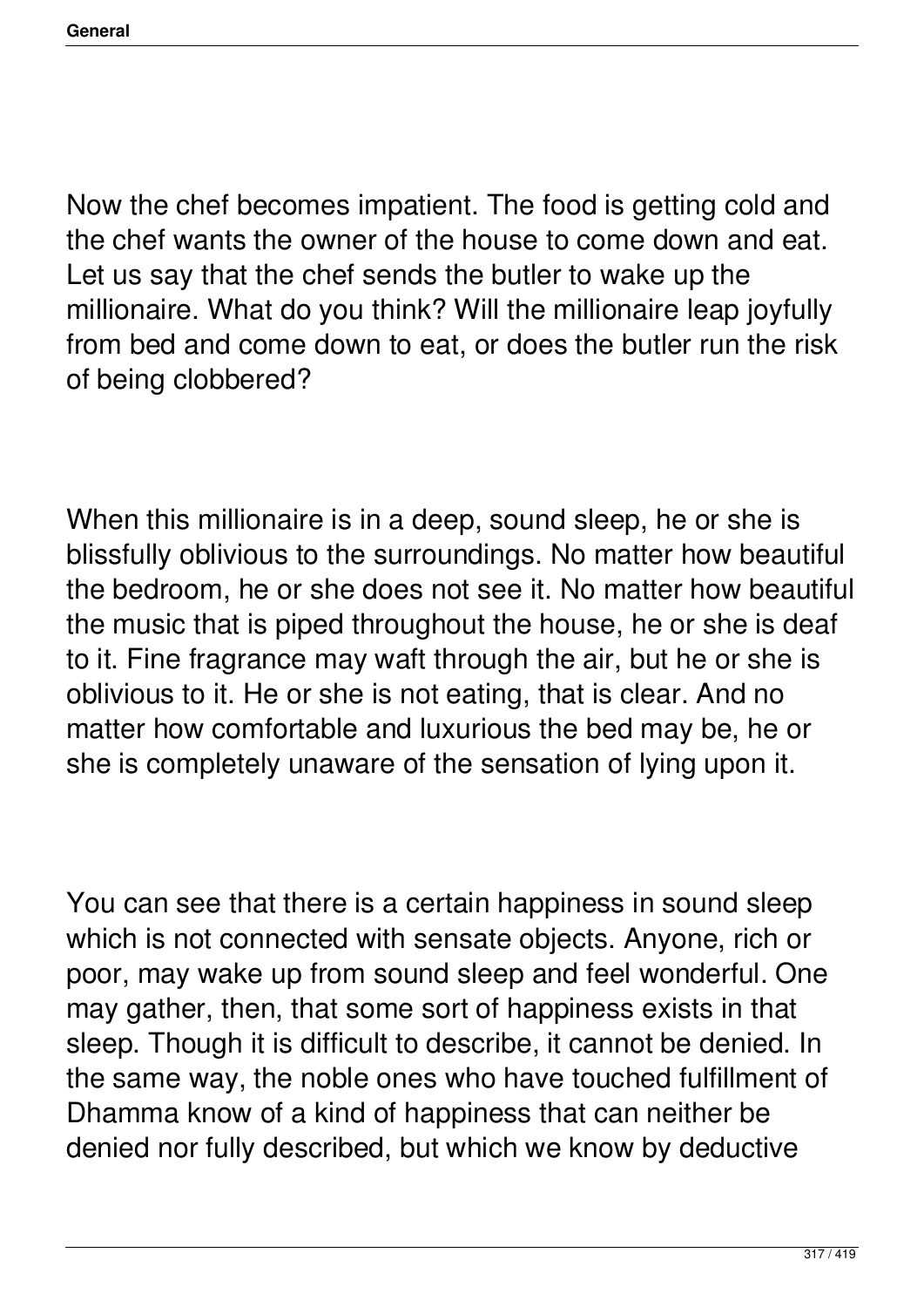Now the chef becomes impatient. The food is getting cold and the chef wants the owner of the house to come down and eat. Let us say that the chef sends the butler to wake up the millionaire. What do you think? Will the millionaire leap joyfully from bed and come down to eat, or does the butler run the risk of being clobbered?

When this millionaire is in a deep, sound sleep, he or she is blissfully oblivious to the surroundings. No matter how beautiful the bedroom, he or she does not see it. No matter how beautiful the music that is piped throughout the house, he or she is deaf to it. Fine fragrance may waft through the air, but he or she is oblivious to it. He or she is not eating, that is clear. And no matter how comfortable and luxurious the bed may be, he or she is completely unaware of the sensation of lying upon it.

You can see that there is a certain happiness in sound sleep which is not connected with sensate objects. Anyone, rich or poor, may wake up from sound sleep and feel wonderful. One may gather, then, that some sort of happiness exists in that sleep. Though it is difficult to describe, it cannot be denied. In the same way, the noble ones who have touched fulfillment of Dhamma know of a kind of happiness that can neither be denied nor fully described, but which we know by deductive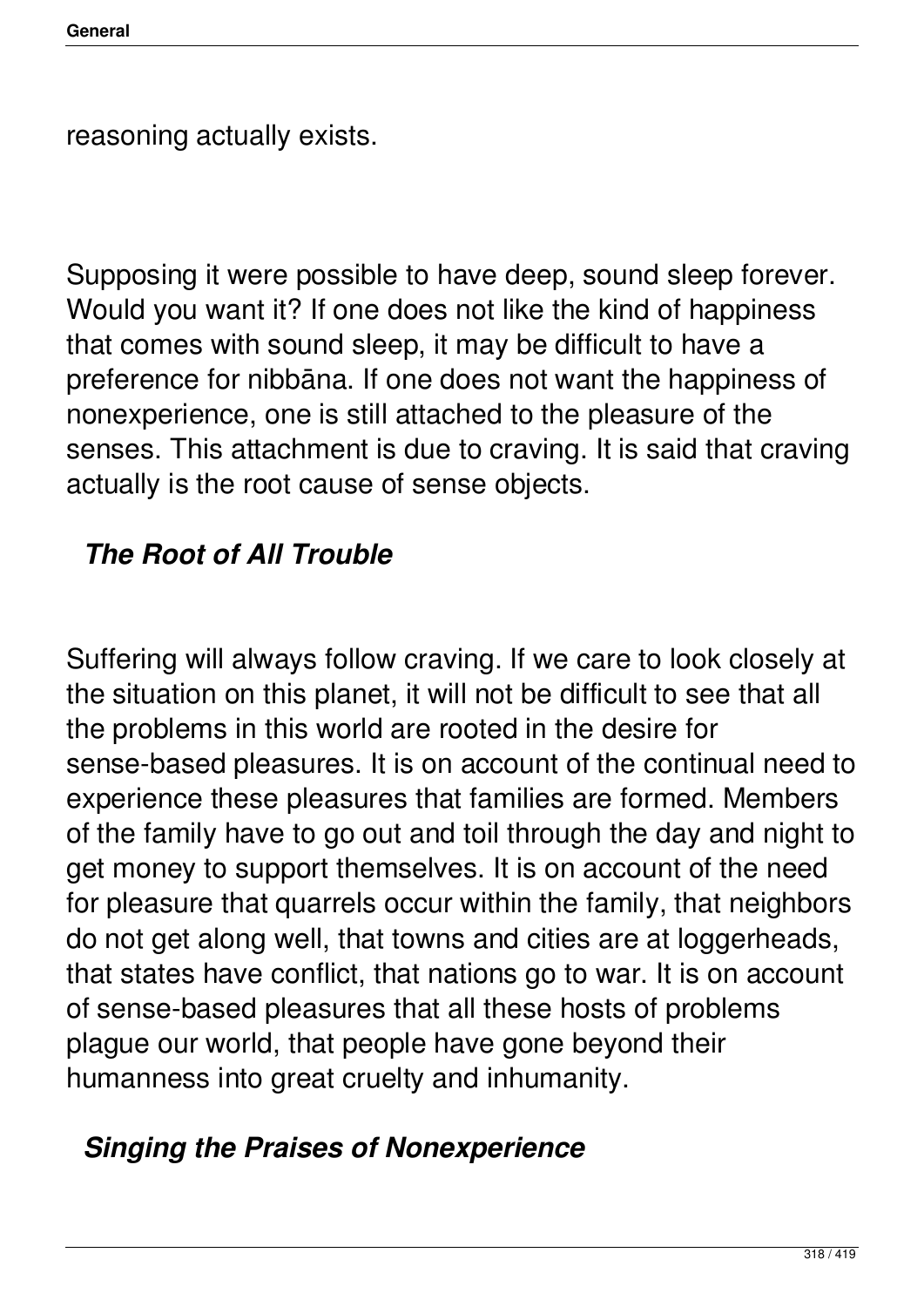reasoning actually exists.

Supposing it were possible to have deep, sound sleep forever. Would you want it? If one does not like the kind of happiness that comes with sound sleep, it may be difficult to have a preference for nibbāna. If one does not want the happiness of nonexperience, one is still attached to the pleasure of the senses. This attachment is due to craving. It is said that craving actually is the root cause of sense objects.

### *The Root of All Trouble*

Suffering will always follow craving. If we care to look closely at the situation on this planet, it will not be difficult to see that all the problems in this world are rooted in the desire for sense-based pleasures. It is on account of the continual need to experience these pleasures that families are formed. Members of the family have to go out and toil through the day and night to get money to support themselves. It is on account of the need for pleasure that quarrels occur within the family, that neighbors do not get along well, that towns and cities are at loggerheads, that states have conflict, that nations go to war. It is on account of sense-based pleasures that all these hosts of problems plague our world, that people have gone beyond their humanness into great cruelty and inhumanity.

#### *Singing the Praises of Nonexperience*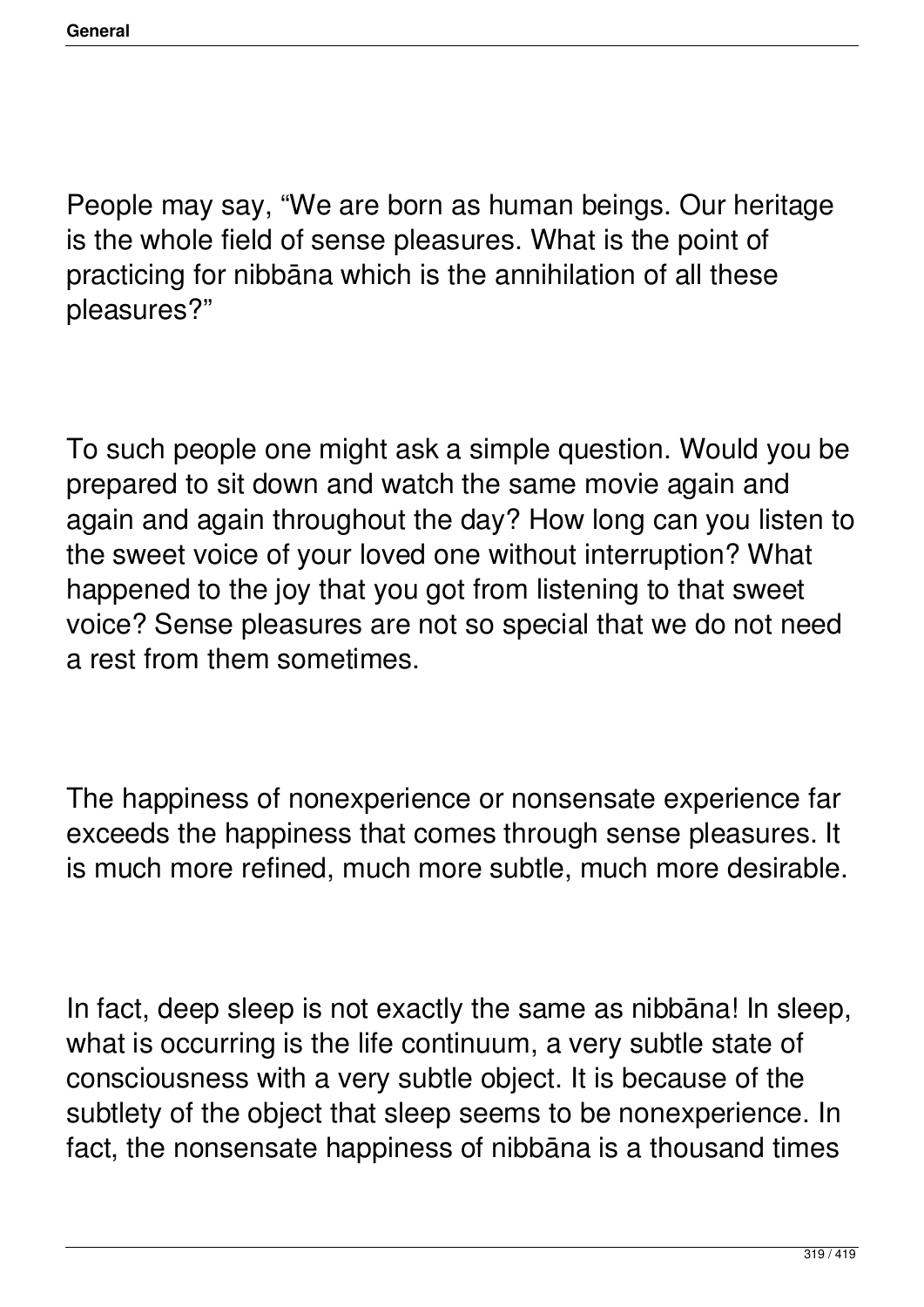People may say, "We are born as human beings. Our heritage is the whole field of sense pleasures. What is the point of practicing for nibbāna which is the annihilation of all these pleasures?"

To such people one might ask a simple question. Would you be prepared to sit down and watch the same movie again and again and again throughout the day? How long can you listen to the sweet voice of your loved one without interruption? What happened to the joy that you got from listening to that sweet voice? Sense pleasures are not so special that we do not need a rest from them sometimes.

The happiness of nonexperience or nonsensate experience far exceeds the happiness that comes through sense pleasures. It is much more refined, much more subtle, much more desirable.

In fact, deep sleep is not exactly the same as nibbāna! In sleep, what is occurring is the life continuum, a very subtle state of consciousness with a very subtle object. It is because of the subtlety of the object that sleep seems to be nonexperience. In fact, the nonsensate happiness of nibbāna is a thousand times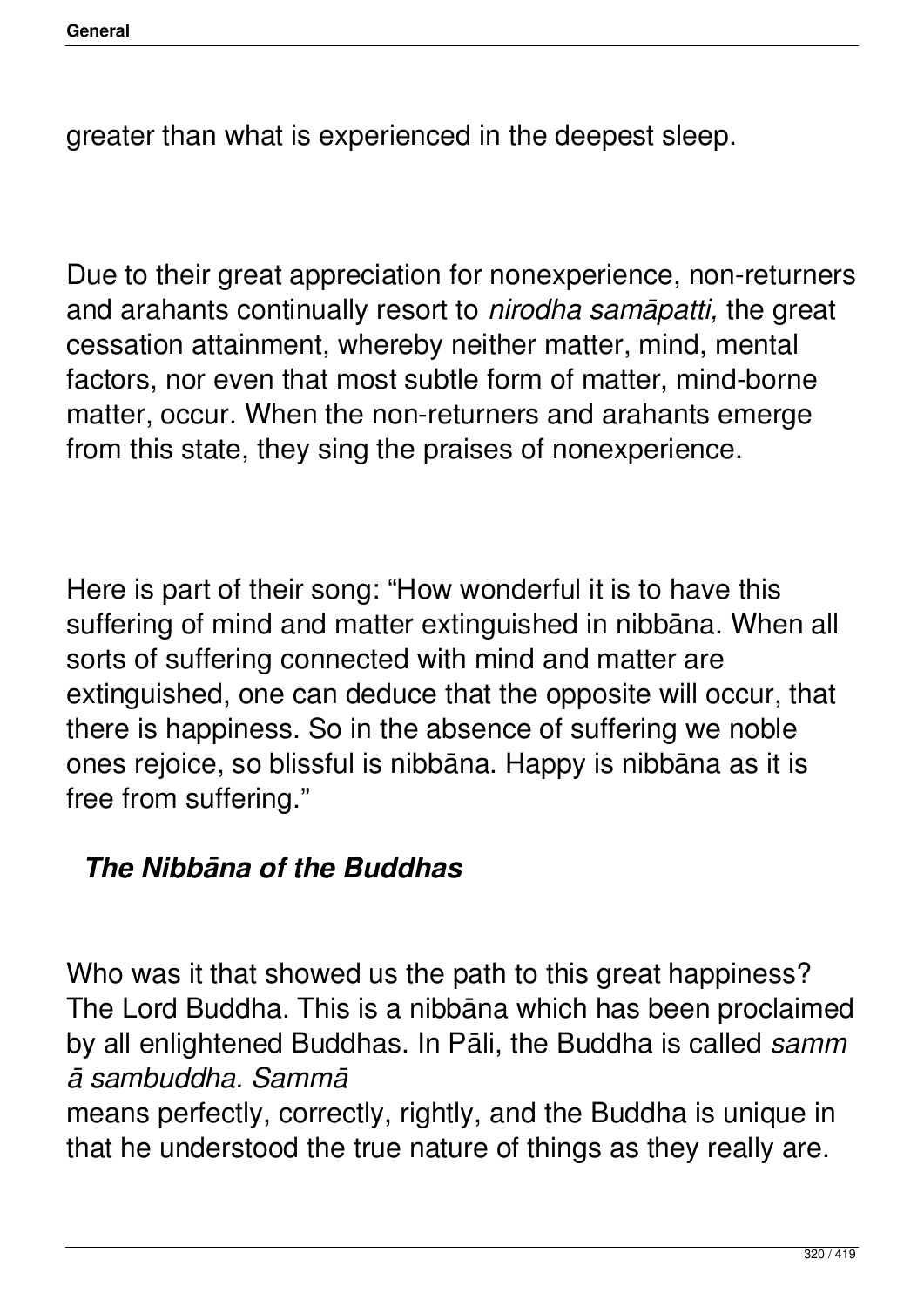greater than what is experienced in the deepest sleep.

Due to their great appreciation for nonexperience, non-returners and arahants continually resort to *nirodha samāpatti,* the great cessation attainment, whereby neither matter, mind, mental factors, nor even that most subtle form of matter, mind-borne matter, occur. When the non-returners and arahants emerge from this state, they sing the praises of nonexperience.

Here is part of their song: "How wonderful it is to have this suffering of mind and matter extinguished in nibbāna. When all sorts of suffering connected with mind and matter are extinguished, one can deduce that the opposite will occur, that there is happiness. So in the absence of suffering we noble ones rejoice, so blissful is nibbāna. Happy is nibbāna as it is free from suffering."

#### *The Nibbāna of the Buddhas*

Who was it that showed us the path to this great happiness? The Lord Buddha. This is a nibbāna which has been proclaimed by all enlightened Buddhas. In Pāli, the Buddha is called *samm ā sambuddha. Sammā*

means perfectly, correctly, rightly, and the Buddha is unique in that he understood the true nature of things as they really are.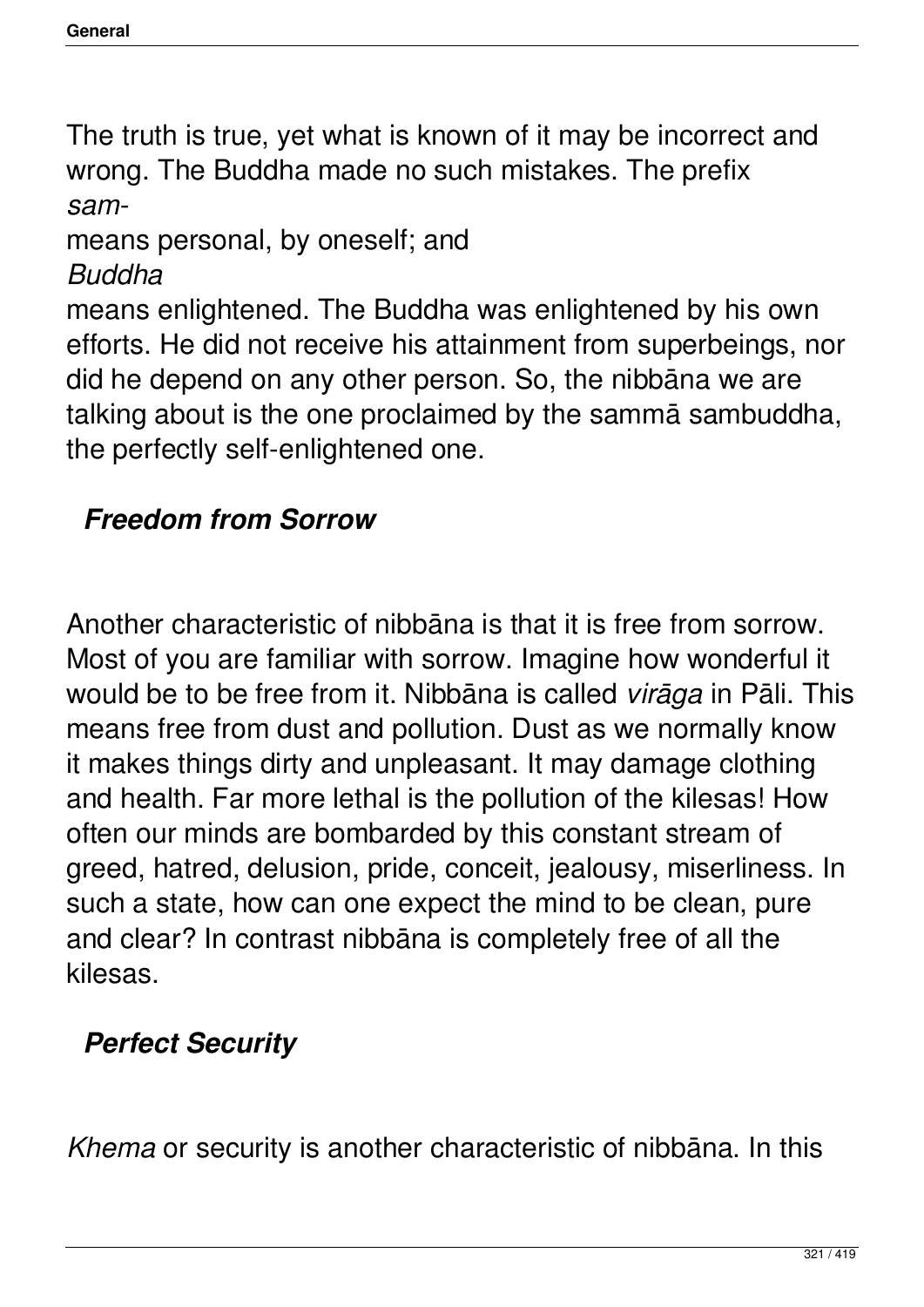The truth is true, yet what is known of it may be incorrect and wrong. The Buddha made no such mistakes. The prefix *sam-*

#### means personal, by oneself; and *Buddha*

means enlightened. The Buddha was enlightened by his own efforts. He did not receive his attainment from superbeings, nor did he depend on any other person. So, the nibbāna we are talking about is the one proclaimed by the sammā sambuddha, the perfectly self-enlightened one.

#### *Freedom from Sorrow*

Another characteristic of nibbāna is that it is free from sorrow. Most of you are familiar with sorrow. Imagine how wonderful it would be to be free from it. Nibbāna is called *virāga* in Pāli. This means free from dust and pollution. Dust as we normally know it makes things dirty and unpleasant. It may damage clothing and health. Far more lethal is the pollution of the kilesas! How often our minds are bombarded by this constant stream of greed, hatred, delusion, pride, conceit, jealousy, miserliness. In such a state, how can one expect the mind to be clean, pure and clear? In contrast nibbāna is completely free of all the kilesas.

### *Perfect Security*

*Khema* or security is another characteristic of nibbāna. In this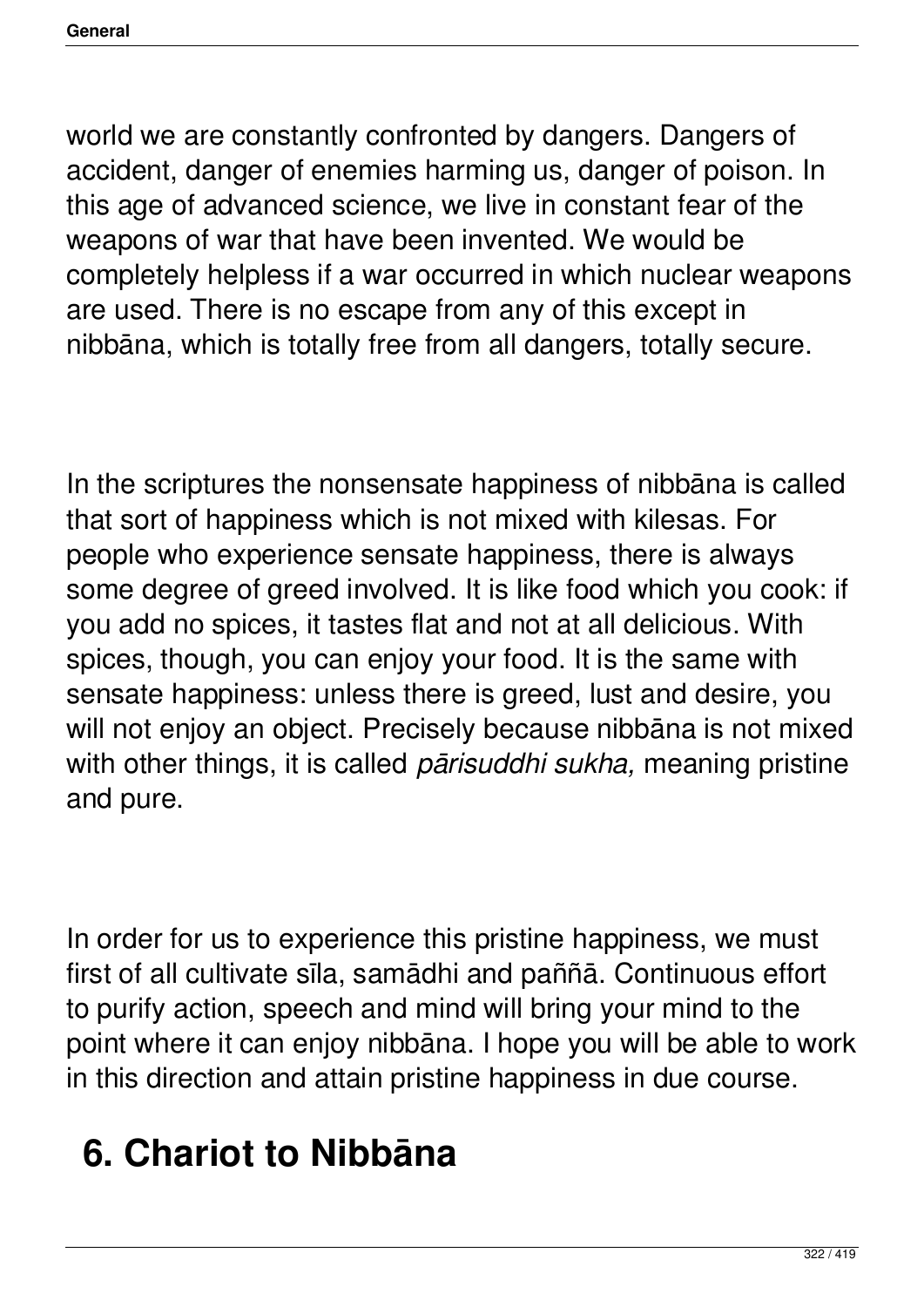world we are constantly confronted by dangers. Dangers of accident, danger of enemies harming us, danger of poison. In this age of advanced science, we live in constant fear of the weapons of war that have been invented. We would be completely helpless if a war occurred in which nuclear weapons are used. There is no escape from any of this except in nibbāna, which is totally free from all dangers, totally secure.

In the scriptures the nonsensate happiness of nibbāna is called that sort of happiness which is not mixed with kilesas. For people who experience sensate happiness, there is always some degree of greed involved. It is like food which you cook: if you add no spices, it tastes flat and not at all delicious. With spices, though, you can enjoy your food. It is the same with sensate happiness: unless there is greed, lust and desire, you will not enjoy an object. Precisely because nibbāna is not mixed with other things, it is called *pārisuddhi sukha,* meaning pristine and pure.

In order for us to experience this pristine happiness, we must first of all cultivate sīla, samādhi and paññā. Continuous effort to purify action, speech and mind will bring your mind to the point where it can enjoy nibbāna. I hope you will be able to work in this direction and attain pristine happiness in due course.

# **6. Chariot to Nibbāna**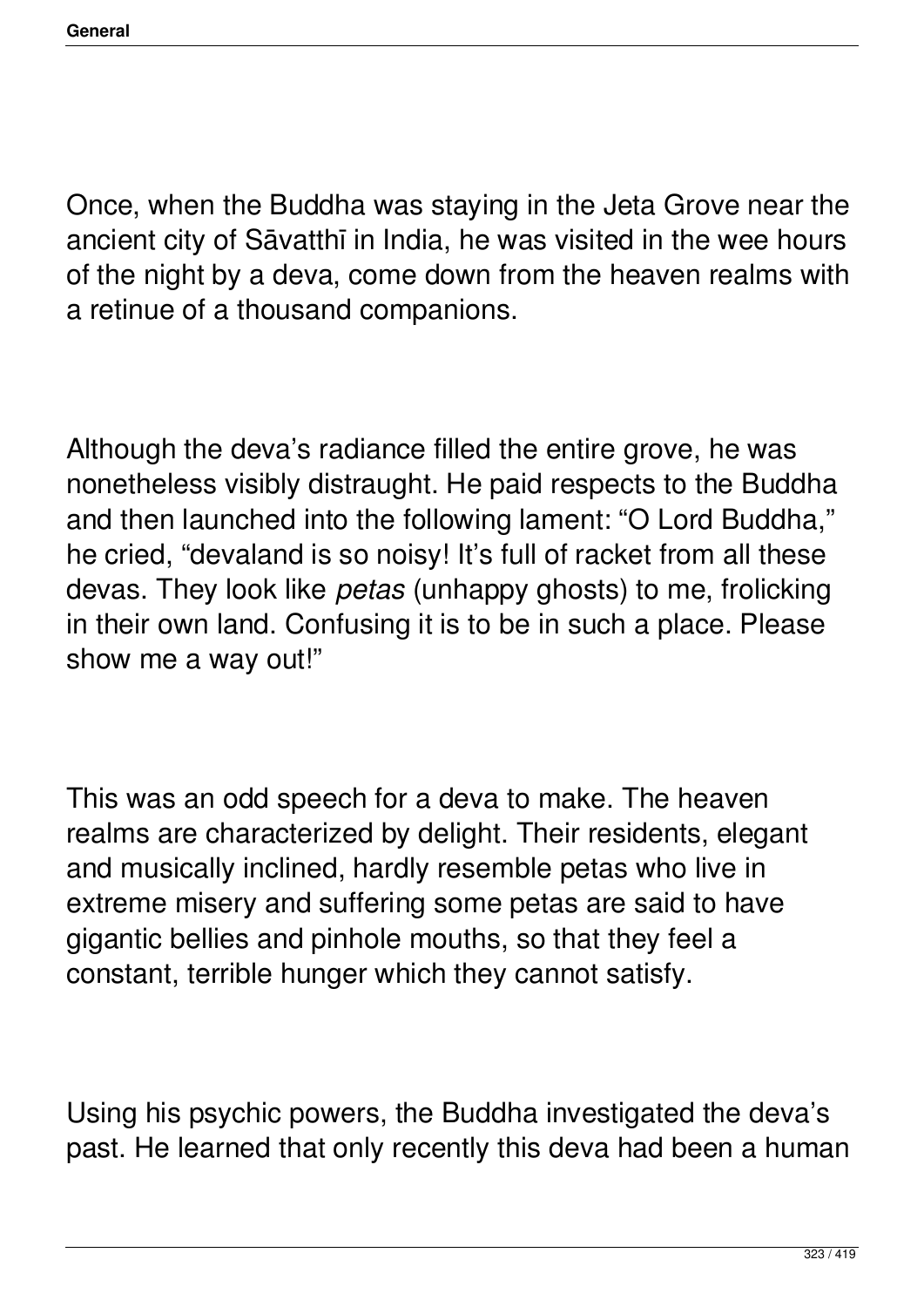Once, when the Buddha was staying in the Jeta Grove near the ancient city of Sāvatthī in India, he was visited in the wee hours of the night by a deva, come down from the heaven realms with a retinue of a thousand companions.

Although the deva's radiance filled the entire grove, he was nonetheless visibly distraught. He paid respects to the Buddha and then launched into the following lament: "O Lord Buddha," he cried, "devaland is so noisy! It's full of racket from all these devas. They look like *petas* (unhappy ghosts) to me, frolicking in their own land. Confusing it is to be in such a place. Please show me a way out!"

This was an odd speech for a deva to make. The heaven realms are characterized by delight. Their residents, elegant and musically inclined, hardly resemble petas who live in extreme misery and suffering some petas are said to have gigantic bellies and pinhole mouths, so that they feel a constant, terrible hunger which they cannot satisfy.

Using his psychic powers, the Buddha investigated the deva's past. He learned that only recently this deva had been a human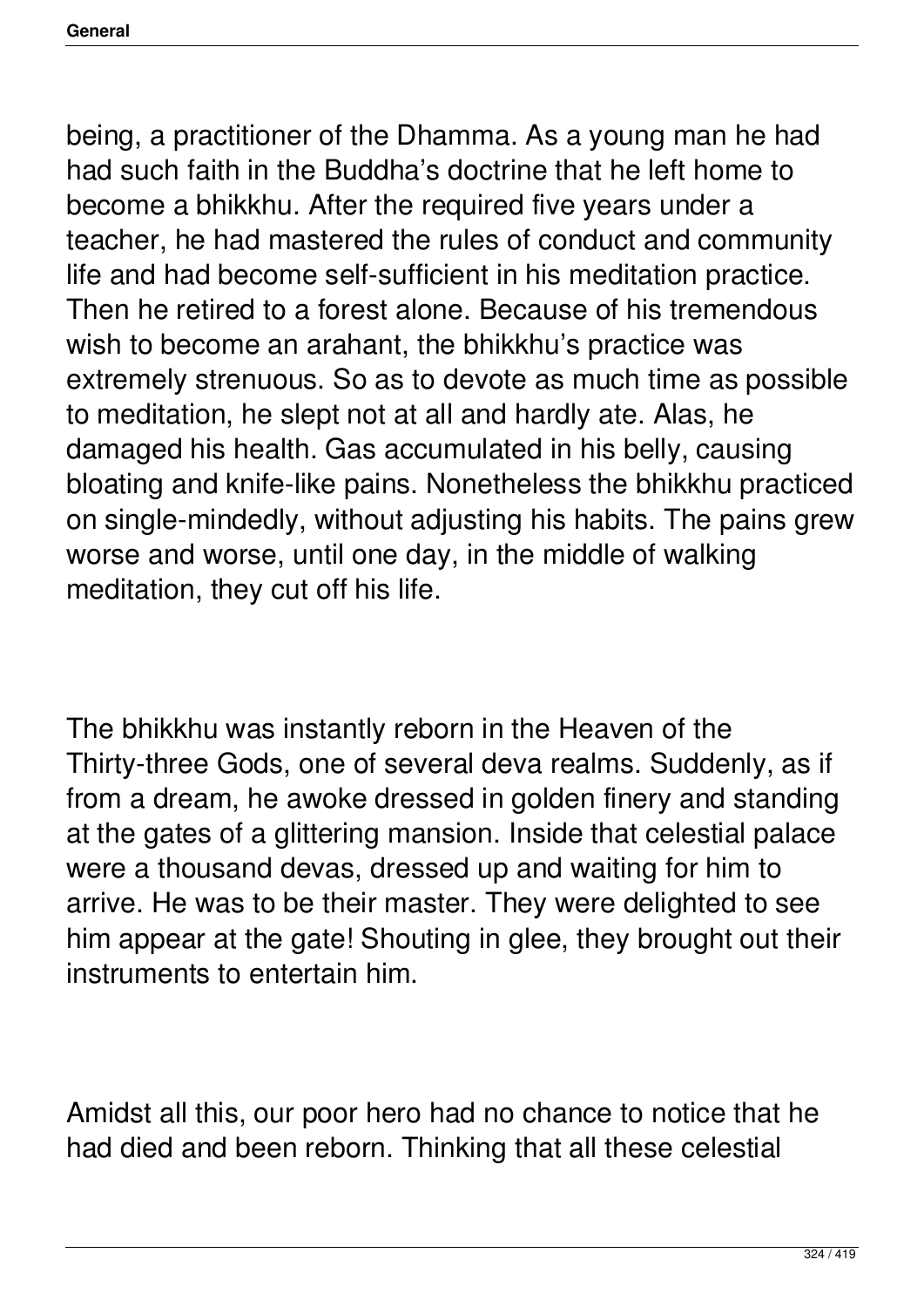being, a practitioner of the Dhamma. As a young man he had had such faith in the Buddha's doctrine that he left home to become a bhikkhu. After the required five years under a teacher, he had mastered the rules of conduct and community life and had become self-sufficient in his meditation practice. Then he retired to a forest alone. Because of his tremendous wish to become an arahant, the bhikkhu's practice was extremely strenuous. So as to devote as much time as possible to meditation, he slept not at all and hardly ate. Alas, he damaged his health. Gas accumulated in his belly, causing bloating and knife-like pains. Nonetheless the bhikkhu practiced on single-mindedly, without adjusting his habits. The pains grew worse and worse, until one day, in the middle of walking meditation, they cut off his life.

The bhikkhu was instantly reborn in the Heaven of the Thirty-three Gods, one of several deva realms. Suddenly, as if from a dream, he awoke dressed in golden finery and standing at the gates of a glittering mansion. Inside that celestial palace were a thousand devas, dressed up and waiting for him to arrive. He was to be their master. They were delighted to see him appear at the gate! Shouting in glee, they brought out their instruments to entertain him.

Amidst all this, our poor hero had no chance to notice that he had died and been reborn. Thinking that all these celestial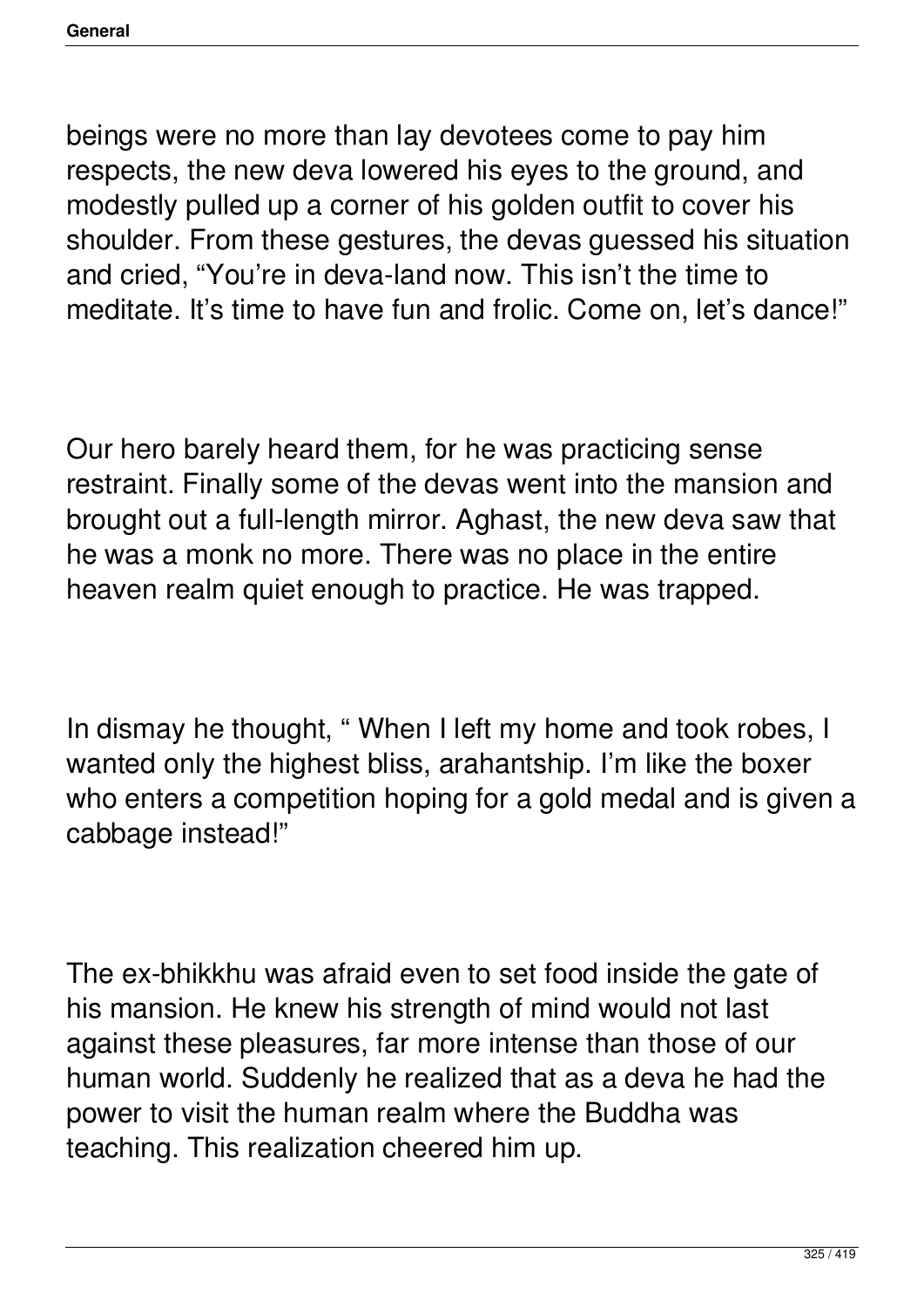beings were no more than lay devotees come to pay him respects, the new deva lowered his eyes to the ground, and modestly pulled up a corner of his golden outfit to cover his shoulder. From these gestures, the devas guessed his situation and cried, "You're in deva-land now. This isn't the time to meditate. It's time to have fun and frolic. Come on, let's dance!"

Our hero barely heard them, for he was practicing sense restraint. Finally some of the devas went into the mansion and brought out a full-length mirror. Aghast, the new deva saw that he was a monk no more. There was no place in the entire heaven realm quiet enough to practice. He was trapped.

In dismay he thought, " When I left my home and took robes, I wanted only the highest bliss, arahantship. I'm like the boxer who enters a competition hoping for a gold medal and is given a cabbage instead!"

The ex-bhikkhu was afraid even to set food inside the gate of his mansion. He knew his strength of mind would not last against these pleasures, far more intense than those of our human world. Suddenly he realized that as a deva he had the power to visit the human realm where the Buddha was teaching. This realization cheered him up.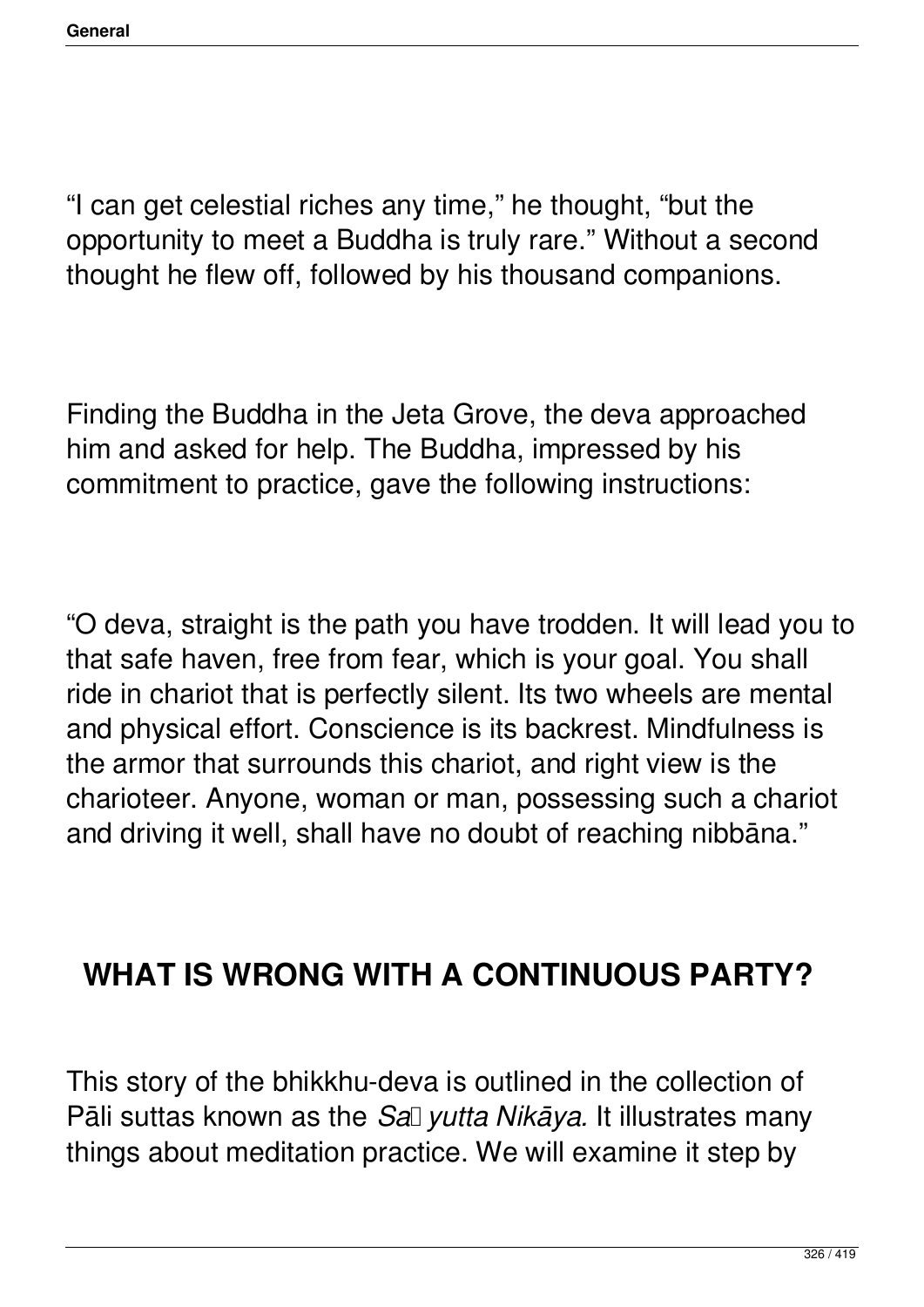"I can get celestial riches any time," he thought, "but the opportunity to meet a Buddha is truly rare." Without a second thought he flew off, followed by his thousand companions.

Finding the Buddha in the Jeta Grove, the deva approached him and asked for help. The Buddha, impressed by his commitment to practice, gave the following instructions:

"O deva, straight is the path you have trodden. It will lead you to that safe haven, free from fear, which is your goal. You shall ride in chariot that is perfectly silent. Its two wheels are mental and physical effort. Conscience is its backrest. Mindfulness is the armor that surrounds this chariot, and right view is the charioteer. Anyone, woman or man, possessing such a chariot and driving it well, shall have no doubt of reaching nibbāna."

# **WHAT IS WRONG WITH A CONTINUOUS PARTY?**

This story of the bhikkhu-deva is outlined in the collection of Pāli suttas known as the *Sa*□ *yutta Nikāya.* It illustrates many things about meditation practice. We will examine it step by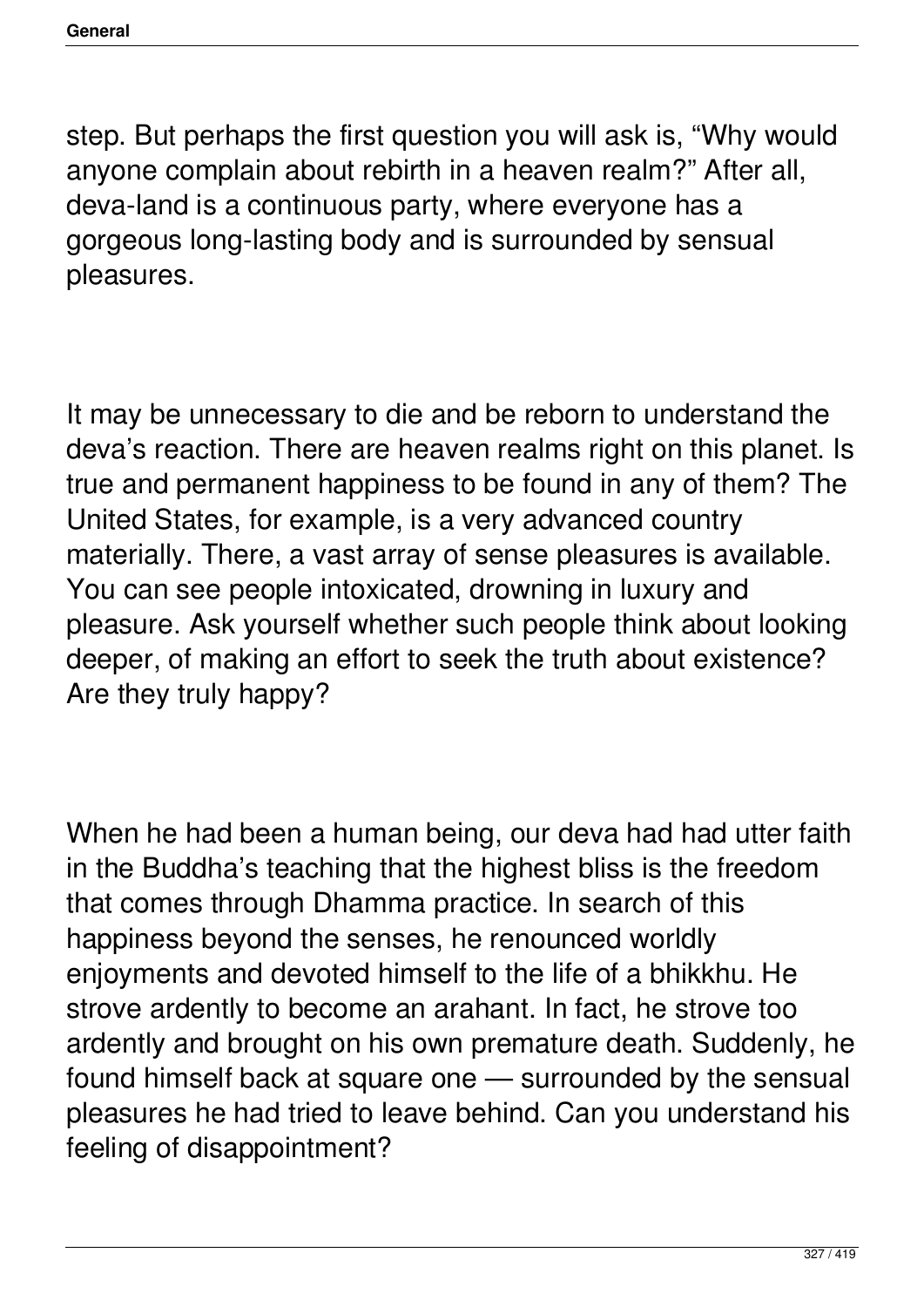step. But perhaps the first question you will ask is, "Why would anyone complain about rebirth in a heaven realm?" After all, deva-land is a continuous party, where everyone has a gorgeous long-lasting body and is surrounded by sensual pleasures.

It may be unnecessary to die and be reborn to understand the deva's reaction. There are heaven realms right on this planet. Is true and permanent happiness to be found in any of them? The United States, for example, is a very advanced country materially. There, a vast array of sense pleasures is available. You can see people intoxicated, drowning in luxury and pleasure. Ask yourself whether such people think about looking deeper, of making an effort to seek the truth about existence? Are they truly happy?

When he had been a human being, our deva had had utter faith in the Buddha's teaching that the highest bliss is the freedom that comes through Dhamma practice. In search of this happiness beyond the senses, he renounced worldly enjoyments and devoted himself to the life of a bhikkhu. He strove ardently to become an arahant. In fact, he strove too ardently and brought on his own premature death. Suddenly, he found himself back at square one — surrounded by the sensual pleasures he had tried to leave behind. Can you understand his feeling of disappointment?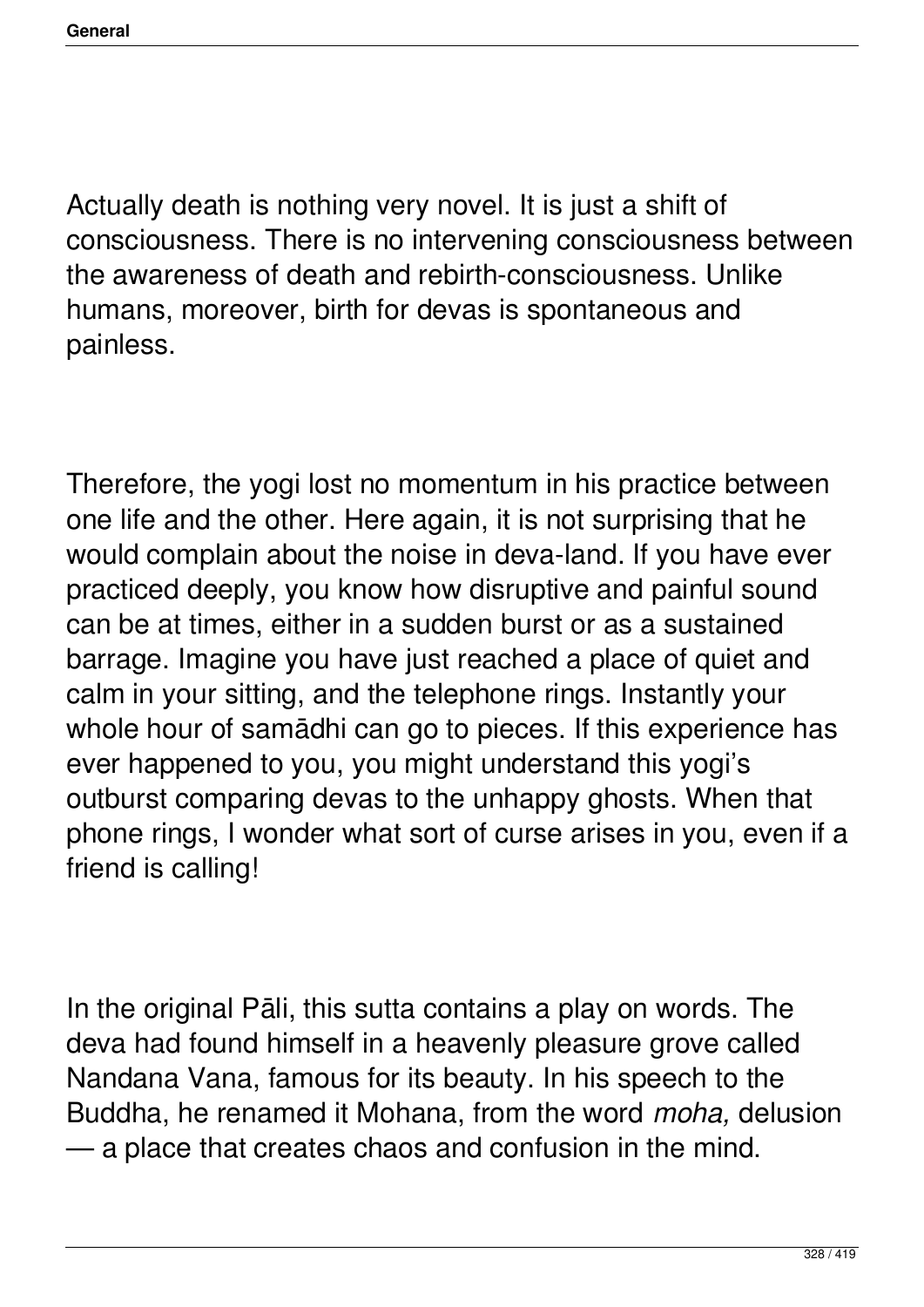Actually death is nothing very novel. It is just a shift of consciousness. There is no intervening consciousness between the awareness of death and rebirth-consciousness. Unlike humans, moreover, birth for devas is spontaneous and painless.

Therefore, the yogi lost no momentum in his practice between one life and the other. Here again, it is not surprising that he would complain about the noise in deva-land. If you have ever practiced deeply, you know how disruptive and painful sound can be at times, either in a sudden burst or as a sustained barrage. Imagine you have just reached a place of quiet and calm in your sitting, and the telephone rings. Instantly your whole hour of samādhi can go to pieces. If this experience has ever happened to you, you might understand this yogi's outburst comparing devas to the unhappy ghosts. When that phone rings, I wonder what sort of curse arises in you, even if a friend is calling!

In the original Pāli, this sutta contains a play on words. The deva had found himself in a heavenly pleasure grove called Nandana Vana, famous for its beauty. In his speech to the Buddha, he renamed it Mohana, from the word *moha,* delusion — a place that creates chaos and confusion in the mind.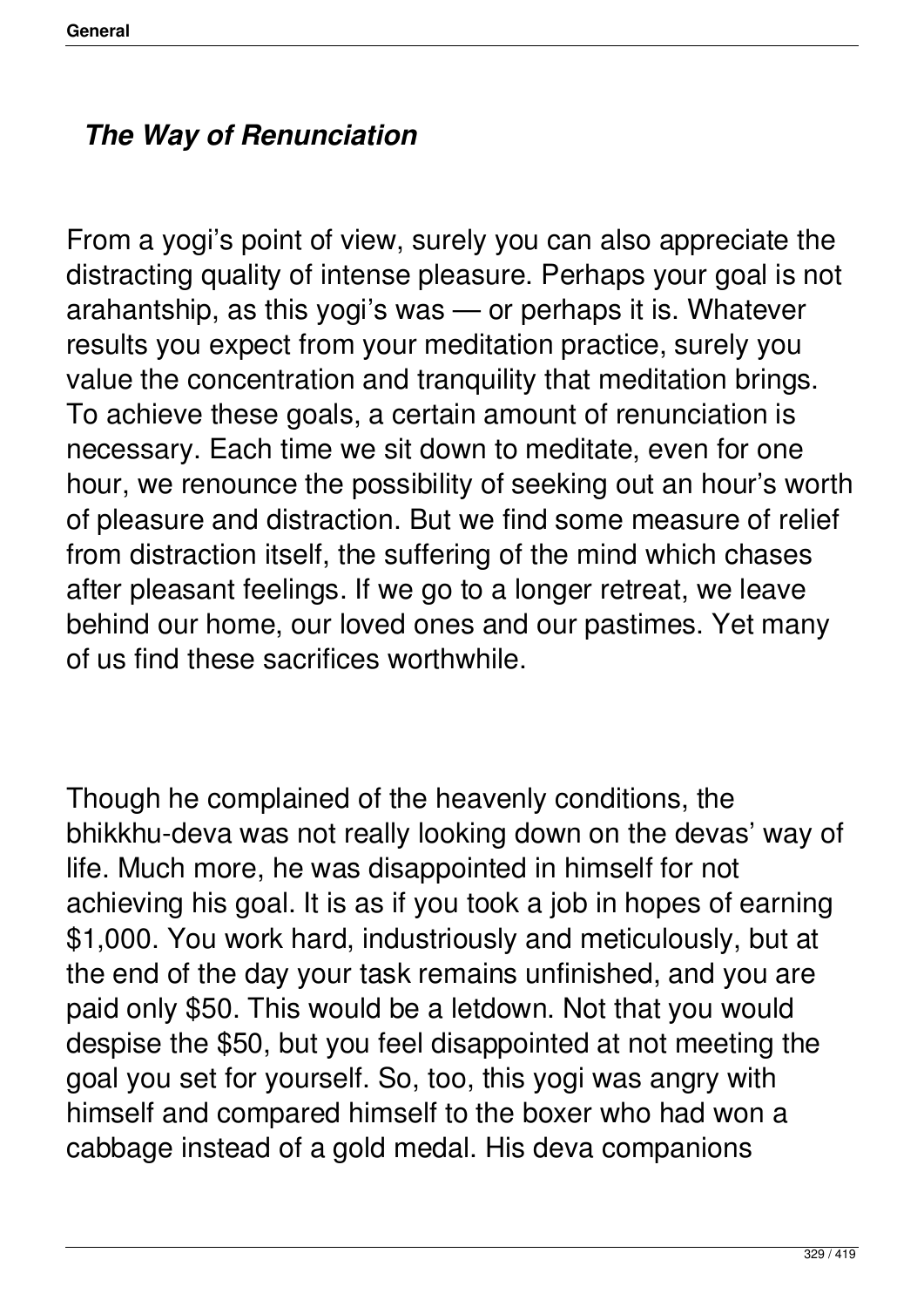## *The Way of Renunciation*

From a yogi's point of view, surely you can also appreciate the distracting quality of intense pleasure. Perhaps your goal is not arahantship, as this yogi's was — or perhaps it is. Whatever results you expect from your meditation practice, surely you value the concentration and tranquility that meditation brings. To achieve these goals, a certain amount of renunciation is necessary. Each time we sit down to meditate, even for one hour, we renounce the possibility of seeking out an hour's worth of pleasure and distraction. But we find some measure of relief from distraction itself, the suffering of the mind which chases after pleasant feelings. If we go to a longer retreat, we leave behind our home, our loved ones and our pastimes. Yet many of us find these sacrifices worthwhile.

Though he complained of the heavenly conditions, the bhikkhu-deva was not really looking down on the devas' way of life. Much more, he was disappointed in himself for not achieving his goal. It is as if you took a job in hopes of earning \$1,000. You work hard, industriously and meticulously, but at the end of the day your task remains unfinished, and you are paid only \$50. This would be a letdown. Not that you would despise the \$50, but you feel disappointed at not meeting the goal you set for yourself. So, too, this yogi was angry with himself and compared himself to the boxer who had won a cabbage instead of a gold medal. His deva companions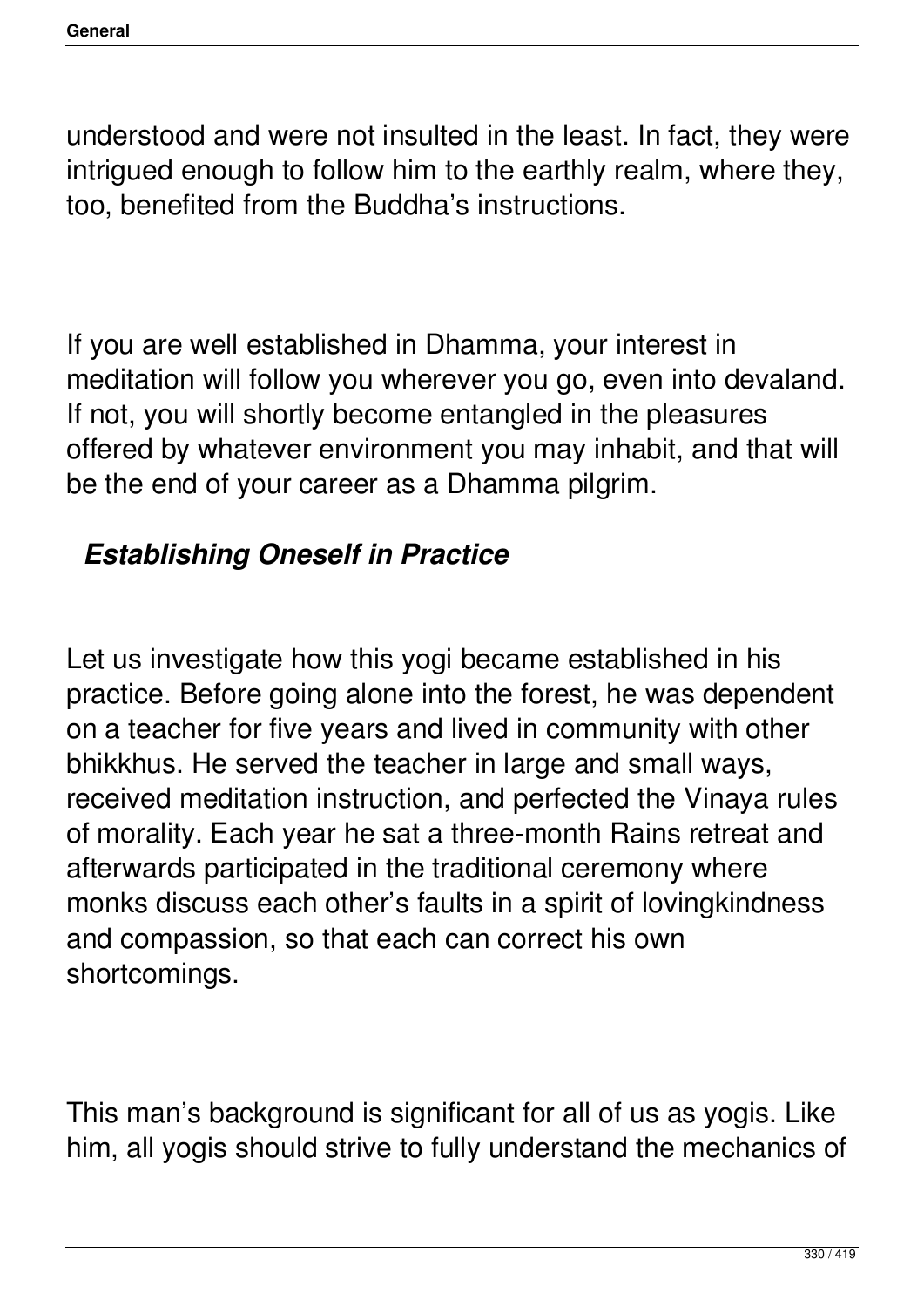understood and were not insulted in the least. In fact, they were intrigued enough to follow him to the earthly realm, where they, too, benefited from the Buddha's instructions.

If you are well established in Dhamma, your interest in meditation will follow you wherever you go, even into devaland. If not, you will shortly become entangled in the pleasures offered by whatever environment you may inhabit, and that will be the end of your career as a Dhamma pilgrim.

## *Establishing Oneself in Practice*

Let us investigate how this yogi became established in his practice. Before going alone into the forest, he was dependent on a teacher for five years and lived in community with other bhikkhus. He served the teacher in large and small ways, received meditation instruction, and perfected the Vinaya rules of morality. Each year he sat a three-month Rains retreat and afterwards participated in the traditional ceremony where monks discuss each other's faults in a spirit of lovingkindness and compassion, so that each can correct his own shortcomings.

This man's background is significant for all of us as yogis. Like him, all yogis should strive to fully understand the mechanics of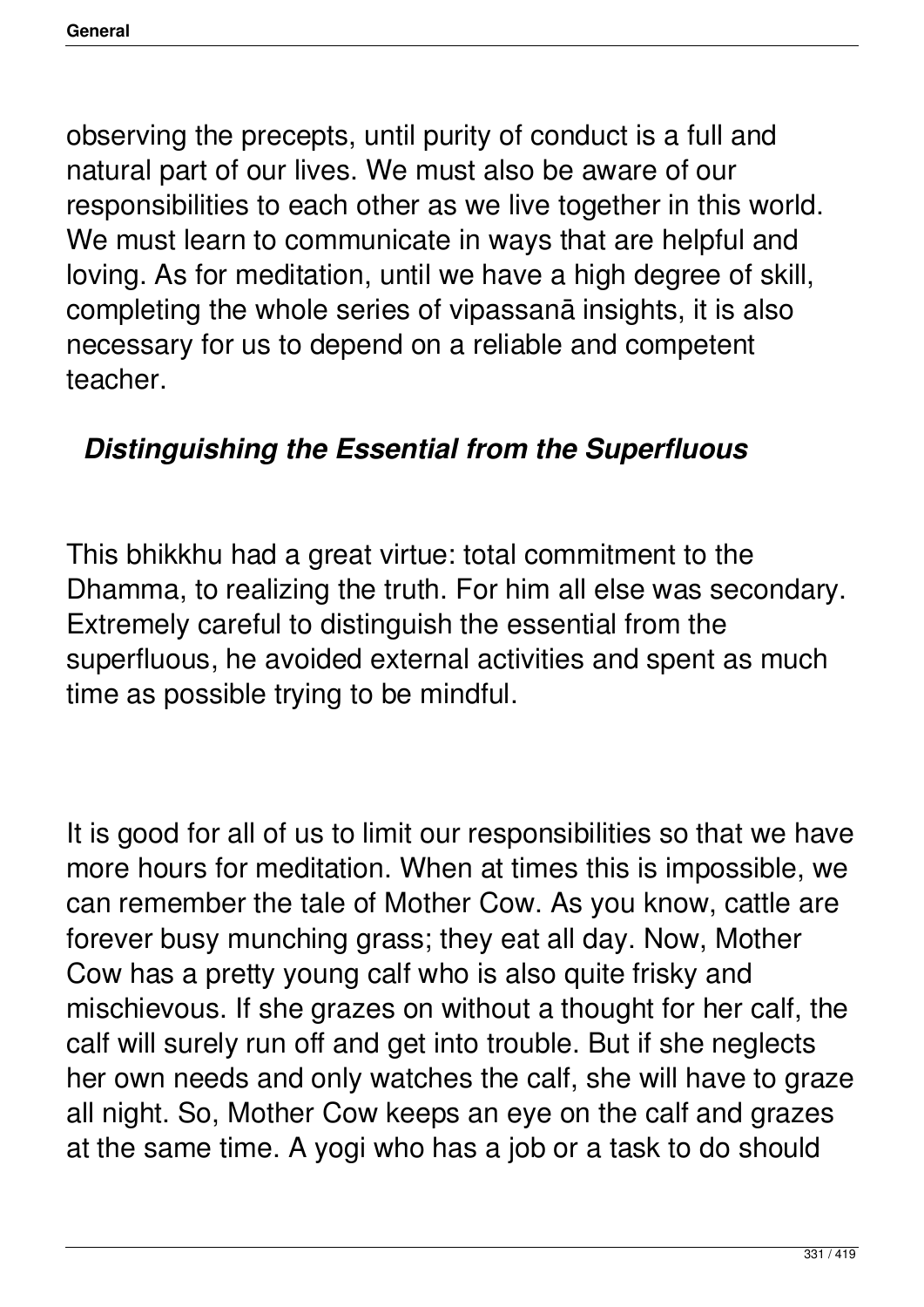observing the precepts, until purity of conduct is a full and natural part of our lives. We must also be aware of our responsibilities to each other as we live together in this world. We must learn to communicate in ways that are helpful and loving. As for meditation, until we have a high degree of skill, completing the whole series of vipassanā insights, it is also necessary for us to depend on a reliable and competent teacher.

#### *Distinguishing the Essential from the Superfluous*

This bhikkhu had a great virtue: total commitment to the Dhamma, to realizing the truth. For him all else was secondary. Extremely careful to distinguish the essential from the superfluous, he avoided external activities and spent as much time as possible trying to be mindful.

It is good for all of us to limit our responsibilities so that we have more hours for meditation. When at times this is impossible, we can remember the tale of Mother Cow. As you know, cattle are forever busy munching grass; they eat all day. Now, Mother Cow has a pretty young calf who is also quite frisky and mischievous. If she grazes on without a thought for her calf, the calf will surely run off and get into trouble. But if she neglects her own needs and only watches the calf, she will have to graze all night. So, Mother Cow keeps an eye on the calf and grazes at the same time. A yogi who has a job or a task to do should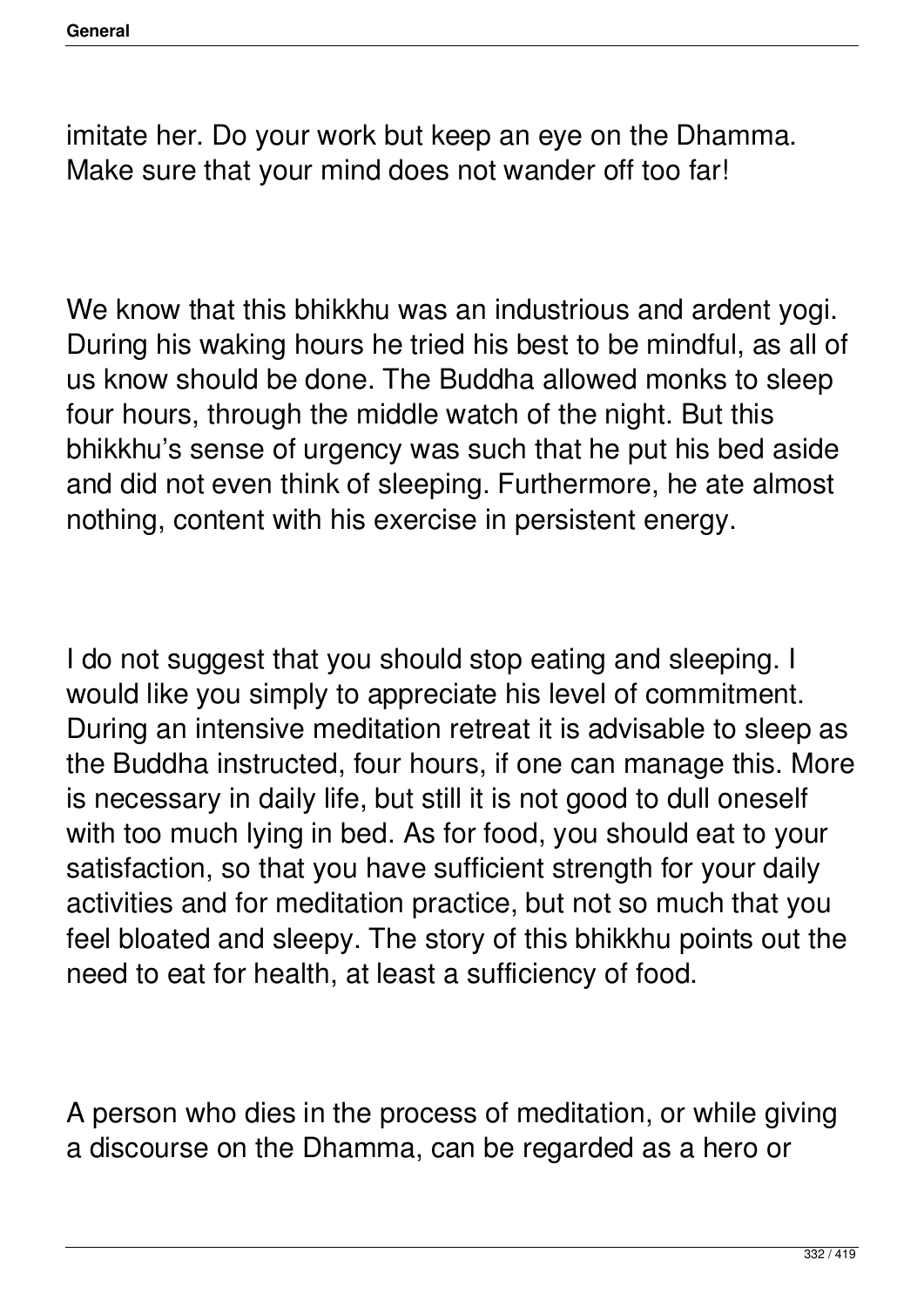imitate her. Do your work but keep an eye on the Dhamma. Make sure that your mind does not wander off too far!

We know that this bhikkhu was an industrious and ardent yogi. During his waking hours he tried his best to be mindful, as all of us know should be done. The Buddha allowed monks to sleep four hours, through the middle watch of the night. But this bhikkhu's sense of urgency was such that he put his bed aside and did not even think of sleeping. Furthermore, he ate almost nothing, content with his exercise in persistent energy.

I do not suggest that you should stop eating and sleeping. I would like you simply to appreciate his level of commitment. During an intensive meditation retreat it is advisable to sleep as the Buddha instructed, four hours, if one can manage this. More is necessary in daily life, but still it is not good to dull oneself with too much lying in bed. As for food, you should eat to your satisfaction, so that you have sufficient strength for your daily activities and for meditation practice, but not so much that you feel bloated and sleepy. The story of this bhikkhu points out the need to eat for health, at least a sufficiency of food.

A person who dies in the process of meditation, or while giving a discourse on the Dhamma, can be regarded as a hero or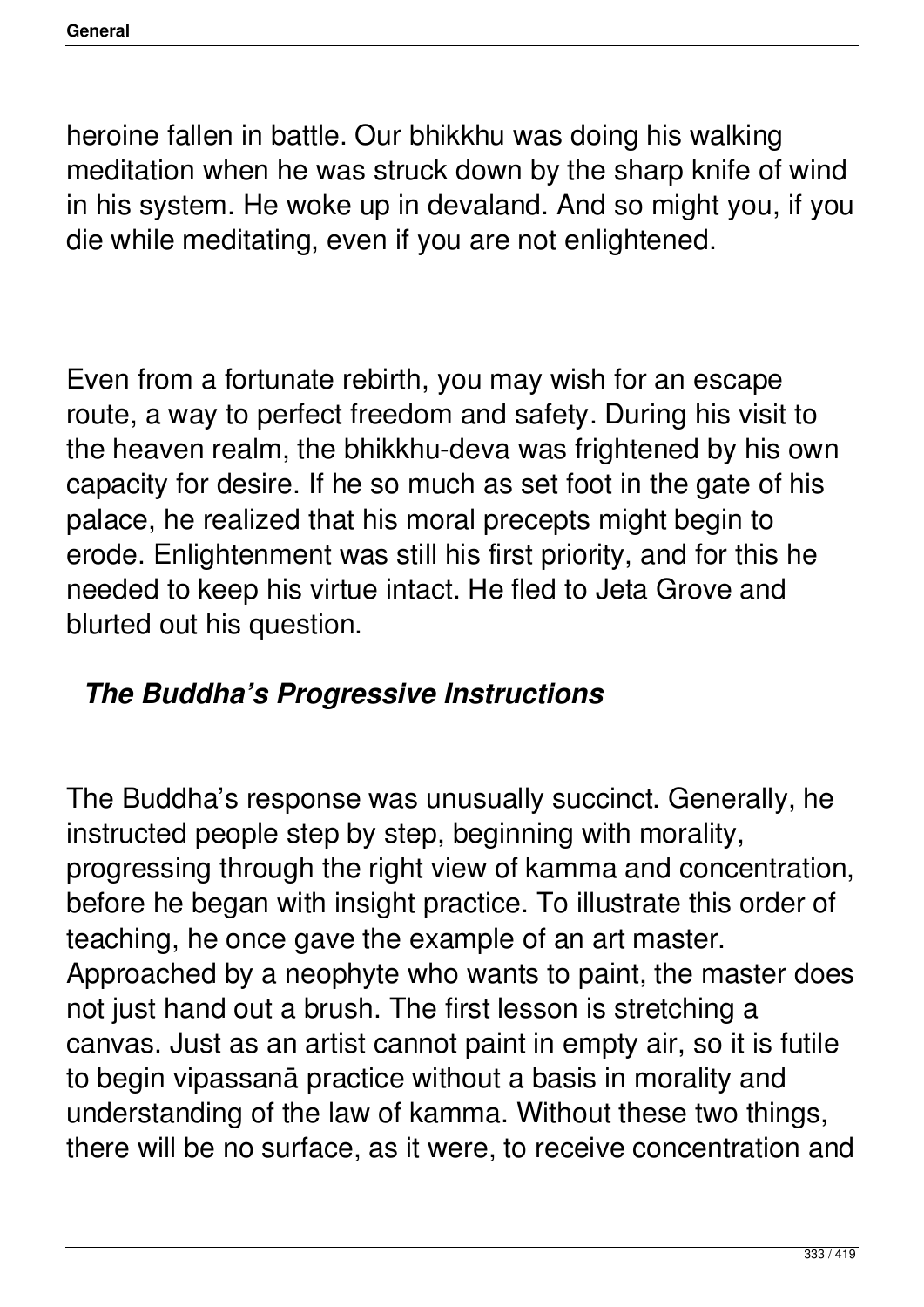heroine fallen in battle. Our bhikkhu was doing his walking meditation when he was struck down by the sharp knife of wind in his system. He woke up in devaland. And so might you, if you die while meditating, even if you are not enlightened.

Even from a fortunate rebirth, you may wish for an escape route, a way to perfect freedom and safety. During his visit to the heaven realm, the bhikkhu-deva was frightened by his own capacity for desire. If he so much as set foot in the gate of his palace, he realized that his moral precepts might begin to erode. Enlightenment was still his first priority, and for this he needed to keep his virtue intact. He fled to Jeta Grove and blurted out his question.

## *The Buddha's Progressive Instructions*

The Buddha's response was unusually succinct. Generally, he instructed people step by step, beginning with morality, progressing through the right view of kamma and concentration, before he began with insight practice. To illustrate this order of teaching, he once gave the example of an art master. Approached by a neophyte who wants to paint, the master does not just hand out a brush. The first lesson is stretching a canvas. Just as an artist cannot paint in empty air, so it is futile to begin vipassanā practice without a basis in morality and understanding of the law of kamma. Without these two things, there will be no surface, as it were, to receive concentration and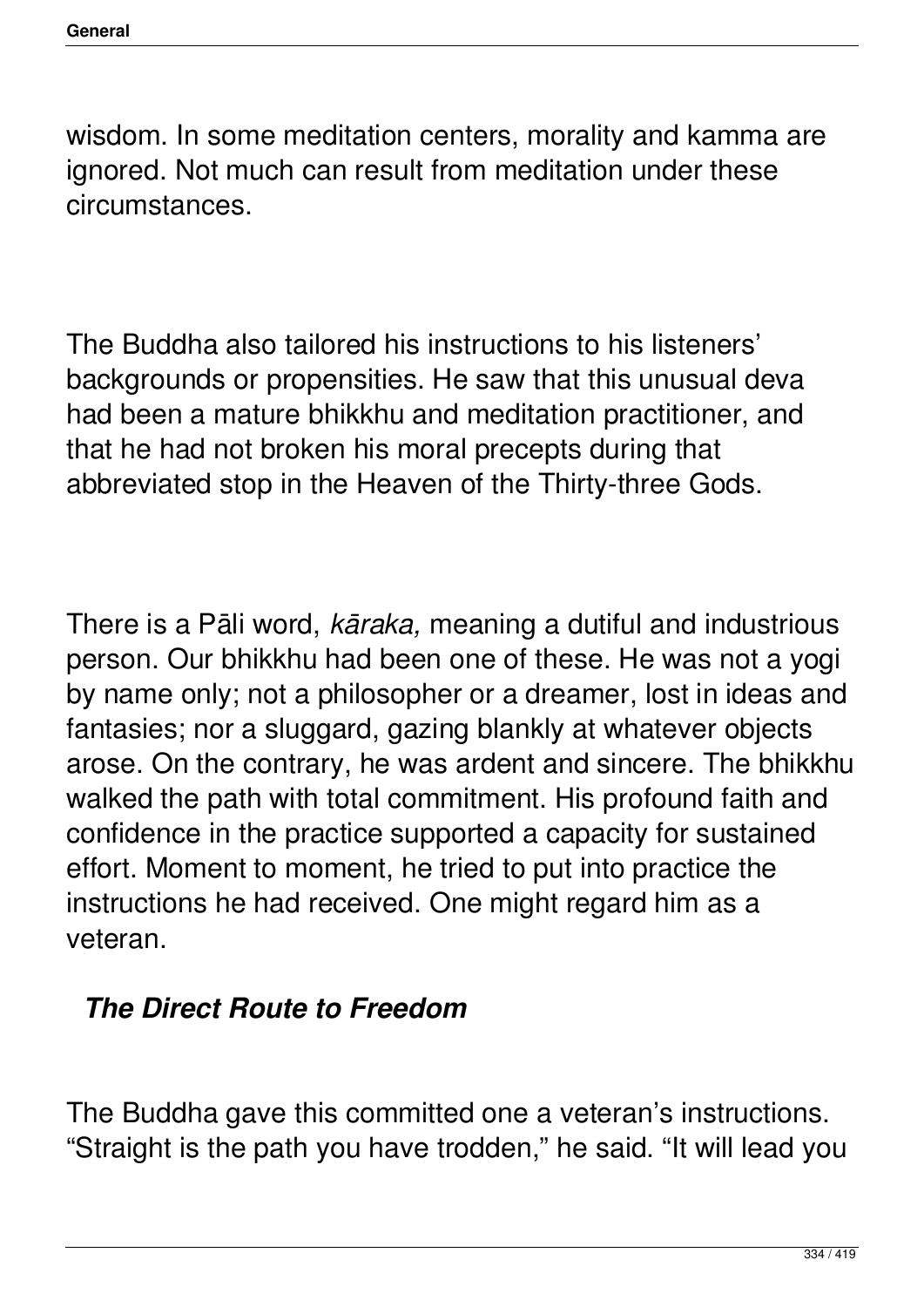wisdom. In some meditation centers, morality and kamma are ignored. Not much can result from meditation under these circumstances.

The Buddha also tailored his instructions to his listeners' backgrounds or propensities. He saw that this unusual deva had been a mature bhikkhu and meditation practitioner, and that he had not broken his moral precepts during that abbreviated stop in the Heaven of the Thirty-three Gods.

There is a Pāli word, *kāraka,* meaning a dutiful and industrious person. Our bhikkhu had been one of these. He was not a yogi by name only; not a philosopher or a dreamer, lost in ideas and fantasies; nor a sluggard, gazing blankly at whatever objects arose. On the contrary, he was ardent and sincere. The bhikkhu walked the path with total commitment. His profound faith and confidence in the practice supported a capacity for sustained effort. Moment to moment, he tried to put into practice the instructions he had received. One might regard him as a veteran.

#### *The Direct Route to Freedom*

The Buddha gave this committed one a veteran's instructions. "Straight is the path you have trodden," he said. "It will lead you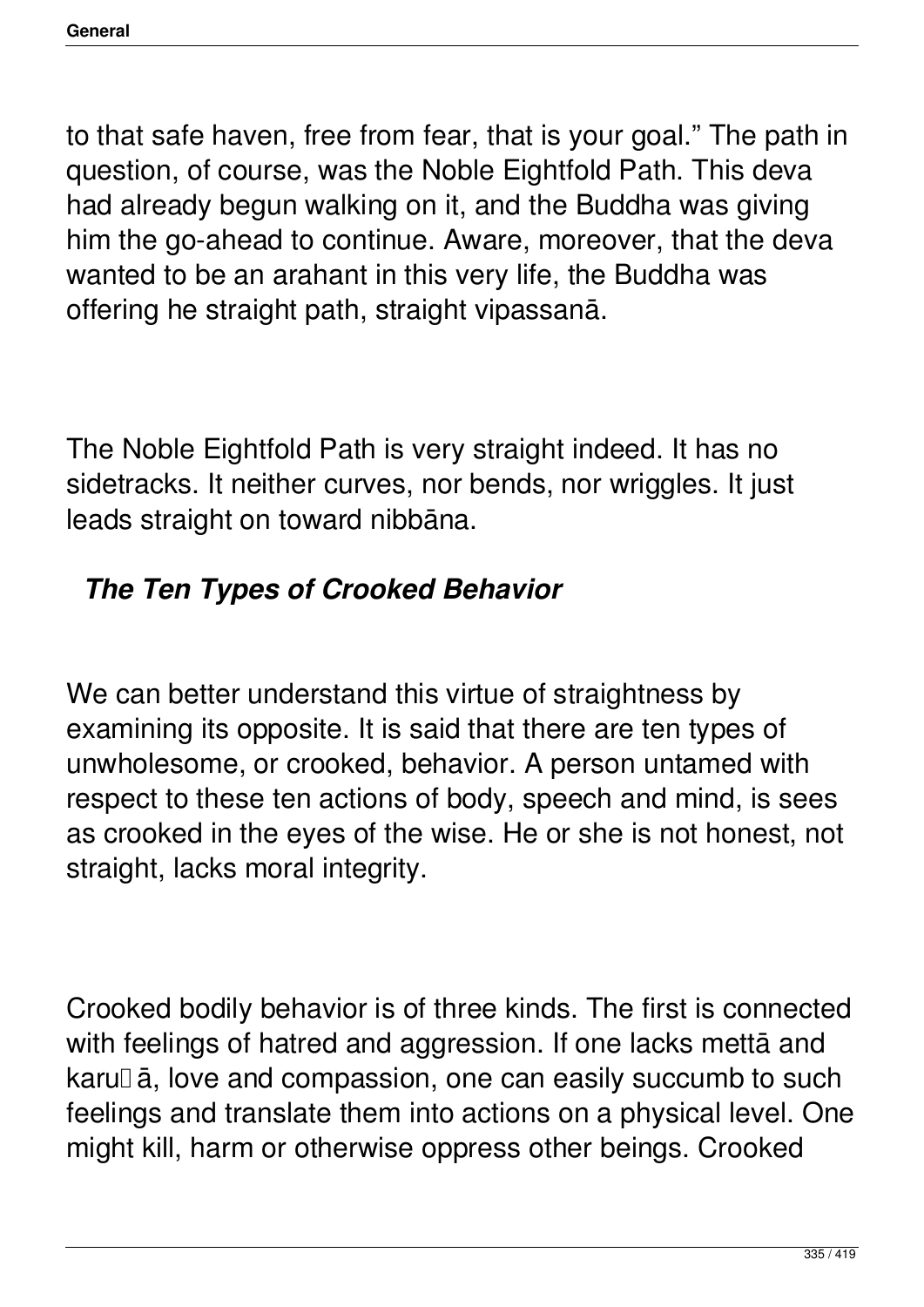to that safe haven, free from fear, that is your goal." The path in question, of course, was the Noble Eightfold Path. This deva had already begun walking on it, and the Buddha was giving him the go-ahead to continue. Aware, moreover, that the deva wanted to be an arahant in this very life, the Buddha was offering he straight path, straight vipassanā.

The Noble Eightfold Path is very straight indeed. It has no sidetracks. It neither curves, nor bends, nor wriggles. It just leads straight on toward nibbāna.

## *The Ten Types of Crooked Behavior*

We can better understand this virtue of straightness by examining its opposite. It is said that there are ten types of unwholesome, or crooked, behavior. A person untamed with respect to these ten actions of body, speech and mind, is sees as crooked in the eyes of the wise. He or she is not honest, not straight, lacks moral integrity.

Crooked bodily behavior is of three kinds. The first is connected with feelings of hatred and aggression. If one lacks mettā and karu $\Box$  ā, love and compassion, one can easily succumb to such feelings and translate them into actions on a physical level. One might kill, harm or otherwise oppress other beings. Crooked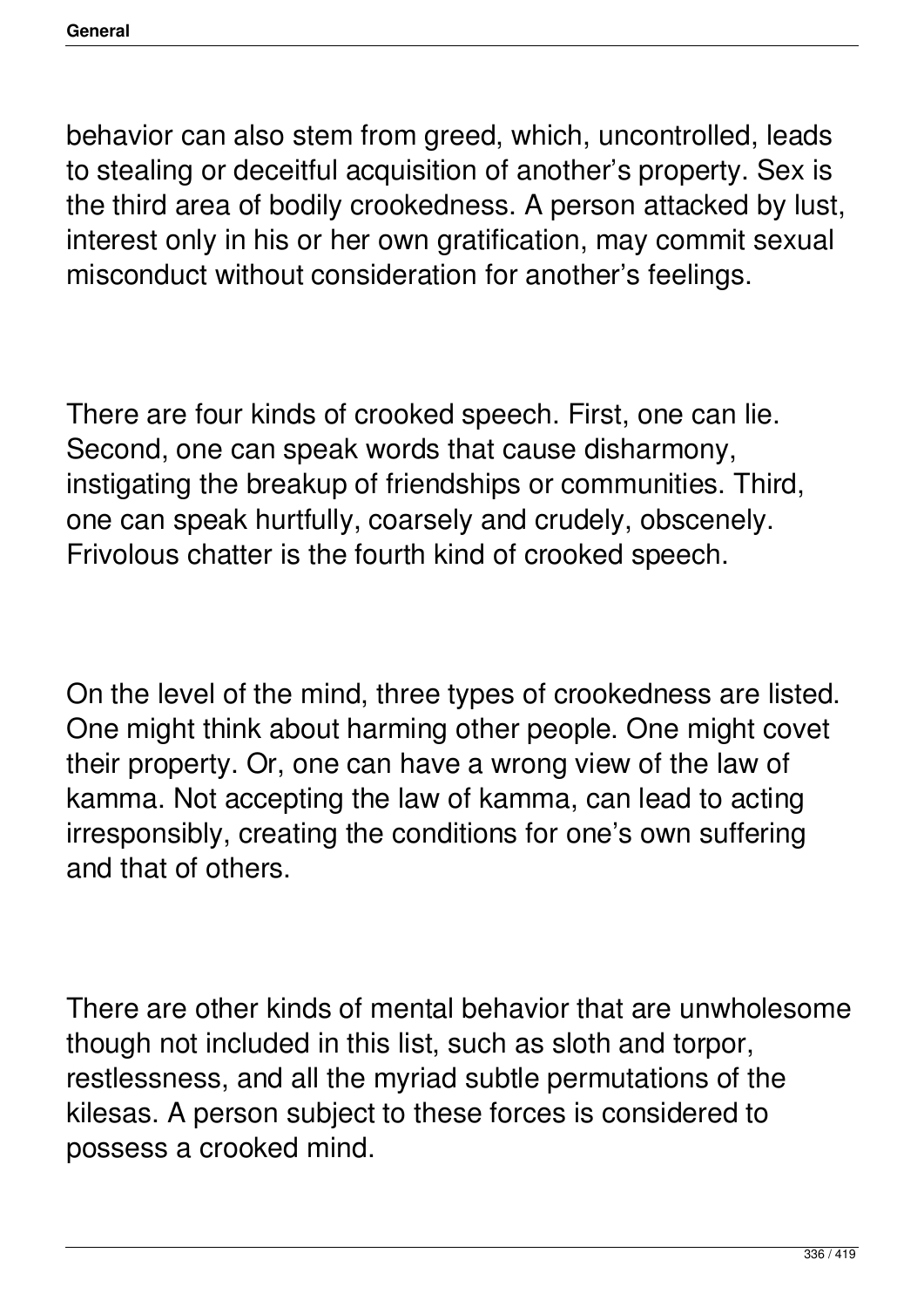behavior can also stem from greed, which, uncontrolled, leads to stealing or deceitful acquisition of another's property. Sex is the third area of bodily crookedness. A person attacked by lust, interest only in his or her own gratification, may commit sexual misconduct without consideration for another's feelings.

There are four kinds of crooked speech. First, one can lie. Second, one can speak words that cause disharmony, instigating the breakup of friendships or communities. Third, one can speak hurtfully, coarsely and crudely, obscenely. Frivolous chatter is the fourth kind of crooked speech.

On the level of the mind, three types of crookedness are listed. One might think about harming other people. One might covet their property. Or, one can have a wrong view of the law of kamma. Not accepting the law of kamma, can lead to acting irresponsibly, creating the conditions for one's own suffering and that of others.

There are other kinds of mental behavior that are unwholesome though not included in this list, such as sloth and torpor, restlessness, and all the myriad subtle permutations of the kilesas. A person subject to these forces is considered to possess a crooked mind.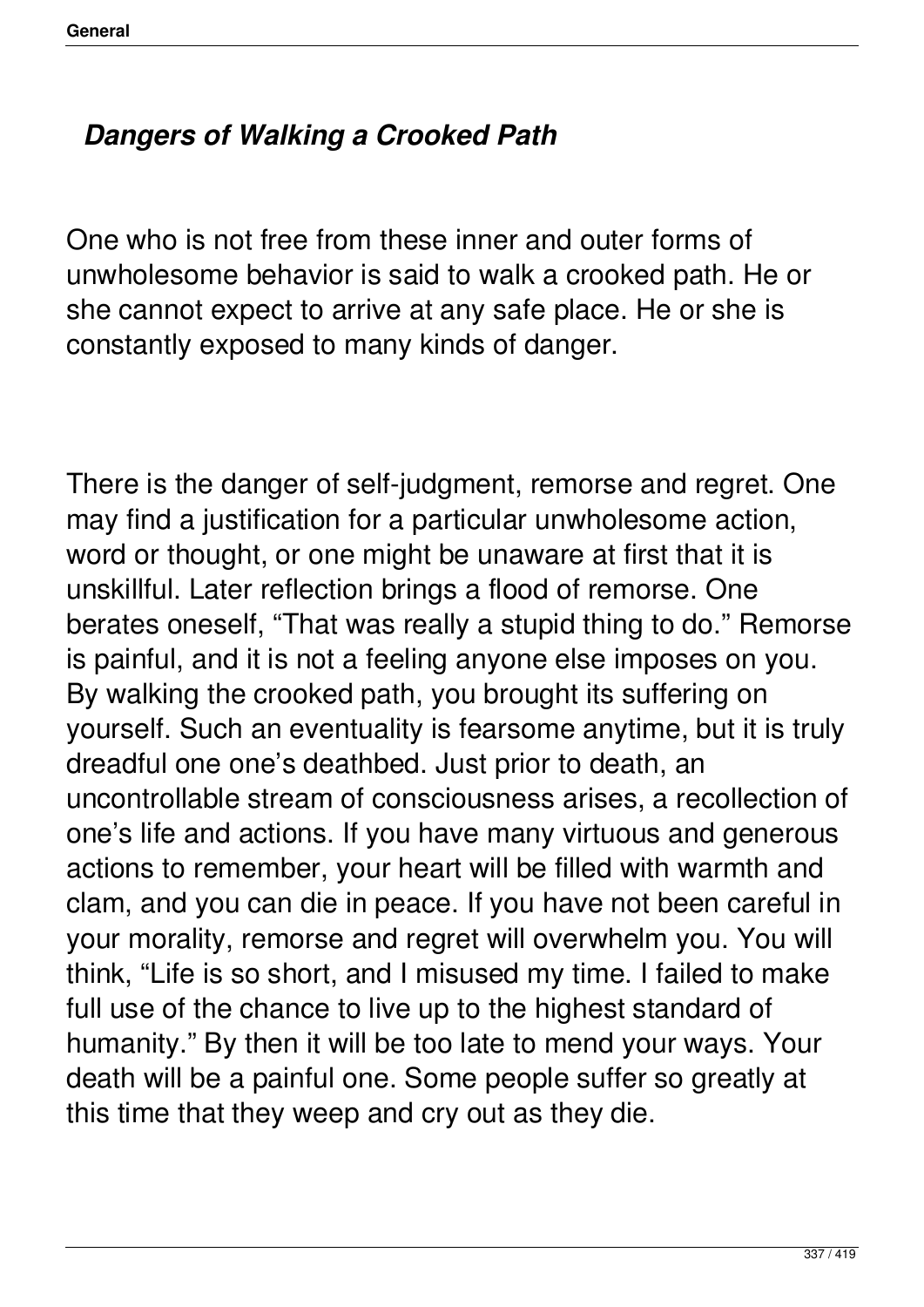### *Dangers of Walking a Crooked Path*

One who is not free from these inner and outer forms of unwholesome behavior is said to walk a crooked path. He or she cannot expect to arrive at any safe place. He or she is constantly exposed to many kinds of danger.

There is the danger of self-judgment, remorse and regret. One may find a justification for a particular unwholesome action, word or thought, or one might be unaware at first that it is unskillful. Later reflection brings a flood of remorse. One berates oneself, "That was really a stupid thing to do." Remorse is painful, and it is not a feeling anyone else imposes on you. By walking the crooked path, you brought its suffering on yourself. Such an eventuality is fearsome anytime, but it is truly dreadful one one's deathbed. Just prior to death, an uncontrollable stream of consciousness arises, a recollection of one's life and actions. If you have many virtuous and generous actions to remember, your heart will be filled with warmth and clam, and you can die in peace. If you have not been careful in your morality, remorse and regret will overwhelm you. You will think, "Life is so short, and I misused my time. I failed to make full use of the chance to live up to the highest standard of humanity." By then it will be too late to mend your ways. Your death will be a painful one. Some people suffer so greatly at this time that they weep and cry out as they die.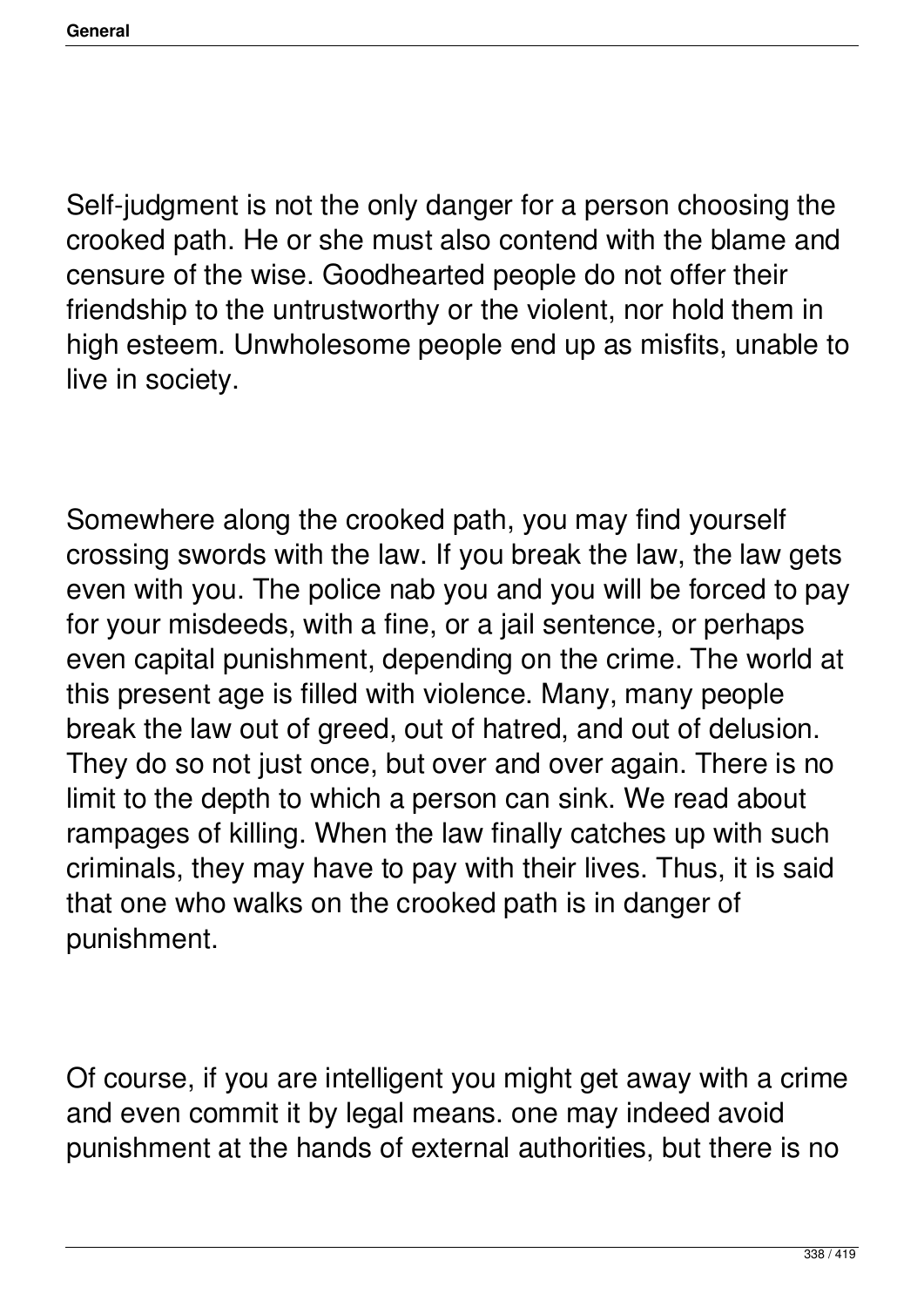Self-judgment is not the only danger for a person choosing the crooked path. He or she must also contend with the blame and censure of the wise. Goodhearted people do not offer their friendship to the untrustworthy or the violent, nor hold them in high esteem. Unwholesome people end up as misfits, unable to live in society.

Somewhere along the crooked path, you may find yourself crossing swords with the law. If you break the law, the law gets even with you. The police nab you and you will be forced to pay for your misdeeds, with a fine, or a jail sentence, or perhaps even capital punishment, depending on the crime. The world at this present age is filled with violence. Many, many people break the law out of greed, out of hatred, and out of delusion. They do so not just once, but over and over again. There is no limit to the depth to which a person can sink. We read about rampages of killing. When the law finally catches up with such criminals, they may have to pay with their lives. Thus, it is said that one who walks on the crooked path is in danger of punishment.

Of course, if you are intelligent you might get away with a crime and even commit it by legal means. one may indeed avoid punishment at the hands of external authorities, but there is no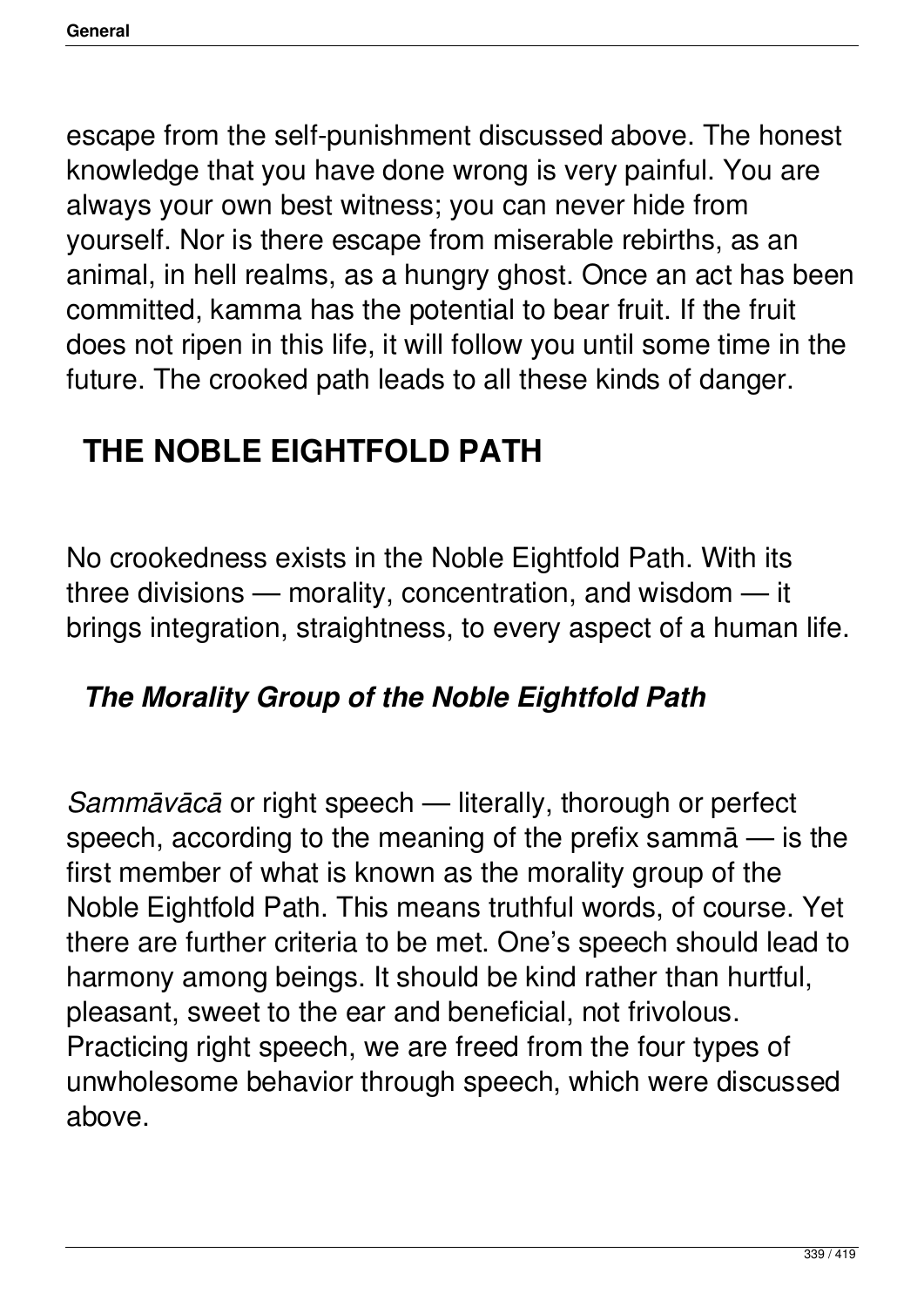escape from the self-punishment discussed above. The honest knowledge that you have done wrong is very painful. You are always your own best witness; you can never hide from yourself. Nor is there escape from miserable rebirths, as an animal, in hell realms, as a hungry ghost. Once an act has been committed, kamma has the potential to bear fruit. If the fruit does not ripen in this life, it will follow you until some time in the future. The crooked path leads to all these kinds of danger.

# **THE NOBLE EIGHTFOLD PATH**

No crookedness exists in the Noble Eightfold Path. With its three divisions — morality, concentration, and wisdom — it brings integration, straightness, to every aspect of a human life.

## *The Morality Group of the Noble Eightfold Path*

*Sammāvācā* or right speech — literally, thorough or perfect speech, according to the meaning of the prefix sammā — is the first member of what is known as the morality group of the Noble Eightfold Path. This means truthful words, of course. Yet there are further criteria to be met. One's speech should lead to harmony among beings. It should be kind rather than hurtful, pleasant, sweet to the ear and beneficial, not frivolous. Practicing right speech, we are freed from the four types of unwholesome behavior through speech, which were discussed above.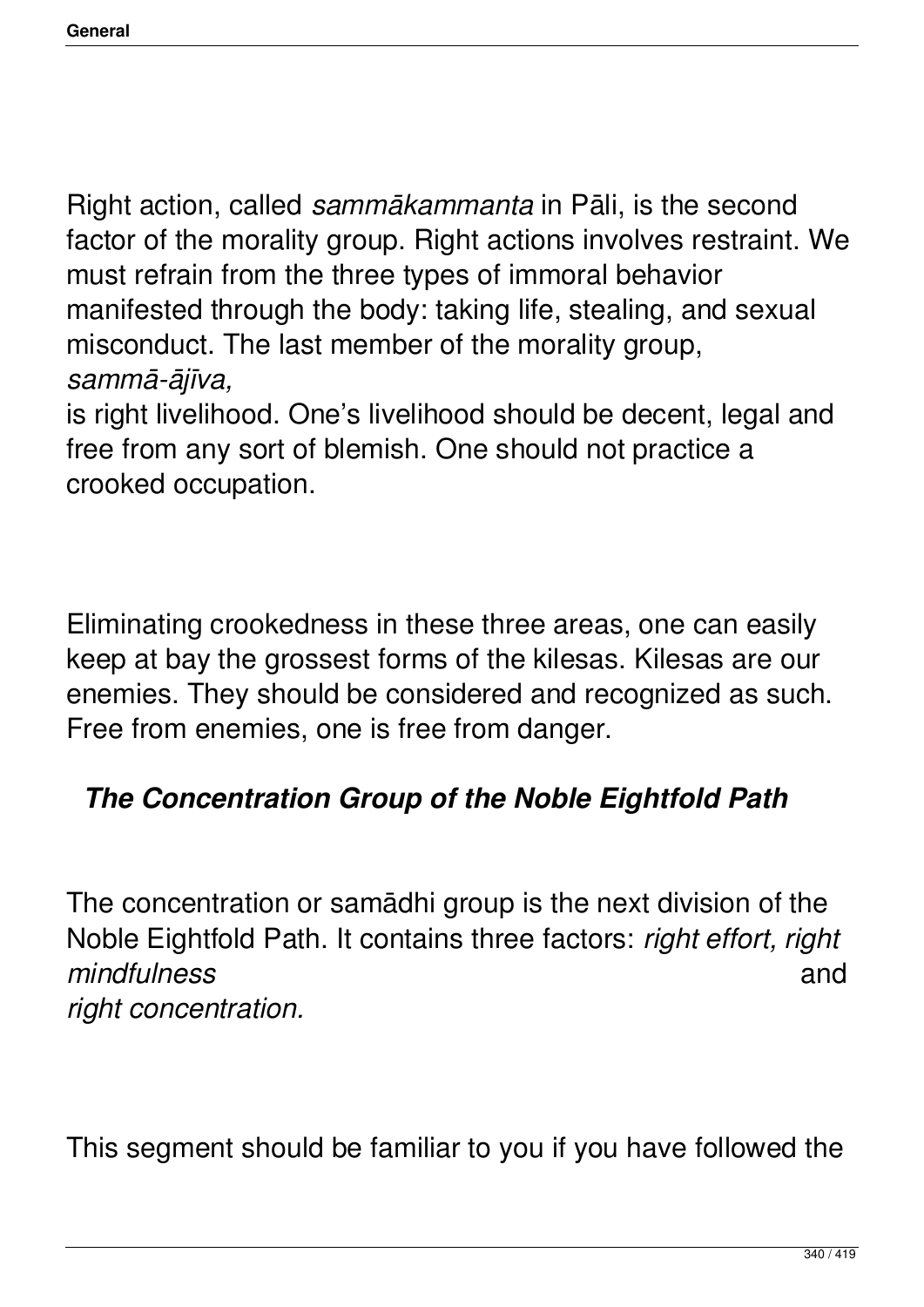Right action, called *sammākammanta* in Pāli, is the second factor of the morality group. Right actions involves restraint. We must refrain from the three types of immoral behavior manifested through the body: taking life, stealing, and sexual misconduct. The last member of the morality group, *sammā-ājīva,*

is right livelihood. One's livelihood should be decent, legal and free from any sort of blemish. One should not practice a crooked occupation.

Eliminating crookedness in these three areas, one can easily keep at bay the grossest forms of the kilesas. Kilesas are our enemies. They should be considered and recognized as such. Free from enemies, one is free from danger.

## *The Concentration Group of the Noble Eightfold Path*

The concentration or samādhi group is the next division of the Noble Eightfold Path. It contains three factors: *right effort, right mindfulness* and *right concentration.*

This segment should be familiar to you if you have followed the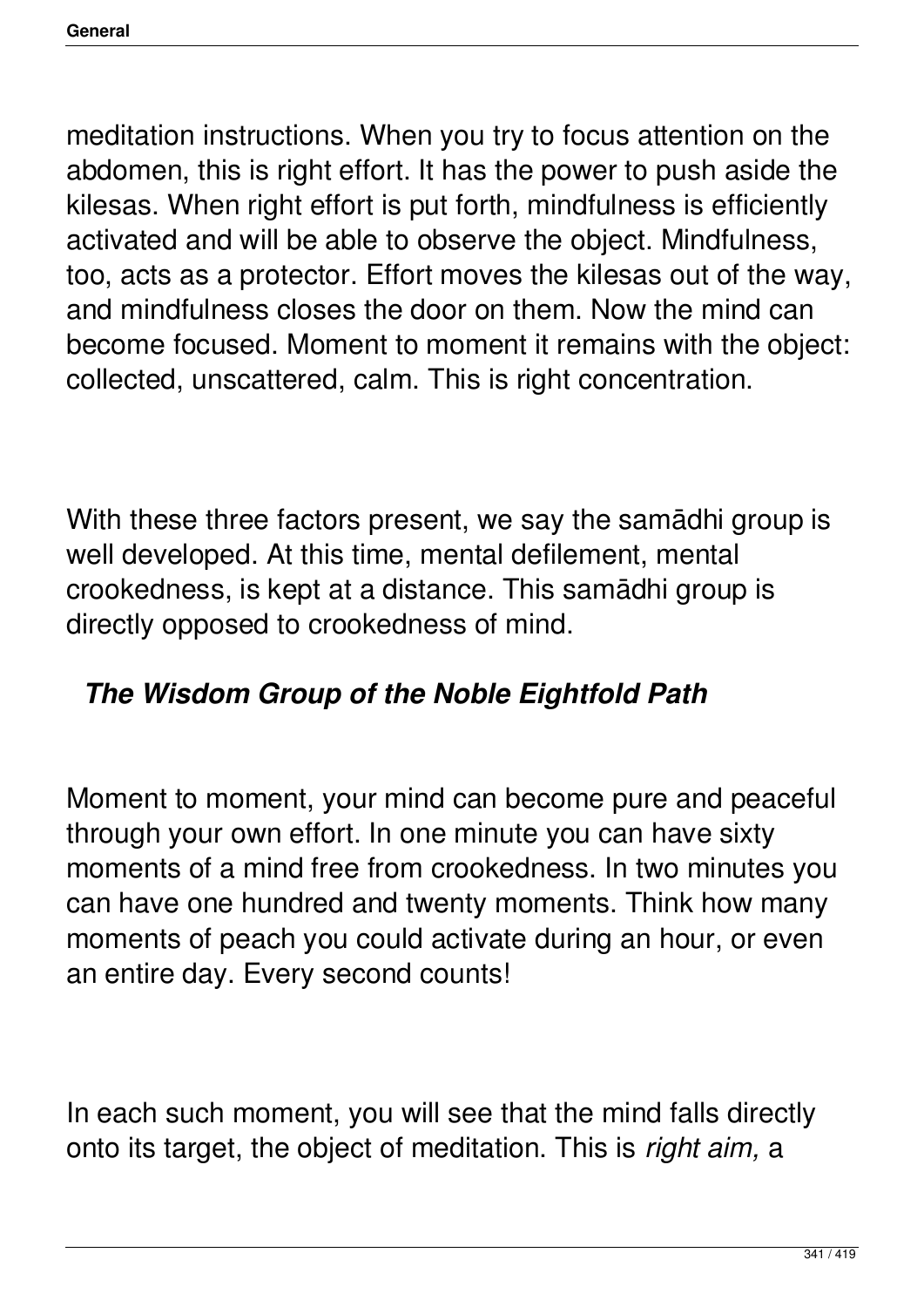meditation instructions. When you try to focus attention on the abdomen, this is right effort. It has the power to push aside the kilesas. When right effort is put forth, mindfulness is efficiently activated and will be able to observe the object. Mindfulness, too, acts as a protector. Effort moves the kilesas out of the way, and mindfulness closes the door on them. Now the mind can become focused. Moment to moment it remains with the object: collected, unscattered, calm. This is right concentration.

With these three factors present, we say the samādhi group is well developed. At this time, mental defilement, mental crookedness, is kept at a distance. This samādhi group is directly opposed to crookedness of mind.

## *The Wisdom Group of the Noble Eightfold Path*

Moment to moment, your mind can become pure and peaceful through your own effort. In one minute you can have sixty moments of a mind free from crookedness. In two minutes you can have one hundred and twenty moments. Think how many moments of peach you could activate during an hour, or even an entire day. Every second counts!

In each such moment, you will see that the mind falls directly onto its target, the object of meditation. This is *right aim,* a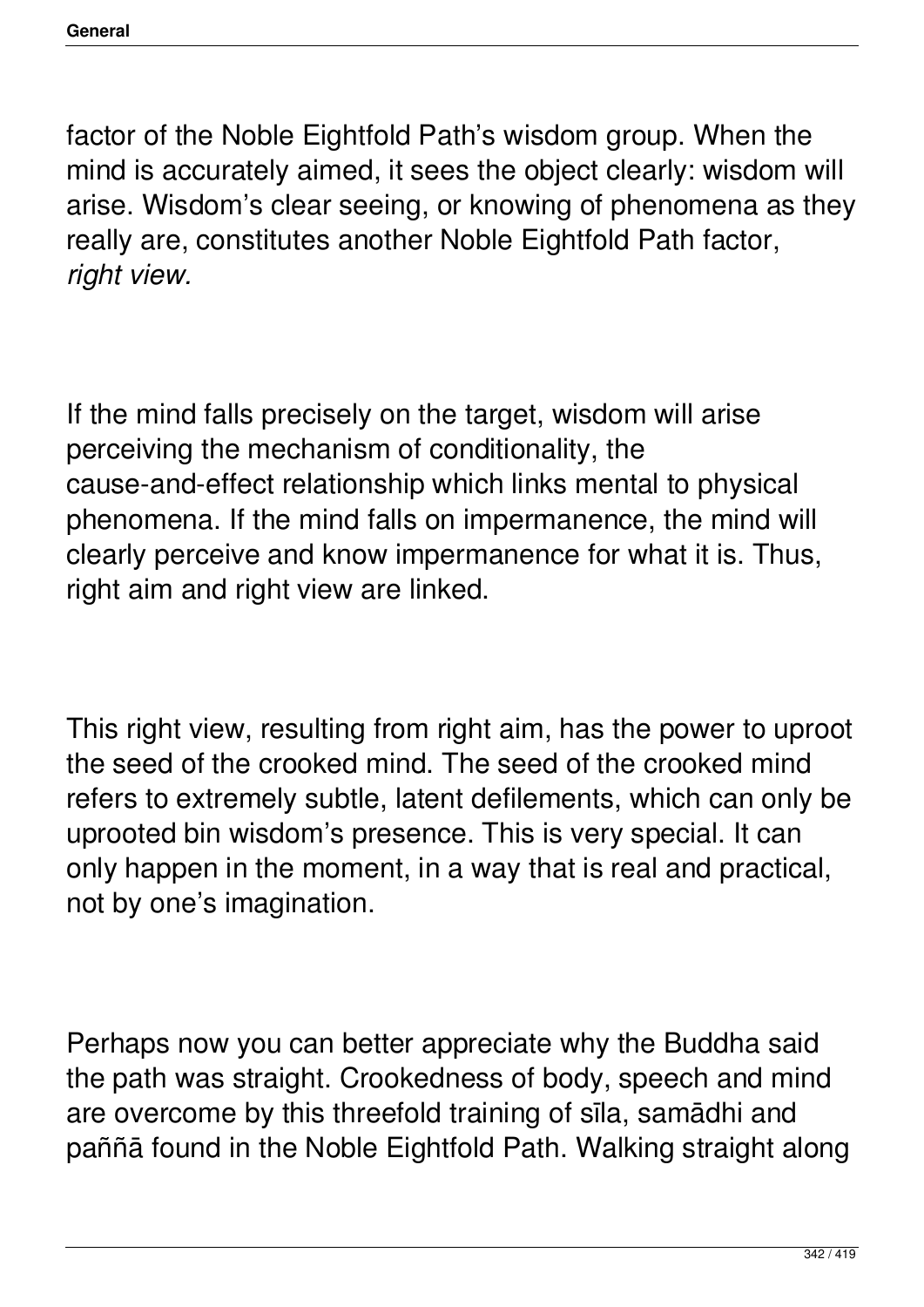factor of the Noble Eightfold Path's wisdom group. When the mind is accurately aimed, it sees the object clearly: wisdom will arise. Wisdom's clear seeing, or knowing of phenomena as they really are, constitutes another Noble Eightfold Path factor, *right view.*

If the mind falls precisely on the target, wisdom will arise perceiving the mechanism of conditionality, the cause-and-effect relationship which links mental to physical phenomena. If the mind falls on impermanence, the mind will clearly perceive and know impermanence for what it is. Thus, right aim and right view are linked.

This right view, resulting from right aim, has the power to uproot the seed of the crooked mind. The seed of the crooked mind refers to extremely subtle, latent defilements, which can only be uprooted bin wisdom's presence. This is very special. It can only happen in the moment, in a way that is real and practical, not by one's imagination.

Perhaps now you can better appreciate why the Buddha said the path was straight. Crookedness of body, speech and mind are overcome by this threefold training of sīla, samādhi and paññā found in the Noble Eightfold Path. Walking straight along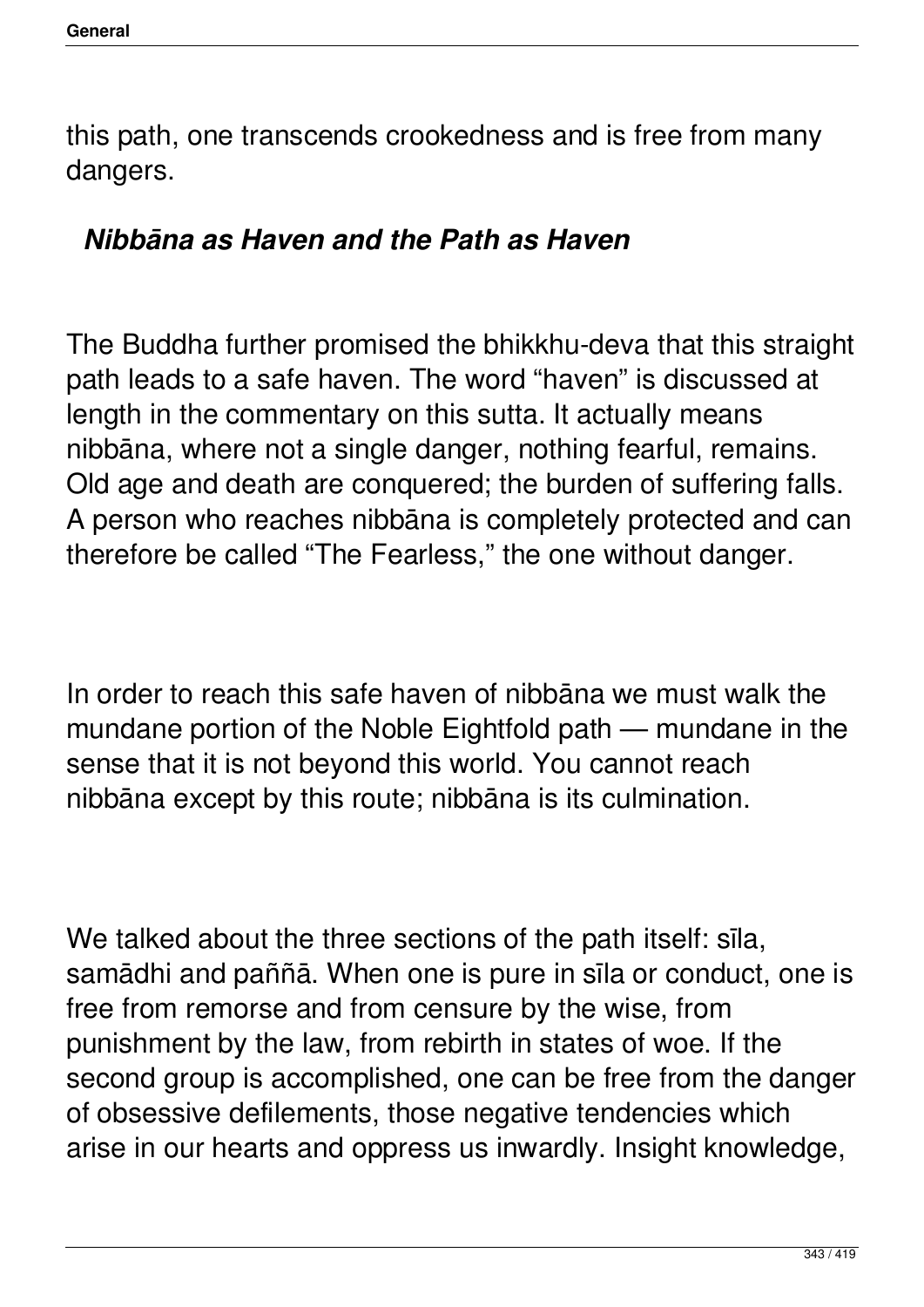this path, one transcends crookedness and is free from many dangers.

### *Nibbāna as Haven and the Path as Haven*

The Buddha further promised the bhikkhu-deva that this straight path leads to a safe haven. The word "haven" is discussed at length in the commentary on this sutta. It actually means nibbāna, where not a single danger, nothing fearful, remains. Old age and death are conquered; the burden of suffering falls. A person who reaches nibbāna is completely protected and can therefore be called "The Fearless," the one without danger.

In order to reach this safe haven of nibbāna we must walk the mundane portion of the Noble Eightfold path — mundane in the sense that it is not beyond this world. You cannot reach nibbāna except by this route; nibbāna is its culmination.

We talked about the three sections of the path itself: sila, samādhi and paññā. When one is pure in sīla or conduct, one is free from remorse and from censure by the wise, from punishment by the law, from rebirth in states of woe. If the second group is accomplished, one can be free from the danger of obsessive defilements, those negative tendencies which arise in our hearts and oppress us inwardly. Insight knowledge,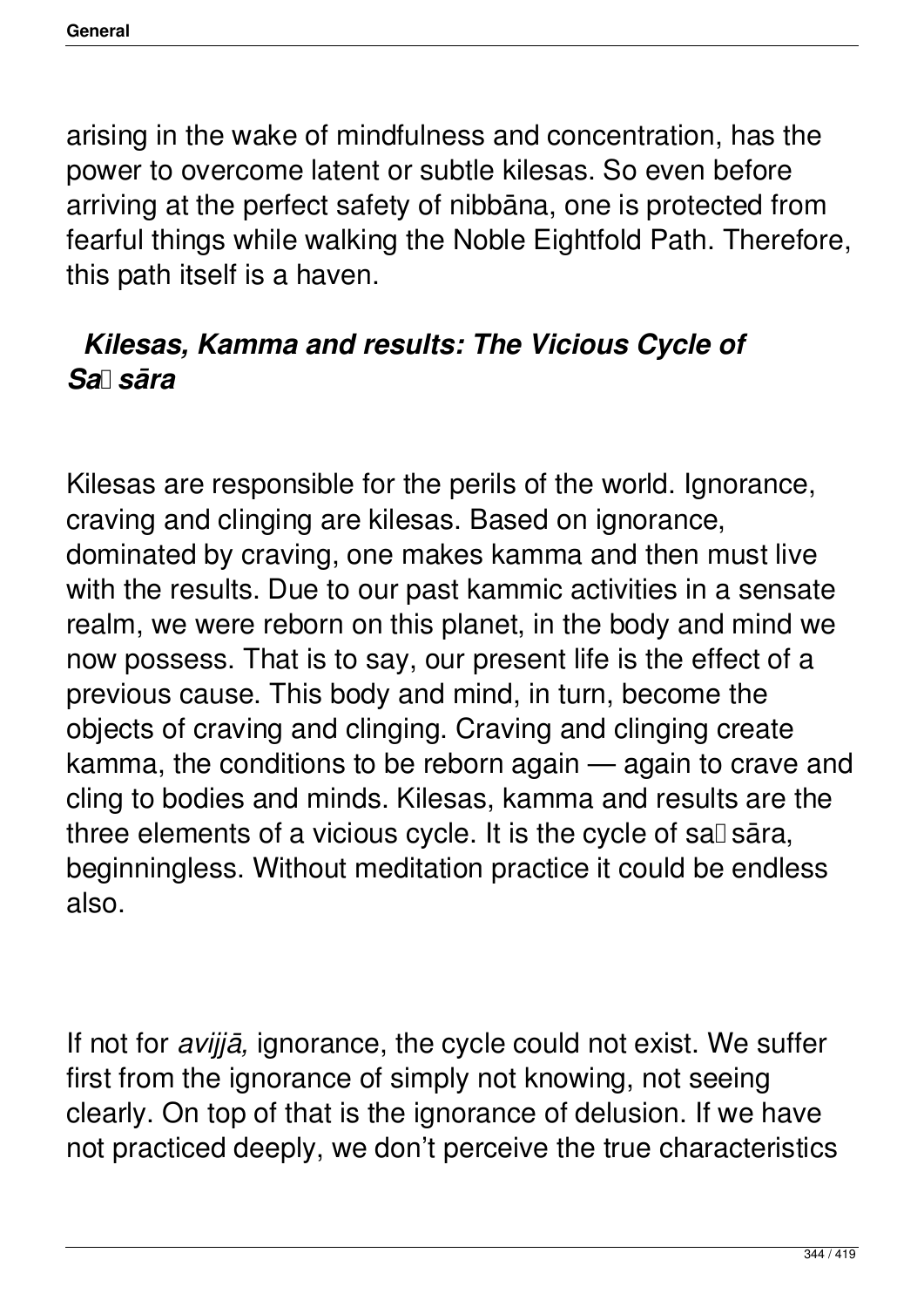arising in the wake of mindfulness and concentration, has the power to overcome latent or subtle kilesas. So even before arriving at the perfect safety of nibbāna, one is protected from fearful things while walking the Noble Eightfold Path. Therefore, this path itself is a haven.

## *Kilesas, Kamma and results: The Vicious Cycle of Saṃsāra*

Kilesas are responsible for the perils of the world. Ignorance, craving and clinging are kilesas. Based on ignorance, dominated by craving, one makes kamma and then must live with the results. Due to our past kammic activities in a sensate realm, we were reborn on this planet, in the body and mind we now possess. That is to say, our present life is the effect of a previous cause. This body and mind, in turn, become the objects of craving and clinging. Craving and clinging create kamma, the conditions to be reborn again — again to crave and cling to bodies and minds. Kilesas, kamma and results are the three elements of a vicious cycle. It is the cycle of sall sara, beginningless. Without meditation practice it could be endless also.

If not for *avijjā,* ignorance, the cycle could not exist. We suffer first from the ignorance of simply not knowing, not seeing clearly. On top of that is the ignorance of delusion. If we have not practiced deeply, we don't perceive the true characteristics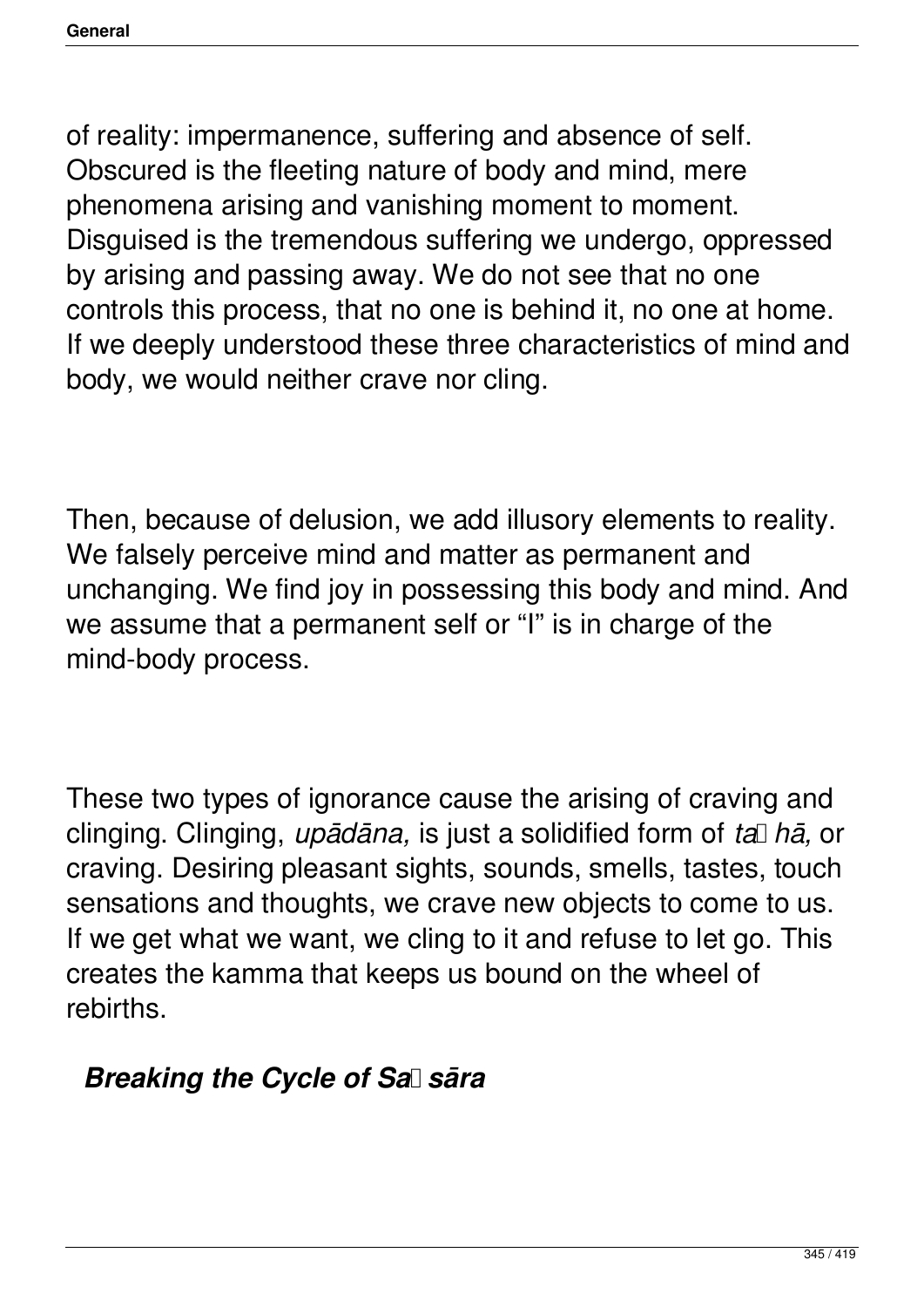of reality: impermanence, suffering and absence of self. Obscured is the fleeting nature of body and mind, mere phenomena arising and vanishing moment to moment. Disguised is the tremendous suffering we undergo, oppressed by arising and passing away. We do not see that no one controls this process, that no one is behind it, no one at home. If we deeply understood these three characteristics of mind and body, we would neither crave nor cling.

Then, because of delusion, we add illusory elements to reality. We falsely perceive mind and matter as permanent and unchanging. We find joy in possessing this body and mind. And we assume that a permanent self or "I" is in charge of the mind-body process.

These two types of ignorance cause the arising of craving and clinging. Clinging, *upādāna,* is just a solidified form of *taṇhā,* or craving. Desiring pleasant sights, sounds, smells, tastes, touch sensations and thoughts, we crave new objects to come to us. If we get what we want, we cling to it and refuse to let go. This creates the kamma that keeps us bound on the wheel of rebirths.

## *Breaking the Cycle of Sa* sara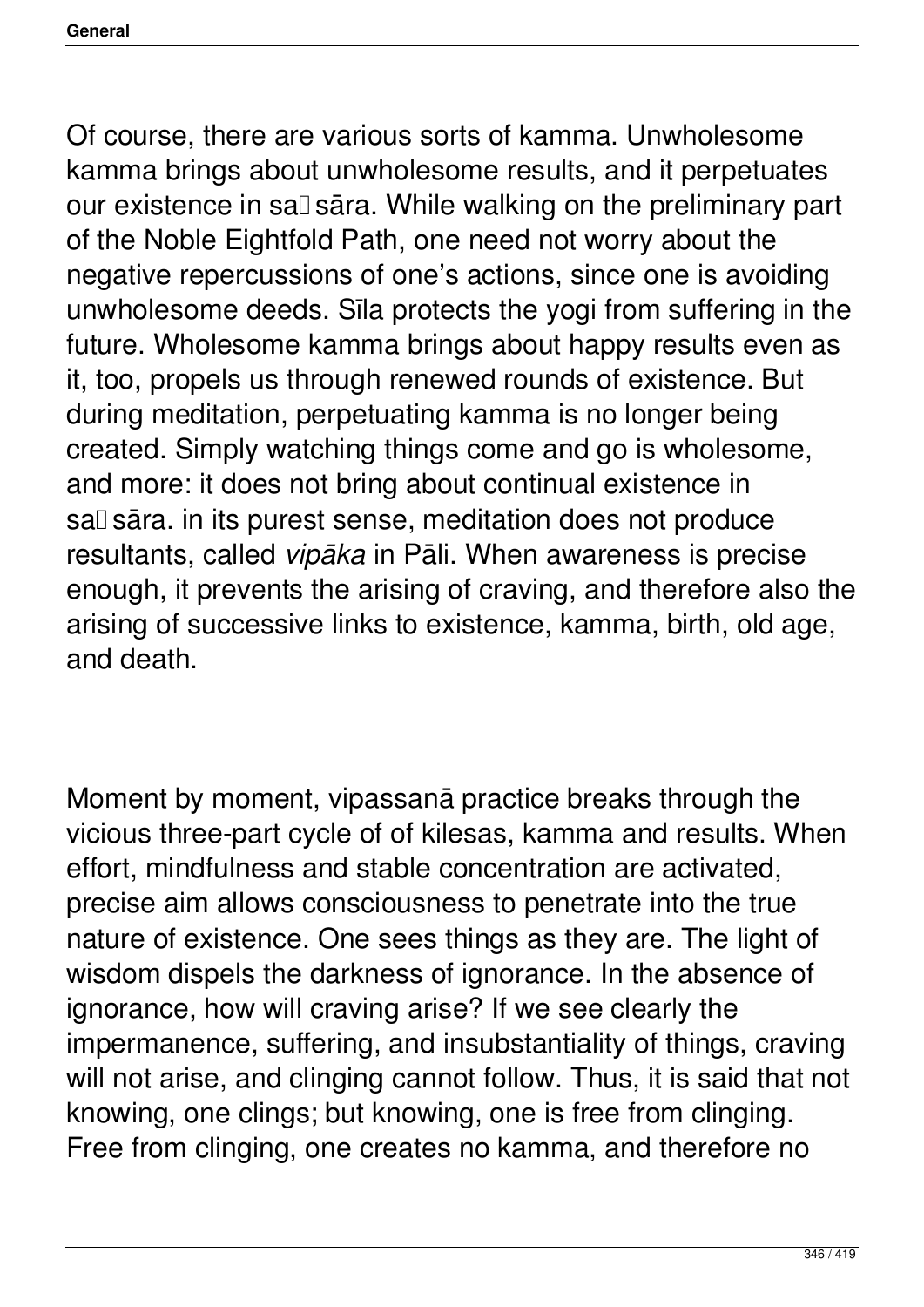Of course, there are various sorts of kamma. Unwholesome kamma brings about unwholesome results, and it perpetuates our existence in sa $\square$  sāra. While walking on the preliminary part of the Noble Eightfold Path, one need not worry about the negative repercussions of one's actions, since one is avoiding unwholesome deeds. Sīla protects the yogi from suffering in the future. Wholesome kamma brings about happy results even as it, too, propels us through renewed rounds of existence. But during meditation, perpetuating kamma is no longer being created. Simply watching things come and go is wholesome, and more: it does not bring about continual existence in sal sāra. in its purest sense, meditation does not produce resultants, called *vipāka* in Pāli. When awareness is precise enough, it prevents the arising of craving, and therefore also the arising of successive links to existence, kamma, birth, old age, and death.

Moment by moment, vipassanā practice breaks through the vicious three-part cycle of of kilesas, kamma and results. When effort, mindfulness and stable concentration are activated, precise aim allows consciousness to penetrate into the true nature of existence. One sees things as they are. The light of wisdom dispels the darkness of ignorance. In the absence of ignorance, how will craving arise? If we see clearly the impermanence, suffering, and insubstantiality of things, craving will not arise, and clinging cannot follow. Thus, it is said that not knowing, one clings; but knowing, one is free from clinging. Free from clinging, one creates no kamma, and therefore no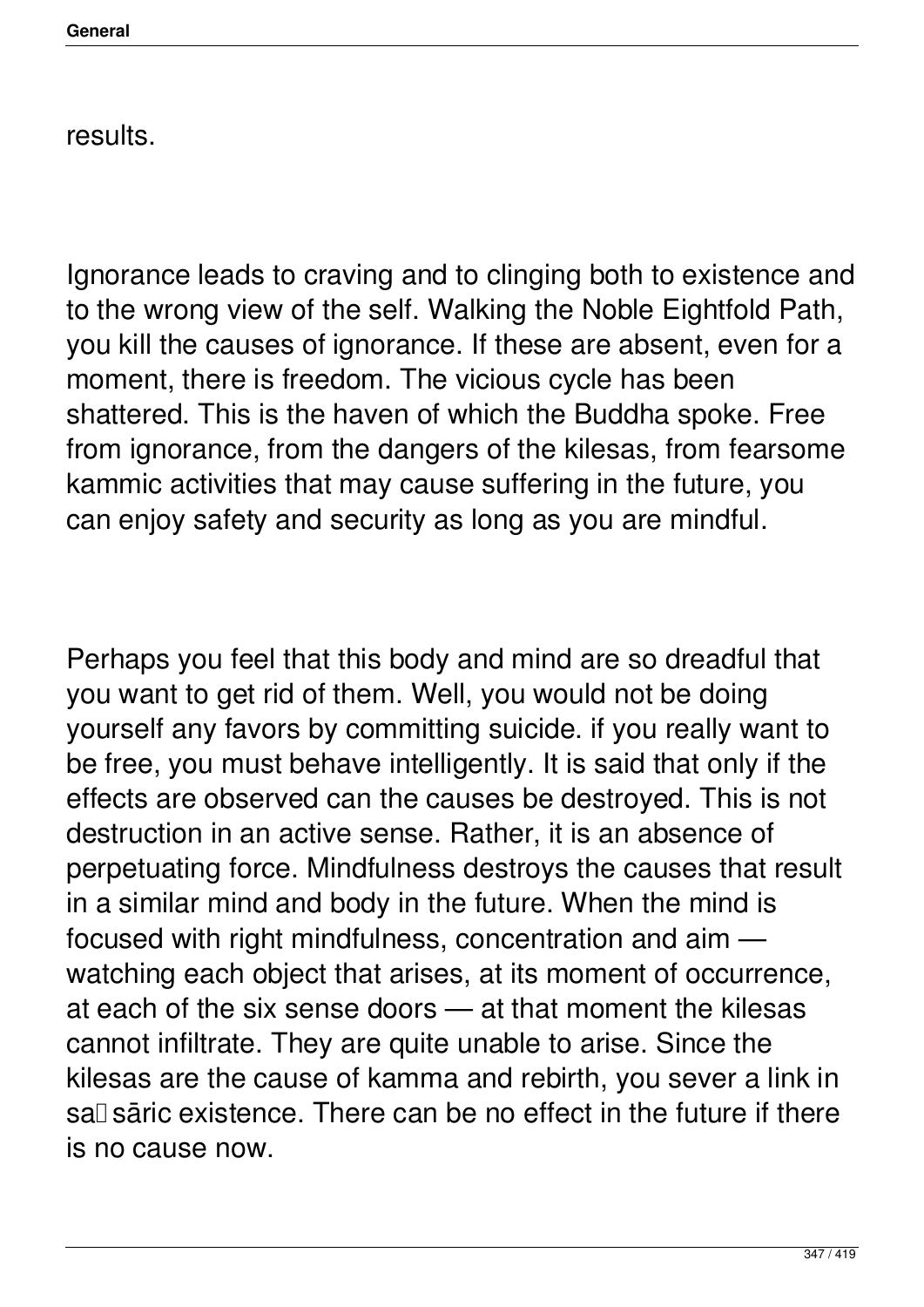results.

Ignorance leads to craving and to clinging both to existence and to the wrong view of the self. Walking the Noble Eightfold Path, you kill the causes of ignorance. If these are absent, even for a moment, there is freedom. The vicious cycle has been shattered. This is the haven of which the Buddha spoke. Free from ignorance, from the dangers of the kilesas, from fearsome kammic activities that may cause suffering in the future, you can enjoy safety and security as long as you are mindful.

Perhaps you feel that this body and mind are so dreadful that you want to get rid of them. Well, you would not be doing yourself any favors by committing suicide. if you really want to be free, you must behave intelligently. It is said that only if the effects are observed can the causes be destroyed. This is not destruction in an active sense. Rather, it is an absence of perpetuating force. Mindfulness destroys the causes that result in a similar mind and body in the future. When the mind is focused with right mindfulness, concentration and aim watching each object that arises, at its moment of occurrence, at each of the six sense doors — at that moment the kilesas cannot infiltrate. They are quite unable to arise. Since the kilesas are the cause of kamma and rebirth, you sever a link in sal sāric existence. There can be no effect in the future if there is no cause now.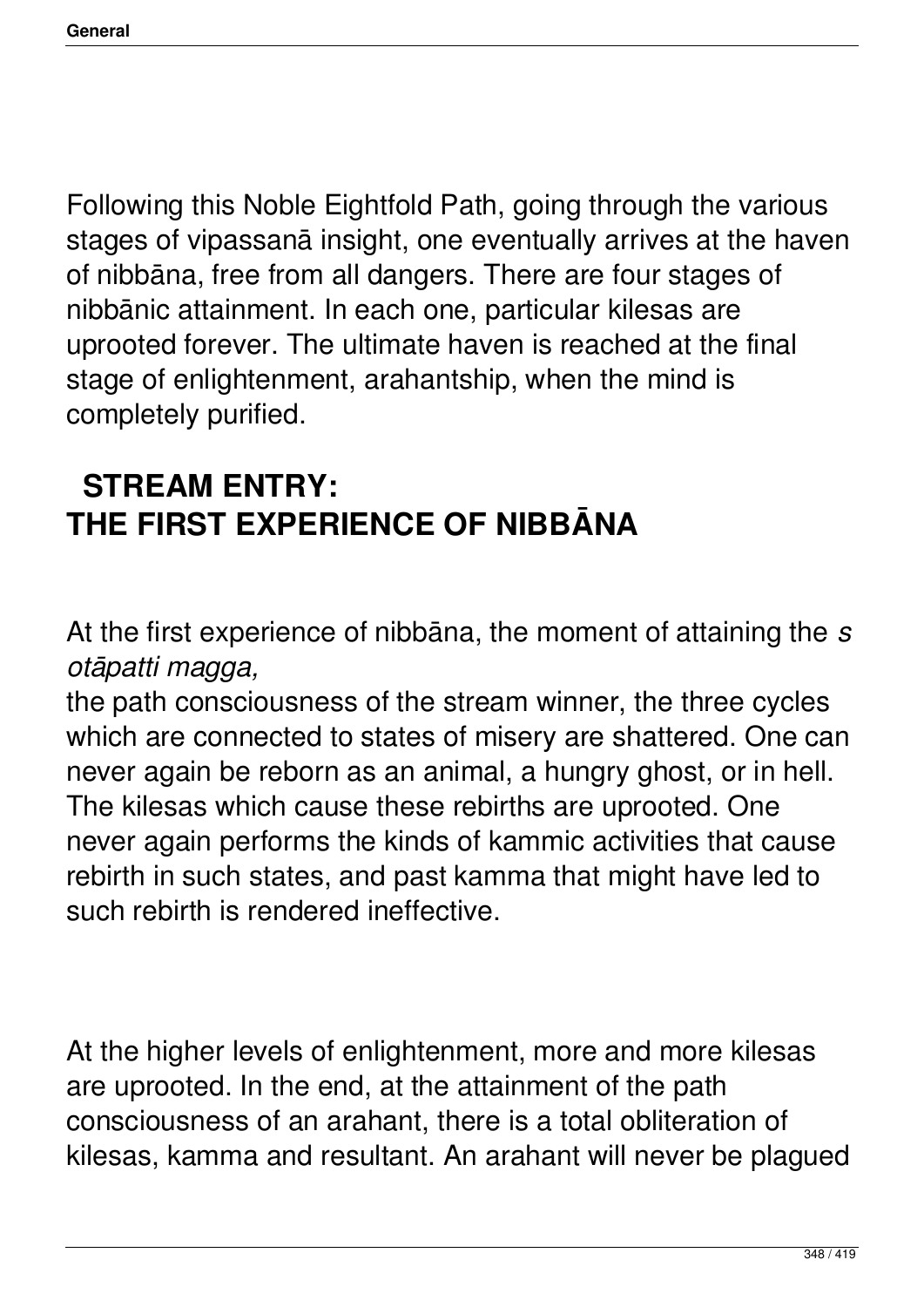Following this Noble Eightfold Path, going through the various stages of vipassanā insight, one eventually arrives at the haven of nibbāna, free from all dangers. There are four stages of nibbānic attainment. In each one, particular kilesas are uprooted forever. The ultimate haven is reached at the final stage of enlightenment, arahantship, when the mind is completely purified.

# **STREAM ENTRY: THE FIRST EXPERIENCE OF NIBBĀNA**

At the first experience of nibbāna, the moment of attaining the *s otāpatti magga,*

the path consciousness of the stream winner, the three cycles which are connected to states of misery are shattered. One can never again be reborn as an animal, a hungry ghost, or in hell. The kilesas which cause these rebirths are uprooted. One never again performs the kinds of kammic activities that cause rebirth in such states, and past kamma that might have led to such rebirth is rendered ineffective.

At the higher levels of enlightenment, more and more kilesas are uprooted. In the end, at the attainment of the path consciousness of an arahant, there is a total obliteration of kilesas, kamma and resultant. An arahant will never be plagued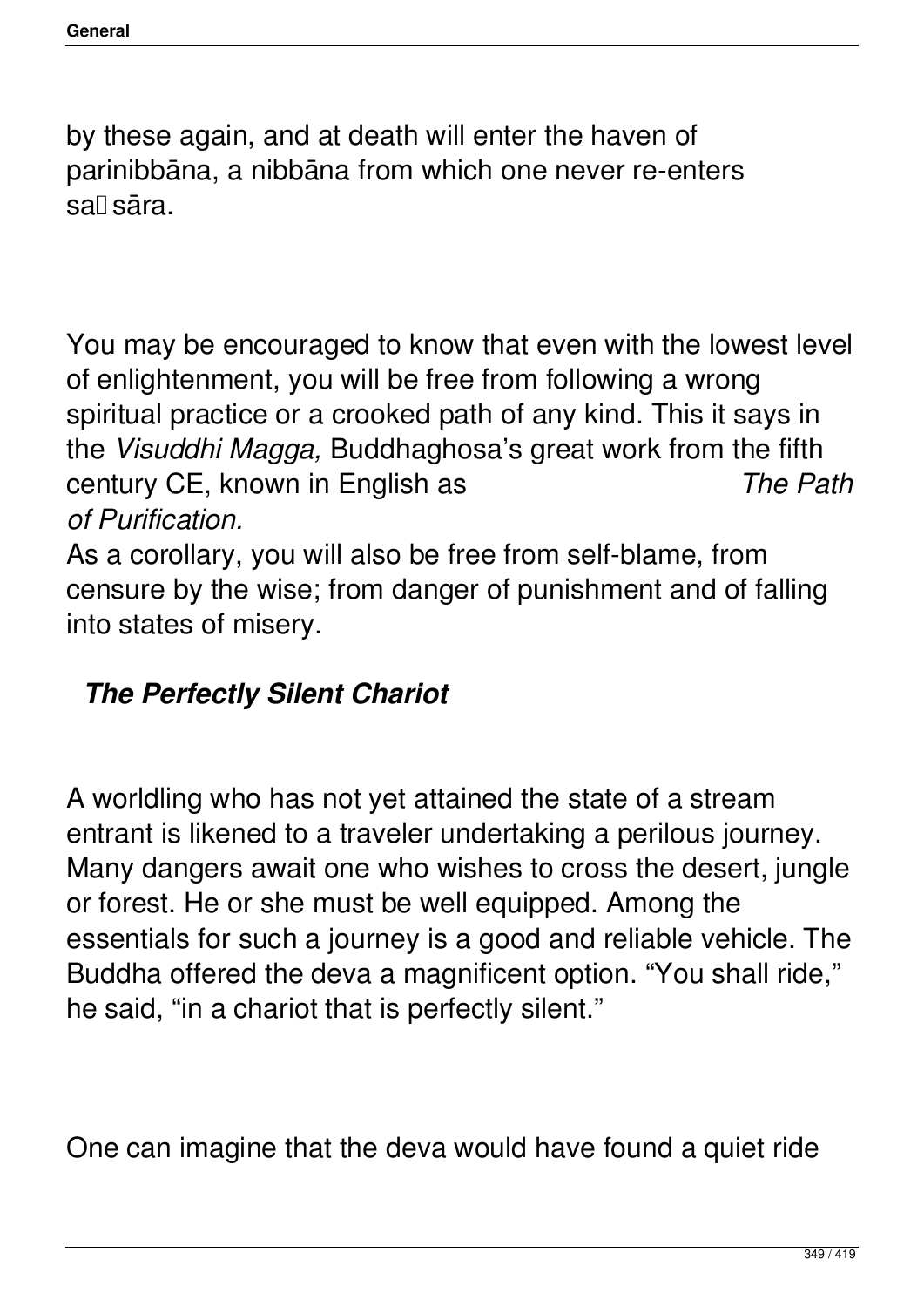by these again, and at death will enter the haven of parinibbāna, a nibbāna from which one never re-enters sa∏sāra.

You may be encouraged to know that even with the lowest level of enlightenment, you will be free from following a wrong spiritual practice or a crooked path of any kind. This it says in the *Visuddhi Magga,* Buddhaghosa's great work from the fifth century CE, known in English as *The Path of Purification.*

As a corollary, you will also be free from self-blame, from censure by the wise; from danger of punishment and of falling into states of misery.

## *The Perfectly Silent Chariot*

A worldling who has not yet attained the state of a stream entrant is likened to a traveler undertaking a perilous journey. Many dangers await one who wishes to cross the desert, jungle or forest. He or she must be well equipped. Among the essentials for such a journey is a good and reliable vehicle. The Buddha offered the deva a magnificent option. "You shall ride," he said, "in a chariot that is perfectly silent."

One can imagine that the deva would have found a quiet ride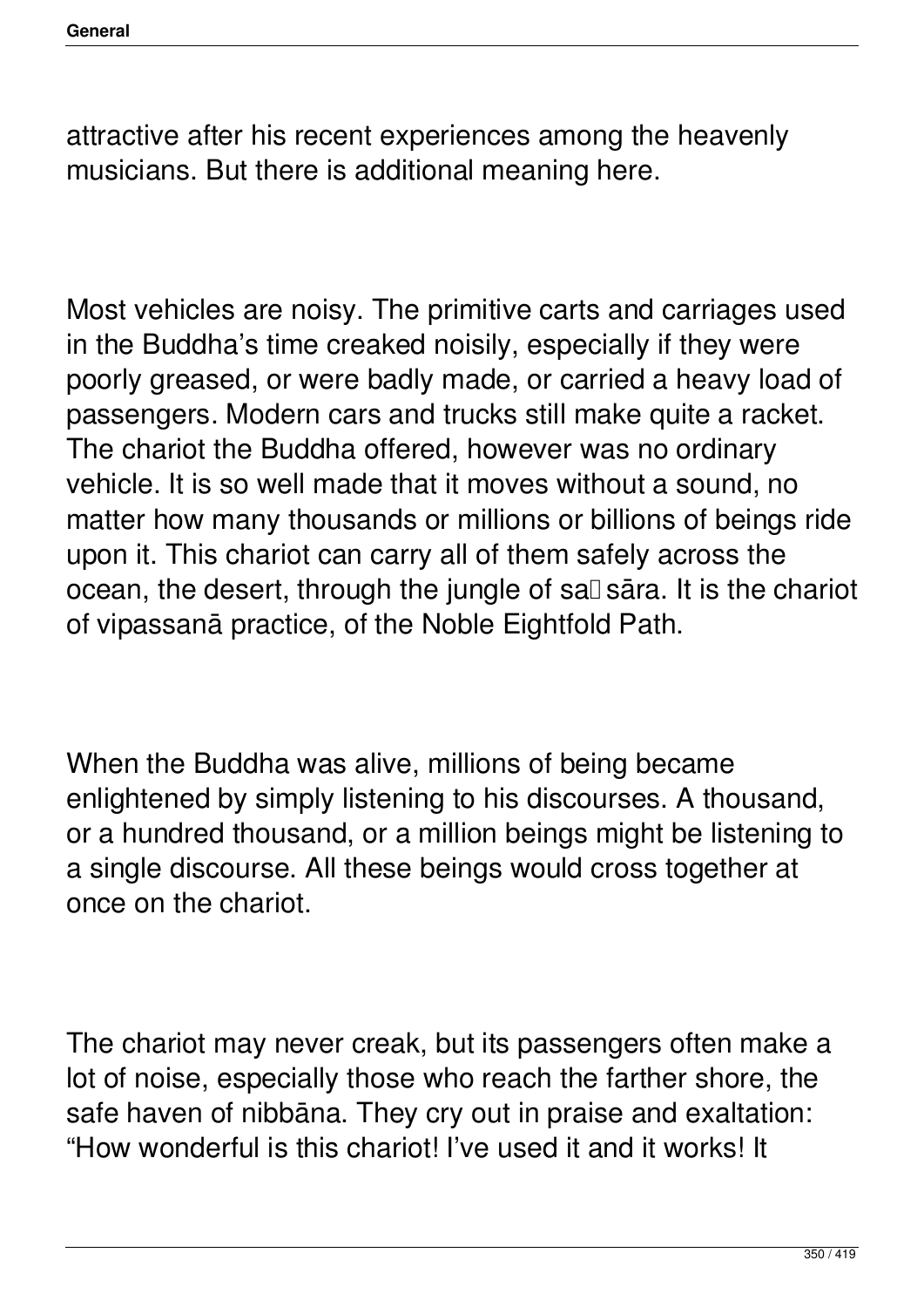attractive after his recent experiences among the heavenly musicians. But there is additional meaning here.

Most vehicles are noisy. The primitive carts and carriages used in the Buddha's time creaked noisily, especially if they were poorly greased, or were badly made, or carried a heavy load of passengers. Modern cars and trucks still make quite a racket. The chariot the Buddha offered, however was no ordinary vehicle. It is so well made that it moves without a sound, no matter how many thousands or millions or billions of beings ride upon it. This chariot can carry all of them safely across the ocean, the desert, through the jungle of sall sara. It is the chariot of vipassanā practice, of the Noble Eightfold Path.

When the Buddha was alive, millions of being became enlightened by simply listening to his discourses. A thousand, or a hundred thousand, or a million beings might be listening to a single discourse. All these beings would cross together at once on the chariot.

The chariot may never creak, but its passengers often make a lot of noise, especially those who reach the farther shore, the safe haven of nibbāna. They cry out in praise and exaltation: "How wonderful is this chariot! I've used it and it works! It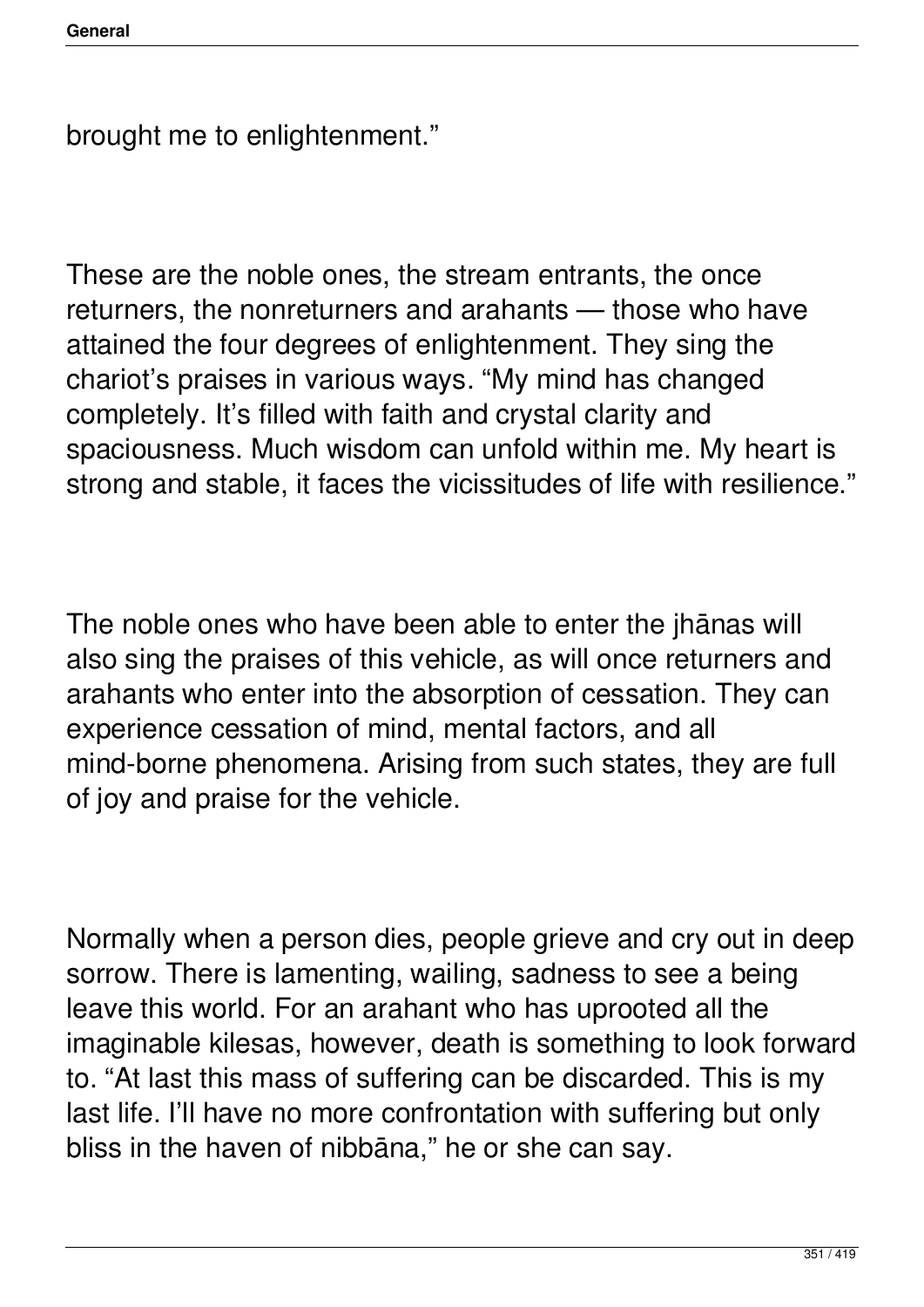brought me to enlightenment."

These are the noble ones, the stream entrants, the once returners, the nonreturners and arahants — those who have attained the four degrees of enlightenment. They sing the chariot's praises in various ways. "My mind has changed completely. It's filled with faith and crystal clarity and spaciousness. Much wisdom can unfold within me. My heart is strong and stable, it faces the vicissitudes of life with resilience."

The noble ones who have been able to enter the jhānas will also sing the praises of this vehicle, as will once returners and arahants who enter into the absorption of cessation. They can experience cessation of mind, mental factors, and all mind-borne phenomena. Arising from such states, they are full of joy and praise for the vehicle.

Normally when a person dies, people grieve and cry out in deep sorrow. There is lamenting, wailing, sadness to see a being leave this world. For an arahant who has uprooted all the imaginable kilesas, however, death is something to look forward to. "At last this mass of suffering can be discarded. This is my last life. I'll have no more confrontation with suffering but only bliss in the haven of nibbāna," he or she can say.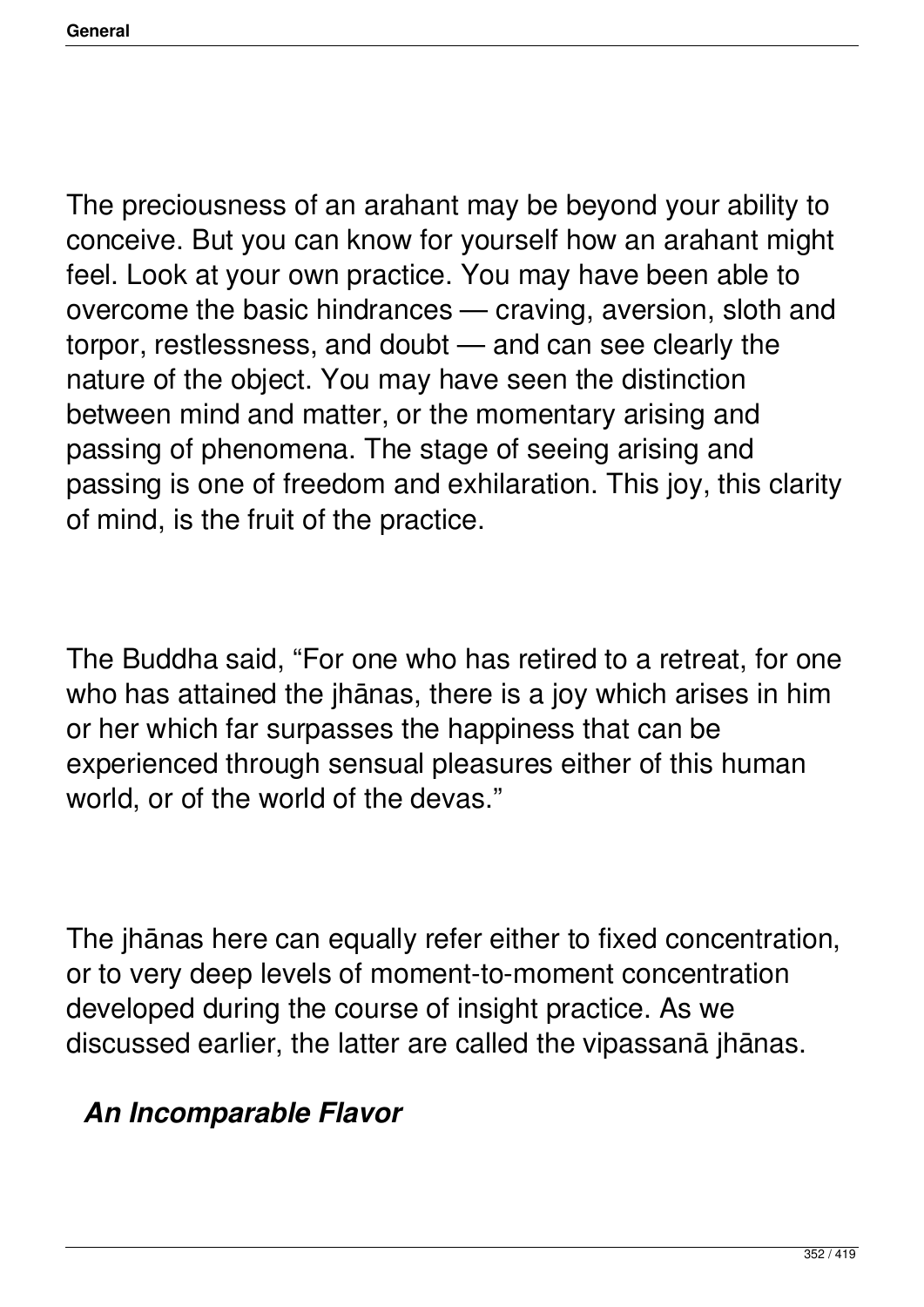The preciousness of an arahant may be beyond your ability to conceive. But you can know for yourself how an arahant might feel. Look at your own practice. You may have been able to overcome the basic hindrances — craving, aversion, sloth and torpor, restlessness, and doubt — and can see clearly the nature of the object. You may have seen the distinction between mind and matter, or the momentary arising and passing of phenomena. The stage of seeing arising and passing is one of freedom and exhilaration. This joy, this clarity of mind, is the fruit of the practice.

The Buddha said, "For one who has retired to a retreat, for one who has attained the jhānas, there is a joy which arises in him or her which far surpasses the happiness that can be experienced through sensual pleasures either of this human world, or of the world of the devas."

The jhānas here can equally refer either to fixed concentration, or to very deep levels of moment-to-moment concentration developed during the course of insight practice. As we discussed earlier, the latter are called the vipassanā jhānas.

#### *An Incomparable Flavor*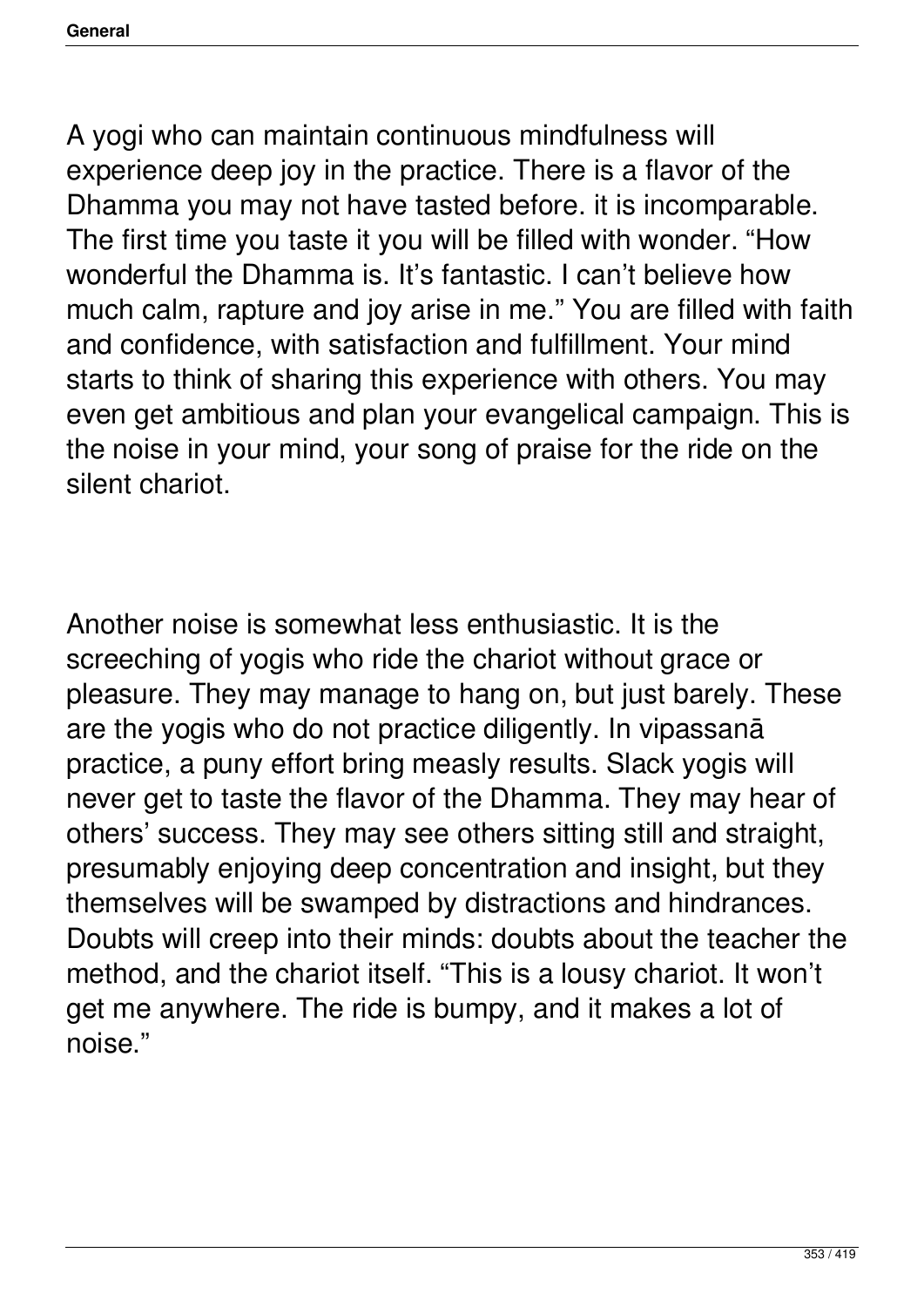A yogi who can maintain continuous mindfulness will experience deep joy in the practice. There is a flavor of the Dhamma you may not have tasted before. it is incomparable. The first time you taste it you will be filled with wonder. "How wonderful the Dhamma is. It's fantastic. I can't believe how much calm, rapture and joy arise in me." You are filled with faith and confidence, with satisfaction and fulfillment. Your mind starts to think of sharing this experience with others. You may even get ambitious and plan your evangelical campaign. This is the noise in your mind, your song of praise for the ride on the silent chariot.

Another noise is somewhat less enthusiastic. It is the screeching of yogis who ride the chariot without grace or pleasure. They may manage to hang on, but just barely. These are the yogis who do not practice diligently. In vipassanā practice, a puny effort bring measly results. Slack yogis will never get to taste the flavor of the Dhamma. They may hear of others' success. They may see others sitting still and straight, presumably enjoying deep concentration and insight, but they themselves will be swamped by distractions and hindrances. Doubts will creep into their minds: doubts about the teacher the method, and the chariot itself. "This is a lousy chariot. It won't get me anywhere. The ride is bumpy, and it makes a lot of noise."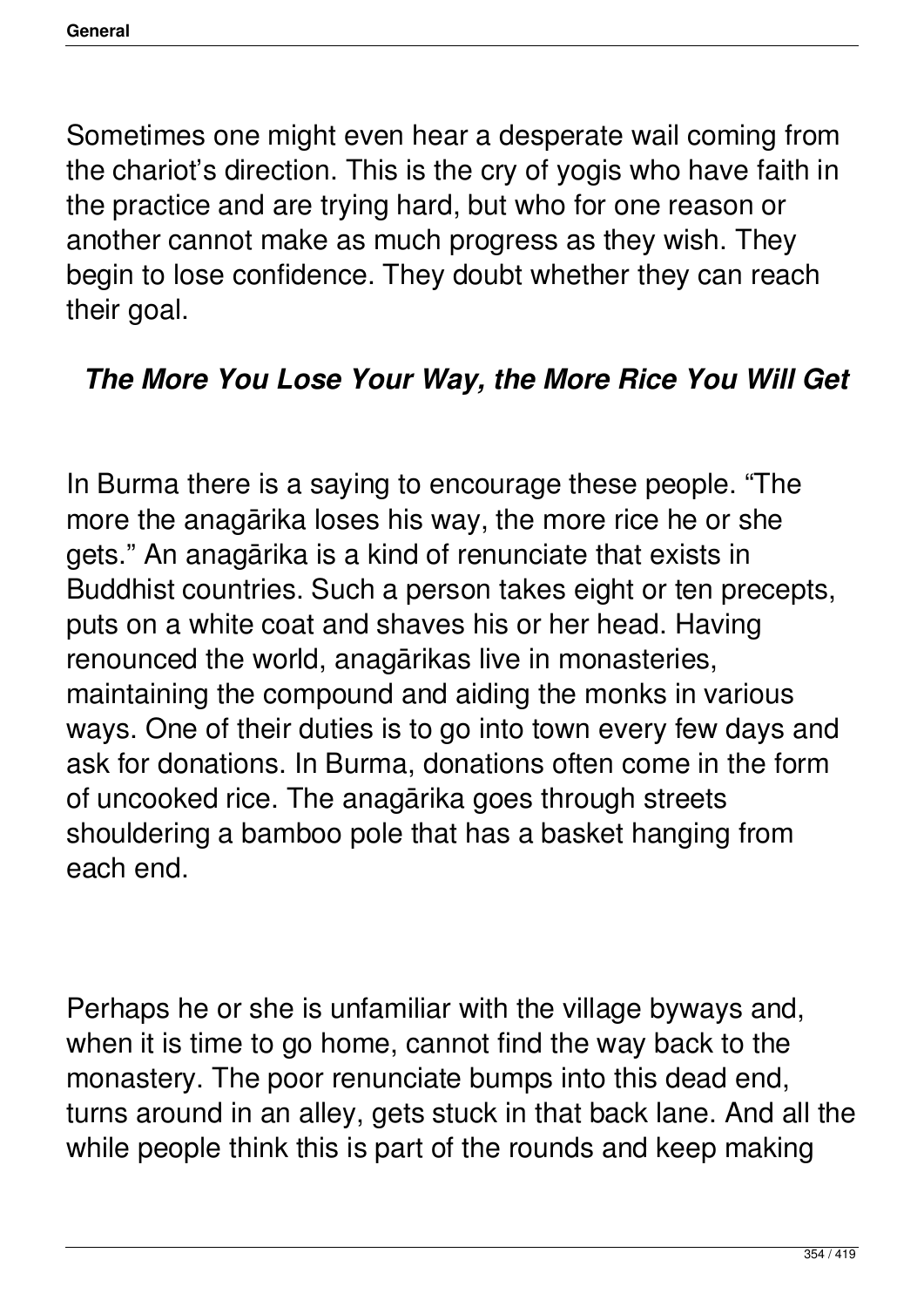Sometimes one might even hear a desperate wail coming from the chariot's direction. This is the cry of yogis who have faith in the practice and are trying hard, but who for one reason or another cannot make as much progress as they wish. They begin to lose confidence. They doubt whether they can reach their goal.

## *The More You Lose Your Way, the More Rice You Will Get*

In Burma there is a saying to encourage these people. "The more the anagārika loses his way, the more rice he or she gets." An anagārika is a kind of renunciate that exists in Buddhist countries. Such a person takes eight or ten precepts, puts on a white coat and shaves his or her head. Having renounced the world, anagārikas live in monasteries, maintaining the compound and aiding the monks in various ways. One of their duties is to go into town every few days and ask for donations. In Burma, donations often come in the form of uncooked rice. The anagārika goes through streets shouldering a bamboo pole that has a basket hanging from each end.

Perhaps he or she is unfamiliar with the village byways and, when it is time to go home, cannot find the way back to the monastery. The poor renunciate bumps into this dead end, turns around in an alley, gets stuck in that back lane. And all the while people think this is part of the rounds and keep making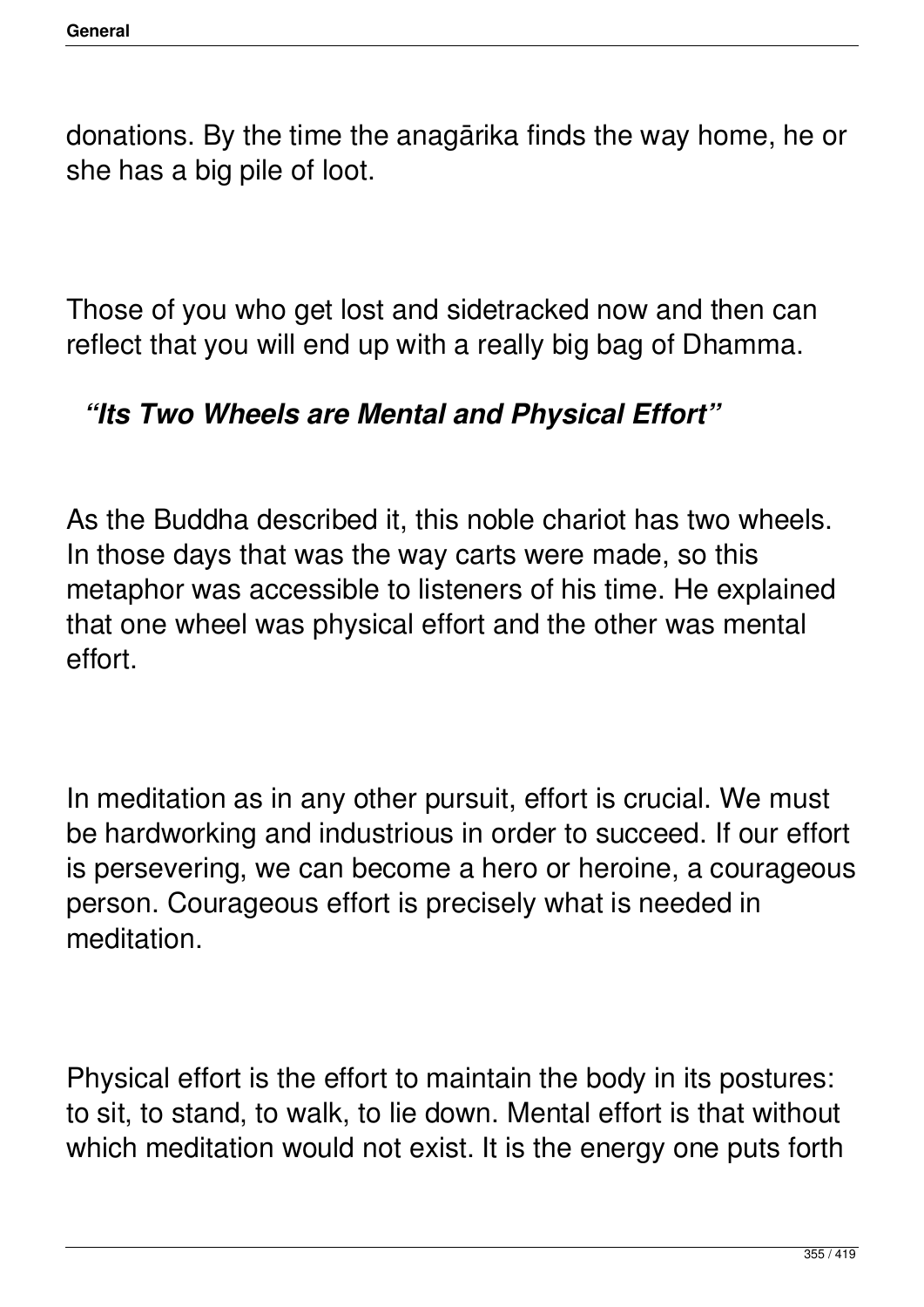donations. By the time the anagārika finds the way home, he or she has a big pile of loot.

Those of you who get lost and sidetracked now and then can reflect that you will end up with a really big bag of Dhamma.

## *"Its Two Wheels are Mental and Physical Effort"*

As the Buddha described it, this noble chariot has two wheels. In those days that was the way carts were made, so this metaphor was accessible to listeners of his time. He explained that one wheel was physical effort and the other was mental effort.

In meditation as in any other pursuit, effort is crucial. We must be hardworking and industrious in order to succeed. If our effort is persevering, we can become a hero or heroine, a courageous person. Courageous effort is precisely what is needed in meditation.

Physical effort is the effort to maintain the body in its postures: to sit, to stand, to walk, to lie down. Mental effort is that without which meditation would not exist. It is the energy one puts forth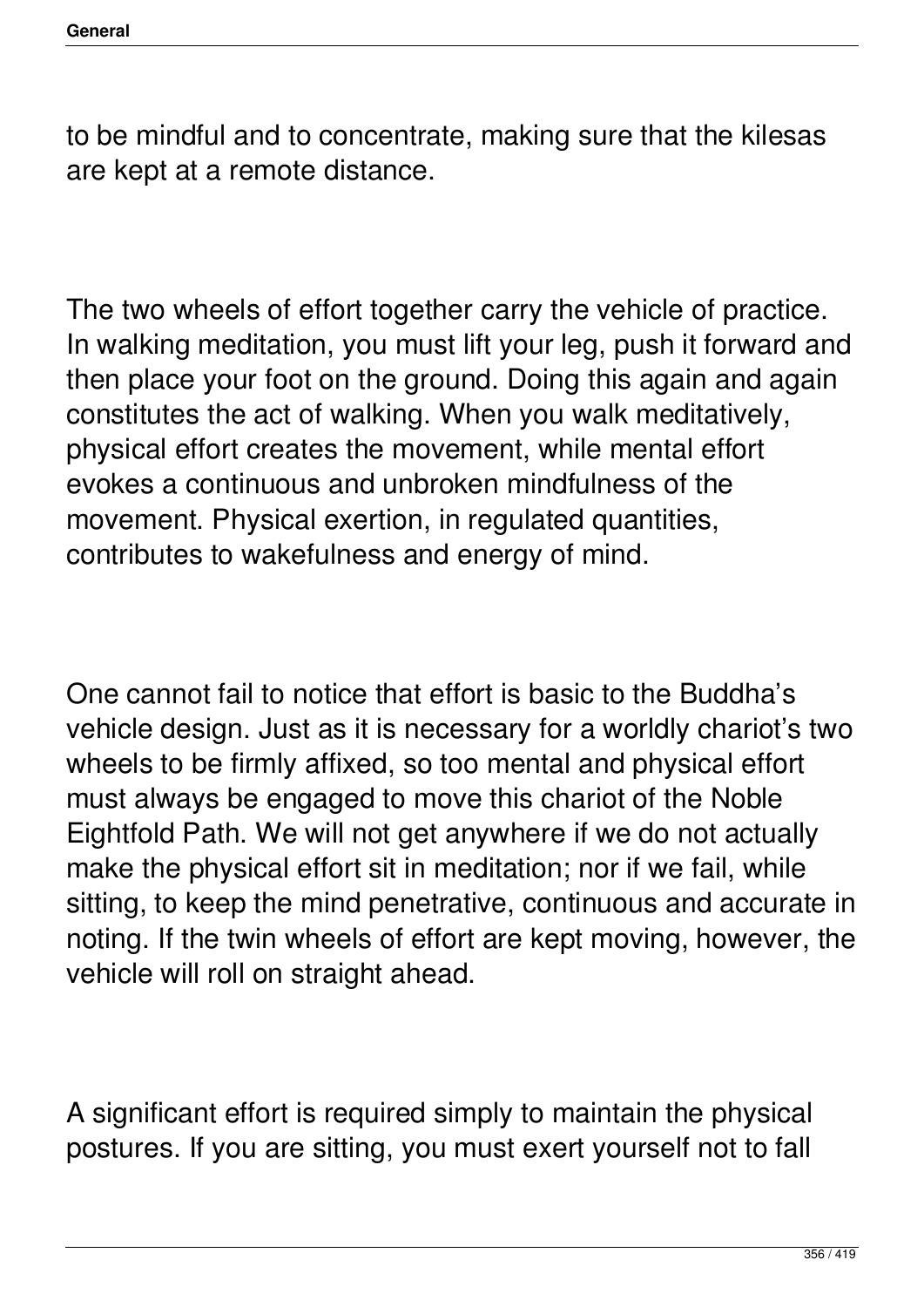to be mindful and to concentrate, making sure that the kilesas are kept at a remote distance.

The two wheels of effort together carry the vehicle of practice. In walking meditation, you must lift your leg, push it forward and then place your foot on the ground. Doing this again and again constitutes the act of walking. When you walk meditatively, physical effort creates the movement, while mental effort evokes a continuous and unbroken mindfulness of the movement. Physical exertion, in regulated quantities, contributes to wakefulness and energy of mind.

One cannot fail to notice that effort is basic to the Buddha's vehicle design. Just as it is necessary for a worldly chariot's two wheels to be firmly affixed, so too mental and physical effort must always be engaged to move this chariot of the Noble Eightfold Path. We will not get anywhere if we do not actually make the physical effort sit in meditation; nor if we fail, while sitting, to keep the mind penetrative, continuous and accurate in noting. If the twin wheels of effort are kept moving, however, the vehicle will roll on straight ahead.

A significant effort is required simply to maintain the physical postures. If you are sitting, you must exert yourself not to fall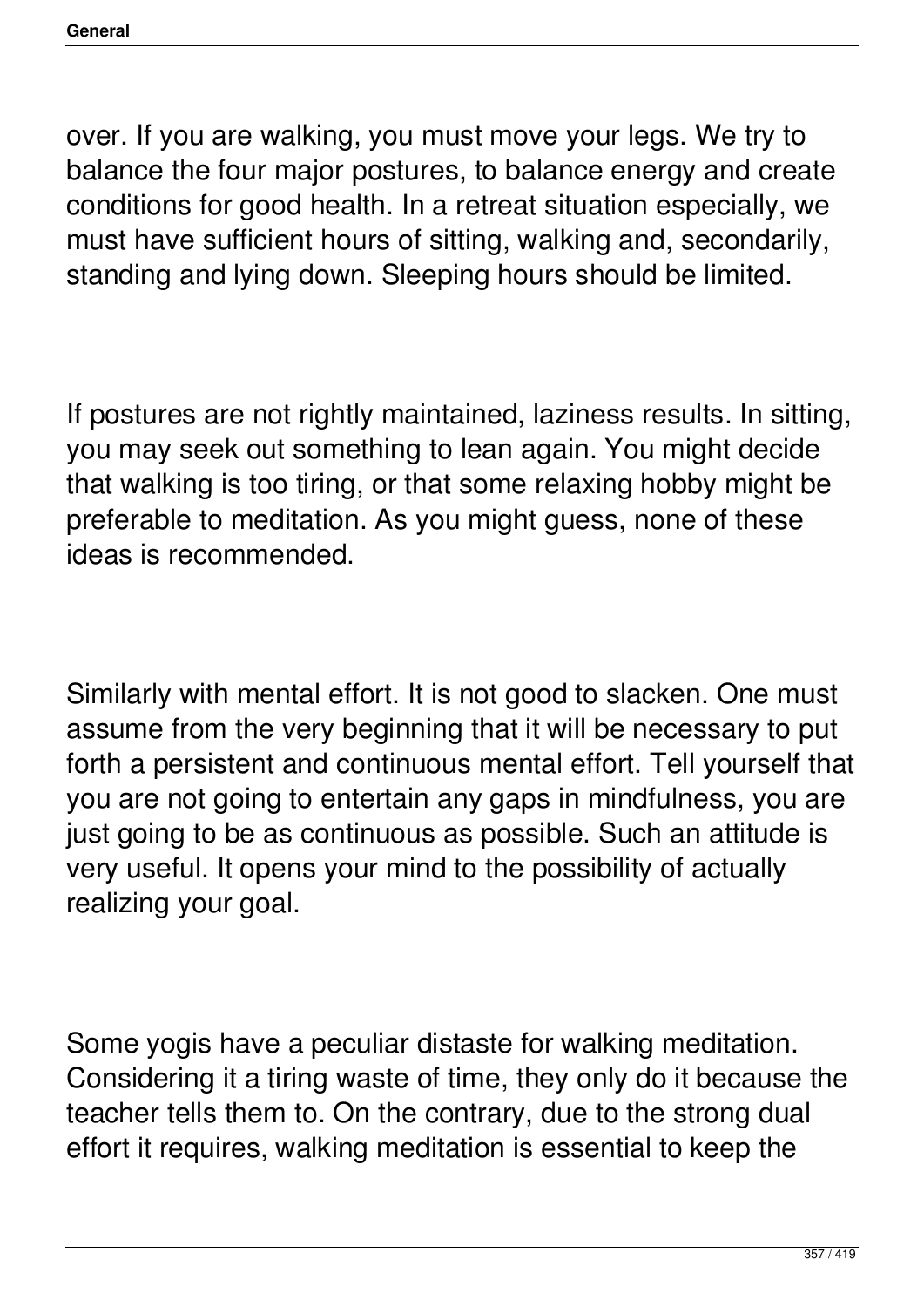over. If you are walking, you must move your legs. We try to balance the four major postures, to balance energy and create conditions for good health. In a retreat situation especially, we must have sufficient hours of sitting, walking and, secondarily, standing and lying down. Sleeping hours should be limited.

If postures are not rightly maintained, laziness results. In sitting, you may seek out something to lean again. You might decide that walking is too tiring, or that some relaxing hobby might be preferable to meditation. As you might guess, none of these ideas is recommended.

Similarly with mental effort. It is not good to slacken. One must assume from the very beginning that it will be necessary to put forth a persistent and continuous mental effort. Tell yourself that you are not going to entertain any gaps in mindfulness, you are just going to be as continuous as possible. Such an attitude is very useful. It opens your mind to the possibility of actually realizing your goal.

Some yogis have a peculiar distaste for walking meditation. Considering it a tiring waste of time, they only do it because the teacher tells them to. On the contrary, due to the strong dual effort it requires, walking meditation is essential to keep the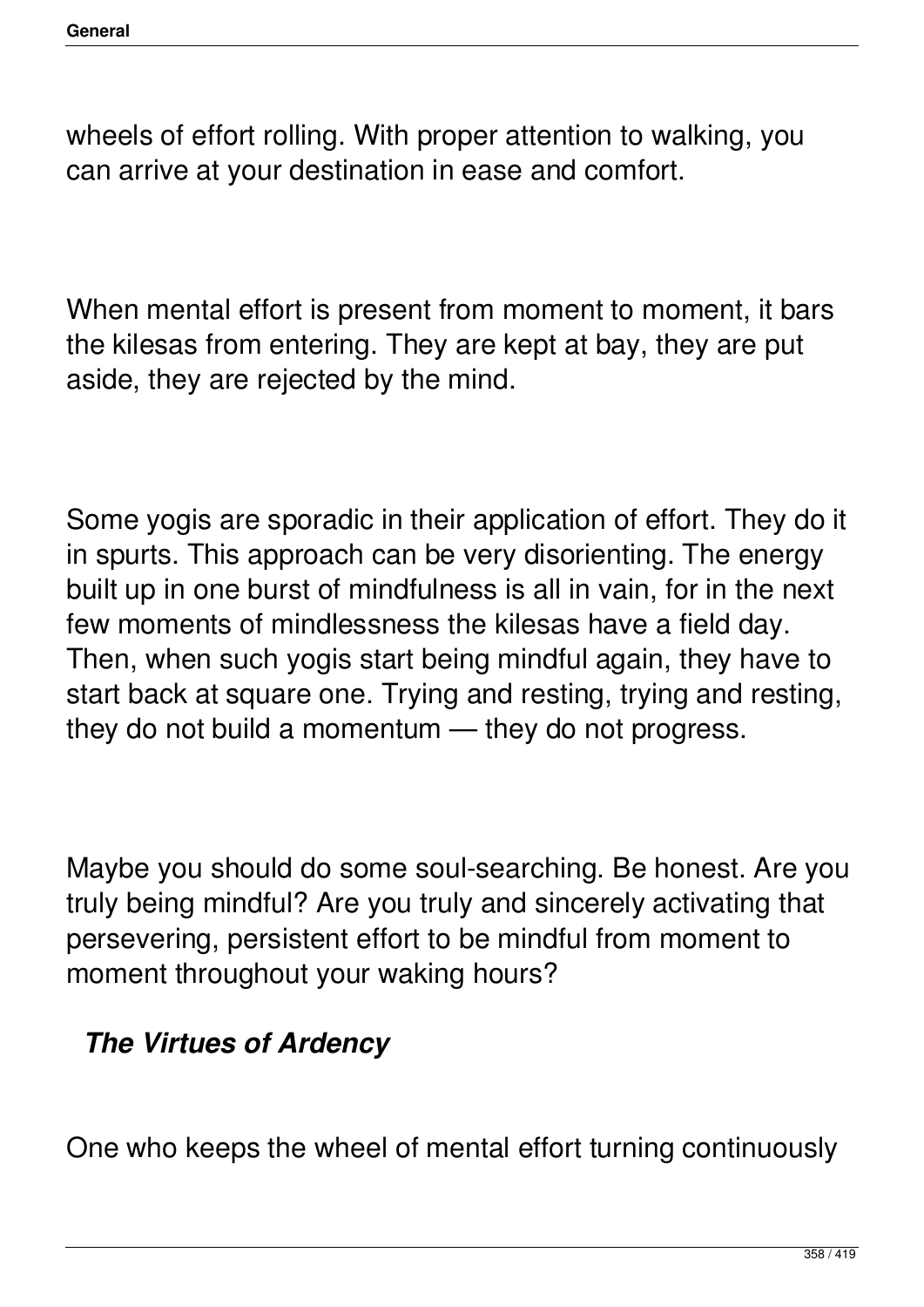wheels of effort rolling. With proper attention to walking, you can arrive at your destination in ease and comfort.

When mental effort is present from moment to moment, it bars the kilesas from entering. They are kept at bay, they are put aside, they are rejected by the mind.

Some yogis are sporadic in their application of effort. They do it in spurts. This approach can be very disorienting. The energy built up in one burst of mindfulness is all in vain, for in the next few moments of mindlessness the kilesas have a field day. Then, when such yogis start being mindful again, they have to start back at square one. Trying and resting, trying and resting, they do not build a momentum — they do not progress.

Maybe you should do some soul-searching. Be honest. Are you truly being mindful? Are you truly and sincerely activating that persevering, persistent effort to be mindful from moment to moment throughout your waking hours?

## *The Virtues of Ardency*

One who keeps the wheel of mental effort turning continuously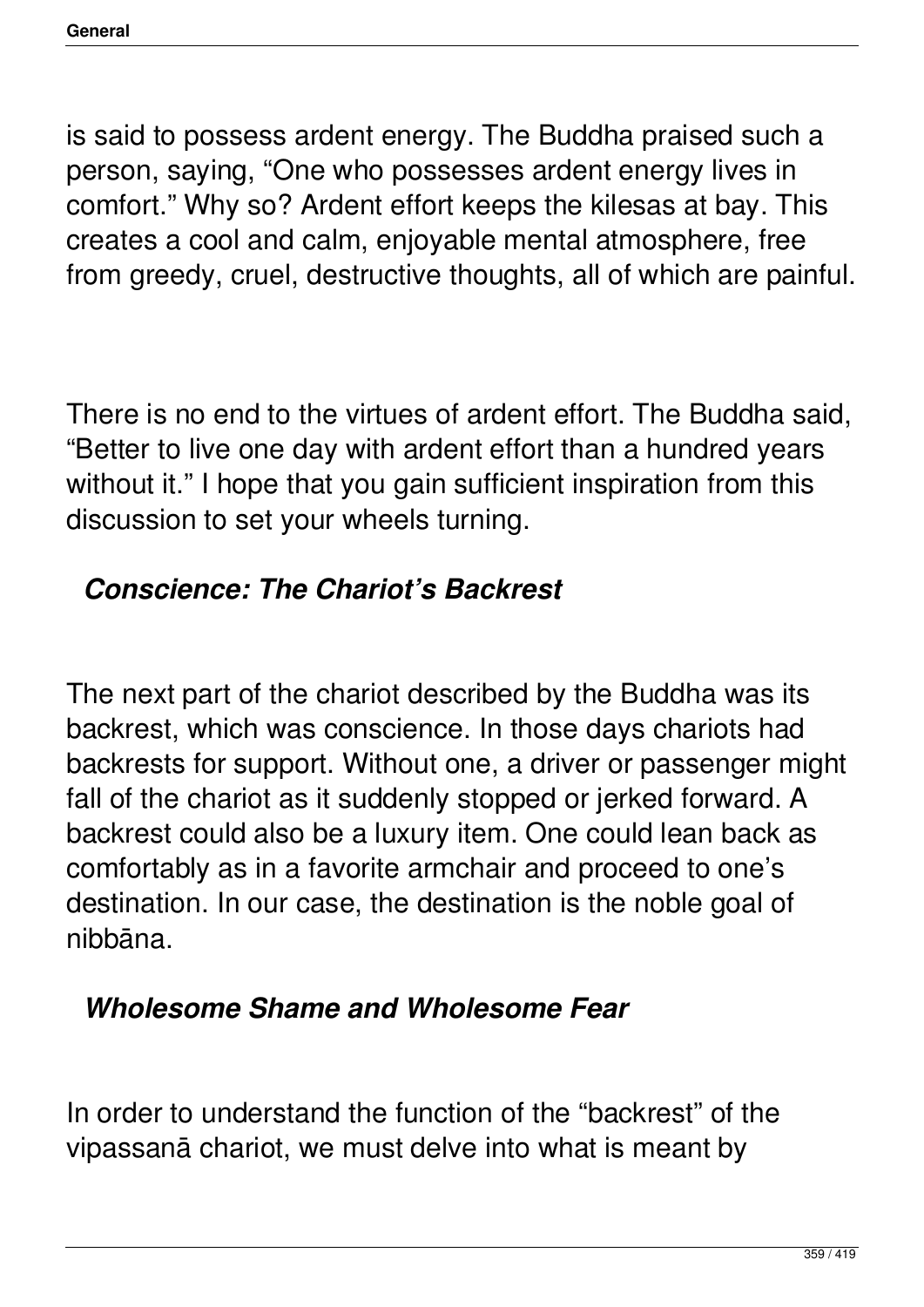is said to possess ardent energy. The Buddha praised such a person, saying, "One who possesses ardent energy lives in comfort." Why so? Ardent effort keeps the kilesas at bay. This creates a cool and calm, enjoyable mental atmosphere, free from greedy, cruel, destructive thoughts, all of which are painful.

There is no end to the virtues of ardent effort. The Buddha said, "Better to live one day with ardent effort than a hundred years without it." I hope that you gain sufficient inspiration from this discussion to set your wheels turning.

#### *Conscience: The Chariot's Backrest*

The next part of the chariot described by the Buddha was its backrest, which was conscience. In those days chariots had backrests for support. Without one, a driver or passenger might fall of the chariot as it suddenly stopped or jerked forward. A backrest could also be a luxury item. One could lean back as comfortably as in a favorite armchair and proceed to one's destination. In our case, the destination is the noble goal of nibbāna.

#### *Wholesome Shame and Wholesome Fear*

In order to understand the function of the "backrest" of the vipassanā chariot, we must delve into what is meant by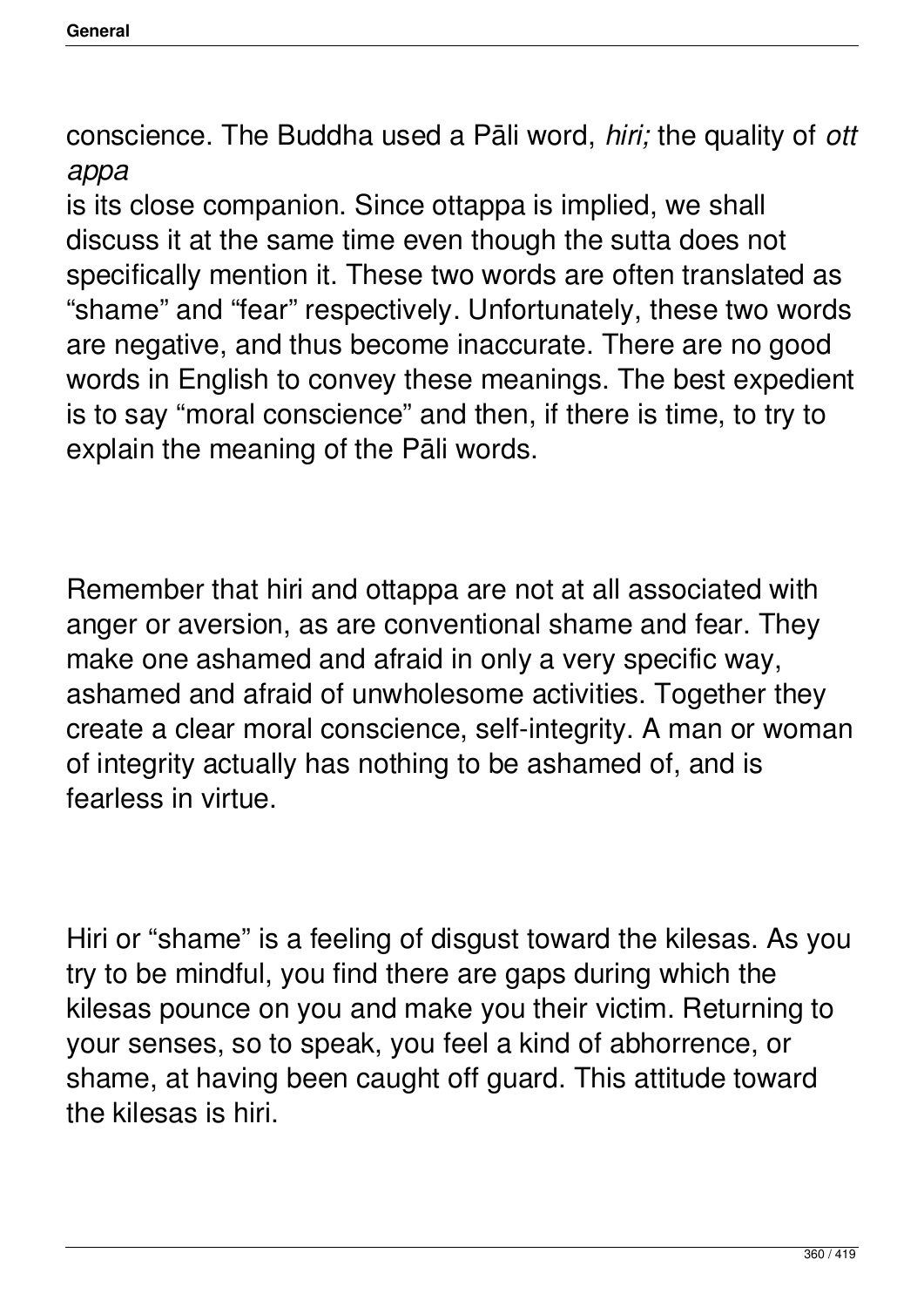conscience. The Buddha used a Pāli word, *hiri;* the quality of *ott appa*

is its close companion. Since ottappa is implied, we shall discuss it at the same time even though the sutta does not specifically mention it. These two words are often translated as "shame" and "fear" respectively. Unfortunately, these two words are negative, and thus become inaccurate. There are no good words in English to convey these meanings. The best expedient is to say "moral conscience" and then, if there is time, to try to explain the meaning of the Pāli words.

Remember that hiri and ottappa are not at all associated with anger or aversion, as are conventional shame and fear. They make one ashamed and afraid in only a very specific way, ashamed and afraid of unwholesome activities. Together they create a clear moral conscience, self-integrity. A man or woman of integrity actually has nothing to be ashamed of, and is fearless in virtue.

Hiri or "shame" is a feeling of disgust toward the kilesas. As you try to be mindful, you find there are gaps during which the kilesas pounce on you and make you their victim. Returning to your senses, so to speak, you feel a kind of abhorrence, or shame, at having been caught off guard. This attitude toward the kilesas is hiri.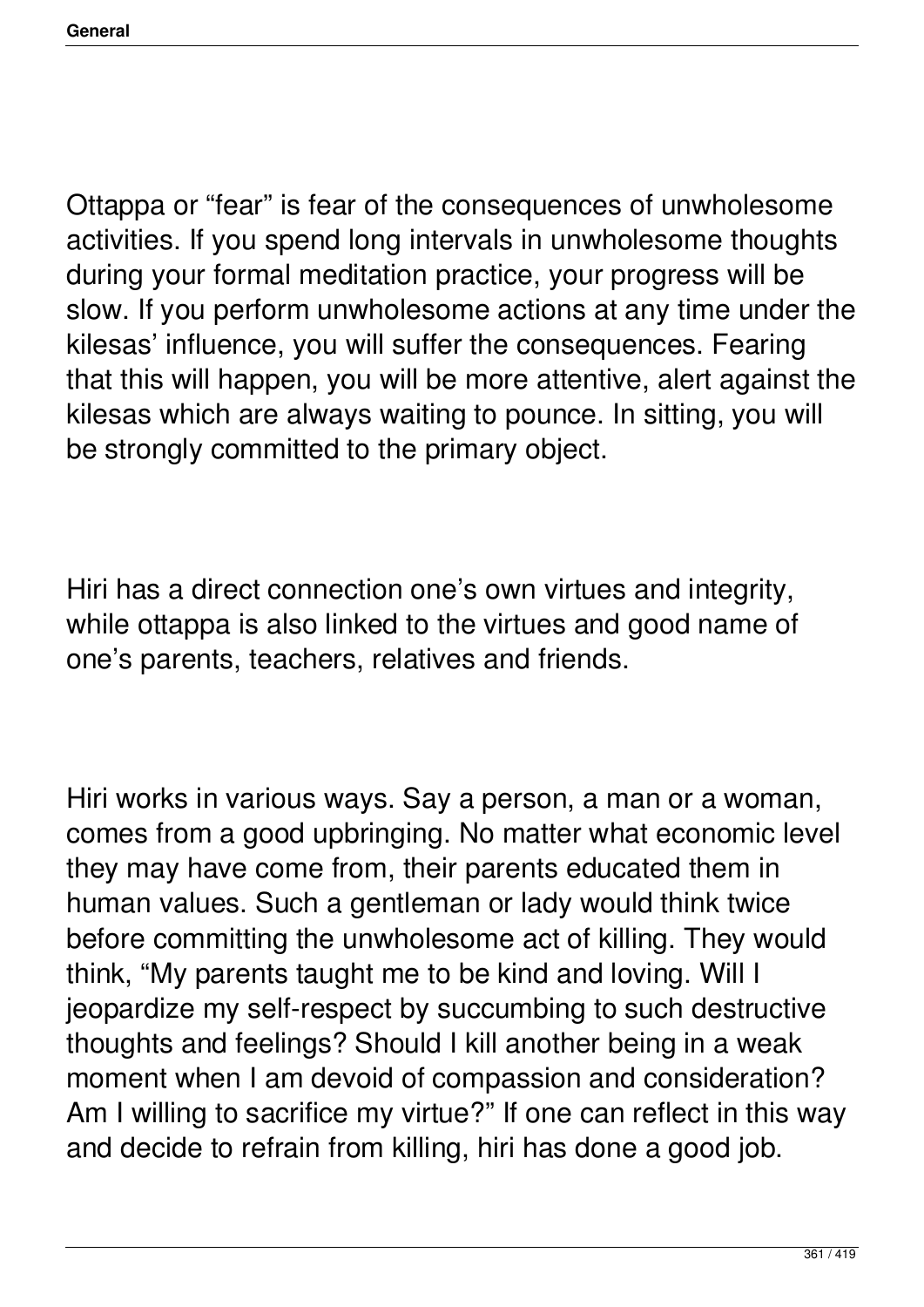Ottappa or "fear" is fear of the consequences of unwholesome activities. If you spend long intervals in unwholesome thoughts during your formal meditation practice, your progress will be slow. If you perform unwholesome actions at any time under the kilesas' influence, you will suffer the consequences. Fearing that this will happen, you will be more attentive, alert against the kilesas which are always waiting to pounce. In sitting, you will be strongly committed to the primary object.

Hiri has a direct connection one's own virtues and integrity, while ottappa is also linked to the virtues and good name of one's parents, teachers, relatives and friends.

Hiri works in various ways. Say a person, a man or a woman, comes from a good upbringing. No matter what economic level they may have come from, their parents educated them in human values. Such a gentleman or lady would think twice before committing the unwholesome act of killing. They would think, "My parents taught me to be kind and loving. Will I jeopardize my self-respect by succumbing to such destructive thoughts and feelings? Should I kill another being in a weak moment when I am devoid of compassion and consideration? Am I willing to sacrifice my virtue?" If one can reflect in this way and decide to refrain from killing, hiri has done a good job.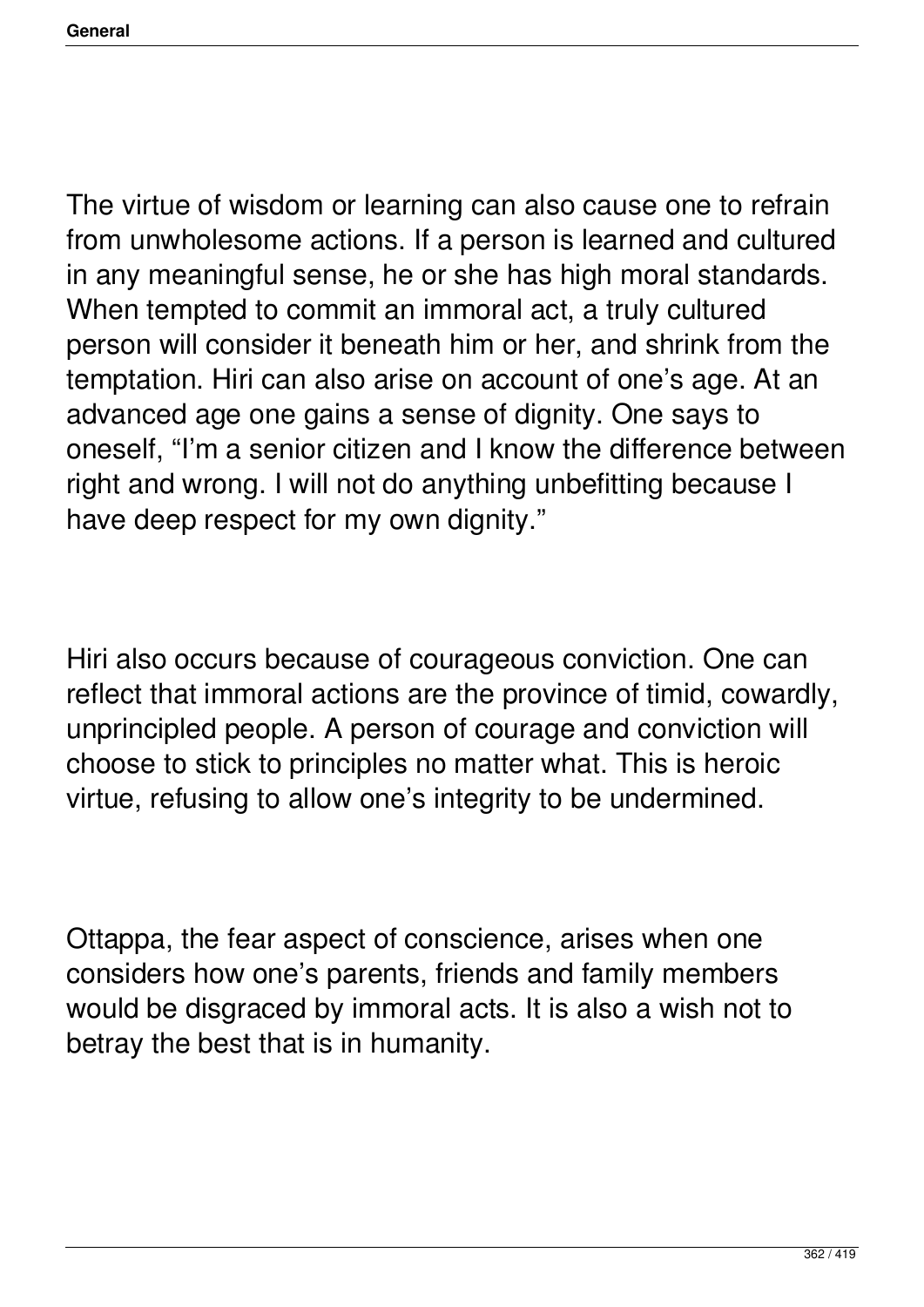The virtue of wisdom or learning can also cause one to refrain from unwholesome actions. If a person is learned and cultured in any meaningful sense, he or she has high moral standards. When tempted to commit an immoral act, a truly cultured person will consider it beneath him or her, and shrink from the temptation. Hiri can also arise on account of one's age. At an advanced age one gains a sense of dignity. One says to oneself, "I'm a senior citizen and I know the difference between right and wrong. I will not do anything unbefitting because I have deep respect for my own dignity."

Hiri also occurs because of courageous conviction. One can reflect that immoral actions are the province of timid, cowardly, unprincipled people. A person of courage and conviction will choose to stick to principles no matter what. This is heroic virtue, refusing to allow one's integrity to be undermined.

Ottappa, the fear aspect of conscience, arises when one considers how one's parents, friends and family members would be disgraced by immoral acts. It is also a wish not to betray the best that is in humanity.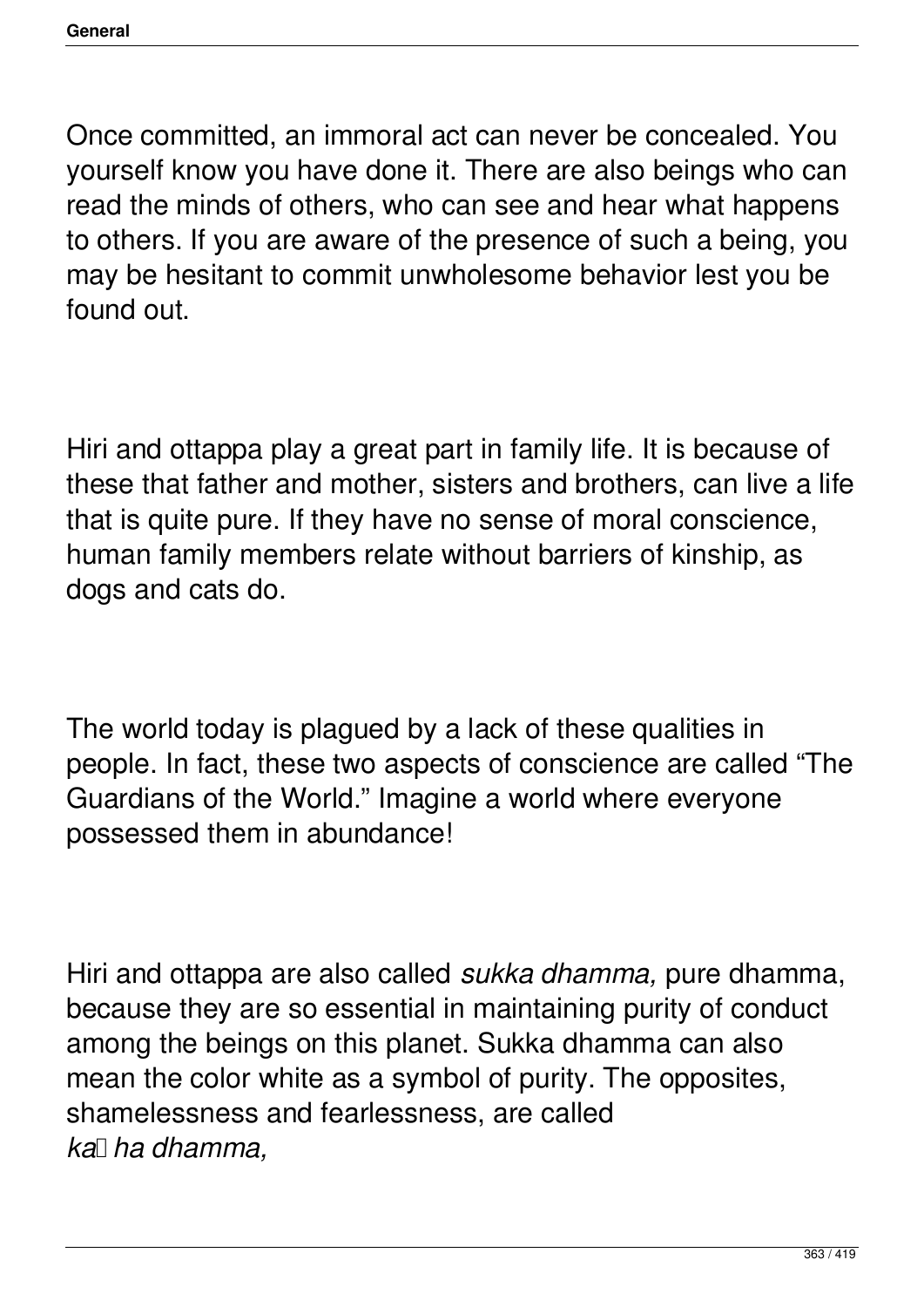Once committed, an immoral act can never be concealed. You yourself know you have done it. There are also beings who can read the minds of others, who can see and hear what happens to others. If you are aware of the presence of such a being, you may be hesitant to commit unwholesome behavior lest you be found out.

Hiri and ottappa play a great part in family life. It is because of these that father and mother, sisters and brothers, can live a life that is quite pure. If they have no sense of moral conscience, human family members relate without barriers of kinship, as dogs and cats do.

The world today is plagued by a lack of these qualities in people. In fact, these two aspects of conscience are called "The Guardians of the World." Imagine a world where everyone possessed them in abundance!

Hiri and ottappa are also called *sukka dhamma,* pure dhamma, because they are so essential in maintaining purity of conduct among the beings on this planet. Sukka dhamma can also mean the color white as a symbol of purity. The opposites, shamelessness and fearlessness, are called *kaṇha dhamma,*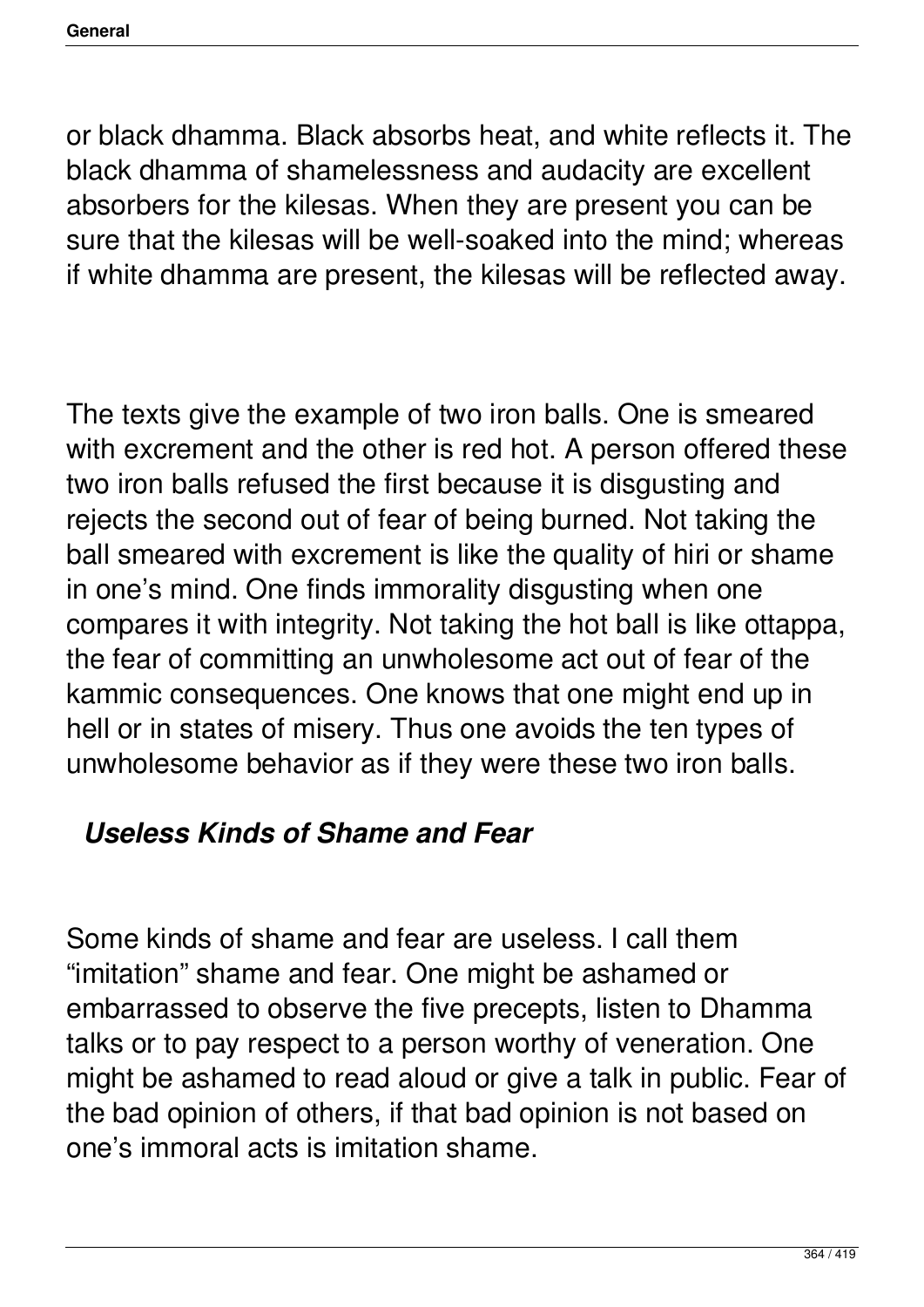or black dhamma. Black absorbs heat, and white reflects it. The black dhamma of shamelessness and audacity are excellent absorbers for the kilesas. When they are present you can be sure that the kilesas will be well-soaked into the mind; whereas if white dhamma are present, the kilesas will be reflected away.

The texts give the example of two iron balls. One is smeared with excrement and the other is red hot. A person offered these two iron balls refused the first because it is disgusting and rejects the second out of fear of being burned. Not taking the ball smeared with excrement is like the quality of hiri or shame in one's mind. One finds immorality disgusting when one compares it with integrity. Not taking the hot ball is like ottappa, the fear of committing an unwholesome act out of fear of the kammic consequences. One knows that one might end up in hell or in states of misery. Thus one avoids the ten types of unwholesome behavior as if they were these two iron balls.

#### *Useless Kinds of Shame and Fear*

Some kinds of shame and fear are useless. I call them "imitation" shame and fear. One might be ashamed or embarrassed to observe the five precepts, listen to Dhamma talks or to pay respect to a person worthy of veneration. One might be ashamed to read aloud or give a talk in public. Fear of the bad opinion of others, if that bad opinion is not based on one's immoral acts is imitation shame.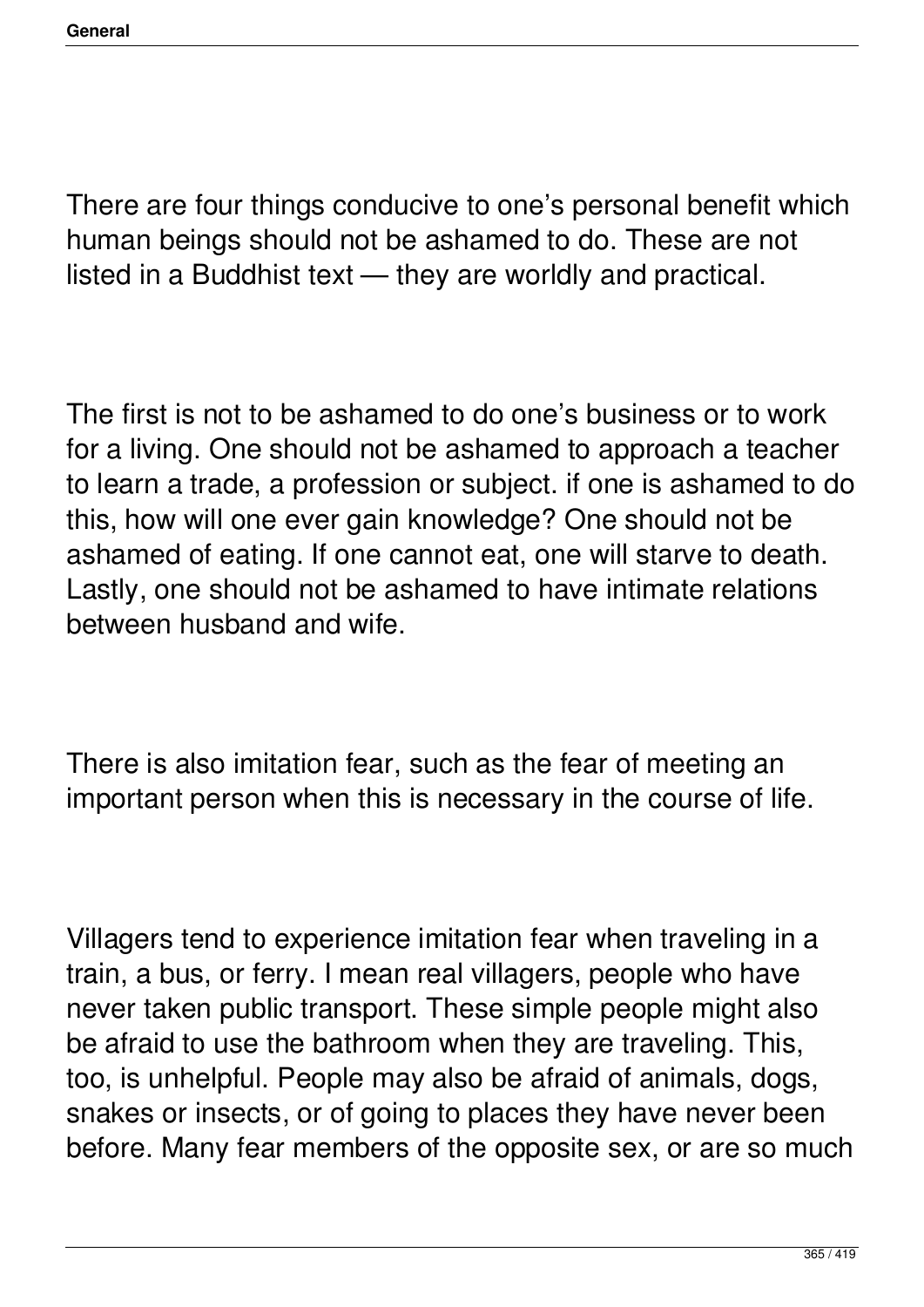There are four things conducive to one's personal benefit which human beings should not be ashamed to do. These are not listed in a Buddhist text — they are worldly and practical.

The first is not to be ashamed to do one's business or to work for a living. One should not be ashamed to approach a teacher to learn a trade, a profession or subject. if one is ashamed to do this, how will one ever gain knowledge? One should not be ashamed of eating. If one cannot eat, one will starve to death. Lastly, one should not be ashamed to have intimate relations between husband and wife.

There is also imitation fear, such as the fear of meeting an important person when this is necessary in the course of life.

Villagers tend to experience imitation fear when traveling in a train, a bus, or ferry. I mean real villagers, people who have never taken public transport. These simple people might also be afraid to use the bathroom when they are traveling. This, too, is unhelpful. People may also be afraid of animals, dogs, snakes or insects, or of going to places they have never been before. Many fear members of the opposite sex, or are so much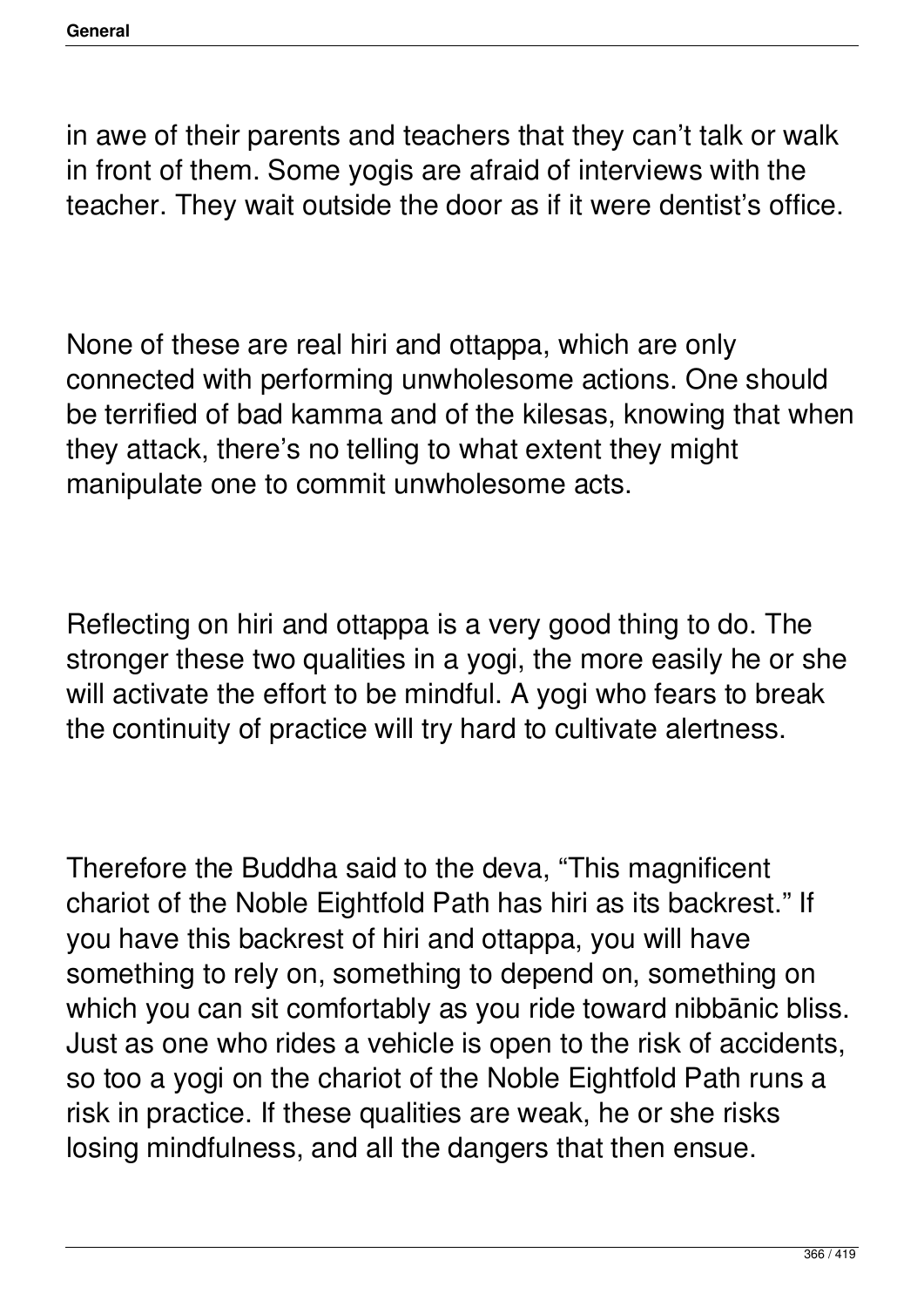in awe of their parents and teachers that they can't talk or walk in front of them. Some yogis are afraid of interviews with the teacher. They wait outside the door as if it were dentist's office.

None of these are real hiri and ottappa, which are only connected with performing unwholesome actions. One should be terrified of bad kamma and of the kilesas, knowing that when they attack, there's no telling to what extent they might manipulate one to commit unwholesome acts.

Reflecting on hiri and ottappa is a very good thing to do. The stronger these two qualities in a yogi, the more easily he or she will activate the effort to be mindful. A yogi who fears to break the continuity of practice will try hard to cultivate alertness.

Therefore the Buddha said to the deva, "This magnificent chariot of the Noble Eightfold Path has hiri as its backrest." If you have this backrest of hiri and ottappa, you will have something to rely on, something to depend on, something on which you can sit comfortably as you ride toward nibbānic bliss. Just as one who rides a vehicle is open to the risk of accidents, so too a yogi on the chariot of the Noble Eightfold Path runs a risk in practice. If these qualities are weak, he or she risks losing mindfulness, and all the dangers that then ensue.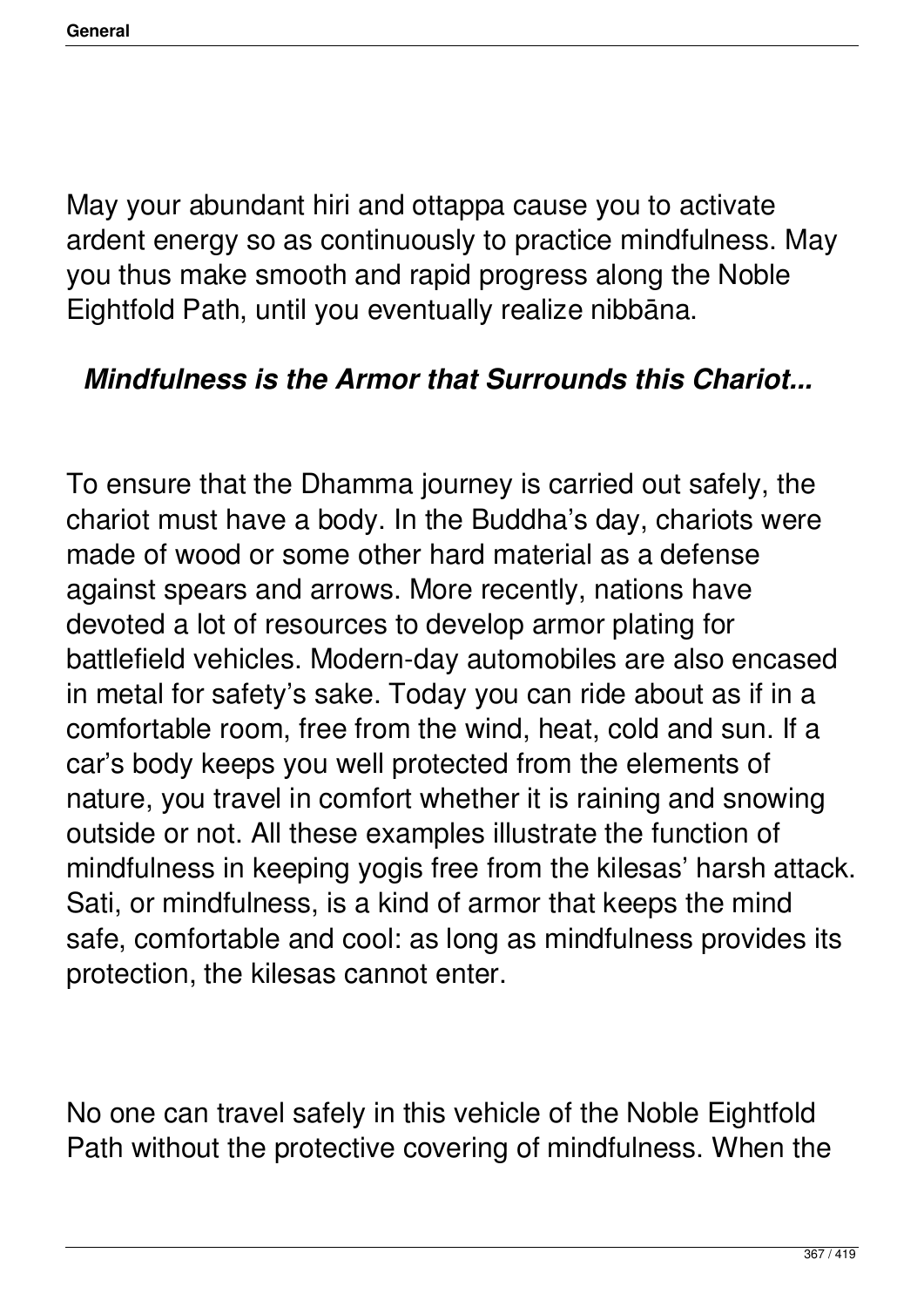May your abundant hiri and ottappa cause you to activate ardent energy so as continuously to practice mindfulness. May you thus make smooth and rapid progress along the Noble Eightfold Path, until you eventually realize nibbāna.

#### *Mindfulness is the Armor that Surrounds this Chariot...*

To ensure that the Dhamma journey is carried out safely, the chariot must have a body. In the Buddha's day, chariots were made of wood or some other hard material as a defense against spears and arrows. More recently, nations have devoted a lot of resources to develop armor plating for battlefield vehicles. Modern-day automobiles are also encased in metal for safety's sake. Today you can ride about as if in a comfortable room, free from the wind, heat, cold and sun. If a car's body keeps you well protected from the elements of nature, you travel in comfort whether it is raining and snowing outside or not. All these examples illustrate the function of mindfulness in keeping yogis free from the kilesas' harsh attack. Sati, or mindfulness, is a kind of armor that keeps the mind safe, comfortable and cool: as long as mindfulness provides its protection, the kilesas cannot enter.

No one can travel safely in this vehicle of the Noble Eightfold Path without the protective covering of mindfulness. When the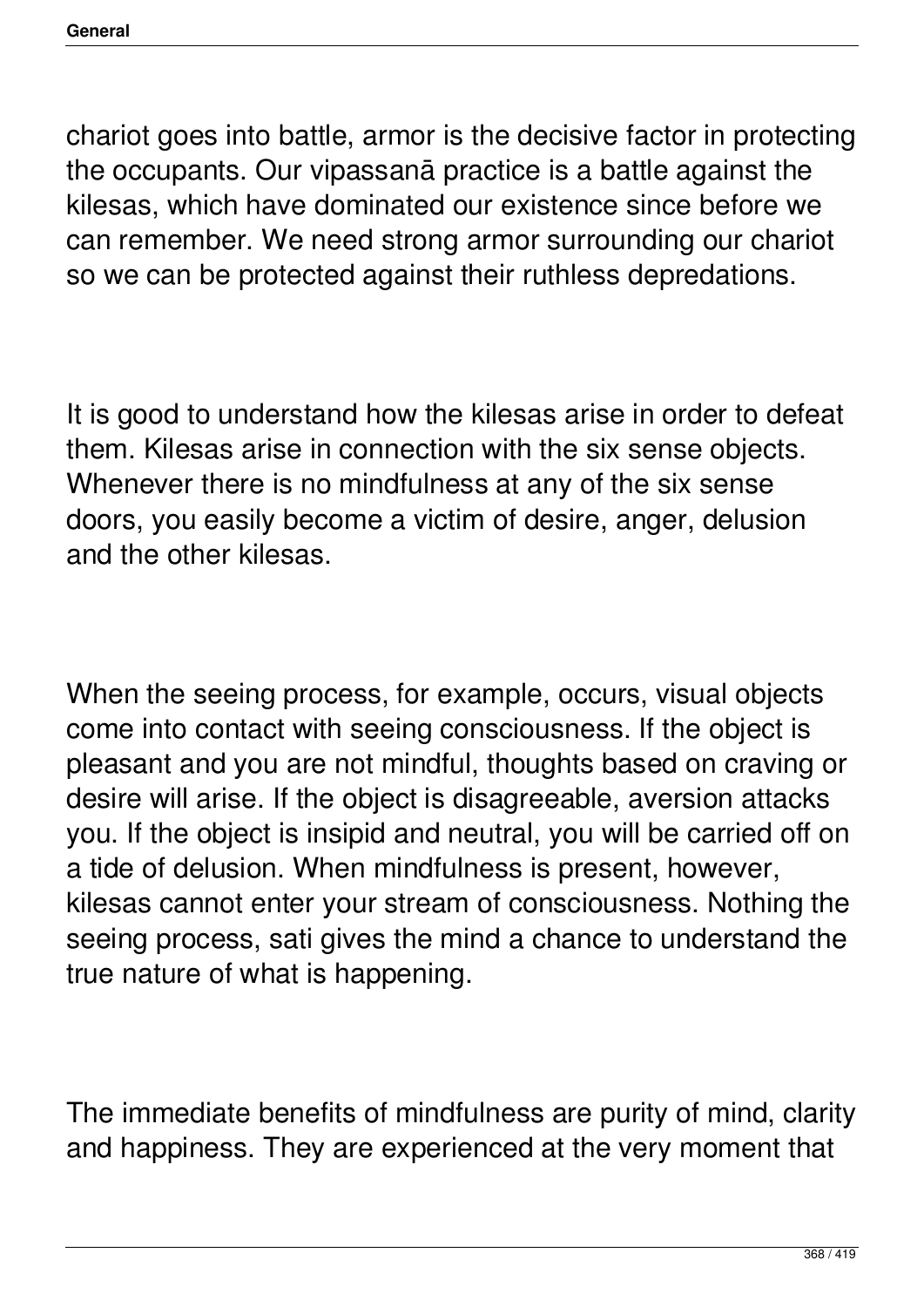chariot goes into battle, armor is the decisive factor in protecting the occupants. Our vipassanā practice is a battle against the kilesas, which have dominated our existence since before we can remember. We need strong armor surrounding our chariot so we can be protected against their ruthless depredations.

It is good to understand how the kilesas arise in order to defeat them. Kilesas arise in connection with the six sense objects. Whenever there is no mindfulness at any of the six sense doors, you easily become a victim of desire, anger, delusion and the other kilesas.

When the seeing process, for example, occurs, visual objects come into contact with seeing consciousness. If the object is pleasant and you are not mindful, thoughts based on craving or desire will arise. If the object is disagreeable, aversion attacks you. If the object is insipid and neutral, you will be carried off on a tide of delusion. When mindfulness is present, however, kilesas cannot enter your stream of consciousness. Nothing the seeing process, sati gives the mind a chance to understand the true nature of what is happening.

The immediate benefits of mindfulness are purity of mind, clarity and happiness. They are experienced at the very moment that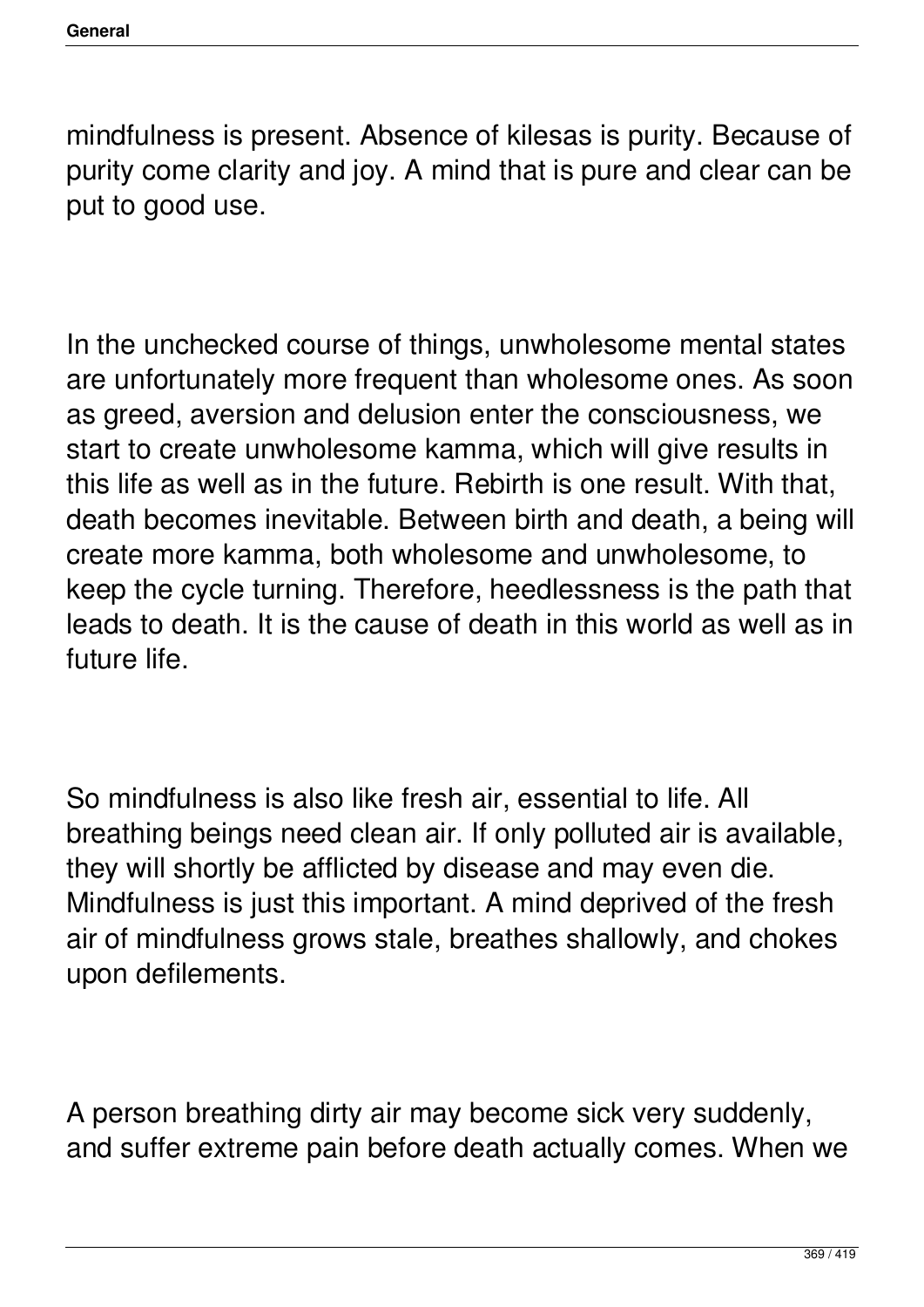mindfulness is present. Absence of kilesas is purity. Because of purity come clarity and joy. A mind that is pure and clear can be put to good use.

In the unchecked course of things, unwholesome mental states are unfortunately more frequent than wholesome ones. As soon as greed, aversion and delusion enter the consciousness, we start to create unwholesome kamma, which will give results in this life as well as in the future. Rebirth is one result. With that, death becomes inevitable. Between birth and death, a being will create more kamma, both wholesome and unwholesome, to keep the cycle turning. Therefore, heedlessness is the path that leads to death. It is the cause of death in this world as well as in future life.

So mindfulness is also like fresh air, essential to life. All breathing beings need clean air. If only polluted air is available, they will shortly be afflicted by disease and may even die. Mindfulness is just this important. A mind deprived of the fresh air of mindfulness grows stale, breathes shallowly, and chokes upon defilements.

A person breathing dirty air may become sick very suddenly, and suffer extreme pain before death actually comes. When we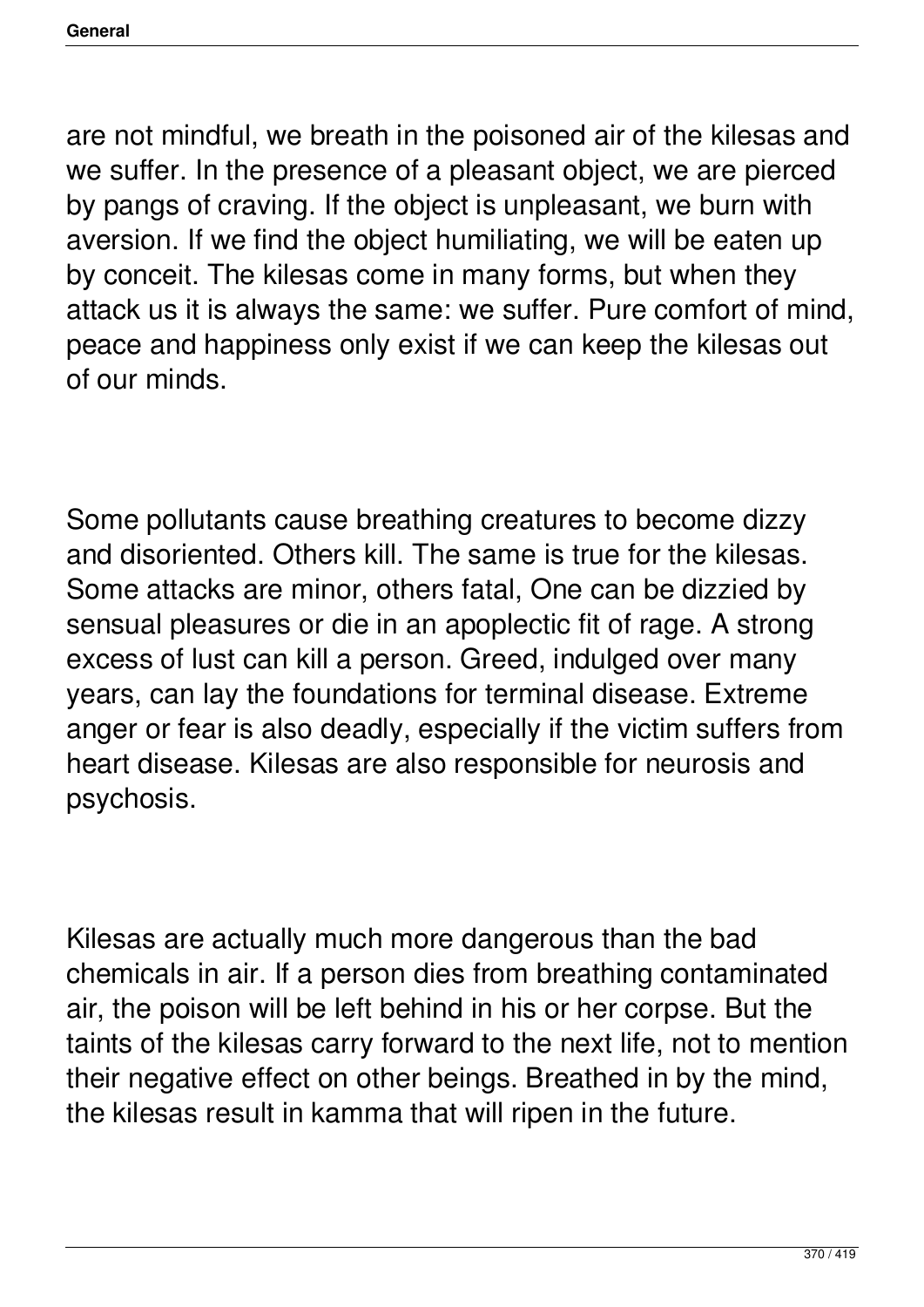are not mindful, we breath in the poisoned air of the kilesas and we suffer. In the presence of a pleasant object, we are pierced by pangs of craving. If the object is unpleasant, we burn with aversion. If we find the object humiliating, we will be eaten up by conceit. The kilesas come in many forms, but when they attack us it is always the same: we suffer. Pure comfort of mind, peace and happiness only exist if we can keep the kilesas out of our minds.

Some pollutants cause breathing creatures to become dizzy and disoriented. Others kill. The same is true for the kilesas. Some attacks are minor, others fatal, One can be dizzied by sensual pleasures or die in an apoplectic fit of rage. A strong excess of lust can kill a person. Greed, indulged over many years, can lay the foundations for terminal disease. Extreme anger or fear is also deadly, especially if the victim suffers from heart disease. Kilesas are also responsible for neurosis and psychosis.

Kilesas are actually much more dangerous than the bad chemicals in air. If a person dies from breathing contaminated air, the poison will be left behind in his or her corpse. But the taints of the kilesas carry forward to the next life, not to mention their negative effect on other beings. Breathed in by the mind, the kilesas result in kamma that will ripen in the future.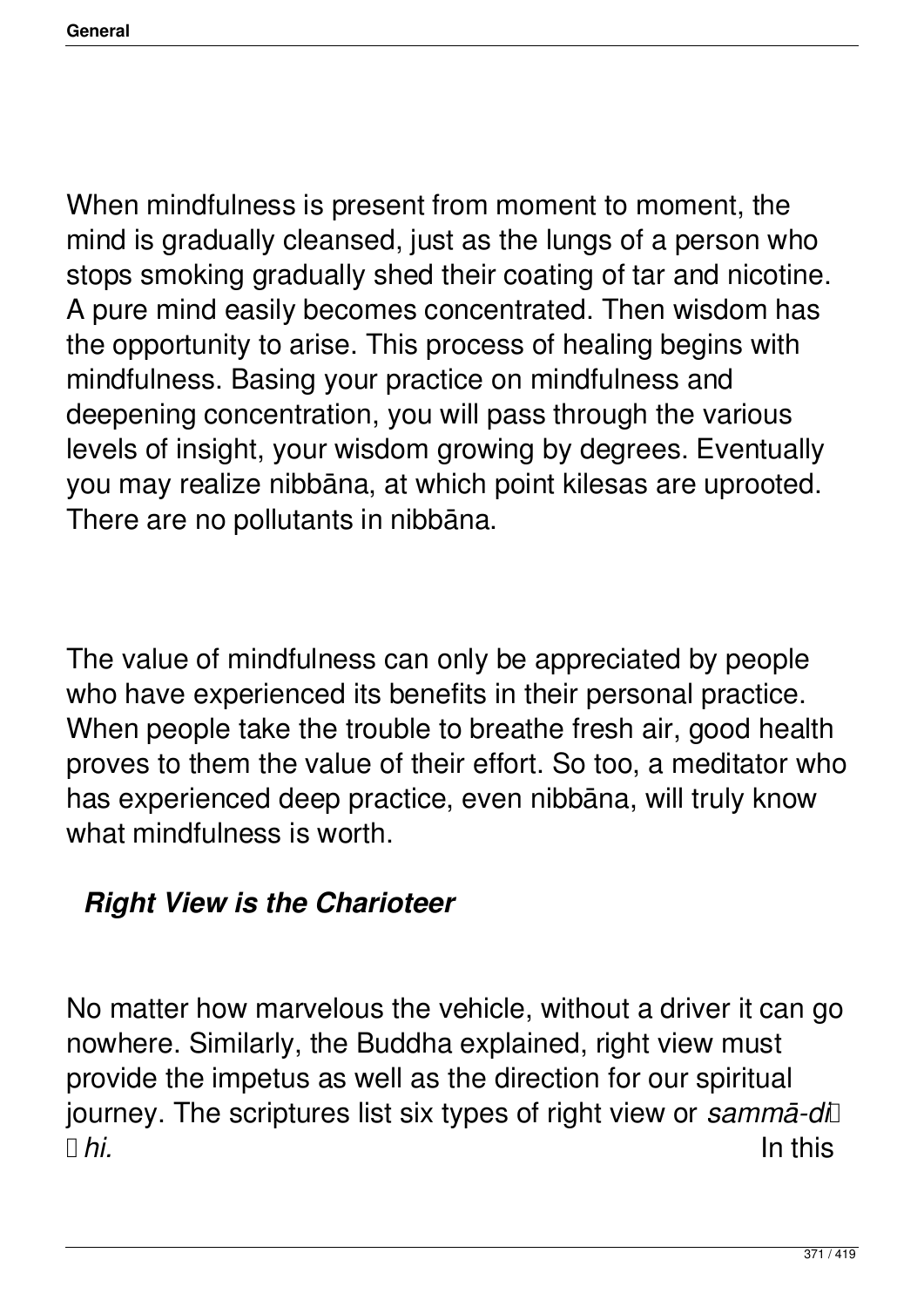When mindfulness is present from moment to moment, the mind is gradually cleansed, just as the lungs of a person who stops smoking gradually shed their coating of tar and nicotine. A pure mind easily becomes concentrated. Then wisdom has the opportunity to arise. This process of healing begins with mindfulness. Basing your practice on mindfulness and deepening concentration, you will pass through the various levels of insight, your wisdom growing by degrees. Eventually you may realize nibbāna, at which point kilesas are uprooted. There are no pollutants in nibbāna.

The value of mindfulness can only be appreciated by people who have experienced its benefits in their personal practice. When people take the trouble to breathe fresh air, good health proves to them the value of their effort. So too, a meditator who has experienced deep practice, even nibbāna, will truly know what mindfulness is worth.

## *Right View is the Charioteer*

No matter how marvelous the vehicle, without a driver it can go nowhere. Similarly, the Buddha explained, right view must provide the impetus as well as the direction for our spiritual journey. The scriptures list six types of right view or *sammā-di ṭhi.* In this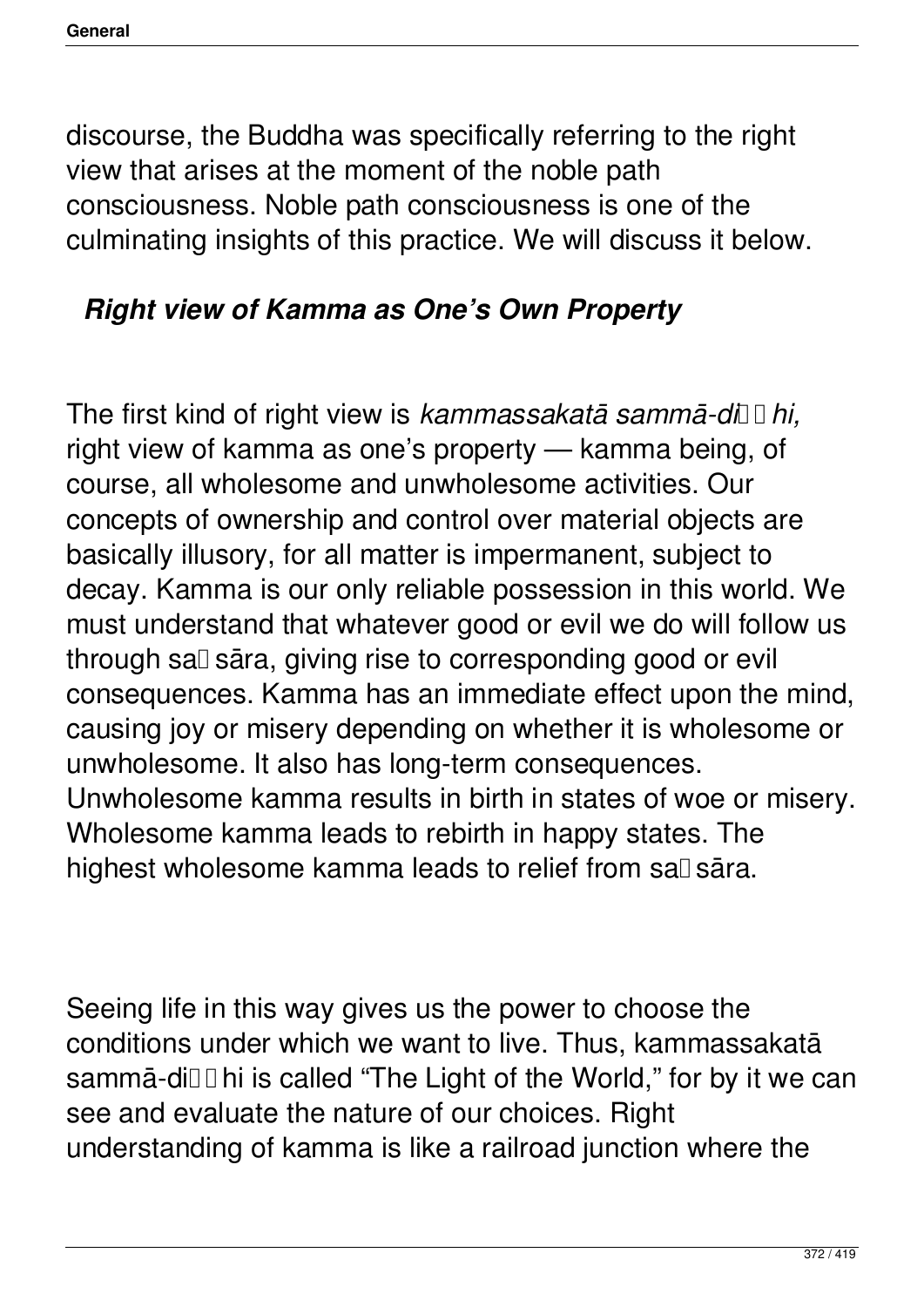discourse, the Buddha was specifically referring to the right view that arises at the moment of the noble path consciousness. Noble path consciousness is one of the culminating insights of this practice. We will discuss it below.

### *Right view of Kamma as One's Own Property*

The first kind of right view is *kammassakatā sammā-di* right view of kamma as one's property — kamma being, of course, all wholesome and unwholesome activities. Our concepts of ownership and control over material objects are basically illusory, for all matter is impermanent, subject to decay. Kamma is our only reliable possession in this world. We must understand that whatever good or evil we do will follow us through sall sāra, giving rise to corresponding good or evil consequences. Kamma has an immediate effect upon the mind, causing joy or misery depending on whether it is wholesome or unwholesome. It also has long-term consequences. Unwholesome kamma results in birth in states of woe or misery. Wholesome kamma leads to rebirth in happy states. The highest wholesome kamma leads to relief from sall sāra.

Seeing life in this way gives us the power to choose the conditions under which we want to live. Thus, kammassakatā sammā-di $\Box$ hi is called "The Light of the World," for by it we can see and evaluate the nature of our choices. Right understanding of kamma is like a railroad junction where the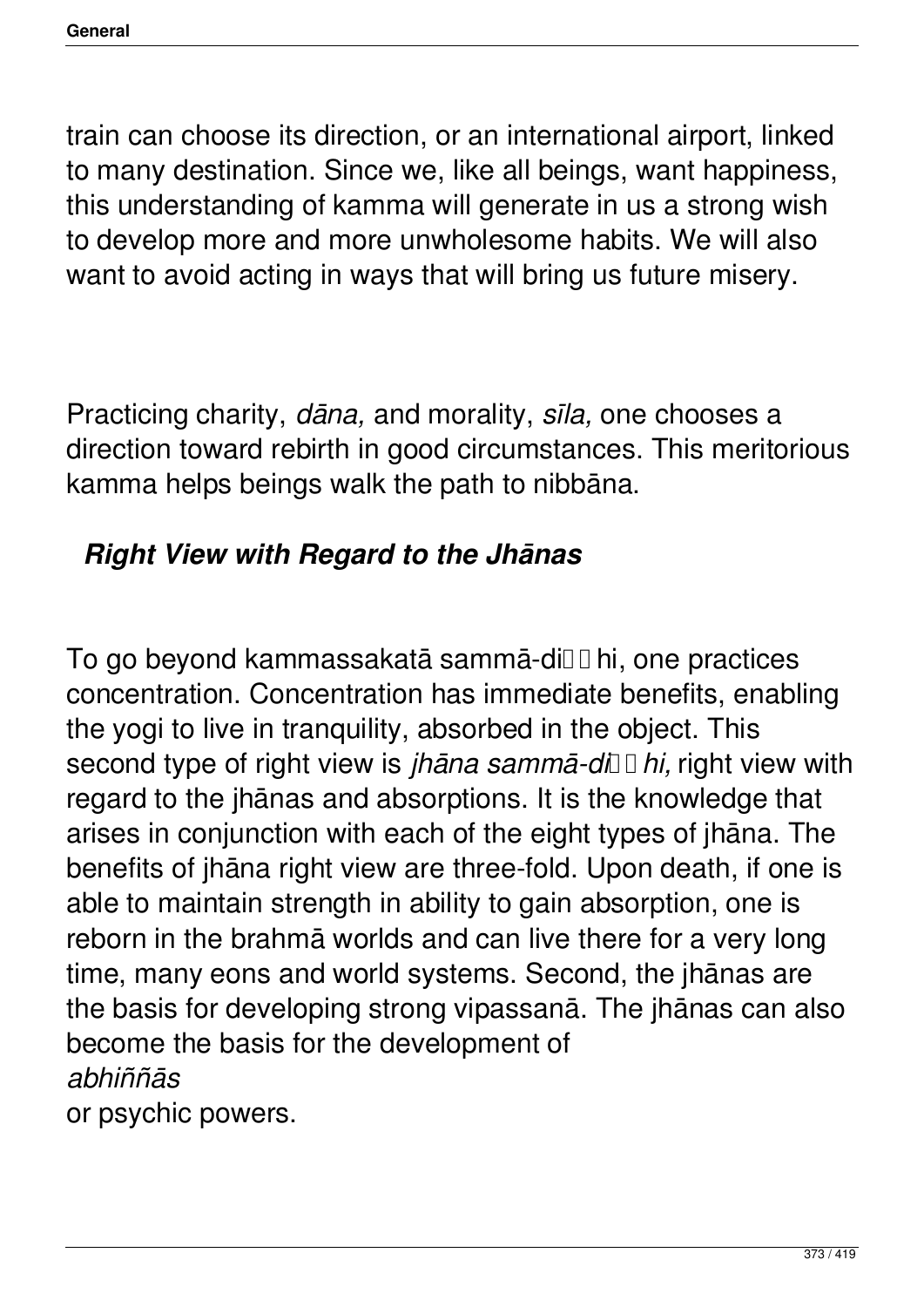train can choose its direction, or an international airport, linked to many destination. Since we, like all beings, want happiness, this understanding of kamma will generate in us a strong wish to develop more and more unwholesome habits. We will also want to avoid acting in ways that will bring us future misery.

Practicing charity, *dāna,* and morality, *sīla,* one chooses a direction toward rebirth in good circumstances. This meritorious kamma helps beings walk the path to nibbāna.

## *Right View with Regard to the Jhānas*

To go beyond kammassakatā sammā-di $\Box$ hi, one practices concentration. Concentration has immediate benefits, enabling the yogi to live in tranquility, absorbed in the object. This second type of right view is *jhāna sammā-di* $\Box$  *hi*, right view with regard to the jhānas and absorptions. It is the knowledge that arises in conjunction with each of the eight types of jhāna. The benefits of jhāna right view are three-fold. Upon death, if one is able to maintain strength in ability to gain absorption, one is reborn in the brahmā worlds and can live there for a very long time, many eons and world systems. Second, the jhānas are the basis for developing strong vipassanā. The jhānas can also become the basis for the development of *abhiññās*

or psychic powers.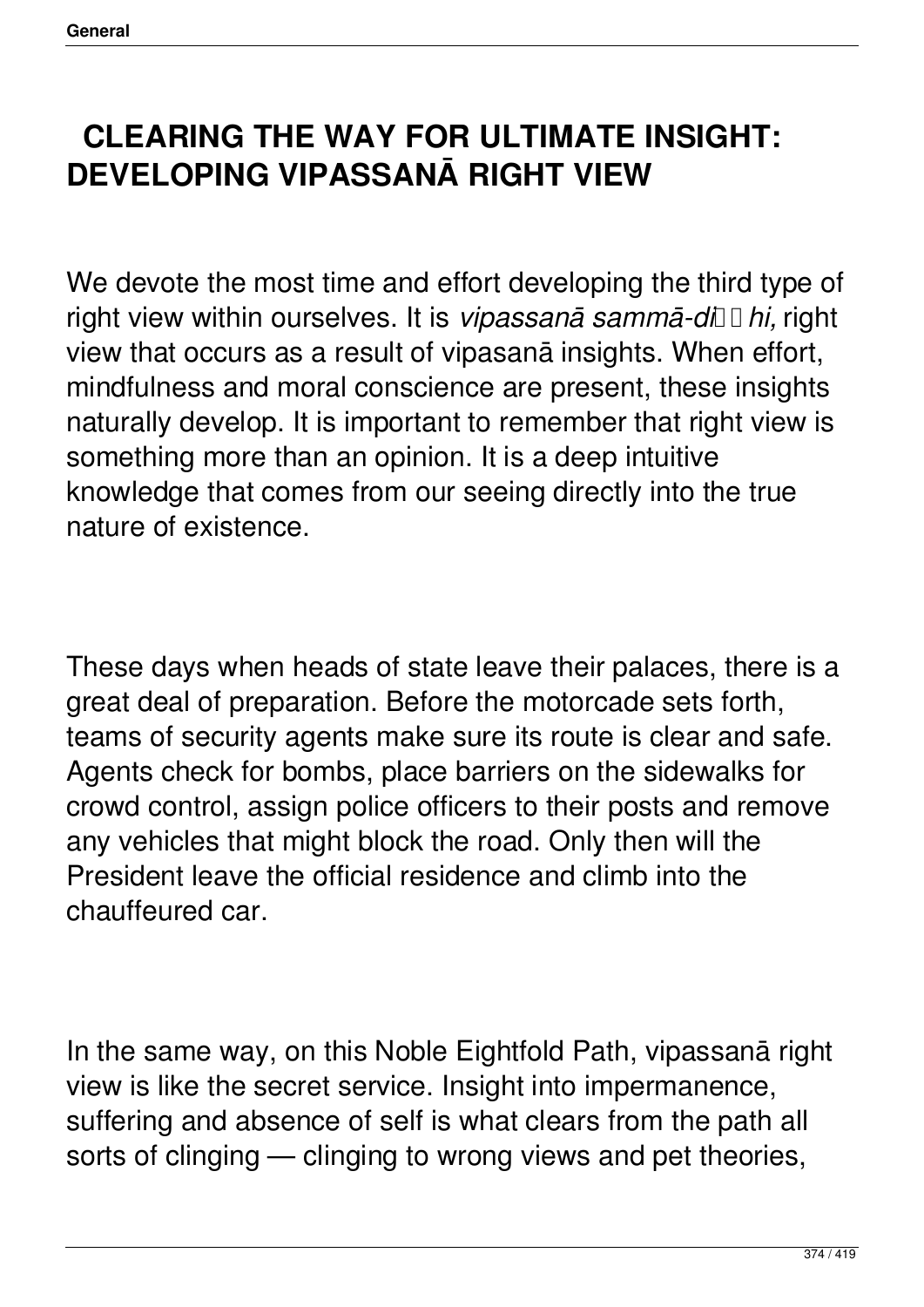# **CLEARING THE WAY FOR ULTIMATE INSIGHT: DEVELOPING VIPASSANĀ RIGHT VIEW**

We devote the most time and effort developing the third type of right view within ourselves. It is *vipassanā sammā-di* $\Box$  hi, right view that occurs as a result of vipasanā insights. When effort, mindfulness and moral conscience are present, these insights naturally develop. It is important to remember that right view is something more than an opinion. It is a deep intuitive knowledge that comes from our seeing directly into the true nature of existence.

These days when heads of state leave their palaces, there is a great deal of preparation. Before the motorcade sets forth, teams of security agents make sure its route is clear and safe. Agents check for bombs, place barriers on the sidewalks for crowd control, assign police officers to their posts and remove any vehicles that might block the road. Only then will the President leave the official residence and climb into the chauffeured car.

In the same way, on this Noble Eightfold Path, vipassanā right view is like the secret service. Insight into impermanence, suffering and absence of self is what clears from the path all sorts of clinging — clinging to wrong views and pet theories,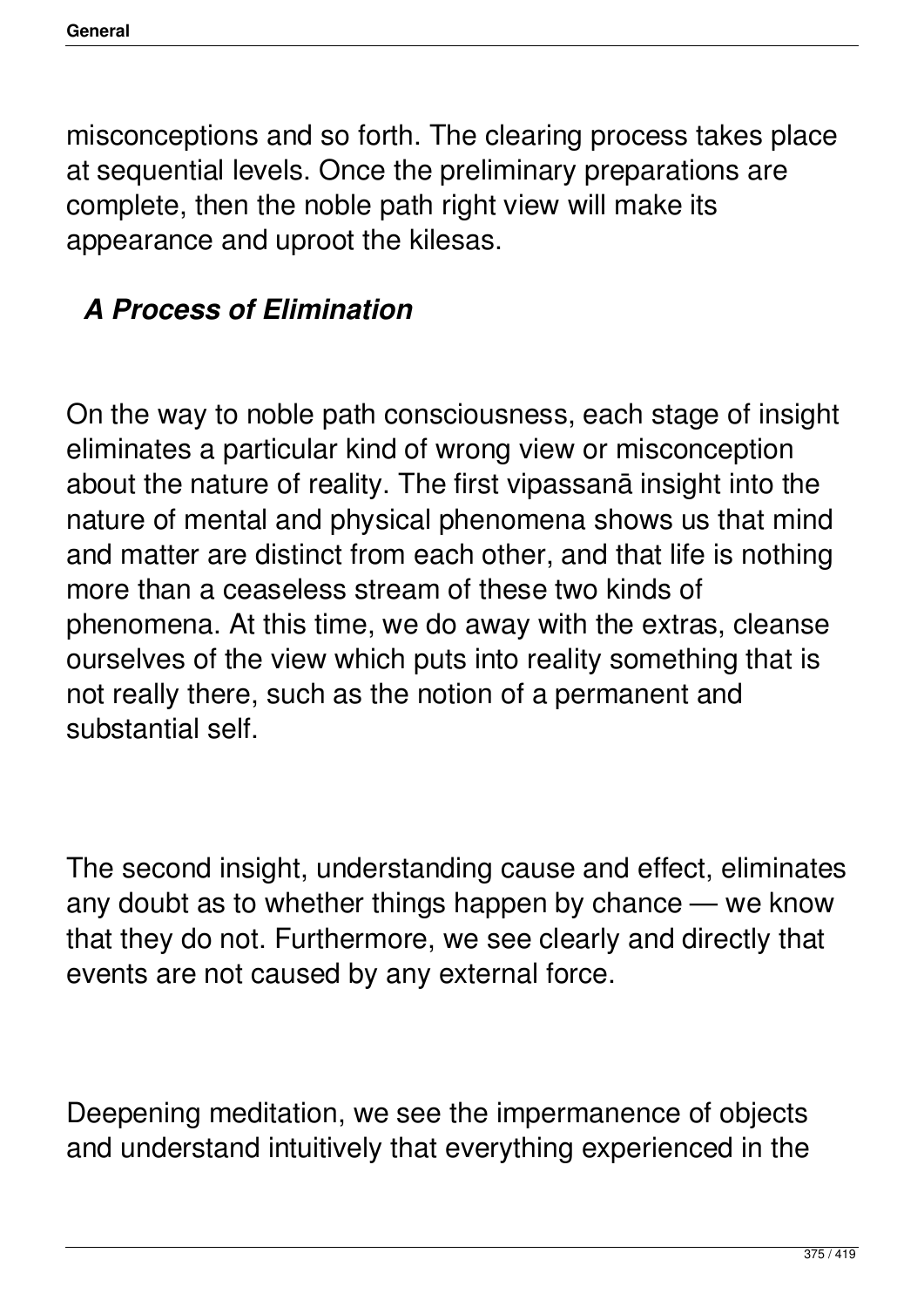misconceptions and so forth. The clearing process takes place at sequential levels. Once the preliminary preparations are complete, then the noble path right view will make its appearance and uproot the kilesas.

## *A Process of Elimination*

On the way to noble path consciousness, each stage of insight eliminates a particular kind of wrong view or misconception about the nature of reality. The first vipassanā insight into the nature of mental and physical phenomena shows us that mind and matter are distinct from each other, and that life is nothing more than a ceaseless stream of these two kinds of phenomena. At this time, we do away with the extras, cleanse ourselves of the view which puts into reality something that is not really there, such as the notion of a permanent and substantial self.

The second insight, understanding cause and effect, eliminates any doubt as to whether things happen by chance — we know that they do not. Furthermore, we see clearly and directly that events are not caused by any external force.

Deepening meditation, we see the impermanence of objects and understand intuitively that everything experienced in the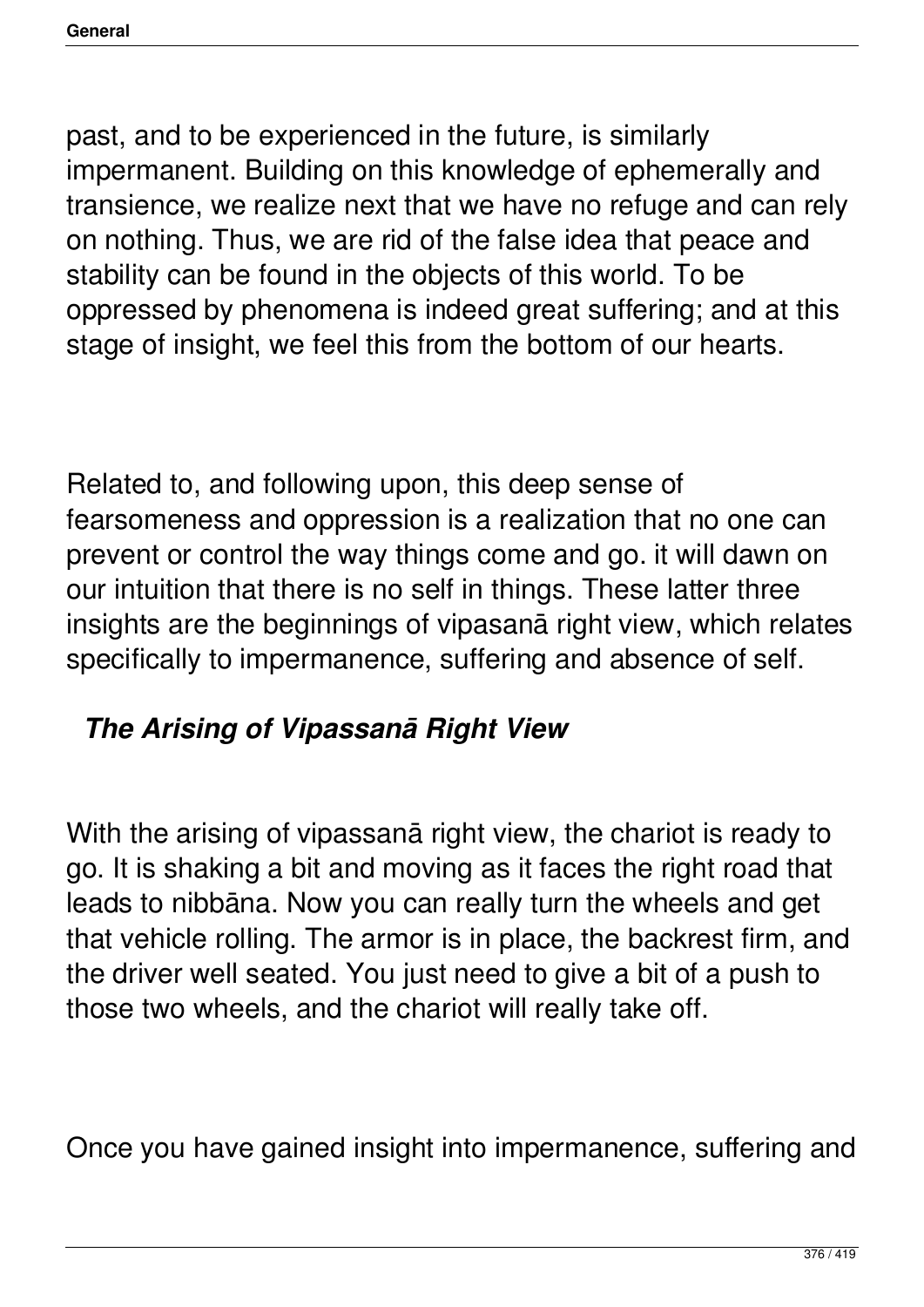past, and to be experienced in the future, is similarly impermanent. Building on this knowledge of ephemerally and transience, we realize next that we have no refuge and can rely on nothing. Thus, we are rid of the false idea that peace and stability can be found in the objects of this world. To be oppressed by phenomena is indeed great suffering; and at this stage of insight, we feel this from the bottom of our hearts.

Related to, and following upon, this deep sense of fearsomeness and oppression is a realization that no one can prevent or control the way things come and go. it will dawn on our intuition that there is no self in things. These latter three insights are the beginnings of vipasanā right view, which relates specifically to impermanence, suffering and absence of self.

## *The Arising of Vipassanā Right View*

With the arising of vipassanā right view, the chariot is ready to go. It is shaking a bit and moving as it faces the right road that leads to nibbāna. Now you can really turn the wheels and get that vehicle rolling. The armor is in place, the backrest firm, and the driver well seated. You just need to give a bit of a push to those two wheels, and the chariot will really take off.

Once you have gained insight into impermanence, suffering and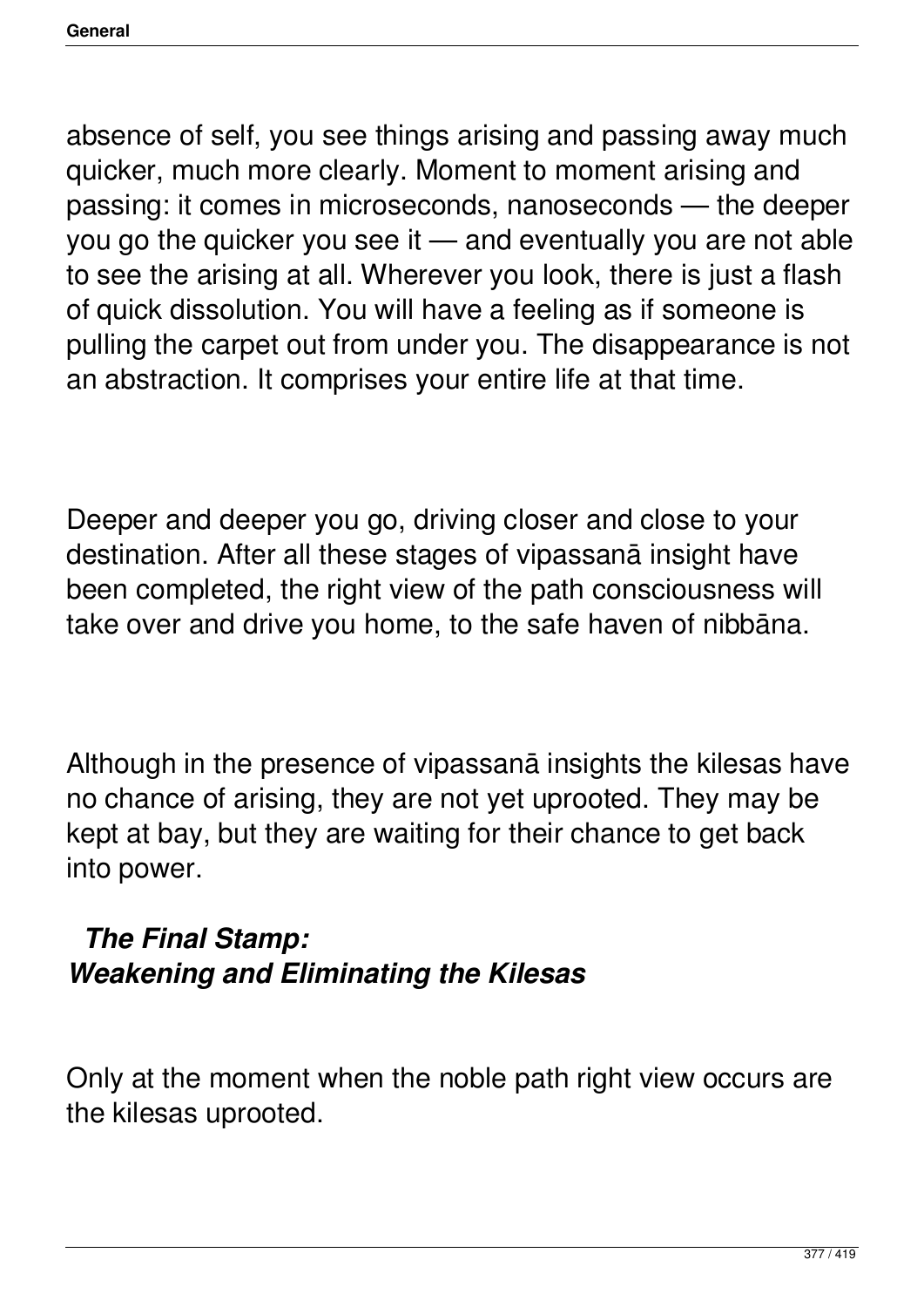absence of self, you see things arising and passing away much quicker, much more clearly. Moment to moment arising and passing: it comes in microseconds, nanoseconds — the deeper you go the quicker you see it — and eventually you are not able to see the arising at all. Wherever you look, there is just a flash of quick dissolution. You will have a feeling as if someone is pulling the carpet out from under you. The disappearance is not an abstraction. It comprises your entire life at that time.

Deeper and deeper you go, driving closer and close to your destination. After all these stages of vipassanā insight have been completed, the right view of the path consciousness will take over and drive you home, to the safe haven of nibbāna.

Although in the presence of vipassanā insights the kilesas have no chance of arising, they are not yet uprooted. They may be kept at bay, but they are waiting for their chance to get back into power.

# *The Final Stamp: Weakening and Eliminating the Kilesas*

Only at the moment when the noble path right view occurs are the kilesas uprooted.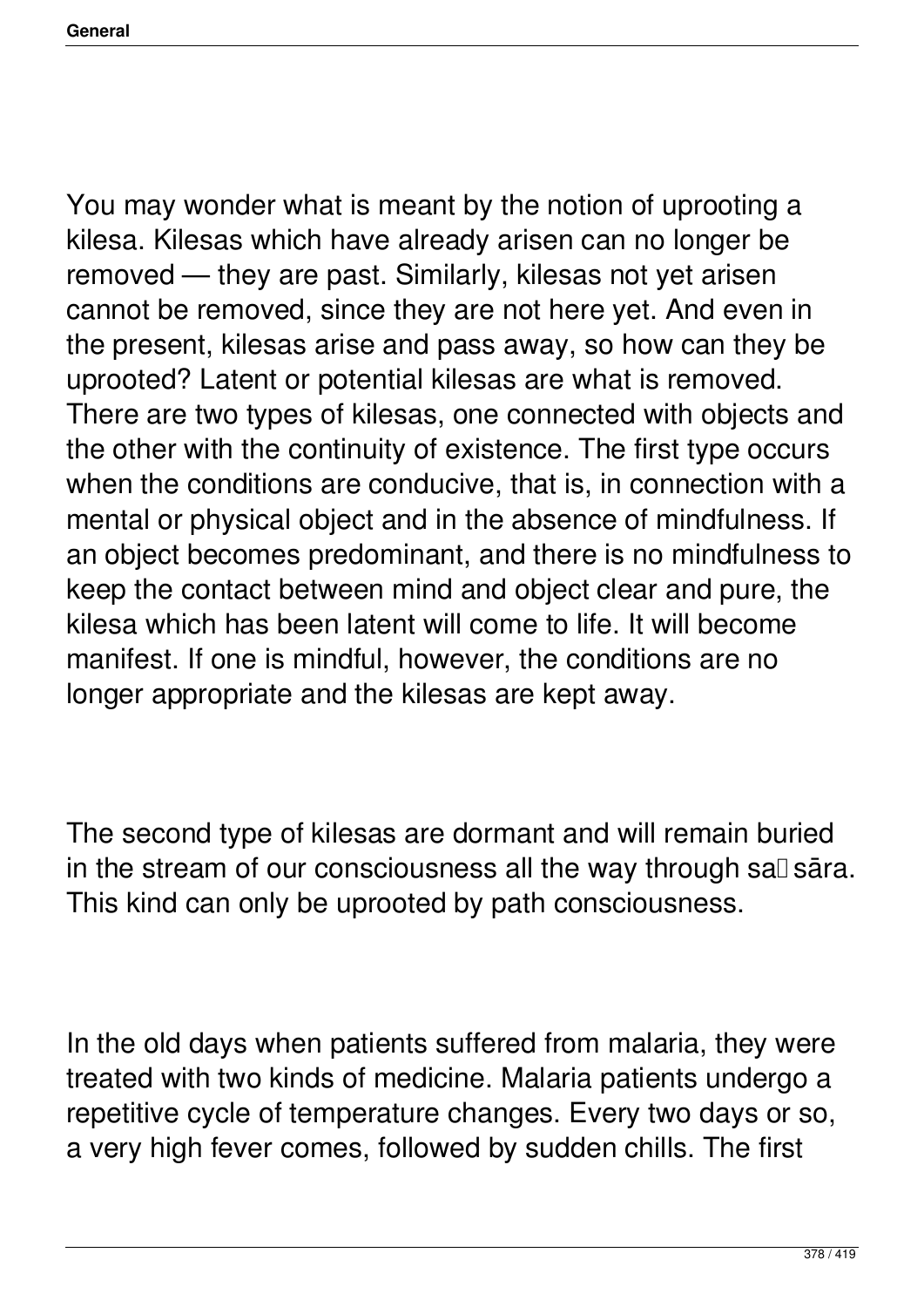You may wonder what is meant by the notion of uprooting a kilesa. Kilesas which have already arisen can no longer be removed — they are past. Similarly, kilesas not yet arisen cannot be removed, since they are not here yet. And even in the present, kilesas arise and pass away, so how can they be uprooted? Latent or potential kilesas are what is removed. There are two types of kilesas, one connected with objects and the other with the continuity of existence. The first type occurs when the conditions are conducive, that is, in connection with a mental or physical object and in the absence of mindfulness. If an object becomes predominant, and there is no mindfulness to keep the contact between mind and object clear and pure, the kilesa which has been latent will come to life. It will become manifest. If one is mindful, however, the conditions are no longer appropriate and the kilesas are kept away.

The second type of kilesas are dormant and will remain buried in the stream of our consciousness all the way through sall sāra. This kind can only be uprooted by path consciousness.

In the old days when patients suffered from malaria, they were treated with two kinds of medicine. Malaria patients undergo a repetitive cycle of temperature changes. Every two days or so, a very high fever comes, followed by sudden chills. The first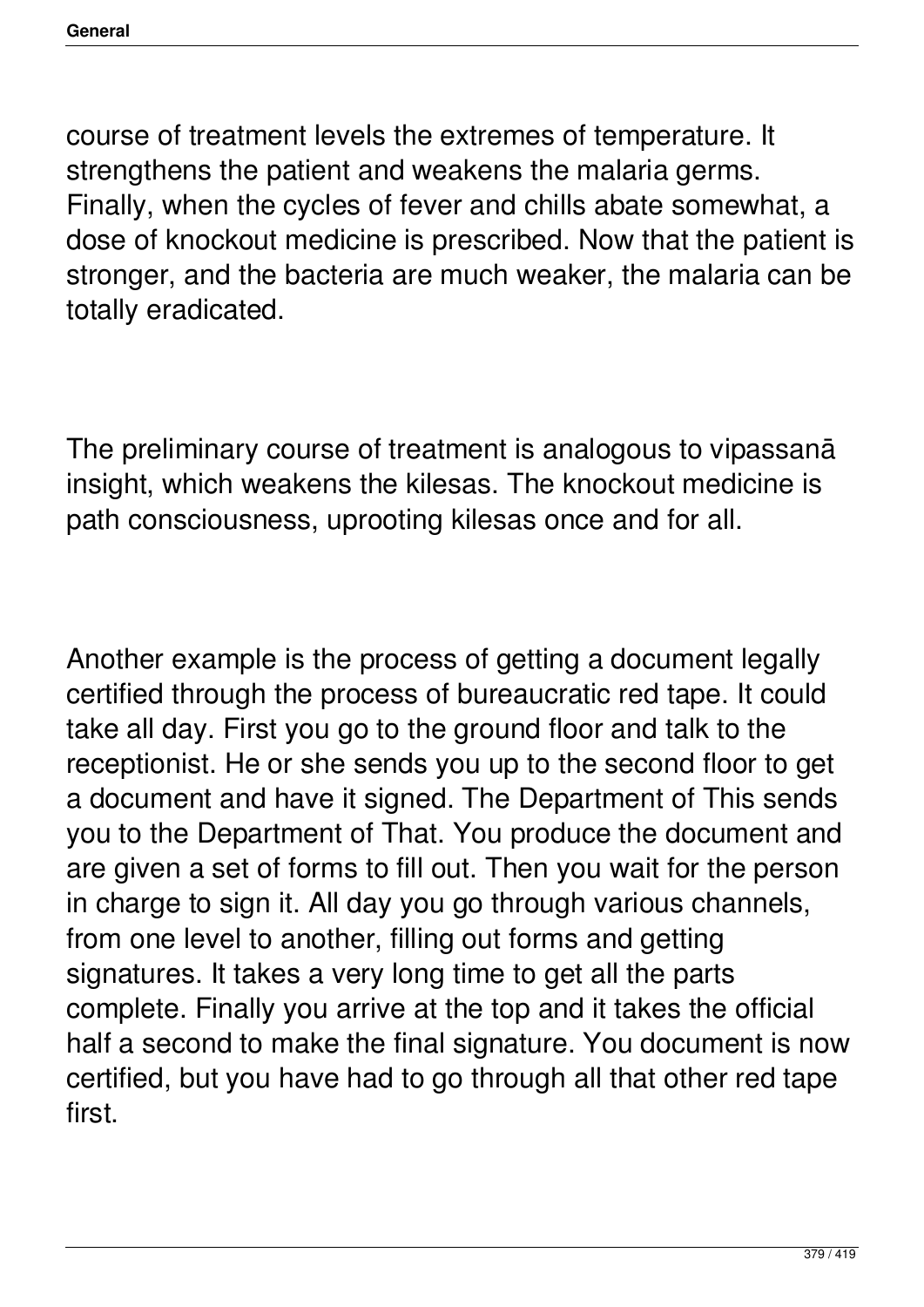course of treatment levels the extremes of temperature. It strengthens the patient and weakens the malaria germs. Finally, when the cycles of fever and chills abate somewhat, a dose of knockout medicine is prescribed. Now that the patient is stronger, and the bacteria are much weaker, the malaria can be totally eradicated.

The preliminary course of treatment is analogous to vipassanā insight, which weakens the kilesas. The knockout medicine is path consciousness, uprooting kilesas once and for all.

Another example is the process of getting a document legally certified through the process of bureaucratic red tape. It could take all day. First you go to the ground floor and talk to the receptionist. He or she sends you up to the second floor to get a document and have it signed. The Department of This sends you to the Department of That. You produce the document and are given a set of forms to fill out. Then you wait for the person in charge to sign it. All day you go through various channels, from one level to another, filling out forms and getting signatures. It takes a very long time to get all the parts complete. Finally you arrive at the top and it takes the official half a second to make the final signature. You document is now certified, but you have had to go through all that other red tape first.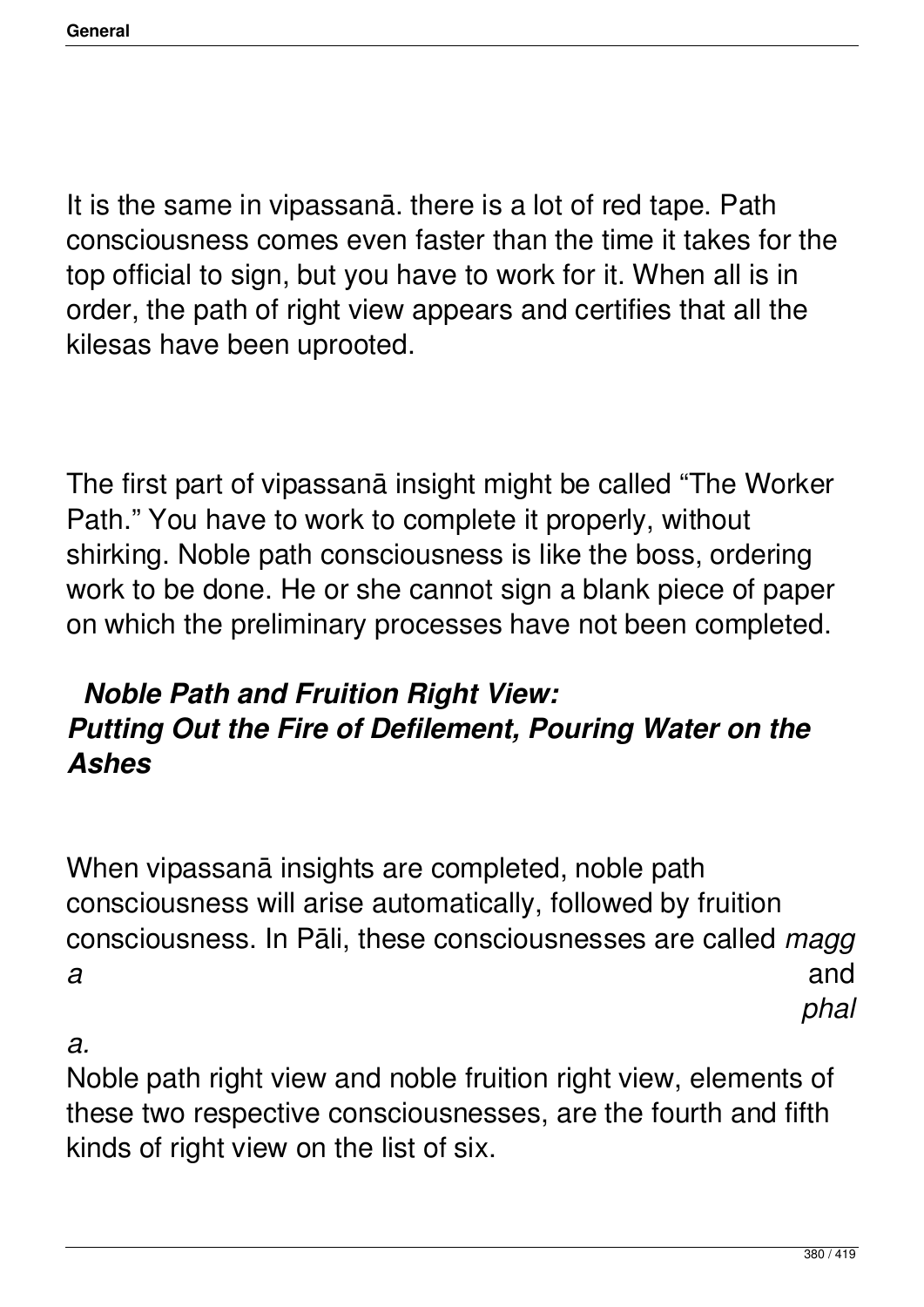It is the same in vipassanā. there is a lot of red tape. Path consciousness comes even faster than the time it takes for the top official to sign, but you have to work for it. When all is in order, the path of right view appears and certifies that all the kilesas have been uprooted.

The first part of vipassanā insight might be called "The Worker Path." You have to work to complete it properly, without shirking. Noble path consciousness is like the boss, ordering work to be done. He or she cannot sign a blank piece of paper on which the preliminary processes have not been completed.

## *Noble Path and Fruition Right View: Putting Out the Fire of Defilement, Pouring Water on the Ashes*

When vipassanā insights are completed, noble path consciousness will arise automatically, followed by fruition consciousness. In Pāli, these consciousnesses are called *magg a* and

*phal*

*a.*

Noble path right view and noble fruition right view, elements of these two respective consciousnesses, are the fourth and fifth kinds of right view on the list of six.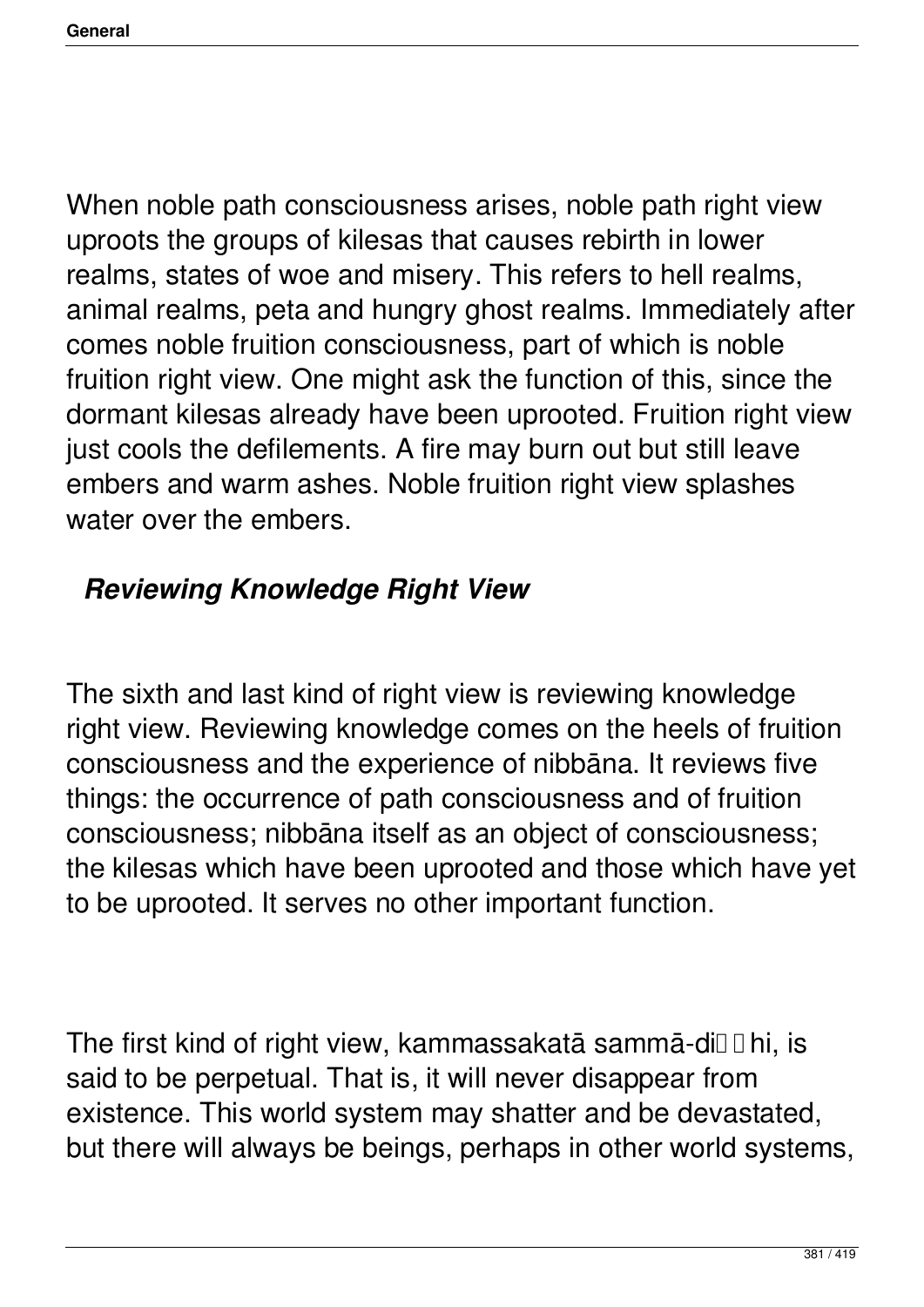When noble path consciousness arises, noble path right view uproots the groups of kilesas that causes rebirth in lower realms, states of woe and misery. This refers to hell realms, animal realms, peta and hungry ghost realms. Immediately after comes noble fruition consciousness, part of which is noble fruition right view. One might ask the function of this, since the dormant kilesas already have been uprooted. Fruition right view just cools the defilements. A fire may burn out but still leave embers and warm ashes. Noble fruition right view splashes water over the embers.

# *Reviewing Knowledge Right View*

The sixth and last kind of right view is reviewing knowledge right view. Reviewing knowledge comes on the heels of fruition consciousness and the experience of nibbāna. It reviews five things: the occurrence of path consciousness and of fruition consciousness; nibbāna itself as an object of consciousness; the kilesas which have been uprooted and those which have yet to be uprooted. It serves no other important function.

The first kind of right view, kammassakatā sammā-di $\Box$ hi, is said to be perpetual. That is, it will never disappear from existence. This world system may shatter and be devastated, but there will always be beings, perhaps in other world systems,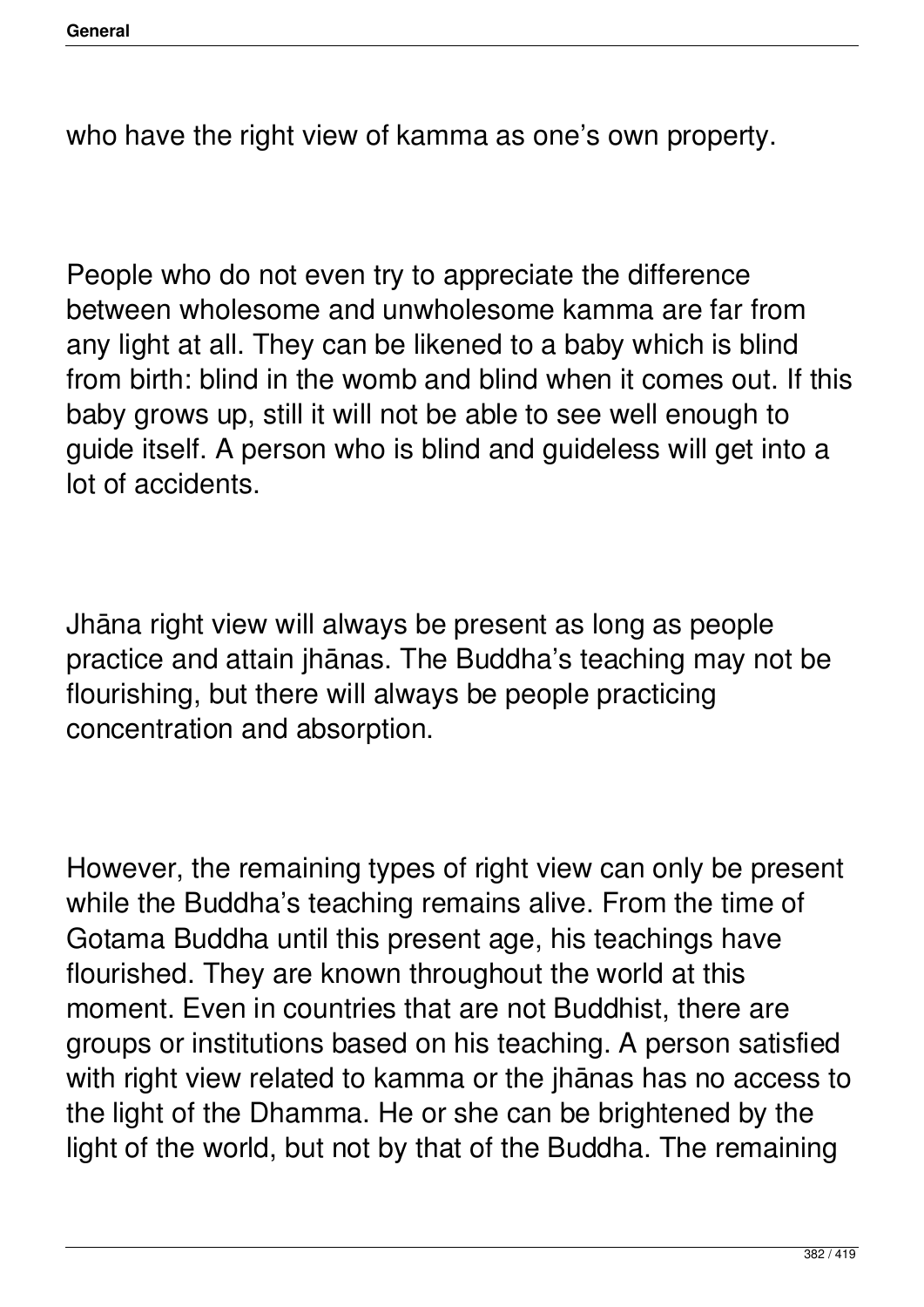who have the right view of kamma as one's own property.

People who do not even try to appreciate the difference between wholesome and unwholesome kamma are far from any light at all. They can be likened to a baby which is blind from birth: blind in the womb and blind when it comes out. If this baby grows up, still it will not be able to see well enough to guide itself. A person who is blind and guideless will get into a lot of accidents.

Jhāna right view will always be present as long as people practice and attain jhānas. The Buddha's teaching may not be flourishing, but there will always be people practicing concentration and absorption.

However, the remaining types of right view can only be present while the Buddha's teaching remains alive. From the time of Gotama Buddha until this present age, his teachings have flourished. They are known throughout the world at this moment. Even in countries that are not Buddhist, there are groups or institutions based on his teaching. A person satisfied with right view related to kamma or the jhānas has no access to the light of the Dhamma. He or she can be brightened by the light of the world, but not by that of the Buddha. The remaining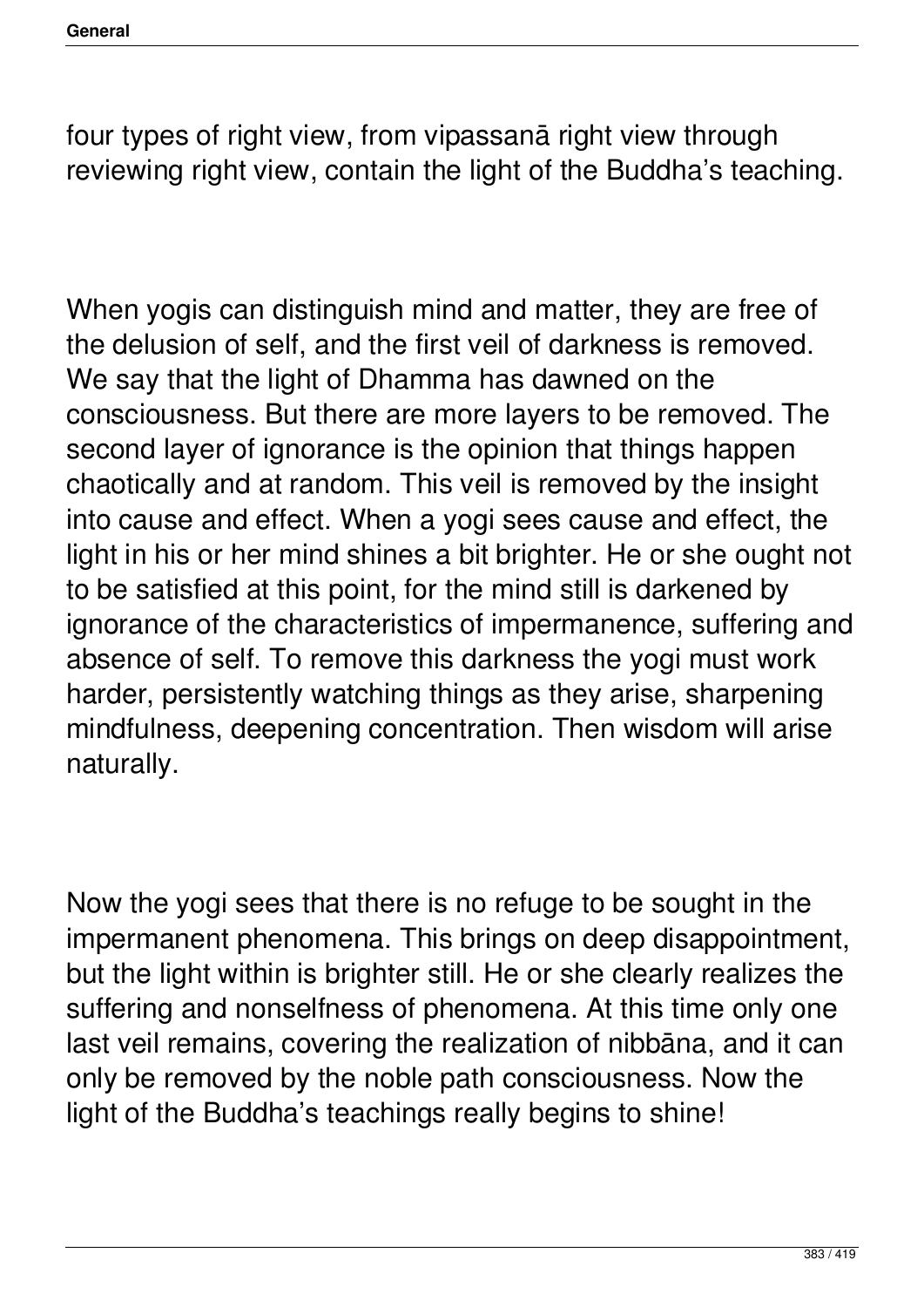four types of right view, from vipassanā right view through reviewing right view, contain the light of the Buddha's teaching.

When yogis can distinguish mind and matter, they are free of the delusion of self, and the first veil of darkness is removed. We say that the light of Dhamma has dawned on the consciousness. But there are more layers to be removed. The second layer of ignorance is the opinion that things happen chaotically and at random. This veil is removed by the insight into cause and effect. When a yogi sees cause and effect, the light in his or her mind shines a bit brighter. He or she ought not to be satisfied at this point, for the mind still is darkened by ignorance of the characteristics of impermanence, suffering and absence of self. To remove this darkness the yogi must work harder, persistently watching things as they arise, sharpening mindfulness, deepening concentration. Then wisdom will arise naturally.

Now the yogi sees that there is no refuge to be sought in the impermanent phenomena. This brings on deep disappointment, but the light within is brighter still. He or she clearly realizes the suffering and nonselfness of phenomena. At this time only one last veil remains, covering the realization of nibbāna, and it can only be removed by the noble path consciousness. Now the light of the Buddha's teachings really begins to shine!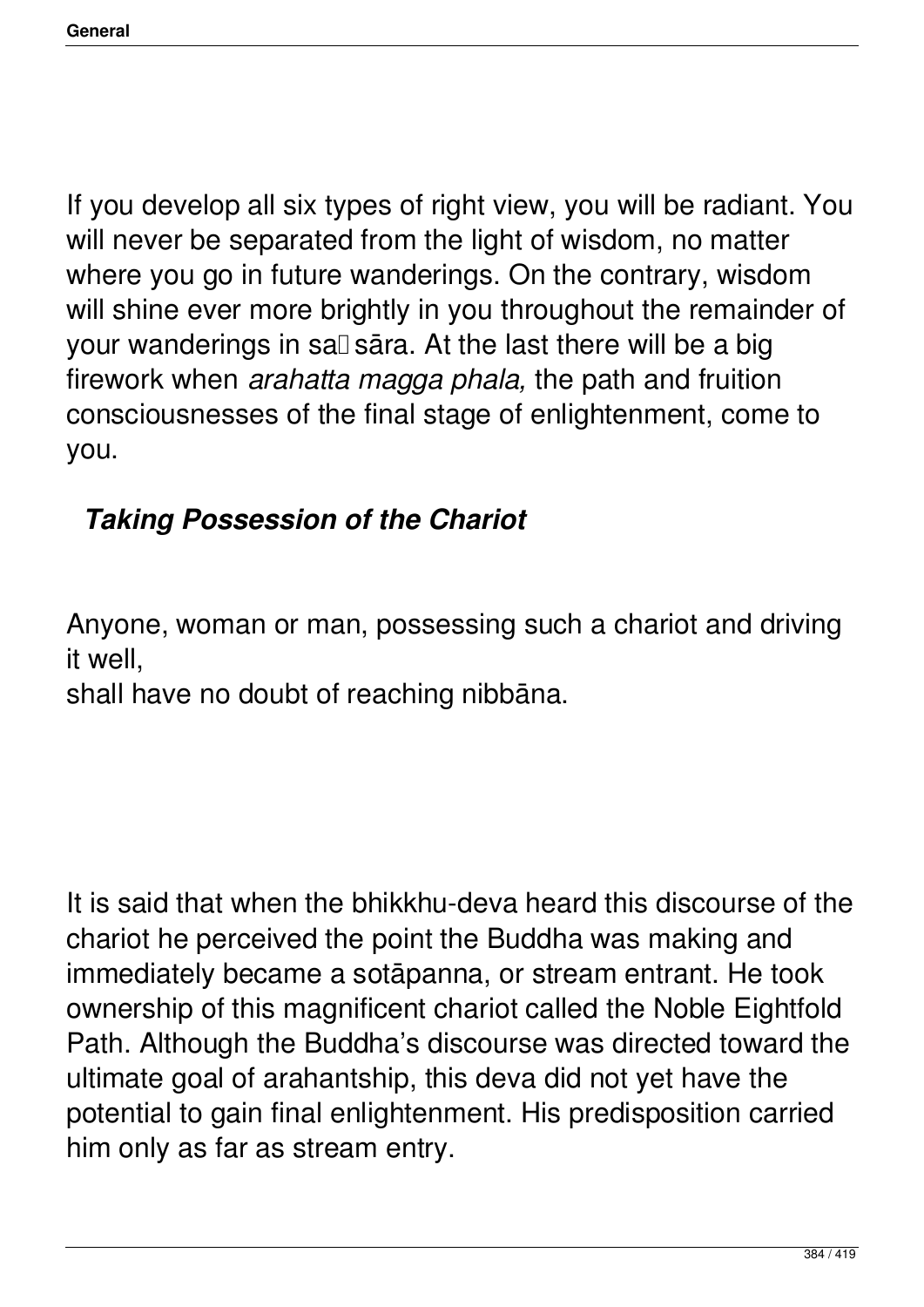If you develop all six types of right view, you will be radiant. You will never be separated from the light of wisdom, no matter where you go in future wanderings. On the contrary, wisdom will shine ever more brightly in you throughout the remainder of your wanderings in sall sara. At the last there will be a big firework when *arahatta magga phala,* the path and fruition consciousnesses of the final stage of enlightenment, come to you.

# *Taking Possession of the Chariot*

Anyone, woman or man, possessing such a chariot and driving it well,

shall have no doubt of reaching nibbāna.

It is said that when the bhikkhu-deva heard this discourse of the chariot he perceived the point the Buddha was making and immediately became a sotāpanna, or stream entrant. He took ownership of this magnificent chariot called the Noble Eightfold Path. Although the Buddha's discourse was directed toward the ultimate goal of arahantship, this deva did not yet have the potential to gain final enlightenment. His predisposition carried him only as far as stream entry.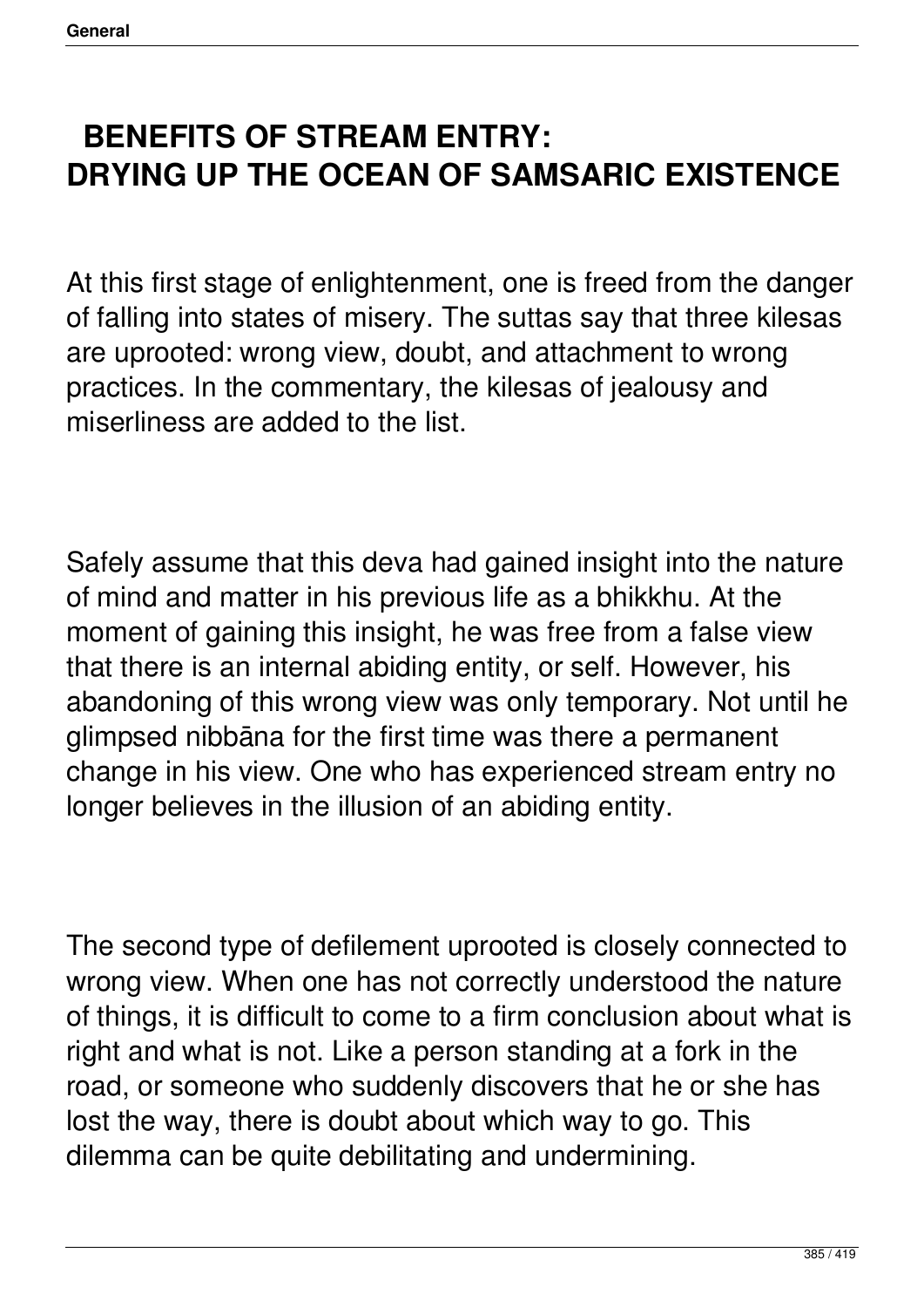# **BENEFITS OF STREAM ENTRY: DRYING UP THE OCEAN OF SAMSARIC EXISTENCE**

At this first stage of enlightenment, one is freed from the danger of falling into states of misery. The suttas say that three kilesas are uprooted: wrong view, doubt, and attachment to wrong practices. In the commentary, the kilesas of jealousy and miserliness are added to the list.

Safely assume that this deva had gained insight into the nature of mind and matter in his previous life as a bhikkhu. At the moment of gaining this insight, he was free from a false view that there is an internal abiding entity, or self. However, his abandoning of this wrong view was only temporary. Not until he glimpsed nibbāna for the first time was there a permanent change in his view. One who has experienced stream entry no longer believes in the illusion of an abiding entity.

The second type of defilement uprooted is closely connected to wrong view. When one has not correctly understood the nature of things, it is difficult to come to a firm conclusion about what is right and what is not. Like a person standing at a fork in the road, or someone who suddenly discovers that he or she has lost the way, there is doubt about which way to go. This dilemma can be quite debilitating and undermining.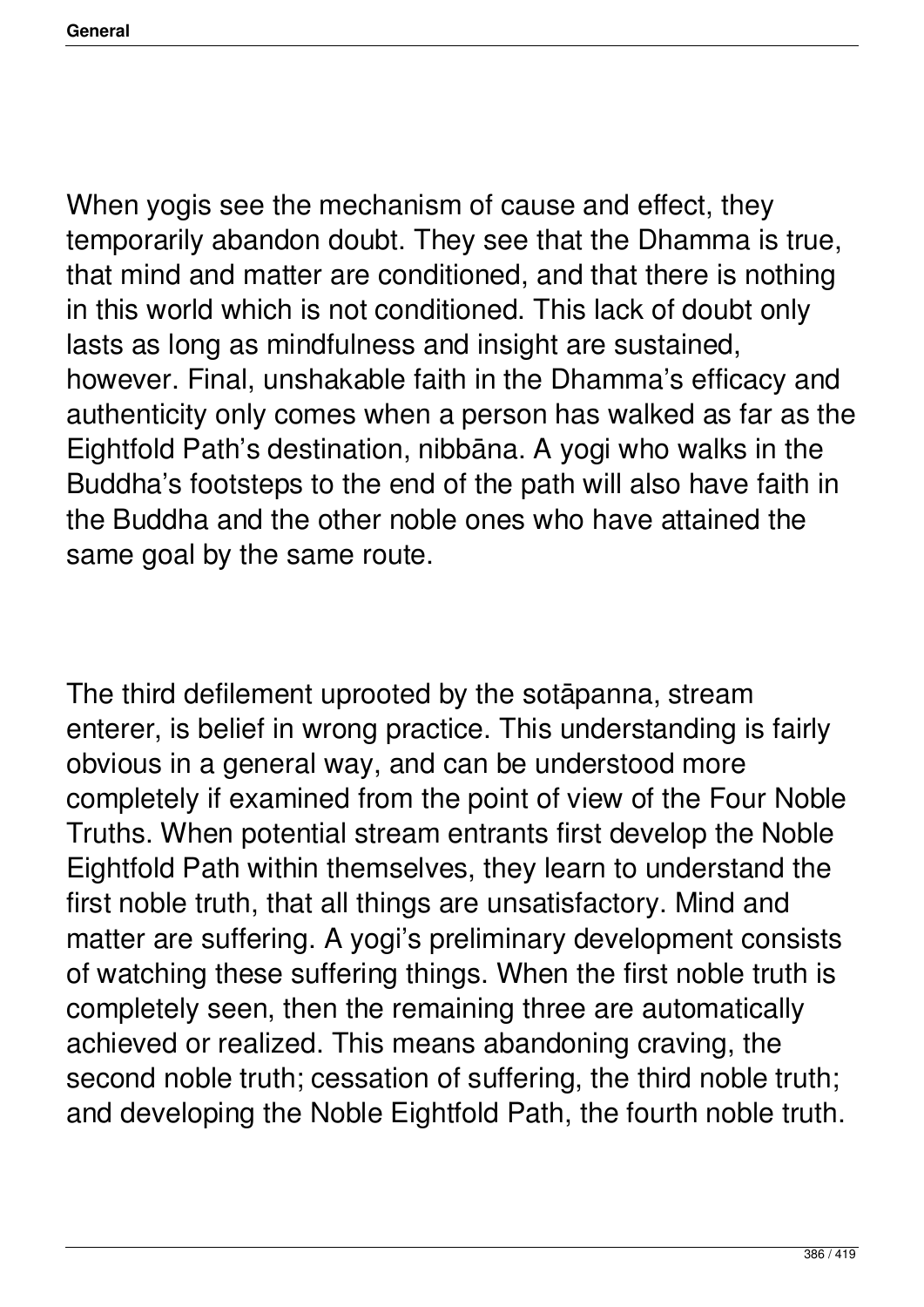When yogis see the mechanism of cause and effect, they temporarily abandon doubt. They see that the Dhamma is true, that mind and matter are conditioned, and that there is nothing in this world which is not conditioned. This lack of doubt only lasts as long as mindfulness and insight are sustained, however. Final, unshakable faith in the Dhamma's efficacy and authenticity only comes when a person has walked as far as the Eightfold Path's destination, nibbāna. A yogi who walks in the Buddha's footsteps to the end of the path will also have faith in the Buddha and the other noble ones who have attained the same goal by the same route.

The third defilement uprooted by the sotāpanna, stream enterer, is belief in wrong practice. This understanding is fairly obvious in a general way, and can be understood more completely if examined from the point of view of the Four Noble Truths. When potential stream entrants first develop the Noble Eightfold Path within themselves, they learn to understand the first noble truth, that all things are unsatisfactory. Mind and matter are suffering. A yogi's preliminary development consists of watching these suffering things. When the first noble truth is completely seen, then the remaining three are automatically achieved or realized. This means abandoning craving, the second noble truth; cessation of suffering, the third noble truth; and developing the Noble Eightfold Path, the fourth noble truth.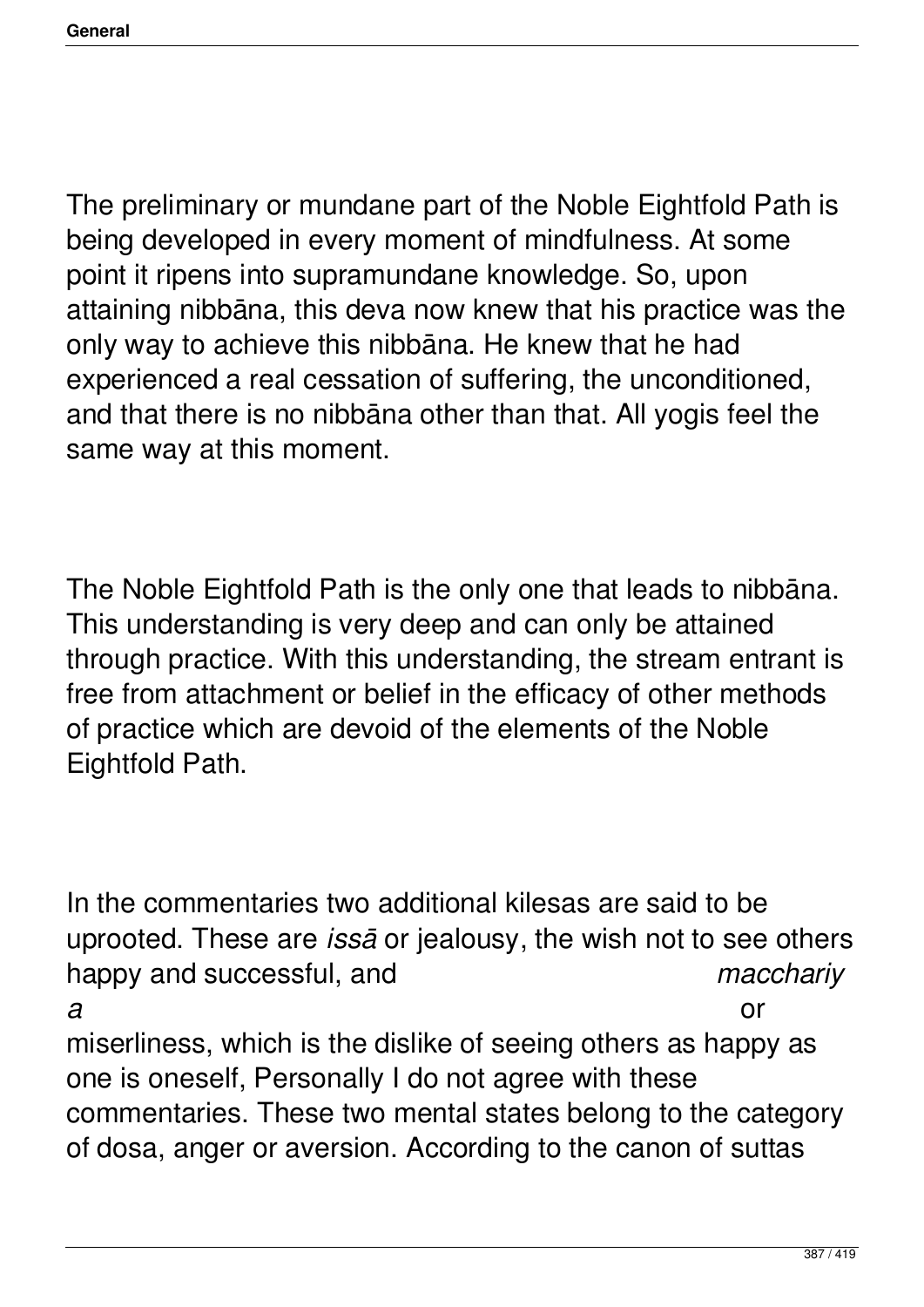The preliminary or mundane part of the Noble Eightfold Path is being developed in every moment of mindfulness. At some point it ripens into supramundane knowledge. So, upon attaining nibbāna, this deva now knew that his practice was the only way to achieve this nibbāna. He knew that he had experienced a real cessation of suffering, the unconditioned, and that there is no nibbāna other than that. All yogis feel the same way at this moment.

The Noble Eightfold Path is the only one that leads to nibbāna. This understanding is very deep and can only be attained through practice. With this understanding, the stream entrant is free from attachment or belief in the efficacy of other methods of practice which are devoid of the elements of the Noble Eightfold Path.

In the commentaries two additional kilesas are said to be uprooted. These are *issā* or jealousy, the wish not to see others happy and successful, and *macchariy* **a** or *a* or *a* miserliness, which is the dislike of seeing others as happy as one is oneself, Personally I do not agree with these commentaries. These two mental states belong to the category of dosa, anger or aversion. According to the canon of suttas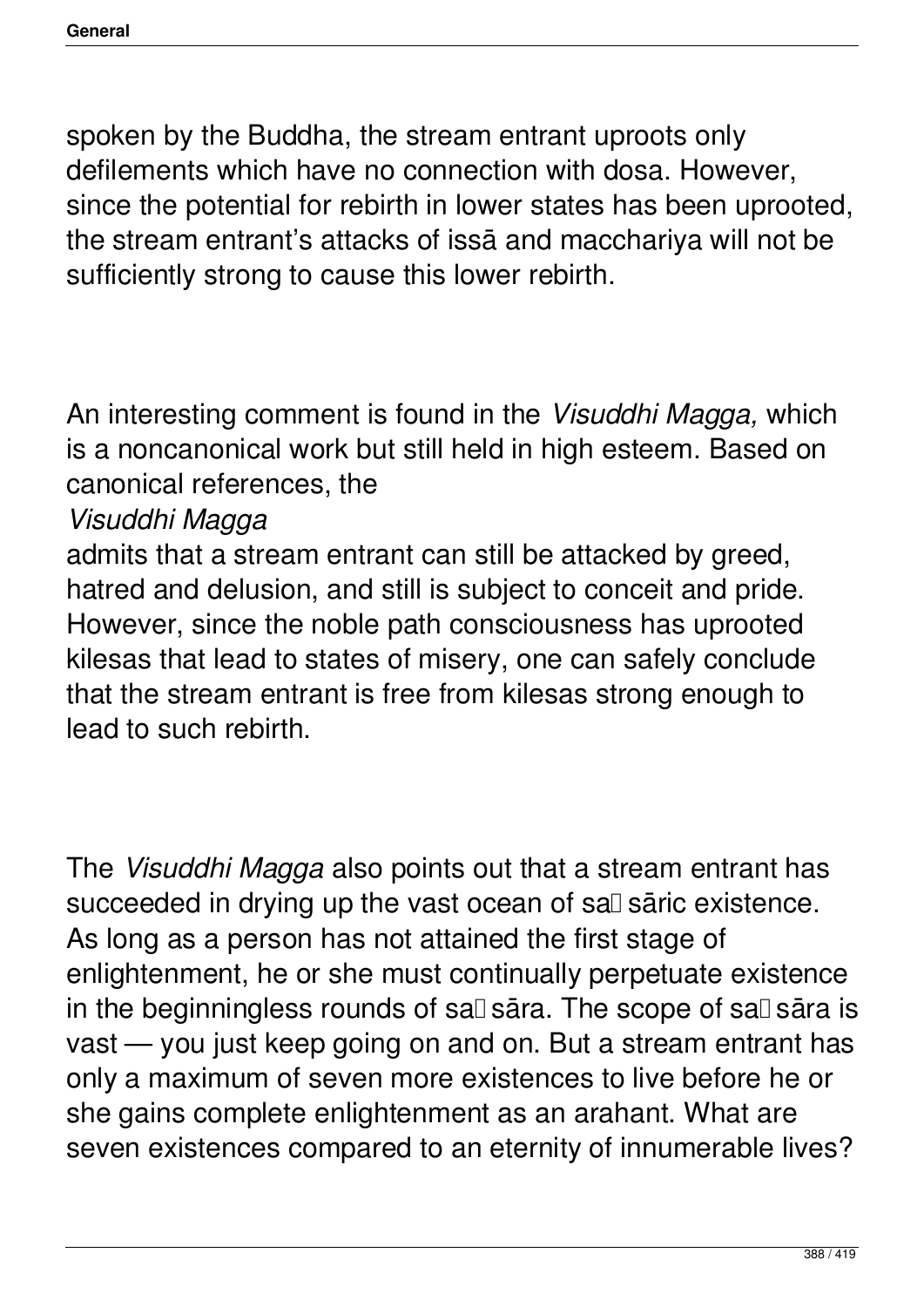spoken by the Buddha, the stream entrant uproots only defilements which have no connection with dosa. However, since the potential for rebirth in lower states has been uprooted, the stream entrant's attacks of issā and macchariya will not be sufficiently strong to cause this lower rebirth.

An interesting comment is found in the *Visuddhi Magga,* which is a noncanonical work but still held in high esteem. Based on canonical references, the

#### *Visuddhi Magga*

admits that a stream entrant can still be attacked by greed, hatred and delusion, and still is subject to conceit and pride. However, since the noble path consciousness has uprooted kilesas that lead to states of misery, one can safely conclude that the stream entrant is free from kilesas strong enough to lead to such rebirth.

The *Visuddhi Magga* also points out that a stream entrant has succeeded in drying up the vast ocean of sall saric existence. As long as a person has not attained the first stage of enlightenment, he or she must continually perpetuate existence in the beginningless rounds of sall sara. The scope of sall sara is vast — you just keep going on and on. But a stream entrant has only a maximum of seven more existences to live before he or she gains complete enlightenment as an arahant. What are seven existences compared to an eternity of innumerable lives?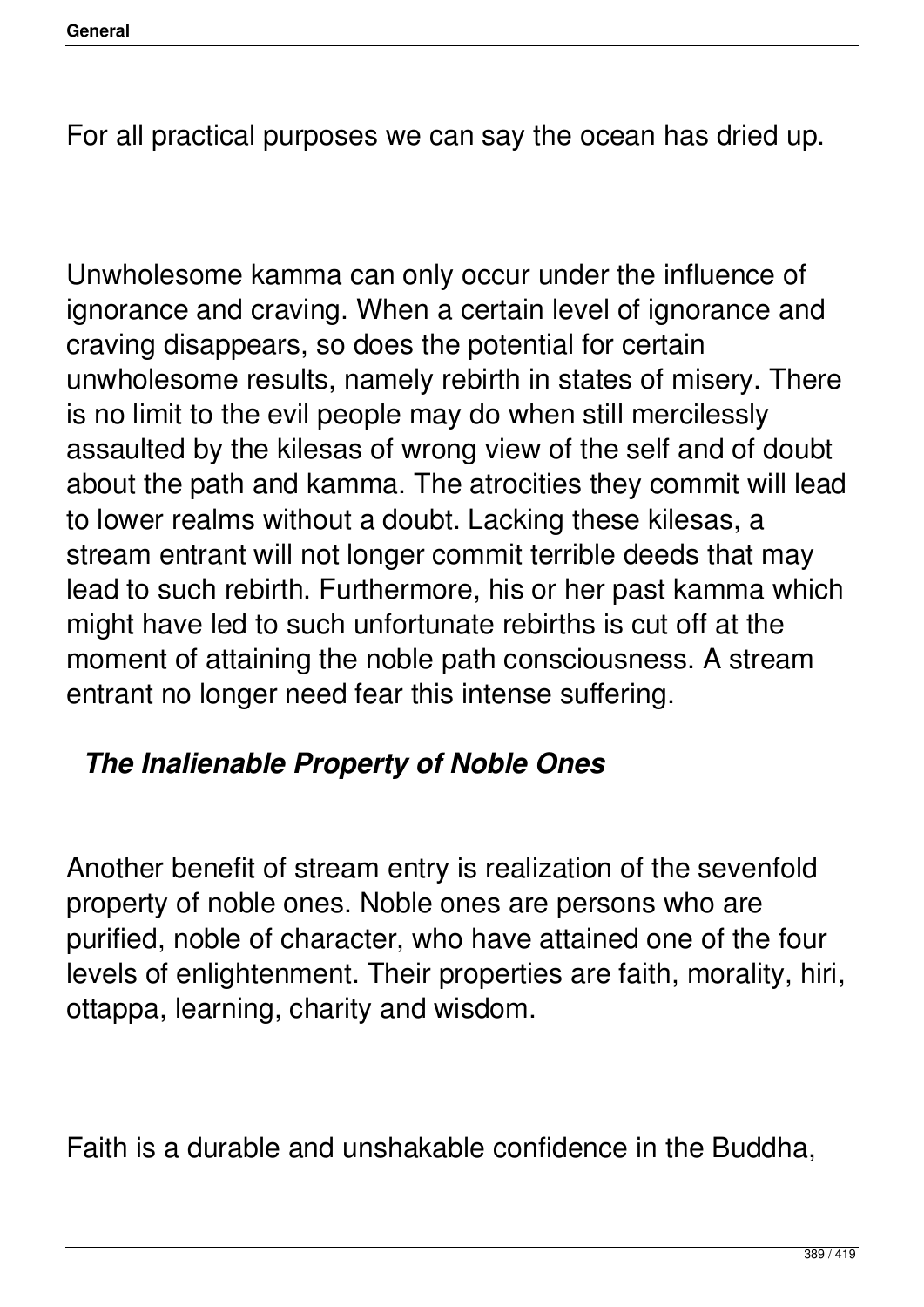For all practical purposes we can say the ocean has dried up.

Unwholesome kamma can only occur under the influence of ignorance and craving. When a certain level of ignorance and craving disappears, so does the potential for certain unwholesome results, namely rebirth in states of misery. There is no limit to the evil people may do when still mercilessly assaulted by the kilesas of wrong view of the self and of doubt about the path and kamma. The atrocities they commit will lead to lower realms without a doubt. Lacking these kilesas, a stream entrant will not longer commit terrible deeds that may lead to such rebirth. Furthermore, his or her past kamma which might have led to such unfortunate rebirths is cut off at the moment of attaining the noble path consciousness. A stream entrant no longer need fear this intense suffering.

#### *The Inalienable Property of Noble Ones*

Another benefit of stream entry is realization of the sevenfold property of noble ones. Noble ones are persons who are purified, noble of character, who have attained one of the four levels of enlightenment. Their properties are faith, morality, hiri, ottappa, learning, charity and wisdom.

Faith is a durable and unshakable confidence in the Buddha,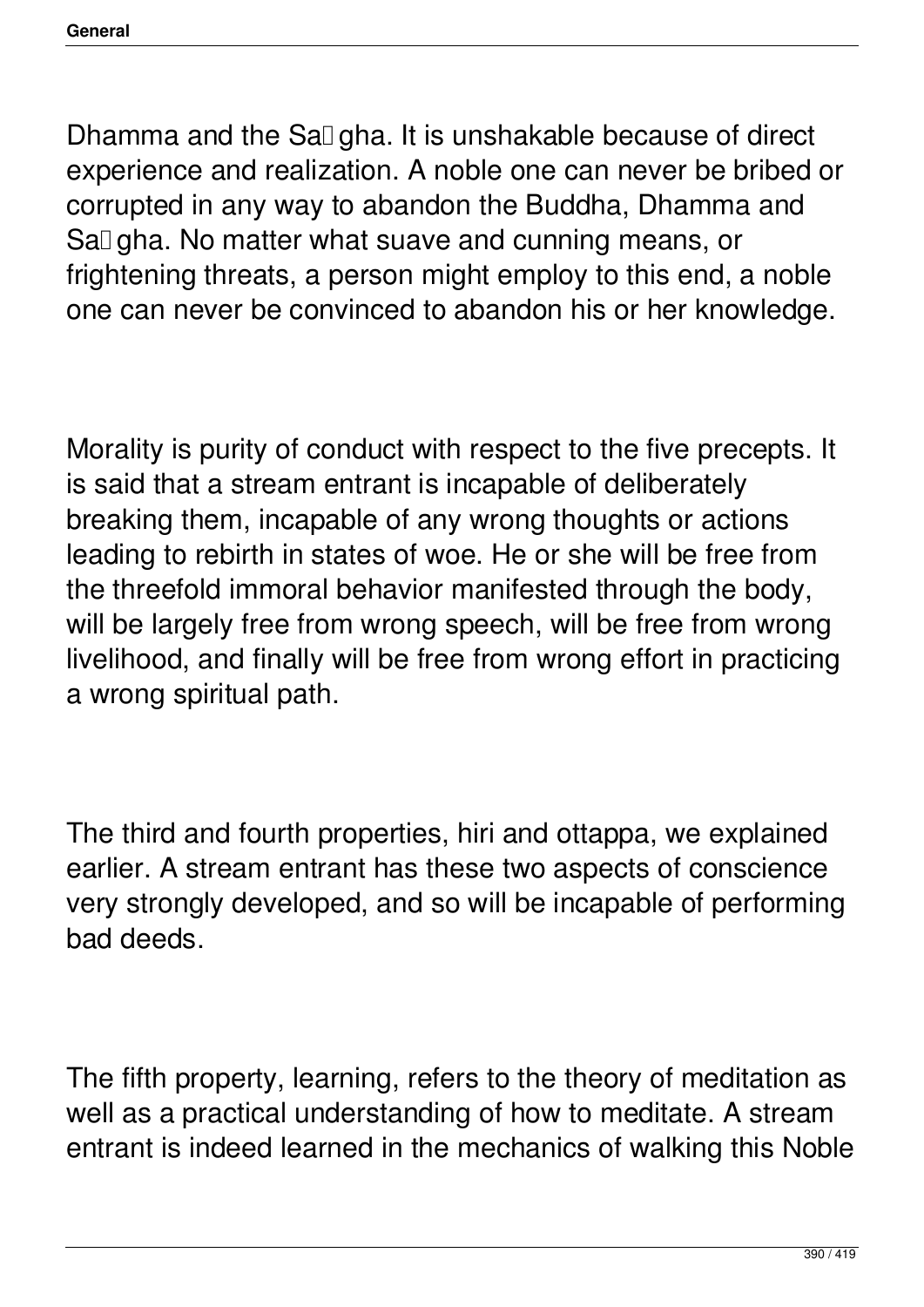Dhamma and the Sa<sub>[gha.</sub> It is unshakable because of direct experience and realization. A noble one can never be bribed or corrupted in any way to abandon the Buddha, Dhamma and Sal gha. No matter what suave and cunning means, or frightening threats, a person might employ to this end, a noble one can never be convinced to abandon his or her knowledge.

Morality is purity of conduct with respect to the five precepts. It is said that a stream entrant is incapable of deliberately breaking them, incapable of any wrong thoughts or actions leading to rebirth in states of woe. He or she will be free from the threefold immoral behavior manifested through the body, will be largely free from wrong speech, will be free from wrong livelihood, and finally will be free from wrong effort in practicing a wrong spiritual path.

The third and fourth properties, hiri and ottappa, we explained earlier. A stream entrant has these two aspects of conscience very strongly developed, and so will be incapable of performing bad deeds.

The fifth property, learning, refers to the theory of meditation as well as a practical understanding of how to meditate. A stream entrant is indeed learned in the mechanics of walking this Noble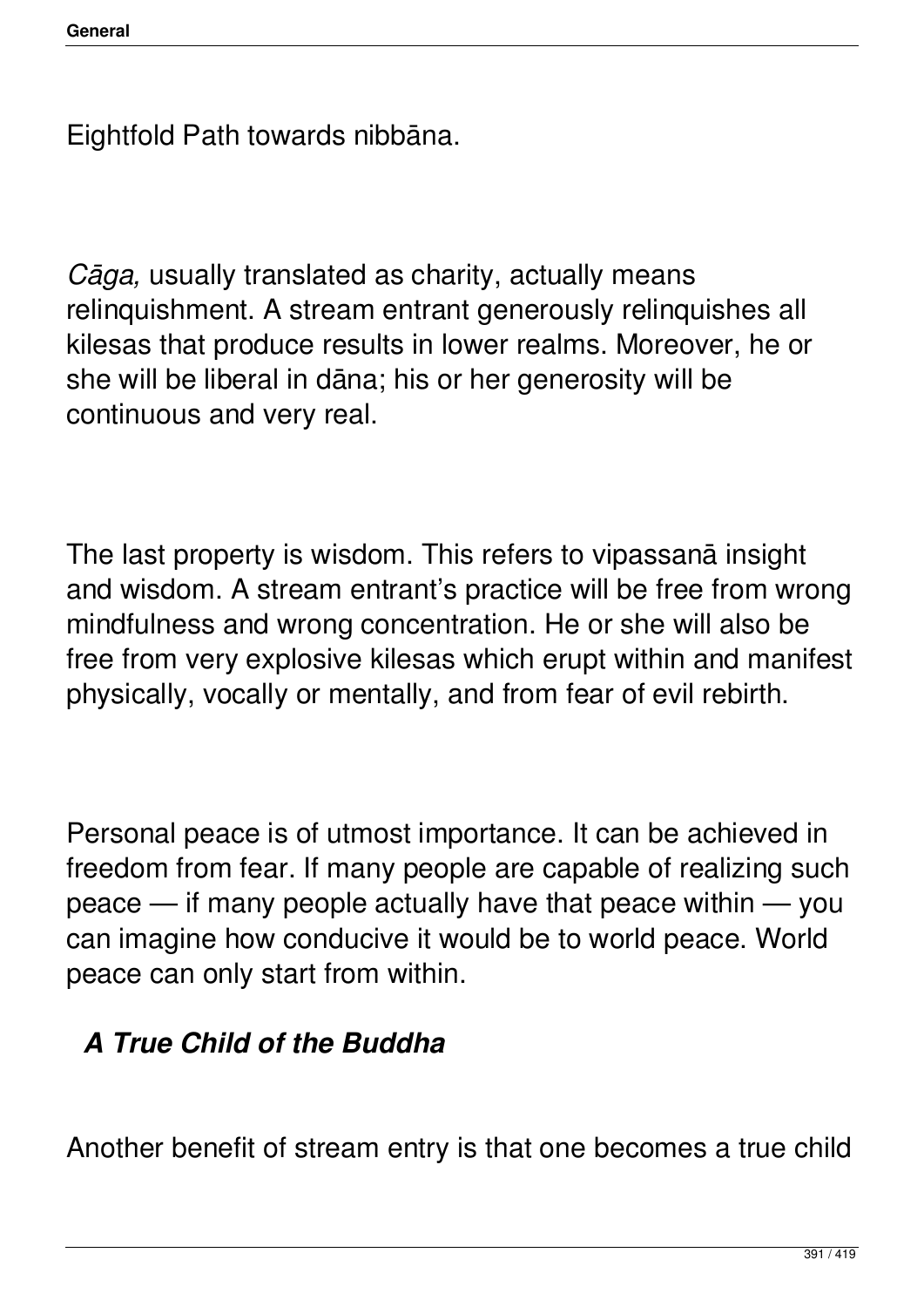Eightfold Path towards nibbāna.

*Cāga,* usually translated as charity, actually means relinquishment. A stream entrant generously relinquishes all kilesas that produce results in lower realms. Moreover, he or she will be liberal in dāna; his or her generosity will be continuous and very real.

The last property is wisdom. This refers to vipassanā insight and wisdom. A stream entrant's practice will be free from wrong mindfulness and wrong concentration. He or she will also be free from very explosive kilesas which erupt within and manifest physically, vocally or mentally, and from fear of evil rebirth.

Personal peace is of utmost importance. It can be achieved in freedom from fear. If many people are capable of realizing such peace — if many people actually have that peace within — you can imagine how conducive it would be to world peace. World peace can only start from within.

# *A True Child of the Buddha*

Another benefit of stream entry is that one becomes a true child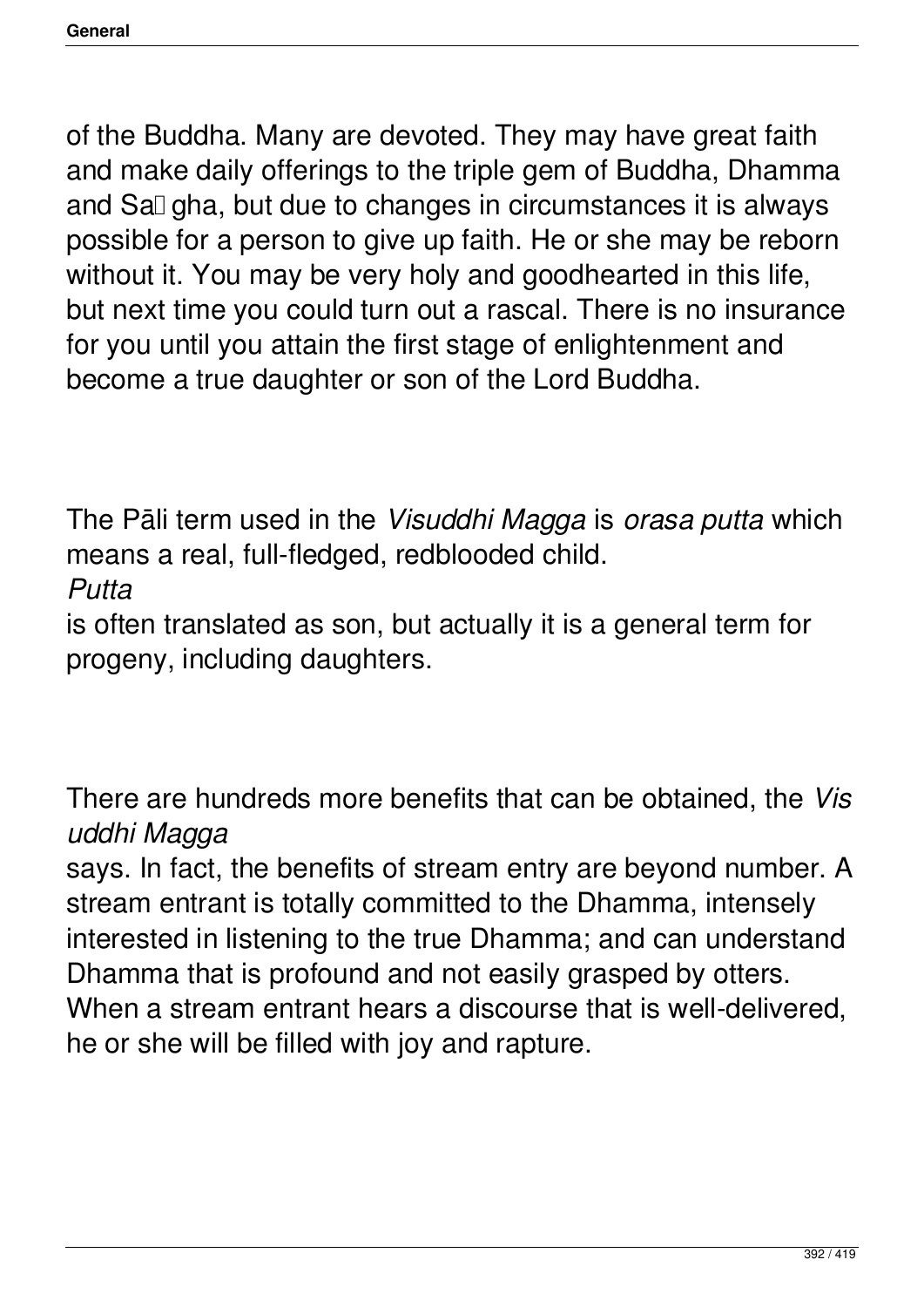of the Buddha. Many are devoted. They may have great faith and make daily offerings to the triple gem of Buddha, Dhamma and Sa<sub>[gha</sub>, but due to changes in circumstances it is always possible for a person to give up faith. He or she may be reborn without it. You may be very holy and goodhearted in this life, but next time you could turn out a rascal. There is no insurance for you until you attain the first stage of enlightenment and become a true daughter or son of the Lord Buddha.

The Pāli term used in the *Visuddhi Magga* is *orasa putta* which means a real, full-fledged, redblooded child. *Putta* 

is often translated as son, but actually it is a general term for progeny, including daughters.

There are hundreds more benefits that can be obtained, the *Vis uddhi Magga*

says. In fact, the benefits of stream entry are beyond number. A stream entrant is totally committed to the Dhamma, intensely interested in listening to the true Dhamma; and can understand Dhamma that is profound and not easily grasped by otters. When a stream entrant hears a discourse that is well-delivered, he or she will be filled with joy and rapture.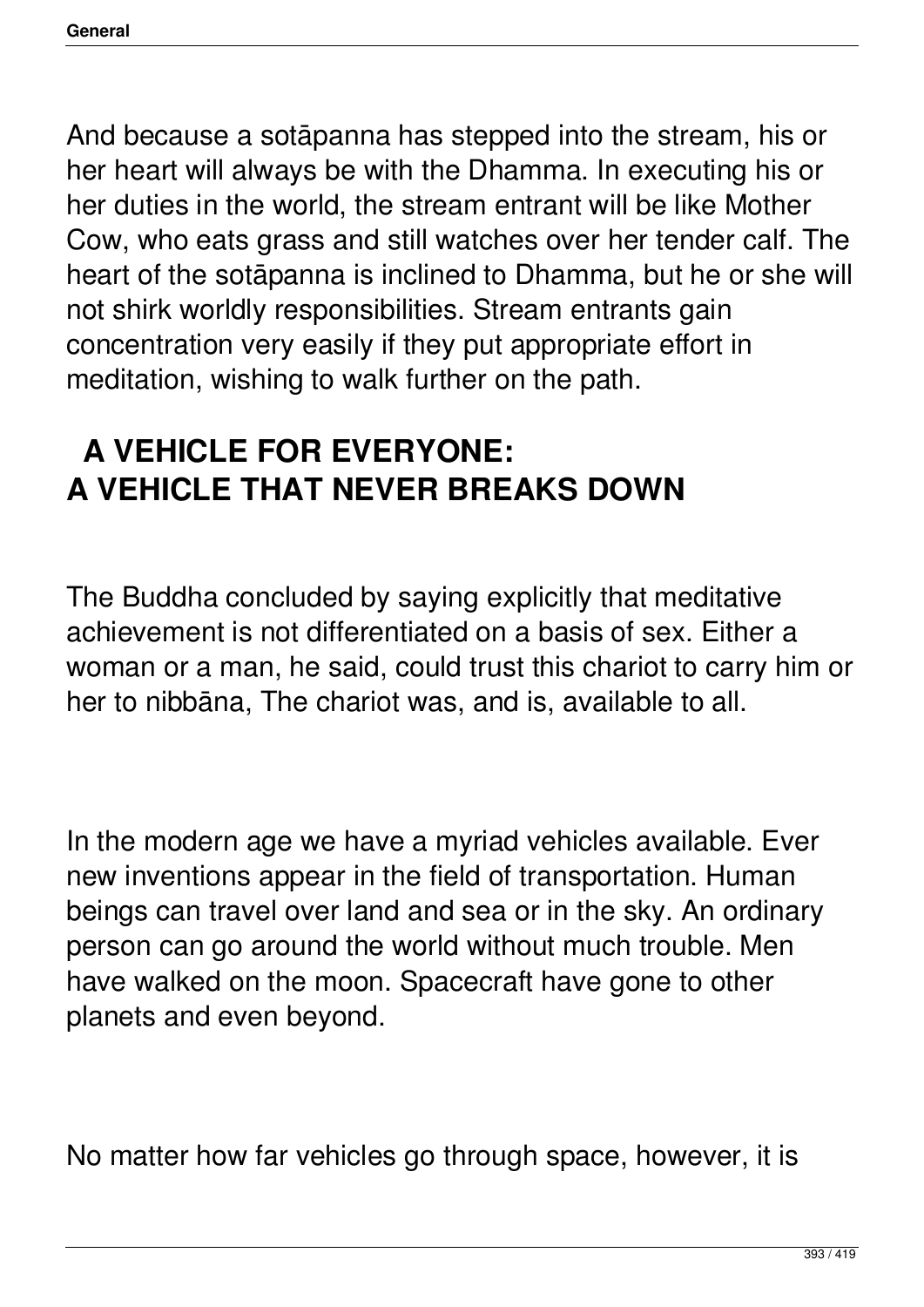And because a sotāpanna has stepped into the stream, his or her heart will always be with the Dhamma. In executing his or her duties in the world, the stream entrant will be like Mother Cow, who eats grass and still watches over her tender calf. The heart of the sotāpanna is inclined to Dhamma, but he or she will not shirk worldly responsibilities. Stream entrants gain concentration very easily if they put appropriate effort in meditation, wishing to walk further on the path.

# **A VEHICLE FOR EVERYONE: A VEHICLE THAT NEVER BREAKS DOWN**

The Buddha concluded by saying explicitly that meditative achievement is not differentiated on a basis of sex. Either a woman or a man, he said, could trust this chariot to carry him or her to nibbāna, The chariot was, and is, available to all.

In the modern age we have a myriad vehicles available. Ever new inventions appear in the field of transportation. Human beings can travel over land and sea or in the sky. An ordinary person can go around the world without much trouble. Men have walked on the moon. Spacecraft have gone to other planets and even beyond.

No matter how far vehicles go through space, however, it is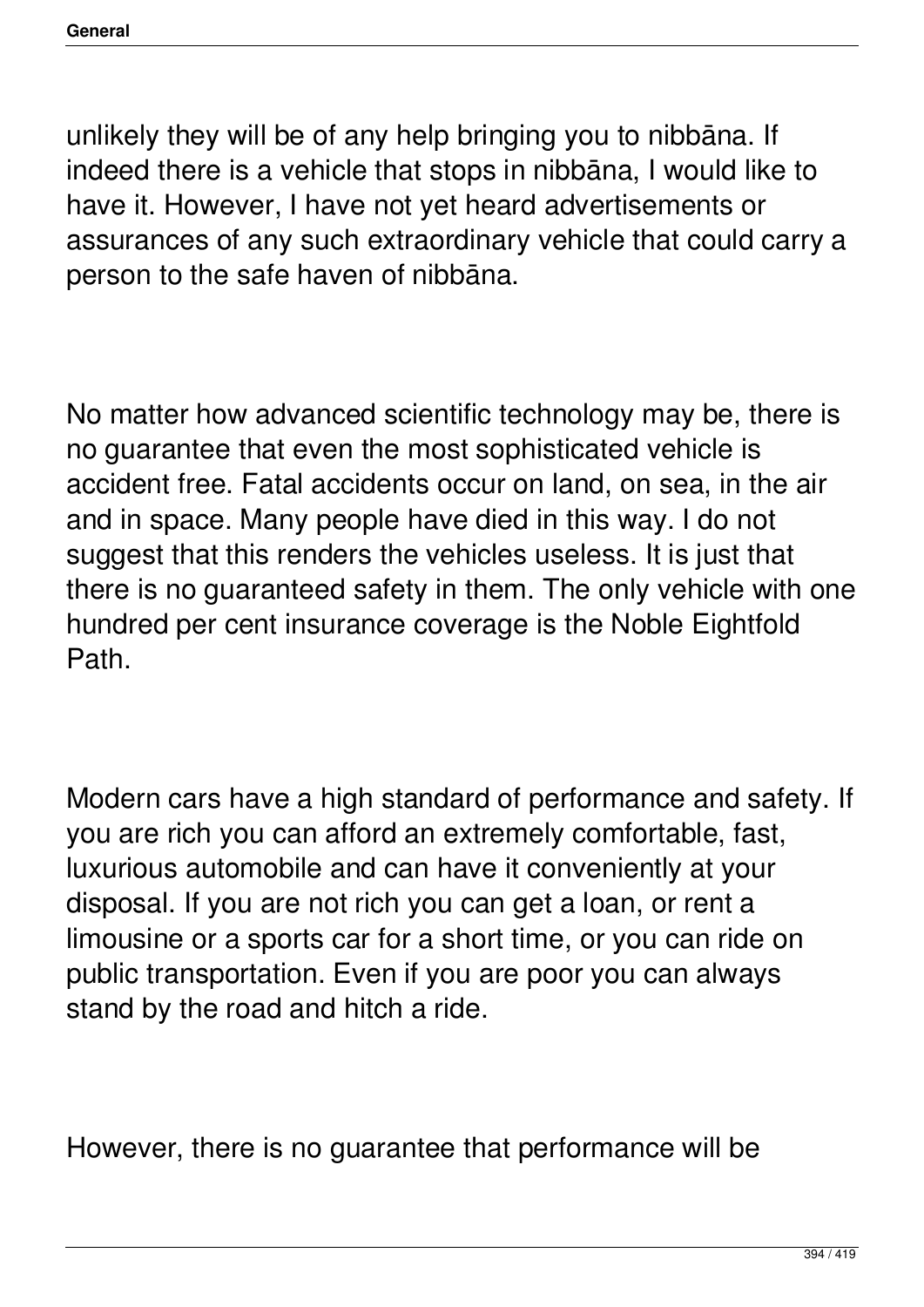unlikely they will be of any help bringing you to nibbāna. If indeed there is a vehicle that stops in nibbāna, I would like to have it. However, I have not yet heard advertisements or assurances of any such extraordinary vehicle that could carry a person to the safe haven of nibbāna.

No matter how advanced scientific technology may be, there is no guarantee that even the most sophisticated vehicle is accident free. Fatal accidents occur on land, on sea, in the air and in space. Many people have died in this way. I do not suggest that this renders the vehicles useless. It is just that there is no guaranteed safety in them. The only vehicle with one hundred per cent insurance coverage is the Noble Eightfold Path.

Modern cars have a high standard of performance and safety. If you are rich you can afford an extremely comfortable, fast, luxurious automobile and can have it conveniently at your disposal. If you are not rich you can get a loan, or rent a limousine or a sports car for a short time, or you can ride on public transportation. Even if you are poor you can always stand by the road and hitch a ride.

However, there is no guarantee that performance will be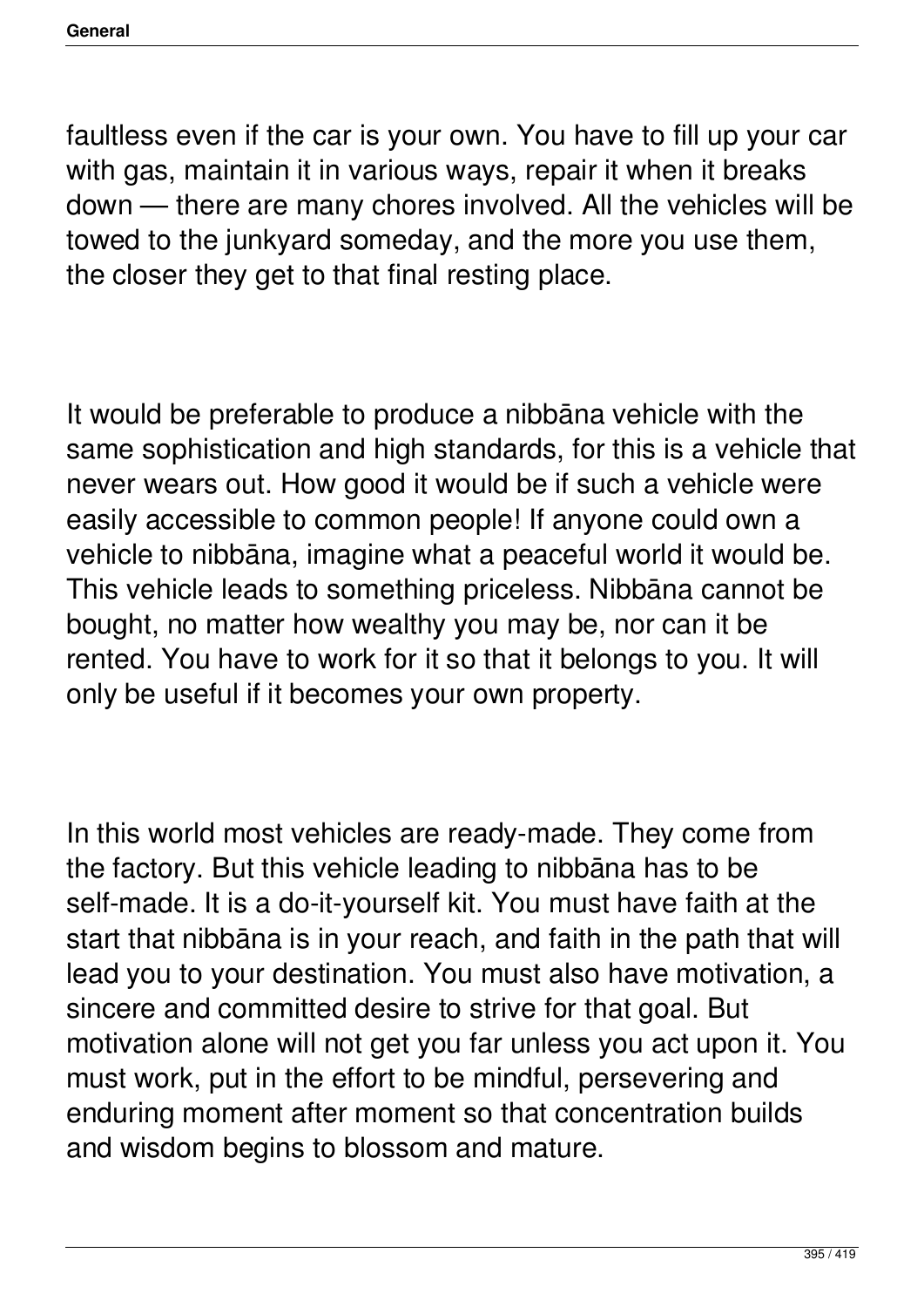faultless even if the car is your own. You have to fill up your car with gas, maintain it in various ways, repair it when it breaks down — there are many chores involved. All the vehicles will be towed to the junkyard someday, and the more you use them, the closer they get to that final resting place.

It would be preferable to produce a nibbāna vehicle with the same sophistication and high standards, for this is a vehicle that never wears out. How good it would be if such a vehicle were easily accessible to common people! If anyone could own a vehicle to nibbāna, imagine what a peaceful world it would be. This vehicle leads to something priceless. Nibbāna cannot be bought, no matter how wealthy you may be, nor can it be rented. You have to work for it so that it belongs to you. It will only be useful if it becomes your own property.

In this world most vehicles are ready-made. They come from the factory. But this vehicle leading to nibbāna has to be self-made. It is a do-it-yourself kit. You must have faith at the start that nibbāna is in your reach, and faith in the path that will lead you to your destination. You must also have motivation, a sincere and committed desire to strive for that goal. But motivation alone will not get you far unless you act upon it. You must work, put in the effort to be mindful, persevering and enduring moment after moment so that concentration builds and wisdom begins to blossom and mature.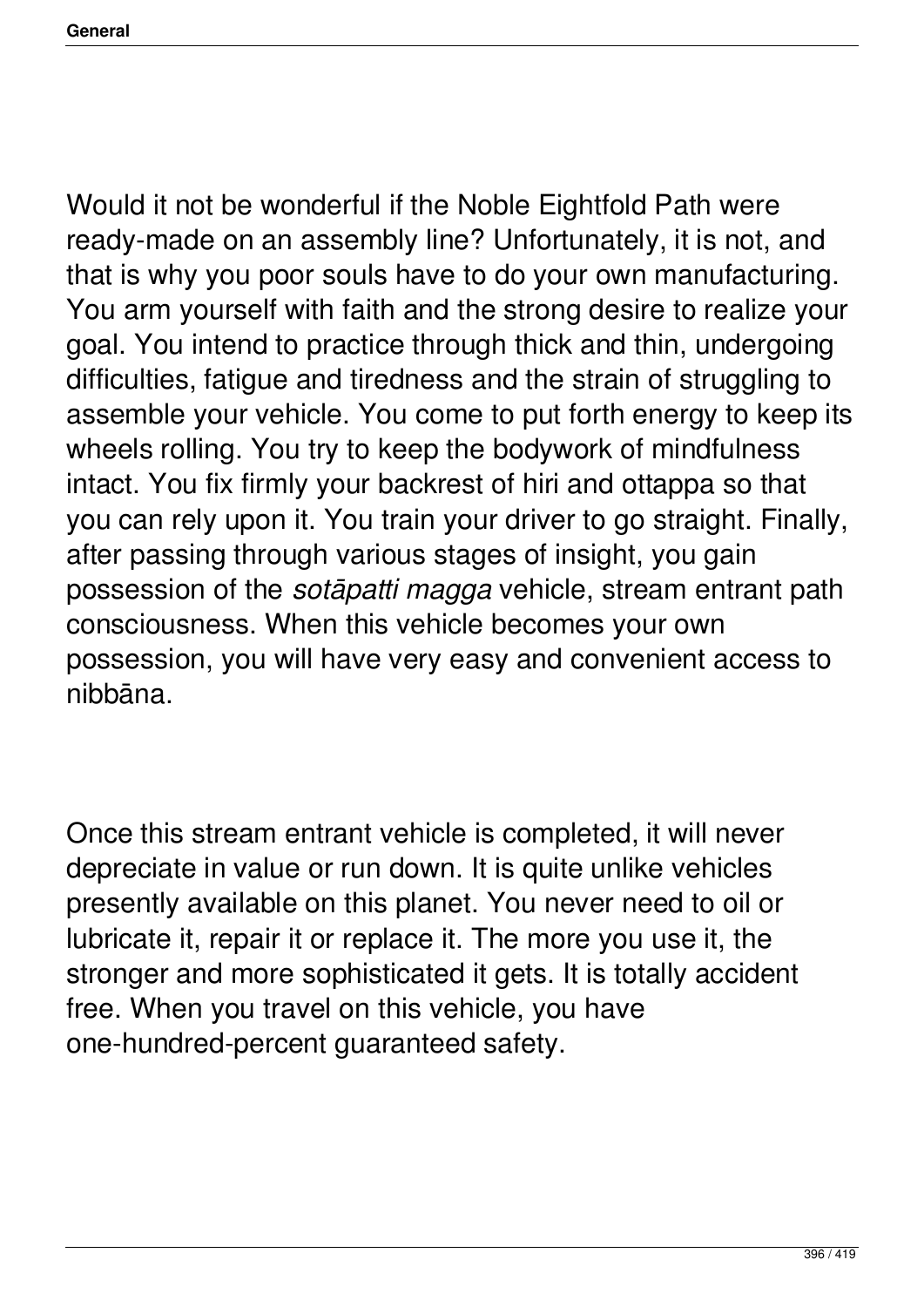Would it not be wonderful if the Noble Eightfold Path were ready-made on an assembly line? Unfortunately, it is not, and that is why you poor souls have to do your own manufacturing. You arm yourself with faith and the strong desire to realize your goal. You intend to practice through thick and thin, undergoing difficulties, fatigue and tiredness and the strain of struggling to assemble your vehicle. You come to put forth energy to keep its wheels rolling. You try to keep the bodywork of mindfulness intact. You fix firmly your backrest of hiri and ottappa so that you can rely upon it. You train your driver to go straight. Finally, after passing through various stages of insight, you gain possession of the *sotāpatti magga* vehicle, stream entrant path consciousness. When this vehicle becomes your own possession, you will have very easy and convenient access to nibbāna.

Once this stream entrant vehicle is completed, it will never depreciate in value or run down. It is quite unlike vehicles presently available on this planet. You never need to oil or lubricate it, repair it or replace it. The more you use it, the stronger and more sophisticated it gets. It is totally accident free. When you travel on this vehicle, you have one-hundred-percent guaranteed safety.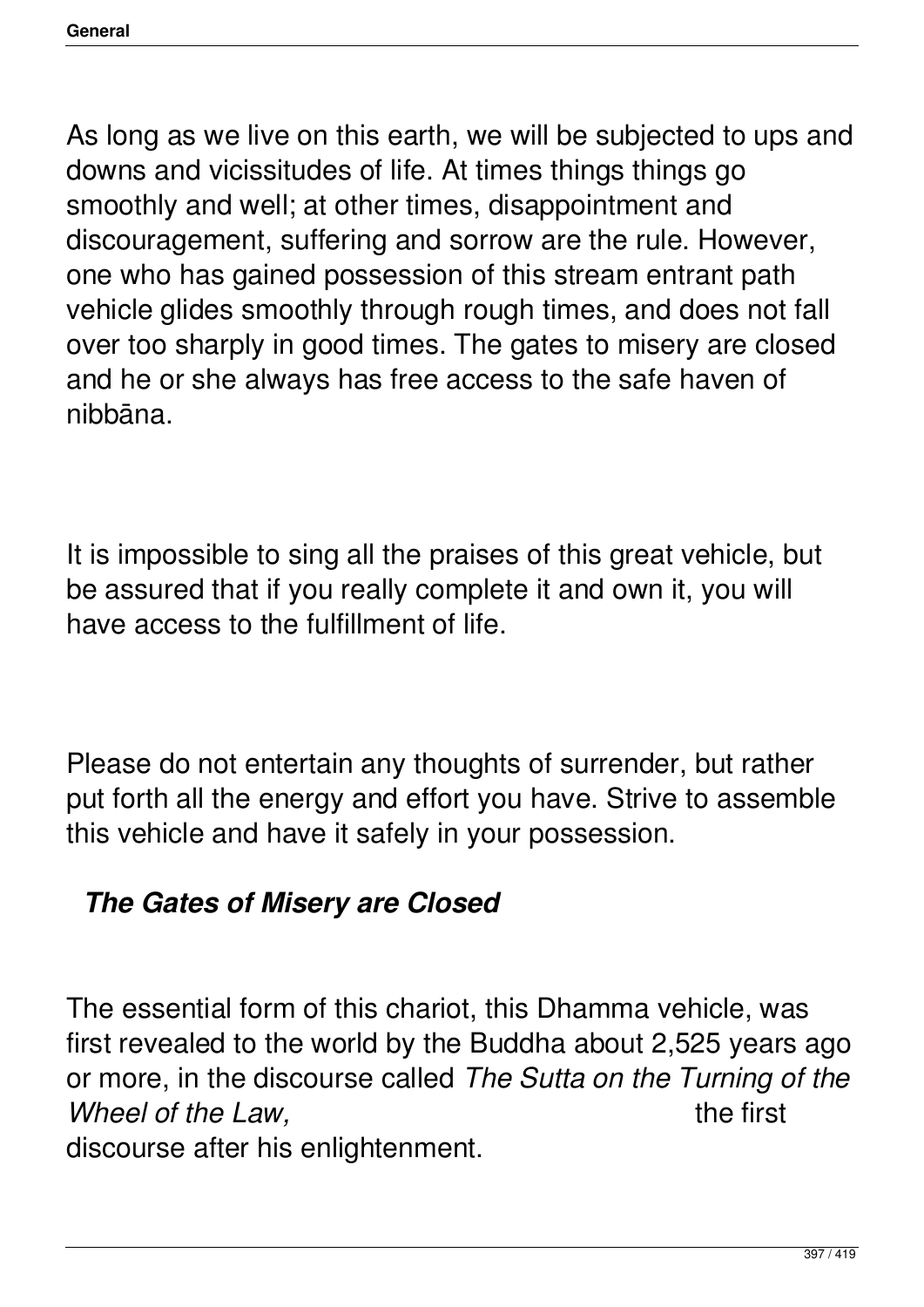As long as we live on this earth, we will be subjected to ups and downs and vicissitudes of life. At times things things go smoothly and well; at other times, disappointment and discouragement, suffering and sorrow are the rule. However, one who has gained possession of this stream entrant path vehicle glides smoothly through rough times, and does not fall over too sharply in good times. The gates to misery are closed and he or she always has free access to the safe haven of nibbāna.

It is impossible to sing all the praises of this great vehicle, but be assured that if you really complete it and own it, you will have access to the fulfillment of life.

Please do not entertain any thoughts of surrender, but rather put forth all the energy and effort you have. Strive to assemble this vehicle and have it safely in your possession.

### *The Gates of Misery are Closed*

The essential form of this chariot, this Dhamma vehicle, was first revealed to the world by the Buddha about 2,525 years ago or more, in the discourse called *The Sutta on the Turning of the Wheel of the Law.* the first

discourse after his enlightenment.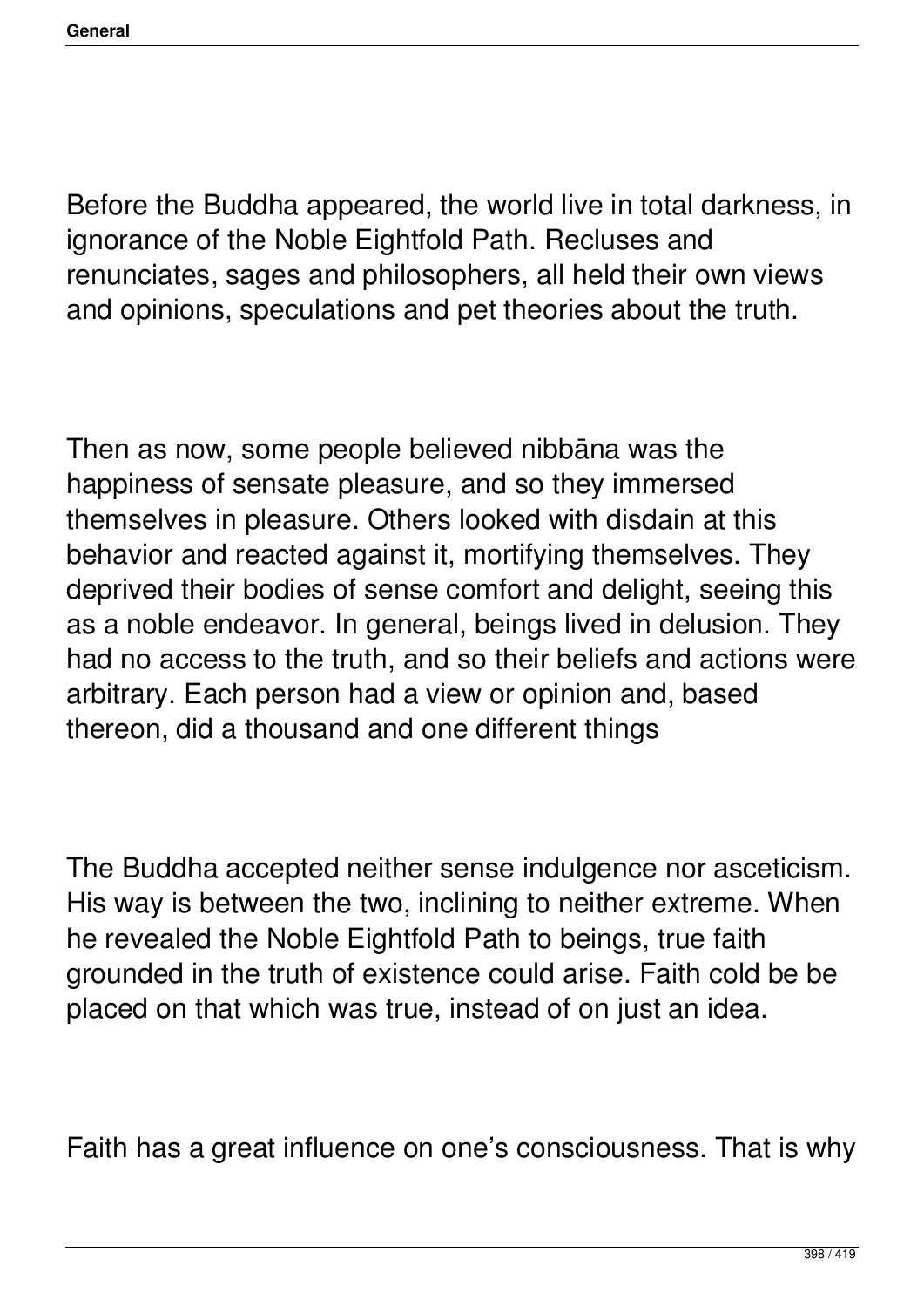Before the Buddha appeared, the world live in total darkness, in ignorance of the Noble Eightfold Path. Recluses and renunciates, sages and philosophers, all held their own views and opinions, speculations and pet theories about the truth.

Then as now, some people believed nibbāna was the happiness of sensate pleasure, and so they immersed themselves in pleasure. Others looked with disdain at this behavior and reacted against it, mortifying themselves. They deprived their bodies of sense comfort and delight, seeing this as a noble endeavor. In general, beings lived in delusion. They had no access to the truth, and so their beliefs and actions were arbitrary. Each person had a view or opinion and, based thereon, did a thousand and one different things

The Buddha accepted neither sense indulgence nor asceticism. His way is between the two, inclining to neither extreme. When he revealed the Noble Eightfold Path to beings, true faith grounded in the truth of existence could arise. Faith cold be be placed on that which was true, instead of on just an idea.

Faith has a great influence on one's consciousness. That is why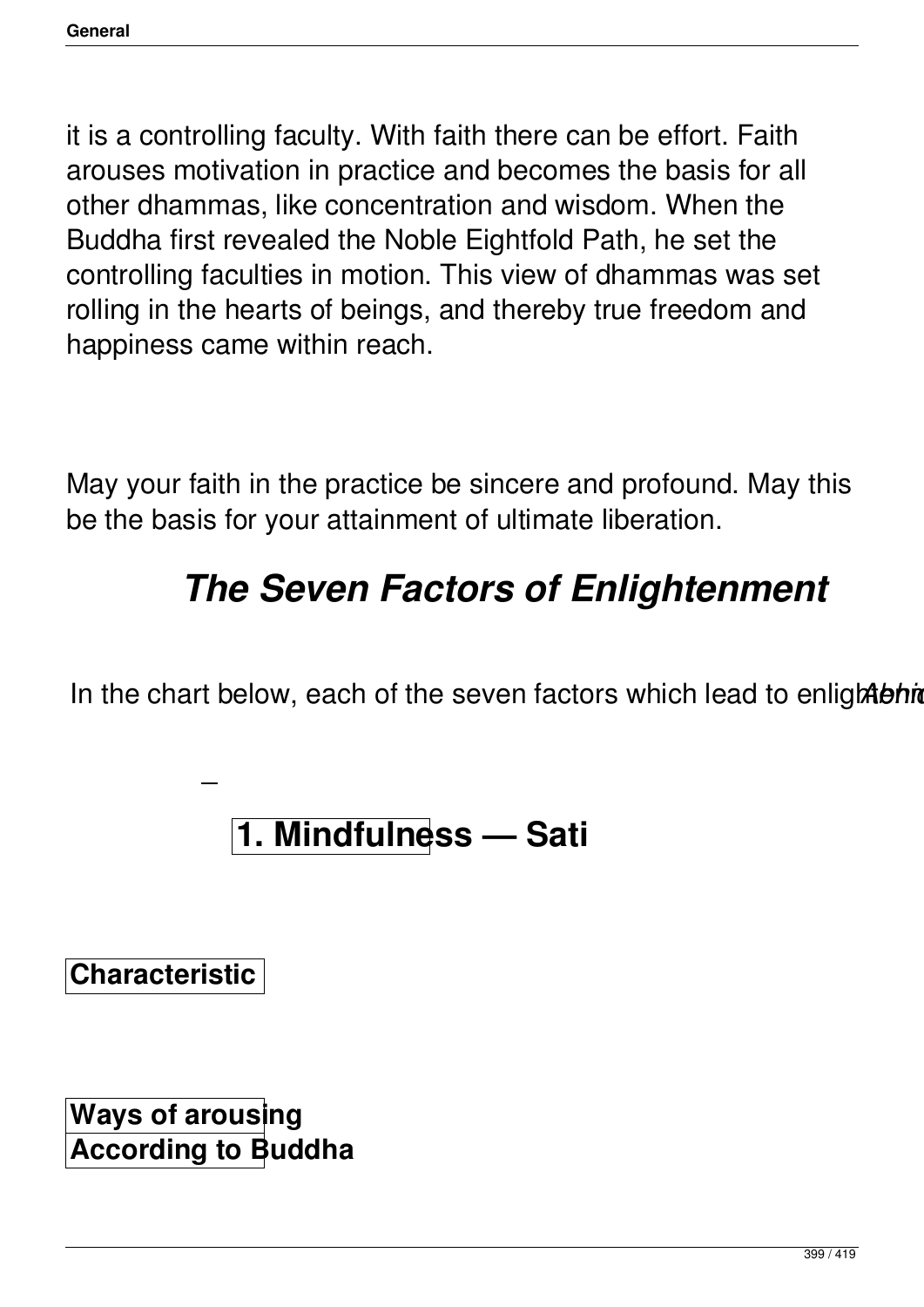it is a controlling faculty. With faith there can be effort. Faith arouses motivation in practice and becomes the basis for all other dhammas, like concentration and wisdom. When the Buddha first revealed the Noble Eightfold Path, he set the controlling faculties in motion. This view of dhammas was set rolling in the hearts of beings, and thereby true freedom and happiness came within reach.

May your faith in the practice be sincere and profound. May this be the basis for your attainment of ultimate liberation.

# *The Seven Factors of Enlightenment*

In the chart below, each of the seven factors which lead to enlightening

# **1. Mindfulness — Sati**

**Characteristic**

**Ways of arousing According to Buddha**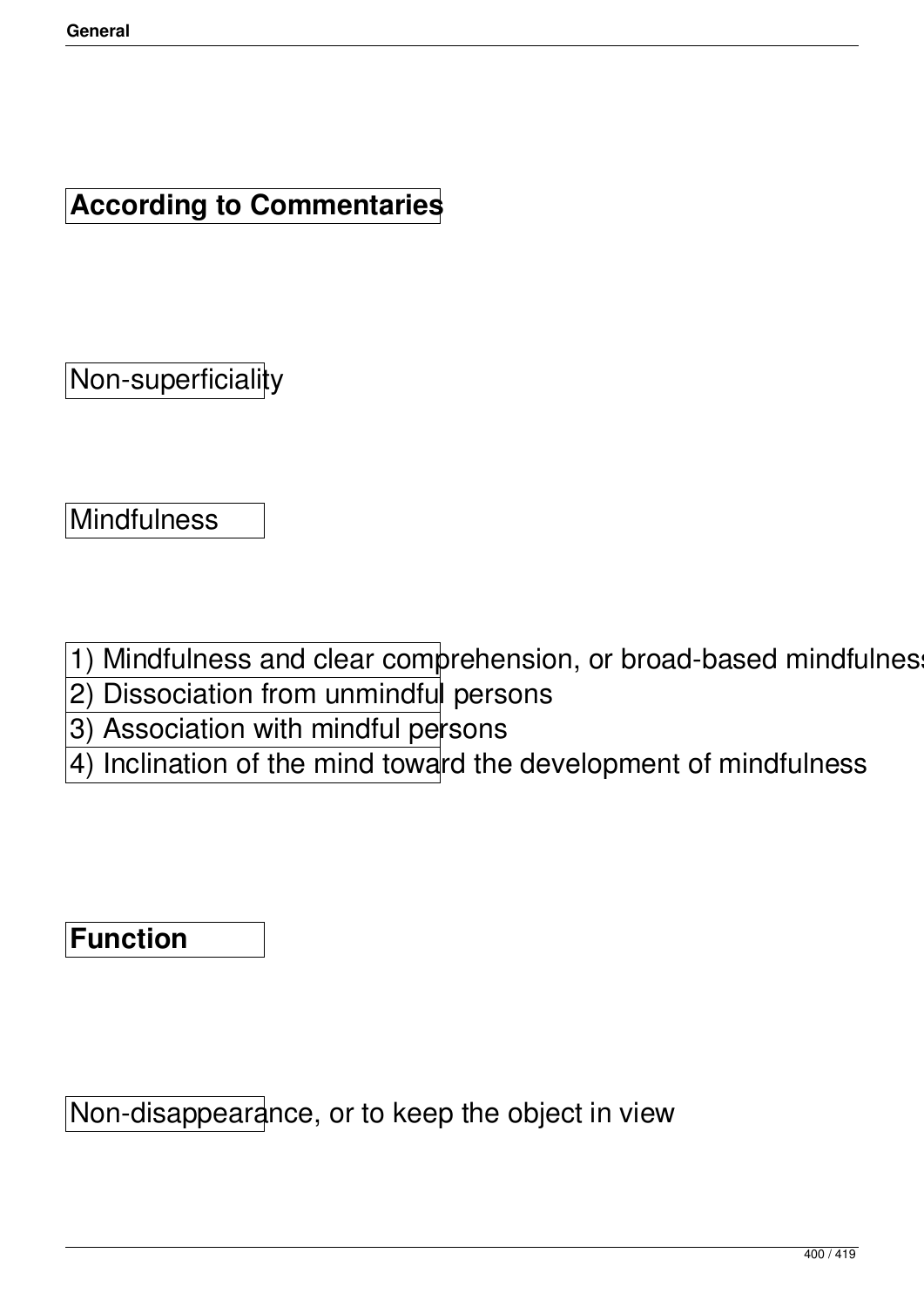## **According to Commentaries**

Non-superficiality

**Mindfulness** 

- 1) Mindfulness and clear comprehension, or broad-based mindfulnes
- 2) Dissociation from unmindful persons
- 3) Association with mindful persons
- 4) Inclination of the mind toward the development of mindfulness

**Function**

Non-disappearance, or to keep the object in view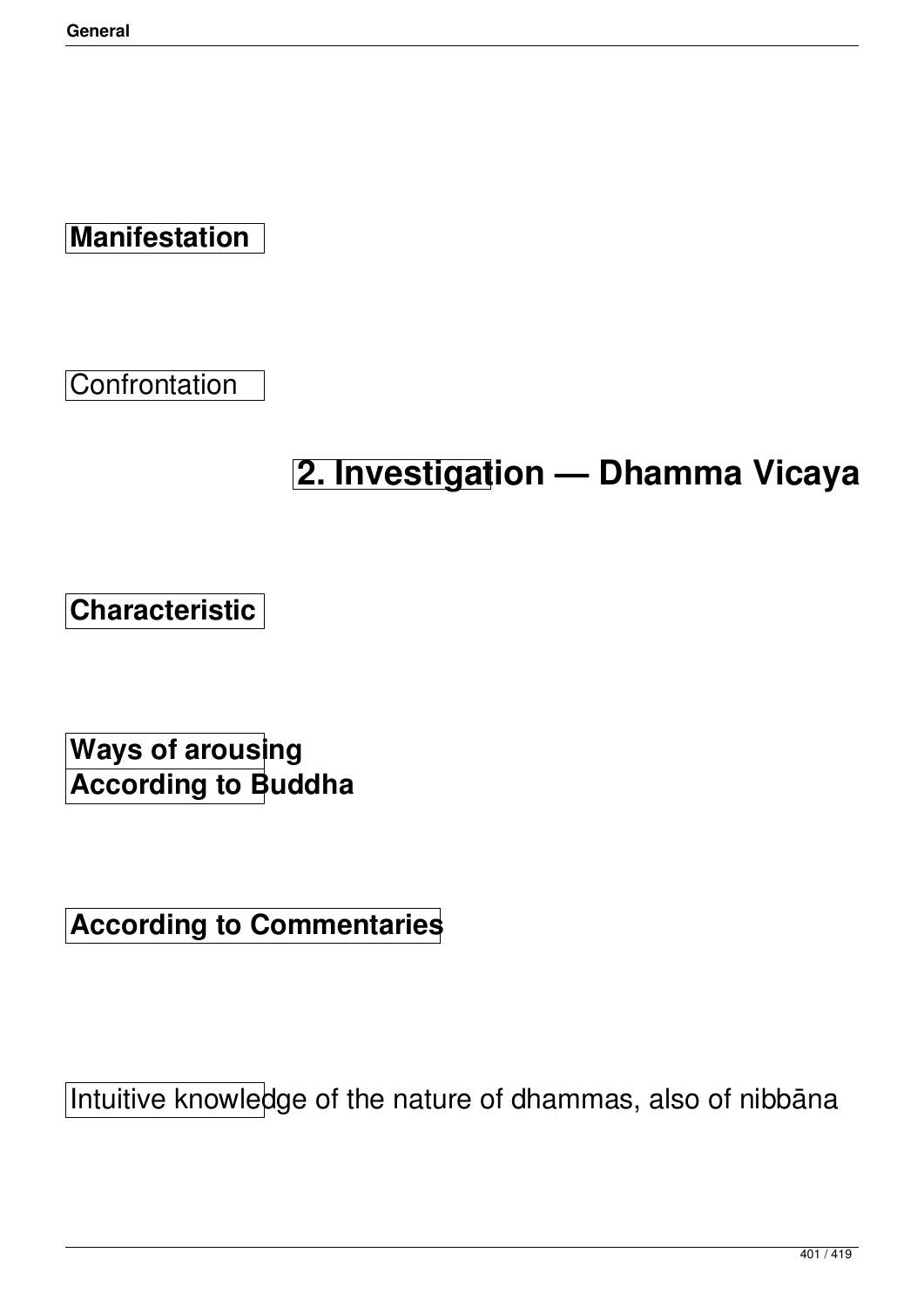### **Manifestation**

Confrontation

## **2. Investigation — Dhamma Vicaya**

**Characteristic**

**Ways of arousing According to Buddha**

**According to Commentaries**

Intuitive knowledge of the nature of dhammas, also of nibbāna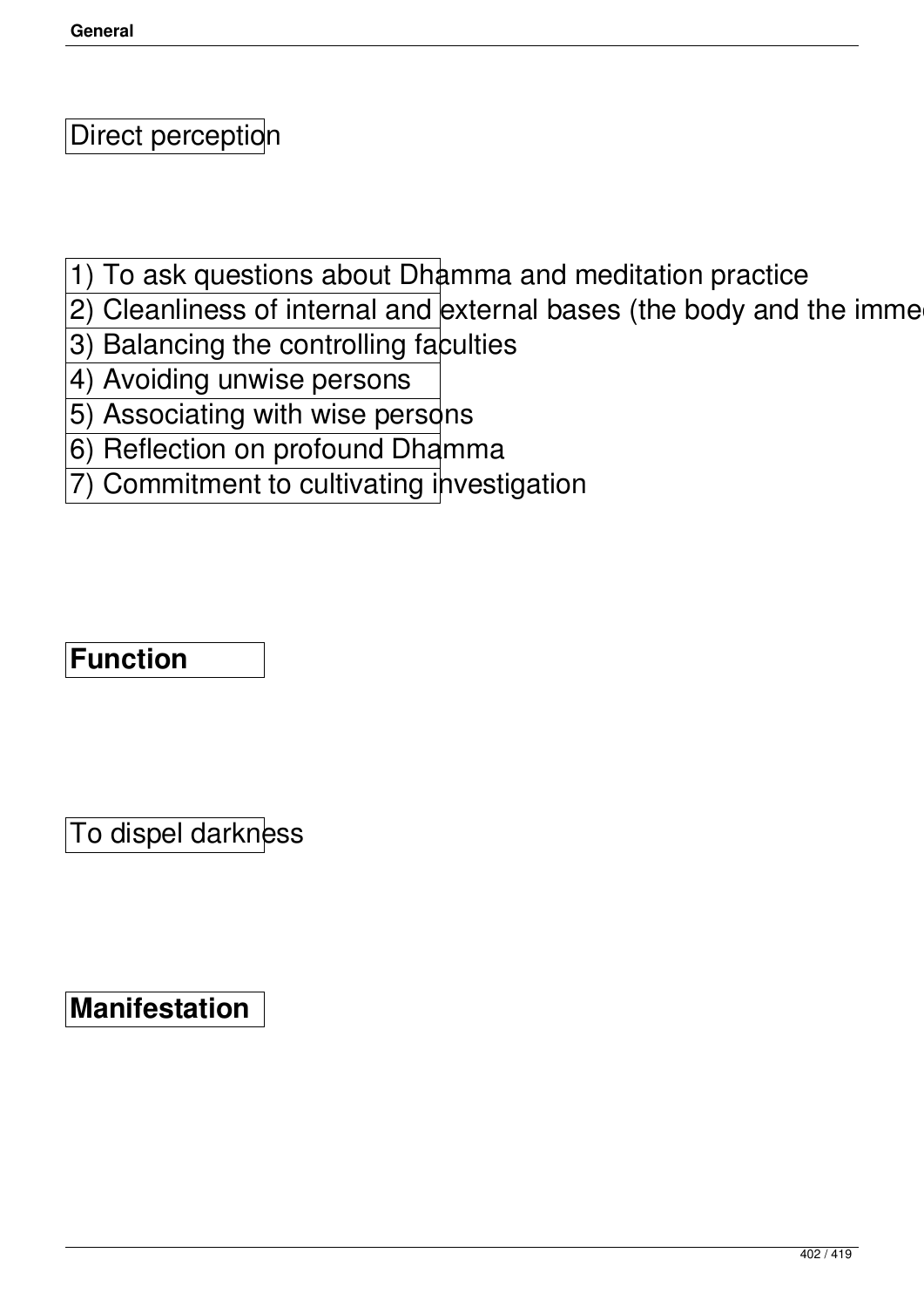### Direct perception

1) To ask questions about Dhamma and meditation practice

2) Cleanliness of internal and external bases (the body and the imme

3) Balancing the controlling faculties

4) Avoiding unwise persons

5) Associating with wise persons

6) Reflection on profound Dhamma

7) Commitment to cultivating investigation

#### **Function**

To dispel darkness

**Manifestation**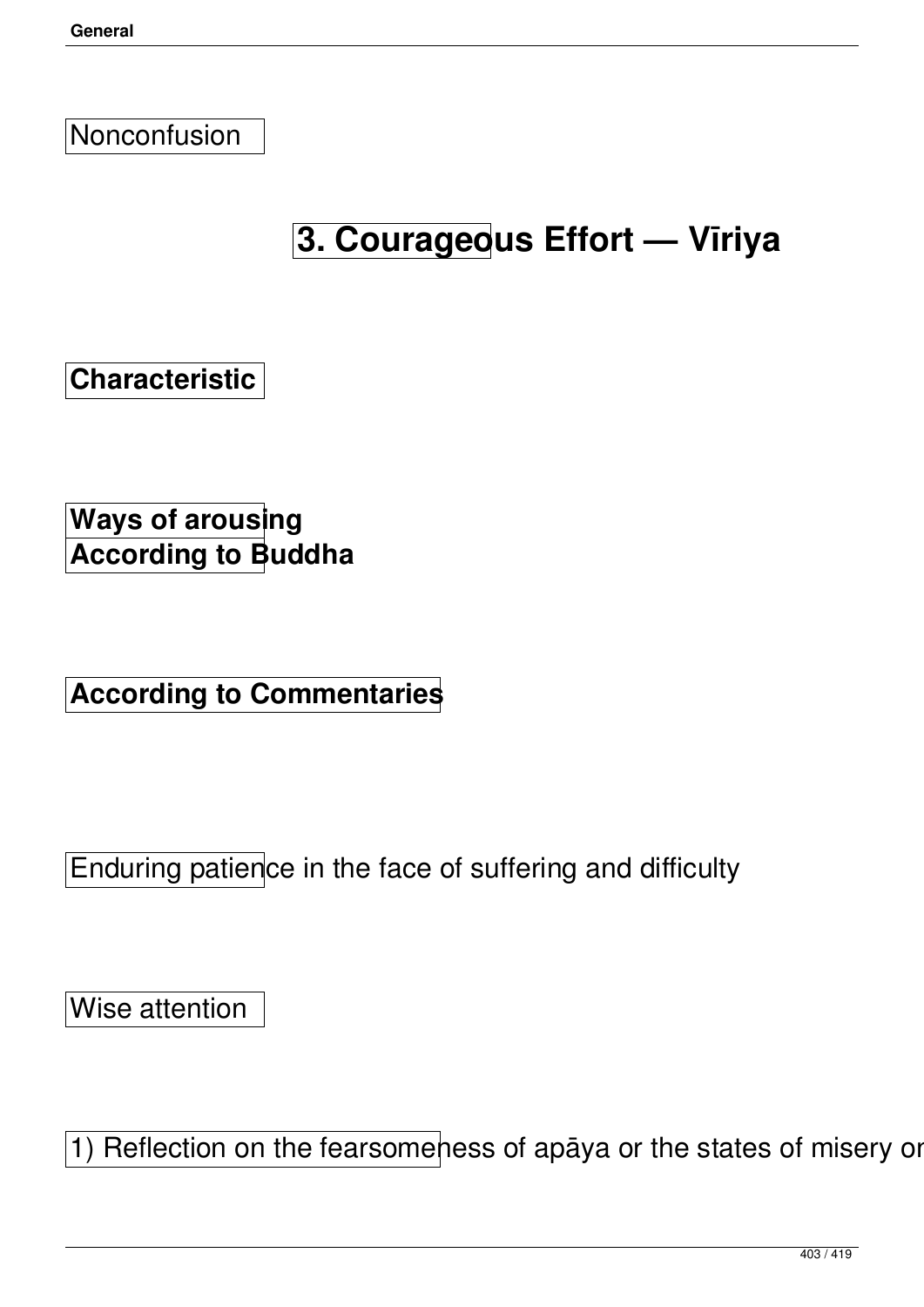**Nonconfusion** 

# **3. Courageous Effort — Vīriya**

**Characteristic**

**Ways of arousing According to Buddha**

**According to Commentaries**

Enduring patience in the face of suffering and difficulty

Wise attention

1) Reflection on the fearsomeness of apāya or the states of misery or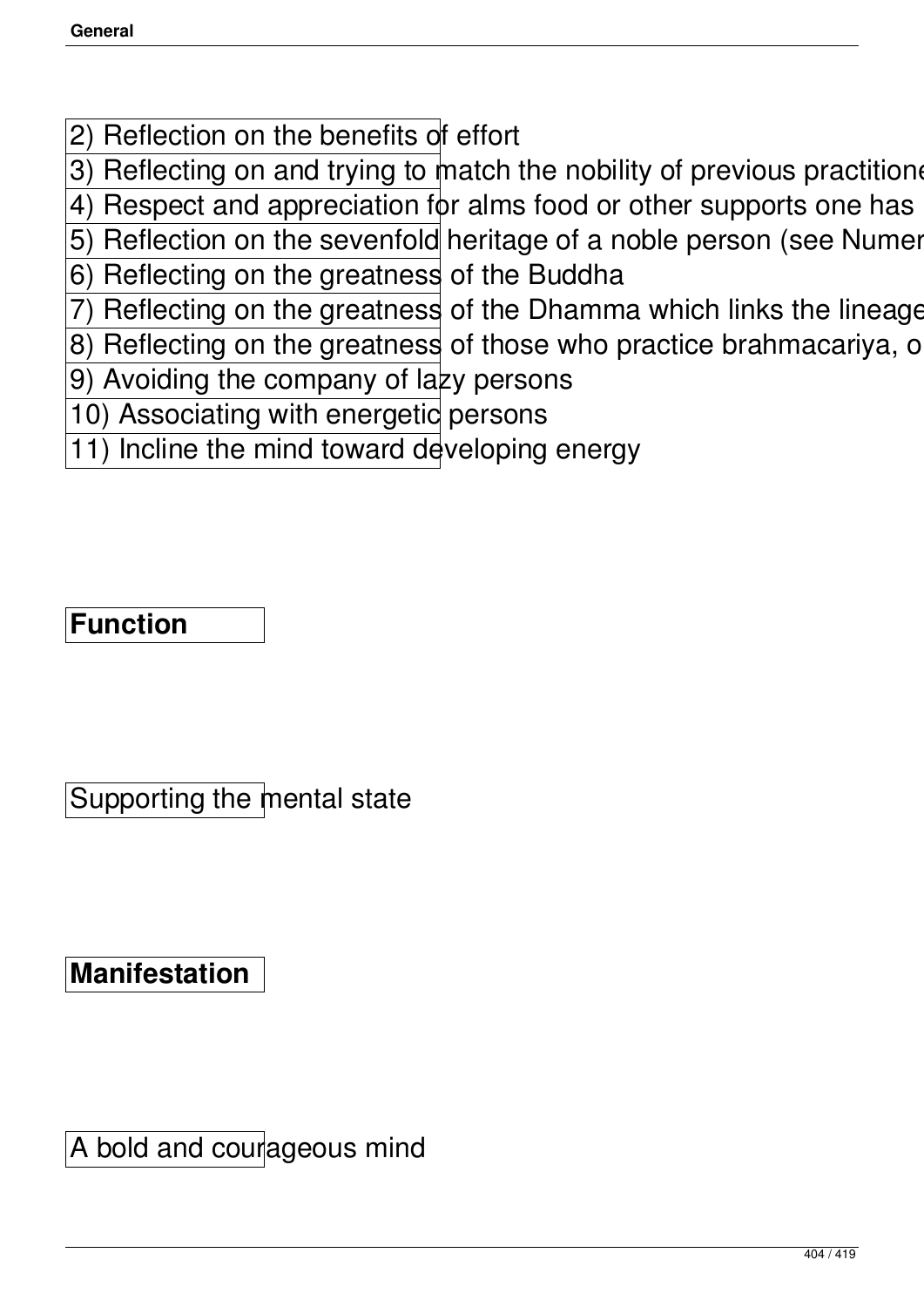- 2) Reflection on the benefits of effort
- 3) Reflecting on and trying to match the nobility of previous practitione

4) Respect and appreciation for alms food or other supports one has

5) Reflection on the sevenfold heritage of a noble person (see Numer

6) Reflecting on the greatness of the Buddha

7) Reflecting on the greatness of the Dhamma which links the lineage

8) Reflecting on the greatness of those who practice brahmacariya, or

9) Avoiding the company of lazy persons

10) Associating with energetic persons

11) Incline the mind toward developing energy

### **Function**

Supporting the mental state

**Manifestation**

A bold and courageous mind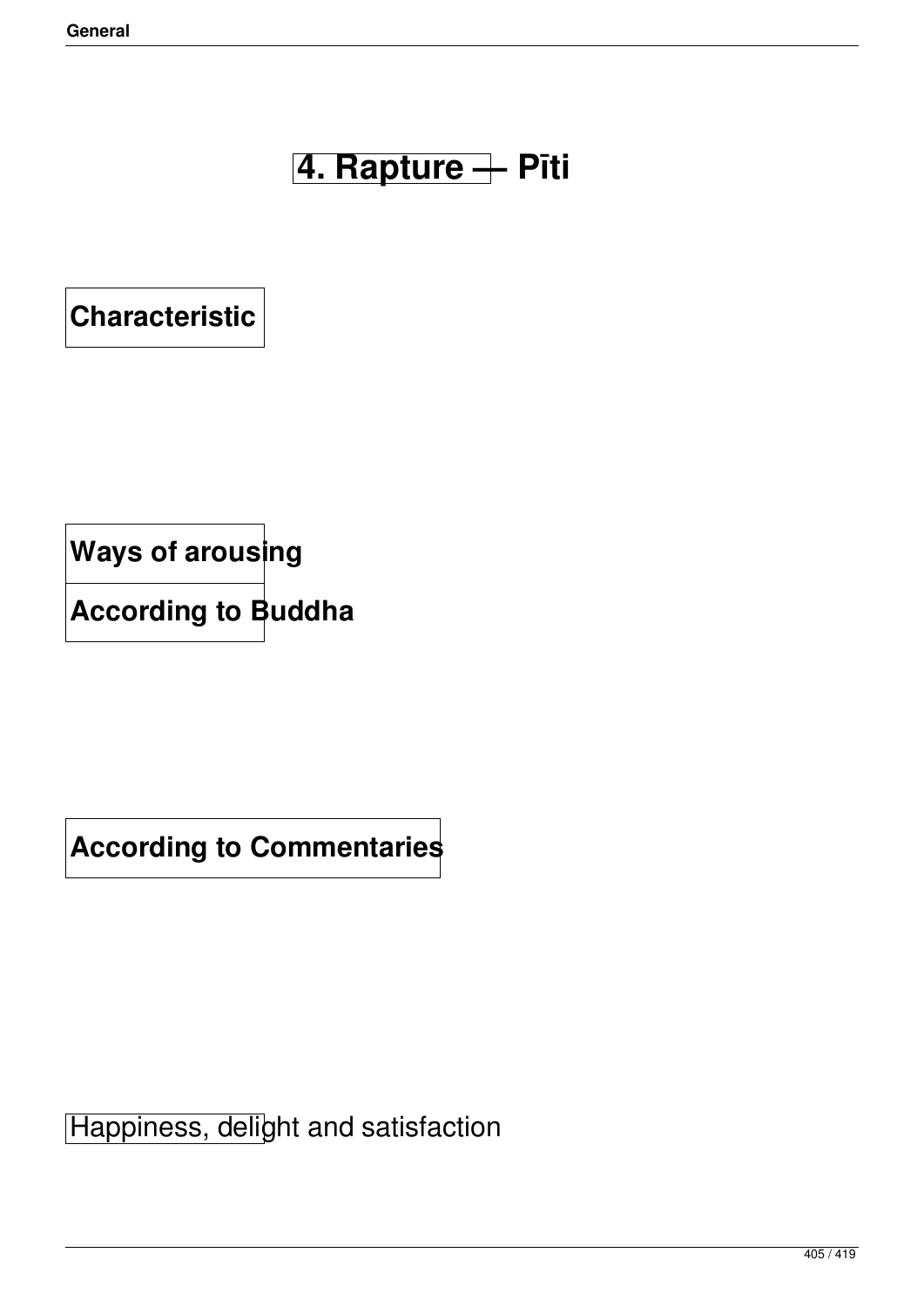# **4. Rapture — Pīti**

**Characteristic**

**Ways of arousing According to Buddha**

**According to Commentaries**

Happiness, delight and satisfaction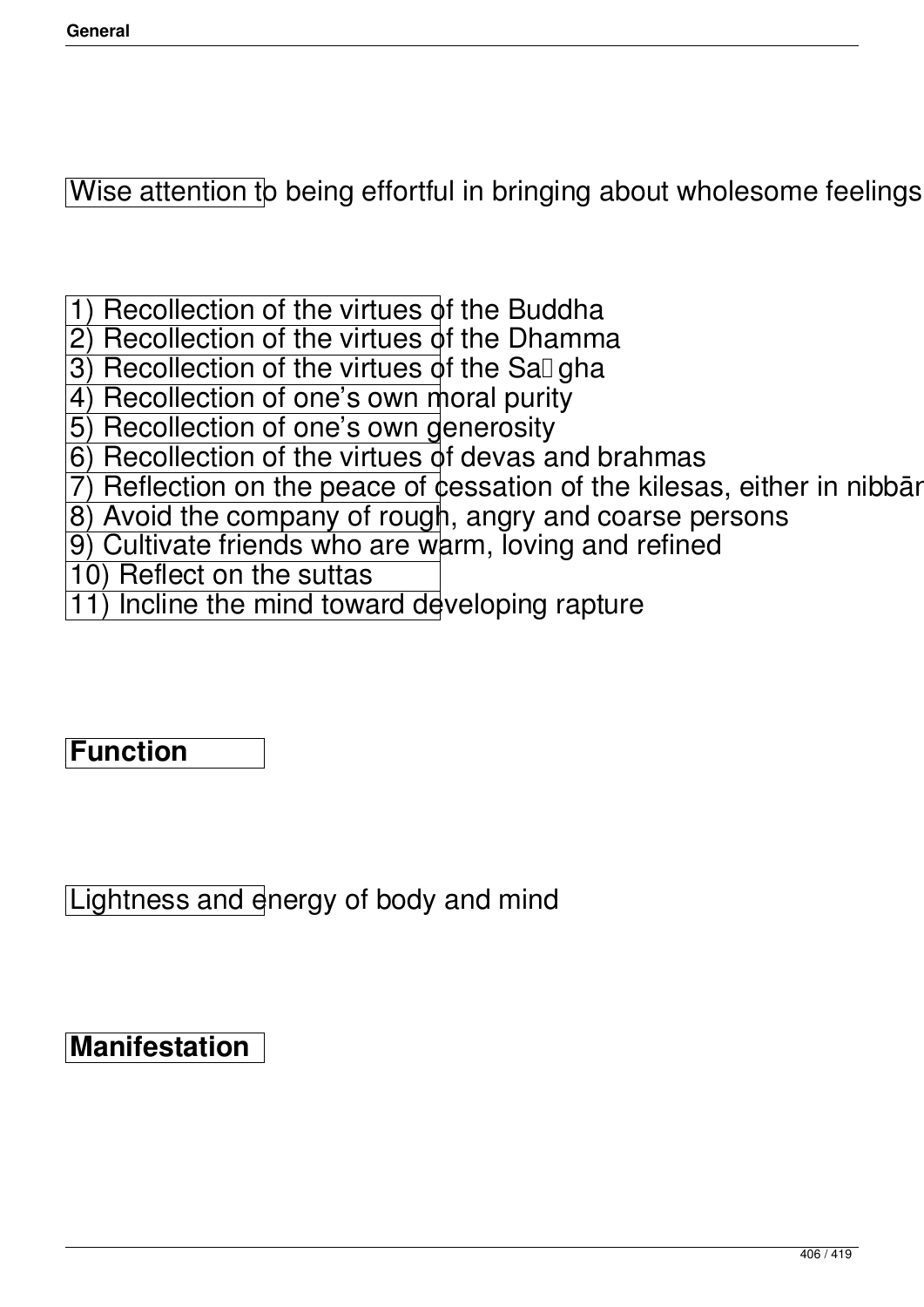Wise attention to being effortful in bringing about wholesome feelings

1) Recollection of the virtues of the Buddha

2) Recollection of the virtues of the Dhamma

3) Recollection of the virtues of the Sa□gha

4) Recollection of one's own moral purity

5) Recollection of one's own generosity

6) Recollection of the virtues of devas and brahmas

7) Reflection on the peace of cessation of the kilesas, either in nibbār

8) Avoid the company of rough, angry and coarse persons

9) Cultivate friends who are warm, loving and refined

10) Reflect on the suttas

11) Incline the mind toward developing rapture

**Function**

Lightness and energy of body and mind

**Manifestation**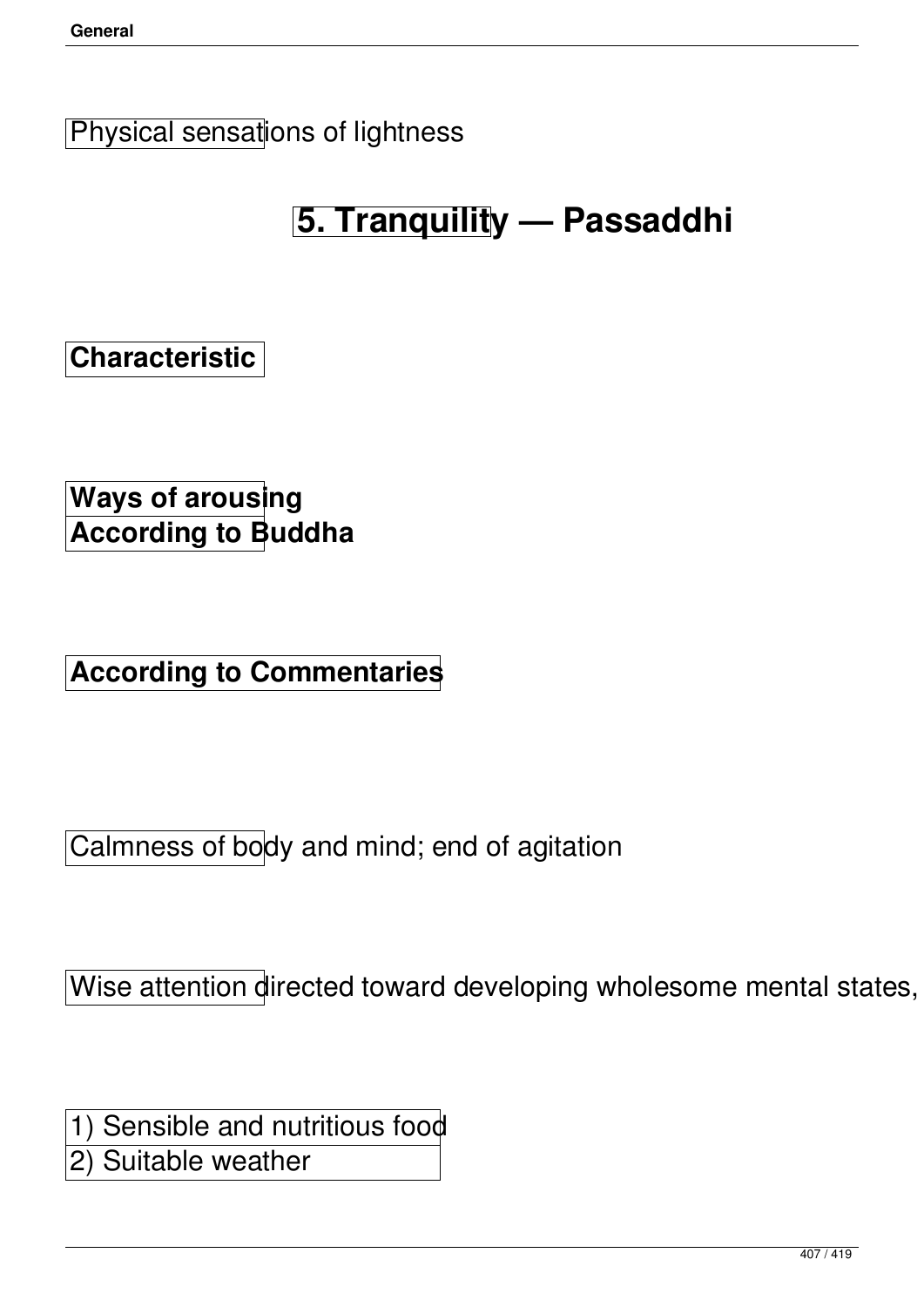Physical sensations of lightness

# **5. Tranquility — Passaddhi**

**Characteristic**

**Ways of arousing According to Buddha**

## **According to Commentaries**

Calmness of body and mind; end of agitation

Wise attention directed toward developing wholesome mental states,

1) Sensible and nutritious food 2) Suitable weather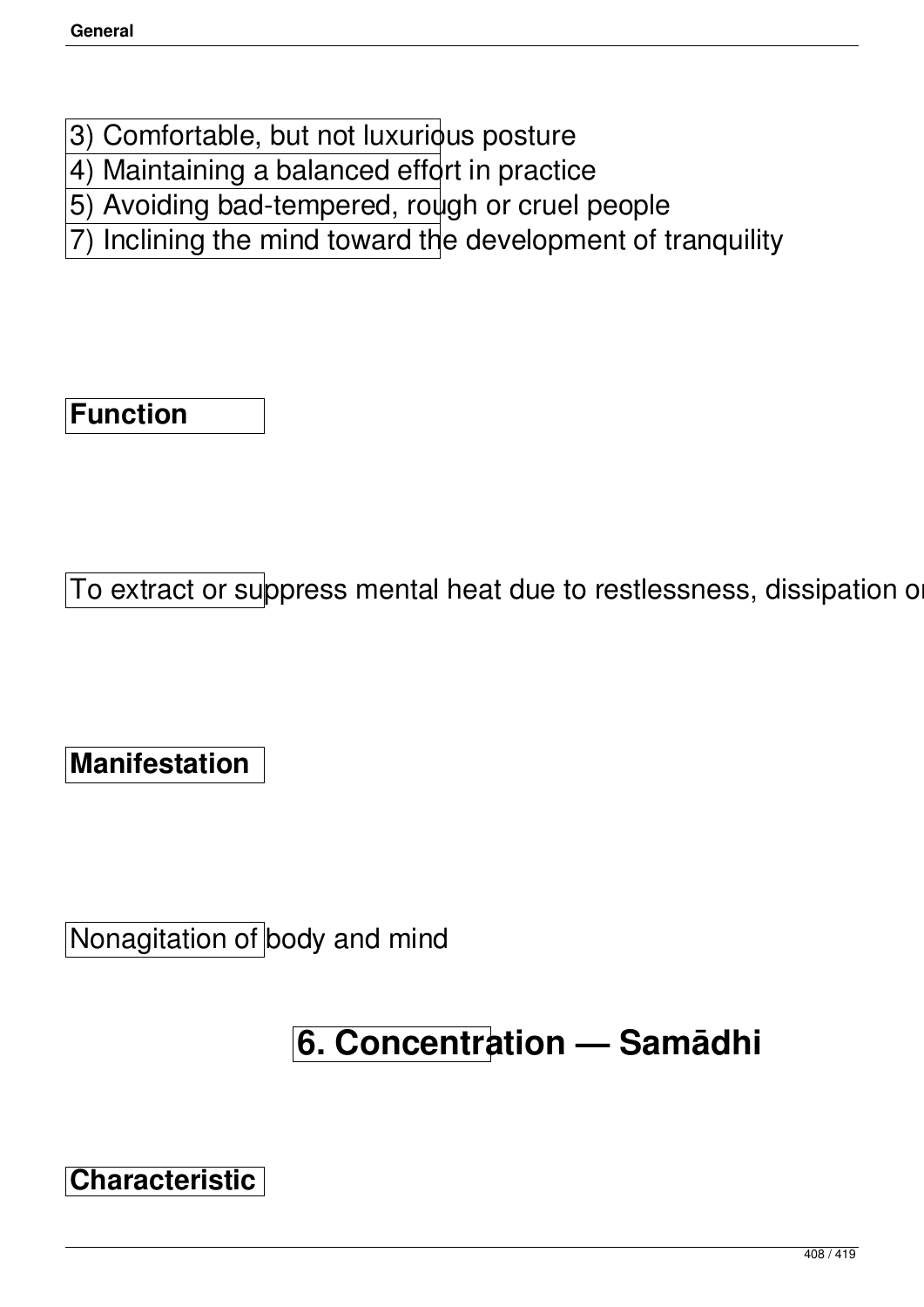3) Comfortable, but not luxurious posture

4) Maintaining a balanced effort in practice

5) Avoiding bad-tempered, rough or cruel people

7) Inclining the mind toward the development of tranquility

### **Function**

To extract or suppress mental heat due to restlessness, dissipation or

## **Manifestation**

Nonagitation of body and mind

# **6. Concentration — Samādhi**

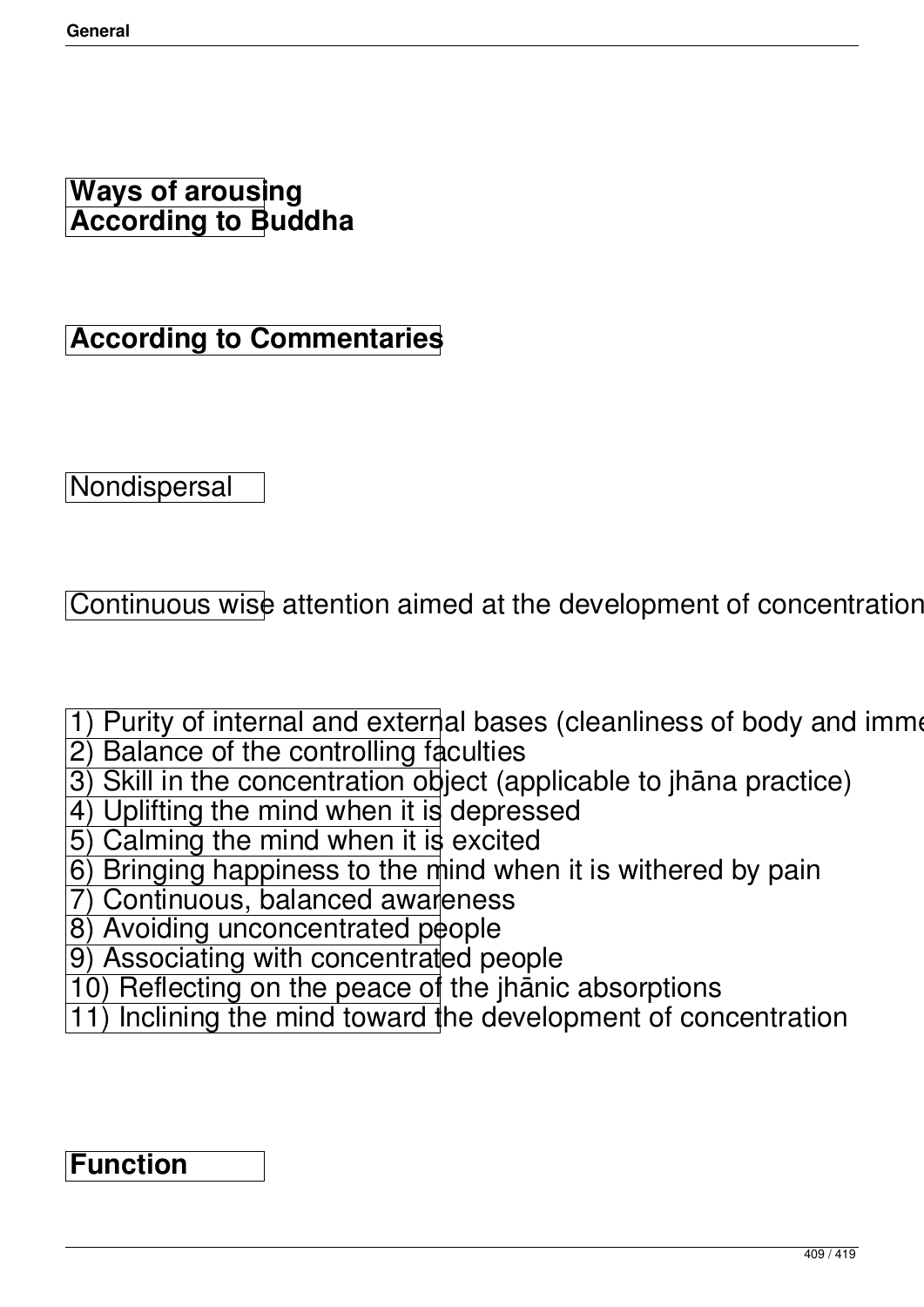#### **Ways of arousing According to Buddha**

**According to Commentaries**

**Nondispersal** 

Continuous wise attention aimed at the development of concentration

- 1) Purity of internal and external bases (cleanliness of body and imme
- 2) Balance of the controlling faculties
- 3) Skill in the concentration object (applicable to jhāna practice)
- 4) Uplifting the mind when it is depressed
- 5) Calming the mind when it is excited
- 6) Bringing happiness to the mind when it is withered by pain<br>7) Continuous, balanced awareness
- Continuous, balanced awareness
- 8) Avoiding unconcentrated people
- 9) Associating with concentrated people
- 10) Reflecting on the peace of the jhānic absorptions
- 11) Inclining the mind toward the development of concentration

#### **Function**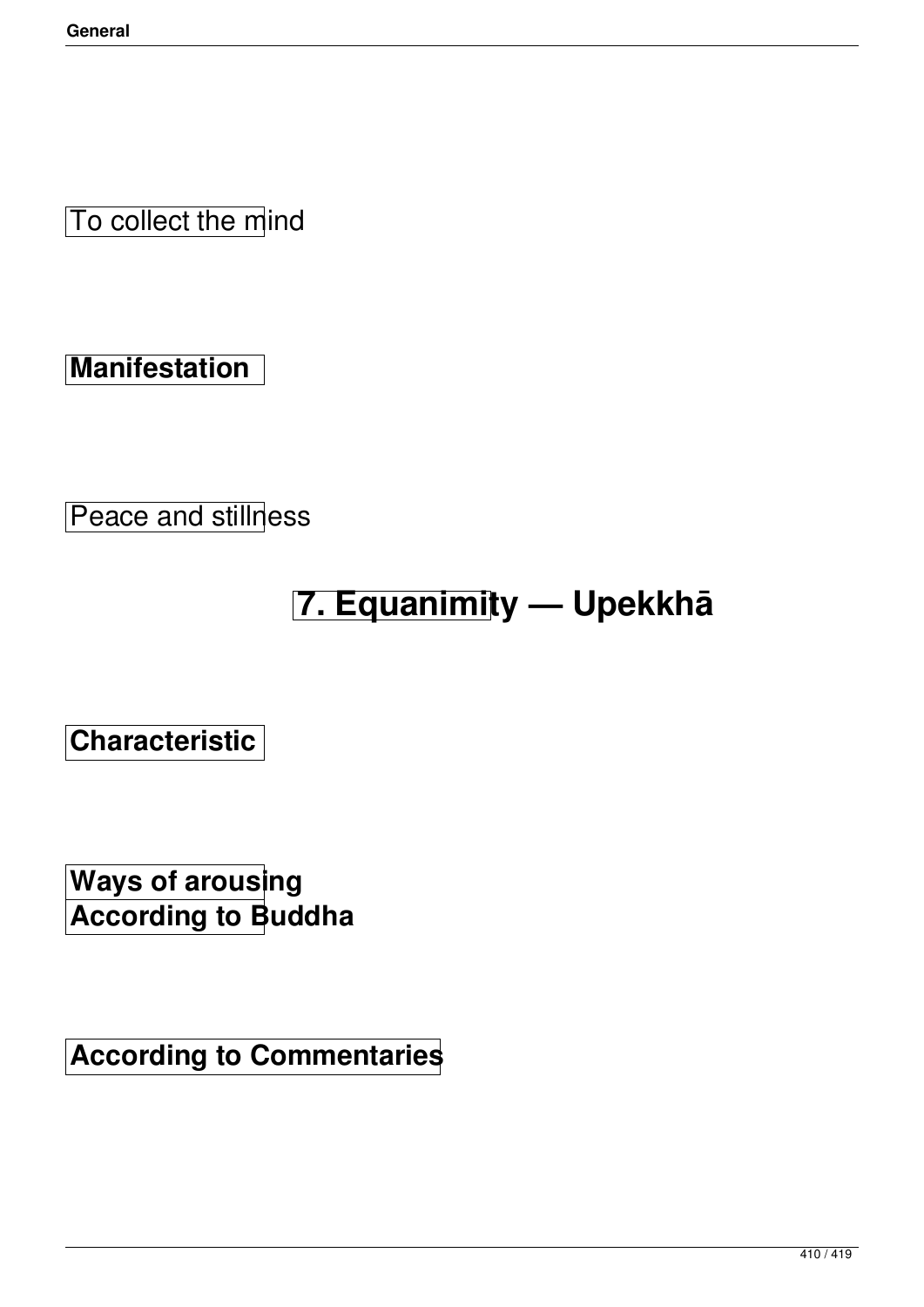To collect the mind

**Manifestation**

Peace and stillness

# **7. Equanimity — Upekkhā**

**Characteristic**

**Ways of arousing According to Buddha**

**According to Commentaries**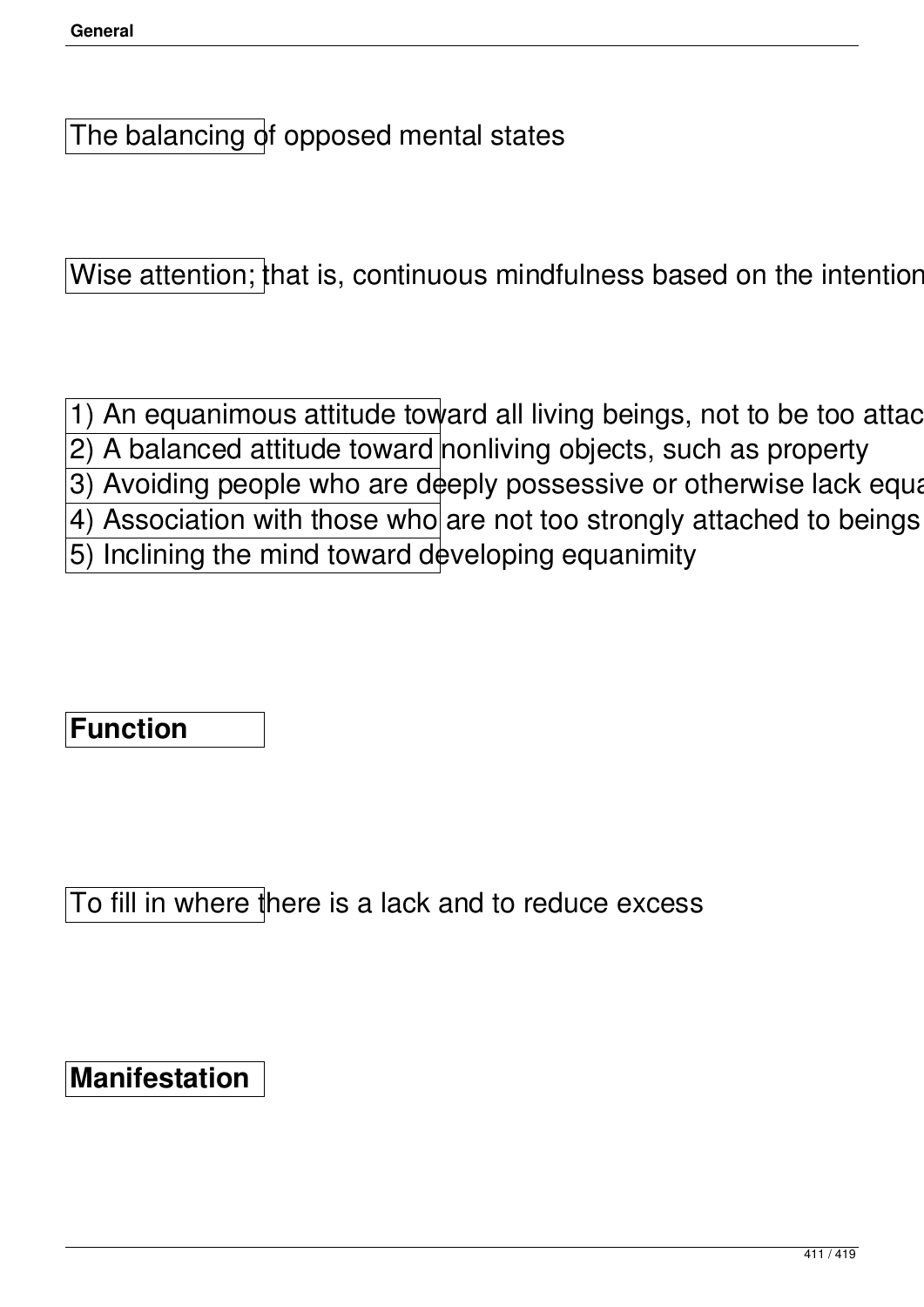The balancing of opposed mental states

Wise attention; that is, continuous mindfulness based on the intention

1) An equanimous attitude toward all living beings, not to be too attach 2) A balanced attitude toward nonliving objects, such as property 3) Avoiding people who are deeply possessive or otherwise lack equa 4) Association with those who are not too strongly attached to beings 5) Inclining the mind toward developing equanimity

#### **Function**

To fill in where there is a lack and to reduce excess

**Manifestation**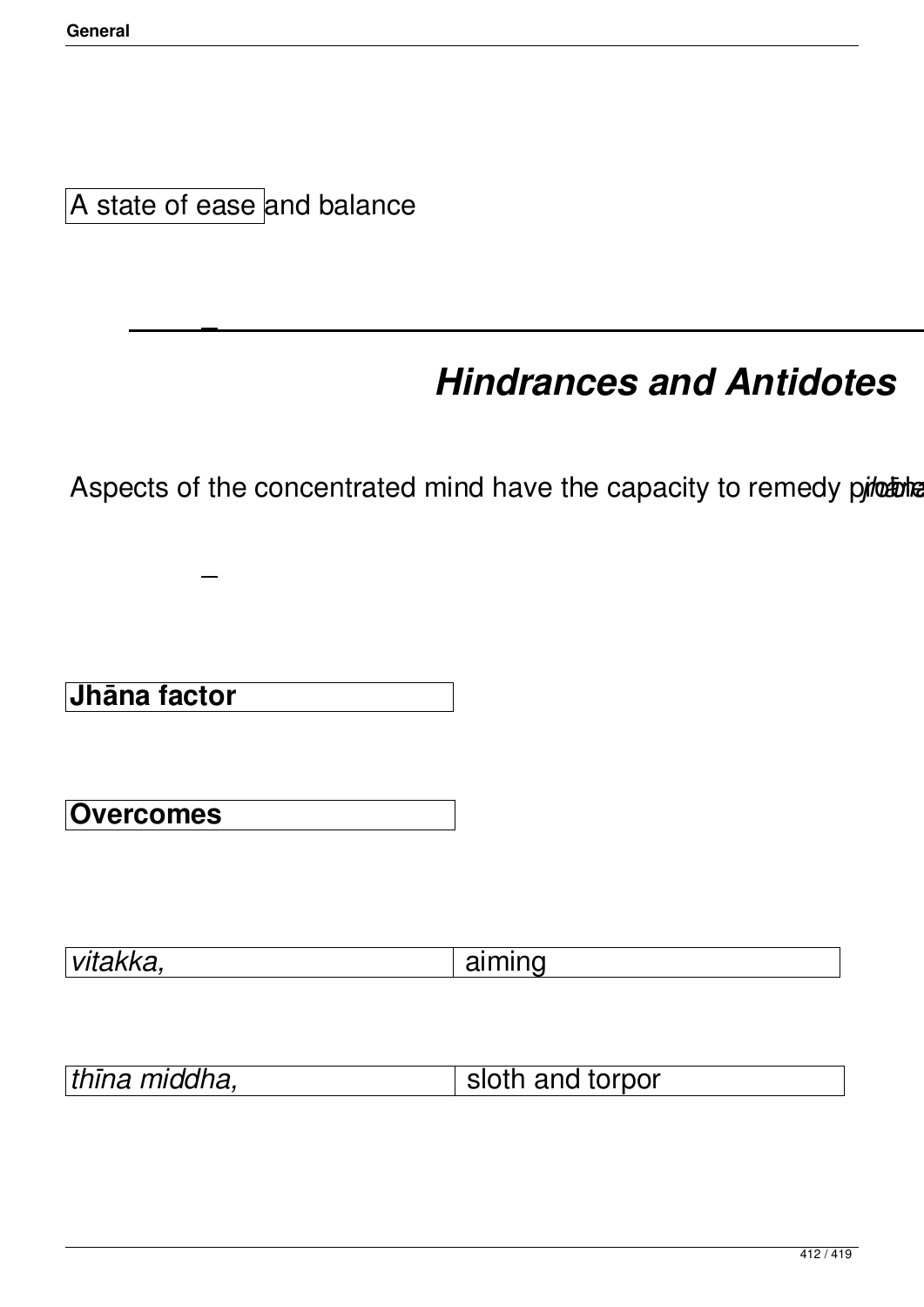A state of ease and balance

# *Hindrances and Antidotes*

Aspects of the concentrated mind have the capacity to remedy pirating

**Jhāna factor**

**Overcomes**

| いけっレレっ<br>v<br>uanna. | A:AA:AA |
|-----------------------|---------|
|-----------------------|---------|

| thina middha,<br>sloth and torpor |
|-----------------------------------|
|-----------------------------------|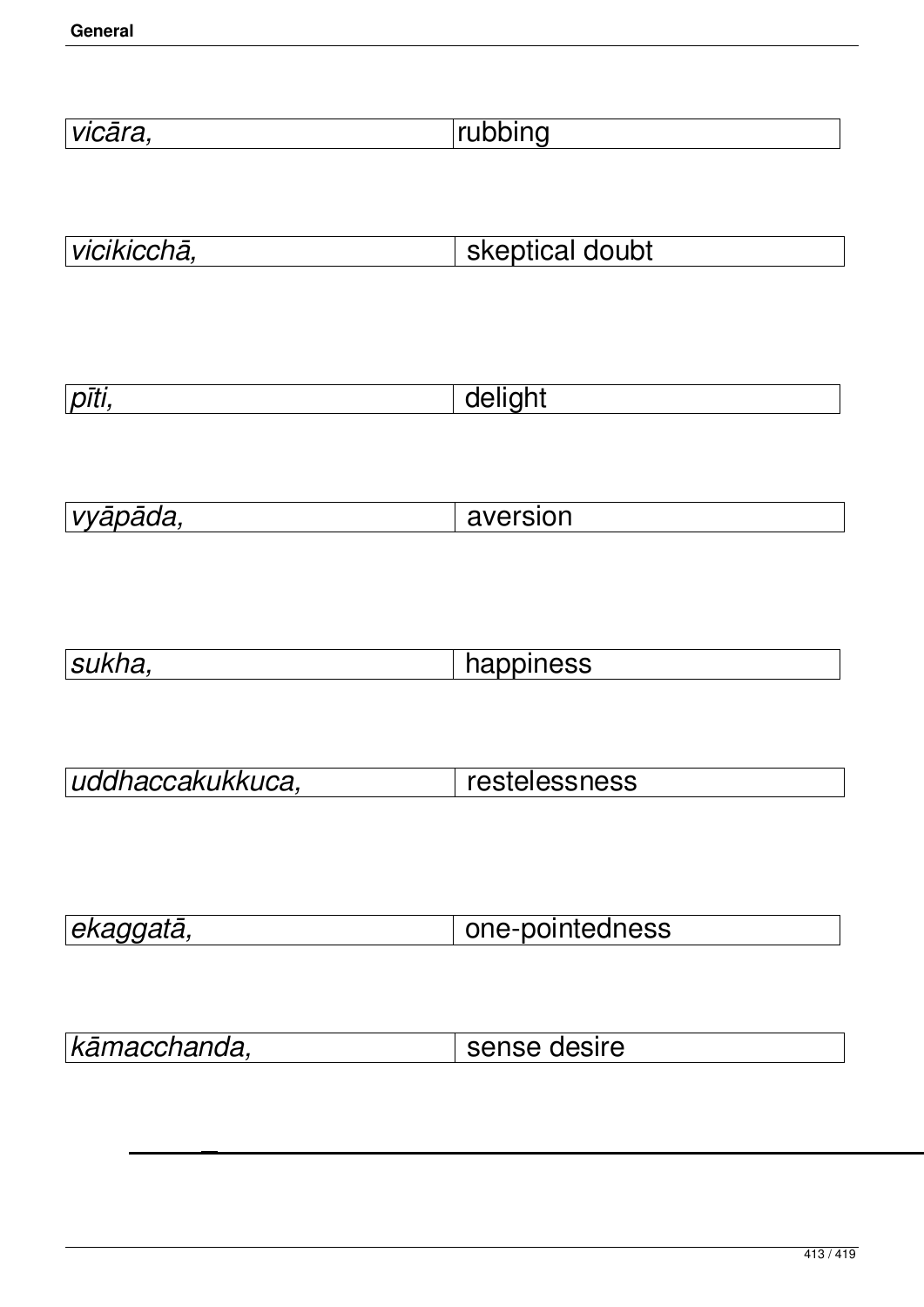| vicāra,             | rubbing         |
|---------------------|-----------------|
|                     |                 |
| vicikicchā,         | skeptical doubt |
|                     |                 |
|                     |                 |
| $\overline{p}$ īti, | delight         |
|                     |                 |
| vyāpāda,            | aversion        |
|                     |                 |
|                     |                 |
| sukha,              | happiness       |
|                     |                 |
| uddhaccakukkuca,    | restelessness   |
|                     |                 |
|                     |                 |
| ekaggatā,           | one-pointedness |
|                     |                 |
|                     |                 |
| kāmacchanda,        | sense desire    |
|                     |                 |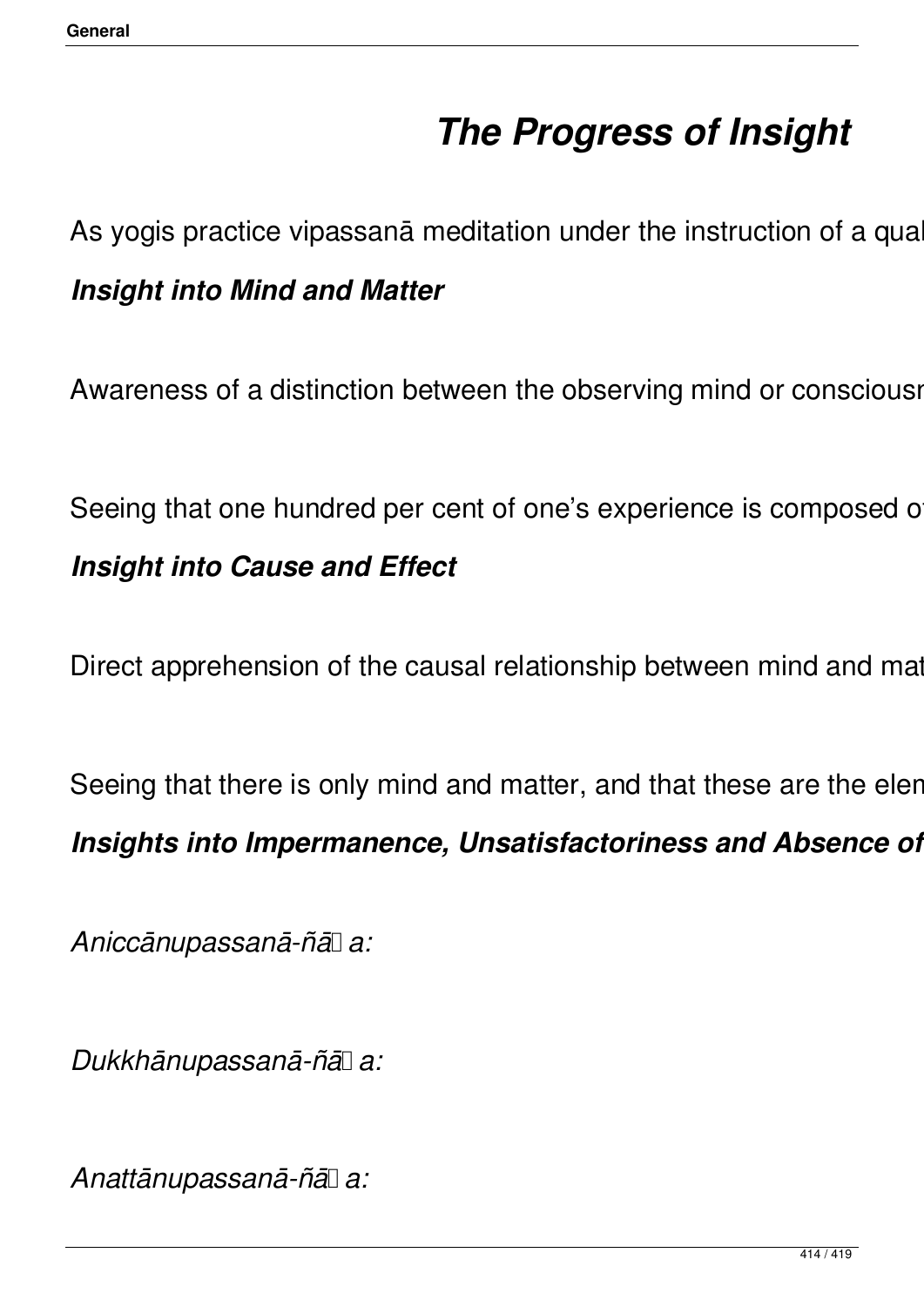# *The Progress of Insight*

As yogis practice vipassanā meditation under the instruction of a qual *Insight into Mind and Matter*

Awareness of a distinction between the observing mind or consciousnes

Seeing that one hundred per cent of one's experience is composed o *Insight into Cause and Effect*

Direct apprehension of the causal relationship between mind and mat

Seeing that there is only mind and matter, and that these are the elen **Insights into Impermanence, Unsatisfactoriness and Absence of** 

Aniccānupassanā-ñā□ a: *Seeing of inescapable vanishing of objects of and consciousness. Removes the wrong view o* 

*Dukkhānupassanā-ñāṇa:* Observing the breakup of objects, especially painful sensations, one understands the unsatisfactoriness, the oppressiveness of impermanence. Realization that there is no refuge within objects and that impermanence is frightful and undesirable. Removes the false view that enduring satisfaction can be attained with the realm of impermanence.

Anattānupassanā-ñā⊡ a: anatomismo anatomismo anatomismo anatomismo anatomismo anatomismo anatomismo anatomismo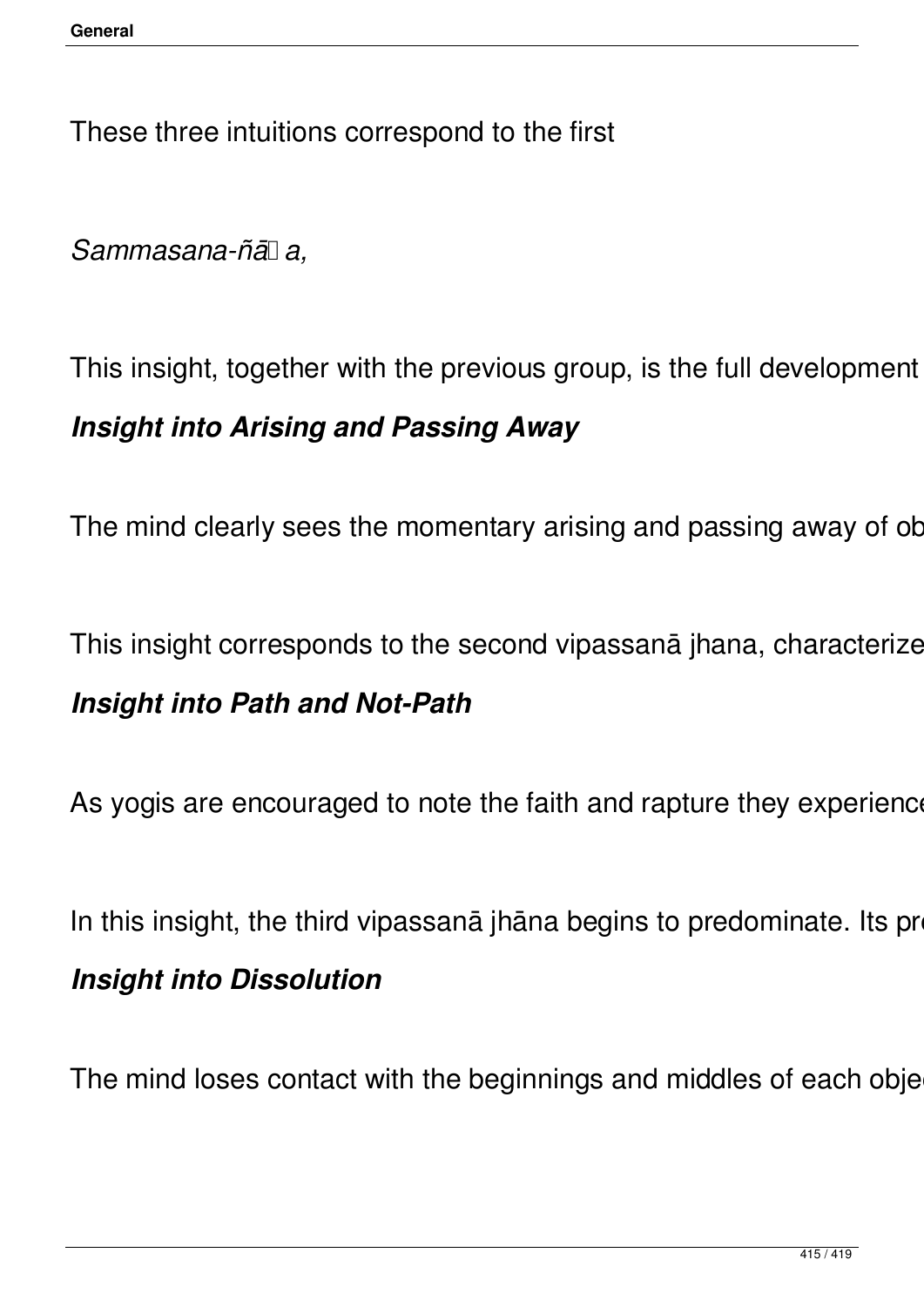These three intuitions correspond to the first

 $Sammasana-ñāna, verified knowledge by comprehension: The three marks of seen convictions and absence of seen conviction that the Dhamma is true as one feels a conviction that the Dhamma is true as one has heard it. The Dhamma$ 

# This insight, together with the previous group, is the full development *Insight into Arising and Passing Away*

The mind clearly sees the momentary arising and passing away of ob

This insight corresponds to the second vipassanā jhana, characterize

#### *Insight into Path and Not-Path*

As yogis are encouraged to note the faith and rapture they experience

In this insight, the third vipassanā jhāna begins to predominate. Its pr *Insight into Dissolution*

The mind loses contact with the beginnings and middles of each obje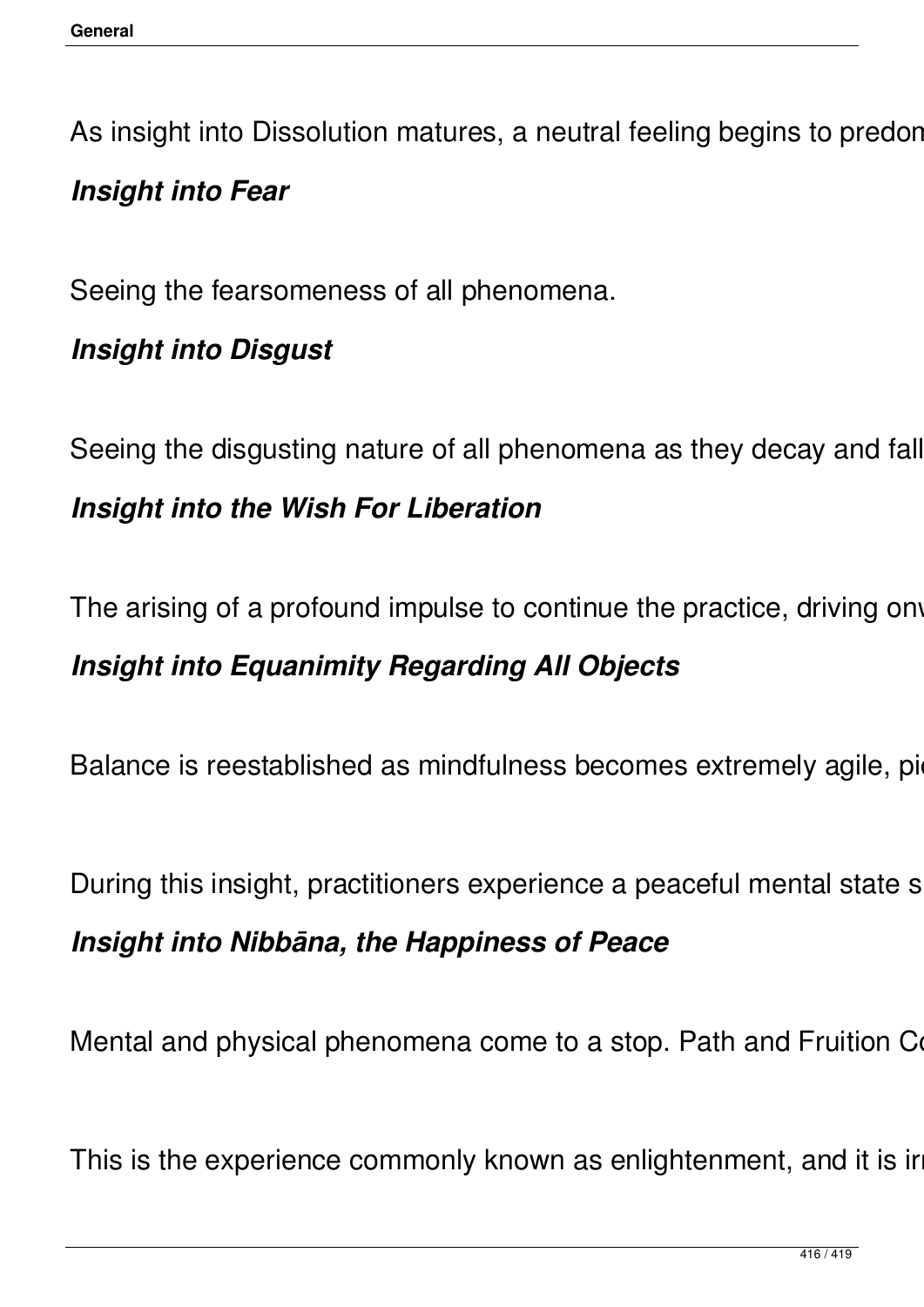As insight into Dissolution matures, a neutral feeling begins to predon *Insight into Fear*

Seeing the fearsomeness of all phenomena.

#### *Insight into Disgust*

Seeing the disgusting nature of all phenomena as they decay and fall *Insight into the Wish For Liberation*

The arising of a profound impulse to continue the practice, driving on *Insight into Equanimity Regarding All Objects*

Balance is reestablished as mindfulness becomes extremely agile, pi

During this insight, practitioners experience a peaceful mental state s

*Insight into Nibbāna, the Happiness of Peace*

Mental and physical phenomena come to a stop. Path and Fruition Consciousness; Nibbana; Nibbana; Reviewing Consci

This is the experience commonly known as enlightenment, and it is ir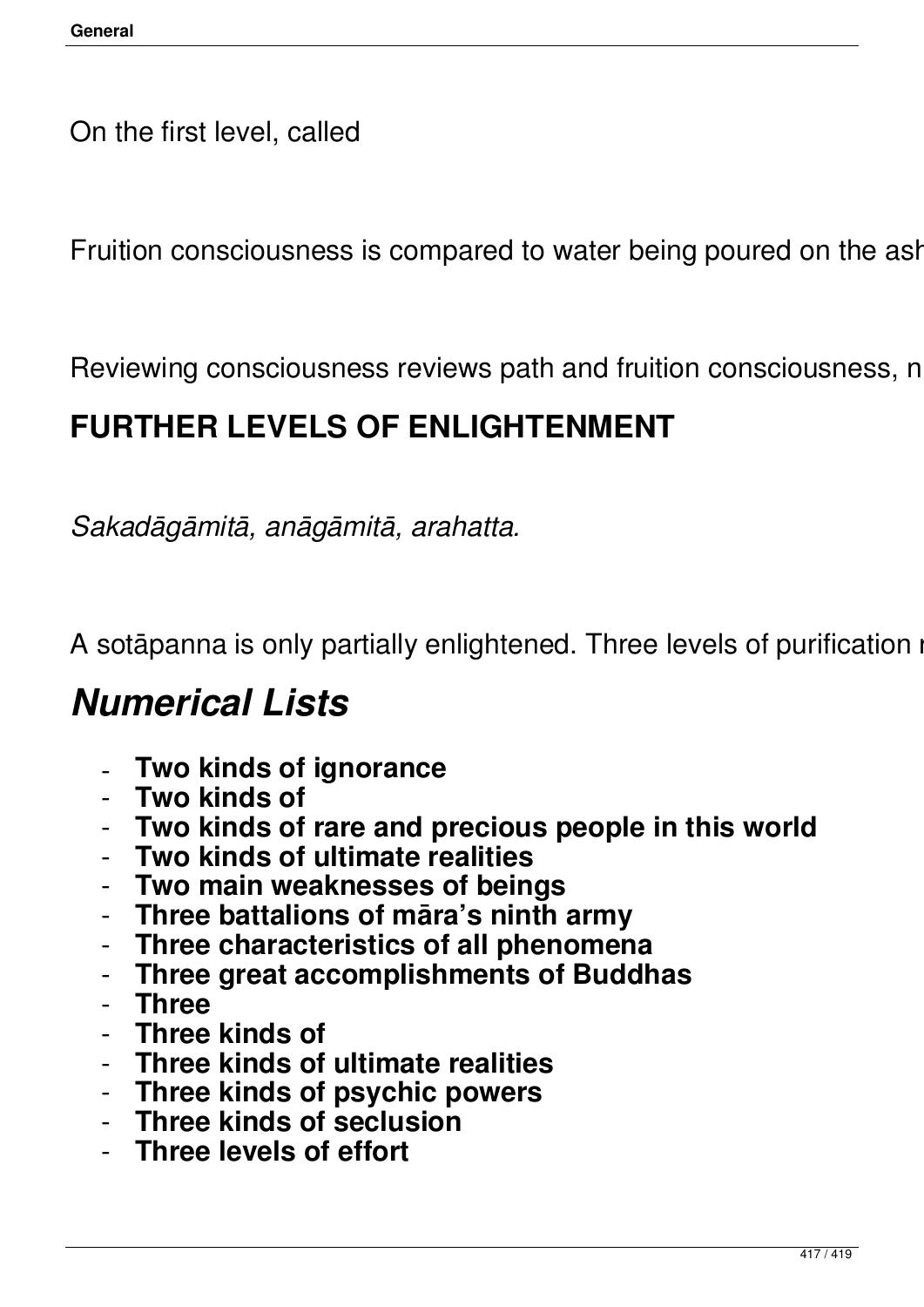On the first level, called **the contract of the contract of the contract of the contract of the contract of the contract of the contract of the contract of the contract of the contract of the contract of the contract of th** 

Fruition consciousness is compared to water being poured on the ashes related.

Reviewing consciousness reviews path and fruition consciousness, n

## **FURTHER LEVELS OF ENLIGHTENMENT**

*Sakadāgāmitā, anāgāmitā, arahatta.* 

A sotapanna is only partially enlightened. Three levels of purification

## *Numerical Lists*

- Two kinds of ignorance and the settlement of the settlement of the settlement of the settlement of the settlement of the settlement of the settlement of the settlement of the settlement of the settlement of the settlemen
- **Example 2** Section 2 and 2 and 3 and 3 and 3 and 3 and 3 and 3 and 3 and 3 and 3 and 3 and 3 and 3 and 3 and 3 and 3 and 3 and 3 and 3 and 3 and 3 and 3 and 3 and 3 and 3 and 3 and 3 and 3 and 3 and 3 and 3 and 3 and 3 an
	- **Two kinds of rare and precious people in this world**<br>- Two kinds of ultimate realities
- **Two kinds of ultimate realities** *(paramattha dhammas)* conditioned ultimate realities, *saṅkhata paramattha dhammas;* unconditioned ultimate reality, asaṅkhata paramattha dhamma, nibbāna.
	- Two main weaknesses of beings
	- Three battalions of māra's ninth army<br>- Three characteristics of all phenomena
- **Three characteristics of all phenomena** *anicca,* impermanence; *dukkha,* suffering; *anatta,* absence of enduring self essence.
	- **Three great accomplishments of Buddhas**<br>- Three
- **Three** *kilesas* **uprooted by the first path consciousness** Wrong view of self, doubt, and adherence to wrong practices.
- **FRAME 2018 Three kinds of** *and latent of and latent or dormant***. The contract of and latent or dormant. The contract of and latent or dormant. The contract of and latent or dormant. The contract of and latent or dormant** 
	- Three kinds of ultimate realities
	- **Three kinds of psychic powers**<br>- Three kinds of seclusion
- Three kinds of seclusion **contains the Second Structure of Security** 
	- **Three levels of effort**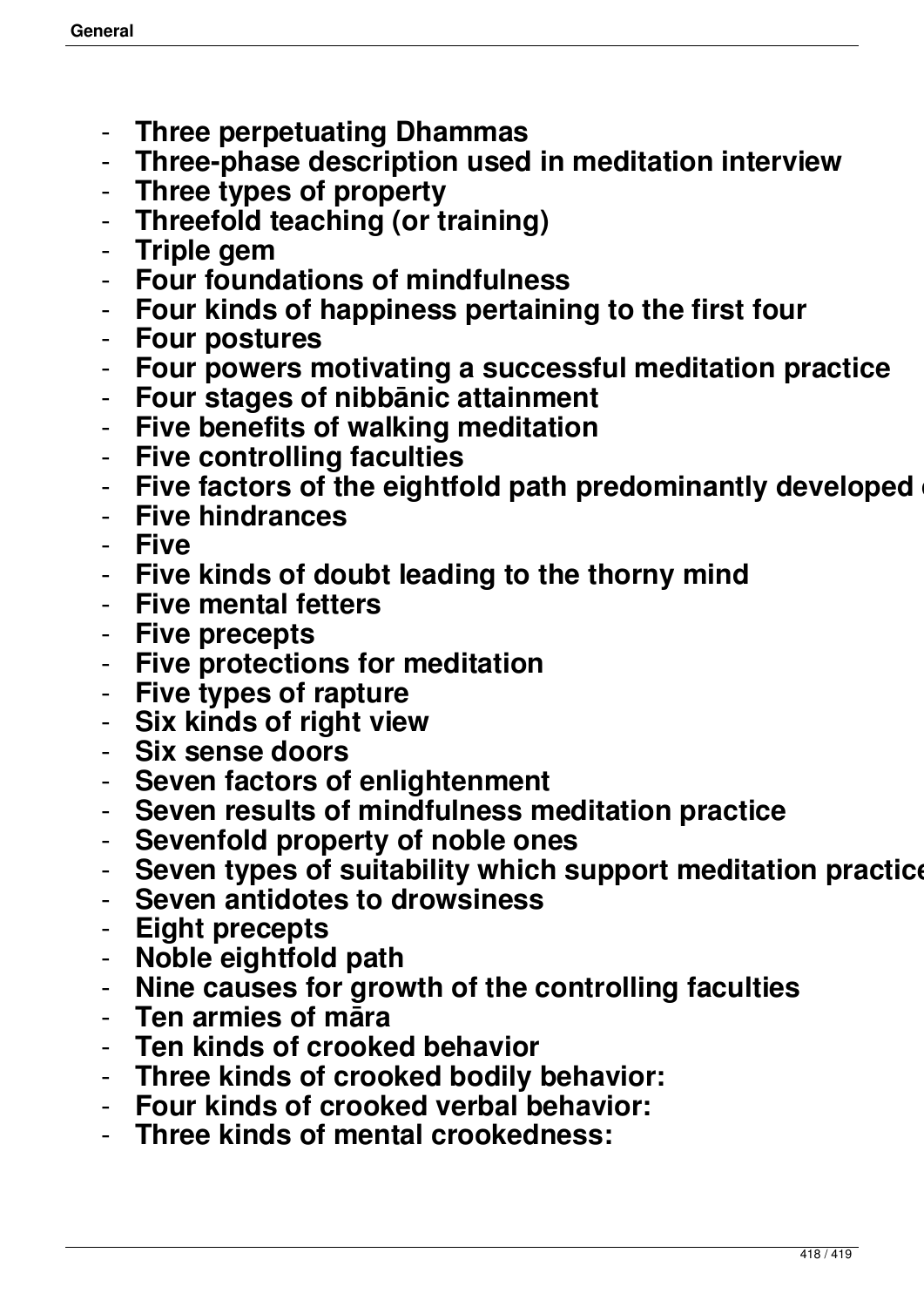- **Three perpetuating Dhammas**
- Three-phase description used in meditation interview
- **Three types of property**
- **Threefold teaching (or training)**<br>- Triple gem
- **Triple gem** Buddha, Dhamma, Sangha.
	-
- Four foundations of mindfulness<br> **Four kinds of happiness pertaining to the first four** - Four kinds of happiness pertaining to the first four
	- **Four postures**
	- Four powers motivating a successful meditation practice<br>- Four stages of nibbānic attainment
- **Four stages of nibbānic attainment** *sotāpatti,* stream-entry; *sakadāgāmī,* once-returner; *anāgāmī,* non-returner; *arahatta,* perfection.
	- Five benefits of walking meditation
	- Five controlling faculties
	- Five factors of the eightfold path predominantly developed<br>- Five hindrances
- **Five hindrances** *kāmacchanda,* sense desire; *vyāpāda,* aversion; *thīna middha,* sloth and torpor; *uddhaccakukkucca,* restlessness and worry; *vicikicchā,* skeptical doubt.
- **Five** *jhānic* **factors** *vitakka,* aiming; *vicāra,* rubbing; *pīti,* rapture or delight; *sukha,* happiness; *samādhi,* concentration.
	- **Five kinds of doubt leading to the thorny mind<br>- Prive mental fetters.**
- **Five mental fetters** To be chained to sense objects; overattachment to one's own body; overattachment to the bodies of others; overattachment to food; wishing for rebirth in a realm of subtle material pleasure.
- **Five precepts** Not to kill, not to take what is not given, to abstain from sexual misconduct, not to lie, not to take intoxicants.
- Five protections for meditation
	- **Five types of rapture<br><b>E** Six kinds of right view
- Six kinds of right view and the state of the state of the state of the state of the state of the state of the
	- Six sense doors
	- Seven factors of enlightenment
	- Seven results of mindfulness meditation practice<br>- Sevenfold property of noble ones
- Sevenfold property of noble ones
	- Seven types of suitability which support meditation practice<br>Seven antidotes to drowsiness
- Seven antidotes to drowsiness
- Eight precepts and the contract of the contract of the contract of the contract of the contract of the contract of the contract of the contract of the contract of the contract of the contract of the contract of the contr
- **Noble eightfold path** Right view or understanding, right thought or aim, right speech, right action, right livelihood, right effort, right mindfulness and right concentration.
	- Nine causes for growth of the controlling faculties<br>- Ten armies of mara
- Ten armies of māra et al. et al. et al. et al. et al. et al. et al. et al. et al. et al. et al. et al. et al
	- **Ten kinds of crooked behavior** —
	- Three kinds of crooked bodily behavior:
	- Four kinds of crooked verbal behavior:
	- Three kinds of mental crookedness: